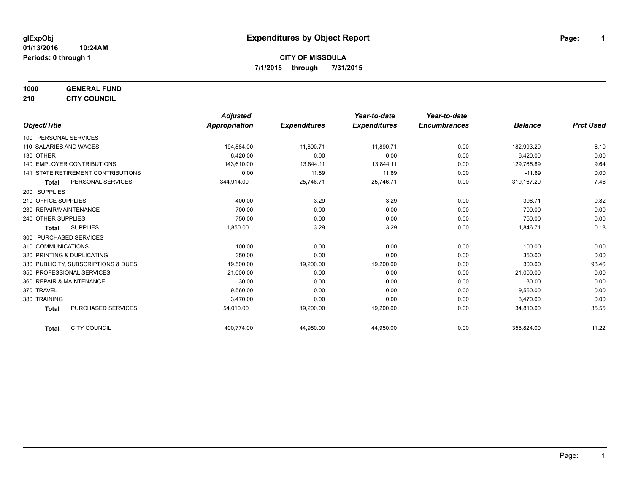**1000 GENERAL FUND 210 CITY COUNCIL**

*Object/Title Adjusted Appropriation Expenditures Year-to-date Expenditures Year-to-date Encumbrances Balance Prct Used* 100 PERSONAL SERVICES 110 SALARIES AND WAGES 194,884.00 11,890.71 11,890.71 0.00 182,993.29 6.10 130 OTHER 6,420.00 0.00 0.00 0.00 6,420.00 0.00 140 EMPLOYER CONTRIBUTIONS 143,610.00 13,844.11 13,844.11 13,844.11 13,844.11 13,844.11 13,844.11 13,844.11 13,844.11 13,844.11 13,844.11 13,844.11 13,844.11 13,844.11 13,844.11 13,844.11 13,844.11 13,844.11 13,844.11 13,8 141 STATE RETIREMENT CONTRIBUTIONS 0.00 11.89 11.89 0.00 -11.89 0.00 **Total** PERSONAL SERVICES 344,914.00 25,746.71 25,746.71 0.00 319,167.29 7.46 200 SUPPLIES 210 OFFICE SUPPLIES 400.00 3.29 0.00 396.71 0.82 230 REPAIR/MAINTENANCE 700.00 0.00 0.00 0.00 700.00 0.00 240 OTHER SUPPLIES 750.00 0.00 0.00 0.00 750.00 0.00 **Total** SUPPLIES 1,850.00 3.29 3.29 0.00 1,846.71 0.18 300 PURCHASED SERVICES 310 COMMUNICATIONS 100.00 0.00 0.00 0.00 100.00 0.00 320 PRINTING & DUPLICATING CONTROL CONTROL CONTROL CONTROL CONTROL CONTROL CONTROL CONTROL CONTROL CONTROL CONTROL CONTROL CONTROL CONTROL CONTROL CONTROL CONTROL CONTROL CONTROL CONTROL CONTROL CONTROL CONTROL CONTROL CON 330 PUBLICITY, SUBSCRIPTIONS & DUES 19,500.00 19,200.00 19,200.00 0.00 300.00 98.46 350 PROFESSIONAL SERVICES 21,000.00 0.00 0.00 0.00 21,000.00 0.00 360 REPAIR & MAINTENANCE 30.00 0.00 0.00 0.00 30.00 0.00 370 TRAVEL 9,560.00 0.00 0.00 0.00 9,560.00 0.00 380 TRAINING 3,470.00 0.00 0.00 0.00 3,470.00 0.00 **Total** PURCHASED SERVICES 54,010.00 19,200.00 19,200.00 0.00 34,810.00 35.55

**Total** CITY COUNCIL 400,774.00 44,950.00 44,950.00 0.00 355,824.00 11.22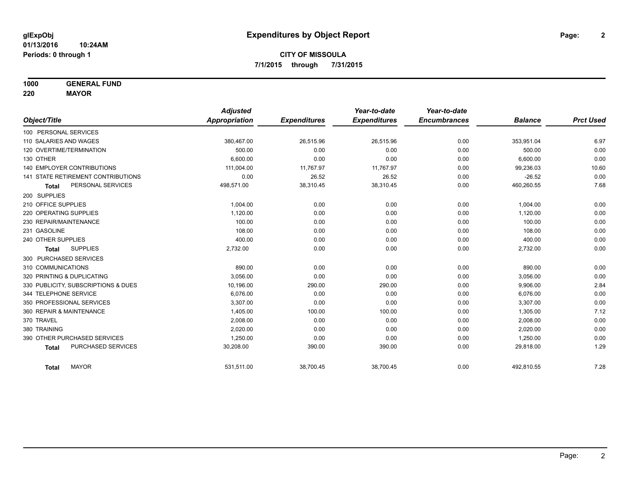**1000 GENERAL FUND**

**220 MAYOR**

|                                     | <b>Adjusted</b> |                     | Year-to-date        | Year-to-date        |                |                  |
|-------------------------------------|-----------------|---------------------|---------------------|---------------------|----------------|------------------|
| Object/Title                        | Appropriation   | <b>Expenditures</b> | <b>Expenditures</b> | <b>Encumbrances</b> | <b>Balance</b> | <b>Prct Used</b> |
| 100 PERSONAL SERVICES               |                 |                     |                     |                     |                |                  |
| 110 SALARIES AND WAGES              | 380,467.00      | 26,515.96           | 26,515.96           | 0.00                | 353,951.04     | 6.97             |
| 120 OVERTIME/TERMINATION            | 500.00          | 0.00                | 0.00                | 0.00                | 500.00         | 0.00             |
| 130 OTHER                           | 6.600.00        | 0.00                | 0.00                | 0.00                | 6,600.00       | 0.00             |
| <b>140 EMPLOYER CONTRIBUTIONS</b>   | 111,004.00      | 11,767.97           | 11.767.97           | 0.00                | 99,236.03      | 10.60            |
| 141 STATE RETIREMENT CONTRIBUTIONS  | 0.00            | 26.52               | 26.52               | 0.00                | $-26.52$       | 0.00             |
| PERSONAL SERVICES<br><b>Total</b>   | 498,571.00      | 38,310.45           | 38,310.45           | 0.00                | 460,260.55     | 7.68             |
| 200 SUPPLIES                        |                 |                     |                     |                     |                |                  |
| 210 OFFICE SUPPLIES                 | 1.004.00        | 0.00                | 0.00                | 0.00                | 1,004.00       | 0.00             |
| 220 OPERATING SUPPLIES              | 1,120.00        | 0.00                | 0.00                | 0.00                | 1,120.00       | 0.00             |
| 230 REPAIR/MAINTENANCE              | 100.00          | 0.00                | 0.00                | 0.00                | 100.00         | 0.00             |
| 231 GASOLINE                        | 108.00          | 0.00                | 0.00                | 0.00                | 108.00         | 0.00             |
| 240 OTHER SUPPLIES                  | 400.00          | 0.00                | 0.00                | 0.00                | 400.00         | 0.00             |
| <b>SUPPLIES</b><br><b>Total</b>     | 2,732.00        | 0.00                | 0.00                | 0.00                | 2,732.00       | 0.00             |
| 300 PURCHASED SERVICES              |                 |                     |                     |                     |                |                  |
| 310 COMMUNICATIONS                  | 890.00          | 0.00                | 0.00                | 0.00                | 890.00         | 0.00             |
| 320 PRINTING & DUPLICATING          | 3,056.00        | 0.00                | 0.00                | 0.00                | 3,056.00       | 0.00             |
| 330 PUBLICITY, SUBSCRIPTIONS & DUES | 10,196.00       | 290.00              | 290.00              | 0.00                | 9,906.00       | 2.84             |
| 344 TELEPHONE SERVICE               | 6.076.00        | 0.00                | 0.00                | 0.00                | 6,076.00       | 0.00             |
| 350 PROFESSIONAL SERVICES           | 3,307.00        | 0.00                | 0.00                | 0.00                | 3,307.00       | 0.00             |
| 360 REPAIR & MAINTENANCE            | 1,405.00        | 100.00              | 100.00              | 0.00                | 1,305.00       | 7.12             |
| 370 TRAVEL                          | 2,008.00        | 0.00                | 0.00                | 0.00                | 2,008.00       | 0.00             |
| 380 TRAINING                        | 2,020.00        | 0.00                | 0.00                | 0.00                | 2,020.00       | 0.00             |
| 390 OTHER PURCHASED SERVICES        | 1,250.00        | 0.00                | 0.00                | 0.00                | 1,250.00       | 0.00             |
| PURCHASED SERVICES<br><b>Total</b>  | 30,208.00       | 390.00              | 390.00              | 0.00                | 29,818.00      | 1.29             |
| <b>MAYOR</b><br><b>Total</b>        | 531,511.00      | 38,700.45           | 38,700.45           | 0.00                | 492,810.55     | 7.28             |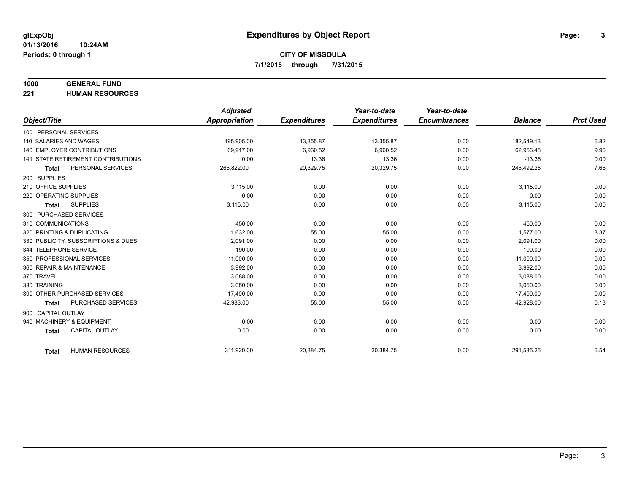#### **1000 GENERAL FUND**

**221 HUMAN RESOURCES**

|                          |                                     | <b>Adjusted</b>      |                     | Year-to-date        | Year-to-date        |                |                  |
|--------------------------|-------------------------------------|----------------------|---------------------|---------------------|---------------------|----------------|------------------|
| Object/Title             |                                     | <b>Appropriation</b> | <b>Expenditures</b> | <b>Expenditures</b> | <b>Encumbrances</b> | <b>Balance</b> | <b>Prct Used</b> |
| 100 PERSONAL SERVICES    |                                     |                      |                     |                     |                     |                |                  |
| 110 SALARIES AND WAGES   |                                     | 195,905.00           | 13,355.87           | 13,355.87           | 0.00                | 182,549.13     | 6.82             |
|                          | <b>140 EMPLOYER CONTRIBUTIONS</b>   | 69.917.00            | 6,960.52            | 6,960.52            | 0.00                | 62.956.48      | 9.96             |
|                          | 141 STATE RETIREMENT CONTRIBUTIONS  | 0.00                 | 13.36               | 13.36               | 0.00                | $-13.36$       | 0.00             |
| <b>Total</b>             | PERSONAL SERVICES                   | 265,822.00           | 20,329.75           | 20,329.75           | 0.00                | 245,492.25     | 7.65             |
| 200 SUPPLIES             |                                     |                      |                     |                     |                     |                |                  |
| 210 OFFICE SUPPLIES      |                                     | 3,115.00             | 0.00                | 0.00                | 0.00                | 3,115.00       | 0.00             |
| 220 OPERATING SUPPLIES   |                                     | 0.00                 | 0.00                | 0.00                | 0.00                | 0.00           | 0.00             |
| <b>Total</b>             | <b>SUPPLIES</b>                     | 3,115.00             | 0.00                | 0.00                | 0.00                | 3,115.00       | 0.00             |
| 300 PURCHASED SERVICES   |                                     |                      |                     |                     |                     |                |                  |
| 310 COMMUNICATIONS       |                                     | 450.00               | 0.00                | 0.00                | 0.00                | 450.00         | 0.00             |
|                          | 320 PRINTING & DUPLICATING          | 1.632.00             | 55.00               | 55.00               | 0.00                | 1.577.00       | 3.37             |
|                          | 330 PUBLICITY, SUBSCRIPTIONS & DUES | 2.091.00             | 0.00                | 0.00                | 0.00                | 2,091.00       | 0.00             |
| 344 TELEPHONE SERVICE    |                                     | 190.00               | 0.00                | 0.00                | 0.00                | 190.00         | 0.00             |
|                          | 350 PROFESSIONAL SERVICES           | 11,000.00            | 0.00                | 0.00                | 0.00                | 11,000.00      | 0.00             |
| 360 REPAIR & MAINTENANCE |                                     | 3,992.00             | 0.00                | 0.00                | 0.00                | 3,992.00       | 0.00             |
| 370 TRAVEL               |                                     | 3.088.00             | 0.00                | 0.00                | 0.00                | 3,088.00       | 0.00             |
| 380 TRAINING             |                                     | 3,050.00             | 0.00                | 0.00                | 0.00                | 3,050.00       | 0.00             |
|                          | 390 OTHER PURCHASED SERVICES        | 17,490.00            | 0.00                | 0.00                | 0.00                | 17,490.00      | 0.00             |
| <b>Total</b>             | PURCHASED SERVICES                  | 42,983.00            | 55.00               | 55.00               | 0.00                | 42,928.00      | 0.13             |
| 900 CAPITAL OUTLAY       |                                     |                      |                     |                     |                     |                |                  |
|                          | 940 MACHINERY & EQUIPMENT           | 0.00                 | 0.00                | 0.00                | 0.00                | 0.00           | 0.00             |
| <b>Total</b>             | <b>CAPITAL OUTLAY</b>               | 0.00                 | 0.00                | 0.00                | 0.00                | 0.00           | 0.00             |
|                          |                                     |                      |                     |                     |                     |                |                  |
| <b>Total</b>             | <b>HUMAN RESOURCES</b>              | 311,920.00           | 20,384.75           | 20,384.75           | 0.00                | 291,535.25     | 6.54             |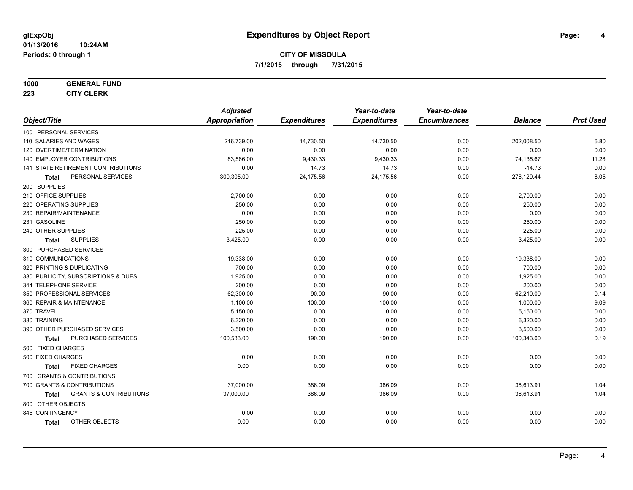#### **1000 GENERAL FUND**

**223 CITY CLERK**

|                                                   | <b>Adjusted</b>      |                     | Year-to-date        | Year-to-date        |                |                  |
|---------------------------------------------------|----------------------|---------------------|---------------------|---------------------|----------------|------------------|
| Object/Title                                      | <b>Appropriation</b> | <b>Expenditures</b> | <b>Expenditures</b> | <b>Encumbrances</b> | <b>Balance</b> | <b>Prct Used</b> |
| 100 PERSONAL SERVICES                             |                      |                     |                     |                     |                |                  |
| 110 SALARIES AND WAGES                            | 216,739.00           | 14,730.50           | 14,730.50           | 0.00                | 202,008.50     | 6.80             |
| 120 OVERTIME/TERMINATION                          | 0.00                 | 0.00                | 0.00                | 0.00                | 0.00           | 0.00             |
| 140 EMPLOYER CONTRIBUTIONS                        | 83,566.00            | 9,430.33            | 9,430.33            | 0.00                | 74,135.67      | 11.28            |
| <b>141 STATE RETIREMENT CONTRIBUTIONS</b>         | 0.00                 | 14.73               | 14.73               | 0.00                | $-14.73$       | 0.00             |
| PERSONAL SERVICES<br>Total                        | 300,305.00           | 24,175.56           | 24,175.56           | 0.00                | 276,129.44     | 8.05             |
| 200 SUPPLIES                                      |                      |                     |                     |                     |                |                  |
| 210 OFFICE SUPPLIES                               | 2,700.00             | 0.00                | 0.00                | 0.00                | 2,700.00       | 0.00             |
| 220 OPERATING SUPPLIES                            | 250.00               | 0.00                | 0.00                | 0.00                | 250.00         | 0.00             |
| 230 REPAIR/MAINTENANCE                            | 0.00                 | 0.00                | 0.00                | 0.00                | 0.00           | 0.00             |
| 231 GASOLINE                                      | 250.00               | 0.00                | 0.00                | 0.00                | 250.00         | 0.00             |
| 240 OTHER SUPPLIES                                | 225.00               | 0.00                | 0.00                | 0.00                | 225.00         | 0.00             |
| <b>SUPPLIES</b><br><b>Total</b>                   | 3,425.00             | 0.00                | 0.00                | 0.00                | 3,425.00       | 0.00             |
| 300 PURCHASED SERVICES                            |                      |                     |                     |                     |                |                  |
| 310 COMMUNICATIONS                                | 19.338.00            | 0.00                | 0.00                | 0.00                | 19,338.00      | 0.00             |
| 320 PRINTING & DUPLICATING                        | 700.00               | 0.00                | 0.00                | 0.00                | 700.00         | 0.00             |
| 330 PUBLICITY, SUBSCRIPTIONS & DUES               | 1,925.00             | 0.00                | 0.00                | 0.00                | 1,925.00       | 0.00             |
| 344 TELEPHONE SERVICE                             | 200.00               | 0.00                | 0.00                | 0.00                | 200.00         | 0.00             |
| 350 PROFESSIONAL SERVICES                         | 62,300.00            | 90.00               | 90.00               | 0.00                | 62,210.00      | 0.14             |
| 360 REPAIR & MAINTENANCE                          | 1,100.00             | 100.00              | 100.00              | 0.00                | 1,000.00       | 9.09             |
| 370 TRAVEL                                        | 5,150.00             | 0.00                | 0.00                | 0.00                | 5,150.00       | 0.00             |
| 380 TRAINING                                      | 6,320.00             | 0.00                | 0.00                | 0.00                | 6,320.00       | 0.00             |
| 390 OTHER PURCHASED SERVICES                      | 3,500.00             | 0.00                | 0.00                | 0.00                | 3,500.00       | 0.00             |
| PURCHASED SERVICES<br><b>Total</b>                | 100,533.00           | 190.00              | 190.00              | 0.00                | 100,343.00     | 0.19             |
| 500 FIXED CHARGES                                 |                      |                     |                     |                     |                |                  |
| 500 FIXED CHARGES                                 | 0.00                 | 0.00                | 0.00                | 0.00                | 0.00           | 0.00             |
| <b>FIXED CHARGES</b><br><b>Total</b>              | 0.00                 | 0.00                | 0.00                | 0.00                | 0.00           | 0.00             |
| 700 GRANTS & CONTRIBUTIONS                        |                      |                     |                     |                     |                |                  |
| 700 GRANTS & CONTRIBUTIONS                        | 37,000.00            | 386.09              | 386.09              | 0.00                | 36,613.91      | 1.04             |
| <b>GRANTS &amp; CONTRIBUTIONS</b><br><b>Total</b> | 37,000.00            | 386.09              | 386.09              | 0.00                | 36,613.91      | 1.04             |
| 800 OTHER OBJECTS                                 |                      |                     |                     |                     |                |                  |
| 845 CONTINGENCY                                   | 0.00                 | 0.00                | 0.00                | 0.00                | 0.00           | 0.00             |
| <b>OTHER OBJECTS</b><br><b>Total</b>              | 0.00                 | 0.00                | 0.00                | 0.00                | 0.00           | 0.00             |
|                                                   |                      |                     |                     |                     |                |                  |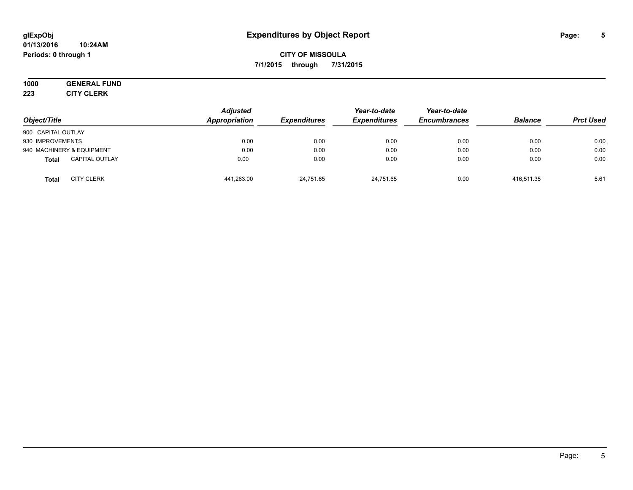#### **01/13/2016 10:24AM Periods: 0 through 1**

## **CITY OF MISSOULA 7/1/2015 through 7/31/2015**

# **1000 GENERAL FUND**

**223 CITY CLERK**

| Object/Title                          | <b>Adjusted</b><br>Appropriation | <b>Expenditures</b> | Year-to-date<br><b>Expenditures</b> | Year-to-date<br><b>Encumbrances</b> | <b>Balance</b> | <b>Prct Used</b> |
|---------------------------------------|----------------------------------|---------------------|-------------------------------------|-------------------------------------|----------------|------------------|
| 900 CAPITAL OUTLAY                    |                                  |                     |                                     |                                     |                |                  |
| 930 IMPROVEMENTS                      | 0.00                             | 0.00                | 0.00                                | 0.00                                | 0.00           | 0.00             |
| 940 MACHINERY & EQUIPMENT             | 0.00                             | 0.00                | 0.00                                | 0.00                                | 0.00           | 0.00             |
| <b>CAPITAL OUTLAY</b><br><b>Total</b> | 0.00                             | 0.00                | 0.00                                | 0.00                                | 0.00           | 0.00             |
| <b>CITY CLERK</b><br><b>Total</b>     | 441,263.00                       | 24,751.65           | 24,751.65                           | 0.00                                | 416.511.35     | 5.61             |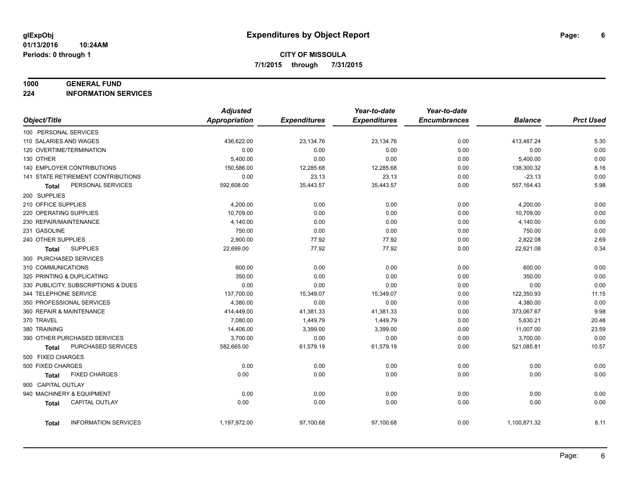#### **1000 GENERAL FUND**

**224 INFORMATION SERVICES**

|                                      | <b>Adjusted</b>      |                     | Year-to-date        | Year-to-date        |                |                  |
|--------------------------------------|----------------------|---------------------|---------------------|---------------------|----------------|------------------|
| Object/Title                         | <b>Appropriation</b> | <b>Expenditures</b> | <b>Expenditures</b> | <b>Encumbrances</b> | <b>Balance</b> | <b>Prct Used</b> |
| 100 PERSONAL SERVICES                |                      |                     |                     |                     |                |                  |
| 110 SALARIES AND WAGES               | 436,622.00           | 23,134.76           | 23,134.76           | 0.00                | 413,487.24     | 5.30             |
| 120 OVERTIME/TERMINATION             | 0.00                 | 0.00                | 0.00                | 0.00                | 0.00           | 0.00             |
| 130 OTHER                            | 5,400.00             | 0.00                | 0.00                | 0.00                | 5,400.00       | 0.00             |
| 140 EMPLOYER CONTRIBUTIONS           | 150,586.00           | 12,285.68           | 12,285.68           | 0.00                | 138,300.32     | 8.16             |
| 141 STATE RETIREMENT CONTRIBUTIONS   | 0.00                 | 23.13               | 23.13               | 0.00                | $-23.13$       | 0.00             |
| PERSONAL SERVICES<br>Total           | 592,608.00           | 35,443.57           | 35,443.57           | 0.00                | 557,164.43     | 5.98             |
| 200 SUPPLIES                         |                      |                     |                     |                     |                |                  |
| 210 OFFICE SUPPLIES                  | 4,200.00             | 0.00                | 0.00                | 0.00                | 4,200.00       | 0.00             |
| 220 OPERATING SUPPLIES               | 10,709.00            | 0.00                | 0.00                | 0.00                | 10,709.00      | 0.00             |
| 230 REPAIR/MAINTENANCE               | 4,140.00             | 0.00                | 0.00                | 0.00                | 4,140.00       | 0.00             |
| 231 GASOLINE                         | 750.00               | 0.00                | 0.00                | 0.00                | 750.00         | 0.00             |
| 240 OTHER SUPPLIES                   | 2,900.00             | 77.92               | 77.92               | 0.00                | 2,822.08       | 2.69             |
| <b>SUPPLIES</b><br>Total             | 22,699.00            | 77.92               | 77.92               | 0.00                | 22,621.08      | 0.34             |
| 300 PURCHASED SERVICES               |                      |                     |                     |                     |                |                  |
| 310 COMMUNICATIONS                   | 600.00               | 0.00                | 0.00                | 0.00                | 600.00         | 0.00             |
| 320 PRINTING & DUPLICATING           | 350.00               | 0.00                | 0.00                | 0.00                | 350.00         | 0.00             |
| 330 PUBLICITY, SUBSCRIPTIONS & DUES  | 0.00                 | 0.00                | 0.00                | 0.00                | 0.00           | 0.00             |
| 344 TELEPHONE SERVICE                | 137,700.00           | 15,349.07           | 15,349.07           | 0.00                | 122,350.93     | 11.15            |
| 350 PROFESSIONAL SERVICES            | 4,380.00             | 0.00                | 0.00                | 0.00                | 4,380.00       | 0.00             |
| 360 REPAIR & MAINTENANCE             | 414,449.00           | 41,381.33           | 41,381.33           | 0.00                | 373,067.67     | 9.98             |
| 370 TRAVEL                           | 7,080.00             | 1,449.79            | 1,449.79            | 0.00                | 5,630.21       | 20.48            |
| 380 TRAINING                         | 14,406.00            | 3,399.00            | 3,399.00            | 0.00                | 11,007.00      | 23.59            |
| 390 OTHER PURCHASED SERVICES         | 3,700.00             | 0.00                | 0.00                | 0.00                | 3,700.00       | 0.00             |
| PURCHASED SERVICES<br>Total          | 582,665.00           | 61,579.19           | 61,579.19           | 0.00                | 521,085.81     | 10.57            |
| 500 FIXED CHARGES                    |                      |                     |                     |                     |                |                  |
| 500 FIXED CHARGES                    | 0.00                 | 0.00                | 0.00                | 0.00                | 0.00           | 0.00             |
| <b>FIXED CHARGES</b><br>Total        | 0.00                 | 0.00                | 0.00                | 0.00                | 0.00           | 0.00             |
| 900 CAPITAL OUTLAY                   |                      |                     |                     |                     |                |                  |
| 940 MACHINERY & EQUIPMENT            | 0.00                 | 0.00                | 0.00                | 0.00                | 0.00           | 0.00             |
| CAPITAL OUTLAY<br><b>Total</b>       | 0.00                 | 0.00                | 0.00                | 0.00                | 0.00           | 0.00             |
|                                      |                      |                     |                     |                     |                |                  |
| <b>INFORMATION SERVICES</b><br>Total | 1,197,972.00         | 97,100.68           | 97,100.68           | 0.00                | 1,100,871.32   | 8.11             |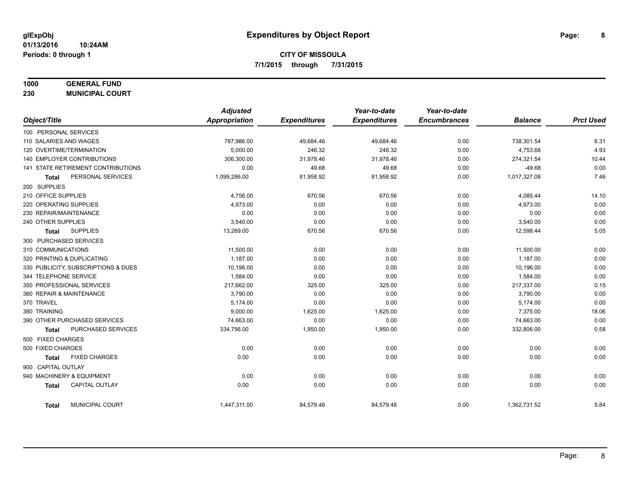## **1000 GENERAL FUND**

**230 MUNICIPAL COURT**

|                                           | <b>Adjusted</b> |                     | Year-to-date        | Year-to-date        |                |                  |
|-------------------------------------------|-----------------|---------------------|---------------------|---------------------|----------------|------------------|
| Object/Title                              | Appropriation   | <b>Expenditures</b> | <b>Expenditures</b> | <b>Encumbrances</b> | <b>Balance</b> | <b>Prct Used</b> |
| 100 PERSONAL SERVICES                     |                 |                     |                     |                     |                |                  |
| 110 SALARIES AND WAGES                    | 787,986.00      | 49,684.46           | 49,684.46           | 0.00                | 738,301.54     | 6.31             |
| 120 OVERTIME/TERMINATION                  | 5,000.00        | 246.32              | 246.32              | 0.00                | 4,753.68       | 4.93             |
| <b>140 EMPLOYER CONTRIBUTIONS</b>         | 306,300.00      | 31,978.46           | 31,978.46           | 0.00                | 274,321.54     | 10.44            |
| <b>141 STATE RETIREMENT CONTRIBUTIONS</b> | 0.00            | 49.68               | 49.68               | 0.00                | $-49.68$       | 0.00             |
| PERSONAL SERVICES<br><b>Total</b>         | 1,099,286.00    | 81,958.92           | 81,958.92           | 0.00                | 1,017,327.08   | 7.46             |
| 200 SUPPLIES                              |                 |                     |                     |                     |                |                  |
| 210 OFFICE SUPPLIES                       | 4,756.00        | 670.56              | 670.56              | 0.00                | 4,085.44       | 14.10            |
| 220 OPERATING SUPPLIES                    | 4,973.00        | 0.00                | 0.00                | 0.00                | 4,973.00       | 0.00             |
| 230 REPAIR/MAINTENANCE                    | 0.00            | 0.00                | 0.00                | 0.00                | 0.00           | 0.00             |
| 240 OTHER SUPPLIES                        | 3,540.00        | 0.00                | 0.00                | 0.00                | 3,540.00       | 0.00             |
| <b>SUPPLIES</b><br><b>Total</b>           | 13,269.00       | 670.56              | 670.56              | 0.00                | 12,598.44      | 5.05             |
| 300 PURCHASED SERVICES                    |                 |                     |                     |                     |                |                  |
| 310 COMMUNICATIONS                        | 11,500.00       | 0.00                | 0.00                | 0.00                | 11,500.00      | 0.00             |
| 320 PRINTING & DUPLICATING                | 1,187.00        | 0.00                | 0.00                | 0.00                | 1,187.00       | 0.00             |
| 330 PUBLICITY, SUBSCRIPTIONS & DUES       | 10,196.00       | 0.00                | 0.00                | 0.00                | 10,196.00      | 0.00             |
| 344 TELEPHONE SERVICE                     | 1,584.00        | 0.00                | 0.00                | 0.00                | 1,584.00       | 0.00             |
| 350 PROFESSIONAL SERVICES                 | 217,662.00      | 325.00              | 325.00              | 0.00                | 217,337.00     | 0.15             |
| 360 REPAIR & MAINTENANCE                  | 3,790.00        | 0.00                | 0.00                | 0.00                | 3,790.00       | 0.00             |
| 370 TRAVEL                                | 5,174.00        | 0.00                | 0.00                | 0.00                | 5,174.00       | 0.00             |
| 380 TRAINING                              | 9,000.00        | 1,625.00            | 1,625.00            | 0.00                | 7,375.00       | 18.06            |
| 390 OTHER PURCHASED SERVICES              | 74,663.00       | 0.00                | 0.00                | 0.00                | 74,663.00      | 0.00             |
| PURCHASED SERVICES<br><b>Total</b>        | 334,756.00      | 1,950.00            | 1,950.00            | 0.00                | 332,806.00     | 0.58             |
| 500 FIXED CHARGES                         |                 |                     |                     |                     |                |                  |
| 500 FIXED CHARGES                         | 0.00            | 0.00                | 0.00                | 0.00                | 0.00           | 0.00             |
| <b>FIXED CHARGES</b><br>Total             | 0.00            | 0.00                | 0.00                | 0.00                | 0.00           | 0.00             |
| 900 CAPITAL OUTLAY                        |                 |                     |                     |                     |                |                  |
| 940 MACHINERY & EQUIPMENT                 | 0.00            | 0.00                | 0.00                | 0.00                | 0.00           | 0.00             |
| <b>CAPITAL OUTLAY</b><br><b>Total</b>     | 0.00            | 0.00                | 0.00                | 0.00                | 0.00           | 0.00             |
| MUNICIPAL COURT<br><b>Total</b>           | 1,447,311.00    | 84,579.48           | 84,579.48           | 0.00                | 1,362,731.52   | 5.84             |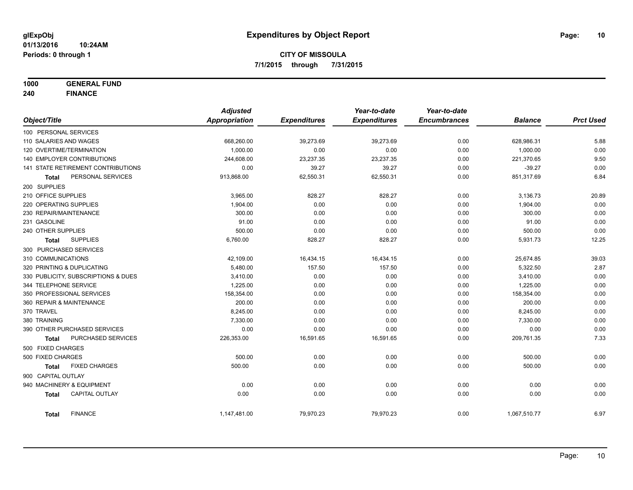**1000 GENERAL FUND**

**240 FINANCE**

|                            |                                     | <b>Adjusted</b>      |                     | Year-to-date        | Year-to-date        |                |                  |
|----------------------------|-------------------------------------|----------------------|---------------------|---------------------|---------------------|----------------|------------------|
| Object/Title               |                                     | <b>Appropriation</b> | <b>Expenditures</b> | <b>Expenditures</b> | <b>Encumbrances</b> | <b>Balance</b> | <b>Prct Used</b> |
| 100 PERSONAL SERVICES      |                                     |                      |                     |                     |                     |                |                  |
| 110 SALARIES AND WAGES     |                                     | 668,260.00           | 39,273.69           | 39,273.69           | 0.00                | 628,986.31     | 5.88             |
| 120 OVERTIME/TERMINATION   |                                     | 1,000.00             | 0.00                | 0.00                | 0.00                | 1,000.00       | 0.00             |
|                            | <b>140 EMPLOYER CONTRIBUTIONS</b>   | 244,608.00           | 23,237.35           | 23,237.35           | 0.00                | 221,370.65     | 9.50             |
|                            | 141 STATE RETIREMENT CONTRIBUTIONS  | 0.00                 | 39.27               | 39.27               | 0.00                | $-39.27$       | 0.00             |
| Total                      | PERSONAL SERVICES                   | 913,868.00           | 62,550.31           | 62,550.31           | 0.00                | 851,317.69     | 6.84             |
| 200 SUPPLIES               |                                     |                      |                     |                     |                     |                |                  |
| 210 OFFICE SUPPLIES        |                                     | 3,965.00             | 828.27              | 828.27              | 0.00                | 3,136.73       | 20.89            |
| 220 OPERATING SUPPLIES     |                                     | 1,904.00             | 0.00                | 0.00                | 0.00                | 1,904.00       | 0.00             |
| 230 REPAIR/MAINTENANCE     |                                     | 300.00               | 0.00                | 0.00                | 0.00                | 300.00         | 0.00             |
| 231 GASOLINE               |                                     | 91.00                | 0.00                | 0.00                | 0.00                | 91.00          | 0.00             |
| 240 OTHER SUPPLIES         |                                     | 500.00               | 0.00                | 0.00                | 0.00                | 500.00         | 0.00             |
| Total                      | <b>SUPPLIES</b>                     | 6,760.00             | 828.27              | 828.27              | 0.00                | 5,931.73       | 12.25            |
| 300 PURCHASED SERVICES     |                                     |                      |                     |                     |                     |                |                  |
| 310 COMMUNICATIONS         |                                     | 42,109.00            | 16,434.15           | 16,434.15           | 0.00                | 25,674.85      | 39.03            |
| 320 PRINTING & DUPLICATING |                                     | 5,480.00             | 157.50              | 157.50              | 0.00                | 5,322.50       | 2.87             |
|                            | 330 PUBLICITY, SUBSCRIPTIONS & DUES | 3,410.00             | 0.00                | 0.00                | 0.00                | 3,410.00       | 0.00             |
| 344 TELEPHONE SERVICE      |                                     | 1,225.00             | 0.00                | 0.00                | 0.00                | 1,225.00       | 0.00             |
|                            | 350 PROFESSIONAL SERVICES           | 158,354.00           | 0.00                | 0.00                | 0.00                | 158,354.00     | 0.00             |
| 360 REPAIR & MAINTENANCE   |                                     | 200.00               | 0.00                | 0.00                | 0.00                | 200.00         | 0.00             |
| 370 TRAVEL                 |                                     | 8,245.00             | 0.00                | 0.00                | 0.00                | 8,245.00       | 0.00             |
| 380 TRAINING               |                                     | 7,330.00             | 0.00                | 0.00                | 0.00                | 7,330.00       | 0.00             |
|                            | 390 OTHER PURCHASED SERVICES        | 0.00                 | 0.00                | 0.00                | 0.00                | 0.00           | 0.00             |
| <b>Total</b>               | PURCHASED SERVICES                  | 226,353.00           | 16,591.65           | 16,591.65           | 0.00                | 209,761.35     | 7.33             |
| 500 FIXED CHARGES          |                                     |                      |                     |                     |                     |                |                  |
| 500 FIXED CHARGES          |                                     | 500.00               | 0.00                | 0.00                | 0.00                | 500.00         | 0.00             |
| <b>Total</b>               | <b>FIXED CHARGES</b>                | 500.00               | 0.00                | 0.00                | 0.00                | 500.00         | 0.00             |
| 900 CAPITAL OUTLAY         |                                     |                      |                     |                     |                     |                |                  |
|                            | 940 MACHINERY & EQUIPMENT           | 0.00                 | 0.00                | 0.00                | 0.00                | 0.00           | 0.00             |
| <b>Total</b>               | <b>CAPITAL OUTLAY</b>               | 0.00                 | 0.00                | 0.00                | 0.00                | 0.00           | 0.00             |
|                            |                                     |                      |                     |                     |                     |                |                  |
| <b>Total</b>               | <b>FINANCE</b>                      | 1,147,481.00         | 79,970.23           | 79,970.23           | 0.00                | 1,067,510.77   | 6.97             |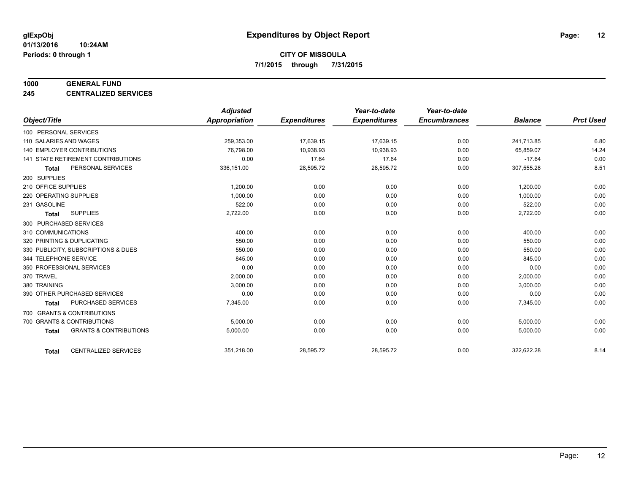#### **1000 GENERAL FUND**

**245 CENTRALIZED SERVICES**

|                        |                                     | <b>Adjusted</b> |                     | Year-to-date        | Year-to-date        |                |                  |
|------------------------|-------------------------------------|-----------------|---------------------|---------------------|---------------------|----------------|------------------|
| Object/Title           |                                     | Appropriation   | <b>Expenditures</b> | <b>Expenditures</b> | <b>Encumbrances</b> | <b>Balance</b> | <b>Prct Used</b> |
| 100 PERSONAL SERVICES  |                                     |                 |                     |                     |                     |                |                  |
| 110 SALARIES AND WAGES |                                     | 259,353.00      | 17,639.15           | 17,639.15           | 0.00                | 241,713.85     | 6.80             |
|                        | 140 EMPLOYER CONTRIBUTIONS          | 76.798.00       | 10,938.93           | 10,938.93           | 0.00                | 65,859.07      | 14.24            |
|                        | 141 STATE RETIREMENT CONTRIBUTIONS  | 0.00            | 17.64               | 17.64               | 0.00                | $-17.64$       | 0.00             |
| <b>Total</b>           | PERSONAL SERVICES                   | 336,151.00      | 28,595.72           | 28,595.72           | 0.00                | 307,555.28     | 8.51             |
| 200 SUPPLIES           |                                     |                 |                     |                     |                     |                |                  |
| 210 OFFICE SUPPLIES    |                                     | 1,200.00        | 0.00                | 0.00                | 0.00                | 1,200.00       | 0.00             |
| 220 OPERATING SUPPLIES |                                     | 1,000.00        | 0.00                | 0.00                | 0.00                | 1,000.00       | 0.00             |
| 231 GASOLINE           |                                     | 522.00          | 0.00                | 0.00                | 0.00                | 522.00         | 0.00             |
| <b>Total</b>           | <b>SUPPLIES</b>                     | 2,722.00        | 0.00                | 0.00                | 0.00                | 2,722.00       | 0.00             |
| 300 PURCHASED SERVICES |                                     |                 |                     |                     |                     |                |                  |
| 310 COMMUNICATIONS     |                                     | 400.00          | 0.00                | 0.00                | 0.00                | 400.00         | 0.00             |
|                        | 320 PRINTING & DUPLICATING          | 550.00          | 0.00                | 0.00                | 0.00                | 550.00         | 0.00             |
|                        | 330 PUBLICITY, SUBSCRIPTIONS & DUES | 550.00          | 0.00                | 0.00                | 0.00                | 550.00         | 0.00             |
| 344 TELEPHONE SERVICE  |                                     | 845.00          | 0.00                | 0.00                | 0.00                | 845.00         | 0.00             |
|                        | 350 PROFESSIONAL SERVICES           | 0.00            | 0.00                | 0.00                | 0.00                | 0.00           | 0.00             |
| 370 TRAVEL             |                                     | 2,000.00        | 0.00                | 0.00                | 0.00                | 2,000.00       | 0.00             |
| 380 TRAINING           |                                     | 3,000.00        | 0.00                | 0.00                | 0.00                | 3,000.00       | 0.00             |
|                        | 390 OTHER PURCHASED SERVICES        | 0.00            | 0.00                | 0.00                | 0.00                | 0.00           | 0.00             |
| <b>Total</b>           | <b>PURCHASED SERVICES</b>           | 7,345.00        | 0.00                | 0.00                | 0.00                | 7,345.00       | 0.00             |
|                        | 700 GRANTS & CONTRIBUTIONS          |                 |                     |                     |                     |                |                  |
|                        | 700 GRANTS & CONTRIBUTIONS          | 5,000.00        | 0.00                | 0.00                | 0.00                | 5,000.00       | 0.00             |
| <b>Total</b>           | <b>GRANTS &amp; CONTRIBUTIONS</b>   | 5,000.00        | 0.00                | 0.00                | 0.00                | 5,000.00       | 0.00             |
|                        |                                     |                 |                     |                     |                     |                |                  |
| <b>Total</b>           | <b>CENTRALIZED SERVICES</b>         | 351,218.00      | 28,595.72           | 28,595.72           | 0.00                | 322,622.28     | 8.14             |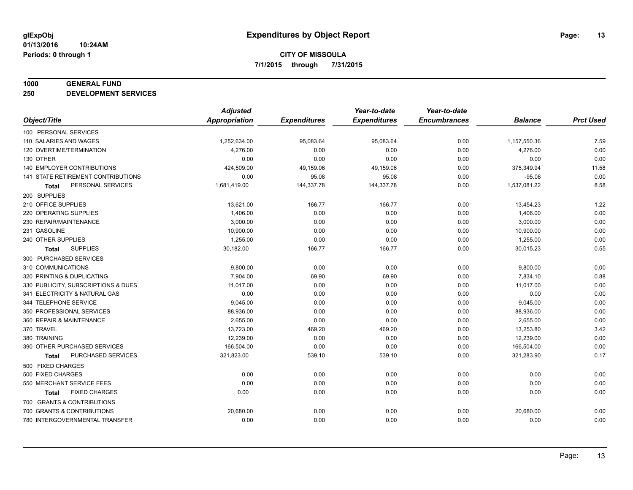#### **1000 GENERAL FUND**

**250 DEVELOPMENT SERVICES**

|                                           | <b>Adjusted</b>      |                     | Year-to-date        | Year-to-date        |                |                  |
|-------------------------------------------|----------------------|---------------------|---------------------|---------------------|----------------|------------------|
| Object/Title                              | <b>Appropriation</b> | <b>Expenditures</b> | <b>Expenditures</b> | <b>Encumbrances</b> | <b>Balance</b> | <b>Prct Used</b> |
| 100 PERSONAL SERVICES                     |                      |                     |                     |                     |                |                  |
| 110 SALARIES AND WAGES                    | 1,252,634.00         | 95,083.64           | 95,083.64           | 0.00                | 1,157,550.36   | 7.59             |
| 120 OVERTIME/TERMINATION                  | 4,276.00             | 0.00                | 0.00                | 0.00                | 4,276.00       | 0.00             |
| 130 OTHER                                 | 0.00                 | 0.00                | 0.00                | 0.00                | 0.00           | 0.00             |
| 140 EMPLOYER CONTRIBUTIONS                | 424,509.00           | 49,159.06           | 49,159.06           | 0.00                | 375,349.94     | 11.58            |
| <b>141 STATE RETIREMENT CONTRIBUTIONS</b> | 0.00                 | 95.08               | 95.08               | 0.00                | $-95.08$       | 0.00             |
| PERSONAL SERVICES<br><b>Total</b>         | 1,681,419.00         | 144,337.78          | 144,337.78          | 0.00                | 1,537,081.22   | 8.58             |
| 200 SUPPLIES                              |                      |                     |                     |                     |                |                  |
| 210 OFFICE SUPPLIES                       | 13,621.00            | 166.77              | 166.77              | 0.00                | 13,454.23      | 1.22             |
| 220 OPERATING SUPPLIES                    | 1,406.00             | 0.00                | 0.00                | 0.00                | 1,406.00       | 0.00             |
| 230 REPAIR/MAINTENANCE                    | 3,000.00             | 0.00                | 0.00                | 0.00                | 3,000.00       | 0.00             |
| 231 GASOLINE                              | 10,900.00            | 0.00                | 0.00                | 0.00                | 10,900.00      | 0.00             |
| 240 OTHER SUPPLIES                        | 1,255.00             | 0.00                | 0.00                | 0.00                | 1,255.00       | 0.00             |
| <b>SUPPLIES</b><br><b>Total</b>           | 30,182.00            | 166.77              | 166.77              | 0.00                | 30,015.23      | 0.55             |
| 300 PURCHASED SERVICES                    |                      |                     |                     |                     |                |                  |
| 310 COMMUNICATIONS                        | 9,800.00             | 0.00                | 0.00                | 0.00                | 9,800.00       | 0.00             |
| 320 PRINTING & DUPLICATING                | 7,904.00             | 69.90               | 69.90               | 0.00                | 7,834.10       | 0.88             |
| 330 PUBLICITY, SUBSCRIPTIONS & DUES       | 11,017.00            | 0.00                | 0.00                | 0.00                | 11,017.00      | 0.00             |
| 341 ELECTRICITY & NATURAL GAS             | 0.00                 | 0.00                | 0.00                | 0.00                | 0.00           | 0.00             |
| 344 TELEPHONE SERVICE                     | 9,045.00             | 0.00                | 0.00                | 0.00                | 9,045.00       | 0.00             |
| 350 PROFESSIONAL SERVICES                 | 88,936.00            | 0.00                | 0.00                | 0.00                | 88,936.00      | 0.00             |
| 360 REPAIR & MAINTENANCE                  | 2,655.00             | 0.00                | 0.00                | 0.00                | 2,655.00       | 0.00             |
| 370 TRAVEL                                | 13,723.00            | 469.20              | 469.20              | 0.00                | 13,253.80      | 3.42             |
| 380 TRAINING                              | 12,239.00            | 0.00                | 0.00                | 0.00                | 12,239.00      | 0.00             |
| 390 OTHER PURCHASED SERVICES              | 166,504.00           | 0.00                | 0.00                | 0.00                | 166,504.00     | 0.00             |
| PURCHASED SERVICES<br><b>Total</b>        | 321,823.00           | 539.10              | 539.10              | 0.00                | 321,283.90     | 0.17             |
| 500 FIXED CHARGES                         |                      |                     |                     |                     |                |                  |
| 500 FIXED CHARGES                         | 0.00                 | 0.00                | 0.00                | 0.00                | 0.00           | 0.00             |
| 550 MERCHANT SERVICE FEES                 | 0.00                 | 0.00                | 0.00                | 0.00                | 0.00           | 0.00             |
| <b>FIXED CHARGES</b><br><b>Total</b>      | 0.00                 | 0.00                | 0.00                | 0.00                | 0.00           | 0.00             |
| 700 GRANTS & CONTRIBUTIONS                |                      |                     |                     |                     |                |                  |
| 700 GRANTS & CONTRIBUTIONS                | 20,680.00            | 0.00                | 0.00                | 0.00                | 20,680.00      | 0.00             |
| 780 INTERGOVERNMENTAL TRANSFER            | 0.00                 | 0.00                | 0.00                | 0.00                | 0.00           | 0.00             |
|                                           |                      |                     |                     |                     |                |                  |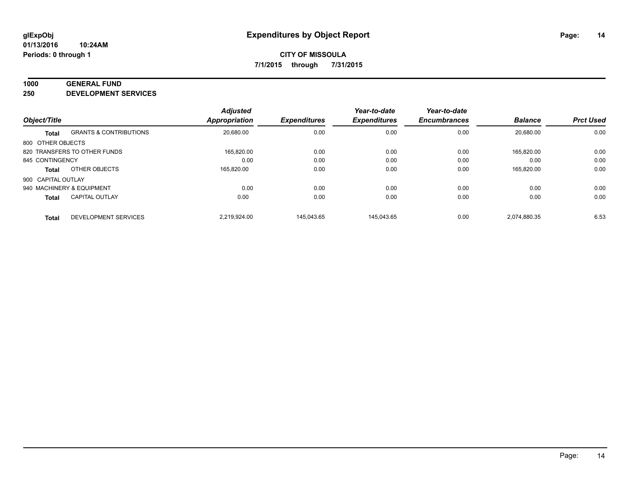#### **1000 GENERAL FUND**

**250 DEVELOPMENT SERVICES**

| Object/Title              |                                   | <b>Adjusted</b><br><b>Appropriation</b> | <b>Expenditures</b> | Year-to-date<br><b>Expenditures</b> | Year-to-date<br><b>Encumbrances</b> | <b>Balance</b> | <b>Prct Used</b> |
|---------------------------|-----------------------------------|-----------------------------------------|---------------------|-------------------------------------|-------------------------------------|----------------|------------------|
| <b>Total</b>              | <b>GRANTS &amp; CONTRIBUTIONS</b> | 20,680.00                               | 0.00                | 0.00                                | 0.00                                | 20.680.00      | 0.00             |
| 800 OTHER OBJECTS         |                                   |                                         |                     |                                     |                                     |                |                  |
|                           | 820 TRANSFERS TO OTHER FUNDS      | 165.820.00                              | 0.00                | 0.00                                | 0.00                                | 165.820.00     | 0.00             |
| 845 CONTINGENCY           |                                   | 0.00                                    | 0.00                | 0.00                                | 0.00                                | 0.00           | 0.00             |
| <b>Total</b>              | OTHER OBJECTS                     | 165.820.00                              | 0.00                | 0.00                                | 0.00                                | 165.820.00     | 0.00             |
| 900 CAPITAL OUTLAY        |                                   |                                         |                     |                                     |                                     |                |                  |
| 940 MACHINERY & EQUIPMENT |                                   | 0.00                                    | 0.00                | 0.00                                | 0.00                                | 0.00           | 0.00             |
| <b>Total</b>              | <b>CAPITAL OUTLAY</b>             | 0.00                                    | 0.00                | 0.00                                | 0.00                                | 0.00           | 0.00             |
| <b>Total</b>              | DEVELOPMENT SERVICES              | 2.219.924.00                            | 145.043.65          | 145.043.65                          | 0.00                                | 2.074.880.35   | 6.53             |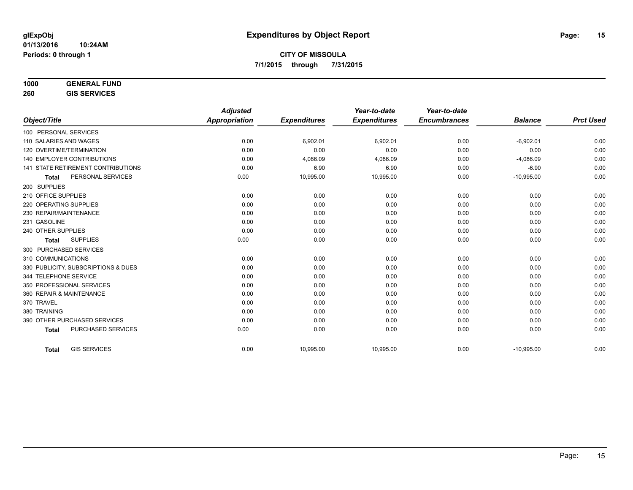## **1000 GENERAL FUND**

**260 GIS SERVICES**

|                                           | <b>Adjusted</b>      |                     | Year-to-date        | Year-to-date        |                |                  |
|-------------------------------------------|----------------------|---------------------|---------------------|---------------------|----------------|------------------|
| Object/Title                              | <b>Appropriation</b> | <b>Expenditures</b> | <b>Expenditures</b> | <b>Encumbrances</b> | <b>Balance</b> | <b>Prct Used</b> |
| 100 PERSONAL SERVICES                     |                      |                     |                     |                     |                |                  |
| 110 SALARIES AND WAGES                    | 0.00                 | 6,902.01            | 6,902.01            | 0.00                | $-6,902.01$    | 0.00             |
| 120 OVERTIME/TERMINATION                  | 0.00                 | 0.00                | 0.00                | 0.00                | 0.00           | 0.00             |
| <b>140 EMPLOYER CONTRIBUTIONS</b>         | 0.00                 | 4,086.09            | 4,086.09            | 0.00                | $-4,086.09$    | 0.00             |
| <b>141 STATE RETIREMENT CONTRIBUTIONS</b> | 0.00                 | 6.90                | 6.90                | 0.00                | $-6.90$        | 0.00             |
| PERSONAL SERVICES<br><b>Total</b>         | 0.00                 | 10,995.00           | 10,995.00           | 0.00                | $-10,995.00$   | 0.00             |
| 200 SUPPLIES                              |                      |                     |                     |                     |                |                  |
| 210 OFFICE SUPPLIES                       | 0.00                 | 0.00                | 0.00                | 0.00                | 0.00           | 0.00             |
| 220 OPERATING SUPPLIES                    | 0.00                 | 0.00                | 0.00                | 0.00                | 0.00           | 0.00             |
| 230 REPAIR/MAINTENANCE                    | 0.00                 | 0.00                | 0.00                | 0.00                | 0.00           | 0.00             |
| 231 GASOLINE                              | 0.00                 | 0.00                | 0.00                | 0.00                | 0.00           | 0.00             |
| 240 OTHER SUPPLIES                        | 0.00                 | 0.00                | 0.00                | 0.00                | 0.00           | 0.00             |
| <b>SUPPLIES</b><br><b>Total</b>           | 0.00                 | 0.00                | 0.00                | 0.00                | 0.00           | 0.00             |
| 300 PURCHASED SERVICES                    |                      |                     |                     |                     |                |                  |
| 310 COMMUNICATIONS                        | 0.00                 | 0.00                | 0.00                | 0.00                | 0.00           | 0.00             |
| 330 PUBLICITY, SUBSCRIPTIONS & DUES       | 0.00                 | 0.00                | 0.00                | 0.00                | 0.00           | 0.00             |
| 344 TELEPHONE SERVICE                     | 0.00                 | 0.00                | 0.00                | 0.00                | 0.00           | 0.00             |
| 350 PROFESSIONAL SERVICES                 | 0.00                 | 0.00                | 0.00                | 0.00                | 0.00           | 0.00             |
| 360 REPAIR & MAINTENANCE                  | 0.00                 | 0.00                | 0.00                | 0.00                | 0.00           | 0.00             |
| 370 TRAVEL                                | 0.00                 | 0.00                | 0.00                | 0.00                | 0.00           | 0.00             |
| 380 TRAINING                              | 0.00                 | 0.00                | 0.00                | 0.00                | 0.00           | 0.00             |
| 390 OTHER PURCHASED SERVICES              | 0.00                 | 0.00                | 0.00                | 0.00                | 0.00           | 0.00             |
| <b>PURCHASED SERVICES</b><br><b>Total</b> | 0.00                 | 0.00                | 0.00                | 0.00                | 0.00           | 0.00             |
|                                           |                      |                     |                     |                     |                |                  |
| <b>GIS SERVICES</b><br><b>Total</b>       | 0.00                 | 10,995.00           | 10,995.00           | 0.00                | $-10,995.00$   | 0.00             |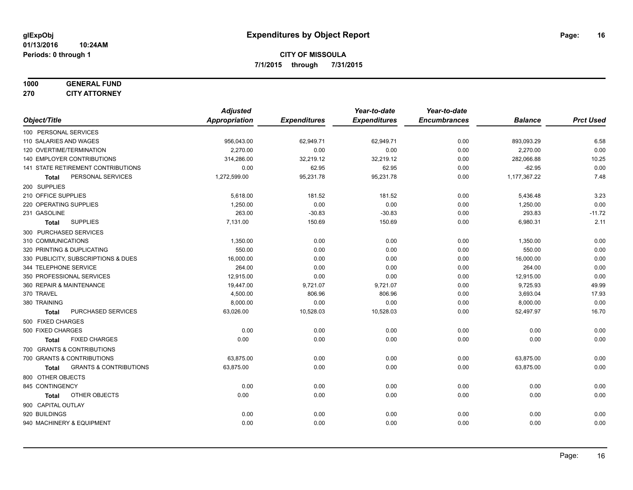#### **1000 GENERAL FUND 270 CITY ATTORNEY**

|                                     |                                   | <b>Adjusted</b> |                     | Year-to-date        | Year-to-date        |                |                  |
|-------------------------------------|-----------------------------------|-----------------|---------------------|---------------------|---------------------|----------------|------------------|
| Object/Title                        |                                   | Appropriation   | <b>Expenditures</b> | <b>Expenditures</b> | <b>Encumbrances</b> | <b>Balance</b> | <b>Prct Used</b> |
| 100 PERSONAL SERVICES               |                                   |                 |                     |                     |                     |                |                  |
| 110 SALARIES AND WAGES              |                                   | 956,043.00      | 62,949.71           | 62,949.71           | 0.00                | 893,093.29     | 6.58             |
| 120 OVERTIME/TERMINATION            |                                   | 2,270.00        | 0.00                | 0.00                | 0.00                | 2,270.00       | 0.00             |
| 140 EMPLOYER CONTRIBUTIONS          |                                   | 314,286.00      | 32,219.12           | 32,219.12           | 0.00                | 282,066.88     | 10.25            |
| 141 STATE RETIREMENT CONTRIBUTIONS  |                                   | 0.00            | 62.95               | 62.95               | 0.00                | $-62.95$       | 0.00             |
| Total                               | PERSONAL SERVICES                 | 1,272,599.00    | 95,231.78           | 95,231.78           | 0.00                | 1,177,367.22   | 7.48             |
| 200 SUPPLIES                        |                                   |                 |                     |                     |                     |                |                  |
| 210 OFFICE SUPPLIES                 |                                   | 5,618.00        | 181.52              | 181.52              | 0.00                | 5,436.48       | 3.23             |
| 220 OPERATING SUPPLIES              |                                   | 1.250.00        | 0.00                | 0.00                | 0.00                | 1,250.00       | 0.00             |
| 231 GASOLINE                        |                                   | 263.00          | $-30.83$            | $-30.83$            | 0.00                | 293.83         | $-11.72$         |
| <b>SUPPLIES</b><br><b>Total</b>     |                                   | 7,131.00        | 150.69              | 150.69              | 0.00                | 6,980.31       | 2.11             |
| 300 PURCHASED SERVICES              |                                   |                 |                     |                     |                     |                |                  |
| 310 COMMUNICATIONS                  |                                   | 1,350.00        | 0.00                | 0.00                | 0.00                | 1,350.00       | 0.00             |
| 320 PRINTING & DUPLICATING          |                                   | 550.00          | 0.00                | 0.00                | 0.00                | 550.00         | 0.00             |
| 330 PUBLICITY, SUBSCRIPTIONS & DUES |                                   | 16,000.00       | 0.00                | 0.00                | 0.00                | 16,000.00      | 0.00             |
| 344 TELEPHONE SERVICE               |                                   | 264.00          | 0.00                | 0.00                | 0.00                | 264.00         | 0.00             |
| 350 PROFESSIONAL SERVICES           |                                   | 12,915.00       | 0.00                | 0.00                | 0.00                | 12,915.00      | 0.00             |
| 360 REPAIR & MAINTENANCE            |                                   | 19,447.00       | 9,721.07            | 9,721.07            | 0.00                | 9,725.93       | 49.99            |
| 370 TRAVEL                          |                                   | 4,500.00        | 806.96              | 806.96              | 0.00                | 3,693.04       | 17.93            |
| 380 TRAINING                        |                                   | 8,000.00        | 0.00                | 0.00                | 0.00                | 8,000.00       | 0.00             |
| <b>Total</b>                        | PURCHASED SERVICES                | 63,026.00       | 10,528.03           | 10,528.03           | 0.00                | 52,497.97      | 16.70            |
| 500 FIXED CHARGES                   |                                   |                 |                     |                     |                     |                |                  |
| 500 FIXED CHARGES                   |                                   | 0.00            | 0.00                | 0.00                | 0.00                | 0.00           | 0.00             |
| <b>Total</b>                        | <b>FIXED CHARGES</b>              | 0.00            | 0.00                | 0.00                | 0.00                | 0.00           | 0.00             |
| 700 GRANTS & CONTRIBUTIONS          |                                   |                 |                     |                     |                     |                |                  |
| 700 GRANTS & CONTRIBUTIONS          |                                   | 63,875.00       | 0.00                | 0.00                | 0.00                | 63,875.00      | 0.00             |
| <b>Total</b>                        | <b>GRANTS &amp; CONTRIBUTIONS</b> | 63,875.00       | 0.00                | 0.00                | 0.00                | 63,875.00      | 0.00             |
| 800 OTHER OBJECTS                   |                                   |                 |                     |                     |                     |                |                  |
| 845 CONTINGENCY                     |                                   | 0.00            | 0.00                | 0.00                | 0.00                | 0.00           | 0.00             |
| <b>Total</b>                        | OTHER OBJECTS                     | 0.00            | 0.00                | 0.00                | 0.00                | 0.00           | 0.00             |
| 900 CAPITAL OUTLAY                  |                                   |                 |                     |                     |                     |                |                  |
| 920 BUILDINGS                       |                                   | 0.00            | 0.00                | 0.00                | 0.00                | 0.00           | 0.00             |
| 940 MACHINERY & EQUIPMENT           |                                   | 0.00            | 0.00                | 0.00                | 0.00                | 0.00           | 0.00             |
|                                     |                                   |                 |                     |                     |                     |                |                  |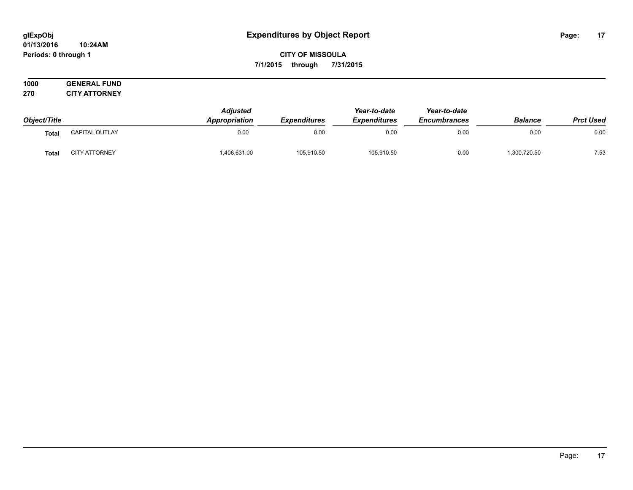#### **01/13/2016 10:24AM Periods: 0 through 1**

**CITY OF MISSOULA 7/1/2015 through 7/31/2015**

|              |                      | <b>Adjusted</b>      |                            | Year-to-date        | Year-to-date<br><b>Encumbrances</b> |                |                  |
|--------------|----------------------|----------------------|----------------------------|---------------------|-------------------------------------|----------------|------------------|
| Object/Title |                      | <b>Appropriation</b> | <i><b>Expenditures</b></i> | <b>Expenditures</b> |                                     | <b>Balance</b> | <b>Prct Used</b> |
| Total        | CAPITAL OUTLAY       | 0.00                 | 0.00                       | 0.00                | 0.00                                | 0.00           | 0.00             |
| <b>Total</b> | <b>CITY ATTORNEY</b> | 406,631.00           | 105,910.50                 | 105,910.50          | 0.00                                | 1,300,720.50   | 7.53             |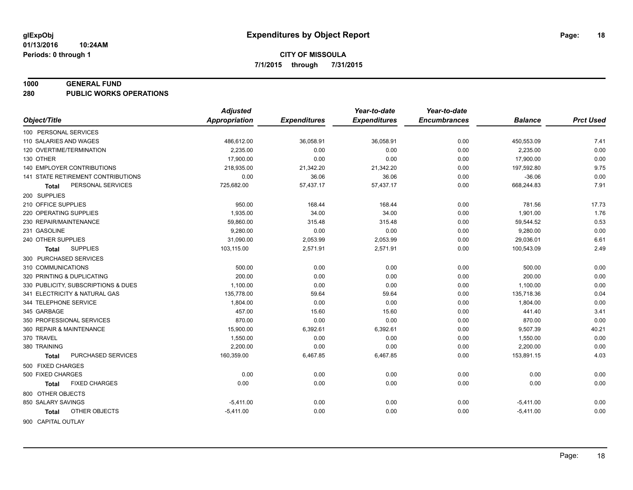#### **1000 GENERAL FUND**

**280 PUBLIC WORKS OPERATIONS**

| <b>Appropriation</b><br>Object/Title<br><b>Expenditures</b><br><b>Expenditures</b><br><b>Encumbrances</b><br><b>Balance</b><br>100 PERSONAL SERVICES<br>0.00<br>110 SALARIES AND WAGES<br>486,612.00<br>36,058.91<br>36,058.91<br>450,553.09<br>7.41<br>0.00<br>120 OVERTIME/TERMINATION<br>2.235.00<br>0.00<br>0.00<br>0.00<br>2,235.00<br>0.00<br>130 OTHER<br>17,900.00<br>0.00<br>0.00<br>0.00<br>17,900.00<br><b>140 EMPLOYER CONTRIBUTIONS</b><br>9.75<br>218,935.00<br>21,342.20<br>21,342.20<br>0.00<br>197,592.80<br>0.00<br>141 STATE RETIREMENT CONTRIBUTIONS<br>36.06<br>$-36.06$<br>0.00<br>36.06<br>0.00<br>57,437.17<br>668,244.83<br>7.91<br>PERSONAL SERVICES<br>725,682.00<br>57,437.17<br>0.00<br>Total<br>200 SUPPLIES<br>950.00<br>210 OFFICE SUPPLIES<br>168.44<br>168.44<br>0.00<br>781.56<br>17.73<br>220 OPERATING SUPPLIES<br>1,935.00<br>34.00<br>34.00<br>0.00<br>1,901.00<br>1.76<br>0.53<br>230 REPAIR/MAINTENANCE<br>59,860.00<br>315.48<br>315.48<br>0.00<br>59,544.52<br>0.00<br>231 GASOLINE<br>9,280.00<br>0.00<br>0.00<br>0.00<br>9,280.00<br>31,090.00<br>29,036.01<br>6.61<br>240 OTHER SUPPLIES<br>2,053.99<br>2,053.99<br>0.00<br>2.49<br><b>SUPPLIES</b><br>103,115.00<br>2,571.91<br>2,571.91<br>0.00<br>100,543.09<br>Total<br>300 PURCHASED SERVICES<br>310 COMMUNICATIONS<br>500.00<br>0.00<br>0.00<br>0.00<br>0.00<br>500.00<br>0.00<br>200.00<br>0.00<br>0.00<br>200.00<br>320 PRINTING & DUPLICATING<br>0.00<br>0.00<br>1,100.00<br>0.00<br>330 PUBLICITY, SUBSCRIPTIONS & DUES<br>0.00<br>0.00<br>1,100.00<br>0.04<br>341 ELECTRICITY & NATURAL GAS<br>135,778.00<br>59.64<br>59.64<br>0.00<br>135,718.36<br>0.00<br>0.00<br>344 TELEPHONE SERVICE<br>1,804.00<br>0.00<br>0.00<br>1,804.00<br>3.41<br>457.00<br>345 GARBAGE<br>15.60<br>15.60<br>0.00<br>441.40<br>0.00<br>350 PROFESSIONAL SERVICES<br>870.00<br>0.00<br>870.00<br>0.00<br>0.00<br>40.21<br>360 REPAIR & MAINTENANCE<br>15,900.00<br>6,392.61<br>6,392.61<br>0.00<br>9,507.39<br>370 TRAVEL<br>1,550.00<br>0.00<br>0.00<br>0.00<br>0.00<br>1,550.00<br>0.00<br>2,200.00<br>380 TRAINING<br>0.00<br>0.00<br>0.00<br>2,200.00<br>PURCHASED SERVICES<br>160,359.00<br>6,467.85<br>153,891.15<br>4.03<br>6,467.85<br>0.00<br><b>Total</b><br>500 FIXED CHARGES<br>0.00<br>0.00<br>500 FIXED CHARGES<br>0.00<br>0.00<br>0.00<br>0.00<br>0.00<br><b>FIXED CHARGES</b><br>0.00<br>0.00<br>0.00<br>0.00<br>0.00<br>Total<br>800 OTHER OBJECTS<br>850 SALARY SAVINGS<br>0.00<br>$-5,411.00$<br>0.00<br>0.00<br>0.00<br>$-5,411.00$ | <b>Adjusted</b> | Year-to-date | Year-to-date |                  |
|---------------------------------------------------------------------------------------------------------------------------------------------------------------------------------------------------------------------------------------------------------------------------------------------------------------------------------------------------------------------------------------------------------------------------------------------------------------------------------------------------------------------------------------------------------------------------------------------------------------------------------------------------------------------------------------------------------------------------------------------------------------------------------------------------------------------------------------------------------------------------------------------------------------------------------------------------------------------------------------------------------------------------------------------------------------------------------------------------------------------------------------------------------------------------------------------------------------------------------------------------------------------------------------------------------------------------------------------------------------------------------------------------------------------------------------------------------------------------------------------------------------------------------------------------------------------------------------------------------------------------------------------------------------------------------------------------------------------------------------------------------------------------------------------------------------------------------------------------------------------------------------------------------------------------------------------------------------------------------------------------------------------------------------------------------------------------------------------------------------------------------------------------------------------------------------------------------------------------------------------------------------------------------------------------------------------------------------------------------------------------------------------------------------------------------------------------------------------------------------------------------------------------------------------|-----------------|--------------|--------------|------------------|
|                                                                                                                                                                                                                                                                                                                                                                                                                                                                                                                                                                                                                                                                                                                                                                                                                                                                                                                                                                                                                                                                                                                                                                                                                                                                                                                                                                                                                                                                                                                                                                                                                                                                                                                                                                                                                                                                                                                                                                                                                                                                                                                                                                                                                                                                                                                                                                                                                                                                                                                                             |                 |              |              | <b>Prct Used</b> |
|                                                                                                                                                                                                                                                                                                                                                                                                                                                                                                                                                                                                                                                                                                                                                                                                                                                                                                                                                                                                                                                                                                                                                                                                                                                                                                                                                                                                                                                                                                                                                                                                                                                                                                                                                                                                                                                                                                                                                                                                                                                                                                                                                                                                                                                                                                                                                                                                                                                                                                                                             |                 |              |              |                  |
|                                                                                                                                                                                                                                                                                                                                                                                                                                                                                                                                                                                                                                                                                                                                                                                                                                                                                                                                                                                                                                                                                                                                                                                                                                                                                                                                                                                                                                                                                                                                                                                                                                                                                                                                                                                                                                                                                                                                                                                                                                                                                                                                                                                                                                                                                                                                                                                                                                                                                                                                             |                 |              |              |                  |
|                                                                                                                                                                                                                                                                                                                                                                                                                                                                                                                                                                                                                                                                                                                                                                                                                                                                                                                                                                                                                                                                                                                                                                                                                                                                                                                                                                                                                                                                                                                                                                                                                                                                                                                                                                                                                                                                                                                                                                                                                                                                                                                                                                                                                                                                                                                                                                                                                                                                                                                                             |                 |              |              |                  |
|                                                                                                                                                                                                                                                                                                                                                                                                                                                                                                                                                                                                                                                                                                                                                                                                                                                                                                                                                                                                                                                                                                                                                                                                                                                                                                                                                                                                                                                                                                                                                                                                                                                                                                                                                                                                                                                                                                                                                                                                                                                                                                                                                                                                                                                                                                                                                                                                                                                                                                                                             |                 |              |              |                  |
|                                                                                                                                                                                                                                                                                                                                                                                                                                                                                                                                                                                                                                                                                                                                                                                                                                                                                                                                                                                                                                                                                                                                                                                                                                                                                                                                                                                                                                                                                                                                                                                                                                                                                                                                                                                                                                                                                                                                                                                                                                                                                                                                                                                                                                                                                                                                                                                                                                                                                                                                             |                 |              |              |                  |
|                                                                                                                                                                                                                                                                                                                                                                                                                                                                                                                                                                                                                                                                                                                                                                                                                                                                                                                                                                                                                                                                                                                                                                                                                                                                                                                                                                                                                                                                                                                                                                                                                                                                                                                                                                                                                                                                                                                                                                                                                                                                                                                                                                                                                                                                                                                                                                                                                                                                                                                                             |                 |              |              |                  |
|                                                                                                                                                                                                                                                                                                                                                                                                                                                                                                                                                                                                                                                                                                                                                                                                                                                                                                                                                                                                                                                                                                                                                                                                                                                                                                                                                                                                                                                                                                                                                                                                                                                                                                                                                                                                                                                                                                                                                                                                                                                                                                                                                                                                                                                                                                                                                                                                                                                                                                                                             |                 |              |              |                  |
|                                                                                                                                                                                                                                                                                                                                                                                                                                                                                                                                                                                                                                                                                                                                                                                                                                                                                                                                                                                                                                                                                                                                                                                                                                                                                                                                                                                                                                                                                                                                                                                                                                                                                                                                                                                                                                                                                                                                                                                                                                                                                                                                                                                                                                                                                                                                                                                                                                                                                                                                             |                 |              |              |                  |
|                                                                                                                                                                                                                                                                                                                                                                                                                                                                                                                                                                                                                                                                                                                                                                                                                                                                                                                                                                                                                                                                                                                                                                                                                                                                                                                                                                                                                                                                                                                                                                                                                                                                                                                                                                                                                                                                                                                                                                                                                                                                                                                                                                                                                                                                                                                                                                                                                                                                                                                                             |                 |              |              |                  |
|                                                                                                                                                                                                                                                                                                                                                                                                                                                                                                                                                                                                                                                                                                                                                                                                                                                                                                                                                                                                                                                                                                                                                                                                                                                                                                                                                                                                                                                                                                                                                                                                                                                                                                                                                                                                                                                                                                                                                                                                                                                                                                                                                                                                                                                                                                                                                                                                                                                                                                                                             |                 |              |              |                  |
|                                                                                                                                                                                                                                                                                                                                                                                                                                                                                                                                                                                                                                                                                                                                                                                                                                                                                                                                                                                                                                                                                                                                                                                                                                                                                                                                                                                                                                                                                                                                                                                                                                                                                                                                                                                                                                                                                                                                                                                                                                                                                                                                                                                                                                                                                                                                                                                                                                                                                                                                             |                 |              |              |                  |
|                                                                                                                                                                                                                                                                                                                                                                                                                                                                                                                                                                                                                                                                                                                                                                                                                                                                                                                                                                                                                                                                                                                                                                                                                                                                                                                                                                                                                                                                                                                                                                                                                                                                                                                                                                                                                                                                                                                                                                                                                                                                                                                                                                                                                                                                                                                                                                                                                                                                                                                                             |                 |              |              |                  |
|                                                                                                                                                                                                                                                                                                                                                                                                                                                                                                                                                                                                                                                                                                                                                                                                                                                                                                                                                                                                                                                                                                                                                                                                                                                                                                                                                                                                                                                                                                                                                                                                                                                                                                                                                                                                                                                                                                                                                                                                                                                                                                                                                                                                                                                                                                                                                                                                                                                                                                                                             |                 |              |              |                  |
|                                                                                                                                                                                                                                                                                                                                                                                                                                                                                                                                                                                                                                                                                                                                                                                                                                                                                                                                                                                                                                                                                                                                                                                                                                                                                                                                                                                                                                                                                                                                                                                                                                                                                                                                                                                                                                                                                                                                                                                                                                                                                                                                                                                                                                                                                                                                                                                                                                                                                                                                             |                 |              |              |                  |
|                                                                                                                                                                                                                                                                                                                                                                                                                                                                                                                                                                                                                                                                                                                                                                                                                                                                                                                                                                                                                                                                                                                                                                                                                                                                                                                                                                                                                                                                                                                                                                                                                                                                                                                                                                                                                                                                                                                                                                                                                                                                                                                                                                                                                                                                                                                                                                                                                                                                                                                                             |                 |              |              |                  |
|                                                                                                                                                                                                                                                                                                                                                                                                                                                                                                                                                                                                                                                                                                                                                                                                                                                                                                                                                                                                                                                                                                                                                                                                                                                                                                                                                                                                                                                                                                                                                                                                                                                                                                                                                                                                                                                                                                                                                                                                                                                                                                                                                                                                                                                                                                                                                                                                                                                                                                                                             |                 |              |              |                  |
|                                                                                                                                                                                                                                                                                                                                                                                                                                                                                                                                                                                                                                                                                                                                                                                                                                                                                                                                                                                                                                                                                                                                                                                                                                                                                                                                                                                                                                                                                                                                                                                                                                                                                                                                                                                                                                                                                                                                                                                                                                                                                                                                                                                                                                                                                                                                                                                                                                                                                                                                             |                 |              |              |                  |
|                                                                                                                                                                                                                                                                                                                                                                                                                                                                                                                                                                                                                                                                                                                                                                                                                                                                                                                                                                                                                                                                                                                                                                                                                                                                                                                                                                                                                                                                                                                                                                                                                                                                                                                                                                                                                                                                                                                                                                                                                                                                                                                                                                                                                                                                                                                                                                                                                                                                                                                                             |                 |              |              |                  |
|                                                                                                                                                                                                                                                                                                                                                                                                                                                                                                                                                                                                                                                                                                                                                                                                                                                                                                                                                                                                                                                                                                                                                                                                                                                                                                                                                                                                                                                                                                                                                                                                                                                                                                                                                                                                                                                                                                                                                                                                                                                                                                                                                                                                                                                                                                                                                                                                                                                                                                                                             |                 |              |              |                  |
|                                                                                                                                                                                                                                                                                                                                                                                                                                                                                                                                                                                                                                                                                                                                                                                                                                                                                                                                                                                                                                                                                                                                                                                                                                                                                                                                                                                                                                                                                                                                                                                                                                                                                                                                                                                                                                                                                                                                                                                                                                                                                                                                                                                                                                                                                                                                                                                                                                                                                                                                             |                 |              |              |                  |
|                                                                                                                                                                                                                                                                                                                                                                                                                                                                                                                                                                                                                                                                                                                                                                                                                                                                                                                                                                                                                                                                                                                                                                                                                                                                                                                                                                                                                                                                                                                                                                                                                                                                                                                                                                                                                                                                                                                                                                                                                                                                                                                                                                                                                                                                                                                                                                                                                                                                                                                                             |                 |              |              |                  |
|                                                                                                                                                                                                                                                                                                                                                                                                                                                                                                                                                                                                                                                                                                                                                                                                                                                                                                                                                                                                                                                                                                                                                                                                                                                                                                                                                                                                                                                                                                                                                                                                                                                                                                                                                                                                                                                                                                                                                                                                                                                                                                                                                                                                                                                                                                                                                                                                                                                                                                                                             |                 |              |              |                  |
|                                                                                                                                                                                                                                                                                                                                                                                                                                                                                                                                                                                                                                                                                                                                                                                                                                                                                                                                                                                                                                                                                                                                                                                                                                                                                                                                                                                                                                                                                                                                                                                                                                                                                                                                                                                                                                                                                                                                                                                                                                                                                                                                                                                                                                                                                                                                                                                                                                                                                                                                             |                 |              |              |                  |
|                                                                                                                                                                                                                                                                                                                                                                                                                                                                                                                                                                                                                                                                                                                                                                                                                                                                                                                                                                                                                                                                                                                                                                                                                                                                                                                                                                                                                                                                                                                                                                                                                                                                                                                                                                                                                                                                                                                                                                                                                                                                                                                                                                                                                                                                                                                                                                                                                                                                                                                                             |                 |              |              |                  |
|                                                                                                                                                                                                                                                                                                                                                                                                                                                                                                                                                                                                                                                                                                                                                                                                                                                                                                                                                                                                                                                                                                                                                                                                                                                                                                                                                                                                                                                                                                                                                                                                                                                                                                                                                                                                                                                                                                                                                                                                                                                                                                                                                                                                                                                                                                                                                                                                                                                                                                                                             |                 |              |              |                  |
|                                                                                                                                                                                                                                                                                                                                                                                                                                                                                                                                                                                                                                                                                                                                                                                                                                                                                                                                                                                                                                                                                                                                                                                                                                                                                                                                                                                                                                                                                                                                                                                                                                                                                                                                                                                                                                                                                                                                                                                                                                                                                                                                                                                                                                                                                                                                                                                                                                                                                                                                             |                 |              |              |                  |
|                                                                                                                                                                                                                                                                                                                                                                                                                                                                                                                                                                                                                                                                                                                                                                                                                                                                                                                                                                                                                                                                                                                                                                                                                                                                                                                                                                                                                                                                                                                                                                                                                                                                                                                                                                                                                                                                                                                                                                                                                                                                                                                                                                                                                                                                                                                                                                                                                                                                                                                                             |                 |              |              |                  |
|                                                                                                                                                                                                                                                                                                                                                                                                                                                                                                                                                                                                                                                                                                                                                                                                                                                                                                                                                                                                                                                                                                                                                                                                                                                                                                                                                                                                                                                                                                                                                                                                                                                                                                                                                                                                                                                                                                                                                                                                                                                                                                                                                                                                                                                                                                                                                                                                                                                                                                                                             |                 |              |              |                  |
|                                                                                                                                                                                                                                                                                                                                                                                                                                                                                                                                                                                                                                                                                                                                                                                                                                                                                                                                                                                                                                                                                                                                                                                                                                                                                                                                                                                                                                                                                                                                                                                                                                                                                                                                                                                                                                                                                                                                                                                                                                                                                                                                                                                                                                                                                                                                                                                                                                                                                                                                             |                 |              |              |                  |
|                                                                                                                                                                                                                                                                                                                                                                                                                                                                                                                                                                                                                                                                                                                                                                                                                                                                                                                                                                                                                                                                                                                                                                                                                                                                                                                                                                                                                                                                                                                                                                                                                                                                                                                                                                                                                                                                                                                                                                                                                                                                                                                                                                                                                                                                                                                                                                                                                                                                                                                                             |                 |              |              |                  |
|                                                                                                                                                                                                                                                                                                                                                                                                                                                                                                                                                                                                                                                                                                                                                                                                                                                                                                                                                                                                                                                                                                                                                                                                                                                                                                                                                                                                                                                                                                                                                                                                                                                                                                                                                                                                                                                                                                                                                                                                                                                                                                                                                                                                                                                                                                                                                                                                                                                                                                                                             |                 |              |              |                  |
| OTHER OBJECTS<br>$-5,411.00$<br>0.00<br>0.00<br>0.00<br>0.00<br>$-5,411.00$<br>Total                                                                                                                                                                                                                                                                                                                                                                                                                                                                                                                                                                                                                                                                                                                                                                                                                                                                                                                                                                                                                                                                                                                                                                                                                                                                                                                                                                                                                                                                                                                                                                                                                                                                                                                                                                                                                                                                                                                                                                                                                                                                                                                                                                                                                                                                                                                                                                                                                                                        |                 |              |              |                  |
| 900 CAPITAL OUTLAY                                                                                                                                                                                                                                                                                                                                                                                                                                                                                                                                                                                                                                                                                                                                                                                                                                                                                                                                                                                                                                                                                                                                                                                                                                                                                                                                                                                                                                                                                                                                                                                                                                                                                                                                                                                                                                                                                                                                                                                                                                                                                                                                                                                                                                                                                                                                                                                                                                                                                                                          |                 |              |              |                  |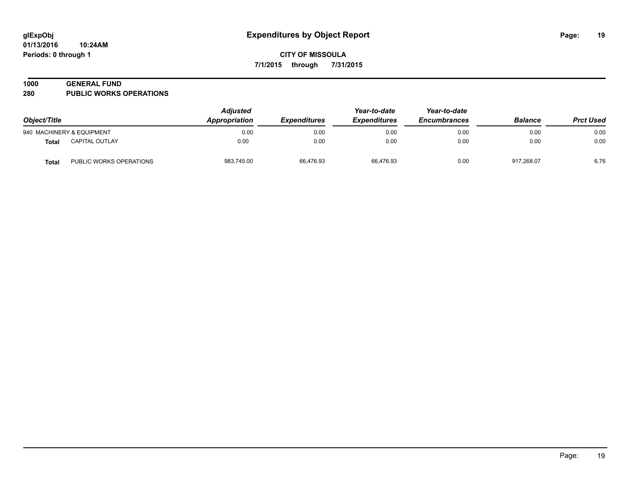#### **1000 GENERAL FUND**

**280 PUBLIC WORKS OPERATIONS**

| Object/Title |                           | <b>Adjusted</b><br>Appropriation<br><i><b>Expenditures</b></i> | Year-to-date<br><b>Expenditures</b> | Year-to-date<br><b>Encumbrances</b> | <b>Balance</b> | <b>Prct Used</b> |      |
|--------------|---------------------------|----------------------------------------------------------------|-------------------------------------|-------------------------------------|----------------|------------------|------|
|              | 940 MACHINERY & EQUIPMENT | 0.00                                                           | 0.00                                | 0.00                                | 0.00           | 0.00             | 0.00 |
| Total        | CAPITAL OUTLAY            | 0.00                                                           | 0.00                                | 0.00                                | 0.00           | 0.00             | 0.00 |
| Total        | PUBLIC WORKS OPERATIONS   | 983,745.00                                                     | 66,476.93                           | 66,476.93                           | 0.00           | 917,268.07       | 6.76 |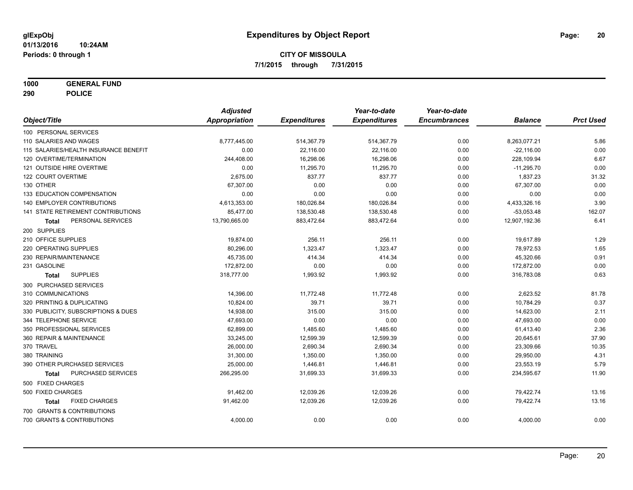**1000 GENERAL FUND**

**290 POLICE**

|                                           | <b>Adjusted</b>      |                     | Year-to-date        | Year-to-date        |                |                  |
|-------------------------------------------|----------------------|---------------------|---------------------|---------------------|----------------|------------------|
| Object/Title                              | <b>Appropriation</b> | <b>Expenditures</b> | <b>Expenditures</b> | <b>Encumbrances</b> | <b>Balance</b> | <b>Prct Used</b> |
| 100 PERSONAL SERVICES                     |                      |                     |                     |                     |                |                  |
| 110 SALARIES AND WAGES                    | 8,777,445.00         | 514,367.79          | 514,367.79          | 0.00                | 8,263,077.21   | 5.86             |
| 115 SALARIES/HEALTH INSURANCE BENEFIT     | 0.00                 | 22,116.00           | 22,116.00           | 0.00                | $-22,116.00$   | 0.00             |
| 120 OVERTIME/TERMINATION                  | 244,408.00           | 16,298.06           | 16,298.06           | 0.00                | 228,109.94     | 6.67             |
| 121 OUTSIDE HIRE OVERTIME                 | 0.00                 | 11,295.70           | 11,295.70           | 0.00                | $-11,295.70$   | 0.00             |
| 122 COURT OVERTIME                        | 2,675.00             | 837.77              | 837.77              | 0.00                | 1,837.23       | 31.32            |
| 130 OTHER                                 | 67,307.00            | 0.00                | 0.00                | 0.00                | 67,307.00      | 0.00             |
| 133 EDUCATION COMPENSATION                | 0.00                 | 0.00                | 0.00                | 0.00                | 0.00           | 0.00             |
| <b>140 EMPLOYER CONTRIBUTIONS</b>         | 4,613,353.00         | 180,026.84          | 180,026.84          | 0.00                | 4,433,326.16   | 3.90             |
| <b>141 STATE RETIREMENT CONTRIBUTIONS</b> | 85,477.00            | 138,530.48          | 138,530.48          | 0.00                | $-53,053.48$   | 162.07           |
| PERSONAL SERVICES<br>Total                | 13,790,665.00        | 883,472.64          | 883,472.64          | 0.00                | 12,907,192.36  | 6.41             |
| 200 SUPPLIES                              |                      |                     |                     |                     |                |                  |
| 210 OFFICE SUPPLIES                       | 19,874.00            | 256.11              | 256.11              | 0.00                | 19,617.89      | 1.29             |
| 220 OPERATING SUPPLIES                    | 80,296.00            | 1,323.47            | 1,323.47            | 0.00                | 78,972.53      | 1.65             |
| 230 REPAIR/MAINTENANCE                    | 45,735.00            | 414.34              | 414.34              | 0.00                | 45,320.66      | 0.91             |
| 231 GASOLINE                              | 172,872.00           | 0.00                | 0.00                | 0.00                | 172,872.00     | 0.00             |
| <b>SUPPLIES</b><br>Total                  | 318,777.00           | 1,993.92            | 1,993.92            | 0.00                | 316,783.08     | 0.63             |
| 300 PURCHASED SERVICES                    |                      |                     |                     |                     |                |                  |
| 310 COMMUNICATIONS                        | 14,396.00            | 11,772.48           | 11,772.48           | 0.00                | 2,623.52       | 81.78            |
| 320 PRINTING & DUPLICATING                | 10,824.00            | 39.71               | 39.71               | 0.00                | 10,784.29      | 0.37             |
| 330 PUBLICITY, SUBSCRIPTIONS & DUES       | 14,938.00            | 315.00              | 315.00              | 0.00                | 14,623.00      | 2.11             |
| 344 TELEPHONE SERVICE                     | 47,693.00            | 0.00                | 0.00                | 0.00                | 47,693.00      | 0.00             |
| 350 PROFESSIONAL SERVICES                 | 62,899.00            | 1,485.60            | 1,485.60            | 0.00                | 61,413.40      | 2.36             |
| 360 REPAIR & MAINTENANCE                  | 33,245.00            | 12,599.39           | 12,599.39           | 0.00                | 20,645.61      | 37.90            |
| 370 TRAVEL                                | 26,000.00            | 2,690.34            | 2,690.34            | 0.00                | 23,309.66      | 10.35            |
| 380 TRAINING                              | 31,300.00            | 1,350.00            | 1,350.00            | 0.00                | 29,950.00      | 4.31             |
| 390 OTHER PURCHASED SERVICES              | 25,000.00            | 1,446.81            | 1,446.81            | 0.00                | 23,553.19      | 5.79             |
| PURCHASED SERVICES<br>Total               | 266,295.00           | 31,699.33           | 31,699.33           | 0.00                | 234,595.67     | 11.90            |
| 500 FIXED CHARGES                         |                      |                     |                     |                     |                |                  |
| 500 FIXED CHARGES                         | 91,462.00            | 12,039.26           | 12,039.26           | 0.00                | 79,422.74      | 13.16            |
| <b>FIXED CHARGES</b><br>Total             | 91,462.00            | 12,039.26           | 12,039.26           | 0.00                | 79,422.74      | 13.16            |
| 700 GRANTS & CONTRIBUTIONS                |                      |                     |                     |                     |                |                  |
| 700 GRANTS & CONTRIBUTIONS                | 4,000.00             | 0.00                | 0.00                | 0.00                | 4,000.00       | 0.00             |
|                                           |                      |                     |                     |                     |                |                  |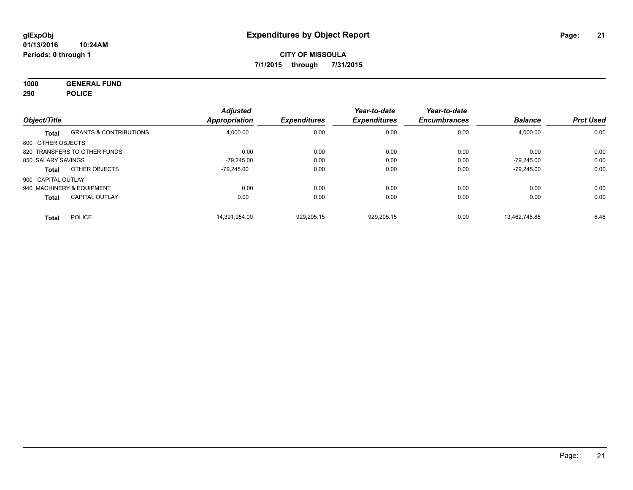**1000 GENERAL FUND 290 POLICE**

| Object/Title       |                                   | <b>Adjusted</b><br><b>Appropriation</b> | <b>Expenditures</b> | Year-to-date<br><b>Expenditures</b> | Year-to-date<br><b>Encumbrances</b> | <b>Balance</b> | <b>Prct Used</b> |
|--------------------|-----------------------------------|-----------------------------------------|---------------------|-------------------------------------|-------------------------------------|----------------|------------------|
|                    |                                   |                                         |                     |                                     |                                     |                |                  |
| Total              | <b>GRANTS &amp; CONTRIBUTIONS</b> | 4,000.00                                | 0.00                | 0.00                                | 0.00                                | 4,000.00       | 0.00             |
| 800 OTHER OBJECTS  |                                   |                                         |                     |                                     |                                     |                |                  |
|                    | 820 TRANSFERS TO OTHER FUNDS      | 0.00                                    | 0.00                | 0.00                                | 0.00                                | 0.00           | 0.00             |
| 850 SALARY SAVINGS |                                   | $-79.245.00$                            | 0.00                | 0.00                                | 0.00                                | $-79.245.00$   | 0.00             |
| Total              | OTHER OBJECTS                     | $-79.245.00$                            | 0.00                | 0.00                                | 0.00                                | $-79,245.00$   | 0.00             |
| 900 CAPITAL OUTLAY |                                   |                                         |                     |                                     |                                     |                |                  |
|                    | 940 MACHINERY & EQUIPMENT         | 0.00                                    | 0.00                | 0.00                                | 0.00                                | 0.00           | 0.00             |
| <b>Total</b>       | <b>CAPITAL OUTLAY</b>             | 0.00                                    | 0.00                | 0.00                                | 0.00                                | 0.00           | 0.00             |
| <b>Total</b>       | <b>POLICE</b>                     | 14.391.954.00                           | 929.205.15          | 929.205.15                          | 0.00                                | 13.462.748.85  | 6.46             |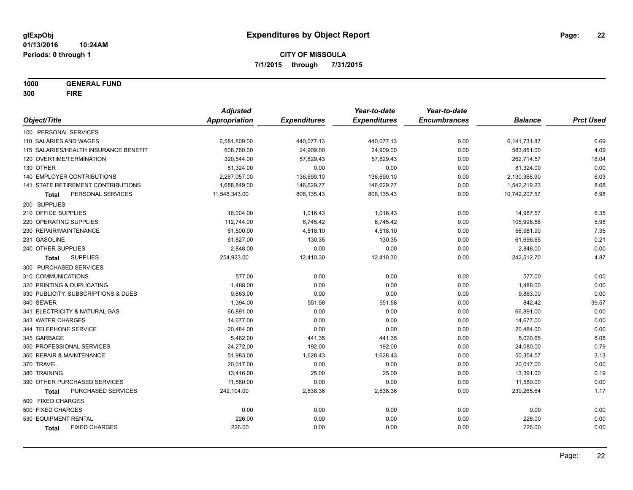**1000 GENERAL FUND 300 FIRE**

|                                       | <b>Adjusted</b> |                     | Year-to-date        | Year-to-date        |                |                  |
|---------------------------------------|-----------------|---------------------|---------------------|---------------------|----------------|------------------|
| Object/Title                          | Appropriation   | <b>Expenditures</b> | <b>Expenditures</b> | <b>Encumbrances</b> | <b>Balance</b> | <b>Prct Used</b> |
| 100 PERSONAL SERVICES                 |                 |                     |                     |                     |                |                  |
| 110 SALARIES AND WAGES                | 6,581,809.00    | 440,077.13          | 440,077.13          | 0.00                | 6,141,731.87   | 6.69             |
| 115 SALARIES/HEALTH INSURANCE BENEFIT | 608,760.00      | 24,909.00           | 24,909.00           | 0.00                | 583,851.00     | 4.09             |
| 120 OVERTIME/TERMINATION              | 320,544.00      | 57,829.43           | 57,829.43           | 0.00                | 262,714.57     | 18.04            |
| 130 OTHER                             | 81,324.00       | 0.00                | 0.00                | 0.00                | 81,324.00      | 0.00             |
| <b>140 EMPLOYER CONTRIBUTIONS</b>     | 2,267,057.00    | 136,690.10          | 136,690.10          | 0.00                | 2,130,366.90   | 6.03             |
| 141 STATE RETIREMENT CONTRIBUTIONS    | 1,688,849.00    | 146,629.77          | 146,629.77          | 0.00                | 1,542,219.23   | 8.68             |
| PERSONAL SERVICES<br>Total            | 11,548,343.00   | 806,135.43          | 806,135.43          | 0.00                | 10,742,207.57  | 6.98             |
| 200 SUPPLIES                          |                 |                     |                     |                     |                |                  |
| 210 OFFICE SUPPLIES                   | 16,004.00       | 1,016.43            | 1,016.43            | 0.00                | 14,987.57      | 6.35             |
| 220 OPERATING SUPPLIES                | 112,744.00      | 6,745.42            | 6,745.42            | 0.00                | 105,998.58     | 5.98             |
| 230 REPAIR/MAINTENANCE                | 61,500.00       | 4,518.10            | 4,518.10            | 0.00                | 56,981.90      | 7.35             |
| 231 GASOLINE                          | 61,827.00       | 130.35              | 130.35              | 0.00                | 61,696.65      | 0.21             |
| 240 OTHER SUPPLIES                    | 2,848.00        | 0.00                | 0.00                | 0.00                | 2,848.00       | 0.00             |
| <b>SUPPLIES</b><br>Total              | 254,923.00      | 12,410.30           | 12,410.30           | 0.00                | 242,512.70     | 4.87             |
| 300 PURCHASED SERVICES                |                 |                     |                     |                     |                |                  |
| 310 COMMUNICATIONS                    | 577.00          | 0.00                | 0.00                | 0.00                | 577.00         | 0.00             |
| 320 PRINTING & DUPLICATING            | 1,488.00        | 0.00                | 0.00                | 0.00                | 1,488.00       | 0.00             |
| 330 PUBLICITY, SUBSCRIPTIONS & DUES   | 9,863.00        | 0.00                | 0.00                | 0.00                | 9,863.00       | 0.00             |
| 340 SEWER                             | 1,394.00        | 551.58              | 551.58              | 0.00                | 842.42         | 39.57            |
| 341 ELECTRICITY & NATURAL GAS         | 66,891.00       | 0.00                | 0.00                | 0.00                | 66,891.00      | 0.00             |
| 343 WATER CHARGES                     | 14,677.00       | 0.00                | 0.00                | 0.00                | 14,677.00      | 0.00             |
| 344 TELEPHONE SERVICE                 | 20,484.00       | 0.00                | 0.00                | 0.00                | 20,484.00      | 0.00             |
| 345 GARBAGE                           | 5,462.00        | 441.35              | 441.35              | 0.00                | 5,020.65       | 8.08             |
| 350 PROFESSIONAL SERVICES             | 24,272.00       | 192.00              | 192.00              | 0.00                | 24,080.00      | 0.79             |
| 360 REPAIR & MAINTENANCE              | 51,983.00       | 1,628.43            | 1,628.43            | 0.00                | 50,354.57      | 3.13             |
| 370 TRAVEL                            | 20,017.00       | 0.00                | 0.00                | 0.00                | 20,017.00      | 0.00             |
| 380 TRAINING                          | 13,416.00       | 25.00               | 25.00               | 0.00                | 13,391.00      | 0.19             |
| 390 OTHER PURCHASED SERVICES          | 11,580.00       | 0.00                | 0.00                | 0.00                | 11,580.00      | 0.00             |
| PURCHASED SERVICES<br><b>Total</b>    | 242,104.00      | 2,838.36            | 2,838.36            | 0.00                | 239,265.64     | 1.17             |
| 500 FIXED CHARGES                     |                 |                     |                     |                     |                |                  |
| 500 FIXED CHARGES                     | 0.00            | 0.00                | 0.00                | 0.00                | 0.00           | 0.00             |
| 530 EQUIPMENT RENTAL                  | 226.00          | 0.00                | 0.00                | 0.00                | 226.00         | 0.00             |
| <b>FIXED CHARGES</b><br>Total         | 226.00          | 0.00                | 0.00                | 0.00                | 226.00         | 0.00             |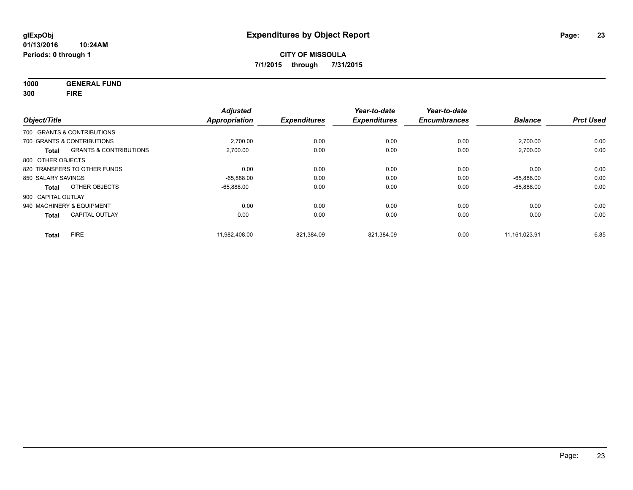**1000 GENERAL FUND**

**300 FIRE**

| Object/Title       |                                   | <b>Adjusted</b><br><b>Appropriation</b> | <b>Expenditures</b> | Year-to-date<br><b>Expenditures</b> | Year-to-date<br><b>Encumbrances</b> | <b>Balance</b> | <b>Prct Used</b> |
|--------------------|-----------------------------------|-----------------------------------------|---------------------|-------------------------------------|-------------------------------------|----------------|------------------|
|                    | 700 GRANTS & CONTRIBUTIONS        |                                         |                     |                                     |                                     |                |                  |
|                    | 700 GRANTS & CONTRIBUTIONS        | 2,700.00                                | 0.00                | 0.00                                | 0.00                                | 2,700.00       | 0.00             |
| <b>Total</b>       | <b>GRANTS &amp; CONTRIBUTIONS</b> | 2,700.00                                | 0.00                | 0.00                                | 0.00                                | 2,700.00       | 0.00             |
| 800 OTHER OBJECTS  |                                   |                                         |                     |                                     |                                     |                |                  |
|                    | 820 TRANSFERS TO OTHER FUNDS      | 0.00                                    | 0.00                | 0.00                                | 0.00                                | 0.00           | 0.00             |
| 850 SALARY SAVINGS |                                   | $-65,888.00$                            | 0.00                | 0.00                                | 0.00                                | $-65.888.00$   | 0.00             |
| Total              | OTHER OBJECTS                     | $-65.888.00$                            | 0.00                | 0.00                                | 0.00                                | $-65,888.00$   | 0.00             |
| 900 CAPITAL OUTLAY |                                   |                                         |                     |                                     |                                     |                |                  |
|                    | 940 MACHINERY & EQUIPMENT         | 0.00                                    | 0.00                | 0.00                                | 0.00                                | 0.00           | 0.00             |
| <b>Total</b>       | <b>CAPITAL OUTLAY</b>             | 0.00                                    | 0.00                | 0.00                                | 0.00                                | 0.00           | 0.00             |
| <b>Total</b>       | <b>FIRE</b>                       | 11.982.408.00                           | 821.384.09          | 821.384.09                          | 0.00                                | 11.161.023.91  | 6.85             |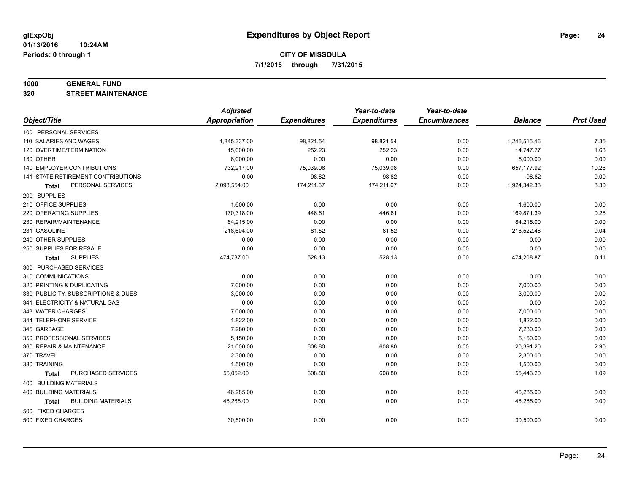#### **1000 GENERAL FUND**

**320 STREET MAINTENANCE**

|                                     | <b>Adjusted</b>      |                     | Year-to-date        | Year-to-date        |                |                  |
|-------------------------------------|----------------------|---------------------|---------------------|---------------------|----------------|------------------|
| Object/Title                        | <b>Appropriation</b> | <b>Expenditures</b> | <b>Expenditures</b> | <b>Encumbrances</b> | <b>Balance</b> | <b>Prct Used</b> |
| 100 PERSONAL SERVICES               |                      |                     |                     |                     |                |                  |
| 110 SALARIES AND WAGES              | 1,345,337.00         | 98,821.54           | 98,821.54           | 0.00                | 1,246,515.46   | 7.35             |
| 120 OVERTIME/TERMINATION            | 15,000.00            | 252.23              | 252.23              | 0.00                | 14,747.77      | 1.68             |
| 130 OTHER                           | 6,000.00             | 0.00                | 0.00                | 0.00                | 6,000.00       | 0.00             |
| 140 EMPLOYER CONTRIBUTIONS          | 732,217.00           | 75,039.08           | 75,039.08           | 0.00                | 657,177.92     | 10.25            |
| 141 STATE RETIREMENT CONTRIBUTIONS  | 0.00                 | 98.82               | 98.82               | 0.00                | $-98.82$       | 0.00             |
| PERSONAL SERVICES<br>Total          | 2,098,554.00         | 174,211.67          | 174,211.67          | 0.00                | 1,924,342.33   | 8.30             |
| 200 SUPPLIES                        |                      |                     |                     |                     |                |                  |
| 210 OFFICE SUPPLIES                 | 1,600.00             | 0.00                | 0.00                | 0.00                | 1,600.00       | 0.00             |
| 220 OPERATING SUPPLIES              | 170,318.00           | 446.61              | 446.61              | 0.00                | 169,871.39     | 0.26             |
| 230 REPAIR/MAINTENANCE              | 84,215.00            | 0.00                | 0.00                | 0.00                | 84,215.00      | 0.00             |
| 231 GASOLINE                        | 218,604.00           | 81.52               | 81.52               | 0.00                | 218,522.48     | 0.04             |
| 240 OTHER SUPPLIES                  | 0.00                 | 0.00                | 0.00                | 0.00                | 0.00           | 0.00             |
| 250 SUPPLIES FOR RESALE             | 0.00                 | 0.00                | 0.00                | 0.00                | 0.00           | 0.00             |
| <b>SUPPLIES</b><br><b>Total</b>     | 474,737.00           | 528.13              | 528.13              | 0.00                | 474,208.87     | 0.11             |
| 300 PURCHASED SERVICES              |                      |                     |                     |                     |                |                  |
| 310 COMMUNICATIONS                  | 0.00                 | 0.00                | 0.00                | 0.00                | 0.00           | 0.00             |
| 320 PRINTING & DUPLICATING          | 7,000.00             | 0.00                | 0.00                | 0.00                | 7,000.00       | 0.00             |
| 330 PUBLICITY, SUBSCRIPTIONS & DUES | 3,000.00             | 0.00                | 0.00                | 0.00                | 3,000.00       | 0.00             |
| 341 ELECTRICITY & NATURAL GAS       | 0.00                 | 0.00                | 0.00                | 0.00                | 0.00           | 0.00             |
| 343 WATER CHARGES                   | 7,000.00             | 0.00                | 0.00                | 0.00                | 7,000.00       | 0.00             |
| 344 TELEPHONE SERVICE               | 1,822.00             | 0.00                | 0.00                | 0.00                | 1,822.00       | 0.00             |
| 345 GARBAGE                         | 7,280.00             | 0.00                | 0.00                | 0.00                | 7,280.00       | 0.00             |
| 350 PROFESSIONAL SERVICES           | 5,150.00             | 0.00                | 0.00                | 0.00                | 5,150.00       | 0.00             |
| 360 REPAIR & MAINTENANCE            | 21,000.00            | 608.80              | 608.80              | 0.00                | 20,391.20      | 2.90             |
| 370 TRAVEL                          | 2,300.00             | 0.00                | 0.00                | 0.00                | 2,300.00       | 0.00             |
| 380 TRAINING                        | 1,500.00             | 0.00                | 0.00                | 0.00                | 1,500.00       | 0.00             |
| PURCHASED SERVICES<br><b>Total</b>  | 56,052.00            | 608.80              | 608.80              | 0.00                | 55,443.20      | 1.09             |
| 400 BUILDING MATERIALS              |                      |                     |                     |                     |                |                  |
| <b>400 BUILDING MATERIALS</b>       | 46,285.00            | 0.00                | 0.00                | 0.00                | 46,285.00      | 0.00             |
| <b>BUILDING MATERIALS</b><br>Total  | 46,285.00            | 0.00                | 0.00                | 0.00                | 46,285.00      | 0.00             |
| 500 FIXED CHARGES                   |                      |                     |                     |                     |                |                  |
| 500 FIXED CHARGES                   | 30,500.00            | 0.00                | 0.00                | 0.00                | 30,500.00      | 0.00             |
|                                     |                      |                     |                     |                     |                |                  |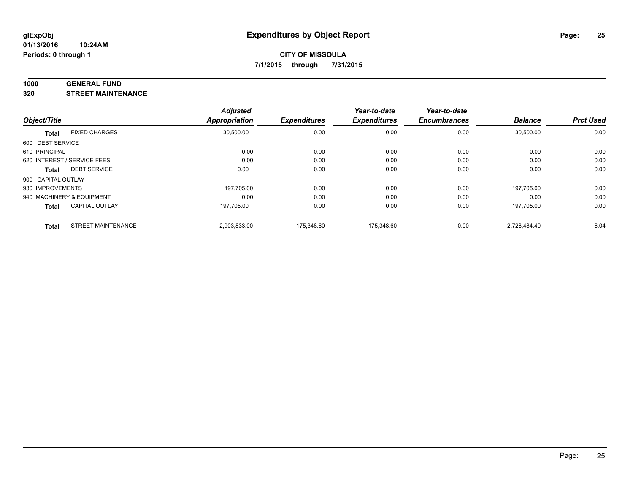#### **1000 GENERAL FUND**

**320 STREET MAINTENANCE**

| Object/Title       |                             | <b>Adjusted</b> | <b>Expenditures</b> | Year-to-date<br><b>Expenditures</b> | Year-to-date<br><b>Encumbrances</b> | <b>Balance</b> | <b>Prct Used</b> |
|--------------------|-----------------------------|-----------------|---------------------|-------------------------------------|-------------------------------------|----------------|------------------|
|                    |                             | Appropriation   |                     |                                     |                                     |                |                  |
| <b>Total</b>       | <b>FIXED CHARGES</b>        | 30,500.00       | 0.00                | 0.00                                | 0.00                                | 30,500.00      | 0.00             |
| 600 DEBT SERVICE   |                             |                 |                     |                                     |                                     |                |                  |
| 610 PRINCIPAL      |                             | 0.00            | 0.00                | 0.00                                | 0.00                                | 0.00           | 0.00             |
|                    | 620 INTEREST / SERVICE FEES | 0.00            | 0.00                | 0.00                                | 0.00                                | 0.00           | 0.00             |
| <b>Total</b>       | <b>DEBT SERVICE</b>         | 0.00            | 0.00                | 0.00                                | 0.00                                | 0.00           | 0.00             |
| 900 CAPITAL OUTLAY |                             |                 |                     |                                     |                                     |                |                  |
| 930 IMPROVEMENTS   |                             | 197.705.00      | 0.00                | 0.00                                | 0.00                                | 197.705.00     | 0.00             |
|                    | 940 MACHINERY & EQUIPMENT   | 0.00            | 0.00                | 0.00                                | 0.00                                | 0.00           | 0.00             |
| <b>Total</b>       | <b>CAPITAL OUTLAY</b>       | 197,705.00      | 0.00                | 0.00                                | 0.00                                | 197,705.00     | 0.00             |
| <b>Total</b>       | <b>STREET MAINTENANCE</b>   | 2,903,833.00    | 175.348.60          | 175.348.60                          | 0.00                                | 2.728.484.40   | 6.04             |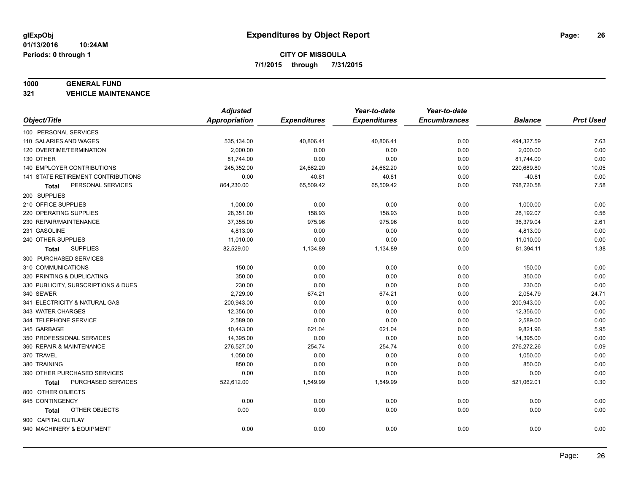#### **1000 GENERAL FUND**

**321 VEHICLE MAINTENANCE**

|                                           | <b>Adjusted</b> |                     | Year-to-date        | Year-to-date        |                |                  |
|-------------------------------------------|-----------------|---------------------|---------------------|---------------------|----------------|------------------|
| Object/Title                              | Appropriation   | <b>Expenditures</b> | <b>Expenditures</b> | <b>Encumbrances</b> | <b>Balance</b> | <b>Prct Used</b> |
| 100 PERSONAL SERVICES                     |                 |                     |                     |                     |                |                  |
| 110 SALARIES AND WAGES                    | 535,134.00      | 40,806.41           | 40,806.41           | 0.00                | 494,327.59     | 7.63             |
| 120 OVERTIME/TERMINATION                  | 2,000.00        | 0.00                | 0.00                | 0.00                | 2,000.00       | 0.00             |
| 130 OTHER                                 | 81,744.00       | 0.00                | 0.00                | 0.00                | 81,744.00      | 0.00             |
| <b>140 EMPLOYER CONTRIBUTIONS</b>         | 245,352.00      | 24,662.20           | 24,662.20           | 0.00                | 220,689.80     | 10.05            |
| <b>141 STATE RETIREMENT CONTRIBUTIONS</b> | 0.00            | 40.81               | 40.81               | 0.00                | $-40.81$       | 0.00             |
| PERSONAL SERVICES<br>Total                | 864,230.00      | 65,509.42           | 65,509.42           | 0.00                | 798,720.58     | 7.58             |
| 200 SUPPLIES                              |                 |                     |                     |                     |                |                  |
| 210 OFFICE SUPPLIES                       | 1,000.00        | 0.00                | 0.00                | 0.00                | 1,000.00       | 0.00             |
| 220 OPERATING SUPPLIES                    | 28,351.00       | 158.93              | 158.93              | 0.00                | 28,192.07      | 0.56             |
| 230 REPAIR/MAINTENANCE                    | 37,355.00       | 975.96              | 975.96              | 0.00                | 36,379.04      | 2.61             |
| 231 GASOLINE                              | 4,813.00        | 0.00                | 0.00                | 0.00                | 4,813.00       | 0.00             |
| 240 OTHER SUPPLIES                        | 11,010.00       | 0.00                | 0.00                | 0.00                | 11,010.00      | 0.00             |
| <b>SUPPLIES</b><br>Total                  | 82,529.00       | 1,134.89            | 1,134.89            | 0.00                | 81,394.11      | 1.38             |
| 300 PURCHASED SERVICES                    |                 |                     |                     |                     |                |                  |
| 310 COMMUNICATIONS                        | 150.00          | 0.00                | 0.00                | 0.00                | 150.00         | 0.00             |
| 320 PRINTING & DUPLICATING                | 350.00          | 0.00                | 0.00                | 0.00                | 350.00         | 0.00             |
| 330 PUBLICITY, SUBSCRIPTIONS & DUES       | 230.00          | 0.00                | 0.00                | 0.00                | 230.00         | 0.00             |
| 340 SEWER                                 | 2,729.00        | 674.21              | 674.21              | 0.00                | 2,054.79       | 24.71            |
| 341 ELECTRICITY & NATURAL GAS             | 200,943.00      | 0.00                | 0.00                | 0.00                | 200,943.00     | 0.00             |
| 343 WATER CHARGES                         | 12,356.00       | 0.00                | 0.00                | 0.00                | 12,356.00      | 0.00             |
| 344 TELEPHONE SERVICE                     | 2,589.00        | 0.00                | 0.00                | 0.00                | 2,589.00       | 0.00             |
| 345 GARBAGE                               | 10,443.00       | 621.04              | 621.04              | 0.00                | 9,821.96       | 5.95             |
| 350 PROFESSIONAL SERVICES                 | 14,395.00       | 0.00                | 0.00                | 0.00                | 14,395.00      | 0.00             |
| 360 REPAIR & MAINTENANCE                  | 276,527.00      | 254.74              | 254.74              | 0.00                | 276,272.26     | 0.09             |
| 370 TRAVEL                                | 1,050.00        | 0.00                | 0.00                | 0.00                | 1,050.00       | 0.00             |
| 380 TRAINING                              | 850.00          | 0.00                | 0.00                | 0.00                | 850.00         | 0.00             |
| 390 OTHER PURCHASED SERVICES              | 0.00            | 0.00                | 0.00                | 0.00                | 0.00           | 0.00             |
| PURCHASED SERVICES<br><b>Total</b>        | 522,612.00      | 1,549.99            | 1,549.99            | 0.00                | 521,062.01     | 0.30             |
| 800 OTHER OBJECTS                         |                 |                     |                     |                     |                |                  |
| 845 CONTINGENCY                           | 0.00            | 0.00                | 0.00                | 0.00                | 0.00           | 0.00             |
| OTHER OBJECTS<br>Total                    | 0.00            | 0.00                | 0.00                | 0.00                | 0.00           | 0.00             |
| 900 CAPITAL OUTLAY                        |                 |                     |                     |                     |                |                  |
| 940 MACHINERY & EQUIPMENT                 | 0.00            | 0.00                | 0.00                | 0.00                | 0.00           | 0.00             |
|                                           |                 |                     |                     |                     |                |                  |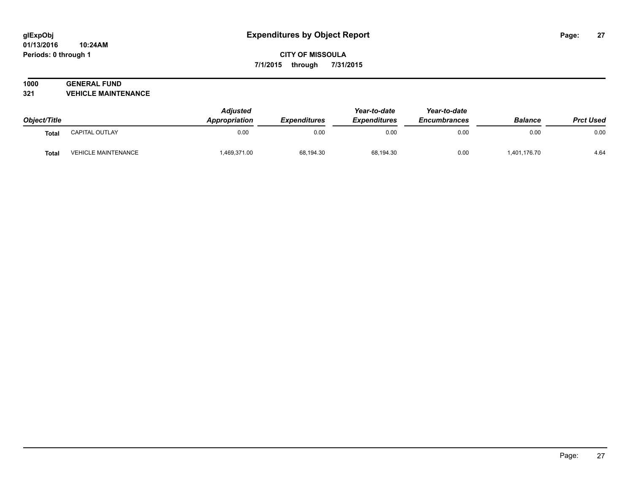## **1000 GENERAL FUND**

**321 VEHICLE MAINTENANCE**

| Object/Title |                            | <b>Adjusted</b><br>Appropriation<br><b>Expenditures</b> | Year-to-date<br><b>Expenditures</b> | Year-to-date<br><b>Encumbrances</b> | <b>Balance</b> | <b>Prct Used</b> |      |
|--------------|----------------------------|---------------------------------------------------------|-------------------------------------|-------------------------------------|----------------|------------------|------|
| <b>Total</b> | CAPITAL OUTLAY             | 0.00                                                    | 0.00                                | 0.00                                | 0.00           | 0.00             | 0.00 |
| <b>Total</b> | <b>VEHICLE MAINTENANCE</b> | 469,371.00                                              | 68,194.30                           | 68,194.30                           | 0.00           | 1,401,176.70     | 4.64 |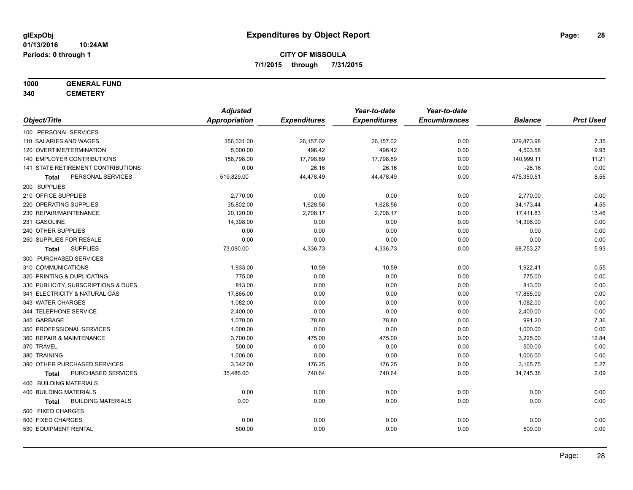## **1000 GENERAL FUND**

**340 CEMETERY**

|                                           | <b>Adjusted</b> |                     | Year-to-date        | Year-to-date        |                |                  |
|-------------------------------------------|-----------------|---------------------|---------------------|---------------------|----------------|------------------|
| Object/Title                              | Appropriation   | <b>Expenditures</b> | <b>Expenditures</b> | <b>Encumbrances</b> | <b>Balance</b> | <b>Prct Used</b> |
| 100 PERSONAL SERVICES                     |                 |                     |                     |                     |                |                  |
| 110 SALARIES AND WAGES                    | 356,031.00      | 26,157.02           | 26,157.02           | 0.00                | 329,873.98     | 7.35             |
| 120 OVERTIME/TERMINATION                  | 5,000.00        | 496.42              | 496.42              | 0.00                | 4,503.58       | 9.93             |
| <b>140 EMPLOYER CONTRIBUTIONS</b>         | 158,798.00      | 17,798.89           | 17,798.89           | 0.00                | 140,999.11     | 11.21            |
| 141 STATE RETIREMENT CONTRIBUTIONS        | 0.00            | 26.16               | 26.16               | 0.00                | $-26.16$       | 0.00             |
| PERSONAL SERVICES<br>Total                | 519,829.00      | 44,478.49           | 44,478.49           | 0.00                | 475,350.51     | 8.56             |
| 200 SUPPLIES                              |                 |                     |                     |                     |                |                  |
| 210 OFFICE SUPPLIES                       | 2,770.00        | 0.00                | 0.00                | 0.00                | 2,770.00       | 0.00             |
| 220 OPERATING SUPPLIES                    | 35,802.00       | 1,628.56            | 1,628.56            | 0.00                | 34,173.44      | 4.55             |
| 230 REPAIR/MAINTENANCE                    | 20,120.00       | 2,708.17            | 2,708.17            | 0.00                | 17,411.83      | 13.46            |
| 231 GASOLINE                              | 14,398.00       | 0.00                | 0.00                | 0.00                | 14,398.00      | 0.00             |
| 240 OTHER SUPPLIES                        | 0.00            | 0.00                | 0.00                | 0.00                | 0.00           | 0.00             |
| 250 SUPPLIES FOR RESALE                   | 0.00            | 0.00                | 0.00                | 0.00                | 0.00           | 0.00             |
| <b>SUPPLIES</b><br>Total                  | 73,090.00       | 4,336.73            | 4,336.73            | 0.00                | 68,753.27      | 5.93             |
| 300 PURCHASED SERVICES                    |                 |                     |                     |                     |                |                  |
| 310 COMMUNICATIONS                        | 1,933.00        | 10.59               | 10.59               | 0.00                | 1,922.41       | 0.55             |
| 320 PRINTING & DUPLICATING                | 775.00          | 0.00                | 0.00                | 0.00                | 775.00         | 0.00             |
| 330 PUBLICITY, SUBSCRIPTIONS & DUES       | 813.00          | 0.00                | 0.00                | 0.00                | 813.00         | 0.00             |
| 341 ELECTRICITY & NATURAL GAS             | 17,865.00       | 0.00                | 0.00                | 0.00                | 17,865.00      | 0.00             |
| 343 WATER CHARGES                         | 1,082.00        | 0.00                | 0.00                | 0.00                | 1,082.00       | 0.00             |
| 344 TELEPHONE SERVICE                     | 2,400.00        | 0.00                | 0.00                | 0.00                | 2,400.00       | 0.00             |
| 345 GARBAGE                               | 1,070.00        | 78.80               | 78.80               | 0.00                | 991.20         | 7.36             |
| 350 PROFESSIONAL SERVICES                 | 1,000.00        | 0.00                | 0.00                | 0.00                | 1,000.00       | 0.00             |
| 360 REPAIR & MAINTENANCE                  | 3,700.00        | 475.00              | 475.00              | 0.00                | 3,225.00       | 12.84            |
| 370 TRAVEL                                | 500.00          | 0.00                | 0.00                | 0.00                | 500.00         | 0.00             |
| 380 TRAINING                              | 1,006.00        | 0.00                | 0.00                | 0.00                | 1,006.00       | 0.00             |
| 390 OTHER PURCHASED SERVICES              | 3,342.00        | 176.25              | 176.25              | 0.00                | 3,165.75       | 5.27             |
| PURCHASED SERVICES<br>Total               | 35,486.00       | 740.64              | 740.64              | 0.00                | 34,745.36      | 2.09             |
| 400 BUILDING MATERIALS                    |                 |                     |                     |                     |                |                  |
| <b>400 BUILDING MATERIALS</b>             | 0.00            | 0.00                | 0.00                | 0.00                | 0.00           | 0.00             |
| <b>BUILDING MATERIALS</b><br><b>Total</b> | 0.00            | 0.00                | 0.00                | 0.00                | 0.00           | 0.00             |
| 500 FIXED CHARGES                         |                 |                     |                     |                     |                |                  |
| 500 FIXED CHARGES                         | 0.00            | 0.00                | 0.00                | 0.00                | 0.00           | 0.00             |
| 530 EQUIPMENT RENTAL                      | 500.00          | 0.00                | 0.00                | 0.00                | 500.00         | 0.00             |
|                                           |                 |                     |                     |                     |                |                  |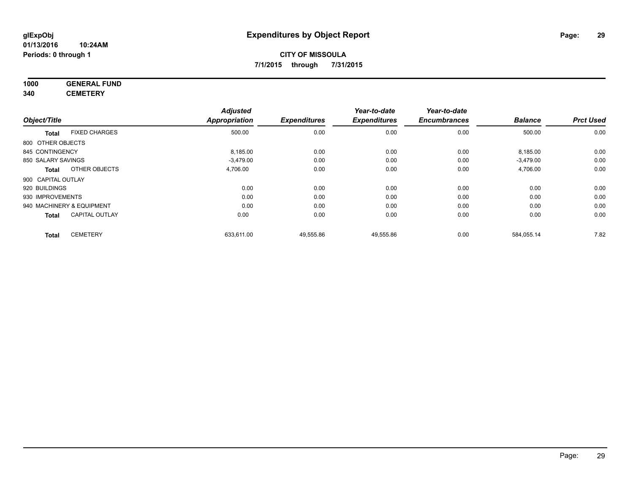#### **1000 GENERAL FUND 340 CEMETERY**

|                    |                           | <b>Adjusted</b>      |                     | Year-to-date        | Year-to-date        |                |                  |
|--------------------|---------------------------|----------------------|---------------------|---------------------|---------------------|----------------|------------------|
| Object/Title       |                           | <b>Appropriation</b> | <b>Expenditures</b> | <b>Expenditures</b> | <b>Encumbrances</b> | <b>Balance</b> | <b>Prct Used</b> |
| <b>Total</b>       | <b>FIXED CHARGES</b>      | 500.00               | 0.00                | 0.00                | 0.00                | 500.00         | 0.00             |
| 800 OTHER OBJECTS  |                           |                      |                     |                     |                     |                |                  |
| 845 CONTINGENCY    |                           | 8,185.00             | 0.00                | 0.00                | 0.00                | 8,185.00       | 0.00             |
| 850 SALARY SAVINGS |                           | $-3,479.00$          | 0.00                | 0.00                | 0.00                | $-3,479.00$    | 0.00             |
| <b>Total</b>       | OTHER OBJECTS             | 4,706.00             | 0.00                | 0.00                | 0.00                | 4,706.00       | 0.00             |
| 900 CAPITAL OUTLAY |                           |                      |                     |                     |                     |                |                  |
| 920 BUILDINGS      |                           | 0.00                 | 0.00                | 0.00                | 0.00                | 0.00           | 0.00             |
| 930 IMPROVEMENTS   |                           | 0.00                 | 0.00                | 0.00                | 0.00                | 0.00           | 0.00             |
|                    | 940 MACHINERY & EQUIPMENT | 0.00                 | 0.00                | 0.00                | 0.00                | 0.00           | 0.00             |
| <b>Total</b>       | <b>CAPITAL OUTLAY</b>     | 0.00                 | 0.00                | 0.00                | 0.00                | 0.00           | 0.00             |
| <b>Total</b>       | <b>CEMETERY</b>           | 633,611.00           | 49,555.86           | 49,555.86           | 0.00                | 584,055.14     | 7.82             |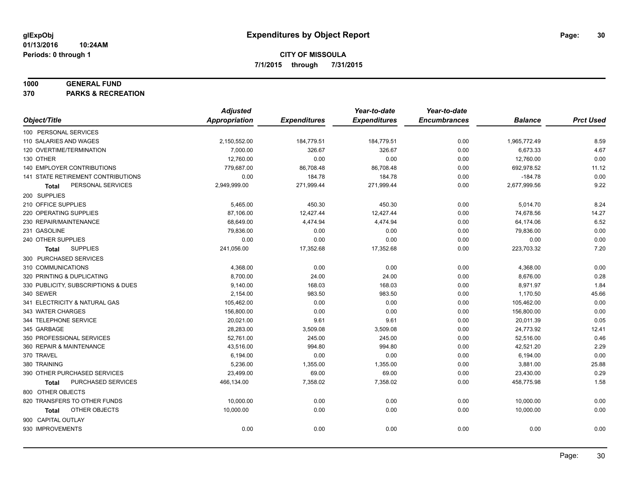#### **1000 GENERAL FUND**

**370 PARKS & RECREATION**

|                                     | <b>Adjusted</b>      |                     | Year-to-date        | Year-to-date        |                |                  |
|-------------------------------------|----------------------|---------------------|---------------------|---------------------|----------------|------------------|
| Object/Title                        | <b>Appropriation</b> | <b>Expenditures</b> | <b>Expenditures</b> | <b>Encumbrances</b> | <b>Balance</b> | <b>Prct Used</b> |
| 100 PERSONAL SERVICES               |                      |                     |                     |                     |                |                  |
| 110 SALARIES AND WAGES              | 2,150,552.00         | 184,779.51          | 184,779.51          | 0.00                | 1,965,772.49   | 8.59             |
| 120 OVERTIME/TERMINATION            | 7,000.00             | 326.67              | 326.67              | 0.00                | 6,673.33       | 4.67             |
| 130 OTHER                           | 12,760.00            | 0.00                | 0.00                | 0.00                | 12,760.00      | 0.00             |
| 140 EMPLOYER CONTRIBUTIONS          | 779,687.00           | 86,708.48           | 86,708.48           | 0.00                | 692,978.52     | 11.12            |
| 141 STATE RETIREMENT CONTRIBUTIONS  | 0.00                 | 184.78              | 184.78              | 0.00                | $-184.78$      | 0.00             |
| PERSONAL SERVICES<br>Total          | 2,949,999.00         | 271,999.44          | 271,999.44          | 0.00                | 2,677,999.56   | 9.22             |
| 200 SUPPLIES                        |                      |                     |                     |                     |                |                  |
| 210 OFFICE SUPPLIES                 | 5,465.00             | 450.30              | 450.30              | 0.00                | 5,014.70       | 8.24             |
| 220 OPERATING SUPPLIES              | 87,106.00            | 12,427.44           | 12,427.44           | 0.00                | 74,678.56      | 14.27            |
| 230 REPAIR/MAINTENANCE              | 68,649.00            | 4,474.94            | 4,474.94            | 0.00                | 64,174.06      | 6.52             |
| 231 GASOLINE                        | 79,836.00            | 0.00                | 0.00                | 0.00                | 79,836.00      | 0.00             |
| 240 OTHER SUPPLIES                  | 0.00                 | 0.00                | 0.00                | 0.00                | 0.00           | 0.00             |
| <b>SUPPLIES</b><br>Total            | 241,056.00           | 17,352.68           | 17,352.68           | 0.00                | 223,703.32     | 7.20             |
| 300 PURCHASED SERVICES              |                      |                     |                     |                     |                |                  |
| 310 COMMUNICATIONS                  | 4,368.00             | 0.00                | 0.00                | 0.00                | 4,368.00       | 0.00             |
| 320 PRINTING & DUPLICATING          | 8.700.00             | 24.00               | 24.00               | 0.00                | 8,676.00       | 0.28             |
| 330 PUBLICITY, SUBSCRIPTIONS & DUES | 9,140.00             | 168.03              | 168.03              | 0.00                | 8,971.97       | 1.84             |
| 340 SEWER                           | 2,154.00             | 983.50              | 983.50              | 0.00                | 1,170.50       | 45.66            |
| 341 ELECTRICITY & NATURAL GAS       | 105,462.00           | 0.00                | 0.00                | 0.00                | 105,462.00     | 0.00             |
| 343 WATER CHARGES                   | 156,800.00           | 0.00                | 0.00                | 0.00                | 156,800.00     | 0.00             |
| 344 TELEPHONE SERVICE               | 20,021.00            | 9.61                | 9.61                | 0.00                | 20,011.39      | 0.05             |
| 345 GARBAGE                         | 28,283.00            | 3,509.08            | 3,509.08            | 0.00                | 24,773.92      | 12.41            |
| 350 PROFESSIONAL SERVICES           | 52,761.00            | 245.00              | 245.00              | 0.00                | 52,516.00      | 0.46             |
| 360 REPAIR & MAINTENANCE            | 43,516.00            | 994.80              | 994.80              | 0.00                | 42,521.20      | 2.29             |
| 370 TRAVEL                          | 6,194.00             | 0.00                | 0.00                | 0.00                | 6,194.00       | 0.00             |
| 380 TRAINING                        | 5,236.00             | 1,355.00            | 1,355.00            | 0.00                | 3,881.00       | 25.88            |
| 390 OTHER PURCHASED SERVICES        | 23,499.00            | 69.00               | 69.00               | 0.00                | 23,430.00      | 0.29             |
| PURCHASED SERVICES<br><b>Total</b>  | 466,134.00           | 7,358.02            | 7,358.02            | 0.00                | 458,775.98     | 1.58             |
| 800 OTHER OBJECTS                   |                      |                     |                     |                     |                |                  |
| 820 TRANSFERS TO OTHER FUNDS        | 10,000.00            | 0.00                | 0.00                | 0.00                | 10,000.00      | 0.00             |
| OTHER OBJECTS<br>Total              | 10,000.00            | 0.00                | 0.00                | 0.00                | 10,000.00      | 0.00             |
| 900 CAPITAL OUTLAY                  |                      |                     |                     |                     |                |                  |
| 930 IMPROVEMENTS                    | 0.00                 | 0.00                | 0.00                | 0.00                | 0.00           | 0.00             |
|                                     |                      |                     |                     |                     |                |                  |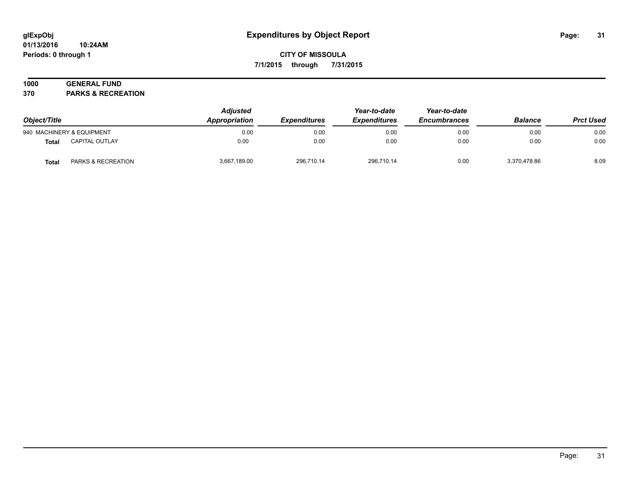#### **01/13/2016 10:24AM Periods: 0 through 1**

## **CITY OF MISSOULA 7/1/2015 through 7/31/2015**

## **1000 GENERAL FUND**

**370 PARKS & RECREATION**

| Object/Title |                           | <b>Adjusted</b><br>Appropriation | <b>Expenditures</b> | Year-to-date<br><b>Expenditures</b> | Year-to-date<br><b>Encumbrances</b> | <b>Balance</b> | <b>Prct Used</b> |
|--------------|---------------------------|----------------------------------|---------------------|-------------------------------------|-------------------------------------|----------------|------------------|
|              | 940 MACHINERY & EQUIPMENT | 0.00                             | 0.00                | 0.00                                | 0.00                                | 0.00           | 0.00             |
| <b>Total</b> | CAPITAL OUTLAY            | 0.00                             | 0.00                | 0.00                                | 0.00                                | 0.00           | 0.00             |
| <b>Total</b> | PARKS & RECREATION        | 3,667,189.00                     | 296,710.14          | 296,710.14                          | 0.00                                | 3,370,478.86   | 8.09             |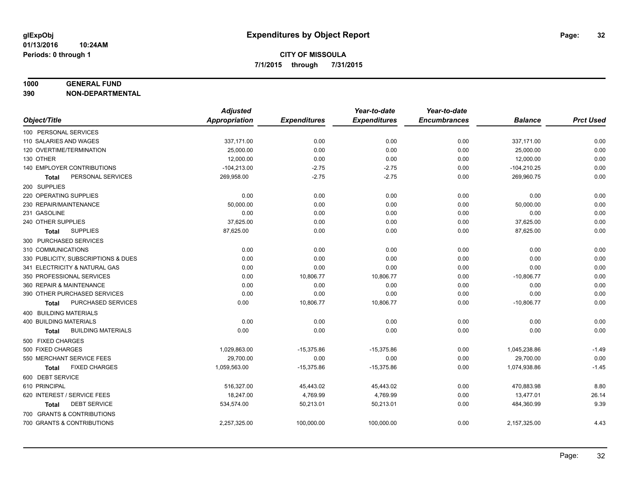#### **1000 GENERAL FUND**

**390 NON-DEPARTMENTAL**

|                                           | <b>Adjusted</b> |                     | Year-to-date        | Year-to-date        |                |                  |
|-------------------------------------------|-----------------|---------------------|---------------------|---------------------|----------------|------------------|
| Object/Title                              | Appropriation   | <b>Expenditures</b> | <b>Expenditures</b> | <b>Encumbrances</b> | <b>Balance</b> | <b>Prct Used</b> |
| 100 PERSONAL SERVICES                     |                 |                     |                     |                     |                |                  |
| 110 SALARIES AND WAGES                    | 337,171.00      | 0.00                | 0.00                | 0.00                | 337,171.00     | 0.00             |
| 120 OVERTIME/TERMINATION                  | 25,000.00       | 0.00                | 0.00                | 0.00                | 25,000.00      | 0.00             |
| 130 OTHER                                 | 12,000.00       | 0.00                | 0.00                | 0.00                | 12,000.00      | 0.00             |
| 140 EMPLOYER CONTRIBUTIONS                | $-104,213.00$   | $-2.75$             | $-2.75$             | 0.00                | $-104,210.25$  | 0.00             |
| PERSONAL SERVICES<br><b>Total</b>         | 269,958.00      | $-2.75$             | $-2.75$             | 0.00                | 269,960.75     | 0.00             |
| 200 SUPPLIES                              |                 |                     |                     |                     |                |                  |
| 220 OPERATING SUPPLIES                    | 0.00            | 0.00                | 0.00                | 0.00                | 0.00           | 0.00             |
| 230 REPAIR/MAINTENANCE                    | 50.000.00       | 0.00                | 0.00                | 0.00                | 50,000.00      | 0.00             |
| 231 GASOLINE                              | 0.00            | 0.00                | 0.00                | 0.00                | 0.00           | 0.00             |
| 240 OTHER SUPPLIES                        | 37,625.00       | 0.00                | 0.00                | 0.00                | 37,625.00      | 0.00             |
| <b>SUPPLIES</b><br>Total                  | 87,625.00       | 0.00                | 0.00                | 0.00                | 87,625.00      | 0.00             |
| 300 PURCHASED SERVICES                    |                 |                     |                     |                     |                |                  |
| 310 COMMUNICATIONS                        | 0.00            | 0.00                | 0.00                | 0.00                | 0.00           | 0.00             |
| 330 PUBLICITY, SUBSCRIPTIONS & DUES       | 0.00            | 0.00                | 0.00                | 0.00                | 0.00           | 0.00             |
| 341 ELECTRICITY & NATURAL GAS             | 0.00            | 0.00                | 0.00                | 0.00                | 0.00           | 0.00             |
| 350 PROFESSIONAL SERVICES                 | 0.00            | 10,806.77           | 10,806.77           | 0.00                | $-10,806.77$   | 0.00             |
| 360 REPAIR & MAINTENANCE                  | 0.00            | 0.00                | 0.00                | 0.00                | 0.00           | 0.00             |
| 390 OTHER PURCHASED SERVICES              | 0.00            | 0.00                | 0.00                | 0.00                | 0.00           | 0.00             |
| PURCHASED SERVICES<br>Total               | 0.00            | 10,806.77           | 10,806.77           | 0.00                | $-10,806.77$   | 0.00             |
| 400 BUILDING MATERIALS                    |                 |                     |                     |                     |                |                  |
| <b>400 BUILDING MATERIALS</b>             | 0.00            | 0.00                | 0.00                | 0.00                | 0.00           | 0.00             |
| <b>BUILDING MATERIALS</b><br><b>Total</b> | 0.00            | 0.00                | 0.00                | 0.00                | 0.00           | 0.00             |
| 500 FIXED CHARGES                         |                 |                     |                     |                     |                |                  |
| 500 FIXED CHARGES                         | 1,029,863.00    | $-15,375.86$        | $-15,375.86$        | 0.00                | 1,045,238.86   | $-1.49$          |
| 550 MERCHANT SERVICE FEES                 | 29,700.00       | 0.00                | 0.00                | 0.00                | 29,700.00      | 0.00             |
| <b>FIXED CHARGES</b><br><b>Total</b>      | 1,059,563.00    | $-15,375.86$        | $-15,375.86$        | 0.00                | 1,074,938.86   | $-1.45$          |
| 600 DEBT SERVICE                          |                 |                     |                     |                     |                |                  |
| 610 PRINCIPAL                             | 516,327.00      | 45,443.02           | 45,443.02           | 0.00                | 470,883.98     | 8.80             |
| 620 INTEREST / SERVICE FEES               | 18,247.00       | 4,769.99            | 4,769.99            | 0.00                | 13,477.01      | 26.14            |
| <b>DEBT SERVICE</b><br><b>Total</b>       | 534,574.00      | 50,213.01           | 50,213.01           | 0.00                | 484,360.99     | 9.39             |
| 700 GRANTS & CONTRIBUTIONS                |                 |                     |                     |                     |                |                  |
| 700 GRANTS & CONTRIBUTIONS                | 2,257,325.00    | 100,000.00          | 100,000.00          | 0.00                | 2,157,325.00   | 4.43             |
|                                           |                 |                     |                     |                     |                |                  |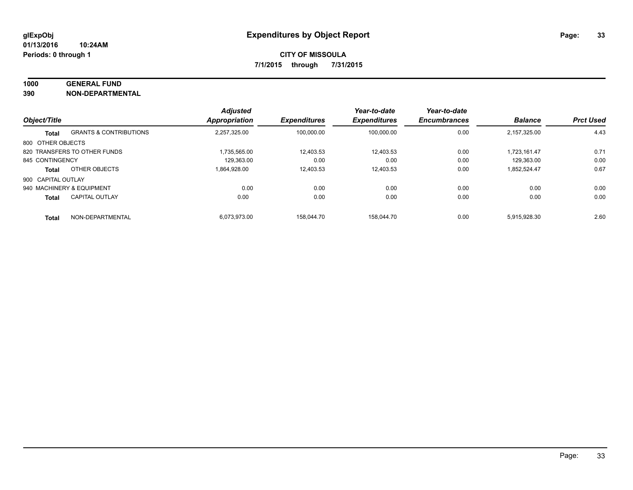#### **1000 GENERAL FUND**

**390 NON-DEPARTMENTAL**

|                    |                                   | <b>Adjusted</b>      |                     | Year-to-date        | Year-to-date        |                |                  |
|--------------------|-----------------------------------|----------------------|---------------------|---------------------|---------------------|----------------|------------------|
| Object/Title       |                                   | <b>Appropriation</b> | <b>Expenditures</b> | <b>Expenditures</b> | <b>Encumbrances</b> | <b>Balance</b> | <b>Prct Used</b> |
| <b>Total</b>       | <b>GRANTS &amp; CONTRIBUTIONS</b> | 2,257,325.00         | 100.000.00          | 100.000.00          | 0.00                | 2,157,325.00   | 4.43             |
| 800 OTHER OBJECTS  |                                   |                      |                     |                     |                     |                |                  |
|                    | 820 TRANSFERS TO OTHER FUNDS      | 1.735.565.00         | 12,403.53           | 12.403.53           | 0.00                | 1.723.161.47   | 0.71             |
| 845 CONTINGENCY    |                                   | 129.363.00           | 0.00                | 0.00                | 0.00                | 129.363.00     | 0.00             |
| <b>Total</b>       | OTHER OBJECTS                     | 1.864.928.00         | 12,403.53           | 12.403.53           | 0.00                | 1.852.524.47   | 0.67             |
| 900 CAPITAL OUTLAY |                                   |                      |                     |                     |                     |                |                  |
|                    | 940 MACHINERY & EQUIPMENT         | 0.00                 | 0.00                | 0.00                | 0.00                | 0.00           | 0.00             |
| <b>Total</b>       | <b>CAPITAL OUTLAY</b>             | 0.00                 | 0.00                | 0.00                | 0.00                | 0.00           | 0.00             |
| <b>Total</b>       | NON-DEPARTMENTAL                  | 6.073.973.00         | 158.044.70          | 158.044.70          | 0.00                | 5.915.928.30   | 2.60             |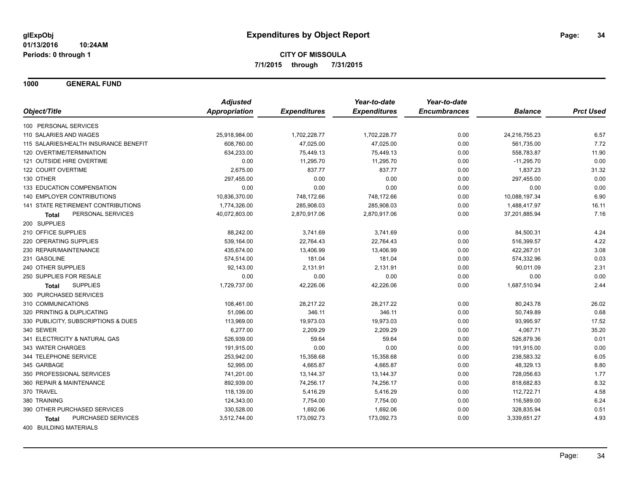**1000 GENERAL FUND**

|                                       | <b>Adjusted</b> |                     | Year-to-date        | Year-to-date        |                |                  |
|---------------------------------------|-----------------|---------------------|---------------------|---------------------|----------------|------------------|
| Object/Title                          | Appropriation   | <b>Expenditures</b> | <b>Expenditures</b> | <b>Encumbrances</b> | <b>Balance</b> | <b>Prct Used</b> |
| 100 PERSONAL SERVICES                 |                 |                     |                     |                     |                |                  |
| 110 SALARIES AND WAGES                | 25,918,984.00   | 1,702,228.77        | 1,702,228.77        | 0.00                | 24,216,755.23  | 6.57             |
| 115 SALARIES/HEALTH INSURANCE BENEFIT | 608,760.00      | 47,025.00           | 47,025.00           | 0.00                | 561,735.00     | 7.72             |
| 120 OVERTIME/TERMINATION              | 634,233.00      | 75,449.13           | 75,449.13           | 0.00                | 558,783.87     | 11.90            |
| 121 OUTSIDE HIRE OVERTIME             | 0.00            | 11,295.70           | 11,295.70           | 0.00                | $-11,295.70$   | 0.00             |
| 122 COURT OVERTIME                    | 2,675.00        | 837.77              | 837.77              | 0.00                | 1,837.23       | 31.32            |
| 130 OTHER                             | 297,455.00      | 0.00                | 0.00                | 0.00                | 297,455.00     | 0.00             |
| 133 EDUCATION COMPENSATION            | 0.00            | 0.00                | 0.00                | 0.00                | 0.00           | 0.00             |
| <b>140 EMPLOYER CONTRIBUTIONS</b>     | 10,836,370.00   | 748,172.66          | 748,172.66          | 0.00                | 10,088,197.34  | 6.90             |
| 141 STATE RETIREMENT CONTRIBUTIONS    | 1,774,326.00    | 285,908.03          | 285,908.03          | 0.00                | 1,488,417.97   | 16.11            |
| PERSONAL SERVICES<br>Total            | 40,072,803.00   | 2,870,917.06        | 2,870,917.06        | 0.00                | 37,201,885.94  | 7.16             |
| 200 SUPPLIES                          |                 |                     |                     |                     |                |                  |
| 210 OFFICE SUPPLIES                   | 88,242.00       | 3,741.69            | 3,741.69            | 0.00                | 84,500.31      | 4.24             |
| 220 OPERATING SUPPLIES                | 539,164.00      | 22,764.43           | 22,764.43           | 0.00                | 516,399.57     | 4.22             |
| 230 REPAIR/MAINTENANCE                | 435,674.00      | 13,406.99           | 13,406.99           | 0.00                | 422,267.01     | 3.08             |
| 231 GASOLINE                          | 574,514.00      | 181.04              | 181.04              | 0.00                | 574,332.96     | 0.03             |
| 240 OTHER SUPPLIES                    | 92,143.00       | 2,131.91            | 2,131.91            | 0.00                | 90,011.09      | 2.31             |
| 250 SUPPLIES FOR RESALE               | 0.00            | 0.00                | 0.00                | 0.00                | 0.00           | 0.00             |
| <b>SUPPLIES</b><br>Total              | 1,729,737.00    | 42,226.06           | 42,226.06           | 0.00                | 1,687,510.94   | 2.44             |
| 300 PURCHASED SERVICES                |                 |                     |                     |                     |                |                  |
| 310 COMMUNICATIONS                    | 108,461.00      | 28,217.22           | 28,217.22           | 0.00                | 80,243.78      | 26.02            |
| 320 PRINTING & DUPLICATING            | 51,096.00       | 346.11              | 346.11              | 0.00                | 50,749.89      | 0.68             |
| 330 PUBLICITY, SUBSCRIPTIONS & DUES   | 113,969.00      | 19,973.03           | 19,973.03           | 0.00                | 93,995.97      | 17.52            |
| 340 SEWER                             | 6,277.00        | 2,209.29            | 2,209.29            | 0.00                | 4,067.71       | 35.20            |
| 341 ELECTRICITY & NATURAL GAS         | 526,939.00      | 59.64               | 59.64               | 0.00                | 526,879.36     | 0.01             |
| 343 WATER CHARGES                     | 191,915.00      | 0.00                | 0.00                | 0.00                | 191,915.00     | 0.00             |
| 344 TELEPHONE SERVICE                 | 253,942.00      | 15,358.68           | 15,358.68           | 0.00                | 238,583.32     | 6.05             |
| 345 GARBAGE                           | 52,995.00       | 4,665.87            | 4,665.87            | 0.00                | 48,329.13      | 8.80             |
| 350 PROFESSIONAL SERVICES             | 741,201.00      | 13,144.37           | 13,144.37           | 0.00                | 728,056.63     | 1.77             |
| 360 REPAIR & MAINTENANCE              | 892,939.00      | 74,256.17           | 74,256.17           | 0.00                | 818,682.83     | 8.32             |
| 370 TRAVEL                            | 118,139.00      | 5,416.29            | 5,416.29            | 0.00                | 112,722.71     | 4.58             |
| 380 TRAINING                          | 124,343.00      | 7,754.00            | 7,754.00            | 0.00                | 116,589.00     | 6.24             |
| 390 OTHER PURCHASED SERVICES          | 330,528.00      | 1,692.06            | 1,692.06            | 0.00                | 328,835.94     | 0.51             |
| PURCHASED SERVICES<br>Total           | 3,512,744.00    | 173,092.73          | 173,092.73          | 0.00                | 3,339,651.27   | 4.93             |
| 400 BUILDING MATERIALS                |                 |                     |                     |                     |                |                  |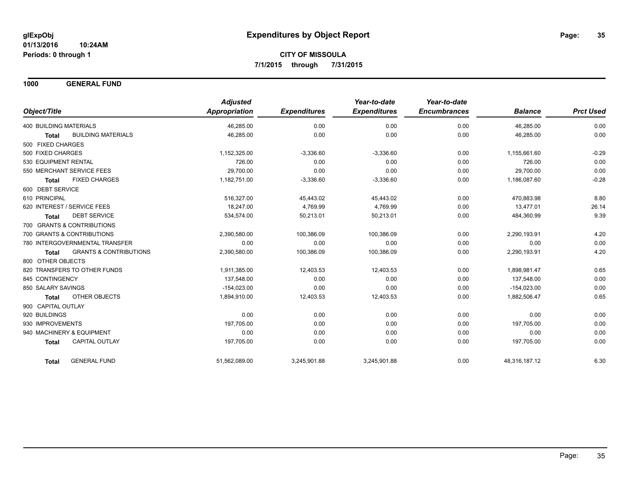**1000 GENERAL FUND**

|                                            | <b>Adjusted</b> |                     | Year-to-date        | Year-to-date        |                |                  |
|--------------------------------------------|-----------------|---------------------|---------------------|---------------------|----------------|------------------|
| Object/Title                               | Appropriation   | <b>Expenditures</b> | <b>Expenditures</b> | <b>Encumbrances</b> | <b>Balance</b> | <b>Prct Used</b> |
| <b>400 BUILDING MATERIALS</b>              | 46,285.00       | 0.00                | 0.00                | 0.00                | 46,285.00      | 0.00             |
| <b>BUILDING MATERIALS</b><br><b>Total</b>  | 46,285.00       | 0.00                | 0.00                | 0.00                | 46,285.00      | 0.00             |
| 500 FIXED CHARGES                          |                 |                     |                     |                     |                |                  |
| 500 FIXED CHARGES                          | 1,152,325.00    | $-3,336.60$         | $-3,336.60$         | 0.00                | 1,155,661.60   | $-0.29$          |
| 530 EQUIPMENT RENTAL                       | 726.00          | 0.00                | 0.00                | 0.00                | 726.00         | 0.00             |
| 550 MERCHANT SERVICE FEES                  | 29,700.00       | 0.00                | 0.00                | 0.00                | 29,700.00      | 0.00             |
| <b>FIXED CHARGES</b><br><b>Total</b>       | 1,182,751.00    | $-3,336.60$         | $-3,336.60$         | 0.00                | 1,186,087.60   | $-0.28$          |
| 600 DEBT SERVICE                           |                 |                     |                     |                     |                |                  |
| 610 PRINCIPAL                              | 516,327.00      | 45,443.02           | 45,443.02           | 0.00                | 470,883.98     | 8.80             |
| 620 INTEREST / SERVICE FEES                | 18.247.00       | 4,769.99            | 4,769.99            | 0.00                | 13,477.01      | 26.14            |
| <b>DEBT SERVICE</b><br><b>Total</b>        | 534,574.00      | 50,213.01           | 50,213.01           | 0.00                | 484,360.99     | 9.39             |
| 700 GRANTS & CONTRIBUTIONS                 |                 |                     |                     |                     |                |                  |
| 700 GRANTS & CONTRIBUTIONS                 | 2,390,580.00    | 100,386.09          | 100,386.09          | 0.00                | 2,290,193.91   | 4.20             |
| 780 INTERGOVERNMENTAL TRANSFER             | 0.00            | 0.00                | 0.00                | 0.00                | 0.00           | 0.00             |
| <b>GRANTS &amp; CONTRIBUTIONS</b><br>Total | 2,390,580.00    | 100,386.09          | 100,386.09          | 0.00                | 2,290,193.91   | 4.20             |
| 800 OTHER OBJECTS                          |                 |                     |                     |                     |                |                  |
| 820 TRANSFERS TO OTHER FUNDS               | 1,911,385.00    | 12,403.53           | 12,403.53           | 0.00                | 1,898,981.47   | 0.65             |
| 845 CONTINGENCY                            | 137,548.00      | 0.00                | 0.00                | 0.00                | 137,548.00     | 0.00             |
| 850 SALARY SAVINGS                         | $-154,023.00$   | 0.00                | 0.00                | 0.00                | $-154,023.00$  | 0.00             |
| OTHER OBJECTS<br><b>Total</b>              | 1,894,910.00    | 12,403.53           | 12,403.53           | 0.00                | 1,882,506.47   | 0.65             |
| 900 CAPITAL OUTLAY                         |                 |                     |                     |                     |                |                  |
| 920 BUILDINGS                              | 0.00            | 0.00                | 0.00                | 0.00                | 0.00           | 0.00             |
| 930 IMPROVEMENTS                           | 197,705.00      | 0.00                | 0.00                | 0.00                | 197,705.00     | 0.00             |
| 940 MACHINERY & EQUIPMENT                  | 0.00            | 0.00                | 0.00                | 0.00                | 0.00           | 0.00             |
| <b>CAPITAL OUTLAY</b><br>Total             | 197,705.00      | 0.00                | 0.00                | 0.00                | 197,705.00     | 0.00             |
| <b>GENERAL FUND</b><br><b>Total</b>        | 51,562,089.00   | 3,245,901.88        | 3,245,901.88        | 0.00                | 48,316,187.12  | 6.30             |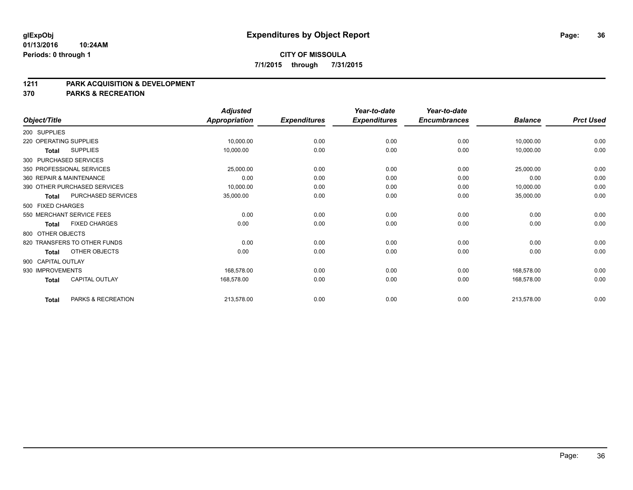#### **1211 PARK ACQUISITION & DEVELOPMENT**

**370 PARKS & RECREATION**

|                        |                              | <b>Adjusted</b>      |                     | Year-to-date        | Year-to-date        |                |                  |
|------------------------|------------------------------|----------------------|---------------------|---------------------|---------------------|----------------|------------------|
| Object/Title           |                              | <b>Appropriation</b> | <b>Expenditures</b> | <b>Expenditures</b> | <b>Encumbrances</b> | <b>Balance</b> | <b>Prct Used</b> |
| 200 SUPPLIES           |                              |                      |                     |                     |                     |                |                  |
| 220 OPERATING SUPPLIES |                              | 10,000.00            | 0.00                | 0.00                | 0.00                | 10,000.00      | 0.00             |
| Total                  | <b>SUPPLIES</b>              | 10,000.00            | 0.00                | 0.00                | 0.00                | 10,000.00      | 0.00             |
|                        | 300 PURCHASED SERVICES       |                      |                     |                     |                     |                |                  |
|                        | 350 PROFESSIONAL SERVICES    | 25,000.00            | 0.00                | 0.00                | 0.00                | 25,000.00      | 0.00             |
|                        | 360 REPAIR & MAINTENANCE     | 0.00                 | 0.00                | 0.00                | 0.00                | 0.00           | 0.00             |
|                        | 390 OTHER PURCHASED SERVICES | 10,000.00            | 0.00                | 0.00                | 0.00                | 10,000.00      | 0.00             |
| <b>Total</b>           | PURCHASED SERVICES           | 35,000.00            | 0.00                | 0.00                | 0.00                | 35,000.00      | 0.00             |
| 500 FIXED CHARGES      |                              |                      |                     |                     |                     |                |                  |
|                        | 550 MERCHANT SERVICE FEES    | 0.00                 | 0.00                | 0.00                | 0.00                | 0.00           | 0.00             |
| <b>Total</b>           | <b>FIXED CHARGES</b>         | 0.00                 | 0.00                | 0.00                | 0.00                | 0.00           | 0.00             |
| 800 OTHER OBJECTS      |                              |                      |                     |                     |                     |                |                  |
|                        | 820 TRANSFERS TO OTHER FUNDS | 0.00                 | 0.00                | 0.00                | 0.00                | 0.00           | 0.00             |
| Total                  | <b>OTHER OBJECTS</b>         | 0.00                 | 0.00                | 0.00                | 0.00                | 0.00           | 0.00             |
| 900 CAPITAL OUTLAY     |                              |                      |                     |                     |                     |                |                  |
| 930 IMPROVEMENTS       |                              | 168,578.00           | 0.00                | 0.00                | 0.00                | 168,578.00     | 0.00             |
| <b>Total</b>           | <b>CAPITAL OUTLAY</b>        | 168,578.00           | 0.00                | 0.00                | 0.00                | 168,578.00     | 0.00             |
| <b>Total</b>           | PARKS & RECREATION           | 213,578.00           | 0.00                | 0.00                | 0.00                | 213,578.00     | 0.00             |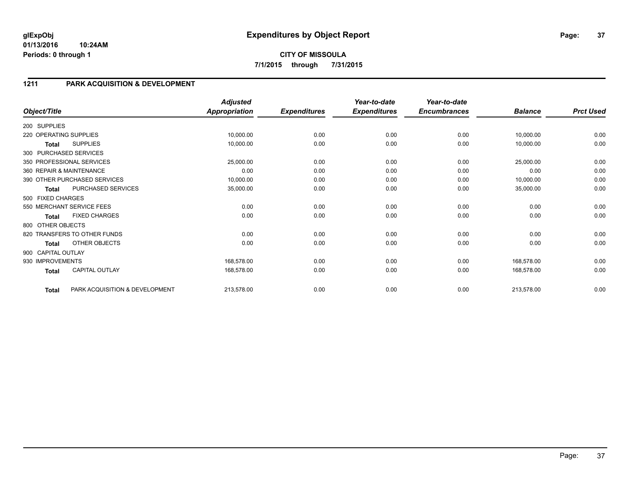**CITY OF MISSOULA 7/1/2015 through 7/31/2015**

## **1211 PARK ACQUISITION & DEVELOPMENT**

|                        |                                | <b>Adjusted</b>      |                     | Year-to-date        | Year-to-date        |                |                  |
|------------------------|--------------------------------|----------------------|---------------------|---------------------|---------------------|----------------|------------------|
| Object/Title           |                                | <b>Appropriation</b> | <b>Expenditures</b> | <b>Expenditures</b> | <b>Encumbrances</b> | <b>Balance</b> | <b>Prct Used</b> |
| 200 SUPPLIES           |                                |                      |                     |                     |                     |                |                  |
| 220 OPERATING SUPPLIES |                                | 10,000.00            | 0.00                | 0.00                | 0.00                | 10,000.00      | 0.00             |
| Total                  | <b>SUPPLIES</b>                | 10,000.00            | 0.00                | 0.00                | 0.00                | 10,000.00      | 0.00             |
|                        | 300 PURCHASED SERVICES         |                      |                     |                     |                     |                |                  |
|                        | 350 PROFESSIONAL SERVICES      | 25,000.00            | 0.00                | 0.00                | 0.00                | 25,000.00      | 0.00             |
|                        | 360 REPAIR & MAINTENANCE       | 0.00                 | 0.00                | 0.00                | 0.00                | 0.00           | 0.00             |
|                        | 390 OTHER PURCHASED SERVICES   | 10,000.00            | 0.00                | 0.00                | 0.00                | 10,000.00      | 0.00             |
| <b>Total</b>           | PURCHASED SERVICES             | 35,000.00            | 0.00                | 0.00                | 0.00                | 35,000.00      | 0.00             |
| 500 FIXED CHARGES      |                                |                      |                     |                     |                     |                |                  |
|                        | 550 MERCHANT SERVICE FEES      | 0.00                 | 0.00                | 0.00                | 0.00                | 0.00           | 0.00             |
| Total                  | <b>FIXED CHARGES</b>           | 0.00                 | 0.00                | 0.00                | 0.00                | 0.00           | 0.00             |
| 800 OTHER OBJECTS      |                                |                      |                     |                     |                     |                |                  |
|                        | 820 TRANSFERS TO OTHER FUNDS   | 0.00                 | 0.00                | 0.00                | 0.00                | 0.00           | 0.00             |
| <b>Total</b>           | OTHER OBJECTS                  | 0.00                 | 0.00                | 0.00                | 0.00                | 0.00           | 0.00             |
| 900 CAPITAL OUTLAY     |                                |                      |                     |                     |                     |                |                  |
| 930 IMPROVEMENTS       |                                | 168,578.00           | 0.00                | 0.00                | 0.00                | 168,578.00     | 0.00             |
| <b>Total</b>           | <b>CAPITAL OUTLAY</b>          | 168,578.00           | 0.00                | 0.00                | 0.00                | 168,578.00     | 0.00             |
| <b>Total</b>           | PARK ACQUISITION & DEVELOPMENT | 213,578.00           | 0.00                | 0.00                | 0.00                | 213,578.00     | 0.00             |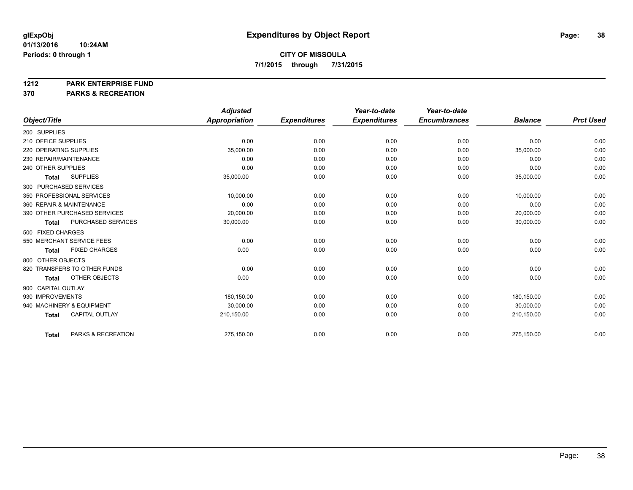#### **1212 PARK ENTERPRISE FUND**

**370 PARKS & RECREATION**

|                                       | <b>Adjusted</b>      |                     | Year-to-date        | Year-to-date        |                |                  |
|---------------------------------------|----------------------|---------------------|---------------------|---------------------|----------------|------------------|
| Object/Title                          | <b>Appropriation</b> | <b>Expenditures</b> | <b>Expenditures</b> | <b>Encumbrances</b> | <b>Balance</b> | <b>Prct Used</b> |
| 200 SUPPLIES                          |                      |                     |                     |                     |                |                  |
| 210 OFFICE SUPPLIES                   | 0.00                 | 0.00                | 0.00                | 0.00                | 0.00           | 0.00             |
| 220 OPERATING SUPPLIES                | 35,000.00            | 0.00                | 0.00                | 0.00                | 35,000.00      | 0.00             |
| 230 REPAIR/MAINTENANCE                | 0.00                 | 0.00                | 0.00                | 0.00                | 0.00           | 0.00             |
| 240 OTHER SUPPLIES                    | 0.00                 | 0.00                | 0.00                | 0.00                | 0.00           | 0.00             |
| <b>SUPPLIES</b><br><b>Total</b>       | 35,000.00            | 0.00                | 0.00                | 0.00                | 35,000.00      | 0.00             |
| 300 PURCHASED SERVICES                |                      |                     |                     |                     |                |                  |
| 350 PROFESSIONAL SERVICES             | 10,000.00            | 0.00                | 0.00                | 0.00                | 10,000.00      | 0.00             |
| 360 REPAIR & MAINTENANCE              | 0.00                 | 0.00                | 0.00                | 0.00                | 0.00           | 0.00             |
| 390 OTHER PURCHASED SERVICES          | 20,000.00            | 0.00                | 0.00                | 0.00                | 20,000.00      | 0.00             |
| PURCHASED SERVICES<br><b>Total</b>    | 30,000.00            | 0.00                | 0.00                | 0.00                | 30,000.00      | 0.00             |
| 500 FIXED CHARGES                     |                      |                     |                     |                     |                |                  |
| 550 MERCHANT SERVICE FEES             | 0.00                 | 0.00                | 0.00                | 0.00                | 0.00           | 0.00             |
| <b>FIXED CHARGES</b><br><b>Total</b>  | 0.00                 | 0.00                | 0.00                | 0.00                | 0.00           | 0.00             |
| 800 OTHER OBJECTS                     |                      |                     |                     |                     |                |                  |
| 820 TRANSFERS TO OTHER FUNDS          | 0.00                 | 0.00                | 0.00                | 0.00                | 0.00           | 0.00             |
| OTHER OBJECTS<br><b>Total</b>         | 0.00                 | 0.00                | 0.00                | 0.00                | 0.00           | 0.00             |
| 900 CAPITAL OUTLAY                    |                      |                     |                     |                     |                |                  |
| 930 IMPROVEMENTS                      | 180.150.00           | 0.00                | 0.00                | 0.00                | 180.150.00     | 0.00             |
| 940 MACHINERY & EQUIPMENT             | 30,000.00            | 0.00                | 0.00                | 0.00                | 30,000.00      | 0.00             |
| <b>CAPITAL OUTLAY</b><br><b>Total</b> | 210,150.00           | 0.00                | 0.00                | 0.00                | 210,150.00     | 0.00             |
|                                       |                      |                     |                     |                     |                |                  |
| PARKS & RECREATION<br><b>Total</b>    | 275,150.00           | 0.00                | 0.00                | 0.00                | 275,150.00     | 0.00             |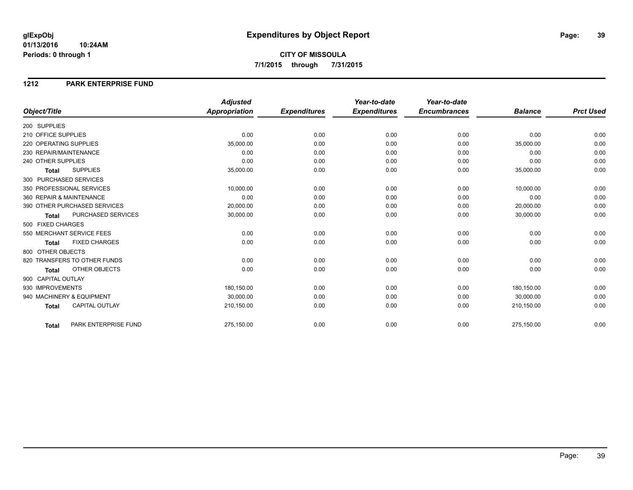#### **1212 PARK ENTERPRISE FUND**

|                                       | <b>Adjusted</b>      |                     | Year-to-date        | Year-to-date        |                |                  |
|---------------------------------------|----------------------|---------------------|---------------------|---------------------|----------------|------------------|
| Object/Title                          | <b>Appropriation</b> | <b>Expenditures</b> | <b>Expenditures</b> | <b>Encumbrances</b> | <b>Balance</b> | <b>Prct Used</b> |
| 200 SUPPLIES                          |                      |                     |                     |                     |                |                  |
| 210 OFFICE SUPPLIES                   | 0.00                 | 0.00                | 0.00                | 0.00                | 0.00           | 0.00             |
| 220 OPERATING SUPPLIES                | 35,000.00            | 0.00                | 0.00                | 0.00                | 35,000.00      | 0.00             |
| 230 REPAIR/MAINTENANCE                | 0.00                 | 0.00                | 0.00                | 0.00                | 0.00           | 0.00             |
| 240 OTHER SUPPLIES                    | 0.00                 | 0.00                | 0.00                | 0.00                | 0.00           | 0.00             |
| <b>SUPPLIES</b><br><b>Total</b>       | 35,000.00            | 0.00                | 0.00                | 0.00                | 35,000.00      | 0.00             |
| 300 PURCHASED SERVICES                |                      |                     |                     |                     |                |                  |
| 350 PROFESSIONAL SERVICES             | 10,000.00            | 0.00                | 0.00                | 0.00                | 10,000.00      | 0.00             |
| 360 REPAIR & MAINTENANCE              | 0.00                 | 0.00                | 0.00                | 0.00                | 0.00           | 0.00             |
| 390 OTHER PURCHASED SERVICES          | 20,000.00            | 0.00                | 0.00                | 0.00                | 20,000.00      | 0.00             |
| PURCHASED SERVICES<br><b>Total</b>    | 30,000.00            | 0.00                | 0.00                | 0.00                | 30,000.00      | 0.00             |
| 500 FIXED CHARGES                     |                      |                     |                     |                     |                |                  |
| 550 MERCHANT SERVICE FEES             | 0.00                 | 0.00                | 0.00                | 0.00                | 0.00           | 0.00             |
| <b>FIXED CHARGES</b><br><b>Total</b>  | 0.00                 | 0.00                | 0.00                | 0.00                | 0.00           | 0.00             |
| 800 OTHER OBJECTS                     |                      |                     |                     |                     |                |                  |
| 820 TRANSFERS TO OTHER FUNDS          | 0.00                 | 0.00                | 0.00                | 0.00                | 0.00           | 0.00             |
| OTHER OBJECTS<br><b>Total</b>         | 0.00                 | 0.00                | 0.00                | 0.00                | 0.00           | 0.00             |
| 900 CAPITAL OUTLAY                    |                      |                     |                     |                     |                |                  |
| 930 IMPROVEMENTS                      | 180,150.00           | 0.00                | 0.00                | 0.00                | 180,150.00     | 0.00             |
| 940 MACHINERY & EQUIPMENT             | 30,000.00            | 0.00                | 0.00                | 0.00                | 30,000.00      | 0.00             |
| <b>CAPITAL OUTLAY</b><br><b>Total</b> | 210,150.00           | 0.00                | 0.00                | 0.00                | 210,150.00     | 0.00             |
|                                       |                      |                     |                     |                     |                |                  |
| PARK ENTERPRISE FUND<br><b>Total</b>  | 275,150.00           | 0.00                | 0.00                | 0.00                | 275,150.00     | 0.00             |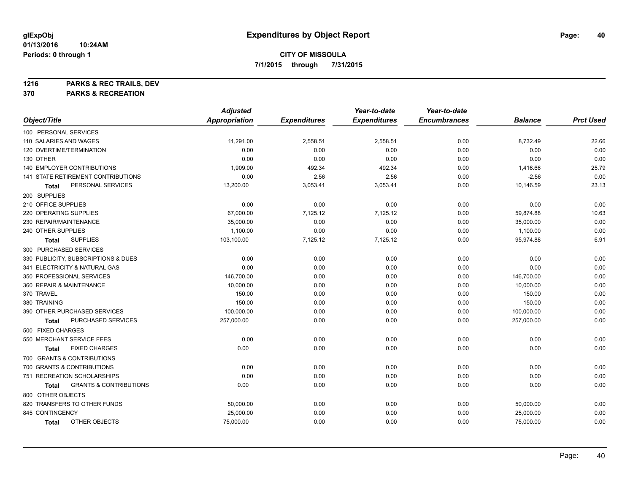**1216 PARKS & REC TRAILS, DEV**

**370 PARKS & RECREATION**

|                                            | <b>Adjusted</b>      |                     | Year-to-date        | Year-to-date        |                |                  |
|--------------------------------------------|----------------------|---------------------|---------------------|---------------------|----------------|------------------|
| Object/Title                               | <b>Appropriation</b> | <b>Expenditures</b> | <b>Expenditures</b> | <b>Encumbrances</b> | <b>Balance</b> | <b>Prct Used</b> |
| 100 PERSONAL SERVICES                      |                      |                     |                     |                     |                |                  |
| 110 SALARIES AND WAGES                     | 11,291.00            | 2,558.51            | 2,558.51            | 0.00                | 8,732.49       | 22.66            |
| 120 OVERTIME/TERMINATION                   | 0.00                 | 0.00                | 0.00                | 0.00                | 0.00           | 0.00             |
| 130 OTHER                                  | 0.00                 | 0.00                | 0.00                | 0.00                | 0.00           | 0.00             |
| 140 EMPLOYER CONTRIBUTIONS                 | 1,909.00             | 492.34              | 492.34              | 0.00                | 1,416.66       | 25.79            |
| 141 STATE RETIREMENT CONTRIBUTIONS         | 0.00                 | 2.56                | 2.56                | 0.00                | $-2.56$        | 0.00             |
| PERSONAL SERVICES<br>Total                 | 13,200.00            | 3,053.41            | 3,053.41            | 0.00                | 10,146.59      | 23.13            |
| 200 SUPPLIES                               |                      |                     |                     |                     |                |                  |
| 210 OFFICE SUPPLIES                        | 0.00                 | 0.00                | 0.00                | 0.00                | 0.00           | 0.00             |
| 220 OPERATING SUPPLIES                     | 67,000.00            | 7,125.12            | 7,125.12            | 0.00                | 59,874.88      | 10.63            |
| 230 REPAIR/MAINTENANCE                     | 35,000.00            | 0.00                | 0.00                | 0.00                | 35,000.00      | 0.00             |
| 240 OTHER SUPPLIES                         | 1,100.00             | 0.00                | 0.00                | 0.00                | 1,100.00       | 0.00             |
| <b>SUPPLIES</b><br>Total                   | 103,100.00           | 7,125.12            | 7,125.12            | 0.00                | 95,974.88      | 6.91             |
| 300 PURCHASED SERVICES                     |                      |                     |                     |                     |                |                  |
| 330 PUBLICITY, SUBSCRIPTIONS & DUES        | 0.00                 | 0.00                | 0.00                | 0.00                | 0.00           | 0.00             |
| 341 ELECTRICITY & NATURAL GAS              | 0.00                 | 0.00                | 0.00                | 0.00                | 0.00           | 0.00             |
| 350 PROFESSIONAL SERVICES                  | 146,700.00           | 0.00                | 0.00                | 0.00                | 146,700.00     | 0.00             |
| 360 REPAIR & MAINTENANCE                   | 10,000.00            | 0.00                | 0.00                | 0.00                | 10,000.00      | 0.00             |
| 370 TRAVEL                                 | 150.00               | 0.00                | 0.00                | 0.00                | 150.00         | 0.00             |
| 380 TRAINING                               | 150.00               | 0.00                | 0.00                | 0.00                | 150.00         | 0.00             |
| 390 OTHER PURCHASED SERVICES               | 100,000.00           | 0.00                | 0.00                | 0.00                | 100,000.00     | 0.00             |
| PURCHASED SERVICES<br>Total                | 257,000.00           | 0.00                | 0.00                | 0.00                | 257,000.00     | 0.00             |
| 500 FIXED CHARGES                          |                      |                     |                     |                     |                |                  |
| 550 MERCHANT SERVICE FEES                  | 0.00                 | 0.00                | 0.00                | 0.00                | 0.00           | 0.00             |
| <b>FIXED CHARGES</b><br>Total              | 0.00                 | 0.00                | 0.00                | 0.00                | 0.00           | 0.00             |
| 700 GRANTS & CONTRIBUTIONS                 |                      |                     |                     |                     |                |                  |
| 700 GRANTS & CONTRIBUTIONS                 | 0.00                 | 0.00                | 0.00                | 0.00                | 0.00           | 0.00             |
| 751 RECREATION SCHOLARSHIPS                | 0.00                 | 0.00                | 0.00                | 0.00                | 0.00           | 0.00             |
| <b>GRANTS &amp; CONTRIBUTIONS</b><br>Total | 0.00                 | 0.00                | 0.00                | 0.00                | 0.00           | 0.00             |
| 800 OTHER OBJECTS                          |                      |                     |                     |                     |                |                  |
| 820 TRANSFERS TO OTHER FUNDS               | 50,000.00            | 0.00                | 0.00                | 0.00                | 50,000.00      | 0.00             |
| 845 CONTINGENCY                            | 25,000.00            | 0.00                | 0.00                | 0.00                | 25,000.00      | 0.00             |
| OTHER OBJECTS<br><b>Total</b>              | 75,000.00            | 0.00                | 0.00                | 0.00                | 75,000.00      | 0.00             |
|                                            |                      |                     |                     |                     |                |                  |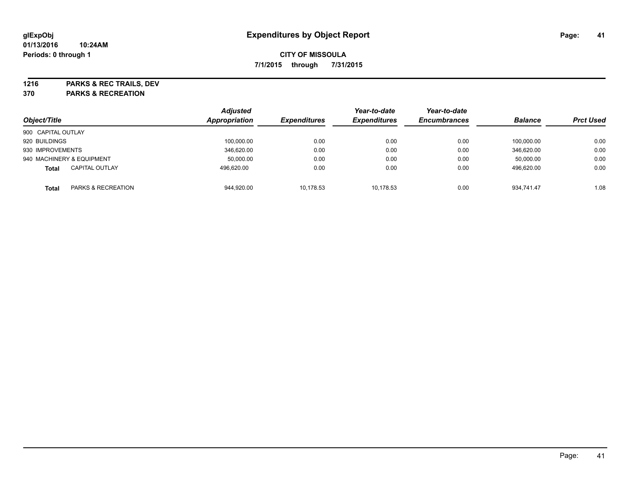**1216 PARKS & REC TRAILS, DEV**

**370 PARKS & RECREATION**

| Object/Title                          | <b>Adjusted</b><br>Appropriation | <b>Expenditures</b> | Year-to-date<br><b>Expenditures</b> | Year-to-date<br><b>Encumbrances</b> | <b>Balance</b> | <b>Prct Used</b> |
|---------------------------------------|----------------------------------|---------------------|-------------------------------------|-------------------------------------|----------------|------------------|
| 900 CAPITAL OUTLAY                    |                                  |                     |                                     |                                     |                |                  |
| 920 BUILDINGS                         | 100,000.00                       | 0.00                | 0.00                                | 0.00                                | 100.000.00     | 0.00             |
| 930 IMPROVEMENTS                      | 346.620.00                       | 0.00                | 0.00                                | 0.00                                | 346.620.00     | 0.00             |
| 940 MACHINERY & EQUIPMENT             | 50.000.00                        | 0.00                | 0.00                                | 0.00                                | 50.000.00      | 0.00             |
| <b>CAPITAL OUTLAY</b><br><b>Total</b> | 496,620.00                       | 0.00                | 0.00                                | 0.00                                | 496,620.00     | 0.00             |
| PARKS & RECREATION<br>Total           | 944,920.00                       | 10.178.53           | 10.178.53                           | 0.00                                | 934.741.47     | 1.08             |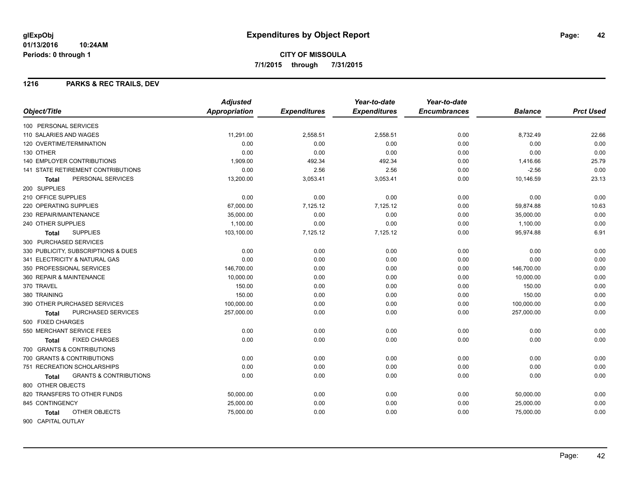#### **1216 PARKS & REC TRAILS, DEV**

|                                            | <b>Adjusted</b>      |                     | Year-to-date        | Year-to-date        |                |                  |
|--------------------------------------------|----------------------|---------------------|---------------------|---------------------|----------------|------------------|
| Object/Title                               | <b>Appropriation</b> | <b>Expenditures</b> | <b>Expenditures</b> | <b>Encumbrances</b> | <b>Balance</b> | <b>Prct Used</b> |
| 100 PERSONAL SERVICES                      |                      |                     |                     |                     |                |                  |
| 110 SALARIES AND WAGES                     | 11,291.00            | 2,558.51            | 2,558.51            | 0.00                | 8,732.49       | 22.66            |
| 120 OVERTIME/TERMINATION                   | 0.00                 | 0.00                | 0.00                | 0.00                | 0.00           | 0.00             |
| 130 OTHER                                  | 0.00                 | 0.00                | 0.00                | 0.00                | 0.00           | 0.00             |
| 140 EMPLOYER CONTRIBUTIONS                 | 1,909.00             | 492.34              | 492.34              | 0.00                | 1,416.66       | 25.79            |
| 141 STATE RETIREMENT CONTRIBUTIONS         | 0.00                 | 2.56                | 2.56                | 0.00                | $-2.56$        | 0.00             |
| PERSONAL SERVICES<br><b>Total</b>          | 13,200.00            | 3,053.41            | 3,053.41            | 0.00                | 10,146.59      | 23.13            |
| 200 SUPPLIES                               |                      |                     |                     |                     |                |                  |
| 210 OFFICE SUPPLIES                        | 0.00                 | 0.00                | 0.00                | 0.00                | 0.00           | 0.00             |
| 220 OPERATING SUPPLIES                     | 67,000.00            | 7,125.12            | 7,125.12            | 0.00                | 59,874.88      | 10.63            |
| 230 REPAIR/MAINTENANCE                     | 35,000.00            | 0.00                | 0.00                | 0.00                | 35,000.00      | 0.00             |
| 240 OTHER SUPPLIES                         | 1,100.00             | 0.00                | 0.00                | 0.00                | 1,100.00       | 0.00             |
| <b>SUPPLIES</b><br><b>Total</b>            | 103,100.00           | 7,125.12            | 7,125.12            | 0.00                | 95,974.88      | 6.91             |
| 300 PURCHASED SERVICES                     |                      |                     |                     |                     |                |                  |
| 330 PUBLICITY, SUBSCRIPTIONS & DUES        | 0.00                 | 0.00                | 0.00                | 0.00                | 0.00           | 0.00             |
| 341 ELECTRICITY & NATURAL GAS              | 0.00                 | 0.00                | 0.00                | 0.00                | 0.00           | 0.00             |
| 350 PROFESSIONAL SERVICES                  | 146,700.00           | 0.00                | 0.00                | 0.00                | 146,700.00     | 0.00             |
| 360 REPAIR & MAINTENANCE                   | 10,000.00            | 0.00                | 0.00                | 0.00                | 10,000.00      | 0.00             |
| 370 TRAVEL                                 | 150.00               | 0.00                | 0.00                | 0.00                | 150.00         | 0.00             |
| 380 TRAINING                               | 150.00               | 0.00                | 0.00                | 0.00                | 150.00         | 0.00             |
| 390 OTHER PURCHASED SERVICES               | 100,000.00           | 0.00                | 0.00                | 0.00                | 100,000.00     | 0.00             |
| PURCHASED SERVICES<br>Total                | 257,000.00           | 0.00                | 0.00                | 0.00                | 257,000.00     | 0.00             |
| 500 FIXED CHARGES                          |                      |                     |                     |                     |                |                  |
| 550 MERCHANT SERVICE FEES                  | 0.00                 | 0.00                | 0.00                | 0.00                | 0.00           | 0.00             |
| <b>FIXED CHARGES</b><br>Total              | 0.00                 | 0.00                | 0.00                | 0.00                | 0.00           | 0.00             |
| 700 GRANTS & CONTRIBUTIONS                 |                      |                     |                     |                     |                |                  |
| 700 GRANTS & CONTRIBUTIONS                 | 0.00                 | 0.00                | 0.00                | 0.00                | 0.00           | 0.00             |
| 751 RECREATION SCHOLARSHIPS                | 0.00                 | 0.00                | 0.00                | 0.00                | 0.00           | 0.00             |
| <b>GRANTS &amp; CONTRIBUTIONS</b><br>Total | 0.00                 | 0.00                | 0.00                | 0.00                | 0.00           | 0.00             |
| 800 OTHER OBJECTS                          |                      |                     |                     |                     |                |                  |
| 820 TRANSFERS TO OTHER FUNDS               | 50,000.00            | 0.00                | 0.00                | 0.00                | 50,000.00      | 0.00             |
| 845 CONTINGENCY                            | 25,000.00            | 0.00                | 0.00                | 0.00                | 25,000.00      | 0.00             |
| OTHER OBJECTS<br><b>Total</b>              | 75,000.00            | 0.00                | 0.00                | 0.00                | 75,000.00      | 0.00             |
| 900 CAPITAL OUTLAY                         |                      |                     |                     |                     |                |                  |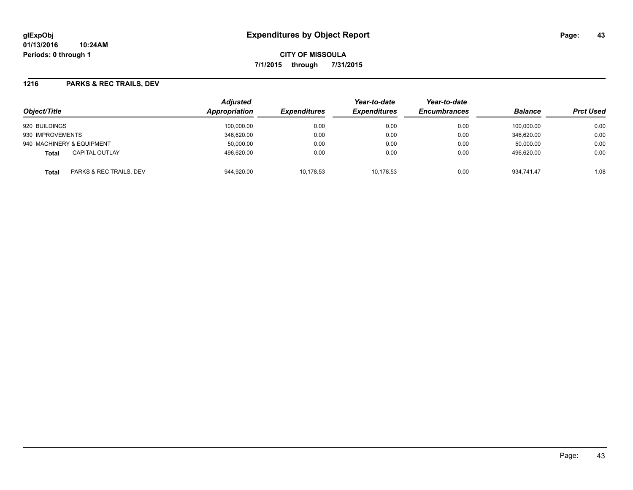#### **1216 PARKS & REC TRAILS, DEV**

| Object/Title                          | <b>Adjusted</b><br>Appropriation | <b>Expenditures</b> | Year-to-date<br><b>Expenditures</b> | Year-to-date<br><b>Encumbrances</b> | <b>Balance</b> | <b>Prct Used</b> |
|---------------------------------------|----------------------------------|---------------------|-------------------------------------|-------------------------------------|----------------|------------------|
| 920 BUILDINGS                         | 100,000.00                       | 0.00                | 0.00                                | 0.00                                | 100.000.00     | 0.00             |
| 930 IMPROVEMENTS                      | 346,620.00                       | 0.00                | 0.00                                | 0.00                                | 346.620.00     | 0.00             |
| 940 MACHINERY & EQUIPMENT             | 50,000.00                        | 0.00                | 0.00                                | 0.00                                | 50.000.00      | 0.00             |
| <b>CAPITAL OUTLAY</b><br><b>Total</b> | 496.620.00                       | 0.00                | 0.00                                | 0.00                                | 496.620.00     | 0.00             |
| PARKS & REC TRAILS, DEV<br>Total      | 944,920.00                       | 10.178.53           | 10.178.53                           | 0.00                                | 934.741.47     | 1.08             |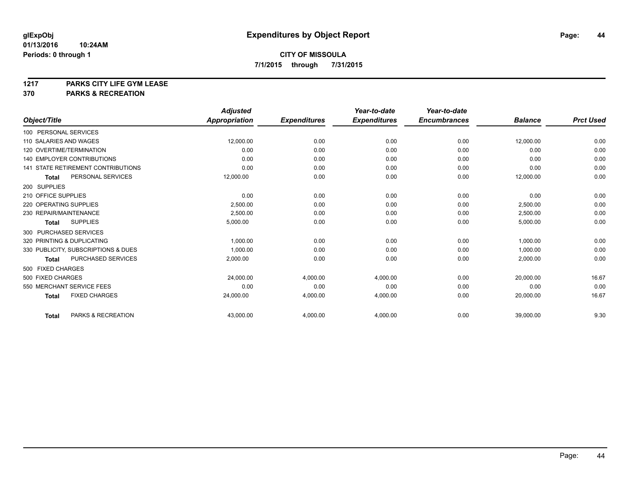# **1217 PARKS CITY LIFE GYM LEASE**

## **370 PARKS & RECREATION**

|                                           | <b>Adjusted</b>      |                     | Year-to-date        | Year-to-date        |                |                  |
|-------------------------------------------|----------------------|---------------------|---------------------|---------------------|----------------|------------------|
| Object/Title                              | <b>Appropriation</b> | <b>Expenditures</b> | <b>Expenditures</b> | <b>Encumbrances</b> | <b>Balance</b> | <b>Prct Used</b> |
| 100 PERSONAL SERVICES                     |                      |                     |                     |                     |                |                  |
| 110 SALARIES AND WAGES                    | 12,000.00            | 0.00                | 0.00                | 0.00                | 12,000.00      | 0.00             |
| 120 OVERTIME/TERMINATION                  | 0.00                 | 0.00                | 0.00                | 0.00                | 0.00           | 0.00             |
| 140 EMPLOYER CONTRIBUTIONS                | 0.00                 | 0.00                | 0.00                | 0.00                | 0.00           | 0.00             |
| <b>141 STATE RETIREMENT CONTRIBUTIONS</b> | 0.00                 | 0.00                | 0.00                | 0.00                | 0.00           | 0.00             |
| PERSONAL SERVICES<br><b>Total</b>         | 12,000.00            | 0.00                | 0.00                | 0.00                | 12,000.00      | 0.00             |
| 200 SUPPLIES                              |                      |                     |                     |                     |                |                  |
| 210 OFFICE SUPPLIES                       | 0.00                 | 0.00                | 0.00                | 0.00                | 0.00           | 0.00             |
| 220 OPERATING SUPPLIES                    | 2,500.00             | 0.00                | 0.00                | 0.00                | 2,500.00       | 0.00             |
| 230 REPAIR/MAINTENANCE                    | 2,500.00             | 0.00                | 0.00                | 0.00                | 2,500.00       | 0.00             |
| <b>SUPPLIES</b><br><b>Total</b>           | 5,000.00             | 0.00                | 0.00                | 0.00                | 5,000.00       | 0.00             |
| 300 PURCHASED SERVICES                    |                      |                     |                     |                     |                |                  |
| 320 PRINTING & DUPLICATING                | 1,000.00             | 0.00                | 0.00                | 0.00                | 1,000.00       | 0.00             |
| 330 PUBLICITY, SUBSCRIPTIONS & DUES       | 1.000.00             | 0.00                | 0.00                | 0.00                | 1,000.00       | 0.00             |
| PURCHASED SERVICES<br><b>Total</b>        | 2,000.00             | 0.00                | 0.00                | 0.00                | 2,000.00       | 0.00             |
| 500 FIXED CHARGES                         |                      |                     |                     |                     |                |                  |
| 500 FIXED CHARGES                         | 24,000.00            | 4,000.00            | 4,000.00            | 0.00                | 20,000.00      | 16.67            |
| 550 MERCHANT SERVICE FEES                 | 0.00                 | 0.00                | 0.00                | 0.00                | 0.00           | 0.00             |
| <b>FIXED CHARGES</b><br><b>Total</b>      | 24,000.00            | 4,000.00            | 4,000.00            | 0.00                | 20,000.00      | 16.67            |
| PARKS & RECREATION<br><b>Total</b>        | 43,000.00            | 4,000.00            | 4,000.00            | 0.00                | 39,000.00      | 9.30             |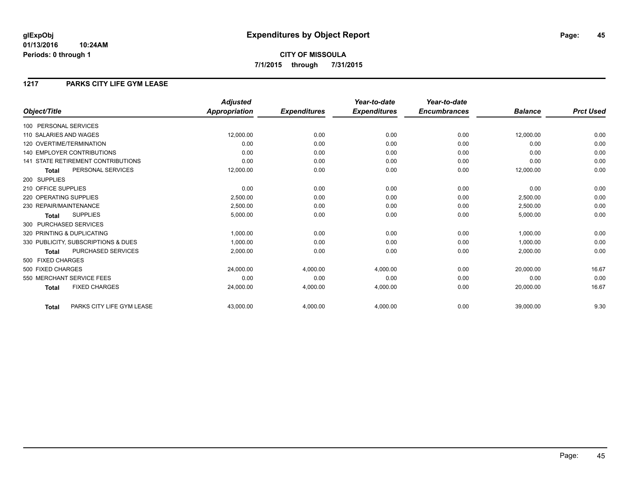## **CITY OF MISSOULA 7/1/2015 through 7/31/2015**

### **1217 PARKS CITY LIFE GYM LEASE**

|                                           | <b>Adjusted</b>      |                     | Year-to-date        | Year-to-date        |                |                  |
|-------------------------------------------|----------------------|---------------------|---------------------|---------------------|----------------|------------------|
| Object/Title                              | <b>Appropriation</b> | <b>Expenditures</b> | <b>Expenditures</b> | <b>Encumbrances</b> | <b>Balance</b> | <b>Prct Used</b> |
| 100 PERSONAL SERVICES                     |                      |                     |                     |                     |                |                  |
| 110 SALARIES AND WAGES                    | 12,000.00            | 0.00                | 0.00                | 0.00                | 12,000.00      | 0.00             |
| 120 OVERTIME/TERMINATION                  | 0.00                 | 0.00                | 0.00                | 0.00                | 0.00           | 0.00             |
| <b>140 EMPLOYER CONTRIBUTIONS</b>         | 0.00                 | 0.00                | 0.00                | 0.00                | 0.00           | 0.00             |
| <b>141 STATE RETIREMENT CONTRIBUTIONS</b> | 0.00                 | 0.00                | 0.00                | 0.00                | 0.00           | 0.00             |
| PERSONAL SERVICES<br><b>Total</b>         | 12,000.00            | 0.00                | 0.00                | 0.00                | 12,000.00      | 0.00             |
| 200 SUPPLIES                              |                      |                     |                     |                     |                |                  |
| 210 OFFICE SUPPLIES                       | 0.00                 | 0.00                | 0.00                | 0.00                | 0.00           | 0.00             |
| 220 OPERATING SUPPLIES                    | 2.500.00             | 0.00                | 0.00                | 0.00                | 2,500.00       | 0.00             |
| 230 REPAIR/MAINTENANCE                    | 2,500.00             | 0.00                | 0.00                | 0.00                | 2,500.00       | 0.00             |
| <b>SUPPLIES</b><br><b>Total</b>           | 5,000.00             | 0.00                | 0.00                | 0.00                | 5,000.00       | 0.00             |
| 300 PURCHASED SERVICES                    |                      |                     |                     |                     |                |                  |
| 320 PRINTING & DUPLICATING                | 1,000.00             | 0.00                | 0.00                | 0.00                | 1,000.00       | 0.00             |
| 330 PUBLICITY, SUBSCRIPTIONS & DUES       | 1,000.00             | 0.00                | 0.00                | 0.00                | 1,000.00       | 0.00             |
| PURCHASED SERVICES<br><b>Total</b>        | 2,000.00             | 0.00                | 0.00                | 0.00                | 2,000.00       | 0.00             |
| 500 FIXED CHARGES                         |                      |                     |                     |                     |                |                  |
| 500 FIXED CHARGES                         | 24,000.00            | 4,000.00            | 4,000.00            | 0.00                | 20,000.00      | 16.67            |
| 550 MERCHANT SERVICE FEES                 | 0.00                 | 0.00                | 0.00                | 0.00                | 0.00           | 0.00             |
| <b>FIXED CHARGES</b><br><b>Total</b>      | 24,000.00            | 4,000.00            | 4,000.00            | 0.00                | 20,000.00      | 16.67            |
| PARKS CITY LIFE GYM LEASE<br><b>Total</b> | 43,000.00            | 4,000.00            | 4,000.00            | 0.00                | 39,000.00      | 9.30             |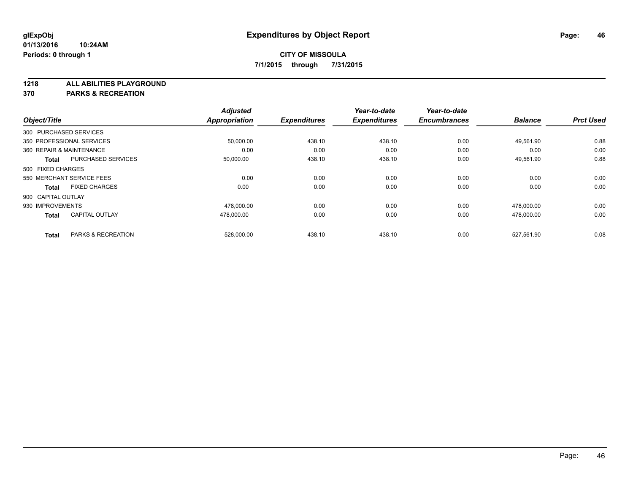**1218 ALL ABILITIES PLAYGROUND**

**370 PARKS & RECREATION**

|                               | <b>Adjusted</b>                                                                                                                                                                             |                                    | Year-to-date                  | Year-to-date                  |                     | <b>Prct Used</b> |
|-------------------------------|---------------------------------------------------------------------------------------------------------------------------------------------------------------------------------------------|------------------------------------|-------------------------------|-------------------------------|---------------------|------------------|
|                               |                                                                                                                                                                                             |                                    |                               |                               |                     |                  |
|                               |                                                                                                                                                                                             |                                    |                               |                               |                     |                  |
|                               | 50,000.00                                                                                                                                                                                   | 438.10                             | 438.10                        | 0.00                          | 49,561.90           | 0.88             |
|                               | 0.00                                                                                                                                                                                        | 0.00                               | 0.00                          | 0.00                          | 0.00                | 0.00             |
| <b>PURCHASED SERVICES</b>     | 50,000.00                                                                                                                                                                                   | 438.10                             | 438.10                        | 0.00                          | 49,561.90           | 0.88             |
|                               |                                                                                                                                                                                             |                                    |                               |                               |                     |                  |
|                               | 0.00                                                                                                                                                                                        | 0.00                               | 0.00                          | 0.00                          | 0.00                | 0.00             |
| <b>FIXED CHARGES</b>          | 0.00                                                                                                                                                                                        | 0.00                               | 0.00                          | 0.00                          | 0.00                | 0.00             |
|                               |                                                                                                                                                                                             |                                    |                               |                               |                     |                  |
|                               | 478,000.00                                                                                                                                                                                  | 0.00                               | 0.00                          | 0.00                          | 478,000.00          | 0.00             |
| <b>CAPITAL OUTLAY</b>         | 478.000.00                                                                                                                                                                                  | 0.00                               | 0.00                          | 0.00                          | 478.000.00          | 0.00             |
| <b>PARKS &amp; RECREATION</b> |                                                                                                                                                                                             |                                    |                               | 0.00                          | 527.561.90          | 0.08             |
|                               | Object/Title<br>300 PURCHASED SERVICES<br>350 PROFESSIONAL SERVICES<br>360 REPAIR & MAINTENANCE<br>500 FIXED CHARGES<br>550 MERCHANT SERVICE FEES<br>900 CAPITAL OUTLAY<br>930 IMPROVEMENTS | <b>Appropriation</b><br>528,000.00 | <b>Expenditures</b><br>438.10 | <b>Expenditures</b><br>438.10 | <b>Encumbrances</b> | <b>Balance</b>   |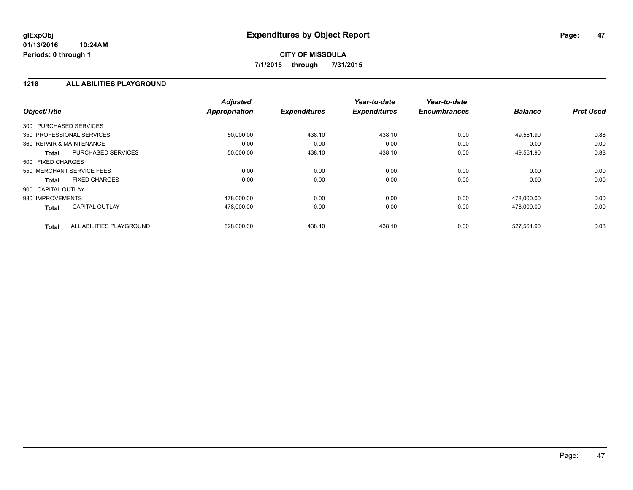#### **1218 ALL ABILITIES PLAYGROUND**

| Object/Title                             | <b>Adjusted</b><br><b>Appropriation</b> | <b>Expenditures</b> | Year-to-date<br><b>Expenditures</b> | Year-to-date<br><b>Encumbrances</b> | <b>Balance</b> | <b>Prct Used</b> |
|------------------------------------------|-----------------------------------------|---------------------|-------------------------------------|-------------------------------------|----------------|------------------|
| 300 PURCHASED SERVICES                   |                                         |                     |                                     |                                     |                |                  |
| 350 PROFESSIONAL SERVICES                | 50,000.00                               | 438.10              | 438.10                              | 0.00                                | 49,561.90      | 0.88             |
| 360 REPAIR & MAINTENANCE                 | 0.00                                    | 0.00                | 0.00                                | 0.00                                | 0.00           | 0.00             |
| <b>PURCHASED SERVICES</b><br>Total       | 50,000.00                               | 438.10              | 438.10                              | 0.00                                | 49,561.90      | 0.88             |
| 500 FIXED CHARGES                        |                                         |                     |                                     |                                     |                |                  |
| 550 MERCHANT SERVICE FEES                | 0.00                                    | 0.00                | 0.00                                | 0.00                                | 0.00           | 0.00             |
| <b>FIXED CHARGES</b><br><b>Total</b>     | 0.00                                    | 0.00                | 0.00                                | 0.00                                | 0.00           | 0.00             |
| 900 CAPITAL OUTLAY                       |                                         |                     |                                     |                                     |                |                  |
| 930 IMPROVEMENTS                         | 478.000.00                              | 0.00                | 0.00                                | 0.00                                | 478.000.00     | 0.00             |
| <b>CAPITAL OUTLAY</b><br><b>Total</b>    | 478,000.00                              | 0.00                | 0.00                                | 0.00                                | 478,000.00     | 0.00             |
| ALL ABILITIES PLAYGROUND<br><b>Total</b> | 528.000.00                              | 438.10              | 438.10                              | 0.00                                | 527.561.90     | 0.08             |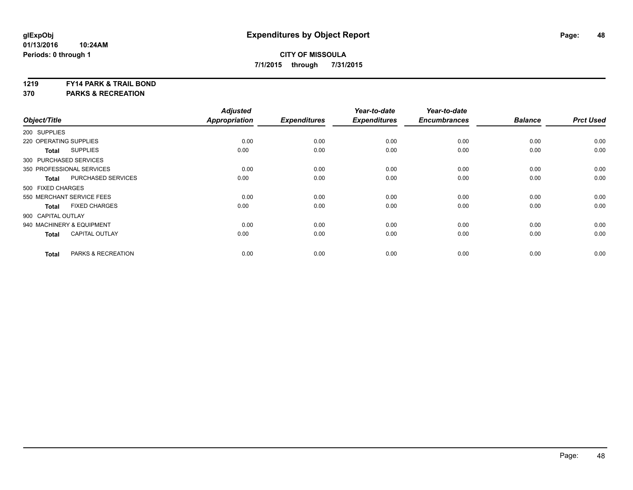#### **1219 FY14 PARK & TRAIL BOND**

**370 PARKS & RECREATION**

| Object/Title              |                           | <b>Adjusted</b><br><b>Appropriation</b> | <b>Expenditures</b> | Year-to-date<br><b>Expenditures</b> | Year-to-date<br><b>Encumbrances</b> | <b>Balance</b> | <b>Prct Used</b> |
|---------------------------|---------------------------|-----------------------------------------|---------------------|-------------------------------------|-------------------------------------|----------------|------------------|
| 200 SUPPLIES              |                           |                                         |                     |                                     |                                     |                |                  |
| 220 OPERATING SUPPLIES    |                           | 0.00                                    | 0.00                | 0.00                                | 0.00                                | 0.00           | 0.00             |
| <b>Total</b>              | <b>SUPPLIES</b>           | 0.00                                    | 0.00                | 0.00                                | 0.00                                | 0.00           | 0.00             |
| 300 PURCHASED SERVICES    |                           |                                         |                     |                                     |                                     |                |                  |
| 350 PROFESSIONAL SERVICES |                           | 0.00                                    | 0.00                | 0.00                                | 0.00                                | 0.00           | 0.00             |
| <b>Total</b>              | PURCHASED SERVICES        | 0.00                                    | 0.00                | 0.00                                | 0.00                                | 0.00           | 0.00             |
| 500 FIXED CHARGES         |                           |                                         |                     |                                     |                                     |                |                  |
|                           | 550 MERCHANT SERVICE FEES | 0.00                                    | 0.00                | 0.00                                | 0.00                                | 0.00           | 0.00             |
| <b>Total</b>              | <b>FIXED CHARGES</b>      | 0.00                                    | 0.00                | 0.00                                | 0.00                                | 0.00           | 0.00             |
| 900 CAPITAL OUTLAY        |                           |                                         |                     |                                     |                                     |                |                  |
| 940 MACHINERY & EQUIPMENT |                           | 0.00                                    | 0.00                | 0.00                                | 0.00                                | 0.00           | 0.00             |
| <b>Total</b>              | <b>CAPITAL OUTLAY</b>     | 0.00                                    | 0.00                | 0.00                                | 0.00                                | 0.00           | 0.00             |
| <b>Total</b>              | PARKS & RECREATION        | 0.00                                    | 0.00                | 0.00                                | 0.00                                | 0.00           | 0.00             |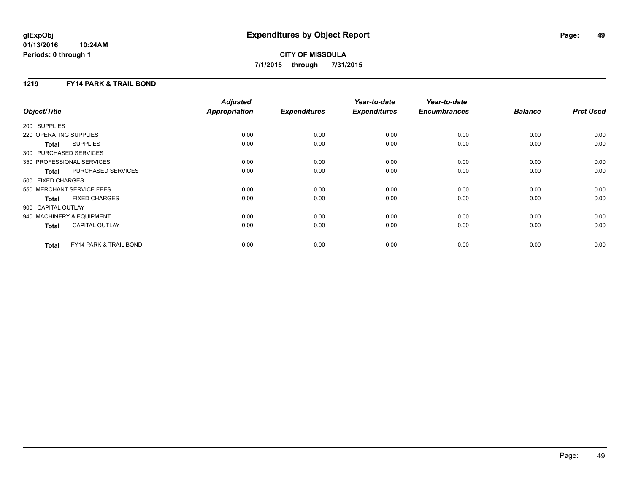## **CITY OF MISSOULA 7/1/2015 through 7/31/2015**

### **1219 FY14 PARK & TRAIL BOND**

| Object/Title           |                                   | <b>Adjusted</b><br><b>Appropriation</b> | <b>Expenditures</b> | Year-to-date<br><b>Expenditures</b> | Year-to-date<br><b>Encumbrances</b> | <b>Balance</b> | <b>Prct Used</b> |
|------------------------|-----------------------------------|-----------------------------------------|---------------------|-------------------------------------|-------------------------------------|----------------|------------------|
|                        |                                   |                                         |                     |                                     |                                     |                |                  |
| 200 SUPPLIES           |                                   |                                         |                     |                                     |                                     |                |                  |
| 220 OPERATING SUPPLIES |                                   | 0.00                                    | 0.00                | 0.00                                | 0.00                                | 0.00           | 0.00             |
| <b>Total</b>           | <b>SUPPLIES</b>                   | 0.00                                    | 0.00                | 0.00                                | 0.00                                | 0.00           | 0.00             |
| 300 PURCHASED SERVICES |                                   |                                         |                     |                                     |                                     |                |                  |
|                        | 350 PROFESSIONAL SERVICES         | 0.00                                    | 0.00                | 0.00                                | 0.00                                | 0.00           | 0.00             |
| <b>Total</b>           | PURCHASED SERVICES                | 0.00                                    | 0.00                | 0.00                                | 0.00                                | 0.00           | 0.00             |
| 500 FIXED CHARGES      |                                   |                                         |                     |                                     |                                     |                |                  |
|                        | 550 MERCHANT SERVICE FEES         | 0.00                                    | 0.00                | 0.00                                | 0.00                                | 0.00           | 0.00             |
| <b>Total</b>           | <b>FIXED CHARGES</b>              | 0.00                                    | 0.00                | 0.00                                | 0.00                                | 0.00           | 0.00             |
| 900 CAPITAL OUTLAY     |                                   |                                         |                     |                                     |                                     |                |                  |
|                        | 940 MACHINERY & EQUIPMENT         | 0.00                                    | 0.00                | 0.00                                | 0.00                                | 0.00           | 0.00             |
| <b>Total</b>           | <b>CAPITAL OUTLAY</b>             | 0.00                                    | 0.00                | 0.00                                | 0.00                                | 0.00           | 0.00             |
| <b>Total</b>           | <b>FY14 PARK &amp; TRAIL BOND</b> | 0.00                                    | 0.00                | 0.00                                | 0.00                                | 0.00           | 0.00             |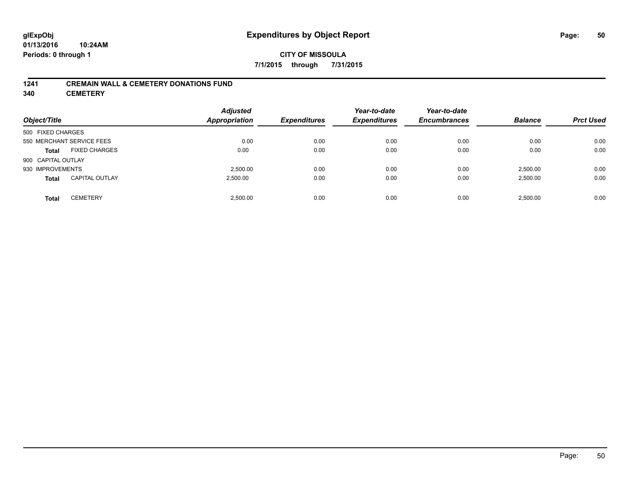### **CITY OF MISSOULA 7/1/2015 through 7/31/2015**

#### **1241 CREMAIN WALL & CEMETERY DONATIONS FUND**

**340 CEMETERY**

| Object/Title       |                           | <b>Adjusted</b><br><b>Appropriation</b> | <b>Expenditures</b> | Year-to-date<br><b>Expenditures</b> | Year-to-date<br><b>Encumbrances</b> | <b>Balance</b> | <b>Prct Used</b> |
|--------------------|---------------------------|-----------------------------------------|---------------------|-------------------------------------|-------------------------------------|----------------|------------------|
| 500 FIXED CHARGES  |                           |                                         |                     |                                     |                                     |                |                  |
|                    | 550 MERCHANT SERVICE FEES | 0.00                                    | 0.00                | 0.00                                | 0.00                                | 0.00           | 0.00             |
| <b>Total</b>       | <b>FIXED CHARGES</b>      | 0.00                                    | 0.00                | 0.00                                | 0.00                                | 0.00           | 0.00             |
| 900 CAPITAL OUTLAY |                           |                                         |                     |                                     |                                     |                |                  |
| 930 IMPROVEMENTS   |                           | 2.500.00                                | 0.00                | 0.00                                | 0.00                                | 2,500.00       | 0.00             |
| <b>Total</b>       | <b>CAPITAL OUTLAY</b>     | 2,500.00                                | 0.00                | 0.00                                | 0.00                                | 2,500.00       | 0.00             |
| <b>Total</b>       | <b>CEMETERY</b>           | 2.500.00                                | 0.00                | 0.00                                | 0.00                                | 2,500.00       | 0.00             |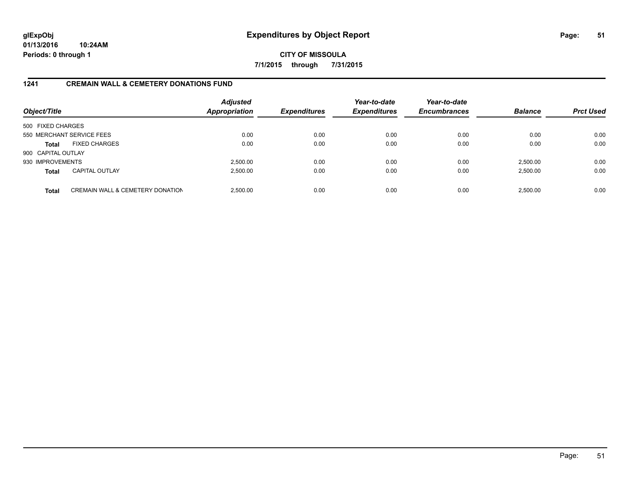**CITY OF MISSOULA 7/1/2015 through 7/31/2015**

### **1241 CREMAIN WALL & CEMETERY DONATIONS FUND**

| Object/Title       |                                             | <b>Adjusted</b><br><b>Appropriation</b> | <b>Expenditures</b> | Year-to-date<br><b>Expenditures</b> | Year-to-date<br><b>Encumbrances</b> | <b>Balance</b> | <b>Prct Used</b> |
|--------------------|---------------------------------------------|-----------------------------------------|---------------------|-------------------------------------|-------------------------------------|----------------|------------------|
| 500 FIXED CHARGES  |                                             |                                         |                     |                                     |                                     |                |                  |
|                    | 550 MERCHANT SERVICE FEES                   | 0.00                                    | 0.00                | 0.00                                | 0.00                                | 0.00           | 0.00             |
| Total              | <b>FIXED CHARGES</b>                        | 0.00                                    | 0.00                | 0.00                                | 0.00                                | 0.00           | 0.00             |
| 900 CAPITAL OUTLAY |                                             |                                         |                     |                                     |                                     |                |                  |
| 930 IMPROVEMENTS   |                                             | 2,500.00                                | 0.00                | 0.00                                | 0.00                                | 2,500.00       | 0.00             |
| <b>Total</b>       | <b>CAPITAL OUTLAY</b>                       | 2,500.00                                | 0.00                | 0.00                                | 0.00                                | 2,500.00       | 0.00             |
| <b>Total</b>       | <b>CREMAIN WALL &amp; CEMETERY DONATION</b> | 2,500.00                                | 0.00                | 0.00                                | 0.00                                | 2,500.00       | 0.00             |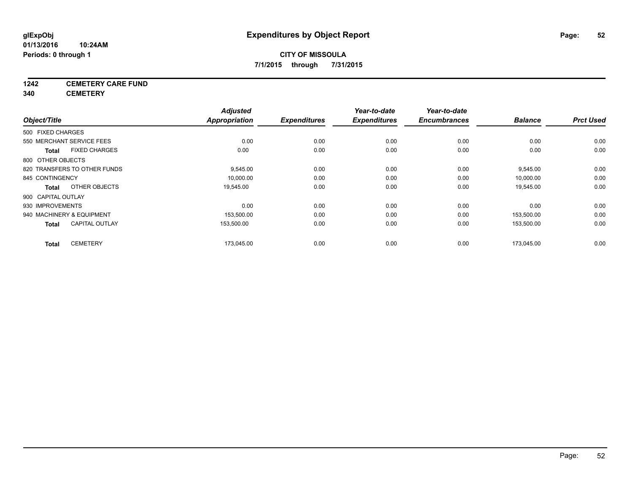## **1242 CEMETERY CARE FUND**

**340 CEMETERY**

|                    |                              | <b>Adjusted</b> |                     | Year-to-date        | Year-to-date        |                |                  |
|--------------------|------------------------------|-----------------|---------------------|---------------------|---------------------|----------------|------------------|
| Object/Title       |                              | Appropriation   | <b>Expenditures</b> | <b>Expenditures</b> | <b>Encumbrances</b> | <b>Balance</b> | <b>Prct Used</b> |
| 500 FIXED CHARGES  |                              |                 |                     |                     |                     |                |                  |
|                    | 550 MERCHANT SERVICE FEES    | 0.00            | 0.00                | 0.00                | 0.00                | 0.00           | 0.00             |
| <b>Total</b>       | <b>FIXED CHARGES</b>         | 0.00            | 0.00                | 0.00                | 0.00                | 0.00           | 0.00             |
| 800 OTHER OBJECTS  |                              |                 |                     |                     |                     |                |                  |
|                    | 820 TRANSFERS TO OTHER FUNDS | 9,545.00        | 0.00                | 0.00                | 0.00                | 9,545.00       | 0.00             |
| 845 CONTINGENCY    |                              | 10,000.00       | 0.00                | 0.00                | 0.00                | 10,000.00      | 0.00             |
| <b>Total</b>       | OTHER OBJECTS                | 19,545.00       | 0.00                | 0.00                | 0.00                | 19,545.00      | 0.00             |
| 900 CAPITAL OUTLAY |                              |                 |                     |                     |                     |                |                  |
| 930 IMPROVEMENTS   |                              | 0.00            | 0.00                | 0.00                | 0.00                | 0.00           | 0.00             |
|                    | 940 MACHINERY & EQUIPMENT    | 153,500.00      | 0.00                | 0.00                | 0.00                | 153.500.00     | 0.00             |
| <b>Total</b>       | <b>CAPITAL OUTLAY</b>        | 153,500.00      | 0.00                | 0.00                | 0.00                | 153,500.00     | 0.00             |
| <b>Total</b>       | <b>CEMETERY</b>              | 173,045.00      | 0.00                | 0.00                | 0.00                | 173.045.00     | 0.00             |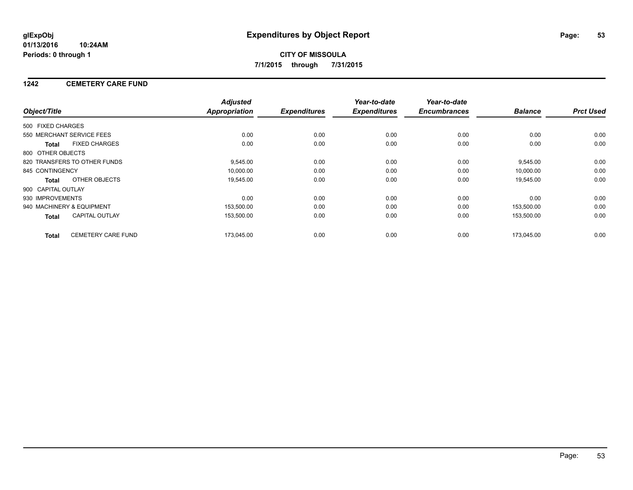### **1242 CEMETERY CARE FUND**

|                    |                              | <b>Adjusted</b>      |                     | Year-to-date        | Year-to-date        |                |                  |
|--------------------|------------------------------|----------------------|---------------------|---------------------|---------------------|----------------|------------------|
| Object/Title       |                              | <b>Appropriation</b> | <b>Expenditures</b> | <b>Expenditures</b> | <b>Encumbrances</b> | <b>Balance</b> | <b>Prct Used</b> |
| 500 FIXED CHARGES  |                              |                      |                     |                     |                     |                |                  |
|                    | 550 MERCHANT SERVICE FEES    | 0.00                 | 0.00                | 0.00                | 0.00                | 0.00           | 0.00             |
| <b>Total</b>       | <b>FIXED CHARGES</b>         | 0.00                 | 0.00                | 0.00                | 0.00                | 0.00           | 0.00             |
| 800 OTHER OBJECTS  |                              |                      |                     |                     |                     |                |                  |
|                    | 820 TRANSFERS TO OTHER FUNDS | 9,545.00             | 0.00                | 0.00                | 0.00                | 9,545.00       | 0.00             |
| 845 CONTINGENCY    |                              | 10,000.00            | 0.00                | 0.00                | 0.00                | 10.000.00      | 0.00             |
| <b>Total</b>       | OTHER OBJECTS                | 19,545.00            | 0.00                | 0.00                | 0.00                | 19,545.00      | 0.00             |
| 900 CAPITAL OUTLAY |                              |                      |                     |                     |                     |                |                  |
| 930 IMPROVEMENTS   |                              | 0.00                 | 0.00                | 0.00                | 0.00                | 0.00           | 0.00             |
|                    | 940 MACHINERY & EQUIPMENT    | 153,500.00           | 0.00                | 0.00                | 0.00                | 153,500.00     | 0.00             |
| <b>Total</b>       | <b>CAPITAL OUTLAY</b>        | 153,500.00           | 0.00                | 0.00                | 0.00                | 153,500.00     | 0.00             |
| <b>Total</b>       | <b>CEMETERY CARE FUND</b>    | 173.045.00           | 0.00                | 0.00                | 0.00                | 173.045.00     | 0.00             |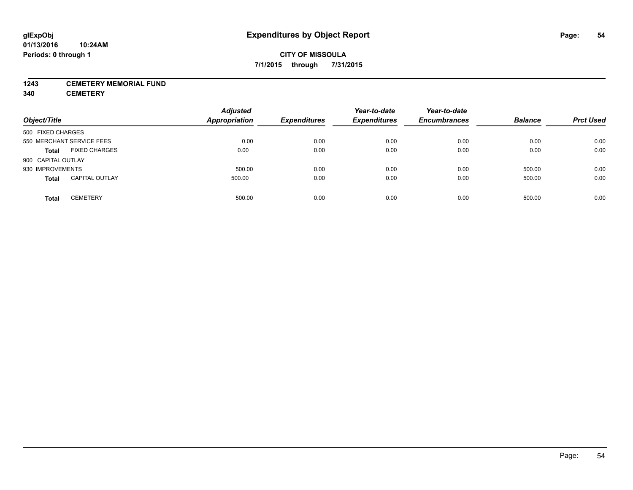#### **1243 CEMETERY MEMORIAL FUND**

**340 CEMETERY**

| Object/Title              |                       | <b>Adjusted</b><br><b>Appropriation</b> | <b>Expenditures</b> | Year-to-date<br><b>Expenditures</b> | Year-to-date<br><b>Encumbrances</b> | <b>Balance</b> | <b>Prct Used</b> |
|---------------------------|-----------------------|-----------------------------------------|---------------------|-------------------------------------|-------------------------------------|----------------|------------------|
| 500 FIXED CHARGES         |                       |                                         |                     |                                     |                                     |                |                  |
| 550 MERCHANT SERVICE FEES |                       | 0.00                                    | 0.00                | 0.00                                | 0.00                                | 0.00           | 0.00             |
| <b>Total</b>              | <b>FIXED CHARGES</b>  | 0.00                                    | 0.00                | 0.00                                | 0.00                                | 0.00           | 0.00             |
| 900 CAPITAL OUTLAY        |                       |                                         |                     |                                     |                                     |                |                  |
| 930 IMPROVEMENTS          |                       | 500.00                                  | 0.00                | 0.00                                | 0.00                                | 500.00         | 0.00             |
| <b>Total</b>              | <b>CAPITAL OUTLAY</b> | 500.00                                  | 0.00                | 0.00                                | 0.00                                | 500.00         | 0.00             |
| <b>Total</b>              | <b>CEMETERY</b>       | 500.00                                  | 0.00                | 0.00                                | 0.00                                | 500.00         | 0.00             |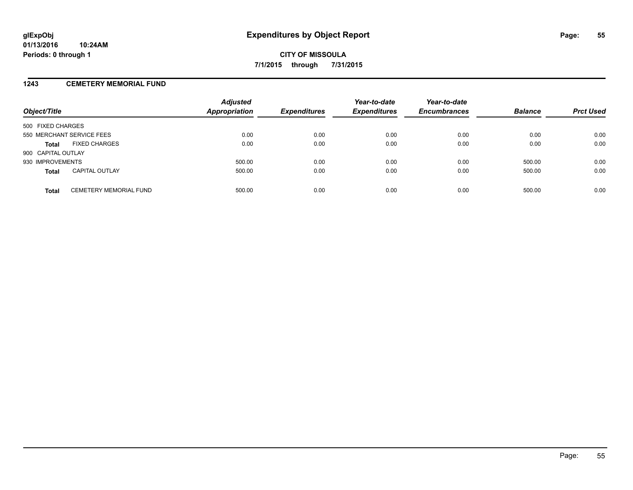#### **1243 CEMETERY MEMORIAL FUND**

| Object/Title              |                               | <b>Adjusted</b><br>Appropriation | <b>Expenditures</b> | Year-to-date<br><b>Expenditures</b> | Year-to-date<br><b>Encumbrances</b> | <b>Balance</b> | <b>Prct Used</b> |
|---------------------------|-------------------------------|----------------------------------|---------------------|-------------------------------------|-------------------------------------|----------------|------------------|
| 500 FIXED CHARGES         |                               |                                  |                     |                                     |                                     |                |                  |
| 550 MERCHANT SERVICE FEES |                               | 0.00                             | 0.00                | 0.00                                | 0.00                                | 0.00           | 0.00             |
| <b>Total</b>              | <b>FIXED CHARGES</b>          | 0.00                             | 0.00                | 0.00                                | 0.00                                | 0.00           | 0.00             |
| 900 CAPITAL OUTLAY        |                               |                                  |                     |                                     |                                     |                |                  |
| 930 IMPROVEMENTS          |                               | 500.00                           | 0.00                | 0.00                                | 0.00                                | 500.00         | 0.00             |
| <b>Total</b>              | <b>CAPITAL OUTLAY</b>         | 500.00                           | 0.00                | 0.00                                | 0.00                                | 500.00         | 0.00             |
| <b>Total</b>              | <b>CEMETERY MEMORIAL FUND</b> | 500.00                           | 0.00                | 0.00                                | 0.00                                | 500.00         | 0.00             |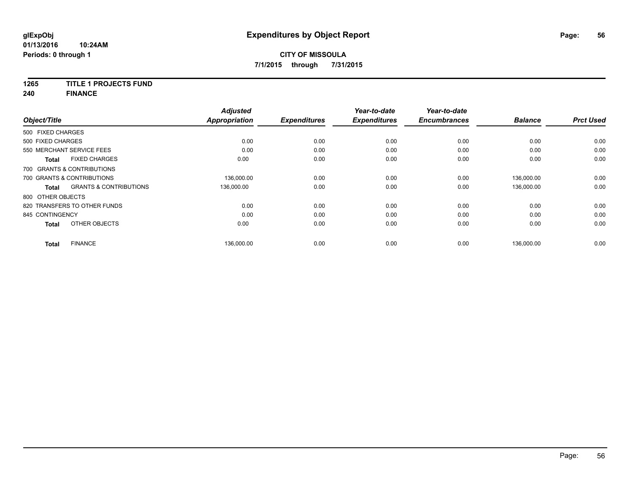### **1265 TITLE 1 PROJECTS FUND**

**240 FINANCE**

| Object/Title      |                                   | <b>Adjusted</b><br>Appropriation | <b>Expenditures</b> | Year-to-date<br><b>Expenditures</b> | Year-to-date<br><b>Encumbrances</b> | <b>Balance</b> | <b>Prct Used</b> |
|-------------------|-----------------------------------|----------------------------------|---------------------|-------------------------------------|-------------------------------------|----------------|------------------|
|                   |                                   |                                  |                     |                                     |                                     |                |                  |
| 500 FIXED CHARGES |                                   |                                  |                     |                                     |                                     |                |                  |
| 500 FIXED CHARGES |                                   | 0.00                             | 0.00                | 0.00                                | 0.00                                | 0.00           | 0.00             |
|                   | 550 MERCHANT SERVICE FEES         | 0.00                             | 0.00                | 0.00                                | 0.00                                | 0.00           | 0.00             |
| <b>Total</b>      | <b>FIXED CHARGES</b>              | 0.00                             | 0.00                | 0.00                                | 0.00                                | 0.00           | 0.00             |
|                   | 700 GRANTS & CONTRIBUTIONS        |                                  |                     |                                     |                                     |                |                  |
|                   | 700 GRANTS & CONTRIBUTIONS        | 136,000.00                       | 0.00                | 0.00                                | 0.00                                | 136,000.00     | 0.00             |
| <b>Total</b>      | <b>GRANTS &amp; CONTRIBUTIONS</b> | 136,000.00                       | 0.00                | 0.00                                | 0.00                                | 136,000.00     | 0.00             |
| 800 OTHER OBJECTS |                                   |                                  |                     |                                     |                                     |                |                  |
|                   | 820 TRANSFERS TO OTHER FUNDS      | 0.00                             | 0.00                | 0.00                                | 0.00                                | 0.00           | 0.00             |
| 845 CONTINGENCY   |                                   | 0.00                             | 0.00                | 0.00                                | 0.00                                | 0.00           | 0.00             |
| <b>Total</b>      | OTHER OBJECTS                     | 0.00                             | 0.00                | 0.00                                | 0.00                                | 0.00           | 0.00             |
| <b>Total</b>      | <b>FINANCE</b>                    | 136,000.00                       | 0.00                | 0.00                                | 0.00                                | 136,000.00     | 0.00             |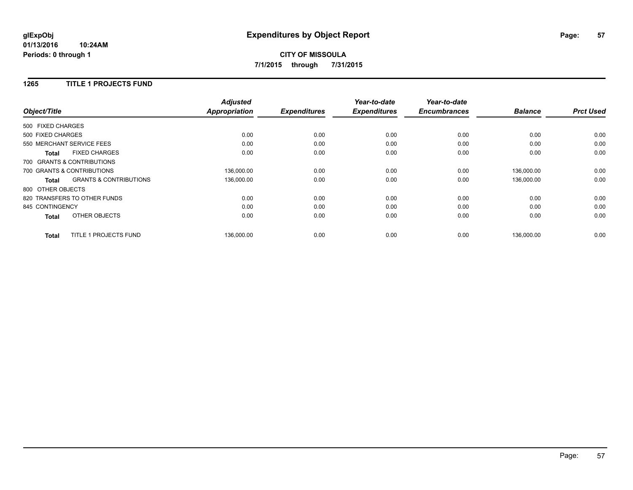#### **1265 TITLE 1 PROJECTS FUND**

|                            |                                   | <b>Adjusted</b>      |                     | Year-to-date        | Year-to-date        |                |                  |
|----------------------------|-----------------------------------|----------------------|---------------------|---------------------|---------------------|----------------|------------------|
| Object/Title               |                                   | <b>Appropriation</b> | <b>Expenditures</b> | <b>Expenditures</b> | <b>Encumbrances</b> | <b>Balance</b> | <b>Prct Used</b> |
| 500 FIXED CHARGES          |                                   |                      |                     |                     |                     |                |                  |
| 500 FIXED CHARGES          |                                   | 0.00                 | 0.00                | 0.00                | 0.00                | 0.00           | 0.00             |
| 550 MERCHANT SERVICE FEES  |                                   | 0.00                 | 0.00                | 0.00                | 0.00                | 0.00           | 0.00             |
| <b>Total</b>               | <b>FIXED CHARGES</b>              | 0.00                 | 0.00                | 0.00                | 0.00                | 0.00           | 0.00             |
| 700 GRANTS & CONTRIBUTIONS |                                   |                      |                     |                     |                     |                |                  |
| 700 GRANTS & CONTRIBUTIONS |                                   | 136,000.00           | 0.00                | 0.00                | 0.00                | 136,000.00     | 0.00             |
| Total                      | <b>GRANTS &amp; CONTRIBUTIONS</b> | 136,000.00           | 0.00                | 0.00                | 0.00                | 136,000.00     | 0.00             |
| 800 OTHER OBJECTS          |                                   |                      |                     |                     |                     |                |                  |
|                            | 820 TRANSFERS TO OTHER FUNDS      | 0.00                 | 0.00                | 0.00                | 0.00                | 0.00           | 0.00             |
| 845 CONTINGENCY            |                                   | 0.00                 | 0.00                | 0.00                | 0.00                | 0.00           | 0.00             |
| <b>Total</b>               | OTHER OBJECTS                     | 0.00                 | 0.00                | 0.00                | 0.00                | 0.00           | 0.00             |
| <b>Total</b>               | TITLE 1 PROJECTS FUND             | 136,000.00           | 0.00                | 0.00                | 0.00                | 136,000.00     | 0.00             |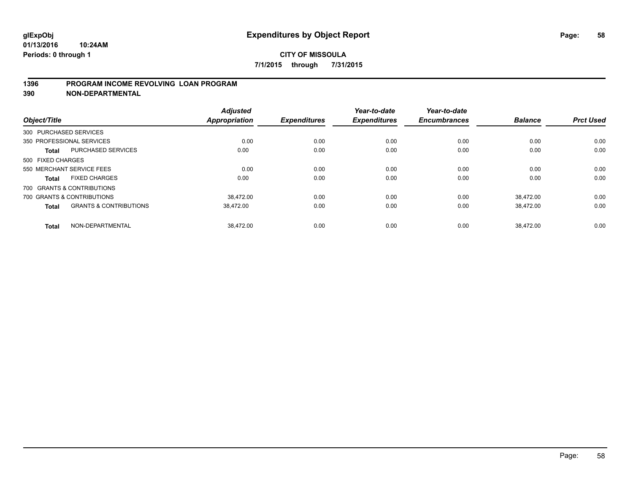#### **1396 PROGRAM INCOME REVOLVING LOAN PROGRAM**

**390 NON-DEPARTMENTAL**

| Object/Title      |                                   | <b>Adjusted</b><br><b>Appropriation</b> | <b>Expenditures</b> | Year-to-date<br><b>Expenditures</b> | Year-to-date<br><b>Encumbrances</b> | <b>Balance</b> | <b>Prct Used</b> |
|-------------------|-----------------------------------|-----------------------------------------|---------------------|-------------------------------------|-------------------------------------|----------------|------------------|
|                   | 300 PURCHASED SERVICES            |                                         |                     |                                     |                                     |                |                  |
|                   | 350 PROFESSIONAL SERVICES         | 0.00                                    | 0.00                | 0.00                                | 0.00                                | 0.00           | 0.00             |
| <b>Total</b>      | <b>PURCHASED SERVICES</b>         | 0.00                                    | 0.00                | 0.00                                | 0.00                                | 0.00           | 0.00             |
| 500 FIXED CHARGES |                                   |                                         |                     |                                     |                                     |                |                  |
|                   | 550 MERCHANT SERVICE FEES         | 0.00                                    | 0.00                | 0.00                                | 0.00                                | 0.00           | 0.00             |
| Total             | <b>FIXED CHARGES</b>              | 0.00                                    | 0.00                | 0.00                                | 0.00                                | 0.00           | 0.00             |
|                   | 700 GRANTS & CONTRIBUTIONS        |                                         |                     |                                     |                                     |                |                  |
|                   | 700 GRANTS & CONTRIBUTIONS        | 38.472.00                               | 0.00                | 0.00                                | 0.00                                | 38.472.00      | 0.00             |
| <b>Total</b>      | <b>GRANTS &amp; CONTRIBUTIONS</b> | 38.472.00                               | 0.00                | 0.00                                | 0.00                                | 38.472.00      | 0.00             |
| <b>Total</b>      | NON-DEPARTMENTAL                  | 38.472.00                               | 0.00                | 0.00                                | 0.00                                | 38.472.00      | 0.00             |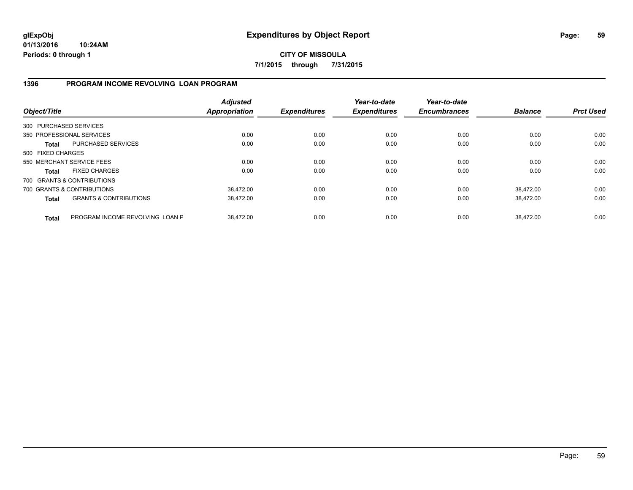**CITY OF MISSOULA 7/1/2015 through 7/31/2015**

### **1396 PROGRAM INCOME REVOLVING LOAN PROGRAM**

| Object/Title           |                                   | <b>Adjusted</b><br><b>Appropriation</b> | <b>Expenditures</b> | Year-to-date<br><b>Expenditures</b> | Year-to-date<br><b>Encumbrances</b> | <b>Balance</b> | <b>Prct Used</b> |
|------------------------|-----------------------------------|-----------------------------------------|---------------------|-------------------------------------|-------------------------------------|----------------|------------------|
| 300 PURCHASED SERVICES |                                   |                                         |                     |                                     |                                     |                |                  |
|                        | 350 PROFESSIONAL SERVICES         | 0.00                                    | 0.00                | 0.00                                | 0.00                                | 0.00           | 0.00             |
| <b>Total</b>           | PURCHASED SERVICES                | 0.00                                    | 0.00                | 0.00                                | 0.00                                | 0.00           | 0.00             |
| 500 FIXED CHARGES      |                                   |                                         |                     |                                     |                                     |                |                  |
|                        | 550 MERCHANT SERVICE FEES         | 0.00                                    | 0.00                | 0.00                                | 0.00                                | 0.00           | 0.00             |
| <b>Total</b>           | <b>FIXED CHARGES</b>              | 0.00                                    | 0.00                | 0.00                                | 0.00                                | 0.00           | 0.00             |
|                        | 700 GRANTS & CONTRIBUTIONS        |                                         |                     |                                     |                                     |                |                  |
|                        | 700 GRANTS & CONTRIBUTIONS        | 38.472.00                               | 0.00                | 0.00                                | 0.00                                | 38.472.00      | 0.00             |
| <b>Total</b>           | <b>GRANTS &amp; CONTRIBUTIONS</b> | 38,472.00                               | 0.00                | 0.00                                | 0.00                                | 38.472.00      | 0.00             |
| <b>Total</b>           | PROGRAM INCOME REVOLVING LOAN P   | 38.472.00                               | 0.00                | 0.00                                | 0.00                                | 38.472.00      | 0.00             |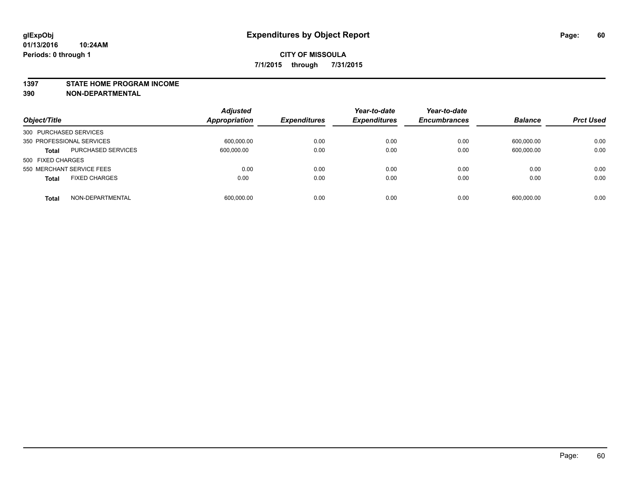#### **1397 STATE HOME PROGRAM INCOME**

**390 NON-DEPARTMENTAL**

| Object/Title                         | <b>Adjusted</b><br>Appropriation | <b>Expenditures</b> | Year-to-date<br><b>Expenditures</b> | Year-to-date<br><b>Encumbrances</b> | <b>Balance</b> | <b>Prct Used</b> |
|--------------------------------------|----------------------------------|---------------------|-------------------------------------|-------------------------------------|----------------|------------------|
| 300 PURCHASED SERVICES               |                                  |                     |                                     |                                     |                |                  |
| 350 PROFESSIONAL SERVICES            | 600,000.00                       | 0.00                | 0.00                                | 0.00                                | 600,000.00     | 0.00             |
| PURCHASED SERVICES<br><b>Total</b>   | 600,000.00                       | 0.00                | 0.00                                | 0.00                                | 600,000.00     | 0.00             |
| 500 FIXED CHARGES                    |                                  |                     |                                     |                                     |                |                  |
| 550 MERCHANT SERVICE FEES            | 0.00                             | 0.00                | 0.00                                | 0.00                                | 0.00           | 0.00             |
| <b>FIXED CHARGES</b><br><b>Total</b> | 0.00                             | 0.00                | 0.00                                | 0.00                                | 0.00           | 0.00             |
| NON-DEPARTMENTAL<br><b>Total</b>     | 600.000.00                       | 0.00                | 0.00                                | 0.00                                | 600.000.00     | 0.00             |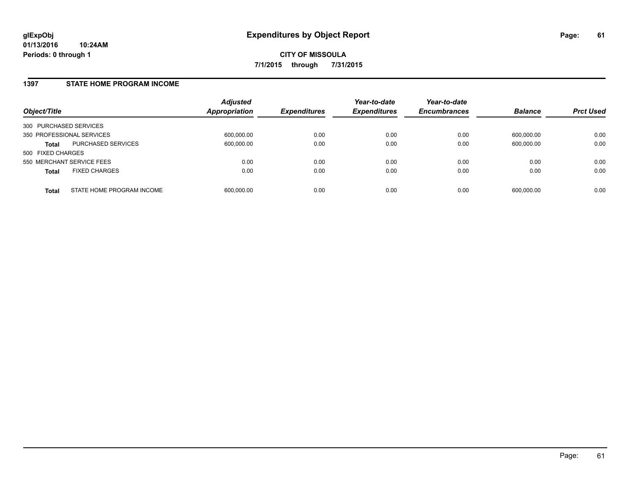#### **1397 STATE HOME PROGRAM INCOME**

| Object/Title              |                           | <b>Adjusted</b><br><b>Appropriation</b> | <b>Expenditures</b> | Year-to-date<br><b>Expenditures</b> | Year-to-date<br><b>Encumbrances</b> | <b>Balance</b> | <b>Prct Used</b> |
|---------------------------|---------------------------|-----------------------------------------|---------------------|-------------------------------------|-------------------------------------|----------------|------------------|
| 300 PURCHASED SERVICES    |                           |                                         |                     |                                     |                                     |                |                  |
| 350 PROFESSIONAL SERVICES |                           | 600,000.00                              | 0.00                | 0.00                                | 0.00                                | 600.000.00     | 0.00             |
| Total                     | PURCHASED SERVICES        | 600,000.00                              | 0.00                | 0.00                                | 0.00                                | 600,000.00     | 0.00             |
| 500 FIXED CHARGES         |                           |                                         |                     |                                     |                                     |                |                  |
| 550 MERCHANT SERVICE FEES |                           | 0.00                                    | 0.00                | 0.00                                | 0.00                                | 0.00           | 0.00             |
| <b>Total</b>              | <b>FIXED CHARGES</b>      | 0.00                                    | 0.00                | 0.00                                | 0.00                                | 0.00           | 0.00             |
| <b>Total</b>              | STATE HOME PROGRAM INCOME | 600,000.00                              | 0.00                | 0.00                                | 0.00                                | 600,000.00     | 0.00             |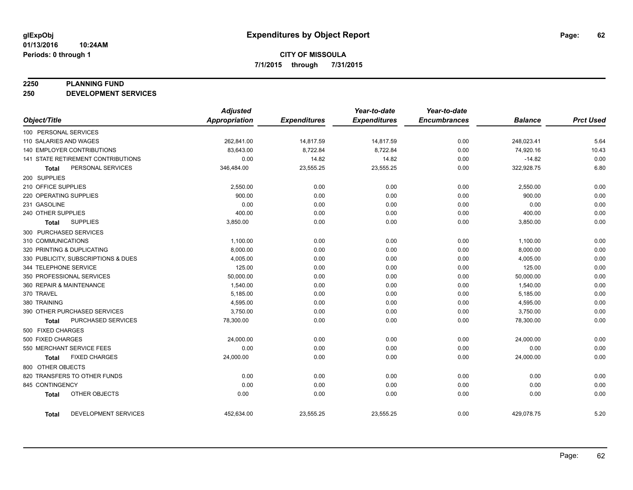#### **2250 PLANNING FUND**

**250 DEVELOPMENT SERVICES**

|                                   |                                     | <b>Adjusted</b> |                     | Year-to-date        | Year-to-date        |                |                  |
|-----------------------------------|-------------------------------------|-----------------|---------------------|---------------------|---------------------|----------------|------------------|
| Object/Title                      |                                     | Appropriation   | <b>Expenditures</b> | <b>Expenditures</b> | <b>Encumbrances</b> | <b>Balance</b> | <b>Prct Used</b> |
| 100 PERSONAL SERVICES             |                                     |                 |                     |                     |                     |                |                  |
| 110 SALARIES AND WAGES            |                                     | 262,841.00      | 14,817.59           | 14,817.59           | 0.00                | 248,023.41     | 5.64             |
| <b>140 EMPLOYER CONTRIBUTIONS</b> |                                     | 83,643.00       | 8,722.84            | 8,722.84            | 0.00                | 74,920.16      | 10.43            |
|                                   | 141 STATE RETIREMENT CONTRIBUTIONS  | 0.00            | 14.82               | 14.82               | 0.00                | $-14.82$       | 0.00             |
| Total                             | PERSONAL SERVICES                   | 346,484.00      | 23,555.25           | 23,555.25           | 0.00                | 322,928.75     | 6.80             |
| 200 SUPPLIES                      |                                     |                 |                     |                     |                     |                |                  |
| 210 OFFICE SUPPLIES               |                                     | 2,550.00        | 0.00                | 0.00                | 0.00                | 2,550.00       | 0.00             |
| 220 OPERATING SUPPLIES            |                                     | 900.00          | 0.00                | 0.00                | 0.00                | 900.00         | 0.00             |
| 231 GASOLINE                      |                                     | 0.00            | 0.00                | 0.00                | 0.00                | 0.00           | 0.00             |
| 240 OTHER SUPPLIES                |                                     | 400.00          | 0.00                | 0.00                | 0.00                | 400.00         | 0.00             |
| Total                             | <b>SUPPLIES</b>                     | 3,850.00        | 0.00                | 0.00                | 0.00                | 3,850.00       | 0.00             |
| 300 PURCHASED SERVICES            |                                     |                 |                     |                     |                     |                |                  |
| 310 COMMUNICATIONS                |                                     | 1,100.00        | 0.00                | 0.00                | 0.00                | 1,100.00       | 0.00             |
| 320 PRINTING & DUPLICATING        |                                     | 8,000.00        | 0.00                | 0.00                | 0.00                | 8,000.00       | 0.00             |
|                                   | 330 PUBLICITY, SUBSCRIPTIONS & DUES | 4,005.00        | 0.00                | 0.00                | 0.00                | 4,005.00       | 0.00             |
| 344 TELEPHONE SERVICE             |                                     | 125.00          | 0.00                | 0.00                | 0.00                | 125.00         | 0.00             |
| 350 PROFESSIONAL SERVICES         |                                     | 50,000.00       | 0.00                | 0.00                | 0.00                | 50,000.00      | 0.00             |
| 360 REPAIR & MAINTENANCE          |                                     | 1,540.00        | 0.00                | 0.00                | 0.00                | 1,540.00       | 0.00             |
| 370 TRAVEL                        |                                     | 5,185.00        | 0.00                | 0.00                | 0.00                | 5,185.00       | 0.00             |
| 380 TRAINING                      |                                     | 4,595.00        | 0.00                | 0.00                | 0.00                | 4,595.00       | 0.00             |
|                                   | 390 OTHER PURCHASED SERVICES        | 3,750.00        | 0.00                | 0.00                | 0.00                | 3,750.00       | 0.00             |
| Total                             | PURCHASED SERVICES                  | 78,300.00       | 0.00                | 0.00                | 0.00                | 78,300.00      | 0.00             |
| 500 FIXED CHARGES                 |                                     |                 |                     |                     |                     |                |                  |
| 500 FIXED CHARGES                 |                                     | 24,000.00       | 0.00                | 0.00                | 0.00                | 24,000.00      | 0.00             |
| 550 MERCHANT SERVICE FEES         |                                     | 0.00            | 0.00                | 0.00                | 0.00                | 0.00           | 0.00             |
| Total                             | <b>FIXED CHARGES</b>                | 24,000.00       | 0.00                | 0.00                | 0.00                | 24,000.00      | 0.00             |
| 800 OTHER OBJECTS                 |                                     |                 |                     |                     |                     |                |                  |
|                                   | 820 TRANSFERS TO OTHER FUNDS        | 0.00            | 0.00                | 0.00                | 0.00                | 0.00           | 0.00             |
| 845 CONTINGENCY                   |                                     | 0.00            | 0.00                | 0.00                | 0.00                | 0.00           | 0.00             |
| <b>Total</b>                      | OTHER OBJECTS                       | 0.00            | 0.00                | 0.00                | 0.00                | 0.00           | 0.00             |
| Total                             | DEVELOPMENT SERVICES                | 452,634.00      | 23,555.25           | 23,555.25           | 0.00                | 429,078.75     | 5.20             |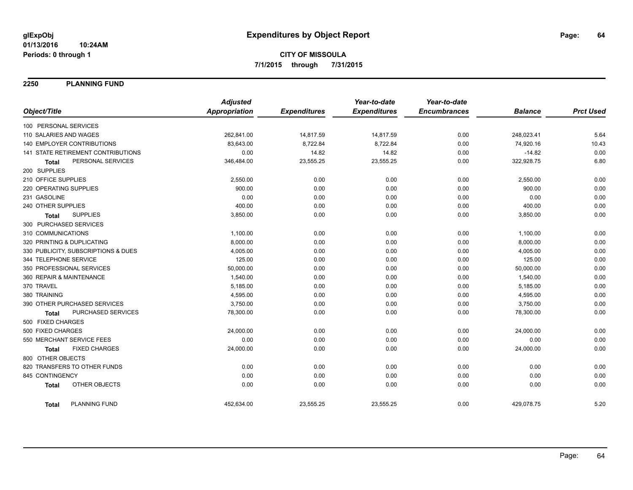**2250 PLANNING FUND**

|                                      | <b>Adjusted</b>      |                     | Year-to-date        | Year-to-date        |                |                  |
|--------------------------------------|----------------------|---------------------|---------------------|---------------------|----------------|------------------|
| Object/Title                         | <b>Appropriation</b> | <b>Expenditures</b> | <b>Expenditures</b> | <b>Encumbrances</b> | <b>Balance</b> | <b>Prct Used</b> |
| 100 PERSONAL SERVICES                |                      |                     |                     |                     |                |                  |
| 110 SALARIES AND WAGES               | 262,841.00           | 14,817.59           | 14,817.59           | 0.00                | 248,023.41     | 5.64             |
| 140 EMPLOYER CONTRIBUTIONS           | 83,643.00            | 8,722.84            | 8,722.84            | 0.00                | 74,920.16      | 10.43            |
| 141 STATE RETIREMENT CONTRIBUTIONS   | 0.00                 | 14.82               | 14.82               | 0.00                | $-14.82$       | 0.00             |
| PERSONAL SERVICES<br><b>Total</b>    | 346,484.00           | 23,555.25           | 23,555.25           | 0.00                | 322,928.75     | 6.80             |
| 200 SUPPLIES                         |                      |                     |                     |                     |                |                  |
| 210 OFFICE SUPPLIES                  | 2,550.00             | 0.00                | 0.00                | 0.00                | 2,550.00       | 0.00             |
| 220 OPERATING SUPPLIES               | 900.00               | 0.00                | 0.00                | 0.00                | 900.00         | 0.00             |
| 231 GASOLINE                         | 0.00                 | 0.00                | 0.00                | 0.00                | 0.00           | 0.00             |
| 240 OTHER SUPPLIES                   | 400.00               | 0.00                | 0.00                | 0.00                | 400.00         | 0.00             |
| <b>SUPPLIES</b><br><b>Total</b>      | 3,850.00             | 0.00                | 0.00                | 0.00                | 3,850.00       | 0.00             |
| 300 PURCHASED SERVICES               |                      |                     |                     |                     |                |                  |
| 310 COMMUNICATIONS                   | 1,100.00             | 0.00                | 0.00                | 0.00                | 1,100.00       | 0.00             |
| 320 PRINTING & DUPLICATING           | 8,000.00             | 0.00                | 0.00                | 0.00                | 8,000.00       | 0.00             |
| 330 PUBLICITY, SUBSCRIPTIONS & DUES  | 4,005.00             | 0.00                | 0.00                | 0.00                | 4,005.00       | 0.00             |
| 344 TELEPHONE SERVICE                | 125.00               | 0.00                | 0.00                | 0.00                | 125.00         | 0.00             |
| 350 PROFESSIONAL SERVICES            | 50,000.00            | 0.00                | 0.00                | 0.00                | 50,000.00      | 0.00             |
| 360 REPAIR & MAINTENANCE             | 1,540.00             | 0.00                | 0.00                | 0.00                | 1,540.00       | 0.00             |
| 370 TRAVEL                           | 5,185.00             | 0.00                | 0.00                | 0.00                | 5,185.00       | 0.00             |
| 380 TRAINING                         | 4,595.00             | 0.00                | 0.00                | 0.00                | 4,595.00       | 0.00             |
| 390 OTHER PURCHASED SERVICES         | 3,750.00             | 0.00                | 0.00                | 0.00                | 3,750.00       | 0.00             |
| PURCHASED SERVICES<br><b>Total</b>   | 78,300.00            | 0.00                | 0.00                | 0.00                | 78,300.00      | 0.00             |
| 500 FIXED CHARGES                    |                      |                     |                     |                     |                |                  |
| 500 FIXED CHARGES                    | 24,000.00            | 0.00                | 0.00                | 0.00                | 24,000.00      | 0.00             |
| 550 MERCHANT SERVICE FEES            | 0.00                 | 0.00                | 0.00                | 0.00                | 0.00           | 0.00             |
| <b>FIXED CHARGES</b><br><b>Total</b> | 24,000.00            | 0.00                | 0.00                | 0.00                | 24,000.00      | 0.00             |
| 800 OTHER OBJECTS                    |                      |                     |                     |                     |                |                  |
| 820 TRANSFERS TO OTHER FUNDS         | 0.00                 | 0.00                | 0.00                | 0.00                | 0.00           | 0.00             |
| 845 CONTINGENCY                      | 0.00                 | 0.00                | 0.00                | 0.00                | 0.00           | 0.00             |
| OTHER OBJECTS<br><b>Total</b>        | 0.00                 | 0.00                | 0.00                | 0.00                | 0.00           | 0.00             |
| <b>PLANNING FUND</b><br><b>Total</b> | 452,634.00           | 23,555.25           | 23,555.25           | 0.00                | 429,078.75     | 5.20             |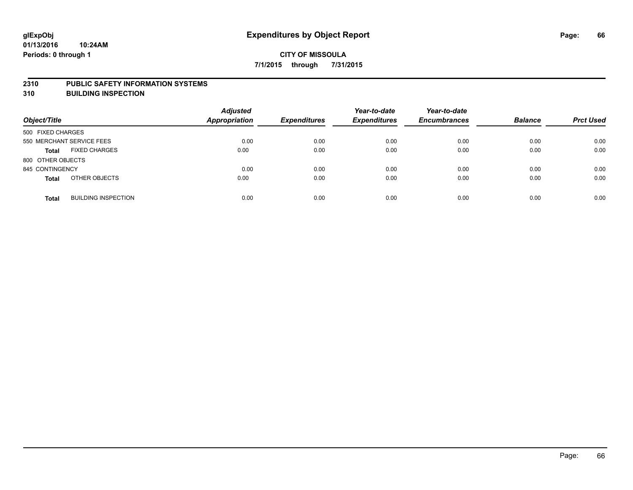#### **2310 PUBLIC SAFETY INFORMATION SYSTEMS**

**310 BUILDING INSPECTION**

| Object/Title              |                            | <b>Adjusted</b><br><b>Appropriation</b> | <b>Expenditures</b> | Year-to-date<br><b>Expenditures</b> | Year-to-date<br><b>Encumbrances</b> | <b>Balance</b> | <b>Prct Used</b> |
|---------------------------|----------------------------|-----------------------------------------|---------------------|-------------------------------------|-------------------------------------|----------------|------------------|
| 500 FIXED CHARGES         |                            |                                         |                     |                                     |                                     |                |                  |
| 550 MERCHANT SERVICE FEES |                            | 0.00                                    | 0.00                | 0.00                                | 0.00                                | 0.00           | 0.00             |
| <b>Total</b>              | <b>FIXED CHARGES</b>       | 0.00                                    | 0.00                | 0.00                                | 0.00                                | 0.00           | 0.00             |
| 800 OTHER OBJECTS         |                            |                                         |                     |                                     |                                     |                |                  |
| 845 CONTINGENCY           |                            | 0.00                                    | 0.00                | 0.00                                | 0.00                                | 0.00           | 0.00             |
| <b>Total</b>              | OTHER OBJECTS              | 0.00                                    | 0.00                | 0.00                                | 0.00                                | 0.00           | 0.00             |
| <b>Total</b>              | <b>BUILDING INSPECTION</b> | 0.00                                    | 0.00                | 0.00                                | 0.00                                | 0.00           | 0.00             |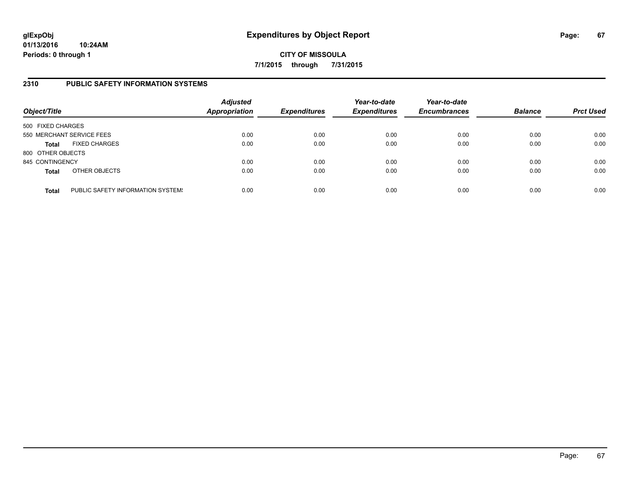**CITY OF MISSOULA 7/1/2015 through 7/31/2015**

### **2310 PUBLIC SAFETY INFORMATION SYSTEMS**

| Object/Title      |                                   | <b>Adjusted</b><br><b>Appropriation</b> | <b>Expenditures</b> | Year-to-date<br><b>Expenditures</b> | Year-to-date<br><b>Encumbrances</b> | <b>Balance</b> | <b>Prct Used</b> |
|-------------------|-----------------------------------|-----------------------------------------|---------------------|-------------------------------------|-------------------------------------|----------------|------------------|
| 500 FIXED CHARGES |                                   |                                         |                     |                                     |                                     |                |                  |
|                   | 550 MERCHANT SERVICE FEES         | 0.00                                    | 0.00                | 0.00                                | 0.00                                | 0.00           | 0.00             |
| <b>Total</b>      | <b>FIXED CHARGES</b>              | 0.00                                    | 0.00                | 0.00                                | 0.00                                | 0.00           | 0.00             |
| 800 OTHER OBJECTS |                                   |                                         |                     |                                     |                                     |                |                  |
| 845 CONTINGENCY   |                                   | 0.00                                    | 0.00                | 0.00                                | 0.00                                | 0.00           | 0.00             |
| <b>Total</b>      | OTHER OBJECTS                     | 0.00                                    | 0.00                | 0.00                                | 0.00                                | 0.00           | 0.00             |
| <b>Total</b>      | PUBLIC SAFETY INFORMATION SYSTEM! | 0.00                                    | 0.00                | 0.00                                | 0.00                                | 0.00           | 0.00             |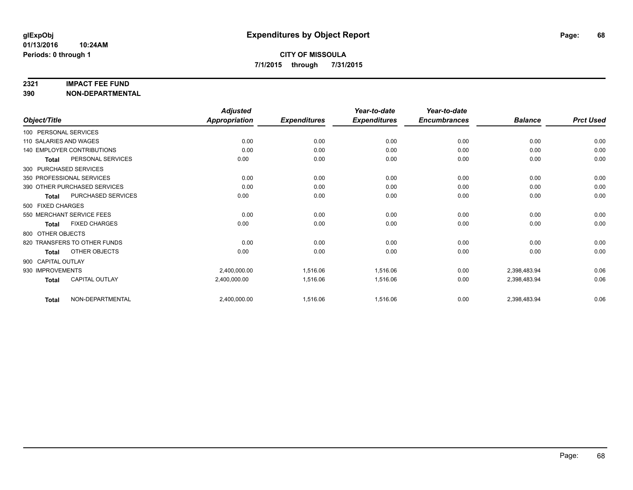#### **2321 IMPACT FEE FUND**

**390 NON-DEPARTMENTAL**

|                        |                                   | <b>Adjusted</b>      |                     | Year-to-date        | Year-to-date        |                |                  |
|------------------------|-----------------------------------|----------------------|---------------------|---------------------|---------------------|----------------|------------------|
| Object/Title           |                                   | <b>Appropriation</b> | <b>Expenditures</b> | <b>Expenditures</b> | <b>Encumbrances</b> | <b>Balance</b> | <b>Prct Used</b> |
| 100 PERSONAL SERVICES  |                                   |                      |                     |                     |                     |                |                  |
| 110 SALARIES AND WAGES |                                   | 0.00                 | 0.00                | 0.00                | 0.00                | 0.00           | 0.00             |
|                        | <b>140 EMPLOYER CONTRIBUTIONS</b> | 0.00                 | 0.00                | 0.00                | 0.00                | 0.00           | 0.00             |
| <b>Total</b>           | PERSONAL SERVICES                 | 0.00                 | 0.00                | 0.00                | 0.00                | 0.00           | 0.00             |
|                        | 300 PURCHASED SERVICES            |                      |                     |                     |                     |                |                  |
|                        | 350 PROFESSIONAL SERVICES         | 0.00                 | 0.00                | 0.00                | 0.00                | 0.00           | 0.00             |
|                        | 390 OTHER PURCHASED SERVICES      | 0.00                 | 0.00                | 0.00                | 0.00                | 0.00           | 0.00             |
| <b>Total</b>           | <b>PURCHASED SERVICES</b>         | 0.00                 | 0.00                | 0.00                | 0.00                | 0.00           | 0.00             |
| 500 FIXED CHARGES      |                                   |                      |                     |                     |                     |                |                  |
|                        | 550 MERCHANT SERVICE FEES         | 0.00                 | 0.00                | 0.00                | 0.00                | 0.00           | 0.00             |
| Total                  | <b>FIXED CHARGES</b>              | 0.00                 | 0.00                | 0.00                | 0.00                | 0.00           | 0.00             |
| 800 OTHER OBJECTS      |                                   |                      |                     |                     |                     |                |                  |
|                        | 820 TRANSFERS TO OTHER FUNDS      | 0.00                 | 0.00                | 0.00                | 0.00                | 0.00           | 0.00             |
| <b>Total</b>           | OTHER OBJECTS                     | 0.00                 | 0.00                | 0.00                | 0.00                | 0.00           | 0.00             |
| 900 CAPITAL OUTLAY     |                                   |                      |                     |                     |                     |                |                  |
| 930 IMPROVEMENTS       |                                   | 2,400,000.00         | 1,516.06            | 1,516.06            | 0.00                | 2,398,483.94   | 0.06             |
| <b>Total</b>           | CAPITAL OUTLAY                    | 2,400,000.00         | 1,516.06            | 1,516.06            | 0.00                | 2,398,483.94   | 0.06             |
| <b>Total</b>           | NON-DEPARTMENTAL                  | 2,400,000.00         | 1,516.06            | 1,516.06            | 0.00                | 2,398,483.94   | 0.06             |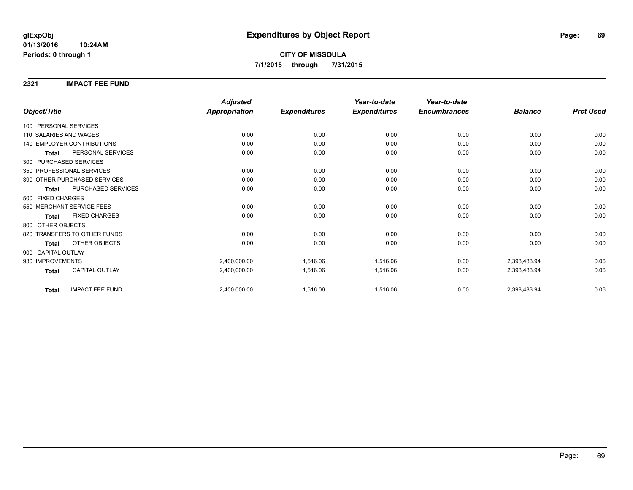#### **2321 IMPACT FEE FUND**

|                                        | <b>Adjusted</b>      |                     | Year-to-date        | Year-to-date        |                |                  |
|----------------------------------------|----------------------|---------------------|---------------------|---------------------|----------------|------------------|
| Object/Title                           | <b>Appropriation</b> | <b>Expenditures</b> | <b>Expenditures</b> | <b>Encumbrances</b> | <b>Balance</b> | <b>Prct Used</b> |
| 100 PERSONAL SERVICES                  |                      |                     |                     |                     |                |                  |
| 110 SALARIES AND WAGES                 | 0.00                 | 0.00                | 0.00                | 0.00                | 0.00           | 0.00             |
| 140 EMPLOYER CONTRIBUTIONS             | 0.00                 | 0.00                | 0.00                | 0.00                | 0.00           | 0.00             |
| PERSONAL SERVICES<br><b>Total</b>      | 0.00                 | 0.00                | 0.00                | 0.00                | 0.00           | 0.00             |
| 300 PURCHASED SERVICES                 |                      |                     |                     |                     |                |                  |
| 350 PROFESSIONAL SERVICES              | 0.00                 | 0.00                | 0.00                | 0.00                | 0.00           | 0.00             |
| 390 OTHER PURCHASED SERVICES           | 0.00                 | 0.00                | 0.00                | 0.00                | 0.00           | 0.00             |
| PURCHASED SERVICES<br><b>Total</b>     | 0.00                 | 0.00                | 0.00                | 0.00                | 0.00           | 0.00             |
| 500 FIXED CHARGES                      |                      |                     |                     |                     |                |                  |
| 550 MERCHANT SERVICE FEES              | 0.00                 | 0.00                | 0.00                | 0.00                | 0.00           | 0.00             |
| <b>FIXED CHARGES</b><br><b>Total</b>   | 0.00                 | 0.00                | 0.00                | 0.00                | 0.00           | 0.00             |
| 800 OTHER OBJECTS                      |                      |                     |                     |                     |                |                  |
| 820 TRANSFERS TO OTHER FUNDS           | 0.00                 | 0.00                | 0.00                | 0.00                | 0.00           | 0.00             |
| OTHER OBJECTS<br><b>Total</b>          | 0.00                 | 0.00                | 0.00                | 0.00                | 0.00           | 0.00             |
| 900 CAPITAL OUTLAY                     |                      |                     |                     |                     |                |                  |
| 930 IMPROVEMENTS                       | 2,400,000.00         | 1,516.06            | 1,516.06            | 0.00                | 2,398,483.94   | 0.06             |
| CAPITAL OUTLAY<br><b>Total</b>         | 2,400,000.00         | 1,516.06            | 1,516.06            | 0.00                | 2,398,483.94   | 0.06             |
| <b>IMPACT FEE FUND</b><br><b>Total</b> | 2,400,000.00         | 1,516.06            | 1,516.06            | 0.00                | 2,398,483.94   | 0.06             |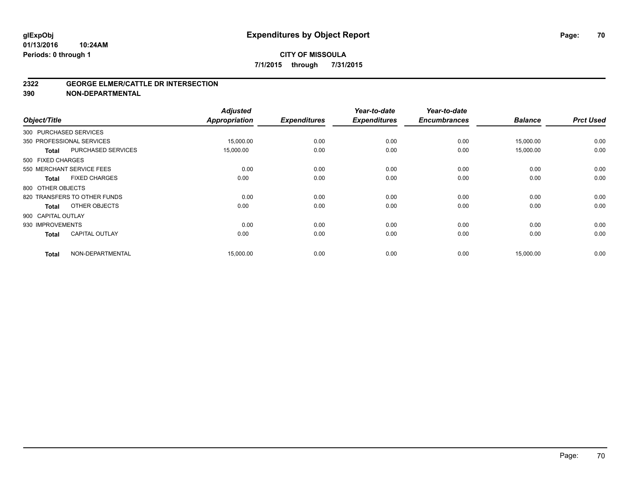### **CITY OF MISSOULA 7/1/2015 through 7/31/2015**

#### **2322 GEORGE ELMER/CATTLE DR INTERSECTION**

**390 NON-DEPARTMENTAL**

| Object/Title       |                              | <b>Adjusted</b><br>Appropriation | <b>Expenditures</b> | Year-to-date<br><b>Expenditures</b> | Year-to-date<br><b>Encumbrances</b> | <b>Balance</b> | <b>Prct Used</b> |
|--------------------|------------------------------|----------------------------------|---------------------|-------------------------------------|-------------------------------------|----------------|------------------|
|                    | 300 PURCHASED SERVICES       |                                  |                     |                                     |                                     |                |                  |
|                    | 350 PROFESSIONAL SERVICES    | 15,000.00                        | 0.00                | 0.00                                | 0.00                                | 15,000.00      | 0.00             |
| <b>Total</b>       | PURCHASED SERVICES           | 15,000.00                        | 0.00                | 0.00                                | 0.00                                | 15,000.00      | 0.00             |
| 500 FIXED CHARGES  |                              |                                  |                     |                                     |                                     |                |                  |
|                    | 550 MERCHANT SERVICE FEES    | 0.00                             | 0.00                | 0.00                                | 0.00                                | 0.00           | 0.00             |
| Total              | <b>FIXED CHARGES</b>         | 0.00                             | 0.00                | 0.00                                | 0.00                                | 0.00           | 0.00             |
| 800 OTHER OBJECTS  |                              |                                  |                     |                                     |                                     |                |                  |
|                    | 820 TRANSFERS TO OTHER FUNDS | 0.00                             | 0.00                | 0.00                                | 0.00                                | 0.00           | 0.00             |
| <b>Total</b>       | OTHER OBJECTS                | 0.00                             | 0.00                | 0.00                                | 0.00                                | 0.00           | 0.00             |
| 900 CAPITAL OUTLAY |                              |                                  |                     |                                     |                                     |                |                  |
| 930 IMPROVEMENTS   |                              | 0.00                             | 0.00                | 0.00                                | 0.00                                | 0.00           | 0.00             |
| <b>Total</b>       | <b>CAPITAL OUTLAY</b>        | 0.00                             | 0.00                | 0.00                                | 0.00                                | 0.00           | 0.00             |
| <b>Total</b>       | NON-DEPARTMENTAL             | 15,000.00                        | 0.00                | 0.00                                | 0.00                                | 15,000.00      | 0.00             |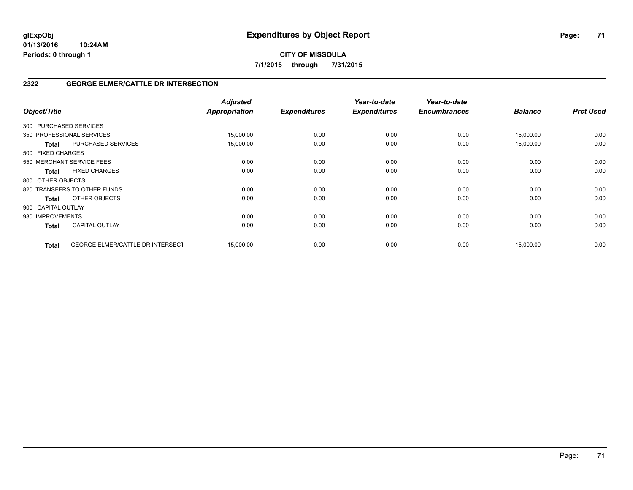## **CITY OF MISSOULA 7/1/2015 through 7/31/2015**

### **2322 GEORGE ELMER/CATTLE DR INTERSECTION**

| Object/Title           |                                  | <b>Adjusted</b><br><b>Appropriation</b> | <b>Expenditures</b> | Year-to-date<br><b>Expenditures</b> | Year-to-date<br><b>Encumbrances</b> | <b>Balance</b> | <b>Prct Used</b> |
|------------------------|----------------------------------|-----------------------------------------|---------------------|-------------------------------------|-------------------------------------|----------------|------------------|
| 300 PURCHASED SERVICES |                                  |                                         |                     |                                     |                                     |                |                  |
|                        | 350 PROFESSIONAL SERVICES        | 15,000.00                               | 0.00                | 0.00                                | 0.00                                | 15,000.00      | 0.00             |
| Total                  | PURCHASED SERVICES               | 15,000.00                               | 0.00                | 0.00                                | 0.00                                | 15,000.00      | 0.00             |
| 500 FIXED CHARGES      |                                  |                                         |                     |                                     |                                     |                |                  |
|                        | 550 MERCHANT SERVICE FEES        | 0.00                                    | 0.00                | 0.00                                | 0.00                                | 0.00           | 0.00             |
| <b>Total</b>           | <b>FIXED CHARGES</b>             | 0.00                                    | 0.00                | 0.00                                | 0.00                                | 0.00           | 0.00             |
| 800 OTHER OBJECTS      |                                  |                                         |                     |                                     |                                     |                |                  |
|                        | 820 TRANSFERS TO OTHER FUNDS     | 0.00                                    | 0.00                | 0.00                                | 0.00                                | 0.00           | 0.00             |
| <b>Total</b>           | OTHER OBJECTS                    | 0.00                                    | 0.00                | 0.00                                | 0.00                                | 0.00           | 0.00             |
| 900 CAPITAL OUTLAY     |                                  |                                         |                     |                                     |                                     |                |                  |
| 930 IMPROVEMENTS       |                                  | 0.00                                    | 0.00                | 0.00                                | 0.00                                | 0.00           | 0.00             |
| <b>Total</b>           | <b>CAPITAL OUTLAY</b>            | 0.00                                    | 0.00                | 0.00                                | 0.00                                | 0.00           | 0.00             |
| <b>Total</b>           | GEORGE ELMER/CATTLE DR INTERSECT | 15,000.00                               | 0.00                | 0.00                                | 0.00                                | 15,000.00      | 0.00             |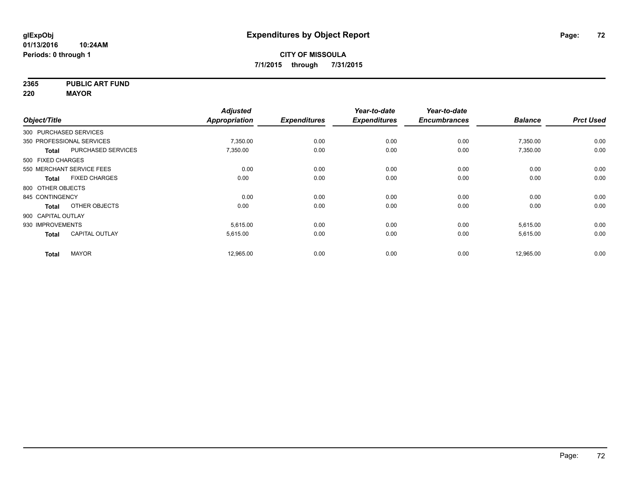**2365 PUBLIC ART FUND**

**220 MAYOR**

|                    |                           | <b>Adjusted</b>      |                     | Year-to-date        | Year-to-date        |                |                  |
|--------------------|---------------------------|----------------------|---------------------|---------------------|---------------------|----------------|------------------|
| Object/Title       |                           | <b>Appropriation</b> | <b>Expenditures</b> | <b>Expenditures</b> | <b>Encumbrances</b> | <b>Balance</b> | <b>Prct Used</b> |
|                    | 300 PURCHASED SERVICES    |                      |                     |                     |                     |                |                  |
|                    | 350 PROFESSIONAL SERVICES | 7,350.00             | 0.00                | 0.00                | 0.00                | 7,350.00       | 0.00             |
| <b>Total</b>       | <b>PURCHASED SERVICES</b> | 7,350.00             | 0.00                | 0.00                | 0.00                | 7,350.00       | 0.00             |
| 500 FIXED CHARGES  |                           |                      |                     |                     |                     |                |                  |
|                    | 550 MERCHANT SERVICE FEES | 0.00                 | 0.00                | 0.00                | 0.00                | 0.00           | 0.00             |
| <b>Total</b>       | <b>FIXED CHARGES</b>      | 0.00                 | 0.00                | 0.00                | 0.00                | 0.00           | 0.00             |
| 800 OTHER OBJECTS  |                           |                      |                     |                     |                     |                |                  |
| 845 CONTINGENCY    |                           | 0.00                 | 0.00                | 0.00                | 0.00                | 0.00           | 0.00             |
| <b>Total</b>       | OTHER OBJECTS             | 0.00                 | 0.00                | 0.00                | 0.00                | 0.00           | 0.00             |
| 900 CAPITAL OUTLAY |                           |                      |                     |                     |                     |                |                  |
| 930 IMPROVEMENTS   |                           | 5.615.00             | 0.00                | 0.00                | 0.00                | 5,615.00       | 0.00             |
| <b>Total</b>       | <b>CAPITAL OUTLAY</b>     | 5,615.00             | 0.00                | 0.00                | 0.00                | 5,615.00       | 0.00             |
| <b>Total</b>       | <b>MAYOR</b>              | 12,965.00            | 0.00                | 0.00                | 0.00                | 12,965.00      | 0.00             |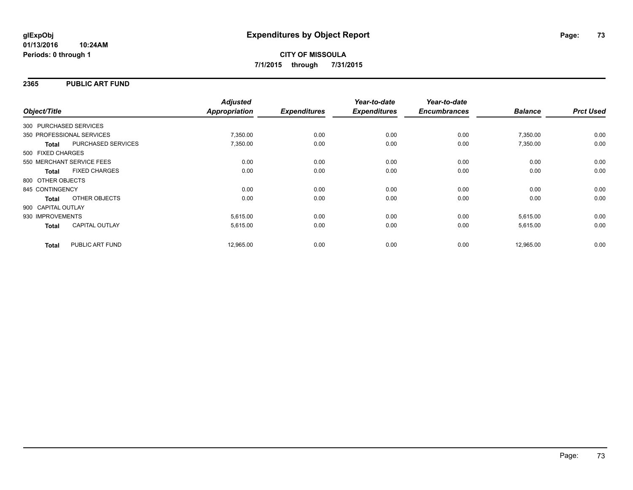### **2365 PUBLIC ART FUND**

| Object/Title                         |                    | <b>Adjusted</b><br>Appropriation | <b>Expenditures</b> | Year-to-date<br><b>Expenditures</b> | Year-to-date<br><b>Encumbrances</b> | <b>Balance</b> | <b>Prct Used</b> |
|--------------------------------------|--------------------|----------------------------------|---------------------|-------------------------------------|-------------------------------------|----------------|------------------|
| 300 PURCHASED SERVICES               |                    |                                  |                     |                                     |                                     |                |                  |
|                                      |                    |                                  |                     |                                     |                                     |                |                  |
| 350 PROFESSIONAL SERVICES            |                    | 7,350.00                         | 0.00                | 0.00                                | 0.00                                | 7,350.00       | 0.00             |
| <b>Total</b>                         | PURCHASED SERVICES | 7,350.00                         | 0.00                | 0.00                                | 0.00                                | 7,350.00       | 0.00             |
| 500 FIXED CHARGES                    |                    |                                  |                     |                                     |                                     |                |                  |
| 550 MERCHANT SERVICE FEES            |                    | 0.00                             | 0.00                | 0.00                                | 0.00                                | 0.00           | 0.00             |
| <b>FIXED CHARGES</b><br><b>Total</b> |                    | 0.00                             | 0.00                | 0.00                                | 0.00                                | 0.00           | 0.00             |
| 800 OTHER OBJECTS                    |                    |                                  |                     |                                     |                                     |                |                  |
| 845 CONTINGENCY                      |                    | 0.00                             | 0.00                | 0.00                                | 0.00                                | 0.00           | 0.00             |
| OTHER OBJECTS<br>Total               |                    | 0.00                             | 0.00                | 0.00                                | 0.00                                | 0.00           | 0.00             |
| 900 CAPITAL OUTLAY                   |                    |                                  |                     |                                     |                                     |                |                  |
| 930 IMPROVEMENTS                     |                    | 5,615.00                         | 0.00                | 0.00                                | 0.00                                | 5,615.00       | 0.00             |
| CAPITAL OUTLAY<br><b>Total</b>       |                    | 5,615.00                         | 0.00                | 0.00                                | 0.00                                | 5,615.00       | 0.00             |
| PUBLIC ART FUND<br><b>Total</b>      |                    | 12,965.00                        | 0.00                | 0.00                                | 0.00                                | 12,965.00      | 0.00             |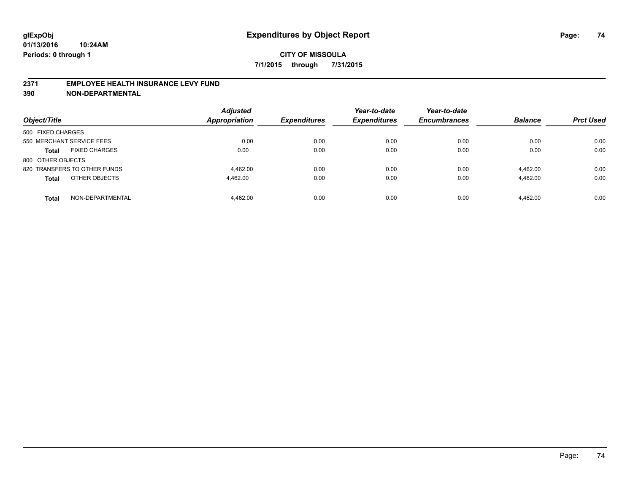### **2371 EMPLOYEE HEALTH INSURANCE LEVY FUND**

**390 NON-DEPARTMENTAL**

| Object/Title                         | <b>Adjusted</b><br><b>Appropriation</b> | <b>Expenditures</b> | Year-to-date<br><b>Expenditures</b> | Year-to-date<br><b>Encumbrances</b> | <b>Balance</b> | <b>Prct Used</b> |
|--------------------------------------|-----------------------------------------|---------------------|-------------------------------------|-------------------------------------|----------------|------------------|
| 500 FIXED CHARGES                    |                                         |                     |                                     |                                     |                |                  |
| 550 MERCHANT SERVICE FEES            | 0.00                                    | 0.00                | 0.00                                | 0.00                                | 0.00           | 0.00             |
| <b>FIXED CHARGES</b><br><b>Total</b> | 0.00                                    | 0.00                | 0.00                                | 0.00                                | 0.00           | 0.00             |
| 800 OTHER OBJECTS                    |                                         |                     |                                     |                                     |                |                  |
| 820 TRANSFERS TO OTHER FUNDS         | 4.462.00                                | 0.00                | 0.00                                | 0.00                                | 4.462.00       | 0.00             |
| OTHER OBJECTS<br><b>Total</b>        | 4.462.00                                | 0.00                | 0.00                                | 0.00                                | 4.462.00       | 0.00             |
| NON-DEPARTMENTAL<br><b>Total</b>     | 4.462.00                                | 0.00                | 0.00                                | 0.00                                | 4.462.00       | 0.00             |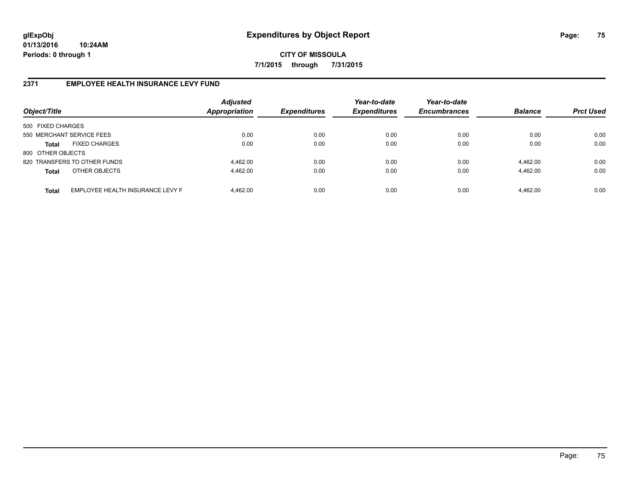**CITY OF MISSOULA 7/1/2015 through 7/31/2015**

## **2371 EMPLOYEE HEALTH INSURANCE LEVY FUND**

| Object/Title              |                                  | <b>Adjusted</b><br><b>Appropriation</b> | <b>Expenditures</b> | Year-to-date<br><b>Expenditures</b> | Year-to-date<br><b>Encumbrances</b> | <b>Balance</b> | <b>Prct Used</b> |
|---------------------------|----------------------------------|-----------------------------------------|---------------------|-------------------------------------|-------------------------------------|----------------|------------------|
| 500 FIXED CHARGES         |                                  |                                         |                     |                                     |                                     |                |                  |
| 550 MERCHANT SERVICE FEES |                                  | 0.00                                    | 0.00                | 0.00                                | 0.00                                | 0.00           | 0.00             |
| <b>Total</b>              | <b>FIXED CHARGES</b>             | 0.00                                    | 0.00                | 0.00                                | 0.00                                | 0.00           | 0.00             |
| 800 OTHER OBJECTS         |                                  |                                         |                     |                                     |                                     |                |                  |
|                           | 820 TRANSFERS TO OTHER FUNDS     | 4.462.00                                | 0.00                | 0.00                                | 0.00                                | 4.462.00       | 0.00             |
| <b>Total</b>              | OTHER OBJECTS                    | 4.462.00                                | 0.00                | 0.00                                | 0.00                                | 4,462.00       | 0.00             |
| <b>Total</b>              | EMPLOYEE HEALTH INSURANCE LEVY F | 4.462.00                                | 0.00                | 0.00                                | 0.00                                | 4,462.00       | 0.00             |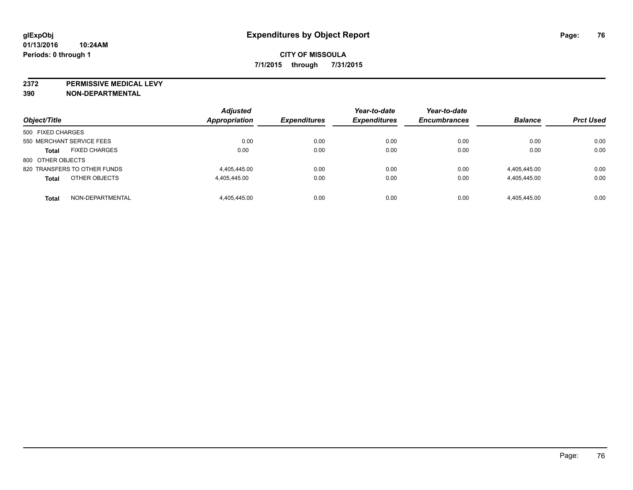**2372 PERMISSIVE MEDICAL LEVY**

**390 NON-DEPARTMENTAL**

| Object/Title                 |                      | <b>Adjusted</b><br>Appropriation | <b>Expenditures</b> | Year-to-date<br><b>Expenditures</b> | Year-to-date<br><b>Encumbrances</b> | <b>Balance</b> | <b>Prct Used</b> |
|------------------------------|----------------------|----------------------------------|---------------------|-------------------------------------|-------------------------------------|----------------|------------------|
| 500 FIXED CHARGES            |                      |                                  |                     |                                     |                                     |                |                  |
| 550 MERCHANT SERVICE FEES    |                      | 0.00                             | 0.00                | 0.00                                | 0.00                                | 0.00           | 0.00             |
| <b>Total</b>                 | <b>FIXED CHARGES</b> | 0.00                             | 0.00                | 0.00                                | 0.00                                | 0.00           | 0.00             |
| 800 OTHER OBJECTS            |                      |                                  |                     |                                     |                                     |                |                  |
| 820 TRANSFERS TO OTHER FUNDS |                      | 4.405.445.00                     | 0.00                | 0.00                                | 0.00                                | 4,405,445.00   | 0.00             |
| <b>Total</b>                 | OTHER OBJECTS        | 4.405.445.00                     | 0.00                | 0.00                                | 0.00                                | 4,405,445.00   | 0.00             |
| <b>Total</b>                 | NON-DEPARTMENTAL     | 4.405.445.00                     | 0.00                | 0.00                                | 0.00                                | 4.405.445.00   | 0.00             |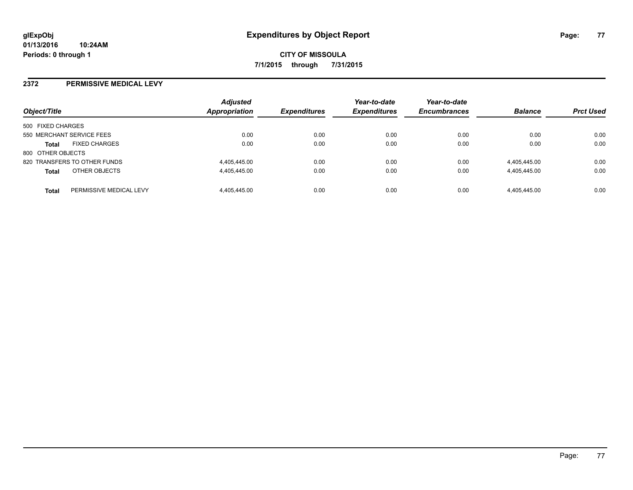### **2372 PERMISSIVE MEDICAL LEVY**

| Object/Title                         |                         | <b>Adjusted</b><br>Appropriation | <b>Expenditures</b> | Year-to-date<br><b>Expenditures</b> | Year-to-date<br><b>Encumbrances</b> | <b>Balance</b> | <b>Prct Used</b> |
|--------------------------------------|-------------------------|----------------------------------|---------------------|-------------------------------------|-------------------------------------|----------------|------------------|
| 500 FIXED CHARGES                    |                         |                                  |                     |                                     |                                     |                |                  |
| 550 MERCHANT SERVICE FEES            |                         | 0.00                             | 0.00                | 0.00                                | 0.00                                | 0.00           | 0.00             |
| <b>FIXED CHARGES</b><br><b>Total</b> |                         | 0.00                             | 0.00                | 0.00                                | 0.00                                | 0.00           | 0.00             |
| 800 OTHER OBJECTS                    |                         |                                  |                     |                                     |                                     |                |                  |
| 820 TRANSFERS TO OTHER FUNDS         |                         | 4,405,445.00                     | 0.00                | 0.00                                | 0.00                                | 4,405,445.00   | 0.00             |
| OTHER OBJECTS<br><b>Total</b>        |                         | 4.405.445.00                     | 0.00                | 0.00                                | 0.00                                | 4,405,445.00   | 0.00             |
| <b>Total</b>                         | PERMISSIVE MEDICAL LEVY | 4.405.445.00                     | 0.00                | 0.00                                | 0.00                                | 4.405.445.00   | 0.00             |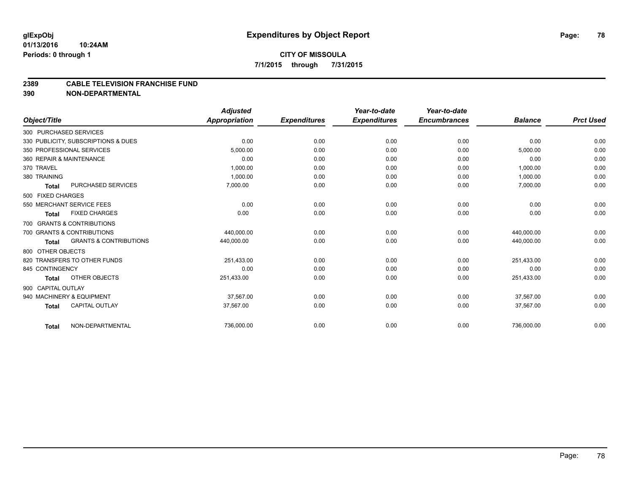## **CITY OF MISSOULA 7/1/2015 through 7/31/2015**

#### **2389 CABLE TELEVISION FRANCHISE FUND**

**390 NON-DEPARTMENTAL**

|                    |                                     | <b>Adjusted</b>      |                     | Year-to-date        | Year-to-date        |                |                  |
|--------------------|-------------------------------------|----------------------|---------------------|---------------------|---------------------|----------------|------------------|
| Object/Title       |                                     | <b>Appropriation</b> | <b>Expenditures</b> | <b>Expenditures</b> | <b>Encumbrances</b> | <b>Balance</b> | <b>Prct Used</b> |
|                    | 300 PURCHASED SERVICES              |                      |                     |                     |                     |                |                  |
|                    | 330 PUBLICITY, SUBSCRIPTIONS & DUES | 0.00                 | 0.00                | 0.00                | 0.00                | 0.00           | 0.00             |
|                    | 350 PROFESSIONAL SERVICES           | 5.000.00             | 0.00                | 0.00                | 0.00                | 5,000.00       | 0.00             |
|                    | 360 REPAIR & MAINTENANCE            | 0.00                 | 0.00                | 0.00                | 0.00                | 0.00           | 0.00             |
| 370 TRAVEL         |                                     | 1,000.00             | 0.00                | 0.00                | 0.00                | 1,000.00       | 0.00             |
| 380 TRAINING       |                                     | 1.000.00             | 0.00                | 0.00                | 0.00                | 1,000.00       | 0.00             |
| <b>Total</b>       | <b>PURCHASED SERVICES</b>           | 7,000.00             | 0.00                | 0.00                | 0.00                | 7,000.00       | 0.00             |
| 500 FIXED CHARGES  |                                     |                      |                     |                     |                     |                |                  |
|                    | 550 MERCHANT SERVICE FEES           | 0.00                 | 0.00                | 0.00                | 0.00                | 0.00           | 0.00             |
| Total              | <b>FIXED CHARGES</b>                | 0.00                 | 0.00                | 0.00                | 0.00                | 0.00           | 0.00             |
|                    | 700 GRANTS & CONTRIBUTIONS          |                      |                     |                     |                     |                |                  |
|                    | 700 GRANTS & CONTRIBUTIONS          | 440.000.00           | 0.00                | 0.00                | 0.00                | 440.000.00     | 0.00             |
| <b>Total</b>       | <b>GRANTS &amp; CONTRIBUTIONS</b>   | 440,000.00           | 0.00                | 0.00                | 0.00                | 440,000.00     | 0.00             |
| 800 OTHER OBJECTS  |                                     |                      |                     |                     |                     |                |                  |
|                    | 820 TRANSFERS TO OTHER FUNDS        | 251.433.00           | 0.00                | 0.00                | 0.00                | 251,433.00     | 0.00             |
| 845 CONTINGENCY    |                                     | 0.00                 | 0.00                | 0.00                | 0.00                | 0.00           | 0.00             |
| <b>Total</b>       | <b>OTHER OBJECTS</b>                | 251,433.00           | 0.00                | 0.00                | 0.00                | 251,433.00     | 0.00             |
| 900 CAPITAL OUTLAY |                                     |                      |                     |                     |                     |                |                  |
|                    | 940 MACHINERY & EQUIPMENT           | 37.567.00            | 0.00                | 0.00                | 0.00                | 37.567.00      | 0.00             |
| <b>Total</b>       | <b>CAPITAL OUTLAY</b>               | 37,567.00            | 0.00                | 0.00                | 0.00                | 37,567.00      | 0.00             |
| <b>Total</b>       | NON-DEPARTMENTAL                    | 736,000.00           | 0.00                | 0.00                | 0.00                | 736,000.00     | 0.00             |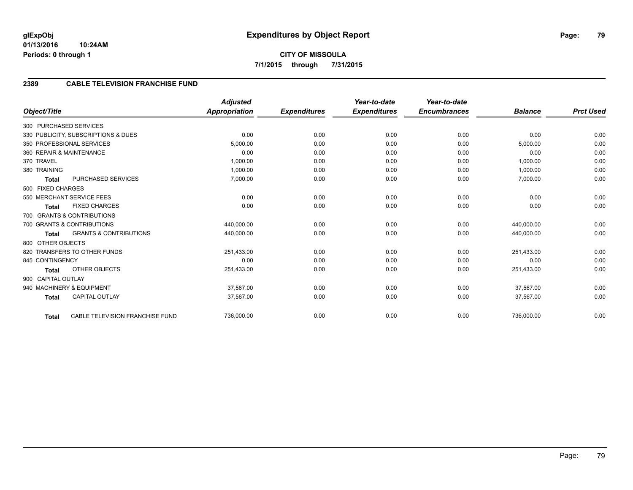# **CITY OF MISSOULA 7/1/2015 through 7/31/2015**

## **2389 CABLE TELEVISION FRANCHISE FUND**

|                                                   |                                 | <b>Adjusted</b>      |                     | Year-to-date        | Year-to-date        |                |                  |
|---------------------------------------------------|---------------------------------|----------------------|---------------------|---------------------|---------------------|----------------|------------------|
| Object/Title                                      |                                 | <b>Appropriation</b> | <b>Expenditures</b> | <b>Expenditures</b> | <b>Encumbrances</b> | <b>Balance</b> | <b>Prct Used</b> |
| 300 PURCHASED SERVICES                            |                                 |                      |                     |                     |                     |                |                  |
| 330 PUBLICITY, SUBSCRIPTIONS & DUES               |                                 | 0.00                 | 0.00                | 0.00                | 0.00                | 0.00           | 0.00             |
| 350 PROFESSIONAL SERVICES                         |                                 | 5,000.00             | 0.00                | 0.00                | 0.00                | 5,000.00       | 0.00             |
| 360 REPAIR & MAINTENANCE                          |                                 | 0.00                 | 0.00                | 0.00                | 0.00                | 0.00           | 0.00             |
| 370 TRAVEL                                        |                                 | 1,000.00             | 0.00                | 0.00                | 0.00                | 1,000.00       | 0.00             |
| 380 TRAINING                                      |                                 | 1,000.00             | 0.00                | 0.00                | 0.00                | 1,000.00       | 0.00             |
| PURCHASED SERVICES<br><b>Total</b>                |                                 | 7,000.00             | 0.00                | 0.00                | 0.00                | 7,000.00       | 0.00             |
| 500 FIXED CHARGES                                 |                                 |                      |                     |                     |                     |                |                  |
| 550 MERCHANT SERVICE FEES                         |                                 | 0.00                 | 0.00                | 0.00                | 0.00                | 0.00           | 0.00             |
| <b>FIXED CHARGES</b><br><b>Total</b>              |                                 | 0.00                 | 0.00                | 0.00                | 0.00                | 0.00           | 0.00             |
| 700 GRANTS & CONTRIBUTIONS                        |                                 |                      |                     |                     |                     |                |                  |
| 700 GRANTS & CONTRIBUTIONS                        |                                 | 440,000.00           | 0.00                | 0.00                | 0.00                | 440,000.00     | 0.00             |
| <b>GRANTS &amp; CONTRIBUTIONS</b><br><b>Total</b> |                                 | 440,000.00           | 0.00                | 0.00                | 0.00                | 440,000.00     | 0.00             |
| 800 OTHER OBJECTS                                 |                                 |                      |                     |                     |                     |                |                  |
| 820 TRANSFERS TO OTHER FUNDS                      |                                 | 251,433.00           | 0.00                | 0.00                | 0.00                | 251,433.00     | 0.00             |
| 845 CONTINGENCY                                   |                                 | 0.00                 | 0.00                | 0.00                | 0.00                | 0.00           | 0.00             |
| <b>OTHER OBJECTS</b><br><b>Total</b>              |                                 | 251,433.00           | 0.00                | 0.00                | 0.00                | 251,433.00     | 0.00             |
| 900 CAPITAL OUTLAY                                |                                 |                      |                     |                     |                     |                |                  |
| 940 MACHINERY & EQUIPMENT                         |                                 | 37.567.00            | 0.00                | 0.00                | 0.00                | 37.567.00      | 0.00             |
| <b>CAPITAL OUTLAY</b><br><b>Total</b>             |                                 | 37,567.00            | 0.00                | 0.00                | 0.00                | 37,567.00      | 0.00             |
| <b>Total</b>                                      | CABLE TELEVISION FRANCHISE FUND | 736,000.00           | 0.00                | 0.00                | 0.00                | 736,000.00     | 0.00             |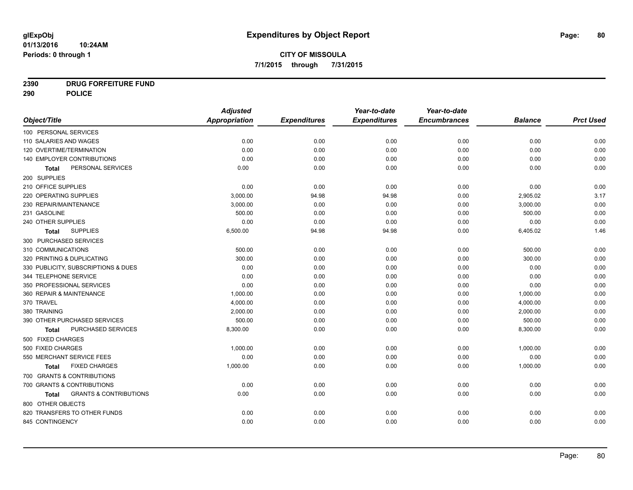## **2390 DRUG FORFEITURE FUND**

**290 POLICE**

|                                                   | <b>Adjusted</b>      |                     | Year-to-date        | Year-to-date        |                |                  |
|---------------------------------------------------|----------------------|---------------------|---------------------|---------------------|----------------|------------------|
| Object/Title                                      | <b>Appropriation</b> | <b>Expenditures</b> | <b>Expenditures</b> | <b>Encumbrances</b> | <b>Balance</b> | <b>Prct Used</b> |
| 100 PERSONAL SERVICES                             |                      |                     |                     |                     |                |                  |
| 110 SALARIES AND WAGES                            | 0.00                 | 0.00                | 0.00                | 0.00                | 0.00           | 0.00             |
| 120 OVERTIME/TERMINATION                          | 0.00                 | 0.00                | 0.00                | 0.00                | 0.00           | 0.00             |
| 140 EMPLOYER CONTRIBUTIONS                        | 0.00                 | 0.00                | 0.00                | 0.00                | 0.00           | 0.00             |
| PERSONAL SERVICES<br><b>Total</b>                 | 0.00                 | 0.00                | 0.00                | 0.00                | 0.00           | 0.00             |
| 200 SUPPLIES                                      |                      |                     |                     |                     |                |                  |
| 210 OFFICE SUPPLIES                               | 0.00                 | 0.00                | 0.00                | 0.00                | 0.00           | 0.00             |
| 220 OPERATING SUPPLIES                            | 3,000.00             | 94.98               | 94.98               | 0.00                | 2,905.02       | 3.17             |
| 230 REPAIR/MAINTENANCE                            | 3,000.00             | 0.00                | 0.00                | 0.00                | 3,000.00       | 0.00             |
| 231 GASOLINE                                      | 500.00               | 0.00                | 0.00                | 0.00                | 500.00         | 0.00             |
| 240 OTHER SUPPLIES                                | 0.00                 | 0.00                | 0.00                | 0.00                | 0.00           | 0.00             |
| <b>SUPPLIES</b><br><b>Total</b>                   | 6,500.00             | 94.98               | 94.98               | 0.00                | 6,405.02       | 1.46             |
| 300 PURCHASED SERVICES                            |                      |                     |                     |                     |                |                  |
| 310 COMMUNICATIONS                                | 500.00               | 0.00                | 0.00                | 0.00                | 500.00         | 0.00             |
| 320 PRINTING & DUPLICATING                        | 300.00               | 0.00                | 0.00                | 0.00                | 300.00         | 0.00             |
| 330 PUBLICITY, SUBSCRIPTIONS & DUES               | 0.00                 | 0.00                | 0.00                | 0.00                | 0.00           | 0.00             |
| 344 TELEPHONE SERVICE                             | 0.00                 | 0.00                | 0.00                | 0.00                | 0.00           | 0.00             |
| 350 PROFESSIONAL SERVICES                         | 0.00                 | 0.00                | 0.00                | 0.00                | 0.00           | 0.00             |
| 360 REPAIR & MAINTENANCE                          | 1,000.00             | 0.00                | 0.00                | 0.00                | 1,000.00       | 0.00             |
| 370 TRAVEL                                        | 4,000.00             | 0.00                | 0.00                | 0.00                | 4,000.00       | 0.00             |
| 380 TRAINING                                      | 2,000.00             | 0.00                | 0.00                | 0.00                | 2,000.00       | 0.00             |
| 390 OTHER PURCHASED SERVICES                      | 500.00               | 0.00                | 0.00                | 0.00                | 500.00         | 0.00             |
| PURCHASED SERVICES<br>Total                       | 8,300.00             | 0.00                | 0.00                | 0.00                | 8,300.00       | 0.00             |
| 500 FIXED CHARGES                                 |                      |                     |                     |                     |                |                  |
| 500 FIXED CHARGES                                 | 1,000.00             | 0.00                | 0.00                | 0.00                | 1,000.00       | 0.00             |
| 550 MERCHANT SERVICE FEES                         | 0.00                 | 0.00                | 0.00                | 0.00                | 0.00           | 0.00             |
| <b>FIXED CHARGES</b><br><b>Total</b>              | 1,000.00             | 0.00                | 0.00                | 0.00                | 1,000.00       | 0.00             |
| 700 GRANTS & CONTRIBUTIONS                        |                      |                     |                     |                     |                |                  |
| 700 GRANTS & CONTRIBUTIONS                        | 0.00                 | 0.00                | 0.00                | 0.00                | 0.00           | 0.00             |
| <b>GRANTS &amp; CONTRIBUTIONS</b><br><b>Total</b> | 0.00                 | 0.00                | 0.00                | 0.00                | 0.00           | 0.00             |
| 800 OTHER OBJECTS                                 |                      |                     |                     |                     |                |                  |
| 820 TRANSFERS TO OTHER FUNDS                      | 0.00                 | 0.00                | 0.00                | 0.00                | 0.00           | 0.00             |
| 845 CONTINGENCY                                   | 0.00                 | 0.00                | 0.00                | 0.00                | 0.00           | 0.00             |
|                                                   |                      |                     |                     |                     |                |                  |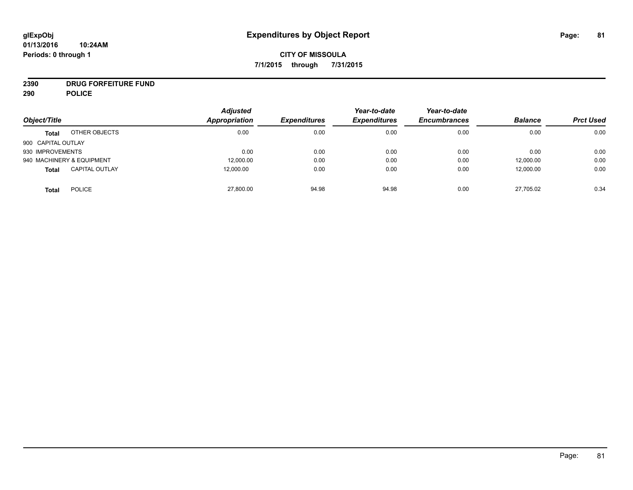# **2390 DRUG FORFEITURE FUND**

**290 POLICE**

| Object/Title       |                           | <b>Adjusted</b><br>Appropriation | <b>Expenditures</b> | Year-to-date<br><b>Expenditures</b> | Year-to-date<br><b>Encumbrances</b> | <b>Balance</b> | <b>Prct Used</b> |
|--------------------|---------------------------|----------------------------------|---------------------|-------------------------------------|-------------------------------------|----------------|------------------|
|                    |                           |                                  |                     |                                     |                                     |                |                  |
| <b>Total</b>       | OTHER OBJECTS             | 0.00                             | 0.00                | 0.00                                | 0.00                                | 0.00           | 0.00             |
| 900 CAPITAL OUTLAY |                           |                                  |                     |                                     |                                     |                |                  |
| 930 IMPROVEMENTS   |                           | 0.00                             | 0.00                | 0.00                                | 0.00                                | 0.00           | 0.00             |
|                    | 940 MACHINERY & EQUIPMENT | 12,000.00                        | 0.00                | 0.00                                | 0.00                                | 12,000.00      | 0.00             |
| <b>Total</b>       | <b>CAPITAL OUTLAY</b>     | 12,000.00                        | 0.00                | 0.00                                | 0.00                                | 12,000.00      | 0.00             |
| <b>Total</b>       | <b>POLICE</b>             | 27,800.00                        | 94.98               | 94.98                               | 0.00                                | 27,705.02      | 0.34             |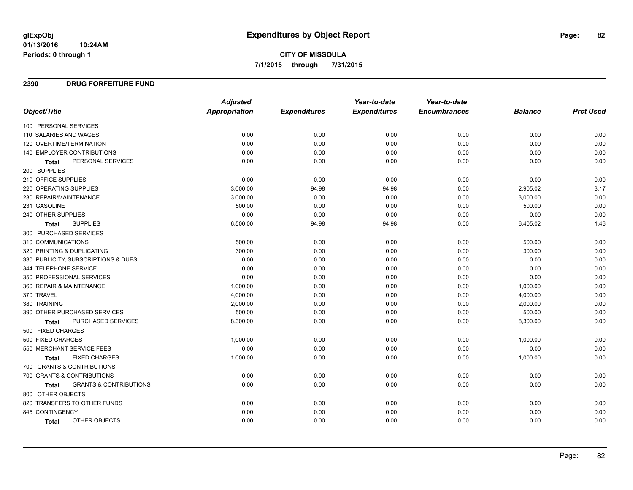**CITY OF MISSOULA 7/1/2015 through 7/31/2015**

### **2390 DRUG FORFEITURE FUND**

|                                            | <b>Adjusted</b> |                     | Year-to-date        | Year-to-date        |                |                  |
|--------------------------------------------|-----------------|---------------------|---------------------|---------------------|----------------|------------------|
| Object/Title                               | Appropriation   | <b>Expenditures</b> | <b>Expenditures</b> | <b>Encumbrances</b> | <b>Balance</b> | <b>Prct Used</b> |
| 100 PERSONAL SERVICES                      |                 |                     |                     |                     |                |                  |
| 110 SALARIES AND WAGES                     | 0.00            | 0.00                | 0.00                | 0.00                | 0.00           | 0.00             |
| 120 OVERTIME/TERMINATION                   | 0.00            | 0.00                | 0.00                | 0.00                | 0.00           | 0.00             |
| 140 EMPLOYER CONTRIBUTIONS                 | 0.00            | 0.00                | 0.00                | 0.00                | 0.00           | 0.00             |
| PERSONAL SERVICES<br><b>Total</b>          | 0.00            | 0.00                | 0.00                | 0.00                | 0.00           | 0.00             |
| 200 SUPPLIES                               |                 |                     |                     |                     |                |                  |
| 210 OFFICE SUPPLIES                        | 0.00            | 0.00                | 0.00                | 0.00                | 0.00           | 0.00             |
| <b>220 OPERATING SUPPLIES</b>              | 3,000.00        | 94.98               | 94.98               | 0.00                | 2,905.02       | 3.17             |
| 230 REPAIR/MAINTENANCE                     | 3,000.00        | 0.00                | 0.00                | 0.00                | 3,000.00       | 0.00             |
| 231 GASOLINE                               | 500.00          | 0.00                | 0.00                | 0.00                | 500.00         | 0.00             |
| 240 OTHER SUPPLIES                         | 0.00            | 0.00                | 0.00                | 0.00                | 0.00           | 0.00             |
| <b>SUPPLIES</b><br>Total                   | 6,500.00        | 94.98               | 94.98               | 0.00                | 6,405.02       | 1.46             |
| 300 PURCHASED SERVICES                     |                 |                     |                     |                     |                |                  |
| 310 COMMUNICATIONS                         | 500.00          | 0.00                | 0.00                | 0.00                | 500.00         | 0.00             |
| 320 PRINTING & DUPLICATING                 | 300.00          | 0.00                | 0.00                | 0.00                | 300.00         | 0.00             |
| 330 PUBLICITY, SUBSCRIPTIONS & DUES        | 0.00            | 0.00                | 0.00                | 0.00                | 0.00           | 0.00             |
| 344 TELEPHONE SERVICE                      | 0.00            | 0.00                | 0.00                | 0.00                | 0.00           | 0.00             |
| 350 PROFESSIONAL SERVICES                  | 0.00            | 0.00                | 0.00                | 0.00                | 0.00           | 0.00             |
| 360 REPAIR & MAINTENANCE                   | 1,000.00        | 0.00                | 0.00                | 0.00                | 1,000.00       | 0.00             |
| 370 TRAVEL                                 | 4,000.00        | 0.00                | 0.00                | 0.00                | 4,000.00       | 0.00             |
| 380 TRAINING                               | 2,000.00        | 0.00                | 0.00                | 0.00                | 2,000.00       | 0.00             |
| 390 OTHER PURCHASED SERVICES               | 500.00          | 0.00                | 0.00                | 0.00                | 500.00         | 0.00             |
| PURCHASED SERVICES<br><b>Total</b>         | 8,300.00        | 0.00                | 0.00                | 0.00                | 8,300.00       | 0.00             |
| 500 FIXED CHARGES                          |                 |                     |                     |                     |                |                  |
| 500 FIXED CHARGES                          | 1,000.00        | 0.00                | 0.00                | 0.00                | 1,000.00       | 0.00             |
| 550 MERCHANT SERVICE FEES                  | 0.00            | 0.00                | 0.00                | 0.00                | 0.00           | 0.00             |
| <b>FIXED CHARGES</b><br>Total              | 1,000.00        | 0.00                | 0.00                | 0.00                | 1,000.00       | 0.00             |
| 700 GRANTS & CONTRIBUTIONS                 |                 |                     |                     |                     |                |                  |
| 700 GRANTS & CONTRIBUTIONS                 | 0.00            | 0.00                | 0.00                | 0.00                | 0.00           | 0.00             |
| <b>GRANTS &amp; CONTRIBUTIONS</b><br>Total | 0.00            | 0.00                | 0.00                | 0.00                | 0.00           | 0.00             |
| 800 OTHER OBJECTS                          |                 |                     |                     |                     |                |                  |
| 820 TRANSFERS TO OTHER FUNDS               | 0.00            | 0.00                | 0.00                | 0.00                | 0.00           | 0.00             |
| 845 CONTINGENCY                            | 0.00            | 0.00                | 0.00                | 0.00                | 0.00           | 0.00             |
| OTHER OBJECTS<br>Total                     | 0.00            | 0.00                | 0.00                | 0.00                | 0.00           | 0.00             |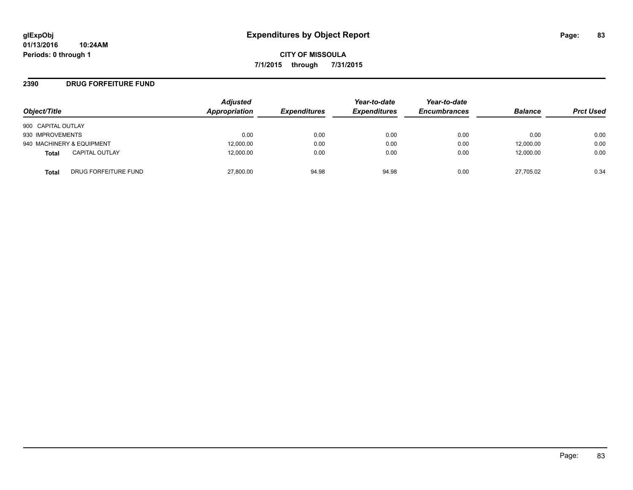### **2390 DRUG FORFEITURE FUND**

| Object/Title                          | <b>Adjusted</b><br>Appropriation | <b>Expenditures</b> | Year-to-date<br><b>Expenditures</b> | Year-to-date<br><b>Encumbrances</b> | <b>Balance</b> | <b>Prct Used</b> |
|---------------------------------------|----------------------------------|---------------------|-------------------------------------|-------------------------------------|----------------|------------------|
| 900 CAPITAL OUTLAY                    |                                  |                     |                                     |                                     |                |                  |
| 930 IMPROVEMENTS                      | 0.00                             | 0.00                | 0.00                                | 0.00                                | 0.00           | 0.00             |
| 940 MACHINERY & EQUIPMENT             | 12,000.00                        | 0.00                | 0.00                                | 0.00                                | 12,000.00      | 0.00             |
| <b>CAPITAL OUTLAY</b><br><b>Total</b> | 12,000.00                        | 0.00                | 0.00                                | 0.00                                | 12,000.00      | 0.00             |
| DRUG FORFEITURE FUND<br>Total         | 27,800.00                        | 94.98               | 94.98                               | 0.00                                | 27,705.02      | 0.34             |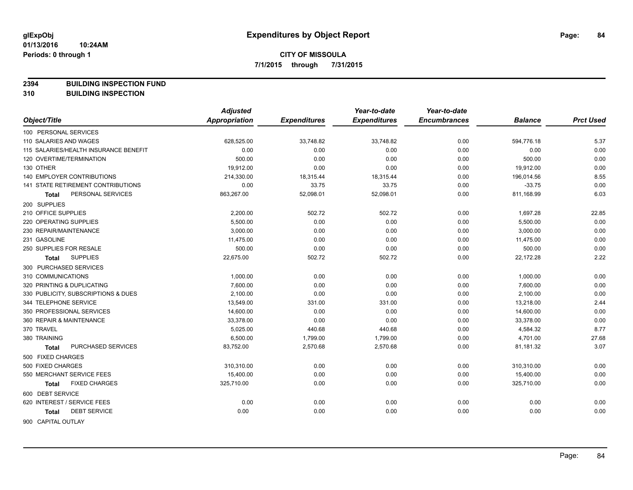**2394 BUILDING INSPECTION FUND**

**310 BUILDING INSPECTION**

|                                       | <b>Adjusted</b> |                     | Year-to-date        | Year-to-date        |                |                  |
|---------------------------------------|-----------------|---------------------|---------------------|---------------------|----------------|------------------|
| Object/Title                          | Appropriation   | <b>Expenditures</b> | <b>Expenditures</b> | <b>Encumbrances</b> | <b>Balance</b> | <b>Prct Used</b> |
| 100 PERSONAL SERVICES                 |                 |                     |                     |                     |                |                  |
| 110 SALARIES AND WAGES                | 628,525.00      | 33,748.82           | 33,748.82           | 0.00                | 594,776.18     | 5.37             |
| 115 SALARIES/HEALTH INSURANCE BENEFIT | 0.00            | 0.00                | 0.00                | 0.00                | 0.00           | 0.00             |
| 120 OVERTIME/TERMINATION              | 500.00          | 0.00                | 0.00                | 0.00                | 500.00         | 0.00             |
| 130 OTHER                             | 19,912.00       | 0.00                | 0.00                | 0.00                | 19,912.00      | 0.00             |
| 140 EMPLOYER CONTRIBUTIONS            | 214,330.00      | 18,315.44           | 18,315.44           | 0.00                | 196,014.56     | 8.55             |
| 141 STATE RETIREMENT CONTRIBUTIONS    | 0.00            | 33.75               | 33.75               | 0.00                | $-33.75$       | 0.00             |
| PERSONAL SERVICES<br><b>Total</b>     | 863,267.00      | 52,098.01           | 52,098.01           | 0.00                | 811,168.99     | 6.03             |
| 200 SUPPLIES                          |                 |                     |                     |                     |                |                  |
| 210 OFFICE SUPPLIES                   | 2,200.00        | 502.72              | 502.72              | 0.00                | 1,697.28       | 22.85            |
| 220 OPERATING SUPPLIES                | 5,500.00        | 0.00                | 0.00                | 0.00                | 5,500.00       | 0.00             |
| 230 REPAIR/MAINTENANCE                | 3,000.00        | 0.00                | 0.00                | 0.00                | 3,000.00       | 0.00             |
| 231 GASOLINE                          | 11,475.00       | 0.00                | 0.00                | 0.00                | 11,475.00      | 0.00             |
| 250 SUPPLIES FOR RESALE               | 500.00          | 0.00                | 0.00                | 0.00                | 500.00         | 0.00             |
| <b>SUPPLIES</b><br>Total              | 22,675.00       | 502.72              | 502.72              | 0.00                | 22,172.28      | 2.22             |
| 300 PURCHASED SERVICES                |                 |                     |                     |                     |                |                  |
| 310 COMMUNICATIONS                    | 1,000.00        | 0.00                | 0.00                | 0.00                | 1,000.00       | 0.00             |
| 320 PRINTING & DUPLICATING            | 7,600.00        | 0.00                | 0.00                | 0.00                | 7,600.00       | 0.00             |
| 330 PUBLICITY, SUBSCRIPTIONS & DUES   | 2,100.00        | 0.00                | 0.00                | 0.00                | 2,100.00       | 0.00             |
| 344 TELEPHONE SERVICE                 | 13,549.00       | 331.00              | 331.00              | 0.00                | 13,218.00      | 2.44             |
| 350 PROFESSIONAL SERVICES             | 14,600.00       | 0.00                | 0.00                | 0.00                | 14,600.00      | 0.00             |
| 360 REPAIR & MAINTENANCE              | 33,378.00       | 0.00                | 0.00                | 0.00                | 33,378.00      | 0.00             |
| 370 TRAVEL                            | 5,025.00        | 440.68              | 440.68              | 0.00                | 4,584.32       | 8.77             |
| 380 TRAINING                          | 6,500.00        | 1,799.00            | 1,799.00            | 0.00                | 4,701.00       | 27.68            |
| PURCHASED SERVICES<br>Total           | 83,752.00       | 2,570.68            | 2,570.68            | 0.00                | 81,181.32      | 3.07             |
| 500 FIXED CHARGES                     |                 |                     |                     |                     |                |                  |
| 500 FIXED CHARGES                     | 310,310.00      | 0.00                | 0.00                | 0.00                | 310,310.00     | 0.00             |
| 550 MERCHANT SERVICE FEES             | 15,400.00       | 0.00                | 0.00                | 0.00                | 15,400.00      | 0.00             |
| <b>FIXED CHARGES</b><br><b>Total</b>  | 325,710.00      | 0.00                | 0.00                | 0.00                | 325,710.00     | 0.00             |
| 600 DEBT SERVICE                      |                 |                     |                     |                     |                |                  |
| 620 INTEREST / SERVICE FEES           | 0.00            | 0.00                | 0.00                | 0.00                | 0.00           | 0.00             |
| <b>DEBT SERVICE</b><br><b>Total</b>   | 0.00            | 0.00                | 0.00                | 0.00                | 0.00           | 0.00             |
| <b>GOO CADITAL OUTLAV</b>             |                 |                     |                     |                     |                |                  |

900 CAPITAL OUTLAY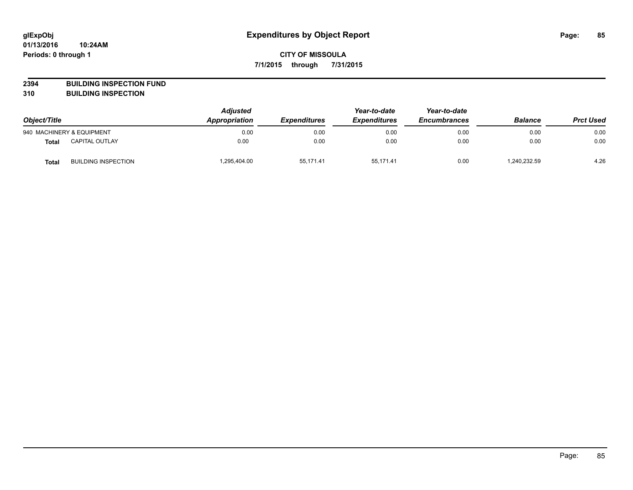**2394 BUILDING INSPECTION FUND**

**310 BUILDING INSPECTION**

| Object/Title |                            | <b>Adjusted</b><br>Appropriation<br><b>Expenditures</b> | Year-to-date<br><b>Expenditures</b> | Year-to-date<br><b>Encumbrances</b> | <b>Balance</b> | <b>Prct Used</b> |      |
|--------------|----------------------------|---------------------------------------------------------|-------------------------------------|-------------------------------------|----------------|------------------|------|
|              | 940 MACHINERY & EQUIPMENT  | 0.00                                                    | 0.00                                | 0.00                                | 0.00           | 0.00             | 0.00 |
| <b>Total</b> | <b>CAPITAL OUTLAY</b>      | 0.00                                                    | 0.00                                | 0.00                                | 0.00           | 0.00             | 0.00 |
| <b>Total</b> | <b>BUILDING INSPECTION</b> | 1,295,404.00                                            | 55.171.41                           | 55.171.41                           | 0.00           | 240,232.59       | 4.26 |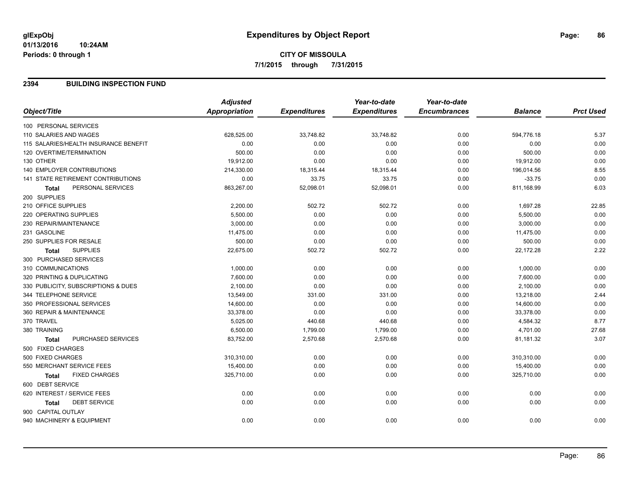### **2394 BUILDING INSPECTION FUND**

|                                           | <b>Adjusted</b>      |                     | Year-to-date        | Year-to-date        |                |                  |
|-------------------------------------------|----------------------|---------------------|---------------------|---------------------|----------------|------------------|
| Object/Title                              | <b>Appropriation</b> | <b>Expenditures</b> | <b>Expenditures</b> | <b>Encumbrances</b> | <b>Balance</b> | <b>Prct Used</b> |
| 100 PERSONAL SERVICES                     |                      |                     |                     |                     |                |                  |
| 110 SALARIES AND WAGES                    | 628,525.00           | 33,748.82           | 33,748.82           | 0.00                | 594,776.18     | 5.37             |
| 115 SALARIES/HEALTH INSURANCE BENEFIT     | 0.00                 | 0.00                | 0.00                | 0.00                | 0.00           | 0.00             |
| 120 OVERTIME/TERMINATION                  | 500.00               | 0.00                | 0.00                | 0.00                | 500.00         | 0.00             |
| 130 OTHER                                 | 19,912.00            | 0.00                | 0.00                | 0.00                | 19,912.00      | 0.00             |
| <b>140 EMPLOYER CONTRIBUTIONS</b>         | 214,330.00           | 18,315.44           | 18,315.44           | 0.00                | 196,014.56     | 8.55             |
| <b>141 STATE RETIREMENT CONTRIBUTIONS</b> | 0.00                 | 33.75               | 33.75               | 0.00                | $-33.75$       | 0.00             |
| PERSONAL SERVICES<br><b>Total</b>         | 863,267.00           | 52,098.01           | 52,098.01           | 0.00                | 811,168.99     | 6.03             |
| 200 SUPPLIES                              |                      |                     |                     |                     |                |                  |
| 210 OFFICE SUPPLIES                       | 2,200.00             | 502.72              | 502.72              | 0.00                | 1,697.28       | 22.85            |
| 220 OPERATING SUPPLIES                    | 5,500.00             | 0.00                | 0.00                | 0.00                | 5,500.00       | 0.00             |
| 230 REPAIR/MAINTENANCE                    | 3,000.00             | 0.00                | 0.00                | 0.00                | 3,000.00       | 0.00             |
| 231 GASOLINE                              | 11,475.00            | 0.00                | 0.00                | 0.00                | 11,475.00      | 0.00             |
| 250 SUPPLIES FOR RESALE                   | 500.00               | 0.00                | 0.00                | 0.00                | 500.00         | 0.00             |
| <b>SUPPLIES</b><br><b>Total</b>           | 22,675.00            | 502.72              | 502.72              | 0.00                | 22,172.28      | 2.22             |
| 300 PURCHASED SERVICES                    |                      |                     |                     |                     |                |                  |
| 310 COMMUNICATIONS                        | 1,000.00             | 0.00                | 0.00                | 0.00                | 1,000.00       | 0.00             |
| 320 PRINTING & DUPLICATING                | 7,600.00             | 0.00                | 0.00                | 0.00                | 7,600.00       | 0.00             |
| 330 PUBLICITY, SUBSCRIPTIONS & DUES       | 2,100.00             | 0.00                | 0.00                | 0.00                | 2,100.00       | 0.00             |
| 344 TELEPHONE SERVICE                     | 13,549.00            | 331.00              | 331.00              | 0.00                | 13,218.00      | 2.44             |
| 350 PROFESSIONAL SERVICES                 | 14,600.00            | 0.00                | 0.00                | 0.00                | 14,600.00      | 0.00             |
| 360 REPAIR & MAINTENANCE                  | 33,378.00            | 0.00                | 0.00                | 0.00                | 33,378.00      | 0.00             |
| 370 TRAVEL                                | 5,025.00             | 440.68              | 440.68              | 0.00                | 4,584.32       | 8.77             |
| 380 TRAINING                              | 6,500.00             | 1,799.00            | 1,799.00            | 0.00                | 4,701.00       | 27.68            |
| PURCHASED SERVICES<br><b>Total</b>        | 83,752.00            | 2,570.68            | 2,570.68            | 0.00                | 81,181.32      | 3.07             |
| 500 FIXED CHARGES                         |                      |                     |                     |                     |                |                  |
| 500 FIXED CHARGES                         | 310,310.00           | 0.00                | 0.00                | 0.00                | 310,310.00     | 0.00             |
| 550 MERCHANT SERVICE FEES                 | 15,400.00            | 0.00                | 0.00                | 0.00                | 15,400.00      | 0.00             |
| <b>FIXED CHARGES</b><br>Total             | 325,710.00           | 0.00                | 0.00                | 0.00                | 325,710.00     | 0.00             |
| 600 DEBT SERVICE                          |                      |                     |                     |                     |                |                  |
| 620 INTEREST / SERVICE FEES               | 0.00                 | 0.00                | 0.00                | 0.00                | 0.00           | 0.00             |
| <b>DEBT SERVICE</b><br>Total              | 0.00                 | 0.00                | 0.00                | 0.00                | 0.00           | 0.00             |
| 900 CAPITAL OUTLAY                        |                      |                     |                     |                     |                |                  |
| 940 MACHINERY & EQUIPMENT                 | 0.00                 | 0.00                | 0.00                | 0.00                | 0.00           | 0.00             |
|                                           |                      |                     |                     |                     |                |                  |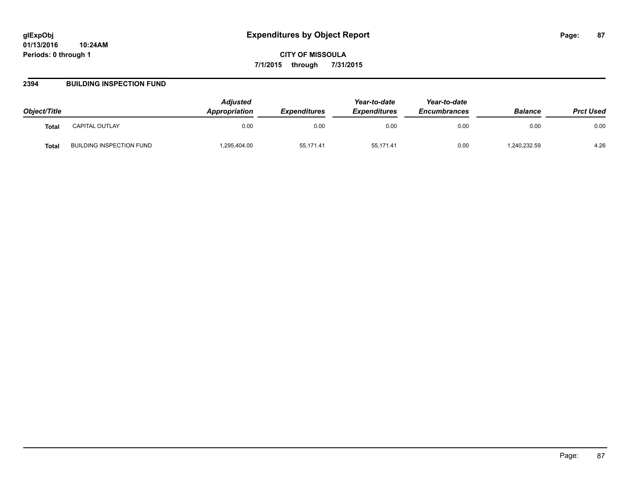**CITY OF MISSOULA 7/1/2015 through 7/31/2015**

### **2394 BUILDING INSPECTION FUND**

| Object/Title |                          | <b>Adjusted</b><br><b>Appropriation</b> | <b>Expenditures</b> | Year-to-date<br><b>Expenditures</b> | Year-to-date<br><b>Encumbrances</b> | <b>Balance</b> | <b>Prct Used</b> |
|--------------|--------------------------|-----------------------------------------|---------------------|-------------------------------------|-------------------------------------|----------------|------------------|
| Total        | CAPITAL OUTLAY           | 0.00                                    | 0.00                | 0.00                                | 0.00                                | 0.00           | 0.00             |
| <b>Total</b> | BUILDING INSPECTION FUND | ,295,404.00                             | 55,171.41           | 55,171.41                           | 0.00                                | ,240,232.59    | 4.26             |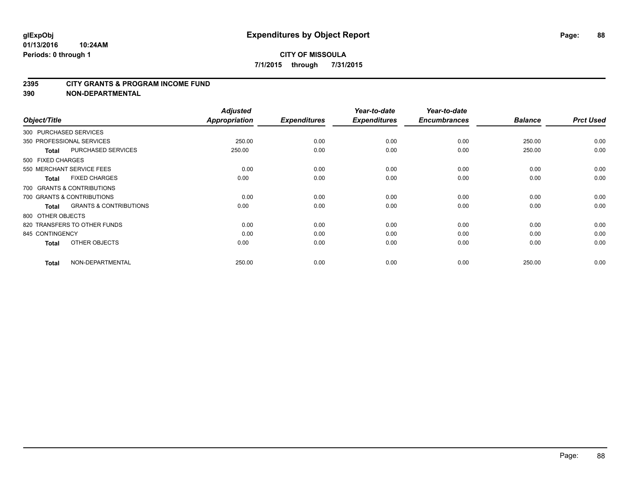#### **2395 CITY GRANTS & PROGRAM INCOME FUND**

**390 NON-DEPARTMENTAL**

| Object/Title           |                                   | <b>Adjusted</b><br>Appropriation | <b>Expenditures</b> | Year-to-date<br><b>Expenditures</b> | Year-to-date<br><b>Encumbrances</b> | <b>Balance</b> | <b>Prct Used</b> |
|------------------------|-----------------------------------|----------------------------------|---------------------|-------------------------------------|-------------------------------------|----------------|------------------|
| 300 PURCHASED SERVICES |                                   |                                  |                     |                                     |                                     |                |                  |
|                        | 350 PROFESSIONAL SERVICES         | 250.00                           | 0.00                | 0.00                                | 0.00                                | 250.00         | 0.00             |
| <b>Total</b>           | <b>PURCHASED SERVICES</b>         | 250.00                           | 0.00                | 0.00                                | 0.00                                | 250.00         | 0.00             |
| 500 FIXED CHARGES      |                                   |                                  |                     |                                     |                                     |                |                  |
|                        | 550 MERCHANT SERVICE FEES         | 0.00                             | 0.00                | 0.00                                | 0.00                                | 0.00           | 0.00             |
| <b>Total</b>           | <b>FIXED CHARGES</b>              | 0.00                             | 0.00                | 0.00                                | 0.00                                | 0.00           | 0.00             |
|                        | 700 GRANTS & CONTRIBUTIONS        |                                  |                     |                                     |                                     |                |                  |
|                        | 700 GRANTS & CONTRIBUTIONS        | 0.00                             | 0.00                | 0.00                                | 0.00                                | 0.00           | 0.00             |
| <b>Total</b>           | <b>GRANTS &amp; CONTRIBUTIONS</b> | 0.00                             | 0.00                | 0.00                                | 0.00                                | 0.00           | 0.00             |
| 800 OTHER OBJECTS      |                                   |                                  |                     |                                     |                                     |                |                  |
|                        | 820 TRANSFERS TO OTHER FUNDS      | 0.00                             | 0.00                | 0.00                                | 0.00                                | 0.00           | 0.00             |
| 845 CONTINGENCY        |                                   | 0.00                             | 0.00                | 0.00                                | 0.00                                | 0.00           | 0.00             |
| <b>Total</b>           | OTHER OBJECTS                     | 0.00                             | 0.00                | 0.00                                | 0.00                                | 0.00           | 0.00             |
| <b>Total</b>           | NON-DEPARTMENTAL                  | 250.00                           | 0.00                | 0.00                                | 0.00                                | 250.00         | 0.00             |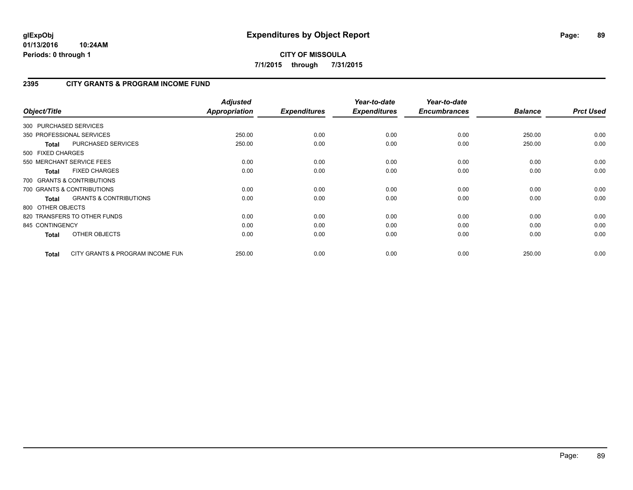## **2395 CITY GRANTS & PROGRAM INCOME FUND**

| Object/Title           |                                   | <b>Adjusted</b><br>Appropriation | <b>Expenditures</b> | Year-to-date<br><b>Expenditures</b> | Year-to-date<br><b>Encumbrances</b> | <b>Balance</b> | <b>Prct Used</b> |
|------------------------|-----------------------------------|----------------------------------|---------------------|-------------------------------------|-------------------------------------|----------------|------------------|
| 300 PURCHASED SERVICES |                                   |                                  |                     |                                     |                                     |                |                  |
|                        | 350 PROFESSIONAL SERVICES         | 250.00                           | 0.00                | 0.00                                | 0.00                                | 250.00         | 0.00             |
| <b>Total</b>           | PURCHASED SERVICES                | 250.00                           | 0.00                | 0.00                                | 0.00                                | 250.00         | 0.00             |
| 500 FIXED CHARGES      |                                   |                                  |                     |                                     |                                     |                |                  |
|                        | 550 MERCHANT SERVICE FEES         | 0.00                             | 0.00                | 0.00                                | 0.00                                | 0.00           | 0.00             |
| <b>Total</b>           | <b>FIXED CHARGES</b>              | 0.00                             | 0.00                | 0.00                                | 0.00                                | 0.00           | 0.00             |
|                        | 700 GRANTS & CONTRIBUTIONS        |                                  |                     |                                     |                                     |                |                  |
|                        | 700 GRANTS & CONTRIBUTIONS        | 0.00                             | 0.00                | 0.00                                | 0.00                                | 0.00           | 0.00             |
| <b>Total</b>           | <b>GRANTS &amp; CONTRIBUTIONS</b> | 0.00                             | 0.00                | 0.00                                | 0.00                                | 0.00           | 0.00             |
| 800 OTHER OBJECTS      |                                   |                                  |                     |                                     |                                     |                |                  |
|                        | 820 TRANSFERS TO OTHER FUNDS      | 0.00                             | 0.00                | 0.00                                | 0.00                                | 0.00           | 0.00             |
| 845 CONTINGENCY        |                                   | 0.00                             | 0.00                | 0.00                                | 0.00                                | 0.00           | 0.00             |
| <b>Total</b>           | OTHER OBJECTS                     | 0.00                             | 0.00                | 0.00                                | 0.00                                | 0.00           | 0.00             |
| Total                  | CITY GRANTS & PROGRAM INCOME FUN  | 250.00                           | 0.00                | 0.00                                | 0.00                                | 250.00         | 0.00             |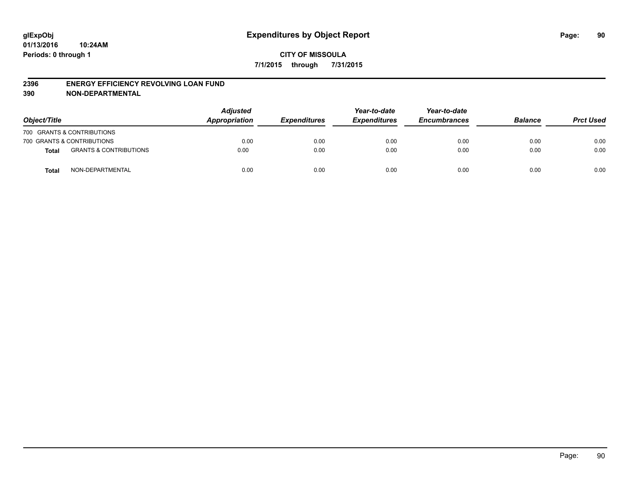#### **2396 ENERGY EFFICIENCY REVOLVING LOAN FUND**

**390 NON-DEPARTMENTAL**

| Object/Title |                                   | <b>Adjusted</b><br>Appropriation | <b>Expenditures</b> | Year-to-date<br><b>Expenditures</b> | Year-to-date<br><b>Encumbrances</b> | <b>Balance</b> | <b>Prct Used</b> |
|--------------|-----------------------------------|----------------------------------|---------------------|-------------------------------------|-------------------------------------|----------------|------------------|
|              | 700 GRANTS & CONTRIBUTIONS        |                                  |                     |                                     |                                     |                |                  |
|              | 700 GRANTS & CONTRIBUTIONS        | 0.00                             | 0.00                | 0.00                                | 0.00                                | 0.00           | 0.00             |
| <b>Total</b> | <b>GRANTS &amp; CONTRIBUTIONS</b> | 0.00                             | 0.00                | 0.00                                | 0.00                                | 0.00           | 0.00             |
| <b>Total</b> | NON-DEPARTMENTAL                  | 0.00                             | 0.00                | 0.00                                | 0.00                                | 0.00           | 0.00             |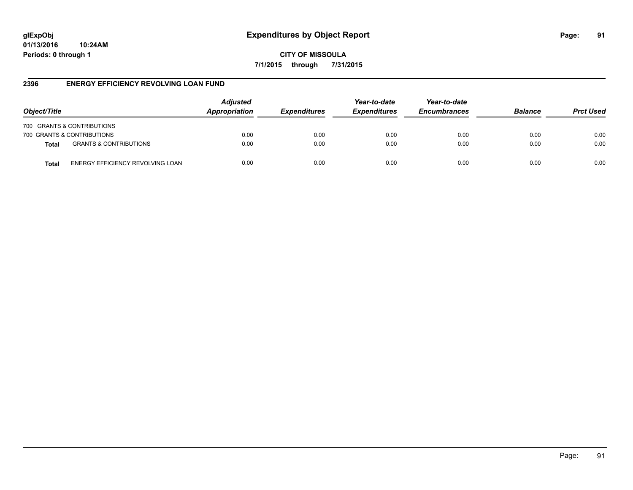**CITY OF MISSOULA 7/1/2015 through 7/31/2015**

## **2396 ENERGY EFFICIENCY REVOLVING LOAN FUND**

| Object/Title |                                   | <b>Adjusted</b><br>Appropriation | <b>Expenditures</b> | Year-to-date<br><b>Expenditures</b> | Year-to-date<br><b>Encumbrances</b> | <b>Balance</b> | <b>Prct Used</b> |
|--------------|-----------------------------------|----------------------------------|---------------------|-------------------------------------|-------------------------------------|----------------|------------------|
|              | 700 GRANTS & CONTRIBUTIONS        |                                  |                     |                                     |                                     |                |                  |
|              | 700 GRANTS & CONTRIBUTIONS        | 0.00                             | 0.00                | 0.00                                | 0.00                                | 0.00           | 0.00             |
| <b>Total</b> | <b>GRANTS &amp; CONTRIBUTIONS</b> | 0.00                             | 0.00                | 0.00                                | 0.00                                | 0.00           | 0.00             |
| Total        | ENERGY EFFICIENCY REVOLVING LOAN  | 0.00                             | 0.00                | 0.00                                | 0.00                                | 0.00           | 0.00             |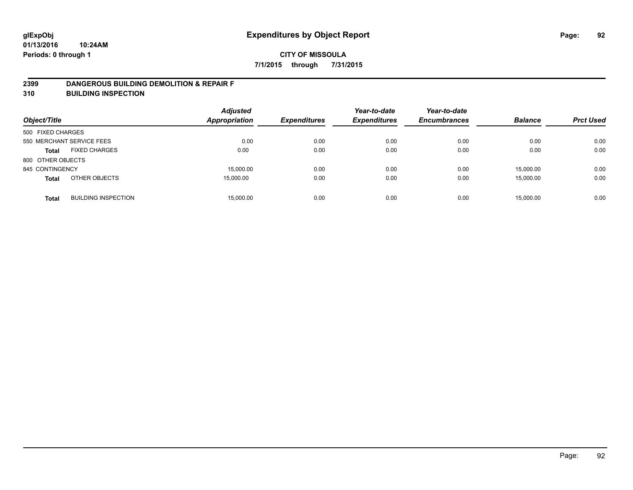### **2399 DANGEROUS BUILDING DEMOLITION & REPAIR F**

**310 BUILDING INSPECTION**

| Object/Title      |                            | <b>Adjusted</b><br><b>Appropriation</b> | <b>Expenditures</b> | Year-to-date<br><b>Expenditures</b> | Year-to-date<br><b>Encumbrances</b> | <b>Balance</b> | <b>Prct Used</b> |
|-------------------|----------------------------|-----------------------------------------|---------------------|-------------------------------------|-------------------------------------|----------------|------------------|
| 500 FIXED CHARGES |                            |                                         |                     |                                     |                                     |                |                  |
|                   | 550 MERCHANT SERVICE FEES  | 0.00                                    | 0.00                | 0.00                                | 0.00                                | 0.00           | 0.00             |
| <b>Total</b>      | <b>FIXED CHARGES</b>       | 0.00                                    | 0.00                | 0.00                                | 0.00                                | 0.00           | 0.00             |
| 800 OTHER OBJECTS |                            |                                         |                     |                                     |                                     |                |                  |
| 845 CONTINGENCY   |                            | 15,000.00                               | 0.00                | 0.00                                | 0.00                                | 15,000.00      | 0.00             |
| <b>Total</b>      | OTHER OBJECTS              | 15,000.00                               | 0.00                | 0.00                                | 0.00                                | 15,000.00      | 0.00             |
| <b>Total</b>      | <b>BUILDING INSPECTION</b> | 15,000.00                               | 0.00                | 0.00                                | 0.00                                | 15,000.00      | 0.00             |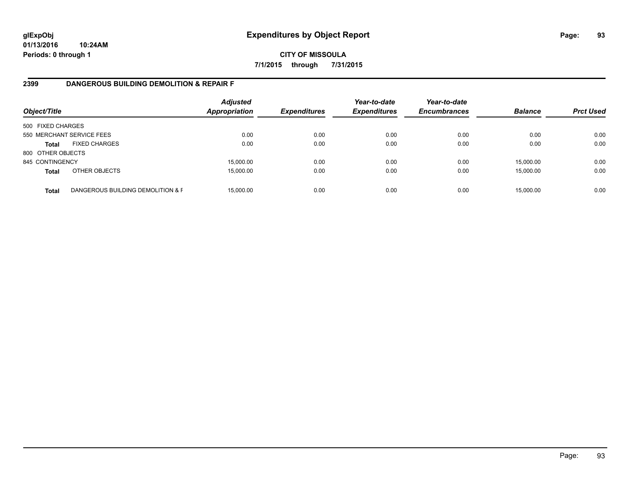## **CITY OF MISSOULA 7/1/2015 through 7/31/2015**

## **2399 DANGEROUS BUILDING DEMOLITION & REPAIR F**

| Object/Title      |                                   | <b>Adjusted</b><br><b>Appropriation</b> | <b>Expenditures</b> | Year-to-date<br><b>Expenditures</b> | Year-to-date<br><b>Encumbrances</b> | <b>Balance</b> | <b>Prct Used</b> |
|-------------------|-----------------------------------|-----------------------------------------|---------------------|-------------------------------------|-------------------------------------|----------------|------------------|
| 500 FIXED CHARGES |                                   |                                         |                     |                                     |                                     |                |                  |
|                   | 550 MERCHANT SERVICE FEES         | 0.00                                    | 0.00                | 0.00                                | 0.00                                | 0.00           | 0.00             |
| <b>Total</b>      | <b>FIXED CHARGES</b>              | 0.00                                    | 0.00                | 0.00                                | 0.00                                | 0.00           | 0.00             |
| 800 OTHER OBJECTS |                                   |                                         |                     |                                     |                                     |                |                  |
| 845 CONTINGENCY   |                                   | 15,000.00                               | 0.00                | 0.00                                | 0.00                                | 15,000.00      | 0.00             |
| <b>Total</b>      | OTHER OBJECTS                     | 15,000.00                               | 0.00                | 0.00                                | 0.00                                | 15,000.00      | 0.00             |
| <b>Total</b>      | DANGEROUS BUILDING DEMOLITION & F | 15.000.00                               | 0.00                | 0.00                                | 0.00                                | 15,000.00      | 0.00             |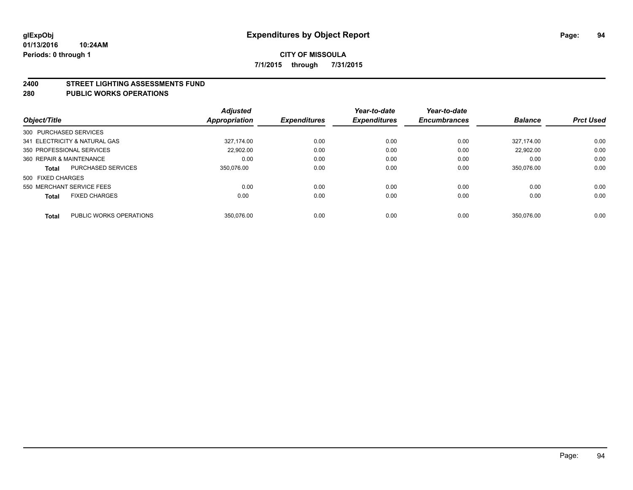#### **2400 STREET LIGHTING ASSESSMENTS FUND**

#### **280 PUBLIC WORKS OPERATIONS**

| Object/Title                              | <b>Adjusted</b><br><b>Appropriation</b> | <b>Expenditures</b> | Year-to-date<br><b>Expenditures</b> | Year-to-date<br><b>Encumbrances</b> | <b>Balance</b> | <b>Prct Used</b> |
|-------------------------------------------|-----------------------------------------|---------------------|-------------------------------------|-------------------------------------|----------------|------------------|
| 300 PURCHASED SERVICES                    |                                         |                     |                                     |                                     |                |                  |
| 341 ELECTRICITY & NATURAL GAS             | 327.174.00                              | 0.00                | 0.00                                | 0.00                                | 327.174.00     | 0.00             |
| 350 PROFESSIONAL SERVICES                 | 22.902.00                               | 0.00                | 0.00                                | 0.00                                | 22.902.00      | 0.00             |
| 360 REPAIR & MAINTENANCE                  |                                         | 0.00<br>0.00        | 0.00                                | 0.00                                | 0.00           | 0.00             |
| <b>PURCHASED SERVICES</b><br><b>Total</b> | 350.076.00                              | 0.00                | 0.00                                | 0.00                                | 350.076.00     | 0.00             |
| 500 FIXED CHARGES                         |                                         |                     |                                     |                                     |                |                  |
| 550 MERCHANT SERVICE FEES                 |                                         | 0.00<br>0.00        | 0.00                                | 0.00                                | 0.00           | 0.00             |
| <b>FIXED CHARGES</b><br><b>Total</b>      | 0.00                                    | 0.00                | 0.00                                | 0.00                                | 0.00           | 0.00             |
| PUBLIC WORKS OPERATIONS<br><b>Total</b>   | 350.076.00                              | 0.00                | 0.00                                | 0.00                                | 350.076.00     | 0.00             |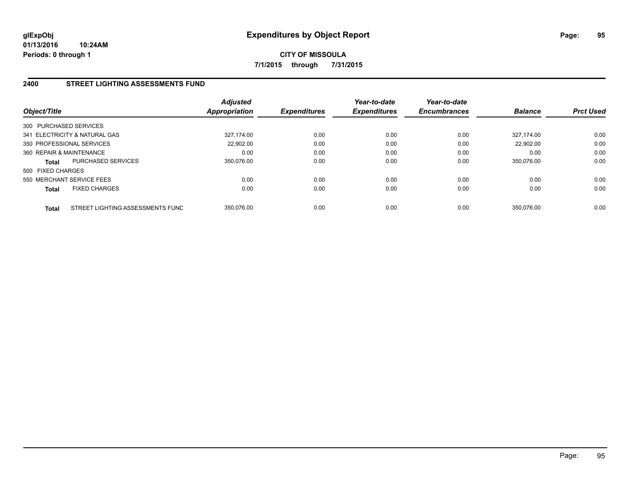## **2400 STREET LIGHTING ASSESSMENTS FUND**

| Object/Title             |                                  | <b>Adjusted</b><br><b>Appropriation</b> | <b>Expenditures</b> | Year-to-date<br><b>Expenditures</b> | Year-to-date<br><b>Encumbrances</b> | <b>Balance</b> | <b>Prct Used</b> |
|--------------------------|----------------------------------|-----------------------------------------|---------------------|-------------------------------------|-------------------------------------|----------------|------------------|
| 300 PURCHASED SERVICES   |                                  |                                         |                     |                                     |                                     |                |                  |
|                          | 341 ELECTRICITY & NATURAL GAS    | 327.174.00                              | 0.00                | 0.00                                | 0.00                                | 327.174.00     | 0.00             |
|                          | 350 PROFESSIONAL SERVICES        | 22,902.00                               | 0.00                | 0.00                                | 0.00                                | 22,902.00      | 0.00             |
| 360 REPAIR & MAINTENANCE |                                  | 0.00                                    | 0.00                | 0.00                                | 0.00                                | 0.00           | 0.00             |
| <b>Total</b>             | <b>PURCHASED SERVICES</b>        | 350.076.00                              | 0.00                | 0.00                                | 0.00                                | 350.076.00     | 0.00             |
| 500 FIXED CHARGES        |                                  |                                         |                     |                                     |                                     |                |                  |
|                          | 550 MERCHANT SERVICE FEES        | 0.00                                    | 0.00                | 0.00                                | 0.00                                | 0.00           | 0.00             |
| <b>Total</b>             | <b>FIXED CHARGES</b>             | 0.00                                    | 0.00                | 0.00                                | 0.00                                | 0.00           | 0.00             |
| <b>Total</b>             | STREET LIGHTING ASSESSMENTS FUND | 350.076.00                              | 0.00                | 0.00                                | 0.00                                | 350.076.00     | 0.00             |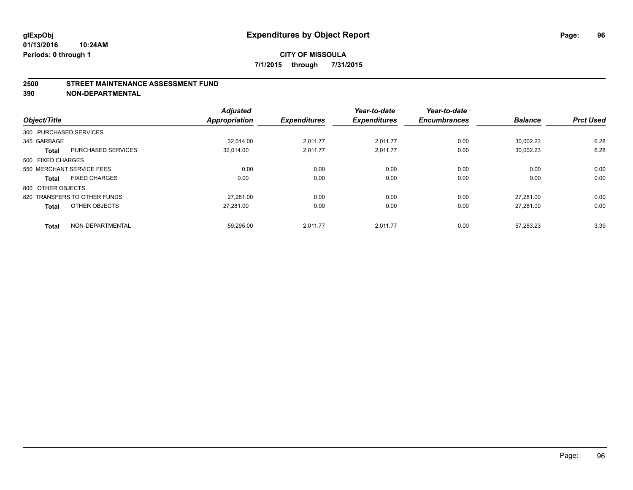#### **2500 STREET MAINTENANCE ASSESSMENT FUND**

**390 NON-DEPARTMENTAL**

| Object/Title      |                              | <b>Adjusted</b><br><b>Appropriation</b> | <b>Expenditures</b> | Year-to-date<br><b>Expenditures</b> | Year-to-date<br><b>Encumbrances</b> | <b>Balance</b> | <b>Prct Used</b> |
|-------------------|------------------------------|-----------------------------------------|---------------------|-------------------------------------|-------------------------------------|----------------|------------------|
|                   | 300 PURCHASED SERVICES       |                                         |                     |                                     |                                     |                |                  |
| 345 GARBAGE       |                              | 32.014.00                               | 2,011.77            | 2,011.77                            | 0.00                                | 30,002.23      | 6.28             |
| <b>Total</b>      | <b>PURCHASED SERVICES</b>    | 32,014.00                               | 2,011.77            | 2,011.77                            | 0.00                                | 30,002.23      | 6.28             |
| 500 FIXED CHARGES |                              |                                         |                     |                                     |                                     |                |                  |
|                   | 550 MERCHANT SERVICE FEES    | 0.00                                    | 0.00                | 0.00                                | 0.00                                | 0.00           | 0.00             |
| <b>Total</b>      | <b>FIXED CHARGES</b>         | 0.00                                    | 0.00                | 0.00                                | 0.00                                | 0.00           | 0.00             |
| 800 OTHER OBJECTS |                              |                                         |                     |                                     |                                     |                |                  |
|                   | 820 TRANSFERS TO OTHER FUNDS | 27.281.00                               | 0.00                | 0.00                                | 0.00                                | 27.281.00      | 0.00             |
| <b>Total</b>      | OTHER OBJECTS                | 27,281.00                               | 0.00                | 0.00                                | 0.00                                | 27.281.00      | 0.00             |
| <b>Total</b>      | NON-DEPARTMENTAL             | 59.295.00                               | 2.011.77            | 2.011.77                            | 0.00                                | 57.283.23      | 3.39             |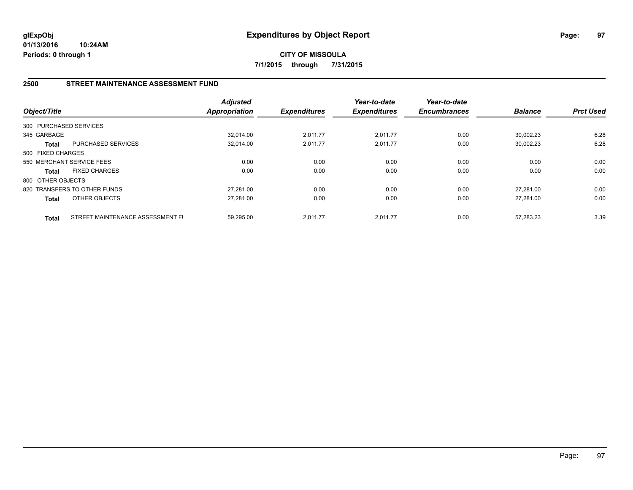**CITY OF MISSOULA 7/1/2015 through 7/31/2015**

## **2500 STREET MAINTENANCE ASSESSMENT FUND**

| Object/Title      |                                  | <b>Adjusted</b><br><b>Appropriation</b> | <b>Expenditures</b> | Year-to-date<br><b>Expenditures</b> | Year-to-date<br><b>Encumbrances</b> | <b>Balance</b> | <b>Prct Used</b> |
|-------------------|----------------------------------|-----------------------------------------|---------------------|-------------------------------------|-------------------------------------|----------------|------------------|
|                   | 300 PURCHASED SERVICES           |                                         |                     |                                     |                                     |                |                  |
| 345 GARBAGE       |                                  | 32.014.00                               | 2,011.77            | 2.011.77                            | 0.00                                | 30.002.23      | 6.28             |
| <b>Total</b>      | <b>PURCHASED SERVICES</b>        | 32,014.00                               | 2,011.77            | 2,011.77                            | 0.00                                | 30,002.23      | 6.28             |
| 500 FIXED CHARGES |                                  |                                         |                     |                                     |                                     |                |                  |
|                   | 550 MERCHANT SERVICE FEES        | 0.00                                    | 0.00                | 0.00                                | 0.00                                | 0.00           | 0.00             |
| <b>Total</b>      | <b>FIXED CHARGES</b>             | 0.00                                    | 0.00                | 0.00                                | 0.00                                | 0.00           | 0.00             |
| 800 OTHER OBJECTS |                                  |                                         |                     |                                     |                                     |                |                  |
|                   | 820 TRANSFERS TO OTHER FUNDS     | 27.281.00                               | 0.00                | 0.00                                | 0.00                                | 27.281.00      | 0.00             |
| <b>Total</b>      | OTHER OBJECTS                    | 27,281.00                               | 0.00                | 0.00                                | 0.00                                | 27.281.00      | 0.00             |
| <b>Total</b>      | STREET MAINTENANCE ASSESSMENT FI | 59.295.00                               | 2.011.77            | 2.011.77                            | 0.00                                | 57.283.23      | 3.39             |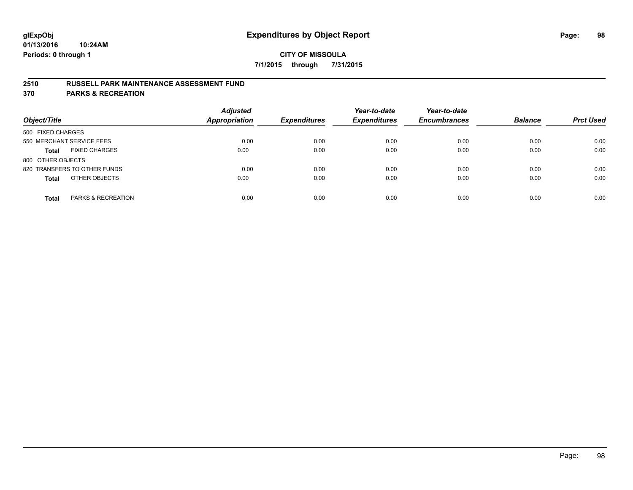### **2510 RUSSELL PARK MAINTENANCE ASSESSMENT FUND**

**370 PARKS & RECREATION**

| Object/Title                         | <b>Adjusted</b><br><b>Appropriation</b> | <b>Expenditures</b> | Year-to-date<br><b>Expenditures</b> | Year-to-date<br><b>Encumbrances</b> | <b>Balance</b> | <b>Prct Used</b> |
|--------------------------------------|-----------------------------------------|---------------------|-------------------------------------|-------------------------------------|----------------|------------------|
| 500 FIXED CHARGES                    |                                         |                     |                                     |                                     |                |                  |
| 550 MERCHANT SERVICE FEES            | 0.00                                    | 0.00                | 0.00                                | 0.00                                | 0.00           | 0.00             |
| <b>FIXED CHARGES</b><br><b>Total</b> | 0.00                                    | 0.00                | 0.00                                | 0.00                                | 0.00           | 0.00             |
| 800 OTHER OBJECTS                    |                                         |                     |                                     |                                     |                |                  |
| 820 TRANSFERS TO OTHER FUNDS         | 0.00                                    | 0.00                | 0.00                                | 0.00                                | 0.00           | 0.00             |
| OTHER OBJECTS<br><b>Total</b>        | 0.00                                    | 0.00                | 0.00                                | 0.00                                | 0.00           | 0.00             |
| PARKS & RECREATION<br><b>Total</b>   | 0.00                                    | 0.00                | 0.00                                | 0.00                                | 0.00           | 0.00             |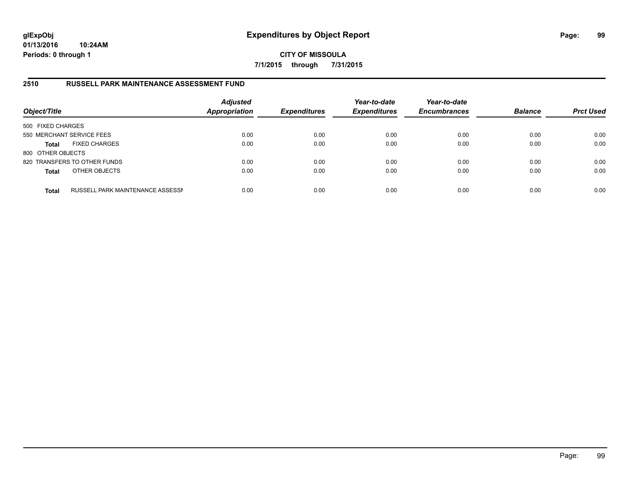## **CITY OF MISSOULA 7/1/2015 through 7/31/2015**

## **2510 RUSSELL PARK MAINTENANCE ASSESSMENT FUND**

| Object/Title              |                                  | <b>Adjusted</b><br><b>Appropriation</b> | <b>Expenditures</b> | Year-to-date<br><b>Expenditures</b> | Year-to-date<br><b>Encumbrances</b> | <b>Balance</b> | <b>Prct Used</b> |
|---------------------------|----------------------------------|-----------------------------------------|---------------------|-------------------------------------|-------------------------------------|----------------|------------------|
| 500 FIXED CHARGES         |                                  |                                         |                     |                                     |                                     |                |                  |
| 550 MERCHANT SERVICE FEES |                                  | 0.00                                    | 0.00                | 0.00                                | 0.00                                | 0.00           | 0.00             |
| <b>Total</b>              | <b>FIXED CHARGES</b>             | 0.00                                    | 0.00                | 0.00                                | 0.00                                | 0.00           | 0.00             |
| 800 OTHER OBJECTS         |                                  |                                         |                     |                                     |                                     |                |                  |
|                           | 820 TRANSFERS TO OTHER FUNDS     | 0.00                                    | 0.00                | 0.00                                | 0.00                                | 0.00           | 0.00             |
| <b>Total</b>              | OTHER OBJECTS                    | 0.00                                    | 0.00                | 0.00                                | 0.00                                | 0.00           | 0.00             |
| <b>Total</b>              | RUSSELL PARK MAINTENANCE ASSESSN | 0.00                                    | 0.00                | 0.00                                | 0.00                                | 0.00           | 0.00             |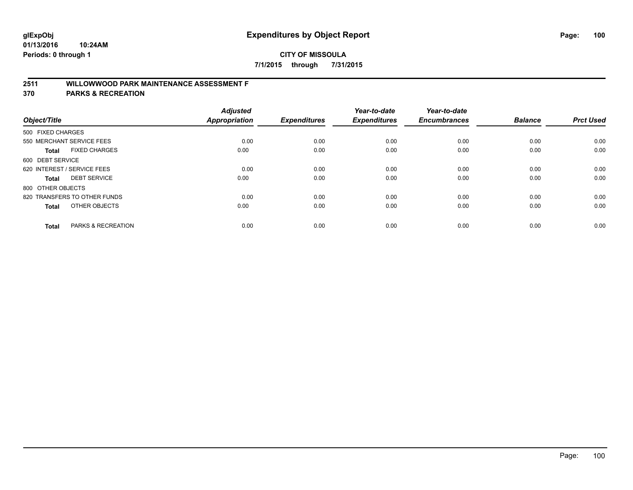## **2511 WILLOWWOOD PARK MAINTENANCE ASSESSMENT F**

**370 PARKS & RECREATION**

| Object/Title                |                               | <b>Adjusted</b><br><b>Appropriation</b> | <b>Expenditures</b> | Year-to-date<br><b>Expenditures</b> | Year-to-date<br><b>Encumbrances</b> | <b>Balance</b> | <b>Prct Used</b> |
|-----------------------------|-------------------------------|-----------------------------------------|---------------------|-------------------------------------|-------------------------------------|----------------|------------------|
| 500 FIXED CHARGES           |                               |                                         |                     |                                     |                                     |                |                  |
|                             | 550 MERCHANT SERVICE FEES     | 0.00                                    | 0.00                | 0.00                                | 0.00                                | 0.00           | 0.00             |
| <b>Total</b>                | <b>FIXED CHARGES</b>          | 0.00                                    | 0.00                | 0.00                                | 0.00                                | 0.00           | 0.00             |
| 600 DEBT SERVICE            |                               |                                         |                     |                                     |                                     |                |                  |
| 620 INTEREST / SERVICE FEES |                               | 0.00                                    | 0.00                | 0.00                                | 0.00                                | 0.00           | 0.00             |
| Total                       | <b>DEBT SERVICE</b>           | 0.00                                    | 0.00                | 0.00                                | 0.00                                | 0.00           | 0.00             |
| 800 OTHER OBJECTS           |                               |                                         |                     |                                     |                                     |                |                  |
|                             | 820 TRANSFERS TO OTHER FUNDS  | 0.00                                    | 0.00                | 0.00                                | 0.00                                | 0.00           | 0.00             |
| Total                       | OTHER OBJECTS                 | 0.00                                    | 0.00                | 0.00                                | 0.00                                | 0.00           | 0.00             |
|                             |                               |                                         |                     |                                     |                                     |                |                  |
| <b>Total</b>                | <b>PARKS &amp; RECREATION</b> | 0.00                                    | 0.00                | 0.00                                | 0.00                                | 0.00           | 0.00             |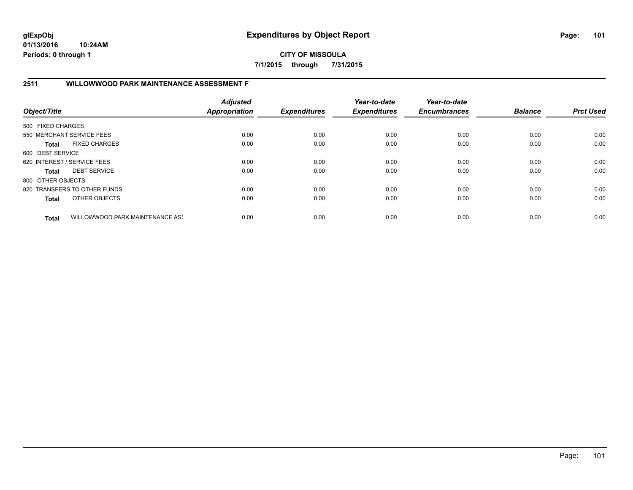**CITY OF MISSOULA 7/1/2015 through 7/31/2015**

## **2511 WILLOWWOOD PARK MAINTENANCE ASSESSMENT F**

| Object/Title                |                                 | <b>Adjusted</b><br><b>Appropriation</b> | <b>Expenditures</b> | Year-to-date<br><b>Expenditures</b> | Year-to-date<br><b>Encumbrances</b> | <b>Balance</b> | <b>Prct Used</b> |
|-----------------------------|---------------------------------|-----------------------------------------|---------------------|-------------------------------------|-------------------------------------|----------------|------------------|
| 500 FIXED CHARGES           |                                 |                                         |                     |                                     |                                     |                |                  |
|                             | 550 MERCHANT SERVICE FEES       | 0.00                                    | 0.00                | 0.00                                | 0.00                                | 0.00           | 0.00             |
| Total                       | <b>FIXED CHARGES</b>            | 0.00                                    | 0.00                | 0.00                                | 0.00                                | 0.00           | 0.00             |
| 600 DEBT SERVICE            |                                 |                                         |                     |                                     |                                     |                |                  |
| 620 INTEREST / SERVICE FEES |                                 | 0.00                                    | 0.00                | 0.00                                | 0.00                                | 0.00           | 0.00             |
| Total                       | <b>DEBT SERVICE</b>             | 0.00                                    | 0.00                | 0.00                                | 0.00                                | 0.00           | 0.00             |
| 800 OTHER OBJECTS           |                                 |                                         |                     |                                     |                                     |                |                  |
|                             | 820 TRANSFERS TO OTHER FUNDS    | 0.00                                    | 0.00                | 0.00                                | 0.00                                | 0.00           | 0.00             |
| <b>Total</b>                | OTHER OBJECTS                   | 0.00                                    | 0.00                | 0.00                                | 0.00                                | 0.00           | 0.00             |
| <b>Total</b>                | WILLOWWOOD PARK MAINTENANCE ASS | 0.00                                    | 0.00                | 0.00                                | 0.00                                | 0.00           | 0.00             |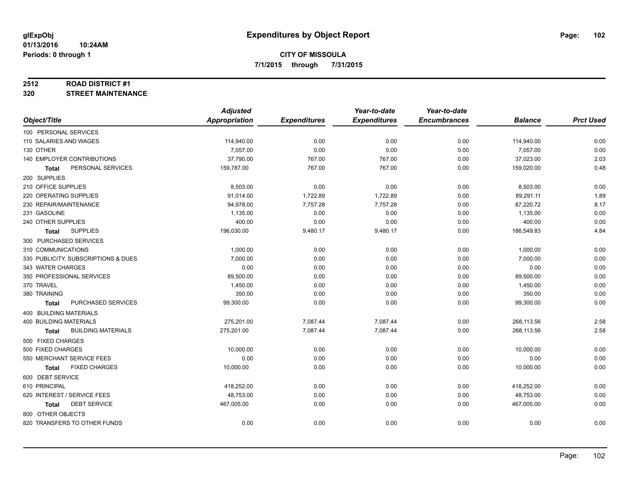#### **2512 ROAD DISTRICT #1**

**320 STREET MAINTENANCE**

|                                      | <b>Adjusted</b> |                     | Year-to-date        | Year-to-date        |                |                  |
|--------------------------------------|-----------------|---------------------|---------------------|---------------------|----------------|------------------|
| Object/Title                         | Appropriation   | <b>Expenditures</b> | <b>Expenditures</b> | <b>Encumbrances</b> | <b>Balance</b> | <b>Prct Used</b> |
| 100 PERSONAL SERVICES                |                 |                     |                     |                     |                |                  |
| 110 SALARIES AND WAGES               | 114,940.00      | 0.00                | 0.00                | 0.00                | 114,940.00     | 0.00             |
| 130 OTHER                            | 7,057.00        | 0.00                | 0.00                | 0.00                | 7,057.00       | 0.00             |
| 140 EMPLOYER CONTRIBUTIONS           | 37,790.00       | 767.00              | 767.00              | 0.00                | 37,023.00      | 2.03             |
| PERSONAL SERVICES<br><b>Total</b>    | 159,787.00      | 767.00              | 767.00              | 0.00                | 159,020.00     | 0.48             |
| 200 SUPPLIES                         |                 |                     |                     |                     |                |                  |
| 210 OFFICE SUPPLIES                  | 8,503.00        | 0.00                | 0.00                | 0.00                | 8,503.00       | 0.00             |
| 220 OPERATING SUPPLIES               | 91,014.00       | 1,722.89            | 1,722.89            | 0.00                | 89,291.11      | 1.89             |
| 230 REPAIR/MAINTENANCE               | 94,978.00       | 7,757.28            | 7,757.28            | 0.00                | 87,220.72      | 8.17             |
| 231 GASOLINE                         | 1,135.00        | 0.00                | 0.00                | 0.00                | 1,135.00       | 0.00             |
| 240 OTHER SUPPLIES                   | 400.00          | 0.00                | 0.00                | 0.00                | 400.00         | 0.00             |
| <b>SUPPLIES</b><br>Total             | 196,030.00      | 9,480.17            | 9,480.17            | 0.00                | 186,549.83     | 4.84             |
| 300 PURCHASED SERVICES               |                 |                     |                     |                     |                |                  |
| 310 COMMUNICATIONS                   | 1,000.00        | 0.00                | 0.00                | 0.00                | 1,000.00       | 0.00             |
| 330 PUBLICITY, SUBSCRIPTIONS & DUES  | 7,000.00        | 0.00                | 0.00                | 0.00                | 7,000.00       | 0.00             |
| 343 WATER CHARGES                    | 0.00            | 0.00                | 0.00                | 0.00                | 0.00           | 0.00             |
| 350 PROFESSIONAL SERVICES            | 89,500.00       | 0.00                | 0.00                | 0.00                | 89,500.00      | 0.00             |
| 370 TRAVEL                           | 1,450.00        | 0.00                | 0.00                | 0.00                | 1,450.00       | 0.00             |
| 380 TRAINING                         | 350.00          | 0.00                | 0.00                | 0.00                | 350.00         | 0.00             |
| PURCHASED SERVICES<br>Total          | 99,300.00       | 0.00                | 0.00                | 0.00                | 99,300.00      | 0.00             |
| 400 BUILDING MATERIALS               |                 |                     |                     |                     |                |                  |
| <b>400 BUILDING MATERIALS</b>        | 275,201.00      | 7,087.44            | 7,087.44            | 0.00                | 268,113.56     | 2.58             |
| <b>BUILDING MATERIALS</b><br>Total   | 275,201.00      | 7,087.44            | 7,087.44            | 0.00                | 268,113.56     | 2.58             |
| 500 FIXED CHARGES                    |                 |                     |                     |                     |                |                  |
| 500 FIXED CHARGES                    | 10,000.00       | 0.00                | 0.00                | 0.00                | 10,000.00      | 0.00             |
| 550 MERCHANT SERVICE FEES            | 0.00            | 0.00                | 0.00                | 0.00                | 0.00           | 0.00             |
| <b>FIXED CHARGES</b><br><b>Total</b> | 10,000.00       | 0.00                | 0.00                | 0.00                | 10,000.00      | 0.00             |
| 600 DEBT SERVICE                     |                 |                     |                     |                     |                |                  |
| 610 PRINCIPAL                        | 418,252.00      | 0.00                | 0.00                | 0.00                | 418,252.00     | 0.00             |
| 620 INTEREST / SERVICE FEES          | 48,753.00       | 0.00                | 0.00                | 0.00                | 48,753.00      | 0.00             |
| <b>DEBT SERVICE</b><br>Total         | 467,005.00      | 0.00                | 0.00                | 0.00                | 467,005.00     | 0.00             |
| 800 OTHER OBJECTS                    |                 |                     |                     |                     |                |                  |
| 820 TRANSFERS TO OTHER FUNDS         | 0.00            | 0.00                | 0.00                | 0.00                | 0.00           | 0.00             |
|                                      |                 |                     |                     |                     |                |                  |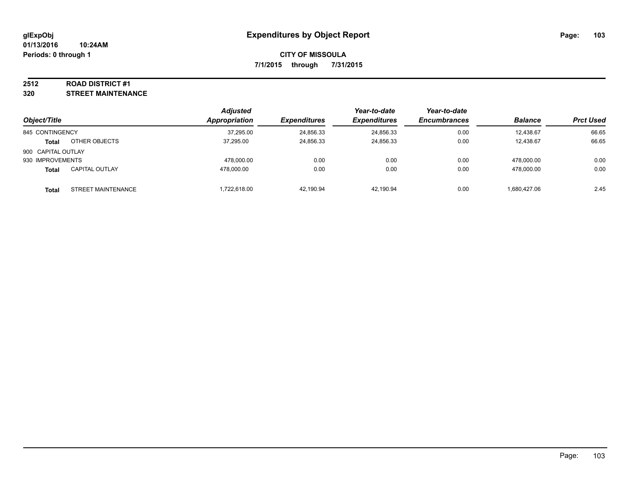#### **2512 ROAD DISTRICT #1**

**320 STREET MAINTENANCE**

|                    |                       | <b>Adjusted</b>      |                     | Year-to-date        | Year-to-date        |                |                  |
|--------------------|-----------------------|----------------------|---------------------|---------------------|---------------------|----------------|------------------|
| Object/Title       |                       | <b>Appropriation</b> | <b>Expenditures</b> | <b>Expenditures</b> | <b>Encumbrances</b> | <b>Balance</b> | <b>Prct Used</b> |
| 845 CONTINGENCY    |                       | 37,295.00            | 24,856.33           | 24,856.33           | 0.00                | 12.438.67      | 66.65            |
| <b>Total</b>       | OTHER OBJECTS         | 37.295.00            | 24,856.33           | 24,856.33           | 0.00                | 12.438.67      | 66.65            |
| 900 CAPITAL OUTLAY |                       |                      |                     |                     |                     |                |                  |
| 930 IMPROVEMENTS   |                       | 478.000.00           | 0.00                | 0.00                | 0.00                | 478.000.00     | 0.00             |
| <b>Total</b>       | <b>CAPITAL OUTLAY</b> | 478.000.00           | 0.00                | 0.00                | 0.00                | 478.000.00     | 0.00             |
| <b>Total</b>       | STREET MAINTENANCE    | 1,722,618.00         | 42,190.94           | 42.190.94           | 0.00                | 1.680.427.06   | 2.45             |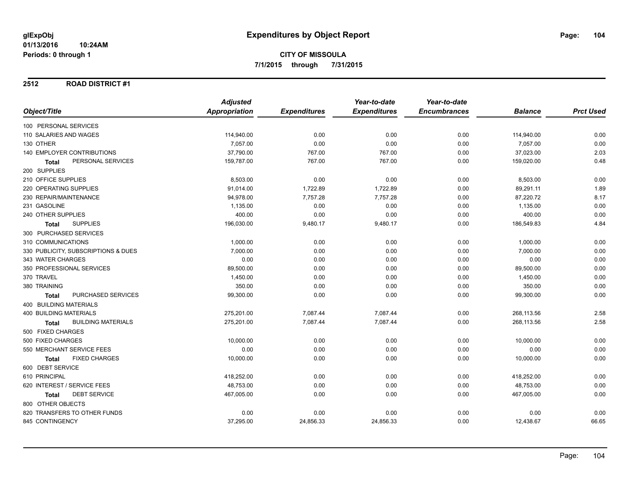### **2512 ROAD DISTRICT #1**

|                                           | <b>Adjusted</b>      |                     | Year-to-date        | Year-to-date        |                |                  |
|-------------------------------------------|----------------------|---------------------|---------------------|---------------------|----------------|------------------|
| Object/Title                              | <b>Appropriation</b> | <b>Expenditures</b> | <b>Expenditures</b> | <b>Encumbrances</b> | <b>Balance</b> | <b>Prct Used</b> |
| 100 PERSONAL SERVICES                     |                      |                     |                     |                     |                |                  |
| 110 SALARIES AND WAGES                    | 114,940.00           | 0.00                | 0.00                | 0.00                | 114,940.00     | 0.00             |
| 130 OTHER                                 | 7,057.00             | 0.00                | 0.00                | 0.00                | 7,057.00       | 0.00             |
| <b>140 EMPLOYER CONTRIBUTIONS</b>         | 37,790.00            | 767.00              | 767.00              | 0.00                | 37,023.00      | 2.03             |
| PERSONAL SERVICES<br>Total                | 159,787.00           | 767.00              | 767.00              | 0.00                | 159,020.00     | 0.48             |
| 200 SUPPLIES                              |                      |                     |                     |                     |                |                  |
| 210 OFFICE SUPPLIES                       | 8,503.00             | 0.00                | 0.00                | 0.00                | 8,503.00       | 0.00             |
| 220 OPERATING SUPPLIES                    | 91,014.00            | 1,722.89            | 1,722.89            | 0.00                | 89,291.11      | 1.89             |
| 230 REPAIR/MAINTENANCE                    | 94,978.00            | 7,757.28            | 7,757.28            | 0.00                | 87,220.72      | 8.17             |
| 231 GASOLINE                              | 1,135.00             | 0.00                | 0.00                | 0.00                | 1,135.00       | 0.00             |
| 240 OTHER SUPPLIES                        | 400.00               | 0.00                | 0.00                | 0.00                | 400.00         | 0.00             |
| <b>SUPPLIES</b><br><b>Total</b>           | 196,030.00           | 9,480.17            | 9,480.17            | 0.00                | 186,549.83     | 4.84             |
| 300 PURCHASED SERVICES                    |                      |                     |                     |                     |                |                  |
| 310 COMMUNICATIONS                        | 1,000.00             | 0.00                | 0.00                | 0.00                | 1,000.00       | 0.00             |
| 330 PUBLICITY, SUBSCRIPTIONS & DUES       | 7.000.00             | 0.00                | 0.00                | 0.00                | 7,000.00       | 0.00             |
| 343 WATER CHARGES                         | 0.00                 | 0.00                | 0.00                | 0.00                | 0.00           | 0.00             |
| 350 PROFESSIONAL SERVICES                 | 89,500.00            | 0.00                | 0.00                | 0.00                | 89,500.00      | 0.00             |
| 370 TRAVEL                                | 1,450.00             | 0.00                | 0.00                | 0.00                | 1,450.00       | 0.00             |
| 380 TRAINING                              | 350.00               | 0.00                | 0.00                | 0.00                | 350.00         | 0.00             |
| PURCHASED SERVICES<br><b>Total</b>        | 99,300.00            | 0.00                | 0.00                | 0.00                | 99,300.00      | 0.00             |
| <b>400 BUILDING MATERIALS</b>             |                      |                     |                     |                     |                |                  |
| <b>400 BUILDING MATERIALS</b>             | 275,201.00           | 7,087.44            | 7,087.44            | 0.00                | 268,113.56     | 2.58             |
| <b>BUILDING MATERIALS</b><br><b>Total</b> | 275,201.00           | 7,087.44            | 7,087.44            | 0.00                | 268,113.56     | 2.58             |
| 500 FIXED CHARGES                         |                      |                     |                     |                     |                |                  |
| 500 FIXED CHARGES                         | 10,000.00            | 0.00                | 0.00                | 0.00                | 10,000.00      | 0.00             |
| 550 MERCHANT SERVICE FEES                 | 0.00                 | 0.00                | 0.00                | 0.00                | 0.00           | 0.00             |
| <b>FIXED CHARGES</b><br>Total             | 10,000.00            | 0.00                | 0.00                | 0.00                | 10,000.00      | 0.00             |
| 600 DEBT SERVICE                          |                      |                     |                     |                     |                |                  |
| 610 PRINCIPAL                             | 418,252.00           | 0.00                | 0.00                | 0.00                | 418,252.00     | 0.00             |
| 620 INTEREST / SERVICE FEES               | 48,753.00            | 0.00                | 0.00                | 0.00                | 48,753.00      | 0.00             |
| <b>DEBT SERVICE</b><br>Total              | 467,005.00           | 0.00                | 0.00                | 0.00                | 467,005.00     | 0.00             |
| 800 OTHER OBJECTS                         |                      |                     |                     |                     |                |                  |
| 820 TRANSFERS TO OTHER FUNDS              | 0.00                 | 0.00                | 0.00                | 0.00                | 0.00           | 0.00             |
| 845 CONTINGENCY                           | 37,295.00            | 24,856.33           | 24,856.33           | 0.00                | 12,438.67      | 66.65            |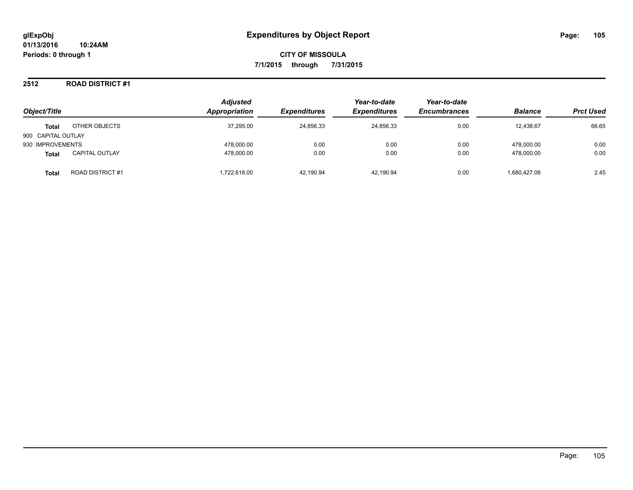### **2512 ROAD DISTRICT #1**

| Object/Title       |                         | <b>Adjusted</b><br>Appropriation | <i><b>Expenditures</b></i> | Year-to-date<br><b>Expenditures</b> | Year-to-date<br><b>Encumbrances</b> | <b>Balance</b> | <b>Prct Used</b> |
|--------------------|-------------------------|----------------------------------|----------------------------|-------------------------------------|-------------------------------------|----------------|------------------|
| <b>Total</b>       | OTHER OBJECTS           | 37,295.00                        | 24,856.33                  | 24.856.33                           | 0.00                                | 12,438.67      | 66.65            |
| 900 CAPITAL OUTLAY |                         |                                  |                            |                                     |                                     |                |                  |
| 930 IMPROVEMENTS   |                         | 478.000.00                       | 0.00                       | 0.00                                | 0.00                                | 478.000.00     | 0.00             |
| <b>Total</b>       | <b>CAPITAL OUTLAY</b>   | 478,000.00                       | 0.00                       | 0.00                                | 0.00                                | 478.000.00     | 0.00             |
| Total              | <b>ROAD DISTRICT #1</b> | .722.618.00                      | 42.190.94                  | 42.190.94                           | 0.00                                | 1.680.427.06   | 2.45             |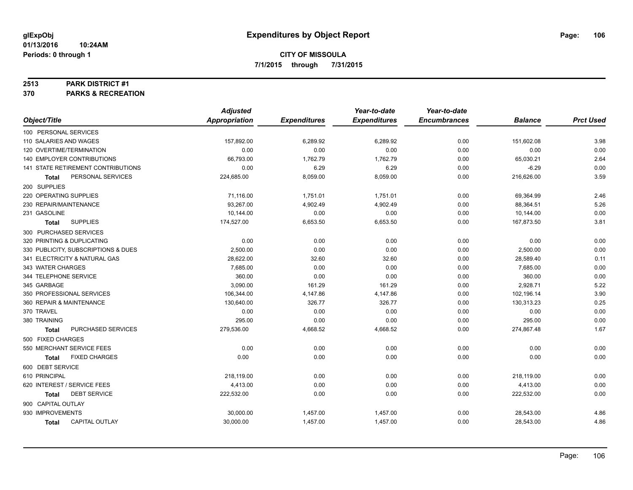#### **2513 PARK DISTRICT #1**

**370 PARKS & RECREATION**

|                                       | <b>Adjusted</b>      |                     | Year-to-date        | Year-to-date        |                |                  |
|---------------------------------------|----------------------|---------------------|---------------------|---------------------|----------------|------------------|
| Object/Title                          | <b>Appropriation</b> | <b>Expenditures</b> | <b>Expenditures</b> | <b>Encumbrances</b> | <b>Balance</b> | <b>Prct Used</b> |
| 100 PERSONAL SERVICES                 |                      |                     |                     |                     |                |                  |
| 110 SALARIES AND WAGES                | 157,892.00           | 6,289.92            | 6,289.92            | 0.00                | 151,602.08     | 3.98             |
| 120 OVERTIME/TERMINATION              | 0.00                 | 0.00                | 0.00                | 0.00                | 0.00           | 0.00             |
| 140 EMPLOYER CONTRIBUTIONS            | 66,793.00            | 1,762.79            | 1,762.79            | 0.00                | 65,030.21      | 2.64             |
| 141 STATE RETIREMENT CONTRIBUTIONS    | 0.00                 | 6.29                | 6.29                | 0.00                | $-6.29$        | 0.00             |
| PERSONAL SERVICES<br><b>Total</b>     | 224,685.00           | 8,059.00            | 8,059.00            | 0.00                | 216,626.00     | 3.59             |
| 200 SUPPLIES                          |                      |                     |                     |                     |                |                  |
| 220 OPERATING SUPPLIES                | 71,116.00            | 1,751.01            | 1,751.01            | 0.00                | 69,364.99      | 2.46             |
| 230 REPAIR/MAINTENANCE                | 93.267.00            | 4,902.49            | 4,902.49            | 0.00                | 88,364.51      | 5.26             |
| 231 GASOLINE                          | 10,144.00            | 0.00                | 0.00                | 0.00                | 10,144.00      | 0.00             |
| <b>SUPPLIES</b><br><b>Total</b>       | 174,527.00           | 6,653.50            | 6,653.50            | 0.00                | 167,873.50     | 3.81             |
| 300 PURCHASED SERVICES                |                      |                     |                     |                     |                |                  |
| 320 PRINTING & DUPLICATING            | 0.00                 | 0.00                | 0.00                | 0.00                | 0.00           | 0.00             |
| 330 PUBLICITY, SUBSCRIPTIONS & DUES   | 2,500.00             | 0.00                | 0.00                | 0.00                | 2,500.00       | 0.00             |
| 341 ELECTRICITY & NATURAL GAS         | 28,622.00            | 32.60               | 32.60               | 0.00                | 28,589.40      | 0.11             |
| 343 WATER CHARGES                     | 7,685.00             | 0.00                | 0.00                | 0.00                | 7,685.00       | 0.00             |
| 344 TELEPHONE SERVICE                 | 360.00               | 0.00                | 0.00                | 0.00                | 360.00         | 0.00             |
| 345 GARBAGE                           | 3,090.00             | 161.29              | 161.29              | 0.00                | 2,928.71       | 5.22             |
| 350 PROFESSIONAL SERVICES             | 106,344.00           | 4,147.86            | 4,147.86            | 0.00                | 102,196.14     | 3.90             |
| 360 REPAIR & MAINTENANCE              | 130.640.00           | 326.77              | 326.77              | 0.00                | 130,313.23     | 0.25             |
| 370 TRAVEL                            | 0.00                 | 0.00                | 0.00                | 0.00                | 0.00           | 0.00             |
| 380 TRAINING                          | 295.00               | 0.00                | 0.00                | 0.00                | 295.00         | 0.00             |
| PURCHASED SERVICES<br><b>Total</b>    | 279,536.00           | 4,668.52            | 4,668.52            | 0.00                | 274,867.48     | 1.67             |
| 500 FIXED CHARGES                     |                      |                     |                     |                     |                |                  |
| 550 MERCHANT SERVICE FEES             | 0.00                 | 0.00                | 0.00                | 0.00                | 0.00           | 0.00             |
| <b>FIXED CHARGES</b><br><b>Total</b>  | 0.00                 | 0.00                | 0.00                | 0.00                | 0.00           | 0.00             |
| 600 DEBT SERVICE                      |                      |                     |                     |                     |                |                  |
| 610 PRINCIPAL                         | 218,119.00           | 0.00                | 0.00                | 0.00                | 218,119.00     | 0.00             |
| 620 INTEREST / SERVICE FEES           | 4,413.00             | 0.00                | 0.00                | 0.00                | 4,413.00       | 0.00             |
| <b>DEBT SERVICE</b><br><b>Total</b>   | 222,532.00           | 0.00                | 0.00                | 0.00                | 222,532.00     | 0.00             |
| 900 CAPITAL OUTLAY                    |                      |                     |                     |                     |                |                  |
| 930 IMPROVEMENTS                      | 30,000.00            | 1,457.00            | 1,457.00            | 0.00                | 28,543.00      | 4.86             |
| <b>CAPITAL OUTLAY</b><br><b>Total</b> | 30,000.00            | 1,457.00            | 1,457.00            | 0.00                | 28,543.00      | 4.86             |
|                                       |                      |                     |                     |                     |                |                  |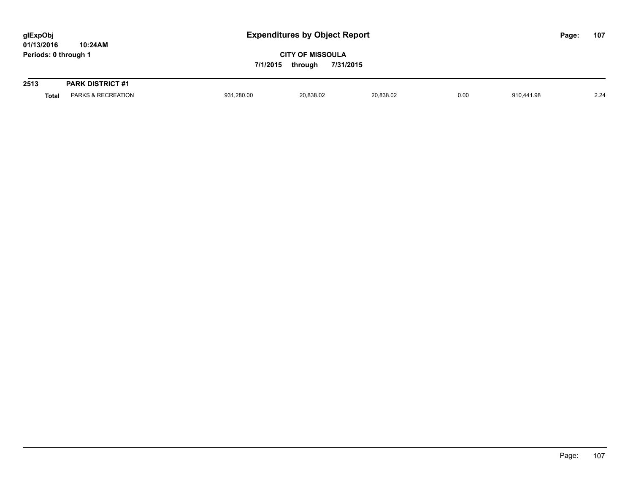| glExpObj             |         |  |  |  |  |  |
|----------------------|---------|--|--|--|--|--|
| 01/13/2016           | 10:24AM |  |  |  |  |  |
| Periods: 0 through 1 |         |  |  |  |  |  |

| 2513  | <b>PARK DISTRICT #1</b>       |            |           |           |      |            |      |
|-------|-------------------------------|------------|-----------|-----------|------|------------|------|
| Total | <b>PARKS &amp; RECREATION</b> | 931,280.00 | 20,838.02 | 20,838.02 | 0.00 | 910.441.98 | 2.24 |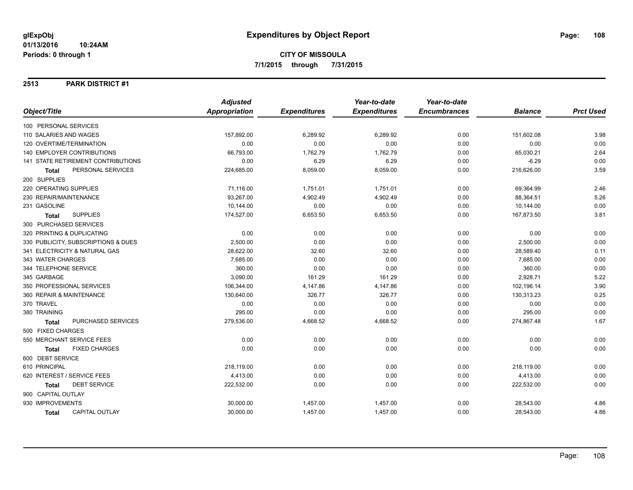### **2513 PARK DISTRICT #1**

| Object/Title                              | <b>Adjusted</b>      |                     | Year-to-date        | Year-to-date        |                |                  |
|-------------------------------------------|----------------------|---------------------|---------------------|---------------------|----------------|------------------|
|                                           | <b>Appropriation</b> | <b>Expenditures</b> | <b>Expenditures</b> | <b>Encumbrances</b> | <b>Balance</b> | <b>Prct Used</b> |
| 100 PERSONAL SERVICES                     |                      |                     |                     |                     |                |                  |
| 110 SALARIES AND WAGES                    | 157,892.00           | 6,289.92            | 6,289.92            | 0.00                | 151,602.08     | 3.98             |
| 120 OVERTIME/TERMINATION                  | 0.00                 | 0.00                | 0.00                | 0.00                | 0.00           | 0.00             |
| <b>140 EMPLOYER CONTRIBUTIONS</b>         | 66,793.00            | 1,762.79            | 1,762.79            | 0.00                | 65,030.21      | 2.64             |
| <b>141 STATE RETIREMENT CONTRIBUTIONS</b> | 0.00                 | 6.29                | 6.29                | 0.00                | $-6.29$        | 0.00             |
| PERSONAL SERVICES<br><b>Total</b>         | 224,685.00           | 8,059.00            | 8,059.00            | 0.00                | 216,626.00     | 3.59             |
| 200 SUPPLIES                              |                      |                     |                     |                     |                |                  |
| 220 OPERATING SUPPLIES                    | 71,116.00            | 1,751.01            | 1,751.01            | 0.00                | 69,364.99      | 2.46             |
| 230 REPAIR/MAINTENANCE                    | 93,267.00            | 4,902.49            | 4,902.49            | 0.00                | 88,364.51      | 5.26             |
| 231 GASOLINE                              | 10,144.00            | 0.00                | 0.00                | 0.00                | 10,144.00      | 0.00             |
| <b>SUPPLIES</b><br><b>Total</b>           | 174,527.00           | 6,653.50            | 6,653.50            | 0.00                | 167,873.50     | 3.81             |
| 300 PURCHASED SERVICES                    |                      |                     |                     |                     |                |                  |
| 320 PRINTING & DUPLICATING                | 0.00                 | 0.00                | 0.00                | 0.00                | 0.00           | 0.00             |
| 330 PUBLICITY, SUBSCRIPTIONS & DUES       | 2,500.00             | 0.00                | 0.00                | 0.00                | 2,500.00       | 0.00             |
| 341 ELECTRICITY & NATURAL GAS             | 28,622.00            | 32.60               | 32.60               | 0.00                | 28,589.40      | 0.11             |
| 343 WATER CHARGES                         | 7,685.00             | 0.00                | 0.00                | 0.00                | 7,685.00       | 0.00             |
| 344 TELEPHONE SERVICE                     | 360.00               | 0.00                | 0.00                | 0.00                | 360.00         | 0.00             |
| 345 GARBAGE                               | 3,090.00             | 161.29              | 161.29              | 0.00                | 2,928.71       | 5.22             |
| 350 PROFESSIONAL SERVICES                 | 106,344.00           | 4,147.86            | 4,147.86            | 0.00                | 102,196.14     | 3.90             |
| 360 REPAIR & MAINTENANCE                  | 130,640.00           | 326.77              | 326.77              | 0.00                | 130,313.23     | 0.25             |
| 370 TRAVEL                                | 0.00                 | 0.00                | 0.00                | 0.00                | 0.00           | 0.00             |
| 380 TRAINING                              | 295.00               | 0.00                | 0.00                | 0.00                | 295.00         | 0.00             |
| PURCHASED SERVICES<br><b>Total</b>        | 279,536.00           | 4,668.52            | 4,668.52            | 0.00                | 274,867.48     | 1.67             |
| 500 FIXED CHARGES                         |                      |                     |                     |                     |                |                  |
| 550 MERCHANT SERVICE FEES                 | 0.00                 | 0.00                | 0.00                | 0.00                | 0.00           | 0.00             |
| <b>FIXED CHARGES</b><br><b>Total</b>      | 0.00                 | 0.00                | 0.00                | 0.00                | 0.00           | 0.00             |
| 600 DEBT SERVICE                          |                      |                     |                     |                     |                |                  |
| 610 PRINCIPAL                             | 218,119.00           | 0.00                | 0.00                | 0.00                | 218,119.00     | 0.00             |
| 620 INTEREST / SERVICE FEES               | 4,413.00             | 0.00                | 0.00                | 0.00                | 4,413.00       | 0.00             |
| <b>DEBT SERVICE</b><br>Total              | 222,532.00           | 0.00                | 0.00                | 0.00                | 222,532.00     | 0.00             |
| 900 CAPITAL OUTLAY                        |                      |                     |                     |                     |                |                  |
| 930 IMPROVEMENTS                          | 30,000.00            | 1,457.00            | 1,457.00            | 0.00                | 28,543.00      | 4.86             |
| <b>CAPITAL OUTLAY</b><br>Total            | 30,000.00            | 1,457.00            | 1,457.00            | 0.00                | 28,543.00      | 4.86             |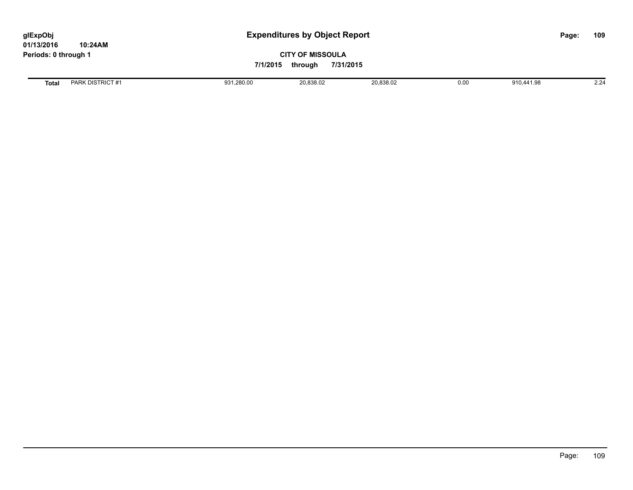**01/13/2016 10:24AM Periods: 0 through 1**

## **CITY OF MISSOULA 7/1/2015 through 7/31/2015**

**Total** PARK DISTRICT #1 931,280.00 20,838.02 20,838.02 0.00 910,441.98 2.24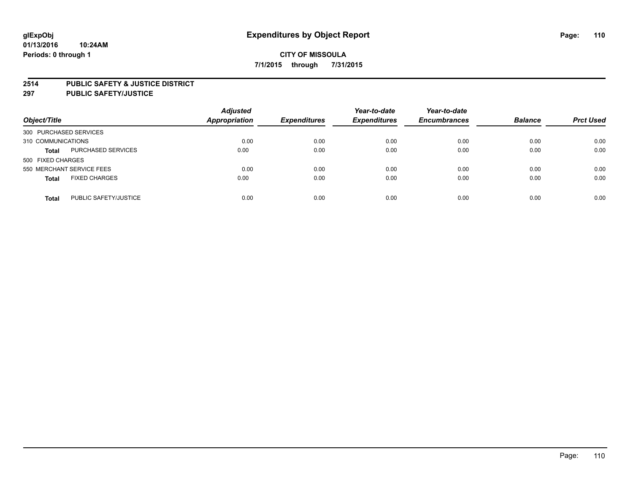### **2514 PUBLIC SAFETY & JUSTICE DISTRICT**

**297 PUBLIC SAFETY/JUSTICE**

| Object/Title              |                           | <b>Adjusted</b><br>Appropriation | <b>Expenditures</b> | Year-to-date<br><b>Expenditures</b> | Year-to-date<br><b>Encumbrances</b> | <b>Balance</b> | <b>Prct Used</b> |
|---------------------------|---------------------------|----------------------------------|---------------------|-------------------------------------|-------------------------------------|----------------|------------------|
| 300 PURCHASED SERVICES    |                           |                                  |                     |                                     |                                     |                |                  |
| 310 COMMUNICATIONS        |                           | 0.00                             | 0.00                | 0.00                                | 0.00                                | 0.00           | 0.00             |
| <b>Total</b>              | <b>PURCHASED SERVICES</b> | 0.00                             | 0.00                | 0.00                                | 0.00                                | 0.00           | 0.00             |
| 500 FIXED CHARGES         |                           |                                  |                     |                                     |                                     |                |                  |
| 550 MERCHANT SERVICE FEES |                           | 0.00                             | 0.00                | 0.00                                | 0.00                                | 0.00           | 0.00             |
| <b>Total</b>              | <b>FIXED CHARGES</b>      | 0.00                             | 0.00                | 0.00                                | 0.00                                | 0.00           | 0.00             |
| <b>Total</b>              | PUBLIC SAFETY/JUSTICE     | 0.00                             | 0.00                | 0.00                                | 0.00                                | 0.00           | 0.00             |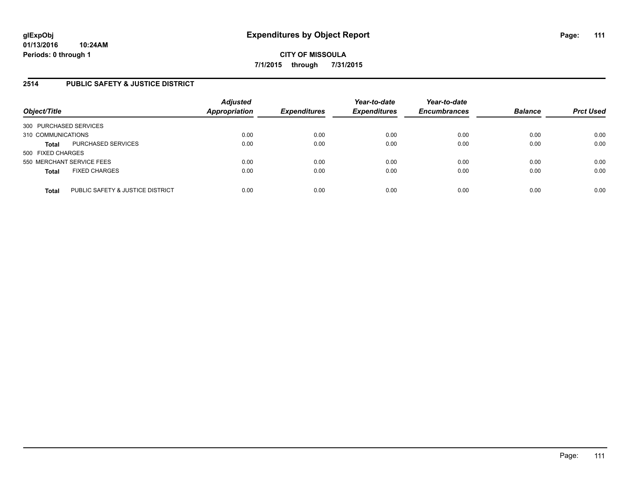## **2514 PUBLIC SAFETY & JUSTICE DISTRICT**

| Object/Title                                     | <b>Adjusted</b><br>Appropriation | <b>Expenditures</b> | Year-to-date<br><b>Expenditures</b> | Year-to-date<br><b>Encumbrances</b> | <b>Balance</b> | <b>Prct Used</b> |
|--------------------------------------------------|----------------------------------|---------------------|-------------------------------------|-------------------------------------|----------------|------------------|
| 300 PURCHASED SERVICES                           |                                  |                     |                                     |                                     |                |                  |
| 310 COMMUNICATIONS                               | 0.00                             | 0.00                | 0.00                                | 0.00                                | 0.00           | 0.00             |
| PURCHASED SERVICES<br><b>Total</b>               | 0.00                             | 0.00                | 0.00                                | 0.00                                | 0.00           | 0.00             |
| 500 FIXED CHARGES                                |                                  |                     |                                     |                                     |                |                  |
| 550 MERCHANT SERVICE FEES                        | 0.00                             | 0.00                | 0.00                                | 0.00                                | 0.00           | 0.00             |
| <b>FIXED CHARGES</b><br><b>Total</b>             | 0.00                             | 0.00                | 0.00                                | 0.00                                | 0.00           | 0.00             |
| PUBLIC SAFETY & JUSTICE DISTRICT<br><b>Total</b> | 0.00                             | 0.00                | 0.00                                | 0.00                                | 0.00           | 0.00             |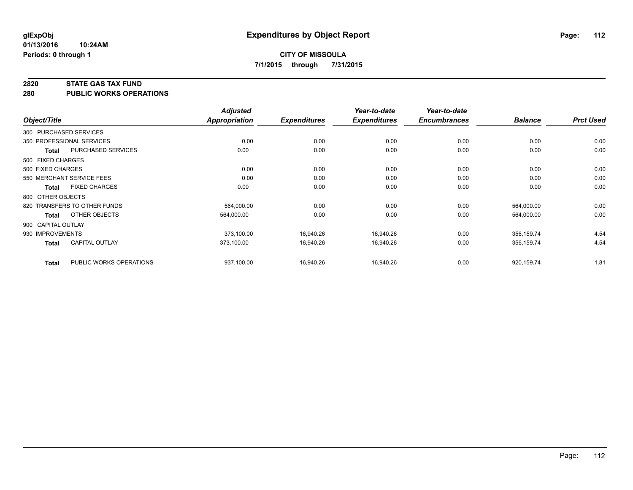#### **2820 STATE GAS TAX FUND**

**280 PUBLIC WORKS OPERATIONS**

|                    |                              | <b>Adjusted</b> |                     | Year-to-date        | Year-to-date        |                |                  |
|--------------------|------------------------------|-----------------|---------------------|---------------------|---------------------|----------------|------------------|
| Object/Title       |                              | Appropriation   | <b>Expenditures</b> | <b>Expenditures</b> | <b>Encumbrances</b> | <b>Balance</b> | <b>Prct Used</b> |
|                    | 300 PURCHASED SERVICES       |                 |                     |                     |                     |                |                  |
|                    | 350 PROFESSIONAL SERVICES    | 0.00            | 0.00                | 0.00                | 0.00                | 0.00           | 0.00             |
| <b>Total</b>       | PURCHASED SERVICES           | 0.00            | 0.00                | 0.00                | 0.00                | 0.00           | 0.00             |
| 500 FIXED CHARGES  |                              |                 |                     |                     |                     |                |                  |
| 500 FIXED CHARGES  |                              | 0.00            | 0.00                | 0.00                | 0.00                | 0.00           | 0.00             |
|                    | 550 MERCHANT SERVICE FEES    | 0.00            | 0.00                | 0.00                | 0.00                | 0.00           | 0.00             |
| Total              | <b>FIXED CHARGES</b>         | 0.00            | 0.00                | 0.00                | 0.00                | 0.00           | 0.00             |
| 800 OTHER OBJECTS  |                              |                 |                     |                     |                     |                |                  |
|                    | 820 TRANSFERS TO OTHER FUNDS | 564,000.00      | 0.00                | 0.00                | 0.00                | 564,000.00     | 0.00             |
| <b>Total</b>       | OTHER OBJECTS                | 564,000.00      | 0.00                | 0.00                | 0.00                | 564,000.00     | 0.00             |
| 900 CAPITAL OUTLAY |                              |                 |                     |                     |                     |                |                  |
| 930 IMPROVEMENTS   |                              | 373,100.00      | 16,940.26           | 16,940.26           | 0.00                | 356,159.74     | 4.54             |
| <b>Total</b>       | <b>CAPITAL OUTLAY</b>        | 373.100.00      | 16,940.26           | 16,940.26           | 0.00                | 356,159.74     | 4.54             |
| <b>Total</b>       | PUBLIC WORKS OPERATIONS      | 937,100.00      | 16,940.26           | 16,940.26           | 0.00                | 920,159.74     | 1.81             |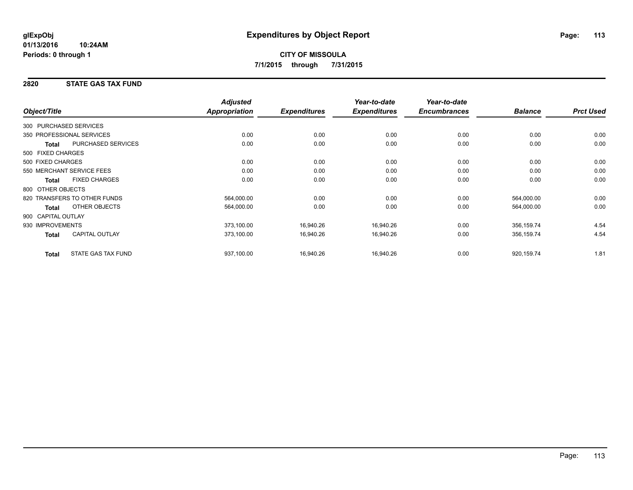## **2820 STATE GAS TAX FUND**

|                        |                              | <b>Adjusted</b>      |                     | Year-to-date        | Year-to-date        |                |                  |
|------------------------|------------------------------|----------------------|---------------------|---------------------|---------------------|----------------|------------------|
| Object/Title           |                              | <b>Appropriation</b> | <b>Expenditures</b> | <b>Expenditures</b> | <b>Encumbrances</b> | <b>Balance</b> | <b>Prct Used</b> |
| 300 PURCHASED SERVICES |                              |                      |                     |                     |                     |                |                  |
|                        | 350 PROFESSIONAL SERVICES    | 0.00                 | 0.00                | 0.00                | 0.00                | 0.00           | 0.00             |
| <b>Total</b>           | PURCHASED SERVICES           | 0.00                 | 0.00                | 0.00                | 0.00                | 0.00           | 0.00             |
| 500 FIXED CHARGES      |                              |                      |                     |                     |                     |                |                  |
| 500 FIXED CHARGES      |                              | 0.00                 | 0.00                | 0.00                | 0.00                | 0.00           | 0.00             |
|                        | 550 MERCHANT SERVICE FEES    | 0.00                 | 0.00                | 0.00                | 0.00                | 0.00           | 0.00             |
| <b>Total</b>           | <b>FIXED CHARGES</b>         | 0.00                 | 0.00                | 0.00                | 0.00                | 0.00           | 0.00             |
| 800 OTHER OBJECTS      |                              |                      |                     |                     |                     |                |                  |
|                        | 820 TRANSFERS TO OTHER FUNDS | 564,000.00           | 0.00                | 0.00                | 0.00                | 564,000.00     | 0.00             |
| <b>Total</b>           | OTHER OBJECTS                | 564,000.00           | 0.00                | 0.00                | 0.00                | 564,000.00     | 0.00             |
| 900 CAPITAL OUTLAY     |                              |                      |                     |                     |                     |                |                  |
| 930 IMPROVEMENTS       |                              | 373,100.00           | 16,940.26           | 16,940.26           | 0.00                | 356,159.74     | 4.54             |
| <b>Total</b>           | <b>CAPITAL OUTLAY</b>        | 373,100.00           | 16,940.26           | 16,940.26           | 0.00                | 356,159.74     | 4.54             |
| <b>Total</b>           | <b>STATE GAS TAX FUND</b>    | 937,100.00           | 16,940.26           | 16,940.26           | 0.00                | 920,159.74     | 1.81             |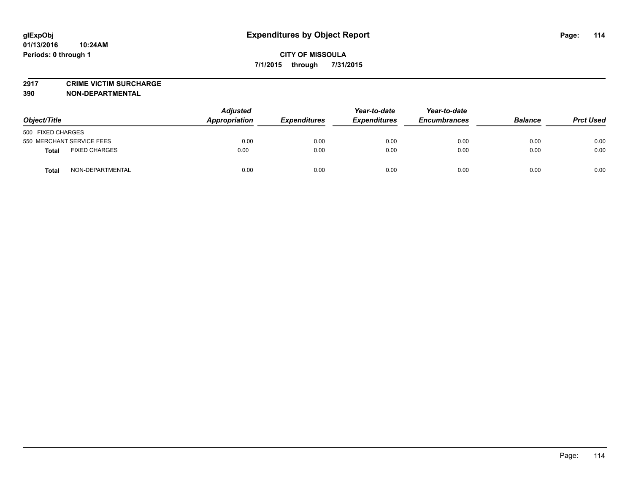**2917 CRIME VICTIM SURCHARGE**

**390 NON-DEPARTMENTAL**

| Object/Title                         | <b>Adjusted</b><br>Appropriation | <b>Expenditures</b> | Year-to-date<br><b>Expenditures</b> | Year-to-date<br><b>Encumbrances</b> | <b>Balance</b> | <b>Prct Used</b> |
|--------------------------------------|----------------------------------|---------------------|-------------------------------------|-------------------------------------|----------------|------------------|
| 500 FIXED CHARGES                    |                                  |                     |                                     |                                     |                |                  |
| 550 MERCHANT SERVICE FEES            | 0.00                             | 0.00                | 0.00                                | 0.00                                | 0.00           | 0.00             |
| <b>FIXED CHARGES</b><br><b>Total</b> | 0.00                             | 0.00                | 0.00                                | 0.00                                | 0.00           | 0.00             |
| NON-DEPARTMENTAL<br><b>Total</b>     | 0.00                             | 0.00                | 0.00                                | 0.00                                | 0.00           | 0.00             |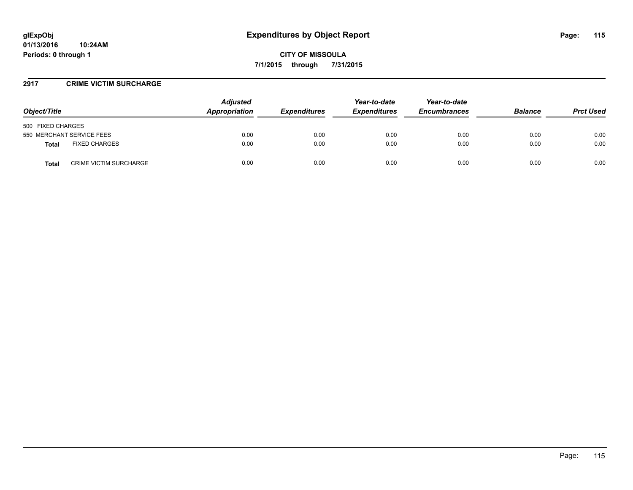### **2917 CRIME VICTIM SURCHARGE**

| Object/Title                           | <b>Adjusted</b><br>Appropriation | <b>Expenditures</b> | Year-to-date<br><b>Expenditures</b> | Year-to-date<br><b>Encumbrances</b> | <b>Balance</b> | <b>Prct Used</b> |
|----------------------------------------|----------------------------------|---------------------|-------------------------------------|-------------------------------------|----------------|------------------|
| 500 FIXED CHARGES                      |                                  |                     |                                     |                                     |                |                  |
| 550 MERCHANT SERVICE FEES              | 0.00                             | 0.00                | 0.00                                | 0.00                                | 0.00           | 0.00             |
| <b>FIXED CHARGES</b><br>Total          | 0.00                             | 0.00                | 0.00                                | 0.00                                | 0.00           | 0.00             |
| <b>CRIME VICTIM SURCHARGE</b><br>Total | 0.00                             | 0.00                | 0.00                                | 0.00                                | 0.00           | 0.00             |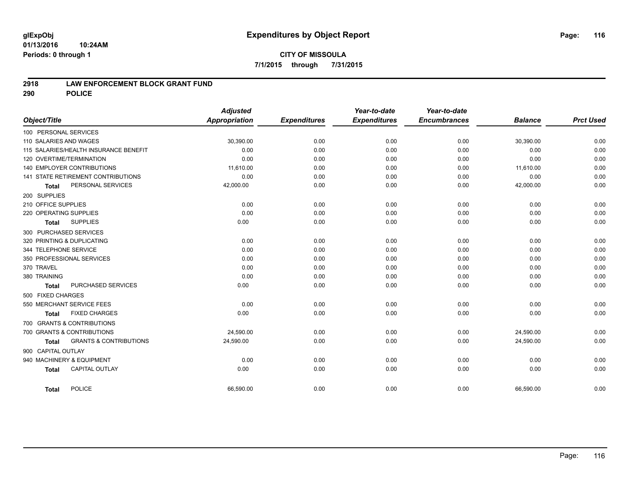#### **01/13/2016 10:24AM Periods: 0 through 1**

### **2918 LAW ENFORCEMENT BLOCK GRANT FUND**

**290 POLICE**

|                                                   | <b>Adjusted</b> |                     | Year-to-date        | Year-to-date        |                |                  |
|---------------------------------------------------|-----------------|---------------------|---------------------|---------------------|----------------|------------------|
| Object/Title                                      | Appropriation   | <b>Expenditures</b> | <b>Expenditures</b> | <b>Encumbrances</b> | <b>Balance</b> | <b>Prct Used</b> |
| 100 PERSONAL SERVICES                             |                 |                     |                     |                     |                |                  |
| 110 SALARIES AND WAGES                            | 30,390.00       | 0.00                | 0.00                | 0.00                | 30,390.00      | 0.00             |
| 115 SALARIES/HEALTH INSURANCE BENEFIT             | 0.00            | 0.00                | 0.00                | 0.00                | 0.00           | 0.00             |
| 120 OVERTIME/TERMINATION                          | 0.00            | 0.00                | 0.00                | 0.00                | 0.00           | 0.00             |
| 140 EMPLOYER CONTRIBUTIONS                        | 11,610.00       | 0.00                | 0.00                | 0.00                | 11,610.00      | 0.00             |
| <b>141 STATE RETIREMENT CONTRIBUTIONS</b>         | 0.00            | 0.00                | 0.00                | 0.00                | 0.00           | 0.00             |
| PERSONAL SERVICES<br><b>Total</b>                 | 42,000.00       | 0.00                | 0.00                | 0.00                | 42,000.00      | 0.00             |
| 200 SUPPLIES                                      |                 |                     |                     |                     |                |                  |
| 210 OFFICE SUPPLIES                               | 0.00            | 0.00                | 0.00                | 0.00                | 0.00           | 0.00             |
| 220 OPERATING SUPPLIES                            | 0.00            | 0.00                | 0.00                | 0.00                | 0.00           | 0.00             |
| <b>SUPPLIES</b><br><b>Total</b>                   | 0.00            | 0.00                | 0.00                | 0.00                | 0.00           | 0.00             |
| 300 PURCHASED SERVICES                            |                 |                     |                     |                     |                |                  |
| 320 PRINTING & DUPLICATING                        | 0.00            | 0.00                | 0.00                | 0.00                | 0.00           | 0.00             |
| 344 TELEPHONE SERVICE                             | 0.00            | 0.00                | 0.00                | 0.00                | 0.00           | 0.00             |
| 350 PROFESSIONAL SERVICES                         | 0.00            | 0.00                | 0.00                | 0.00                | 0.00           | 0.00             |
| 370 TRAVEL                                        | 0.00            | 0.00                | 0.00                | 0.00                | 0.00           | 0.00             |
| 380 TRAINING                                      | 0.00            | 0.00                | 0.00                | 0.00                | 0.00           | 0.00             |
| PURCHASED SERVICES<br><b>Total</b>                | 0.00            | 0.00                | 0.00                | 0.00                | 0.00           | 0.00             |
| 500 FIXED CHARGES                                 |                 |                     |                     |                     |                |                  |
| 550 MERCHANT SERVICE FEES                         | 0.00            | 0.00                | 0.00                | 0.00                | 0.00           | 0.00             |
| <b>FIXED CHARGES</b><br><b>Total</b>              | 0.00            | 0.00                | 0.00                | 0.00                | 0.00           | 0.00             |
| 700 GRANTS & CONTRIBUTIONS                        |                 |                     |                     |                     |                |                  |
| 700 GRANTS & CONTRIBUTIONS                        | 24,590.00       | 0.00                | 0.00                | 0.00                | 24,590.00      | 0.00             |
| <b>GRANTS &amp; CONTRIBUTIONS</b><br><b>Total</b> | 24,590.00       | 0.00                | 0.00                | 0.00                | 24,590.00      | 0.00             |
| 900 CAPITAL OUTLAY                                |                 |                     |                     |                     |                |                  |
| 940 MACHINERY & EQUIPMENT                         | 0.00            | 0.00                | 0.00                | 0.00                | 0.00           | 0.00             |
| <b>CAPITAL OUTLAY</b><br><b>Total</b>             | 0.00            | 0.00                | 0.00                | 0.00                | 0.00           | 0.00             |
| POLICE<br><b>Total</b>                            | 66,590.00       | 0.00                | 0.00                | 0.00                | 66,590.00      | 0.00             |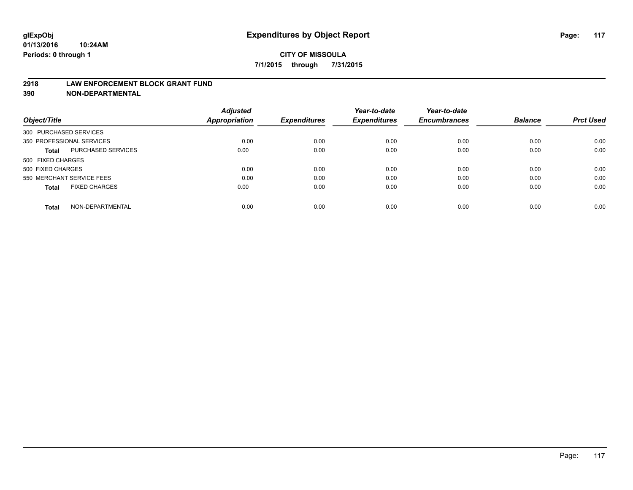### **2918 LAW ENFORCEMENT BLOCK GRANT FUND**

**390 NON-DEPARTMENTAL**

|                                           | <b>Adjusted</b>      |                     | Year-to-date        | Year-to-date        |                |                  |
|-------------------------------------------|----------------------|---------------------|---------------------|---------------------|----------------|------------------|
| Object/Title                              | <b>Appropriation</b> | <b>Expenditures</b> | <b>Expenditures</b> | <b>Encumbrances</b> | <b>Balance</b> | <b>Prct Used</b> |
| 300 PURCHASED SERVICES                    |                      |                     |                     |                     |                |                  |
| 350 PROFESSIONAL SERVICES                 | 0.00                 | 0.00                | 0.00                | 0.00                | 0.00           | 0.00             |
| <b>PURCHASED SERVICES</b><br><b>Total</b> | 0.00                 | 0.00                | 0.00                | 0.00                | 0.00           | 0.00             |
| 500 FIXED CHARGES                         |                      |                     |                     |                     |                |                  |
| 500 FIXED CHARGES                         | 0.00                 | 0.00                | 0.00                | 0.00                | 0.00           | 0.00             |
| 550 MERCHANT SERVICE FEES                 | 0.00                 | 0.00                | 0.00                | 0.00                | 0.00           | 0.00             |
| <b>FIXED CHARGES</b><br><b>Total</b>      | 0.00                 | 0.00                | 0.00                | 0.00                | 0.00           | 0.00             |
| NON-DEPARTMENTAL<br><b>Total</b>          | 0.00                 | 0.00                | 0.00                | 0.00                | 0.00           | 0.00             |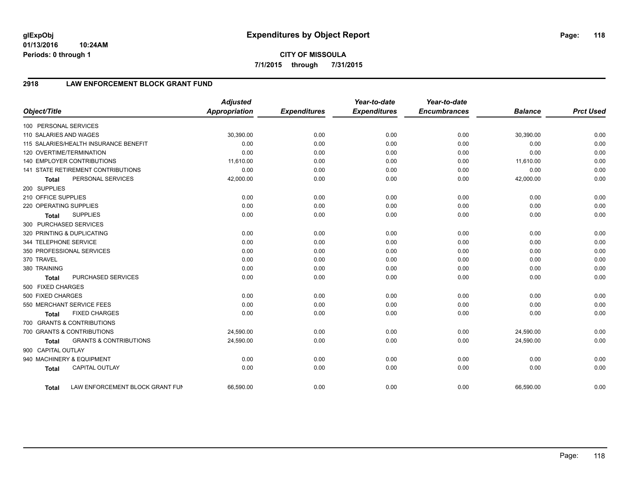**01/13/2016 10:24AM Periods: 0 through 1**

# **2918 LAW ENFORCEMENT BLOCK GRANT FUND**

| Object/Title           |                                       | <b>Adjusted</b><br>Appropriation | <b>Expenditures</b> | Year-to-date<br><b>Expenditures</b> | Year-to-date<br><b>Encumbrances</b> | <b>Balance</b> | <b>Prct Used</b> |
|------------------------|---------------------------------------|----------------------------------|---------------------|-------------------------------------|-------------------------------------|----------------|------------------|
| 100 PERSONAL SERVICES  |                                       |                                  |                     |                                     |                                     |                |                  |
| 110 SALARIES AND WAGES |                                       | 30,390.00                        | 0.00                | 0.00                                | 0.00                                | 30,390.00      | 0.00             |
|                        | 115 SALARIES/HEALTH INSURANCE BENEFIT | 0.00                             | 0.00                | 0.00                                | 0.00                                | 0.00           | 0.00             |
|                        | 120 OVERTIME/TERMINATION              | 0.00                             | 0.00                | 0.00                                | 0.00                                | 0.00           | 0.00             |
|                        | <b>140 EMPLOYER CONTRIBUTIONS</b>     | 11,610.00                        | 0.00                | 0.00                                | 0.00                                | 11,610.00      | 0.00             |
|                        | 141 STATE RETIREMENT CONTRIBUTIONS    | 0.00                             | 0.00                | 0.00                                | 0.00                                | 0.00           | 0.00             |
| <b>Total</b>           | PERSONAL SERVICES                     | 42,000.00                        | 0.00                | 0.00                                | 0.00                                | 42,000.00      | 0.00             |
| 200 SUPPLIES           |                                       |                                  |                     |                                     |                                     |                |                  |
| 210 OFFICE SUPPLIES    |                                       | 0.00                             | 0.00                | 0.00                                | 0.00                                | 0.00           | 0.00             |
| 220 OPERATING SUPPLIES |                                       | 0.00                             | 0.00                | 0.00                                | 0.00                                | 0.00           | 0.00             |
| <b>Total</b>           | <b>SUPPLIES</b>                       | 0.00                             | 0.00                | 0.00                                | 0.00                                | 0.00           | 0.00             |
| 300 PURCHASED SERVICES |                                       |                                  |                     |                                     |                                     |                |                  |
|                        | 320 PRINTING & DUPLICATING            | 0.00                             | 0.00                | 0.00                                | 0.00                                | 0.00           | 0.00             |
| 344 TELEPHONE SERVICE  |                                       | 0.00                             | 0.00                | 0.00                                | 0.00                                | 0.00           | 0.00             |
|                        | 350 PROFESSIONAL SERVICES             | 0.00                             | 0.00                | 0.00                                | 0.00                                | 0.00           | 0.00             |
| 370 TRAVEL             |                                       | 0.00                             | 0.00                | 0.00                                | 0.00                                | 0.00           | 0.00             |
| 380 TRAINING           |                                       | 0.00                             | 0.00                | 0.00                                | 0.00                                | 0.00           | 0.00             |
| <b>Total</b>           | PURCHASED SERVICES                    | 0.00                             | 0.00                | 0.00                                | 0.00                                | 0.00           | 0.00             |
| 500 FIXED CHARGES      |                                       |                                  |                     |                                     |                                     |                |                  |
| 500 FIXED CHARGES      |                                       | 0.00                             | 0.00                | 0.00                                | 0.00                                | 0.00           | 0.00             |
|                        | 550 MERCHANT SERVICE FEES             | 0.00                             | 0.00                | 0.00                                | 0.00                                | 0.00           | 0.00             |
| <b>Total</b>           | <b>FIXED CHARGES</b>                  | 0.00                             | 0.00                | 0.00                                | 0.00                                | 0.00           | 0.00             |
|                        | 700 GRANTS & CONTRIBUTIONS            |                                  |                     |                                     |                                     |                |                  |
|                        | 700 GRANTS & CONTRIBUTIONS            | 24,590.00                        | 0.00                | 0.00                                | 0.00                                | 24,590.00      | 0.00             |
| <b>Total</b>           | <b>GRANTS &amp; CONTRIBUTIONS</b>     | 24,590.00                        | 0.00                | 0.00                                | 0.00                                | 24,590.00      | 0.00             |
| 900 CAPITAL OUTLAY     |                                       |                                  |                     |                                     |                                     |                |                  |
|                        | 940 MACHINERY & EQUIPMENT             | 0.00                             | 0.00                | 0.00                                | 0.00                                | 0.00           | 0.00             |
| <b>Total</b>           | <b>CAPITAL OUTLAY</b>                 | 0.00                             | 0.00                | 0.00                                | 0.00                                | 0.00           | 0.00             |
| <b>Total</b>           | LAW ENFORCEMENT BLOCK GRANT FUN       | 66,590.00                        | 0.00                | 0.00                                | 0.00                                | 66,590.00      | 0.00             |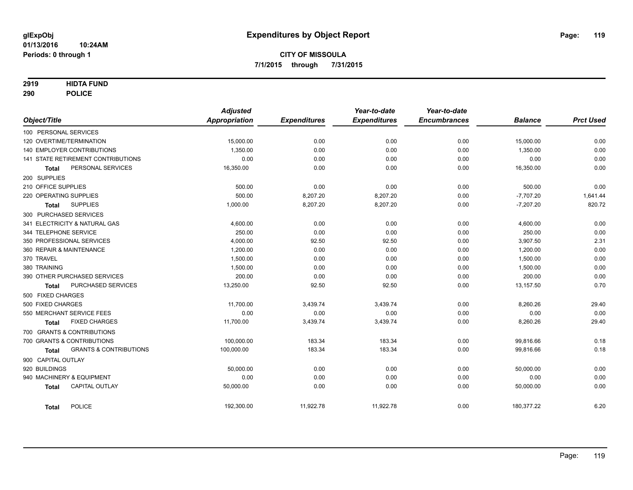### **2919 HIDTA FUND**

**290 POLICE**

|                                                   | <b>Adjusted</b> |                     | Year-to-date        | Year-to-date        |                |                  |
|---------------------------------------------------|-----------------|---------------------|---------------------|---------------------|----------------|------------------|
| Object/Title                                      | Appropriation   | <b>Expenditures</b> | <b>Expenditures</b> | <b>Encumbrances</b> | <b>Balance</b> | <b>Prct Used</b> |
| 100 PERSONAL SERVICES                             |                 |                     |                     |                     |                |                  |
| 120 OVERTIME/TERMINATION                          | 15,000.00       | 0.00                | 0.00                | 0.00                | 15,000.00      | 0.00             |
| <b>140 EMPLOYER CONTRIBUTIONS</b>                 | 1,350.00        | 0.00                | 0.00                | 0.00                | 1,350.00       | 0.00             |
| <b>141 STATE RETIREMENT CONTRIBUTIONS</b>         | 0.00            | 0.00                | 0.00                | 0.00                | 0.00           | 0.00             |
| PERSONAL SERVICES<br><b>Total</b>                 | 16,350.00       | 0.00                | 0.00                | 0.00                | 16,350.00      | 0.00             |
| 200 SUPPLIES                                      |                 |                     |                     |                     |                |                  |
| 210 OFFICE SUPPLIES                               | 500.00          | 0.00                | 0.00                | 0.00                | 500.00         | 0.00             |
| 220 OPERATING SUPPLIES                            | 500.00          | 8,207.20            | 8,207.20            | 0.00                | $-7,707.20$    | 1,641.44         |
| <b>SUPPLIES</b><br><b>Total</b>                   | 1,000.00        | 8,207.20            | 8,207.20            | 0.00                | $-7,207.20$    | 820.72           |
| 300 PURCHASED SERVICES                            |                 |                     |                     |                     |                |                  |
| 341 ELECTRICITY & NATURAL GAS                     | 4,600.00        | 0.00                | 0.00                | 0.00                | 4,600.00       | 0.00             |
| 344 TELEPHONE SERVICE                             | 250.00          | 0.00                | 0.00                | 0.00                | 250.00         | 0.00             |
| 350 PROFESSIONAL SERVICES                         | 4,000.00        | 92.50               | 92.50               | 0.00                | 3,907.50       | 2.31             |
| 360 REPAIR & MAINTENANCE                          | 1,200.00        | 0.00                | 0.00                | 0.00                | 1,200.00       | 0.00             |
| 370 TRAVEL                                        | 1,500.00        | 0.00                | 0.00                | 0.00                | 1,500.00       | 0.00             |
| 380 TRAINING                                      | 1,500.00        | 0.00                | 0.00                | 0.00                | 1,500.00       | 0.00             |
| 390 OTHER PURCHASED SERVICES                      | 200.00          | 0.00                | 0.00                | 0.00                | 200.00         | 0.00             |
| PURCHASED SERVICES<br>Total                       | 13,250.00       | 92.50               | 92.50               | 0.00                | 13,157.50      | 0.70             |
| 500 FIXED CHARGES                                 |                 |                     |                     |                     |                |                  |
| 500 FIXED CHARGES                                 | 11,700.00       | 3,439.74            | 3,439.74            | 0.00                | 8,260.26       | 29.40            |
| 550 MERCHANT SERVICE FEES                         | 0.00            | 0.00                | 0.00                | 0.00                | 0.00           | 0.00             |
| <b>FIXED CHARGES</b><br>Total                     | 11,700.00       | 3,439.74            | 3,439.74            | 0.00                | 8,260.26       | 29.40            |
| 700 GRANTS & CONTRIBUTIONS                        |                 |                     |                     |                     |                |                  |
| 700 GRANTS & CONTRIBUTIONS                        | 100,000.00      | 183.34              | 183.34              | 0.00                | 99,816.66      | 0.18             |
| <b>GRANTS &amp; CONTRIBUTIONS</b><br><b>Total</b> | 100,000.00      | 183.34              | 183.34              | 0.00                | 99,816.66      | 0.18             |
| 900 CAPITAL OUTLAY                                |                 |                     |                     |                     |                |                  |
| 920 BUILDINGS                                     | 50,000.00       | 0.00                | 0.00                | 0.00                | 50,000.00      | 0.00             |
| 940 MACHINERY & EQUIPMENT                         | 0.00            | 0.00                | 0.00                | 0.00                | 0.00           | 0.00             |
| <b>CAPITAL OUTLAY</b><br><b>Total</b>             | 50,000.00       | 0.00                | 0.00                | 0.00                | 50,000.00      | 0.00             |
| POLICE<br><b>Total</b>                            | 192,300.00      | 11,922.78           | 11,922.78           | 0.00                | 180,377.22     | 6.20             |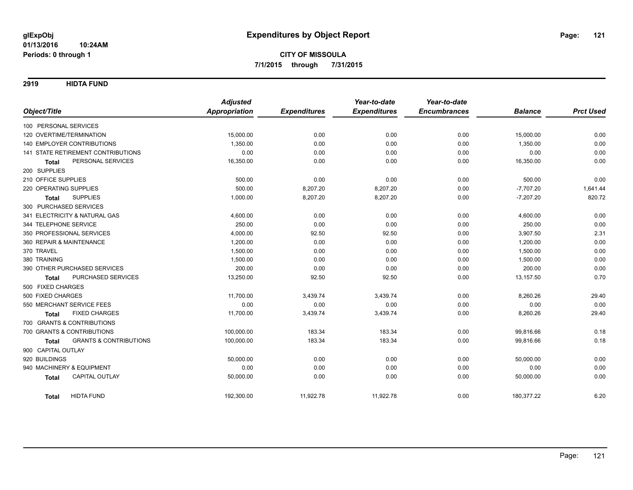**2919 HIDTA FUND**

|                                                   | <b>Adjusted</b>      |                     | Year-to-date        | Year-to-date        |                |                  |
|---------------------------------------------------|----------------------|---------------------|---------------------|---------------------|----------------|------------------|
| Object/Title                                      | <b>Appropriation</b> | <b>Expenditures</b> | <b>Expenditures</b> | <b>Encumbrances</b> | <b>Balance</b> | <b>Prct Used</b> |
| 100 PERSONAL SERVICES                             |                      |                     |                     |                     |                |                  |
| 120 OVERTIME/TERMINATION                          | 15,000.00            | 0.00                | 0.00                | 0.00                | 15,000.00      | 0.00             |
| <b>140 EMPLOYER CONTRIBUTIONS</b>                 | 1,350.00             | 0.00                | 0.00                | 0.00                | 1,350.00       | 0.00             |
| <b>141 STATE RETIREMENT CONTRIBUTIONS</b>         | 0.00                 | 0.00                | 0.00                | 0.00                | 0.00           | 0.00             |
| PERSONAL SERVICES<br>Total                        | 16,350.00            | 0.00                | 0.00                | 0.00                | 16,350.00      | 0.00             |
| 200 SUPPLIES                                      |                      |                     |                     |                     |                |                  |
| 210 OFFICE SUPPLIES                               | 500.00               | 0.00                | 0.00                | 0.00                | 500.00         | 0.00             |
| 220 OPERATING SUPPLIES                            | 500.00               | 8,207.20            | 8,207.20            | 0.00                | $-7,707.20$    | 1,641.44         |
| <b>SUPPLIES</b><br><b>Total</b>                   | 1,000.00             | 8,207.20            | 8,207.20            | 0.00                | $-7,207.20$    | 820.72           |
| 300 PURCHASED SERVICES                            |                      |                     |                     |                     |                |                  |
| 341 ELECTRICITY & NATURAL GAS                     | 4,600.00             | 0.00                | 0.00                | 0.00                | 4,600.00       | 0.00             |
| 344 TELEPHONE SERVICE                             | 250.00               | 0.00                | 0.00                | 0.00                | 250.00         | 0.00             |
| 350 PROFESSIONAL SERVICES                         | 4,000.00             | 92.50               | 92.50               | 0.00                | 3,907.50       | 2.31             |
| 360 REPAIR & MAINTENANCE                          | 1,200.00             | 0.00                | 0.00                | 0.00                | 1,200.00       | 0.00             |
| 370 TRAVEL                                        | 1,500.00             | 0.00                | 0.00                | 0.00                | 1,500.00       | 0.00             |
| 380 TRAINING                                      | 1,500.00             | 0.00                | 0.00                | 0.00                | 1,500.00       | 0.00             |
| 390 OTHER PURCHASED SERVICES                      | 200.00               | 0.00                | 0.00                | 0.00                | 200.00         | 0.00             |
| PURCHASED SERVICES<br><b>Total</b>                | 13,250.00            | 92.50               | 92.50               | 0.00                | 13,157.50      | 0.70             |
| 500 FIXED CHARGES                                 |                      |                     |                     |                     |                |                  |
| 500 FIXED CHARGES                                 | 11,700.00            | 3,439.74            | 3,439.74            | 0.00                | 8,260.26       | 29.40            |
| 550 MERCHANT SERVICE FEES                         | 0.00                 | 0.00                | 0.00                | 0.00                | 0.00           | 0.00             |
| <b>FIXED CHARGES</b><br><b>Total</b>              | 11,700.00            | 3,439.74            | 3,439.74            | 0.00                | 8,260.26       | 29.40            |
| 700 GRANTS & CONTRIBUTIONS                        |                      |                     |                     |                     |                |                  |
| 700 GRANTS & CONTRIBUTIONS                        | 100,000.00           | 183.34              | 183.34              | 0.00                | 99,816.66      | 0.18             |
| <b>GRANTS &amp; CONTRIBUTIONS</b><br><b>Total</b> | 100,000.00           | 183.34              | 183.34              | 0.00                | 99,816.66      | 0.18             |
| 900 CAPITAL OUTLAY                                |                      |                     |                     |                     |                |                  |
| 920 BUILDINGS                                     | 50,000.00            | 0.00                | 0.00                | 0.00                | 50,000.00      | 0.00             |
| 940 MACHINERY & EQUIPMENT                         | 0.00                 | 0.00                | 0.00                | 0.00                | 0.00           | 0.00             |
| <b>CAPITAL OUTLAY</b><br><b>Total</b>             | 50,000.00            | 0.00                | 0.00                | 0.00                | 50,000.00      | 0.00             |
| <b>HIDTA FUND</b><br><b>Total</b>                 | 192,300.00           | 11,922.78           | 11,922.78           | 0.00                | 180,377.22     | 6.20             |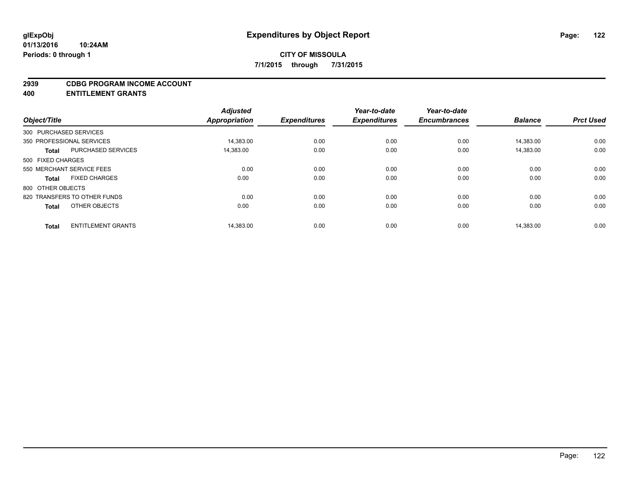#### **2939 CDBG PROGRAM INCOME ACCOUNT**

**400 ENTITLEMENT GRANTS**

| Object/Title           |                              | <b>Adjusted</b><br>Appropriation | <b>Expenditures</b> | Year-to-date<br><b>Expenditures</b> | Year-to-date<br><b>Encumbrances</b> | <b>Balance</b> | <b>Prct Used</b> |
|------------------------|------------------------------|----------------------------------|---------------------|-------------------------------------|-------------------------------------|----------------|------------------|
| 300 PURCHASED SERVICES |                              |                                  |                     |                                     |                                     |                |                  |
|                        | 350 PROFESSIONAL SERVICES    | 14.383.00                        | 0.00                | 0.00                                | 0.00                                | 14.383.00      | 0.00             |
| <b>Total</b>           | <b>PURCHASED SERVICES</b>    | 14,383.00                        | 0.00                | 0.00                                | 0.00                                | 14,383.00      | 0.00             |
| 500 FIXED CHARGES      |                              |                                  |                     |                                     |                                     |                |                  |
|                        | 550 MERCHANT SERVICE FEES    | 0.00                             | 0.00                | 0.00                                | 0.00                                | 0.00           | 0.00             |
| <b>Total</b>           | <b>FIXED CHARGES</b>         | 0.00                             | 0.00                | 0.00                                | 0.00                                | 0.00           | 0.00             |
| 800 OTHER OBJECTS      |                              |                                  |                     |                                     |                                     |                |                  |
|                        | 820 TRANSFERS TO OTHER FUNDS | 0.00                             | 0.00                | 0.00                                | 0.00                                | 0.00           | 0.00             |
| <b>Total</b>           | OTHER OBJECTS                | 0.00                             | 0.00                | 0.00                                | 0.00                                | 0.00           | 0.00             |
|                        |                              |                                  |                     |                                     |                                     |                |                  |
| <b>Total</b>           | <b>ENTITLEMENT GRANTS</b>    | 14,383.00                        | 0.00                | 0.00                                | 0.00                                | 14.383.00      | 0.00             |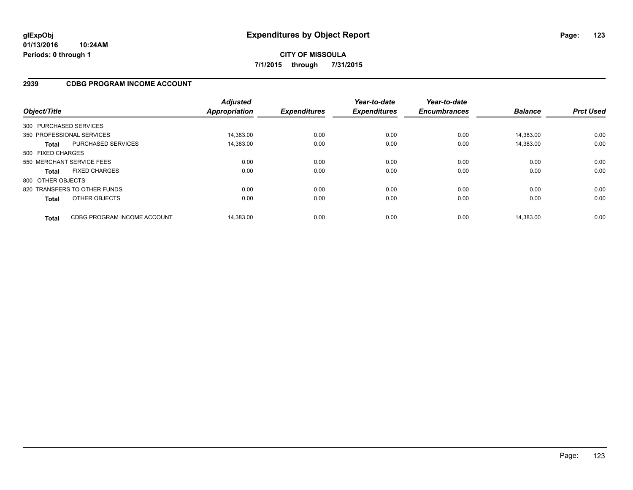## **2939 CDBG PROGRAM INCOME ACCOUNT**

| Object/Title           |                              | <b>Adjusted</b><br><b>Appropriation</b> | <b>Expenditures</b> | Year-to-date<br><b>Expenditures</b> | Year-to-date<br><b>Encumbrances</b> | <b>Balance</b> | <b>Prct Used</b> |
|------------------------|------------------------------|-----------------------------------------|---------------------|-------------------------------------|-------------------------------------|----------------|------------------|
| 300 PURCHASED SERVICES |                              |                                         |                     |                                     |                                     |                |                  |
|                        | 350 PROFESSIONAL SERVICES    | 14.383.00                               | 0.00                | 0.00                                | 0.00                                | 14.383.00      | 0.00             |
| <b>Total</b>           | PURCHASED SERVICES           | 14,383.00                               | 0.00                | 0.00                                | 0.00                                | 14,383.00      | 0.00             |
| 500 FIXED CHARGES      |                              |                                         |                     |                                     |                                     |                |                  |
|                        | 550 MERCHANT SERVICE FEES    | 0.00                                    | 0.00                | 0.00                                | 0.00                                | 0.00           | 0.00             |
| <b>Total</b>           | <b>FIXED CHARGES</b>         | 0.00                                    | 0.00                | 0.00                                | 0.00                                | 0.00           | 0.00             |
| 800 OTHER OBJECTS      |                              |                                         |                     |                                     |                                     |                |                  |
|                        | 820 TRANSFERS TO OTHER FUNDS | 0.00                                    | 0.00                | 0.00                                | 0.00                                | 0.00           | 0.00             |
| <b>Total</b>           | OTHER OBJECTS                | 0.00                                    | 0.00                | 0.00                                | 0.00                                | 0.00           | 0.00             |
| <b>Total</b>           | CDBG PROGRAM INCOME ACCOUNT  | 14.383.00                               | 0.00                | 0.00                                | 0.00                                | 14.383.00      | 0.00             |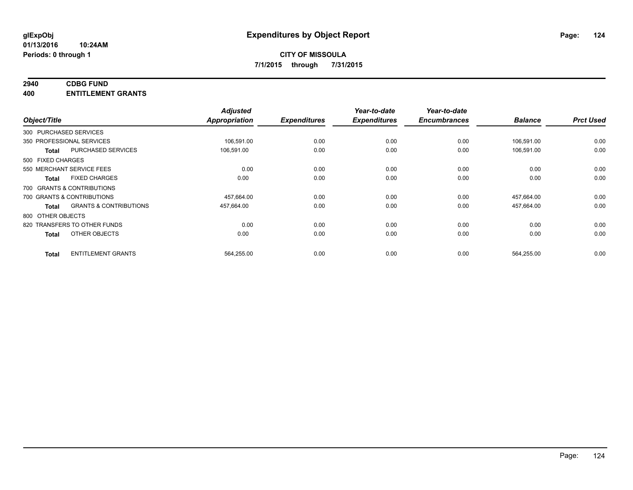## **2940 CDBG FUND**

**400 ENTITLEMENT GRANTS**

| Object/Title      |                                   | <b>Adjusted</b><br><b>Appropriation</b> | <b>Expenditures</b> | Year-to-date<br><b>Expenditures</b> | Year-to-date<br><b>Encumbrances</b> | <b>Balance</b> | <b>Prct Used</b> |
|-------------------|-----------------------------------|-----------------------------------------|---------------------|-------------------------------------|-------------------------------------|----------------|------------------|
|                   | 300 PURCHASED SERVICES            |                                         |                     |                                     |                                     |                |                  |
|                   | 350 PROFESSIONAL SERVICES         | 106,591.00                              | 0.00                | 0.00                                | 0.00                                | 106,591.00     | 0.00             |
| <b>Total</b>      | <b>PURCHASED SERVICES</b>         | 106,591.00                              | 0.00                | 0.00                                | 0.00                                | 106.591.00     | 0.00             |
| 500 FIXED CHARGES |                                   |                                         |                     |                                     |                                     |                |                  |
|                   | 550 MERCHANT SERVICE FEES         | 0.00                                    | 0.00                | 0.00                                | 0.00                                | 0.00           | 0.00             |
| Total             | <b>FIXED CHARGES</b>              | 0.00                                    | 0.00                | 0.00                                | 0.00                                | 0.00           | 0.00             |
|                   | 700 GRANTS & CONTRIBUTIONS        |                                         |                     |                                     |                                     |                |                  |
|                   | 700 GRANTS & CONTRIBUTIONS        | 457,664.00                              | 0.00                | 0.00                                | 0.00                                | 457,664.00     | 0.00             |
| <b>Total</b>      | <b>GRANTS &amp; CONTRIBUTIONS</b> | 457,664.00                              | 0.00                | 0.00                                | 0.00                                | 457,664.00     | 0.00             |
| 800 OTHER OBJECTS |                                   |                                         |                     |                                     |                                     |                |                  |
|                   | 820 TRANSFERS TO OTHER FUNDS      | 0.00                                    | 0.00                | 0.00                                | 0.00                                | 0.00           | 0.00             |
| <b>Total</b>      | OTHER OBJECTS                     | 0.00                                    | 0.00                | 0.00                                | 0.00                                | 0.00           | 0.00             |
| <b>Total</b>      | <b>ENTITLEMENT GRANTS</b>         | 564,255.00                              | 0.00                | 0.00                                | 0.00                                | 564,255.00     | 0.00             |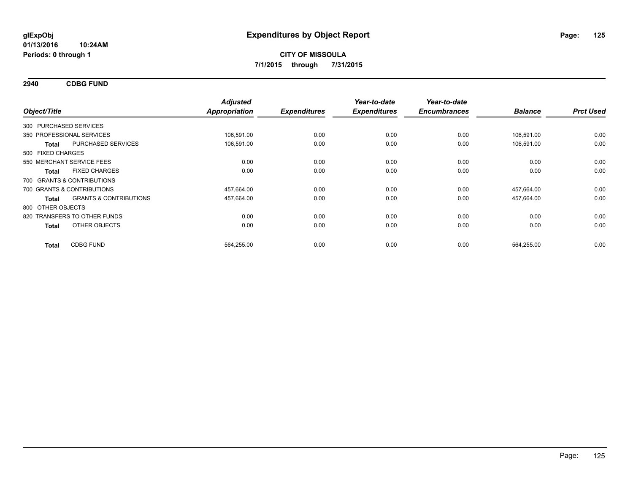**2940 CDBG FUND**

| Object/Title           |                                   | <b>Adjusted</b><br><b>Appropriation</b> | <b>Expenditures</b> | Year-to-date<br><b>Expenditures</b> | Year-to-date<br><b>Encumbrances</b> | <b>Balance</b> | <b>Prct Used</b> |
|------------------------|-----------------------------------|-----------------------------------------|---------------------|-------------------------------------|-------------------------------------|----------------|------------------|
| 300 PURCHASED SERVICES |                                   |                                         |                     |                                     |                                     |                |                  |
|                        | 350 PROFESSIONAL SERVICES         | 106,591.00                              | 0.00                | 0.00                                | 0.00                                | 106,591.00     | 0.00             |
| <b>Total</b>           | PURCHASED SERVICES                | 106,591.00                              | 0.00                | 0.00                                | 0.00                                | 106,591.00     | 0.00             |
| 500 FIXED CHARGES      |                                   |                                         |                     |                                     |                                     |                |                  |
|                        | 550 MERCHANT SERVICE FEES         | 0.00                                    | 0.00                | 0.00                                | 0.00                                | 0.00           | 0.00             |
| <b>Total</b>           | <b>FIXED CHARGES</b>              | 0.00                                    | 0.00                | 0.00                                | 0.00                                | 0.00           | 0.00             |
|                        | 700 GRANTS & CONTRIBUTIONS        |                                         |                     |                                     |                                     |                |                  |
|                        | 700 GRANTS & CONTRIBUTIONS        | 457,664.00                              | 0.00                | 0.00                                | 0.00                                | 457,664.00     | 0.00             |
| <b>Total</b>           | <b>GRANTS &amp; CONTRIBUTIONS</b> | 457,664.00                              | 0.00                | 0.00                                | 0.00                                | 457,664.00     | 0.00             |
| 800 OTHER OBJECTS      |                                   |                                         |                     |                                     |                                     |                |                  |
|                        | 820 TRANSFERS TO OTHER FUNDS      | 0.00                                    | 0.00                | 0.00                                | 0.00                                | 0.00           | 0.00             |
| <b>Total</b>           | OTHER OBJECTS                     | 0.00                                    | 0.00                | 0.00                                | 0.00                                | 0.00           | 0.00             |
| <b>Total</b>           | <b>CDBG FUND</b>                  | 564,255.00                              | 0.00                | 0.00                                | 0.00                                | 564,255.00     | 0.00             |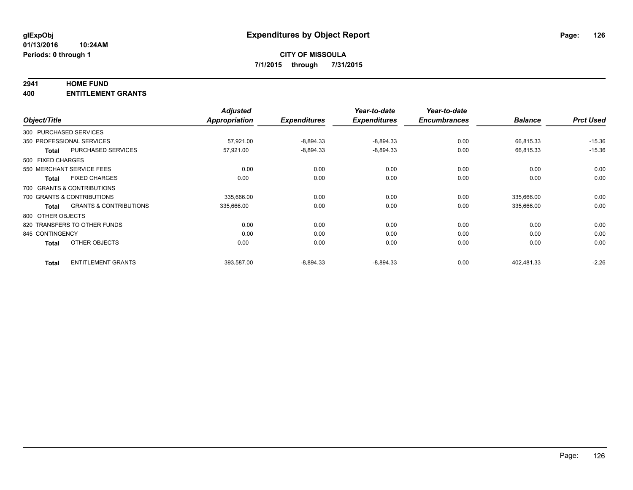#### **2941 HOME FUND**

**400 ENTITLEMENT GRANTS**

|                        |                                   | <b>Adjusted</b> |                     | Year-to-date        | Year-to-date        |                |                  |
|------------------------|-----------------------------------|-----------------|---------------------|---------------------|---------------------|----------------|------------------|
| Object/Title           |                                   | Appropriation   | <b>Expenditures</b> | <b>Expenditures</b> | <b>Encumbrances</b> | <b>Balance</b> | <b>Prct Used</b> |
| 300 PURCHASED SERVICES |                                   |                 |                     |                     |                     |                |                  |
|                        | 350 PROFESSIONAL SERVICES         | 57,921.00       | $-8,894.33$         | $-8,894.33$         | 0.00                | 66,815.33      | $-15.36$         |
| <b>Total</b>           | <b>PURCHASED SERVICES</b>         | 57,921.00       | $-8,894.33$         | $-8,894.33$         | 0.00                | 66,815.33      | $-15.36$         |
| 500 FIXED CHARGES      |                                   |                 |                     |                     |                     |                |                  |
|                        | 550 MERCHANT SERVICE FEES         | 0.00            | 0.00                | 0.00                | 0.00                | 0.00           | 0.00             |
| <b>Total</b>           | <b>FIXED CHARGES</b>              | 0.00            | 0.00                | 0.00                | 0.00                | 0.00           | 0.00             |
|                        | 700 GRANTS & CONTRIBUTIONS        |                 |                     |                     |                     |                |                  |
|                        | 700 GRANTS & CONTRIBUTIONS        | 335,666.00      | 0.00                | 0.00                | 0.00                | 335,666.00     | 0.00             |
| <b>Total</b>           | <b>GRANTS &amp; CONTRIBUTIONS</b> | 335,666.00      | 0.00                | 0.00                | 0.00                | 335,666.00     | 0.00             |
| 800 OTHER OBJECTS      |                                   |                 |                     |                     |                     |                |                  |
|                        | 820 TRANSFERS TO OTHER FUNDS      | 0.00            | 0.00                | 0.00                | 0.00                | 0.00           | 0.00             |
| 845 CONTINGENCY        |                                   | 0.00            | 0.00                | 0.00                | 0.00                | 0.00           | 0.00             |
| <b>Total</b>           | OTHER OBJECTS                     | 0.00            | 0.00                | 0.00                | 0.00                | 0.00           | 0.00             |
| <b>Total</b>           | <b>ENTITLEMENT GRANTS</b>         | 393,587.00      | $-8,894.33$         | $-8,894.33$         | 0.00                | 402,481.33     | $-2.26$          |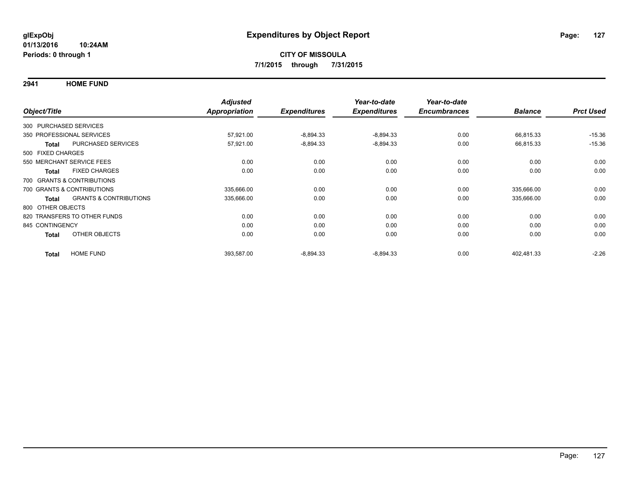**2941 HOME FUND**

|                        |                                   | <b>Adjusted</b>      |                     | Year-to-date        | Year-to-date        |                |                  |
|------------------------|-----------------------------------|----------------------|---------------------|---------------------|---------------------|----------------|------------------|
| Object/Title           |                                   | <b>Appropriation</b> | <b>Expenditures</b> | <b>Expenditures</b> | <b>Encumbrances</b> | <b>Balance</b> | <b>Prct Used</b> |
| 300 PURCHASED SERVICES |                                   |                      |                     |                     |                     |                |                  |
|                        | 350 PROFESSIONAL SERVICES         | 57,921.00            | $-8,894.33$         | $-8,894.33$         | 0.00                | 66,815.33      | $-15.36$         |
| <b>Total</b>           | PURCHASED SERVICES                | 57,921.00            | $-8,894.33$         | $-8,894.33$         | 0.00                | 66,815.33      | $-15.36$         |
| 500 FIXED CHARGES      |                                   |                      |                     |                     |                     |                |                  |
|                        | 550 MERCHANT SERVICE FEES         | 0.00                 | 0.00                | 0.00                | 0.00                | 0.00           | 0.00             |
| <b>Total</b>           | <b>FIXED CHARGES</b>              | 0.00                 | 0.00                | 0.00                | 0.00                | 0.00           | 0.00             |
|                        | 700 GRANTS & CONTRIBUTIONS        |                      |                     |                     |                     |                |                  |
|                        | 700 GRANTS & CONTRIBUTIONS        | 335,666.00           | 0.00                | 0.00                | 0.00                | 335,666.00     | 0.00             |
| <b>Total</b>           | <b>GRANTS &amp; CONTRIBUTIONS</b> | 335,666.00           | 0.00                | 0.00                | 0.00                | 335,666.00     | 0.00             |
| 800 OTHER OBJECTS      |                                   |                      |                     |                     |                     |                |                  |
|                        | 820 TRANSFERS TO OTHER FUNDS      | 0.00                 | 0.00                | 0.00                | 0.00                | 0.00           | 0.00             |
| 845 CONTINGENCY        |                                   | 0.00                 | 0.00                | 0.00                | 0.00                | 0.00           | 0.00             |
| <b>Total</b>           | <b>OTHER OBJECTS</b>              | 0.00                 | 0.00                | 0.00                | 0.00                | 0.00           | 0.00             |
| <b>Total</b>           | <b>HOME FUND</b>                  | 393,587.00           | $-8,894.33$         | $-8,894.33$         | 0.00                | 402.481.33     | $-2.26$          |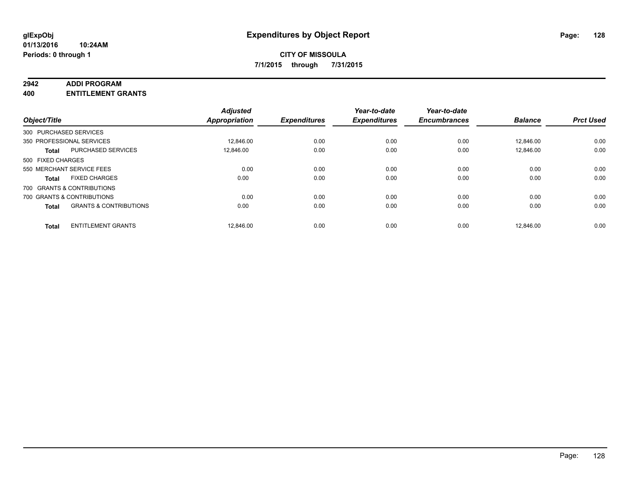#### **2942 ADDI PROGRAM**

**400 ENTITLEMENT GRANTS**

|                   |                                   | <b>Adjusted</b> |                     | Year-to-date        | Year-to-date        |                |                  |
|-------------------|-----------------------------------|-----------------|---------------------|---------------------|---------------------|----------------|------------------|
| Object/Title      |                                   | Appropriation   | <b>Expenditures</b> | <b>Expenditures</b> | <b>Encumbrances</b> | <b>Balance</b> | <b>Prct Used</b> |
|                   | 300 PURCHASED SERVICES            |                 |                     |                     |                     |                |                  |
|                   | 350 PROFESSIONAL SERVICES         | 12,846.00       | 0.00                | 0.00                | 0.00                | 12,846.00      | 0.00             |
| <b>Total</b>      | <b>PURCHASED SERVICES</b>         | 12.846.00       | 0.00                | 0.00                | 0.00                | 12.846.00      | 0.00             |
| 500 FIXED CHARGES |                                   |                 |                     |                     |                     |                |                  |
|                   | 550 MERCHANT SERVICE FEES         | 0.00            | 0.00                | 0.00                | 0.00                | 0.00           | 0.00             |
| <b>Total</b>      | <b>FIXED CHARGES</b>              | 0.00            | 0.00                | 0.00                | 0.00                | 0.00           | 0.00             |
|                   | 700 GRANTS & CONTRIBUTIONS        |                 |                     |                     |                     |                |                  |
|                   | 700 GRANTS & CONTRIBUTIONS        | 0.00            | 0.00                | 0.00                | 0.00                | 0.00           | 0.00             |
| <b>Total</b>      | <b>GRANTS &amp; CONTRIBUTIONS</b> | 0.00            | 0.00                | 0.00                | 0.00                | 0.00           | 0.00             |
| <b>Total</b>      | <b>ENTITLEMENT GRANTS</b>         | 12.846.00       | 0.00                | 0.00                | 0.00                | 12.846.00      | 0.00             |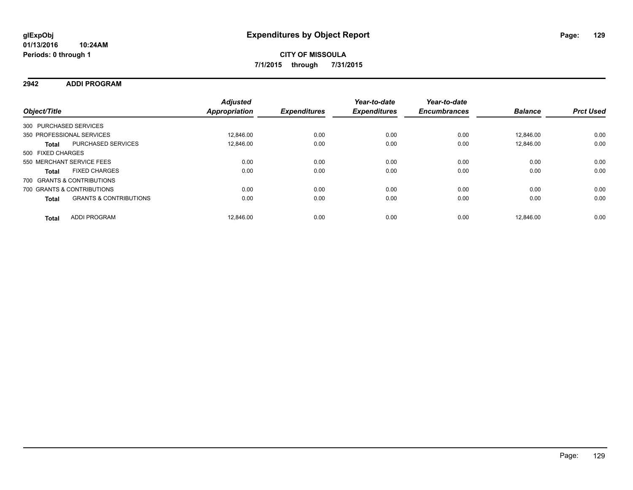### **2942 ADDI PROGRAM**

| Object/Title           |                                   | <b>Adjusted</b><br>Appropriation | <b>Expenditures</b> | Year-to-date<br><b>Expenditures</b> | Year-to-date<br><b>Encumbrances</b> | <b>Balance</b> | <b>Prct Used</b> |
|------------------------|-----------------------------------|----------------------------------|---------------------|-------------------------------------|-------------------------------------|----------------|------------------|
| 300 PURCHASED SERVICES |                                   |                                  |                     |                                     |                                     |                |                  |
|                        | 350 PROFESSIONAL SERVICES         | 12.846.00                        | 0.00                | 0.00                                | 0.00                                | 12.846.00      | 0.00             |
| <b>Total</b>           | <b>PURCHASED SERVICES</b>         | 12.846.00                        | 0.00                | 0.00                                | 0.00                                | 12.846.00      | 0.00             |
| 500 FIXED CHARGES      |                                   |                                  |                     |                                     |                                     |                |                  |
|                        | 550 MERCHANT SERVICE FEES         | 0.00                             | 0.00                | 0.00                                | 0.00                                | 0.00           | 0.00             |
| <b>Total</b>           | <b>FIXED CHARGES</b>              | 0.00                             | 0.00                | 0.00                                | 0.00                                | 0.00           | 0.00             |
|                        | 700 GRANTS & CONTRIBUTIONS        |                                  |                     |                                     |                                     |                |                  |
|                        | 700 GRANTS & CONTRIBUTIONS        | 0.00                             | 0.00                | 0.00                                | 0.00                                | 0.00           | 0.00             |
| <b>Total</b>           | <b>GRANTS &amp; CONTRIBUTIONS</b> | 0.00                             | 0.00                | 0.00                                | 0.00                                | 0.00           | 0.00             |
| <b>Total</b>           | <b>ADDI PROGRAM</b>               | 12.846.00                        | 0.00                | 0.00                                | 0.00                                | 12.846.00      | 0.00             |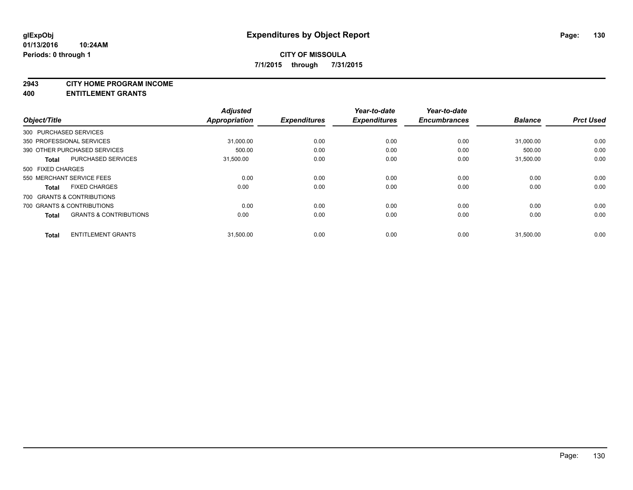#### **2943 CITY HOME PROGRAM INCOME**

**400 ENTITLEMENT GRANTS**

| Object/Title      |                                   | <b>Adjusted</b><br><b>Appropriation</b> | <b>Expenditures</b> | Year-to-date<br><b>Expenditures</b> | Year-to-date<br><b>Encumbrances</b> | <b>Balance</b> | <b>Prct Used</b> |
|-------------------|-----------------------------------|-----------------------------------------|---------------------|-------------------------------------|-------------------------------------|----------------|------------------|
|                   | 300 PURCHASED SERVICES            |                                         |                     |                                     |                                     |                |                  |
|                   | 350 PROFESSIONAL SERVICES         | 31,000.00                               | 0.00                | 0.00                                | 0.00                                | 31,000.00      | 0.00             |
|                   | 390 OTHER PURCHASED SERVICES      | 500.00                                  | 0.00                | 0.00                                | 0.00                                | 500.00         | 0.00             |
| <b>Total</b>      | <b>PURCHASED SERVICES</b>         | 31,500.00                               | 0.00                | 0.00                                | 0.00                                | 31.500.00      | 0.00             |
| 500 FIXED CHARGES |                                   |                                         |                     |                                     |                                     |                |                  |
|                   | 550 MERCHANT SERVICE FEES         | 0.00                                    | 0.00                | 0.00                                | 0.00                                | 0.00           | 0.00             |
| <b>Total</b>      | <b>FIXED CHARGES</b>              | 0.00                                    | 0.00                | 0.00                                | 0.00                                | 0.00           | 0.00             |
|                   | 700 GRANTS & CONTRIBUTIONS        |                                         |                     |                                     |                                     |                |                  |
|                   | 700 GRANTS & CONTRIBUTIONS        | 0.00                                    | 0.00                | 0.00                                | 0.00                                | 0.00           | 0.00             |
| <b>Total</b>      | <b>GRANTS &amp; CONTRIBUTIONS</b> | 0.00                                    | 0.00                | 0.00                                | 0.00                                | 0.00           | 0.00             |
| <b>Total</b>      | <b>ENTITLEMENT GRANTS</b>         | 31,500.00                               | 0.00                | 0.00                                | 0.00                                | 31,500.00      | 0.00             |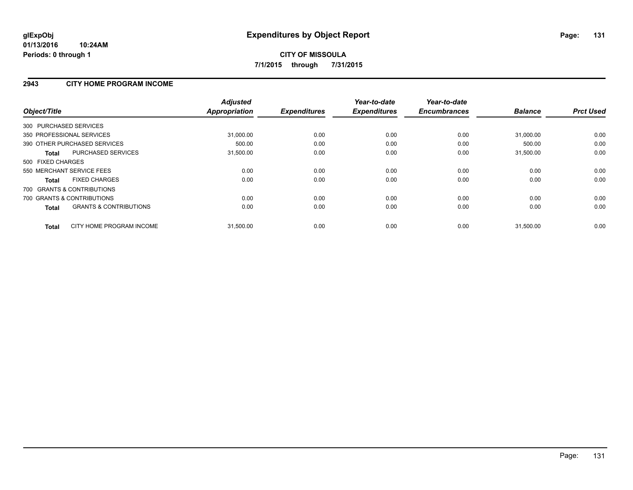### **2943 CITY HOME PROGRAM INCOME**

| Object/Title                                      | <b>Adjusted</b><br>Appropriation | <b>Expenditures</b> | Year-to-date<br><b>Expenditures</b> | Year-to-date<br><b>Encumbrances</b> | <b>Balance</b> | <b>Prct Used</b> |
|---------------------------------------------------|----------------------------------|---------------------|-------------------------------------|-------------------------------------|----------------|------------------|
| 300 PURCHASED SERVICES                            |                                  |                     |                                     |                                     |                |                  |
| 350 PROFESSIONAL SERVICES                         | 31,000.00                        | 0.00                | 0.00                                | 0.00                                | 31,000.00      | 0.00             |
| 390 OTHER PURCHASED SERVICES                      | 500.00                           | 0.00                | 0.00                                | 0.00                                | 500.00         | 0.00             |
| <b>PURCHASED SERVICES</b><br><b>Total</b>         | 31,500.00                        | 0.00                | 0.00                                | 0.00                                | 31,500.00      | 0.00             |
| 500 FIXED CHARGES                                 |                                  |                     |                                     |                                     |                |                  |
| 550 MERCHANT SERVICE FEES                         | 0.00                             | 0.00                | 0.00                                | 0.00                                | 0.00           | 0.00             |
| <b>FIXED CHARGES</b><br><b>Total</b>              | 0.00                             | 0.00                | 0.00                                | 0.00                                | 0.00           | 0.00             |
| 700 GRANTS & CONTRIBUTIONS                        |                                  |                     |                                     |                                     |                |                  |
| 700 GRANTS & CONTRIBUTIONS                        | 0.00                             | 0.00                | 0.00                                | 0.00                                | 0.00           | 0.00             |
| <b>GRANTS &amp; CONTRIBUTIONS</b><br><b>Total</b> | 0.00                             | 0.00                | 0.00                                | 0.00                                | 0.00           | 0.00             |
| CITY HOME PROGRAM INCOME<br><b>Total</b>          | 31,500.00                        | 0.00                | 0.00                                | 0.00                                | 31,500.00      | 0.00             |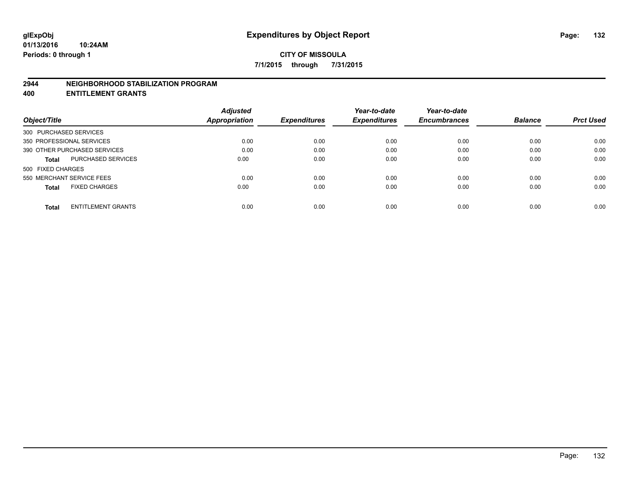### **2944 NEIGHBORHOOD STABILIZATION PROGRAM**

**400 ENTITLEMENT GRANTS**

| <b>Adjusted</b> |               | Year-to-date        | Year-to-date        |                     | <b>Prct Used</b> |
|-----------------|---------------|---------------------|---------------------|---------------------|------------------|
|                 |               |                     |                     |                     |                  |
|                 |               |                     |                     |                     |                  |
| 0.00            | 0.00          | 0.00                | 0.00                | 0.00                | 0.00             |
| 0.00            | 0.00          | 0.00                | 0.00                | 0.00                | 0.00             |
| 0.00            | 0.00          | 0.00                | 0.00                | 0.00                | 0.00             |
|                 |               |                     |                     |                     |                  |
| 0.00            | 0.00          | 0.00                | 0.00                | 0.00                | 0.00             |
| 0.00            | 0.00          | 0.00                | 0.00                | 0.00                | 0.00             |
| 0.00            | 0.00          | 0.00                | 0.00                | 0.00                | 0.00             |
|                 | Appropriation | <b>Expenditures</b> | <b>Expenditures</b> | <b>Encumbrances</b> | <b>Balance</b>   |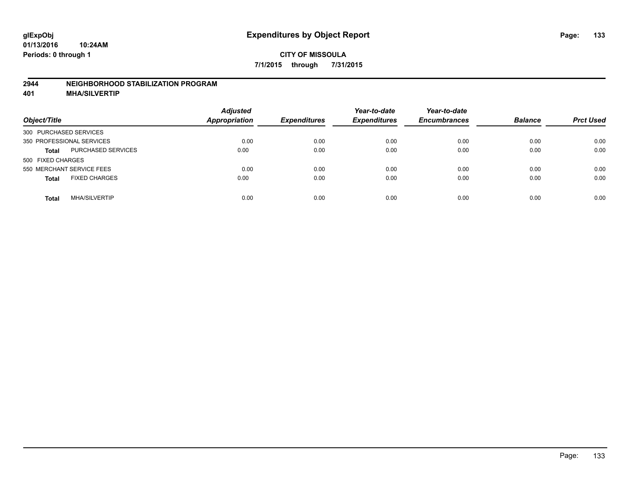### **2944 NEIGHBORHOOD STABILIZATION PROGRAM**

**401 MHA/SILVERTIP**

| Object/Title                              | <b>Adjusted</b><br><b>Appropriation</b> | <b>Expenditures</b> | Year-to-date<br><b>Expenditures</b> | Year-to-date<br><b>Encumbrances</b> | <b>Balance</b> | <b>Prct Used</b> |
|-------------------------------------------|-----------------------------------------|---------------------|-------------------------------------|-------------------------------------|----------------|------------------|
| 300 PURCHASED SERVICES                    |                                         |                     |                                     |                                     |                |                  |
| 350 PROFESSIONAL SERVICES                 | 0.00                                    | 0.00                | 0.00                                | 0.00                                | 0.00           | 0.00             |
| <b>PURCHASED SERVICES</b><br><b>Total</b> | 0.00                                    | 0.00                | 0.00                                | 0.00                                | 0.00           | 0.00             |
| 500 FIXED CHARGES                         |                                         |                     |                                     |                                     |                |                  |
| 550 MERCHANT SERVICE FEES                 | 0.00                                    | 0.00                | 0.00                                | 0.00                                | 0.00           | 0.00             |
| <b>FIXED CHARGES</b><br><b>Total</b>      | 0.00                                    | 0.00                | 0.00                                | 0.00                                | 0.00           | 0.00             |
| <b>MHA/SILVERTIP</b><br>Total             | 0.00                                    | 0.00                | 0.00                                | 0.00                                | 0.00           | 0.00             |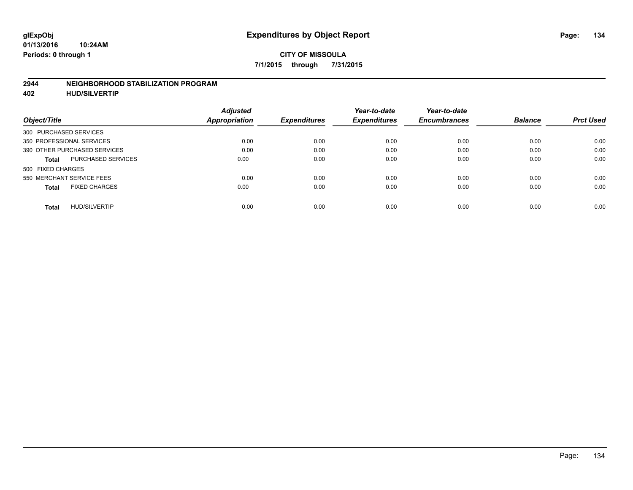### **2944 NEIGHBORHOOD STABILIZATION PROGRAM**

**402 HUD/SILVERTIP**

| <b>Adjusted</b> |                      | Year-to-date        | Year-to-date        |                     | <b>Prct Used</b> |
|-----------------|----------------------|---------------------|---------------------|---------------------|------------------|
|                 |                      |                     |                     |                     |                  |
|                 |                      |                     |                     |                     |                  |
| 0.00            | 0.00                 | 0.00                | 0.00                | 0.00                | 0.00             |
| 0.00            | 0.00                 | 0.00                | 0.00                | 0.00                | 0.00             |
| 0.00            | 0.00                 | 0.00                | 0.00                | 0.00                | 0.00             |
|                 |                      |                     |                     |                     |                  |
| 0.00            | 0.00                 | 0.00                | 0.00                | 0.00                | 0.00             |
| 0.00            | 0.00                 | 0.00                | 0.00                | 0.00                | 0.00             |
| 0.00            | 0.00                 | 0.00                | 0.00                | 0.00                | 0.00             |
|                 | <b>Appropriation</b> | <b>Expenditures</b> | <b>Expenditures</b> | <b>Encumbrances</b> | <b>Balance</b>   |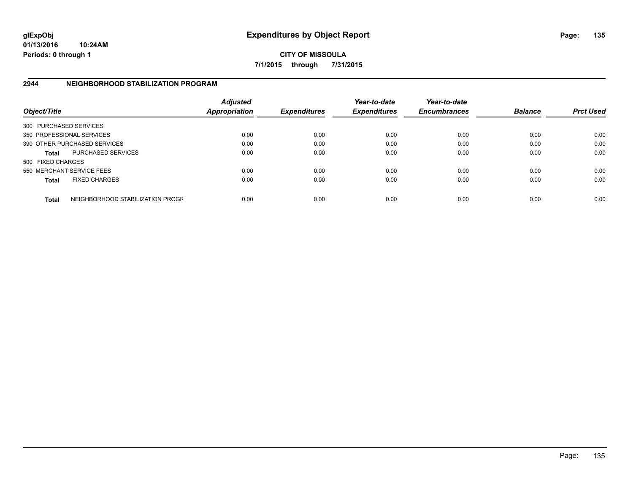**01/13/2016 10:24AM Periods: 0 through 1**

**CITY OF MISSOULA 7/1/2015 through 7/31/2015**

## **2944 NEIGHBORHOOD STABILIZATION PROGRAM**

| Object/Title           |                                  | <b>Adjusted</b><br><b>Appropriation</b> | <b>Expenditures</b> | Year-to-date<br><b>Expenditures</b> | Year-to-date<br><b>Encumbrances</b> | <b>Balance</b> | <b>Prct Used</b> |
|------------------------|----------------------------------|-----------------------------------------|---------------------|-------------------------------------|-------------------------------------|----------------|------------------|
| 300 PURCHASED SERVICES |                                  |                                         |                     |                                     |                                     |                |                  |
|                        | 350 PROFESSIONAL SERVICES        | 0.00                                    | 0.00                | 0.00                                | 0.00                                | 0.00           | 0.00             |
|                        | 390 OTHER PURCHASED SERVICES     | 0.00                                    | 0.00                | 0.00                                | 0.00                                | 0.00           | 0.00             |
| <b>Total</b>           | <b>PURCHASED SERVICES</b>        | 0.00                                    | 0.00                | 0.00                                | 0.00                                | 0.00           | 0.00             |
| 500 FIXED CHARGES      |                                  |                                         |                     |                                     |                                     |                |                  |
|                        | 550 MERCHANT SERVICE FEES        | 0.00                                    | 0.00                | 0.00                                | 0.00                                | 0.00           | 0.00             |
| <b>Total</b>           | <b>FIXED CHARGES</b>             | 0.00                                    | 0.00                | 0.00                                | 0.00                                | 0.00           | 0.00             |
| <b>Total</b>           | NEIGHBORHOOD STABILIZATION PROGF | 0.00                                    | 0.00                | 0.00                                | 0.00                                | 0.00           | 0.00             |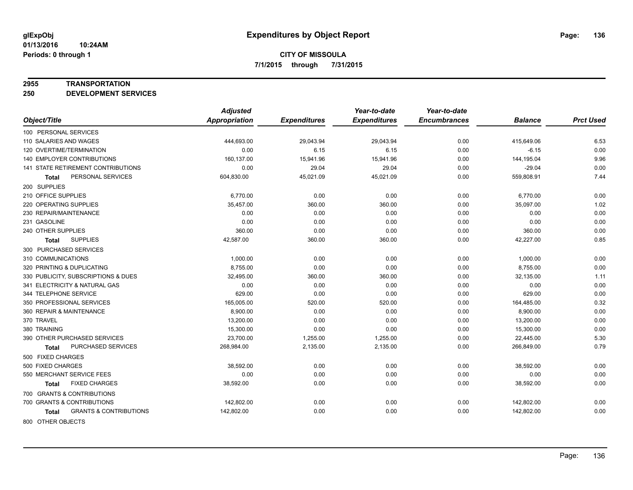#### **2955 TRANSPORTATION**

**250 DEVELOPMENT SERVICES**

|                                            | <b>Adjusted</b> |                     | Year-to-date        | Year-to-date        |                |                  |
|--------------------------------------------|-----------------|---------------------|---------------------|---------------------|----------------|------------------|
| Object/Title                               | Appropriation   | <b>Expenditures</b> | <b>Expenditures</b> | <b>Encumbrances</b> | <b>Balance</b> | <b>Prct Used</b> |
| 100 PERSONAL SERVICES                      |                 |                     |                     |                     |                |                  |
| 110 SALARIES AND WAGES                     | 444,693.00      | 29,043.94           | 29,043.94           | 0.00                | 415,649.06     | 6.53             |
| 120 OVERTIME/TERMINATION                   | 0.00            | 6.15                | 6.15                | 0.00                | $-6.15$        | 0.00             |
| <b>140 EMPLOYER CONTRIBUTIONS</b>          | 160,137.00      | 15,941.96           | 15,941.96           | 0.00                | 144,195.04     | 9.96             |
| 141 STATE RETIREMENT CONTRIBUTIONS         | 0.00            | 29.04               | 29.04               | 0.00                | $-29.04$       | 0.00             |
| PERSONAL SERVICES<br><b>Total</b>          | 604,830.00      | 45,021.09           | 45,021.09           | 0.00                | 559,808.91     | 7.44             |
| 200 SUPPLIES                               |                 |                     |                     |                     |                |                  |
| 210 OFFICE SUPPLIES                        | 6,770.00        | 0.00                | 0.00                | 0.00                | 6,770.00       | 0.00             |
| 220 OPERATING SUPPLIES                     | 35,457.00       | 360.00              | 360.00              | 0.00                | 35,097.00      | 1.02             |
| 230 REPAIR/MAINTENANCE                     | 0.00            | 0.00                | 0.00                | 0.00                | 0.00           | 0.00             |
| 231 GASOLINE                               | 0.00            | 0.00                | 0.00                | 0.00                | 0.00           | 0.00             |
| 240 OTHER SUPPLIES                         | 360.00          | 0.00                | 0.00                | 0.00                | 360.00         | 0.00             |
| <b>SUPPLIES</b><br>Total                   | 42,587.00       | 360.00              | 360.00              | 0.00                | 42,227.00      | 0.85             |
| 300 PURCHASED SERVICES                     |                 |                     |                     |                     |                |                  |
| 310 COMMUNICATIONS                         | 1,000.00        | 0.00                | 0.00                | 0.00                | 1,000.00       | 0.00             |
| 320 PRINTING & DUPLICATING                 | 8,755.00        | 0.00                | 0.00                | 0.00                | 8,755.00       | 0.00             |
| 330 PUBLICITY, SUBSCRIPTIONS & DUES        | 32,495.00       | 360.00              | 360.00              | 0.00                | 32,135.00      | 1.11             |
| 341 ELECTRICITY & NATURAL GAS              | 0.00            | 0.00                | 0.00                | 0.00                | 0.00           | 0.00             |
| 344 TELEPHONE SERVICE                      | 629.00          | 0.00                | 0.00                | 0.00                | 629.00         | 0.00             |
| 350 PROFESSIONAL SERVICES                  | 165,005.00      | 520.00              | 520.00              | 0.00                | 164,485.00     | 0.32             |
| 360 REPAIR & MAINTENANCE                   | 8,900.00        | 0.00                | 0.00                | 0.00                | 8,900.00       | 0.00             |
| 370 TRAVEL                                 | 13,200.00       | 0.00                | 0.00                | 0.00                | 13,200.00      | 0.00             |
| 380 TRAINING                               | 15,300.00       | 0.00                | 0.00                | 0.00                | 15,300.00      | 0.00             |
| 390 OTHER PURCHASED SERVICES               | 23,700.00       | 1,255.00            | 1,255.00            | 0.00                | 22,445.00      | 5.30             |
| PURCHASED SERVICES<br>Total                | 268,984.00      | 2,135.00            | 2,135.00            | 0.00                | 266,849.00     | 0.79             |
| 500 FIXED CHARGES                          |                 |                     |                     |                     |                |                  |
| 500 FIXED CHARGES                          | 38,592.00       | 0.00                | 0.00                | 0.00                | 38,592.00      | 0.00             |
| 550 MERCHANT SERVICE FEES                  | 0.00            | 0.00                | 0.00                | 0.00                | 0.00           | 0.00             |
| <b>FIXED CHARGES</b><br>Total              | 38,592.00       | 0.00                | 0.00                | 0.00                | 38,592.00      | 0.00             |
| 700 GRANTS & CONTRIBUTIONS                 |                 |                     |                     |                     |                |                  |
| 700 GRANTS & CONTRIBUTIONS                 | 142,802.00      | 0.00                | 0.00                | 0.00                | 142,802.00     | 0.00             |
| <b>GRANTS &amp; CONTRIBUTIONS</b><br>Total | 142,802.00      | 0.00                | 0.00                | 0.00                | 142,802.00     | 0.00             |
|                                            |                 |                     |                     |                     |                |                  |

800 OTHER OBJECTS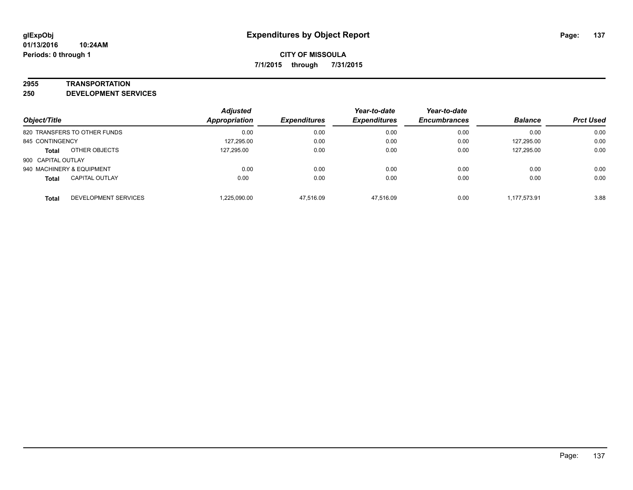#### **2955 TRANSPORTATION**

**250 DEVELOPMENT SERVICES**

| Object/Title                          | <b>Adjusted</b><br><b>Appropriation</b> | <b>Expenditures</b> | Year-to-date<br><b>Expenditures</b> | Year-to-date<br><b>Encumbrances</b> | <b>Balance</b> | <b>Prct Used</b> |
|---------------------------------------|-----------------------------------------|---------------------|-------------------------------------|-------------------------------------|----------------|------------------|
| 820 TRANSFERS TO OTHER FUNDS          | 0.00                                    | 0.00                | 0.00                                | 0.00                                | 0.00           | 0.00             |
| 845 CONTINGENCY                       | 127,295.00                              | 0.00                | 0.00                                | 0.00                                | 127,295.00     | 0.00             |
| OTHER OBJECTS<br><b>Total</b>         | 127.295.00                              | 0.00                | 0.00                                | 0.00                                | 127,295.00     | 0.00             |
| 900 CAPITAL OUTLAY                    |                                         |                     |                                     |                                     |                |                  |
| 940 MACHINERY & EQUIPMENT             | 0.00                                    | 0.00                | 0.00                                | 0.00                                | 0.00           | 0.00             |
| <b>CAPITAL OUTLAY</b><br><b>Total</b> | 0.00                                    | 0.00                | 0.00                                | 0.00                                | 0.00           | 0.00             |
| DEVELOPMENT SERVICES<br><b>Total</b>  | 1,225,090.00                            | 47.516.09           | 47.516.09                           | 0.00                                | 1,177,573.91   | 3.88             |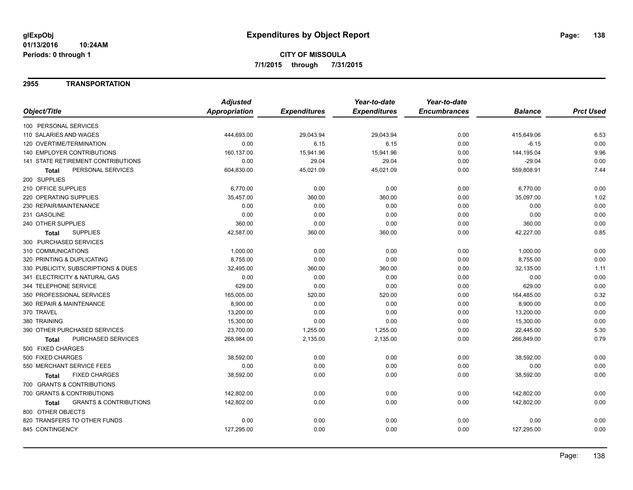### **2955 TRANSPORTATION**

|                                                   | <b>Adjusted</b>      |                     | Year-to-date        | Year-to-date        |                |                  |
|---------------------------------------------------|----------------------|---------------------|---------------------|---------------------|----------------|------------------|
| Object/Title                                      | <b>Appropriation</b> | <b>Expenditures</b> | <b>Expenditures</b> | <b>Encumbrances</b> | <b>Balance</b> | <b>Prct Used</b> |
| 100 PERSONAL SERVICES                             |                      |                     |                     |                     |                |                  |
| 110 SALARIES AND WAGES                            | 444,693.00           | 29,043.94           | 29,043.94           | 0.00                | 415,649.06     | 6.53             |
| 120 OVERTIME/TERMINATION                          | 0.00                 | 6.15                | 6.15                | 0.00                | $-6.15$        | 0.00             |
| 140 EMPLOYER CONTRIBUTIONS                        | 160,137.00           | 15,941.96           | 15,941.96           | 0.00                | 144,195.04     | 9.96             |
| 141 STATE RETIREMENT CONTRIBUTIONS                | 0.00                 | 29.04               | 29.04               | 0.00                | $-29.04$       | 0.00             |
| PERSONAL SERVICES<br>Total                        | 604,830.00           | 45,021.09           | 45,021.09           | 0.00                | 559,808.91     | 7.44             |
| 200 SUPPLIES                                      |                      |                     |                     |                     |                |                  |
| 210 OFFICE SUPPLIES                               | 6,770.00             | 0.00                | 0.00                | 0.00                | 6,770.00       | 0.00             |
| 220 OPERATING SUPPLIES                            | 35,457.00            | 360.00              | 360.00              | 0.00                | 35,097.00      | 1.02             |
| 230 REPAIR/MAINTENANCE                            | 0.00                 | 0.00                | 0.00                | 0.00                | 0.00           | 0.00             |
| 231 GASOLINE                                      | 0.00                 | 0.00                | 0.00                | 0.00                | 0.00           | 0.00             |
| 240 OTHER SUPPLIES                                | 360.00               | 0.00                | 0.00                | 0.00                | 360.00         | 0.00             |
| <b>SUPPLIES</b><br><b>Total</b>                   | 42,587.00            | 360.00              | 360.00              | 0.00                | 42,227.00      | 0.85             |
| 300 PURCHASED SERVICES                            |                      |                     |                     |                     |                |                  |
| 310 COMMUNICATIONS                                | 1,000.00             | 0.00                | 0.00                | 0.00                | 1,000.00       | 0.00             |
| 320 PRINTING & DUPLICATING                        | 8,755.00             | 0.00                | 0.00                | 0.00                | 8,755.00       | 0.00             |
| 330 PUBLICITY, SUBSCRIPTIONS & DUES               | 32,495.00            | 360.00              | 360.00              | 0.00                | 32,135.00      | 1.11             |
| 341 ELECTRICITY & NATURAL GAS                     | 0.00                 | 0.00                | 0.00                | 0.00                | 0.00           | 0.00             |
| 344 TELEPHONE SERVICE                             | 629.00               | 0.00                | 0.00                | 0.00                | 629.00         | 0.00             |
| 350 PROFESSIONAL SERVICES                         | 165,005.00           | 520.00              | 520.00              | 0.00                | 164,485.00     | 0.32             |
| 360 REPAIR & MAINTENANCE                          | 8,900.00             | 0.00                | 0.00                | 0.00                | 8,900.00       | 0.00             |
| 370 TRAVEL                                        | 13,200.00            | 0.00                | 0.00                | 0.00                | 13,200.00      | 0.00             |
| 380 TRAINING                                      | 15,300.00            | 0.00                | 0.00                | 0.00                | 15,300.00      | 0.00             |
| 390 OTHER PURCHASED SERVICES                      | 23,700.00            | 1,255.00            | 1,255.00            | 0.00                | 22,445.00      | 5.30             |
| PURCHASED SERVICES<br><b>Total</b>                | 268,984.00           | 2,135.00            | 2,135.00            | 0.00                | 266,849.00     | 0.79             |
| 500 FIXED CHARGES                                 |                      |                     |                     |                     |                |                  |
| 500 FIXED CHARGES                                 | 38,592.00            | 0.00                | 0.00                | 0.00                | 38,592.00      | 0.00             |
| 550 MERCHANT SERVICE FEES                         | 0.00                 | 0.00                | 0.00                | 0.00                | 0.00           | 0.00             |
| <b>FIXED CHARGES</b><br>Total                     | 38,592.00            | 0.00                | 0.00                | 0.00                | 38,592.00      | 0.00             |
| 700 GRANTS & CONTRIBUTIONS                        |                      |                     |                     |                     |                |                  |
| 700 GRANTS & CONTRIBUTIONS                        | 142,802.00           | 0.00                | 0.00                | 0.00                | 142,802.00     | 0.00             |
| <b>GRANTS &amp; CONTRIBUTIONS</b><br><b>Total</b> | 142,802.00           | 0.00                | 0.00                | 0.00                | 142,802.00     | 0.00             |
| 800 OTHER OBJECTS                                 |                      |                     |                     |                     |                |                  |
| 820 TRANSFERS TO OTHER FUNDS                      | 0.00                 | 0.00                | 0.00                | 0.00                | 0.00           | 0.00             |
| 845 CONTINGENCY                                   | 127,295.00           | 0.00                | 0.00                | 0.00                | 127,295.00     | 0.00             |
|                                                   |                      |                     |                     |                     |                |                  |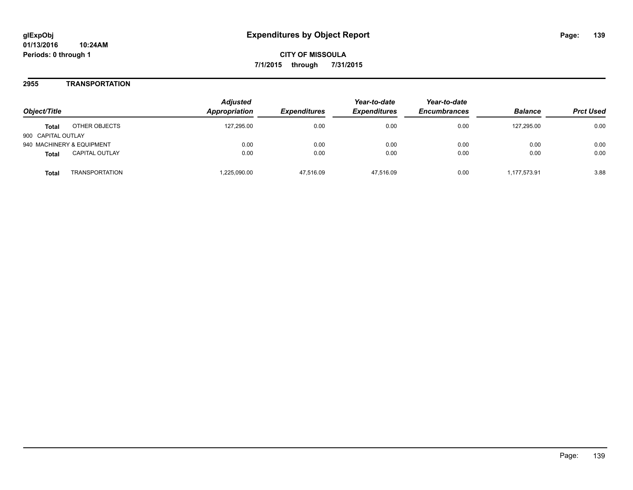### **2955 TRANSPORTATION**

| Obiect/Title                   | <b>Adjusted</b><br>Appropriation | <i><b>Expenditures</b></i> | Year-to-date<br><b>Expenditures</b> | Year-to-date<br><b>Encumbrances</b> | <b>Balance</b> | <b>Prct Used</b> |
|--------------------------------|----------------------------------|----------------------------|-------------------------------------|-------------------------------------|----------------|------------------|
| OTHER OBJECTS<br><b>Total</b>  | 127.295.00                       | 0.00                       | 0.00                                | 0.00                                | 127.295.00     | 0.00             |
| 900 CAPITAL OUTLAY             |                                  |                            |                                     |                                     |                |                  |
| 940 MACHINERY & EQUIPMENT      | 0.00                             | 0.00                       | 0.00                                | 0.00                                | 0.00           | 0.00             |
| <b>CAPITAL OUTLAY</b><br>Total | 0.00                             | 0.00                       | 0.00                                | 0.00                                | 0.00           | 0.00             |
| TRANSPORTATION<br>Total        | .225,090.00                      | 47.516.09                  | 47.516.09                           | 0.00                                | 1.177.573.91   | 3.88             |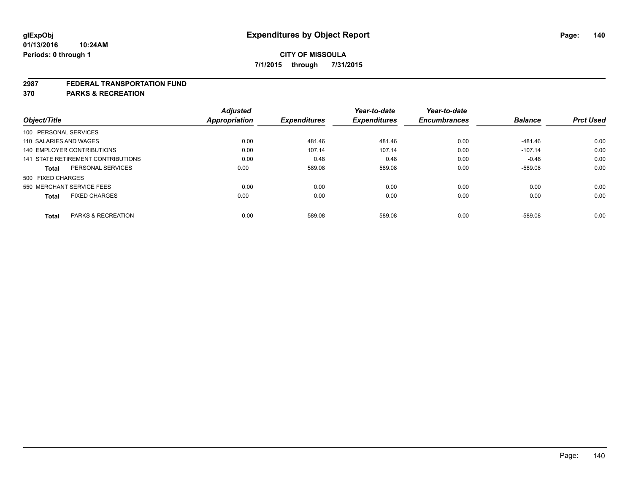#### **2987 FEDERAL TRANSPORTATION FUND**

**370 PARKS & RECREATION**

| Object/Title           |                                    | <b>Adjusted</b><br>Appropriation | <b>Expenditures</b> | Year-to-date<br><b>Expenditures</b> | Year-to-date<br><b>Encumbrances</b> | <b>Balance</b> | <b>Prct Used</b> |
|------------------------|------------------------------------|----------------------------------|---------------------|-------------------------------------|-------------------------------------|----------------|------------------|
|                        |                                    |                                  |                     |                                     |                                     |                |                  |
| 100 PERSONAL SERVICES  |                                    |                                  |                     |                                     |                                     |                |                  |
| 110 SALARIES AND WAGES |                                    | 0.00                             | 481.46              | 481.46                              | 0.00                                | -481.46        | 0.00             |
|                        | 140 EMPLOYER CONTRIBUTIONS         | 0.00                             | 107.14              | 107.14                              | 0.00                                | $-107.14$      | 0.00             |
|                        | 141 STATE RETIREMENT CONTRIBUTIONS | 0.00                             | 0.48                | 0.48                                | 0.00                                | $-0.48$        | 0.00             |
| <b>Total</b>           | PERSONAL SERVICES                  | 0.00                             | 589.08              | 589.08                              | 0.00                                | $-589.08$      | 0.00             |
| 500 FIXED CHARGES      |                                    |                                  |                     |                                     |                                     |                |                  |
|                        | 550 MERCHANT SERVICE FEES          | 0.00                             | 0.00                | 0.00                                | 0.00                                | 0.00           | 0.00             |
| <b>Total</b>           | <b>FIXED CHARGES</b>               | 0.00                             | 0.00                | 0.00                                | 0.00                                | 0.00           | 0.00             |
|                        |                                    |                                  |                     |                                     |                                     |                |                  |
| <b>Total</b>           | PARKS & RECREATION                 | 0.00                             | 589.08              | 589.08                              | 0.00                                | $-589.08$      | 0.00             |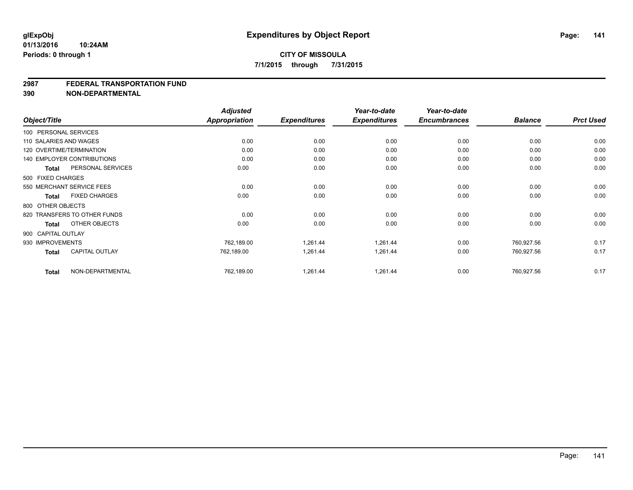#### **2987 FEDERAL TRANSPORTATION FUND**

**390 NON-DEPARTMENTAL**

| Object/Title           |                                   | <b>Adjusted</b><br><b>Appropriation</b> | <b>Expenditures</b> | Year-to-date<br><b>Expenditures</b> | Year-to-date<br><b>Encumbrances</b> | <b>Balance</b> | <b>Prct Used</b> |
|------------------------|-----------------------------------|-----------------------------------------|---------------------|-------------------------------------|-------------------------------------|----------------|------------------|
| 100 PERSONAL SERVICES  |                                   |                                         |                     |                                     |                                     |                |                  |
| 110 SALARIES AND WAGES |                                   | 0.00                                    | 0.00                | 0.00                                | 0.00                                | 0.00           | 0.00             |
|                        | 120 OVERTIME/TERMINATION          | 0.00                                    | 0.00                | 0.00                                | 0.00                                | 0.00           | 0.00             |
|                        | <b>140 EMPLOYER CONTRIBUTIONS</b> | 0.00                                    | 0.00                | 0.00                                | 0.00                                | 0.00           | 0.00             |
| <b>Total</b>           | PERSONAL SERVICES                 | 0.00                                    | 0.00                | 0.00                                | 0.00                                | 0.00           | 0.00             |
| 500 FIXED CHARGES      |                                   |                                         |                     |                                     |                                     |                |                  |
|                        | 550 MERCHANT SERVICE FEES         | 0.00                                    | 0.00                | 0.00                                | 0.00                                | 0.00           | 0.00             |
| Total                  | <b>FIXED CHARGES</b>              | 0.00                                    | 0.00                | 0.00                                | 0.00                                | 0.00           | 0.00             |
| 800 OTHER OBJECTS      |                                   |                                         |                     |                                     |                                     |                |                  |
|                        | 820 TRANSFERS TO OTHER FUNDS      | 0.00                                    | 0.00                | 0.00                                | 0.00                                | 0.00           | 0.00             |
| Total                  | OTHER OBJECTS                     | 0.00                                    | 0.00                | 0.00                                | 0.00                                | 0.00           | 0.00             |
| 900 CAPITAL OUTLAY     |                                   |                                         |                     |                                     |                                     |                |                  |
| 930 IMPROVEMENTS       |                                   | 762,189.00                              | 1,261.44            | 1,261.44                            | 0.00                                | 760.927.56     | 0.17             |
| <b>Total</b>           | <b>CAPITAL OUTLAY</b>             | 762,189.00                              | 1,261.44            | 1,261.44                            | 0.00                                | 760,927.56     | 0.17             |
| <b>Total</b>           | NON-DEPARTMENTAL                  | 762,189.00                              | 1,261.44            | 1,261.44                            | 0.00                                | 760,927.56     | 0.17             |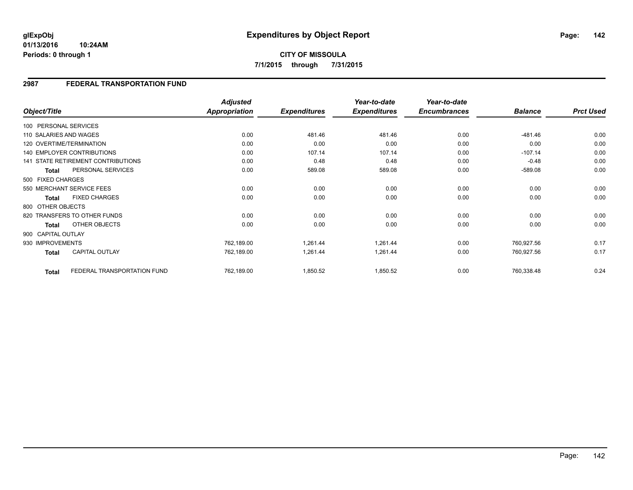**01/13/2016 10:24AM Periods: 0 through 1**

## **2987 FEDERAL TRANSPORTATION FUND**

| Object/Title           |                                    | <b>Adjusted</b><br><b>Appropriation</b> | <b>Expenditures</b> | Year-to-date<br><b>Expenditures</b> | Year-to-date<br><b>Encumbrances</b> | <b>Balance</b> | <b>Prct Used</b> |
|------------------------|------------------------------------|-----------------------------------------|---------------------|-------------------------------------|-------------------------------------|----------------|------------------|
| 100 PERSONAL SERVICES  |                                    |                                         |                     |                                     |                                     |                |                  |
| 110 SALARIES AND WAGES |                                    | 0.00                                    | 481.46              | 481.46                              | 0.00                                | $-481.46$      | 0.00             |
|                        | 120 OVERTIME/TERMINATION           | 0.00                                    | 0.00                | 0.00                                | 0.00                                | 0.00           | 0.00             |
|                        | <b>140 EMPLOYER CONTRIBUTIONS</b>  | 0.00                                    | 107.14              | 107.14                              | 0.00                                | $-107.14$      | 0.00             |
|                        | 141 STATE RETIREMENT CONTRIBUTIONS | 0.00                                    | 0.48                | 0.48                                | 0.00                                | $-0.48$        | 0.00             |
| <b>Total</b>           | PERSONAL SERVICES                  | 0.00                                    | 589.08              | 589.08                              | 0.00                                | $-589.08$      | 0.00             |
| 500 FIXED CHARGES      |                                    |                                         |                     |                                     |                                     |                |                  |
|                        | 550 MERCHANT SERVICE FEES          | 0.00                                    | 0.00                | 0.00                                | 0.00                                | 0.00           | 0.00             |
| Total                  | <b>FIXED CHARGES</b>               | 0.00                                    | 0.00                | 0.00                                | 0.00                                | 0.00           | 0.00             |
| 800 OTHER OBJECTS      |                                    |                                         |                     |                                     |                                     |                |                  |
|                        | 820 TRANSFERS TO OTHER FUNDS       | 0.00                                    | 0.00                | 0.00                                | 0.00                                | 0.00           | 0.00             |
| <b>Total</b>           | OTHER OBJECTS                      | 0.00                                    | 0.00                | 0.00                                | 0.00                                | 0.00           | 0.00             |
| 900 CAPITAL OUTLAY     |                                    |                                         |                     |                                     |                                     |                |                  |
| 930 IMPROVEMENTS       |                                    | 762,189.00                              | 1,261.44            | 1,261.44                            | 0.00                                | 760,927.56     | 0.17             |
| <b>Total</b>           | <b>CAPITAL OUTLAY</b>              | 762,189.00                              | 1,261.44            | 1,261.44                            | 0.00                                | 760,927.56     | 0.17             |
| <b>Total</b>           | FEDERAL TRANSPORTATION FUND        | 762,189.00                              | 1,850.52            | 1,850.52                            | 0.00                                | 760,338.48     | 0.24             |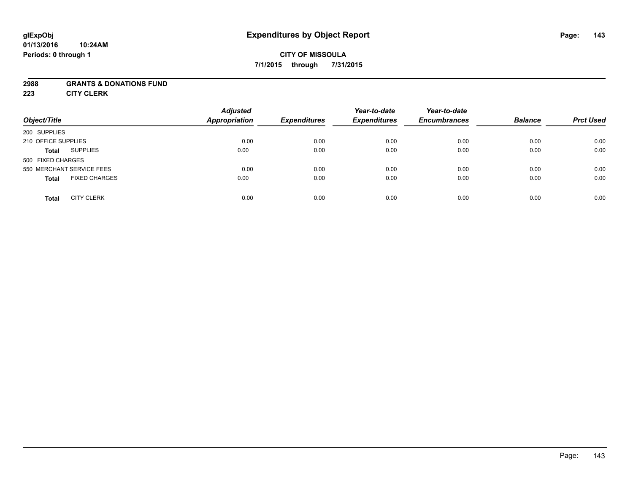### **2988 GRANTS & DONATIONS FUND**

**223 CITY CLERK**

| Object/Title                         | <b>Adjusted</b><br><b>Appropriation</b> | <b>Expenditures</b> | Year-to-date<br><b>Expenditures</b> | Year-to-date<br><b>Encumbrances</b> | <b>Balance</b> | <b>Prct Used</b> |
|--------------------------------------|-----------------------------------------|---------------------|-------------------------------------|-------------------------------------|----------------|------------------|
| 200 SUPPLIES                         |                                         |                     |                                     |                                     |                |                  |
| 210 OFFICE SUPPLIES                  | 0.00                                    | 0.00                | 0.00                                | 0.00                                | 0.00           | 0.00             |
| <b>SUPPLIES</b><br><b>Total</b>      | 0.00                                    | 0.00                | 0.00                                | 0.00                                | 0.00           | 0.00             |
| 500 FIXED CHARGES                    |                                         |                     |                                     |                                     |                |                  |
| 550 MERCHANT SERVICE FEES            | 0.00                                    | 0.00                | 0.00                                | 0.00                                | 0.00           | 0.00             |
| <b>FIXED CHARGES</b><br><b>Total</b> | 0.00                                    | 0.00                | 0.00                                | 0.00                                | 0.00           | 0.00             |
| <b>CITY CLERK</b><br><b>Total</b>    | 0.00                                    | 0.00                | 0.00                                | 0.00                                | 0.00           | 0.00             |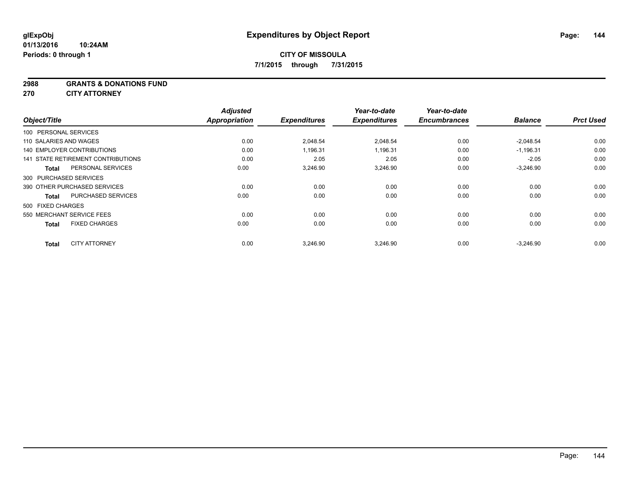#### **2988 GRANTS & DONATIONS FUND**

**270 CITY ATTORNEY**

|                                      | <b>Adjusted</b>      |                     | Year-to-date        | Year-to-date        |                |                  |
|--------------------------------------|----------------------|---------------------|---------------------|---------------------|----------------|------------------|
| Object/Title                         | <b>Appropriation</b> | <b>Expenditures</b> | <b>Expenditures</b> | <b>Encumbrances</b> | <b>Balance</b> | <b>Prct Used</b> |
| 100 PERSONAL SERVICES                |                      |                     |                     |                     |                |                  |
| 110 SALARIES AND WAGES               | 0.00                 | 2,048.54            | 2.048.54            | 0.00                | $-2,048.54$    | 0.00             |
| <b>140 EMPLOYER CONTRIBUTIONS</b>    | 0.00                 | 1,196.31            | 1,196.31            | 0.00                | $-1,196.31$    | 0.00             |
| 141 STATE RETIREMENT CONTRIBUTIONS   | 0.00                 | 2.05                | 2.05                | 0.00                | $-2.05$        | 0.00             |
| PERSONAL SERVICES<br><b>Total</b>    | 0.00                 | 3,246.90            | 3,246.90            | 0.00                | $-3,246.90$    | 0.00             |
| 300 PURCHASED SERVICES               |                      |                     |                     |                     |                |                  |
| 390 OTHER PURCHASED SERVICES         | 0.00                 | 0.00                | 0.00                | 0.00                | 0.00           | 0.00             |
| PURCHASED SERVICES<br><b>Total</b>   | 0.00                 | 0.00                | 0.00                | 0.00                | 0.00           | 0.00             |
| 500 FIXED CHARGES                    |                      |                     |                     |                     |                |                  |
| 550 MERCHANT SERVICE FEES            | 0.00                 | 0.00                | 0.00                | 0.00                | 0.00           | 0.00             |
| <b>FIXED CHARGES</b><br><b>Total</b> | 0.00                 | 0.00                | 0.00                | 0.00                | 0.00           | 0.00             |
| <b>CITY ATTORNEY</b><br><b>Total</b> | 0.00                 | 3.246.90            | 3.246.90            | 0.00                | $-3.246.90$    | 0.00             |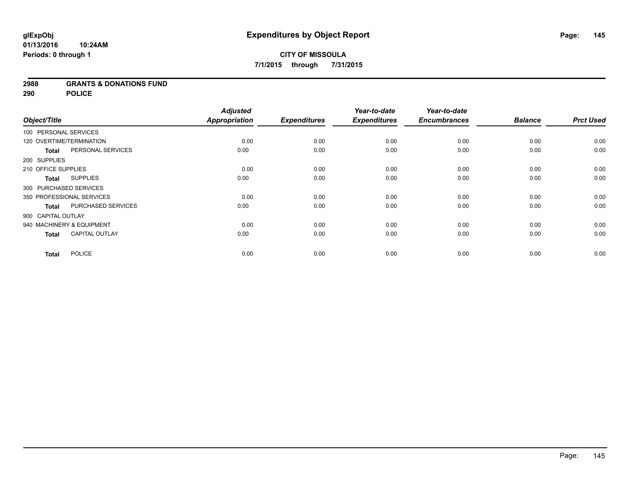### **2988 GRANTS & DONATIONS FUND**

**290 POLICE**

|                          |                           | <b>Adjusted</b>      |                     | Year-to-date        | Year-to-date        |                |                  |
|--------------------------|---------------------------|----------------------|---------------------|---------------------|---------------------|----------------|------------------|
| Object/Title             |                           | <b>Appropriation</b> | <b>Expenditures</b> | <b>Expenditures</b> | <b>Encumbrances</b> | <b>Balance</b> | <b>Prct Used</b> |
| 100 PERSONAL SERVICES    |                           |                      |                     |                     |                     |                |                  |
| 120 OVERTIME/TERMINATION |                           | 0.00                 | 0.00                | 0.00                | 0.00                | 0.00           | 0.00             |
| <b>Total</b>             | PERSONAL SERVICES         | 0.00                 | 0.00                | 0.00                | 0.00                | 0.00           | 0.00             |
| 200 SUPPLIES             |                           |                      |                     |                     |                     |                |                  |
| 210 OFFICE SUPPLIES      |                           | 0.00                 | 0.00                | 0.00                | 0.00                | 0.00           | 0.00             |
| Total                    | <b>SUPPLIES</b>           | 0.00                 | 0.00                | 0.00                | 0.00                | 0.00           | 0.00             |
| 300 PURCHASED SERVICES   |                           |                      |                     |                     |                     |                |                  |
|                          | 350 PROFESSIONAL SERVICES | 0.00                 | 0.00                | 0.00                | 0.00                | 0.00           | 0.00             |
| <b>Total</b>             | PURCHASED SERVICES        | 0.00                 | 0.00                | 0.00                | 0.00                | 0.00           | 0.00             |
| 900 CAPITAL OUTLAY       |                           |                      |                     |                     |                     |                |                  |
|                          | 940 MACHINERY & EQUIPMENT | 0.00                 | 0.00                | 0.00                | 0.00                | 0.00           | 0.00             |
| <b>Total</b>             | <b>CAPITAL OUTLAY</b>     | 0.00                 | 0.00                | 0.00                | 0.00                | 0.00           | 0.00             |
| <b>Total</b>             | <b>POLICE</b>             | 0.00                 | 0.00                | 0.00                | 0.00                | 0.00           | 0.00             |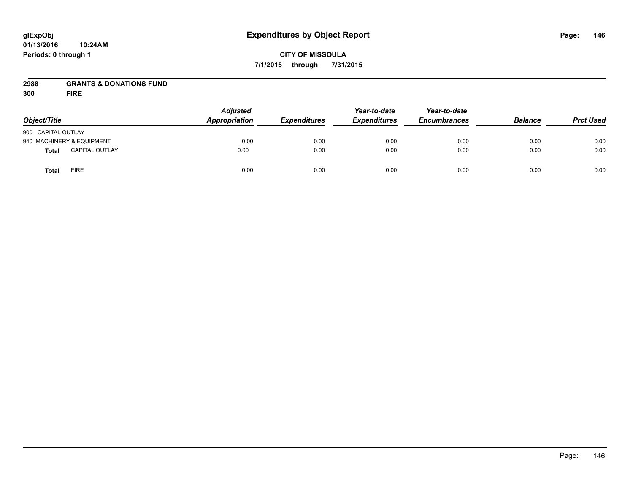#### **01/13/2016 10:24AM Periods: 0 through 1**

# **CITY OF MISSOULA 7/1/2015 through 7/31/2015**

# **2988 GRANTS & DONATIONS FUND**

**300 FIRE**

| Object/Title                |                       | <b>Adjusted</b><br>Appropriation | <b>Expenditures</b> | Year-to-date<br><b>Expenditures</b> | Year-to-date<br><b>Encumbrances</b> | <b>Balance</b> | <b>Prct Used</b> |
|-----------------------------|-----------------------|----------------------------------|---------------------|-------------------------------------|-------------------------------------|----------------|------------------|
|                             |                       |                                  |                     |                                     |                                     |                |                  |
| 900 CAPITAL OUTLAY          |                       |                                  |                     |                                     |                                     |                |                  |
| 940 MACHINERY & EQUIPMENT   |                       | 0.00                             | 0.00                | 0.00                                | 0.00                                | 0.00           | 0.00             |
| <b>Total</b>                | <b>CAPITAL OUTLAY</b> | 0.00                             | 0.00                | 0.00                                | 0.00                                | 0.00           | 0.00             |
| <b>FIRE</b><br><b>Total</b> |                       | 0.00                             | 0.00                | 0.00                                | 0.00                                | 0.00           | 0.00             |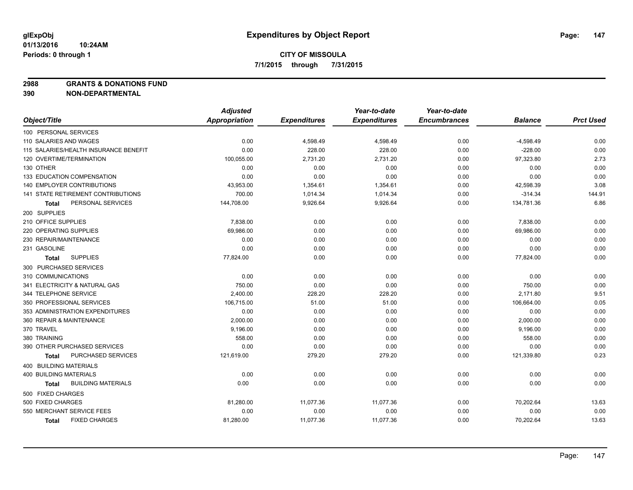**2988 GRANTS & DONATIONS FUND**

|                                       | <b>Adjusted</b>      |                     | Year-to-date        | Year-to-date        |                |                  |
|---------------------------------------|----------------------|---------------------|---------------------|---------------------|----------------|------------------|
| Object/Title                          | <b>Appropriation</b> | <b>Expenditures</b> | <b>Expenditures</b> | <b>Encumbrances</b> | <b>Balance</b> | <b>Prct Used</b> |
| 100 PERSONAL SERVICES                 |                      |                     |                     |                     |                |                  |
| 110 SALARIES AND WAGES                | 0.00                 | 4,598.49            | 4,598.49            | 0.00                | $-4,598.49$    | 0.00             |
| 115 SALARIES/HEALTH INSURANCE BENEFIT | 0.00                 | 228.00              | 228.00              | 0.00                | $-228.00$      | 0.00             |
| 120 OVERTIME/TERMINATION              | 100,055.00           | 2,731.20            | 2,731.20            | 0.00                | 97,323.80      | 2.73             |
| 130 OTHER                             | 0.00                 | 0.00                | 0.00                | 0.00                | 0.00           | 0.00             |
| 133 EDUCATION COMPENSATION            | 0.00                 | 0.00                | 0.00                | 0.00                | 0.00           | 0.00             |
| <b>140 EMPLOYER CONTRIBUTIONS</b>     | 43,953.00            | 1,354.61            | 1,354.61            | 0.00                | 42,598.39      | 3.08             |
| 141 STATE RETIREMENT CONTRIBUTIONS    | 700.00               | 1,014.34            | 1,014.34            | 0.00                | $-314.34$      | 144.91           |
| PERSONAL SERVICES<br>Total            | 144,708.00           | 9,926.64            | 9,926.64            | 0.00                | 134,781.36     | 6.86             |
| 200 SUPPLIES                          |                      |                     |                     |                     |                |                  |
| 210 OFFICE SUPPLIES                   | 7,838.00             | 0.00                | 0.00                | 0.00                | 7,838.00       | 0.00             |
| 220 OPERATING SUPPLIES                | 69,986.00            | 0.00                | 0.00                | 0.00                | 69,986.00      | 0.00             |
| 230 REPAIR/MAINTENANCE                | 0.00                 | 0.00                | 0.00                | 0.00                | 0.00           | 0.00             |
| 231 GASOLINE                          | 0.00                 | 0.00                | 0.00                | 0.00                | 0.00           | 0.00             |
| <b>SUPPLIES</b><br>Total              | 77,824.00            | 0.00                | 0.00                | 0.00                | 77,824.00      | 0.00             |
| 300 PURCHASED SERVICES                |                      |                     |                     |                     |                |                  |
| 310 COMMUNICATIONS                    | 0.00                 | 0.00                | 0.00                | 0.00                | 0.00           | 0.00             |
| 341 ELECTRICITY & NATURAL GAS         | 750.00               | 0.00                | 0.00                | 0.00                | 750.00         | 0.00             |
| 344 TELEPHONE SERVICE                 | 2,400.00             | 228.20              | 228.20              | 0.00                | 2,171.80       | 9.51             |
| 350 PROFESSIONAL SERVICES             | 106,715.00           | 51.00               | 51.00               | 0.00                | 106,664.00     | 0.05             |
| 353 ADMINISTRATION EXPENDITURES       | 0.00                 | 0.00                | 0.00                | 0.00                | 0.00           | 0.00             |
| 360 REPAIR & MAINTENANCE              | 2,000.00             | 0.00                | 0.00                | 0.00                | 2,000.00       | 0.00             |
| 370 TRAVEL                            | 9,196.00             | 0.00                | 0.00                | 0.00                | 9,196.00       | 0.00             |
| 380 TRAINING                          | 558.00               | 0.00                | 0.00                | 0.00                | 558.00         | 0.00             |
| 390 OTHER PURCHASED SERVICES          | 0.00                 | 0.00                | 0.00                | 0.00                | 0.00           | 0.00             |
| PURCHASED SERVICES<br>Total           | 121,619.00           | 279.20              | 279.20              | 0.00                | 121,339.80     | 0.23             |
| 400 BUILDING MATERIALS                |                      |                     |                     |                     |                |                  |
| <b>400 BUILDING MATERIALS</b>         | 0.00                 | 0.00                | 0.00                | 0.00                | 0.00           | 0.00             |
| <b>BUILDING MATERIALS</b><br>Total    | 0.00                 | 0.00                | 0.00                | 0.00                | 0.00           | 0.00             |
| 500 FIXED CHARGES                     |                      |                     |                     |                     |                |                  |
| 500 FIXED CHARGES                     | 81,280.00            | 11,077.36           | 11,077.36           | 0.00                | 70,202.64      | 13.63            |
| 550 MERCHANT SERVICE FEES             | 0.00                 | 0.00                | 0.00                | 0.00                | 0.00           | 0.00             |
| <b>FIXED CHARGES</b><br><b>Total</b>  | 81,280.00            | 11,077.36           | 11,077.36           | 0.00                | 70,202.64      | 13.63            |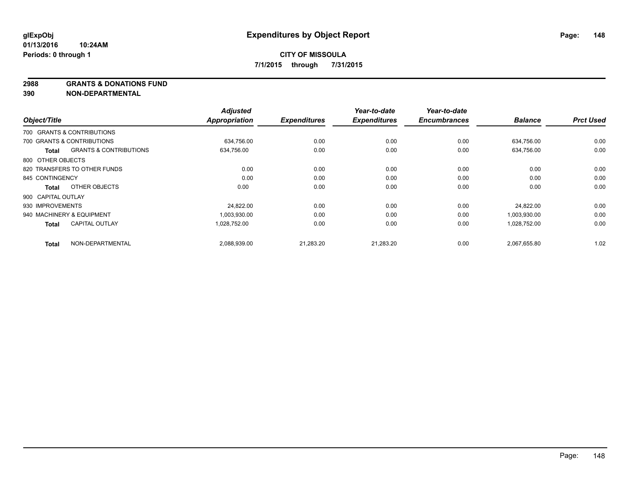**2988 GRANTS & DONATIONS FUND**

| Object/Title       |                                   | <b>Adjusted</b><br><b>Appropriation</b> | <b>Expenditures</b> | Year-to-date<br><b>Expenditures</b> | Year-to-date<br><b>Encumbrances</b> | <b>Balance</b> | <b>Prct Used</b> |
|--------------------|-----------------------------------|-----------------------------------------|---------------------|-------------------------------------|-------------------------------------|----------------|------------------|
|                    |                                   |                                         |                     |                                     |                                     |                |                  |
|                    | 700 GRANTS & CONTRIBUTIONS        |                                         |                     |                                     |                                     |                |                  |
|                    | 700 GRANTS & CONTRIBUTIONS        | 634,756.00                              | 0.00                | 0.00                                | 0.00                                | 634,756.00     | 0.00             |
| Total              | <b>GRANTS &amp; CONTRIBUTIONS</b> | 634,756.00                              | 0.00                | 0.00                                | 0.00                                | 634,756.00     | 0.00             |
| 800 OTHER OBJECTS  |                                   |                                         |                     |                                     |                                     |                |                  |
|                    | 820 TRANSFERS TO OTHER FUNDS      | 0.00                                    | 0.00                | 0.00                                | 0.00                                | 0.00           | 0.00             |
| 845 CONTINGENCY    |                                   | 0.00                                    | 0.00                | 0.00                                | 0.00                                | 0.00           | 0.00             |
| <b>Total</b>       | OTHER OBJECTS                     | 0.00                                    | 0.00                | 0.00                                | 0.00                                | 0.00           | 0.00             |
| 900 CAPITAL OUTLAY |                                   |                                         |                     |                                     |                                     |                |                  |
| 930 IMPROVEMENTS   |                                   | 24,822.00                               | 0.00                | 0.00                                | 0.00                                | 24,822.00      | 0.00             |
|                    | 940 MACHINERY & EQUIPMENT         | 1,003,930.00                            | 0.00                | 0.00                                | 0.00                                | 1,003,930.00   | 0.00             |
| <b>Total</b>       | <b>CAPITAL OUTLAY</b>             | 1,028,752.00                            | 0.00                | 0.00                                | 0.00                                | 1,028,752.00   | 0.00             |
| <b>Total</b>       | NON-DEPARTMENTAL                  | 2,088,939.00                            | 21,283.20           | 21,283.20                           | 0.00                                | 2,067,655.80   | 1.02             |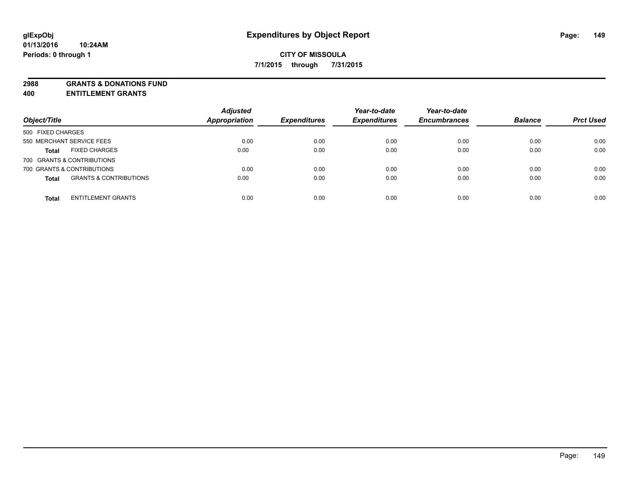**2988 GRANTS & DONATIONS FUND**

**400 ENTITLEMENT GRANTS**

| Object/Title                                      | <b>Adjusted</b><br><b>Appropriation</b> | <b>Expenditures</b> | Year-to-date<br><b>Expenditures</b> | Year-to-date<br><b>Encumbrances</b> | <b>Balance</b> | <b>Prct Used</b> |
|---------------------------------------------------|-----------------------------------------|---------------------|-------------------------------------|-------------------------------------|----------------|------------------|
| 500 FIXED CHARGES                                 |                                         |                     |                                     |                                     |                |                  |
| 550 MERCHANT SERVICE FEES                         | 0.00                                    | 0.00                | 0.00                                | 0.00                                | 0.00           | 0.00             |
| <b>FIXED CHARGES</b><br><b>Total</b>              | 0.00                                    | 0.00                | 0.00                                | 0.00                                | 0.00           | 0.00             |
| 700 GRANTS & CONTRIBUTIONS                        |                                         |                     |                                     |                                     |                |                  |
| 700 GRANTS & CONTRIBUTIONS                        | 0.00                                    | 0.00                | 0.00                                | 0.00                                | 0.00           | 0.00             |
| <b>GRANTS &amp; CONTRIBUTIONS</b><br><b>Total</b> | 0.00                                    | 0.00                | 0.00                                | 0.00                                | 0.00           | 0.00             |
| <b>ENTITLEMENT GRANTS</b><br><b>Total</b>         | 0.00                                    | 0.00                | 0.00                                | 0.00                                | 0.00           | 0.00             |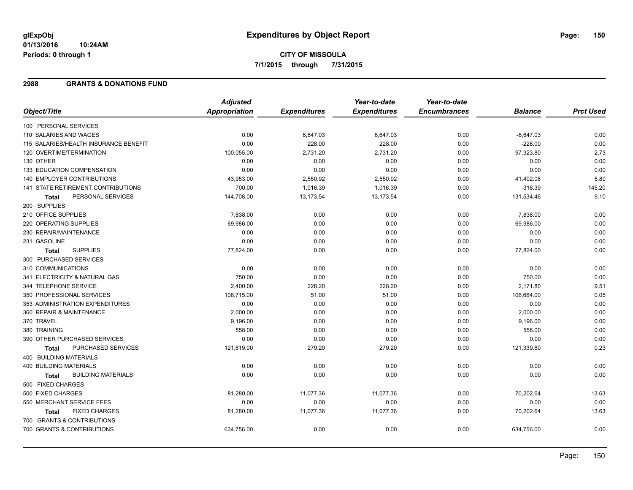#### **01/13/2016 10:24AM Periods: 0 through 1**

### **2988 GRANTS & DONATIONS FUND**

|                                           | <b>Adjusted</b>      |                     | Year-to-date        | Year-to-date        |                |                  |
|-------------------------------------------|----------------------|---------------------|---------------------|---------------------|----------------|------------------|
| Object/Title                              | <b>Appropriation</b> | <b>Expenditures</b> | <b>Expenditures</b> | <b>Encumbrances</b> | <b>Balance</b> | <b>Prct Used</b> |
| 100 PERSONAL SERVICES                     |                      |                     |                     |                     |                |                  |
| 110 SALARIES AND WAGES                    | 0.00                 | 6,647.03            | 6,647.03            | 0.00                | $-6,647.03$    | 0.00             |
| 115 SALARIES/HEALTH INSURANCE BENEFIT     | 0.00                 | 228.00              | 228.00              | 0.00                | $-228.00$      | 0.00             |
| 120 OVERTIME/TERMINATION                  | 100,055.00           | 2,731.20            | 2,731.20            | 0.00                | 97,323.80      | 2.73             |
| 130 OTHER                                 | 0.00                 | 0.00                | 0.00                | 0.00                | 0.00           | 0.00             |
| 133 EDUCATION COMPENSATION                | 0.00                 | 0.00                | 0.00                | 0.00                | 0.00           | 0.00             |
| 140 EMPLOYER CONTRIBUTIONS                | 43,953.00            | 2,550.92            | 2,550.92            | 0.00                | 41,402.08      | 5.80             |
| 141 STATE RETIREMENT CONTRIBUTIONS        | 700.00               | 1,016.39            | 1,016.39            | 0.00                | $-316.39$      | 145.20           |
| PERSONAL SERVICES<br>Total                | 144,708.00           | 13,173.54           | 13,173.54           | 0.00                | 131,534.46     | 9.10             |
| 200 SUPPLIES                              |                      |                     |                     |                     |                |                  |
| 210 OFFICE SUPPLIES                       | 7,838.00             | 0.00                | 0.00                | 0.00                | 7,838.00       | 0.00             |
| 220 OPERATING SUPPLIES                    | 69,986.00            | 0.00                | 0.00                | 0.00                | 69,986.00      | 0.00             |
| 230 REPAIR/MAINTENANCE                    | 0.00                 | 0.00                | 0.00                | 0.00                | 0.00           | 0.00             |
| 231 GASOLINE                              | 0.00                 | 0.00                | 0.00                | 0.00                | 0.00           | 0.00             |
| <b>SUPPLIES</b><br><b>Total</b>           | 77,824.00            | 0.00                | 0.00                | 0.00                | 77,824.00      | 0.00             |
| 300 PURCHASED SERVICES                    |                      |                     |                     |                     |                |                  |
| 310 COMMUNICATIONS                        | 0.00                 | 0.00                | 0.00                | 0.00                | 0.00           | 0.00             |
| 341 ELECTRICITY & NATURAL GAS             | 750.00               | 0.00                | 0.00                | 0.00                | 750.00         | 0.00             |
| 344 TELEPHONE SERVICE                     | 2,400.00             | 228.20              | 228.20              | 0.00                | 2,171.80       | 9.51             |
| 350 PROFESSIONAL SERVICES                 | 106,715.00           | 51.00               | 51.00               | 0.00                | 106,664.00     | 0.05             |
| 353 ADMINISTRATION EXPENDITURES           | 0.00                 | 0.00                | 0.00                | 0.00                | 0.00           | 0.00             |
| 360 REPAIR & MAINTENANCE                  | 2,000.00             | 0.00                | 0.00                | 0.00                | 2,000.00       | 0.00             |
| 370 TRAVEL                                | 9,196.00             | 0.00                | 0.00                | 0.00                | 9,196.00       | 0.00             |
| 380 TRAINING                              | 558.00               | 0.00                | 0.00                | 0.00                | 558.00         | 0.00             |
| 390 OTHER PURCHASED SERVICES              | 0.00                 | 0.00                | 0.00                | 0.00                | 0.00           | 0.00             |
| PURCHASED SERVICES<br><b>Total</b>        | 121,619.00           | 279.20              | 279.20              | 0.00                | 121,339.80     | 0.23             |
| 400 BUILDING MATERIALS                    |                      |                     |                     |                     |                |                  |
| 400 BUILDING MATERIALS                    | 0.00                 | 0.00                | 0.00                | 0.00                | 0.00           | 0.00             |
| <b>BUILDING MATERIALS</b><br><b>Total</b> | 0.00                 | 0.00                | 0.00                | 0.00                | 0.00           | 0.00             |
| 500 FIXED CHARGES                         |                      |                     |                     |                     |                |                  |
| 500 FIXED CHARGES                         | 81,280.00            | 11,077.36           | 11,077.36           | 0.00                | 70,202.64      | 13.63            |
| 550 MERCHANT SERVICE FEES                 | 0.00                 | 0.00                | 0.00                | 0.00                | 0.00           | 0.00             |
| <b>FIXED CHARGES</b><br><b>Total</b>      | 81,280.00            | 11,077.36           | 11,077.36           | 0.00                | 70,202.64      | 13.63            |
| 700 GRANTS & CONTRIBUTIONS                |                      |                     |                     |                     |                |                  |
| 700 GRANTS & CONTRIBUTIONS                | 634,756.00           | 0.00                | 0.00                | 0.00                | 634,756.00     | 0.00             |
|                                           |                      |                     |                     |                     |                |                  |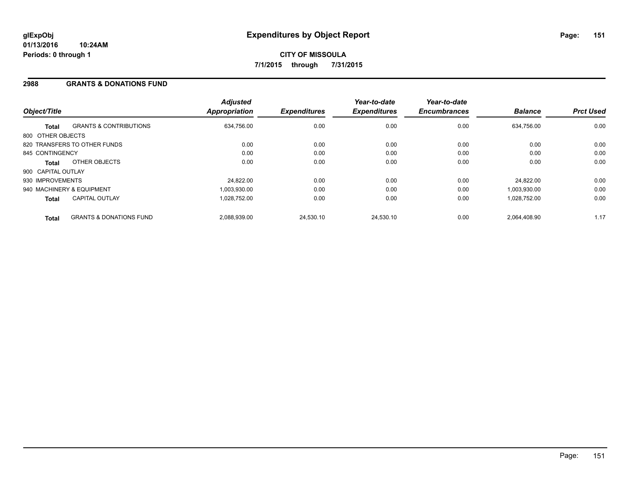### **2988 GRANTS & DONATIONS FUND**

| Object/Title       |                                    | <b>Adjusted</b><br><b>Appropriation</b> | <b>Expenditures</b> | Year-to-date<br><b>Expenditures</b> | Year-to-date<br><b>Encumbrances</b> | <b>Balance</b> | <b>Prct Used</b> |
|--------------------|------------------------------------|-----------------------------------------|---------------------|-------------------------------------|-------------------------------------|----------------|------------------|
| <b>Total</b>       | <b>GRANTS &amp; CONTRIBUTIONS</b>  | 634,756.00                              | 0.00                | 0.00                                | 0.00                                | 634.756.00     | 0.00             |
| 800 OTHER OBJECTS  |                                    |                                         |                     |                                     |                                     |                |                  |
|                    | 820 TRANSFERS TO OTHER FUNDS       | 0.00                                    | 0.00                | 0.00                                | 0.00                                | 0.00           | 0.00             |
| 845 CONTINGENCY    |                                    | 0.00                                    | 0.00                | 0.00                                | 0.00                                | 0.00           | 0.00             |
| Total              | OTHER OBJECTS                      | 0.00                                    | 0.00                | 0.00                                | 0.00                                | 0.00           | 0.00             |
| 900 CAPITAL OUTLAY |                                    |                                         |                     |                                     |                                     |                |                  |
| 930 IMPROVEMENTS   |                                    | 24,822.00                               | 0.00                | 0.00                                | 0.00                                | 24.822.00      | 0.00             |
|                    | 940 MACHINERY & EQUIPMENT          | 1.003.930.00                            | 0.00                | 0.00                                | 0.00                                | 1,003,930.00   | 0.00             |
| <b>Total</b>       | <b>CAPITAL OUTLAY</b>              | 1.028.752.00                            | 0.00                | 0.00                                | 0.00                                | 1,028,752.00   | 0.00             |
| <b>Total</b>       | <b>GRANTS &amp; DONATIONS FUND</b> | 2.088.939.00                            | 24.530.10           | 24.530.10                           | 0.00                                | 2.064.408.90   | 1.17             |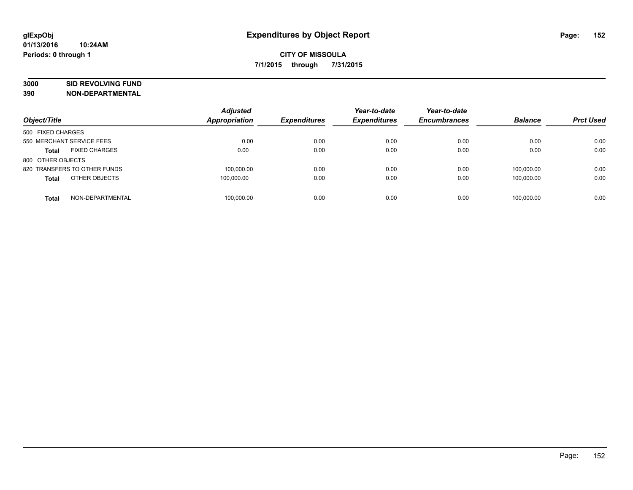# **3000 SID REVOLVING FUND**

| Object/Title                         | <b>Adjusted</b><br>Appropriation | <b>Expenditures</b> | Year-to-date<br><b>Expenditures</b> | Year-to-date<br><b>Encumbrances</b> | <b>Balance</b> | <b>Prct Used</b> |
|--------------------------------------|----------------------------------|---------------------|-------------------------------------|-------------------------------------|----------------|------------------|
| 500 FIXED CHARGES                    |                                  |                     |                                     |                                     |                |                  |
| 550 MERCHANT SERVICE FEES            | 0.00                             | 0.00                | 0.00                                | 0.00                                | 0.00           | 0.00             |
| <b>FIXED CHARGES</b><br><b>Total</b> | 0.00                             | 0.00                | 0.00                                | 0.00                                | 0.00           | 0.00             |
| 800 OTHER OBJECTS                    |                                  |                     |                                     |                                     |                |                  |
| 820 TRANSFERS TO OTHER FUNDS         | 100.000.00                       | 0.00                | 0.00                                | 0.00                                | 100.000.00     | 0.00             |
| OTHER OBJECTS<br><b>Total</b>        | 100,000.00                       | 0.00                | 0.00                                | 0.00                                | 100.000.00     | 0.00             |
| NON-DEPARTMENTAL<br><b>Total</b>     | 100.000.00                       | 0.00                | 0.00                                | 0.00                                | 100.000.00     | 0.00             |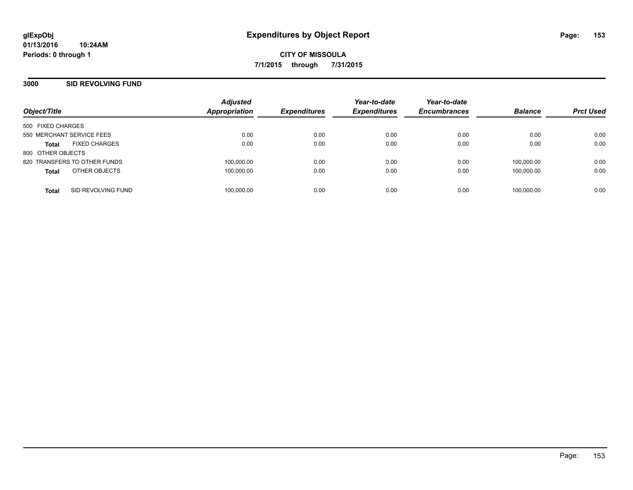## **3000 SID REVOLVING FUND**

| Object/Title                 |                      | <b>Adjusted</b><br>Appropriation | <b>Expenditures</b> | Year-to-date<br><b>Expenditures</b> | Year-to-date<br><b>Encumbrances</b> | <b>Balance</b> | <b>Prct Used</b> |
|------------------------------|----------------------|----------------------------------|---------------------|-------------------------------------|-------------------------------------|----------------|------------------|
| 500 FIXED CHARGES            |                      |                                  |                     |                                     |                                     |                |                  |
| 550 MERCHANT SERVICE FEES    |                      | 0.00                             | 0.00                | 0.00                                | 0.00                                | 0.00           | 0.00             |
| <b>Total</b>                 | <b>FIXED CHARGES</b> | 0.00                             | 0.00                | 0.00                                | 0.00                                | 0.00           | 0.00             |
| 800 OTHER OBJECTS            |                      |                                  |                     |                                     |                                     |                |                  |
| 820 TRANSFERS TO OTHER FUNDS |                      | 100.000.00                       | 0.00                | 0.00                                | 0.00                                | 100.000.00     | 0.00             |
| <b>Total</b>                 | OTHER OBJECTS        | 100,000.00                       | 0.00                | 0.00                                | 0.00                                | 100.000.00     | 0.00             |
| <b>Total</b>                 | SID REVOLVING FUND   | 100,000.00                       | 0.00                | 0.00                                | 0.00                                | 100.000.00     | 0.00             |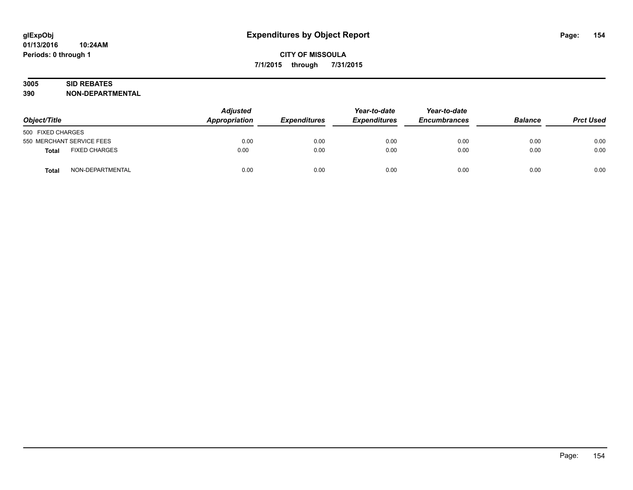# **3005 SID REBATES**

| Object/Title              |                      | <b>Adjusted</b><br>Appropriation | <b>Expenditures</b> | Year-to-date<br><b>Expenditures</b> | Year-to-date<br><b>Encumbrances</b> | <b>Balance</b> | <b>Prct Used</b> |
|---------------------------|----------------------|----------------------------------|---------------------|-------------------------------------|-------------------------------------|----------------|------------------|
| 500 FIXED CHARGES         |                      |                                  |                     |                                     |                                     |                |                  |
| 550 MERCHANT SERVICE FEES |                      | 0.00                             | 0.00                | 0.00                                | 0.00                                | 0.00           | 0.00             |
| Total                     | <b>FIXED CHARGES</b> | 0.00                             | 0.00                | 0.00                                | 0.00                                | 0.00           | 0.00             |
| <b>Total</b>              | NON-DEPARTMENTAL     | 0.00                             | 0.00                | 0.00                                | 0.00                                | 0.00           | 0.00             |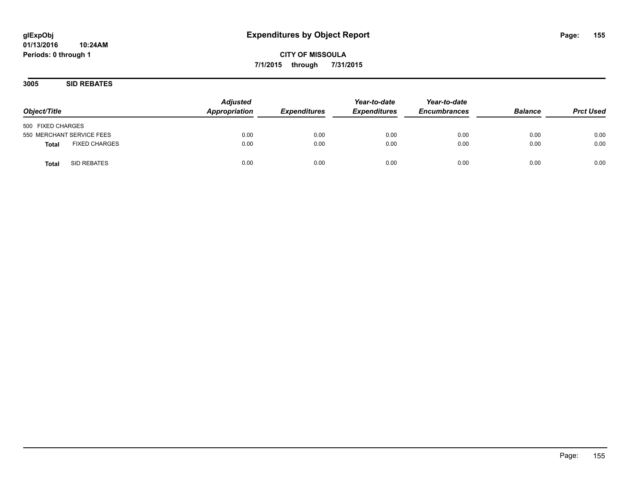**3005 SID REBATES**

| Object/Title                         | <b>Adjusted</b><br>Appropriation | <b>Expenditures</b> | Year-to-date<br><b>Expenditures</b> | Year-to-date<br><b>Encumbrances</b> | <b>Balance</b> | <b>Prct Used</b> |
|--------------------------------------|----------------------------------|---------------------|-------------------------------------|-------------------------------------|----------------|------------------|
| 500 FIXED CHARGES                    |                                  |                     |                                     |                                     |                |                  |
| 550 MERCHANT SERVICE FEES            | 0.00                             | 0.00                | 0.00                                | 0.00                                | 0.00           | 0.00             |
| <b>FIXED CHARGES</b><br><b>Total</b> | 0.00                             | 0.00                | 0.00                                | 0.00                                | 0.00           | 0.00             |
| SID REBATES<br><b>Total</b>          | 0.00                             | 0.00                | 0.00                                | 0.00                                | 0.00           | 0.00             |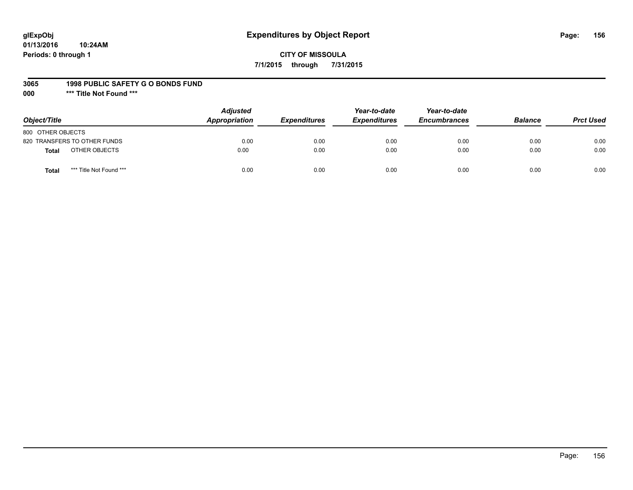# **glExpObj Expenditures by Object Report Page: 156**

## **CITY OF MISSOULA 7/1/2015 through 7/31/2015**

#### **3065 1998 PUBLIC SAFETY G O BONDS FUND**

**000 \*\*\* Title Not Found \*\*\***

| Object/Title                            | <b>Adjusted</b><br>Appropriation | <b>Expenditures</b> | Year-to-date<br><b>Expenditures</b> | Year-to-date<br><b>Encumbrances</b> | <b>Balance</b> | <b>Prct Used</b> |
|-----------------------------------------|----------------------------------|---------------------|-------------------------------------|-------------------------------------|----------------|------------------|
| 800 OTHER OBJECTS                       |                                  |                     |                                     |                                     |                |                  |
| 820 TRANSFERS TO OTHER FUNDS            | 0.00                             | 0.00                | 0.00                                | 0.00                                | 0.00           | 0.00             |
| OTHER OBJECTS<br><b>Total</b>           | 0.00                             | 0.00                | 0.00                                | 0.00                                | 0.00           | 0.00             |
| *** Title Not Found ***<br><b>Total</b> | 0.00                             | 0.00                | 0.00                                | 0.00                                | 0.00           | 0.00             |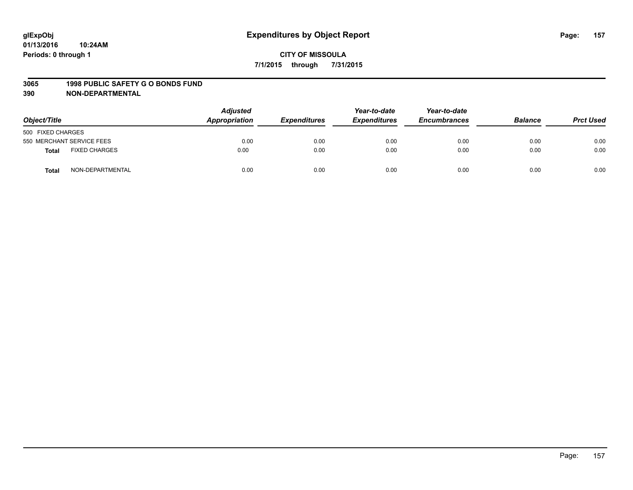#### **3065 1998 PUBLIC SAFETY G O BONDS FUND**

| Object/Title      |                           | <b>Adjusted</b><br>Appropriation | <b>Expenditures</b> | Year-to-date<br><b>Expenditures</b> | Year-to-date<br><b>Encumbrances</b> | <b>Balance</b> | <b>Prct Used</b> |
|-------------------|---------------------------|----------------------------------|---------------------|-------------------------------------|-------------------------------------|----------------|------------------|
| 500 FIXED CHARGES |                           |                                  |                     |                                     |                                     |                |                  |
|                   | 550 MERCHANT SERVICE FEES | 0.00                             | 0.00                | 0.00                                | 0.00                                | 0.00           | 0.00             |
| <b>Total</b>      | <b>FIXED CHARGES</b>      | 0.00                             | 0.00                | 0.00                                | 0.00                                | 0.00           | 0.00             |
| <b>Total</b>      | NON-DEPARTMENTAL          | 0.00                             | 0.00                | 0.00                                | 0.00                                | 0.00           | 0.00             |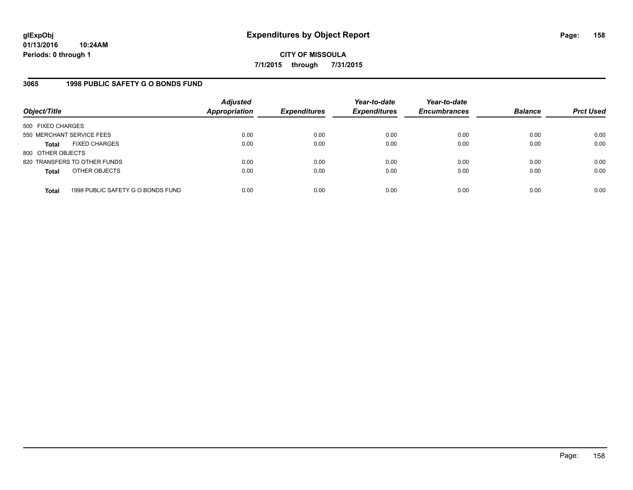# **3065 1998 PUBLIC SAFETY G O BONDS FUND**

| Object/Title              |                                   | <b>Adjusted</b><br><b>Appropriation</b> | <b>Expenditures</b> | Year-to-date<br><b>Expenditures</b> | Year-to-date<br><b>Encumbrances</b> | <b>Balance</b> | <b>Prct Used</b> |
|---------------------------|-----------------------------------|-----------------------------------------|---------------------|-------------------------------------|-------------------------------------|----------------|------------------|
| 500 FIXED CHARGES         |                                   |                                         |                     |                                     |                                     |                |                  |
| 550 MERCHANT SERVICE FEES |                                   | 0.00                                    | 0.00                | 0.00                                | 0.00                                | 0.00           | 0.00             |
| Total                     | <b>FIXED CHARGES</b>              | 0.00                                    | 0.00                | 0.00                                | 0.00                                | 0.00           | 0.00             |
| 800 OTHER OBJECTS         |                                   |                                         |                     |                                     |                                     |                |                  |
|                           | 820 TRANSFERS TO OTHER FUNDS      | 0.00                                    | 0.00                | 0.00                                | 0.00                                | 0.00           | 0.00             |
| <b>Total</b>              | OTHER OBJECTS                     | 0.00                                    | 0.00                | 0.00                                | 0.00                                | 0.00           | 0.00             |
| <b>Total</b>              | 1998 PUBLIC SAFETY G O BONDS FUND | 0.00                                    | 0.00                | 0.00                                | 0.00                                | 0.00           | 0.00             |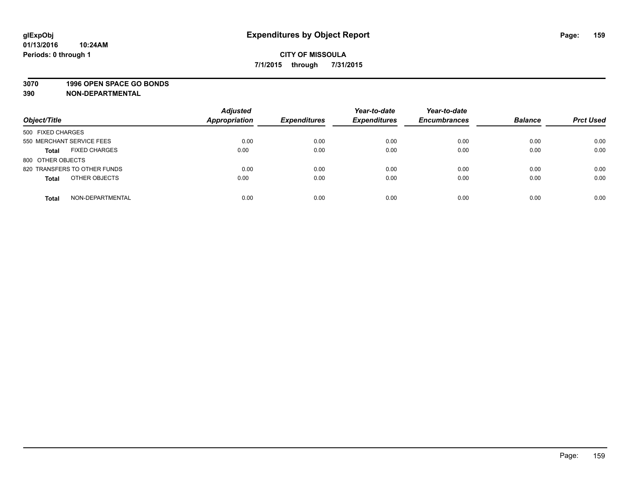### **3070 1996 OPEN SPACE GO BONDS**

| Object/Title                         | <b>Adjusted</b><br><b>Appropriation</b> | <b>Expenditures</b> | Year-to-date<br><b>Expenditures</b> | Year-to-date<br><b>Encumbrances</b> | <b>Balance</b> | <b>Prct Used</b> |
|--------------------------------------|-----------------------------------------|---------------------|-------------------------------------|-------------------------------------|----------------|------------------|
|                                      |                                         |                     |                                     |                                     |                |                  |
| 500 FIXED CHARGES                    |                                         |                     |                                     |                                     |                |                  |
| 550 MERCHANT SERVICE FEES            | 0.00                                    | 0.00                | 0.00                                | 0.00                                | 0.00           | 0.00             |
| <b>FIXED CHARGES</b><br><b>Total</b> | 0.00                                    | 0.00                | 0.00                                | 0.00                                | 0.00           | 0.00             |
| 800 OTHER OBJECTS                    |                                         |                     |                                     |                                     |                |                  |
| 820 TRANSFERS TO OTHER FUNDS         | 0.00                                    | 0.00                | 0.00                                | 0.00                                | 0.00           | 0.00             |
| OTHER OBJECTS<br><b>Total</b>        | 0.00                                    | 0.00                | 0.00                                | 0.00                                | 0.00           | 0.00             |
|                                      |                                         |                     |                                     |                                     |                |                  |
| NON-DEPARTMENTAL<br><b>Total</b>     | 0.00                                    | 0.00                | 0.00                                | 0.00                                | 0.00           | 0.00             |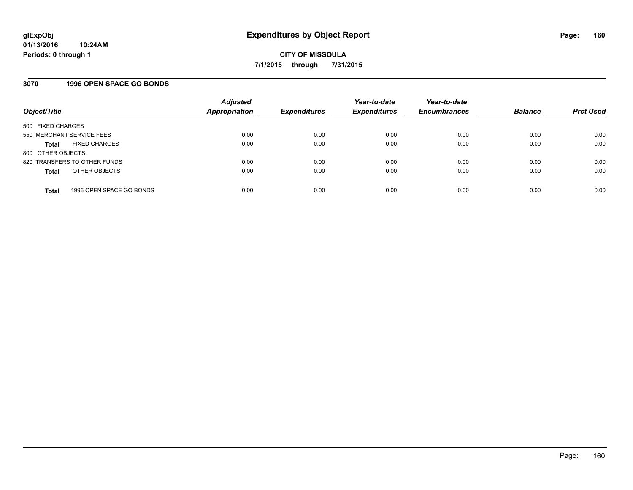## **3070 1996 OPEN SPACE GO BONDS**

| Object/Title                             | <b>Adjusted</b><br>Appropriation | <b>Expenditures</b> | Year-to-date<br><b>Expenditures</b> | Year-to-date<br><b>Encumbrances</b> | <b>Balance</b> | <b>Prct Used</b> |
|------------------------------------------|----------------------------------|---------------------|-------------------------------------|-------------------------------------|----------------|------------------|
| 500 FIXED CHARGES                        |                                  |                     |                                     |                                     |                |                  |
| 550 MERCHANT SERVICE FEES                | 0.00                             | 0.00                | 0.00                                | 0.00                                | 0.00           | 0.00             |
| <b>FIXED CHARGES</b><br><b>Total</b>     | 0.00                             | 0.00                | 0.00                                | 0.00                                | 0.00           | 0.00             |
| 800 OTHER OBJECTS                        |                                  |                     |                                     |                                     |                |                  |
| 820 TRANSFERS TO OTHER FUNDS             | 0.00                             | 0.00                | 0.00                                | 0.00                                | 0.00           | 0.00             |
| OTHER OBJECTS<br><b>Total</b>            | 0.00                             | 0.00                | 0.00                                | 0.00                                | 0.00           | 0.00             |
| 1996 OPEN SPACE GO BONDS<br><b>Total</b> | 0.00                             | 0.00                | 0.00                                | 0.00                                | 0.00           | 0.00             |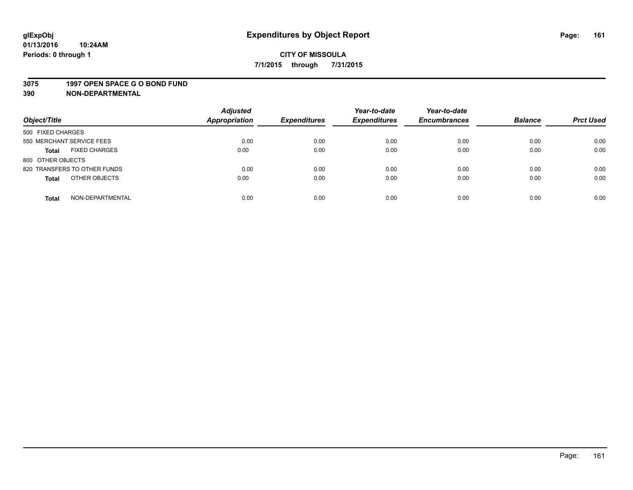#### **3075 1997 OPEN SPACE G O BOND FUND**

| Object/Title                         | <b>Adjusted</b><br>Appropriation | <b>Expenditures</b> | Year-to-date<br><b>Expenditures</b> | Year-to-date<br><b>Encumbrances</b> | <b>Balance</b> | <b>Prct Used</b> |
|--------------------------------------|----------------------------------|---------------------|-------------------------------------|-------------------------------------|----------------|------------------|
| 500 FIXED CHARGES                    |                                  |                     |                                     |                                     |                |                  |
| 550 MERCHANT SERVICE FEES            | 0.00                             | 0.00                | 0.00                                | 0.00                                | 0.00           | 0.00             |
| <b>FIXED CHARGES</b><br><b>Total</b> | 0.00                             | 0.00                | 0.00                                | 0.00                                | 0.00           | 0.00             |
| 800 OTHER OBJECTS                    |                                  |                     |                                     |                                     |                |                  |
| 820 TRANSFERS TO OTHER FUNDS         | 0.00                             | 0.00                | 0.00                                | 0.00                                | 0.00           | 0.00             |
| OTHER OBJECTS<br><b>Total</b>        | 0.00                             | 0.00                | 0.00                                | 0.00                                | 0.00           | 0.00             |
| NON-DEPARTMENTAL<br><b>Total</b>     | 0.00                             | 0.00                | 0.00                                | 0.00                                | 0.00           | 0.00             |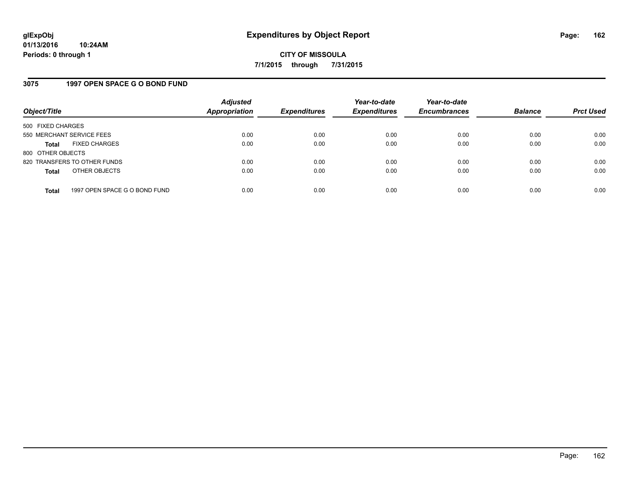### **3075 1997 OPEN SPACE G O BOND FUND**

| Object/Title              |                               | <b>Adjusted</b><br><b>Appropriation</b> | <b>Expenditures</b> | Year-to-date<br><b>Expenditures</b> | Year-to-date<br><b>Encumbrances</b> | <b>Balance</b> | <b>Prct Used</b> |
|---------------------------|-------------------------------|-----------------------------------------|---------------------|-------------------------------------|-------------------------------------|----------------|------------------|
| 500 FIXED CHARGES         |                               |                                         |                     |                                     |                                     |                |                  |
| 550 MERCHANT SERVICE FEES |                               | 0.00                                    | 0.00                | 0.00                                | 0.00                                | 0.00           | 0.00             |
| <b>Total</b>              | <b>FIXED CHARGES</b>          | 0.00                                    | 0.00                | 0.00                                | 0.00                                | 0.00           | 0.00             |
| 800 OTHER OBJECTS         |                               |                                         |                     |                                     |                                     |                |                  |
|                           | 820 TRANSFERS TO OTHER FUNDS  | 0.00                                    | 0.00                | 0.00                                | 0.00                                | 0.00           | 0.00             |
| <b>Total</b>              | OTHER OBJECTS                 | 0.00                                    | 0.00                | 0.00                                | 0.00                                | 0.00           | 0.00             |
| <b>Total</b>              | 1997 OPEN SPACE G O BOND FUND | 0.00                                    | 0.00                | 0.00                                | 0.00                                | 0.00           | 0.00             |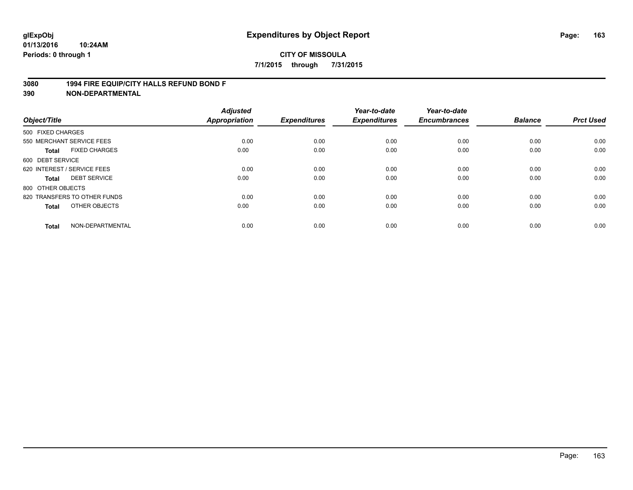### **3080 1994 FIRE EQUIP/CITY HALLS REFUND BOND F**

| Object/Title                |                              | <b>Adjusted</b><br>Appropriation | <b>Expenditures</b> | Year-to-date<br><b>Expenditures</b> | Year-to-date<br><b>Encumbrances</b> | <b>Balance</b> | <b>Prct Used</b> |
|-----------------------------|------------------------------|----------------------------------|---------------------|-------------------------------------|-------------------------------------|----------------|------------------|
| 500 FIXED CHARGES           |                              |                                  |                     |                                     |                                     |                |                  |
|                             | 550 MERCHANT SERVICE FEES    | 0.00                             | 0.00                | 0.00                                | 0.00                                | 0.00           | 0.00             |
| <b>Total</b>                | <b>FIXED CHARGES</b>         | 0.00                             | 0.00                | 0.00                                | 0.00                                | 0.00           | 0.00             |
| 600 DEBT SERVICE            |                              |                                  |                     |                                     |                                     |                |                  |
| 620 INTEREST / SERVICE FEES |                              | 0.00                             | 0.00                | 0.00                                | 0.00                                | 0.00           | 0.00             |
| <b>Total</b>                | <b>DEBT SERVICE</b>          | 0.00                             | 0.00                | 0.00                                | 0.00                                | 0.00           | 0.00             |
| 800 OTHER OBJECTS           |                              |                                  |                     |                                     |                                     |                |                  |
|                             | 820 TRANSFERS TO OTHER FUNDS | 0.00                             | 0.00                | 0.00                                | 0.00                                | 0.00           | 0.00             |
| <b>Total</b>                | OTHER OBJECTS                | 0.00                             | 0.00                | 0.00                                | 0.00                                | 0.00           | 0.00             |
| <b>Total</b>                | NON-DEPARTMENTAL             | 0.00                             | 0.00                | 0.00                                | 0.00                                | 0.00           | 0.00             |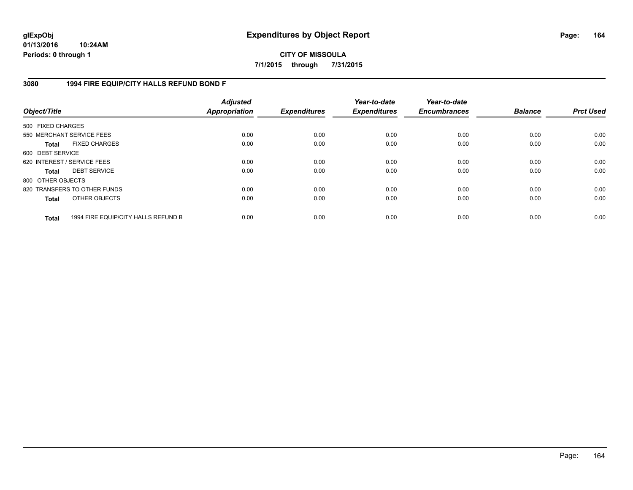**01/13/2016 10:24AM Periods: 0 through 1**

**CITY OF MISSOULA 7/1/2015 through 7/31/2015**

### **3080 1994 FIRE EQUIP/CITY HALLS REFUND BOND F**

| Object/Title                |                                     | <b>Adjusted</b><br>Appropriation | <b>Expenditures</b> | Year-to-date<br><b>Expenditures</b> | Year-to-date<br><b>Encumbrances</b> | <b>Balance</b> | <b>Prct Used</b> |
|-----------------------------|-------------------------------------|----------------------------------|---------------------|-------------------------------------|-------------------------------------|----------------|------------------|
| 500 FIXED CHARGES           |                                     |                                  |                     |                                     |                                     |                |                  |
| 550 MERCHANT SERVICE FEES   |                                     | 0.00                             | 0.00                | 0.00                                | 0.00                                | 0.00           | 0.00             |
| Total                       | <b>FIXED CHARGES</b>                | 0.00                             | 0.00                | 0.00                                | 0.00                                | 0.00           | 0.00             |
| 600 DEBT SERVICE            |                                     |                                  |                     |                                     |                                     |                |                  |
| 620 INTEREST / SERVICE FEES |                                     | 0.00                             | 0.00                | 0.00                                | 0.00                                | 0.00           | 0.00             |
| Total                       | <b>DEBT SERVICE</b>                 | 0.00                             | 0.00                | 0.00                                | 0.00                                | 0.00           | 0.00             |
| 800 OTHER OBJECTS           |                                     |                                  |                     |                                     |                                     |                |                  |
|                             | 820 TRANSFERS TO OTHER FUNDS        | 0.00                             | 0.00                | 0.00                                | 0.00                                | 0.00           | 0.00             |
| <b>Total</b>                | OTHER OBJECTS                       | 0.00                             | 0.00                | 0.00                                | 0.00                                | 0.00           | 0.00             |
| <b>Total</b>                | 1994 FIRE EQUIP/CITY HALLS REFUND B | 0.00                             | 0.00                | 0.00                                | 0.00                                | 0.00           | 0.00             |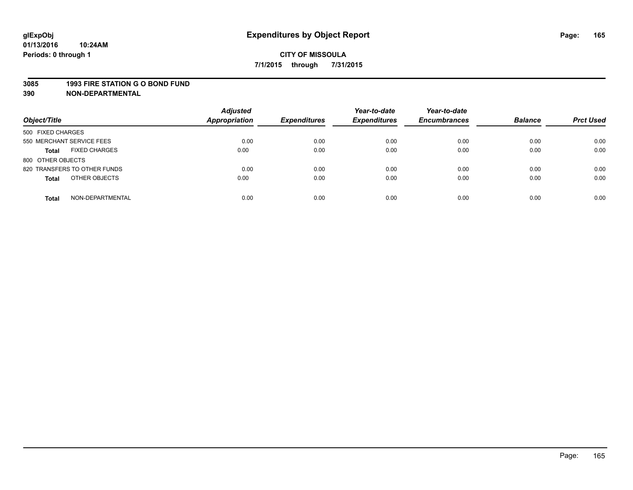#### **3085 1993 FIRE STATION G O BOND FUND**

| Object/Title                         | <b>Adjusted</b><br>Appropriation | <b>Expenditures</b> | Year-to-date<br><b>Expenditures</b> | Year-to-date<br><b>Encumbrances</b> | <b>Balance</b> | <b>Prct Used</b> |
|--------------------------------------|----------------------------------|---------------------|-------------------------------------|-------------------------------------|----------------|------------------|
| 500 FIXED CHARGES                    |                                  |                     |                                     |                                     |                |                  |
| 550 MERCHANT SERVICE FEES            | 0.00                             | 0.00                | 0.00                                | 0.00                                | 0.00           | 0.00             |
| <b>FIXED CHARGES</b><br><b>Total</b> | 0.00                             | 0.00                | 0.00                                | 0.00                                | 0.00           | 0.00             |
| 800 OTHER OBJECTS                    |                                  |                     |                                     |                                     |                |                  |
| 820 TRANSFERS TO OTHER FUNDS         | 0.00                             | 0.00                | 0.00                                | 0.00                                | 0.00           | 0.00             |
| OTHER OBJECTS<br><b>Total</b>        | 0.00                             | 0.00                | 0.00                                | 0.00                                | 0.00           | 0.00             |
| NON-DEPARTMENTAL<br><b>Total</b>     | 0.00                             | 0.00                | 0.00                                | 0.00                                | 0.00           | 0.00             |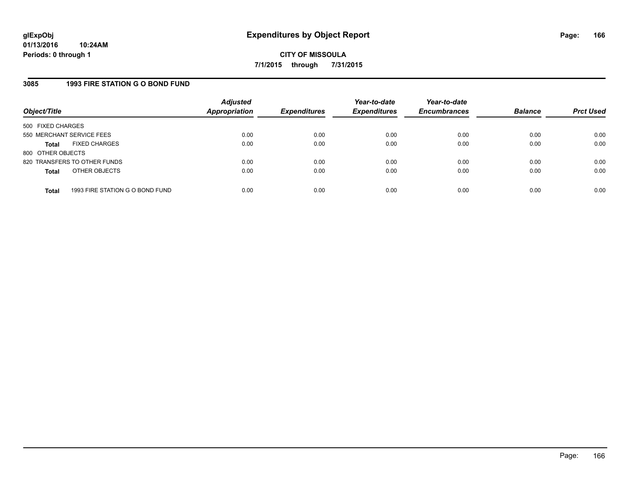## **3085 1993 FIRE STATION G O BOND FUND**

| Object/Title              |                                 | <b>Adjusted</b><br><b>Appropriation</b> | <b>Expenditures</b> | Year-to-date<br><b>Expenditures</b> | Year-to-date<br><b>Encumbrances</b> | <b>Balance</b> | <b>Prct Used</b> |
|---------------------------|---------------------------------|-----------------------------------------|---------------------|-------------------------------------|-------------------------------------|----------------|------------------|
| 500 FIXED CHARGES         |                                 |                                         |                     |                                     |                                     |                |                  |
| 550 MERCHANT SERVICE FEES |                                 | 0.00                                    | 0.00                | 0.00                                | 0.00                                | 0.00           | 0.00             |
| <b>Total</b>              | <b>FIXED CHARGES</b>            | 0.00                                    | 0.00                | 0.00                                | 0.00                                | 0.00           | 0.00             |
| 800 OTHER OBJECTS         |                                 |                                         |                     |                                     |                                     |                |                  |
|                           | 820 TRANSFERS TO OTHER FUNDS    | 0.00                                    | 0.00                | 0.00                                | 0.00                                | 0.00           | 0.00             |
| <b>Total</b>              | OTHER OBJECTS                   | 0.00                                    | 0.00                | 0.00                                | 0.00                                | 0.00           | 0.00             |
| <b>Total</b>              | 1993 FIRE STATION G O BOND FUND | 0.00                                    | 0.00                | 0.00                                | 0.00                                | 0.00           | 0.00             |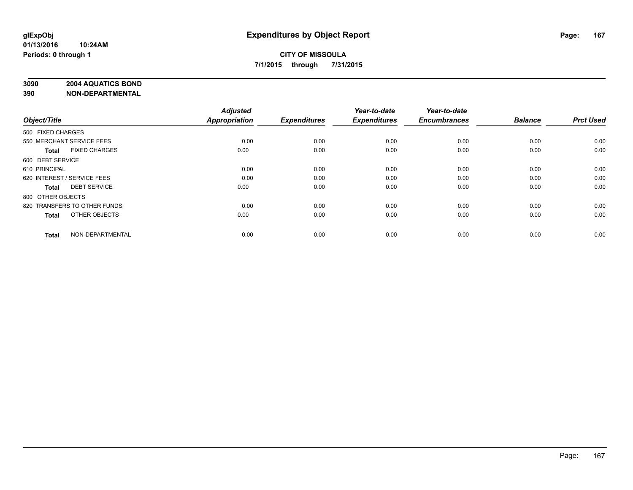# **3090 2004 AQUATICS BOND**

| Object/Title                         | <b>Adjusted</b><br><b>Appropriation</b> | <b>Expenditures</b> | Year-to-date<br><b>Expenditures</b> | Year-to-date<br><b>Encumbrances</b> | <b>Balance</b> | <b>Prct Used</b> |
|--------------------------------------|-----------------------------------------|---------------------|-------------------------------------|-------------------------------------|----------------|------------------|
| 500 FIXED CHARGES                    |                                         |                     |                                     |                                     |                |                  |
| 550 MERCHANT SERVICE FEES            | 0.00                                    | 0.00                | 0.00                                | 0.00                                | 0.00           | 0.00             |
| <b>FIXED CHARGES</b><br><b>Total</b> | 0.00                                    | 0.00                | 0.00                                | 0.00                                | 0.00           | 0.00             |
| 600 DEBT SERVICE                     |                                         |                     |                                     |                                     |                |                  |
| 610 PRINCIPAL                        | 0.00                                    | 0.00                | 0.00                                | 0.00                                | 0.00           | 0.00             |
| 620 INTEREST / SERVICE FEES          | 0.00                                    | 0.00                | 0.00                                | 0.00                                | 0.00           | 0.00             |
| <b>DEBT SERVICE</b><br><b>Total</b>  | 0.00                                    | 0.00                | 0.00                                | 0.00                                | 0.00           | 0.00             |
| 800 OTHER OBJECTS                    |                                         |                     |                                     |                                     |                |                  |
| 820 TRANSFERS TO OTHER FUNDS         | 0.00                                    | 0.00                | 0.00                                | 0.00                                | 0.00           | 0.00             |
| OTHER OBJECTS<br><b>Total</b>        | 0.00                                    | 0.00                | 0.00                                | 0.00                                | 0.00           | 0.00             |
|                                      |                                         |                     |                                     |                                     |                |                  |
| NON-DEPARTMENTAL<br><b>Total</b>     | 0.00                                    | 0.00                | 0.00                                | 0.00                                | 0.00           | 0.00             |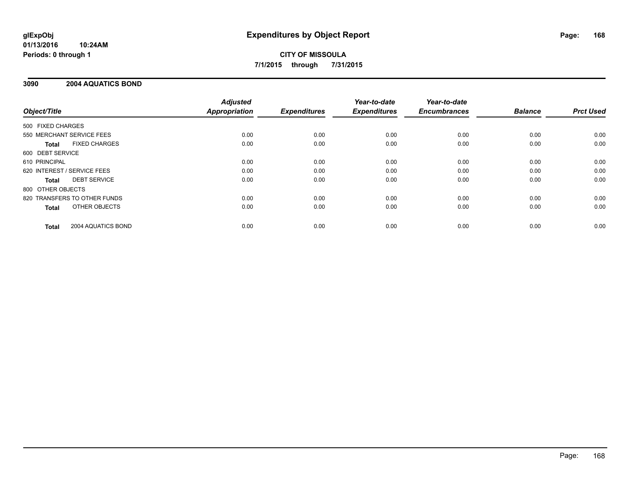#### **01/13/2016 10:24AM Periods: 0 through 1**

# **CITY OF MISSOULA 7/1/2015 through 7/31/2015**

## **3090 2004 AQUATICS BOND**

|                   |                              | <b>Adjusted</b>      |                     | Year-to-date        | Year-to-date        |                |                  |
|-------------------|------------------------------|----------------------|---------------------|---------------------|---------------------|----------------|------------------|
| Object/Title      |                              | <b>Appropriation</b> | <b>Expenditures</b> | <b>Expenditures</b> | <b>Encumbrances</b> | <b>Balance</b> | <b>Prct Used</b> |
| 500 FIXED CHARGES |                              |                      |                     |                     |                     |                |                  |
|                   | 550 MERCHANT SERVICE FEES    | 0.00                 | 0.00                | 0.00                | 0.00                | 0.00           | 0.00             |
| Total             | <b>FIXED CHARGES</b>         | 0.00                 | 0.00                | 0.00                | 0.00                | 0.00           | 0.00             |
| 600 DEBT SERVICE  |                              |                      |                     |                     |                     |                |                  |
| 610 PRINCIPAL     |                              | 0.00                 | 0.00                | 0.00                | 0.00                | 0.00           | 0.00             |
|                   | 620 INTEREST / SERVICE FEES  | 0.00                 | 0.00                | 0.00                | 0.00                | 0.00           | 0.00             |
| Total             | <b>DEBT SERVICE</b>          | 0.00                 | 0.00                | 0.00                | 0.00                | 0.00           | 0.00             |
| 800 OTHER OBJECTS |                              |                      |                     |                     |                     |                |                  |
|                   | 820 TRANSFERS TO OTHER FUNDS | 0.00                 | 0.00                | 0.00                | 0.00                | 0.00           | 0.00             |
| <b>Total</b>      | OTHER OBJECTS                | 0.00                 | 0.00                | 0.00                | 0.00                | 0.00           | 0.00             |
| <b>Total</b>      | 2004 AQUATICS BOND           | 0.00                 | 0.00                | 0.00                | 0.00                | 0.00           | 0.00             |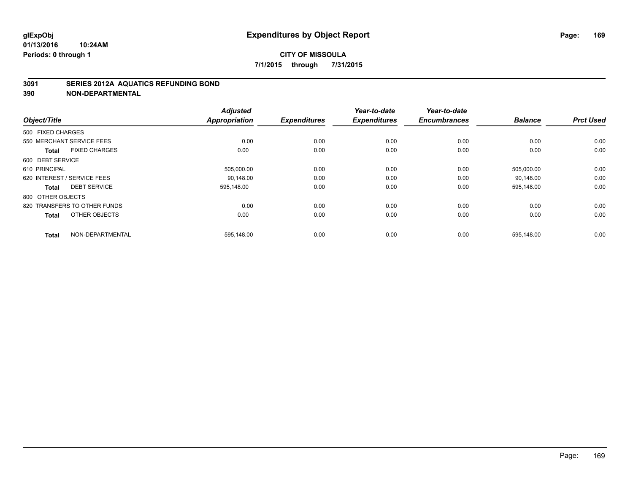### **3091 SERIES 2012A AQUATICS REFUNDING BOND**

| Object/Title                         | <b>Adjusted</b><br><b>Appropriation</b> | <b>Expenditures</b> | Year-to-date<br><b>Expenditures</b> | Year-to-date<br><b>Encumbrances</b> | <b>Balance</b> | <b>Prct Used</b> |
|--------------------------------------|-----------------------------------------|---------------------|-------------------------------------|-------------------------------------|----------------|------------------|
| 500 FIXED CHARGES                    |                                         |                     |                                     |                                     |                |                  |
| 550 MERCHANT SERVICE FEES            | 0.00                                    | 0.00                | 0.00                                | 0.00                                | 0.00           | 0.00             |
| <b>FIXED CHARGES</b><br><b>Total</b> | 0.00                                    | 0.00                | 0.00                                | 0.00                                | 0.00           | 0.00             |
| 600 DEBT SERVICE                     |                                         |                     |                                     |                                     |                |                  |
| 610 PRINCIPAL                        | 505,000.00                              | 0.00                | 0.00                                | 0.00                                | 505,000.00     | 0.00             |
| 620 INTEREST / SERVICE FEES          | 90.148.00                               | 0.00                | 0.00                                | 0.00                                | 90.148.00      | 0.00             |
| <b>DEBT SERVICE</b><br><b>Total</b>  | 595,148.00                              | 0.00                | 0.00                                | 0.00                                | 595,148.00     | 0.00             |
| 800 OTHER OBJECTS                    |                                         |                     |                                     |                                     |                |                  |
| 820 TRANSFERS TO OTHER FUNDS         | 0.00                                    | 0.00                | 0.00                                | 0.00                                | 0.00           | 0.00             |
| OTHER OBJECTS<br><b>Total</b>        | 0.00                                    | 0.00                | 0.00                                | 0.00                                | 0.00           | 0.00             |
| NON-DEPARTMENTAL<br><b>Total</b>     | 595,148.00                              | 0.00                | 0.00                                | 0.00                                | 595,148.00     | 0.00             |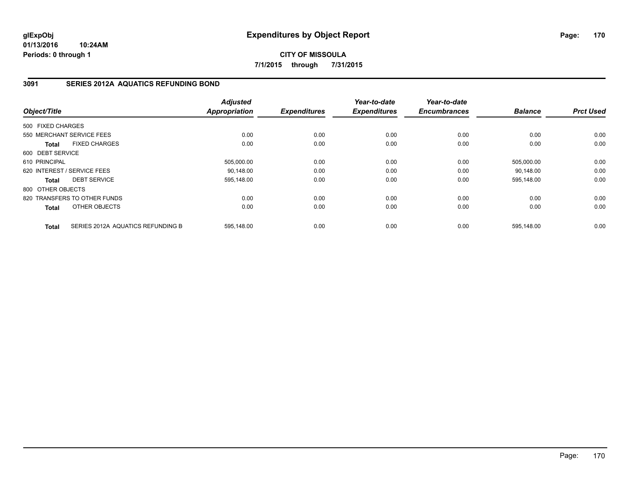**01/13/2016 10:24AM Periods: 0 through 1**

**CITY OF MISSOULA 7/1/2015 through 7/31/2015**

## **3091 SERIES 2012A AQUATICS REFUNDING BOND**

| Object/Title      |                                   | <b>Adjusted</b><br><b>Appropriation</b> | <b>Expenditures</b> | Year-to-date<br><b>Expenditures</b> | Year-to-date<br><b>Encumbrances</b> | <b>Balance</b> | <b>Prct Used</b> |
|-------------------|-----------------------------------|-----------------------------------------|---------------------|-------------------------------------|-------------------------------------|----------------|------------------|
|                   |                                   |                                         |                     |                                     |                                     |                |                  |
| 500 FIXED CHARGES |                                   |                                         |                     |                                     |                                     |                |                  |
|                   | 550 MERCHANT SERVICE FEES         | 0.00                                    | 0.00                | 0.00                                | 0.00                                | 0.00           | 0.00             |
| Total             | <b>FIXED CHARGES</b>              | 0.00                                    | 0.00                | 0.00                                | 0.00                                | 0.00           | 0.00             |
| 600 DEBT SERVICE  |                                   |                                         |                     |                                     |                                     |                |                  |
| 610 PRINCIPAL     |                                   | 505,000.00                              | 0.00                | 0.00                                | 0.00                                | 505,000.00     | 0.00             |
|                   | 620 INTEREST / SERVICE FEES       | 90,148.00                               | 0.00                | 0.00                                | 0.00                                | 90,148.00      | 0.00             |
| Total             | <b>DEBT SERVICE</b>               | 595,148.00                              | 0.00                | 0.00                                | 0.00                                | 595,148.00     | 0.00             |
| 800 OTHER OBJECTS |                                   |                                         |                     |                                     |                                     |                |                  |
|                   | 820 TRANSFERS TO OTHER FUNDS      | 0.00                                    | 0.00                | 0.00                                | 0.00                                | 0.00           | 0.00             |
| Total             | OTHER OBJECTS                     | 0.00                                    | 0.00                | 0.00                                | 0.00                                | 0.00           | 0.00             |
| <b>Total</b>      | SERIES 2012A AQUATICS REFUNDING B | 595,148.00                              | 0.00                | 0.00                                | 0.00                                | 595,148.00     | 0.00             |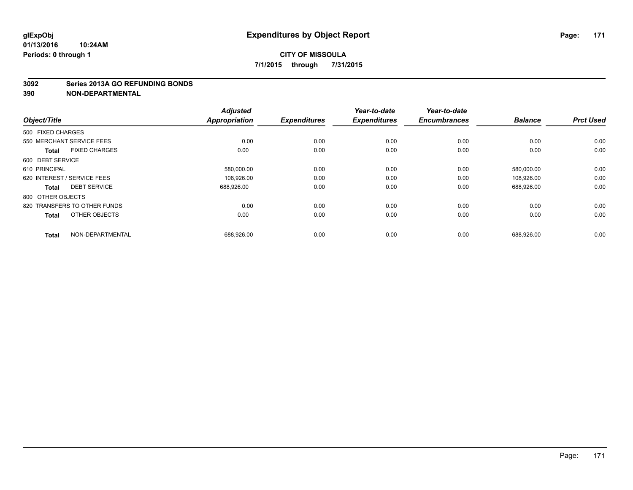#### **3092 Series 2013A GO REFUNDING BONDS**

| Object/Title      |                              | <b>Adjusted</b><br><b>Appropriation</b> | <b>Expenditures</b> | Year-to-date<br><b>Expenditures</b> | Year-to-date<br><b>Encumbrances</b> | <b>Balance</b> | <b>Prct Used</b> |
|-------------------|------------------------------|-----------------------------------------|---------------------|-------------------------------------|-------------------------------------|----------------|------------------|
| 500 FIXED CHARGES |                              |                                         |                     |                                     |                                     |                |                  |
|                   | 550 MERCHANT SERVICE FEES    | 0.00                                    | 0.00                | 0.00                                | 0.00                                | 0.00           | 0.00             |
| <b>Total</b>      | <b>FIXED CHARGES</b>         | 0.00                                    | 0.00                | 0.00                                | 0.00                                | 0.00           | 0.00             |
| 600 DEBT SERVICE  |                              |                                         |                     |                                     |                                     |                |                  |
| 610 PRINCIPAL     |                              | 580,000.00                              | 0.00                | 0.00                                | 0.00                                | 580,000.00     | 0.00             |
|                   | 620 INTEREST / SERVICE FEES  | 108,926.00                              | 0.00                | 0.00                                | 0.00                                | 108,926.00     | 0.00             |
| <b>Total</b>      | <b>DEBT SERVICE</b>          | 688,926.00                              | 0.00                | 0.00                                | 0.00                                | 688,926.00     | 0.00             |
| 800 OTHER OBJECTS |                              |                                         |                     |                                     |                                     |                |                  |
|                   | 820 TRANSFERS TO OTHER FUNDS | 0.00                                    | 0.00                | 0.00                                | 0.00                                | 0.00           | 0.00             |
| <b>Total</b>      | OTHER OBJECTS                | 0.00                                    | 0.00                | 0.00                                | 0.00                                | 0.00           | 0.00             |
| <b>Total</b>      | NON-DEPARTMENTAL             | 688,926.00                              | 0.00                | 0.00                                | 0.00                                | 688,926.00     | 0.00             |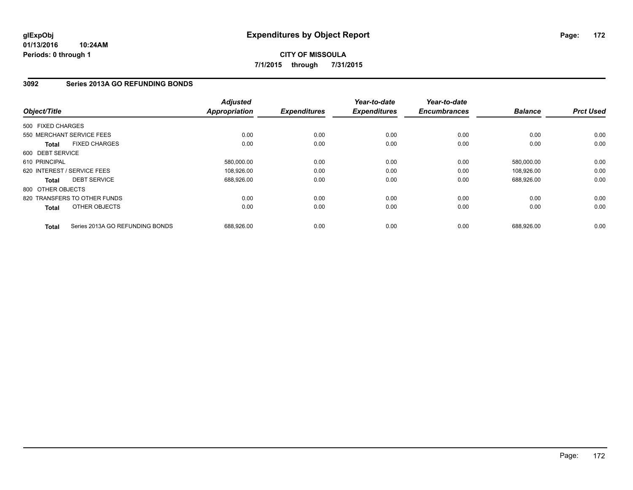# **3092 Series 2013A GO REFUNDING BONDS**

| Object/Title      |                                 | <b>Adjusted</b><br><b>Appropriation</b> | <b>Expenditures</b> | Year-to-date<br><b>Expenditures</b> | Year-to-date<br><b>Encumbrances</b> | <b>Balance</b> | <b>Prct Used</b> |
|-------------------|---------------------------------|-----------------------------------------|---------------------|-------------------------------------|-------------------------------------|----------------|------------------|
| 500 FIXED CHARGES |                                 |                                         |                     |                                     |                                     |                |                  |
|                   | 550 MERCHANT SERVICE FEES       | 0.00                                    | 0.00                | 0.00                                | 0.00                                | 0.00           | 0.00             |
| <b>Total</b>      | <b>FIXED CHARGES</b>            | 0.00                                    | 0.00                | 0.00                                | 0.00                                | 0.00           | 0.00             |
| 600 DEBT SERVICE  |                                 |                                         |                     |                                     |                                     |                |                  |
| 610 PRINCIPAL     |                                 | 580,000.00                              | 0.00                | 0.00                                | 0.00                                | 580,000.00     | 0.00             |
|                   | 620 INTEREST / SERVICE FEES     | 108,926.00                              | 0.00                | 0.00                                | 0.00                                | 108.926.00     | 0.00             |
| <b>Total</b>      | <b>DEBT SERVICE</b>             | 688,926.00                              | 0.00                | 0.00                                | 0.00                                | 688,926.00     | 0.00             |
| 800 OTHER OBJECTS |                                 |                                         |                     |                                     |                                     |                |                  |
|                   | 820 TRANSFERS TO OTHER FUNDS    | 0.00                                    | 0.00                | 0.00                                | 0.00                                | 0.00           | 0.00             |
| Total             | OTHER OBJECTS                   | 0.00                                    | 0.00                | 0.00                                | 0.00                                | 0.00           | 0.00             |
| <b>Total</b>      | Series 2013A GO REFUNDING BONDS | 688,926.00                              | 0.00                | 0.00                                | 0.00                                | 688,926.00     | 0.00             |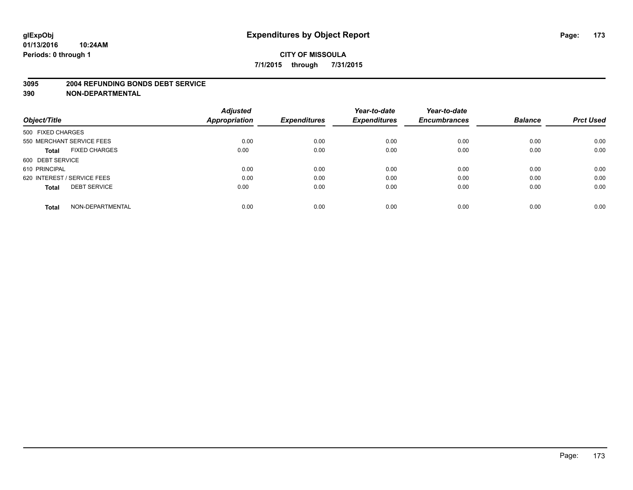#### **3095 2004 REFUNDING BONDS DEBT SERVICE**

|                                      | <b>Adjusted</b>      |                     | Year-to-date        | Year-to-date        |                |                  |
|--------------------------------------|----------------------|---------------------|---------------------|---------------------|----------------|------------------|
| Object/Title                         | <b>Appropriation</b> | <b>Expenditures</b> | <b>Expenditures</b> | <b>Encumbrances</b> | <b>Balance</b> | <b>Prct Used</b> |
| 500 FIXED CHARGES                    |                      |                     |                     |                     |                |                  |
| 550 MERCHANT SERVICE FEES            | 0.00                 | 0.00                | 0.00                | 0.00                | 0.00           | 0.00             |
| <b>FIXED CHARGES</b><br><b>Total</b> | 0.00                 | 0.00                | 0.00                | 0.00                | 0.00           | 0.00             |
| 600 DEBT SERVICE                     |                      |                     |                     |                     |                |                  |
| 610 PRINCIPAL                        | 0.00                 | 0.00                | 0.00                | 0.00                | 0.00           | 0.00             |
| 620 INTEREST / SERVICE FEES          | 0.00                 | 0.00                | 0.00                | 0.00                | 0.00           | 0.00             |
| <b>DEBT SERVICE</b><br><b>Total</b>  | 0.00                 | 0.00                | 0.00                | 0.00                | 0.00           | 0.00             |
| NON-DEPARTMENTAL<br><b>Total</b>     | 0.00                 | 0.00                | 0.00                | 0.00                | 0.00           | 0.00             |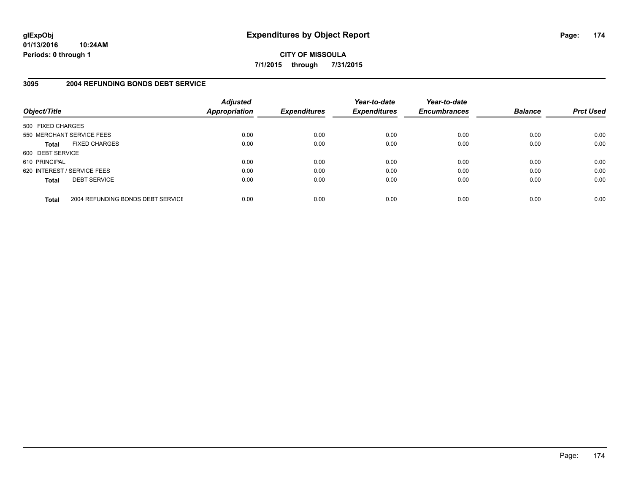**01/13/2016 10:24AM Periods: 0 through 1**

**CITY OF MISSOULA 7/1/2015 through 7/31/2015**

## **3095 2004 REFUNDING BONDS DEBT SERVICE**

| Object/Title                |                                   | <b>Adjusted</b><br><b>Appropriation</b> | <b>Expenditures</b> | Year-to-date<br><b>Expenditures</b> | Year-to-date<br><b>Encumbrances</b> | <b>Balance</b> | <b>Prct Used</b> |
|-----------------------------|-----------------------------------|-----------------------------------------|---------------------|-------------------------------------|-------------------------------------|----------------|------------------|
| 500 FIXED CHARGES           |                                   |                                         |                     |                                     |                                     |                |                  |
| 550 MERCHANT SERVICE FEES   |                                   | 0.00                                    | 0.00                | 0.00                                | 0.00                                | 0.00           | 0.00             |
| <b>Total</b>                | <b>FIXED CHARGES</b>              | 0.00                                    | 0.00                | 0.00                                | 0.00                                | 0.00           | 0.00             |
| 600 DEBT SERVICE            |                                   |                                         |                     |                                     |                                     |                |                  |
| 610 PRINCIPAL               |                                   | 0.00                                    | 0.00                | 0.00                                | 0.00                                | 0.00           | 0.00             |
| 620 INTEREST / SERVICE FEES |                                   | 0.00                                    | 0.00                | 0.00                                | 0.00                                | 0.00           | 0.00             |
| <b>Total</b>                | <b>DEBT SERVICE</b>               | 0.00                                    | 0.00                | 0.00                                | 0.00                                | 0.00           | 0.00             |
| <b>Total</b>                | 2004 REFUNDING BONDS DEBT SERVICE | 0.00                                    | 0.00                | 0.00                                | 0.00                                | 0.00           | 0.00             |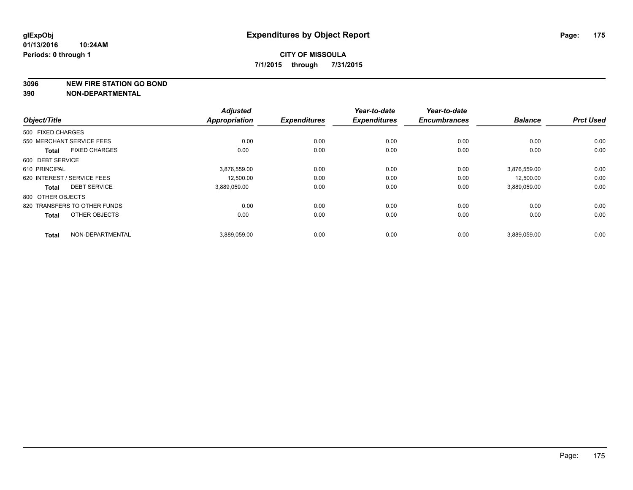**3096 NEW FIRE STATION GO BOND**

|                                      | <b>Adjusted</b>      |                     | Year-to-date        | Year-to-date        |                |                  |
|--------------------------------------|----------------------|---------------------|---------------------|---------------------|----------------|------------------|
| Object/Title                         | <b>Appropriation</b> | <b>Expenditures</b> | <b>Expenditures</b> | <b>Encumbrances</b> | <b>Balance</b> | <b>Prct Used</b> |
| 500 FIXED CHARGES                    |                      |                     |                     |                     |                |                  |
| 550 MERCHANT SERVICE FEES            | 0.00                 | 0.00                | 0.00                | 0.00                | 0.00           | 0.00             |
| <b>FIXED CHARGES</b><br><b>Total</b> | 0.00                 | 0.00                | 0.00                | 0.00                | 0.00           | 0.00             |
| 600 DEBT SERVICE                     |                      |                     |                     |                     |                |                  |
| 610 PRINCIPAL                        | 3,876,559.00         | 0.00                | 0.00                | 0.00                | 3,876,559.00   | 0.00             |
| 620 INTEREST / SERVICE FEES          | 12,500.00            | 0.00                | 0.00                | 0.00                | 12,500.00      | 0.00             |
| <b>DEBT SERVICE</b><br><b>Total</b>  | 3,889,059.00         | 0.00                | 0.00                | 0.00                | 3,889,059.00   | 0.00             |
| 800 OTHER OBJECTS                    |                      |                     |                     |                     |                |                  |
| 820 TRANSFERS TO OTHER FUNDS         | 0.00                 | 0.00                | 0.00                | 0.00                | 0.00           | 0.00             |
| OTHER OBJECTS<br><b>Total</b>        | 0.00                 | 0.00                | 0.00                | 0.00                | 0.00           | 0.00             |
|                                      |                      |                     |                     |                     |                |                  |
| NON-DEPARTMENTAL<br><b>Total</b>     | 3,889,059.00         | 0.00                | 0.00                | 0.00                | 3,889,059.00   | 0.00             |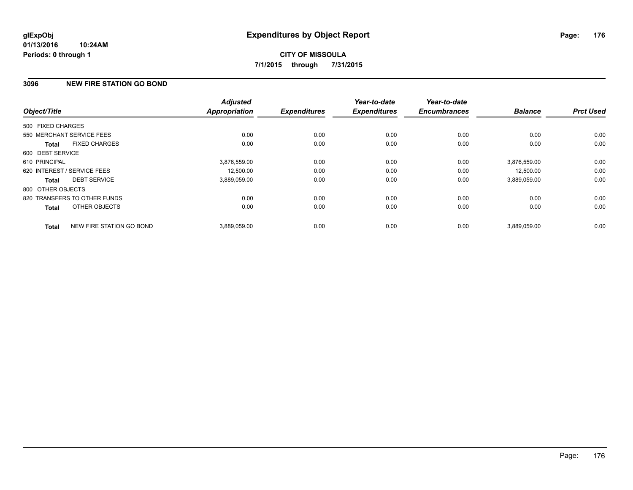## **3096 NEW FIRE STATION GO BOND**

| Object/Title                 |                          | <b>Adjusted</b><br><b>Appropriation</b> | <b>Expenditures</b> | Year-to-date<br><b>Expenditures</b> | Year-to-date<br><b>Encumbrances</b> | <b>Balance</b> | <b>Prct Used</b> |
|------------------------------|--------------------------|-----------------------------------------|---------------------|-------------------------------------|-------------------------------------|----------------|------------------|
| 500 FIXED CHARGES            |                          |                                         |                     |                                     |                                     |                |                  |
| 550 MERCHANT SERVICE FEES    |                          | 0.00                                    | 0.00                | 0.00                                | 0.00                                | 0.00           | 0.00             |
| <b>Total</b>                 | <b>FIXED CHARGES</b>     | 0.00                                    | 0.00                | 0.00                                | 0.00                                | 0.00           | 0.00             |
| 600 DEBT SERVICE             |                          |                                         |                     |                                     |                                     |                |                  |
| 610 PRINCIPAL                |                          | 3,876,559.00                            | 0.00                | 0.00                                | 0.00                                | 3,876,559.00   | 0.00             |
| 620 INTEREST / SERVICE FEES  |                          | 12.500.00                               | 0.00                | 0.00                                | 0.00                                | 12.500.00      | 0.00             |
| <b>Total</b>                 | <b>DEBT SERVICE</b>      | 3.889.059.00                            | 0.00                | 0.00                                | 0.00                                | 3,889,059.00   | 0.00             |
| 800 OTHER OBJECTS            |                          |                                         |                     |                                     |                                     |                |                  |
| 820 TRANSFERS TO OTHER FUNDS |                          | 0.00                                    | 0.00                | 0.00                                | 0.00                                | 0.00           | 0.00             |
| <b>Total</b>                 | OTHER OBJECTS            | 0.00                                    | 0.00                | 0.00                                | 0.00                                | 0.00           | 0.00             |
| <b>Total</b>                 | NEW FIRE STATION GO BOND | 3,889,059.00                            | 0.00                | 0.00                                | 0.00                                | 3,889,059.00   | 0.00             |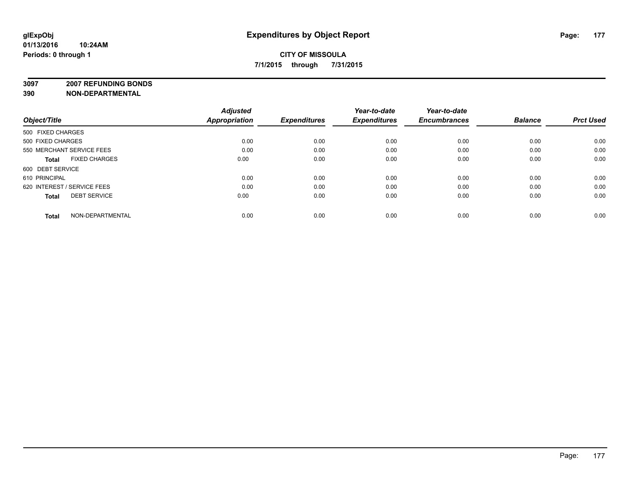**3097 2007 REFUNDING BONDS**

| Object/Title                         | <b>Adjusted</b><br><b>Appropriation</b> | <b>Expenditures</b> | Year-to-date<br><b>Expenditures</b> | Year-to-date<br><b>Encumbrances</b> | <b>Balance</b> | <b>Prct Used</b> |
|--------------------------------------|-----------------------------------------|---------------------|-------------------------------------|-------------------------------------|----------------|------------------|
| 500 FIXED CHARGES                    |                                         |                     |                                     |                                     |                |                  |
| 500 FIXED CHARGES                    | 0.00                                    | 0.00                | 0.00                                | 0.00                                | 0.00           | 0.00             |
| 550 MERCHANT SERVICE FEES            | 0.00                                    | 0.00                | 0.00                                | 0.00                                | 0.00           | 0.00             |
| <b>FIXED CHARGES</b><br><b>Total</b> | 0.00                                    | 0.00                | 0.00                                | 0.00                                | 0.00           | 0.00             |
| 600 DEBT SERVICE                     |                                         |                     |                                     |                                     |                |                  |
| 610 PRINCIPAL                        | 0.00                                    | 0.00                | 0.00                                | 0.00                                | 0.00           | 0.00             |
| 620 INTEREST / SERVICE FEES          | 0.00                                    | 0.00                | 0.00                                | 0.00                                | 0.00           | 0.00             |
| <b>DEBT SERVICE</b><br><b>Total</b>  | 0.00                                    | 0.00                | 0.00                                | 0.00                                | 0.00           | 0.00             |
| NON-DEPARTMENTAL<br><b>Total</b>     | 0.00                                    | 0.00                | 0.00                                | 0.00                                | 0.00           | 0.00             |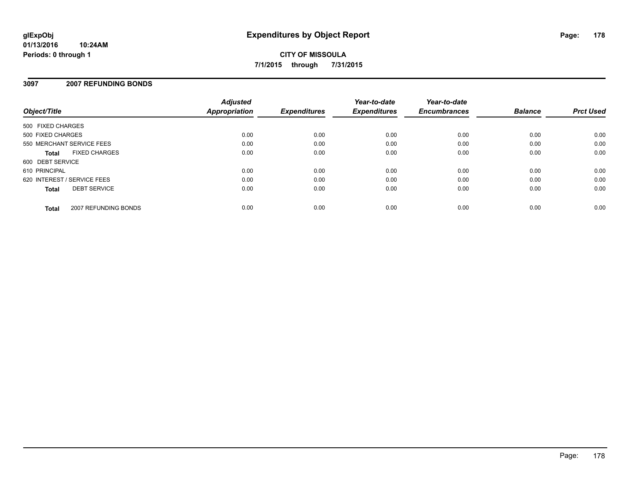#### **01/13/2016 10:24AM Periods: 0 through 1**

# **CITY OF MISSOULA 7/1/2015 through 7/31/2015**

## **3097 2007 REFUNDING BONDS**

| Object/Title                |                      | <b>Adjusted</b><br><b>Appropriation</b> | <b>Expenditures</b> | Year-to-date<br><b>Expenditures</b> | Year-to-date<br><b>Encumbrances</b> | <b>Balance</b> | <b>Prct Used</b> |
|-----------------------------|----------------------|-----------------------------------------|---------------------|-------------------------------------|-------------------------------------|----------------|------------------|
| 500 FIXED CHARGES           |                      |                                         |                     |                                     |                                     |                |                  |
| 500 FIXED CHARGES           |                      | 0.00                                    | 0.00                | 0.00                                | 0.00                                | 0.00           | 0.00             |
| 550 MERCHANT SERVICE FEES   |                      | 0.00                                    | 0.00                | 0.00                                | 0.00                                | 0.00           | 0.00             |
| <b>Total</b>                | <b>FIXED CHARGES</b> | 0.00                                    | 0.00                | 0.00                                | 0.00                                | 0.00           | 0.00             |
| 600 DEBT SERVICE            |                      |                                         |                     |                                     |                                     |                |                  |
| 610 PRINCIPAL               |                      | 0.00                                    | 0.00                | 0.00                                | 0.00                                | 0.00           | 0.00             |
| 620 INTEREST / SERVICE FEES |                      | 0.00                                    | 0.00                | 0.00                                | 0.00                                | 0.00           | 0.00             |
| <b>Total</b>                | <b>DEBT SERVICE</b>  | 0.00                                    | 0.00                | 0.00                                | 0.00                                | 0.00           | 0.00             |
| <b>Total</b>                | 2007 REFUNDING BONDS | 0.00                                    | 0.00                | 0.00                                | 0.00                                | 0.00           | 0.00             |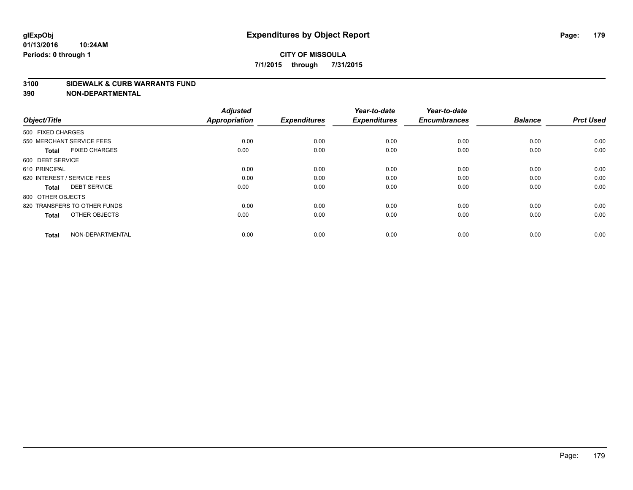#### **3100 SIDEWALK & CURB WARRANTS FUND**

| Object/Title                         | <b>Adjusted</b><br><b>Appropriation</b> | <b>Expenditures</b> | Year-to-date<br><b>Expenditures</b> | Year-to-date<br><b>Encumbrances</b> | <b>Balance</b> | <b>Prct Used</b> |
|--------------------------------------|-----------------------------------------|---------------------|-------------------------------------|-------------------------------------|----------------|------------------|
| 500 FIXED CHARGES                    |                                         |                     |                                     |                                     |                |                  |
| 550 MERCHANT SERVICE FEES            | 0.00                                    | 0.00                | 0.00                                | 0.00                                | 0.00           | 0.00             |
| <b>FIXED CHARGES</b><br><b>Total</b> | 0.00                                    | 0.00                | 0.00                                | 0.00                                | 0.00           | 0.00             |
| 600 DEBT SERVICE                     |                                         |                     |                                     |                                     |                |                  |
| 610 PRINCIPAL                        | 0.00                                    | 0.00                | 0.00                                | 0.00                                | 0.00           | 0.00             |
| 620 INTEREST / SERVICE FEES          | 0.00                                    | 0.00                | 0.00                                | 0.00                                | 0.00           | 0.00             |
| <b>DEBT SERVICE</b><br><b>Total</b>  | 0.00                                    | 0.00                | 0.00                                | 0.00                                | 0.00           | 0.00             |
| 800 OTHER OBJECTS                    |                                         |                     |                                     |                                     |                |                  |
| 820 TRANSFERS TO OTHER FUNDS         | 0.00                                    | 0.00                | 0.00                                | 0.00                                | 0.00           | 0.00             |
| OTHER OBJECTS<br><b>Total</b>        | 0.00                                    | 0.00                | 0.00                                | 0.00                                | 0.00           | 0.00             |
|                                      |                                         |                     |                                     |                                     |                |                  |
| NON-DEPARTMENTAL<br><b>Total</b>     | 0.00                                    | 0.00                | 0.00                                | 0.00                                | 0.00           | 0.00             |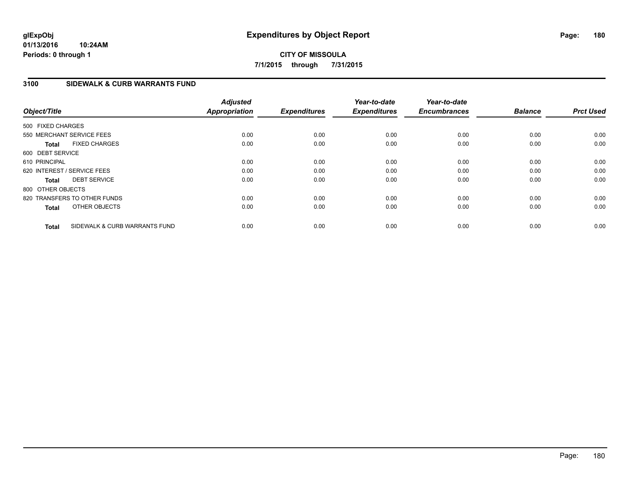# **3100 SIDEWALK & CURB WARRANTS FUND**

| Object/Title                |                               | <b>Adjusted</b><br><b>Appropriation</b> | <b>Expenditures</b> | Year-to-date<br><b>Expenditures</b> | Year-to-date<br><b>Encumbrances</b> | <b>Balance</b> | <b>Prct Used</b> |
|-----------------------------|-------------------------------|-----------------------------------------|---------------------|-------------------------------------|-------------------------------------|----------------|------------------|
| 500 FIXED CHARGES           |                               |                                         |                     |                                     |                                     |                |                  |
| 550 MERCHANT SERVICE FEES   |                               | 0.00                                    | 0.00                | 0.00                                | 0.00                                | 0.00           | 0.00             |
| <b>Total</b>                | <b>FIXED CHARGES</b>          | 0.00                                    | 0.00                | 0.00                                | 0.00                                | 0.00           | 0.00             |
| 600 DEBT SERVICE            |                               |                                         |                     |                                     |                                     |                |                  |
| 610 PRINCIPAL               |                               | 0.00                                    | 0.00                | 0.00                                | 0.00                                | 0.00           | 0.00             |
| 620 INTEREST / SERVICE FEES |                               | 0.00                                    | 0.00                | 0.00                                | 0.00                                | 0.00           | 0.00             |
| <b>Total</b>                | <b>DEBT SERVICE</b>           | 0.00                                    | 0.00                | 0.00                                | 0.00                                | 0.00           | 0.00             |
| 800 OTHER OBJECTS           |                               |                                         |                     |                                     |                                     |                |                  |
|                             | 820 TRANSFERS TO OTHER FUNDS  | 0.00                                    | 0.00                | 0.00                                | 0.00                                | 0.00           | 0.00             |
| <b>Total</b>                | OTHER OBJECTS                 | 0.00                                    | 0.00                | 0.00                                | 0.00                                | 0.00           | 0.00             |
| <b>Total</b>                | SIDEWALK & CURB WARRANTS FUND | 0.00                                    | 0.00                | 0.00                                | 0.00                                | 0.00           | 0.00             |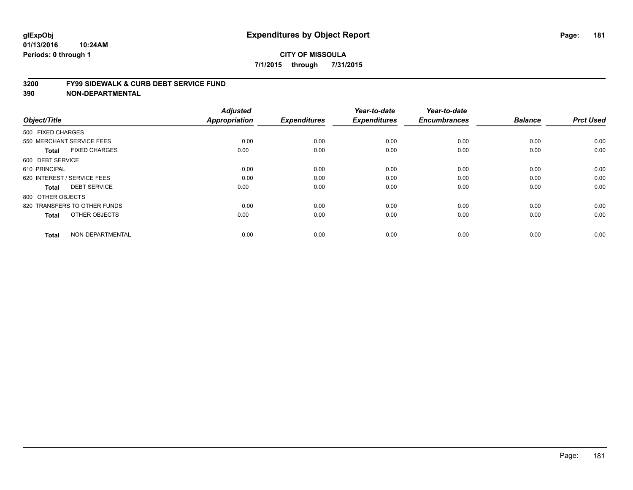#### **3200 FY99 SIDEWALK & CURB DEBT SERVICE FUND**

| Object/Title                         | <b>Adjusted</b><br>Appropriation | <b>Expenditures</b> | Year-to-date<br><b>Expenditures</b> | Year-to-date<br><b>Encumbrances</b> | <b>Balance</b> | <b>Prct Used</b> |
|--------------------------------------|----------------------------------|---------------------|-------------------------------------|-------------------------------------|----------------|------------------|
|                                      |                                  |                     |                                     |                                     |                |                  |
| 500 FIXED CHARGES                    |                                  |                     |                                     |                                     |                |                  |
| 550 MERCHANT SERVICE FEES            | 0.00                             | 0.00                | 0.00                                | 0.00                                | 0.00           | 0.00             |
| <b>FIXED CHARGES</b><br><b>Total</b> | 0.00                             | 0.00                | 0.00                                | 0.00                                | 0.00           | 0.00             |
| 600 DEBT SERVICE                     |                                  |                     |                                     |                                     |                |                  |
| 610 PRINCIPAL                        | 0.00                             | 0.00                | 0.00                                | 0.00                                | 0.00           | 0.00             |
| 620 INTEREST / SERVICE FEES          | 0.00                             | 0.00                | 0.00                                | 0.00                                | 0.00           | 0.00             |
| <b>DEBT SERVICE</b><br><b>Total</b>  | 0.00                             | 0.00                | 0.00                                | 0.00                                | 0.00           | 0.00             |
| 800 OTHER OBJECTS                    |                                  |                     |                                     |                                     |                |                  |
| 820 TRANSFERS TO OTHER FUNDS         | 0.00                             | 0.00                | 0.00                                | 0.00                                | 0.00           | 0.00             |
| OTHER OBJECTS<br><b>Total</b>        | 0.00                             | 0.00                | 0.00                                | 0.00                                | 0.00           | 0.00             |
|                                      |                                  |                     |                                     |                                     |                |                  |
| NON-DEPARTMENTAL<br><b>Total</b>     | 0.00                             | 0.00                | 0.00                                | 0.00                                | 0.00           | 0.00             |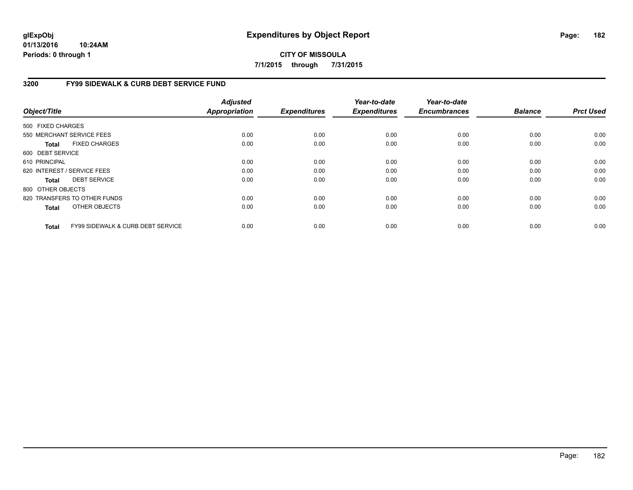**01/13/2016 10:24AM Periods: 0 through 1**

### **CITY OF MISSOULA 7/1/2015 through 7/31/2015**

### **3200 FY99 SIDEWALK & CURB DEBT SERVICE FUND**

| Object/Title      |                                              | <b>Adjusted</b><br>Appropriation | <b>Expenditures</b> | Year-to-date<br><b>Expenditures</b> | Year-to-date<br><b>Encumbrances</b> | <b>Balance</b> | <b>Prct Used</b> |
|-------------------|----------------------------------------------|----------------------------------|---------------------|-------------------------------------|-------------------------------------|----------------|------------------|
| 500 FIXED CHARGES |                                              |                                  |                     |                                     |                                     |                |                  |
|                   | 550 MERCHANT SERVICE FEES                    | 0.00                             | 0.00                | 0.00                                | 0.00                                | 0.00           | 0.00             |
| <b>Total</b>      | <b>FIXED CHARGES</b>                         | 0.00                             | 0.00                | 0.00                                | 0.00                                | 0.00           | 0.00             |
| 600 DEBT SERVICE  |                                              |                                  |                     |                                     |                                     |                |                  |
| 610 PRINCIPAL     |                                              | 0.00                             | 0.00                | 0.00                                | 0.00                                | 0.00           | 0.00             |
|                   | 620 INTEREST / SERVICE FEES                  | 0.00                             | 0.00                | 0.00                                | 0.00                                | 0.00           | 0.00             |
| <b>Total</b>      | <b>DEBT SERVICE</b>                          | 0.00                             | 0.00                | 0.00                                | 0.00                                | 0.00           | 0.00             |
| 800 OTHER OBJECTS |                                              |                                  |                     |                                     |                                     |                |                  |
|                   | 820 TRANSFERS TO OTHER FUNDS                 | 0.00                             | 0.00                | 0.00                                | 0.00                                | 0.00           | 0.00             |
| <b>Total</b>      | OTHER OBJECTS                                | 0.00                             | 0.00                | 0.00                                | 0.00                                | 0.00           | 0.00             |
| <b>Total</b>      | <b>FY99 SIDEWALK &amp; CURB DEBT SERVICE</b> | 0.00                             | 0.00                | 0.00                                | 0.00                                | 0.00           | 0.00             |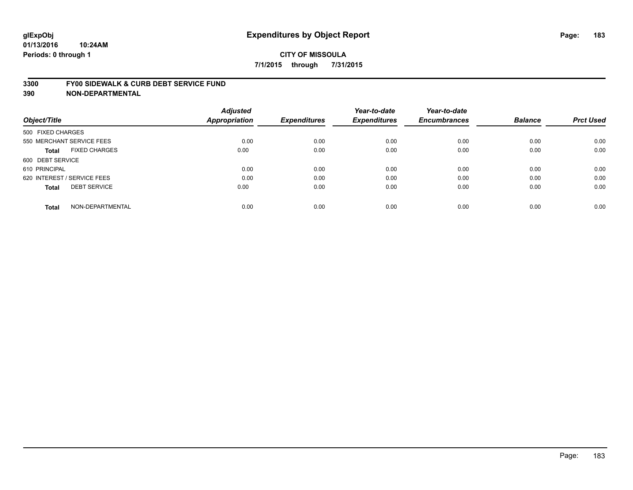#### **3300 FY00 SIDEWALK & CURB DEBT SERVICE FUND**

| Object/Title                        | <b>Adjusted</b><br><b>Appropriation</b> | <b>Expenditures</b> | Year-to-date<br><b>Expenditures</b> | Year-to-date<br><b>Encumbrances</b> | <b>Balance</b> | <b>Prct Used</b> |
|-------------------------------------|-----------------------------------------|---------------------|-------------------------------------|-------------------------------------|----------------|------------------|
| 500 FIXED CHARGES                   |                                         |                     |                                     |                                     |                |                  |
| 550 MERCHANT SERVICE FEES           | 0.00                                    | 0.00                | 0.00                                | 0.00                                | 0.00           | 0.00             |
| <b>FIXED CHARGES</b><br>Total       | 0.00                                    | 0.00                | 0.00                                | 0.00                                | 0.00           | 0.00             |
| 600 DEBT SERVICE                    |                                         |                     |                                     |                                     |                |                  |
| 610 PRINCIPAL                       | 0.00                                    | 0.00                | 0.00                                | 0.00                                | 0.00           | 0.00             |
| 620 INTEREST / SERVICE FEES         | 0.00                                    | 0.00                | 0.00                                | 0.00                                | 0.00           | 0.00             |
| <b>DEBT SERVICE</b><br><b>Total</b> | 0.00                                    | 0.00                | 0.00                                | 0.00                                | 0.00           | 0.00             |
| NON-DEPARTMENTAL<br><b>Total</b>    | 0.00                                    | 0.00                | 0.00                                | 0.00                                | 0.00           | 0.00             |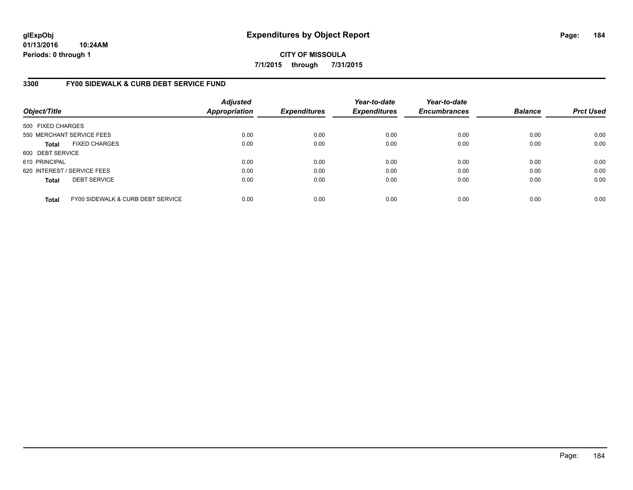**01/13/2016 10:24AM Periods: 0 through 1**

**CITY OF MISSOULA 7/1/2015 through 7/31/2015**

### **3300 FY00 SIDEWALK & CURB DEBT SERVICE FUND**

| Object/Title      |                                   | <b>Adjusted</b><br><b>Appropriation</b> | <b>Expenditures</b> | Year-to-date<br><b>Expenditures</b> | Year-to-date<br><b>Encumbrances</b> | <b>Balance</b> | <b>Prct Used</b> |
|-------------------|-----------------------------------|-----------------------------------------|---------------------|-------------------------------------|-------------------------------------|----------------|------------------|
| 500 FIXED CHARGES |                                   |                                         |                     |                                     |                                     |                |                  |
|                   | 550 MERCHANT SERVICE FEES         | 0.00                                    | 0.00                | 0.00                                | 0.00                                | 0.00           | 0.00             |
| <b>Total</b>      | <b>FIXED CHARGES</b>              | 0.00                                    | 0.00                | 0.00                                | 0.00                                | 0.00           | 0.00             |
| 600 DEBT SERVICE  |                                   |                                         |                     |                                     |                                     |                |                  |
| 610 PRINCIPAL     |                                   | 0.00                                    | 0.00                | 0.00                                | 0.00                                | 0.00           | 0.00             |
|                   | 620 INTEREST / SERVICE FEES       | 0.00                                    | 0.00                | 0.00                                | 0.00                                | 0.00           | 0.00             |
| <b>Total</b>      | <b>DEBT SERVICE</b>               | 0.00                                    | 0.00                | 0.00                                | 0.00                                | 0.00           | 0.00             |
| <b>Total</b>      | FY00 SIDEWALK & CURB DEBT SERVICE | 0.00                                    | 0.00                | 0.00                                | 0.00                                | 0.00           | 0.00             |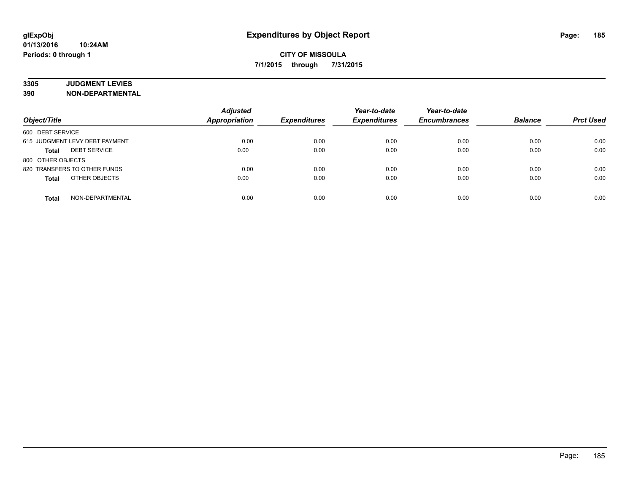# **3305 JUDGMENT LEVIES**

| Object/Title                        | <b>Adjusted</b><br><b>Appropriation</b> | <b>Expenditures</b> | Year-to-date<br><b>Expenditures</b> | Year-to-date<br><b>Encumbrances</b> | <b>Balance</b> | <b>Prct Used</b> |
|-------------------------------------|-----------------------------------------|---------------------|-------------------------------------|-------------------------------------|----------------|------------------|
| 600 DEBT SERVICE                    |                                         |                     |                                     |                                     |                |                  |
| 615 JUDGMENT LEVY DEBT PAYMENT      | 0.00                                    | 0.00                | 0.00                                | 0.00                                | 0.00           | 0.00             |
| <b>DEBT SERVICE</b><br><b>Total</b> | 0.00                                    | 0.00                | 0.00                                | 0.00                                | 0.00           | 0.00             |
| 800 OTHER OBJECTS                   |                                         |                     |                                     |                                     |                |                  |
| 820 TRANSFERS TO OTHER FUNDS        | 0.00                                    | 0.00                | 0.00                                | 0.00                                | 0.00           | 0.00             |
| OTHER OBJECTS<br><b>Total</b>       | 0.00                                    | 0.00                | 0.00                                | 0.00                                | 0.00           | 0.00             |
| NON-DEPARTMENTAL<br><b>Total</b>    | 0.00                                    | 0.00                | 0.00                                | 0.00                                | 0.00           | 0.00             |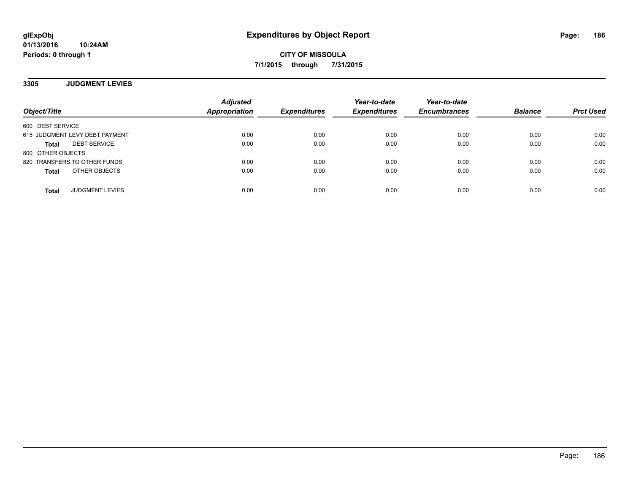### **3305 JUDGMENT LEVIES**

| Object/Title                        | <b>Adjusted</b><br>Appropriation | <b>Expenditures</b> | Year-to-date<br><b>Expenditures</b> | Year-to-date<br><b>Encumbrances</b> | <b>Balance</b> | <b>Prct Used</b> |
|-------------------------------------|----------------------------------|---------------------|-------------------------------------|-------------------------------------|----------------|------------------|
| 600 DEBT SERVICE                    |                                  |                     |                                     |                                     |                |                  |
| 615 JUDGMENT LEVY DEBT PAYMENT      | 0.00                             | 0.00                | 0.00                                | 0.00                                | 0.00           | 0.00             |
| <b>DEBT SERVICE</b><br><b>Total</b> | 0.00                             | 0.00                | 0.00                                | 0.00                                | 0.00           | 0.00             |
| 800 OTHER OBJECTS                   |                                  |                     |                                     |                                     |                |                  |
| 820 TRANSFERS TO OTHER FUNDS        | 0.00                             | 0.00                | 0.00                                | 0.00                                | 0.00           | 0.00             |
| OTHER OBJECTS<br><b>Total</b>       | 0.00                             | 0.00                | 0.00                                | 0.00                                | 0.00           | 0.00             |
| <b>JUDGMENT LEVIES</b><br>Total     | 0.00                             | 0.00                | 0.00                                | 0.00                                | 0.00           | 0.00             |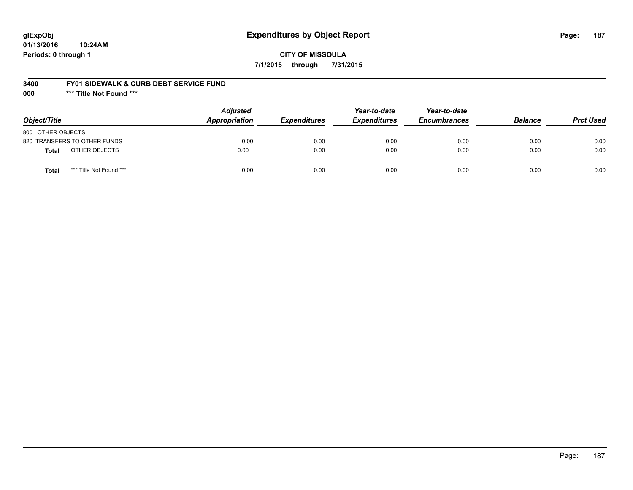## **glExpObj Expenditures by Object Report Page: 187**

### **CITY OF MISSOULA 7/1/2015 through 7/31/2015**

#### **3400 FY01 SIDEWALK & CURB DEBT SERVICE FUND**

**000 \*\*\* Title Not Found \*\*\***

| Object/Title                     | <b>Adjusted</b><br>Appropriation | <b>Expenditures</b> | Year-to-date<br><b>Expenditures</b> | Year-to-date<br><b>Encumbrances</b> | <b>Balance</b> | <b>Prct Used</b> |
|----------------------------------|----------------------------------|---------------------|-------------------------------------|-------------------------------------|----------------|------------------|
| 800 OTHER OBJECTS                |                                  |                     |                                     |                                     |                |                  |
| 820 TRANSFERS TO OTHER FUNDS     | 0.00                             | 0.00                | 0.00                                | 0.00                                | 0.00           | 0.00             |
| OTHER OBJECTS<br><b>Total</b>    | 0.00                             | 0.00                | 0.00                                | 0.00                                | 0.00           | 0.00             |
| *** Title Not Found ***<br>Total | 0.00                             | 0.00                | 0.00                                | 0.00                                | 0.00           | 0.00             |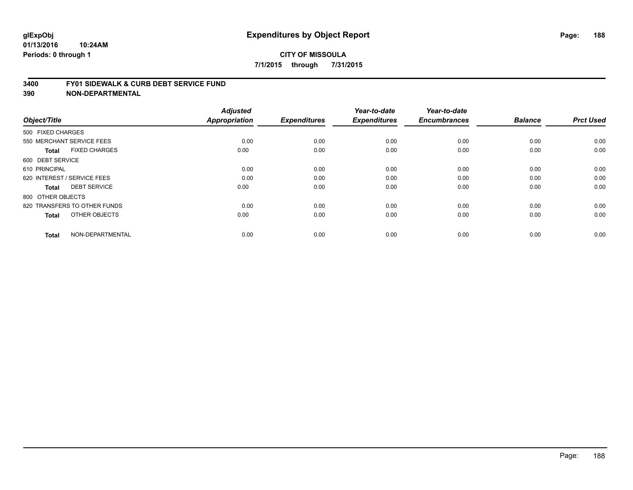#### **3400 FY01 SIDEWALK & CURB DEBT SERVICE FUND**

| Object/Title                         | <b>Adjusted</b><br>Appropriation | <b>Expenditures</b> | Year-to-date<br><b>Expenditures</b> | Year-to-date<br><b>Encumbrances</b> | <b>Balance</b> | <b>Prct Used</b> |
|--------------------------------------|----------------------------------|---------------------|-------------------------------------|-------------------------------------|----------------|------------------|
| 500 FIXED CHARGES                    |                                  |                     |                                     |                                     |                |                  |
|                                      |                                  |                     |                                     |                                     |                |                  |
| 550 MERCHANT SERVICE FEES            | 0.00                             | 0.00                | 0.00                                | 0.00                                | 0.00           | 0.00             |
| <b>FIXED CHARGES</b><br><b>Total</b> | 0.00                             | 0.00                | 0.00                                | 0.00                                | 0.00           | 0.00             |
| 600 DEBT SERVICE                     |                                  |                     |                                     |                                     |                |                  |
| 610 PRINCIPAL                        | 0.00                             | 0.00                | 0.00                                | 0.00                                | 0.00           | 0.00             |
| 620 INTEREST / SERVICE FEES          | 0.00                             | 0.00                | 0.00                                | 0.00                                | 0.00           | 0.00             |
| <b>DEBT SERVICE</b><br><b>Total</b>  | 0.00                             | 0.00                | 0.00                                | 0.00                                | 0.00           | 0.00             |
| 800 OTHER OBJECTS                    |                                  |                     |                                     |                                     |                |                  |
| 820 TRANSFERS TO OTHER FUNDS         | 0.00                             | 0.00                | 0.00                                | 0.00                                | 0.00           | 0.00             |
| OTHER OBJECTS<br><b>Total</b>        | 0.00                             | 0.00                | 0.00                                | 0.00                                | 0.00           | 0.00             |
|                                      |                                  |                     |                                     |                                     |                |                  |
| NON-DEPARTMENTAL<br><b>Total</b>     | 0.00                             | 0.00                | 0.00                                | 0.00                                | 0.00           | 0.00             |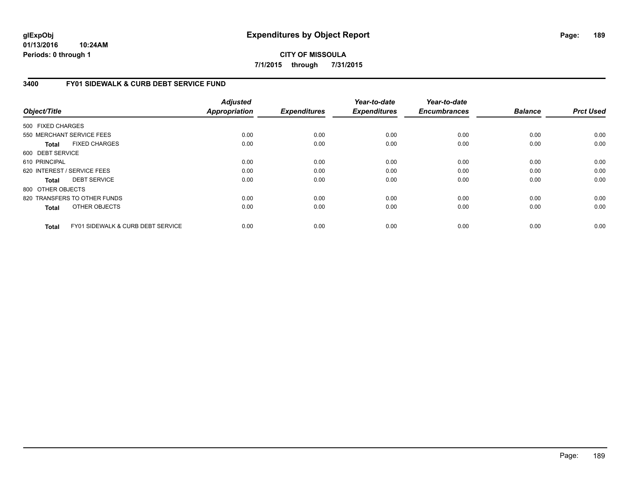**01/13/2016 10:24AM Periods: 0 through 1**

**CITY OF MISSOULA 7/1/2015 through 7/31/2015**

### **3400 FY01 SIDEWALK & CURB DEBT SERVICE FUND**

| Object/Title      |                                   | <b>Adjusted</b><br>Appropriation | <b>Expenditures</b> | Year-to-date<br><b>Expenditures</b> | Year-to-date<br><b>Encumbrances</b> | <b>Balance</b> | <b>Prct Used</b> |
|-------------------|-----------------------------------|----------------------------------|---------------------|-------------------------------------|-------------------------------------|----------------|------------------|
| 500 FIXED CHARGES |                                   |                                  |                     |                                     |                                     |                |                  |
|                   | 550 MERCHANT SERVICE FEES         | 0.00                             | 0.00                | 0.00                                | 0.00                                | 0.00           | 0.00             |
| Total             | <b>FIXED CHARGES</b>              | 0.00                             | 0.00                | 0.00                                | 0.00                                | 0.00           | 0.00             |
| 600 DEBT SERVICE  |                                   |                                  |                     |                                     |                                     |                |                  |
| 610 PRINCIPAL     |                                   | 0.00                             | 0.00                | 0.00                                | 0.00                                | 0.00           | 0.00             |
|                   | 620 INTEREST / SERVICE FEES       | 0.00                             | 0.00                | 0.00                                | 0.00                                | 0.00           | 0.00             |
| Total             | <b>DEBT SERVICE</b>               | 0.00                             | 0.00                | 0.00                                | 0.00                                | 0.00           | 0.00             |
| 800 OTHER OBJECTS |                                   |                                  |                     |                                     |                                     |                |                  |
|                   | 820 TRANSFERS TO OTHER FUNDS      | 0.00                             | 0.00                | 0.00                                | 0.00                                | 0.00           | 0.00             |
| <b>Total</b>      | OTHER OBJECTS                     | 0.00                             | 0.00                | 0.00                                | 0.00                                | 0.00           | 0.00             |
| <b>Total</b>      | FY01 SIDEWALK & CURB DEBT SERVICE | 0.00                             | 0.00                | 0.00                                | 0.00                                | 0.00           | 0.00             |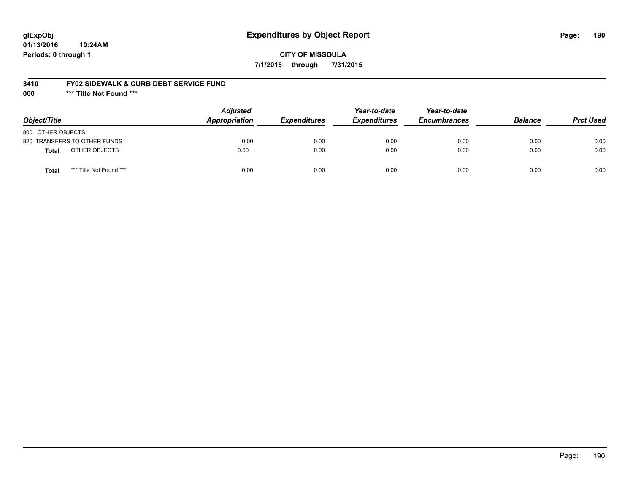## **glExpObj Expenditures by Object Report Page: 190**

### **CITY OF MISSOULA 7/1/2015 through 7/31/2015**

### **3410 FY02 SIDEWALK & CURB DEBT SERVICE FUND**

**000 \*\*\* Title Not Found \*\*\***

| Object/Title                     | <b>Adjusted</b><br><b>Appropriation</b> | <i><b>Expenditures</b></i> | Year-to-date<br><b>Expenditures</b> | Year-to-date<br><b>Encumbrances</b> | <b>Balance</b> | <b>Prct Used</b> |
|----------------------------------|-----------------------------------------|----------------------------|-------------------------------------|-------------------------------------|----------------|------------------|
| 800 OTHER OBJECTS                |                                         |                            |                                     |                                     |                |                  |
| 820 TRANSFERS TO OTHER FUNDS     | 0.00                                    | 0.00                       | 0.00                                | 0.00                                | 0.00           | 0.00             |
| OTHER OBJECTS<br>Total           | 0.00                                    | 0.00                       | 0.00                                | 0.00                                | 0.00           | 0.00             |
| *** Title Not Found ***<br>Total | 0.00                                    | 0.00                       | 0.00                                | 0.00                                | 0.00           | 0.00             |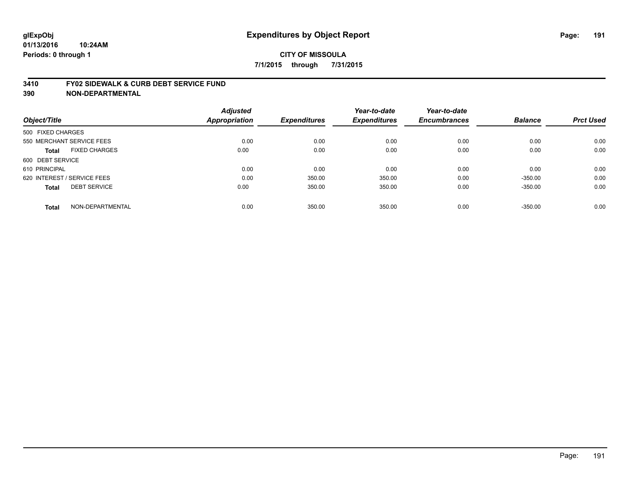#### **3410 FY02 SIDEWALK & CURB DEBT SERVICE FUND**

| Object/Title                         | <b>Adjusted</b><br><b>Appropriation</b> | <b>Expenditures</b> | Year-to-date<br><b>Expenditures</b> | Year-to-date<br><b>Encumbrances</b> | <b>Balance</b> | <b>Prct Used</b> |
|--------------------------------------|-----------------------------------------|---------------------|-------------------------------------|-------------------------------------|----------------|------------------|
|                                      |                                         |                     |                                     |                                     |                |                  |
| 500 FIXED CHARGES                    |                                         |                     |                                     |                                     |                |                  |
| 550 MERCHANT SERVICE FEES            | 0.00                                    | 0.00                | 0.00                                | 0.00                                | 0.00           | 0.00             |
| <b>FIXED CHARGES</b><br><b>Total</b> | 0.00                                    | 0.00                | 0.00                                | 0.00                                | 0.00           | 0.00             |
| 600 DEBT SERVICE                     |                                         |                     |                                     |                                     |                |                  |
| 610 PRINCIPAL                        | 0.00                                    | 0.00                | 0.00                                | 0.00                                | 0.00           | 0.00             |
| 620 INTEREST / SERVICE FEES          | 0.00                                    | 350.00              | 350.00                              | 0.00                                | $-350.00$      | 0.00             |
| <b>DEBT SERVICE</b><br><b>Total</b>  | 0.00                                    | 350.00              | 350.00                              | 0.00                                | $-350.00$      | 0.00             |
| NON-DEPARTMENTAL<br><b>Total</b>     | 0.00                                    | 350.00              | 350.00                              | 0.00                                | $-350.00$      | 0.00             |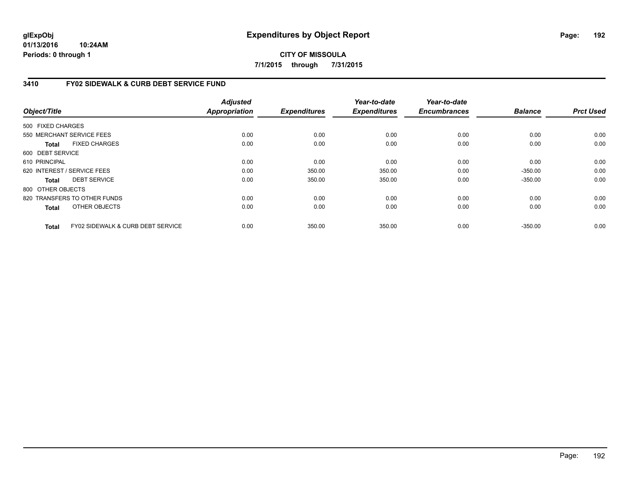**01/13/2016 10:24AM Periods: 0 through 1**

## **CITY OF MISSOULA 7/1/2015 through 7/31/2015**

### **3410 FY02 SIDEWALK & CURB DEBT SERVICE FUND**

| Object/Title      |                                   | <b>Adjusted</b><br>Appropriation | <b>Expenditures</b> | Year-to-date<br><b>Expenditures</b> | Year-to-date<br><b>Encumbrances</b> | <b>Balance</b> | <b>Prct Used</b> |
|-------------------|-----------------------------------|----------------------------------|---------------------|-------------------------------------|-------------------------------------|----------------|------------------|
| 500 FIXED CHARGES |                                   |                                  |                     |                                     |                                     |                |                  |
|                   | 550 MERCHANT SERVICE FEES         | 0.00                             | 0.00                | 0.00                                | 0.00                                | 0.00           | 0.00             |
| <b>Total</b>      | <b>FIXED CHARGES</b>              | 0.00                             | 0.00                | 0.00                                | 0.00                                | 0.00           | 0.00             |
| 600 DEBT SERVICE  |                                   |                                  |                     |                                     |                                     |                |                  |
| 610 PRINCIPAL     |                                   | 0.00                             | 0.00                | 0.00                                | 0.00                                | 0.00           | 0.00             |
|                   | 620 INTEREST / SERVICE FEES       | 0.00                             | 350.00              | 350.00                              | 0.00                                | $-350.00$      | 0.00             |
| <b>Total</b>      | <b>DEBT SERVICE</b>               | 0.00                             | 350.00              | 350.00                              | 0.00                                | $-350.00$      | 0.00             |
| 800 OTHER OBJECTS |                                   |                                  |                     |                                     |                                     |                |                  |
|                   | 820 TRANSFERS TO OTHER FUNDS      | 0.00                             | 0.00                | 0.00                                | 0.00                                | 0.00           | 0.00             |
| <b>Total</b>      | OTHER OBJECTS                     | 0.00                             | 0.00                | 0.00                                | 0.00                                | 0.00           | 0.00             |
| <b>Total</b>      | FY02 SIDEWALK & CURB DEBT SERVICE | 0.00                             | 350.00              | 350.00                              | 0.00                                | $-350.00$      | 0.00             |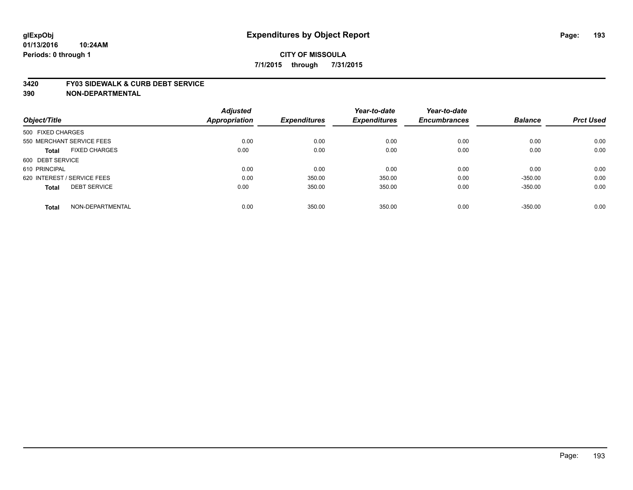#### **3420 FY03 SIDEWALK & CURB DEBT SERVICE**

|                                      | <b>Adjusted</b>      |                     | Year-to-date        | Year-to-date<br><b>Encumbrances</b> | <b>Balance</b> | <b>Prct Used</b> |
|--------------------------------------|----------------------|---------------------|---------------------|-------------------------------------|----------------|------------------|
| Object/Title                         | <b>Appropriation</b> | <b>Expenditures</b> | <b>Expenditures</b> |                                     |                |                  |
| 500 FIXED CHARGES                    |                      |                     |                     |                                     |                |                  |
| 550 MERCHANT SERVICE FEES            | 0.00                 | 0.00                | 0.00                | 0.00                                | 0.00           | 0.00             |
| <b>FIXED CHARGES</b><br><b>Total</b> | 0.00                 | 0.00                | 0.00                | 0.00                                | 0.00           | 0.00             |
| 600 DEBT SERVICE                     |                      |                     |                     |                                     |                |                  |
| 610 PRINCIPAL                        | 0.00                 | 0.00                | 0.00                | 0.00                                | 0.00           | 0.00             |
| 620 INTEREST / SERVICE FEES          | 0.00                 | 350.00              | 350.00              | 0.00                                | $-350.00$      | 0.00             |
| <b>DEBT SERVICE</b><br><b>Total</b>  | 0.00                 | 350.00              | 350.00              | 0.00                                | $-350.00$      | 0.00             |
| NON-DEPARTMENTAL<br><b>Total</b>     | 0.00                 | 350.00              | 350.00              | 0.00                                | $-350.00$      | 0.00             |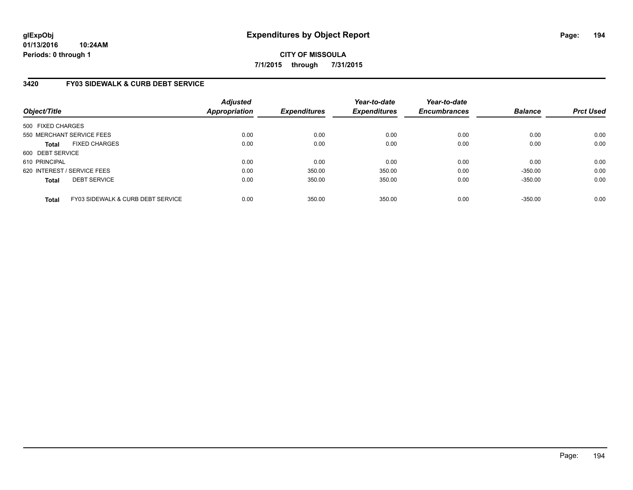### **3420 FY03 SIDEWALK & CURB DEBT SERVICE**

| Object/Title                |                                              | <b>Adjusted</b><br><b>Appropriation</b> | <b>Expenditures</b> | Year-to-date<br><b>Expenditures</b> | Year-to-date<br><b>Encumbrances</b> | <b>Balance</b> | <b>Prct Used</b> |
|-----------------------------|----------------------------------------------|-----------------------------------------|---------------------|-------------------------------------|-------------------------------------|----------------|------------------|
| 500 FIXED CHARGES           |                                              |                                         |                     |                                     |                                     |                |                  |
|                             | 550 MERCHANT SERVICE FEES                    | 0.00                                    | 0.00                | 0.00                                | 0.00                                | 0.00           | 0.00             |
| <b>Total</b>                | <b>FIXED CHARGES</b>                         | 0.00                                    | 0.00                | 0.00                                | 0.00                                | 0.00           | 0.00             |
| 600 DEBT SERVICE            |                                              |                                         |                     |                                     |                                     |                |                  |
| 610 PRINCIPAL               |                                              | 0.00                                    | 0.00                | 0.00                                | 0.00                                | 0.00           | 0.00             |
| 620 INTEREST / SERVICE FEES |                                              | 0.00                                    | 350.00              | 350.00                              | 0.00                                | $-350.00$      | 0.00             |
| <b>Total</b>                | <b>DEBT SERVICE</b>                          | 0.00                                    | 350.00              | 350.00                              | 0.00                                | $-350.00$      | 0.00             |
| <b>Total</b>                | <b>FY03 SIDEWALK &amp; CURB DEBT SERVICE</b> | 0.00                                    | 350.00              | 350.00                              | 0.00                                | $-350.00$      | 0.00             |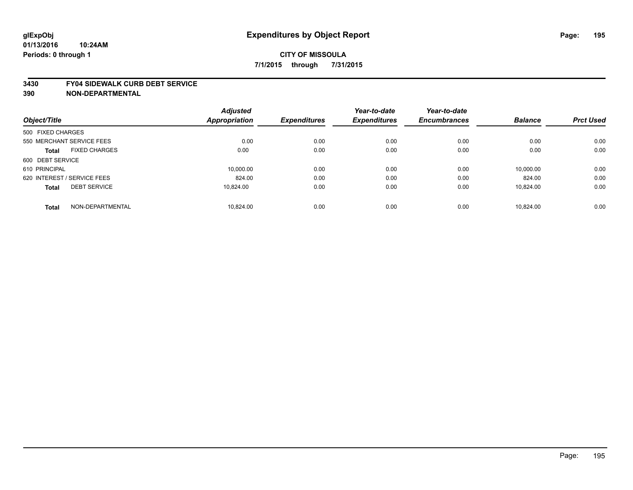#### **3430 FY04 SIDEWALK CURB DEBT SERVICE**

| Object/Title                |                           | <b>Adjusted</b><br>Appropriation | <b>Expenditures</b> | Year-to-date<br><b>Expenditures</b> | Year-to-date<br><b>Encumbrances</b> | <b>Balance</b> | <b>Prct Used</b> |
|-----------------------------|---------------------------|----------------------------------|---------------------|-------------------------------------|-------------------------------------|----------------|------------------|
|                             |                           |                                  |                     |                                     |                                     |                |                  |
| 500 FIXED CHARGES           |                           |                                  |                     |                                     |                                     |                |                  |
|                             | 550 MERCHANT SERVICE FEES | 0.00                             | 0.00                | 0.00                                | 0.00                                | 0.00           | 0.00             |
| <b>Total</b>                | <b>FIXED CHARGES</b>      | 0.00                             | 0.00                | 0.00                                | 0.00                                | 0.00           | 0.00             |
| 600 DEBT SERVICE            |                           |                                  |                     |                                     |                                     |                |                  |
| 610 PRINCIPAL               |                           | 10.000.00                        | 0.00                | 0.00                                | 0.00                                | 10.000.00      | 0.00             |
| 620 INTEREST / SERVICE FEES |                           | 824.00                           | 0.00                | 0.00                                | 0.00                                | 824.00         | 0.00             |
| <b>Total</b>                | <b>DEBT SERVICE</b>       | 10.824.00                        | 0.00                | 0.00                                | 0.00                                | 10,824.00      | 0.00             |
| <b>Total</b>                | NON-DEPARTMENTAL          | 10.824.00                        | 0.00                | 0.00                                | 0.00                                | 10.824.00      | 0.00             |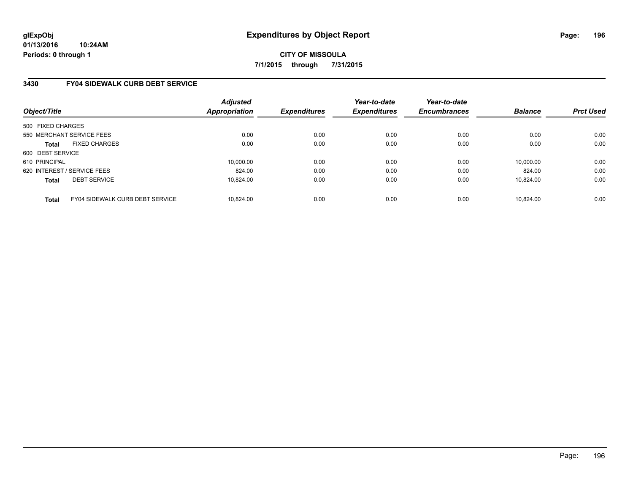### **3430 FY04 SIDEWALK CURB DEBT SERVICE**

| Object/Title                |                                 | <b>Adjusted</b><br><b>Appropriation</b> | <b>Expenditures</b> | Year-to-date<br><b>Expenditures</b> | Year-to-date<br><b>Encumbrances</b> | <b>Balance</b> | <b>Prct Used</b> |
|-----------------------------|---------------------------------|-----------------------------------------|---------------------|-------------------------------------|-------------------------------------|----------------|------------------|
| 500 FIXED CHARGES           |                                 |                                         |                     |                                     |                                     |                |                  |
| 550 MERCHANT SERVICE FEES   |                                 | 0.00                                    | 0.00                | 0.00                                | 0.00                                | 0.00           | 0.00             |
| <b>Total</b>                | <b>FIXED CHARGES</b>            | 0.00                                    | 0.00                | 0.00                                | 0.00                                | 0.00           | 0.00             |
| 600 DEBT SERVICE            |                                 |                                         |                     |                                     |                                     |                |                  |
| 610 PRINCIPAL               |                                 | 10,000.00                               | 0.00                | 0.00                                | 0.00                                | 10,000.00      | 0.00             |
| 620 INTEREST / SERVICE FEES |                                 | 824.00                                  | 0.00                | 0.00                                | 0.00                                | 824.00         | 0.00             |
| <b>Total</b>                | <b>DEBT SERVICE</b>             | 10.824.00                               | 0.00                | 0.00                                | 0.00                                | 10.824.00      | 0.00             |
| <b>Total</b>                | FY04 SIDEWALK CURB DEBT SERVICE | 10.824.00                               | 0.00                | 0.00                                | 0.00                                | 10.824.00      | 0.00             |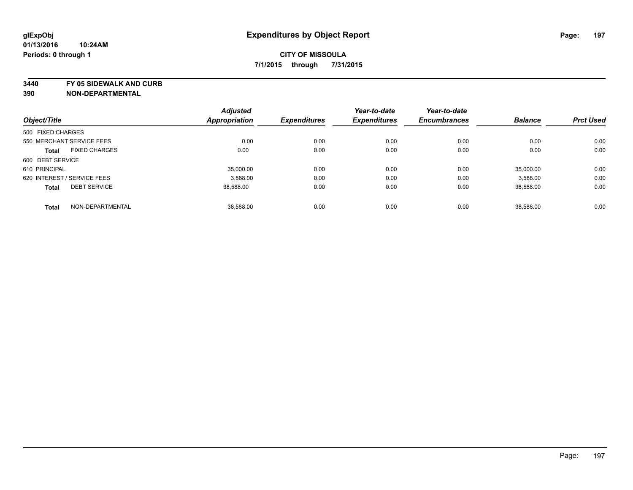**3440 FY 05 SIDEWALK AND CURB**

|                                      | <b>Adjusted</b> |                     | Year-to-date        | Year-to-date        |                |                  |
|--------------------------------------|-----------------|---------------------|---------------------|---------------------|----------------|------------------|
| Object/Title                         | Appropriation   | <b>Expenditures</b> | <b>Expenditures</b> | <b>Encumbrances</b> | <b>Balance</b> | <b>Prct Used</b> |
| 500 FIXED CHARGES                    |                 |                     |                     |                     |                |                  |
| 550 MERCHANT SERVICE FEES            | 0.00            | 0.00                | 0.00                | 0.00                | 0.00           | 0.00             |
| <b>FIXED CHARGES</b><br><b>Total</b> | 0.00            | 0.00                | 0.00                | 0.00                | 0.00           | 0.00             |
| 600 DEBT SERVICE                     |                 |                     |                     |                     |                |                  |
| 610 PRINCIPAL                        | 35,000.00       | 0.00                | 0.00                | 0.00                | 35.000.00      | 0.00             |
| 620 INTEREST / SERVICE FEES          | 3,588.00        | 0.00                | 0.00                | 0.00                | 3,588.00       | 0.00             |
| <b>DEBT SERVICE</b><br><b>Total</b>  | 38.588.00       | 0.00                | 0.00                | 0.00                | 38,588.00      | 0.00             |
| NON-DEPARTMENTAL<br><b>Total</b>     | 38.588.00       | 0.00                | 0.00                | 0.00                | 38,588.00      | 0.00             |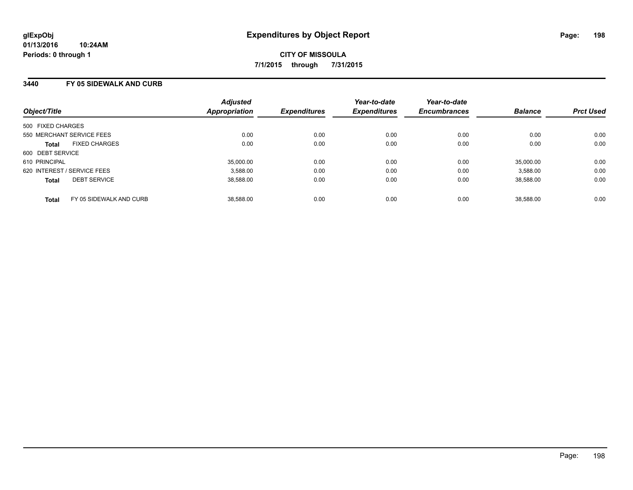#### **3440 FY 05 SIDEWALK AND CURB**

| Object/Title                            | <b>Adjusted</b><br>Appropriation | <b>Expenditures</b> | Year-to-date<br><b>Expenditures</b> | Year-to-date<br><b>Encumbrances</b> | <b>Balance</b> | <b>Prct Used</b> |
|-----------------------------------------|----------------------------------|---------------------|-------------------------------------|-------------------------------------|----------------|------------------|
| 500 FIXED CHARGES                       |                                  |                     |                                     |                                     |                |                  |
| 550 MERCHANT SERVICE FEES               | 0.00                             | 0.00                | 0.00                                | 0.00                                | 0.00           | 0.00             |
| <b>FIXED CHARGES</b><br><b>Total</b>    | 0.00                             | 0.00                | 0.00                                | 0.00                                | 0.00           | 0.00             |
| 600 DEBT SERVICE                        |                                  |                     |                                     |                                     |                |                  |
| 610 PRINCIPAL                           | 35,000.00                        | 0.00                | 0.00                                | 0.00                                | 35,000.00      | 0.00             |
| 620 INTEREST / SERVICE FEES             | 3,588.00                         | 0.00                | 0.00                                | 0.00                                | 3,588.00       | 0.00             |
| <b>DEBT SERVICE</b><br><b>Total</b>     | 38,588.00                        | 0.00                | 0.00                                | 0.00                                | 38.588.00      | 0.00             |
| FY 05 SIDEWALK AND CURB<br><b>Total</b> | 38.588.00                        | 0.00                | 0.00                                | 0.00                                | 38.588.00      | 0.00             |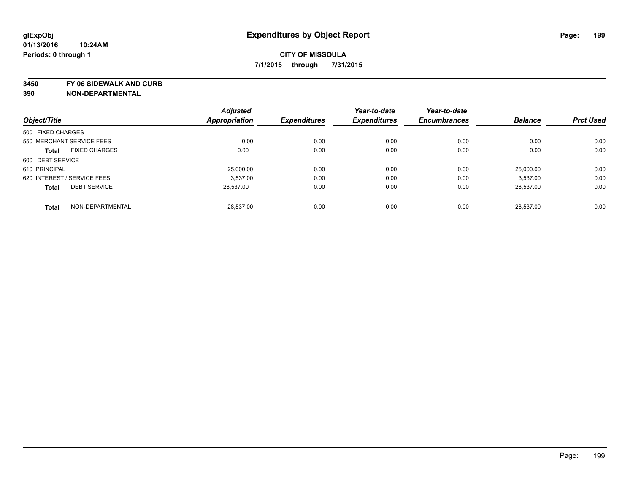**3450 FY 06 SIDEWALK AND CURB**

|                             |                      | <b>Adjusted</b>      |                     | Year-to-date        | Year-to-date        |                |                  |
|-----------------------------|----------------------|----------------------|---------------------|---------------------|---------------------|----------------|------------------|
| Object/Title                |                      | <b>Appropriation</b> | <b>Expenditures</b> | <b>Expenditures</b> | <b>Encumbrances</b> | <b>Balance</b> | <b>Prct Used</b> |
| 500 FIXED CHARGES           |                      |                      |                     |                     |                     |                |                  |
| 550 MERCHANT SERVICE FEES   |                      | 0.00                 | 0.00                | 0.00                | 0.00                | 0.00           | 0.00             |
| <b>Total</b>                | <b>FIXED CHARGES</b> | 0.00                 | 0.00                | 0.00                | 0.00                | 0.00           | 0.00             |
| 600 DEBT SERVICE            |                      |                      |                     |                     |                     |                |                  |
| 610 PRINCIPAL               |                      | 25,000.00            | 0.00                | 0.00                | 0.00                | 25.000.00      | 0.00             |
| 620 INTEREST / SERVICE FEES |                      | 3.537.00             | 0.00                | 0.00                | 0.00                | 3.537.00       | 0.00             |
| <b>Total</b>                | <b>DEBT SERVICE</b>  | 28.537.00            | 0.00                | 0.00                | 0.00                | 28.537.00      | 0.00             |
| <b>Total</b>                | NON-DEPARTMENTAL     | 28.537.00            | 0.00                | 0.00                | 0.00                | 28.537.00      | 0.00             |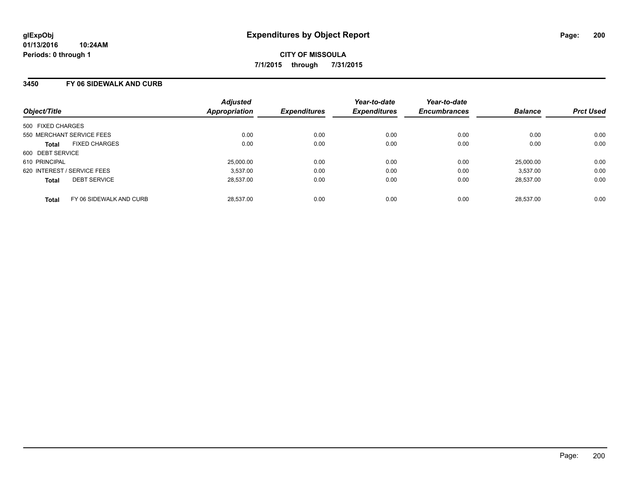### **3450 FY 06 SIDEWALK AND CURB**

| Object/Title                            | <b>Adjusted</b><br>Appropriation | <b>Expenditures</b> | Year-to-date<br><b>Expenditures</b> | Year-to-date<br><b>Encumbrances</b> | <b>Balance</b> | <b>Prct Used</b> |
|-----------------------------------------|----------------------------------|---------------------|-------------------------------------|-------------------------------------|----------------|------------------|
| 500 FIXED CHARGES                       |                                  |                     |                                     |                                     |                |                  |
| 550 MERCHANT SERVICE FEES               |                                  | 0.00<br>0.00        | 0.00                                | 0.00                                | 0.00           | 0.00             |
| <b>FIXED CHARGES</b><br><b>Total</b>    |                                  | 0.00<br>0.00        | 0.00                                | 0.00                                | 0.00           | 0.00             |
| 600 DEBT SERVICE                        |                                  |                     |                                     |                                     |                |                  |
| 610 PRINCIPAL                           |                                  | 25,000.00<br>0.00   | 0.00                                | 0.00                                | 25,000.00      | 0.00             |
| 620 INTEREST / SERVICE FEES             |                                  | 0.00<br>3,537.00    | 0.00                                | 0.00                                | 3.537.00       | 0.00             |
| <b>DEBT SERVICE</b><br><b>Total</b>     |                                  | 28.537.00<br>0.00   | 0.00                                | 0.00                                | 28,537.00      | 0.00             |
| FY 06 SIDEWALK AND CURB<br><b>Total</b> |                                  | 28.537.00<br>0.00   | 0.00                                | 0.00                                | 28.537.00      | 0.00             |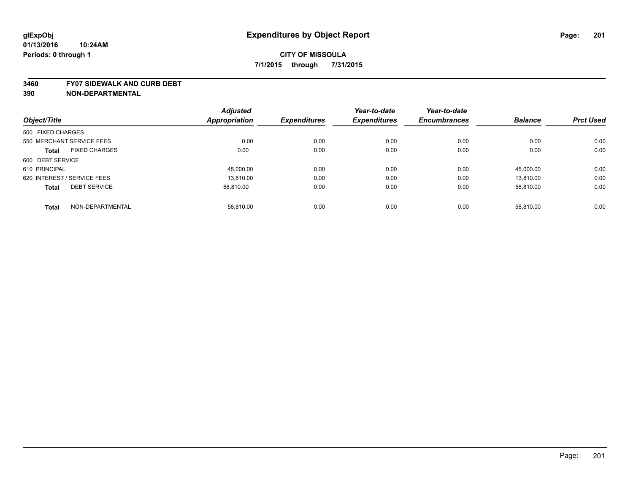#### **3460 FY07 SIDEWALK AND CURB DEBT**

|                                      | <b>Adjusted</b> |                     | Year-to-date        | Year-to-date        |                |                  |
|--------------------------------------|-----------------|---------------------|---------------------|---------------------|----------------|------------------|
| Object/Title                         | Appropriation   | <b>Expenditures</b> | <b>Expenditures</b> | <b>Encumbrances</b> | <b>Balance</b> | <b>Prct Used</b> |
| 500 FIXED CHARGES                    |                 |                     |                     |                     |                |                  |
| 550 MERCHANT SERVICE FEES            | 0.00            | 0.00                | 0.00                | 0.00                | 0.00           | 0.00             |
| <b>FIXED CHARGES</b><br><b>Total</b> | 0.00            | 0.00                | 0.00                | 0.00                | 0.00           | 0.00             |
| 600 DEBT SERVICE                     |                 |                     |                     |                     |                |                  |
| 610 PRINCIPAL                        | 45,000.00       | 0.00                | 0.00                | 0.00                | 45,000.00      | 0.00             |
| 620 INTEREST / SERVICE FEES          | 13.810.00       | 0.00                | 0.00                | 0.00                | 13.810.00      | 0.00             |
| <b>DEBT SERVICE</b><br><b>Total</b>  | 58.810.00       | 0.00                | 0.00                | 0.00                | 58.810.00      | 0.00             |
| NON-DEPARTMENTAL<br><b>Total</b>     | 58.810.00       | 0.00                | 0.00                | 0.00                | 58.810.00      | 0.00             |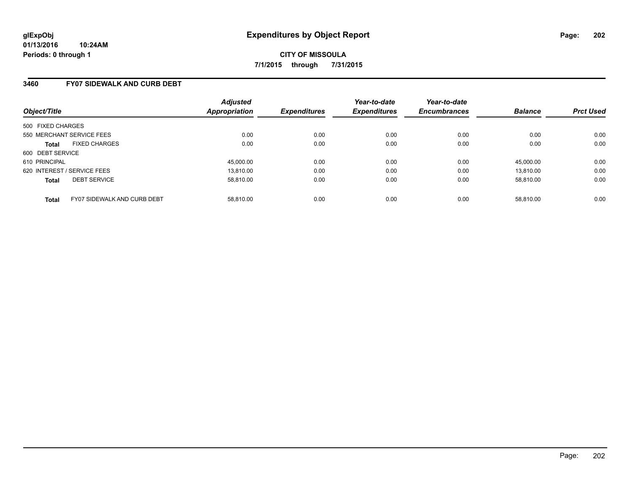### **3460 FY07 SIDEWALK AND CURB DEBT**

| Object/Title                                | <b>Adjusted</b><br>Appropriation | <b>Expenditures</b> | Year-to-date<br><b>Expenditures</b> | Year-to-date<br><b>Encumbrances</b> | <b>Balance</b> | <b>Prct Used</b> |
|---------------------------------------------|----------------------------------|---------------------|-------------------------------------|-------------------------------------|----------------|------------------|
| 500 FIXED CHARGES                           |                                  |                     |                                     |                                     |                |                  |
| 550 MERCHANT SERVICE FEES                   | 0.00                             | 0.00                | 0.00                                | 0.00                                | 0.00           | 0.00             |
| <b>FIXED CHARGES</b><br><b>Total</b>        | 0.00                             | 0.00                | 0.00                                | 0.00                                | 0.00           | 0.00             |
| 600 DEBT SERVICE                            |                                  |                     |                                     |                                     |                |                  |
| 610 PRINCIPAL                               | 45,000.00                        | 0.00                | 0.00                                | 0.00                                | 45.000.00      | 0.00             |
| 620 INTEREST / SERVICE FEES                 | 13.810.00                        | 0.00                | 0.00                                | 0.00                                | 13.810.00      | 0.00             |
| <b>DEBT SERVICE</b><br><b>Total</b>         | 58.810.00                        | 0.00                | 0.00                                | 0.00                                | 58.810.00      | 0.00             |
| FY07 SIDEWALK AND CURB DEBT<br><b>Total</b> | 58.810.00                        | 0.00                | 0.00                                | 0.00                                | 58.810.00      | 0.00             |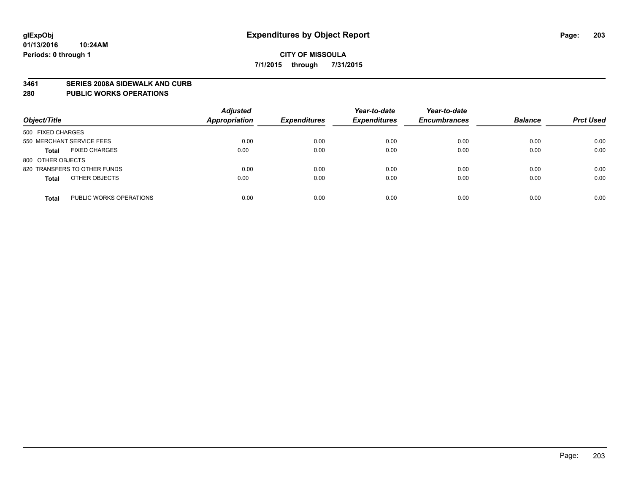#### **3461 SERIES 2008A SIDEWALK AND CURB**

#### **280 PUBLIC WORKS OPERATIONS**

| Object/Title                            | <b>Adjusted</b><br><b>Appropriation</b> | <b>Expenditures</b> | Year-to-date<br><b>Expenditures</b> | Year-to-date<br><b>Encumbrances</b> | <b>Balance</b> | <b>Prct Used</b> |
|-----------------------------------------|-----------------------------------------|---------------------|-------------------------------------|-------------------------------------|----------------|------------------|
| 500 FIXED CHARGES                       |                                         |                     |                                     |                                     |                |                  |
| 550 MERCHANT SERVICE FEES               | 0.00                                    | 0.00                | 0.00                                | 0.00                                | 0.00           | 0.00             |
| <b>FIXED CHARGES</b><br><b>Total</b>    | 0.00                                    | 0.00                | 0.00                                | 0.00                                | 0.00           | 0.00             |
| 800 OTHER OBJECTS                       |                                         |                     |                                     |                                     |                |                  |
| 820 TRANSFERS TO OTHER FUNDS            | 0.00                                    | 0.00                | 0.00                                | 0.00                                | 0.00           | 0.00             |
| OTHER OBJECTS<br><b>Total</b>           | 0.00                                    | 0.00                | 0.00                                | 0.00                                | 0.00           | 0.00             |
| PUBLIC WORKS OPERATIONS<br><b>Total</b> | 0.00                                    | 0.00                | 0.00                                | 0.00                                | 0.00           | 0.00             |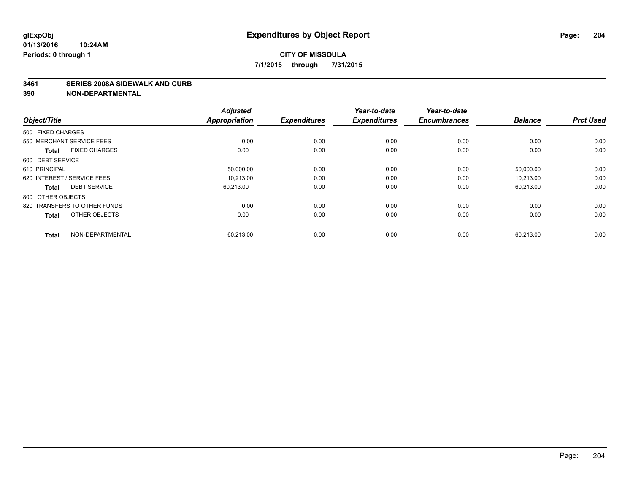#### **3461 SERIES 2008A SIDEWALK AND CURB**

| Object/Title                         | <b>Adjusted</b><br><b>Appropriation</b> | <b>Expenditures</b> | Year-to-date<br><b>Expenditures</b> | Year-to-date<br><b>Encumbrances</b> | <b>Balance</b> | <b>Prct Used</b> |
|--------------------------------------|-----------------------------------------|---------------------|-------------------------------------|-------------------------------------|----------------|------------------|
| 500 FIXED CHARGES                    |                                         |                     |                                     |                                     |                |                  |
| 550 MERCHANT SERVICE FEES            | 0.00                                    | 0.00                | 0.00                                | 0.00                                | 0.00           | 0.00             |
| <b>FIXED CHARGES</b><br><b>Total</b> | 0.00                                    | 0.00                | 0.00                                | 0.00                                | 0.00           | 0.00             |
| 600 DEBT SERVICE                     |                                         |                     |                                     |                                     |                |                  |
| 610 PRINCIPAL                        | 50,000.00                               | 0.00                | 0.00                                | 0.00                                | 50,000.00      | 0.00             |
| 620 INTEREST / SERVICE FEES          | 10.213.00                               | 0.00                | 0.00                                | 0.00                                | 10.213.00      | 0.00             |
| <b>DEBT SERVICE</b><br><b>Total</b>  | 60,213.00                               | 0.00                | 0.00                                | 0.00                                | 60,213.00      | 0.00             |
| 800 OTHER OBJECTS                    |                                         |                     |                                     |                                     |                |                  |
| 820 TRANSFERS TO OTHER FUNDS         | 0.00                                    | 0.00                | 0.00                                | 0.00                                | 0.00           | 0.00             |
| OTHER OBJECTS<br><b>Total</b>        | 0.00                                    | 0.00                | 0.00                                | 0.00                                | 0.00           | 0.00             |
|                                      |                                         |                     |                                     |                                     |                |                  |
| NON-DEPARTMENTAL<br><b>Total</b>     | 60,213.00                               | 0.00                | 0.00                                | 0.00                                | 60,213.00      | 0.00             |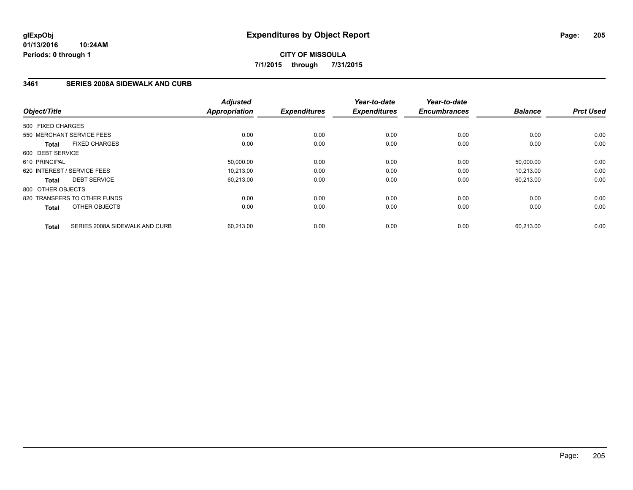### **3461 SERIES 2008A SIDEWALK AND CURB**

| Object/Title                                   | <b>Adjusted</b><br><b>Appropriation</b> | <b>Expenditures</b> | Year-to-date<br><b>Expenditures</b> | Year-to-date<br><b>Encumbrances</b> | <b>Balance</b> | <b>Prct Used</b> |
|------------------------------------------------|-----------------------------------------|---------------------|-------------------------------------|-------------------------------------|----------------|------------------|
| 500 FIXED CHARGES                              |                                         |                     |                                     |                                     |                |                  |
| 550 MERCHANT SERVICE FEES                      | 0.00                                    | 0.00                | 0.00                                | 0.00                                | 0.00           | 0.00             |
| <b>FIXED CHARGES</b><br><b>Total</b>           | 0.00                                    | 0.00                | 0.00                                | 0.00                                | 0.00           | 0.00             |
| 600 DEBT SERVICE                               |                                         |                     |                                     |                                     |                |                  |
| 610 PRINCIPAL                                  | 50,000.00                               | 0.00                | 0.00                                | 0.00                                | 50,000.00      | 0.00             |
| 620 INTEREST / SERVICE FEES                    | 10.213.00                               | 0.00                | 0.00                                | 0.00                                | 10.213.00      | 0.00             |
| <b>DEBT SERVICE</b><br><b>Total</b>            | 60,213.00                               | 0.00                | 0.00                                | 0.00                                | 60,213.00      | 0.00             |
| 800 OTHER OBJECTS                              |                                         |                     |                                     |                                     |                |                  |
| 820 TRANSFERS TO OTHER FUNDS                   | 0.00                                    | 0.00                | 0.00                                | 0.00                                | 0.00           | 0.00             |
| OTHER OBJECTS<br><b>Total</b>                  | 0.00                                    | 0.00                | 0.00                                | 0.00                                | 0.00           | 0.00             |
| SERIES 2008A SIDEWALK AND CURB<br><b>Total</b> | 60,213.00                               | 0.00                | 0.00                                | 0.00                                | 60,213.00      | 0.00             |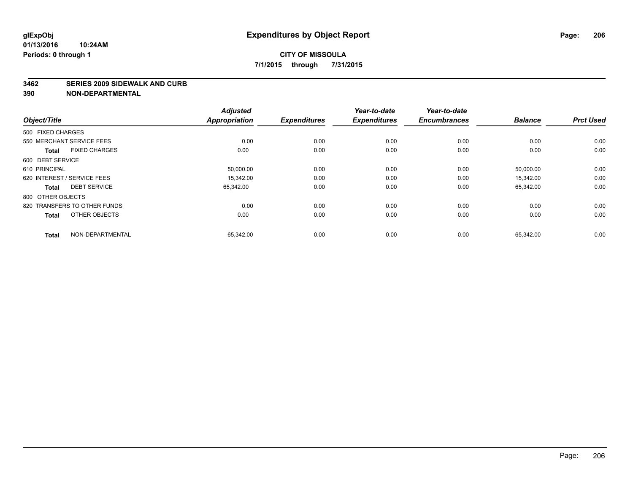#### **3462 SERIES 2009 SIDEWALK AND CURB**

| Object/Title                         | <b>Adjusted</b><br><b>Appropriation</b> | <b>Expenditures</b> | Year-to-date<br><b>Expenditures</b> | Year-to-date<br><b>Encumbrances</b> | <b>Balance</b> | <b>Prct Used</b> |
|--------------------------------------|-----------------------------------------|---------------------|-------------------------------------|-------------------------------------|----------------|------------------|
| 500 FIXED CHARGES                    |                                         |                     |                                     |                                     |                |                  |
| 550 MERCHANT SERVICE FEES            |                                         | 0.00<br>0.00        | 0.00                                | 0.00                                | 0.00           | 0.00             |
| <b>FIXED CHARGES</b><br><b>Total</b> | 0.00                                    | 0.00                | 0.00                                | 0.00                                | 0.00           | 0.00             |
| 600 DEBT SERVICE                     |                                         |                     |                                     |                                     |                |                  |
| 610 PRINCIPAL                        | 50,000.00                               | 0.00                | 0.00                                | 0.00                                | 50,000.00      | 0.00             |
| 620 INTEREST / SERVICE FEES          | 15.342.00                               | 0.00                | 0.00                                | 0.00                                | 15.342.00      | 0.00             |
| <b>DEBT SERVICE</b><br><b>Total</b>  | 65,342.00                               | 0.00                | 0.00                                | 0.00                                | 65,342.00      | 0.00             |
| 800 OTHER OBJECTS                    |                                         |                     |                                     |                                     |                |                  |
| 820 TRANSFERS TO OTHER FUNDS         |                                         | 0.00<br>0.00        | 0.00                                | 0.00                                | 0.00           | 0.00             |
| OTHER OBJECTS<br><b>Total</b>        | 0.00                                    | 0.00                | 0.00                                | 0.00                                | 0.00           | 0.00             |
|                                      |                                         |                     |                                     |                                     |                |                  |
| NON-DEPARTMENTAL<br><b>Total</b>     | 65,342.00                               | 0.00                | 0.00                                | 0.00                                | 65,342.00      | 0.00             |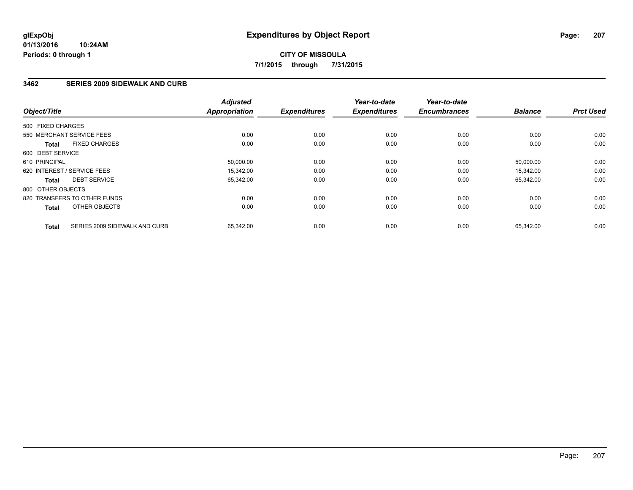### **3462 SERIES 2009 SIDEWALK AND CURB**

| Object/Title      |                               | <b>Adjusted</b><br><b>Appropriation</b> | <b>Expenditures</b> | Year-to-date<br><b>Expenditures</b> | Year-to-date<br><b>Encumbrances</b> | <b>Balance</b> | <b>Prct Used</b> |
|-------------------|-------------------------------|-----------------------------------------|---------------------|-------------------------------------|-------------------------------------|----------------|------------------|
| 500 FIXED CHARGES |                               |                                         |                     |                                     |                                     |                |                  |
|                   | 550 MERCHANT SERVICE FEES     | 0.00                                    | 0.00                | 0.00                                | 0.00                                | 0.00           | 0.00             |
| <b>Total</b>      | <b>FIXED CHARGES</b>          | 0.00                                    | 0.00                | 0.00                                | 0.00                                | 0.00           | 0.00             |
| 600 DEBT SERVICE  |                               |                                         |                     |                                     |                                     |                |                  |
| 610 PRINCIPAL     |                               | 50,000.00                               | 0.00                | 0.00                                | 0.00                                | 50,000.00      | 0.00             |
|                   | 620 INTEREST / SERVICE FEES   | 15,342.00                               | 0.00                | 0.00                                | 0.00                                | 15,342.00      | 0.00             |
| <b>Total</b>      | <b>DEBT SERVICE</b>           | 65,342.00                               | 0.00                | 0.00                                | 0.00                                | 65,342.00      | 0.00             |
| 800 OTHER OBJECTS |                               |                                         |                     |                                     |                                     |                |                  |
|                   | 820 TRANSFERS TO OTHER FUNDS  | 0.00                                    | 0.00                | 0.00                                | 0.00                                | 0.00           | 0.00             |
| <b>Total</b>      | OTHER OBJECTS                 | 0.00                                    | 0.00                | 0.00                                | 0.00                                | 0.00           | 0.00             |
| <b>Total</b>      | SERIES 2009 SIDEWALK AND CURB | 65.342.00                               | 0.00                | 0.00                                | 0.00                                | 65.342.00      | 0.00             |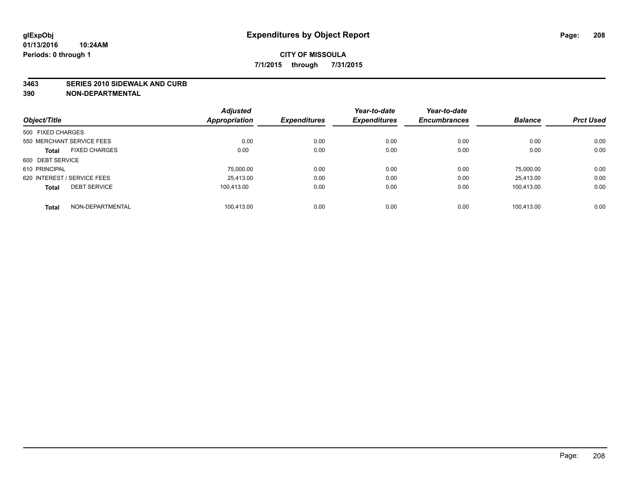#### **3463 SERIES 2010 SIDEWALK AND CURB**

|                                      | <b>Adjusted</b>      |                     | Year-to-date        | Year-to-date        |                |                  |
|--------------------------------------|----------------------|---------------------|---------------------|---------------------|----------------|------------------|
| Object/Title                         | <b>Appropriation</b> | <b>Expenditures</b> | <b>Expenditures</b> | <b>Encumbrances</b> | <b>Balance</b> | <b>Prct Used</b> |
| 500 FIXED CHARGES                    |                      |                     |                     |                     |                |                  |
| 550 MERCHANT SERVICE FEES            | 0.00                 | 0.00                | 0.00                | 0.00                | 0.00           | 0.00             |
| <b>FIXED CHARGES</b><br><b>Total</b> | 0.00                 | 0.00                | 0.00                | 0.00                | 0.00           | 0.00             |
| 600 DEBT SERVICE                     |                      |                     |                     |                     |                |                  |
| 610 PRINCIPAL                        | 75,000.00            | 0.00                | 0.00                | 0.00                | 75.000.00      | 0.00             |
| 620 INTEREST / SERVICE FEES          | 25.413.00            | 0.00                | 0.00                | 0.00                | 25.413.00      | 0.00             |
| <b>DEBT SERVICE</b><br><b>Total</b>  | 100.413.00           | 0.00                | 0.00                | 0.00                | 100.413.00     | 0.00             |
| NON-DEPARTMENTAL<br><b>Total</b>     | 100.413.00           | 0.00                | 0.00                | 0.00                | 100.413.00     | 0.00             |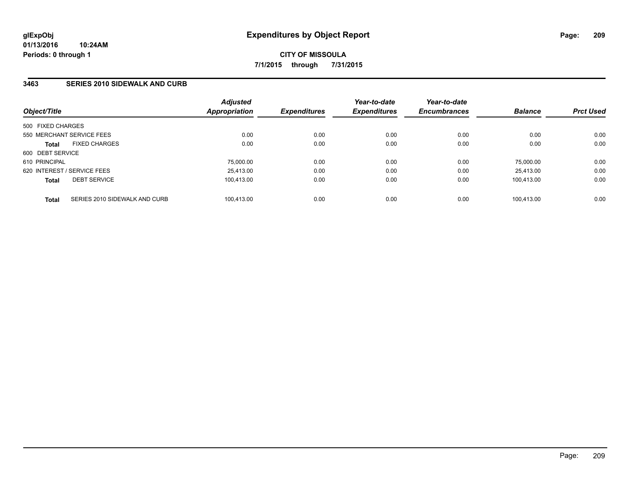### **3463 SERIES 2010 SIDEWALK AND CURB**

| Object/Title                |                               | <b>Adjusted</b><br><b>Appropriation</b> | <b>Expenditures</b> | Year-to-date<br><b>Expenditures</b> | Year-to-date<br><b>Encumbrances</b> | <b>Balance</b> | <b>Prct Used</b> |
|-----------------------------|-------------------------------|-----------------------------------------|---------------------|-------------------------------------|-------------------------------------|----------------|------------------|
| 500 FIXED CHARGES           |                               |                                         |                     |                                     |                                     |                |                  |
|                             | 550 MERCHANT SERVICE FEES     | 0.00                                    | 0.00                | 0.00                                | 0.00                                | 0.00           | 0.00             |
| <b>Total</b>                | <b>FIXED CHARGES</b>          | 0.00                                    | 0.00                | 0.00                                | 0.00                                | 0.00           | 0.00             |
| 600 DEBT SERVICE            |                               |                                         |                     |                                     |                                     |                |                  |
| 610 PRINCIPAL               |                               | 75,000.00                               | 0.00                | 0.00                                | 0.00                                | 75,000.00      | 0.00             |
| 620 INTEREST / SERVICE FEES |                               | 25.413.00                               | 0.00                | 0.00                                | 0.00                                | 25.413.00      | 0.00             |
| <b>Total</b>                | <b>DEBT SERVICE</b>           | 100.413.00                              | 0.00                | 0.00                                | 0.00                                | 100.413.00     | 0.00             |
| <b>Total</b>                | SERIES 2010 SIDEWALK AND CURB | 100.413.00                              | 0.00                | 0.00                                | 0.00                                | 100.413.00     | 0.00             |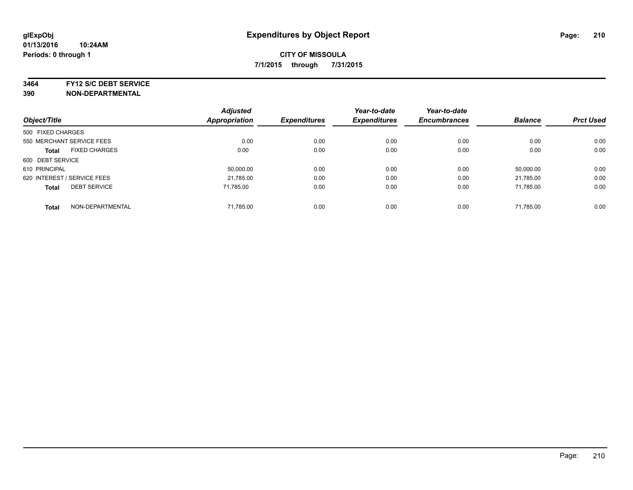**3464 FY12 S/C DEBT SERVICE**

|                                      | <b>Adjusted</b>      |                     | Year-to-date        | Year-to-date        | <b>Balance</b> | <b>Prct Used</b> |
|--------------------------------------|----------------------|---------------------|---------------------|---------------------|----------------|------------------|
| Object/Title                         | <b>Appropriation</b> | <b>Expenditures</b> | <b>Expenditures</b> | <b>Encumbrances</b> |                |                  |
| 500 FIXED CHARGES                    |                      |                     |                     |                     |                |                  |
| 550 MERCHANT SERVICE FEES            | 0.00                 | 0.00                | 0.00                | 0.00                | 0.00           | 0.00             |
| <b>FIXED CHARGES</b><br><b>Total</b> | 0.00                 | 0.00                | 0.00                | 0.00                | 0.00           | 0.00             |
| 600 DEBT SERVICE                     |                      |                     |                     |                     |                |                  |
| 610 PRINCIPAL                        | 50,000.00            | 0.00                | 0.00                | 0.00                | 50.000.00      | 0.00             |
| 620 INTEREST / SERVICE FEES          | 21,785.00            | 0.00                | 0.00                | 0.00                | 21.785.00      | 0.00             |
| <b>DEBT SERVICE</b><br><b>Total</b>  | 71.785.00            | 0.00                | 0.00                | 0.00                | 71.785.00      | 0.00             |
| NON-DEPARTMENTAL<br><b>Total</b>     | 71,785.00            | 0.00                | 0.00                | 0.00                | 71.785.00      | 0.00             |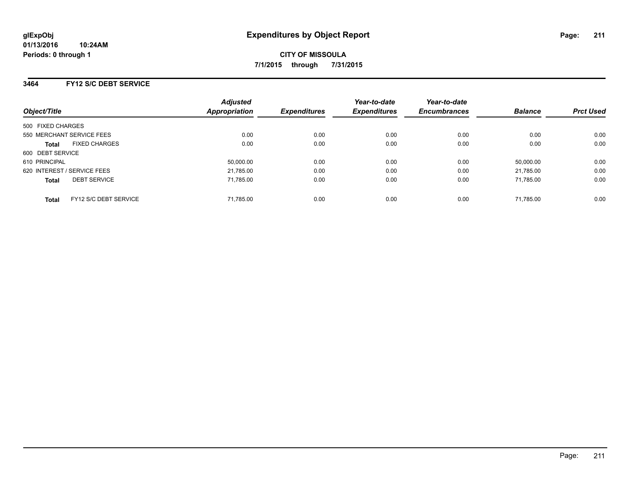### **3464 FY12 S/C DEBT SERVICE**

| Object/Title                          | <b>Adjusted</b><br><b>Appropriation</b> | <b>Expenditures</b> | Year-to-date<br><b>Expenditures</b> | Year-to-date<br><b>Encumbrances</b> | <b>Balance</b> | <b>Prct Used</b> |
|---------------------------------------|-----------------------------------------|---------------------|-------------------------------------|-------------------------------------|----------------|------------------|
| 500 FIXED CHARGES                     |                                         |                     |                                     |                                     |                |                  |
| 550 MERCHANT SERVICE FEES             | 0.00                                    | 0.00                | 0.00                                | 0.00                                | 0.00           | 0.00             |
| <b>FIXED CHARGES</b><br><b>Total</b>  | 0.00                                    | 0.00                | 0.00                                | 0.00                                | 0.00           | 0.00             |
| 600 DEBT SERVICE                      |                                         |                     |                                     |                                     |                |                  |
| 610 PRINCIPAL                         | 50,000.00                               | 0.00                | 0.00                                | 0.00                                | 50.000.00      | 0.00             |
| 620 INTEREST / SERVICE FEES           | 21,785.00                               | 0.00                | 0.00                                | 0.00                                | 21.785.00      | 0.00             |
| <b>DEBT SERVICE</b><br><b>Total</b>   | 71.785.00                               | 0.00                | 0.00                                | 0.00                                | 71.785.00      | 0.00             |
| FY12 S/C DEBT SERVICE<br><b>Total</b> | 71.785.00                               | 0.00                | 0.00                                | 0.00                                | 71.785.00      | 0.00             |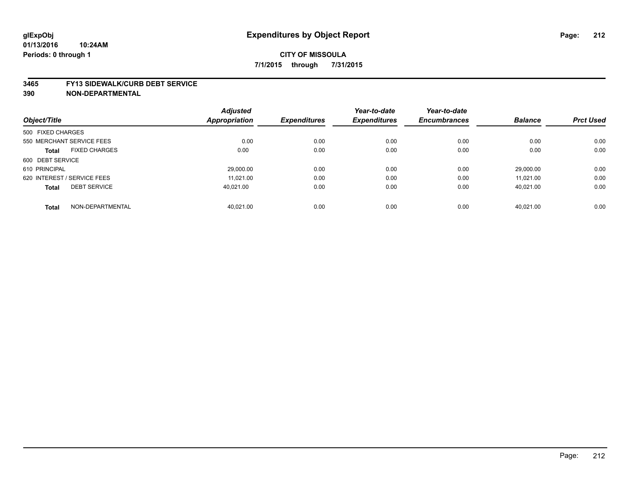#### **3465 FY13 SIDEWALK/CURB DEBT SERVICE**

|                                      | <b>Adjusted</b> |                     | Year-to-date        | Year-to-date        |                |                  |
|--------------------------------------|-----------------|---------------------|---------------------|---------------------|----------------|------------------|
| Object/Title                         | Appropriation   | <b>Expenditures</b> | <b>Expenditures</b> | <b>Encumbrances</b> | <b>Balance</b> | <b>Prct Used</b> |
| 500 FIXED CHARGES                    |                 |                     |                     |                     |                |                  |
| 550 MERCHANT SERVICE FEES            | 0.00            | 0.00                | 0.00                | 0.00                | 0.00           | 0.00             |
| <b>FIXED CHARGES</b><br><b>Total</b> | 0.00            | 0.00                | 0.00                | 0.00                | 0.00           | 0.00             |
| 600 DEBT SERVICE                     |                 |                     |                     |                     |                |                  |
| 610 PRINCIPAL                        | 29,000.00       | 0.00                | 0.00                | 0.00                | 29.000.00      | 0.00             |
| 620 INTEREST / SERVICE FEES          | 11.021.00       | 0.00                | 0.00                | 0.00                | 11.021.00      | 0.00             |
| <b>DEBT SERVICE</b><br><b>Total</b>  | 40.021.00       | 0.00                | 0.00                | 0.00                | 40,021.00      | 0.00             |
| NON-DEPARTMENTAL<br><b>Total</b>     | 40.021.00       | 0.00                | 0.00                | 0.00                | 40.021.00      | 0.00             |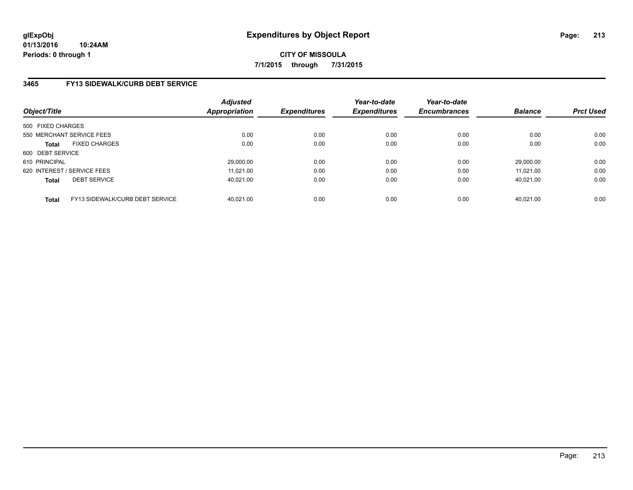### **3465 FY13 SIDEWALK/CURB DEBT SERVICE**

| Object/Title                |                                 | <b>Adjusted</b><br>Appropriation | <b>Expenditures</b> | Year-to-date<br><b>Expenditures</b> | Year-to-date<br><b>Encumbrances</b> | <b>Balance</b> | <b>Prct Used</b> |
|-----------------------------|---------------------------------|----------------------------------|---------------------|-------------------------------------|-------------------------------------|----------------|------------------|
| 500 FIXED CHARGES           |                                 |                                  |                     |                                     |                                     |                |                  |
| 550 MERCHANT SERVICE FEES   |                                 | 0.00                             | 0.00                | 0.00                                | 0.00                                | 0.00           | 0.00             |
| <b>Total</b>                | <b>FIXED CHARGES</b>            | 0.00                             | 0.00                | 0.00                                | 0.00                                | 0.00           | 0.00             |
| 600 DEBT SERVICE            |                                 |                                  |                     |                                     |                                     |                |                  |
| 610 PRINCIPAL               |                                 | 29,000.00                        | 0.00                | 0.00                                | 0.00                                | 29.000.00      | 0.00             |
| 620 INTEREST / SERVICE FEES |                                 | 11.021.00                        | 0.00                | 0.00                                | 0.00                                | 11.021.00      | 0.00             |
| <b>Total</b>                | <b>DEBT SERVICE</b>             | 40.021.00                        | 0.00                | 0.00                                | 0.00                                | 40.021.00      | 0.00             |
| <b>Total</b>                | FY13 SIDEWALK/CURB DEBT SERVICE | 40.021.00                        | 0.00                | 0.00                                | 0.00                                | 40.021.00      | 0.00             |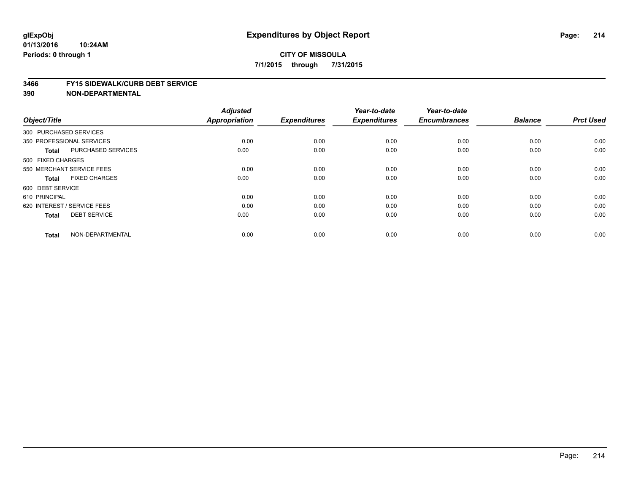#### **3466 FY15 SIDEWALK/CURB DEBT SERVICE**

| Object/Title           |                             | <b>Adjusted</b><br><b>Appropriation</b> | <b>Expenditures</b> | Year-to-date<br><b>Expenditures</b> | Year-to-date<br><b>Encumbrances</b> | <b>Balance</b> | <b>Prct Used</b> |
|------------------------|-----------------------------|-----------------------------------------|---------------------|-------------------------------------|-------------------------------------|----------------|------------------|
| 300 PURCHASED SERVICES |                             |                                         |                     |                                     |                                     |                |                  |
|                        | 350 PROFESSIONAL SERVICES   | 0.00                                    | 0.00                | 0.00                                | 0.00                                | 0.00           | 0.00             |
| <b>Total</b>           | <b>PURCHASED SERVICES</b>   | 0.00                                    | 0.00                | 0.00                                | 0.00                                | 0.00           | 0.00             |
| 500 FIXED CHARGES      |                             |                                         |                     |                                     |                                     |                |                  |
|                        | 550 MERCHANT SERVICE FEES   | 0.00                                    | 0.00                | 0.00                                | 0.00                                | 0.00           | 0.00             |
| <b>Total</b>           | <b>FIXED CHARGES</b>        | 0.00                                    | 0.00                | 0.00                                | 0.00                                | 0.00           | 0.00             |
| 600 DEBT SERVICE       |                             |                                         |                     |                                     |                                     |                |                  |
| 610 PRINCIPAL          |                             | 0.00                                    | 0.00                | 0.00                                | 0.00                                | 0.00           | 0.00             |
|                        | 620 INTEREST / SERVICE FEES | 0.00                                    | 0.00                | 0.00                                | 0.00                                | 0.00           | 0.00             |
| <b>Total</b>           | <b>DEBT SERVICE</b>         | 0.00                                    | 0.00                | 0.00                                | 0.00                                | 0.00           | 0.00             |
| <b>Total</b>           | NON-DEPARTMENTAL            | 0.00                                    | 0.00                | 0.00                                | 0.00                                | 0.00           | 0.00             |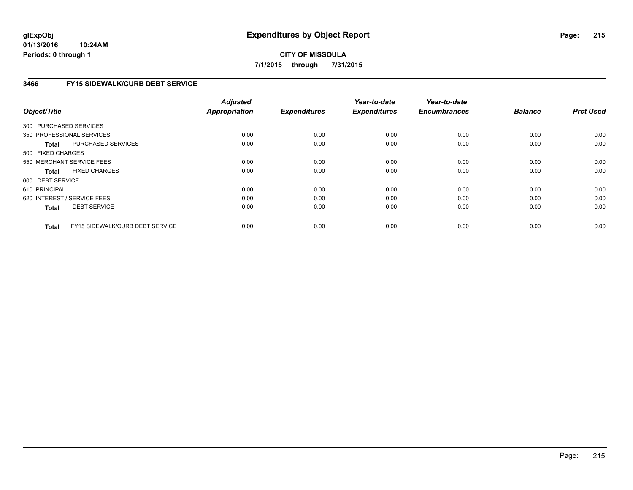**01/13/2016 10:24AM Periods: 0 through 1**

## **CITY OF MISSOULA 7/1/2015 through 7/31/2015**

### **3466 FY15 SIDEWALK/CURB DEBT SERVICE**

| Object/Title           |                                 | <b>Adjusted</b><br><b>Appropriation</b> | <b>Expenditures</b> | Year-to-date<br><b>Expenditures</b> | Year-to-date<br><b>Encumbrances</b> | <b>Balance</b> | <b>Prct Used</b> |
|------------------------|---------------------------------|-----------------------------------------|---------------------|-------------------------------------|-------------------------------------|----------------|------------------|
|                        |                                 |                                         |                     |                                     |                                     |                |                  |
| 300 PURCHASED SERVICES |                                 |                                         |                     |                                     |                                     |                |                  |
|                        | 350 PROFESSIONAL SERVICES       | 0.00                                    | 0.00                | 0.00                                | 0.00                                | 0.00           | 0.00             |
| Total                  | PURCHASED SERVICES              | 0.00                                    | 0.00                | 0.00                                | 0.00                                | 0.00           | 0.00             |
| 500 FIXED CHARGES      |                                 |                                         |                     |                                     |                                     |                |                  |
|                        | 550 MERCHANT SERVICE FEES       | 0.00                                    | 0.00                | 0.00                                | 0.00                                | 0.00           | 0.00             |
| <b>Total</b>           | <b>FIXED CHARGES</b>            | 0.00                                    | 0.00                | 0.00                                | 0.00                                | 0.00           | 0.00             |
| 600 DEBT SERVICE       |                                 |                                         |                     |                                     |                                     |                |                  |
| 610 PRINCIPAL          |                                 | 0.00                                    | 0.00                | 0.00                                | 0.00                                | 0.00           | 0.00             |
|                        | 620 INTEREST / SERVICE FEES     | 0.00                                    | 0.00                | 0.00                                | 0.00                                | 0.00           | 0.00             |
| <b>Total</b>           | <b>DEBT SERVICE</b>             | 0.00                                    | 0.00                | 0.00                                | 0.00                                | 0.00           | 0.00             |
|                        |                                 |                                         |                     |                                     |                                     |                |                  |
| <b>Total</b>           | FY15 SIDEWALK/CURB DEBT SERVICE | 0.00                                    | 0.00                | 0.00                                | 0.00                                | 0.00           | 0.00             |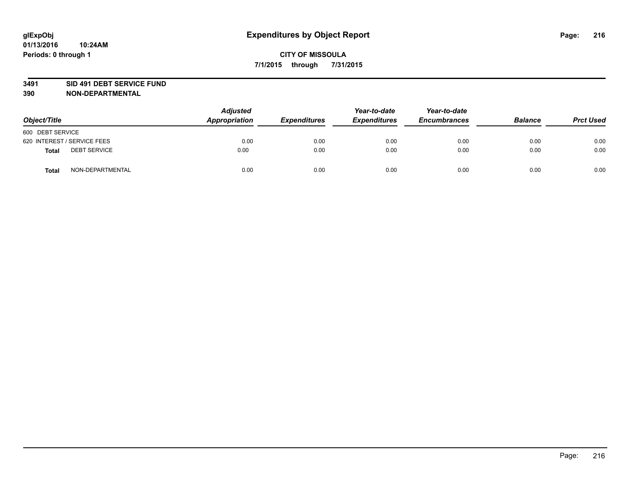#### **3491 SID 491 DEBT SERVICE FUND**

| Object/Title                 | <b>Adjusted</b><br>Appropriation | <b>Expenditures</b> | Year-to-date<br><b>Expenditures</b> | Year-to-date<br><b>Encumbrances</b> | <b>Balance</b> | <b>Prct Used</b> |
|------------------------------|----------------------------------|---------------------|-------------------------------------|-------------------------------------|----------------|------------------|
| 600 DEBT SERVICE             |                                  |                     |                                     |                                     |                |                  |
| 620 INTEREST / SERVICE FEES  | 0.00                             | 0.00                | 0.00                                | 0.00                                | 0.00           | 0.00             |
| <b>DEBT SERVICE</b><br>Total | 0.00                             | 0.00                | 0.00                                | 0.00                                | 0.00           | 0.00             |
| NON-DEPARTMENTAL<br>Total    | 0.00                             | 0.00                | 0.00                                | 0.00                                | 0.00           | 0.00             |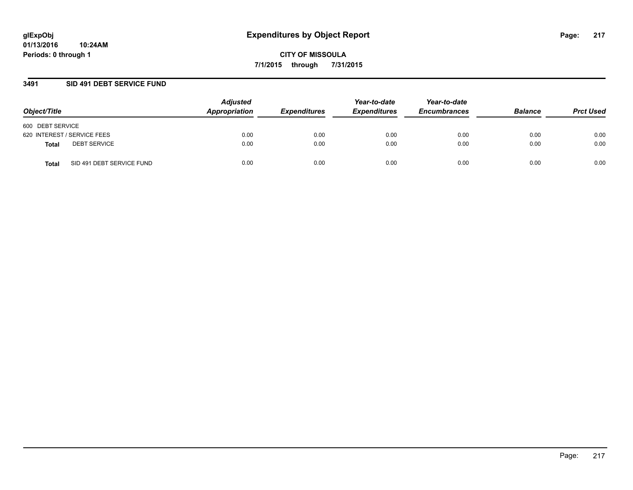#### **3491 SID 491 DEBT SERVICE FUND**

| Object/Title                       | <b>Adjusted</b><br>Appropriation | <b>Expenditures</b> | Year-to-date<br><b>Expenditures</b> | Year-to-date<br><b>Encumbrances</b> | <b>Balance</b> | <b>Prct Used</b> |
|------------------------------------|----------------------------------|---------------------|-------------------------------------|-------------------------------------|----------------|------------------|
| 600 DEBT SERVICE                   |                                  |                     |                                     |                                     |                |                  |
| 620 INTEREST / SERVICE FEES        | 0.00                             | 0.00                | 0.00                                | 0.00                                | 0.00           | 0.00             |
| <b>DEBT SERVICE</b><br>Total       | 0.00                             | 0.00                | 0.00                                | 0.00                                | 0.00           | 0.00             |
| SID 491 DEBT SERVICE FUND<br>Total | 0.00                             | 0.00                | 0.00                                | 0.00                                | 0.00           | 0.00             |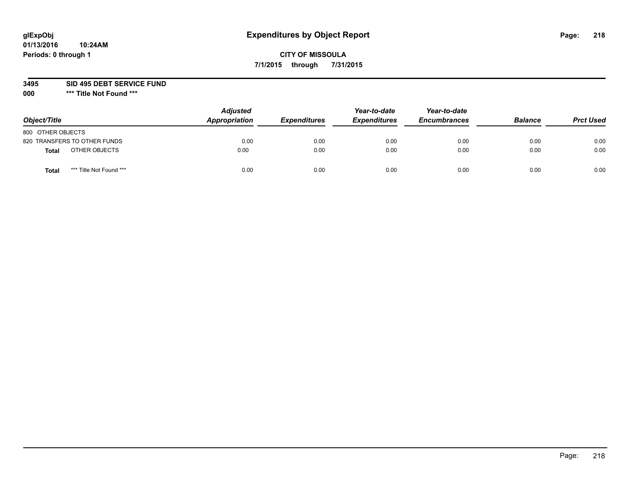# **CITY OF MISSOULA 7/1/2015 through 7/31/2015**

#### **3495 SID 495 DEBT SERVICE FUND**

| Object/Title                     | <b>Adjusted</b><br>Appropriation | <b>Expenditures</b> | Year-to-date<br><b>Expenditures</b> | Year-to-date<br><b>Encumbrances</b> | <b>Balance</b> | <b>Prct Used</b> |
|----------------------------------|----------------------------------|---------------------|-------------------------------------|-------------------------------------|----------------|------------------|
| 800 OTHER OBJECTS                |                                  |                     |                                     |                                     |                |                  |
| 820 TRANSFERS TO OTHER FUNDS     | 0.00                             | 0.00                | 0.00                                | 0.00                                | 0.00           | 0.00             |
| OTHER OBJECTS<br><b>Total</b>    | 0.00                             | 0.00                | 0.00                                | 0.00                                | 0.00           | 0.00             |
| *** Title Not Found ***<br>Total | 0.00                             | 0.00                | 0.00                                | 0.00                                | 0.00           | 0.00             |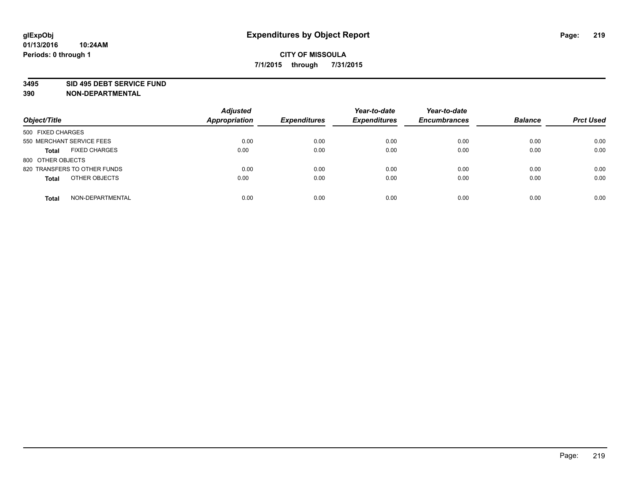#### **3495 SID 495 DEBT SERVICE FUND**

| Object/Title                         | <b>Adjusted</b><br><b>Appropriation</b> | <b>Expenditures</b> | Year-to-date<br><b>Expenditures</b> | Year-to-date<br><b>Encumbrances</b> | <b>Balance</b> | <b>Prct Used</b> |
|--------------------------------------|-----------------------------------------|---------------------|-------------------------------------|-------------------------------------|----------------|------------------|
| 500 FIXED CHARGES                    |                                         |                     |                                     |                                     |                |                  |
| 550 MERCHANT SERVICE FEES            | 0.00                                    | 0.00                | 0.00                                | 0.00                                | 0.00           | 0.00             |
| <b>FIXED CHARGES</b><br><b>Total</b> | 0.00                                    | 0.00                | 0.00                                | 0.00                                | 0.00           | 0.00             |
| 800 OTHER OBJECTS                    |                                         |                     |                                     |                                     |                |                  |
| 820 TRANSFERS TO OTHER FUNDS         | 0.00                                    | 0.00                | 0.00                                | 0.00                                | 0.00           | 0.00             |
| OTHER OBJECTS<br><b>Total</b>        | 0.00                                    | 0.00                | 0.00                                | 0.00                                | 0.00           | 0.00             |
| NON-DEPARTMENTAL<br><b>Total</b>     | 0.00                                    | 0.00                | 0.00                                | 0.00                                | 0.00           | 0.00             |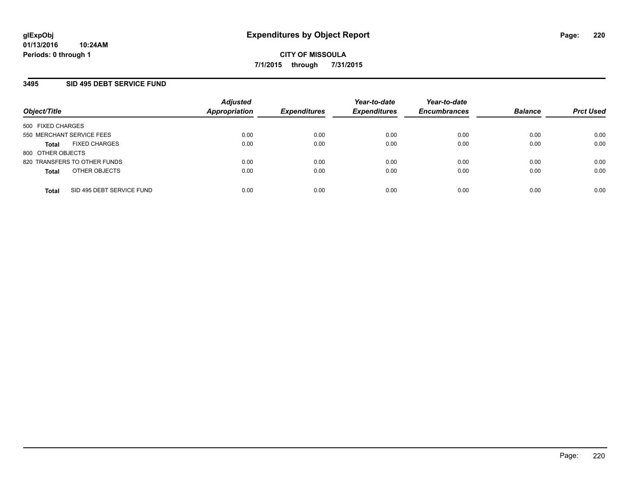## **3495 SID 495 DEBT SERVICE FUND**

| Object/Title                              | <b>Adjusted</b><br>Appropriation | <b>Expenditures</b> | Year-to-date<br><b>Expenditures</b> | Year-to-date<br><b>Encumbrances</b> | <b>Balance</b> | <b>Prct Used</b> |
|-------------------------------------------|----------------------------------|---------------------|-------------------------------------|-------------------------------------|----------------|------------------|
| 500 FIXED CHARGES                         |                                  |                     |                                     |                                     |                |                  |
| 550 MERCHANT SERVICE FEES                 | 0.00                             | 0.00                | 0.00                                | 0.00                                | 0.00           | 0.00             |
| <b>FIXED CHARGES</b><br><b>Total</b>      | 0.00                             | 0.00                | 0.00                                | 0.00                                | 0.00           | 0.00             |
| 800 OTHER OBJECTS                         |                                  |                     |                                     |                                     |                |                  |
| 820 TRANSFERS TO OTHER FUNDS              | 0.00                             | 0.00                | 0.00                                | 0.00                                | 0.00           | 0.00             |
| OTHER OBJECTS<br><b>Total</b>             | 0.00                             | 0.00                | 0.00                                | 0.00                                | 0.00           | 0.00             |
| SID 495 DEBT SERVICE FUND<br><b>Total</b> | 0.00                             | 0.00                | 0.00                                | 0.00                                | 0.00           | 0.00             |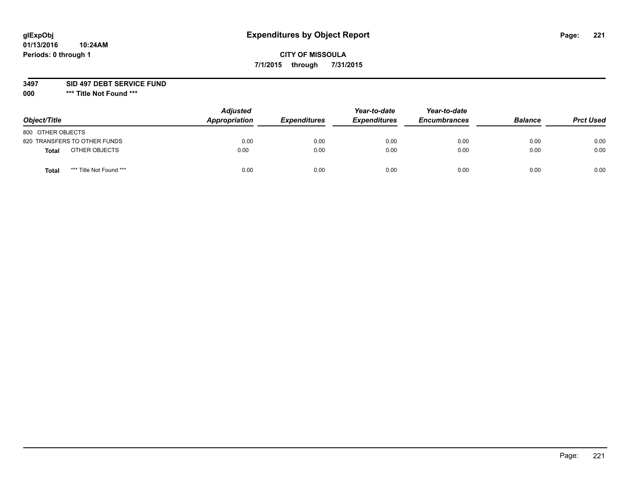# **CITY OF MISSOULA 7/1/2015 through 7/31/2015**

#### **3497 SID 497 DEBT SERVICE FUND**

| Object/Title                     | <b>Adjusted</b><br>Appropriation | <b>Expenditures</b> | Year-to-date<br><b>Expenditures</b> | Year-to-date<br><b>Encumbrances</b> | <b>Balance</b> | <b>Prct Used</b> |
|----------------------------------|----------------------------------|---------------------|-------------------------------------|-------------------------------------|----------------|------------------|
| 800 OTHER OBJECTS                |                                  |                     |                                     |                                     |                |                  |
| 820 TRANSFERS TO OTHER FUNDS     | 0.00                             | 0.00                | 0.00                                | 0.00                                | 0.00           | 0.00             |
| OTHER OBJECTS<br><b>Total</b>    | 0.00                             | 0.00                | 0.00                                | 0.00                                | 0.00           | 0.00             |
| *** Title Not Found ***<br>Total | 0.00                             | 0.00                | 0.00                                | 0.00                                | 0.00           | 0.00             |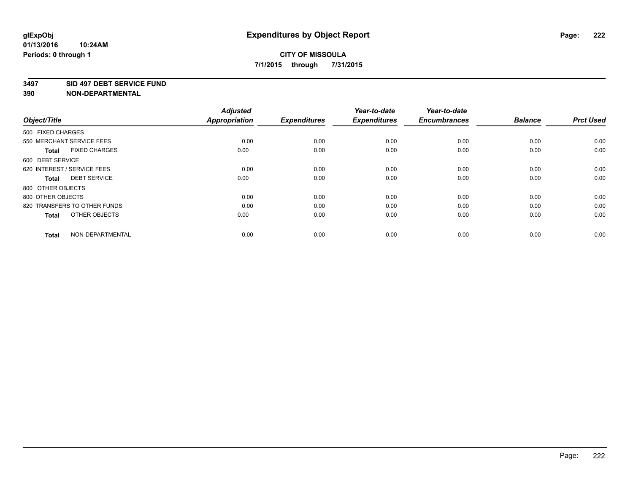#### **3497 SID 497 DEBT SERVICE FUND**

| Object/Title                         | <b>Adjusted</b><br><b>Appropriation</b> | <b>Expenditures</b> | Year-to-date<br><b>Expenditures</b> | Year-to-date<br><b>Encumbrances</b> | <b>Balance</b> | <b>Prct Used</b> |
|--------------------------------------|-----------------------------------------|---------------------|-------------------------------------|-------------------------------------|----------------|------------------|
| 500 FIXED CHARGES                    |                                         |                     |                                     |                                     |                |                  |
| 550 MERCHANT SERVICE FEES            | 0.00                                    | 0.00                | 0.00                                | 0.00                                | 0.00           | 0.00             |
| <b>FIXED CHARGES</b><br><b>Total</b> | 0.00                                    | 0.00                | 0.00                                | 0.00                                | 0.00           | 0.00             |
| 600 DEBT SERVICE                     |                                         |                     |                                     |                                     |                |                  |
| 620 INTEREST / SERVICE FEES          | 0.00                                    | 0.00                | 0.00                                | 0.00                                | 0.00           | 0.00             |
| <b>DEBT SERVICE</b><br><b>Total</b>  | 0.00                                    | 0.00                | 0.00                                | 0.00                                | 0.00           | 0.00             |
| 800 OTHER OBJECTS                    |                                         |                     |                                     |                                     |                |                  |
| 800 OTHER OBJECTS                    | 0.00                                    | 0.00                | 0.00                                | 0.00                                | 0.00           | 0.00             |
| 820 TRANSFERS TO OTHER FUNDS         | 0.00                                    | 0.00                | 0.00                                | 0.00                                | 0.00           | 0.00             |
| OTHER OBJECTS<br><b>Total</b>        | 0.00                                    | 0.00                | 0.00                                | 0.00                                | 0.00           | 0.00             |
|                                      |                                         |                     |                                     |                                     |                |                  |
| NON-DEPARTMENTAL<br><b>Total</b>     | 0.00                                    | 0.00                | 0.00                                | 0.00                                | 0.00           | 0.00             |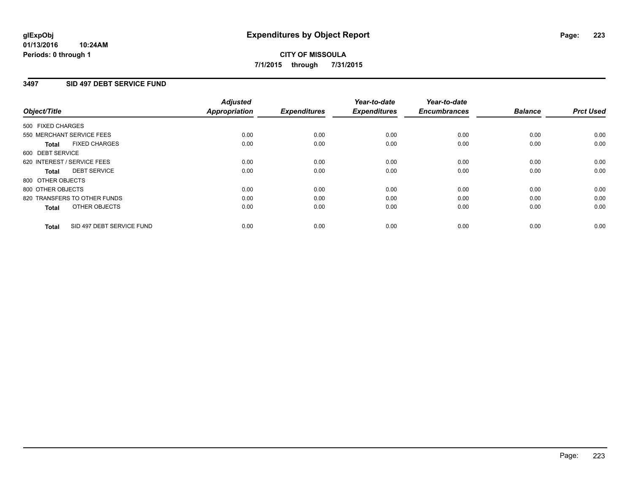#### **01/13/2016 10:24AM Periods: 0 through 1**

# **CITY OF MISSOULA 7/1/2015 through 7/31/2015**

### **3497 SID 497 DEBT SERVICE FUND**

| Object/Title      |                              | <b>Adjusted</b><br>Appropriation | <b>Expenditures</b> | Year-to-date<br><b>Expenditures</b> | Year-to-date<br><b>Encumbrances</b> | <b>Balance</b> | <b>Prct Used</b> |
|-------------------|------------------------------|----------------------------------|---------------------|-------------------------------------|-------------------------------------|----------------|------------------|
| 500 FIXED CHARGES |                              |                                  |                     |                                     |                                     |                |                  |
|                   | 550 MERCHANT SERVICE FEES    | 0.00                             | 0.00                | 0.00                                | 0.00                                | 0.00           | 0.00             |
| <b>Total</b>      | <b>FIXED CHARGES</b>         | 0.00                             | 0.00                | 0.00                                | 0.00                                | 0.00           | 0.00             |
| 600 DEBT SERVICE  |                              |                                  |                     |                                     |                                     |                |                  |
|                   | 620 INTEREST / SERVICE FEES  | 0.00                             | 0.00                | 0.00                                | 0.00                                | 0.00           | 0.00             |
| <b>Total</b>      | <b>DEBT SERVICE</b>          | 0.00                             | 0.00                | 0.00                                | 0.00                                | 0.00           | 0.00             |
| 800 OTHER OBJECTS |                              |                                  |                     |                                     |                                     |                |                  |
| 800 OTHER OBJECTS |                              | 0.00                             | 0.00                | 0.00                                | 0.00                                | 0.00           | 0.00             |
|                   | 820 TRANSFERS TO OTHER FUNDS | 0.00                             | 0.00                | 0.00                                | 0.00                                | 0.00           | 0.00             |
| <b>Total</b>      | OTHER OBJECTS                | 0.00                             | 0.00                | 0.00                                | 0.00                                | 0.00           | 0.00             |
| <b>Total</b>      | SID 497 DEBT SERVICE FUND    | 0.00                             | 0.00                | 0.00                                | 0.00                                | 0.00           | 0.00             |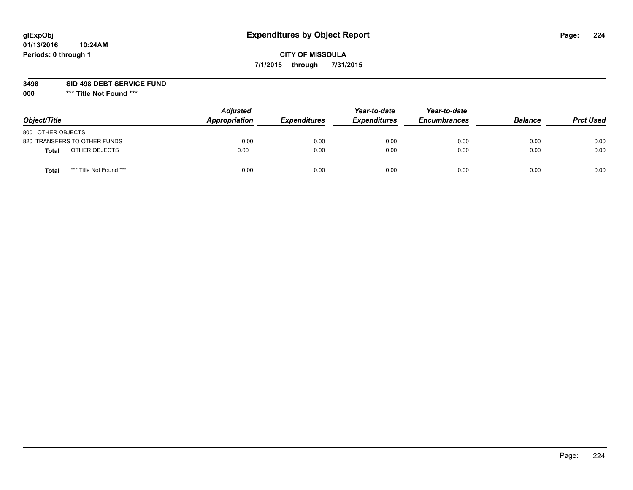# **CITY OF MISSOULA 7/1/2015 through 7/31/2015**

#### **3498 SID 498 DEBT SERVICE FUND**

| Object/Title                     | <b>Adjusted</b><br>Appropriation | <b>Expenditures</b> | Year-to-date<br><b>Expenditures</b> | Year-to-date<br><b>Encumbrances</b> | <b>Balance</b> | <b>Prct Used</b> |
|----------------------------------|----------------------------------|---------------------|-------------------------------------|-------------------------------------|----------------|------------------|
| 800 OTHER OBJECTS                |                                  |                     |                                     |                                     |                |                  |
| 820 TRANSFERS TO OTHER FUNDS     | 0.00                             | 0.00                | 0.00                                | 0.00                                | 0.00           | 0.00             |
| OTHER OBJECTS<br><b>Total</b>    | 0.00                             | 0.00                | 0.00                                | 0.00                                | 0.00           | 0.00             |
| *** Title Not Found ***<br>Total | 0.00                             | 0.00                | 0.00                                | 0.00                                | 0.00           | 0.00             |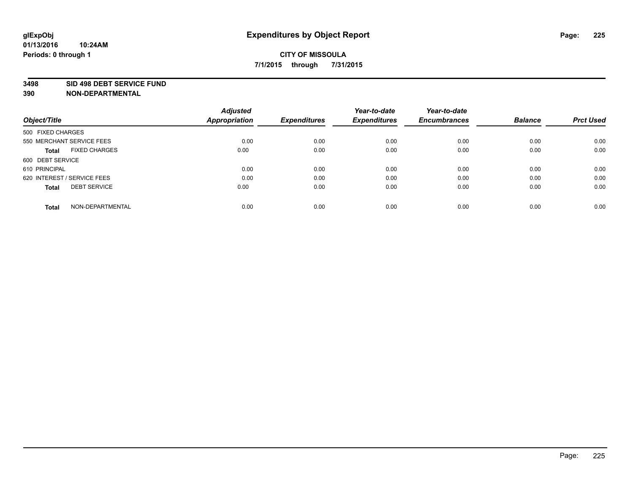#### **3498 SID 498 DEBT SERVICE FUND**

| Object/Title                         | <b>Adjusted</b><br><b>Appropriation</b> | <b>Expenditures</b> | Year-to-date<br><b>Expenditures</b> | Year-to-date<br><b>Encumbrances</b> | <b>Balance</b> | <b>Prct Used</b> |
|--------------------------------------|-----------------------------------------|---------------------|-------------------------------------|-------------------------------------|----------------|------------------|
|                                      |                                         |                     |                                     |                                     |                |                  |
| 500 FIXED CHARGES                    |                                         |                     |                                     |                                     |                |                  |
| 550 MERCHANT SERVICE FEES            | 0.00                                    | 0.00                | 0.00                                | 0.00                                | 0.00           | 0.00             |
| <b>FIXED CHARGES</b><br><b>Total</b> | 0.00                                    | 0.00                | 0.00                                | 0.00                                | 0.00           | 0.00             |
| 600 DEBT SERVICE                     |                                         |                     |                                     |                                     |                |                  |
| 610 PRINCIPAL                        | 0.00                                    | 0.00                | 0.00                                | 0.00                                | 0.00           | 0.00             |
| 620 INTEREST / SERVICE FEES          | 0.00                                    | 0.00                | 0.00                                | 0.00                                | 0.00           | 0.00             |
| <b>DEBT SERVICE</b><br><b>Total</b>  | 0.00                                    | 0.00                | 0.00                                | 0.00                                | 0.00           | 0.00             |
|                                      |                                         |                     |                                     |                                     |                |                  |
| NON-DEPARTMENTAL<br><b>Total</b>     | 0.00                                    | 0.00                | 0.00                                | 0.00                                | 0.00           | 0.00             |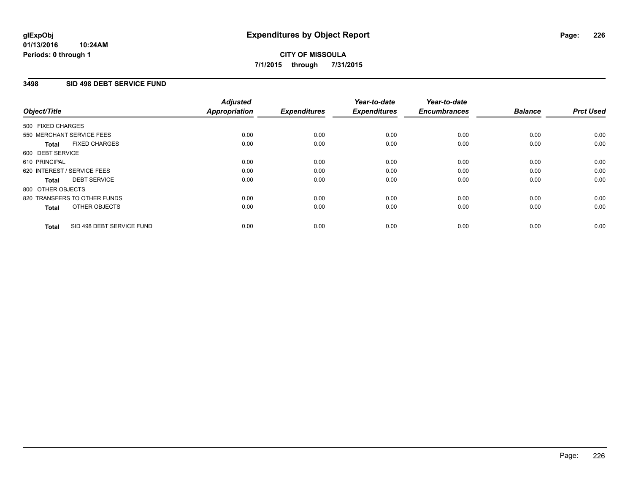#### **01/13/2016 10:24AM Periods: 0 through 1**

# **CITY OF MISSOULA 7/1/2015 through 7/31/2015**

### **3498 SID 498 DEBT SERVICE FUND**

| Object/Title                              | <b>Adjusted</b><br><b>Appropriation</b> | <b>Expenditures</b> | Year-to-date<br><b>Expenditures</b> | Year-to-date<br><b>Encumbrances</b> | <b>Balance</b> | <b>Prct Used</b> |
|-------------------------------------------|-----------------------------------------|---------------------|-------------------------------------|-------------------------------------|----------------|------------------|
|                                           |                                         |                     |                                     |                                     |                |                  |
| 500 FIXED CHARGES                         |                                         |                     |                                     |                                     |                |                  |
| 550 MERCHANT SERVICE FEES                 | 0.00                                    | 0.00                | 0.00                                | 0.00                                | 0.00           | 0.00             |
| <b>FIXED CHARGES</b><br>Total             | 0.00                                    | 0.00                | 0.00                                | 0.00                                | 0.00           | 0.00             |
| 600 DEBT SERVICE                          |                                         |                     |                                     |                                     |                |                  |
| 610 PRINCIPAL                             | 0.00                                    | 0.00                | 0.00                                | 0.00                                | 0.00           | 0.00             |
| 620 INTEREST / SERVICE FEES               | 0.00                                    | 0.00                | 0.00                                | 0.00                                | 0.00           | 0.00             |
| <b>DEBT SERVICE</b><br><b>Total</b>       | 0.00                                    | 0.00                | 0.00                                | 0.00                                | 0.00           | 0.00             |
| 800 OTHER OBJECTS                         |                                         |                     |                                     |                                     |                |                  |
| 820 TRANSFERS TO OTHER FUNDS              | 0.00                                    | 0.00                | 0.00                                | 0.00                                | 0.00           | 0.00             |
| OTHER OBJECTS<br><b>Total</b>             | 0.00                                    | 0.00                | 0.00                                | 0.00                                | 0.00           | 0.00             |
|                                           |                                         |                     |                                     |                                     |                |                  |
| SID 498 DEBT SERVICE FUND<br><b>Total</b> | 0.00                                    | 0.00                | 0.00                                | 0.00                                | 0.00           | 0.00             |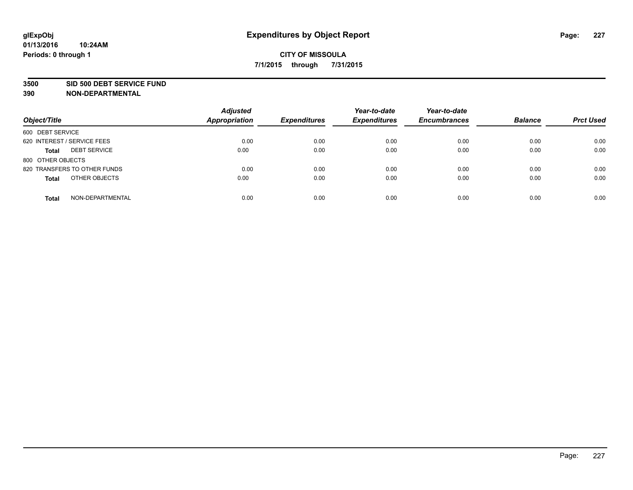#### **3500 SID 500 DEBT SERVICE FUND**

| Object/Title                        | <b>Adjusted</b><br><b>Appropriation</b> | <b>Expenditures</b> | Year-to-date<br><b>Expenditures</b> | Year-to-date<br><b>Encumbrances</b> | <b>Balance</b> | <b>Prct Used</b> |
|-------------------------------------|-----------------------------------------|---------------------|-------------------------------------|-------------------------------------|----------------|------------------|
| 600 DEBT SERVICE                    |                                         |                     |                                     |                                     |                |                  |
| 620 INTEREST / SERVICE FEES         | 0.00                                    | 0.00                | 0.00                                | 0.00                                | 0.00           | 0.00             |
| <b>DEBT SERVICE</b><br><b>Total</b> | 0.00                                    | 0.00                | 0.00                                | 0.00                                | 0.00           | 0.00             |
| 800 OTHER OBJECTS                   |                                         |                     |                                     |                                     |                |                  |
| 820 TRANSFERS TO OTHER FUNDS        | 0.00                                    | 0.00                | 0.00                                | 0.00                                | 0.00           | 0.00             |
| OTHER OBJECTS<br><b>Total</b>       | 0.00                                    | 0.00                | 0.00                                | 0.00                                | 0.00           | 0.00             |
| NON-DEPARTMENTAL<br><b>Total</b>    | 0.00                                    | 0.00                | 0.00                                | 0.00                                | 0.00           | 0.00             |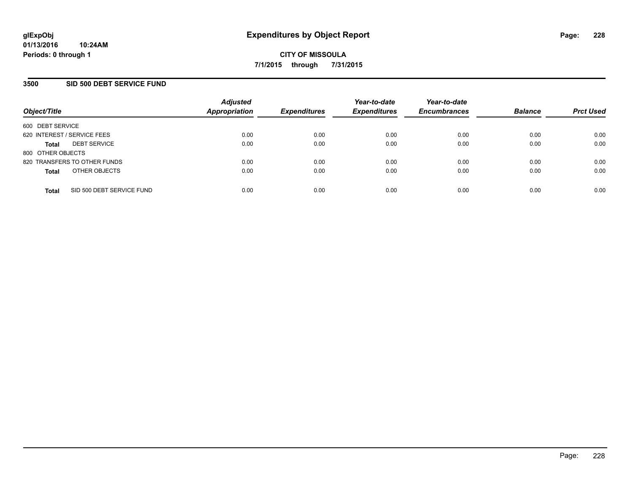### **3500 SID 500 DEBT SERVICE FUND**

| Object/Title                |                              | <b>Adjusted</b><br><b>Appropriation</b> | <b>Expenditures</b> | Year-to-date<br><b>Expenditures</b> | Year-to-date<br><b>Encumbrances</b> | <b>Balance</b> | <b>Prct Used</b> |
|-----------------------------|------------------------------|-----------------------------------------|---------------------|-------------------------------------|-------------------------------------|----------------|------------------|
| 600 DEBT SERVICE            |                              |                                         |                     |                                     |                                     |                |                  |
| 620 INTEREST / SERVICE FEES |                              | 0.00                                    | 0.00                | 0.00                                | 0.00                                | 0.00           | 0.00             |
| <b>Total</b>                | <b>DEBT SERVICE</b>          | 0.00                                    | 0.00                | 0.00                                | 0.00                                | 0.00           | 0.00             |
| 800 OTHER OBJECTS           |                              |                                         |                     |                                     |                                     |                |                  |
|                             | 820 TRANSFERS TO OTHER FUNDS | 0.00                                    | 0.00                | 0.00                                | 0.00                                | 0.00           | 0.00             |
| <b>Total</b>                | OTHER OBJECTS                | 0.00                                    | 0.00                | 0.00                                | 0.00                                | 0.00           | 0.00             |
| <b>Total</b>                | SID 500 DEBT SERVICE FUND    | 0.00                                    | 0.00                | 0.00                                | 0.00                                | 0.00           | 0.00             |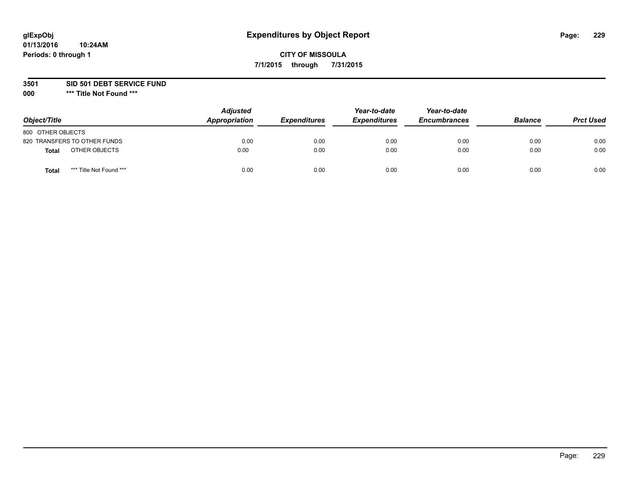# **CITY OF MISSOULA 7/1/2015 through 7/31/2015**

**3501 SID 501 DEBT SERVICE FUND**

| Object/Title                            | <b>Adjusted</b><br>Appropriation | <b>Expenditures</b> | Year-to-date<br><b>Expenditures</b> | Year-to-date<br><b>Encumbrances</b> | <b>Balance</b> | <b>Prct Used</b> |
|-----------------------------------------|----------------------------------|---------------------|-------------------------------------|-------------------------------------|----------------|------------------|
| 800 OTHER OBJECTS                       |                                  |                     |                                     |                                     |                |                  |
| 820 TRANSFERS TO OTHER FUNDS            | 0.00                             | 0.00                | 0.00                                | 0.00                                | 0.00           | 0.00             |
| OTHER OBJECTS<br><b>Total</b>           | 0.00                             | 0.00                | 0.00                                | 0.00                                | 0.00           | 0.00             |
| *** Title Not Found ***<br><b>Total</b> | 0.00                             | 0.00                | 0.00                                | 0.00                                | 0.00           | 0.00             |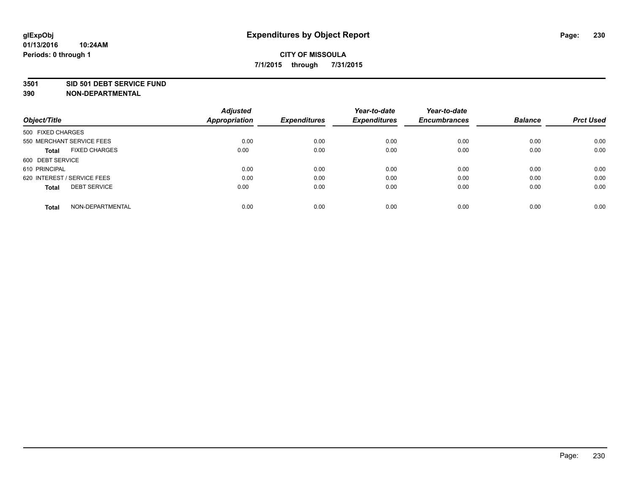#### **3501 SID 501 DEBT SERVICE FUND**

| Object/Title                         | <b>Adjusted</b><br><b>Appropriation</b> | <b>Expenditures</b> | Year-to-date<br><b>Expenditures</b> | Year-to-date<br><b>Encumbrances</b> | <b>Balance</b> | <b>Prct Used</b> |
|--------------------------------------|-----------------------------------------|---------------------|-------------------------------------|-------------------------------------|----------------|------------------|
| 500 FIXED CHARGES                    |                                         |                     |                                     |                                     |                |                  |
| 550 MERCHANT SERVICE FEES            | 0.00                                    | 0.00                | 0.00                                | 0.00                                | 0.00           | 0.00             |
| <b>FIXED CHARGES</b><br><b>Total</b> | 0.00                                    | 0.00                | 0.00                                | 0.00                                | 0.00           | 0.00             |
| 600 DEBT SERVICE                     |                                         |                     |                                     |                                     |                |                  |
| 610 PRINCIPAL                        | 0.00                                    | 0.00                | 0.00                                | 0.00                                | 0.00           | 0.00             |
| 620 INTEREST / SERVICE FEES          | 0.00                                    | 0.00                | 0.00                                | 0.00                                | 0.00           | 0.00             |
| <b>DEBT SERVICE</b><br><b>Total</b>  | 0.00                                    | 0.00                | 0.00                                | 0.00                                | 0.00           | 0.00             |
| NON-DEPARTMENTAL<br><b>Total</b>     | 0.00                                    | 0.00                | 0.00                                | 0.00                                | 0.00           | 0.00             |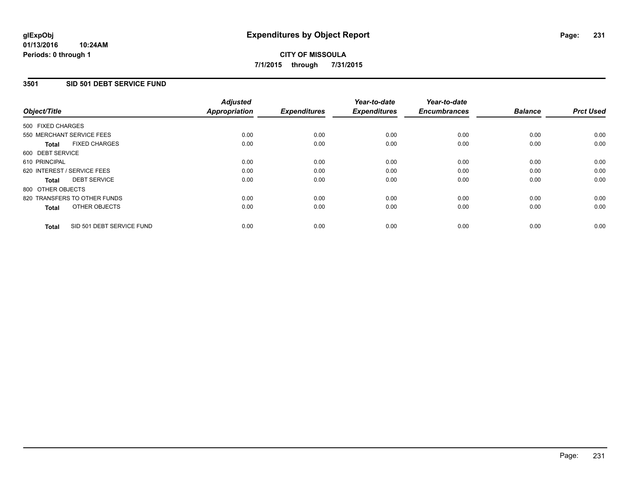## **3501 SID 501 DEBT SERVICE FUND**

| Object/Title                              | <b>Adjusted</b><br><b>Appropriation</b> | <b>Expenditures</b> | Year-to-date<br><b>Expenditures</b> | Year-to-date<br><b>Encumbrances</b> | <b>Balance</b> | <b>Prct Used</b> |
|-------------------------------------------|-----------------------------------------|---------------------|-------------------------------------|-------------------------------------|----------------|------------------|
| 500 FIXED CHARGES                         |                                         |                     |                                     |                                     |                |                  |
| 550 MERCHANT SERVICE FEES                 | 0.00                                    | 0.00                | 0.00                                | 0.00                                | 0.00           | 0.00             |
| <b>FIXED CHARGES</b><br><b>Total</b>      | 0.00                                    | 0.00                | 0.00                                | 0.00                                | 0.00           | 0.00             |
| 600 DEBT SERVICE                          |                                         |                     |                                     |                                     |                |                  |
| 610 PRINCIPAL                             | 0.00                                    | 0.00                | 0.00                                | 0.00                                | 0.00           | 0.00             |
| 620 INTEREST / SERVICE FEES               | 0.00                                    | 0.00                | 0.00                                | 0.00                                | 0.00           | 0.00             |
| <b>DEBT SERVICE</b><br><b>Total</b>       | 0.00                                    | 0.00                | 0.00                                | 0.00                                | 0.00           | 0.00             |
| 800 OTHER OBJECTS                         |                                         |                     |                                     |                                     |                |                  |
| 820 TRANSFERS TO OTHER FUNDS              | 0.00                                    | 0.00                | 0.00                                | 0.00                                | 0.00           | 0.00             |
| OTHER OBJECTS<br><b>Total</b>             | 0.00                                    | 0.00                | 0.00                                | 0.00                                | 0.00           | 0.00             |
| SID 501 DEBT SERVICE FUND<br><b>Total</b> | 0.00                                    | 0.00                | 0.00                                | 0.00                                | 0.00           | 0.00             |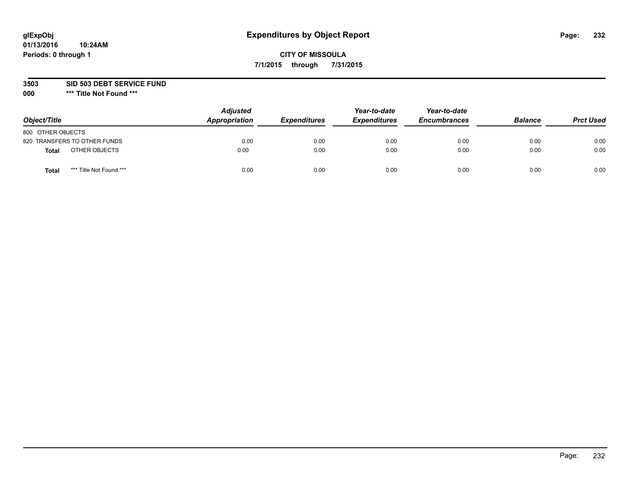# **CITY OF MISSOULA 7/1/2015 through 7/31/2015**

#### **3503 SID 503 DEBT SERVICE FUND**

| Object/Title                     | <b>Adjusted</b><br>Appropriation | <b>Expenditures</b> | Year-to-date<br><b>Expenditures</b> | Year-to-date<br><b>Encumbrances</b> | <b>Balance</b> | <b>Prct Used</b> |
|----------------------------------|----------------------------------|---------------------|-------------------------------------|-------------------------------------|----------------|------------------|
| 800 OTHER OBJECTS                |                                  |                     |                                     |                                     |                |                  |
| 820 TRANSFERS TO OTHER FUNDS     | 0.00                             | 0.00                | 0.00                                | 0.00                                | 0.00           | 0.00             |
| OTHER OBJECTS<br><b>Total</b>    | 0.00                             | 0.00                | 0.00                                | 0.00                                | 0.00           | 0.00             |
| *** Title Not Found ***<br>Total | 0.00                             | 0.00                | 0.00                                | 0.00                                | 0.00           | 0.00             |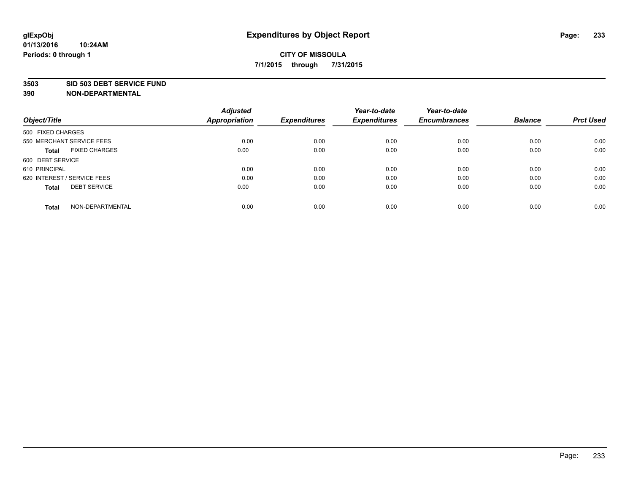#### **3503 SID 503 DEBT SERVICE FUND**

| Object/Title                         | <b>Adjusted</b><br><b>Appropriation</b> | <b>Expenditures</b> | Year-to-date<br><b>Expenditures</b> | Year-to-date<br><b>Encumbrances</b> | <b>Balance</b> | <b>Prct Used</b> |
|--------------------------------------|-----------------------------------------|---------------------|-------------------------------------|-------------------------------------|----------------|------------------|
| 500 FIXED CHARGES                    |                                         |                     |                                     |                                     |                |                  |
| 550 MERCHANT SERVICE FEES            | 0.00                                    | 0.00                | 0.00                                | 0.00                                | 0.00           | 0.00             |
| <b>FIXED CHARGES</b><br><b>Total</b> | 0.00                                    | 0.00                | 0.00                                | 0.00                                | 0.00           | 0.00             |
| 600 DEBT SERVICE                     |                                         |                     |                                     |                                     |                |                  |
| 610 PRINCIPAL                        | 0.00                                    | 0.00                | 0.00                                | 0.00                                | 0.00           | 0.00             |
| 620 INTEREST / SERVICE FEES          | 0.00                                    | 0.00                | 0.00                                | 0.00                                | 0.00           | 0.00             |
| <b>DEBT SERVICE</b><br><b>Total</b>  | 0.00                                    | 0.00                | 0.00                                | 0.00                                | 0.00           | 0.00             |
| NON-DEPARTMENTAL<br><b>Total</b>     | 0.00                                    | 0.00                | 0.00                                | 0.00                                | 0.00           | 0.00             |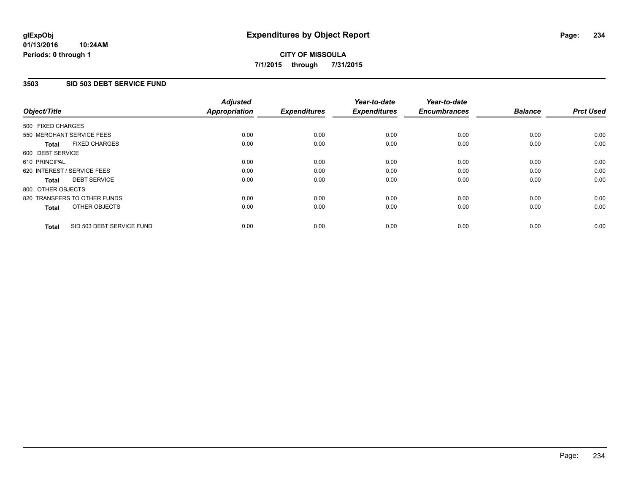### **3503 SID 503 DEBT SERVICE FUND**

| Object/Title                              | <b>Adjusted</b><br><b>Appropriation</b> | <b>Expenditures</b> | Year-to-date<br><b>Expenditures</b> | Year-to-date<br><b>Encumbrances</b> | <b>Balance</b> | <b>Prct Used</b> |
|-------------------------------------------|-----------------------------------------|---------------------|-------------------------------------|-------------------------------------|----------------|------------------|
|                                           |                                         |                     |                                     |                                     |                |                  |
| 500 FIXED CHARGES                         |                                         |                     |                                     |                                     |                |                  |
| 550 MERCHANT SERVICE FEES                 | 0.00                                    | 0.00                | 0.00                                | 0.00                                | 0.00           | 0.00             |
| <b>FIXED CHARGES</b><br><b>Total</b>      | 0.00                                    | 0.00                | 0.00                                | 0.00                                | 0.00           | 0.00             |
| 600 DEBT SERVICE                          |                                         |                     |                                     |                                     |                |                  |
| 610 PRINCIPAL                             | 0.00                                    | 0.00                | 0.00                                | 0.00                                | 0.00           | 0.00             |
| 620 INTEREST / SERVICE FEES               | 0.00                                    | 0.00                | 0.00                                | 0.00                                | 0.00           | 0.00             |
| <b>DEBT SERVICE</b><br><b>Total</b>       | 0.00                                    | 0.00                | 0.00                                | 0.00                                | 0.00           | 0.00             |
| 800 OTHER OBJECTS                         |                                         |                     |                                     |                                     |                |                  |
| 820 TRANSFERS TO OTHER FUNDS              | 0.00                                    | 0.00                | 0.00                                | 0.00                                | 0.00           | 0.00             |
| OTHER OBJECTS<br><b>Total</b>             | 0.00                                    | 0.00                | 0.00                                | 0.00                                | 0.00           | 0.00             |
| SID 503 DEBT SERVICE FUND<br><b>Total</b> | 0.00                                    | 0.00                | 0.00                                | 0.00                                | 0.00           | 0.00             |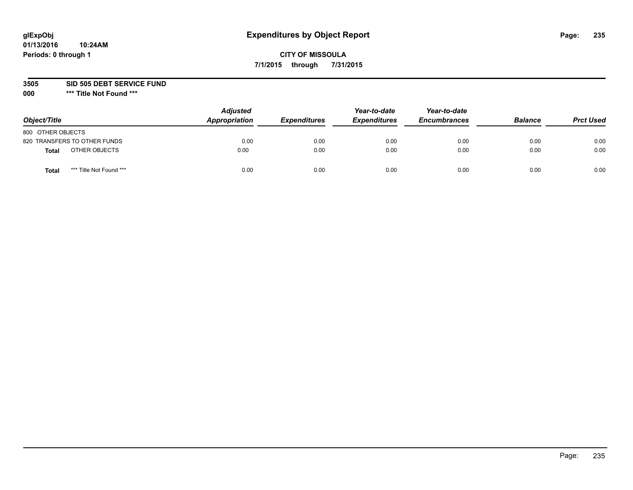# **CITY OF MISSOULA 7/1/2015 through 7/31/2015**

**3505 SID 505 DEBT SERVICE FUND**

| Object/Title                            | <b>Adjusted</b><br>Appropriation | <b>Expenditures</b> | Year-to-date<br><b>Expenditures</b> | Year-to-date<br><b>Encumbrances</b> | <b>Balance</b> | <b>Prct Used</b> |
|-----------------------------------------|----------------------------------|---------------------|-------------------------------------|-------------------------------------|----------------|------------------|
| 800 OTHER OBJECTS                       |                                  |                     |                                     |                                     |                |                  |
| 820 TRANSFERS TO OTHER FUNDS            | 0.00                             | 0.00                | 0.00                                | 0.00                                | 0.00           | 0.00             |
| OTHER OBJECTS<br><b>Total</b>           | 0.00                             | 0.00                | 0.00                                | 0.00                                | 0.00           | 0.00             |
| *** Title Not Found ***<br><b>Total</b> | 0.00                             | 0.00                | 0.00                                | 0.00                                | 0.00           | 0.00             |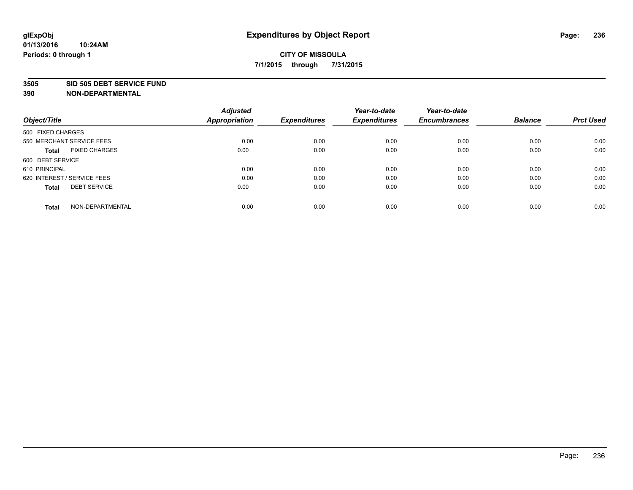#### **3505 SID 505 DEBT SERVICE FUND**

| Object/Title                         | <b>Adjusted</b><br><b>Appropriation</b> | <b>Expenditures</b> | Year-to-date<br><b>Expenditures</b> | Year-to-date<br><b>Encumbrances</b> | <b>Balance</b> | <b>Prct Used</b> |
|--------------------------------------|-----------------------------------------|---------------------|-------------------------------------|-------------------------------------|----------------|------------------|
|                                      |                                         |                     |                                     |                                     |                |                  |
| 500 FIXED CHARGES                    |                                         |                     |                                     |                                     |                |                  |
| 550 MERCHANT SERVICE FEES            | 0.00                                    | 0.00                | 0.00                                | 0.00                                | 0.00           | 0.00             |
| <b>FIXED CHARGES</b><br><b>Total</b> | 0.00                                    | 0.00                | 0.00                                | 0.00                                | 0.00           | 0.00             |
| 600 DEBT SERVICE                     |                                         |                     |                                     |                                     |                |                  |
| 610 PRINCIPAL                        | 0.00                                    | 0.00                | 0.00                                | 0.00                                | 0.00           | 0.00             |
| 620 INTEREST / SERVICE FEES          | 0.00                                    | 0.00                | 0.00                                | 0.00                                | 0.00           | 0.00             |
| <b>DEBT SERVICE</b><br><b>Total</b>  | 0.00                                    | 0.00                | 0.00                                | 0.00                                | 0.00           | 0.00             |
|                                      |                                         |                     |                                     |                                     |                |                  |
| NON-DEPARTMENTAL<br><b>Total</b>     | 0.00                                    | 0.00                | 0.00                                | 0.00                                | 0.00           | 0.00             |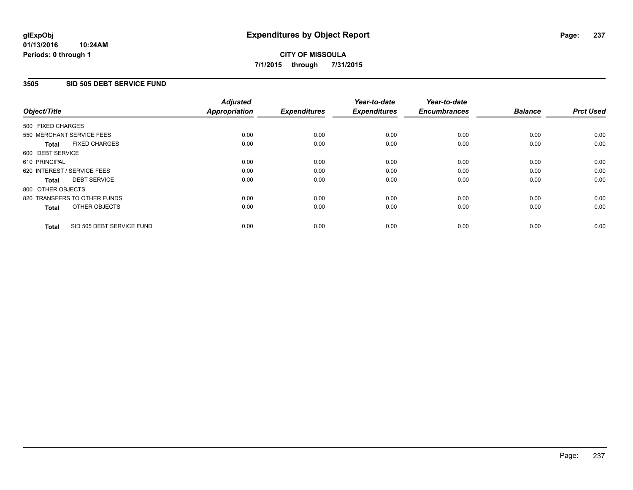### **3505 SID 505 DEBT SERVICE FUND**

| Object/Title                              | <b>Adjusted</b><br><b>Appropriation</b> | <b>Expenditures</b> | Year-to-date<br><b>Expenditures</b> | Year-to-date<br><b>Encumbrances</b> | <b>Balance</b> | <b>Prct Used</b> |
|-------------------------------------------|-----------------------------------------|---------------------|-------------------------------------|-------------------------------------|----------------|------------------|
|                                           |                                         |                     |                                     |                                     |                |                  |
| 500 FIXED CHARGES                         |                                         |                     |                                     |                                     |                |                  |
| 550 MERCHANT SERVICE FEES                 | 0.00                                    | 0.00                | 0.00                                | 0.00                                | 0.00           | 0.00             |
| <b>FIXED CHARGES</b><br><b>Total</b>      | 0.00                                    | 0.00                | 0.00                                | 0.00                                | 0.00           | 0.00             |
| 600 DEBT SERVICE                          |                                         |                     |                                     |                                     |                |                  |
| 610 PRINCIPAL                             | 0.00                                    | 0.00                | 0.00                                | 0.00                                | 0.00           | 0.00             |
| 620 INTEREST / SERVICE FEES               | 0.00                                    | 0.00                | 0.00                                | 0.00                                | 0.00           | 0.00             |
| <b>DEBT SERVICE</b><br><b>Total</b>       | 0.00                                    | 0.00                | 0.00                                | 0.00                                | 0.00           | 0.00             |
| 800 OTHER OBJECTS                         |                                         |                     |                                     |                                     |                |                  |
| 820 TRANSFERS TO OTHER FUNDS              | 0.00                                    | 0.00                | 0.00                                | 0.00                                | 0.00           | 0.00             |
| OTHER OBJECTS<br><b>Total</b>             | 0.00                                    | 0.00                | 0.00                                | 0.00                                | 0.00           | 0.00             |
| SID 505 DEBT SERVICE FUND<br><b>Total</b> | 0.00                                    | 0.00                | 0.00                                | 0.00                                | 0.00           | 0.00             |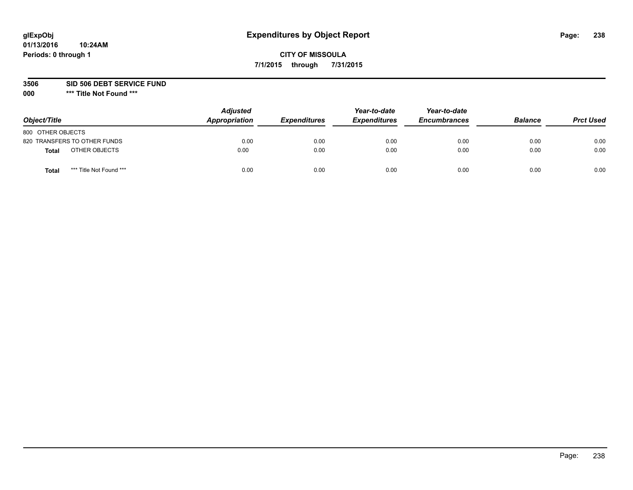# **CITY OF MISSOULA 7/1/2015 through 7/31/2015**

**3506 SID 506 DEBT SERVICE FUND**

| Object/Title                            | <b>Adjusted</b><br>Appropriation | <b>Expenditures</b> | Year-to-date<br><b>Expenditures</b> | Year-to-date<br><b>Encumbrances</b> | <b>Balance</b> | <b>Prct Used</b> |
|-----------------------------------------|----------------------------------|---------------------|-------------------------------------|-------------------------------------|----------------|------------------|
| 800 OTHER OBJECTS                       |                                  |                     |                                     |                                     |                |                  |
| 820 TRANSFERS TO OTHER FUNDS            | 0.00                             | 0.00                | 0.00                                | 0.00                                | 0.00           | 0.00             |
| OTHER OBJECTS<br><b>Total</b>           | 0.00                             | 0.00                | 0.00                                | 0.00                                | 0.00           | 0.00             |
| *** Title Not Found ***<br><b>Total</b> | 0.00                             | 0.00                | 0.00                                | 0.00                                | 0.00           | 0.00             |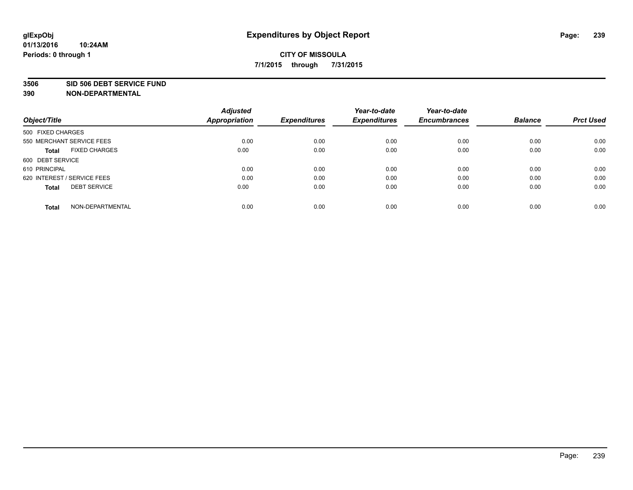#### **3506 SID 506 DEBT SERVICE FUND**

|                                      | <b>Adjusted</b>      |                     | Year-to-date        | Year-to-date        |                |                  |
|--------------------------------------|----------------------|---------------------|---------------------|---------------------|----------------|------------------|
| Object/Title                         | <b>Appropriation</b> | <b>Expenditures</b> | <b>Expenditures</b> | <b>Encumbrances</b> | <b>Balance</b> | <b>Prct Used</b> |
| 500 FIXED CHARGES                    |                      |                     |                     |                     |                |                  |
| 550 MERCHANT SERVICE FEES            | 0.00                 | 0.00                | 0.00                | 0.00                | 0.00           | 0.00             |
| <b>FIXED CHARGES</b><br><b>Total</b> | 0.00                 | 0.00                | 0.00                | 0.00                | 0.00           | 0.00             |
| 600 DEBT SERVICE                     |                      |                     |                     |                     |                |                  |
| 610 PRINCIPAL                        | 0.00                 | 0.00                | 0.00                | 0.00                | 0.00           | 0.00             |
| 620 INTEREST / SERVICE FEES          | 0.00                 | 0.00                | 0.00                | 0.00                | 0.00           | 0.00             |
| <b>DEBT SERVICE</b><br><b>Total</b>  | 0.00                 | 0.00                | 0.00                | 0.00                | 0.00           | 0.00             |
| NON-DEPARTMENTAL<br>Total            | 0.00                 | 0.00                | 0.00                | 0.00                | 0.00           | 0.00             |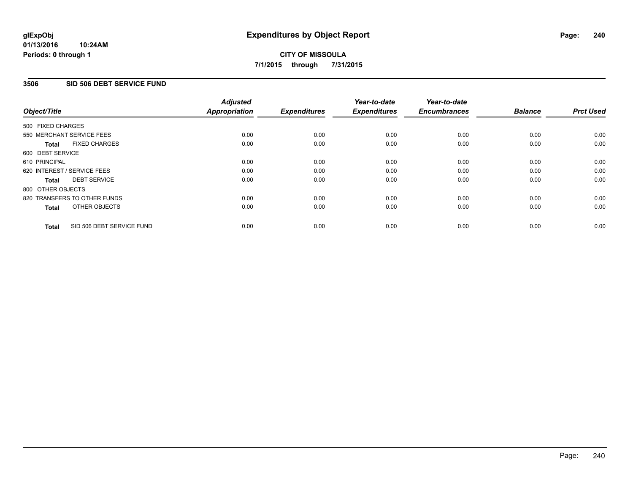### **3506 SID 506 DEBT SERVICE FUND**

| Object/Title                              | <b>Adjusted</b><br><b>Appropriation</b> | <b>Expenditures</b> | Year-to-date<br><b>Expenditures</b> | Year-to-date<br><b>Encumbrances</b> | <b>Balance</b> | <b>Prct Used</b> |
|-------------------------------------------|-----------------------------------------|---------------------|-------------------------------------|-------------------------------------|----------------|------------------|
| 500 FIXED CHARGES                         |                                         |                     |                                     |                                     |                |                  |
| 550 MERCHANT SERVICE FEES                 | 0.00                                    | 0.00                | 0.00                                | 0.00                                | 0.00           | 0.00             |
| <b>FIXED CHARGES</b><br><b>Total</b>      | 0.00                                    | 0.00                | 0.00                                | 0.00                                | 0.00           | 0.00             |
| 600 DEBT SERVICE                          |                                         |                     |                                     |                                     |                |                  |
| 610 PRINCIPAL                             | 0.00                                    | 0.00                | 0.00                                | 0.00                                | 0.00           | 0.00             |
| 620 INTEREST / SERVICE FEES               | 0.00                                    | 0.00                | 0.00                                | 0.00                                | 0.00           | 0.00             |
| <b>DEBT SERVICE</b><br><b>Total</b>       | 0.00                                    | 0.00                | 0.00                                | 0.00                                | 0.00           | 0.00             |
| 800 OTHER OBJECTS                         |                                         |                     |                                     |                                     |                |                  |
| 820 TRANSFERS TO OTHER FUNDS              | 0.00                                    | 0.00                | 0.00                                | 0.00                                | 0.00           | 0.00             |
| OTHER OBJECTS<br><b>Total</b>             | 0.00                                    | 0.00                | 0.00                                | 0.00                                | 0.00           | 0.00             |
| SID 506 DEBT SERVICE FUND<br><b>Total</b> | 0.00                                    | 0.00                | 0.00                                | 0.00                                | 0.00           | 0.00             |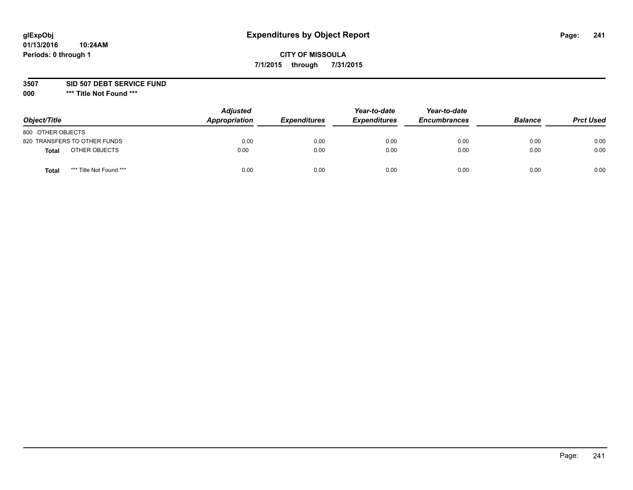# **CITY OF MISSOULA 7/1/2015 through 7/31/2015**

#### **3507 SID 507 DEBT SERVICE FUND**

| Object/Title      |                              | <b>Adjusted</b><br>Appropriation | <b>Expenditures</b> | Year-to-date<br><b>Expenditures</b> | Year-to-date<br><b>Encumbrances</b> | <b>Balance</b> | <b>Prct Used</b> |
|-------------------|------------------------------|----------------------------------|---------------------|-------------------------------------|-------------------------------------|----------------|------------------|
| 800 OTHER OBJECTS |                              |                                  |                     |                                     |                                     |                |                  |
|                   | 820 TRANSFERS TO OTHER FUNDS | 0.00                             | 0.00                | 0.00                                | 0.00                                | 0.00           | 0.00             |
| Total             | OTHER OBJECTS                | 0.00                             | 0.00                | 0.00                                | 0.00                                | 0.00           | 0.00             |
| Tota              | *** Title Not Found ***      | 0.00                             | 0.00                | 0.00                                | 0.00                                | 0.00           | 0.00             |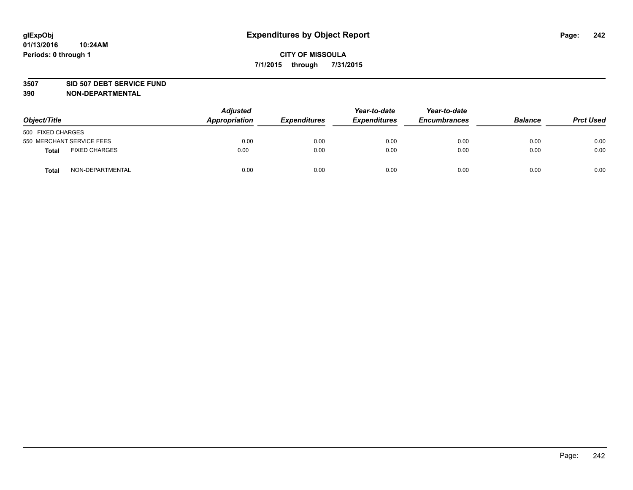#### **3507 SID 507 DEBT SERVICE FUND**

| Object/Title      |                           | <b>Adjusted</b><br>Appropriation | <b>Expenditures</b> | Year-to-date<br><b>Expenditures</b> | Year-to-date<br><b>Encumbrances</b> | <b>Balance</b> | <b>Prct Used</b> |
|-------------------|---------------------------|----------------------------------|---------------------|-------------------------------------|-------------------------------------|----------------|------------------|
| 500 FIXED CHARGES |                           |                                  |                     |                                     |                                     |                |                  |
|                   | 550 MERCHANT SERVICE FEES | 0.00                             | 0.00                | 0.00                                | 0.00                                | 0.00           | 0.00             |
| <b>Total</b>      | <b>FIXED CHARGES</b>      | 0.00                             | 0.00                | 0.00                                | 0.00                                | 0.00           | 0.00             |
| <b>Total</b>      | NON-DEPARTMENTAL          | 0.00                             | 0.00                | 0.00                                | 0.00                                | 0.00           | 0.00             |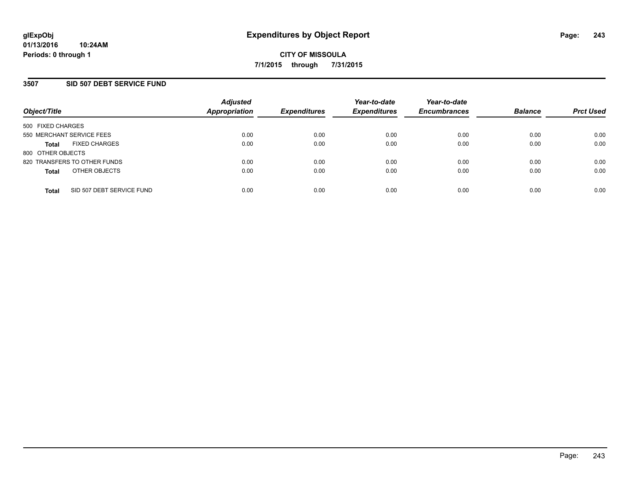### **3507 SID 507 DEBT SERVICE FUND**

| Object/Title              |                              | <b>Adjusted</b><br><b>Appropriation</b> | <b>Expenditures</b> | Year-to-date<br><b>Expenditures</b> | Year-to-date<br><b>Encumbrances</b> | <b>Balance</b> | <b>Prct Used</b> |
|---------------------------|------------------------------|-----------------------------------------|---------------------|-------------------------------------|-------------------------------------|----------------|------------------|
| 500 FIXED CHARGES         |                              |                                         |                     |                                     |                                     |                |                  |
| 550 MERCHANT SERVICE FEES |                              | 0.00                                    | 0.00                | 0.00                                | 0.00                                | 0.00           | 0.00             |
| <b>Total</b>              | <b>FIXED CHARGES</b>         | 0.00                                    | 0.00                | 0.00                                | 0.00                                | 0.00           | 0.00             |
| 800 OTHER OBJECTS         |                              |                                         |                     |                                     |                                     |                |                  |
|                           | 820 TRANSFERS TO OTHER FUNDS | 0.00                                    | 0.00                | 0.00                                | 0.00                                | 0.00           | 0.00             |
| <b>Total</b>              | OTHER OBJECTS                | 0.00                                    | 0.00                | 0.00                                | 0.00                                | 0.00           | 0.00             |
| <b>Total</b>              | SID 507 DEBT SERVICE FUND    | 0.00                                    | 0.00                | 0.00                                | 0.00                                | 0.00           | 0.00             |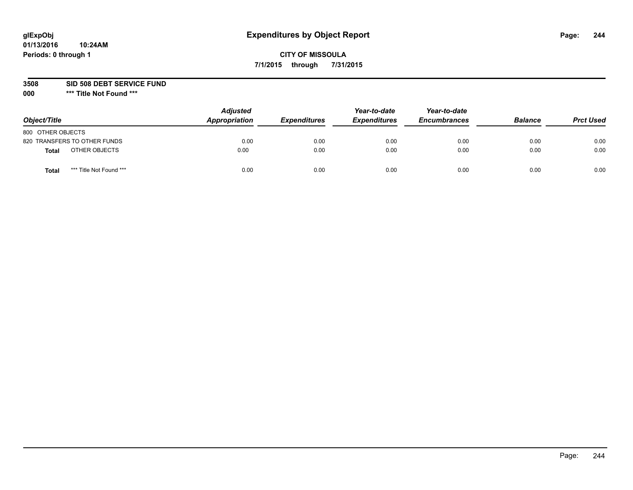# **CITY OF MISSOULA 7/1/2015 through 7/31/2015**

#### **3508 SID 508 DEBT SERVICE FUND**

| Object/Title                     | <b>Adjusted</b><br>Appropriation | <b>Expenditures</b> | Year-to-date<br><b>Expenditures</b> | Year-to-date<br><b>Encumbrances</b> | <b>Balance</b> | <b>Prct Used</b> |
|----------------------------------|----------------------------------|---------------------|-------------------------------------|-------------------------------------|----------------|------------------|
| 800 OTHER OBJECTS                |                                  |                     |                                     |                                     |                |                  |
| 820 TRANSFERS TO OTHER FUNDS     | 0.00                             | 0.00                | 0.00                                | 0.00                                | 0.00           | 0.00             |
| OTHER OBJECTS<br><b>Total</b>    | 0.00                             | 0.00                | 0.00                                | 0.00                                | 0.00           | 0.00             |
| *** Title Not Found ***<br>Total | 0.00                             | 0.00                | 0.00                                | 0.00                                | 0.00           | 0.00             |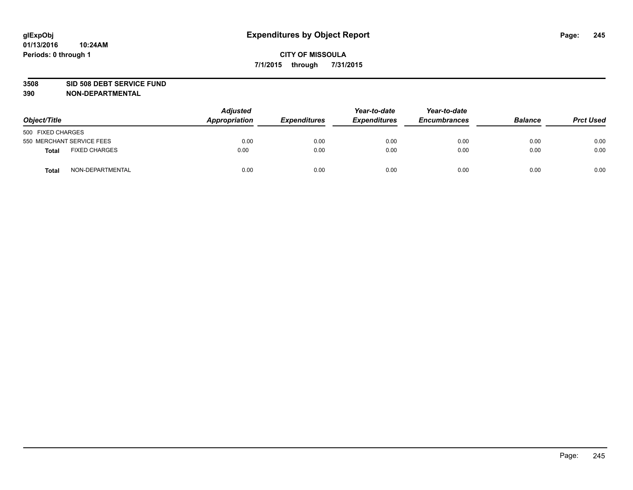#### **3508 SID 508 DEBT SERVICE FUND**

| Object/Title      |                           | <b>Adjusted</b><br>Appropriation | <b>Expenditures</b> | Year-to-date<br><b>Expenditures</b> | Year-to-date<br><b>Encumbrances</b> | <b>Balance</b> | <b>Prct Used</b> |
|-------------------|---------------------------|----------------------------------|---------------------|-------------------------------------|-------------------------------------|----------------|------------------|
| 500 FIXED CHARGES |                           |                                  |                     |                                     |                                     |                |                  |
|                   | 550 MERCHANT SERVICE FEES | 0.00                             | 0.00                | 0.00                                | 0.00                                | 0.00           | 0.00             |
| <b>Total</b>      | <b>FIXED CHARGES</b>      | 0.00                             | 0.00                | 0.00                                | 0.00                                | 0.00           | 0.00             |
| <b>Total</b>      | NON-DEPARTMENTAL          | 0.00                             | 0.00                | 0.00                                | 0.00                                | 0.00           | 0.00             |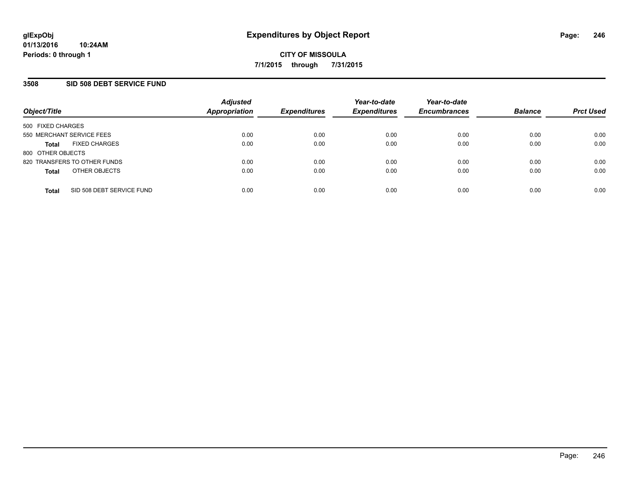### **3508 SID 508 DEBT SERVICE FUND**

| Object/Title                              | <b>Adjusted</b><br>Appropriation | <b>Expenditures</b> | Year-to-date<br><b>Expenditures</b> | Year-to-date<br><b>Encumbrances</b> | <b>Balance</b> | <b>Prct Used</b> |
|-------------------------------------------|----------------------------------|---------------------|-------------------------------------|-------------------------------------|----------------|------------------|
| 500 FIXED CHARGES                         |                                  |                     |                                     |                                     |                |                  |
| 550 MERCHANT SERVICE FEES                 | 0.00                             | 0.00                | 0.00                                | 0.00                                | 0.00           | 0.00             |
| <b>FIXED CHARGES</b><br><b>Total</b>      | 0.00                             | 0.00                | 0.00                                | 0.00                                | 0.00           | 0.00             |
| 800 OTHER OBJECTS                         |                                  |                     |                                     |                                     |                |                  |
| 820 TRANSFERS TO OTHER FUNDS              | 0.00                             | 0.00                | 0.00                                | 0.00                                | 0.00           | 0.00             |
| OTHER OBJECTS<br><b>Total</b>             | 0.00                             | 0.00                | 0.00                                | 0.00                                | 0.00           | 0.00             |
| SID 508 DEBT SERVICE FUND<br><b>Total</b> | 0.00                             | 0.00                | 0.00                                | 0.00                                | 0.00           | 0.00             |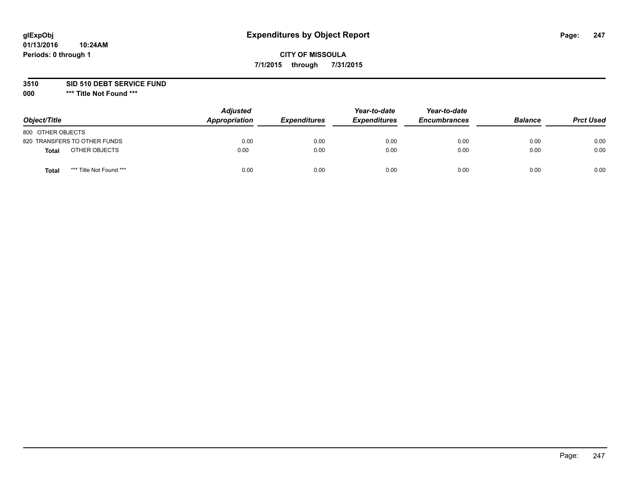# **CITY OF MISSOULA 7/1/2015 through 7/31/2015**

#### **3510 SID 510 DEBT SERVICE FUND**

| Object/Title                            | <b>Adjusted</b><br>Appropriation | <b>Expenditures</b> | Year-to-date<br><b>Expenditures</b> | Year-to-date<br><b>Encumbrances</b> | <b>Balance</b> | <b>Prct Used</b> |
|-----------------------------------------|----------------------------------|---------------------|-------------------------------------|-------------------------------------|----------------|------------------|
| 800 OTHER OBJECTS                       |                                  |                     |                                     |                                     |                |                  |
| 820 TRANSFERS TO OTHER FUNDS            | 0.00                             | 0.00                | 0.00                                | 0.00                                | 0.00           | 0.00             |
| OTHER OBJECTS<br>Total                  | 0.00                             | 0.00                | 0.00                                | 0.00                                | 0.00           | 0.00             |
| *** Title Not Found ***<br><b>Total</b> | 0.00                             | 0.00                | 0.00                                | 0.00                                | 0.00           | 0.00             |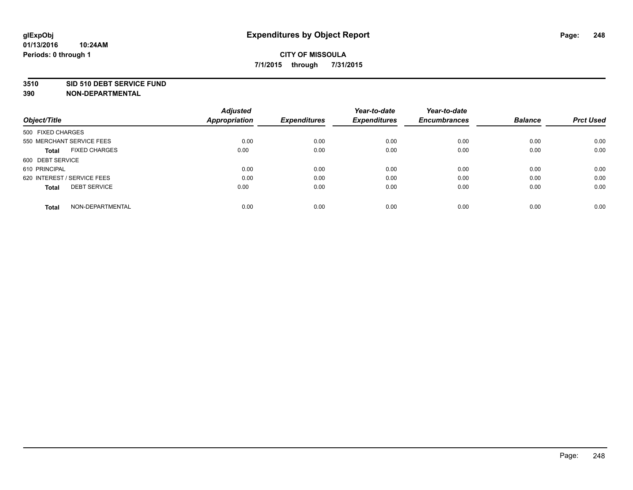#### **3510 SID 510 DEBT SERVICE FUND**

| Object/Title                         | <b>Adjusted</b><br><b>Appropriation</b> | <b>Expenditures</b> | Year-to-date<br><b>Expenditures</b> | Year-to-date<br><b>Encumbrances</b> | <b>Balance</b> | <b>Prct Used</b> |
|--------------------------------------|-----------------------------------------|---------------------|-------------------------------------|-------------------------------------|----------------|------------------|
|                                      |                                         |                     |                                     |                                     |                |                  |
| 500 FIXED CHARGES                    |                                         |                     |                                     |                                     |                |                  |
| 550 MERCHANT SERVICE FEES            | 0.00                                    | 0.00                | 0.00                                | 0.00                                | 0.00           | 0.00             |
| <b>FIXED CHARGES</b><br><b>Total</b> | 0.00                                    | 0.00                | 0.00                                | 0.00                                | 0.00           | 0.00             |
| 600 DEBT SERVICE                     |                                         |                     |                                     |                                     |                |                  |
| 610 PRINCIPAL                        | 0.00                                    | 0.00                | 0.00                                | 0.00                                | 0.00           | 0.00             |
| 620 INTEREST / SERVICE FEES          | 0.00                                    | 0.00                | 0.00                                | 0.00                                | 0.00           | 0.00             |
| <b>DEBT SERVICE</b><br><b>Total</b>  | 0.00                                    | 0.00                | 0.00                                | 0.00                                | 0.00           | 0.00             |
|                                      |                                         |                     |                                     |                                     |                |                  |
| NON-DEPARTMENTAL<br><b>Total</b>     | 0.00                                    | 0.00                | 0.00                                | 0.00                                | 0.00           | 0.00             |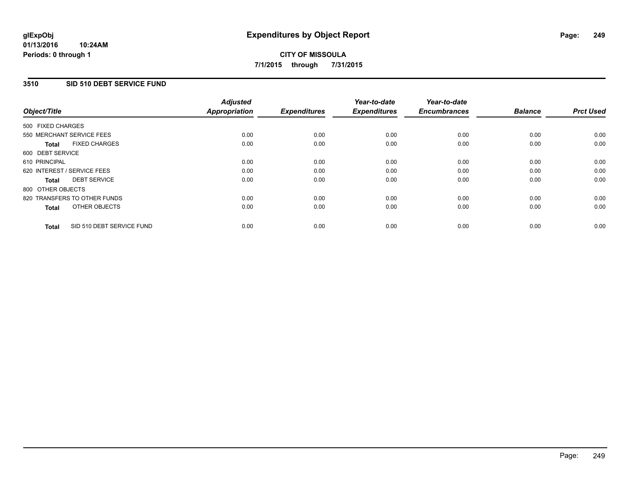### **3510 SID 510 DEBT SERVICE FUND**

| Object/Title                              | <b>Adjusted</b><br><b>Appropriation</b> | <b>Expenditures</b> | Year-to-date<br><b>Expenditures</b> | Year-to-date<br><b>Encumbrances</b> | <b>Balance</b> | <b>Prct Used</b> |
|-------------------------------------------|-----------------------------------------|---------------------|-------------------------------------|-------------------------------------|----------------|------------------|
| 500 FIXED CHARGES                         |                                         |                     |                                     |                                     |                |                  |
| 550 MERCHANT SERVICE FEES                 | 0.00                                    | 0.00                | 0.00                                | 0.00                                | 0.00           | 0.00             |
| <b>FIXED CHARGES</b><br><b>Total</b>      | 0.00                                    | 0.00                | 0.00                                | 0.00                                | 0.00           | 0.00             |
| 600 DEBT SERVICE                          |                                         |                     |                                     |                                     |                |                  |
| 610 PRINCIPAL                             | 0.00                                    | 0.00                | 0.00                                | 0.00                                | 0.00           | 0.00             |
| 620 INTEREST / SERVICE FEES               | 0.00                                    | 0.00                | 0.00                                | 0.00                                | 0.00           | 0.00             |
| <b>DEBT SERVICE</b><br><b>Total</b>       | 0.00                                    | 0.00                | 0.00                                | 0.00                                | 0.00           | 0.00             |
| 800 OTHER OBJECTS                         |                                         |                     |                                     |                                     |                |                  |
| 820 TRANSFERS TO OTHER FUNDS              | 0.00                                    | 0.00                | 0.00                                | 0.00                                | 0.00           | 0.00             |
| OTHER OBJECTS<br><b>Total</b>             | 0.00                                    | 0.00                | 0.00                                | 0.00                                | 0.00           | 0.00             |
| SID 510 DEBT SERVICE FUND<br><b>Total</b> | 0.00                                    | 0.00                | 0.00                                | 0.00                                | 0.00           | 0.00             |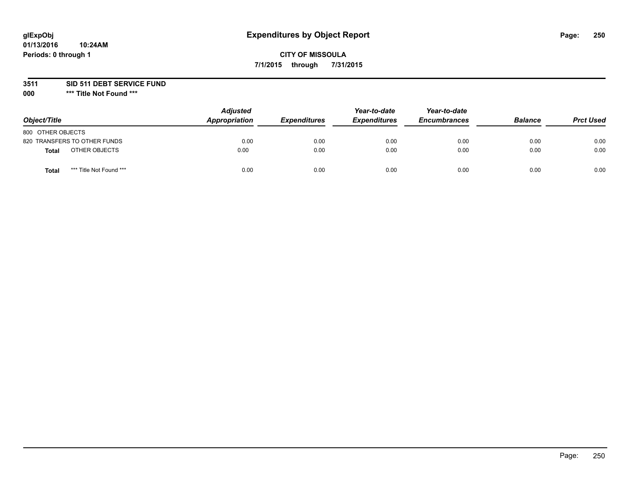# **CITY OF MISSOULA 7/1/2015 through 7/31/2015**

**3511 SID 511 DEBT SERVICE FUND**

| Object/Title                     | <b>Adjusted</b><br>Appropriation | <b>Expenditures</b> | Year-to-date<br><b>Expenditures</b> | Year-to-date<br><b>Encumbrances</b> | <b>Balance</b> | <b>Prct Used</b> |
|----------------------------------|----------------------------------|---------------------|-------------------------------------|-------------------------------------|----------------|------------------|
| 800 OTHER OBJECTS                |                                  |                     |                                     |                                     |                |                  |
| 820 TRANSFERS TO OTHER FUNDS     | 0.00                             | 0.00                | 0.00                                | 0.00                                | 0.00           | 0.00             |
| OTHER OBJECTS<br><b>Total</b>    | 0.00                             | 0.00                | 0.00                                | 0.00                                | 0.00           | 0.00             |
| *** Title Not Found ***<br>Total | 0.00                             | 0.00                | 0.00                                | 0.00                                | 0.00           | 0.00             |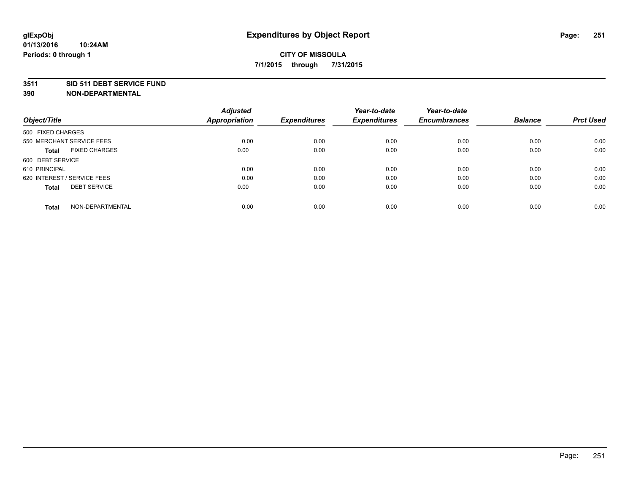#### **3511 SID 511 DEBT SERVICE FUND**

| Object/Title                         | <b>Adjusted</b><br><b>Appropriation</b> | <b>Expenditures</b> | Year-to-date<br><b>Expenditures</b> | Year-to-date<br><b>Encumbrances</b> | <b>Balance</b> | <b>Prct Used</b> |
|--------------------------------------|-----------------------------------------|---------------------|-------------------------------------|-------------------------------------|----------------|------------------|
|                                      |                                         |                     |                                     |                                     |                |                  |
| 500 FIXED CHARGES                    |                                         |                     |                                     |                                     |                |                  |
| 550 MERCHANT SERVICE FEES            | 0.00                                    | 0.00                | 0.00                                | 0.00                                | 0.00           | 0.00             |
| <b>FIXED CHARGES</b><br><b>Total</b> | 0.00                                    | 0.00                | 0.00                                | 0.00                                | 0.00           | 0.00             |
| 600 DEBT SERVICE                     |                                         |                     |                                     |                                     |                |                  |
| 610 PRINCIPAL                        | 0.00                                    | 0.00                | 0.00                                | 0.00                                | 0.00           | 0.00             |
| 620 INTEREST / SERVICE FEES          | 0.00                                    | 0.00                | 0.00                                | 0.00                                | 0.00           | 0.00             |
| <b>DEBT SERVICE</b><br><b>Total</b>  | 0.00                                    | 0.00                | 0.00                                | 0.00                                | 0.00           | 0.00             |
| NON-DEPARTMENTAL<br><b>Total</b>     | 0.00                                    | 0.00                | 0.00                                | 0.00                                | 0.00           | 0.00             |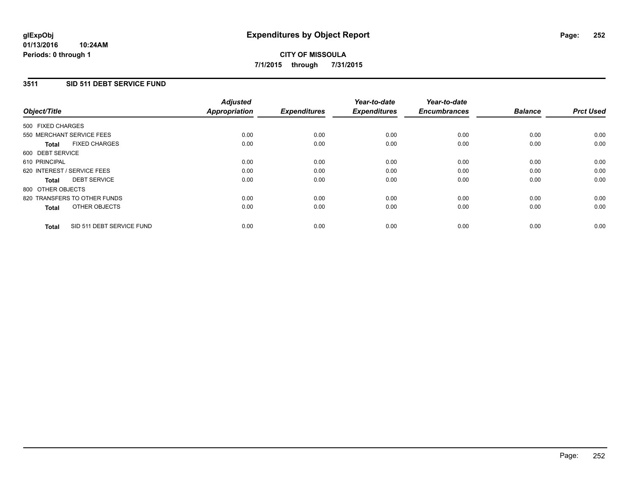#### **01/13/2016 10:24AM Periods: 0 through 1**

# **CITY OF MISSOULA 7/1/2015 through 7/31/2015**

### **3511 SID 511 DEBT SERVICE FUND**

| Object/Title      |                              | <b>Adjusted</b><br><b>Appropriation</b> | <b>Expenditures</b> | Year-to-date<br><b>Expenditures</b> | Year-to-date<br><b>Encumbrances</b> | <b>Balance</b> | <b>Prct Used</b> |
|-------------------|------------------------------|-----------------------------------------|---------------------|-------------------------------------|-------------------------------------|----------------|------------------|
| 500 FIXED CHARGES |                              |                                         |                     |                                     |                                     |                |                  |
|                   | 550 MERCHANT SERVICE FEES    | 0.00                                    | 0.00                | 0.00                                | 0.00                                | 0.00           | 0.00             |
| <b>Total</b>      | <b>FIXED CHARGES</b>         | 0.00                                    | 0.00                | 0.00                                | 0.00                                | 0.00           | 0.00             |
| 600 DEBT SERVICE  |                              |                                         |                     |                                     |                                     |                |                  |
| 610 PRINCIPAL     |                              | 0.00                                    | 0.00                | 0.00                                | 0.00                                | 0.00           | 0.00             |
|                   | 620 INTEREST / SERVICE FEES  | 0.00                                    | 0.00                | 0.00                                | 0.00                                | 0.00           | 0.00             |
| Total             | <b>DEBT SERVICE</b>          | 0.00                                    | 0.00                | 0.00                                | 0.00                                | 0.00           | 0.00             |
| 800 OTHER OBJECTS |                              |                                         |                     |                                     |                                     |                |                  |
|                   | 820 TRANSFERS TO OTHER FUNDS | 0.00                                    | 0.00                | 0.00                                | 0.00                                | 0.00           | 0.00             |
| <b>Total</b>      | OTHER OBJECTS                | 0.00                                    | 0.00                | 0.00                                | 0.00                                | 0.00           | 0.00             |
| <b>Total</b>      | SID 511 DEBT SERVICE FUND    | 0.00                                    | 0.00                | 0.00                                | 0.00                                | 0.00           | 0.00             |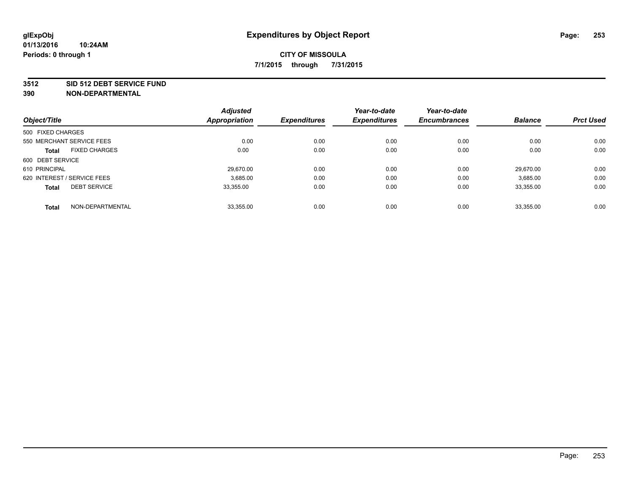#### **3512 SID 512 DEBT SERVICE FUND**

|                                     | <b>Adjusted</b>      | <b>Expenditures</b> | Year-to-date<br><b>Expenditures</b> | Year-to-date        | <b>Balance</b> | <b>Prct Used</b> |
|-------------------------------------|----------------------|---------------------|-------------------------------------|---------------------|----------------|------------------|
| Object/Title                        | <b>Appropriation</b> |                     |                                     | <b>Encumbrances</b> |                |                  |
| 500 FIXED CHARGES                   |                      |                     |                                     |                     |                |                  |
| 550 MERCHANT SERVICE FEES           | 0.00                 | 0.00                | 0.00                                | 0.00                | 0.00           | 0.00             |
| <b>FIXED CHARGES</b><br>Total       | 0.00                 | 0.00                | 0.00                                | 0.00                | 0.00           | 0.00             |
| 600 DEBT SERVICE                    |                      |                     |                                     |                     |                |                  |
| 610 PRINCIPAL                       | 29.670.00            | 0.00                | 0.00                                | 0.00                | 29.670.00      | 0.00             |
| 620 INTEREST / SERVICE FEES         | 3,685.00             | 0.00                | 0.00                                | 0.00                | 3,685.00       | 0.00             |
| <b>DEBT SERVICE</b><br><b>Total</b> | 33.355.00            | 0.00                | 0.00                                | 0.00                | 33.355.00      | 0.00             |
| NON-DEPARTMENTAL<br><b>Total</b>    | 33,355.00            | 0.00                | 0.00                                | 0.00                | 33,355.00      | 0.00             |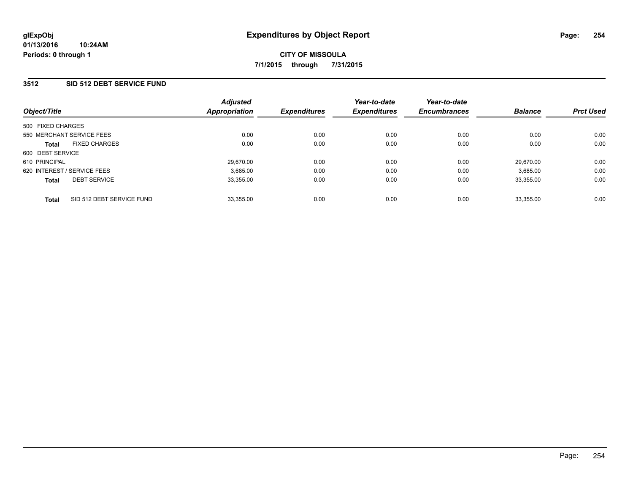### **3512 SID 512 DEBT SERVICE FUND**

| Object/Title                              | <b>Adjusted</b><br>Appropriation | <b>Expenditures</b> | Year-to-date<br><b>Expenditures</b> | Year-to-date<br><b>Encumbrances</b> | <b>Balance</b> | <b>Prct Used</b> |
|-------------------------------------------|----------------------------------|---------------------|-------------------------------------|-------------------------------------|----------------|------------------|
| 500 FIXED CHARGES                         |                                  |                     |                                     |                                     |                |                  |
| 550 MERCHANT SERVICE FEES                 | 0.00                             | 0.00                | 0.00                                | 0.00                                | 0.00           | 0.00             |
| <b>FIXED CHARGES</b><br><b>Total</b>      | 0.00                             | 0.00                | 0.00                                | 0.00                                | 0.00           | 0.00             |
| 600 DEBT SERVICE                          |                                  |                     |                                     |                                     |                |                  |
| 610 PRINCIPAL                             | 29,670.00                        | 0.00                | 0.00                                | 0.00                                | 29.670.00      | 0.00             |
| 620 INTEREST / SERVICE FEES               | 3,685.00                         | 0.00                | 0.00                                | 0.00                                | 3,685.00       | 0.00             |
| <b>DEBT SERVICE</b><br><b>Total</b>       | 33,355.00                        | 0.00                | 0.00                                | 0.00                                | 33.355.00      | 0.00             |
| SID 512 DEBT SERVICE FUND<br><b>Total</b> | 33,355.00                        | 0.00                | 0.00                                | 0.00                                | 33.355.00      | 0.00             |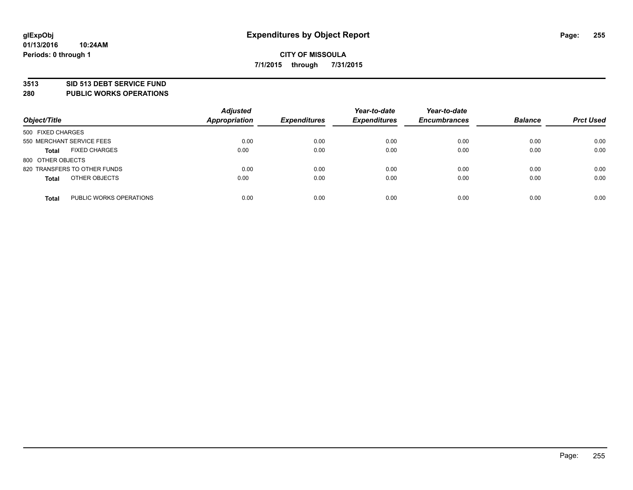### **3513 SID 513 DEBT SERVICE FUND**

**280 PUBLIC WORKS OPERATIONS**

| Object/Title                            | <b>Adjusted</b><br><b>Appropriation</b> | <b>Expenditures</b> | Year-to-date<br><b>Expenditures</b> | Year-to-date<br><b>Encumbrances</b> | <b>Balance</b> | <b>Prct Used</b> |
|-----------------------------------------|-----------------------------------------|---------------------|-------------------------------------|-------------------------------------|----------------|------------------|
| 500 FIXED CHARGES                       |                                         |                     |                                     |                                     |                |                  |
| 550 MERCHANT SERVICE FEES               | 0.00                                    | 0.00                | 0.00                                | 0.00                                | 0.00           | 0.00             |
| <b>FIXED CHARGES</b><br><b>Total</b>    | 0.00                                    | 0.00                | 0.00                                | 0.00                                | 0.00           | 0.00             |
| 800 OTHER OBJECTS                       |                                         |                     |                                     |                                     |                |                  |
| 820 TRANSFERS TO OTHER FUNDS            | 0.00                                    | 0.00                | 0.00                                | 0.00                                | 0.00           | 0.00             |
| OTHER OBJECTS<br><b>Total</b>           | 0.00                                    | 0.00                | 0.00                                | 0.00                                | 0.00           | 0.00             |
| PUBLIC WORKS OPERATIONS<br><b>Total</b> | 0.00                                    | 0.00                | 0.00                                | 0.00                                | 0.00           | 0.00             |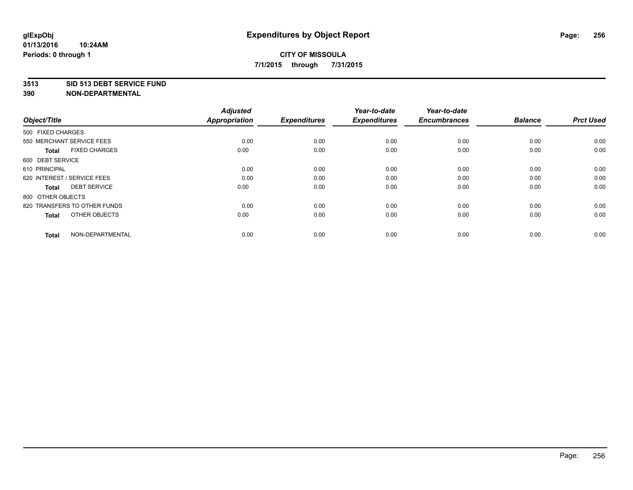#### **3513 SID 513 DEBT SERVICE FUND**

| Object/Title                         | <b>Adjusted</b><br>Appropriation | <b>Expenditures</b> | Year-to-date<br><b>Expenditures</b> | Year-to-date<br><b>Encumbrances</b> | <b>Balance</b> | <b>Prct Used</b> |
|--------------------------------------|----------------------------------|---------------------|-------------------------------------|-------------------------------------|----------------|------------------|
| 500 FIXED CHARGES                    |                                  |                     |                                     |                                     |                |                  |
| 550 MERCHANT SERVICE FEES            | 0.00                             | 0.00                | 0.00                                | 0.00                                | 0.00           | 0.00             |
| <b>FIXED CHARGES</b><br><b>Total</b> | 0.00                             | 0.00                | 0.00                                | 0.00                                | 0.00           | 0.00             |
| 600 DEBT SERVICE                     |                                  |                     |                                     |                                     |                |                  |
| 610 PRINCIPAL                        | 0.00                             | 0.00                | 0.00                                | 0.00                                | 0.00           | 0.00             |
| 620 INTEREST / SERVICE FEES          | 0.00                             | 0.00                | 0.00                                | 0.00                                | 0.00           | 0.00             |
| <b>DEBT SERVICE</b><br><b>Total</b>  | 0.00                             | 0.00                | 0.00                                | 0.00                                | 0.00           | 0.00             |
| 800 OTHER OBJECTS                    |                                  |                     |                                     |                                     |                |                  |
| 820 TRANSFERS TO OTHER FUNDS         | 0.00                             | 0.00                | 0.00                                | 0.00                                | 0.00           | 0.00             |
| OTHER OBJECTS<br><b>Total</b>        | 0.00                             | 0.00                | 0.00                                | 0.00                                | 0.00           | 0.00             |
| NON-DEPARTMENTAL<br><b>Total</b>     | 0.00                             | 0.00                | 0.00                                | 0.00                                | 0.00           | 0.00             |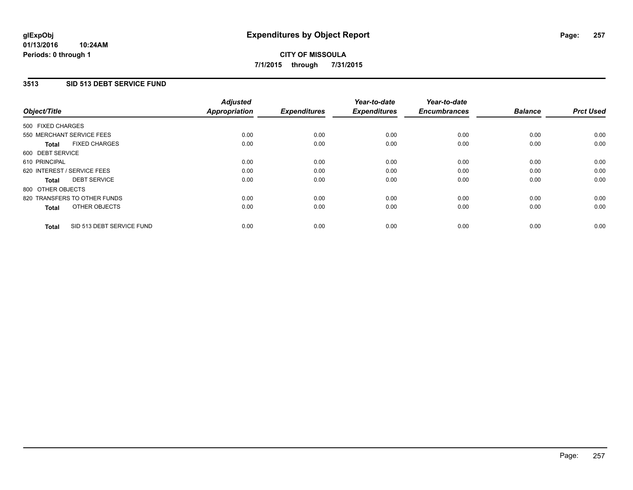### **3513 SID 513 DEBT SERVICE FUND**

| Object/Title                              | <b>Adjusted</b><br><b>Appropriation</b> | <b>Expenditures</b> | Year-to-date<br><b>Expenditures</b> | Year-to-date<br><b>Encumbrances</b> | <b>Balance</b> | <b>Prct Used</b> |
|-------------------------------------------|-----------------------------------------|---------------------|-------------------------------------|-------------------------------------|----------------|------------------|
|                                           |                                         |                     |                                     |                                     |                |                  |
| 500 FIXED CHARGES                         |                                         |                     |                                     |                                     |                |                  |
| 550 MERCHANT SERVICE FEES                 | 0.00                                    | 0.00                | 0.00                                | 0.00                                | 0.00           | 0.00             |
| <b>FIXED CHARGES</b><br>Total             | 0.00                                    | 0.00                | 0.00                                | 0.00                                | 0.00           | 0.00             |
| 600 DEBT SERVICE                          |                                         |                     |                                     |                                     |                |                  |
| 610 PRINCIPAL                             | 0.00                                    | 0.00                | 0.00                                | 0.00                                | 0.00           | 0.00             |
| 620 INTEREST / SERVICE FEES               | 0.00                                    | 0.00                | 0.00                                | 0.00                                | 0.00           | 0.00             |
| <b>DEBT SERVICE</b><br><b>Total</b>       | 0.00                                    | 0.00                | 0.00                                | 0.00                                | 0.00           | 0.00             |
| 800 OTHER OBJECTS                         |                                         |                     |                                     |                                     |                |                  |
| 820 TRANSFERS TO OTHER FUNDS              | 0.00                                    | 0.00                | 0.00                                | 0.00                                | 0.00           | 0.00             |
| OTHER OBJECTS<br><b>Total</b>             | 0.00                                    | 0.00                | 0.00                                | 0.00                                | 0.00           | 0.00             |
|                                           |                                         |                     |                                     |                                     |                |                  |
| SID 513 DEBT SERVICE FUND<br><b>Total</b> | 0.00                                    | 0.00                | 0.00                                | 0.00                                | 0.00           | 0.00             |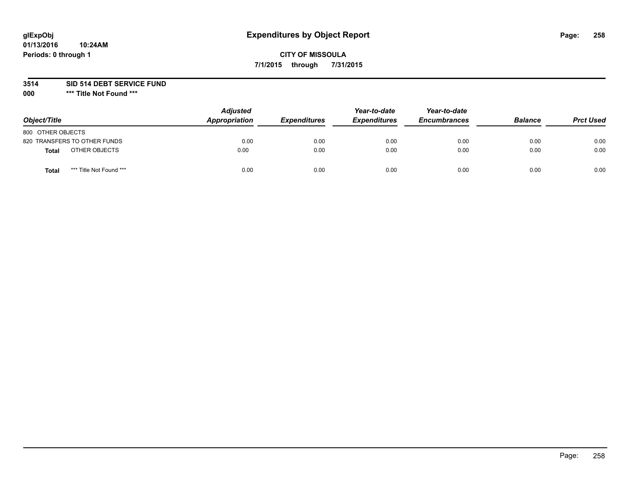# **glExpObj Expenditures by Object Report Page: 258**

## **CITY OF MISSOULA 7/1/2015 through 7/31/2015**

### **3514 SID 514 DEBT SERVICE FUND**

**000 \*\*\* Title Not Found \*\*\***

| Object/Title                            | <b>Adjusted</b><br>Appropriation | <b>Expenditures</b> | Year-to-date<br><b>Expenditures</b> | Year-to-date<br><b>Encumbrances</b> | <b>Balance</b> | <b>Prct Used</b> |
|-----------------------------------------|----------------------------------|---------------------|-------------------------------------|-------------------------------------|----------------|------------------|
| 800 OTHER OBJECTS                       |                                  |                     |                                     |                                     |                |                  |
| 820 TRANSFERS TO OTHER FUNDS            | 0.00                             | 0.00                | 0.00                                | 0.00                                | 0.00           | 0.00             |
| OTHER OBJECTS<br>Total                  | 0.00                             | 0.00                | 0.00                                | 0.00                                | 0.00           | 0.00             |
| *** Title Not Found ***<br><b>Total</b> | 0.00                             | 0.00                | 0.00                                | 0.00                                | 0.00           | 0.00             |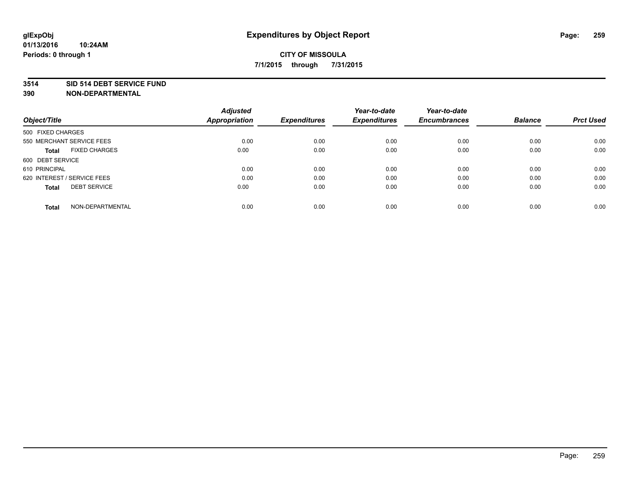#### **3514 SID 514 DEBT SERVICE FUND**

| Object/Title                         | <b>Adjusted</b><br><b>Appropriation</b> | <b>Expenditures</b> | Year-to-date<br><b>Expenditures</b> | Year-to-date<br><b>Encumbrances</b> | <b>Balance</b> | <b>Prct Used</b> |
|--------------------------------------|-----------------------------------------|---------------------|-------------------------------------|-------------------------------------|----------------|------------------|
|                                      |                                         |                     |                                     |                                     |                |                  |
| 500 FIXED CHARGES                    |                                         |                     |                                     |                                     |                |                  |
| 550 MERCHANT SERVICE FEES            | 0.00                                    | 0.00                | 0.00                                | 0.00                                | 0.00           | 0.00             |
| <b>FIXED CHARGES</b><br><b>Total</b> | 0.00                                    | 0.00                | 0.00                                | 0.00                                | 0.00           | 0.00             |
| 600 DEBT SERVICE                     |                                         |                     |                                     |                                     |                |                  |
| 610 PRINCIPAL                        | 0.00                                    | 0.00                | 0.00                                | 0.00                                | 0.00           | 0.00             |
| 620 INTEREST / SERVICE FEES          | 0.00                                    | 0.00                | 0.00                                | 0.00                                | 0.00           | 0.00             |
| <b>DEBT SERVICE</b><br><b>Total</b>  | 0.00                                    | 0.00                | 0.00                                | 0.00                                | 0.00           | 0.00             |
|                                      |                                         |                     |                                     |                                     |                |                  |
| NON-DEPARTMENTAL<br><b>Total</b>     | 0.00                                    | 0.00                | 0.00                                | 0.00                                | 0.00           | 0.00             |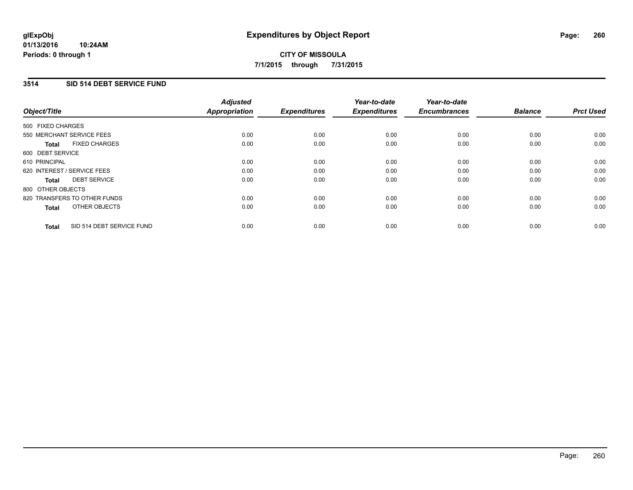### **3514 SID 514 DEBT SERVICE FUND**

| Object/Title                              | <b>Adjusted</b><br><b>Appropriation</b> | <b>Expenditures</b> | Year-to-date<br><b>Expenditures</b> | Year-to-date<br><b>Encumbrances</b> | <b>Balance</b> | <b>Prct Used</b> |
|-------------------------------------------|-----------------------------------------|---------------------|-------------------------------------|-------------------------------------|----------------|------------------|
|                                           |                                         |                     |                                     |                                     |                |                  |
| 500 FIXED CHARGES                         |                                         |                     |                                     |                                     |                |                  |
| 550 MERCHANT SERVICE FEES                 | 0.00                                    | 0.00                | 0.00                                | 0.00                                | 0.00           | 0.00             |
| <b>FIXED CHARGES</b><br>Total             | 0.00                                    | 0.00                | 0.00                                | 0.00                                | 0.00           | 0.00             |
| 600 DEBT SERVICE                          |                                         |                     |                                     |                                     |                |                  |
| 610 PRINCIPAL                             | 0.00                                    | 0.00                | 0.00                                | 0.00                                | 0.00           | 0.00             |
| 620 INTEREST / SERVICE FEES               | 0.00                                    | 0.00                | 0.00                                | 0.00                                | 0.00           | 0.00             |
| <b>DEBT SERVICE</b><br><b>Total</b>       | 0.00                                    | 0.00                | 0.00                                | 0.00                                | 0.00           | 0.00             |
| 800 OTHER OBJECTS                         |                                         |                     |                                     |                                     |                |                  |
| 820 TRANSFERS TO OTHER FUNDS              | 0.00                                    | 0.00                | 0.00                                | 0.00                                | 0.00           | 0.00             |
| OTHER OBJECTS<br><b>Total</b>             | 0.00                                    | 0.00                | 0.00                                | 0.00                                | 0.00           | 0.00             |
|                                           |                                         |                     |                                     |                                     |                |                  |
| SID 514 DEBT SERVICE FUND<br><b>Total</b> | 0.00                                    | 0.00                | 0.00                                | 0.00                                | 0.00           | 0.00             |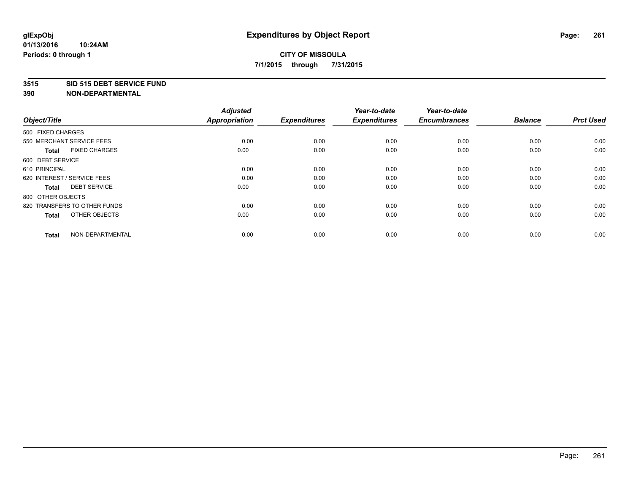#### **3515 SID 515 DEBT SERVICE FUND**

| Object/Title                         | <b>Adjusted</b><br><b>Appropriation</b> | <b>Expenditures</b> | Year-to-date<br><b>Expenditures</b> | Year-to-date<br><b>Encumbrances</b> | <b>Balance</b> | <b>Prct Used</b> |
|--------------------------------------|-----------------------------------------|---------------------|-------------------------------------|-------------------------------------|----------------|------------------|
| 500 FIXED CHARGES                    |                                         |                     |                                     |                                     |                |                  |
| 550 MERCHANT SERVICE FEES            | 0.00                                    | 0.00                | 0.00                                | 0.00                                | 0.00           | 0.00             |
| <b>FIXED CHARGES</b><br><b>Total</b> | 0.00                                    | 0.00                | 0.00                                | 0.00                                | 0.00           | 0.00             |
| 600 DEBT SERVICE                     |                                         |                     |                                     |                                     |                |                  |
| 610 PRINCIPAL                        | 0.00                                    | 0.00                | 0.00                                | 0.00                                | 0.00           | 0.00             |
| 620 INTEREST / SERVICE FEES          | 0.00                                    | 0.00                | 0.00                                | 0.00                                | 0.00           | 0.00             |
| <b>DEBT SERVICE</b><br><b>Total</b>  | 0.00                                    | 0.00                | 0.00                                | 0.00                                | 0.00           | 0.00             |
| 800 OTHER OBJECTS                    |                                         |                     |                                     |                                     |                |                  |
| 820 TRANSFERS TO OTHER FUNDS         | 0.00                                    | 0.00                | 0.00                                | 0.00                                | 0.00           | 0.00             |
| OTHER OBJECTS<br><b>Total</b>        | 0.00                                    | 0.00                | 0.00                                | 0.00                                | 0.00           | 0.00             |
|                                      |                                         |                     |                                     |                                     |                |                  |
| NON-DEPARTMENTAL<br><b>Total</b>     | 0.00                                    | 0.00                | 0.00                                | 0.00                                | 0.00           | 0.00             |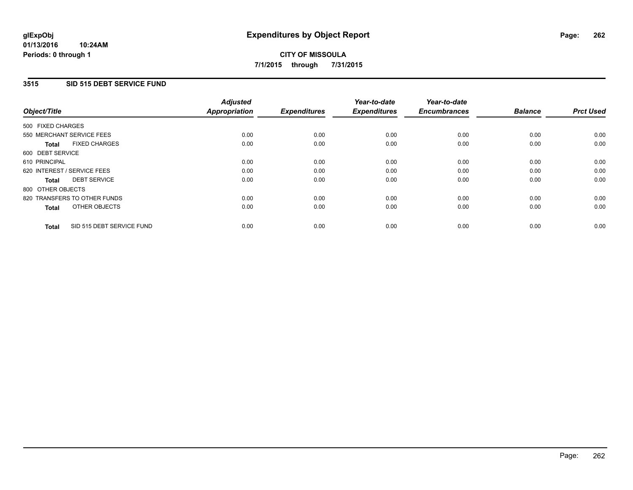### **3515 SID 515 DEBT SERVICE FUND**

| Object/Title                              | <b>Adjusted</b><br><b>Appropriation</b> | <b>Expenditures</b> | Year-to-date<br><b>Expenditures</b> | Year-to-date<br><b>Encumbrances</b> | <b>Balance</b> | <b>Prct Used</b> |
|-------------------------------------------|-----------------------------------------|---------------------|-------------------------------------|-------------------------------------|----------------|------------------|
|                                           |                                         |                     |                                     |                                     |                |                  |
| 500 FIXED CHARGES                         |                                         |                     |                                     |                                     |                |                  |
| 550 MERCHANT SERVICE FEES                 | 0.00                                    | 0.00                | 0.00                                | 0.00                                | 0.00           | 0.00             |
| <b>FIXED CHARGES</b><br>Total             | 0.00                                    | 0.00                | 0.00                                | 0.00                                | 0.00           | 0.00             |
| 600 DEBT SERVICE                          |                                         |                     |                                     |                                     |                |                  |
| 610 PRINCIPAL                             | 0.00                                    | 0.00                | 0.00                                | 0.00                                | 0.00           | 0.00             |
| 620 INTEREST / SERVICE FEES               | 0.00                                    | 0.00                | 0.00                                | 0.00                                | 0.00           | 0.00             |
| <b>DEBT SERVICE</b><br><b>Total</b>       | 0.00                                    | 0.00                | 0.00                                | 0.00                                | 0.00           | 0.00             |
| 800 OTHER OBJECTS                         |                                         |                     |                                     |                                     |                |                  |
| 820 TRANSFERS TO OTHER FUNDS              | 0.00                                    | 0.00                | 0.00                                | 0.00                                | 0.00           | 0.00             |
| OTHER OBJECTS<br><b>Total</b>             | 0.00                                    | 0.00                | 0.00                                | 0.00                                | 0.00           | 0.00             |
|                                           |                                         |                     |                                     |                                     |                |                  |
| SID 515 DEBT SERVICE FUND<br><b>Total</b> | 0.00                                    | 0.00                | 0.00                                | 0.00                                | 0.00           | 0.00             |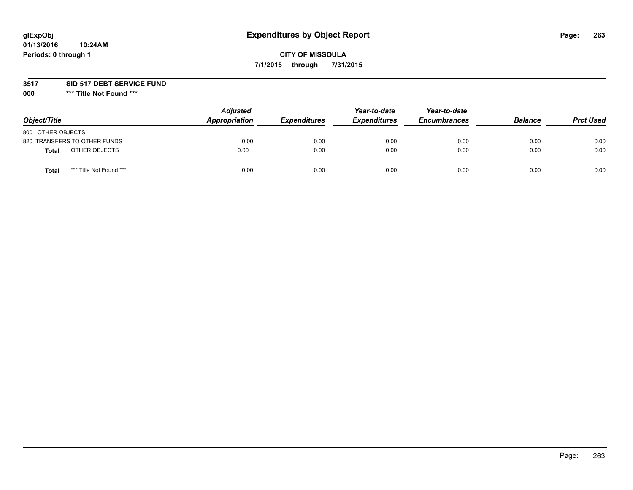# **glExpObj Expenditures by Object Report Page: 263**

## **CITY OF MISSOULA 7/1/2015 through 7/31/2015**

### **3517 SID 517 DEBT SERVICE FUND**

**000 \*\*\* Title Not Found \*\*\***

| Object/Title                            | <b>Adjusted</b><br>Appropriation | <b>Expenditures</b> | Year-to-date<br><b>Expenditures</b> | Year-to-date<br><b>Encumbrances</b> | <b>Balance</b> | <b>Prct Used</b> |
|-----------------------------------------|----------------------------------|---------------------|-------------------------------------|-------------------------------------|----------------|------------------|
| 800 OTHER OBJECTS                       |                                  |                     |                                     |                                     |                |                  |
| 820 TRANSFERS TO OTHER FUNDS            | 0.00                             | 0.00                | 0.00                                | 0.00                                | 0.00           | 0.00             |
| OTHER OBJECTS<br><b>Total</b>           | 0.00                             | 0.00                | 0.00                                | 0.00                                | 0.00           | 0.00             |
| *** Title Not Found ***<br><b>Total</b> | 0.00                             | 0.00                | 0.00                                | 0.00                                | 0.00           | 0.00             |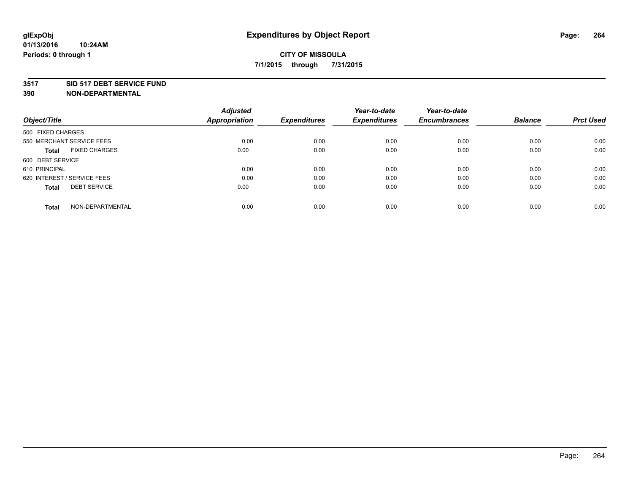#### **3517 SID 517 DEBT SERVICE FUND**

|                                      | <b>Adjusted</b>      |                     | Year-to-date        | Year-to-date        |                |                  |
|--------------------------------------|----------------------|---------------------|---------------------|---------------------|----------------|------------------|
| Object/Title                         | <b>Appropriation</b> | <b>Expenditures</b> | <b>Expenditures</b> | <b>Encumbrances</b> | <b>Balance</b> | <b>Prct Used</b> |
| 500 FIXED CHARGES                    |                      |                     |                     |                     |                |                  |
| 550 MERCHANT SERVICE FEES            | 0.00                 | 0.00                | 0.00                | 0.00                | 0.00           | 0.00             |
| <b>FIXED CHARGES</b><br><b>Total</b> | 0.00                 | 0.00                | 0.00                | 0.00                | 0.00           | 0.00             |
| 600 DEBT SERVICE                     |                      |                     |                     |                     |                |                  |
| 610 PRINCIPAL                        | 0.00                 | 0.00                | 0.00                | 0.00                | 0.00           | 0.00             |
| 620 INTEREST / SERVICE FEES          | 0.00                 | 0.00                | 0.00                | 0.00                | 0.00           | 0.00             |
| <b>DEBT SERVICE</b><br><b>Total</b>  | 0.00                 | 0.00                | 0.00                | 0.00                | 0.00           | 0.00             |
| NON-DEPARTMENTAL<br>Total            | 0.00                 | 0.00                | 0.00                | 0.00                | 0.00           | 0.00             |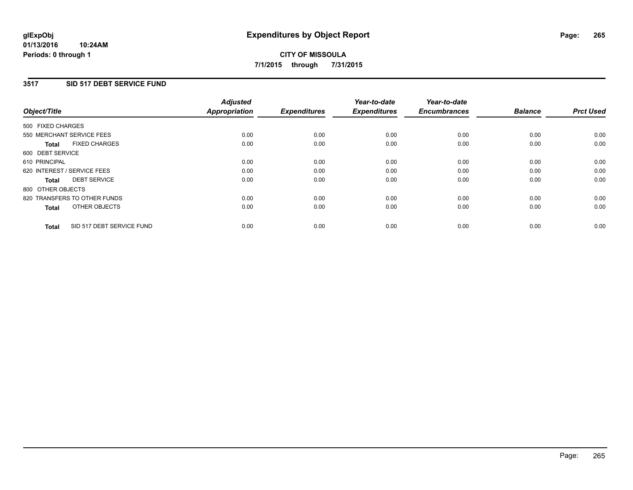### **3517 SID 517 DEBT SERVICE FUND**

| Object/Title                              | <b>Adjusted</b><br><b>Appropriation</b> | <b>Expenditures</b> | Year-to-date<br><b>Expenditures</b> | Year-to-date<br><b>Encumbrances</b> | <b>Balance</b> | <b>Prct Used</b> |
|-------------------------------------------|-----------------------------------------|---------------------|-------------------------------------|-------------------------------------|----------------|------------------|
|                                           |                                         |                     |                                     |                                     |                |                  |
| 500 FIXED CHARGES                         |                                         |                     |                                     |                                     |                |                  |
| 550 MERCHANT SERVICE FEES                 | 0.00                                    | 0.00                | 0.00                                | 0.00                                | 0.00           | 0.00             |
| <b>FIXED CHARGES</b><br>Total             | 0.00                                    | 0.00                | 0.00                                | 0.00                                | 0.00           | 0.00             |
| 600 DEBT SERVICE                          |                                         |                     |                                     |                                     |                |                  |
| 610 PRINCIPAL                             | 0.00                                    | 0.00                | 0.00                                | 0.00                                | 0.00           | 0.00             |
| 620 INTEREST / SERVICE FEES               | 0.00                                    | 0.00                | 0.00                                | 0.00                                | 0.00           | 0.00             |
| <b>DEBT SERVICE</b><br><b>Total</b>       | 0.00                                    | 0.00                | 0.00                                | 0.00                                | 0.00           | 0.00             |
| 800 OTHER OBJECTS                         |                                         |                     |                                     |                                     |                |                  |
| 820 TRANSFERS TO OTHER FUNDS              | 0.00                                    | 0.00                | 0.00                                | 0.00                                | 0.00           | 0.00             |
| OTHER OBJECTS<br><b>Total</b>             | 0.00                                    | 0.00                | 0.00                                | 0.00                                | 0.00           | 0.00             |
|                                           |                                         |                     |                                     |                                     |                |                  |
| SID 517 DEBT SERVICE FUND<br><b>Total</b> | 0.00                                    | 0.00                | 0.00                                | 0.00                                | 0.00           | 0.00             |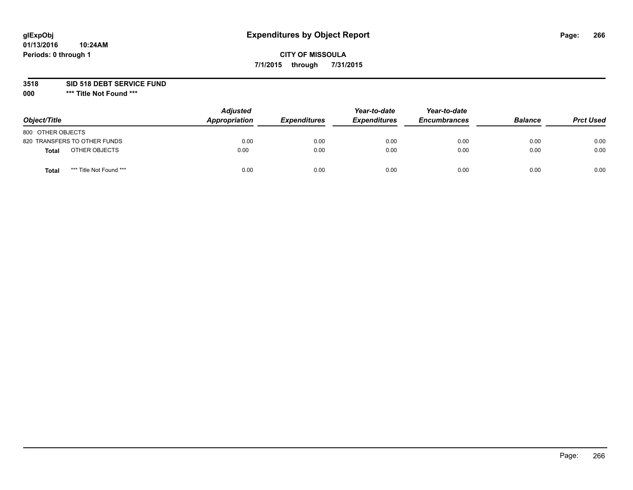# **glExpObj Expenditures by Object Report Page: 266**

## **CITY OF MISSOULA 7/1/2015 through 7/31/2015**

### **3518 SID 518 DEBT SERVICE FUND**

**000 \*\*\* Title Not Found \*\*\***

| Object/Title                            | <b>Adjusted</b><br>Appropriation | <b>Expenditures</b> | Year-to-date<br><b>Expenditures</b> | Year-to-date<br><b>Encumbrances</b> | <b>Balance</b> | <b>Prct Used</b> |
|-----------------------------------------|----------------------------------|---------------------|-------------------------------------|-------------------------------------|----------------|------------------|
| 800 OTHER OBJECTS                       |                                  |                     |                                     |                                     |                |                  |
| 820 TRANSFERS TO OTHER FUNDS            | 0.00                             | 0.00                | 0.00                                | 0.00                                | 0.00           | 0.00             |
| OTHER OBJECTS<br>Total                  | 0.00                             | 0.00                | 0.00                                | 0.00                                | 0.00           | 0.00             |
| *** Title Not Found ***<br><b>Total</b> | 0.00                             | 0.00                | 0.00                                | 0.00                                | 0.00           | 0.00             |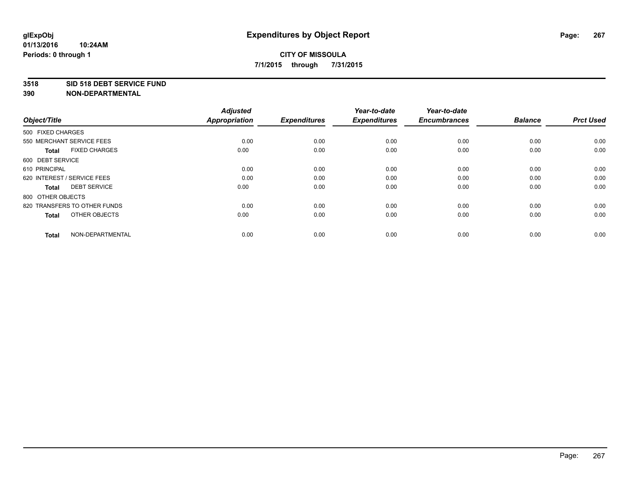#### **3518 SID 518 DEBT SERVICE FUND**

| Object/Title                         | <b>Adjusted</b><br><b>Appropriation</b> | <b>Expenditures</b> | Year-to-date<br><b>Expenditures</b> | Year-to-date<br><b>Encumbrances</b> | <b>Balance</b> | <b>Prct Used</b> |
|--------------------------------------|-----------------------------------------|---------------------|-------------------------------------|-------------------------------------|----------------|------------------|
| 500 FIXED CHARGES                    |                                         |                     |                                     |                                     |                |                  |
| 550 MERCHANT SERVICE FEES            | 0.00                                    | 0.00                | 0.00                                | 0.00                                | 0.00           | 0.00             |
| <b>FIXED CHARGES</b><br><b>Total</b> | 0.00                                    | 0.00                | 0.00                                | 0.00                                | 0.00           | 0.00             |
| 600 DEBT SERVICE                     |                                         |                     |                                     |                                     |                |                  |
| 610 PRINCIPAL                        | 0.00                                    | 0.00                | 0.00                                | 0.00                                | 0.00           | 0.00             |
| 620 INTEREST / SERVICE FEES          | 0.00                                    | 0.00                | 0.00                                | 0.00                                | 0.00           | 0.00             |
| <b>DEBT SERVICE</b><br><b>Total</b>  | 0.00                                    | 0.00                | 0.00                                | 0.00                                | 0.00           | 0.00             |
| 800 OTHER OBJECTS                    |                                         |                     |                                     |                                     |                |                  |
| 820 TRANSFERS TO OTHER FUNDS         | 0.00                                    | 0.00                | 0.00                                | 0.00                                | 0.00           | 0.00             |
| OTHER OBJECTS<br><b>Total</b>        | 0.00                                    | 0.00                | 0.00                                | 0.00                                | 0.00           | 0.00             |
|                                      |                                         |                     |                                     |                                     |                |                  |
| NON-DEPARTMENTAL<br><b>Total</b>     | 0.00                                    | 0.00                | 0.00                                | 0.00                                | 0.00           | 0.00             |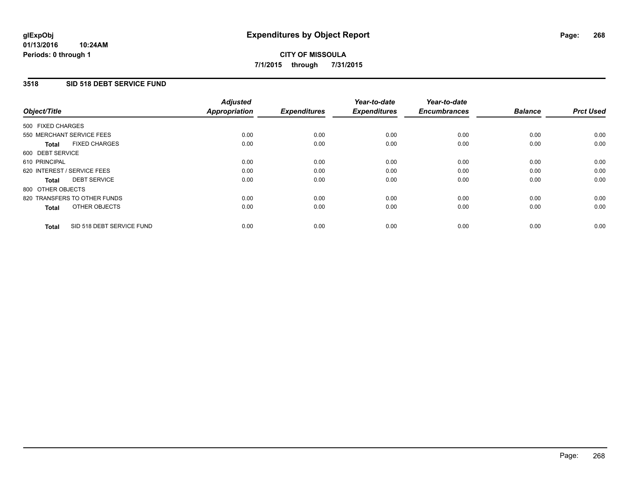### **3518 SID 518 DEBT SERVICE FUND**

| Object/Title      |                              | <b>Adjusted</b><br>Appropriation | <b>Expenditures</b> | Year-to-date<br><b>Expenditures</b> | Year-to-date<br><b>Encumbrances</b> | <b>Balance</b> | <b>Prct Used</b> |
|-------------------|------------------------------|----------------------------------|---------------------|-------------------------------------|-------------------------------------|----------------|------------------|
| 500 FIXED CHARGES |                              |                                  |                     |                                     |                                     |                |                  |
|                   | 550 MERCHANT SERVICE FEES    | 0.00                             | 0.00                | 0.00                                | 0.00                                | 0.00           | 0.00             |
| <b>Total</b>      | <b>FIXED CHARGES</b>         | 0.00                             | 0.00                | 0.00                                | 0.00                                | 0.00           | 0.00             |
| 600 DEBT SERVICE  |                              |                                  |                     |                                     |                                     |                |                  |
| 610 PRINCIPAL     |                              | 0.00                             | 0.00                | 0.00                                | 0.00                                | 0.00           | 0.00             |
|                   | 620 INTEREST / SERVICE FEES  | 0.00                             | 0.00                | 0.00                                | 0.00                                | 0.00           | 0.00             |
| Total             | <b>DEBT SERVICE</b>          | 0.00                             | 0.00                | 0.00                                | 0.00                                | 0.00           | 0.00             |
| 800 OTHER OBJECTS |                              |                                  |                     |                                     |                                     |                |                  |
|                   | 820 TRANSFERS TO OTHER FUNDS | 0.00                             | 0.00                | 0.00                                | 0.00                                | 0.00           | 0.00             |
| <b>Total</b>      | OTHER OBJECTS                | 0.00                             | 0.00                | 0.00                                | 0.00                                | 0.00           | 0.00             |
| <b>Total</b>      | SID 518 DEBT SERVICE FUND    | 0.00                             | 0.00                | 0.00                                | 0.00                                | 0.00           | 0.00             |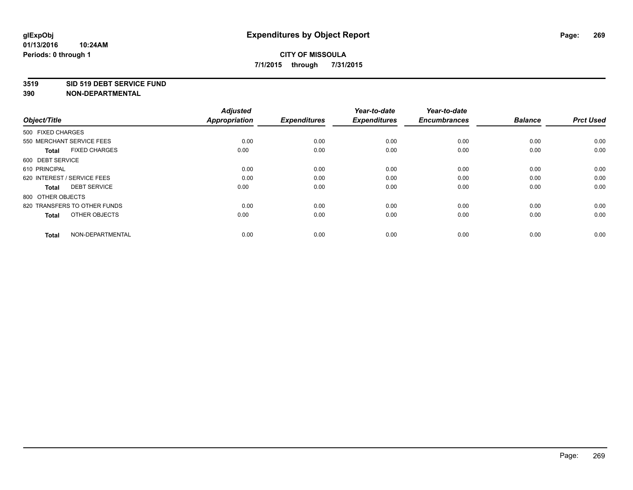#### **3519 SID 519 DEBT SERVICE FUND**

| Object/Title                         | <b>Adjusted</b><br><b>Appropriation</b> | <b>Expenditures</b> | Year-to-date<br><b>Expenditures</b> | Year-to-date<br><b>Encumbrances</b> | <b>Balance</b> | <b>Prct Used</b> |
|--------------------------------------|-----------------------------------------|---------------------|-------------------------------------|-------------------------------------|----------------|------------------|
| 500 FIXED CHARGES                    |                                         |                     |                                     |                                     |                |                  |
| 550 MERCHANT SERVICE FEES            | 0.00                                    | 0.00                | 0.00                                | 0.00                                | 0.00           | 0.00             |
| <b>FIXED CHARGES</b><br><b>Total</b> | 0.00                                    | 0.00                | 0.00                                | 0.00                                | 0.00           | 0.00             |
| 600 DEBT SERVICE                     |                                         |                     |                                     |                                     |                |                  |
| 610 PRINCIPAL                        | 0.00                                    | 0.00                | 0.00                                | 0.00                                | 0.00           | 0.00             |
| 620 INTEREST / SERVICE FEES          | 0.00                                    | 0.00                | 0.00                                | 0.00                                | 0.00           | 0.00             |
| <b>DEBT SERVICE</b><br><b>Total</b>  | 0.00                                    | 0.00                | 0.00                                | 0.00                                | 0.00           | 0.00             |
| 800 OTHER OBJECTS                    |                                         |                     |                                     |                                     |                |                  |
| 820 TRANSFERS TO OTHER FUNDS         | 0.00                                    | 0.00                | 0.00                                | 0.00                                | 0.00           | 0.00             |
| OTHER OBJECTS<br><b>Total</b>        | 0.00                                    | 0.00                | 0.00                                | 0.00                                | 0.00           | 0.00             |
|                                      |                                         |                     |                                     |                                     |                |                  |
| NON-DEPARTMENTAL<br><b>Total</b>     | 0.00                                    | 0.00                | 0.00                                | 0.00                                | 0.00           | 0.00             |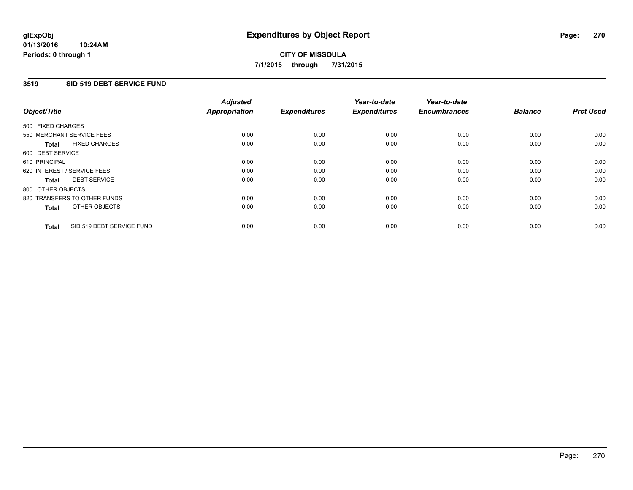### **3519 SID 519 DEBT SERVICE FUND**

| Object/Title      |                              | <b>Adjusted</b><br>Appropriation | <b>Expenditures</b> | Year-to-date<br><b>Expenditures</b> | Year-to-date<br><b>Encumbrances</b> | <b>Balance</b> | <b>Prct Used</b> |
|-------------------|------------------------------|----------------------------------|---------------------|-------------------------------------|-------------------------------------|----------------|------------------|
| 500 FIXED CHARGES |                              |                                  |                     |                                     |                                     |                |                  |
|                   | 550 MERCHANT SERVICE FEES    | 0.00                             | 0.00                | 0.00                                | 0.00                                | 0.00           | 0.00             |
| <b>Total</b>      | <b>FIXED CHARGES</b>         | 0.00                             | 0.00                | 0.00                                | 0.00                                | 0.00           | 0.00             |
| 600 DEBT SERVICE  |                              |                                  |                     |                                     |                                     |                |                  |
| 610 PRINCIPAL     |                              | 0.00                             | 0.00                | 0.00                                | 0.00                                | 0.00           | 0.00             |
|                   | 620 INTEREST / SERVICE FEES  | 0.00                             | 0.00                | 0.00                                | 0.00                                | 0.00           | 0.00             |
| Total             | <b>DEBT SERVICE</b>          | 0.00                             | 0.00                | 0.00                                | 0.00                                | 0.00           | 0.00             |
| 800 OTHER OBJECTS |                              |                                  |                     |                                     |                                     |                |                  |
|                   | 820 TRANSFERS TO OTHER FUNDS | 0.00                             | 0.00                | 0.00                                | 0.00                                | 0.00           | 0.00             |
| <b>Total</b>      | OTHER OBJECTS                | 0.00                             | 0.00                | 0.00                                | 0.00                                | 0.00           | 0.00             |
| <b>Total</b>      | SID 519 DEBT SERVICE FUND    | 0.00                             | 0.00                | 0.00                                | 0.00                                | 0.00           | 0.00             |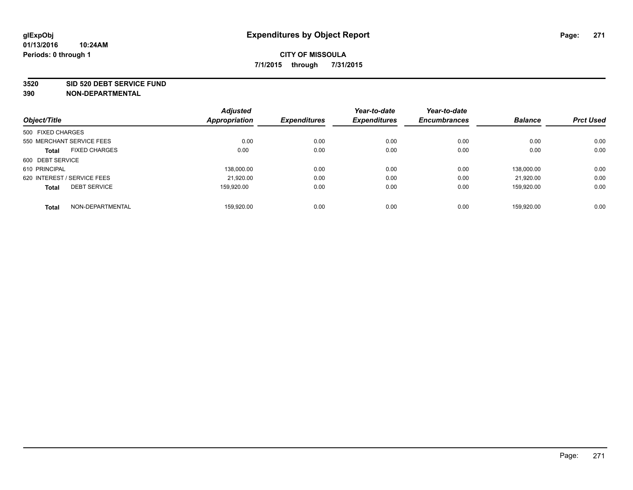#### **3520 SID 520 DEBT SERVICE FUND**

| Object/Title                |                      | <b>Adjusted</b><br>Appropriation | <b>Expenditures</b> | Year-to-date<br><b>Expenditures</b> | Year-to-date<br><b>Encumbrances</b> | <b>Balance</b> | <b>Prct Used</b> |
|-----------------------------|----------------------|----------------------------------|---------------------|-------------------------------------|-------------------------------------|----------------|------------------|
|                             |                      |                                  |                     |                                     |                                     |                |                  |
| 500 FIXED CHARGES           |                      |                                  |                     |                                     |                                     |                |                  |
| 550 MERCHANT SERVICE FEES   |                      | 0.00                             | 0.00                | 0.00                                | 0.00                                | 0.00           | 0.00             |
| <b>Total</b>                | <b>FIXED CHARGES</b> | 0.00                             | 0.00                | 0.00                                | 0.00                                | 0.00           | 0.00             |
| 600 DEBT SERVICE            |                      |                                  |                     |                                     |                                     |                |                  |
| 610 PRINCIPAL               |                      | 138.000.00                       | 0.00                | 0.00                                | 0.00                                | 138.000.00     | 0.00             |
| 620 INTEREST / SERVICE FEES |                      | 21,920.00                        | 0.00                | 0.00                                | 0.00                                | 21.920.00      | 0.00             |
| <b>Total</b>                | <b>DEBT SERVICE</b>  | 159.920.00                       | 0.00                | 0.00                                | 0.00                                | 159.920.00     | 0.00             |
| <b>Total</b>                | NON-DEPARTMENTAL     | 159.920.00                       | 0.00                | 0.00                                | 0.00                                | 159.920.00     | 0.00             |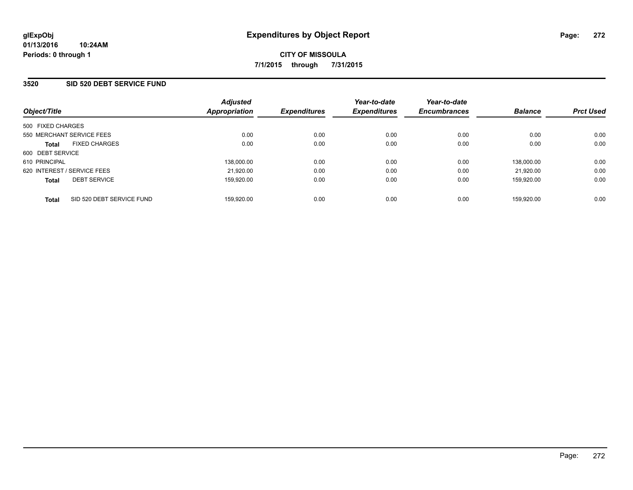### **3520 SID 520 DEBT SERVICE FUND**

| Object/Title                              | <b>Adjusted</b><br>Appropriation | <b>Expenditures</b> | Year-to-date<br><b>Expenditures</b> | Year-to-date<br><b>Encumbrances</b> | <b>Balance</b> | <b>Prct Used</b> |
|-------------------------------------------|----------------------------------|---------------------|-------------------------------------|-------------------------------------|----------------|------------------|
| 500 FIXED CHARGES                         |                                  |                     |                                     |                                     |                |                  |
| 550 MERCHANT SERVICE FEES                 | 0.00                             | 0.00                | 0.00                                | 0.00                                | 0.00           | 0.00             |
| <b>FIXED CHARGES</b><br><b>Total</b>      | 0.00                             | 0.00                | 0.00                                | 0.00                                | 0.00           | 0.00             |
| 600 DEBT SERVICE                          |                                  |                     |                                     |                                     |                |                  |
| 610 PRINCIPAL                             | 138.000.00                       | 0.00                | 0.00                                | 0.00                                | 138.000.00     | 0.00             |
| 620 INTEREST / SERVICE FEES               | 21,920.00                        | 0.00                | 0.00                                | 0.00                                | 21.920.00      | 0.00             |
| <b>DEBT SERVICE</b><br><b>Total</b>       | 159,920.00                       | 0.00                | 0.00                                | 0.00                                | 159.920.00     | 0.00             |
| SID 520 DEBT SERVICE FUND<br><b>Total</b> | 159.920.00                       | 0.00                | 0.00                                | 0.00                                | 159.920.00     | 0.00             |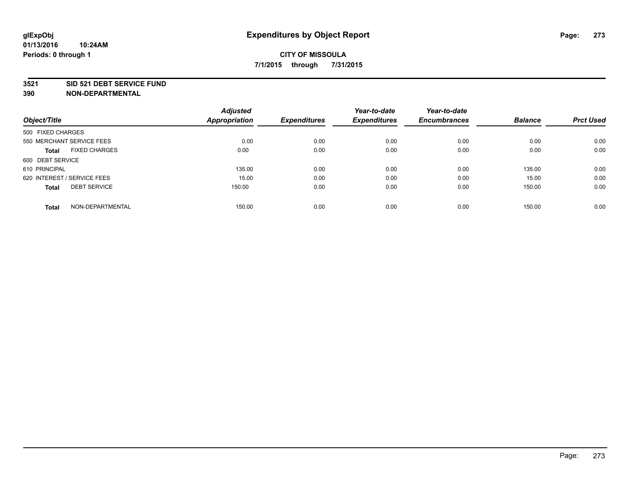#### **3521 SID 521 DEBT SERVICE FUND**

| Object/Title                         | <b>Adjusted</b><br><b>Appropriation</b> | <b>Expenditures</b> | Year-to-date<br><b>Expenditures</b> | Year-to-date<br><b>Encumbrances</b> | <b>Balance</b> | <b>Prct Used</b> |
|--------------------------------------|-----------------------------------------|---------------------|-------------------------------------|-------------------------------------|----------------|------------------|
| 500 FIXED CHARGES                    |                                         |                     |                                     |                                     |                |                  |
| 550 MERCHANT SERVICE FEES            | 0.00                                    | 0.00                | 0.00                                | 0.00                                | 0.00           | 0.00             |
| <b>FIXED CHARGES</b><br><b>Total</b> | 0.00                                    | 0.00                | 0.00                                | 0.00                                | 0.00           | 0.00             |
| 600 DEBT SERVICE                     |                                         |                     |                                     |                                     |                |                  |
| 610 PRINCIPAL                        | 135.00                                  | 0.00                | 0.00                                | 0.00                                | 135.00         | 0.00             |
| 620 INTEREST / SERVICE FEES          | 15.00                                   | 0.00                | 0.00                                | 0.00                                | 15.00          | 0.00             |
| <b>DEBT SERVICE</b><br><b>Total</b>  | 150.00                                  | 0.00                | 0.00                                | 0.00                                | 150.00         | 0.00             |
| NON-DEPARTMENTAL<br><b>Total</b>     | 150.00                                  | 0.00                | 0.00                                | 0.00                                | 150.00         | 0.00             |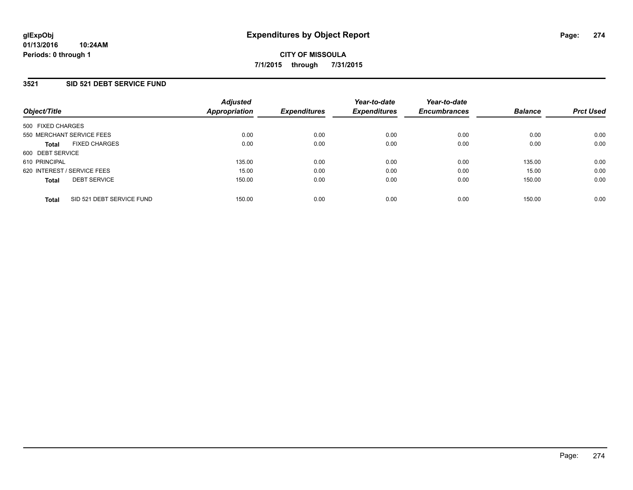### **3521 SID 521 DEBT SERVICE FUND**

| Object/Title                              | <b>Adjusted</b><br>Appropriation | <b>Expenditures</b> | Year-to-date<br><b>Expenditures</b> | Year-to-date<br><b>Encumbrances</b> | <b>Balance</b> | <b>Prct Used</b> |
|-------------------------------------------|----------------------------------|---------------------|-------------------------------------|-------------------------------------|----------------|------------------|
| 500 FIXED CHARGES                         |                                  |                     |                                     |                                     |                |                  |
| 550 MERCHANT SERVICE FEES                 | 0.00                             | 0.00                | 0.00                                | 0.00                                | 0.00           | 0.00             |
| <b>FIXED CHARGES</b><br><b>Total</b>      | 0.00                             | 0.00                | 0.00                                | 0.00                                | 0.00           | 0.00             |
| 600 DEBT SERVICE                          |                                  |                     |                                     |                                     |                |                  |
| 610 PRINCIPAL                             | 135.00                           | 0.00                | 0.00                                | 0.00                                | 135.00         | 0.00             |
| 620 INTEREST / SERVICE FEES               | 15.00                            | 0.00                | 0.00                                | 0.00                                | 15.00          | 0.00             |
| <b>DEBT SERVICE</b><br><b>Total</b>       | 150.00                           | 0.00                | 0.00                                | 0.00                                | 150.00         | 0.00             |
| SID 521 DEBT SERVICE FUND<br><b>Total</b> | 150.00                           | 0.00                | 0.00                                | 0.00                                | 150.00         | 0.00             |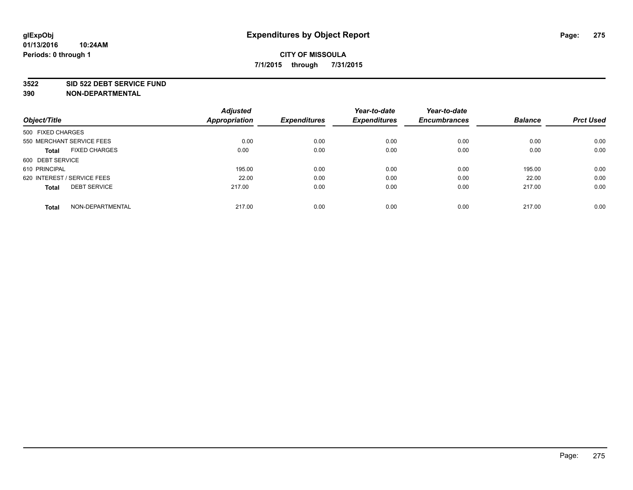#### **3522 SID 522 DEBT SERVICE FUND**

|                                      | <b>Adjusted</b>      |                     | Year-to-date        | Year-to-date        |                |                  |
|--------------------------------------|----------------------|---------------------|---------------------|---------------------|----------------|------------------|
| Object/Title                         | <b>Appropriation</b> | <b>Expenditures</b> | <b>Expenditures</b> | <b>Encumbrances</b> | <b>Balance</b> | <b>Prct Used</b> |
| 500 FIXED CHARGES                    |                      |                     |                     |                     |                |                  |
| 550 MERCHANT SERVICE FEES            | 0.00                 | 0.00                | 0.00                | 0.00                | 0.00           | 0.00             |
| <b>FIXED CHARGES</b><br><b>Total</b> | 0.00                 | 0.00                | 0.00                | 0.00                | 0.00           | 0.00             |
| 600 DEBT SERVICE                     |                      |                     |                     |                     |                |                  |
| 610 PRINCIPAL                        | 195.00               | 0.00                | 0.00                | 0.00                | 195.00         | 0.00             |
| 620 INTEREST / SERVICE FEES          | 22.00                | 0.00                | 0.00                | 0.00                | 22.00          | 0.00             |
| <b>DEBT SERVICE</b><br><b>Total</b>  | 217.00               | 0.00                | 0.00                | 0.00                | 217.00         | 0.00             |
| NON-DEPARTMENTAL<br><b>Total</b>     | 217.00               | 0.00                | 0.00                | 0.00                | 217.00         | 0.00             |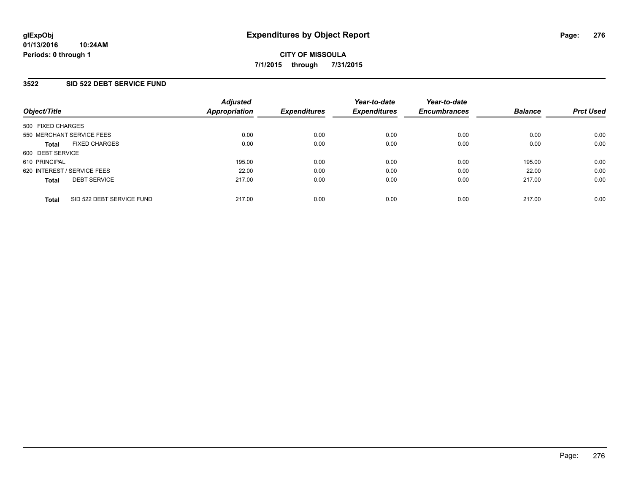### **3522 SID 522 DEBT SERVICE FUND**

| Object/Title                              | <b>Adjusted</b><br>Appropriation | <b>Expenditures</b> | Year-to-date<br><b>Expenditures</b> | Year-to-date<br><b>Encumbrances</b> | <b>Balance</b> | <b>Prct Used</b> |
|-------------------------------------------|----------------------------------|---------------------|-------------------------------------|-------------------------------------|----------------|------------------|
| 500 FIXED CHARGES                         |                                  |                     |                                     |                                     |                |                  |
| 550 MERCHANT SERVICE FEES                 | 0.00                             | 0.00                | 0.00                                | 0.00                                | 0.00           | 0.00             |
| <b>FIXED CHARGES</b><br><b>Total</b>      | 0.00                             | 0.00                | 0.00                                | 0.00                                | 0.00           | 0.00             |
| 600 DEBT SERVICE                          |                                  |                     |                                     |                                     |                |                  |
| 610 PRINCIPAL                             | 195.00                           | 0.00                | 0.00                                | 0.00                                | 195.00         | 0.00             |
| 620 INTEREST / SERVICE FEES               | 22.00                            | 0.00                | 0.00                                | 0.00                                | 22.00          | 0.00             |
| <b>DEBT SERVICE</b><br><b>Total</b>       | 217.00                           | 0.00                | 0.00                                | 0.00                                | 217.00         | 0.00             |
| SID 522 DEBT SERVICE FUND<br><b>Total</b> | 217.00                           | 0.00                | 0.00                                | 0.00                                | 217.00         | 0.00             |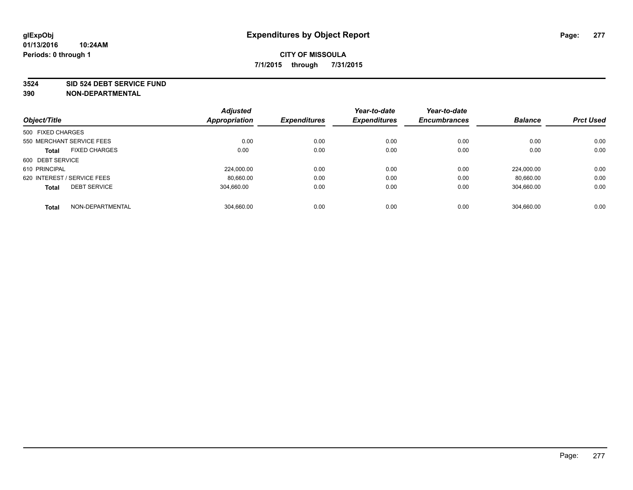#### **3524 SID 524 DEBT SERVICE FUND**

|                                      | <b>Adjusted</b> |                     | Year-to-date        | Year-to-date<br><b>Encumbrances</b> | <b>Balance</b> | <b>Prct Used</b> |
|--------------------------------------|-----------------|---------------------|---------------------|-------------------------------------|----------------|------------------|
| Object/Title                         | Appropriation   | <b>Expenditures</b> | <b>Expenditures</b> |                                     |                |                  |
| 500 FIXED CHARGES                    |                 |                     |                     |                                     |                |                  |
| 550 MERCHANT SERVICE FEES            | 0.00            | 0.00                | 0.00                | 0.00                                | 0.00           | 0.00             |
| <b>FIXED CHARGES</b><br><b>Total</b> | 0.00            | 0.00                | 0.00                | 0.00                                | 0.00           | 0.00             |
| 600 DEBT SERVICE                     |                 |                     |                     |                                     |                |                  |
| 610 PRINCIPAL                        | 224.000.00      | 0.00                | 0.00                | 0.00                                | 224.000.00     | 0.00             |
| 620 INTEREST / SERVICE FEES          | 80,660.00       | 0.00                | 0.00                | 0.00                                | 80.660.00      | 0.00             |
| <b>DEBT SERVICE</b><br><b>Total</b>  | 304.660.00      | 0.00                | 0.00                | 0.00                                | 304,660.00     | 0.00             |
| NON-DEPARTMENTAL<br><b>Total</b>     | 304.660.00      | 0.00                | 0.00                | 0.00                                | 304.660.00     | 0.00             |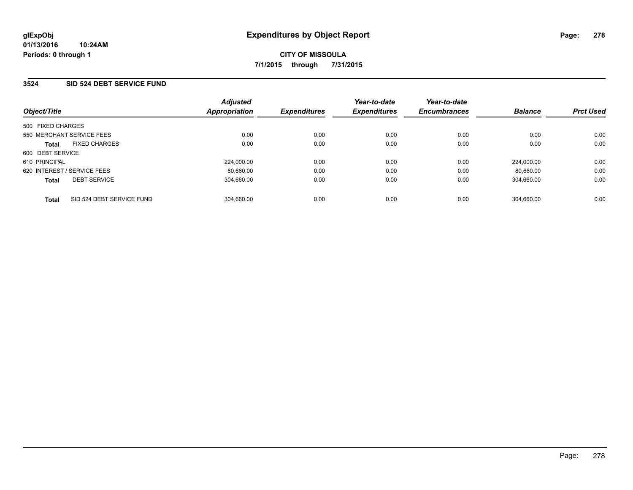### **3524 SID 524 DEBT SERVICE FUND**

| Object/Title                              | <b>Adjusted</b><br>Appropriation | <b>Expenditures</b> | Year-to-date<br><b>Expenditures</b> | Year-to-date<br><b>Encumbrances</b> | <b>Balance</b> | <b>Prct Used</b> |
|-------------------------------------------|----------------------------------|---------------------|-------------------------------------|-------------------------------------|----------------|------------------|
| 500 FIXED CHARGES                         |                                  |                     |                                     |                                     |                |                  |
| 550 MERCHANT SERVICE FEES                 | 0.00                             | 0.00                | 0.00                                | 0.00                                | 0.00           | 0.00             |
| <b>FIXED CHARGES</b><br><b>Total</b>      | 0.00                             | 0.00                | 0.00                                | 0.00                                | 0.00           | 0.00             |
| 600 DEBT SERVICE                          |                                  |                     |                                     |                                     |                |                  |
| 610 PRINCIPAL                             | 224.000.00                       | 0.00                | 0.00                                | 0.00                                | 224.000.00     | 0.00             |
| 620 INTEREST / SERVICE FEES               | 80.660.00                        | 0.00                | 0.00                                | 0.00                                | 80.660.00      | 0.00             |
| <b>DEBT SERVICE</b><br><b>Total</b>       | 304.660.00                       | 0.00                | 0.00                                | 0.00                                | 304.660.00     | 0.00             |
| SID 524 DEBT SERVICE FUND<br><b>Total</b> | 304.660.00                       | 0.00                | 0.00                                | 0.00                                | 304.660.00     | 0.00             |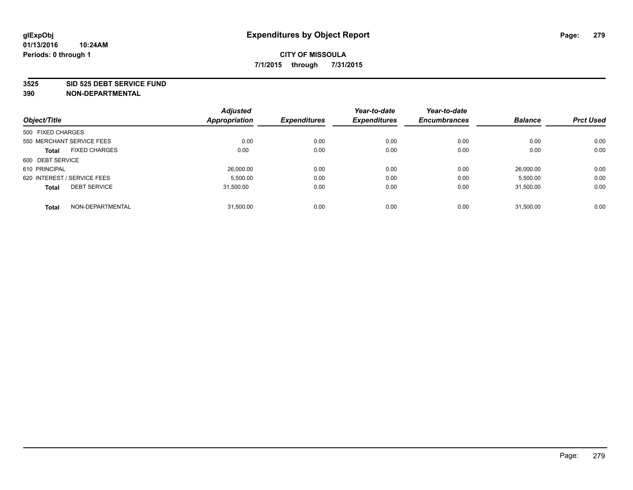#### **3525 SID 525 DEBT SERVICE FUND**

| Object/Title                         | <b>Adjusted</b><br>Appropriation | <b>Expenditures</b> | Year-to-date<br><b>Expenditures</b> | Year-to-date<br><b>Encumbrances</b> | <b>Balance</b> | <b>Prct Used</b> |
|--------------------------------------|----------------------------------|---------------------|-------------------------------------|-------------------------------------|----------------|------------------|
| 500 FIXED CHARGES                    |                                  |                     |                                     |                                     |                |                  |
|                                      |                                  |                     |                                     |                                     |                |                  |
| 550 MERCHANT SERVICE FEES            | 0.00                             | 0.00                | 0.00                                | 0.00                                | 0.00           | 0.00             |
| <b>FIXED CHARGES</b><br><b>Total</b> | 0.00                             | 0.00                | 0.00                                | 0.00                                | 0.00           | 0.00             |
| 600 DEBT SERVICE                     |                                  |                     |                                     |                                     |                |                  |
| 610 PRINCIPAL                        | 26,000.00                        | 0.00                | 0.00                                | 0.00                                | 26.000.00      | 0.00             |
| 620 INTEREST / SERVICE FEES          | 5,500.00                         | 0.00                | 0.00                                | 0.00                                | 5,500.00       | 0.00             |
| <b>DEBT SERVICE</b><br><b>Total</b>  | 31.500.00                        | 0.00                | 0.00                                | 0.00                                | 31,500.00      | 0.00             |
|                                      |                                  |                     |                                     |                                     |                |                  |
| NON-DEPARTMENTAL<br><b>Total</b>     | 31,500.00                        | 0.00                | 0.00                                | 0.00                                | 31.500.00      | 0.00             |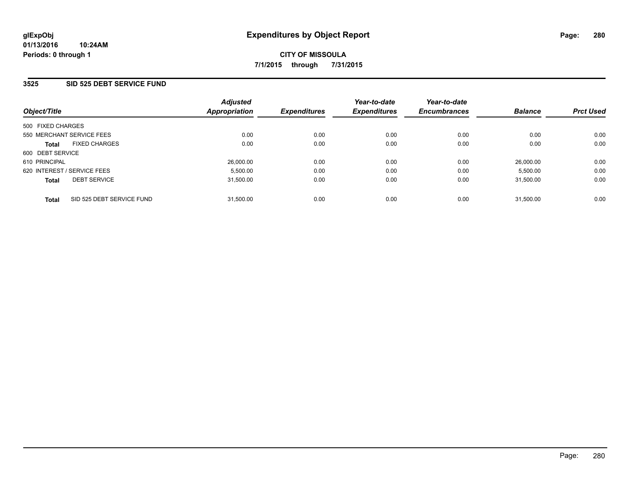### **3525 SID 525 DEBT SERVICE FUND**

| Object/Title                              | <b>Adjusted</b><br>Appropriation | <b>Expenditures</b> | Year-to-date<br><b>Expenditures</b> | Year-to-date<br><b>Encumbrances</b> | <b>Balance</b> | <b>Prct Used</b> |
|-------------------------------------------|----------------------------------|---------------------|-------------------------------------|-------------------------------------|----------------|------------------|
| 500 FIXED CHARGES                         |                                  |                     |                                     |                                     |                |                  |
| 550 MERCHANT SERVICE FEES                 | 0.00                             | 0.00                | 0.00                                | 0.00                                | 0.00           | 0.00             |
| <b>FIXED CHARGES</b><br><b>Total</b>      | 0.00                             | 0.00                | 0.00                                | 0.00                                | 0.00           | 0.00             |
| 600 DEBT SERVICE                          |                                  |                     |                                     |                                     |                |                  |
| 610 PRINCIPAL                             | 26,000.00                        | 0.00                | 0.00                                | 0.00                                | 26,000.00      | 0.00             |
| 620 INTEREST / SERVICE FEES               | 5,500.00                         | 0.00                | 0.00                                | 0.00                                | 5,500.00       | 0.00             |
| <b>DEBT SERVICE</b><br><b>Total</b>       | 31,500.00                        | 0.00                | 0.00                                | 0.00                                | 31.500.00      | 0.00             |
| SID 525 DEBT SERVICE FUND<br><b>Total</b> | 31.500.00                        | 0.00                | 0.00                                | 0.00                                | 31.500.00      | 0.00             |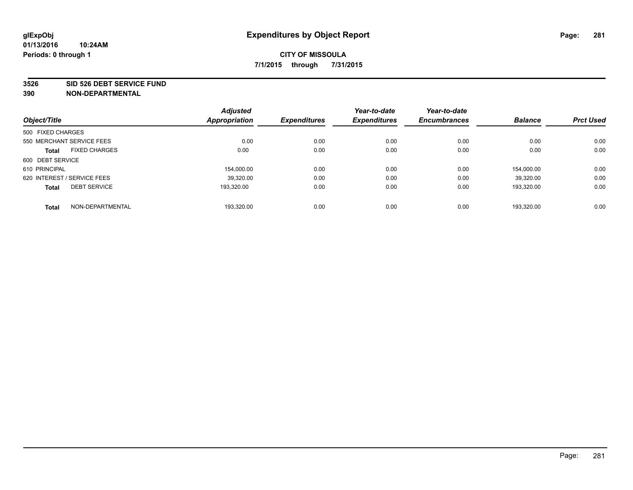#### **3526 SID 526 DEBT SERVICE FUND**

| Object/Title                         | <b>Adjusted</b><br><b>Appropriation</b> | <b>Expenditures</b> | Year-to-date<br><b>Expenditures</b> | Year-to-date<br><b>Encumbrances</b> | <b>Balance</b> | <b>Prct Used</b> |
|--------------------------------------|-----------------------------------------|---------------------|-------------------------------------|-------------------------------------|----------------|------------------|
| 500 FIXED CHARGES                    |                                         |                     |                                     |                                     |                |                  |
|                                      |                                         |                     |                                     |                                     |                |                  |
| 550 MERCHANT SERVICE FEES            | 0.00                                    | 0.00                | 0.00                                | 0.00                                | 0.00           | 0.00             |
| <b>FIXED CHARGES</b><br><b>Total</b> | 0.00                                    | 0.00                | 0.00                                | 0.00                                | 0.00           | 0.00             |
| 600 DEBT SERVICE                     |                                         |                     |                                     |                                     |                |                  |
| 610 PRINCIPAL                        | 154.000.00                              | 0.00                | 0.00                                | 0.00                                | 154.000.00     | 0.00             |
| 620 INTEREST / SERVICE FEES          | 39,320.00                               | 0.00                | 0.00                                | 0.00                                | 39.320.00      | 0.00             |
| <b>DEBT SERVICE</b><br><b>Total</b>  | 193.320.00                              | 0.00                | 0.00                                | 0.00                                | 193.320.00     | 0.00             |
|                                      |                                         |                     |                                     |                                     |                |                  |
| NON-DEPARTMENTAL<br><b>Total</b>     | 193.320.00                              | 0.00                | 0.00                                | 0.00                                | 193.320.00     | 0.00             |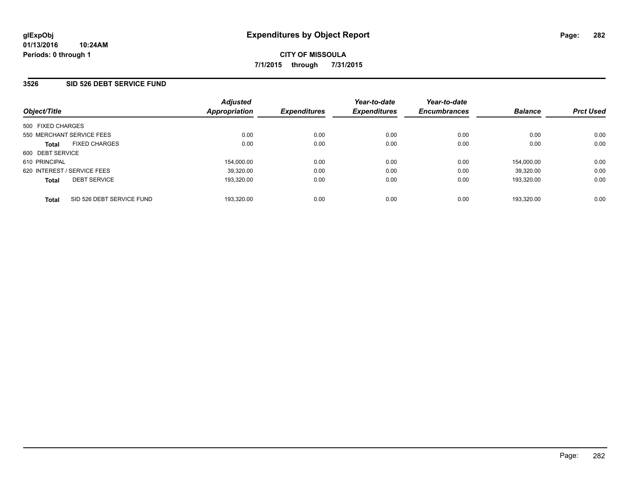### **3526 SID 526 DEBT SERVICE FUND**

| Object/Title                              | <b>Adjusted</b><br>Appropriation | <b>Expenditures</b> | Year-to-date<br><b>Expenditures</b> | Year-to-date<br><b>Encumbrances</b> | <b>Balance</b> | <b>Prct Used</b> |
|-------------------------------------------|----------------------------------|---------------------|-------------------------------------|-------------------------------------|----------------|------------------|
| 500 FIXED CHARGES                         |                                  |                     |                                     |                                     |                |                  |
| 550 MERCHANT SERVICE FEES                 | 0.00                             | 0.00                | 0.00                                | 0.00                                | 0.00           | 0.00             |
| <b>FIXED CHARGES</b><br><b>Total</b>      | 0.00                             | 0.00                | 0.00                                | 0.00                                | 0.00           | 0.00             |
| 600 DEBT SERVICE                          |                                  |                     |                                     |                                     |                |                  |
| 610 PRINCIPAL                             | 154,000.00                       | 0.00                | 0.00                                | 0.00                                | 154.000.00     | 0.00             |
| 620 INTEREST / SERVICE FEES               | 39,320.00                        | 0.00                | 0.00                                | 0.00                                | 39.320.00      | 0.00             |
| <b>DEBT SERVICE</b><br><b>Total</b>       | 193.320.00                       | 0.00                | 0.00                                | 0.00                                | 193.320.00     | 0.00             |
| SID 526 DEBT SERVICE FUND<br><b>Total</b> | 193.320.00                       | 0.00                | 0.00                                | 0.00                                | 193.320.00     | 0.00             |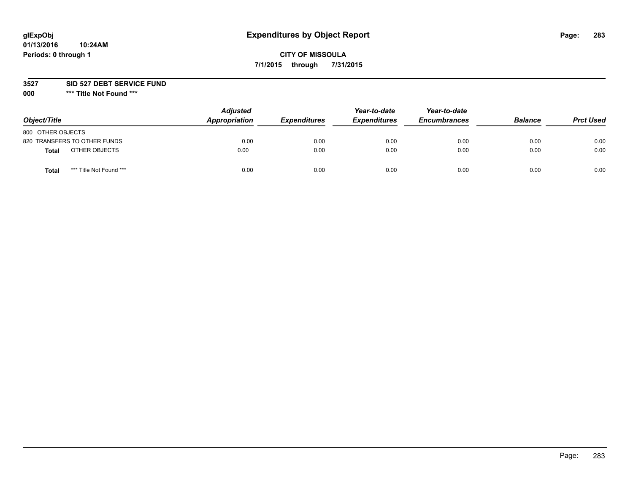# **glExpObj Expenditures by Object Report Page: 283**

## **CITY OF MISSOULA 7/1/2015 through 7/31/2015**

**3527 SID 527 DEBT SERVICE FUND**

**000 \*\*\* Title Not Found \*\*\***

| Object/Title                     | <b>Adjusted</b><br>Appropriation | <b>Expenditures</b> | Year-to-date<br><b>Expenditures</b> | Year-to-date<br><b>Encumbrances</b> | <b>Balance</b> | <b>Prct Used</b> |
|----------------------------------|----------------------------------|---------------------|-------------------------------------|-------------------------------------|----------------|------------------|
| 800 OTHER OBJECTS                |                                  |                     |                                     |                                     |                |                  |
| 820 TRANSFERS TO OTHER FUNDS     | 0.00                             | 0.00                | 0.00                                | 0.00                                | 0.00           | 0.00             |
| OTHER OBJECTS<br><b>Total</b>    | 0.00                             | 0.00                | 0.00                                | 0.00                                | 0.00           | 0.00             |
| *** Title Not Found ***<br>Total | 0.00                             | 0.00                | 0.00                                | 0.00                                | 0.00           | 0.00             |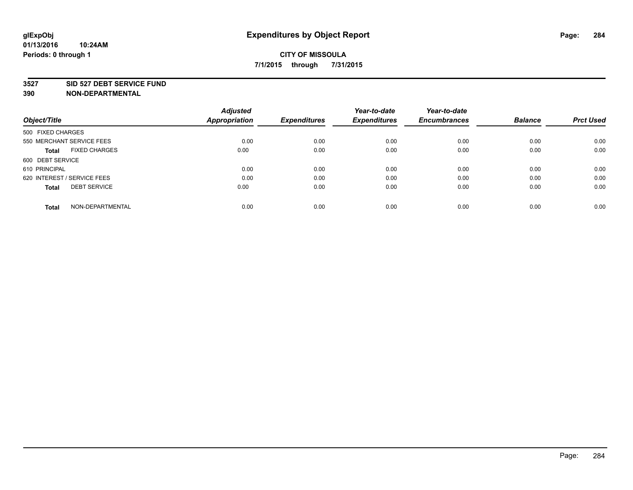#### **3527 SID 527 DEBT SERVICE FUND**

| Object/Title                         | <b>Adjusted</b><br><b>Appropriation</b> | <b>Expenditures</b> | Year-to-date<br><b>Expenditures</b> | Year-to-date<br><b>Encumbrances</b> | <b>Balance</b> | <b>Prct Used</b> |
|--------------------------------------|-----------------------------------------|---------------------|-------------------------------------|-------------------------------------|----------------|------------------|
|                                      |                                         |                     |                                     |                                     |                |                  |
| 500 FIXED CHARGES                    |                                         |                     |                                     |                                     |                |                  |
| 550 MERCHANT SERVICE FEES            | 0.00                                    | 0.00                | 0.00                                | 0.00                                | 0.00           | 0.00             |
| <b>FIXED CHARGES</b><br><b>Total</b> | 0.00                                    | 0.00                | 0.00                                | 0.00                                | 0.00           | 0.00             |
| 600 DEBT SERVICE                     |                                         |                     |                                     |                                     |                |                  |
| 610 PRINCIPAL                        | 0.00                                    | 0.00                | 0.00                                | 0.00                                | 0.00           | 0.00             |
| 620 INTEREST / SERVICE FEES          | 0.00                                    | 0.00                | 0.00                                | 0.00                                | 0.00           | 0.00             |
| <b>DEBT SERVICE</b><br><b>Total</b>  | 0.00                                    | 0.00                | 0.00                                | 0.00                                | 0.00           | 0.00             |
|                                      |                                         |                     |                                     |                                     |                |                  |
| NON-DEPARTMENTAL<br><b>Total</b>     | 0.00                                    | 0.00                | 0.00                                | 0.00                                | 0.00           | 0.00             |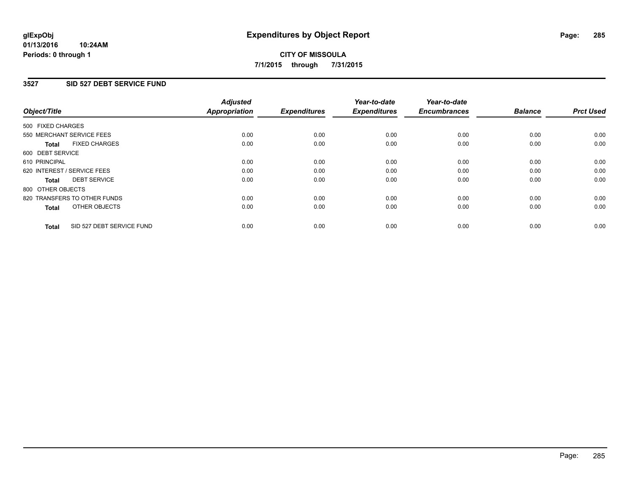#### **01/13/2016 10:24AM Periods: 0 through 1**

# **CITY OF MISSOULA 7/1/2015 through 7/31/2015**

### **3527 SID 527 DEBT SERVICE FUND**

| Object/Title      |                              | <b>Adjusted</b><br>Appropriation | <b>Expenditures</b> | Year-to-date<br><b>Expenditures</b> | Year-to-date<br><b>Encumbrances</b> | <b>Balance</b> | <b>Prct Used</b> |
|-------------------|------------------------------|----------------------------------|---------------------|-------------------------------------|-------------------------------------|----------------|------------------|
| 500 FIXED CHARGES |                              |                                  |                     |                                     |                                     |                |                  |
|                   | 550 MERCHANT SERVICE FEES    | 0.00                             | 0.00                | 0.00                                | 0.00                                | 0.00           | 0.00             |
| <b>Total</b>      | <b>FIXED CHARGES</b>         | 0.00                             | 0.00                | 0.00                                | 0.00                                | 0.00           | 0.00             |
| 600 DEBT SERVICE  |                              |                                  |                     |                                     |                                     |                |                  |
| 610 PRINCIPAL     |                              | 0.00                             | 0.00                | 0.00                                | 0.00                                | 0.00           | 0.00             |
|                   | 620 INTEREST / SERVICE FEES  | 0.00                             | 0.00                | 0.00                                | 0.00                                | 0.00           | 0.00             |
| Total             | <b>DEBT SERVICE</b>          | 0.00                             | 0.00                | 0.00                                | 0.00                                | 0.00           | 0.00             |
| 800 OTHER OBJECTS |                              |                                  |                     |                                     |                                     |                |                  |
|                   | 820 TRANSFERS TO OTHER FUNDS | 0.00                             | 0.00                | 0.00                                | 0.00                                | 0.00           | 0.00             |
| <b>Total</b>      | OTHER OBJECTS                | 0.00                             | 0.00                | 0.00                                | 0.00                                | 0.00           | 0.00             |
| <b>Total</b>      | SID 527 DEBT SERVICE FUND    | 0.00                             | 0.00                | 0.00                                | 0.00                                | 0.00           | 0.00             |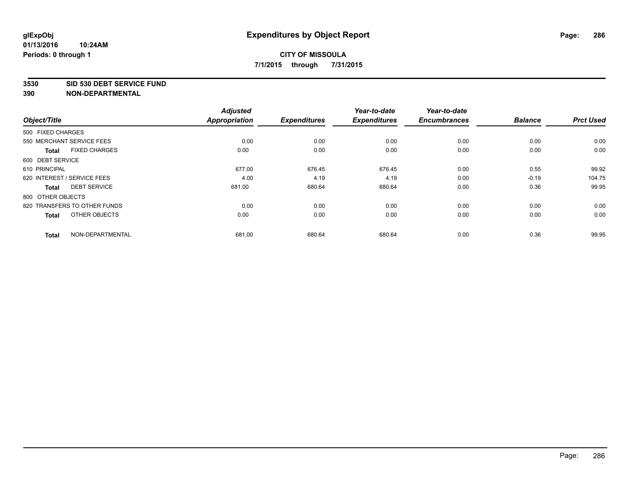#### **3530 SID 530 DEBT SERVICE FUND**

| Object/Title                         | <b>Adjusted</b><br><b>Appropriation</b> | <b>Expenditures</b> | Year-to-date<br><b>Expenditures</b> | Year-to-date<br><b>Encumbrances</b> | <b>Balance</b> | <b>Prct Used</b> |
|--------------------------------------|-----------------------------------------|---------------------|-------------------------------------|-------------------------------------|----------------|------------------|
|                                      |                                         |                     |                                     |                                     |                |                  |
| 500 FIXED CHARGES                    |                                         |                     |                                     |                                     |                |                  |
| 550 MERCHANT SERVICE FEES            | 0.00                                    | 0.00                | 0.00                                | 0.00                                | 0.00           | 0.00             |
| <b>FIXED CHARGES</b><br><b>Total</b> | 0.00                                    | 0.00                | 0.00                                | 0.00                                | 0.00           | 0.00             |
| 600 DEBT SERVICE                     |                                         |                     |                                     |                                     |                |                  |
| 610 PRINCIPAL                        | 677.00                                  | 676.45              | 676.45                              | 0.00                                | 0.55           | 99.92            |
| 620 INTEREST / SERVICE FEES          | 4.00                                    | 4.19                | 4.19                                | 0.00                                | $-0.19$        | 104.75           |
| <b>DEBT SERVICE</b><br><b>Total</b>  | 681.00                                  | 680.64              | 680.64                              | 0.00                                | 0.36           | 99.95            |
| 800 OTHER OBJECTS                    |                                         |                     |                                     |                                     |                |                  |
| 820 TRANSFERS TO OTHER FUNDS         | 0.00                                    | 0.00                | 0.00                                | 0.00                                | 0.00           | 0.00             |
| OTHER OBJECTS<br><b>Total</b>        | 0.00                                    | 0.00                | 0.00                                | 0.00                                | 0.00           | 0.00             |
|                                      |                                         |                     |                                     |                                     |                |                  |
| NON-DEPARTMENTAL<br><b>Total</b>     | 681.00                                  | 680.64              | 680.64                              | 0.00                                | 0.36           | 99.95            |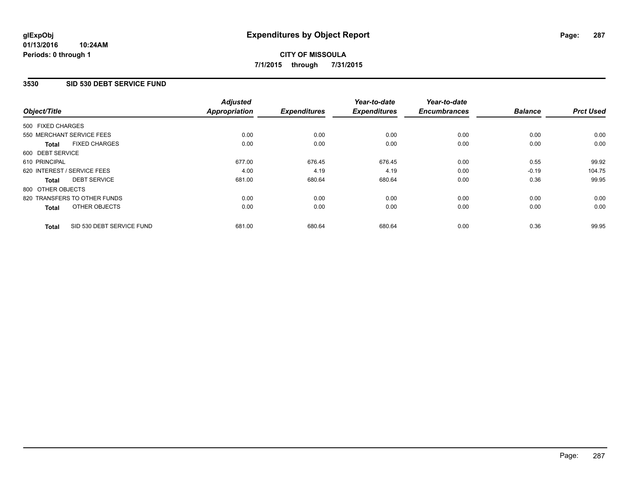### **3530 SID 530 DEBT SERVICE FUND**

| Object/Title      |                              | <b>Adjusted</b><br><b>Appropriation</b> | <b>Expenditures</b> | Year-to-date<br><b>Expenditures</b> | Year-to-date<br><b>Encumbrances</b> | <b>Balance</b> | <b>Prct Used</b> |
|-------------------|------------------------------|-----------------------------------------|---------------------|-------------------------------------|-------------------------------------|----------------|------------------|
|                   |                              |                                         |                     |                                     |                                     |                |                  |
| 500 FIXED CHARGES |                              |                                         |                     |                                     |                                     |                |                  |
|                   | 550 MERCHANT SERVICE FEES    | 0.00                                    | 0.00                | 0.00                                | 0.00                                | 0.00           | 0.00             |
| <b>Total</b>      | <b>FIXED CHARGES</b>         | 0.00                                    | 0.00                | 0.00                                | 0.00                                | 0.00           | 0.00             |
| 600 DEBT SERVICE  |                              |                                         |                     |                                     |                                     |                |                  |
| 610 PRINCIPAL     |                              | 677.00                                  | 676.45              | 676.45                              | 0.00                                | 0.55           | 99.92            |
|                   | 620 INTEREST / SERVICE FEES  | 4.00                                    | 4.19                | 4.19                                | 0.00                                | $-0.19$        | 104.75           |
| Total             | <b>DEBT SERVICE</b>          | 681.00                                  | 680.64              | 680.64                              | 0.00                                | 0.36           | 99.95            |
| 800 OTHER OBJECTS |                              |                                         |                     |                                     |                                     |                |                  |
|                   | 820 TRANSFERS TO OTHER FUNDS | 0.00                                    | 0.00                | 0.00                                | 0.00                                | 0.00           | 0.00             |
| <b>Total</b>      | OTHER OBJECTS                | 0.00                                    | 0.00                | 0.00                                | 0.00                                | 0.00           | 0.00             |
| <b>Total</b>      | SID 530 DEBT SERVICE FUND    | 681.00                                  | 680.64              | 680.64                              | 0.00                                | 0.36           | 99.95            |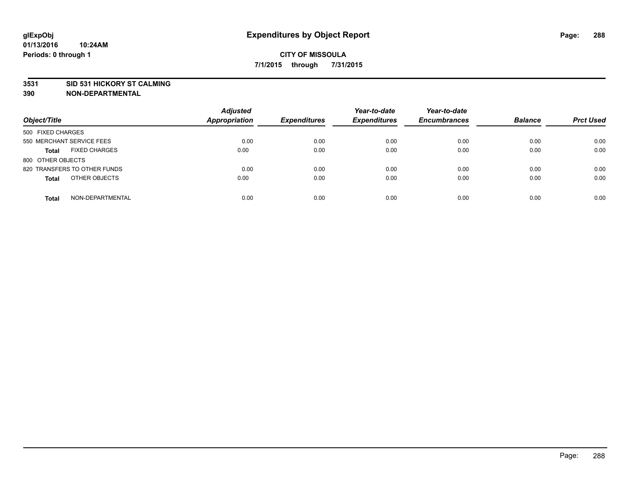#### **3531 SID 531 HICKORY ST CALMING**

| Object/Title                         | <b>Adjusted</b><br><b>Appropriation</b> | <b>Expenditures</b> | Year-to-date<br><b>Expenditures</b> | Year-to-date<br><b>Encumbrances</b> | <b>Balance</b> | <b>Prct Used</b> |
|--------------------------------------|-----------------------------------------|---------------------|-------------------------------------|-------------------------------------|----------------|------------------|
|                                      |                                         |                     |                                     |                                     |                |                  |
| 500 FIXED CHARGES                    |                                         |                     |                                     |                                     |                |                  |
| 550 MERCHANT SERVICE FEES            | 0.00                                    | 0.00                | 0.00                                | 0.00                                | 0.00           | 0.00             |
| <b>FIXED CHARGES</b><br><b>Total</b> | 0.00                                    | 0.00                | 0.00                                | 0.00                                | 0.00           | 0.00             |
| 800 OTHER OBJECTS                    |                                         |                     |                                     |                                     |                |                  |
| 820 TRANSFERS TO OTHER FUNDS         | 0.00                                    | 0.00                | 0.00                                | 0.00                                | 0.00           | 0.00             |
| OTHER OBJECTS<br><b>Total</b>        | 0.00                                    | 0.00                | 0.00                                | 0.00                                | 0.00           | 0.00             |
|                                      |                                         |                     |                                     |                                     |                |                  |
| NON-DEPARTMENTAL<br><b>Total</b>     | 0.00                                    | 0.00                | 0.00                                | 0.00                                | 0.00           | 0.00             |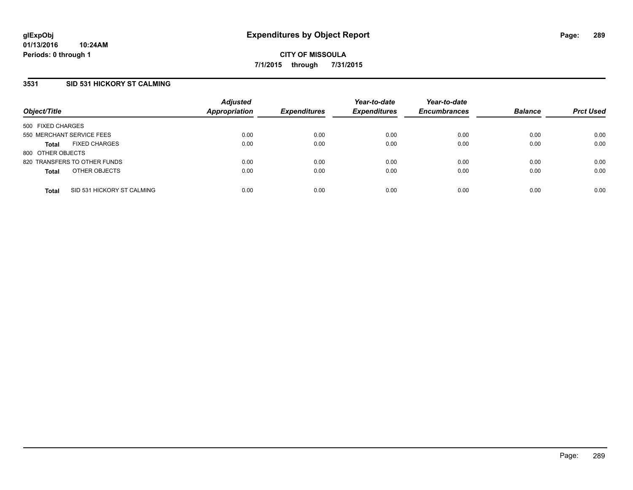### **3531 SID 531 HICKORY ST CALMING**

| Object/Title              |                              | <b>Adjusted</b><br>Appropriation | <b>Expenditures</b> | Year-to-date<br><b>Expenditures</b> | Year-to-date<br><b>Encumbrances</b> | <b>Balance</b> | <b>Prct Used</b> |
|---------------------------|------------------------------|----------------------------------|---------------------|-------------------------------------|-------------------------------------|----------------|------------------|
| 500 FIXED CHARGES         |                              |                                  |                     |                                     |                                     |                |                  |
| 550 MERCHANT SERVICE FEES |                              | 0.00                             | 0.00                | 0.00                                | 0.00                                | 0.00           | 0.00             |
| <b>Total</b>              | <b>FIXED CHARGES</b>         | 0.00                             | 0.00                | 0.00                                | 0.00                                | 0.00           | 0.00             |
| 800 OTHER OBJECTS         |                              |                                  |                     |                                     |                                     |                |                  |
|                           | 820 TRANSFERS TO OTHER FUNDS | 0.00                             | 0.00                | 0.00                                | 0.00                                | 0.00           | 0.00             |
| <b>Total</b>              | OTHER OBJECTS                | 0.00                             | 0.00                | 0.00                                | 0.00                                | 0.00           | 0.00             |
| <b>Total</b>              | SID 531 HICKORY ST CALMING   | 0.00                             | 0.00                | 0.00                                | 0.00                                | 0.00           | 0.00             |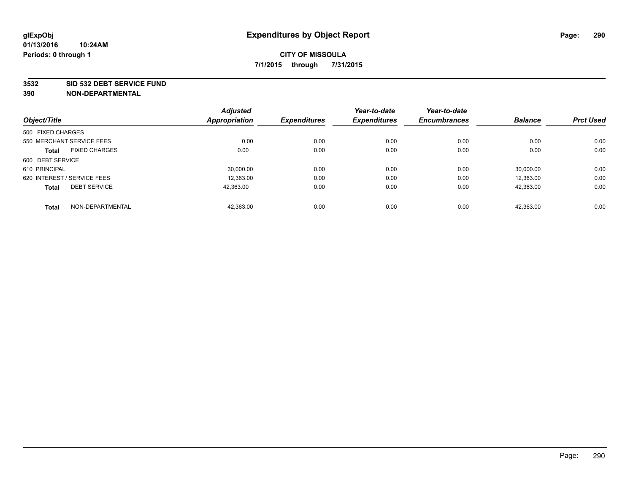#### **3532 SID 532 DEBT SERVICE FUND**

| Object/Title                |                      | <b>Adjusted</b><br><b>Appropriation</b> | <b>Expenditures</b> | Year-to-date<br><b>Expenditures</b> | Year-to-date<br><b>Encumbrances</b> | <b>Balance</b> | <b>Prct Used</b> |
|-----------------------------|----------------------|-----------------------------------------|---------------------|-------------------------------------|-------------------------------------|----------------|------------------|
|                             |                      |                                         |                     |                                     |                                     |                |                  |
| 500 FIXED CHARGES           |                      |                                         |                     |                                     |                                     |                |                  |
| 550 MERCHANT SERVICE FEES   |                      | 0.00                                    | 0.00                | 0.00                                | 0.00                                | 0.00           | 0.00             |
| <b>Total</b>                | <b>FIXED CHARGES</b> | 0.00                                    | 0.00                | 0.00                                | 0.00                                | 0.00           | 0.00             |
| 600 DEBT SERVICE            |                      |                                         |                     |                                     |                                     |                |                  |
| 610 PRINCIPAL               |                      | 30.000.00                               | 0.00                | 0.00                                | 0.00                                | 30.000.00      | 0.00             |
| 620 INTEREST / SERVICE FEES |                      | 12,363.00                               | 0.00                | 0.00                                | 0.00                                | 12,363.00      | 0.00             |
| <b>Total</b>                | <b>DEBT SERVICE</b>  | 42.363.00                               | 0.00                | 0.00                                | 0.00                                | 42.363.00      | 0.00             |
| <b>Total</b>                | NON-DEPARTMENTAL     | 42,363.00                               | 0.00                | 0.00                                | 0.00                                | 42,363.00      | 0.00             |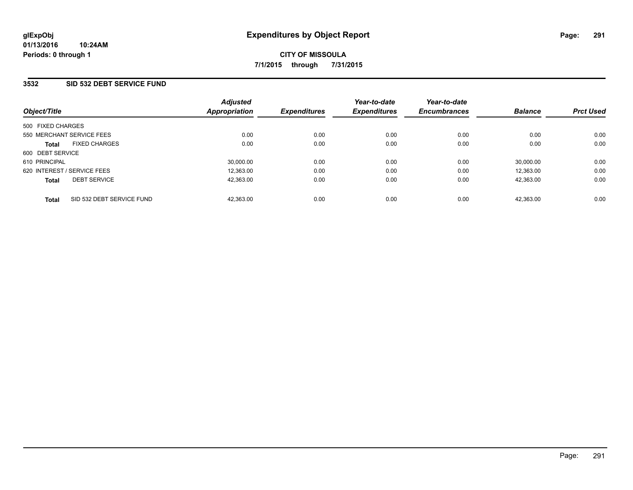### **3532 SID 532 DEBT SERVICE FUND**

| Object/Title                              | <b>Adjusted</b><br>Appropriation | <b>Expenditures</b> | Year-to-date<br><b>Expenditures</b> | Year-to-date<br><b>Encumbrances</b> | <b>Balance</b> | <b>Prct Used</b> |
|-------------------------------------------|----------------------------------|---------------------|-------------------------------------|-------------------------------------|----------------|------------------|
| 500 FIXED CHARGES                         |                                  |                     |                                     |                                     |                |                  |
| 550 MERCHANT SERVICE FEES                 | 0.00                             | 0.00                | 0.00                                | 0.00                                | 0.00           | 0.00             |
| <b>FIXED CHARGES</b><br><b>Total</b>      | 0.00                             | 0.00                | 0.00                                | 0.00                                | 0.00           | 0.00             |
| 600 DEBT SERVICE                          |                                  |                     |                                     |                                     |                |                  |
| 610 PRINCIPAL                             | 30.000.00                        | 0.00                | 0.00                                | 0.00                                | 30.000.00      | 0.00             |
| 620 INTEREST / SERVICE FEES               | 12.363.00                        | 0.00                | 0.00                                | 0.00                                | 12.363.00      | 0.00             |
| <b>DEBT SERVICE</b><br><b>Total</b>       | 42.363.00                        | 0.00                | 0.00                                | 0.00                                | 42.363.00      | 0.00             |
| SID 532 DEBT SERVICE FUND<br><b>Total</b> | 42.363.00                        | 0.00                | 0.00                                | 0.00                                | 42.363.00      | 0.00             |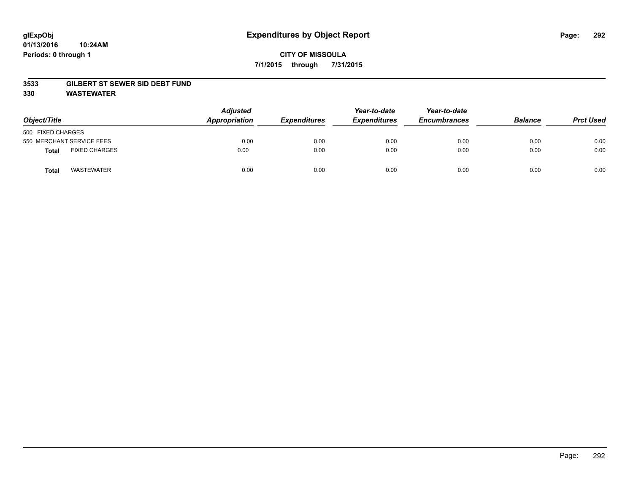#### **3533 GILBERT ST SEWER SID DEBT FUND**

**330 WASTEWATER**

| Object/Title                  | <b>Adjusted</b><br>Appropriation | <b>Expenditures</b> | Year-to-date<br><b>Expenditures</b> | Year-to-date<br><b>Encumbrances</b> | <b>Balance</b> | <b>Prct Used</b> |
|-------------------------------|----------------------------------|---------------------|-------------------------------------|-------------------------------------|----------------|------------------|
| 500 FIXED CHARGES             |                                  |                     |                                     |                                     |                |                  |
| 550 MERCHANT SERVICE FEES     | 0.00                             | 0.00                | 0.00                                | 0.00                                | 0.00           | 0.00             |
| <b>FIXED CHARGES</b><br>Total | 0.00                             | 0.00                | 0.00                                | 0.00                                | 0.00           | 0.00             |
| <b>WASTEWATER</b><br>Tota     | 0.00                             | 0.00                | 0.00                                | 0.00                                | 0.00           | 0.00             |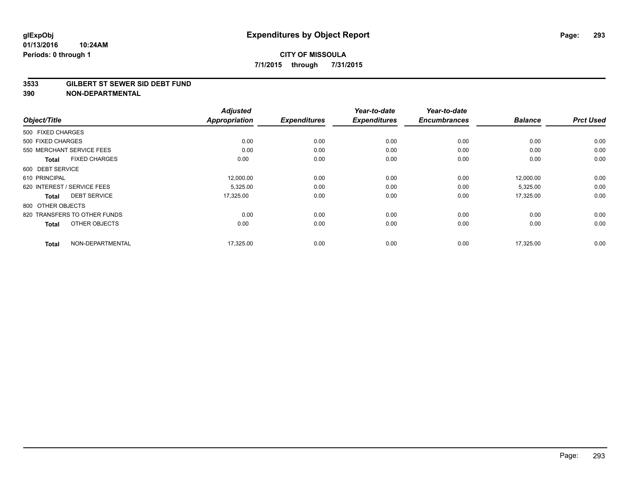#### **3533 GILBERT ST SEWER SID DEBT FUND**

| Object/Title                         | <b>Adjusted</b><br><b>Appropriation</b> | <b>Expenditures</b> | Year-to-date<br><b>Expenditures</b> | Year-to-date<br><b>Encumbrances</b> | <b>Balance</b> | <b>Prct Used</b> |
|--------------------------------------|-----------------------------------------|---------------------|-------------------------------------|-------------------------------------|----------------|------------------|
|                                      |                                         |                     |                                     |                                     |                |                  |
| 500 FIXED CHARGES                    |                                         |                     |                                     |                                     |                |                  |
| 500 FIXED CHARGES                    | 0.00                                    | 0.00                | 0.00                                | 0.00                                | 0.00           | 0.00             |
| 550 MERCHANT SERVICE FEES            | 0.00                                    | 0.00                | 0.00                                | 0.00                                | 0.00           | 0.00             |
| <b>FIXED CHARGES</b><br><b>Total</b> | 0.00                                    | 0.00                | 0.00                                | 0.00                                | 0.00           | 0.00             |
| 600 DEBT SERVICE                     |                                         |                     |                                     |                                     |                |                  |
| 610 PRINCIPAL                        | 12,000.00                               | 0.00                | 0.00                                | 0.00                                | 12,000.00      | 0.00             |
| 620 INTEREST / SERVICE FEES          | 5,325.00                                | 0.00                | 0.00                                | 0.00                                | 5,325.00       | 0.00             |
| <b>DEBT SERVICE</b><br>Total         | 17,325.00                               | 0.00                | 0.00                                | 0.00                                | 17,325.00      | 0.00             |
| 800 OTHER OBJECTS                    |                                         |                     |                                     |                                     |                |                  |
| 820 TRANSFERS TO OTHER FUNDS         | 0.00                                    | 0.00                | 0.00                                | 0.00                                | 0.00           | 0.00             |
| OTHER OBJECTS<br><b>Total</b>        | 0.00                                    | 0.00                | 0.00                                | 0.00                                | 0.00           | 0.00             |
| NON-DEPARTMENTAL<br><b>Total</b>     | 17,325.00                               | 0.00                | 0.00                                | 0.00                                | 17,325.00      | 0.00             |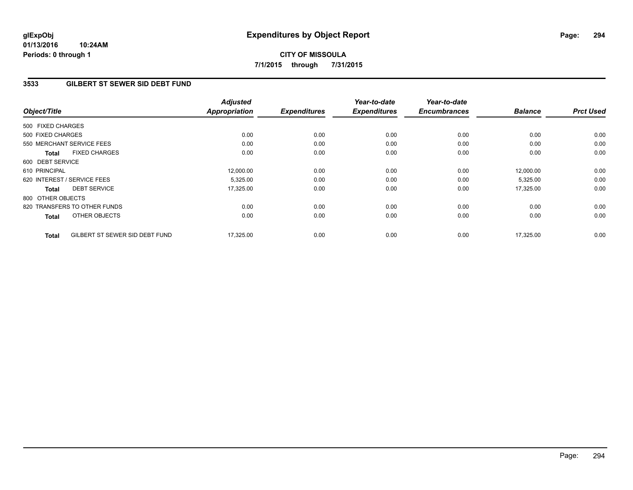**01/13/2016 10:24AM Periods: 0 through 1**

### **3533 GILBERT ST SEWER SID DEBT FUND**

| Object/Title      |                                | <b>Adjusted</b><br><b>Appropriation</b> | <b>Expenditures</b> | Year-to-date<br><b>Expenditures</b> | Year-to-date<br><b>Encumbrances</b> | <b>Balance</b> | <b>Prct Used</b> |
|-------------------|--------------------------------|-----------------------------------------|---------------------|-------------------------------------|-------------------------------------|----------------|------------------|
|                   |                                |                                         |                     |                                     |                                     |                |                  |
| 500 FIXED CHARGES |                                |                                         |                     |                                     |                                     |                |                  |
| 500 FIXED CHARGES |                                | 0.00                                    | 0.00                | 0.00                                | 0.00                                | 0.00           | 0.00             |
|                   | 550 MERCHANT SERVICE FEES      | 0.00                                    | 0.00                | 0.00                                | 0.00                                | 0.00           | 0.00             |
| <b>Total</b>      | <b>FIXED CHARGES</b>           | 0.00                                    | 0.00                | 0.00                                | 0.00                                | 0.00           | 0.00             |
| 600 DEBT SERVICE  |                                |                                         |                     |                                     |                                     |                |                  |
| 610 PRINCIPAL     |                                | 12,000.00                               | 0.00                | 0.00                                | 0.00                                | 12,000.00      | 0.00             |
|                   | 620 INTEREST / SERVICE FEES    | 5,325.00                                | 0.00                | 0.00                                | 0.00                                | 5,325.00       | 0.00             |
| <b>Total</b>      | <b>DEBT SERVICE</b>            | 17,325.00                               | 0.00                | 0.00                                | 0.00                                | 17,325.00      | 0.00             |
| 800 OTHER OBJECTS |                                |                                         |                     |                                     |                                     |                |                  |
|                   | 820 TRANSFERS TO OTHER FUNDS   | 0.00                                    | 0.00                | 0.00                                | 0.00                                | 0.00           | 0.00             |
| <b>Total</b>      | OTHER OBJECTS                  | 0.00                                    | 0.00                | 0.00                                | 0.00                                | 0.00           | 0.00             |
| <b>Total</b>      | GILBERT ST SEWER SID DEBT FUND | 17.325.00                               | 0.00                | 0.00                                | 0.00                                | 17.325.00      | 0.00             |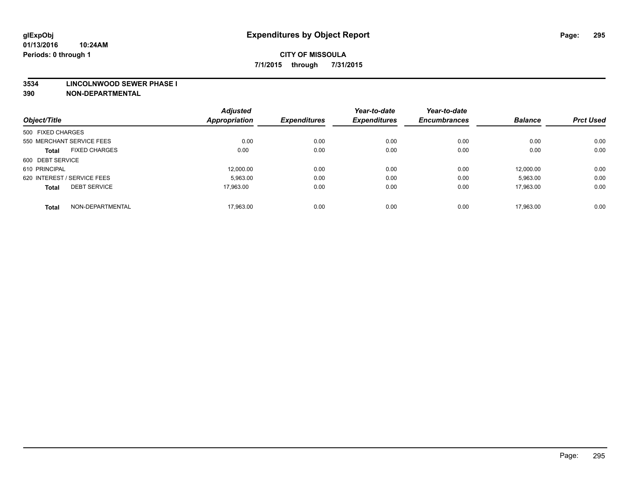#### **3534 LINCOLNWOOD SEWER PHASE I**

| Object/Title                |                      | <b>Adjusted</b><br><b>Appropriation</b> | <b>Expenditures</b> | Year-to-date<br><b>Expenditures</b> | Year-to-date<br><b>Encumbrances</b> | <b>Balance</b> | <b>Prct Used</b> |
|-----------------------------|----------------------|-----------------------------------------|---------------------|-------------------------------------|-------------------------------------|----------------|------------------|
| 500 FIXED CHARGES           |                      |                                         |                     |                                     |                                     |                |                  |
|                             |                      |                                         |                     |                                     |                                     |                |                  |
| 550 MERCHANT SERVICE FEES   |                      | 0.00                                    | 0.00                | 0.00                                | 0.00                                | 0.00           | 0.00             |
| <b>Total</b>                | <b>FIXED CHARGES</b> | 0.00                                    | 0.00                | 0.00                                | 0.00                                | 0.00           | 0.00             |
| 600 DEBT SERVICE            |                      |                                         |                     |                                     |                                     |                |                  |
| 610 PRINCIPAL               |                      | 12.000.00                               | 0.00                | 0.00                                | 0.00                                | 12.000.00      | 0.00             |
| 620 INTEREST / SERVICE FEES |                      | 5,963.00                                | 0.00                | 0.00                                | 0.00                                | 5,963.00       | 0.00             |
| <b>Total</b>                | <b>DEBT SERVICE</b>  | 17.963.00                               | 0.00                | 0.00                                | 0.00                                | 17.963.00      | 0.00             |
|                             |                      |                                         |                     |                                     |                                     |                |                  |
| <b>Total</b>                | NON-DEPARTMENTAL     | 17,963.00                               | 0.00                | 0.00                                | 0.00                                | 17.963.00      | 0.00             |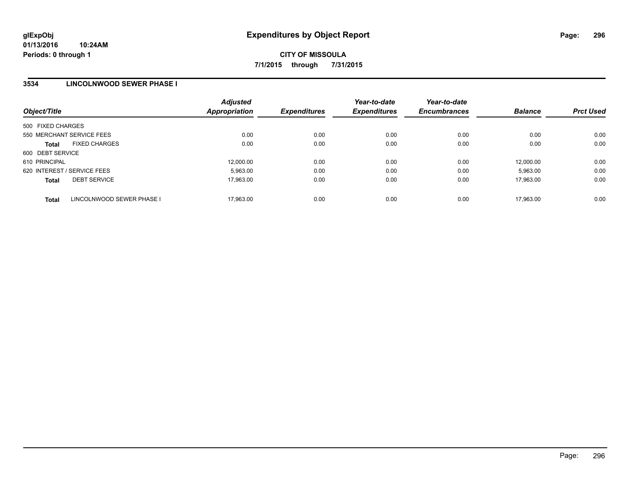## **3534 LINCOLNWOOD SEWER PHASE I**

| Object/Title                              | <b>Adjusted</b><br><b>Appropriation</b> | <b>Expenditures</b> | Year-to-date<br><b>Expenditures</b> | Year-to-date<br><b>Encumbrances</b> | <b>Balance</b> | <b>Prct Used</b> |
|-------------------------------------------|-----------------------------------------|---------------------|-------------------------------------|-------------------------------------|----------------|------------------|
| 500 FIXED CHARGES                         |                                         |                     |                                     |                                     |                |                  |
| 550 MERCHANT SERVICE FEES                 | 0.00                                    | 0.00                | 0.00                                | 0.00                                | 0.00           | 0.00             |
| <b>FIXED CHARGES</b><br><b>Total</b>      | 0.00                                    | 0.00                | 0.00                                | 0.00                                | 0.00           | 0.00             |
| 600 DEBT SERVICE                          |                                         |                     |                                     |                                     |                |                  |
| 610 PRINCIPAL                             | 12,000.00                               | 0.00                | 0.00                                | 0.00                                | 12.000.00      | 0.00             |
| 620 INTEREST / SERVICE FEES               | 5,963.00                                | 0.00                | 0.00                                | 0.00                                | 5,963.00       | 0.00             |
| <b>DEBT SERVICE</b><br><b>Total</b>       | 17,963.00                               | 0.00                | 0.00                                | 0.00                                | 17.963.00      | 0.00             |
| LINCOLNWOOD SEWER PHASE I<br><b>Total</b> | 17.963.00                               | 0.00                | 0.00                                | 0.00                                | 17.963.00      | 0.00             |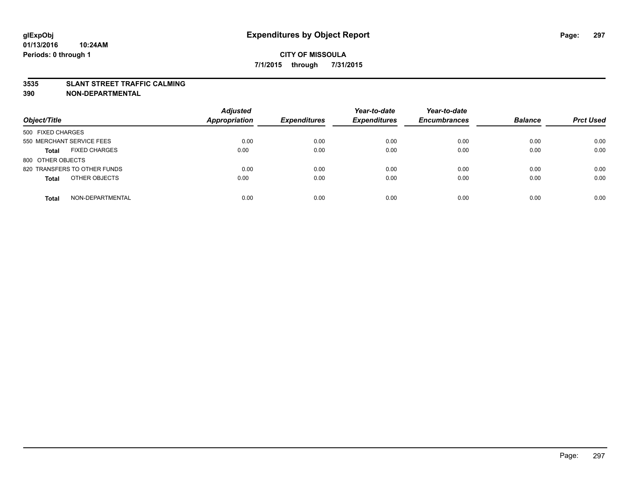#### **3535 SLANT STREET TRAFFIC CALMING**

| Object/Title                         | <b>Adjusted</b><br><b>Appropriation</b> | <b>Expenditures</b> | Year-to-date<br><b>Expenditures</b> | Year-to-date<br><b>Encumbrances</b> | <b>Balance</b> | <b>Prct Used</b> |
|--------------------------------------|-----------------------------------------|---------------------|-------------------------------------|-------------------------------------|----------------|------------------|
|                                      |                                         |                     |                                     |                                     |                |                  |
| 500 FIXED CHARGES                    |                                         |                     |                                     |                                     |                |                  |
| 550 MERCHANT SERVICE FEES            | 0.00                                    | 0.00                | 0.00                                | 0.00                                | 0.00           | 0.00             |
| <b>FIXED CHARGES</b><br><b>Total</b> | 0.00                                    | 0.00                | 0.00                                | 0.00                                | 0.00           | 0.00             |
| 800 OTHER OBJECTS                    |                                         |                     |                                     |                                     |                |                  |
| 820 TRANSFERS TO OTHER FUNDS         | 0.00                                    | 0.00                | 0.00                                | 0.00                                | 0.00           | 0.00             |
| OTHER OBJECTS<br><b>Total</b>        | 0.00                                    | 0.00                | 0.00                                | 0.00                                | 0.00           | 0.00             |
|                                      |                                         |                     |                                     |                                     |                |                  |
| NON-DEPARTMENTAL<br><b>Total</b>     | 0.00                                    | 0.00                | 0.00                                | 0.00                                | 0.00           | 0.00             |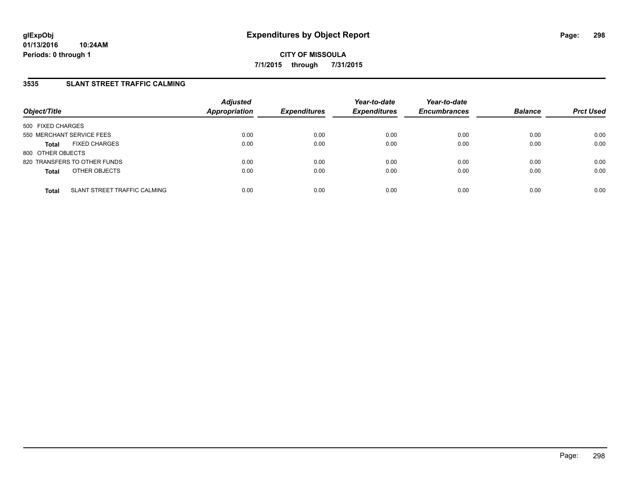## **3535 SLANT STREET TRAFFIC CALMING**

| Object/Title                                 | <b>Adjusted</b><br><b>Appropriation</b> | <b>Expenditures</b> | Year-to-date<br><b>Expenditures</b> | Year-to-date<br><b>Encumbrances</b> | <b>Balance</b> | <b>Prct Used</b> |
|----------------------------------------------|-----------------------------------------|---------------------|-------------------------------------|-------------------------------------|----------------|------------------|
| 500 FIXED CHARGES                            |                                         |                     |                                     |                                     |                |                  |
| 550 MERCHANT SERVICE FEES                    | 0.00                                    | 0.00                | 0.00                                | 0.00                                | 0.00           | 0.00             |
| <b>FIXED CHARGES</b><br><b>Total</b>         | 0.00                                    | 0.00                | 0.00                                | 0.00                                | 0.00           | 0.00             |
| 800 OTHER OBJECTS                            |                                         |                     |                                     |                                     |                |                  |
| 820 TRANSFERS TO OTHER FUNDS                 | 0.00                                    | 0.00                | 0.00                                | 0.00                                | 0.00           | 0.00             |
| OTHER OBJECTS<br><b>Total</b>                | 0.00                                    | 0.00                | 0.00                                | 0.00                                | 0.00           | 0.00             |
| SLANT STREET TRAFFIC CALMING<br><b>Total</b> | 0.00                                    | 0.00                | 0.00                                | 0.00                                | 0.00           | 0.00             |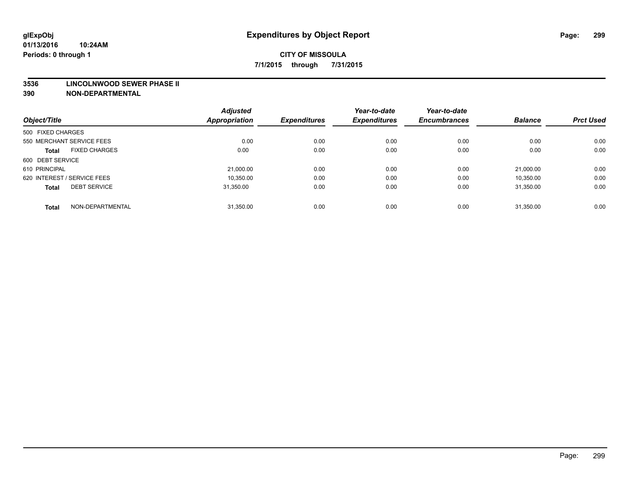#### **3536 LINCOLNWOOD SEWER PHASE II**

| Object/Title                |                      | <b>Adjusted</b><br><b>Appropriation</b> | <b>Expenditures</b> | Year-to-date<br><b>Expenditures</b> | Year-to-date<br><b>Encumbrances</b> | <b>Balance</b> | <b>Prct Used</b> |
|-----------------------------|----------------------|-----------------------------------------|---------------------|-------------------------------------|-------------------------------------|----------------|------------------|
| 500 FIXED CHARGES           |                      |                                         |                     |                                     |                                     |                |                  |
|                             |                      |                                         |                     |                                     |                                     |                |                  |
| 550 MERCHANT SERVICE FEES   |                      | 0.00                                    | 0.00                | 0.00                                | 0.00                                | 0.00           | 0.00             |
| <b>Total</b>                | <b>FIXED CHARGES</b> | 0.00                                    | 0.00                | 0.00                                | 0.00                                | 0.00           | 0.00             |
| 600 DEBT SERVICE            |                      |                                         |                     |                                     |                                     |                |                  |
| 610 PRINCIPAL               |                      | 21.000.00                               | 0.00                | 0.00                                | 0.00                                | 21.000.00      | 0.00             |
| 620 INTEREST / SERVICE FEES |                      | 10,350.00                               | 0.00                | 0.00                                | 0.00                                | 10,350.00      | 0.00             |
| <b>Total</b>                | <b>DEBT SERVICE</b>  | 31.350.00                               | 0.00                | 0.00                                | 0.00                                | 31.350.00      | 0.00             |
|                             |                      |                                         |                     |                                     |                                     |                |                  |
| <b>Total</b>                | NON-DEPARTMENTAL     | 31,350.00                               | 0.00                | 0.00                                | 0.00                                | 31,350.00      | 0.00             |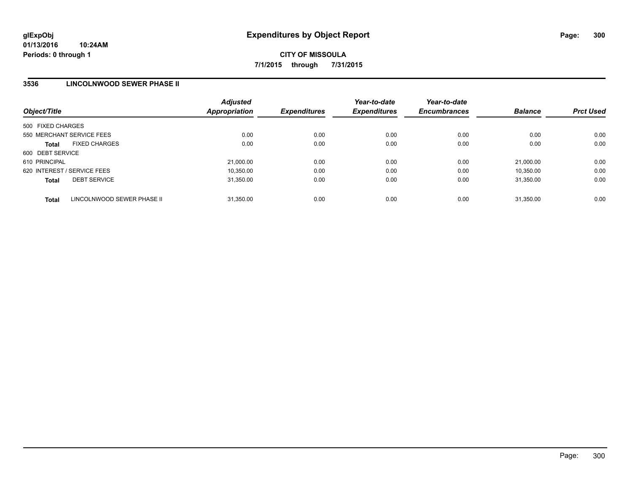## **3536 LINCOLNWOOD SEWER PHASE II**

| Object/Title                |                            | <b>Adjusted</b><br><b>Appropriation</b> | <b>Expenditures</b> | Year-to-date<br><b>Expenditures</b> | Year-to-date<br><b>Encumbrances</b> | <b>Balance</b> | <b>Prct Used</b> |
|-----------------------------|----------------------------|-----------------------------------------|---------------------|-------------------------------------|-------------------------------------|----------------|------------------|
| 500 FIXED CHARGES           |                            |                                         |                     |                                     |                                     |                |                  |
| 550 MERCHANT SERVICE FEES   |                            | 0.00                                    | 0.00                | 0.00                                | 0.00                                | 0.00           | 0.00             |
| <b>Total</b>                | <b>FIXED CHARGES</b>       | 0.00                                    | 0.00                | 0.00                                | 0.00                                | 0.00           | 0.00             |
| 600 DEBT SERVICE            |                            |                                         |                     |                                     |                                     |                |                  |
| 610 PRINCIPAL               |                            | 21,000.00                               | 0.00                | 0.00                                | 0.00                                | 21.000.00      | 0.00             |
| 620 INTEREST / SERVICE FEES |                            | 10.350.00                               | 0.00                | 0.00                                | 0.00                                | 10.350.00      | 0.00             |
| <b>Total</b>                | <b>DEBT SERVICE</b>        | 31,350.00                               | 0.00                | 0.00                                | 0.00                                | 31.350.00      | 0.00             |
| <b>Total</b>                | LINCOLNWOOD SEWER PHASE II | 31,350.00                               | 0.00                | 0.00                                | 0.00                                | 31.350.00      | 0.00             |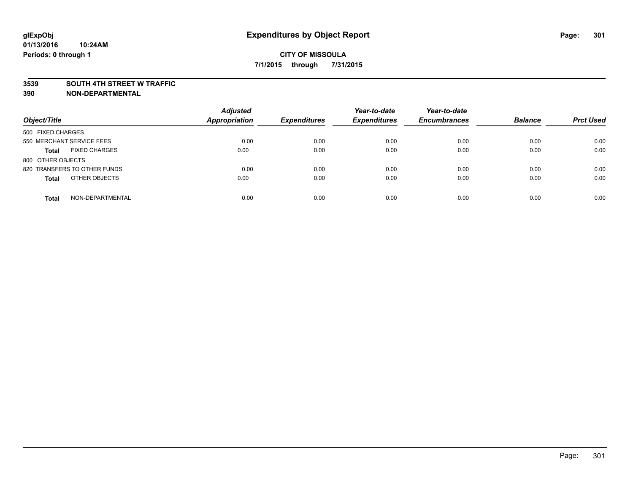#### **3539 SOUTH 4TH STREET W TRAFFIC**

| Object/Title                         | <b>Adjusted</b><br><b>Appropriation</b> | <b>Expenditures</b> | Year-to-date<br><b>Expenditures</b> | Year-to-date<br><b>Encumbrances</b> | <b>Balance</b> | <b>Prct Used</b> |
|--------------------------------------|-----------------------------------------|---------------------|-------------------------------------|-------------------------------------|----------------|------------------|
| 500 FIXED CHARGES                    |                                         |                     |                                     |                                     |                |                  |
| 550 MERCHANT SERVICE FEES            | 0.00                                    | 0.00                | 0.00                                | 0.00                                | 0.00           | 0.00             |
| <b>FIXED CHARGES</b><br><b>Total</b> | 0.00                                    | 0.00                | 0.00                                | 0.00                                | 0.00           | 0.00             |
| 800 OTHER OBJECTS                    |                                         |                     |                                     |                                     |                |                  |
| 820 TRANSFERS TO OTHER FUNDS         | 0.00                                    | 0.00                | 0.00                                | 0.00                                | 0.00           | 0.00             |
| OTHER OBJECTS<br><b>Total</b>        | 0.00                                    | 0.00                | 0.00                                | 0.00                                | 0.00           | 0.00             |
| NON-DEPARTMENTAL<br><b>Total</b>     | 0.00                                    | 0.00                | 0.00                                | 0.00                                | 0.00           | 0.00             |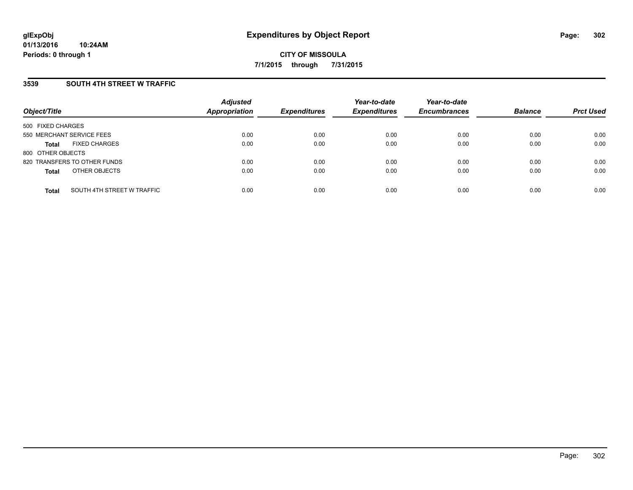### **3539 SOUTH 4TH STREET W TRAFFIC**

| Object/Title              |                              | <b>Adjusted</b><br><b>Appropriation</b> | <b>Expenditures</b> | Year-to-date<br><b>Expenditures</b> | Year-to-date<br><b>Encumbrances</b> | <b>Balance</b> | <b>Prct Used</b> |
|---------------------------|------------------------------|-----------------------------------------|---------------------|-------------------------------------|-------------------------------------|----------------|------------------|
| 500 FIXED CHARGES         |                              |                                         |                     |                                     |                                     |                |                  |
| 550 MERCHANT SERVICE FEES |                              | 0.00                                    | 0.00                | 0.00                                | 0.00                                | 0.00           | 0.00             |
| <b>Total</b>              | <b>FIXED CHARGES</b>         | 0.00                                    | 0.00                | 0.00                                | 0.00                                | 0.00           | 0.00             |
| 800 OTHER OBJECTS         |                              |                                         |                     |                                     |                                     |                |                  |
|                           | 820 TRANSFERS TO OTHER FUNDS | 0.00                                    | 0.00                | 0.00                                | 0.00                                | 0.00           | 0.00             |
| <b>Total</b>              | OTHER OBJECTS                | 0.00                                    | 0.00                | 0.00                                | 0.00                                | 0.00           | 0.00             |
| <b>Total</b>              | SOUTH 4TH STREET W TRAFFIC   | 0.00                                    | 0.00                | 0.00                                | 0.00                                | 0.00           | 0.00             |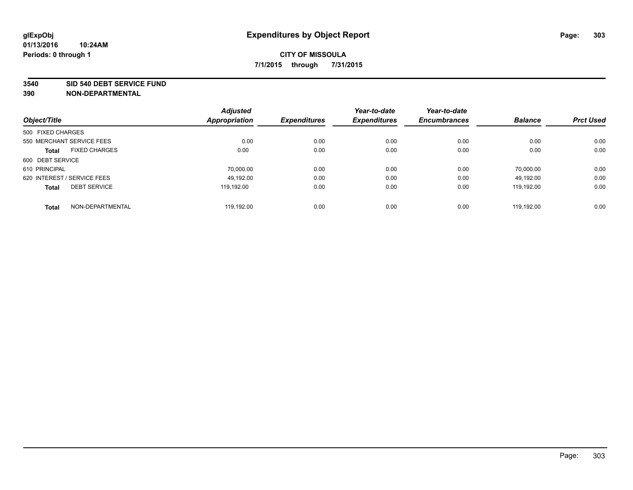#### **3540 SID 540 DEBT SERVICE FUND**

|                                      | <b>Adjusted</b><br><b>Appropriation</b> | <b>Expenditures</b> | Year-to-date<br><b>Expenditures</b> | Year-to-date<br><b>Encumbrances</b> | <b>Balance</b> | <b>Prct Used</b> |
|--------------------------------------|-----------------------------------------|---------------------|-------------------------------------|-------------------------------------|----------------|------------------|
| Object/Title                         |                                         |                     |                                     |                                     |                |                  |
| 500 FIXED CHARGES                    |                                         |                     |                                     |                                     |                |                  |
| 550 MERCHANT SERVICE FEES            | 0.00                                    | 0.00                | 0.00                                | 0.00                                | 0.00           | 0.00             |
| <b>FIXED CHARGES</b><br><b>Total</b> | 0.00                                    | 0.00                | 0.00                                | 0.00                                | 0.00           | 0.00             |
| 600 DEBT SERVICE                     |                                         |                     |                                     |                                     |                |                  |
| 610 PRINCIPAL                        | 70.000.00                               | 0.00                | 0.00                                | 0.00                                | 70.000.00      | 0.00             |
| 620 INTEREST / SERVICE FEES          | 49.192.00                               | 0.00                | 0.00                                | 0.00                                | 49.192.00      | 0.00             |
| <b>DEBT SERVICE</b><br><b>Total</b>  | 119.192.00                              | 0.00                | 0.00                                | 0.00                                | 119.192.00     | 0.00             |
| NON-DEPARTMENTAL<br><b>Total</b>     | 119.192.00                              | 0.00                | 0.00                                | 0.00                                | 119.192.00     | 0.00             |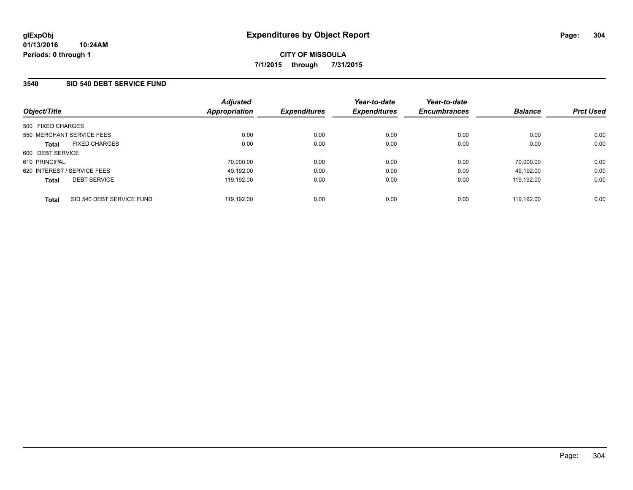### **3540 SID 540 DEBT SERVICE FUND**

| Object/Title                              | <b>Adjusted</b><br>Appropriation | <b>Expenditures</b> | Year-to-date<br><b>Expenditures</b> | Year-to-date<br><b>Encumbrances</b> | <b>Balance</b> | <b>Prct Used</b> |
|-------------------------------------------|----------------------------------|---------------------|-------------------------------------|-------------------------------------|----------------|------------------|
| 500 FIXED CHARGES                         |                                  |                     |                                     |                                     |                |                  |
| 550 MERCHANT SERVICE FEES                 | 0.00                             | 0.00                | 0.00                                | 0.00                                | 0.00           | 0.00             |
| <b>FIXED CHARGES</b><br><b>Total</b>      | 0.00                             | 0.00                | 0.00                                | 0.00                                | 0.00           | 0.00             |
| 600 DEBT SERVICE                          |                                  |                     |                                     |                                     |                |                  |
| 610 PRINCIPAL                             | 70.000.00                        | 0.00                | 0.00                                | 0.00                                | 70.000.00      | 0.00             |
| 620 INTEREST / SERVICE FEES               | 49,192.00                        | 0.00                | 0.00                                | 0.00                                | 49.192.00      | 0.00             |
| <b>DEBT SERVICE</b><br><b>Total</b>       | 119.192.00                       | 0.00                | 0.00                                | 0.00                                | 119.192.00     | 0.00             |
| SID 540 DEBT SERVICE FUND<br><b>Total</b> | 119.192.00                       | 0.00                | 0.00                                | 0.00                                | 119.192.00     | 0.00             |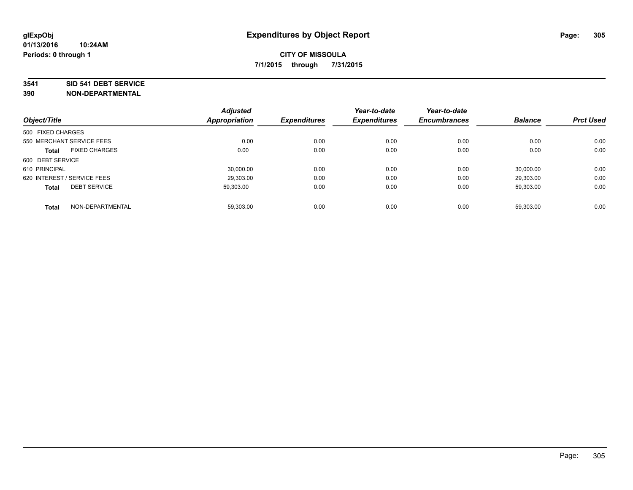#### **3541 SID 541 DEBT SERVICE**

| Object/Title      |                             | <b>Adjusted</b>      |                     | Year-to-date        | Year-to-date        |                |                  |
|-------------------|-----------------------------|----------------------|---------------------|---------------------|---------------------|----------------|------------------|
|                   |                             | <b>Appropriation</b> | <b>Expenditures</b> | <b>Expenditures</b> | <b>Encumbrances</b> | <b>Balance</b> | <b>Prct Used</b> |
| 500 FIXED CHARGES |                             |                      |                     |                     |                     |                |                  |
|                   | 550 MERCHANT SERVICE FEES   | 0.00                 | 0.00                | 0.00                | 0.00                | 0.00           | 0.00             |
| <b>Total</b>      | <b>FIXED CHARGES</b>        | 0.00                 | 0.00                | 0.00                | 0.00                | 0.00           | 0.00             |
| 600 DEBT SERVICE  |                             |                      |                     |                     |                     |                |                  |
| 610 PRINCIPAL     |                             | 30.000.00            | 0.00                | 0.00                | 0.00                | 30.000.00      | 0.00             |
|                   | 620 INTEREST / SERVICE FEES | 29.303.00            | 0.00                | 0.00                | 0.00                | 29,303.00      | 0.00             |
| <b>Total</b>      | <b>DEBT SERVICE</b>         | 59.303.00            | 0.00                | 0.00                | 0.00                | 59.303.00      | 0.00             |
| <b>Total</b>      | NON-DEPARTMENTAL            | 59.303.00            | 0.00                | 0.00                | 0.00                | 59.303.00      | 0.00             |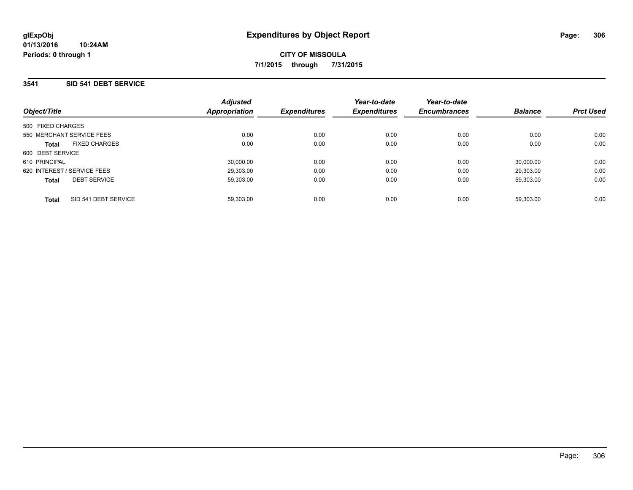### **3541 SID 541 DEBT SERVICE**

| Object/Title                         | <b>Adjusted</b><br>Appropriation | <b>Expenditures</b> | Year-to-date<br><b>Expenditures</b> | Year-to-date<br><b>Encumbrances</b> | <b>Balance</b> | <b>Prct Used</b> |
|--------------------------------------|----------------------------------|---------------------|-------------------------------------|-------------------------------------|----------------|------------------|
| 500 FIXED CHARGES                    |                                  |                     |                                     |                                     |                |                  |
| 550 MERCHANT SERVICE FEES            | 0.00                             | 0.00                | 0.00                                | 0.00                                | 0.00           | 0.00             |
| <b>FIXED CHARGES</b><br><b>Total</b> | 0.00                             | 0.00                | 0.00                                | 0.00                                | 0.00           | 0.00             |
| 600 DEBT SERVICE                     |                                  |                     |                                     |                                     |                |                  |
| 610 PRINCIPAL                        | 30.000.00                        | 0.00                | 0.00                                | 0.00                                | 30.000.00      | 0.00             |
| 620 INTEREST / SERVICE FEES          | 29,303.00                        | 0.00                | 0.00                                | 0.00                                | 29.303.00      | 0.00             |
| <b>DEBT SERVICE</b><br><b>Total</b>  | 59,303.00                        | 0.00                | 0.00                                | 0.00                                | 59,303.00      | 0.00             |
| SID 541 DEBT SERVICE<br><b>Total</b> | 59.303.00                        | 0.00                | 0.00                                | 0.00                                | 59.303.00      | 0.00             |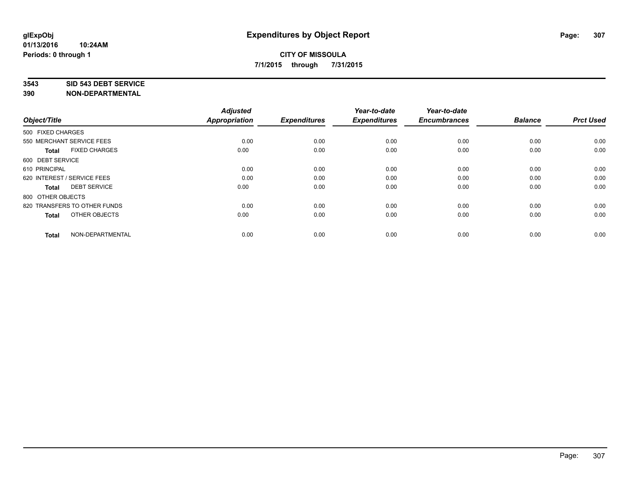#### **3543 SID 543 DEBT SERVICE**

| Object/Title                         | <b>Adjusted</b><br><b>Appropriation</b> | <b>Expenditures</b> | Year-to-date<br><b>Expenditures</b> | Year-to-date<br><b>Encumbrances</b> | <b>Balance</b> | <b>Prct Used</b> |
|--------------------------------------|-----------------------------------------|---------------------|-------------------------------------|-------------------------------------|----------------|------------------|
| 500 FIXED CHARGES                    |                                         |                     |                                     |                                     |                |                  |
| 550 MERCHANT SERVICE FEES            | 0.00                                    | 0.00                | 0.00                                | 0.00                                | 0.00           | 0.00             |
| <b>FIXED CHARGES</b><br><b>Total</b> | 0.00                                    | 0.00                | 0.00                                | 0.00                                | 0.00           | 0.00             |
| 600 DEBT SERVICE                     |                                         |                     |                                     |                                     |                |                  |
| 610 PRINCIPAL                        | 0.00                                    | 0.00                | 0.00                                | 0.00                                | 0.00           | 0.00             |
| 620 INTEREST / SERVICE FEES          | 0.00                                    | 0.00                | 0.00                                | 0.00                                | 0.00           | 0.00             |
| <b>DEBT SERVICE</b><br><b>Total</b>  | 0.00                                    | 0.00                | 0.00                                | 0.00                                | 0.00           | 0.00             |
| 800 OTHER OBJECTS                    |                                         |                     |                                     |                                     |                |                  |
| 820 TRANSFERS TO OTHER FUNDS         | 0.00                                    | 0.00                | 0.00                                | 0.00                                | 0.00           | 0.00             |
| OTHER OBJECTS<br><b>Total</b>        | 0.00                                    | 0.00                | 0.00                                | 0.00                                | 0.00           | 0.00             |
|                                      |                                         |                     |                                     |                                     |                |                  |
| NON-DEPARTMENTAL<br><b>Total</b>     | 0.00                                    | 0.00                | 0.00                                | 0.00                                | 0.00           | 0.00             |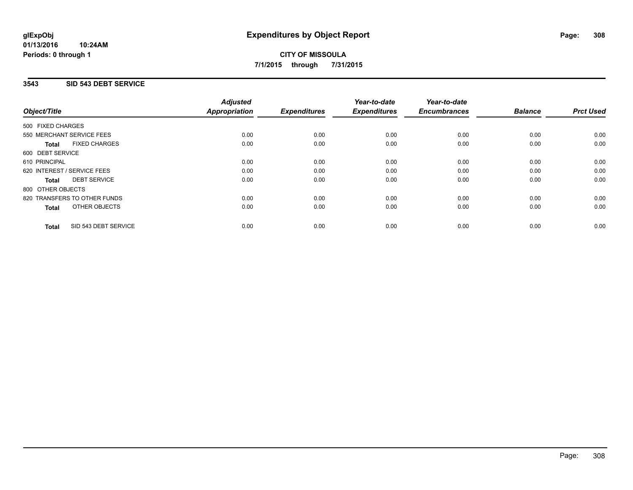## **3543 SID 543 DEBT SERVICE**

|                   |                              | <b>Adjusted</b>      |                     | Year-to-date        | Year-to-date<br><b>Encumbrances</b> | <b>Balance</b> | <b>Prct Used</b> |
|-------------------|------------------------------|----------------------|---------------------|---------------------|-------------------------------------|----------------|------------------|
| Object/Title      |                              | <b>Appropriation</b> | <b>Expenditures</b> | <b>Expenditures</b> |                                     |                |                  |
| 500 FIXED CHARGES |                              |                      |                     |                     |                                     |                |                  |
|                   | 550 MERCHANT SERVICE FEES    | 0.00                 | 0.00                | 0.00                | 0.00                                | 0.00           | 0.00             |
| Total             | <b>FIXED CHARGES</b>         | 0.00                 | 0.00                | 0.00                | 0.00                                | 0.00           | 0.00             |
| 600 DEBT SERVICE  |                              |                      |                     |                     |                                     |                |                  |
| 610 PRINCIPAL     |                              | 0.00                 | 0.00                | 0.00                | 0.00                                | 0.00           | 0.00             |
|                   | 620 INTEREST / SERVICE FEES  | 0.00                 | 0.00                | 0.00                | 0.00                                | 0.00           | 0.00             |
| Total             | <b>DEBT SERVICE</b>          | 0.00                 | 0.00                | 0.00                | 0.00                                | 0.00           | 0.00             |
| 800 OTHER OBJECTS |                              |                      |                     |                     |                                     |                |                  |
|                   | 820 TRANSFERS TO OTHER FUNDS | 0.00                 | 0.00                | 0.00                | 0.00                                | 0.00           | 0.00             |
| <b>Total</b>      | OTHER OBJECTS                | 0.00                 | 0.00                | 0.00                | 0.00                                | 0.00           | 0.00             |
| <b>Total</b>      | SID 543 DEBT SERVICE         | 0.00                 | 0.00                | 0.00                | 0.00                                | 0.00           | 0.00             |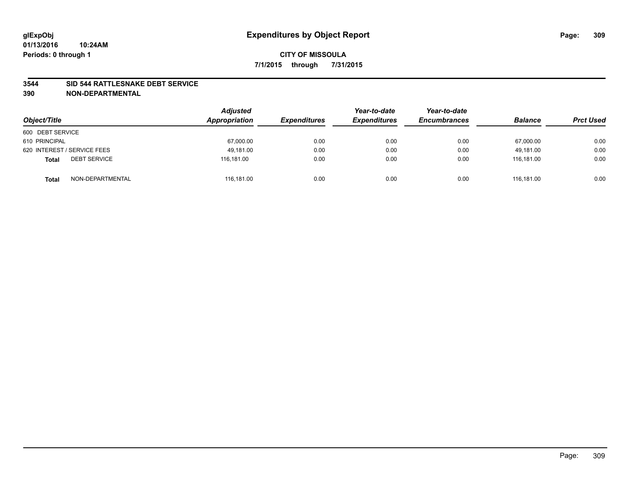#### **3544 SID 544 RATTLESNAKE DEBT SERVICE**

| Object/Title                        | <b>Adjusted</b><br>Appropriation | <b>Expenditures</b> | Year-to-date<br><b>Expenditures</b> | Year-to-date<br><b>Encumbrances</b> | <b>Balance</b> | <b>Prct Used</b> |
|-------------------------------------|----------------------------------|---------------------|-------------------------------------|-------------------------------------|----------------|------------------|
| 600 DEBT SERVICE                    |                                  |                     |                                     |                                     |                |                  |
| 610 PRINCIPAL                       | 67,000.00                        | 0.00                | 0.00                                | 0.00                                | 67,000.00      | 0.00             |
| 620 INTEREST / SERVICE FEES         | 49.181.00                        | 0.00                | 0.00                                | 0.00                                | 49.181.00      | 0.00             |
| <b>DEBT SERVICE</b><br><b>Total</b> | 116.181.00                       | 0.00                | 0.00                                | 0.00                                | 116.181.00     | 0.00             |
| NON-DEPARTMENTAL<br><b>Total</b>    | 116,181.00                       | 0.00                | 0.00                                | 0.00                                | 116.181.00     | 0.00             |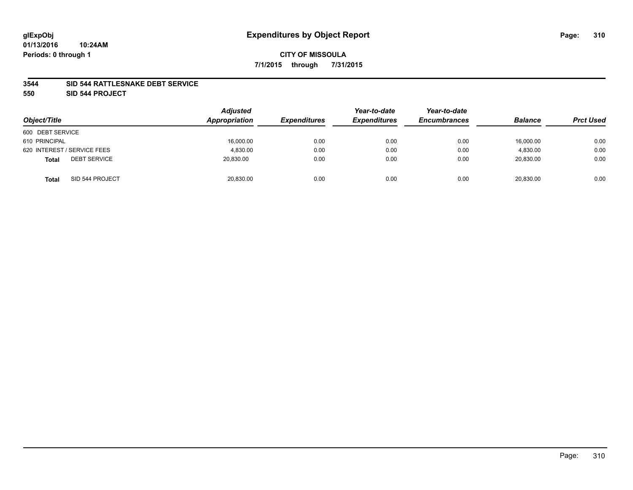#### **3544 SID 544 RATTLESNAKE DEBT SERVICE**

**550 SID 544 PROJECT**

|                                     | <b>Adjusted</b><br>Appropriation |                     | Year-to-date        | Year-to-date        | <b>Balance</b> |                  |
|-------------------------------------|----------------------------------|---------------------|---------------------|---------------------|----------------|------------------|
| Object/Title                        |                                  | <b>Expenditures</b> | <b>Expenditures</b> | <b>Encumbrances</b> |                | <b>Prct Used</b> |
| 600 DEBT SERVICE                    |                                  |                     |                     |                     |                |                  |
| 610 PRINCIPAL                       | 16,000.00                        | 0.00                | 0.00                | 0.00                | 16,000.00      | 0.00             |
| 620 INTEREST / SERVICE FEES         | 4,830.00                         | 0.00                | 0.00                | 0.00                | 4,830.00       | 0.00             |
| <b>DEBT SERVICE</b><br><b>Total</b> | 20,830.00                        | 0.00                | 0.00                | 0.00                | 20,830.00      | 0.00             |
| SID 544 PROJECT<br><b>Total</b>     | 20,830.00                        | 0.00                | 0.00                | 0.00                | 20,830.00      | 0.00             |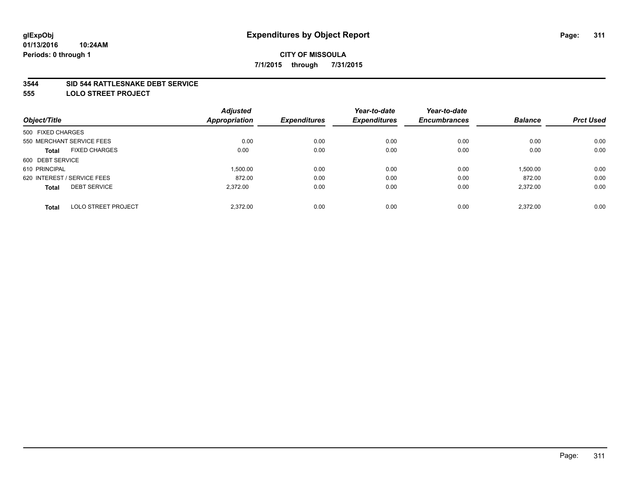#### **3544 SID 544 RATTLESNAKE DEBT SERVICE**

**555 LOLO STREET PROJECT**

|                             | <b>Adjusted</b> |                      | Year-to-date        | Year-to-date        |                |                  |
|-----------------------------|-----------------|----------------------|---------------------|---------------------|----------------|------------------|
|                             |                 | <b>Expenditures</b>  | <b>Expenditures</b> | <b>Encumbrances</b> | <b>Balance</b> | <b>Prct Used</b> |
| 500 FIXED CHARGES           |                 |                      |                     |                     |                |                  |
| 550 MERCHANT SERVICE FEES   | 0.00            | 0.00                 | 0.00                | 0.00                | 0.00           | 0.00             |
| <b>FIXED CHARGES</b>        | 0.00            | 0.00                 | 0.00                | 0.00                | 0.00           | 0.00             |
| 600 DEBT SERVICE            |                 |                      |                     |                     |                |                  |
|                             | 1.500.00        | 0.00                 | 0.00                | 0.00                | 1,500.00       | 0.00             |
| 620 INTEREST / SERVICE FEES | 872.00          | 0.00                 | 0.00                | 0.00                | 872.00         | 0.00             |
| <b>DEBT SERVICE</b>         | 2.372.00        | 0.00                 | 0.00                | 0.00                | 2,372.00       | 0.00             |
| <b>LOLO STREET PROJECT</b>  | 2.372.00        | 0.00                 | 0.00                | 0.00                | 2.372.00       | 0.00             |
|                             |                 | <b>Appropriation</b> |                     |                     |                |                  |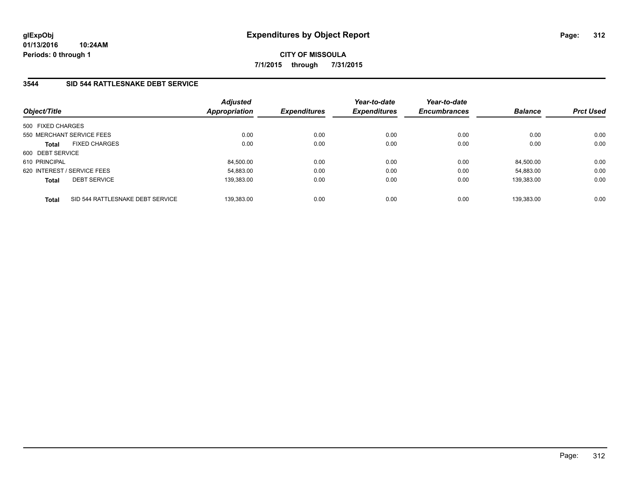## **3544 SID 544 RATTLESNAKE DEBT SERVICE**

| Object/Title      |                                  | <b>Adjusted</b><br>Appropriation | <b>Expenditures</b> | Year-to-date<br><b>Expenditures</b> | Year-to-date<br><b>Encumbrances</b> | <b>Balance</b> | <b>Prct Used</b> |
|-------------------|----------------------------------|----------------------------------|---------------------|-------------------------------------|-------------------------------------|----------------|------------------|
| 500 FIXED CHARGES |                                  |                                  |                     |                                     |                                     |                |                  |
|                   | 550 MERCHANT SERVICE FEES        | 0.00                             | 0.00                | 0.00                                | 0.00                                | 0.00           | 0.00             |
| <b>Total</b>      | <b>FIXED CHARGES</b>             | 0.00                             | 0.00                | 0.00                                | 0.00                                | 0.00           | 0.00             |
| 600 DEBT SERVICE  |                                  |                                  |                     |                                     |                                     |                |                  |
| 610 PRINCIPAL     |                                  | 84.500.00                        | 0.00                | 0.00                                | 0.00                                | 84.500.00      | 0.00             |
|                   | 620 INTEREST / SERVICE FEES      | 54,883.00                        | 0.00                | 0.00                                | 0.00                                | 54.883.00      | 0.00             |
| <b>Total</b>      | <b>DEBT SERVICE</b>              | 139,383.00                       | 0.00                | 0.00                                | 0.00                                | 139,383.00     | 0.00             |
| <b>Total</b>      | SID 544 RATTLESNAKE DEBT SERVICE | 139.383.00                       | 0.00                | 0.00                                | 0.00                                | 139.383.00     | 0.00             |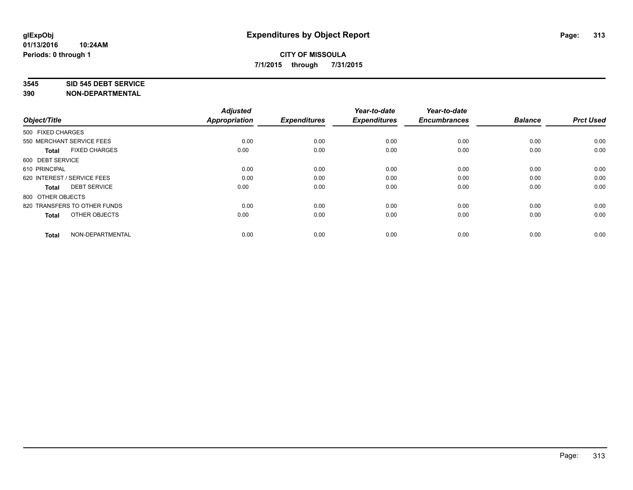#### **3545 SID 545 DEBT SERVICE**

| Object/Title                         | <b>Adjusted</b><br><b>Appropriation</b> | <b>Expenditures</b> | Year-to-date<br><b>Expenditures</b> | Year-to-date<br><b>Encumbrances</b> | <b>Balance</b> | <b>Prct Used</b> |
|--------------------------------------|-----------------------------------------|---------------------|-------------------------------------|-------------------------------------|----------------|------------------|
| 500 FIXED CHARGES                    |                                         |                     |                                     |                                     |                |                  |
| 550 MERCHANT SERVICE FEES            | 0.00                                    | 0.00                | 0.00                                | 0.00                                | 0.00           | 0.00             |
| <b>FIXED CHARGES</b><br><b>Total</b> | 0.00                                    | 0.00                | 0.00                                | 0.00                                | 0.00           | 0.00             |
| 600 DEBT SERVICE                     |                                         |                     |                                     |                                     |                |                  |
| 610 PRINCIPAL                        | 0.00                                    | 0.00                | 0.00                                | 0.00                                | 0.00           | 0.00             |
| 620 INTEREST / SERVICE FEES          | 0.00                                    | 0.00                | 0.00                                | 0.00                                | 0.00           | 0.00             |
| <b>DEBT SERVICE</b><br><b>Total</b>  | 0.00                                    | 0.00                | 0.00                                | 0.00                                | 0.00           | 0.00             |
| 800 OTHER OBJECTS                    |                                         |                     |                                     |                                     |                |                  |
| 820 TRANSFERS TO OTHER FUNDS         | 0.00                                    | 0.00                | 0.00                                | 0.00                                | 0.00           | 0.00             |
| OTHER OBJECTS<br><b>Total</b>        | 0.00                                    | 0.00                | 0.00                                | 0.00                                | 0.00           | 0.00             |
|                                      |                                         |                     |                                     |                                     |                |                  |
| NON-DEPARTMENTAL<br><b>Total</b>     | 0.00                                    | 0.00                | 0.00                                | 0.00                                | 0.00           | 0.00             |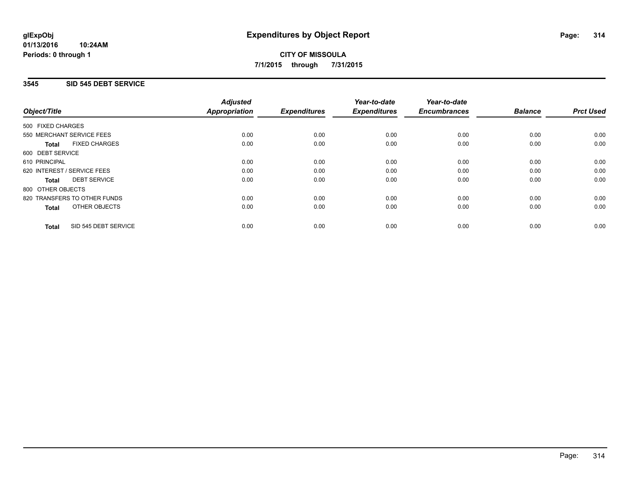## **3545 SID 545 DEBT SERVICE**

|                                      | <b>Adjusted</b>      |                     | Year-to-date        | Year-to-date<br><b>Encumbrances</b> | <b>Balance</b> | <b>Prct Used</b> |
|--------------------------------------|----------------------|---------------------|---------------------|-------------------------------------|----------------|------------------|
| Object/Title                         | <b>Appropriation</b> | <b>Expenditures</b> | <b>Expenditures</b> |                                     |                |                  |
| 500 FIXED CHARGES                    |                      |                     |                     |                                     |                |                  |
| 550 MERCHANT SERVICE FEES            | 0.00                 | 0.00                | 0.00                | 0.00                                | 0.00           | 0.00             |
| <b>FIXED CHARGES</b><br><b>Total</b> | 0.00                 | 0.00                | 0.00                | 0.00                                | 0.00           | 0.00             |
| 600 DEBT SERVICE                     |                      |                     |                     |                                     |                |                  |
| 610 PRINCIPAL                        | 0.00                 | 0.00                | 0.00                | 0.00                                | 0.00           | 0.00             |
| 620 INTEREST / SERVICE FEES          | 0.00                 | 0.00                | 0.00                | 0.00                                | 0.00           | 0.00             |
| <b>DEBT SERVICE</b><br><b>Total</b>  | 0.00                 | 0.00                | 0.00                | 0.00                                | 0.00           | 0.00             |
| 800 OTHER OBJECTS                    |                      |                     |                     |                                     |                |                  |
| 820 TRANSFERS TO OTHER FUNDS         | 0.00                 | 0.00                | 0.00                | 0.00                                | 0.00           | 0.00             |
| OTHER OBJECTS<br><b>Total</b>        | 0.00                 | 0.00                | 0.00                | 0.00                                | 0.00           | 0.00             |
| SID 545 DEBT SERVICE<br><b>Total</b> | 0.00                 | 0.00                | 0.00                | 0.00                                | 0.00           | 0.00             |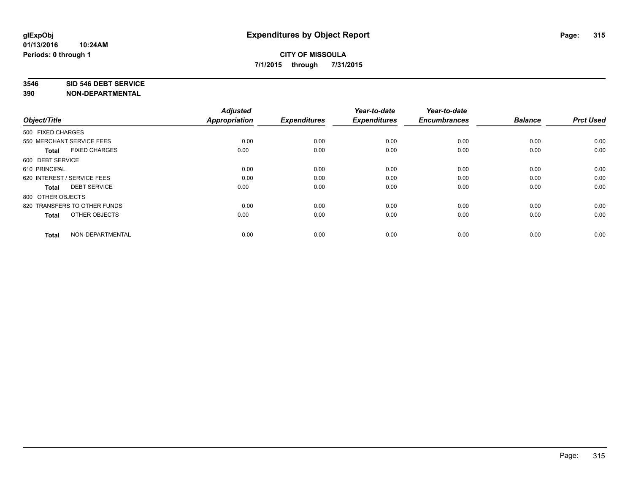#### **3546 SID 546 DEBT SERVICE**

| Object/Title                         | <b>Adjusted</b><br><b>Appropriation</b> | <b>Expenditures</b> | Year-to-date<br><b>Expenditures</b> | Year-to-date<br><b>Encumbrances</b> | <b>Balance</b> | <b>Prct Used</b> |
|--------------------------------------|-----------------------------------------|---------------------|-------------------------------------|-------------------------------------|----------------|------------------|
| 500 FIXED CHARGES                    |                                         |                     |                                     |                                     |                |                  |
| 550 MERCHANT SERVICE FEES            | 0.00                                    | 0.00                | 0.00                                | 0.00                                | 0.00           | 0.00             |
| <b>FIXED CHARGES</b><br><b>Total</b> | 0.00                                    | 0.00                | 0.00                                | 0.00                                | 0.00           | 0.00             |
| 600 DEBT SERVICE                     |                                         |                     |                                     |                                     |                |                  |
| 610 PRINCIPAL                        | 0.00                                    | 0.00                | 0.00                                | 0.00                                | 0.00           | 0.00             |
| 620 INTEREST / SERVICE FEES          | 0.00                                    | 0.00                | 0.00                                | 0.00                                | 0.00           | 0.00             |
| <b>DEBT SERVICE</b><br><b>Total</b>  | 0.00                                    | 0.00                | 0.00                                | 0.00                                | 0.00           | 0.00             |
| 800 OTHER OBJECTS                    |                                         |                     |                                     |                                     |                |                  |
| 820 TRANSFERS TO OTHER FUNDS         | 0.00                                    | 0.00                | 0.00                                | 0.00                                | 0.00           | 0.00             |
| OTHER OBJECTS<br><b>Total</b>        | 0.00                                    | 0.00                | 0.00                                | 0.00                                | 0.00           | 0.00             |
|                                      |                                         |                     |                                     |                                     |                |                  |
| NON-DEPARTMENTAL<br><b>Total</b>     | 0.00                                    | 0.00                | 0.00                                | 0.00                                | 0.00           | 0.00             |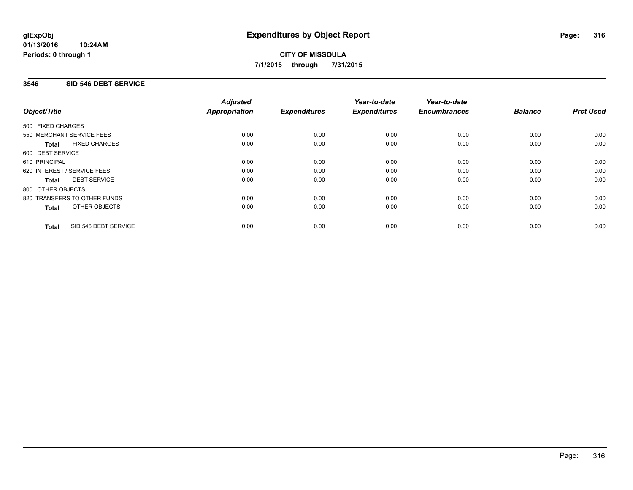## **3546 SID 546 DEBT SERVICE**

|                                      | <b>Adjusted</b>      |                     | Year-to-date        | Year-to-date<br><b>Encumbrances</b> | <b>Balance</b> | <b>Prct Used</b> |
|--------------------------------------|----------------------|---------------------|---------------------|-------------------------------------|----------------|------------------|
| Object/Title                         | <b>Appropriation</b> | <b>Expenditures</b> | <b>Expenditures</b> |                                     |                |                  |
| 500 FIXED CHARGES                    |                      |                     |                     |                                     |                |                  |
| 550 MERCHANT SERVICE FEES            | 0.00                 | 0.00                | 0.00                | 0.00                                | 0.00           | 0.00             |
| <b>FIXED CHARGES</b><br><b>Total</b> | 0.00                 | 0.00                | 0.00                | 0.00                                | 0.00           | 0.00             |
| 600 DEBT SERVICE                     |                      |                     |                     |                                     |                |                  |
| 610 PRINCIPAL                        | 0.00                 | 0.00                | 0.00                | 0.00                                | 0.00           | 0.00             |
| 620 INTEREST / SERVICE FEES          | 0.00                 | 0.00                | 0.00                | 0.00                                | 0.00           | 0.00             |
| <b>DEBT SERVICE</b><br><b>Total</b>  | 0.00                 | 0.00                | 0.00                | 0.00                                | 0.00           | 0.00             |
| 800 OTHER OBJECTS                    |                      |                     |                     |                                     |                |                  |
| 820 TRANSFERS TO OTHER FUNDS         | 0.00                 | 0.00                | 0.00                | 0.00                                | 0.00           | 0.00             |
| OTHER OBJECTS<br><b>Total</b>        | 0.00                 | 0.00                | 0.00                | 0.00                                | 0.00           | 0.00             |
| SID 546 DEBT SERVICE<br><b>Total</b> | 0.00                 | 0.00                | 0.00                | 0.00                                | 0.00           | 0.00             |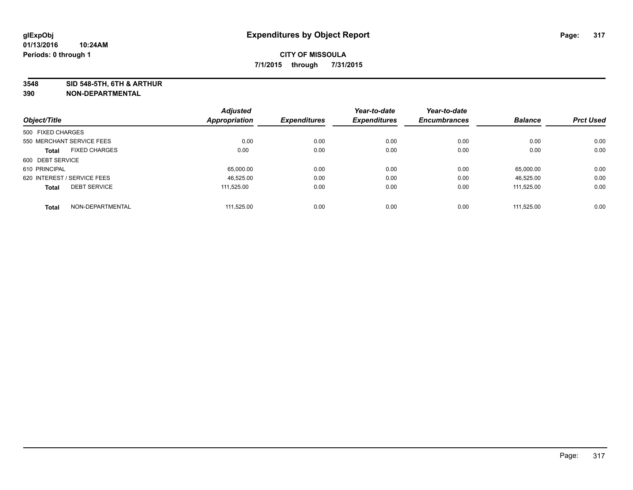**3548 SID 548-5TH, 6TH & ARTHUR**

|                             |                           | <b>Adjusted</b> |                     | Year-to-date        | Year-to-date        |                |                  |
|-----------------------------|---------------------------|-----------------|---------------------|---------------------|---------------------|----------------|------------------|
| Object/Title                |                           | Appropriation   | <b>Expenditures</b> | <b>Expenditures</b> | <b>Encumbrances</b> | <b>Balance</b> | <b>Prct Used</b> |
| 500 FIXED CHARGES           |                           |                 |                     |                     |                     |                |                  |
|                             | 550 MERCHANT SERVICE FEES | 0.00            | 0.00                | 0.00                | 0.00                | 0.00           | 0.00             |
| <b>Total</b>                | <b>FIXED CHARGES</b>      | 0.00            | 0.00                | 0.00                | 0.00                | 0.00           | 0.00             |
| 600 DEBT SERVICE            |                           |                 |                     |                     |                     |                |                  |
| 610 PRINCIPAL               |                           | 65,000.00       | 0.00                | 0.00                | 0.00                | 65.000.00      | 0.00             |
| 620 INTEREST / SERVICE FEES |                           | 46.525.00       | 0.00                | 0.00                | 0.00                | 46,525.00      | 0.00             |
| <b>Total</b>                | <b>DEBT SERVICE</b>       | 111.525.00      | 0.00                | 0.00                | 0.00                | 111.525.00     | 0.00             |
| <b>Total</b>                | NON-DEPARTMENTAL          | 111.525.00      | 0.00                | 0.00                | 0.00                | 111.525.00     | 0.00             |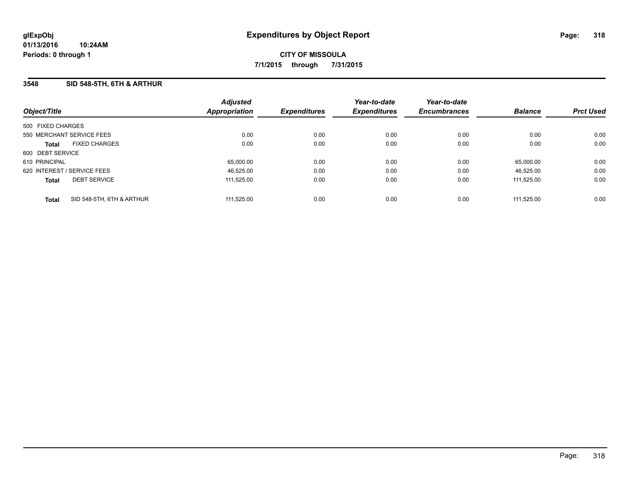## **3548 SID 548-5TH, 6TH & ARTHUR**

| Object/Title                              | <b>Adjusted</b><br>Appropriation | <b>Expenditures</b> | Year-to-date<br><b>Expenditures</b> | Year-to-date<br><b>Encumbrances</b> | <b>Balance</b> | <b>Prct Used</b> |
|-------------------------------------------|----------------------------------|---------------------|-------------------------------------|-------------------------------------|----------------|------------------|
| 500 FIXED CHARGES                         |                                  |                     |                                     |                                     |                |                  |
| 550 MERCHANT SERVICE FEES                 | 0.00                             | 0.00                | 0.00                                | 0.00                                | 0.00           | 0.00             |
| <b>FIXED CHARGES</b><br><b>Total</b>      | 0.00                             | 0.00                | 0.00                                | 0.00                                | 0.00           | 0.00             |
| 600 DEBT SERVICE                          |                                  |                     |                                     |                                     |                |                  |
| 610 PRINCIPAL                             | 65,000.00                        | 0.00                | 0.00                                | 0.00                                | 65.000.00      | 0.00             |
| 620 INTEREST / SERVICE FEES               | 46,525.00                        | 0.00                | 0.00                                | 0.00                                | 46.525.00      | 0.00             |
| <b>DEBT SERVICE</b><br><b>Total</b>       | 111.525.00                       | 0.00                | 0.00                                | 0.00                                | 111.525.00     | 0.00             |
| SID 548-5TH, 6TH & ARTHUR<br><b>Total</b> | 111.525.00                       | 0.00                | 0.00                                | 0.00                                | 111.525.00     | 0.00             |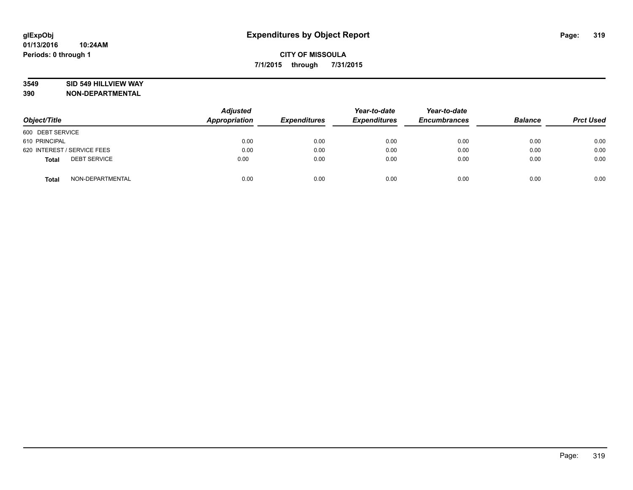### **3549 SID 549 HILLVIEW WAY**

| Object/Title                        | <b>Adjusted</b><br>Appropriation | <b>Expenditures</b> | Year-to-date<br><b>Expenditures</b> | Year-to-date<br><b>Encumbrances</b> | <b>Balance</b> | <b>Prct Used</b> |
|-------------------------------------|----------------------------------|---------------------|-------------------------------------|-------------------------------------|----------------|------------------|
| 600 DEBT SERVICE                    |                                  |                     |                                     |                                     |                |                  |
| 610 PRINCIPAL                       | 0.00                             | 0.00                | 0.00                                | 0.00                                | 0.00           | 0.00             |
| 620 INTEREST / SERVICE FEES         | 0.00                             | 0.00                | 0.00                                | 0.00                                | 0.00           | 0.00             |
| <b>DEBT SERVICE</b><br><b>Total</b> | 0.00                             | 0.00                | 0.00                                | 0.00                                | 0.00           | 0.00             |
| NON-DEPARTMENTAL<br><b>Total</b>    | 0.00                             | 0.00                | 0.00                                | 0.00                                | 0.00           | 0.00             |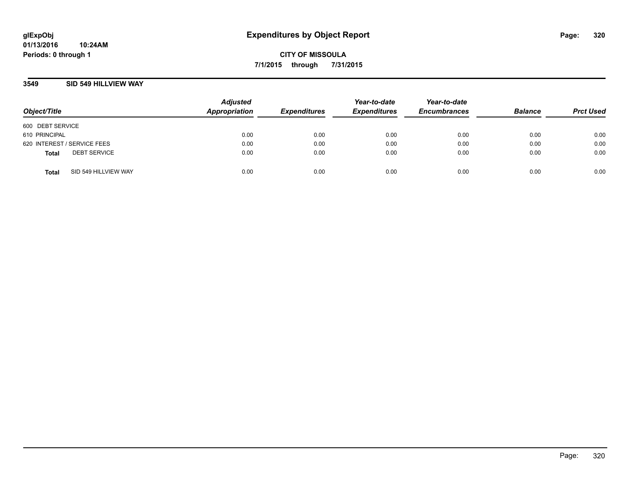### **3549 SID 549 HILLVIEW WAY**

| Object/Title                |                      | <b>Adjusted</b><br>Appropriation | <b>Expenditures</b> | Year-to-date<br><b>Expenditures</b> | Year-to-date<br><b>Encumbrances</b> | <b>Balance</b> | <b>Prct Used</b> |
|-----------------------------|----------------------|----------------------------------|---------------------|-------------------------------------|-------------------------------------|----------------|------------------|
| 600 DEBT SERVICE            |                      |                                  |                     |                                     |                                     |                |                  |
| 610 PRINCIPAL               |                      | 0.00                             | 0.00                | 0.00                                | 0.00                                | 0.00           | 0.00             |
| 620 INTEREST / SERVICE FEES |                      | 0.00                             | 0.00                | 0.00                                | 0.00                                | 0.00           | 0.00             |
| <b>Total</b>                | <b>DEBT SERVICE</b>  | 0.00                             | 0.00                | 0.00                                | 0.00                                | 0.00           | 0.00             |
| <b>Total</b>                | SID 549 HILLVIEW WAY | 0.00                             | 0.00                | 0.00                                | 0.00                                | 0.00           | 0.00             |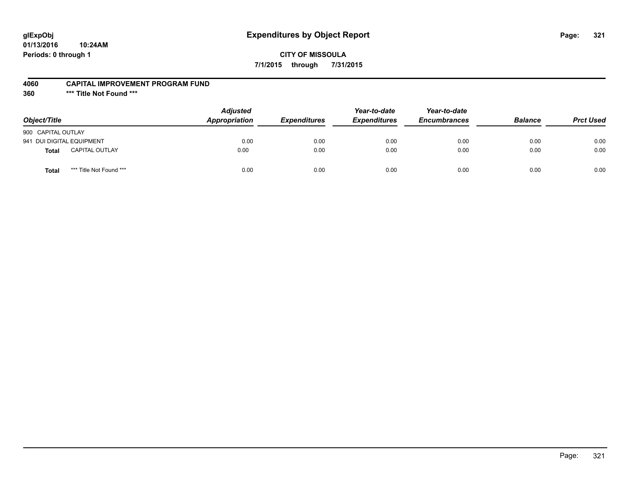# **glExpObj Expenditures by Object Report Page: 321**

### **CITY OF MISSOULA 7/1/2015 through 7/31/2015**

#### **4060 CAPITAL IMPROVEMENT PROGRAM FUND**

**360 \*\*\* Title Not Found \*\*\***

| Object/Title              |                         | <b>Adjusted</b><br>Appropriation | <b>Expenditures</b> | Year-to-date<br><b>Expenditures</b> | Year-to-date<br><b>Encumbrances</b> | <b>Balance</b> | <b>Prct Used</b> |
|---------------------------|-------------------------|----------------------------------|---------------------|-------------------------------------|-------------------------------------|----------------|------------------|
| 900 CAPITAL OUTLAY        |                         |                                  |                     |                                     |                                     |                |                  |
| 941 DUI DIGITAL EQUIPMENT |                         | 0.00                             | 0.00                | 0.00                                | 0.00                                | 0.00           | 0.00             |
| <b>Total</b>              | <b>CAPITAL OUTLAY</b>   | 0.00                             | 0.00                | 0.00                                | 0.00                                | 0.00           | 0.00             |
| <b>Total</b>              | *** Title Not Found *** | 0.00                             | 0.00                | 0.00                                | 0.00                                | 0.00           | 0.00             |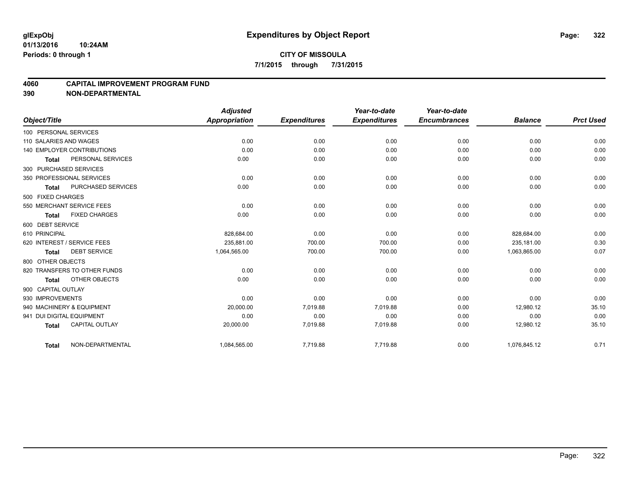### **4060 CAPITAL IMPROVEMENT PROGRAM FUND**

|                                      | <b>Adjusted</b> |                     | Year-to-date        | Year-to-date<br><b>Encumbrances</b> | <b>Balance</b> | <b>Prct Used</b> |
|--------------------------------------|-----------------|---------------------|---------------------|-------------------------------------|----------------|------------------|
| Object/Title                         | Appropriation   | <b>Expenditures</b> | <b>Expenditures</b> |                                     |                |                  |
| 100 PERSONAL SERVICES                |                 |                     |                     |                                     |                |                  |
| 110 SALARIES AND WAGES               | 0.00            | 0.00                | 0.00                | 0.00                                | 0.00           | 0.00             |
| <b>140 EMPLOYER CONTRIBUTIONS</b>    | 0.00            | 0.00                | 0.00                | 0.00                                | 0.00           | 0.00             |
| PERSONAL SERVICES<br><b>Total</b>    | 0.00            | 0.00                | 0.00                | 0.00                                | 0.00           | 0.00             |
| 300 PURCHASED SERVICES               |                 |                     |                     |                                     |                |                  |
| 350 PROFESSIONAL SERVICES            | 0.00            | 0.00                | 0.00                | 0.00                                | 0.00           | 0.00             |
| PURCHASED SERVICES<br>Total          | 0.00            | 0.00                | 0.00                | 0.00                                | 0.00           | 0.00             |
| 500 FIXED CHARGES                    |                 |                     |                     |                                     |                |                  |
| 550 MERCHANT SERVICE FEES            | 0.00            | 0.00                | 0.00                | 0.00                                | 0.00           | 0.00             |
| <b>FIXED CHARGES</b><br><b>Total</b> | 0.00            | 0.00                | 0.00                | 0.00                                | 0.00           | 0.00             |
| 600 DEBT SERVICE                     |                 |                     |                     |                                     |                |                  |
| 610 PRINCIPAL                        | 828,684.00      | 0.00                | 0.00                | 0.00                                | 828.684.00     | 0.00             |
| 620 INTEREST / SERVICE FEES          | 235.881.00      | 700.00              | 700.00              | 0.00                                | 235.181.00     | 0.30             |
| <b>DEBT SERVICE</b><br><b>Total</b>  | 1,064,565.00    | 700.00              | 700.00              | 0.00                                | 1,063,865.00   | 0.07             |
| 800 OTHER OBJECTS                    |                 |                     |                     |                                     |                |                  |
| 820 TRANSFERS TO OTHER FUNDS         | 0.00            | 0.00                | 0.00                | 0.00                                | 0.00           | 0.00             |
| OTHER OBJECTS<br>Total               | 0.00            | 0.00                | 0.00                | 0.00                                | 0.00           | 0.00             |
| 900 CAPITAL OUTLAY                   |                 |                     |                     |                                     |                |                  |
| 930 IMPROVEMENTS                     | 0.00            | 0.00                | 0.00                | 0.00                                | 0.00           | 0.00             |
| 940 MACHINERY & EQUIPMENT            | 20,000.00       | 7,019.88            | 7,019.88            | 0.00                                | 12,980.12      | 35.10            |
| 941 DUI DIGITAL EQUIPMENT            | 0.00            | 0.00                | 0.00                | 0.00                                | 0.00           | 0.00             |
| CAPITAL OUTLAY<br><b>Total</b>       | 20,000.00       | 7,019.88            | 7,019.88            | 0.00                                | 12,980.12      | 35.10            |
|                                      |                 |                     |                     |                                     |                |                  |
| NON-DEPARTMENTAL<br><b>Total</b>     | 1,084,565.00    | 7,719.88            | 7,719.88            | 0.00                                | 1,076,845.12   | 0.71             |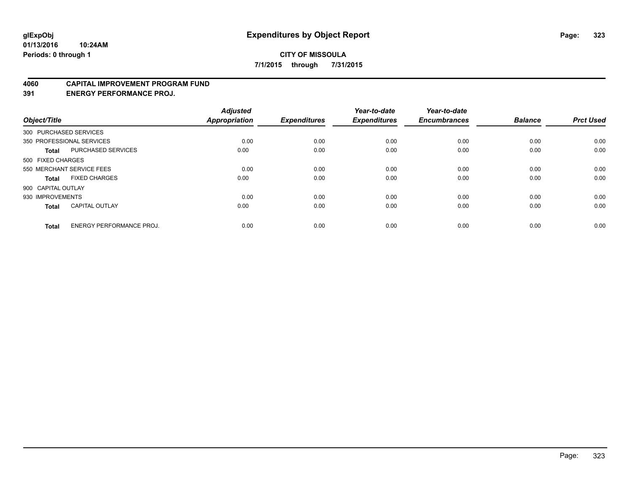#### **4060 CAPITAL IMPROVEMENT PROGRAM FUND**

**391 ENERGY PERFORMANCE PROJ.**

| Object/Title       |                                 | <b>Adjusted</b><br><b>Appropriation</b> | <b>Expenditures</b> | Year-to-date<br><b>Expenditures</b> | Year-to-date<br><b>Encumbrances</b> | <b>Balance</b> | <b>Prct Used</b> |
|--------------------|---------------------------------|-----------------------------------------|---------------------|-------------------------------------|-------------------------------------|----------------|------------------|
|                    | 300 PURCHASED SERVICES          |                                         |                     |                                     |                                     |                |                  |
|                    | 350 PROFESSIONAL SERVICES       | 0.00                                    | 0.00                | 0.00                                | 0.00                                | 0.00           | 0.00             |
| <b>Total</b>       | <b>PURCHASED SERVICES</b>       | 0.00                                    | 0.00                | 0.00                                | 0.00                                | 0.00           | 0.00             |
| 500 FIXED CHARGES  |                                 |                                         |                     |                                     |                                     |                |                  |
|                    | 550 MERCHANT SERVICE FEES       | 0.00                                    | 0.00                | 0.00                                | 0.00                                | 0.00           | 0.00             |
| Total              | <b>FIXED CHARGES</b>            | 0.00                                    | 0.00                | 0.00                                | 0.00                                | 0.00           | 0.00             |
| 900 CAPITAL OUTLAY |                                 |                                         |                     |                                     |                                     |                |                  |
| 930 IMPROVEMENTS   |                                 | 0.00                                    | 0.00                | 0.00                                | 0.00                                | 0.00           | 0.00             |
| Total              | <b>CAPITAL OUTLAY</b>           | 0.00                                    | 0.00                | 0.00                                | 0.00                                | 0.00           | 0.00             |
| <b>Total</b>       | <b>ENERGY PERFORMANCE PROJ.</b> | 0.00                                    | 0.00                | 0.00                                | 0.00                                | 0.00           | 0.00             |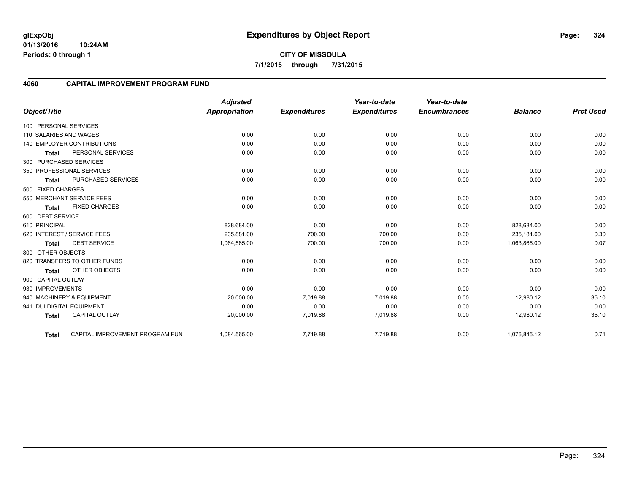**01/13/2016 10:24AM Periods: 0 through 1**

### **4060 CAPITAL IMPROVEMENT PROGRAM FUND**

|                                       |                                 | <b>Adjusted</b>      |                     | Year-to-date        | Year-to-date<br><b>Encumbrances</b> | <b>Balance</b> | <b>Prct Used</b> |
|---------------------------------------|---------------------------------|----------------------|---------------------|---------------------|-------------------------------------|----------------|------------------|
| Object/Title                          |                                 | <b>Appropriation</b> | <b>Expenditures</b> | <b>Expenditures</b> |                                     |                |                  |
| 100 PERSONAL SERVICES                 |                                 |                      |                     |                     |                                     |                |                  |
| 110 SALARIES AND WAGES                |                                 | 0.00                 | 0.00                | 0.00                | 0.00                                | 0.00           | 0.00             |
| <b>140 EMPLOYER CONTRIBUTIONS</b>     |                                 | 0.00                 | 0.00                | 0.00                | 0.00                                | 0.00           | 0.00             |
| PERSONAL SERVICES<br><b>Total</b>     |                                 | 0.00                 | 0.00                | 0.00                | 0.00                                | 0.00           | 0.00             |
| 300 PURCHASED SERVICES                |                                 |                      |                     |                     |                                     |                |                  |
| 350 PROFESSIONAL SERVICES             |                                 | 0.00                 | 0.00                | 0.00                | 0.00                                | 0.00           | 0.00             |
| PURCHASED SERVICES<br><b>Total</b>    |                                 | 0.00                 | 0.00                | 0.00                | 0.00                                | 0.00           | 0.00             |
| 500 FIXED CHARGES                     |                                 |                      |                     |                     |                                     |                |                  |
| 550 MERCHANT SERVICE FEES             |                                 | 0.00                 | 0.00                | 0.00                | 0.00                                | 0.00           | 0.00             |
| <b>FIXED CHARGES</b><br><b>Total</b>  |                                 | 0.00                 | 0.00                | 0.00                | 0.00                                | 0.00           | 0.00             |
| 600 DEBT SERVICE                      |                                 |                      |                     |                     |                                     |                |                  |
| 610 PRINCIPAL                         |                                 | 828,684.00           | 0.00                | 0.00                | 0.00                                | 828,684.00     | 0.00             |
| 620 INTEREST / SERVICE FEES           |                                 | 235,881.00           | 700.00              | 700.00              | 0.00                                | 235,181.00     | 0.30             |
| <b>DEBT SERVICE</b><br>Total          |                                 | 1,064,565.00         | 700.00              | 700.00              | 0.00                                | 1,063,865.00   | 0.07             |
| 800 OTHER OBJECTS                     |                                 |                      |                     |                     |                                     |                |                  |
| 820 TRANSFERS TO OTHER FUNDS          |                                 | 0.00                 | 0.00                | 0.00                | 0.00                                | 0.00           | 0.00             |
| OTHER OBJECTS<br><b>Total</b>         |                                 | 0.00                 | 0.00                | 0.00                | 0.00                                | 0.00           | 0.00             |
| 900 CAPITAL OUTLAY                    |                                 |                      |                     |                     |                                     |                |                  |
| 930 IMPROVEMENTS                      |                                 | 0.00                 | 0.00                | 0.00                | 0.00                                | 0.00           | 0.00             |
| 940 MACHINERY & EQUIPMENT             |                                 | 20,000.00            | 7,019.88            | 7,019.88            | 0.00                                | 12,980.12      | 35.10            |
| 941 DUI DIGITAL EQUIPMENT             |                                 | 0.00                 | 0.00                | 0.00                | 0.00                                | 0.00           | 0.00             |
| <b>CAPITAL OUTLAY</b><br><b>Total</b> |                                 | 20,000.00            | 7,019.88            | 7,019.88            | 0.00                                | 12,980.12      | 35.10            |
| <b>Total</b>                          | CAPITAL IMPROVEMENT PROGRAM FUN | 1,084,565.00         | 7,719.88            | 7,719.88            | 0.00                                | 1,076,845.12   | 0.71             |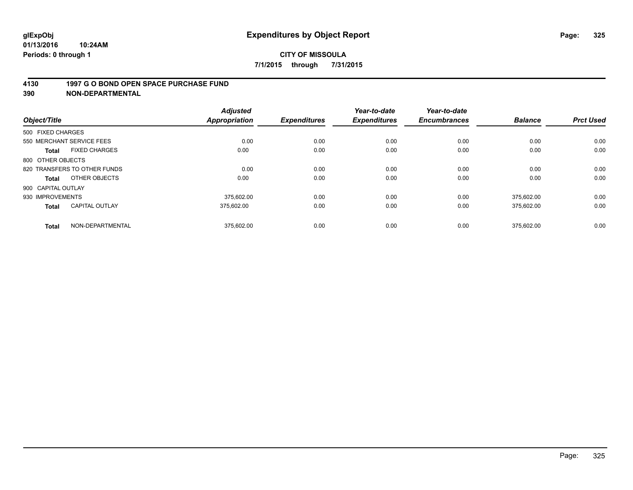#### **4130 1997 G O BOND OPEN SPACE PURCHASE FUND**

**390 NON-DEPARTMENTAL**

| Object/Title                          | <b>Adjusted</b><br><b>Appropriation</b> | <b>Expenditures</b> | Year-to-date<br><b>Expenditures</b> | Year-to-date<br><b>Encumbrances</b> | <b>Balance</b> | <b>Prct Used</b> |
|---------------------------------------|-----------------------------------------|---------------------|-------------------------------------|-------------------------------------|----------------|------------------|
| 500 FIXED CHARGES                     |                                         |                     |                                     |                                     |                |                  |
| 550 MERCHANT SERVICE FEES             |                                         | 0.00<br>0.00        | 0.00                                | 0.00                                | 0.00           | 0.00             |
| <b>FIXED CHARGES</b><br><b>Total</b>  | 0.00                                    | 0.00                | 0.00                                | 0.00                                | 0.00           | 0.00             |
| 800 OTHER OBJECTS                     |                                         |                     |                                     |                                     |                |                  |
| 820 TRANSFERS TO OTHER FUNDS          |                                         | 0.00<br>0.00        | 0.00                                | 0.00                                | 0.00           | 0.00             |
| OTHER OBJECTS<br>Total                | 0.00                                    | 0.00                | 0.00                                | 0.00                                | 0.00           | 0.00             |
| 900 CAPITAL OUTLAY                    |                                         |                     |                                     |                                     |                |                  |
| 930 IMPROVEMENTS                      | 375.602.00                              | 0.00                | 0.00                                | 0.00                                | 375.602.00     | 0.00             |
| <b>CAPITAL OUTLAY</b><br><b>Total</b> | 375.602.00                              | 0.00                | 0.00                                | 0.00                                | 375,602.00     | 0.00             |
| NON-DEPARTMENTAL<br><b>Total</b>      | 375,602.00                              | 0.00                | 0.00                                | 0.00                                | 375.602.00     | 0.00             |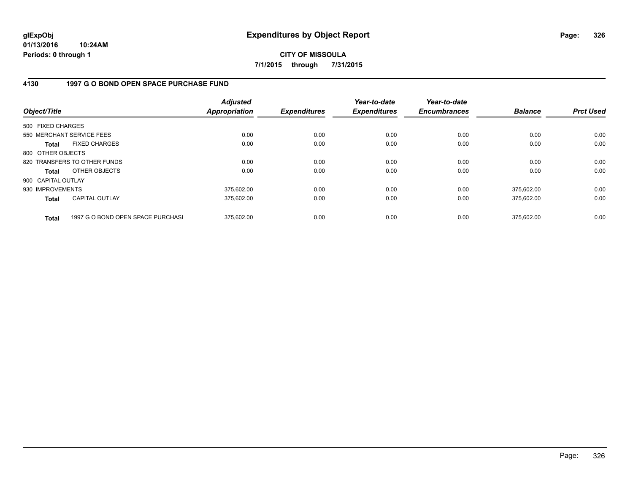**01/13/2016 10:24AM Periods: 0 through 1**

**CITY OF MISSOULA 7/1/2015 through 7/31/2015**

## **4130 1997 G O BOND OPEN SPACE PURCHASE FUND**

| Object/Title       |                                   | <b>Adjusted</b><br>Appropriation | <b>Expenditures</b> | Year-to-date<br><b>Expenditures</b> | Year-to-date<br><b>Encumbrances</b> | <b>Balance</b> | <b>Prct Used</b> |
|--------------------|-----------------------------------|----------------------------------|---------------------|-------------------------------------|-------------------------------------|----------------|------------------|
| 500 FIXED CHARGES  |                                   |                                  |                     |                                     |                                     |                |                  |
|                    | 550 MERCHANT SERVICE FEES         | 0.00                             | 0.00                | 0.00                                | 0.00                                | 0.00           | 0.00             |
| <b>Total</b>       | <b>FIXED CHARGES</b>              | 0.00                             | 0.00                | 0.00                                | 0.00                                | 0.00           | 0.00             |
| 800 OTHER OBJECTS  |                                   |                                  |                     |                                     |                                     |                |                  |
|                    | 820 TRANSFERS TO OTHER FUNDS      | 0.00                             | 0.00                | 0.00                                | 0.00                                | 0.00           | 0.00             |
| <b>Total</b>       | OTHER OBJECTS                     | 0.00                             | 0.00                | 0.00                                | 0.00                                | 0.00           | 0.00             |
| 900 CAPITAL OUTLAY |                                   |                                  |                     |                                     |                                     |                |                  |
| 930 IMPROVEMENTS   |                                   | 375.602.00                       | 0.00                | 0.00                                | 0.00                                | 375.602.00     | 0.00             |
| <b>Total</b>       | <b>CAPITAL OUTLAY</b>             | 375.602.00                       | 0.00                | 0.00                                | 0.00                                | 375.602.00     | 0.00             |
| <b>Total</b>       | 1997 G O BOND OPEN SPACE PURCHASI | 375.602.00                       | 0.00                | 0.00                                | 0.00                                | 375.602.00     | 0.00             |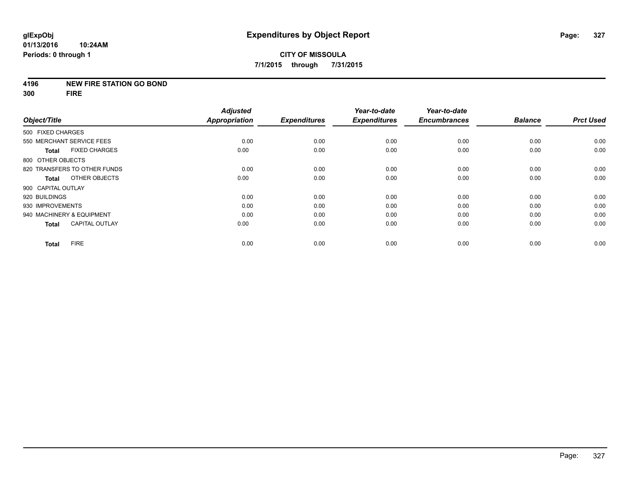#### **4196 NEW FIRE STATION GO BOND**

**300 FIRE**

|                                       | <b>Adjusted</b>      |                     | Year-to-date        | Year-to-date        |                |                  |
|---------------------------------------|----------------------|---------------------|---------------------|---------------------|----------------|------------------|
| Object/Title                          | <b>Appropriation</b> | <b>Expenditures</b> | <b>Expenditures</b> | <b>Encumbrances</b> | <b>Balance</b> | <b>Prct Used</b> |
| 500 FIXED CHARGES                     |                      |                     |                     |                     |                |                  |
| 550 MERCHANT SERVICE FEES             | 0.00                 | 0.00                | 0.00                | 0.00                | 0.00           | 0.00             |
| <b>FIXED CHARGES</b><br><b>Total</b>  | 0.00                 | 0.00                | 0.00                | 0.00                | 0.00           | 0.00             |
| 800 OTHER OBJECTS                     |                      |                     |                     |                     |                |                  |
| 820 TRANSFERS TO OTHER FUNDS          | 0.00                 | 0.00                | 0.00                | 0.00                | 0.00           | 0.00             |
| OTHER OBJECTS<br>Total                | 0.00                 | 0.00                | 0.00                | 0.00                | 0.00           | 0.00             |
| 900 CAPITAL OUTLAY                    |                      |                     |                     |                     |                |                  |
| 920 BUILDINGS                         | 0.00                 | 0.00                | 0.00                | 0.00                | 0.00           | 0.00             |
| 930 IMPROVEMENTS                      | 0.00                 | 0.00                | 0.00                | 0.00                | 0.00           | 0.00             |
| 940 MACHINERY & EQUIPMENT             | 0.00                 | 0.00                | 0.00                | 0.00                | 0.00           | 0.00             |
| <b>CAPITAL OUTLAY</b><br><b>Total</b> | 0.00                 | 0.00                | 0.00                | 0.00                | 0.00           | 0.00             |
| <b>FIRE</b><br><b>Total</b>           | 0.00                 | 0.00                | 0.00                | 0.00                | 0.00           | 0.00             |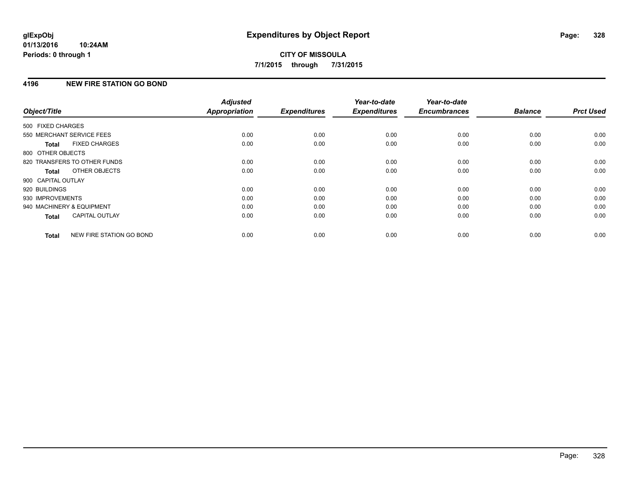#### **01/13/2016 10:24AM Periods: 0 through 1**

# **CITY OF MISSOULA 7/1/2015 through 7/31/2015**

## **4196 NEW FIRE STATION GO BOND**

|                           |                              | <b>Adjusted</b>      |                     | Year-to-date        | Year-to-date        |                |                  |
|---------------------------|------------------------------|----------------------|---------------------|---------------------|---------------------|----------------|------------------|
| Object/Title              |                              | <b>Appropriation</b> | <b>Expenditures</b> | <b>Expenditures</b> | <b>Encumbrances</b> | <b>Balance</b> | <b>Prct Used</b> |
| 500 FIXED CHARGES         |                              |                      |                     |                     |                     |                |                  |
| 550 MERCHANT SERVICE FEES |                              | 0.00                 | 0.00                | 0.00                | 0.00                | 0.00           | 0.00             |
| <b>Total</b>              | <b>FIXED CHARGES</b>         | 0.00                 | 0.00                | 0.00                | 0.00                | 0.00           | 0.00             |
| 800 OTHER OBJECTS         |                              |                      |                     |                     |                     |                |                  |
|                           | 820 TRANSFERS TO OTHER FUNDS | 0.00                 | 0.00                | 0.00                | 0.00                | 0.00           | 0.00             |
| Total                     | OTHER OBJECTS                | 0.00                 | 0.00                | 0.00                | 0.00                | 0.00           | 0.00             |
| 900 CAPITAL OUTLAY        |                              |                      |                     |                     |                     |                |                  |
| 920 BUILDINGS             |                              | 0.00                 | 0.00                | 0.00                | 0.00                | 0.00           | 0.00             |
| 930 IMPROVEMENTS          |                              | 0.00                 | 0.00                | 0.00                | 0.00                | 0.00           | 0.00             |
| 940 MACHINERY & EQUIPMENT |                              | 0.00                 | 0.00                | 0.00                | 0.00                | 0.00           | 0.00             |
| <b>Total</b>              | <b>CAPITAL OUTLAY</b>        | 0.00                 | 0.00                | 0.00                | 0.00                | 0.00           | 0.00             |
| <b>Total</b>              | NEW FIRE STATION GO BOND     | 0.00                 | 0.00                | 0.00                | 0.00                | 0.00           | 0.00             |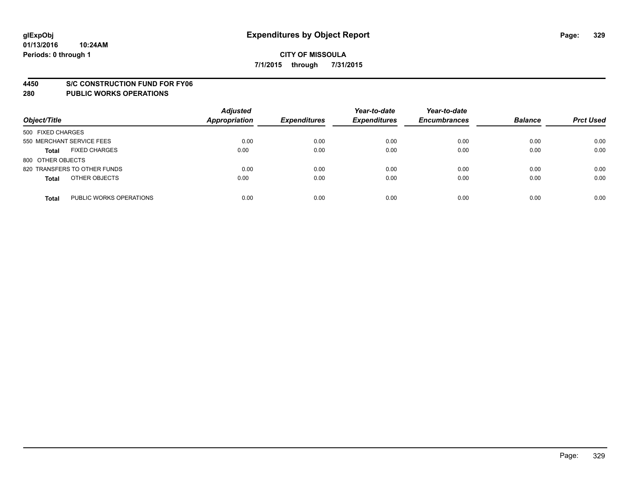#### **4450 S/C CONSTRUCTION FUND FOR FY06**

| Object/Title                            | <b>Adjusted</b><br><b>Appropriation</b> | <b>Expenditures</b> | Year-to-date<br><b>Expenditures</b> | Year-to-date<br><b>Encumbrances</b> | <b>Balance</b> | <b>Prct Used</b> |
|-----------------------------------------|-----------------------------------------|---------------------|-------------------------------------|-------------------------------------|----------------|------------------|
| 500 FIXED CHARGES                       |                                         |                     |                                     |                                     |                |                  |
| 550 MERCHANT SERVICE FEES               | 0.00                                    | 0.00                | 0.00                                | 0.00                                | 0.00           | 0.00             |
| <b>FIXED CHARGES</b><br><b>Total</b>    | 0.00                                    | 0.00                | 0.00                                | 0.00                                | 0.00           | 0.00             |
| 800 OTHER OBJECTS                       |                                         |                     |                                     |                                     |                |                  |
| 820 TRANSFERS TO OTHER FUNDS            | 0.00                                    | 0.00                | 0.00                                | 0.00                                | 0.00           | 0.00             |
| OTHER OBJECTS<br><b>Total</b>           | 0.00                                    | 0.00                | 0.00                                | 0.00                                | 0.00           | 0.00             |
| PUBLIC WORKS OPERATIONS<br><b>Total</b> | 0.00                                    | 0.00                | 0.00                                | 0.00                                | 0.00           | 0.00             |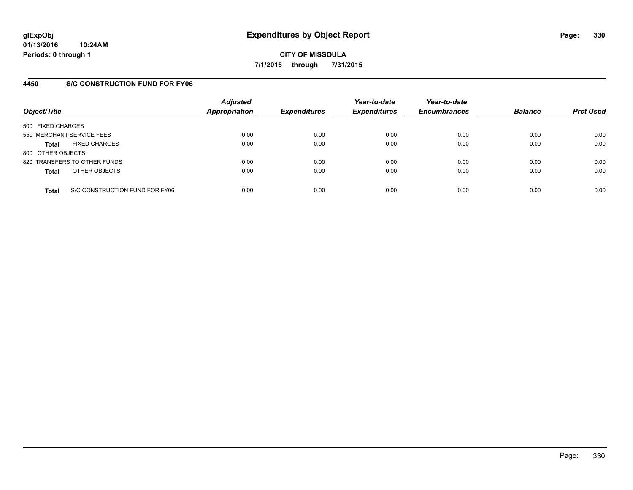## **4450 S/C CONSTRUCTION FUND FOR FY06**

| Object/Title                         |                                | <b>Adjusted</b><br><b>Appropriation</b> | <b>Expenditures</b> | Year-to-date<br><b>Expenditures</b> | Year-to-date<br><b>Encumbrances</b> | <b>Balance</b> | <b>Prct Used</b> |
|--------------------------------------|--------------------------------|-----------------------------------------|---------------------|-------------------------------------|-------------------------------------|----------------|------------------|
| 500 FIXED CHARGES                    |                                |                                         |                     |                                     |                                     |                |                  |
| 550 MERCHANT SERVICE FEES            |                                | 0.00                                    | 0.00                | 0.00                                | 0.00                                | 0.00           | 0.00             |
| <b>FIXED CHARGES</b><br><b>Total</b> |                                | 0.00                                    | 0.00                | 0.00                                | 0.00                                | 0.00           | 0.00             |
| 800 OTHER OBJECTS                    |                                |                                         |                     |                                     |                                     |                |                  |
| 820 TRANSFERS TO OTHER FUNDS         |                                | 0.00                                    | 0.00                | 0.00                                | 0.00                                | 0.00           | 0.00             |
| OTHER OBJECTS<br><b>Total</b>        |                                | 0.00                                    | 0.00                | 0.00                                | 0.00                                | 0.00           | 0.00             |
| <b>Total</b>                         | S/C CONSTRUCTION FUND FOR FY06 | 0.00                                    | 0.00                | 0.00                                | 0.00                                | 0.00           | 0.00             |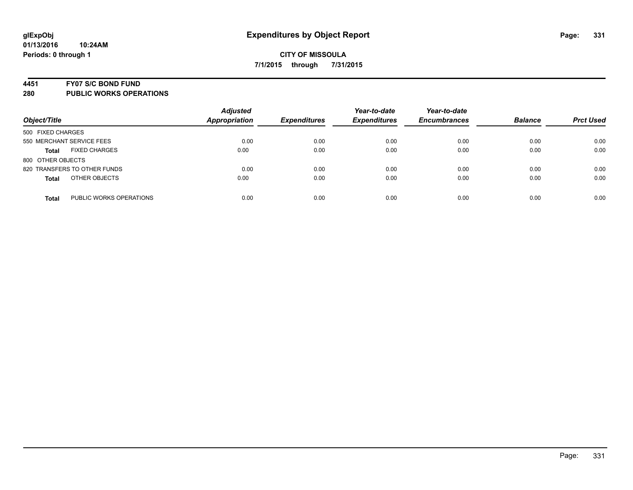#### **4451 FY07 S/C BOND FUND**

| Object/Title                            | <b>Adjusted</b><br><b>Appropriation</b> | <b>Expenditures</b> | Year-to-date<br><b>Expenditures</b> | Year-to-date<br><b>Encumbrances</b> | <b>Balance</b> | <b>Prct Used</b> |
|-----------------------------------------|-----------------------------------------|---------------------|-------------------------------------|-------------------------------------|----------------|------------------|
| 500 FIXED CHARGES                       |                                         |                     |                                     |                                     |                |                  |
| 550 MERCHANT SERVICE FEES               | 0.00                                    | 0.00                | 0.00                                | 0.00                                | 0.00           | 0.00             |
| <b>FIXED CHARGES</b><br><b>Total</b>    | 0.00                                    | 0.00                | 0.00                                | 0.00                                | 0.00           | 0.00             |
| 800 OTHER OBJECTS                       |                                         |                     |                                     |                                     |                |                  |
| 820 TRANSFERS TO OTHER FUNDS            | 0.00                                    | 0.00                | 0.00                                | 0.00                                | 0.00           | 0.00             |
| OTHER OBJECTS<br><b>Total</b>           | 0.00                                    | 0.00                | 0.00                                | 0.00                                | 0.00           | 0.00             |
| PUBLIC WORKS OPERATIONS<br><b>Total</b> | 0.00                                    | 0.00                | 0.00                                | 0.00                                | 0.00           | 0.00             |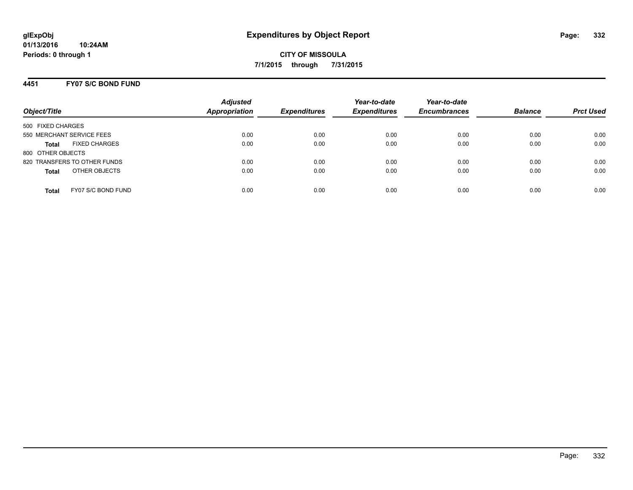## **4451 FY07 S/C BOND FUND**

| Object/Title                         | <b>Adjusted</b><br>Appropriation | <b>Expenditures</b> | Year-to-date<br><b>Expenditures</b> | Year-to-date<br><b>Encumbrances</b> | <b>Balance</b> | <b>Prct Used</b> |
|--------------------------------------|----------------------------------|---------------------|-------------------------------------|-------------------------------------|----------------|------------------|
| 500 FIXED CHARGES                    |                                  |                     |                                     |                                     |                |                  |
| 550 MERCHANT SERVICE FEES            | 0.00                             | 0.00                | 0.00                                | 0.00                                | 0.00           | 0.00             |
| <b>FIXED CHARGES</b><br><b>Total</b> | 0.00                             | 0.00                | 0.00                                | 0.00                                | 0.00           | 0.00             |
| 800 OTHER OBJECTS                    |                                  |                     |                                     |                                     |                |                  |
| 820 TRANSFERS TO OTHER FUNDS         | 0.00                             | 0.00                | 0.00                                | 0.00                                | 0.00           | 0.00             |
| OTHER OBJECTS<br><b>Total</b>        | 0.00                             | 0.00                | 0.00                                | 0.00                                | 0.00           | 0.00             |
| FY07 S/C BOND FUND<br>Total          | 0.00                             | 0.00                | 0.00                                | 0.00                                | 0.00           | 0.00             |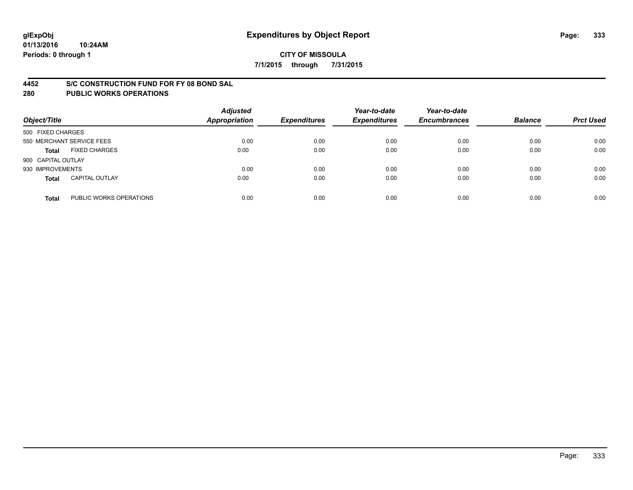#### **4452 S/C CONSTRUCTION FUND FOR FY 08 BOND SAL**

| Object/Title       |                           | <b>Adjusted</b><br><b>Appropriation</b> | <b>Expenditures</b> | Year-to-date<br><b>Expenditures</b> | Year-to-date<br><b>Encumbrances</b> | <b>Balance</b> | <b>Prct Used</b> |
|--------------------|---------------------------|-----------------------------------------|---------------------|-------------------------------------|-------------------------------------|----------------|------------------|
| 500 FIXED CHARGES  |                           |                                         |                     |                                     |                                     |                |                  |
|                    | 550 MERCHANT SERVICE FEES | 0.00                                    | 0.00                | 0.00                                | 0.00                                | 0.00           | 0.00             |
| <b>Total</b>       | <b>FIXED CHARGES</b>      | 0.00                                    | 0.00                | 0.00                                | 0.00                                | 0.00           | 0.00             |
| 900 CAPITAL OUTLAY |                           |                                         |                     |                                     |                                     |                |                  |
| 930 IMPROVEMENTS   |                           | 0.00                                    | 0.00                | 0.00                                | 0.00                                | 0.00           | 0.00             |
| <b>Total</b>       | <b>CAPITAL OUTLAY</b>     | 0.00                                    | 0.00                | 0.00                                | 0.00                                | 0.00           | 0.00             |
| <b>Total</b>       | PUBLIC WORKS OPERATIONS   | 0.00                                    | 0.00                | 0.00                                | 0.00                                | 0.00           | 0.00             |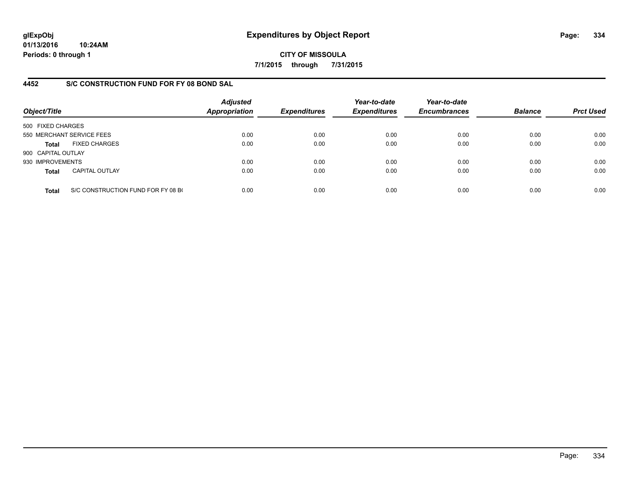**01/13/2016 10:24AM Periods: 0 through 1**

**CITY OF MISSOULA 7/1/2015 through 7/31/2015**

## **4452 S/C CONSTRUCTION FUND FOR FY 08 BOND SAL**

| Object/Title       |                                    | <b>Adjusted</b><br><b>Appropriation</b> | <b>Expenditures</b> | Year-to-date<br><b>Expenditures</b> | Year-to-date<br><b>Encumbrances</b> | <b>Balance</b> | <b>Prct Used</b> |
|--------------------|------------------------------------|-----------------------------------------|---------------------|-------------------------------------|-------------------------------------|----------------|------------------|
| 500 FIXED CHARGES  |                                    |                                         |                     |                                     |                                     |                |                  |
|                    | 550 MERCHANT SERVICE FEES          | 0.00                                    | 0.00                | 0.00                                | 0.00                                | 0.00           | 0.00             |
| Total              | <b>FIXED CHARGES</b>               | 0.00                                    | 0.00                | 0.00                                | 0.00                                | 0.00           | 0.00             |
| 900 CAPITAL OUTLAY |                                    |                                         |                     |                                     |                                     |                |                  |
| 930 IMPROVEMENTS   |                                    | 0.00                                    | 0.00                | 0.00                                | 0.00                                | 0.00           | 0.00             |
| <b>Total</b>       | <b>CAPITAL OUTLAY</b>              | 0.00                                    | 0.00                | 0.00                                | 0.00                                | 0.00           | 0.00             |
| <b>Total</b>       | S/C CONSTRUCTION FUND FOR FY 08 BO | 0.00                                    | 0.00                | 0.00                                | 0.00                                | 0.00           | 0.00             |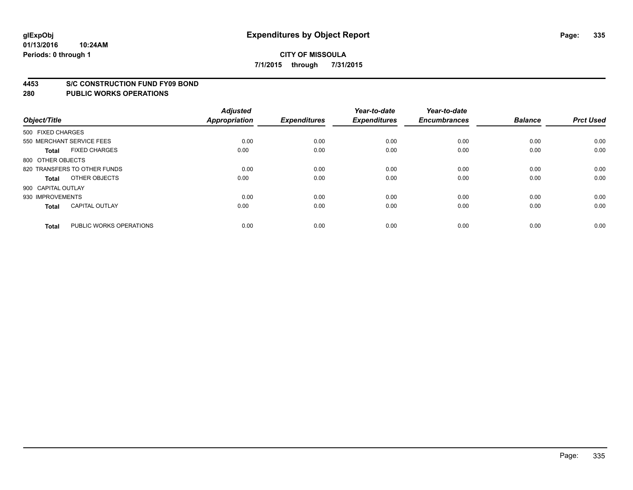#### **4453 S/C CONSTRUCTION FUND FY09 BOND**

| Object/Title       |                              | <b>Adjusted</b><br><b>Appropriation</b> | <b>Expenditures</b> | Year-to-date<br><b>Expenditures</b> | Year-to-date<br><b>Encumbrances</b> | <b>Balance</b> | <b>Prct Used</b> |
|--------------------|------------------------------|-----------------------------------------|---------------------|-------------------------------------|-------------------------------------|----------------|------------------|
| 500 FIXED CHARGES  |                              |                                         |                     |                                     |                                     |                |                  |
|                    | 550 MERCHANT SERVICE FEES    | 0.00                                    | 0.00                | 0.00                                | 0.00                                | 0.00           | 0.00             |
| <b>Total</b>       | <b>FIXED CHARGES</b>         | 0.00                                    | 0.00                | 0.00                                | 0.00                                | 0.00           | 0.00             |
| 800 OTHER OBJECTS  |                              |                                         |                     |                                     |                                     |                |                  |
|                    | 820 TRANSFERS TO OTHER FUNDS | 0.00                                    | 0.00                | 0.00                                | 0.00                                | 0.00           | 0.00             |
| Total              | OTHER OBJECTS                | 0.00                                    | 0.00                | 0.00                                | 0.00                                | 0.00           | 0.00             |
| 900 CAPITAL OUTLAY |                              |                                         |                     |                                     |                                     |                |                  |
| 930 IMPROVEMENTS   |                              | 0.00                                    | 0.00                | 0.00                                | 0.00                                | 0.00           | 0.00             |
| Total              | <b>CAPITAL OUTLAY</b>        | 0.00                                    | 0.00                | 0.00                                | 0.00                                | 0.00           | 0.00             |
| <b>Total</b>       | PUBLIC WORKS OPERATIONS      | 0.00                                    | 0.00                | 0.00                                | 0.00                                | 0.00           | 0.00             |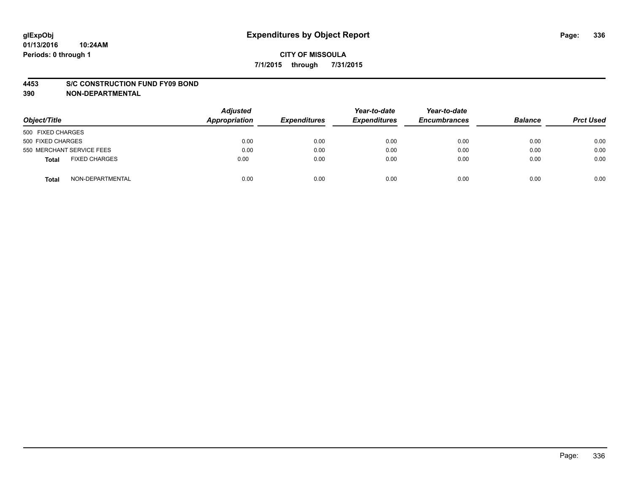#### **4453 S/C CONSTRUCTION FUND FY09 BOND**

**390 NON-DEPARTMENTAL**

| Object/Title                  | <b>Adjusted</b><br>Appropriation | <b>Expenditures</b> | Year-to-date<br><b>Expenditures</b> | Year-to-date<br><b>Encumbrances</b> | <b>Balance</b> | <b>Prct Used</b> |
|-------------------------------|----------------------------------|---------------------|-------------------------------------|-------------------------------------|----------------|------------------|
| 500 FIXED CHARGES             |                                  |                     |                                     |                                     |                |                  |
| 500 FIXED CHARGES             | 0.00                             | 0.00                | 0.00                                | 0.00                                | 0.00           | 0.00             |
| 550 MERCHANT SERVICE FEES     | 0.00                             | 0.00                | 0.00                                | 0.00                                | 0.00           | 0.00             |
| <b>FIXED CHARGES</b><br>Total | 0.00                             | 0.00                | 0.00                                | 0.00                                | 0.00           | 0.00             |
| NON-DEPARTMENTAL<br>Total     | 0.00                             | 0.00                | 0.00                                | 0.00                                | 0.00           | 0.00             |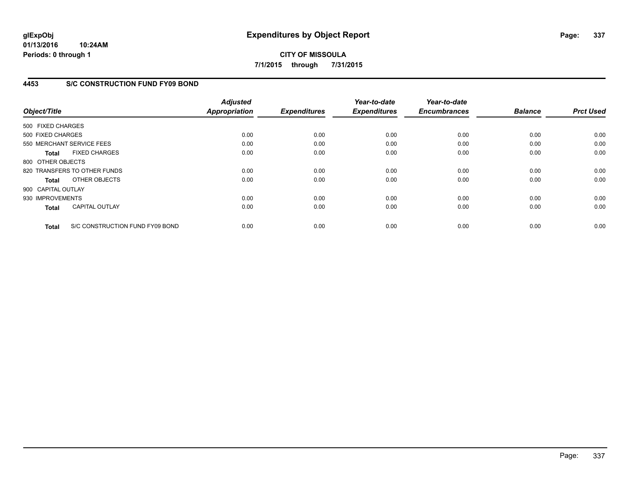**01/13/2016 10:24AM Periods: 0 through 1**

# **CITY OF MISSOULA 7/1/2015 through 7/31/2015**

## **4453 S/C CONSTRUCTION FUND FY09 BOND**

| Object/Title       |                                 | <b>Adjusted</b><br>Appropriation | <b>Expenditures</b> | Year-to-date<br><b>Expenditures</b> | Year-to-date<br><b>Encumbrances</b> | <b>Balance</b> | <b>Prct Used</b> |
|--------------------|---------------------------------|----------------------------------|---------------------|-------------------------------------|-------------------------------------|----------------|------------------|
| 500 FIXED CHARGES  |                                 |                                  |                     |                                     |                                     |                |                  |
| 500 FIXED CHARGES  |                                 | 0.00                             | 0.00                | 0.00                                | 0.00                                | 0.00           | 0.00             |
|                    | 550 MERCHANT SERVICE FEES       | 0.00                             | 0.00                | 0.00                                | 0.00                                | 0.00           | 0.00             |
| <b>Total</b>       | <b>FIXED CHARGES</b>            | 0.00                             | 0.00                | 0.00                                | 0.00                                | 0.00           | 0.00             |
| 800 OTHER OBJECTS  |                                 |                                  |                     |                                     |                                     |                |                  |
|                    | 820 TRANSFERS TO OTHER FUNDS    | 0.00                             | 0.00                | 0.00                                | 0.00                                | 0.00           | 0.00             |
| Total              | OTHER OBJECTS                   | 0.00                             | 0.00                | 0.00                                | 0.00                                | 0.00           | 0.00             |
| 900 CAPITAL OUTLAY |                                 |                                  |                     |                                     |                                     |                |                  |
| 930 IMPROVEMENTS   |                                 | 0.00                             | 0.00                | 0.00                                | 0.00                                | 0.00           | 0.00             |
| <b>Total</b>       | <b>CAPITAL OUTLAY</b>           | 0.00                             | 0.00                | 0.00                                | 0.00                                | 0.00           | 0.00             |
| <b>Total</b>       | S/C CONSTRUCTION FUND FY09 BOND | 0.00                             | 0.00                | 0.00                                | 0.00                                | 0.00           | 0.00             |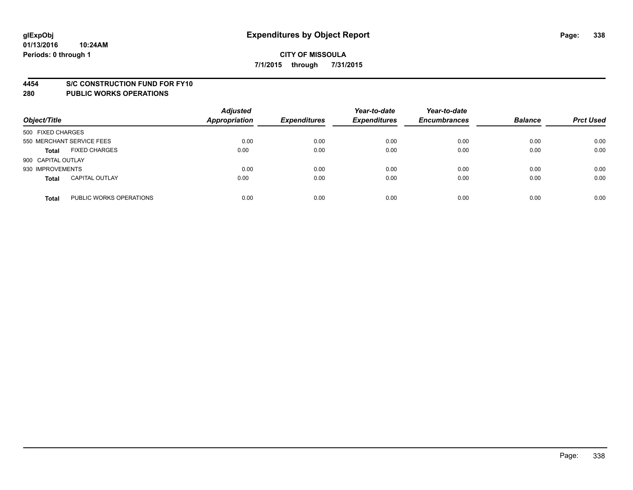#### **4454 S/C CONSTRUCTION FUND FOR FY10**

| Object/Title       |                           | <b>Adjusted</b><br><b>Appropriation</b> | <b>Expenditures</b> | Year-to-date<br><b>Expenditures</b> | Year-to-date<br><b>Encumbrances</b> | <b>Balance</b> | <b>Prct Used</b> |
|--------------------|---------------------------|-----------------------------------------|---------------------|-------------------------------------|-------------------------------------|----------------|------------------|
| 500 FIXED CHARGES  |                           |                                         |                     |                                     |                                     |                |                  |
|                    | 550 MERCHANT SERVICE FEES | 0.00                                    | 0.00                | 0.00                                | 0.00                                | 0.00           | 0.00             |
| <b>Total</b>       | <b>FIXED CHARGES</b>      | 0.00                                    | 0.00                | 0.00                                | 0.00                                | 0.00           | 0.00             |
| 900 CAPITAL OUTLAY |                           |                                         |                     |                                     |                                     |                |                  |
| 930 IMPROVEMENTS   |                           | 0.00                                    | 0.00                | 0.00                                | 0.00                                | 0.00           | 0.00             |
| <b>Total</b>       | <b>CAPITAL OUTLAY</b>     | 0.00                                    | 0.00                | 0.00                                | 0.00                                | 0.00           | 0.00             |
| <b>Total</b>       | PUBLIC WORKS OPERATIONS   | 0.00                                    | 0.00                | 0.00                                | 0.00                                | 0.00           | 0.00             |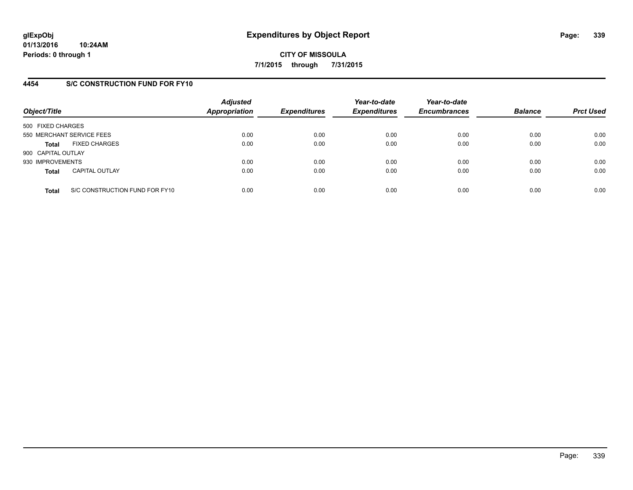## **4454 S/C CONSTRUCTION FUND FOR FY10**

| Object/Title       |                                | <b>Adjusted</b><br>Appropriation | <b>Expenditures</b> | Year-to-date<br><b>Expenditures</b> | Year-to-date<br><b>Encumbrances</b> | <b>Balance</b> | <b>Prct Used</b> |
|--------------------|--------------------------------|----------------------------------|---------------------|-------------------------------------|-------------------------------------|----------------|------------------|
| 500 FIXED CHARGES  |                                |                                  |                     |                                     |                                     |                |                  |
|                    | 550 MERCHANT SERVICE FEES      | 0.00                             | 0.00                | 0.00                                | 0.00                                | 0.00           | 0.00             |
| <b>Total</b>       | <b>FIXED CHARGES</b>           | 0.00                             | 0.00                | 0.00                                | 0.00                                | 0.00           | 0.00             |
| 900 CAPITAL OUTLAY |                                |                                  |                     |                                     |                                     |                |                  |
| 930 IMPROVEMENTS   |                                | 0.00                             | 0.00                | 0.00                                | 0.00                                | 0.00           | 0.00             |
| <b>Total</b>       | <b>CAPITAL OUTLAY</b>          | 0.00                             | 0.00                | 0.00                                | 0.00                                | 0.00           | 0.00             |
| <b>Total</b>       | S/C CONSTRUCTION FUND FOR FY10 | 0.00                             | 0.00                | 0.00                                | 0.00                                | 0.00           | 0.00             |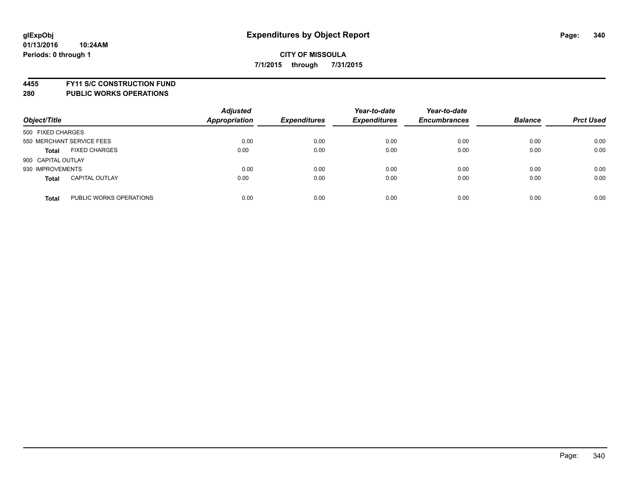**4455 FY11 S/C CONSTRUCTION FUND**

| Object/Title                            | <b>Adjusted</b><br><b>Appropriation</b> | <b>Expenditures</b> | Year-to-date<br><b>Expenditures</b> | Year-to-date<br><b>Encumbrances</b> | <b>Balance</b> | <b>Prct Used</b> |
|-----------------------------------------|-----------------------------------------|---------------------|-------------------------------------|-------------------------------------|----------------|------------------|
| 500 FIXED CHARGES                       |                                         |                     |                                     |                                     |                |                  |
| 550 MERCHANT SERVICE FEES               | 0.00                                    | 0.00                | 0.00                                | 0.00                                | 0.00           | 0.00             |
| <b>FIXED CHARGES</b><br><b>Total</b>    | 0.00                                    | 0.00                | 0.00                                | 0.00                                | 0.00           | 0.00             |
| 900 CAPITAL OUTLAY                      |                                         |                     |                                     |                                     |                |                  |
| 930 IMPROVEMENTS                        | 0.00                                    | 0.00                | 0.00                                | 0.00                                | 0.00           | 0.00             |
| <b>CAPITAL OUTLAY</b><br><b>Total</b>   | 0.00                                    | 0.00                | 0.00                                | 0.00                                | 0.00           | 0.00             |
| PUBLIC WORKS OPERATIONS<br><b>Total</b> | 0.00                                    | 0.00                | 0.00                                | 0.00                                | 0.00           | 0.00             |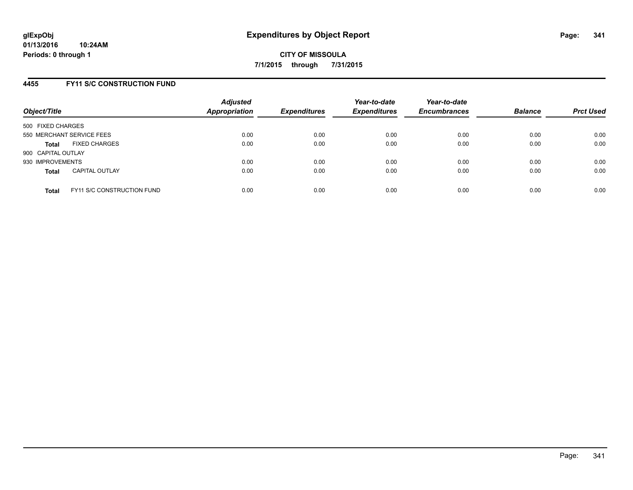## **4455 FY11 S/C CONSTRUCTION FUND**

| Object/Title       |                                   | <b>Adjusted</b><br>Appropriation | <b>Expenditures</b> | Year-to-date<br><b>Expenditures</b> | Year-to-date<br><b>Encumbrances</b> | <b>Balance</b> | <b>Prct Used</b> |
|--------------------|-----------------------------------|----------------------------------|---------------------|-------------------------------------|-------------------------------------|----------------|------------------|
| 500 FIXED CHARGES  |                                   |                                  |                     |                                     |                                     |                |                  |
|                    | 550 MERCHANT SERVICE FEES         | 0.00                             | 0.00                | 0.00                                | 0.00                                | 0.00           | 0.00             |
| <b>Total</b>       | <b>FIXED CHARGES</b>              | 0.00                             | 0.00                | 0.00                                | 0.00                                | 0.00           | 0.00             |
| 900 CAPITAL OUTLAY |                                   |                                  |                     |                                     |                                     |                |                  |
| 930 IMPROVEMENTS   |                                   | 0.00                             | 0.00                | 0.00                                | 0.00                                | 0.00           | 0.00             |
| <b>Total</b>       | <b>CAPITAL OUTLAY</b>             | 0.00                             | 0.00                | 0.00                                | 0.00                                | 0.00           | 0.00             |
| <b>Total</b>       | <b>FY11 S/C CONSTRUCTION FUND</b> | 0.00                             | 0.00                | 0.00                                | 0.00                                | 0.00           | 0.00             |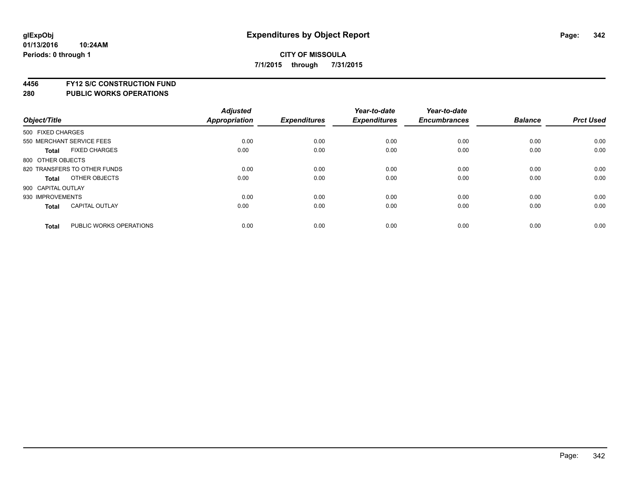# **4456 FY12 S/C CONSTRUCTION FUND**

| Object/Title       |                              | <b>Adjusted</b><br>Appropriation | <b>Expenditures</b> | Year-to-date<br><b>Expenditures</b> | Year-to-date<br><b>Encumbrances</b> | <b>Balance</b> | <b>Prct Used</b> |
|--------------------|------------------------------|----------------------------------|---------------------|-------------------------------------|-------------------------------------|----------------|------------------|
| 500 FIXED CHARGES  |                              |                                  |                     |                                     |                                     |                |                  |
|                    | 550 MERCHANT SERVICE FEES    | 0.00                             | 0.00                | 0.00                                | 0.00                                | 0.00           | 0.00             |
| <b>Total</b>       | <b>FIXED CHARGES</b>         | 0.00                             | 0.00                | 0.00                                | 0.00                                | 0.00           | 0.00             |
| 800 OTHER OBJECTS  |                              |                                  |                     |                                     |                                     |                |                  |
|                    | 820 TRANSFERS TO OTHER FUNDS | 0.00                             | 0.00                | 0.00                                | 0.00                                | 0.00           | 0.00             |
| Total              | OTHER OBJECTS                | 0.00                             | 0.00                | 0.00                                | 0.00                                | 0.00           | 0.00             |
| 900 CAPITAL OUTLAY |                              |                                  |                     |                                     |                                     |                |                  |
| 930 IMPROVEMENTS   |                              | 0.00                             | 0.00                | 0.00                                | 0.00                                | 0.00           | 0.00             |
| Total              | <b>CAPITAL OUTLAY</b>        | 0.00                             | 0.00                | 0.00                                | 0.00                                | 0.00           | 0.00             |
| <b>Total</b>       | PUBLIC WORKS OPERATIONS      | 0.00                             | 0.00                | 0.00                                | 0.00                                | 0.00           | 0.00             |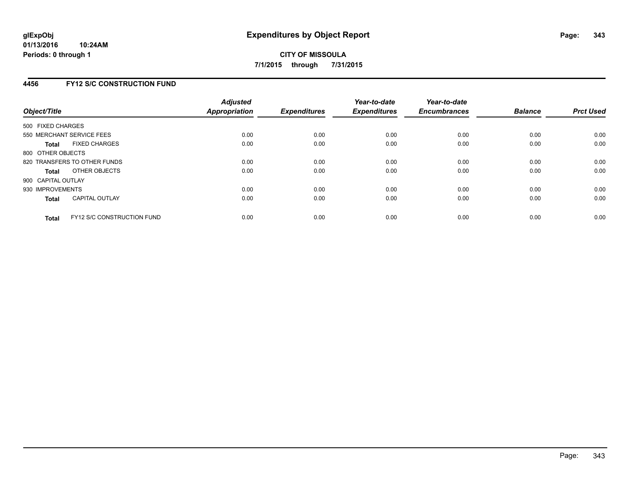## **4456 FY12 S/C CONSTRUCTION FUND**

| Object/Title       |                                   | <b>Adjusted</b><br><b>Appropriation</b> | <b>Expenditures</b> | Year-to-date<br><b>Expenditures</b> | Year-to-date<br><b>Encumbrances</b> | <b>Balance</b> | <b>Prct Used</b> |
|--------------------|-----------------------------------|-----------------------------------------|---------------------|-------------------------------------|-------------------------------------|----------------|------------------|
| 500 FIXED CHARGES  |                                   |                                         |                     |                                     |                                     |                |                  |
|                    | 550 MERCHANT SERVICE FEES         | 0.00                                    | 0.00                | 0.00                                | 0.00                                | 0.00           | 0.00             |
| <b>Total</b>       | <b>FIXED CHARGES</b>              | 0.00                                    | 0.00                | 0.00                                | 0.00                                | 0.00           | 0.00             |
| 800 OTHER OBJECTS  |                                   |                                         |                     |                                     |                                     |                |                  |
|                    | 820 TRANSFERS TO OTHER FUNDS      | 0.00                                    | 0.00                | 0.00                                | 0.00                                | 0.00           | 0.00             |
| <b>Total</b>       | OTHER OBJECTS                     | 0.00                                    | 0.00                | 0.00                                | 0.00                                | 0.00           | 0.00             |
| 900 CAPITAL OUTLAY |                                   |                                         |                     |                                     |                                     |                |                  |
| 930 IMPROVEMENTS   |                                   | 0.00                                    | 0.00                | 0.00                                | 0.00                                | 0.00           | 0.00             |
| Total              | <b>CAPITAL OUTLAY</b>             | 0.00                                    | 0.00                | 0.00                                | 0.00                                | 0.00           | 0.00             |
| <b>Total</b>       | <b>FY12 S/C CONSTRUCTION FUND</b> | 0.00                                    | 0.00                | 0.00                                | 0.00                                | 0.00           | 0.00             |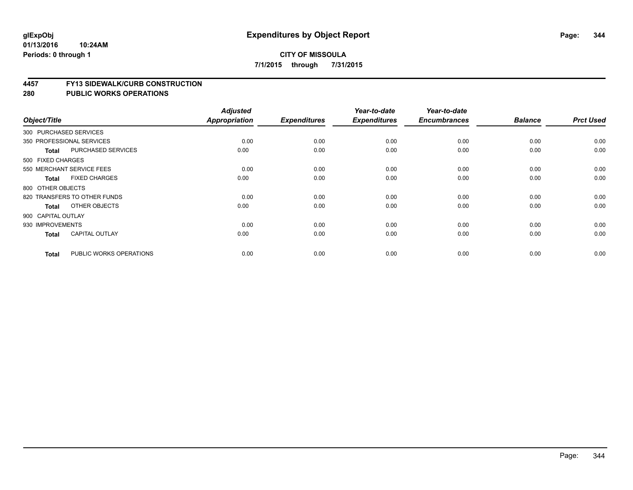#### **01/13/2016 10:24AM Periods: 0 through 1**

## **CITY OF MISSOULA 7/1/2015 through 7/31/2015**

#### **4457 FY13 SIDEWALK/CURB CONSTRUCTION**

| Object/Title       |                              | <b>Adjusted</b><br>Appropriation | <b>Expenditures</b> | Year-to-date<br><b>Expenditures</b> | Year-to-date<br><b>Encumbrances</b> | <b>Balance</b> | <b>Prct Used</b> |
|--------------------|------------------------------|----------------------------------|---------------------|-------------------------------------|-------------------------------------|----------------|------------------|
|                    |                              |                                  |                     |                                     |                                     |                |                  |
|                    | 300 PURCHASED SERVICES       |                                  |                     |                                     |                                     |                |                  |
|                    | 350 PROFESSIONAL SERVICES    | 0.00                             | 0.00                | 0.00                                | 0.00                                | 0.00           | 0.00             |
| <b>Total</b>       | PURCHASED SERVICES           | 0.00                             | 0.00                | 0.00                                | 0.00                                | 0.00           | 0.00             |
| 500 FIXED CHARGES  |                              |                                  |                     |                                     |                                     |                |                  |
|                    | 550 MERCHANT SERVICE FEES    | 0.00                             | 0.00                | 0.00                                | 0.00                                | 0.00           | 0.00             |
| <b>Total</b>       | <b>FIXED CHARGES</b>         | 0.00                             | 0.00                | 0.00                                | 0.00                                | 0.00           | 0.00             |
| 800 OTHER OBJECTS  |                              |                                  |                     |                                     |                                     |                |                  |
|                    | 820 TRANSFERS TO OTHER FUNDS | 0.00                             | 0.00                | 0.00                                | 0.00                                | 0.00           | 0.00             |
| Total              | OTHER OBJECTS                | 0.00                             | 0.00                | 0.00                                | 0.00                                | 0.00           | 0.00             |
| 900 CAPITAL OUTLAY |                              |                                  |                     |                                     |                                     |                |                  |
| 930 IMPROVEMENTS   |                              | 0.00                             | 0.00                | 0.00                                | 0.00                                | 0.00           | 0.00             |
| <b>Total</b>       | <b>CAPITAL OUTLAY</b>        | 0.00                             | 0.00                | 0.00                                | 0.00                                | 0.00           | 0.00             |
| <b>Total</b>       | PUBLIC WORKS OPERATIONS      | 0.00                             | 0.00                | 0.00                                | 0.00                                | 0.00           | 0.00             |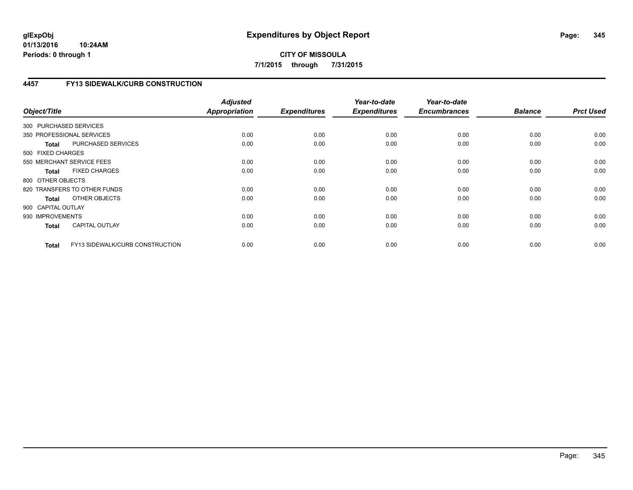## **4457 FY13 SIDEWALK/CURB CONSTRUCTION**

| Object/Title           |                                 | <b>Adjusted</b><br>Appropriation | <b>Expenditures</b> | Year-to-date<br><b>Expenditures</b> | Year-to-date<br><b>Encumbrances</b> | <b>Balance</b> | <b>Prct Used</b> |
|------------------------|---------------------------------|----------------------------------|---------------------|-------------------------------------|-------------------------------------|----------------|------------------|
| 300 PURCHASED SERVICES |                                 |                                  |                     |                                     |                                     |                |                  |
|                        | 350 PROFESSIONAL SERVICES       | 0.00                             | 0.00                | 0.00                                | 0.00                                | 0.00           | 0.00             |
| <b>Total</b>           | PURCHASED SERVICES              | 0.00                             | 0.00                | 0.00                                | 0.00                                | 0.00           | 0.00             |
| 500 FIXED CHARGES      |                                 |                                  |                     |                                     |                                     |                |                  |
|                        | 550 MERCHANT SERVICE FEES       | 0.00                             | 0.00                | 0.00                                | 0.00                                | 0.00           | 0.00             |
| <b>Total</b>           | <b>FIXED CHARGES</b>            | 0.00                             | 0.00                | 0.00                                | 0.00                                | 0.00           | 0.00             |
| 800 OTHER OBJECTS      |                                 |                                  |                     |                                     |                                     |                |                  |
|                        | 820 TRANSFERS TO OTHER FUNDS    | 0.00                             | 0.00                | 0.00                                | 0.00                                | 0.00           | 0.00             |
| Total                  | OTHER OBJECTS                   | 0.00                             | 0.00                | 0.00                                | 0.00                                | 0.00           | 0.00             |
| 900 CAPITAL OUTLAY     |                                 |                                  |                     |                                     |                                     |                |                  |
| 930 IMPROVEMENTS       |                                 | 0.00                             | 0.00                | 0.00                                | 0.00                                | 0.00           | 0.00             |
| <b>Total</b>           | <b>CAPITAL OUTLAY</b>           | 0.00                             | 0.00                | 0.00                                | 0.00                                | 0.00           | 0.00             |
| <b>Total</b>           | FY13 SIDEWALK/CURB CONSTRUCTION | 0.00                             | 0.00                | 0.00                                | 0.00                                | 0.00           | 0.00             |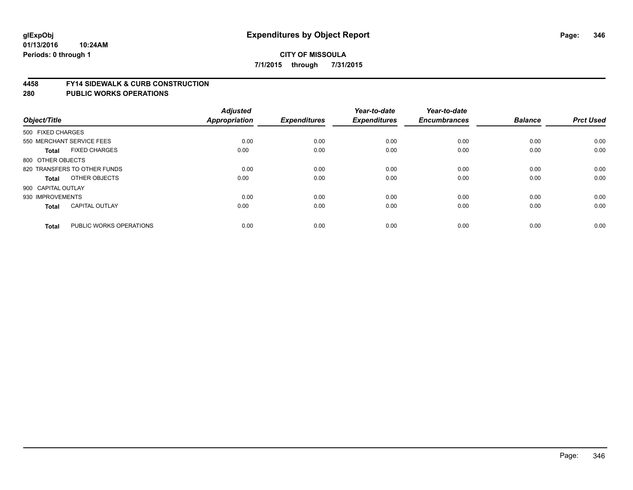#### **4458 FY14 SIDEWALK & CURB CONSTRUCTION**

| Object/Title              |                              | <b>Adjusted</b><br>Appropriation | <b>Expenditures</b> | Year-to-date<br><b>Expenditures</b> | Year-to-date<br><b>Encumbrances</b> | <b>Balance</b> | <b>Prct Used</b> |
|---------------------------|------------------------------|----------------------------------|---------------------|-------------------------------------|-------------------------------------|----------------|------------------|
| 500 FIXED CHARGES         |                              |                                  |                     |                                     |                                     |                |                  |
| 550 MERCHANT SERVICE FEES |                              | 0.00                             | 0.00                | 0.00                                | 0.00                                | 0.00           | 0.00             |
| <b>Total</b>              | <b>FIXED CHARGES</b>         | 0.00                             | 0.00                | 0.00                                | 0.00                                | 0.00           | 0.00             |
| 800 OTHER OBJECTS         |                              |                                  |                     |                                     |                                     |                |                  |
|                           | 820 TRANSFERS TO OTHER FUNDS | 0.00                             | 0.00                | 0.00                                | 0.00                                | 0.00           | 0.00             |
| Total                     | OTHER OBJECTS                | 0.00                             | 0.00                | 0.00                                | 0.00                                | 0.00           | 0.00             |
| 900 CAPITAL OUTLAY        |                              |                                  |                     |                                     |                                     |                |                  |
| 930 IMPROVEMENTS          |                              | 0.00                             | 0.00                | 0.00                                | 0.00                                | 0.00           | 0.00             |
| Total                     | <b>CAPITAL OUTLAY</b>        | 0.00                             | 0.00                | 0.00                                | 0.00                                | 0.00           | 0.00             |
|                           |                              |                                  |                     |                                     |                                     |                |                  |
| <b>Total</b>              | PUBLIC WORKS OPERATIONS      | 0.00                             | 0.00                | 0.00                                | 0.00                                | 0.00           | 0.00             |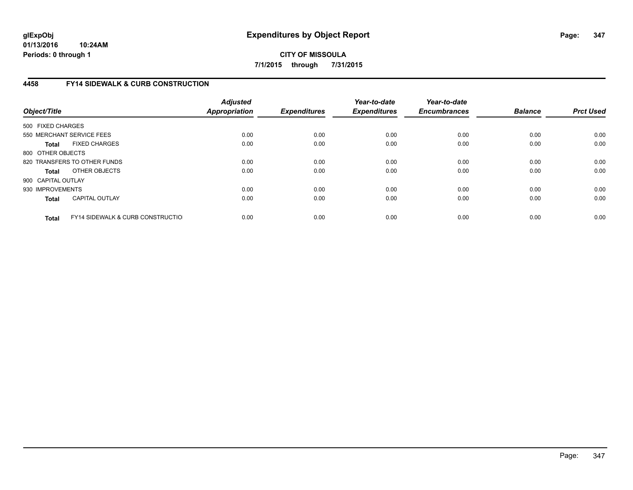# **4458 FY14 SIDEWALK & CURB CONSTRUCTION**

| Object/Title       |                                              | <b>Adjusted</b><br>Appropriation | <b>Expenditures</b> | Year-to-date<br><b>Expenditures</b> | Year-to-date<br><b>Encumbrances</b> | <b>Balance</b> | <b>Prct Used</b> |
|--------------------|----------------------------------------------|----------------------------------|---------------------|-------------------------------------|-------------------------------------|----------------|------------------|
| 500 FIXED CHARGES  |                                              |                                  |                     |                                     |                                     |                |                  |
|                    | 550 MERCHANT SERVICE FEES                    | 0.00                             | 0.00                | 0.00                                | 0.00                                | 0.00           | 0.00             |
| <b>Total</b>       | <b>FIXED CHARGES</b>                         | 0.00                             | 0.00                | 0.00                                | 0.00                                | 0.00           | 0.00             |
| 800 OTHER OBJECTS  |                                              |                                  |                     |                                     |                                     |                |                  |
|                    | 820 TRANSFERS TO OTHER FUNDS                 | 0.00                             | 0.00                | 0.00                                | 0.00                                | 0.00           | 0.00             |
| <b>Total</b>       | OTHER OBJECTS                                | 0.00                             | 0.00                | 0.00                                | 0.00                                | 0.00           | 0.00             |
| 900 CAPITAL OUTLAY |                                              |                                  |                     |                                     |                                     |                |                  |
| 930 IMPROVEMENTS   |                                              | 0.00                             | 0.00                | 0.00                                | 0.00                                | 0.00           | 0.00             |
| Total              | <b>CAPITAL OUTLAY</b>                        | 0.00                             | 0.00                | 0.00                                | 0.00                                | 0.00           | 0.00             |
| <b>Total</b>       | <b>FY14 SIDEWALK &amp; CURB CONSTRUCTIOL</b> | 0.00                             | 0.00                | 0.00                                | 0.00                                | 0.00           | 0.00             |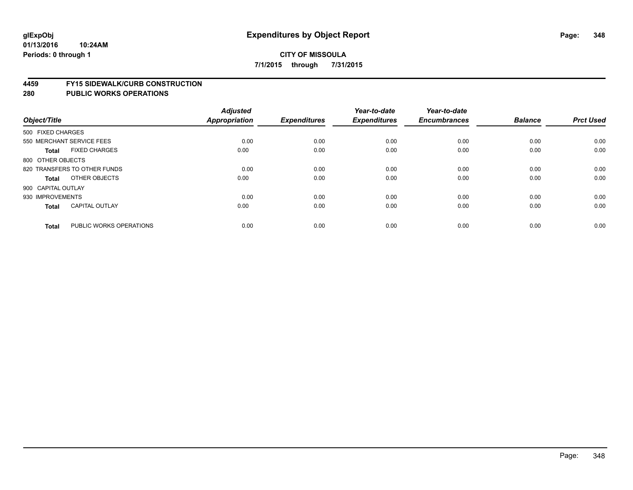#### **01/13/2016 10:24AM Periods: 0 through 1**

## **CITY OF MISSOULA 7/1/2015 through 7/31/2015**

#### **4459 FY15 SIDEWALK/CURB CONSTRUCTION**

| Object/Title       |                              | <b>Adjusted</b><br><b>Appropriation</b> | <b>Expenditures</b> | Year-to-date<br><b>Expenditures</b> | Year-to-date<br><b>Encumbrances</b> | <b>Balance</b> | <b>Prct Used</b> |
|--------------------|------------------------------|-----------------------------------------|---------------------|-------------------------------------|-------------------------------------|----------------|------------------|
| 500 FIXED CHARGES  |                              |                                         |                     |                                     |                                     |                |                  |
|                    | 550 MERCHANT SERVICE FEES    | 0.00                                    | 0.00                | 0.00                                | 0.00                                | 0.00           | 0.00             |
| <b>Total</b>       | <b>FIXED CHARGES</b>         | 0.00                                    | 0.00                | 0.00                                | 0.00                                | 0.00           | 0.00             |
| 800 OTHER OBJECTS  |                              |                                         |                     |                                     |                                     |                |                  |
|                    | 820 TRANSFERS TO OTHER FUNDS | 0.00                                    | 0.00                | 0.00                                | 0.00                                | 0.00           | 0.00             |
| Total              | OTHER OBJECTS                | 0.00                                    | 0.00                | 0.00                                | 0.00                                | 0.00           | 0.00             |
| 900 CAPITAL OUTLAY |                              |                                         |                     |                                     |                                     |                |                  |
| 930 IMPROVEMENTS   |                              | 0.00                                    | 0.00                | 0.00                                | 0.00                                | 0.00           | 0.00             |
| <b>Total</b>       | <b>CAPITAL OUTLAY</b>        | 0.00                                    | 0.00                | 0.00                                | 0.00                                | 0.00           | 0.00             |
| <b>Total</b>       | PUBLIC WORKS OPERATIONS      | 0.00                                    | 0.00                | 0.00                                | 0.00                                | 0.00           | 0.00             |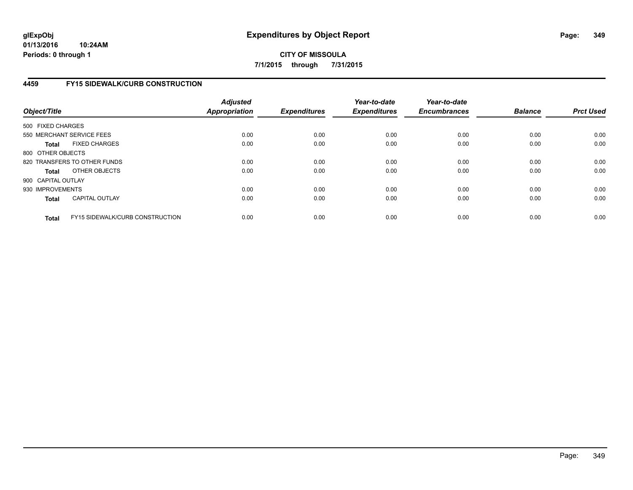# **4459 FY15 SIDEWALK/CURB CONSTRUCTION**

| Object/Title       |                                        | <b>Adjusted</b><br><b>Appropriation</b> | <b>Expenditures</b> | Year-to-date<br><b>Expenditures</b> | Year-to-date<br><b>Encumbrances</b> | <b>Balance</b> | <b>Prct Used</b> |
|--------------------|----------------------------------------|-----------------------------------------|---------------------|-------------------------------------|-------------------------------------|----------------|------------------|
| 500 FIXED CHARGES  |                                        |                                         |                     |                                     |                                     |                |                  |
|                    | 550 MERCHANT SERVICE FEES              | 0.00                                    | 0.00                | 0.00                                | 0.00                                | 0.00           | 0.00             |
| <b>Total</b>       | <b>FIXED CHARGES</b>                   | 0.00                                    | 0.00                | 0.00                                | 0.00                                | 0.00           | 0.00             |
| 800 OTHER OBJECTS  |                                        |                                         |                     |                                     |                                     |                |                  |
|                    | 820 TRANSFERS TO OTHER FUNDS           | 0.00                                    | 0.00                | 0.00                                | 0.00                                | 0.00           | 0.00             |
| <b>Total</b>       | OTHER OBJECTS                          | 0.00                                    | 0.00                | 0.00                                | 0.00                                | 0.00           | 0.00             |
| 900 CAPITAL OUTLAY |                                        |                                         |                     |                                     |                                     |                |                  |
| 930 IMPROVEMENTS   |                                        | 0.00                                    | 0.00                | 0.00                                | 0.00                                | 0.00           | 0.00             |
| Total              | <b>CAPITAL OUTLAY</b>                  | 0.00                                    | 0.00                | 0.00                                | 0.00                                | 0.00           | 0.00             |
| <b>Total</b>       | <b>FY15 SIDEWALK/CURB CONSTRUCTION</b> | 0.00                                    | 0.00                | 0.00                                | 0.00                                | 0.00           | 0.00             |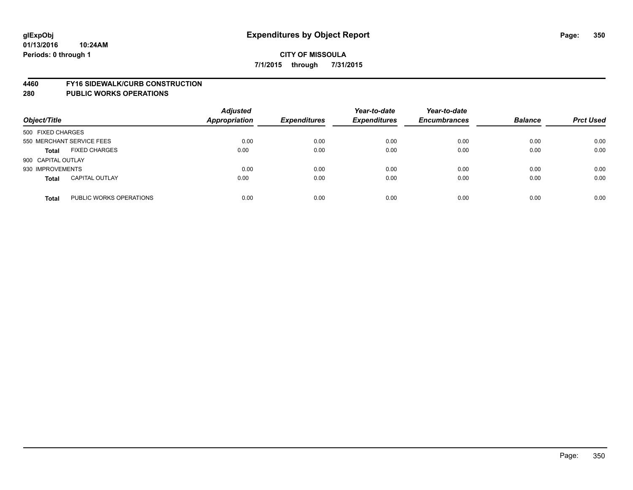#### **4460 FY16 SIDEWALK/CURB CONSTRUCTION**

| Object/Title       |                           | <b>Adjusted</b><br><b>Appropriation</b> | <b>Expenditures</b> | Year-to-date<br><b>Expenditures</b> | Year-to-date<br><b>Encumbrances</b> | <b>Balance</b> | <b>Prct Used</b> |
|--------------------|---------------------------|-----------------------------------------|---------------------|-------------------------------------|-------------------------------------|----------------|------------------|
| 500 FIXED CHARGES  |                           |                                         |                     |                                     |                                     |                |                  |
|                    | 550 MERCHANT SERVICE FEES | 0.00                                    | 0.00                | 0.00                                | 0.00                                | 0.00           | 0.00             |
| <b>Total</b>       | <b>FIXED CHARGES</b>      | 0.00                                    | 0.00                | 0.00                                | 0.00                                | 0.00           | 0.00             |
| 900 CAPITAL OUTLAY |                           |                                         |                     |                                     |                                     |                |                  |
| 930 IMPROVEMENTS   |                           | 0.00                                    | 0.00                | 0.00                                | 0.00                                | 0.00           | 0.00             |
| <b>Total</b>       | <b>CAPITAL OUTLAY</b>     | 0.00                                    | 0.00                | 0.00                                | 0.00                                | 0.00           | 0.00             |
| <b>Total</b>       | PUBLIC WORKS OPERATIONS   | 0.00                                    | 0.00                | 0.00                                | 0.00                                | 0.00           | 0.00             |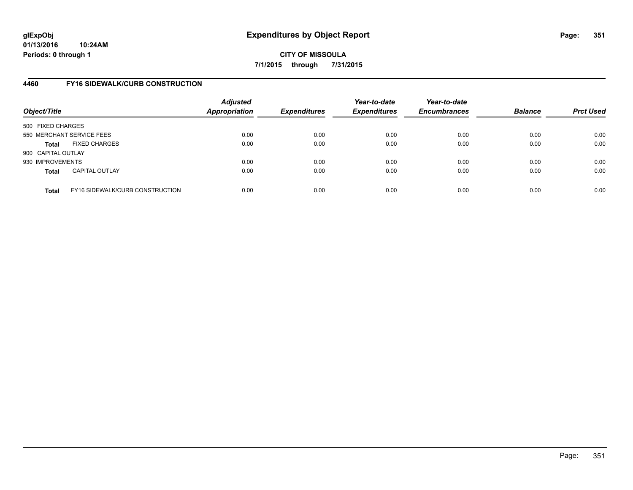## **4460 FY16 SIDEWALK/CURB CONSTRUCTION**

| Object/Title       |                                        | <b>Adjusted</b><br><b>Appropriation</b> | <b>Expenditures</b> | Year-to-date<br><b>Expenditures</b> | Year-to-date<br><b>Encumbrances</b> | <b>Balance</b> | <b>Prct Used</b> |
|--------------------|----------------------------------------|-----------------------------------------|---------------------|-------------------------------------|-------------------------------------|----------------|------------------|
| 500 FIXED CHARGES  |                                        |                                         |                     |                                     |                                     |                |                  |
|                    | 550 MERCHANT SERVICE FEES              | 0.00                                    | 0.00                | 0.00                                | 0.00                                | 0.00           | 0.00             |
| <b>Total</b>       | <b>FIXED CHARGES</b>                   | 0.00                                    | 0.00                | 0.00                                | 0.00                                | 0.00           | 0.00             |
| 900 CAPITAL OUTLAY |                                        |                                         |                     |                                     |                                     |                |                  |
| 930 IMPROVEMENTS   |                                        | 0.00                                    | 0.00                | 0.00                                | 0.00                                | 0.00           | 0.00             |
| <b>Total</b>       | <b>CAPITAL OUTLAY</b>                  | 0.00                                    | 0.00                | 0.00                                | 0.00                                | 0.00           | 0.00             |
| <b>Total</b>       | <b>FY16 SIDEWALK/CURB CONSTRUCTION</b> | 0.00                                    | 0.00                | 0.00                                | 0.00                                | 0.00           | 0.00             |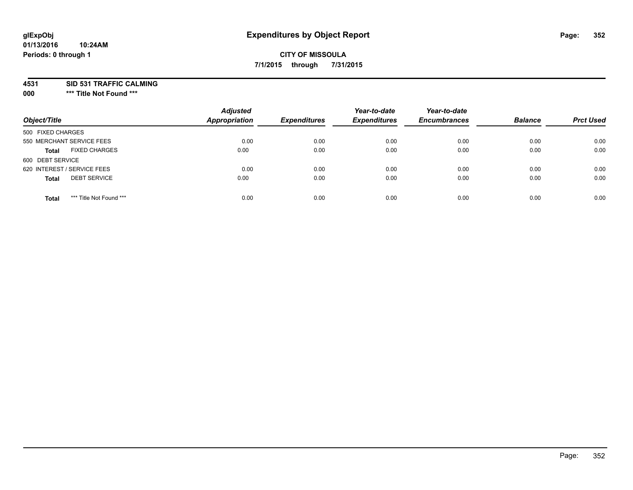#### **01/13/2016 10:24AM Periods: 0 through 1**

# **CITY OF MISSOULA 7/1/2015 through 7/31/2015**

**4531 SID 531 TRAFFIC CALMING**

**000 \*\*\* Title Not Found \*\*\***

| Object/Title                            | <b>Adjusted</b><br>Appropriation | <b>Expenditures</b> | Year-to-date<br><b>Expenditures</b> | Year-to-date<br><b>Encumbrances</b> | <b>Balance</b> | <b>Prct Used</b> |
|-----------------------------------------|----------------------------------|---------------------|-------------------------------------|-------------------------------------|----------------|------------------|
| 500 FIXED CHARGES                       |                                  |                     |                                     |                                     |                |                  |
| 550 MERCHANT SERVICE FEES               | 0.00                             | 0.00                | 0.00                                | 0.00                                | 0.00           | 0.00             |
| <b>FIXED CHARGES</b><br><b>Total</b>    | 0.00                             | 0.00                | 0.00                                | 0.00                                | 0.00           | 0.00             |
| 600 DEBT SERVICE                        |                                  |                     |                                     |                                     |                |                  |
| 620 INTEREST / SERVICE FEES             | 0.00                             | 0.00                | 0.00                                | 0.00                                | 0.00           | 0.00             |
| <b>DEBT SERVICE</b><br><b>Total</b>     | 0.00                             | 0.00                | 0.00                                | 0.00                                | 0.00           | 0.00             |
| *** Title Not Found ***<br><b>Total</b> | 0.00                             | 0.00                | 0.00                                | 0.00                                | 0.00           | 0.00             |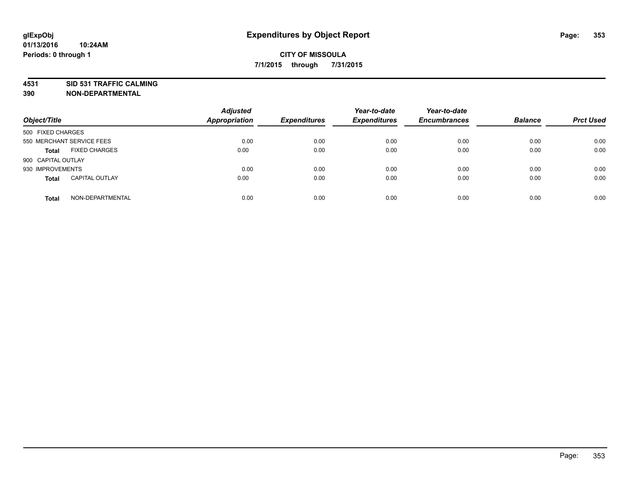**4531 SID 531 TRAFFIC CALMING**

**390 NON-DEPARTMENTAL**

| Object/Title              |                       | <b>Adjusted</b><br><b>Appropriation</b> | <b>Expenditures</b> | Year-to-date<br><b>Expenditures</b> | Year-to-date<br><b>Encumbrances</b> | <b>Balance</b> | <b>Prct Used</b> |
|---------------------------|-----------------------|-----------------------------------------|---------------------|-------------------------------------|-------------------------------------|----------------|------------------|
| 500 FIXED CHARGES         |                       |                                         |                     |                                     |                                     |                |                  |
| 550 MERCHANT SERVICE FEES |                       | 0.00                                    | 0.00                | 0.00                                | 0.00                                | 0.00           | 0.00             |
| <b>Total</b>              | <b>FIXED CHARGES</b>  | 0.00                                    | 0.00                | 0.00                                | 0.00                                | 0.00           | 0.00             |
| 900 CAPITAL OUTLAY        |                       |                                         |                     |                                     |                                     |                |                  |
| 930 IMPROVEMENTS          |                       | 0.00                                    | 0.00                | 0.00                                | 0.00                                | 0.00           | 0.00             |
| <b>Total</b>              | <b>CAPITAL OUTLAY</b> | 0.00                                    | 0.00                | 0.00                                | 0.00                                | 0.00           | 0.00             |
| <b>Total</b>              | NON-DEPARTMENTAL      | 0.00                                    | 0.00                | 0.00                                | 0.00                                | 0.00           | 0.00             |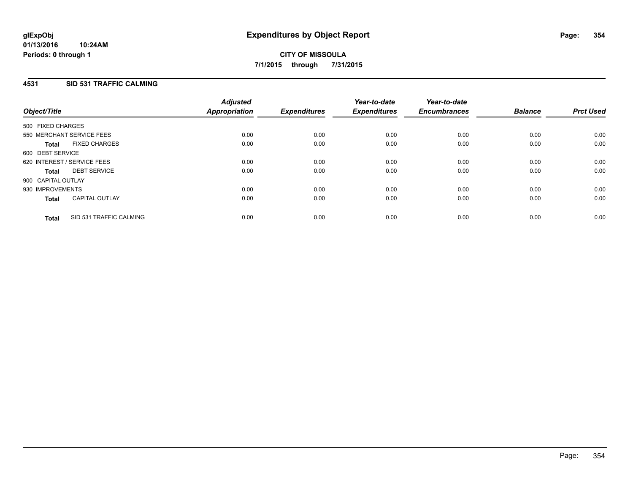# **4531 SID 531 TRAFFIC CALMING**

| Object/Title                |                           | <b>Adjusted</b><br>Appropriation | <b>Expenditures</b> | Year-to-date<br><b>Expenditures</b> | Year-to-date<br><b>Encumbrances</b> | <b>Balance</b> | <b>Prct Used</b> |
|-----------------------------|---------------------------|----------------------------------|---------------------|-------------------------------------|-------------------------------------|----------------|------------------|
| 500 FIXED CHARGES           |                           |                                  |                     |                                     |                                     |                |                  |
|                             | 550 MERCHANT SERVICE FEES | 0.00                             | 0.00                | 0.00                                | 0.00                                | 0.00           | 0.00             |
| <b>Total</b>                | <b>FIXED CHARGES</b>      | 0.00                             | 0.00                | 0.00                                | 0.00                                | 0.00           | 0.00             |
| 600 DEBT SERVICE            |                           |                                  |                     |                                     |                                     |                |                  |
| 620 INTEREST / SERVICE FEES |                           | 0.00                             | 0.00                | 0.00                                | 0.00                                | 0.00           | 0.00             |
| <b>Total</b>                | <b>DEBT SERVICE</b>       | 0.00                             | 0.00                | 0.00                                | 0.00                                | 0.00           | 0.00             |
| 900 CAPITAL OUTLAY          |                           |                                  |                     |                                     |                                     |                |                  |
| 930 IMPROVEMENTS            |                           | 0.00                             | 0.00                | 0.00                                | 0.00                                | 0.00           | 0.00             |
| <b>Total</b>                | <b>CAPITAL OUTLAY</b>     | 0.00                             | 0.00                | 0.00                                | 0.00                                | 0.00           | 0.00             |
| <b>Total</b>                | SID 531 TRAFFIC CALMING   | 0.00                             | 0.00                | 0.00                                | 0.00                                | 0.00           | 0.00             |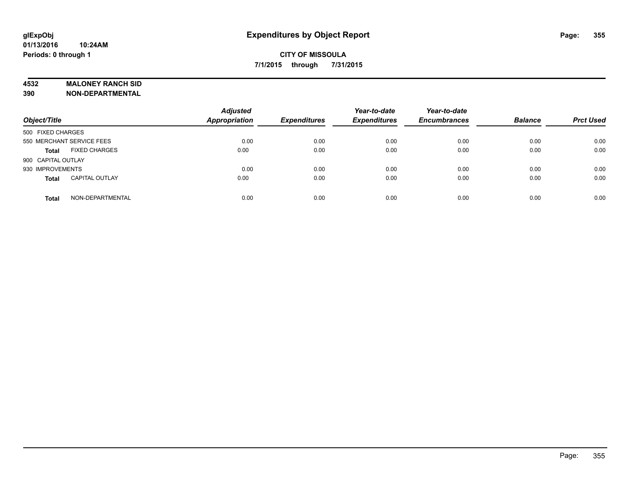## **4532 MALONEY RANCH SID**

**390 NON-DEPARTMENTAL**

| Object/Title              |                       | <b>Adjusted</b><br><b>Appropriation</b> | <b>Expenditures</b> | Year-to-date<br><b>Expenditures</b> | Year-to-date<br><b>Encumbrances</b> | <b>Balance</b> | <b>Prct Used</b> |
|---------------------------|-----------------------|-----------------------------------------|---------------------|-------------------------------------|-------------------------------------|----------------|------------------|
| 500 FIXED CHARGES         |                       |                                         |                     |                                     |                                     |                |                  |
| 550 MERCHANT SERVICE FEES |                       | 0.00                                    | 0.00                | 0.00                                | 0.00                                | 0.00           | 0.00             |
| <b>Total</b>              | <b>FIXED CHARGES</b>  | 0.00                                    | 0.00                | 0.00                                | 0.00                                | 0.00           | 0.00             |
| 900 CAPITAL OUTLAY        |                       |                                         |                     |                                     |                                     |                |                  |
| 930 IMPROVEMENTS          |                       | 0.00                                    | 0.00                | 0.00                                | 0.00                                | 0.00           | 0.00             |
| <b>Total</b>              | <b>CAPITAL OUTLAY</b> | 0.00                                    | 0.00                | 0.00                                | 0.00                                | 0.00           | 0.00             |
| <b>Total</b>              | NON-DEPARTMENTAL      | 0.00                                    | 0.00                | 0.00                                | 0.00                                | 0.00           | 0.00             |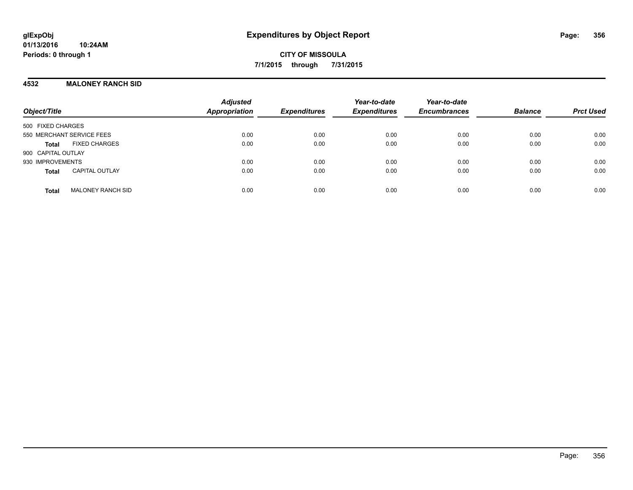## **4532 MALONEY RANCH SID**

| Object/Title                             | <b>Adjusted</b><br><b>Appropriation</b> | <b>Expenditures</b> | Year-to-date<br><b>Expenditures</b> | Year-to-date<br><b>Encumbrances</b> | <b>Balance</b> | <b>Prct Used</b> |
|------------------------------------------|-----------------------------------------|---------------------|-------------------------------------|-------------------------------------|----------------|------------------|
| 500 FIXED CHARGES                        |                                         |                     |                                     |                                     |                |                  |
| 550 MERCHANT SERVICE FEES                | 0.00                                    | 0.00                | 0.00                                | 0.00                                | 0.00           | 0.00             |
| <b>FIXED CHARGES</b><br><b>Total</b>     | 0.00                                    | 0.00                | 0.00                                | 0.00                                | 0.00           | 0.00             |
| 900 CAPITAL OUTLAY                       |                                         |                     |                                     |                                     |                |                  |
| 930 IMPROVEMENTS                         | 0.00                                    | 0.00                | 0.00                                | 0.00                                | 0.00           | 0.00             |
| <b>CAPITAL OUTLAY</b><br><b>Total</b>    | 0.00                                    | 0.00                | 0.00                                | 0.00                                | 0.00           | 0.00             |
| <b>MALONEY RANCH SID</b><br><b>Total</b> | 0.00                                    | 0.00                | 0.00                                | 0.00                                | 0.00           | 0.00             |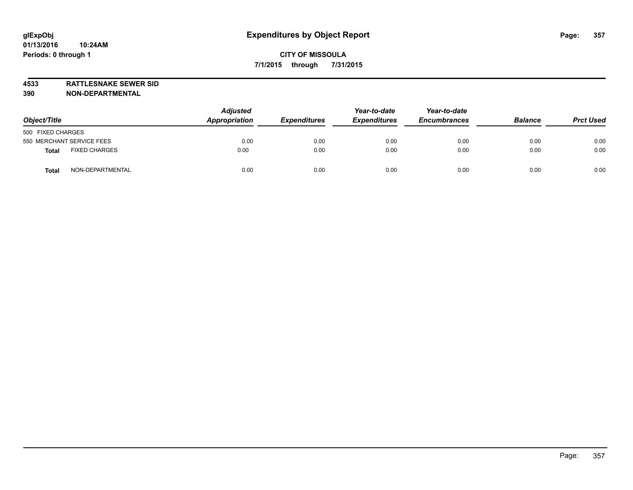**4533 RATTLESNAKE SEWER SID 390 NON-DEPARTMENTAL**

| Object/Title                     | <b>Adjusted</b><br>Appropriation | <b>Expenditures</b> | Year-to-date<br><b>Expenditures</b> | Year-to-date<br><b>Encumbrances</b> | <b>Balance</b> | <b>Prct Used</b> |
|----------------------------------|----------------------------------|---------------------|-------------------------------------|-------------------------------------|----------------|------------------|
| 500 FIXED CHARGES                |                                  |                     |                                     |                                     |                |                  |
| 550 MERCHANT SERVICE FEES        | 0.00                             | 0.00                | 0.00                                | 0.00                                | 0.00           | 0.00             |
| <b>FIXED CHARGES</b><br>Total    | 0.00                             | 0.00                | 0.00                                | 0.00                                | 0.00           | 0.00             |
| NON-DEPARTMENTAL<br><b>Total</b> | 0.00                             | 0.00                | 0.00                                | 0.00                                | 0.00           | 0.00             |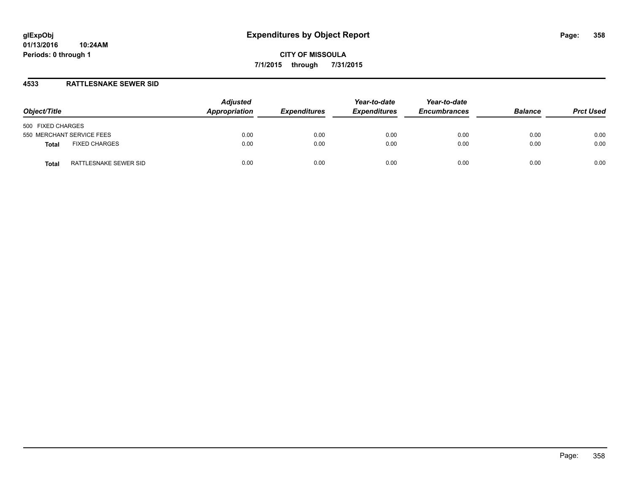## **4533 RATTLESNAKE SEWER SID**

| Object/Title                         | <b>Adjusted</b><br>Appropriation | <b>Expenditures</b> | Year-to-date<br><b>Expenditures</b> | Year-to-date<br><b>Encumbrances</b> | <b>Balance</b> | <b>Prct Used</b> |
|--------------------------------------|----------------------------------|---------------------|-------------------------------------|-------------------------------------|----------------|------------------|
| 500 FIXED CHARGES                    |                                  |                     |                                     |                                     |                |                  |
| 550 MERCHANT SERVICE FEES            | 0.00                             | 0.00                | 0.00                                | 0.00                                | 0.00           | 0.00             |
| <b>FIXED CHARGES</b><br><b>Total</b> | 0.00                             | 0.00                | 0.00                                | 0.00                                | 0.00           | 0.00             |
| RATTLESNAKE SEWER SID<br>Total       | 0.00                             | 0.00                | 0.00                                | 0.00                                | 0.00           | 0.00             |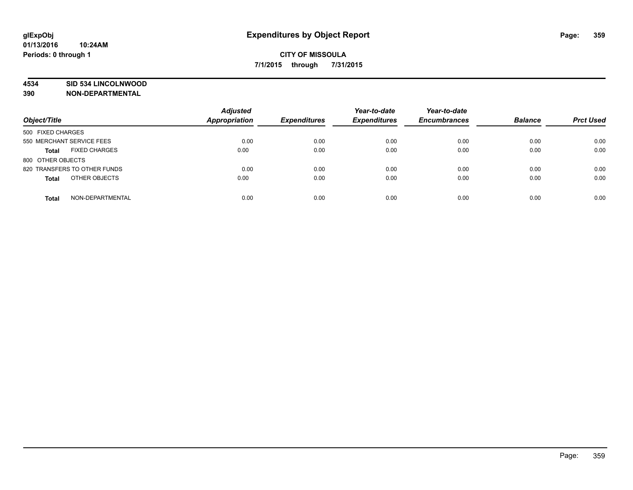## **4534 SID 534 LINCOLNWOOD**

**390 NON-DEPARTMENTAL**

| Object/Title                         | <b>Adjusted</b><br>Appropriation | <b>Expenditures</b> | Year-to-date<br><b>Expenditures</b> | Year-to-date<br><b>Encumbrances</b> | <b>Balance</b> | <b>Prct Used</b> |
|--------------------------------------|----------------------------------|---------------------|-------------------------------------|-------------------------------------|----------------|------------------|
| 500 FIXED CHARGES                    |                                  |                     |                                     |                                     |                |                  |
| 550 MERCHANT SERVICE FEES            | 0.00                             | 0.00                | 0.00                                | 0.00                                | 0.00           | 0.00             |
| <b>FIXED CHARGES</b><br><b>Total</b> | 0.00                             | 0.00                | 0.00                                | 0.00                                | 0.00           | 0.00             |
| 800 OTHER OBJECTS                    |                                  |                     |                                     |                                     |                |                  |
| 820 TRANSFERS TO OTHER FUNDS         | 0.00                             | 0.00                | 0.00                                | 0.00                                | 0.00           | 0.00             |
| OTHER OBJECTS<br><b>Total</b>        | 0.00                             | 0.00                | 0.00                                | 0.00                                | 0.00           | 0.00             |
| NON-DEPARTMENTAL<br><b>Total</b>     | 0.00                             | 0.00                | 0.00                                | 0.00                                | 0.00           | 0.00             |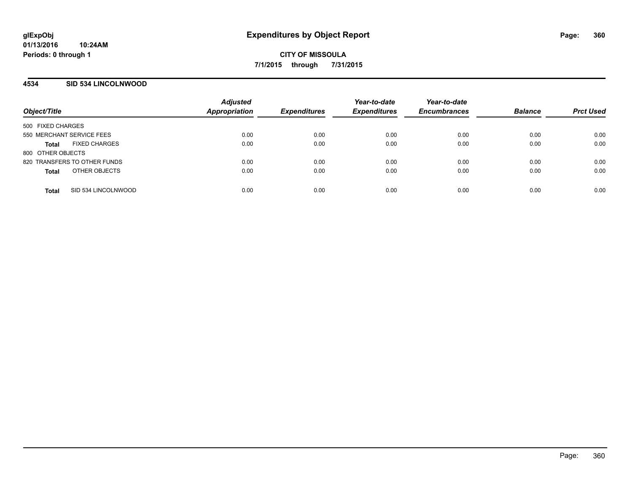## **4534 SID 534 LINCOLNWOOD**

| Object/Title                         | <b>Adjusted</b><br>Appropriation | <b>Expenditures</b> | Year-to-date<br><b>Expenditures</b> | Year-to-date<br><b>Encumbrances</b> | <b>Balance</b> | <b>Prct Used</b> |
|--------------------------------------|----------------------------------|---------------------|-------------------------------------|-------------------------------------|----------------|------------------|
| 500 FIXED CHARGES                    |                                  |                     |                                     |                                     |                |                  |
| 550 MERCHANT SERVICE FEES            | 0.00                             | 0.00                | 0.00                                | 0.00                                | 0.00           | 0.00             |
| <b>FIXED CHARGES</b><br><b>Total</b> | 0.00                             | 0.00                | 0.00                                | 0.00                                | 0.00           | 0.00             |
| 800 OTHER OBJECTS                    |                                  |                     |                                     |                                     |                |                  |
| 820 TRANSFERS TO OTHER FUNDS         | 0.00                             | 0.00                | 0.00                                | 0.00                                | 0.00           | 0.00             |
| OTHER OBJECTS<br><b>Total</b>        | 0.00                             | 0.00                | 0.00                                | 0.00                                | 0.00           | 0.00             |
| SID 534 LINCOLNWOOD<br><b>Total</b>  | 0.00                             | 0.00                | 0.00                                | 0.00                                | 0.00           | 0.00             |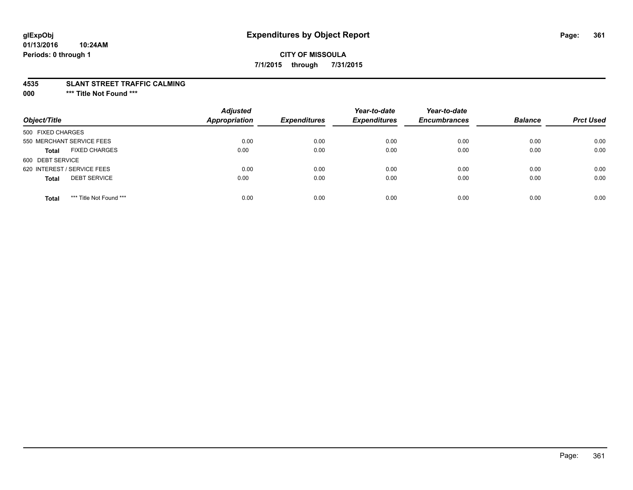## **CITY OF MISSOULA 7/1/2015 through 7/31/2015**

#### **4535 SLANT STREET TRAFFIC CALMING**

**000 \*\*\* Title Not Found \*\*\***

| Object/Title                            | <b>Adjusted</b><br>Appropriation | <b>Expenditures</b> | Year-to-date<br><b>Expenditures</b> | Year-to-date<br><b>Encumbrances</b> | <b>Balance</b> | <b>Prct Used</b> |
|-----------------------------------------|----------------------------------|---------------------|-------------------------------------|-------------------------------------|----------------|------------------|
| 500 FIXED CHARGES                       |                                  |                     |                                     |                                     |                |                  |
| 550 MERCHANT SERVICE FEES               | 0.00                             | 0.00                | 0.00                                | 0.00                                | 0.00           | 0.00             |
| <b>FIXED CHARGES</b><br><b>Total</b>    | 0.00                             | 0.00                | 0.00                                | 0.00                                | 0.00           | 0.00             |
| 600 DEBT SERVICE                        |                                  |                     |                                     |                                     |                |                  |
| 620 INTEREST / SERVICE FEES             | 0.00                             | 0.00                | 0.00                                | 0.00                                | 0.00           | 0.00             |
| <b>DEBT SERVICE</b><br><b>Total</b>     | 0.00                             | 0.00                | 0.00                                | 0.00                                | 0.00           | 0.00             |
| *** Title Not Found ***<br><b>Total</b> | 0.00                             | 0.00                | 0.00                                | 0.00                                | 0.00           | 0.00             |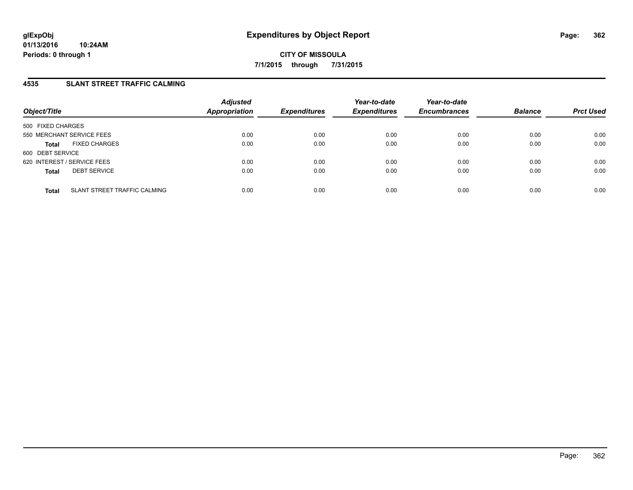## **4535 SLANT STREET TRAFFIC CALMING**

| Object/Title                                 | <b>Adjusted</b><br><b>Appropriation</b> | <b>Expenditures</b> | Year-to-date<br><b>Expenditures</b> | Year-to-date<br><b>Encumbrances</b> | <b>Balance</b> | <b>Prct Used</b> |
|----------------------------------------------|-----------------------------------------|---------------------|-------------------------------------|-------------------------------------|----------------|------------------|
| 500 FIXED CHARGES                            |                                         |                     |                                     |                                     |                |                  |
| 550 MERCHANT SERVICE FEES                    | 0.00                                    | 0.00                | 0.00                                | 0.00                                | 0.00           | 0.00             |
| <b>FIXED CHARGES</b><br><b>Total</b>         | 0.00                                    | 0.00                | 0.00                                | 0.00                                | 0.00           | 0.00             |
| 600 DEBT SERVICE                             |                                         |                     |                                     |                                     |                |                  |
| 620 INTEREST / SERVICE FEES                  | 0.00                                    | 0.00                | 0.00                                | 0.00                                | 0.00           | 0.00             |
| <b>DEBT SERVICE</b><br><b>Total</b>          | 0.00                                    | 0.00                | 0.00                                | 0.00                                | 0.00           | 0.00             |
| SLANT STREET TRAFFIC CALMING<br><b>Total</b> | 0.00                                    | 0.00                | 0.00                                | 0.00                                | 0.00           | 0.00             |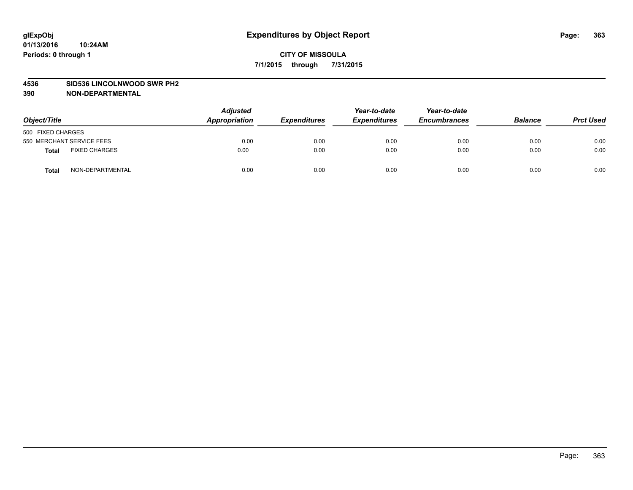#### **4536 SID536 LINCOLNWOOD SWR PH2**

| Object/Title              |                      | <b>Adjusted</b><br>Appropriation | <b>Expenditures</b> | Year-to-date<br><b>Expenditures</b> | Year-to-date<br><b>Encumbrances</b> | <b>Balance</b> | <b>Prct Used</b> |
|---------------------------|----------------------|----------------------------------|---------------------|-------------------------------------|-------------------------------------|----------------|------------------|
| 500 FIXED CHARGES         |                      |                                  |                     |                                     |                                     |                |                  |
| 550 MERCHANT SERVICE FEES |                      | 0.00                             | 0.00                | 0.00                                | 0.00                                | 0.00           | 0.00             |
| <b>Total</b>              | <b>FIXED CHARGES</b> | 0.00                             | 0.00                | 0.00                                | 0.00                                | 0.00           | 0.00             |
| Total                     | NON-DEPARTMENTAL     | 0.00                             | 0.00                | 0.00                                | 0.00                                | 0.00           | 0.00             |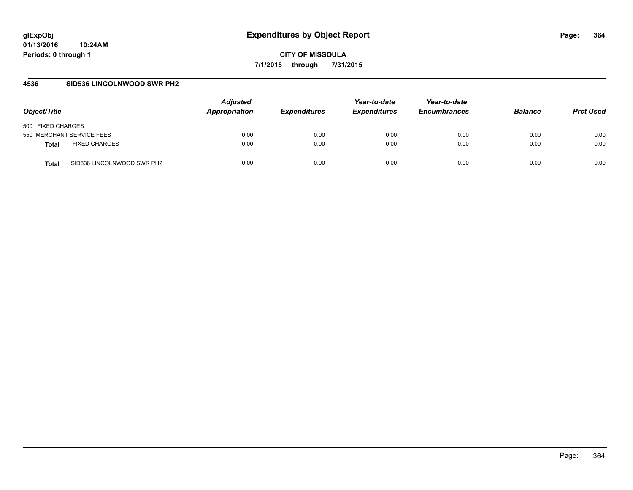#### **4536 SID536 LINCOLNWOOD SWR PH2**

| Object/Title                         | <b>Adjusted</b><br>Appropriation | <i><b>Expenditures</b></i> | Year-to-date<br><b>Expenditures</b> | Year-to-date<br><b>Encumbrances</b> | <b>Balance</b> | <b>Prct Used</b> |
|--------------------------------------|----------------------------------|----------------------------|-------------------------------------|-------------------------------------|----------------|------------------|
| 500 FIXED CHARGES                    |                                  |                            |                                     |                                     |                |                  |
| 550 MERCHANT SERVICE FEES            | 0.00                             | 0.00                       | 0.00                                | 0.00                                | 0.00           | 0.00             |
| <b>FIXED CHARGES</b><br><b>Total</b> | 0.00                             | 0.00                       | 0.00                                | 0.00                                | 0.00           | 0.00             |
| SID536 LINCOLNWOOD SWR PH2<br>Total  | 0.00                             | 0.00                       | 0.00                                | 0.00                                | 0.00           | 0.00             |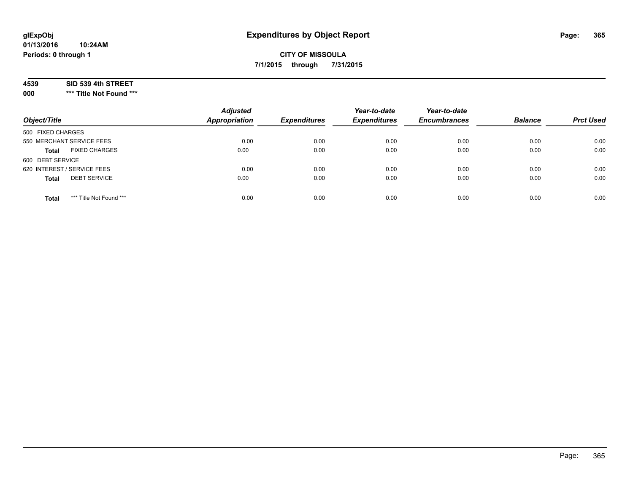#### **4539 SID 539 4th STREET**

**000 \*\*\* Title Not Found \*\*\***

| Object/Title                            | <b>Adjusted</b><br><b>Appropriation</b> | <b>Expenditures</b> | Year-to-date<br><b>Expenditures</b> | Year-to-date<br><b>Encumbrances</b> | <b>Balance</b> | <b>Prct Used</b> |
|-----------------------------------------|-----------------------------------------|---------------------|-------------------------------------|-------------------------------------|----------------|------------------|
| 500 FIXED CHARGES                       |                                         |                     |                                     |                                     |                |                  |
| 550 MERCHANT SERVICE FEES               | 0.00                                    | 0.00                | 0.00                                | 0.00                                | 0.00           | 0.00             |
| <b>FIXED CHARGES</b><br><b>Total</b>    | 0.00                                    | 0.00                | 0.00                                | 0.00                                | 0.00           | 0.00             |
| 600 DEBT SERVICE                        |                                         |                     |                                     |                                     |                |                  |
| 620 INTEREST / SERVICE FEES             | 0.00                                    | 0.00                | 0.00                                | 0.00                                | 0.00           | 0.00             |
| <b>DEBT SERVICE</b><br><b>Total</b>     | 0.00                                    | 0.00                | 0.00                                | 0.00                                | 0.00           | 0.00             |
| *** Title Not Found ***<br><b>Total</b> | 0.00                                    | 0.00                | 0.00                                | 0.00                                | 0.00           | 0.00             |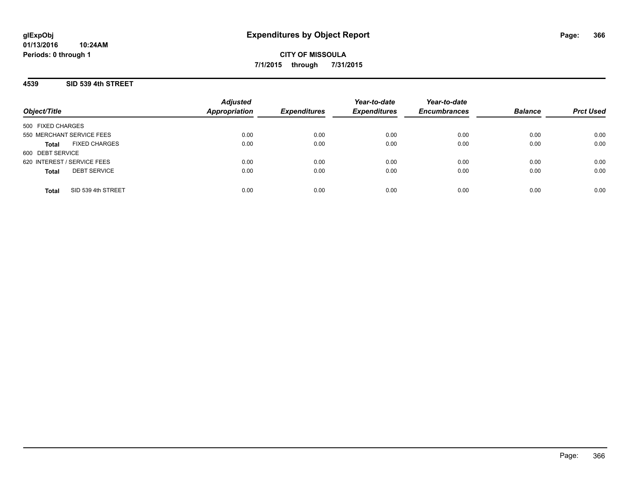#### **4539 SID 539 4th STREET**

| Object/Title                         | <b>Adjusted</b><br><b>Appropriation</b> | <b>Expenditures</b> | Year-to-date<br><b>Expenditures</b> | Year-to-date<br><b>Encumbrances</b> | <b>Balance</b> | <b>Prct Used</b> |
|--------------------------------------|-----------------------------------------|---------------------|-------------------------------------|-------------------------------------|----------------|------------------|
| 500 FIXED CHARGES                    |                                         |                     |                                     |                                     |                |                  |
| 550 MERCHANT SERVICE FEES            | 0.00                                    | 0.00                | 0.00                                | 0.00                                | 0.00           | 0.00             |
| <b>FIXED CHARGES</b><br><b>Total</b> | 0.00                                    | 0.00                | 0.00                                | 0.00                                | 0.00           | 0.00             |
| 600 DEBT SERVICE                     |                                         |                     |                                     |                                     |                |                  |
| 620 INTEREST / SERVICE FEES          | 0.00                                    | 0.00                | 0.00                                | 0.00                                | 0.00           | 0.00             |
| <b>DEBT SERVICE</b><br><b>Total</b>  | 0.00                                    | 0.00                | 0.00                                | 0.00                                | 0.00           | 0.00             |
| SID 539 4th STREET<br><b>Total</b>   | 0.00                                    | 0.00                | 0.00                                | 0.00                                | 0.00           | 0.00             |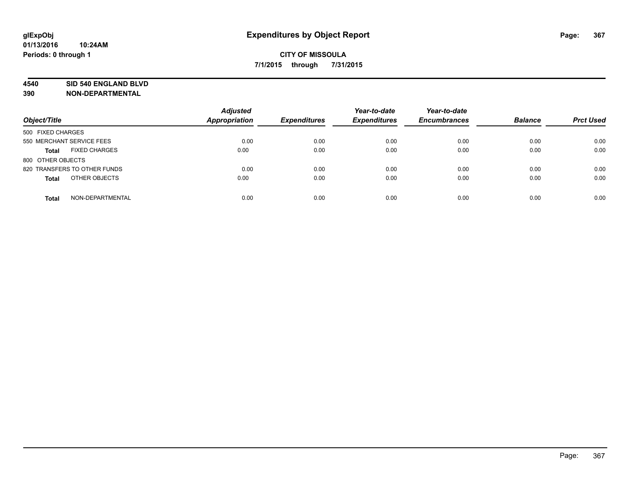#### **4540 SID 540 ENGLAND BLVD**

| Object/Title                         | <b>Adjusted</b><br>Appropriation | <b>Expenditures</b> | Year-to-date<br><b>Expenditures</b> | Year-to-date<br><b>Encumbrances</b> | <b>Balance</b> | <b>Prct Used</b> |
|--------------------------------------|----------------------------------|---------------------|-------------------------------------|-------------------------------------|----------------|------------------|
| 500 FIXED CHARGES                    |                                  |                     |                                     |                                     |                |                  |
| 550 MERCHANT SERVICE FEES            | 0.00                             | 0.00                | 0.00                                | 0.00                                | 0.00           | 0.00             |
| <b>FIXED CHARGES</b><br><b>Total</b> | 0.00                             | 0.00                | 0.00                                | 0.00                                | 0.00           | 0.00             |
| 800 OTHER OBJECTS                    |                                  |                     |                                     |                                     |                |                  |
| 820 TRANSFERS TO OTHER FUNDS         | 0.00                             | 0.00                | 0.00                                | 0.00                                | 0.00           | 0.00             |
| OTHER OBJECTS<br><b>Total</b>        | 0.00                             | 0.00                | 0.00                                | 0.00                                | 0.00           | 0.00             |
| NON-DEPARTMENTAL<br><b>Total</b>     | 0.00                             | 0.00                | 0.00                                | 0.00                                | 0.00           | 0.00             |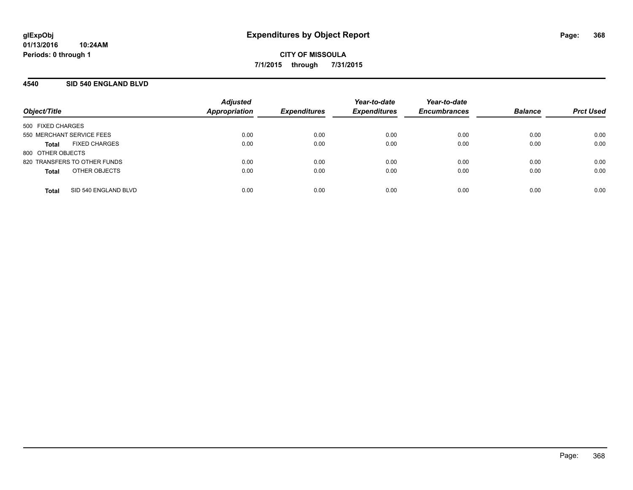## **4540 SID 540 ENGLAND BLVD**

| Object/Title              |                              | <b>Adjusted</b><br><b>Appropriation</b> | <b>Expenditures</b> | Year-to-date<br><b>Expenditures</b> | Year-to-date<br><b>Encumbrances</b> | <b>Balance</b> | <b>Prct Used</b> |
|---------------------------|------------------------------|-----------------------------------------|---------------------|-------------------------------------|-------------------------------------|----------------|------------------|
| 500 FIXED CHARGES         |                              |                                         |                     |                                     |                                     |                |                  |
| 550 MERCHANT SERVICE FEES |                              | 0.00                                    | 0.00                | 0.00                                | 0.00                                | 0.00           | 0.00             |
| Total                     | <b>FIXED CHARGES</b>         | 0.00                                    | 0.00                | 0.00                                | 0.00                                | 0.00           | 0.00             |
| 800 OTHER OBJECTS         |                              |                                         |                     |                                     |                                     |                |                  |
|                           | 820 TRANSFERS TO OTHER FUNDS | 0.00                                    | 0.00                | 0.00                                | 0.00                                | 0.00           | 0.00             |
| <b>Total</b>              | OTHER OBJECTS                | 0.00                                    | 0.00                | 0.00                                | 0.00                                | 0.00           | 0.00             |
| <b>Total</b>              | SID 540 ENGLAND BLVD         | 0.00                                    | 0.00                | 0.00                                | 0.00                                | 0.00           | 0.00             |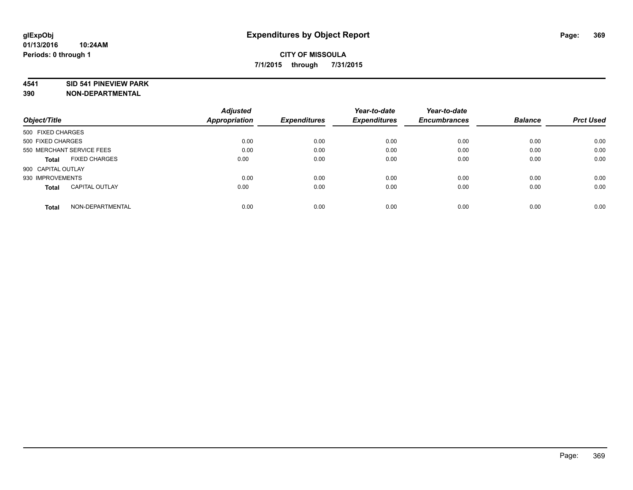#### **4541 SID 541 PINEVIEW PARK**

|                                       | <b>Adjusted</b> |                     | Year-to-date        | Year-to-date        |                |                  |
|---------------------------------------|-----------------|---------------------|---------------------|---------------------|----------------|------------------|
| Object/Title                          | Appropriation   | <b>Expenditures</b> | <b>Expenditures</b> | <b>Encumbrances</b> | <b>Balance</b> | <b>Prct Used</b> |
| 500 FIXED CHARGES                     |                 |                     |                     |                     |                |                  |
| 500 FIXED CHARGES                     | 0.00            | 0.00                | 0.00                | 0.00                | 0.00           | 0.00             |
| 550 MERCHANT SERVICE FEES             | 0.00            | 0.00                | 0.00                | 0.00                | 0.00           | 0.00             |
| <b>FIXED CHARGES</b><br>Total         | 0.00            | 0.00                | 0.00                | 0.00                | 0.00           | 0.00             |
| 900 CAPITAL OUTLAY                    |                 |                     |                     |                     |                |                  |
| 930 IMPROVEMENTS                      | 0.00            | 0.00                | 0.00                | 0.00                | 0.00           | 0.00             |
| <b>CAPITAL OUTLAY</b><br><b>Total</b> | 0.00            | 0.00                | 0.00                | 0.00                | 0.00           | 0.00             |
| NON-DEPARTMENTAL<br><b>Total</b>      | 0.00            | 0.00                | 0.00                | 0.00                | 0.00           | 0.00             |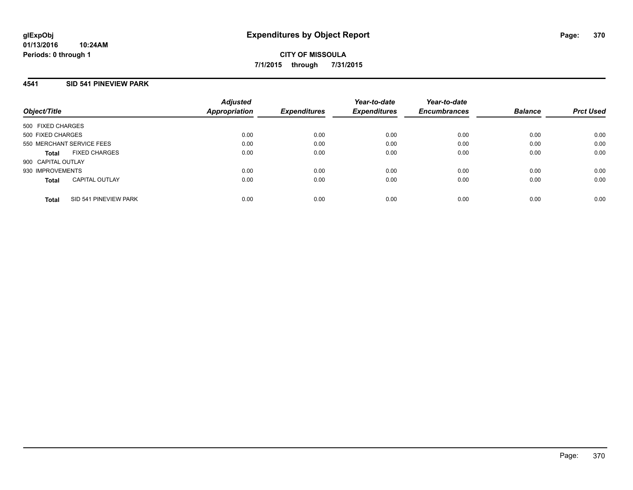#### **4541 SID 541 PINEVIEW PARK**

| Object/Title       |                           | <b>Adjusted</b><br><b>Appropriation</b> | <b>Expenditures</b> | Year-to-date<br><b>Expenditures</b> | Year-to-date<br><b>Encumbrances</b> | <b>Balance</b> | <b>Prct Used</b> |
|--------------------|---------------------------|-----------------------------------------|---------------------|-------------------------------------|-------------------------------------|----------------|------------------|
| 500 FIXED CHARGES  |                           |                                         |                     |                                     |                                     |                |                  |
| 500 FIXED CHARGES  |                           | 0.00                                    | 0.00                | 0.00                                | 0.00                                | 0.00           | 0.00             |
|                    | 550 MERCHANT SERVICE FEES | 0.00                                    | 0.00                | 0.00                                | 0.00                                | 0.00           | 0.00             |
| <b>Total</b>       | <b>FIXED CHARGES</b>      | 0.00                                    | 0.00                | 0.00                                | 0.00                                | 0.00           | 0.00             |
| 900 CAPITAL OUTLAY |                           |                                         |                     |                                     |                                     |                |                  |
| 930 IMPROVEMENTS   |                           | 0.00                                    | 0.00                | 0.00                                | 0.00                                | 0.00           | 0.00             |
| <b>Total</b>       | <b>CAPITAL OUTLAY</b>     | 0.00                                    | 0.00                | 0.00                                | 0.00                                | 0.00           | 0.00             |
| <b>Total</b>       | SID 541 PINEVIEW PARK     | 0.00                                    | 0.00                | 0.00                                | 0.00                                | 0.00           | 0.00             |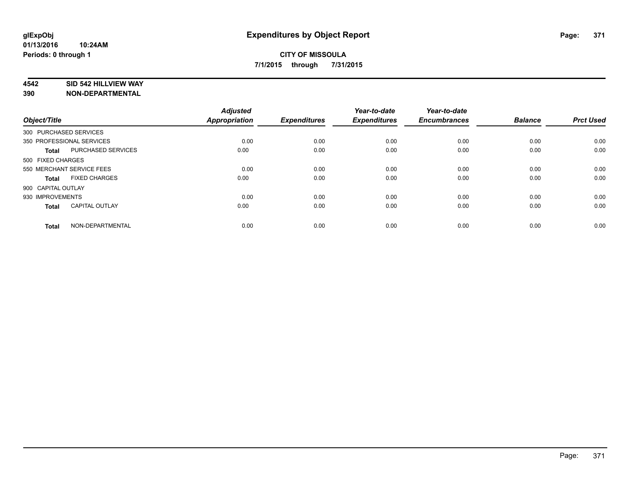#### **4542 SID 542 HILLVIEW WAY**

| Object/Title           |                           | <b>Adjusted</b><br>Appropriation | <b>Expenditures</b> | Year-to-date<br><b>Expenditures</b> | Year-to-date<br><b>Encumbrances</b> | <b>Balance</b> | <b>Prct Used</b> |
|------------------------|---------------------------|----------------------------------|---------------------|-------------------------------------|-------------------------------------|----------------|------------------|
| 300 PURCHASED SERVICES |                           |                                  |                     |                                     |                                     |                |                  |
|                        | 350 PROFESSIONAL SERVICES | 0.00                             | 0.00                | 0.00                                | 0.00                                | 0.00           | 0.00             |
| <b>Total</b>           | PURCHASED SERVICES        | 0.00                             | 0.00                | 0.00                                | 0.00                                | 0.00           | 0.00             |
| 500 FIXED CHARGES      |                           |                                  |                     |                                     |                                     |                |                  |
|                        | 550 MERCHANT SERVICE FEES | 0.00                             | 0.00                | 0.00                                | 0.00                                | 0.00           | 0.00             |
| Total                  | <b>FIXED CHARGES</b>      | 0.00                             | 0.00                | 0.00                                | 0.00                                | 0.00           | 0.00             |
| 900 CAPITAL OUTLAY     |                           |                                  |                     |                                     |                                     |                |                  |
| 930 IMPROVEMENTS       |                           | 0.00                             | 0.00                | 0.00                                | 0.00                                | 0.00           | 0.00             |
| Total                  | <b>CAPITAL OUTLAY</b>     | 0.00                             | 0.00                | 0.00                                | 0.00                                | 0.00           | 0.00             |
| <b>Total</b>           | NON-DEPARTMENTAL          | 0.00                             | 0.00                | 0.00                                | 0.00                                | 0.00           | 0.00             |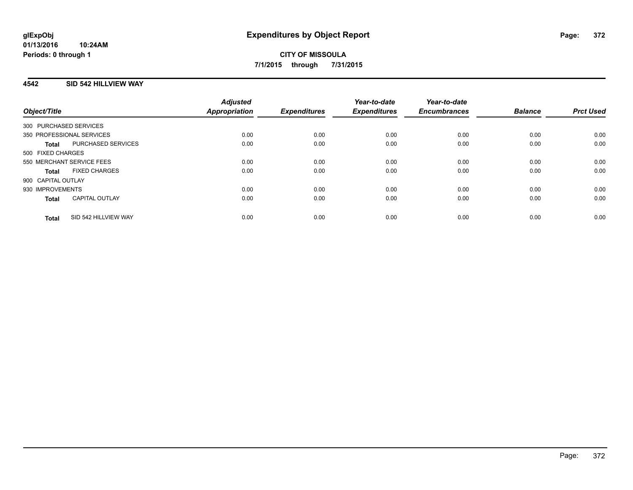## **4542 SID 542 HILLVIEW WAY**

| Object/Title                          | <b>Adjusted</b><br><b>Appropriation</b> | <b>Expenditures</b> | Year-to-date<br><b>Expenditures</b> | Year-to-date<br><b>Encumbrances</b> | <b>Balance</b> | <b>Prct Used</b> |
|---------------------------------------|-----------------------------------------|---------------------|-------------------------------------|-------------------------------------|----------------|------------------|
| 300 PURCHASED SERVICES                |                                         |                     |                                     |                                     |                |                  |
| 350 PROFESSIONAL SERVICES             | 0.00                                    | 0.00                | 0.00                                | 0.00                                | 0.00           | 0.00             |
| PURCHASED SERVICES<br><b>Total</b>    | 0.00                                    | 0.00                | 0.00                                | 0.00                                | 0.00           | 0.00             |
| 500 FIXED CHARGES                     |                                         |                     |                                     |                                     |                |                  |
| 550 MERCHANT SERVICE FEES             | 0.00                                    | 0.00                | 0.00                                | 0.00                                | 0.00           | 0.00             |
| <b>FIXED CHARGES</b><br><b>Total</b>  | 0.00                                    | 0.00                | 0.00                                | 0.00                                | 0.00           | 0.00             |
| 900 CAPITAL OUTLAY                    |                                         |                     |                                     |                                     |                |                  |
| 930 IMPROVEMENTS                      | 0.00                                    | 0.00                | 0.00                                | 0.00                                | 0.00           | 0.00             |
| <b>CAPITAL OUTLAY</b><br><b>Total</b> | 0.00                                    | 0.00                | 0.00                                | 0.00                                | 0.00           | 0.00             |
| SID 542 HILLVIEW WAY<br><b>Total</b>  | 0.00                                    | 0.00                | 0.00                                | 0.00                                | 0.00           | 0.00             |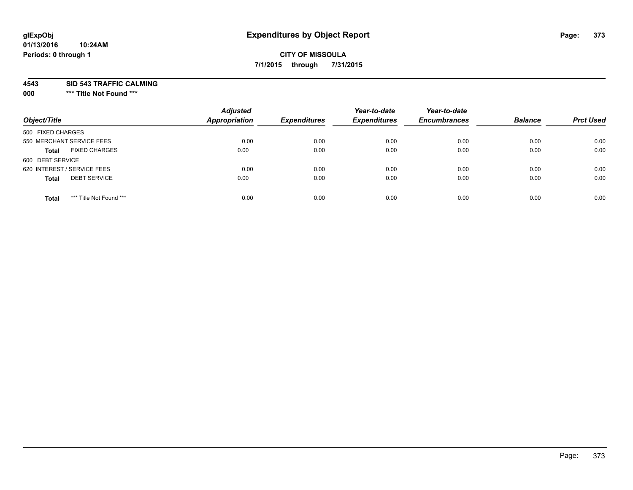## **CITY OF MISSOULA 7/1/2015 through 7/31/2015**

**4543 SID 543 TRAFFIC CALMING**

**000 \*\*\* Title Not Found \*\*\***

| Object/Title                            | <b>Adjusted</b><br><b>Appropriation</b> | <b>Expenditures</b> | Year-to-date<br><b>Expenditures</b> | Year-to-date<br><b>Encumbrances</b> | <b>Balance</b> | <b>Prct Used</b> |
|-----------------------------------------|-----------------------------------------|---------------------|-------------------------------------|-------------------------------------|----------------|------------------|
| 500 FIXED CHARGES                       |                                         |                     |                                     |                                     |                |                  |
| 550 MERCHANT SERVICE FEES               | 0.00                                    | 0.00                | 0.00                                | 0.00                                | 0.00           | 0.00             |
| <b>FIXED CHARGES</b><br><b>Total</b>    | 0.00                                    | 0.00                | 0.00                                | 0.00                                | 0.00           | 0.00             |
| 600 DEBT SERVICE                        |                                         |                     |                                     |                                     |                |                  |
| 620 INTEREST / SERVICE FEES             | 0.00                                    | 0.00                | 0.00                                | 0.00                                | 0.00           | 0.00             |
| <b>DEBT SERVICE</b><br><b>Total</b>     | 0.00                                    | 0.00                | 0.00                                | 0.00                                | 0.00           | 0.00             |
| *** Title Not Found ***<br><b>Total</b> | 0.00                                    | 0.00                | 0.00                                | 0.00                                | 0.00           | 0.00             |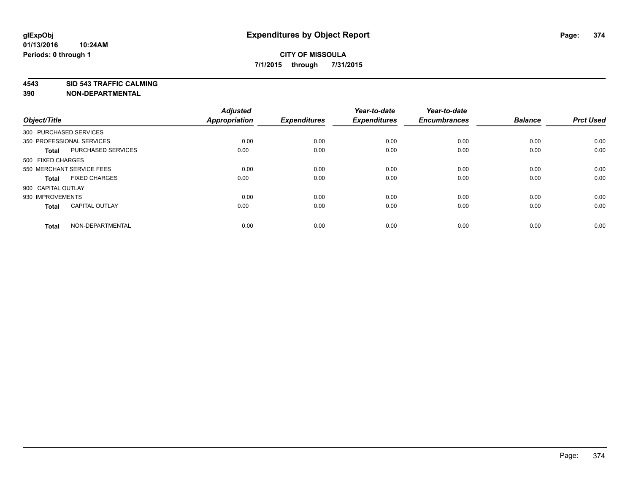**4543 SID 543 TRAFFIC CALMING**

| Object/Title       |                           | <b>Adjusted</b><br>Appropriation | <b>Expenditures</b> | Year-to-date<br><b>Expenditures</b> | Year-to-date<br><b>Encumbrances</b> | <b>Balance</b> | <b>Prct Used</b> |
|--------------------|---------------------------|----------------------------------|---------------------|-------------------------------------|-------------------------------------|----------------|------------------|
|                    | 300 PURCHASED SERVICES    |                                  |                     |                                     |                                     |                |                  |
|                    | 350 PROFESSIONAL SERVICES | 0.00                             | 0.00                | 0.00                                | 0.00                                | 0.00           | 0.00             |
| <b>Total</b>       | PURCHASED SERVICES        | 0.00                             | 0.00                | 0.00                                | 0.00                                | 0.00           | 0.00             |
| 500 FIXED CHARGES  |                           |                                  |                     |                                     |                                     |                |                  |
|                    | 550 MERCHANT SERVICE FEES | 0.00                             | 0.00                | 0.00                                | 0.00                                | 0.00           | 0.00             |
| <b>Total</b>       | <b>FIXED CHARGES</b>      | 0.00                             | 0.00                | 0.00                                | 0.00                                | 0.00           | 0.00             |
| 900 CAPITAL OUTLAY |                           |                                  |                     |                                     |                                     |                |                  |
| 930 IMPROVEMENTS   |                           | 0.00                             | 0.00                | 0.00                                | 0.00                                | 0.00           | 0.00             |
| <b>Total</b>       | <b>CAPITAL OUTLAY</b>     | 0.00                             | 0.00                | 0.00                                | 0.00                                | 0.00           | 0.00             |
| <b>Total</b>       | NON-DEPARTMENTAL          | 0.00                             | 0.00                | 0.00                                | 0.00                                | 0.00           | 0.00             |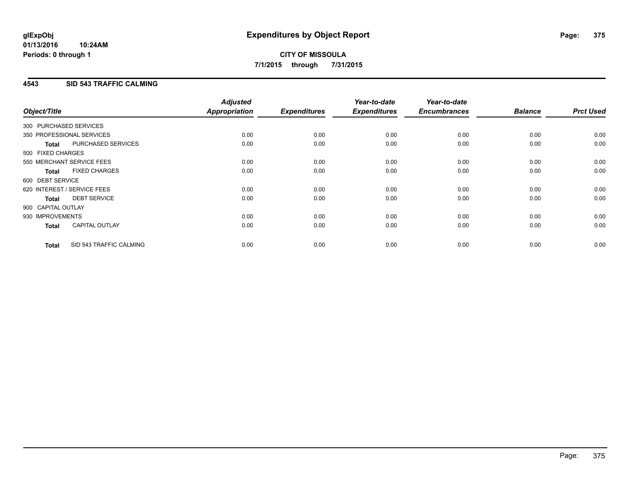### **4543 SID 543 TRAFFIC CALMING**

| Object/Title           |                             | <b>Adjusted</b><br>Appropriation | <b>Expenditures</b> | Year-to-date<br><b>Expenditures</b> | Year-to-date<br><b>Encumbrances</b> | <b>Balance</b> | <b>Prct Used</b> |
|------------------------|-----------------------------|----------------------------------|---------------------|-------------------------------------|-------------------------------------|----------------|------------------|
| 300 PURCHASED SERVICES |                             |                                  |                     |                                     |                                     |                |                  |
|                        | 350 PROFESSIONAL SERVICES   | 0.00                             | 0.00                | 0.00                                | 0.00                                | 0.00           | 0.00             |
| <b>Total</b>           | PURCHASED SERVICES          | 0.00                             | 0.00                | 0.00                                | 0.00                                | 0.00           | 0.00             |
| 500 FIXED CHARGES      |                             |                                  |                     |                                     |                                     |                |                  |
|                        | 550 MERCHANT SERVICE FEES   | 0.00                             | 0.00                | 0.00                                | 0.00                                | 0.00           | 0.00             |
| <b>Total</b>           | <b>FIXED CHARGES</b>        | 0.00                             | 0.00                | 0.00                                | 0.00                                | 0.00           | 0.00             |
| 600 DEBT SERVICE       |                             |                                  |                     |                                     |                                     |                |                  |
|                        | 620 INTEREST / SERVICE FEES | 0.00                             | 0.00                | 0.00                                | 0.00                                | 0.00           | 0.00             |
| Total                  | <b>DEBT SERVICE</b>         | 0.00                             | 0.00                | 0.00                                | 0.00                                | 0.00           | 0.00             |
| 900 CAPITAL OUTLAY     |                             |                                  |                     |                                     |                                     |                |                  |
| 930 IMPROVEMENTS       |                             | 0.00                             | 0.00                | 0.00                                | 0.00                                | 0.00           | 0.00             |
| <b>Total</b>           | <b>CAPITAL OUTLAY</b>       | 0.00                             | 0.00                | 0.00                                | 0.00                                | 0.00           | 0.00             |
| <b>Total</b>           | SID 543 TRAFFIC CALMING     | 0.00                             | 0.00                | 0.00                                | 0.00                                | 0.00           | 0.00             |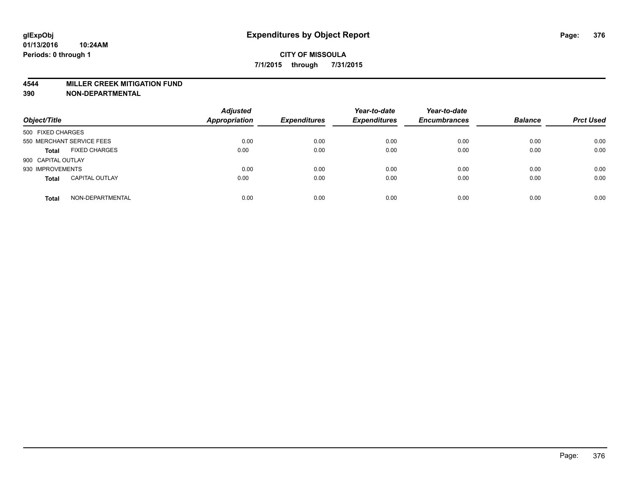#### **4544 MILLER CREEK MITIGATION FUND**

| Object/Title       |                           | <b>Adjusted</b><br>Appropriation | <b>Expenditures</b> | Year-to-date<br><b>Expenditures</b> | Year-to-date<br><b>Encumbrances</b> | <b>Balance</b> | <b>Prct Used</b> |
|--------------------|---------------------------|----------------------------------|---------------------|-------------------------------------|-------------------------------------|----------------|------------------|
| 500 FIXED CHARGES  |                           |                                  |                     |                                     |                                     |                |                  |
|                    | 550 MERCHANT SERVICE FEES | 0.00                             | 0.00                | 0.00                                | 0.00                                | 0.00           | 0.00             |
| <b>Total</b>       | <b>FIXED CHARGES</b>      | 0.00                             | 0.00                | 0.00                                | 0.00                                | 0.00           | 0.00             |
| 900 CAPITAL OUTLAY |                           |                                  |                     |                                     |                                     |                |                  |
| 930 IMPROVEMENTS   |                           | 0.00                             | 0.00                | 0.00                                | 0.00                                | 0.00           | 0.00             |
| <b>Total</b>       | <b>CAPITAL OUTLAY</b>     | 0.00                             | 0.00                | 0.00                                | 0.00                                | 0.00           | 0.00             |
| <b>Total</b>       | NON-DEPARTMENTAL          | 0.00                             | 0.00                | 0.00                                | 0.00                                | 0.00           | 0.00             |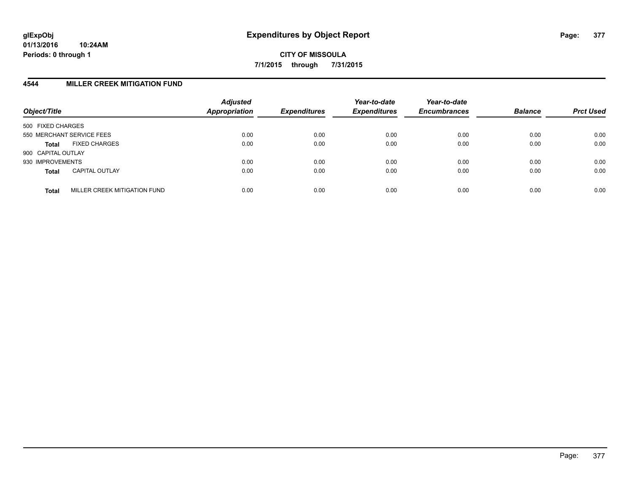### **4544 MILLER CREEK MITIGATION FUND**

| Object/Title       |                              | <b>Adjusted</b><br><b>Appropriation</b> | <b>Expenditures</b> | Year-to-date<br><b>Expenditures</b> | Year-to-date<br><b>Encumbrances</b> | <b>Balance</b> | <b>Prct Used</b> |
|--------------------|------------------------------|-----------------------------------------|---------------------|-------------------------------------|-------------------------------------|----------------|------------------|
| 500 FIXED CHARGES  |                              |                                         |                     |                                     |                                     |                |                  |
|                    | 550 MERCHANT SERVICE FEES    | 0.00                                    | 0.00                | 0.00                                | 0.00                                | 0.00           | 0.00             |
| <b>Total</b>       | <b>FIXED CHARGES</b>         | 0.00                                    | 0.00                | 0.00                                | 0.00                                | 0.00           | 0.00             |
| 900 CAPITAL OUTLAY |                              |                                         |                     |                                     |                                     |                |                  |
| 930 IMPROVEMENTS   |                              | 0.00                                    | 0.00                | 0.00                                | 0.00                                | 0.00           | 0.00             |
| <b>Total</b>       | <b>CAPITAL OUTLAY</b>        | 0.00                                    | 0.00                | 0.00                                | 0.00                                | 0.00           | 0.00             |
| <b>Total</b>       | MILLER CREEK MITIGATION FUND | 0.00                                    | 0.00                | 0.00                                | 0.00                                | 0.00           | 0.00             |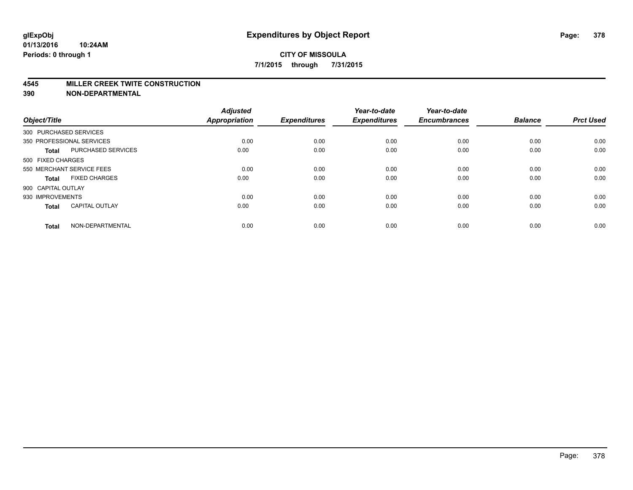#### **4545 MILLER CREEK TWITE CONSTRUCTION**

| Object/Title           |                           | <b>Adjusted</b><br>Appropriation | <b>Expenditures</b> | Year-to-date<br><b>Expenditures</b> | Year-to-date<br><b>Encumbrances</b> | <b>Balance</b> | <b>Prct Used</b> |
|------------------------|---------------------------|----------------------------------|---------------------|-------------------------------------|-------------------------------------|----------------|------------------|
| 300 PURCHASED SERVICES |                           |                                  |                     |                                     |                                     |                |                  |
|                        | 350 PROFESSIONAL SERVICES | 0.00                             | 0.00                | 0.00                                | 0.00                                | 0.00           | 0.00             |
| <b>Total</b>           | PURCHASED SERVICES        | 0.00                             | 0.00                | 0.00                                | 0.00                                | 0.00           | 0.00             |
| 500 FIXED CHARGES      |                           |                                  |                     |                                     |                                     |                |                  |
|                        | 550 MERCHANT SERVICE FEES | 0.00                             | 0.00                | 0.00                                | 0.00                                | 0.00           | 0.00             |
| Total                  | <b>FIXED CHARGES</b>      | 0.00                             | 0.00                | 0.00                                | 0.00                                | 0.00           | 0.00             |
| 900 CAPITAL OUTLAY     |                           |                                  |                     |                                     |                                     |                |                  |
| 930 IMPROVEMENTS       |                           | 0.00                             | 0.00                | 0.00                                | 0.00                                | 0.00           | 0.00             |
| Total                  | <b>CAPITAL OUTLAY</b>     | 0.00                             | 0.00                | 0.00                                | 0.00                                | 0.00           | 0.00             |
| <b>Total</b>           | NON-DEPARTMENTAL          | 0.00                             | 0.00                | 0.00                                | 0.00                                | 0.00           | 0.00             |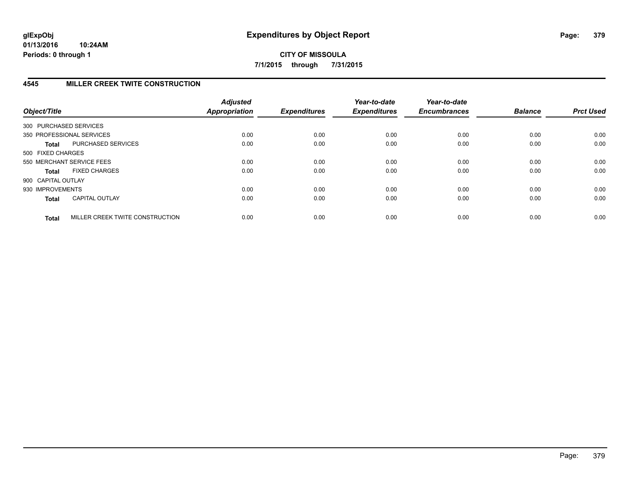# **4545 MILLER CREEK TWITE CONSTRUCTION**

| Object/Title           |                                 | <b>Adjusted</b><br>Appropriation | <b>Expenditures</b> | Year-to-date<br><b>Expenditures</b> | Year-to-date<br><b>Encumbrances</b> | <b>Balance</b> | <b>Prct Used</b> |
|------------------------|---------------------------------|----------------------------------|---------------------|-------------------------------------|-------------------------------------|----------------|------------------|
| 300 PURCHASED SERVICES |                                 |                                  |                     |                                     |                                     |                |                  |
|                        | 350 PROFESSIONAL SERVICES       | 0.00                             | 0.00                | 0.00                                | 0.00                                | 0.00           | 0.00             |
| <b>Total</b>           | PURCHASED SERVICES              | 0.00                             | 0.00                | 0.00                                | 0.00                                | 0.00           | 0.00             |
| 500 FIXED CHARGES      |                                 |                                  |                     |                                     |                                     |                |                  |
|                        | 550 MERCHANT SERVICE FEES       | 0.00                             | 0.00                | 0.00                                | 0.00                                | 0.00           | 0.00             |
| <b>Total</b>           | <b>FIXED CHARGES</b>            | 0.00                             | 0.00                | 0.00                                | 0.00                                | 0.00           | 0.00             |
| 900 CAPITAL OUTLAY     |                                 |                                  |                     |                                     |                                     |                |                  |
| 930 IMPROVEMENTS       |                                 | 0.00                             | 0.00                | 0.00                                | 0.00                                | 0.00           | 0.00             |
| <b>Total</b>           | <b>CAPITAL OUTLAY</b>           | 0.00                             | 0.00                | 0.00                                | 0.00                                | 0.00           | 0.00             |
| <b>Total</b>           | MILLER CREEK TWITE CONSTRUCTION | 0.00                             | 0.00                | 0.00                                | 0.00                                | 0.00           | 0.00             |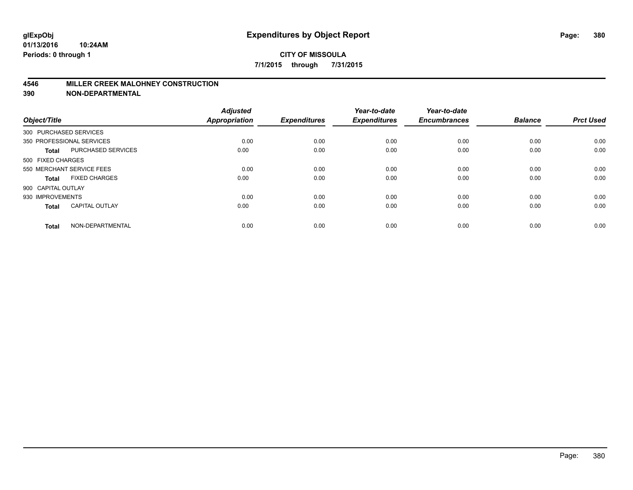#### **4546 MILLER CREEK MALOHNEY CONSTRUCTION**

| Object/Title           |                           | <b>Adjusted</b><br>Appropriation | <b>Expenditures</b> | Year-to-date<br><b>Expenditures</b> | Year-to-date<br><b>Encumbrances</b> | <b>Balance</b> | <b>Prct Used</b> |
|------------------------|---------------------------|----------------------------------|---------------------|-------------------------------------|-------------------------------------|----------------|------------------|
| 300 PURCHASED SERVICES |                           |                                  |                     |                                     |                                     |                |                  |
|                        | 350 PROFESSIONAL SERVICES | 0.00                             | 0.00                | 0.00                                | 0.00                                | 0.00           | 0.00             |
| <b>Total</b>           | PURCHASED SERVICES        | 0.00                             | 0.00                | 0.00                                | 0.00                                | 0.00           | 0.00             |
| 500 FIXED CHARGES      |                           |                                  |                     |                                     |                                     |                |                  |
|                        | 550 MERCHANT SERVICE FEES | 0.00                             | 0.00                | 0.00                                | 0.00                                | 0.00           | 0.00             |
| Total                  | <b>FIXED CHARGES</b>      | 0.00                             | 0.00                | 0.00                                | 0.00                                | 0.00           | 0.00             |
| 900 CAPITAL OUTLAY     |                           |                                  |                     |                                     |                                     |                |                  |
| 930 IMPROVEMENTS       |                           | 0.00                             | 0.00                | 0.00                                | 0.00                                | 0.00           | 0.00             |
| Total                  | <b>CAPITAL OUTLAY</b>     | 0.00                             | 0.00                | 0.00                                | 0.00                                | 0.00           | 0.00             |
| <b>Total</b>           | NON-DEPARTMENTAL          | 0.00                             | 0.00                | 0.00                                | 0.00                                | 0.00           | 0.00             |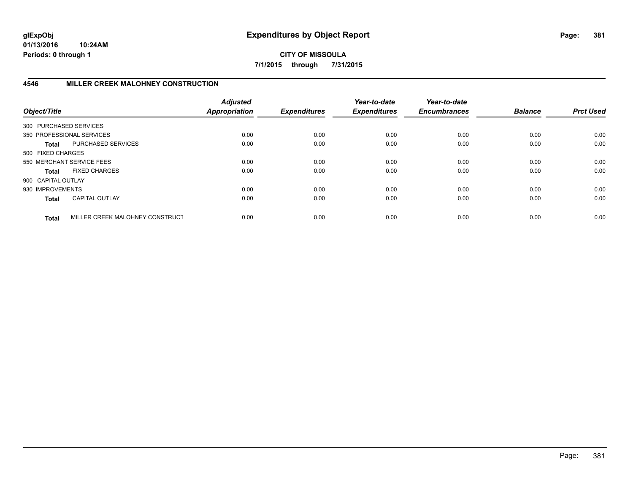**CITY OF MISSOULA 7/1/2015 through 7/31/2015**

## **4546 MILLER CREEK MALOHNEY CONSTRUCTION**

| Object/Title           |                                 | <b>Adjusted</b><br><b>Appropriation</b> | <b>Expenditures</b> | Year-to-date<br><b>Expenditures</b> | Year-to-date<br><b>Encumbrances</b> | <b>Balance</b> | <b>Prct Used</b> |
|------------------------|---------------------------------|-----------------------------------------|---------------------|-------------------------------------|-------------------------------------|----------------|------------------|
| 300 PURCHASED SERVICES |                                 |                                         |                     |                                     |                                     |                |                  |
|                        | 350 PROFESSIONAL SERVICES       | 0.00                                    | 0.00                | 0.00                                | 0.00                                | 0.00           | 0.00             |
| <b>Total</b>           | PURCHASED SERVICES              | 0.00                                    | 0.00                | 0.00                                | 0.00                                | 0.00           | 0.00             |
| 500 FIXED CHARGES      |                                 |                                         |                     |                                     |                                     |                |                  |
|                        | 550 MERCHANT SERVICE FEES       | 0.00                                    | 0.00                | 0.00                                | 0.00                                | 0.00           | 0.00             |
| <b>Total</b>           | <b>FIXED CHARGES</b>            | 0.00                                    | 0.00                | 0.00                                | 0.00                                | 0.00           | 0.00             |
| 900 CAPITAL OUTLAY     |                                 |                                         |                     |                                     |                                     |                |                  |
| 930 IMPROVEMENTS       |                                 | 0.00                                    | 0.00                | 0.00                                | 0.00                                | 0.00           | 0.00             |
| <b>Total</b>           | <b>CAPITAL OUTLAY</b>           | 0.00                                    | 0.00                | 0.00                                | 0.00                                | 0.00           | 0.00             |
| <b>Total</b>           | MILLER CREEK MALOHNEY CONSTRUCT | 0.00                                    | 0.00                | 0.00                                | 0.00                                | 0.00           | 0.00             |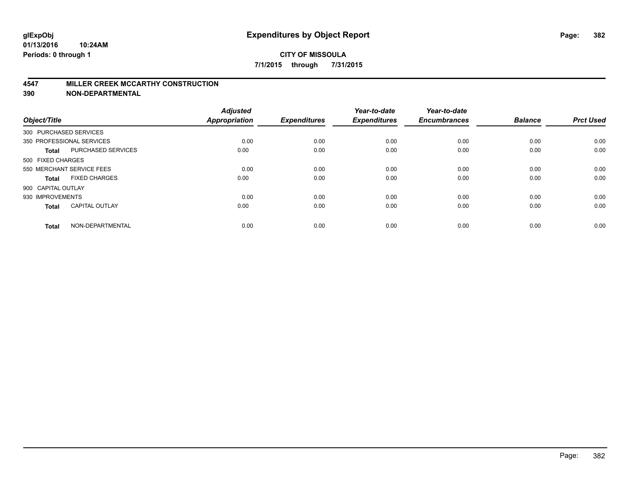#### **4547 MILLER CREEK MCCARTHY CONSTRUCTION**

| Object/Title       |                           | <b>Adjusted</b><br><b>Appropriation</b> | <b>Expenditures</b> | Year-to-date<br><b>Expenditures</b> | Year-to-date<br><b>Encumbrances</b> | <b>Balance</b> | <b>Prct Used</b> |
|--------------------|---------------------------|-----------------------------------------|---------------------|-------------------------------------|-------------------------------------|----------------|------------------|
|                    | 300 PURCHASED SERVICES    |                                         |                     |                                     |                                     |                |                  |
|                    | 350 PROFESSIONAL SERVICES | 0.00                                    | 0.00                | 0.00                                | 0.00                                | 0.00           | 0.00             |
| <b>Total</b>       | <b>PURCHASED SERVICES</b> | 0.00                                    | 0.00                | 0.00                                | 0.00                                | 0.00           | 0.00             |
| 500 FIXED CHARGES  |                           |                                         |                     |                                     |                                     |                |                  |
|                    | 550 MERCHANT SERVICE FEES | 0.00                                    | 0.00                | 0.00                                | 0.00                                | 0.00           | 0.00             |
| Total              | <b>FIXED CHARGES</b>      | 0.00                                    | 0.00                | 0.00                                | 0.00                                | 0.00           | 0.00             |
| 900 CAPITAL OUTLAY |                           |                                         |                     |                                     |                                     |                |                  |
| 930 IMPROVEMENTS   |                           | 0.00                                    | 0.00                | 0.00                                | 0.00                                | 0.00           | 0.00             |
| Total              | <b>CAPITAL OUTLAY</b>     | 0.00                                    | 0.00                | 0.00                                | 0.00                                | 0.00           | 0.00             |
| <b>Total</b>       | NON-DEPARTMENTAL          | 0.00                                    | 0.00                | 0.00                                | 0.00                                | 0.00           | 0.00             |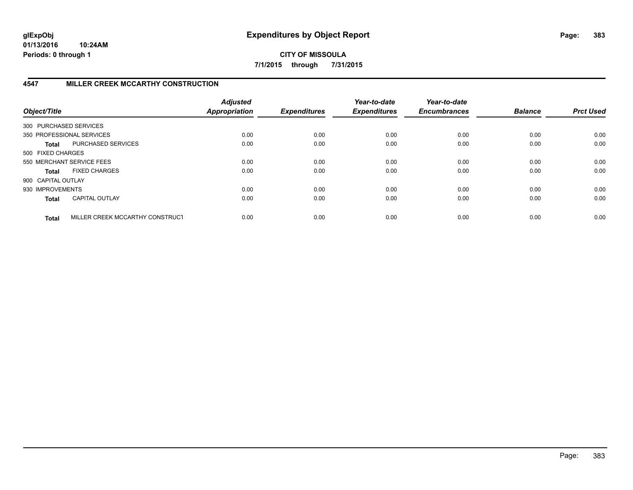**CITY OF MISSOULA 7/1/2015 through 7/31/2015**

## **4547 MILLER CREEK MCCARTHY CONSTRUCTION**

| Object/Title           |                                 | <b>Adjusted</b><br><b>Appropriation</b> | <b>Expenditures</b> | Year-to-date<br><b>Expenditures</b> | Year-to-date<br><b>Encumbrances</b> | <b>Balance</b> | <b>Prct Used</b> |
|------------------------|---------------------------------|-----------------------------------------|---------------------|-------------------------------------|-------------------------------------|----------------|------------------|
| 300 PURCHASED SERVICES |                                 |                                         |                     |                                     |                                     |                |                  |
|                        | 350 PROFESSIONAL SERVICES       | 0.00                                    | 0.00                | 0.00                                | 0.00                                | 0.00           | 0.00             |
| <b>Total</b>           | PURCHASED SERVICES              | 0.00                                    | 0.00                | 0.00                                | 0.00                                | 0.00           | 0.00             |
| 500 FIXED CHARGES      |                                 |                                         |                     |                                     |                                     |                |                  |
|                        | 550 MERCHANT SERVICE FEES       | 0.00                                    | 0.00                | 0.00                                | 0.00                                | 0.00           | 0.00             |
| <b>Total</b>           | <b>FIXED CHARGES</b>            | 0.00                                    | 0.00                | 0.00                                | 0.00                                | 0.00           | 0.00             |
| 900 CAPITAL OUTLAY     |                                 |                                         |                     |                                     |                                     |                |                  |
| 930 IMPROVEMENTS       |                                 | 0.00                                    | 0.00                | 0.00                                | 0.00                                | 0.00           | 0.00             |
| <b>Total</b>           | <b>CAPITAL OUTLAY</b>           | 0.00                                    | 0.00                | 0.00                                | 0.00                                | 0.00           | 0.00             |
| <b>Total</b>           | MILLER CREEK MCCARTHY CONSTRUCT | 0.00                                    | 0.00                | 0.00                                | 0.00                                | 0.00           | 0.00             |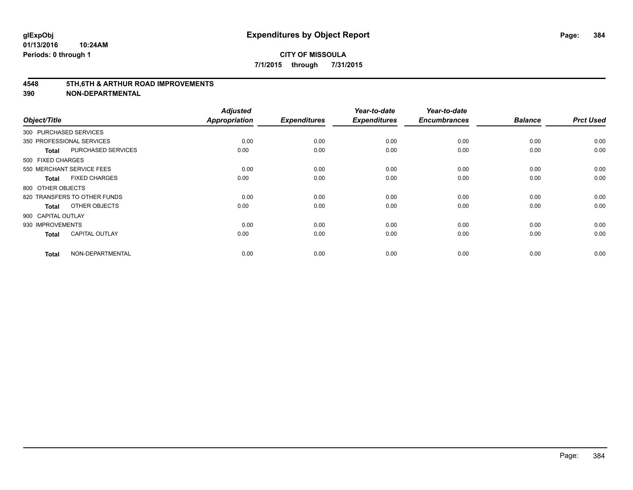#### **4548 5TH,6TH & ARTHUR ROAD IMPROVEMENTS**

| Object/Title           |                              | <b>Adjusted</b><br><b>Appropriation</b> | <b>Expenditures</b> | Year-to-date<br><b>Expenditures</b> | Year-to-date<br><b>Encumbrances</b> | <b>Balance</b> | <b>Prct Used</b> |
|------------------------|------------------------------|-----------------------------------------|---------------------|-------------------------------------|-------------------------------------|----------------|------------------|
| 300 PURCHASED SERVICES |                              |                                         |                     |                                     |                                     |                |                  |
|                        | 350 PROFESSIONAL SERVICES    | 0.00                                    | 0.00                | 0.00                                | 0.00                                | 0.00           | 0.00             |
| <b>Total</b>           | PURCHASED SERVICES           | 0.00                                    | 0.00                | 0.00                                | 0.00                                | 0.00           | 0.00             |
| 500 FIXED CHARGES      |                              |                                         |                     |                                     |                                     |                |                  |
|                        | 550 MERCHANT SERVICE FEES    | 0.00                                    | 0.00                | 0.00                                | 0.00                                | 0.00           | 0.00             |
| <b>Total</b>           | <b>FIXED CHARGES</b>         | 0.00                                    | 0.00                | 0.00                                | 0.00                                | 0.00           | 0.00             |
| 800 OTHER OBJECTS      |                              |                                         |                     |                                     |                                     |                |                  |
|                        | 820 TRANSFERS TO OTHER FUNDS | 0.00                                    | 0.00                | 0.00                                | 0.00                                | 0.00           | 0.00             |
| <b>Total</b>           | OTHER OBJECTS                | 0.00                                    | 0.00                | 0.00                                | 0.00                                | 0.00           | 0.00             |
| 900 CAPITAL OUTLAY     |                              |                                         |                     |                                     |                                     |                |                  |
| 930 IMPROVEMENTS       |                              | 0.00                                    | 0.00                | 0.00                                | 0.00                                | 0.00           | 0.00             |
| <b>Total</b>           | <b>CAPITAL OUTLAY</b>        | 0.00                                    | 0.00                | 0.00                                | 0.00                                | 0.00           | 0.00             |
| <b>Total</b>           | NON-DEPARTMENTAL             | 0.00                                    | 0.00                | 0.00                                | 0.00                                | 0.00           | 0.00             |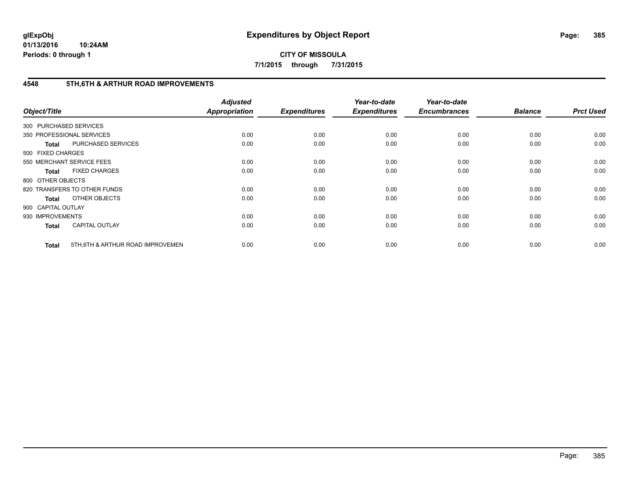**CITY OF MISSOULA 7/1/2015 through 7/31/2015**

## **4548 5TH,6TH & ARTHUR ROAD IMPROVEMENTS**

| Object/Title           |                                   | <b>Adjusted</b><br>Appropriation | <b>Expenditures</b> | Year-to-date<br><b>Expenditures</b> | Year-to-date<br><b>Encumbrances</b> | <b>Balance</b> | <b>Prct Used</b> |
|------------------------|-----------------------------------|----------------------------------|---------------------|-------------------------------------|-------------------------------------|----------------|------------------|
| 300 PURCHASED SERVICES |                                   |                                  |                     |                                     |                                     |                |                  |
|                        | 350 PROFESSIONAL SERVICES         | 0.00                             | 0.00                | 0.00                                | 0.00                                | 0.00           | 0.00             |
| <b>Total</b>           | PURCHASED SERVICES                | 0.00                             | 0.00                | 0.00                                | 0.00                                | 0.00           | 0.00             |
| 500 FIXED CHARGES      |                                   |                                  |                     |                                     |                                     |                |                  |
|                        | 550 MERCHANT SERVICE FEES         | 0.00                             | 0.00                | 0.00                                | 0.00                                | 0.00           | 0.00             |
| <b>Total</b>           | <b>FIXED CHARGES</b>              | 0.00                             | 0.00                | 0.00                                | 0.00                                | 0.00           | 0.00             |
| 800 OTHER OBJECTS      |                                   |                                  |                     |                                     |                                     |                |                  |
|                        | 820 TRANSFERS TO OTHER FUNDS      | 0.00                             | 0.00                | 0.00                                | 0.00                                | 0.00           | 0.00             |
| <b>Total</b>           | OTHER OBJECTS                     | 0.00                             | 0.00                | 0.00                                | 0.00                                | 0.00           | 0.00             |
| 900 CAPITAL OUTLAY     |                                   |                                  |                     |                                     |                                     |                |                  |
| 930 IMPROVEMENTS       |                                   | 0.00                             | 0.00                | 0.00                                | 0.00                                | 0.00           | 0.00             |
| <b>Total</b>           | <b>CAPITAL OUTLAY</b>             | 0.00                             | 0.00                | 0.00                                | 0.00                                | 0.00           | 0.00             |
| <b>Total</b>           | 5TH, 6TH & ARTHUR ROAD IMPROVEMEN | 0.00                             | 0.00                | 0.00                                | 0.00                                | 0.00           | 0.00             |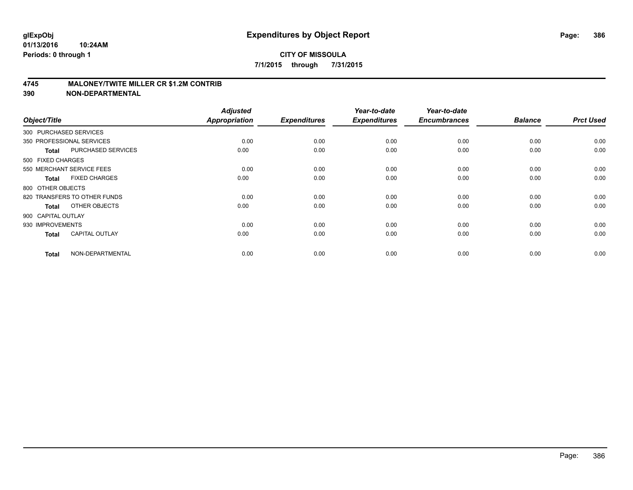#### **4745 MALONEY/TWITE MILLER CR \$1.2M CONTRIB**

| Object/Title       |                              | <b>Adjusted</b><br><b>Appropriation</b> | <b>Expenditures</b> | Year-to-date<br><b>Expenditures</b> | Year-to-date<br><b>Encumbrances</b> | <b>Balance</b> | <b>Prct Used</b> |
|--------------------|------------------------------|-----------------------------------------|---------------------|-------------------------------------|-------------------------------------|----------------|------------------|
|                    | 300 PURCHASED SERVICES       |                                         |                     |                                     |                                     |                |                  |
|                    | 350 PROFESSIONAL SERVICES    | 0.00                                    | 0.00                | 0.00                                | 0.00                                | 0.00           | 0.00             |
| <b>Total</b>       | PURCHASED SERVICES           | 0.00                                    | 0.00                | 0.00                                | 0.00                                | 0.00           | 0.00             |
| 500 FIXED CHARGES  |                              |                                         |                     |                                     |                                     |                |                  |
|                    | 550 MERCHANT SERVICE FEES    | 0.00                                    | 0.00                | 0.00                                | 0.00                                | 0.00           | 0.00             |
| <b>Total</b>       | <b>FIXED CHARGES</b>         | 0.00                                    | 0.00                | 0.00                                | 0.00                                | 0.00           | 0.00             |
| 800 OTHER OBJECTS  |                              |                                         |                     |                                     |                                     |                |                  |
|                    | 820 TRANSFERS TO OTHER FUNDS | 0.00                                    | 0.00                | 0.00                                | 0.00                                | 0.00           | 0.00             |
| <b>Total</b>       | OTHER OBJECTS                | 0.00                                    | 0.00                | 0.00                                | 0.00                                | 0.00           | 0.00             |
| 900 CAPITAL OUTLAY |                              |                                         |                     |                                     |                                     |                |                  |
| 930 IMPROVEMENTS   |                              | 0.00                                    | 0.00                | 0.00                                | 0.00                                | 0.00           | 0.00             |
| <b>Total</b>       | <b>CAPITAL OUTLAY</b>        | 0.00                                    | 0.00                | 0.00                                | 0.00                                | 0.00           | 0.00             |
| <b>Total</b>       | NON-DEPARTMENTAL             | 0.00                                    | 0.00                | 0.00                                | 0.00                                | 0.00           | 0.00             |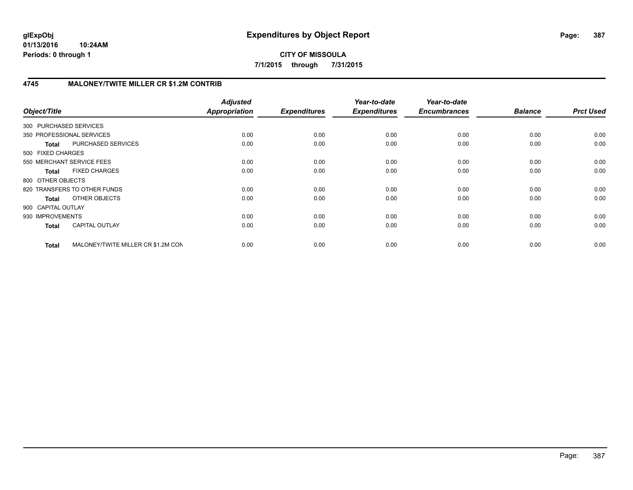**7/1/2015 through 7/31/2015**

## **4745 MALONEY/TWITE MILLER CR \$1.2M CONTRIB**

| Object/Title           |                                    | <b>Adjusted</b><br><b>Appropriation</b> | <b>Expenditures</b> | Year-to-date<br><b>Expenditures</b> | Year-to-date<br><b>Encumbrances</b> | <b>Balance</b> | <b>Prct Used</b> |
|------------------------|------------------------------------|-----------------------------------------|---------------------|-------------------------------------|-------------------------------------|----------------|------------------|
| 300 PURCHASED SERVICES |                                    |                                         |                     |                                     |                                     |                |                  |
|                        | 350 PROFESSIONAL SERVICES          | 0.00                                    | 0.00                | 0.00                                | 0.00                                | 0.00           | 0.00             |
| <b>Total</b>           | PURCHASED SERVICES                 | 0.00                                    | 0.00                | 0.00                                | 0.00                                | 0.00           | 0.00             |
| 500 FIXED CHARGES      |                                    |                                         |                     |                                     |                                     |                |                  |
|                        | 550 MERCHANT SERVICE FEES          | 0.00                                    | 0.00                | 0.00                                | 0.00                                | 0.00           | 0.00             |
| <b>Total</b>           | <b>FIXED CHARGES</b>               | 0.00                                    | 0.00                | 0.00                                | 0.00                                | 0.00           | 0.00             |
| 800 OTHER OBJECTS      |                                    |                                         |                     |                                     |                                     |                |                  |
|                        | 820 TRANSFERS TO OTHER FUNDS       | 0.00                                    | 0.00                | 0.00                                | 0.00                                | 0.00           | 0.00             |
| Total                  | OTHER OBJECTS                      | 0.00                                    | 0.00                | 0.00                                | 0.00                                | 0.00           | 0.00             |
| 900 CAPITAL OUTLAY     |                                    |                                         |                     |                                     |                                     |                |                  |
| 930 IMPROVEMENTS       |                                    | 0.00                                    | 0.00                | 0.00                                | 0.00                                | 0.00           | 0.00             |
| <b>Total</b>           | <b>CAPITAL OUTLAY</b>              | 0.00                                    | 0.00                | 0.00                                | 0.00                                | 0.00           | 0.00             |
| <b>Total</b>           | MALONEY/TWITE MILLER CR \$1.2M CON | 0.00                                    | 0.00                | 0.00                                | 0.00                                | 0.00           | 0.00             |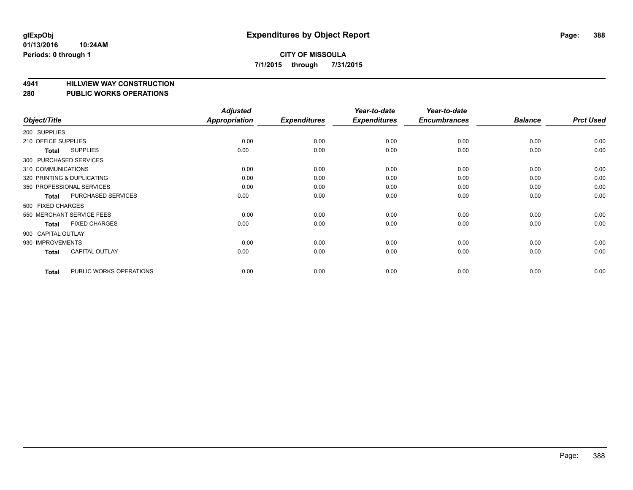# **4941 HILLVIEW WAY CONSTRUCTION**

### **280 PUBLIC WORKS OPERATIONS**

| Object/Title        |                            | <b>Adjusted</b><br><b>Appropriation</b> | <b>Expenditures</b> | Year-to-date<br><b>Expenditures</b> | Year-to-date<br><b>Encumbrances</b> | <b>Balance</b> | <b>Prct Used</b> |
|---------------------|----------------------------|-----------------------------------------|---------------------|-------------------------------------|-------------------------------------|----------------|------------------|
| 200 SUPPLIES        |                            |                                         |                     |                                     |                                     |                |                  |
| 210 OFFICE SUPPLIES |                            | 0.00                                    | 0.00                | 0.00                                | 0.00                                | 0.00           | 0.00             |
| Total               | <b>SUPPLIES</b>            | 0.00                                    | 0.00                | 0.00                                | 0.00                                | 0.00           | 0.00             |
|                     | 300 PURCHASED SERVICES     |                                         |                     |                                     |                                     |                |                  |
| 310 COMMUNICATIONS  |                            | 0.00                                    | 0.00                | 0.00                                | 0.00                                | 0.00           | 0.00             |
|                     | 320 PRINTING & DUPLICATING | 0.00                                    | 0.00                | 0.00                                | 0.00                                | 0.00           | 0.00             |
|                     | 350 PROFESSIONAL SERVICES  | 0.00                                    | 0.00                | 0.00                                | 0.00                                | 0.00           | 0.00             |
| <b>Total</b>        | PURCHASED SERVICES         | 0.00                                    | 0.00                | 0.00                                | 0.00                                | 0.00           | 0.00             |
| 500 FIXED CHARGES   |                            |                                         |                     |                                     |                                     |                |                  |
|                     | 550 MERCHANT SERVICE FEES  | 0.00                                    | 0.00                | 0.00                                | 0.00                                | 0.00           | 0.00             |
| <b>Total</b>        | <b>FIXED CHARGES</b>       | 0.00                                    | 0.00                | 0.00                                | 0.00                                | 0.00           | 0.00             |
| 900 CAPITAL OUTLAY  |                            |                                         |                     |                                     |                                     |                |                  |
| 930 IMPROVEMENTS    |                            | 0.00                                    | 0.00                | 0.00                                | 0.00                                | 0.00           | 0.00             |
| Total               | <b>CAPITAL OUTLAY</b>      | 0.00                                    | 0.00                | 0.00                                | 0.00                                | 0.00           | 0.00             |
| Total               | PUBLIC WORKS OPERATIONS    | 0.00                                    | 0.00                | 0.00                                | 0.00                                | 0.00           | 0.00             |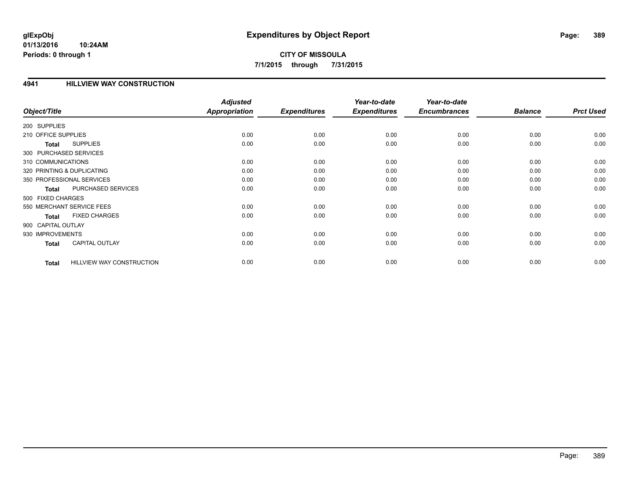# **CITY OF MISSOULA 7/1/2015 through 7/31/2015**

### **4941 HILLVIEW WAY CONSTRUCTION**

|                        |                                  | <b>Adjusted</b> |                     | Year-to-date        | Year-to-date        |                |                  |
|------------------------|----------------------------------|-----------------|---------------------|---------------------|---------------------|----------------|------------------|
| Object/Title           |                                  | Appropriation   | <b>Expenditures</b> | <b>Expenditures</b> | <b>Encumbrances</b> | <b>Balance</b> | <b>Prct Used</b> |
| 200 SUPPLIES           |                                  |                 |                     |                     |                     |                |                  |
| 210 OFFICE SUPPLIES    |                                  | 0.00            | 0.00                | 0.00                | 0.00                | 0.00           | 0.00             |
| <b>Total</b>           | <b>SUPPLIES</b>                  | 0.00            | 0.00                | 0.00                | 0.00                | 0.00           | 0.00             |
| 300 PURCHASED SERVICES |                                  |                 |                     |                     |                     |                |                  |
| 310 COMMUNICATIONS     |                                  | 0.00            | 0.00                | 0.00                | 0.00                | 0.00           | 0.00             |
|                        | 320 PRINTING & DUPLICATING       | 0.00            | 0.00                | 0.00                | 0.00                | 0.00           | 0.00             |
|                        | 350 PROFESSIONAL SERVICES        | 0.00            | 0.00                | 0.00                | 0.00                | 0.00           | 0.00             |
| <b>Total</b>           | PURCHASED SERVICES               | 0.00            | 0.00                | 0.00                | 0.00                | 0.00           | 0.00             |
| 500 FIXED CHARGES      |                                  |                 |                     |                     |                     |                |                  |
|                        | 550 MERCHANT SERVICE FEES        | 0.00            | 0.00                | 0.00                | 0.00                | 0.00           | 0.00             |
| <b>Total</b>           | <b>FIXED CHARGES</b>             | 0.00            | 0.00                | 0.00                | 0.00                | 0.00           | 0.00             |
| 900 CAPITAL OUTLAY     |                                  |                 |                     |                     |                     |                |                  |
| 930 IMPROVEMENTS       |                                  | 0.00            | 0.00                | 0.00                | 0.00                | 0.00           | 0.00             |
| <b>Total</b>           | <b>CAPITAL OUTLAY</b>            | 0.00            | 0.00                | 0.00                | 0.00                | 0.00           | 0.00             |
|                        |                                  |                 |                     |                     |                     |                |                  |
| <b>Total</b>           | <b>HILLVIEW WAY CONSTRUCTION</b> | 0.00            | 0.00                | 0.00                | 0.00                | 0.00           | 0.00             |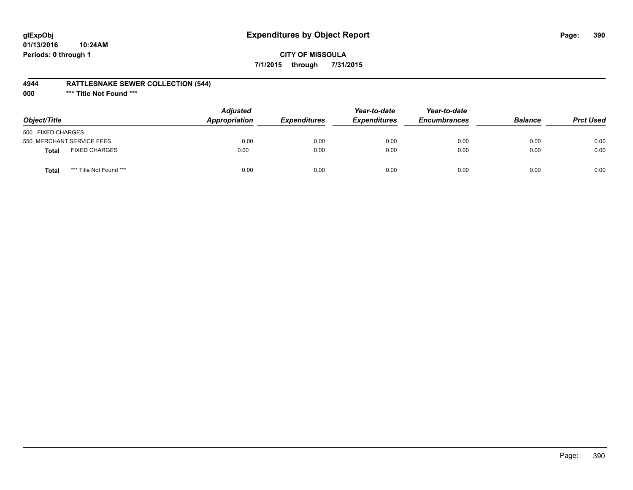# **glExpObj Expenditures by Object Report Page: 390**

## **CITY OF MISSOULA 7/1/2015 through 7/31/2015**

#### **4944 RATTLESNAKE SEWER COLLECTION (544)**

**000 \*\*\* Title Not Found \*\*\***

| Object/Title                            | <b>Adjusted</b><br>Appropriation | <i><b>Expenditures</b></i> | Year-to-date<br><b>Expenditures</b> | Year-to-date<br><b>Encumbrances</b> | <b>Balance</b> | <b>Prct Used</b> |
|-----------------------------------------|----------------------------------|----------------------------|-------------------------------------|-------------------------------------|----------------|------------------|
| 500 FIXED CHARGES                       |                                  |                            |                                     |                                     |                |                  |
| 550 MERCHANT SERVICE FEES               | 0.00                             | 0.00                       | 0.00                                | 0.00                                | 0.00           | 0.00             |
| <b>FIXED CHARGES</b><br><b>Total</b>    | 0.00                             | 0.00                       | 0.00                                | 0.00                                | 0.00           | 0.00             |
| *** Title Not Found ***<br><b>Total</b> | 0.00                             | 0.00                       | 0.00                                | 0.00                                | 0.00           | 0.00             |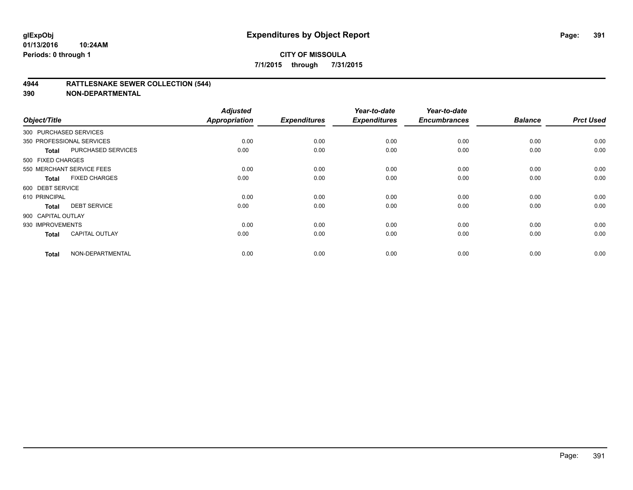#### **4944 RATTLESNAKE SEWER COLLECTION (544)**

| Object/Title           |                           | <b>Adjusted</b><br><b>Appropriation</b> | <b>Expenditures</b> | Year-to-date<br><b>Expenditures</b> | Year-to-date<br><b>Encumbrances</b> | <b>Balance</b> | <b>Prct Used</b> |
|------------------------|---------------------------|-----------------------------------------|---------------------|-------------------------------------|-------------------------------------|----------------|------------------|
| 300 PURCHASED SERVICES |                           |                                         |                     |                                     |                                     |                |                  |
|                        | 350 PROFESSIONAL SERVICES | 0.00                                    | 0.00                | 0.00                                | 0.00                                | 0.00           | 0.00             |
| Total                  | PURCHASED SERVICES        | 0.00                                    | 0.00                | 0.00                                | 0.00                                | 0.00           | 0.00             |
| 500 FIXED CHARGES      |                           |                                         |                     |                                     |                                     |                |                  |
|                        | 550 MERCHANT SERVICE FEES | 0.00                                    | 0.00                | 0.00                                | 0.00                                | 0.00           | 0.00             |
| Total                  | <b>FIXED CHARGES</b>      | 0.00                                    | 0.00                | 0.00                                | 0.00                                | 0.00           | 0.00             |
| 600 DEBT SERVICE       |                           |                                         |                     |                                     |                                     |                |                  |
| 610 PRINCIPAL          |                           | 0.00                                    | 0.00                | 0.00                                | 0.00                                | 0.00           | 0.00             |
| <b>Total</b>           | <b>DEBT SERVICE</b>       | 0.00                                    | 0.00                | 0.00                                | 0.00                                | 0.00           | 0.00             |
| 900 CAPITAL OUTLAY     |                           |                                         |                     |                                     |                                     |                |                  |
| 930 IMPROVEMENTS       |                           | 0.00                                    | 0.00                | 0.00                                | 0.00                                | 0.00           | 0.00             |
| <b>Total</b>           | <b>CAPITAL OUTLAY</b>     | 0.00                                    | 0.00                | 0.00                                | 0.00                                | 0.00           | 0.00             |
| <b>Total</b>           | NON-DEPARTMENTAL          | 0.00                                    | 0.00                | 0.00                                | 0.00                                | 0.00           | 0.00             |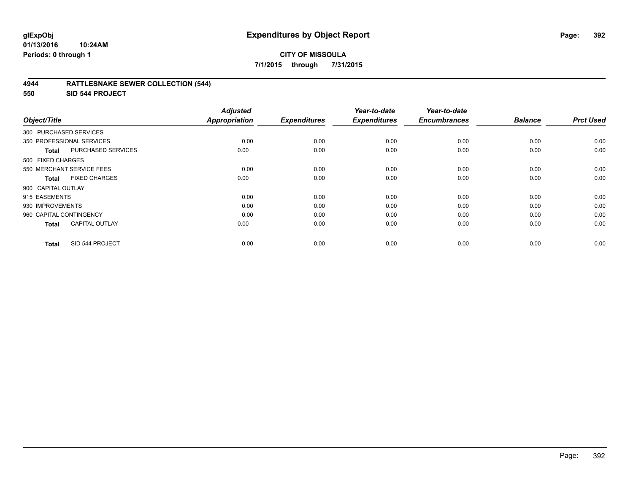#### **CITY OF MISSOULA 7/1/2015 through 7/31/2015**

#### **4944 RATTLESNAKE SEWER COLLECTION (544)**

**550 SID 544 PROJECT**

| Object/Title                              | <b>Adjusted</b><br><b>Appropriation</b> | <b>Expenditures</b> | Year-to-date<br><b>Expenditures</b> | Year-to-date<br><b>Encumbrances</b> | <b>Balance</b> | <b>Prct Used</b> |
|-------------------------------------------|-----------------------------------------|---------------------|-------------------------------------|-------------------------------------|----------------|------------------|
|                                           |                                         |                     |                                     |                                     |                |                  |
| 300 PURCHASED SERVICES                    |                                         |                     |                                     |                                     |                |                  |
| 350 PROFESSIONAL SERVICES                 | 0.00                                    | 0.00                | 0.00                                | 0.00                                | 0.00           | 0.00             |
| <b>PURCHASED SERVICES</b><br><b>Total</b> | 0.00                                    | 0.00                | 0.00                                | 0.00                                | 0.00           | 0.00             |
| 500 FIXED CHARGES                         |                                         |                     |                                     |                                     |                |                  |
| 550 MERCHANT SERVICE FEES                 | 0.00                                    | 0.00                | 0.00                                | 0.00                                | 0.00           | 0.00             |
| <b>FIXED CHARGES</b><br><b>Total</b>      | 0.00                                    | 0.00                | 0.00                                | 0.00                                | 0.00           | 0.00             |
| 900 CAPITAL OUTLAY                        |                                         |                     |                                     |                                     |                |                  |
| 915 EASEMENTS                             | 0.00                                    | 0.00                | 0.00                                | 0.00                                | 0.00           | 0.00             |
| 930 IMPROVEMENTS                          | 0.00                                    | 0.00                | 0.00                                | 0.00                                | 0.00           | 0.00             |
| 960 CAPITAL CONTINGENCY                   | 0.00                                    | 0.00                | 0.00                                | 0.00                                | 0.00           | 0.00             |
| <b>CAPITAL OUTLAY</b><br><b>Total</b>     | 0.00                                    | 0.00                | 0.00                                | 0.00                                | 0.00           | 0.00             |
| SID 544 PROJECT<br><b>Total</b>           | 0.00                                    | 0.00                | 0.00                                | 0.00                                | 0.00           | 0.00             |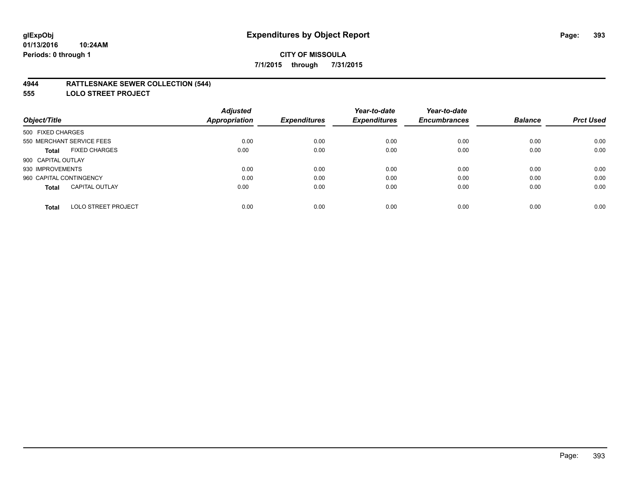#### **4944 RATTLESNAKE SEWER COLLECTION (544)**

**555 LOLO STREET PROJECT**

|                                       | <b>Adjusted</b>      |                     | Year-to-date        | Year-to-date        |                |                  |
|---------------------------------------|----------------------|---------------------|---------------------|---------------------|----------------|------------------|
| Object/Title                          | <b>Appropriation</b> | <b>Expenditures</b> | <b>Expenditures</b> | <b>Encumbrances</b> | <b>Balance</b> | <b>Prct Used</b> |
| 500 FIXED CHARGES                     |                      |                     |                     |                     |                |                  |
| 550 MERCHANT SERVICE FEES             | 0.00                 | 0.00                | 0.00                | 0.00                | 0.00           | 0.00             |
| <b>FIXED CHARGES</b><br><b>Total</b>  | 0.00                 | 0.00                | 0.00                | 0.00                | 0.00           | 0.00             |
| 900 CAPITAL OUTLAY                    |                      |                     |                     |                     |                |                  |
| 930 IMPROVEMENTS                      | 0.00                 | 0.00                | 0.00                | 0.00                | 0.00           | 0.00             |
| 960 CAPITAL CONTINGENCY               | 0.00                 | 0.00                | 0.00                | 0.00                | 0.00           | 0.00             |
| <b>CAPITAL OUTLAY</b><br><b>Total</b> | 0.00                 | 0.00                | 0.00                | 0.00                | 0.00           | 0.00             |
| <b>LOLO STREET PROJECT</b><br>Total   | 0.00                 | 0.00                | 0.00                | 0.00                | 0.00           | 0.00             |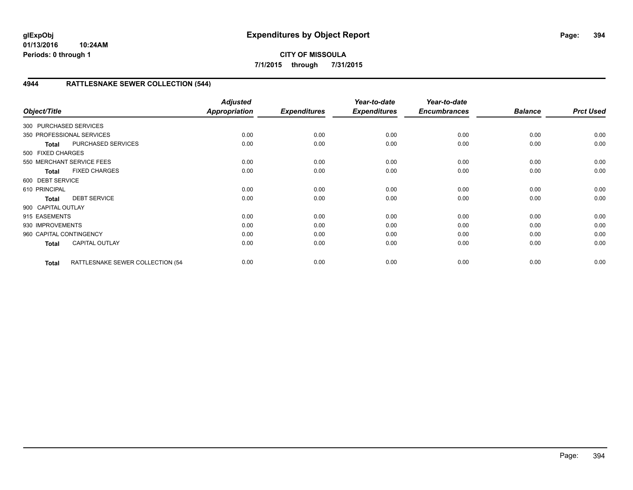## **CITY OF MISSOULA 7/1/2015 through 7/31/2015**

# **4944 RATTLESNAKE SEWER COLLECTION (544)**

| Object/Title              |                                   | <b>Adjusted</b><br><b>Appropriation</b> | <b>Expenditures</b> | Year-to-date<br><b>Expenditures</b> | Year-to-date<br><b>Encumbrances</b> | <b>Balance</b> | <b>Prct Used</b> |
|---------------------------|-----------------------------------|-----------------------------------------|---------------------|-------------------------------------|-------------------------------------|----------------|------------------|
| 300 PURCHASED SERVICES    |                                   |                                         |                     |                                     |                                     |                |                  |
| 350 PROFESSIONAL SERVICES |                                   | 0.00                                    | 0.00                | 0.00                                | 0.00                                | 0.00           | 0.00             |
| <b>Total</b>              | PURCHASED SERVICES                | 0.00                                    | 0.00                | 0.00                                | 0.00                                | 0.00           | 0.00             |
| 500 FIXED CHARGES         |                                   |                                         |                     |                                     |                                     |                |                  |
|                           | 550 MERCHANT SERVICE FEES         | 0.00                                    | 0.00                | 0.00                                | 0.00                                | 0.00           | 0.00             |
| <b>Total</b>              | <b>FIXED CHARGES</b>              | 0.00                                    | 0.00                | 0.00                                | 0.00                                | 0.00           | 0.00             |
| 600 DEBT SERVICE          |                                   |                                         |                     |                                     |                                     |                |                  |
| 610 PRINCIPAL             |                                   | 0.00                                    | 0.00                | 0.00                                | 0.00                                | 0.00           | 0.00             |
| <b>Total</b>              | <b>DEBT SERVICE</b>               | 0.00                                    | 0.00                | 0.00                                | 0.00                                | 0.00           | 0.00             |
| 900 CAPITAL OUTLAY        |                                   |                                         |                     |                                     |                                     |                |                  |
| 915 EASEMENTS             |                                   | 0.00                                    | 0.00                | 0.00                                | 0.00                                | 0.00           | 0.00             |
| 930 IMPROVEMENTS          |                                   | 0.00                                    | 0.00                | 0.00                                | 0.00                                | 0.00           | 0.00             |
| 960 CAPITAL CONTINGENCY   |                                   | 0.00                                    | 0.00                | 0.00                                | 0.00                                | 0.00           | 0.00             |
| <b>Total</b>              | <b>CAPITAL OUTLAY</b>             | 0.00                                    | 0.00                | 0.00                                | 0.00                                | 0.00           | 0.00             |
| <b>Total</b>              | RATTLESNAKE SEWER COLLECTION (54- | 0.00                                    | 0.00                | 0.00                                | 0.00                                | 0.00           | 0.00             |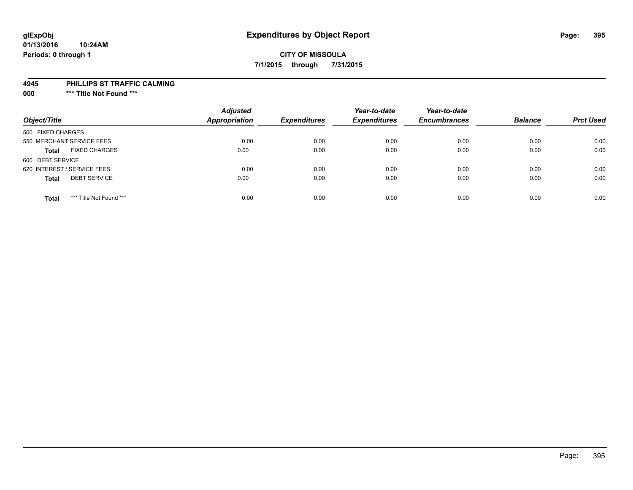# **10:24AM**

# **01/13/2016 Periods: 0 through 1**

# **CITY OF MISSOULA 7/1/2015 through 7/31/2015**

#### **4945 PHILLIPS ST TRAFFIC CALMING**

**000 \*\*\* Title Not Found \*\*\***

| Object/Title                            | <b>Adjusted</b><br><b>Appropriation</b> | <b>Expenditures</b> | Year-to-date<br><b>Expenditures</b> | Year-to-date<br><b>Encumbrances</b> | <b>Balance</b> | <b>Prct Used</b> |
|-----------------------------------------|-----------------------------------------|---------------------|-------------------------------------|-------------------------------------|----------------|------------------|
| 500 FIXED CHARGES                       |                                         |                     |                                     |                                     |                |                  |
| 550 MERCHANT SERVICE FEES               | 0.00                                    | 0.00                | 0.00                                | 0.00                                | 0.00           | 0.00             |
| <b>FIXED CHARGES</b><br><b>Total</b>    | 0.00                                    | 0.00                | 0.00                                | 0.00                                | 0.00           | 0.00             |
| 600 DEBT SERVICE                        |                                         |                     |                                     |                                     |                |                  |
| 620 INTEREST / SERVICE FEES             | 0.00                                    | 0.00                | 0.00                                | 0.00                                | 0.00           | 0.00             |
| <b>DEBT SERVICE</b><br><b>Total</b>     | 0.00                                    | 0.00                | 0.00                                | 0.00                                | 0.00           | 0.00             |
| *** Title Not Found ***<br><b>Total</b> | 0.00                                    | 0.00                | 0.00                                | 0.00                                | 0.00           | 0.00             |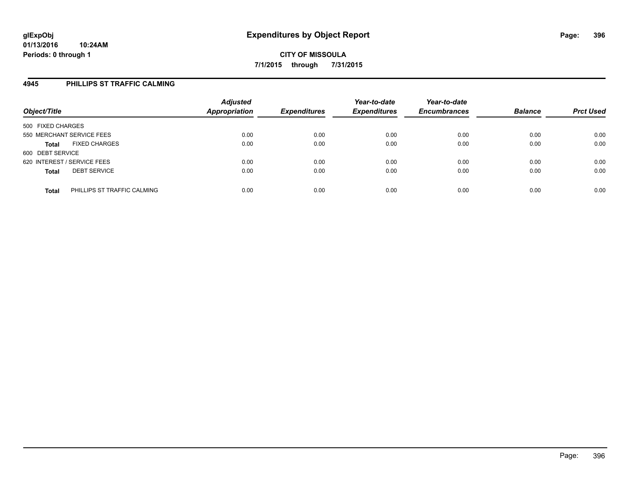## **4945 PHILLIPS ST TRAFFIC CALMING**

| Object/Title                                | <b>Adjusted</b><br><b>Appropriation</b> | <b>Expenditures</b> | Year-to-date<br><b>Expenditures</b> | Year-to-date<br><b>Encumbrances</b> | <b>Balance</b> | <b>Prct Used</b> |
|---------------------------------------------|-----------------------------------------|---------------------|-------------------------------------|-------------------------------------|----------------|------------------|
| 500 FIXED CHARGES                           |                                         |                     |                                     |                                     |                |                  |
| 550 MERCHANT SERVICE FEES                   | 0.00                                    | 0.00                | 0.00                                | 0.00                                | 0.00           | 0.00             |
| <b>FIXED CHARGES</b><br><b>Total</b>        | 0.00                                    | 0.00                | 0.00                                | 0.00                                | 0.00           | 0.00             |
| 600 DEBT SERVICE                            |                                         |                     |                                     |                                     |                |                  |
| 620 INTEREST / SERVICE FEES                 | 0.00                                    | 0.00                | 0.00                                | 0.00                                | 0.00           | 0.00             |
| <b>DEBT SERVICE</b><br><b>Total</b>         | 0.00                                    | 0.00                | 0.00                                | 0.00                                | 0.00           | 0.00             |
| PHILLIPS ST TRAFFIC CALMING<br><b>Total</b> | 0.00                                    | 0.00                | 0.00                                | 0.00                                | 0.00           | 0.00             |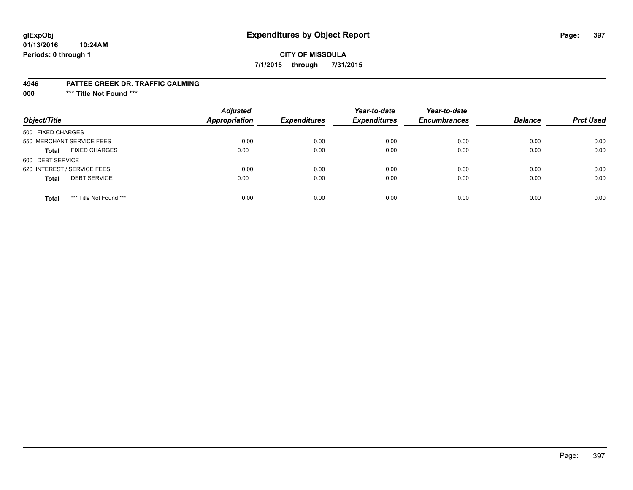# **glExpObj Expenditures by Object Report Page: 397**

#### **01/13/2016 10:24AM Periods: 0 through 1**

### **CITY OF MISSOULA 7/1/2015 through 7/31/2015**

#### **4946 PATTEE CREEK DR. TRAFFIC CALMING**

**000 \*\*\* Title Not Found \*\*\***

| Object/Title                            | <b>Adjusted</b><br><b>Appropriation</b> | <b>Expenditures</b> | Year-to-date<br><b>Expenditures</b> | Year-to-date<br><b>Encumbrances</b> | <b>Balance</b> | <b>Prct Used</b> |
|-----------------------------------------|-----------------------------------------|---------------------|-------------------------------------|-------------------------------------|----------------|------------------|
| 500 FIXED CHARGES                       |                                         |                     |                                     |                                     |                |                  |
| 550 MERCHANT SERVICE FEES               | 0.00                                    | 0.00                | 0.00                                | 0.00                                | 0.00           | 0.00             |
| <b>FIXED CHARGES</b><br><b>Total</b>    | 0.00                                    | 0.00                | 0.00                                | 0.00                                | 0.00           | 0.00             |
| 600 DEBT SERVICE                        |                                         |                     |                                     |                                     |                |                  |
| 620 INTEREST / SERVICE FEES             | 0.00                                    | 0.00                | 0.00                                | 0.00                                | 0.00           | 0.00             |
| <b>DEBT SERVICE</b><br><b>Total</b>     | 0.00                                    | 0.00                | 0.00                                | 0.00                                | 0.00           | 0.00             |
| *** Title Not Found ***<br><b>Total</b> | 0.00                                    | 0.00                | 0.00                                | 0.00                                | 0.00           | 0.00             |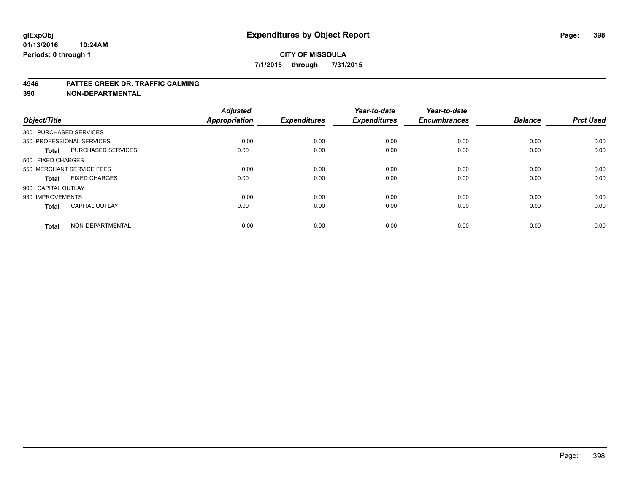#### **CITY OF MISSOULA 7/1/2015 through 7/31/2015**

#### **4946 PATTEE CREEK DR. TRAFFIC CALMING**

**390 NON-DEPARTMENTAL**

| Object/Title           |                           | <b>Adjusted</b><br><b>Appropriation</b> | <b>Expenditures</b> | Year-to-date<br><b>Expenditures</b> | Year-to-date<br><b>Encumbrances</b> | <b>Balance</b> | <b>Prct Used</b> |
|------------------------|---------------------------|-----------------------------------------|---------------------|-------------------------------------|-------------------------------------|----------------|------------------|
| 300 PURCHASED SERVICES |                           |                                         |                     |                                     |                                     |                |                  |
|                        | 350 PROFESSIONAL SERVICES | 0.00                                    | 0.00                | 0.00                                | 0.00                                | 0.00           | 0.00             |
| <b>Total</b>           | <b>PURCHASED SERVICES</b> | 0.00                                    | 0.00                | 0.00                                | 0.00                                | 0.00           | 0.00             |
| 500 FIXED CHARGES      |                           |                                         |                     |                                     |                                     |                |                  |
|                        | 550 MERCHANT SERVICE FEES | 0.00                                    | 0.00                | 0.00                                | 0.00                                | 0.00           | 0.00             |
| Total                  | <b>FIXED CHARGES</b>      | 0.00                                    | 0.00                | 0.00                                | 0.00                                | 0.00           | 0.00             |
| 900 CAPITAL OUTLAY     |                           |                                         |                     |                                     |                                     |                |                  |
| 930 IMPROVEMENTS       |                           | 0.00                                    | 0.00                | 0.00                                | 0.00                                | 0.00           | 0.00             |
| Total                  | <b>CAPITAL OUTLAY</b>     | 0.00                                    | 0.00                | 0.00                                | 0.00                                | 0.00           | 0.00             |
| <b>Total</b>           | NON-DEPARTMENTAL          | 0.00                                    | 0.00                | 0.00                                | 0.00                                | 0.00           | 0.00             |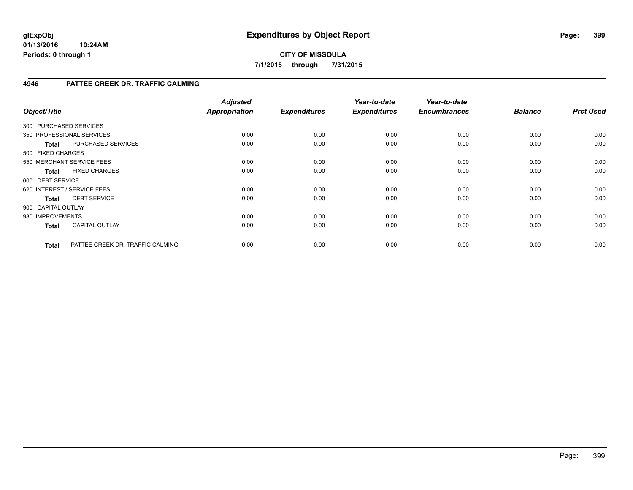# **4946 PATTEE CREEK DR. TRAFFIC CALMING**

| Object/Title       |                                  | <b>Adjusted</b><br><b>Appropriation</b> | <b>Expenditures</b> | Year-to-date<br><b>Expenditures</b> | Year-to-date<br><b>Encumbrances</b> | <b>Balance</b> | <b>Prct Used</b> |
|--------------------|----------------------------------|-----------------------------------------|---------------------|-------------------------------------|-------------------------------------|----------------|------------------|
|                    | 300 PURCHASED SERVICES           |                                         |                     |                                     |                                     |                |                  |
|                    | 350 PROFESSIONAL SERVICES        | 0.00                                    | 0.00                | 0.00                                | 0.00                                | 0.00           | 0.00             |
| <b>Total</b>       | PURCHASED SERVICES               | 0.00                                    | 0.00                | 0.00                                | 0.00                                | 0.00           | 0.00             |
| 500 FIXED CHARGES  |                                  |                                         |                     |                                     |                                     |                |                  |
|                    | 550 MERCHANT SERVICE FEES        | 0.00                                    | 0.00                | 0.00                                | 0.00                                | 0.00           | 0.00             |
| <b>Total</b>       | <b>FIXED CHARGES</b>             | 0.00                                    | 0.00                | 0.00                                | 0.00                                | 0.00           | 0.00             |
| 600 DEBT SERVICE   |                                  |                                         |                     |                                     |                                     |                |                  |
|                    | 620 INTEREST / SERVICE FEES      | 0.00                                    | 0.00                | 0.00                                | 0.00                                | 0.00           | 0.00             |
| <b>Total</b>       | <b>DEBT SERVICE</b>              | 0.00                                    | 0.00                | 0.00                                | 0.00                                | 0.00           | 0.00             |
| 900 CAPITAL OUTLAY |                                  |                                         |                     |                                     |                                     |                |                  |
| 930 IMPROVEMENTS   |                                  | 0.00                                    | 0.00                | 0.00                                | 0.00                                | 0.00           | 0.00             |
| <b>Total</b>       | <b>CAPITAL OUTLAY</b>            | 0.00                                    | 0.00                | 0.00                                | 0.00                                | 0.00           | 0.00             |
| <b>Total</b>       | PATTEE CREEK DR. TRAFFIC CALMING | 0.00                                    | 0.00                | 0.00                                | 0.00                                | 0.00           | 0.00             |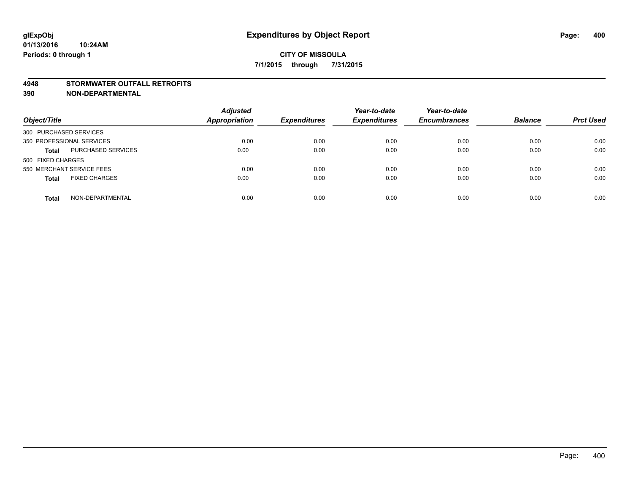#### **4948 STORMWATER OUTFALL RETROFITS**

**390 NON-DEPARTMENTAL**

| Object/Title                         | <b>Adjusted</b><br><b>Appropriation</b> | <b>Expenditures</b> | Year-to-date<br><b>Expenditures</b> | Year-to-date<br><b>Encumbrances</b> | <b>Balance</b> | <b>Prct Used</b> |
|--------------------------------------|-----------------------------------------|---------------------|-------------------------------------|-------------------------------------|----------------|------------------|
| 300 PURCHASED SERVICES               |                                         |                     |                                     |                                     |                |                  |
| 350 PROFESSIONAL SERVICES            | 0.00                                    | 0.00                | 0.00                                | 0.00                                | 0.00           | 0.00             |
| PURCHASED SERVICES<br><b>Total</b>   | 0.00                                    | 0.00                | 0.00                                | 0.00                                | 0.00           | 0.00             |
| 500 FIXED CHARGES                    |                                         |                     |                                     |                                     |                |                  |
| 550 MERCHANT SERVICE FEES            | 0.00                                    | 0.00                | 0.00                                | 0.00                                | 0.00           | 0.00             |
| <b>FIXED CHARGES</b><br><b>Total</b> | 0.00                                    | 0.00                | 0.00                                | 0.00                                | 0.00           | 0.00             |
| NON-DEPARTMENTAL<br><b>Total</b>     | 0.00                                    | 0.00                | 0.00                                | 0.00                                | 0.00           | 0.00             |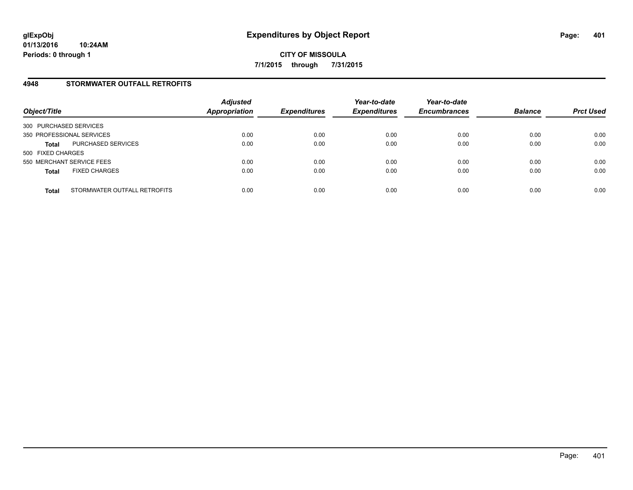### **4948 STORMWATER OUTFALL RETROFITS**

| Object/Title                                 | <b>Adjusted</b><br><b>Appropriation</b> | <b>Expenditures</b> | Year-to-date<br><b>Expenditures</b> | Year-to-date<br><b>Encumbrances</b> | <b>Balance</b> | <b>Prct Used</b> |
|----------------------------------------------|-----------------------------------------|---------------------|-------------------------------------|-------------------------------------|----------------|------------------|
| 300 PURCHASED SERVICES                       |                                         |                     |                                     |                                     |                |                  |
| 350 PROFESSIONAL SERVICES                    | 0.00                                    | 0.00                | 0.00                                | 0.00                                | 0.00           | 0.00             |
| PURCHASED SERVICES<br><b>Total</b>           | 0.00                                    | 0.00                | 0.00                                | 0.00                                | 0.00           | 0.00             |
| 500 FIXED CHARGES                            |                                         |                     |                                     |                                     |                |                  |
| 550 MERCHANT SERVICE FEES                    | 0.00                                    | 0.00                | 0.00                                | 0.00                                | 0.00           | 0.00             |
| <b>FIXED CHARGES</b><br><b>Total</b>         | 0.00                                    | 0.00                | 0.00                                | 0.00                                | 0.00           | 0.00             |
| STORMWATER OUTFALL RETROFITS<br><b>Total</b> | 0.00                                    | 0.00                | 0.00                                | 0.00                                | 0.00           | 0.00             |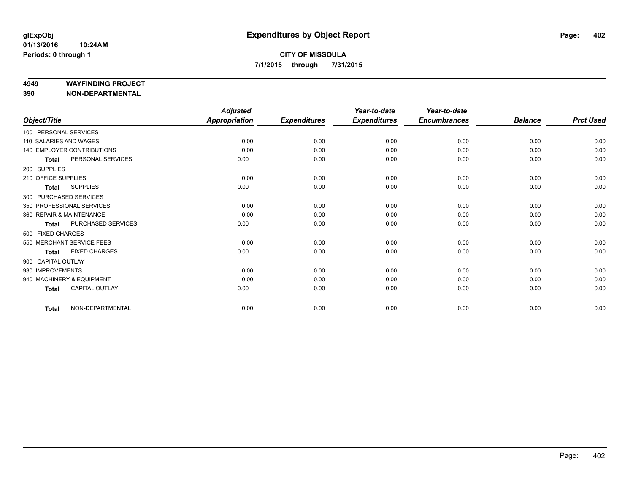#### **4949 WAYFINDING PROJECT**

**390 NON-DEPARTMENTAL**

|                        |                            | <b>Adjusted</b> |                     | Year-to-date        | Year-to-date        |                |                  |
|------------------------|----------------------------|-----------------|---------------------|---------------------|---------------------|----------------|------------------|
| Object/Title           |                            | Appropriation   | <b>Expenditures</b> | <b>Expenditures</b> | <b>Encumbrances</b> | <b>Balance</b> | <b>Prct Used</b> |
| 100 PERSONAL SERVICES  |                            |                 |                     |                     |                     |                |                  |
| 110 SALARIES AND WAGES |                            | 0.00            | 0.00                | 0.00                | 0.00                | 0.00           | 0.00             |
|                        | 140 EMPLOYER CONTRIBUTIONS | 0.00            | 0.00                | 0.00                | 0.00                | 0.00           | 0.00             |
| <b>Total</b>           | PERSONAL SERVICES          | 0.00            | 0.00                | 0.00                | 0.00                | 0.00           | 0.00             |
| 200 SUPPLIES           |                            |                 |                     |                     |                     |                |                  |
| 210 OFFICE SUPPLIES    |                            | 0.00            | 0.00                | 0.00                | 0.00                | 0.00           | 0.00             |
| <b>Total</b>           | <b>SUPPLIES</b>            | 0.00            | 0.00                | 0.00                | 0.00                | 0.00           | 0.00             |
|                        | 300 PURCHASED SERVICES     |                 |                     |                     |                     |                |                  |
|                        | 350 PROFESSIONAL SERVICES  | 0.00            | 0.00                | 0.00                | 0.00                | 0.00           | 0.00             |
|                        | 360 REPAIR & MAINTENANCE   | 0.00            | 0.00                | 0.00                | 0.00                | 0.00           | 0.00             |
| <b>Total</b>           | PURCHASED SERVICES         | 0.00            | 0.00                | 0.00                | 0.00                | 0.00           | 0.00             |
| 500 FIXED CHARGES      |                            |                 |                     |                     |                     |                |                  |
|                        | 550 MERCHANT SERVICE FEES  | 0.00            | 0.00                | 0.00                | 0.00                | 0.00           | 0.00             |
| <b>Total</b>           | <b>FIXED CHARGES</b>       | 0.00            | 0.00                | 0.00                | 0.00                | 0.00           | 0.00             |
| 900 CAPITAL OUTLAY     |                            |                 |                     |                     |                     |                |                  |
| 930 IMPROVEMENTS       |                            | 0.00            | 0.00                | 0.00                | 0.00                | 0.00           | 0.00             |
|                        | 940 MACHINERY & EQUIPMENT  | 0.00            | 0.00                | 0.00                | 0.00                | 0.00           | 0.00             |
| <b>Total</b>           | CAPITAL OUTLAY             | 0.00            | 0.00                | 0.00                | 0.00                | 0.00           | 0.00             |
| <b>Total</b>           | NON-DEPARTMENTAL           | 0.00            | 0.00                | 0.00                | 0.00                | 0.00           | 0.00             |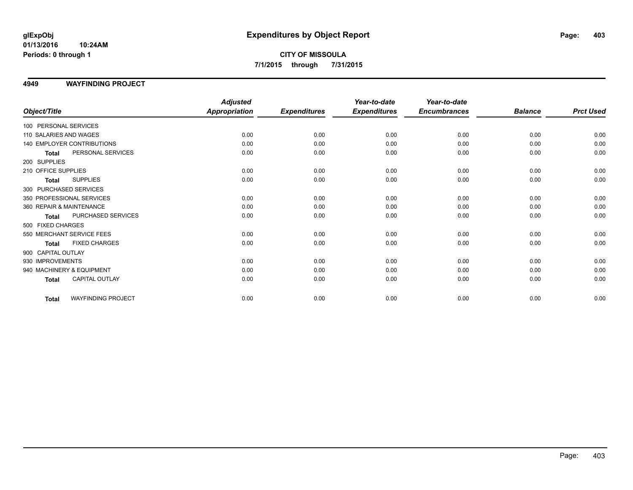# **CITY OF MISSOULA 7/1/2015 through 7/31/2015**

### **4949 WAYFINDING PROJECT**

|                                      | <b>Adjusted</b>      |                     | Year-to-date        | Year-to-date        |                |                  |
|--------------------------------------|----------------------|---------------------|---------------------|---------------------|----------------|------------------|
| Object/Title                         | <b>Appropriation</b> | <b>Expenditures</b> | <b>Expenditures</b> | <b>Encumbrances</b> | <b>Balance</b> | <b>Prct Used</b> |
| 100 PERSONAL SERVICES                |                      |                     |                     |                     |                |                  |
| 110 SALARIES AND WAGES               | 0.00                 | 0.00                | 0.00                | 0.00                | 0.00           | 0.00             |
| 140 EMPLOYER CONTRIBUTIONS           | 0.00                 | 0.00                | 0.00                | 0.00                | 0.00           | 0.00             |
| PERSONAL SERVICES<br>Total           | 0.00                 | 0.00                | 0.00                | 0.00                | 0.00           | 0.00             |
| 200 SUPPLIES                         |                      |                     |                     |                     |                |                  |
| 210 OFFICE SUPPLIES                  | 0.00                 | 0.00                | 0.00                | 0.00                | 0.00           | 0.00             |
| <b>SUPPLIES</b><br>Total             | 0.00                 | 0.00                | 0.00                | 0.00                | 0.00           | 0.00             |
| 300 PURCHASED SERVICES               |                      |                     |                     |                     |                |                  |
| 350 PROFESSIONAL SERVICES            | 0.00                 | 0.00                | 0.00                | 0.00                | 0.00           | 0.00             |
| 360 REPAIR & MAINTENANCE             | 0.00                 | 0.00                | 0.00                | 0.00                | 0.00           | 0.00             |
| PURCHASED SERVICES<br><b>Total</b>   | 0.00                 | 0.00                | 0.00                | 0.00                | 0.00           | 0.00             |
| 500 FIXED CHARGES                    |                      |                     |                     |                     |                |                  |
| 550 MERCHANT SERVICE FEES            | 0.00                 | 0.00                | 0.00                | 0.00                | 0.00           | 0.00             |
| <b>FIXED CHARGES</b><br><b>Total</b> | 0.00                 | 0.00                | 0.00                | 0.00                | 0.00           | 0.00             |
| 900 CAPITAL OUTLAY                   |                      |                     |                     |                     |                |                  |
| 930 IMPROVEMENTS                     | 0.00                 | 0.00                | 0.00                | 0.00                | 0.00           | 0.00             |
| 940 MACHINERY & EQUIPMENT            | 0.00                 | 0.00                | 0.00                | 0.00                | 0.00           | 0.00             |
| CAPITAL OUTLAY<br><b>Total</b>       | 0.00                 | 0.00                | 0.00                | 0.00                | 0.00           | 0.00             |
| <b>WAYFINDING PROJECT</b><br>Total   | 0.00                 | 0.00                | 0.00                | 0.00                | 0.00           | 0.00             |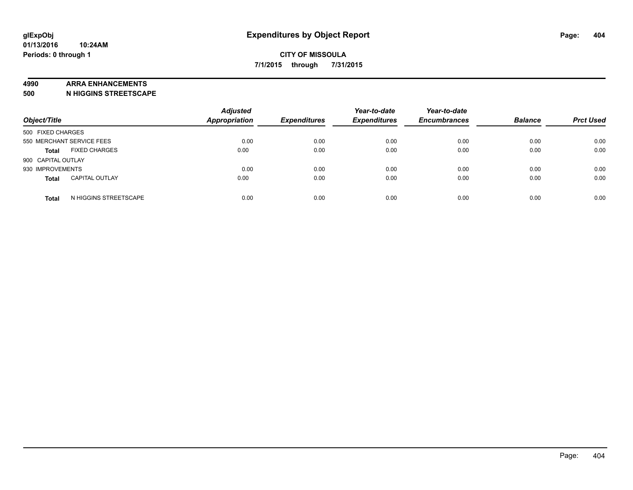#### **4990 ARRA ENHANCEMENTS**

**500 N HIGGINS STREETSCAPE**

| Object/Title                          | <b>Adjusted</b><br><b>Appropriation</b> | <b>Expenditures</b> | Year-to-date<br><b>Expenditures</b> | Year-to-date<br><b>Encumbrances</b> | <b>Balance</b> | <b>Prct Used</b> |
|---------------------------------------|-----------------------------------------|---------------------|-------------------------------------|-------------------------------------|----------------|------------------|
| 500 FIXED CHARGES                     |                                         |                     |                                     |                                     |                |                  |
| 550 MERCHANT SERVICE FEES             | 0.00                                    | 0.00                | 0.00                                | 0.00                                | 0.00           | 0.00             |
| <b>FIXED CHARGES</b><br><b>Total</b>  | 0.00                                    | 0.00                | 0.00                                | 0.00                                | 0.00           | 0.00             |
| 900 CAPITAL OUTLAY                    |                                         |                     |                                     |                                     |                |                  |
| 930 IMPROVEMENTS                      | 0.00                                    | 0.00                | 0.00                                | 0.00                                | 0.00           | 0.00             |
| <b>CAPITAL OUTLAY</b><br><b>Total</b> | 0.00                                    | 0.00                | 0.00                                | 0.00                                | 0.00           | 0.00             |
| N HIGGINS STREETSCAPE<br><b>Total</b> | 0.00                                    | 0.00                | 0.00                                | 0.00                                | 0.00           | 0.00             |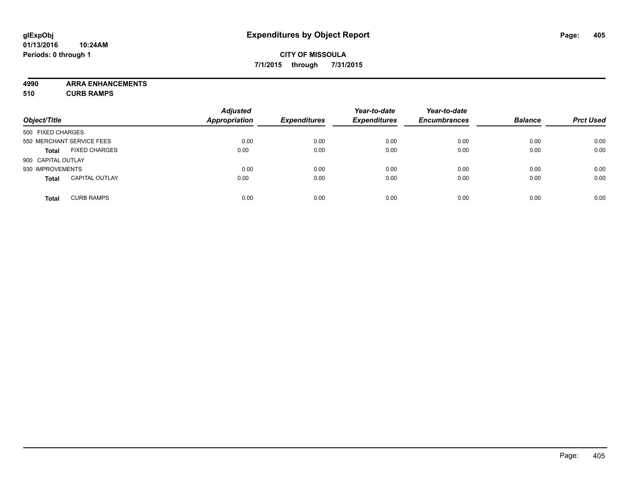**4990 ARRA ENHANCEMENTS**

**510 CURB RAMPS**

|                    |                           | <b>Adjusted</b>      |                     | Year-to-date        | Year-to-date        |                |                  |
|--------------------|---------------------------|----------------------|---------------------|---------------------|---------------------|----------------|------------------|
| Object/Title       |                           | <b>Appropriation</b> | <b>Expenditures</b> | <b>Expenditures</b> | <b>Encumbrances</b> | <b>Balance</b> | <b>Prct Used</b> |
| 500 FIXED CHARGES  |                           |                      |                     |                     |                     |                |                  |
|                    | 550 MERCHANT SERVICE FEES | 0.00                 | 0.00                | 0.00                | 0.00                | 0.00           | 0.00             |
| <b>Total</b>       | <b>FIXED CHARGES</b>      | 0.00                 | 0.00                | 0.00                | 0.00                | 0.00           | 0.00             |
| 900 CAPITAL OUTLAY |                           |                      |                     |                     |                     |                |                  |
| 930 IMPROVEMENTS   |                           | 0.00                 | 0.00                | 0.00                | 0.00                | 0.00           | 0.00             |
| <b>Total</b>       | <b>CAPITAL OUTLAY</b>     | 0.00                 | 0.00                | 0.00                | 0.00                | 0.00           | 0.00             |
| <b>Total</b>       | <b>CURB RAMPS</b>         | 0.00                 | 0.00                | 0.00                | 0.00                | 0.00           | 0.00             |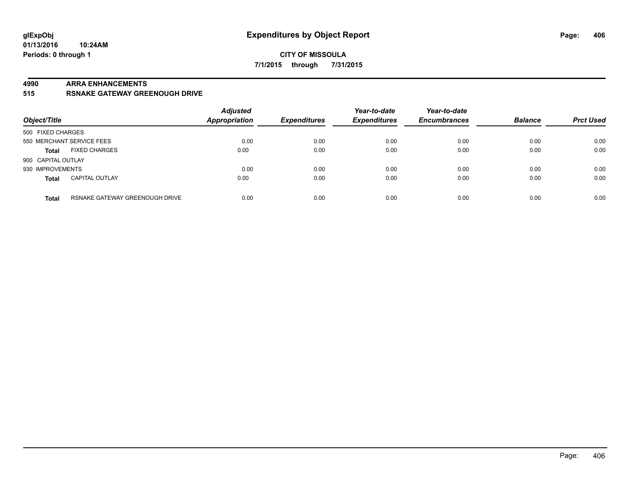### **CITY OF MISSOULA 7/1/2015 through 7/31/2015**

#### **4990 ARRA ENHANCEMENTS**

**515 RSNAKE GATEWAY GREENOUGH DRIVE**

| Object/Title              |                                | <b>Adjusted</b><br><b>Appropriation</b> | <b>Expenditures</b> | Year-to-date<br><b>Expenditures</b> | Year-to-date<br><b>Encumbrances</b> | <b>Balance</b> | <b>Prct Used</b> |
|---------------------------|--------------------------------|-----------------------------------------|---------------------|-------------------------------------|-------------------------------------|----------------|------------------|
| 500 FIXED CHARGES         |                                |                                         |                     |                                     |                                     |                |                  |
| 550 MERCHANT SERVICE FEES |                                | 0.00                                    | 0.00                | 0.00                                | 0.00                                | 0.00           | 0.00             |
| <b>Total</b>              | <b>FIXED CHARGES</b>           | 0.00                                    | 0.00                | 0.00                                | 0.00                                | 0.00           | 0.00             |
| 900 CAPITAL OUTLAY        |                                |                                         |                     |                                     |                                     |                |                  |
| 930 IMPROVEMENTS          |                                | 0.00                                    | 0.00                | 0.00                                | 0.00                                | 0.00           | 0.00             |
| <b>Total</b>              | <b>CAPITAL OUTLAY</b>          | 0.00                                    | 0.00                | 0.00                                | 0.00                                | 0.00           | 0.00             |
| <b>Total</b>              | RSNAKE GATEWAY GREENOUGH DRIVE | 0.00                                    | 0.00                | 0.00                                | 0.00                                | 0.00           | 0.00             |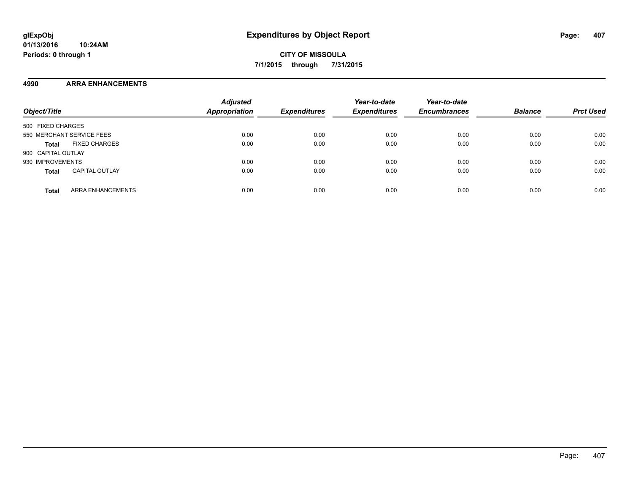### **4990 ARRA ENHANCEMENTS**

| Object/Title                          | <b>Adjusted</b><br><b>Appropriation</b> | <b>Expenditures</b> | Year-to-date<br><b>Expenditures</b> | Year-to-date<br><b>Encumbrances</b> | <b>Balance</b> | <b>Prct Used</b> |
|---------------------------------------|-----------------------------------------|---------------------|-------------------------------------|-------------------------------------|----------------|------------------|
| 500 FIXED CHARGES                     |                                         |                     |                                     |                                     |                |                  |
| 550 MERCHANT SERVICE FEES             | 0.00                                    | 0.00                | 0.00                                | 0.00                                | 0.00           | 0.00             |
| <b>FIXED CHARGES</b><br><b>Total</b>  | 0.00                                    | 0.00                | 0.00                                | 0.00                                | 0.00           | 0.00             |
| 900 CAPITAL OUTLAY                    |                                         |                     |                                     |                                     |                |                  |
| 930 IMPROVEMENTS                      | 0.00                                    | 0.00                | 0.00                                | 0.00                                | 0.00           | 0.00             |
| <b>CAPITAL OUTLAY</b><br><b>Total</b> | 0.00                                    | 0.00                | 0.00                                | 0.00                                | 0.00           | 0.00             |
| ARRA ENHANCEMENTS<br><b>Total</b>     | 0.00                                    | 0.00                | 0.00                                | 0.00                                | 0.00           | 0.00             |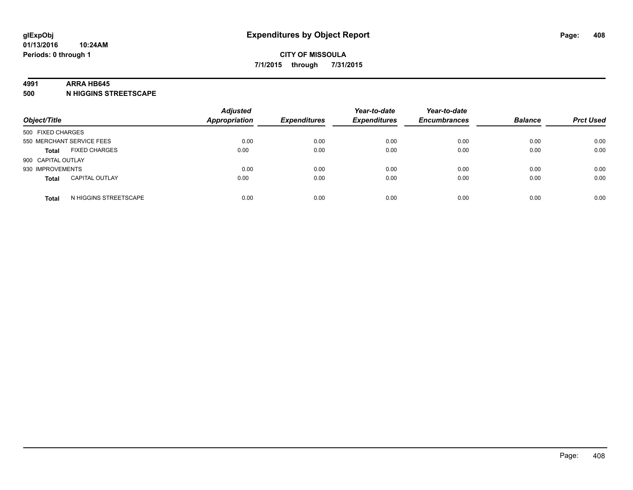#### **4991 ARRA HB645**

**500 N HIGGINS STREETSCAPE**

| Object/Title       |                           | <b>Adjusted</b><br><b>Appropriation</b> | <b>Expenditures</b> | Year-to-date<br><b>Expenditures</b> | Year-to-date<br><b>Encumbrances</b> | <b>Balance</b> | <b>Prct Used</b> |
|--------------------|---------------------------|-----------------------------------------|---------------------|-------------------------------------|-------------------------------------|----------------|------------------|
| 500 FIXED CHARGES  |                           |                                         |                     |                                     |                                     |                |                  |
|                    | 550 MERCHANT SERVICE FEES | 0.00                                    | 0.00                | 0.00                                | 0.00                                | 0.00           | 0.00             |
| <b>Total</b>       | <b>FIXED CHARGES</b>      | 0.00                                    | 0.00                | 0.00                                | 0.00                                | 0.00           | 0.00             |
| 900 CAPITAL OUTLAY |                           |                                         |                     |                                     |                                     |                |                  |
| 930 IMPROVEMENTS   |                           | 0.00                                    | 0.00                | 0.00                                | 0.00                                | 0.00           | 0.00             |
| <b>Total</b>       | <b>CAPITAL OUTLAY</b>     | 0.00                                    | 0.00                | 0.00                                | 0.00                                | 0.00           | 0.00             |
| <b>Total</b>       | N HIGGINS STREETSCAPE     | 0.00                                    | 0.00                | 0.00                                | 0.00                                | 0.00           | 0.00             |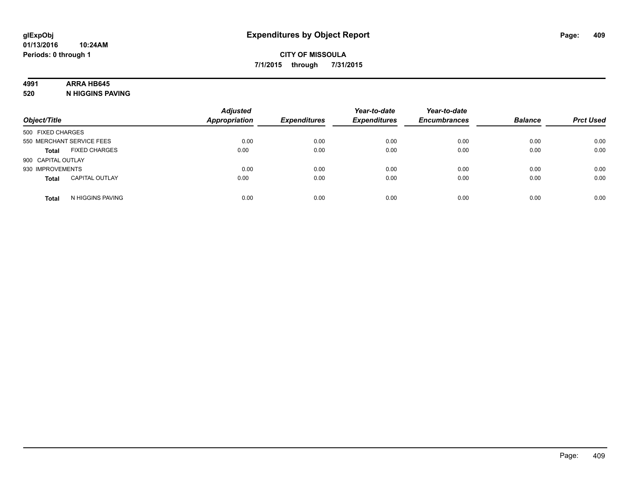# **4991 ARRA HB645**

**520 N HIGGINS PAVING**

| Object/Title       |                           | <b>Adjusted</b><br><b>Appropriation</b> | <b>Expenditures</b> | Year-to-date<br><b>Expenditures</b> | Year-to-date<br><b>Encumbrances</b> | <b>Balance</b> | <b>Prct Used</b> |
|--------------------|---------------------------|-----------------------------------------|---------------------|-------------------------------------|-------------------------------------|----------------|------------------|
| 500 FIXED CHARGES  |                           |                                         |                     |                                     |                                     |                |                  |
|                    | 550 MERCHANT SERVICE FEES | 0.00                                    | 0.00                | 0.00                                | 0.00                                | 0.00           | 0.00             |
| <b>Total</b>       | <b>FIXED CHARGES</b>      | 0.00                                    | 0.00                | 0.00                                | 0.00                                | 0.00           | 0.00             |
| 900 CAPITAL OUTLAY |                           |                                         |                     |                                     |                                     |                |                  |
| 930 IMPROVEMENTS   |                           | 0.00                                    | 0.00                | 0.00                                | 0.00                                | 0.00           | 0.00             |
| <b>Total</b>       | <b>CAPITAL OUTLAY</b>     | 0.00                                    | 0.00                | 0.00                                | 0.00                                | 0.00           | 0.00             |
| <b>Total</b>       | N HIGGINS PAVING          | 0.00                                    | 0.00                | 0.00                                | 0.00                                | 0.00           | 0.00             |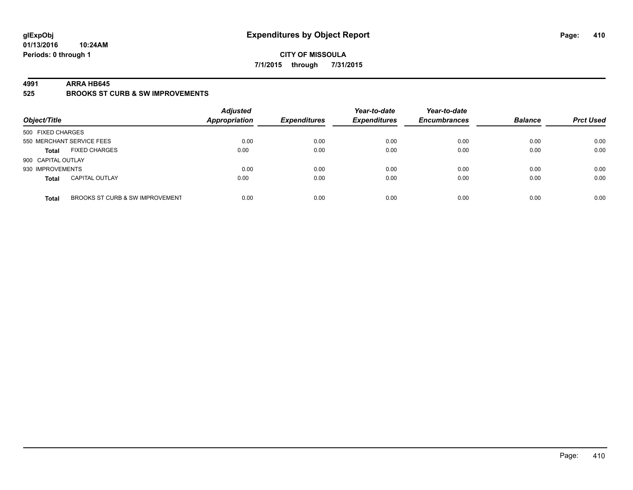### **CITY OF MISSOULA 7/1/2015 through 7/31/2015**

#### **4991 ARRA HB645**

**525 BROOKS ST CURB & SW IMPROVEMENTS**

| Object/Title       |                                 | <b>Adjusted</b><br><b>Appropriation</b> | <b>Expenditures</b> | Year-to-date<br><b>Expenditures</b> | Year-to-date<br><b>Encumbrances</b> | <b>Balance</b> | <b>Prct Used</b> |
|--------------------|---------------------------------|-----------------------------------------|---------------------|-------------------------------------|-------------------------------------|----------------|------------------|
| 500 FIXED CHARGES  |                                 |                                         |                     |                                     |                                     |                |                  |
|                    | 550 MERCHANT SERVICE FEES       | 0.00                                    | 0.00                | 0.00                                | 0.00                                | 0.00           | 0.00             |
| <b>Total</b>       | <b>FIXED CHARGES</b>            | 0.00                                    | 0.00                | 0.00                                | 0.00                                | 0.00           | 0.00             |
| 900 CAPITAL OUTLAY |                                 |                                         |                     |                                     |                                     |                |                  |
| 930 IMPROVEMENTS   |                                 | 0.00                                    | 0.00                | 0.00                                | 0.00                                | 0.00           | 0.00             |
| <b>Total</b>       | <b>CAPITAL OUTLAY</b>           | 0.00                                    | 0.00                | 0.00                                | 0.00                                | 0.00           | 0.00             |
| <b>Total</b>       | BROOKS ST CURB & SW IMPROVEMENT | 0.00                                    | 0.00                | 0.00                                | 0.00                                | 0.00           | 0.00             |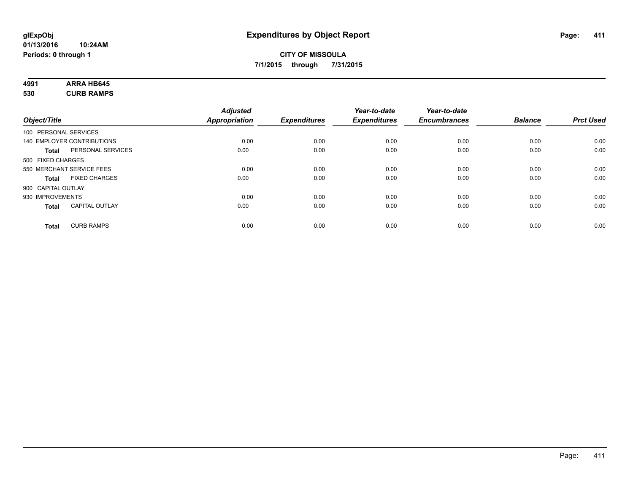# **4991 ARRA HB645**

**530 CURB RAMPS**

|                       |                            | <b>Adjusted</b>      |                     | Year-to-date        | Year-to-date        |                |                  |
|-----------------------|----------------------------|----------------------|---------------------|---------------------|---------------------|----------------|------------------|
| Object/Title          |                            | <b>Appropriation</b> | <b>Expenditures</b> | <b>Expenditures</b> | <b>Encumbrances</b> | <b>Balance</b> | <b>Prct Used</b> |
| 100 PERSONAL SERVICES |                            |                      |                     |                     |                     |                |                  |
|                       | 140 EMPLOYER CONTRIBUTIONS | 0.00                 | 0.00                | 0.00                | 0.00                | 0.00           | 0.00             |
| <b>Total</b>          | PERSONAL SERVICES          | 0.00                 | 0.00                | 0.00                | 0.00                | 0.00           | 0.00             |
| 500 FIXED CHARGES     |                            |                      |                     |                     |                     |                |                  |
|                       | 550 MERCHANT SERVICE FEES  | 0.00                 | 0.00                | 0.00                | 0.00                | 0.00           | 0.00             |
| Total                 | <b>FIXED CHARGES</b>       | 0.00                 | 0.00                | 0.00                | 0.00                | 0.00           | 0.00             |
| 900 CAPITAL OUTLAY    |                            |                      |                     |                     |                     |                |                  |
| 930 IMPROVEMENTS      |                            | 0.00                 | 0.00                | 0.00                | 0.00                | 0.00           | 0.00             |
| Total                 | <b>CAPITAL OUTLAY</b>      | 0.00                 | 0.00                | 0.00                | 0.00                | 0.00           | 0.00             |
| <b>Total</b>          | <b>CURB RAMPS</b>          | 0.00                 | 0.00                | 0.00                | 0.00                | 0.00           | 0.00             |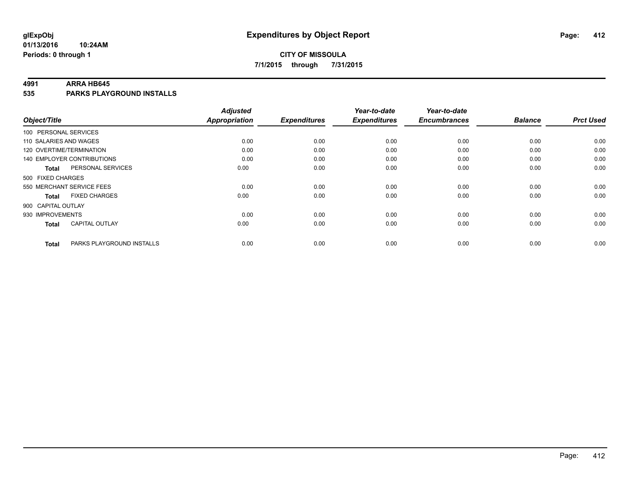# **CITY OF MISSOULA 7/1/2015 through 7/31/2015**

#### **4991 ARRA HB645**

**535 PARKS PLAYGROUND INSTALLS**

| Object/Title              |                                   | <b>Adjusted</b><br><b>Appropriation</b> | <b>Expenditures</b> | Year-to-date<br><b>Expenditures</b> | Year-to-date<br><b>Encumbrances</b> | <b>Balance</b> | <b>Prct Used</b> |
|---------------------------|-----------------------------------|-----------------------------------------|---------------------|-------------------------------------|-------------------------------------|----------------|------------------|
|                           |                                   |                                         |                     |                                     |                                     |                |                  |
| 100 PERSONAL SERVICES     |                                   |                                         |                     |                                     |                                     |                |                  |
| 110 SALARIES AND WAGES    |                                   | 0.00                                    | 0.00                | 0.00                                | 0.00                                | 0.00           | 0.00             |
| 120 OVERTIME/TERMINATION  |                                   | 0.00                                    | 0.00                | 0.00                                | 0.00                                | 0.00           | 0.00             |
|                           | <b>140 EMPLOYER CONTRIBUTIONS</b> | 0.00                                    | 0.00                | 0.00                                | 0.00                                | 0.00           | 0.00             |
| <b>Total</b>              | PERSONAL SERVICES                 | 0.00                                    | 0.00                | 0.00                                | 0.00                                | 0.00           | 0.00             |
| 500 FIXED CHARGES         |                                   |                                         |                     |                                     |                                     |                |                  |
| 550 MERCHANT SERVICE FEES |                                   | 0.00                                    | 0.00                | 0.00                                | 0.00                                | 0.00           | 0.00             |
| <b>Total</b>              | <b>FIXED CHARGES</b>              | 0.00                                    | 0.00                | 0.00                                | 0.00                                | 0.00           | 0.00             |
| 900 CAPITAL OUTLAY        |                                   |                                         |                     |                                     |                                     |                |                  |
| 930 IMPROVEMENTS          |                                   | 0.00                                    | 0.00                | 0.00                                | 0.00                                | 0.00           | 0.00             |
| <b>Total</b>              | <b>CAPITAL OUTLAY</b>             | 0.00                                    | 0.00                | 0.00                                | 0.00                                | 0.00           | 0.00             |
| <b>Total</b>              | PARKS PLAYGROUND INSTALLS         | 0.00                                    | 0.00                | 0.00                                | 0.00                                | 0.00           | 0.00             |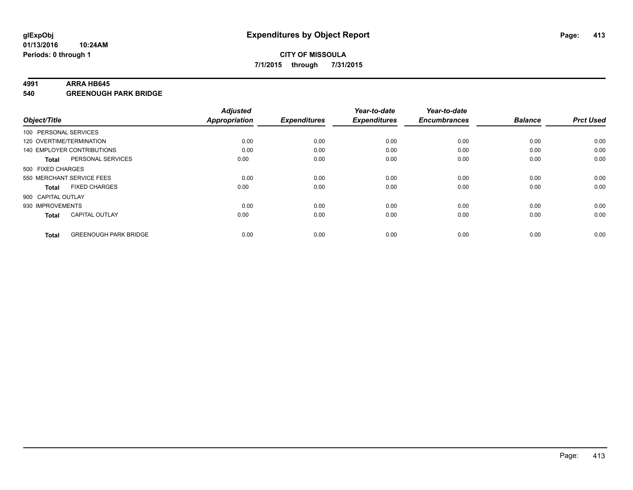#### **4991 ARRA HB645**

**540 GREENOUGH PARK BRIDGE**

| Object/Title       |                              | <b>Adjusted</b><br><b>Appropriation</b> | <b>Expenditures</b> | Year-to-date<br><b>Expenditures</b> | Year-to-date<br><b>Encumbrances</b> | <b>Balance</b> | <b>Prct Used</b> |
|--------------------|------------------------------|-----------------------------------------|---------------------|-------------------------------------|-------------------------------------|----------------|------------------|
|                    | 100 PERSONAL SERVICES        |                                         |                     |                                     |                                     |                |                  |
|                    | 120 OVERTIME/TERMINATION     | 0.00                                    | 0.00                | 0.00                                | 0.00                                | 0.00           | 0.00             |
|                    | 140 EMPLOYER CONTRIBUTIONS   | 0.00                                    | 0.00                | 0.00                                | 0.00                                | 0.00           | 0.00             |
| Total              | PERSONAL SERVICES            | 0.00                                    | 0.00                | 0.00                                | 0.00                                | 0.00           | 0.00             |
| 500 FIXED CHARGES  |                              |                                         |                     |                                     |                                     |                |                  |
|                    | 550 MERCHANT SERVICE FEES    | 0.00                                    | 0.00                | 0.00                                | 0.00                                | 0.00           | 0.00             |
| <b>Total</b>       | <b>FIXED CHARGES</b>         | 0.00                                    | 0.00                | 0.00                                | 0.00                                | 0.00           | 0.00             |
| 900 CAPITAL OUTLAY |                              |                                         |                     |                                     |                                     |                |                  |
| 930 IMPROVEMENTS   |                              | 0.00                                    | 0.00                | 0.00                                | 0.00                                | 0.00           | 0.00             |
| <b>Total</b>       | <b>CAPITAL OUTLAY</b>        | 0.00                                    | 0.00                | 0.00                                | 0.00                                | 0.00           | 0.00             |
| <b>Total</b>       | <b>GREENOUGH PARK BRIDGE</b> | 0.00                                    | 0.00                | 0.00                                | 0.00                                | 0.00           | 0.00             |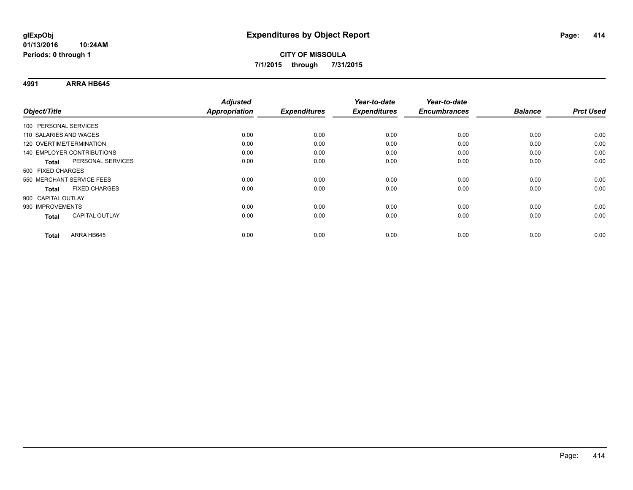**4991 ARRA HB645**

|                                       | <b>Adjusted</b>      |                     | Year-to-date        | Year-to-date        |                |                  |
|---------------------------------------|----------------------|---------------------|---------------------|---------------------|----------------|------------------|
| Object/Title                          | <b>Appropriation</b> | <b>Expenditures</b> | <b>Expenditures</b> | <b>Encumbrances</b> | <b>Balance</b> | <b>Prct Used</b> |
| 100 PERSONAL SERVICES                 |                      |                     |                     |                     |                |                  |
| 110 SALARIES AND WAGES                | 0.00                 | 0.00                | 0.00                | 0.00                | 0.00           | 0.00             |
| 120 OVERTIME/TERMINATION              | 0.00                 | 0.00                | 0.00                | 0.00                | 0.00           | 0.00             |
| <b>140 EMPLOYER CONTRIBUTIONS</b>     | 0.00                 | 0.00                | 0.00                | 0.00                | 0.00           | 0.00             |
| PERSONAL SERVICES<br><b>Total</b>     | 0.00                 | 0.00                | 0.00                | 0.00                | 0.00           | 0.00             |
| 500 FIXED CHARGES                     |                      |                     |                     |                     |                |                  |
| 550 MERCHANT SERVICE FEES             | 0.00                 | 0.00                | 0.00                | 0.00                | 0.00           | 0.00             |
| <b>FIXED CHARGES</b><br><b>Total</b>  | 0.00                 | 0.00                | 0.00                | 0.00                | 0.00           | 0.00             |
| 900 CAPITAL OUTLAY                    |                      |                     |                     |                     |                |                  |
| 930 IMPROVEMENTS                      | 0.00                 | 0.00                | 0.00                | 0.00                | 0.00           | 0.00             |
| <b>CAPITAL OUTLAY</b><br><b>Total</b> | 0.00                 | 0.00                | 0.00                | 0.00                | 0.00           | 0.00             |
| ARRA HB645<br>Total                   | 0.00                 | 0.00                | 0.00                | 0.00                | 0.00           | 0.00             |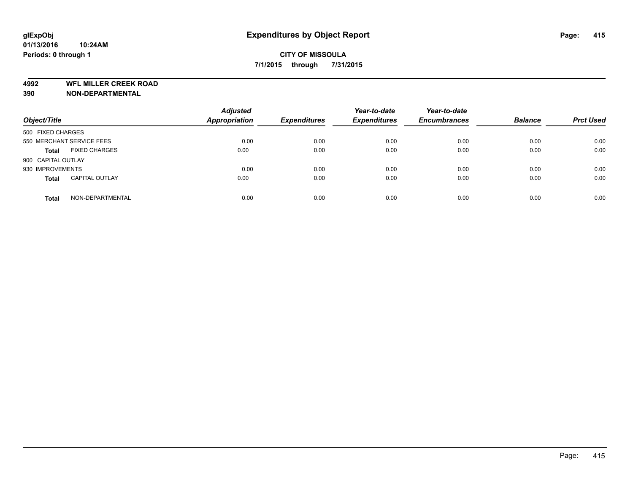**4992 WFL MILLER CREEK ROAD**

**390 NON-DEPARTMENTAL**

| Object/Title                          | <b>Adjusted</b><br><b>Appropriation</b> | <b>Expenditures</b> | Year-to-date<br><b>Expenditures</b> | Year-to-date<br><b>Encumbrances</b> | <b>Balance</b> | <b>Prct Used</b> |
|---------------------------------------|-----------------------------------------|---------------------|-------------------------------------|-------------------------------------|----------------|------------------|
| 500 FIXED CHARGES                     |                                         |                     |                                     |                                     |                |                  |
| 550 MERCHANT SERVICE FEES             | 0.00                                    | 0.00                | 0.00                                | 0.00                                | 0.00           | 0.00             |
| <b>FIXED CHARGES</b><br><b>Total</b>  | 0.00                                    | 0.00                | 0.00                                | 0.00                                | 0.00           | 0.00             |
| 900 CAPITAL OUTLAY                    |                                         |                     |                                     |                                     |                |                  |
| 930 IMPROVEMENTS                      | 0.00                                    | 0.00                | 0.00                                | 0.00                                | 0.00           | 0.00             |
| <b>CAPITAL OUTLAY</b><br><b>Total</b> | 0.00                                    | 0.00                | 0.00                                | 0.00                                | 0.00           | 0.00             |
| NON-DEPARTMENTAL<br><b>Total</b>      | 0.00                                    | 0.00                | 0.00                                | 0.00                                | 0.00           | 0.00             |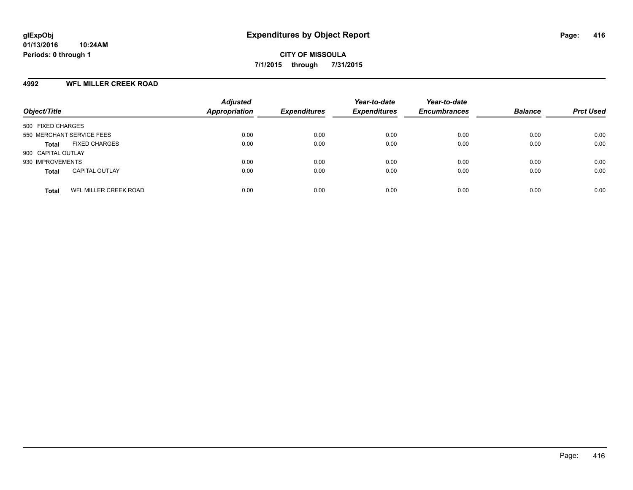### **4992 WFL MILLER CREEK ROAD**

| Object/Title                                 | <b>Adjusted</b><br><b>Appropriation</b> | <b>Expenditures</b> | Year-to-date<br><b>Expenditures</b> | Year-to-date<br><b>Encumbrances</b> | <b>Balance</b> | <b>Prct Used</b> |
|----------------------------------------------|-----------------------------------------|---------------------|-------------------------------------|-------------------------------------|----------------|------------------|
| 500 FIXED CHARGES                            |                                         |                     |                                     |                                     |                |                  |
| 550 MERCHANT SERVICE FEES                    | 0.00                                    | 0.00                | 0.00                                | 0.00                                | 0.00           | 0.00             |
| <b>FIXED CHARGES</b><br><b>Total</b>         | 0.00                                    | 0.00                | 0.00                                | 0.00                                | 0.00           | 0.00             |
| 900 CAPITAL OUTLAY                           |                                         |                     |                                     |                                     |                |                  |
| 930 IMPROVEMENTS                             | 0.00                                    | 0.00                | 0.00                                | 0.00                                | 0.00           | 0.00             |
| <b>CAPITAL OUTLAY</b><br><b>Total</b>        | 0.00                                    | 0.00                | 0.00                                | 0.00                                | 0.00           | 0.00             |
| <b>WFL MILLER CREEK ROAD</b><br><b>Total</b> | 0.00                                    | 0.00                | 0.00                                | 0.00                                | 0.00           | 0.00             |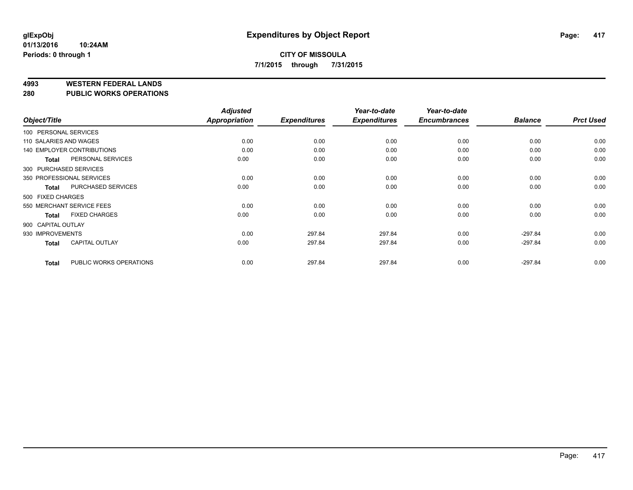#### **4993 WESTERN FEDERAL LANDS**

**280 PUBLIC WORKS OPERATIONS**

|                        |                                   | <b>Adjusted</b> |                     | Year-to-date        | Year-to-date        |                |                  |
|------------------------|-----------------------------------|-----------------|---------------------|---------------------|---------------------|----------------|------------------|
| Object/Title           |                                   | Appropriation   | <b>Expenditures</b> | <b>Expenditures</b> | <b>Encumbrances</b> | <b>Balance</b> | <b>Prct Used</b> |
| 100 PERSONAL SERVICES  |                                   |                 |                     |                     |                     |                |                  |
| 110 SALARIES AND WAGES |                                   | 0.00            | 0.00                | 0.00                | 0.00                | 0.00           | 0.00             |
|                        | <b>140 EMPLOYER CONTRIBUTIONS</b> | 0.00            | 0.00                | 0.00                | 0.00                | 0.00           | 0.00             |
| <b>Total</b>           | PERSONAL SERVICES                 | 0.00            | 0.00                | 0.00                | 0.00                | 0.00           | 0.00             |
| 300 PURCHASED SERVICES |                                   |                 |                     |                     |                     |                |                  |
|                        | 350 PROFESSIONAL SERVICES         | 0.00            | 0.00                | 0.00                | 0.00                | 0.00           | 0.00             |
| <b>Total</b>           | PURCHASED SERVICES                | 0.00            | 0.00                | 0.00                | 0.00                | 0.00           | 0.00             |
| 500 FIXED CHARGES      |                                   |                 |                     |                     |                     |                |                  |
|                        | 550 MERCHANT SERVICE FEES         | 0.00            | 0.00                | 0.00                | 0.00                | 0.00           | 0.00             |
| <b>Total</b>           | <b>FIXED CHARGES</b>              | 0.00            | 0.00                | 0.00                | 0.00                | 0.00           | 0.00             |
| 900 CAPITAL OUTLAY     |                                   |                 |                     |                     |                     |                |                  |
| 930 IMPROVEMENTS       |                                   | 0.00            | 297.84              | 297.84              | 0.00                | $-297.84$      | 0.00             |
| <b>Total</b>           | <b>CAPITAL OUTLAY</b>             | 0.00            | 297.84              | 297.84              | 0.00                | $-297.84$      | 0.00             |
| <b>Total</b>           | PUBLIC WORKS OPERATIONS           | 0.00            | 297.84              | 297.84              | 0.00                | $-297.84$      | 0.00             |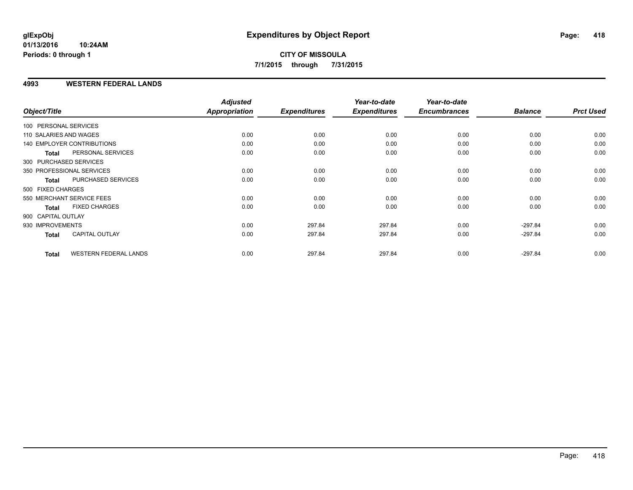#### **4993 WESTERN FEDERAL LANDS**

| Object/Title           |                              | <b>Adjusted</b><br>Appropriation | <b>Expenditures</b> | Year-to-date<br><b>Expenditures</b> | Year-to-date<br><b>Encumbrances</b> | <b>Balance</b> | <b>Prct Used</b> |
|------------------------|------------------------------|----------------------------------|---------------------|-------------------------------------|-------------------------------------|----------------|------------------|
| 100 PERSONAL SERVICES  |                              |                                  |                     |                                     |                                     |                |                  |
| 110 SALARIES AND WAGES |                              | 0.00                             | 0.00                | 0.00                                | 0.00                                | 0.00           | 0.00             |
|                        | 140 EMPLOYER CONTRIBUTIONS   | 0.00                             | 0.00                | 0.00                                | 0.00                                | 0.00           | 0.00             |
| <b>Total</b>           | PERSONAL SERVICES            | 0.00                             | 0.00                | 0.00                                | 0.00                                | 0.00           | 0.00             |
|                        | 300 PURCHASED SERVICES       |                                  |                     |                                     |                                     |                |                  |
|                        | 350 PROFESSIONAL SERVICES    | 0.00                             | 0.00                | 0.00                                | 0.00                                | 0.00           | 0.00             |
| <b>Total</b>           | PURCHASED SERVICES           | 0.00                             | 0.00                | 0.00                                | 0.00                                | 0.00           | 0.00             |
| 500 FIXED CHARGES      |                              |                                  |                     |                                     |                                     |                |                  |
|                        | 550 MERCHANT SERVICE FEES    | 0.00                             | 0.00                | 0.00                                | 0.00                                | 0.00           | 0.00             |
| <b>Total</b>           | <b>FIXED CHARGES</b>         | 0.00                             | 0.00                | 0.00                                | 0.00                                | 0.00           | 0.00             |
| 900 CAPITAL OUTLAY     |                              |                                  |                     |                                     |                                     |                |                  |
| 930 IMPROVEMENTS       |                              | 0.00                             | 297.84              | 297.84                              | 0.00                                | $-297.84$      | 0.00             |
| Total                  | <b>CAPITAL OUTLAY</b>        | 0.00                             | 297.84              | 297.84                              | 0.00                                | $-297.84$      | 0.00             |
| <b>Total</b>           | <b>WESTERN FEDERAL LANDS</b> | 0.00                             | 297.84              | 297.84                              | 0.00                                | $-297.84$      | 0.00             |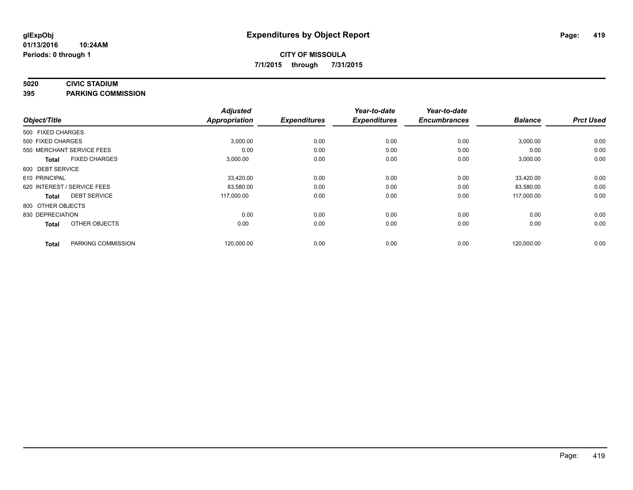#### **5020 CIVIC STADIUM**

**395 PARKING COMMISSION**

| Object/Title                |                      | <b>Adjusted</b><br><b>Appropriation</b> | <b>Expenditures</b> | Year-to-date<br><b>Expenditures</b> | Year-to-date<br><b>Encumbrances</b> | <b>Balance</b> | <b>Prct Used</b> |
|-----------------------------|----------------------|-----------------------------------------|---------------------|-------------------------------------|-------------------------------------|----------------|------------------|
| 500 FIXED CHARGES           |                      |                                         |                     |                                     |                                     |                |                  |
| 500 FIXED CHARGES           |                      | 3,000.00                                | 0.00                | 0.00                                | 0.00                                | 3,000.00       | 0.00             |
| 550 MERCHANT SERVICE FEES   |                      | 0.00                                    | 0.00                | 0.00                                | 0.00                                | 0.00           | 0.00             |
| <b>Total</b>                | <b>FIXED CHARGES</b> | 3,000.00                                | 0.00                | 0.00                                | 0.00                                | 3,000.00       | 0.00             |
| 600 DEBT SERVICE            |                      |                                         |                     |                                     |                                     |                |                  |
| 610 PRINCIPAL               |                      | 33,420.00                               | 0.00                | 0.00                                | 0.00                                | 33,420.00      | 0.00             |
| 620 INTEREST / SERVICE FEES |                      | 83,580.00                               | 0.00                | 0.00                                | 0.00                                | 83,580.00      | 0.00             |
| <b>Total</b>                | <b>DEBT SERVICE</b>  | 117,000.00                              | 0.00                | 0.00                                | 0.00                                | 117,000.00     | 0.00             |
| 800 OTHER OBJECTS           |                      |                                         |                     |                                     |                                     |                |                  |
| 830 DEPRECIATION            |                      | 0.00                                    | 0.00                | 0.00                                | 0.00                                | 0.00           | 0.00             |
| <b>Total</b>                | OTHER OBJECTS        | 0.00                                    | 0.00                | 0.00                                | 0.00                                | 0.00           | 0.00             |
| <b>Total</b>                | PARKING COMMISSION   | 120,000.00                              | 0.00                | 0.00                                | 0.00                                | 120,000.00     | 0.00             |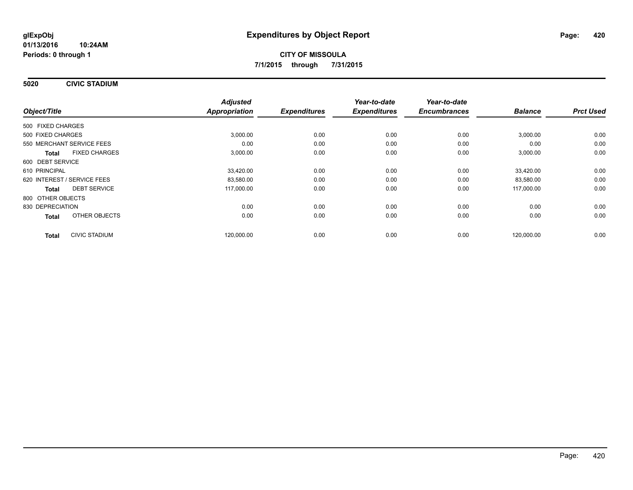**5020 CIVIC STADIUM**

|                                      | <b>Adjusted</b> |                     | Year-to-date        | Year-to-date        |                |                  |
|--------------------------------------|-----------------|---------------------|---------------------|---------------------|----------------|------------------|
| Object/Title                         | Appropriation   | <b>Expenditures</b> | <b>Expenditures</b> | <b>Encumbrances</b> | <b>Balance</b> | <b>Prct Used</b> |
| 500 FIXED CHARGES                    |                 |                     |                     |                     |                |                  |
| 500 FIXED CHARGES                    | 3,000.00        | 0.00                | 0.00                | 0.00                | 3,000.00       | 0.00             |
| 550 MERCHANT SERVICE FEES            | 0.00            | 0.00                | 0.00                | 0.00                | 0.00           | 0.00             |
| <b>FIXED CHARGES</b><br><b>Total</b> | 3,000.00        | 0.00                | 0.00                | 0.00                | 3,000.00       | 0.00             |
| 600 DEBT SERVICE                     |                 |                     |                     |                     |                |                  |
| 610 PRINCIPAL                        | 33,420.00       | 0.00                | 0.00                | 0.00                | 33.420.00      | 0.00             |
| 620 INTEREST / SERVICE FEES          | 83,580.00       | 0.00                | 0.00                | 0.00                | 83,580.00      | 0.00             |
| <b>DEBT SERVICE</b><br>Total         | 117,000.00      | 0.00                | 0.00                | 0.00                | 117,000.00     | 0.00             |
| 800 OTHER OBJECTS                    |                 |                     |                     |                     |                |                  |
| 830 DEPRECIATION                     | 0.00            | 0.00                | 0.00                | 0.00                | 0.00           | 0.00             |
| OTHER OBJECTS<br><b>Total</b>        | 0.00            | 0.00                | 0.00                | 0.00                | 0.00           | 0.00             |
| <b>CIVIC STADIUM</b><br><b>Total</b> | 120,000.00      | 0.00                | 0.00                | 0.00                | 120,000.00     | 0.00             |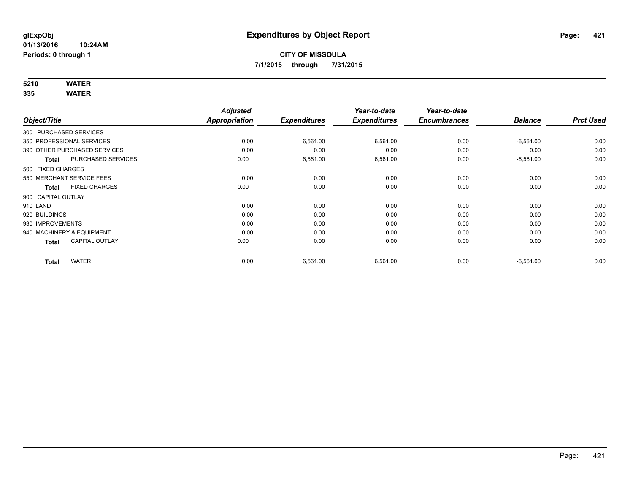# **5210 WATER**

|                              |                           | <b>Adjusted</b>      |                     | Year-to-date        | Year-to-date        |                |                  |
|------------------------------|---------------------------|----------------------|---------------------|---------------------|---------------------|----------------|------------------|
| Object/Title                 |                           | <b>Appropriation</b> | <b>Expenditures</b> | <b>Expenditures</b> | <b>Encumbrances</b> | <b>Balance</b> | <b>Prct Used</b> |
| 300 PURCHASED SERVICES       |                           |                      |                     |                     |                     |                |                  |
| 350 PROFESSIONAL SERVICES    |                           | 0.00                 | 6,561.00            | 6,561.00            | 0.00                | $-6,561.00$    | 0.00             |
| 390 OTHER PURCHASED SERVICES |                           | 0.00                 | 0.00                | 0.00                | 0.00                | 0.00           | 0.00             |
| <b>Total</b>                 | <b>PURCHASED SERVICES</b> | 0.00                 | 6,561.00            | 6,561.00            | 0.00                | $-6,561.00$    | 0.00             |
| 500 FIXED CHARGES            |                           |                      |                     |                     |                     |                |                  |
| 550 MERCHANT SERVICE FEES    |                           | 0.00                 | 0.00                | 0.00                | 0.00                | 0.00           | 0.00             |
| <b>Total</b>                 | <b>FIXED CHARGES</b>      | 0.00                 | 0.00                | 0.00                | 0.00                | 0.00           | 0.00             |
| 900 CAPITAL OUTLAY           |                           |                      |                     |                     |                     |                |                  |
| 910 LAND                     |                           | 0.00                 | 0.00                | 0.00                | 0.00                | 0.00           | 0.00             |
| 920 BUILDINGS                |                           | 0.00                 | 0.00                | 0.00                | 0.00                | 0.00           | 0.00             |
| 930 IMPROVEMENTS             |                           | 0.00                 | 0.00                | 0.00                | 0.00                | 0.00           | 0.00             |
| 940 MACHINERY & EQUIPMENT    |                           | 0.00                 | 0.00                | 0.00                | 0.00                | 0.00           | 0.00             |
| <b>Total</b>                 | <b>CAPITAL OUTLAY</b>     | 0.00                 | 0.00                | 0.00                | 0.00                | 0.00           | 0.00             |
| <b>Total</b>                 | <b>WATER</b>              | 0.00                 | 6,561.00            | 6,561.00            | 0.00                | $-6,561.00$    | 0.00             |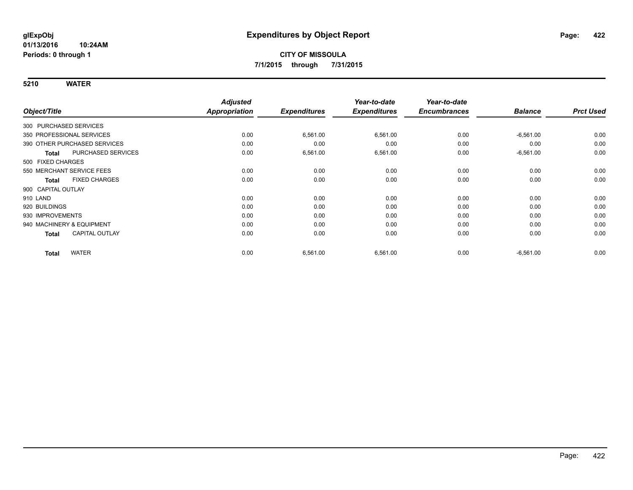|                           |                              | <b>Adjusted</b> |                     | Year-to-date        | Year-to-date        |                |                  |
|---------------------------|------------------------------|-----------------|---------------------|---------------------|---------------------|----------------|------------------|
| Object/Title              |                              | Appropriation   | <b>Expenditures</b> | <b>Expenditures</b> | <b>Encumbrances</b> | <b>Balance</b> | <b>Prct Used</b> |
| 300 PURCHASED SERVICES    |                              |                 |                     |                     |                     |                |                  |
| 350 PROFESSIONAL SERVICES |                              | 0.00            | 6,561.00            | 6,561.00            | 0.00                | $-6,561.00$    | 0.00             |
|                           | 390 OTHER PURCHASED SERVICES | 0.00            | 0.00                | 0.00                | 0.00                | 0.00           | 0.00             |
| <b>Total</b>              | PURCHASED SERVICES           | 0.00            | 6,561.00            | 6,561.00            | 0.00                | $-6,561.00$    | 0.00             |
| 500 FIXED CHARGES         |                              |                 |                     |                     |                     |                |                  |
|                           | 550 MERCHANT SERVICE FEES    | 0.00            | 0.00                | 0.00                | 0.00                | 0.00           | 0.00             |
| <b>Total</b>              | <b>FIXED CHARGES</b>         | 0.00            | 0.00                | 0.00                | 0.00                | 0.00           | 0.00             |
| 900 CAPITAL OUTLAY        |                              |                 |                     |                     |                     |                |                  |
| 910 LAND                  |                              | 0.00            | 0.00                | 0.00                | 0.00                | 0.00           | 0.00             |
| 920 BUILDINGS             |                              | 0.00            | 0.00                | 0.00                | 0.00                | 0.00           | 0.00             |
| 930 IMPROVEMENTS          |                              | 0.00            | 0.00                | 0.00                | 0.00                | 0.00           | 0.00             |
| 940 MACHINERY & EQUIPMENT |                              | 0.00            | 0.00                | 0.00                | 0.00                | 0.00           | 0.00             |
| <b>Total</b>              | <b>CAPITAL OUTLAY</b>        | 0.00            | 0.00                | 0.00                | 0.00                | 0.00           | 0.00             |
| <b>Total</b>              | <b>WATER</b>                 | 0.00            | 6,561.00            | 6,561.00            | 0.00                | $-6,561.00$    | 0.00             |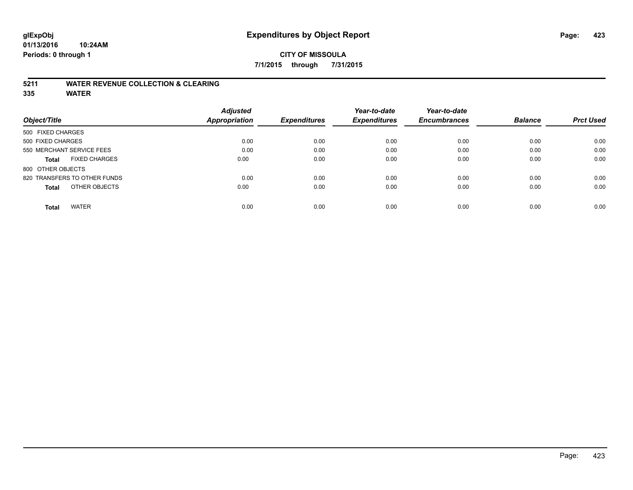# **CITY OF MISSOULA 7/1/2015 through 7/31/2015**

### **5211 WATER REVENUE COLLECTION & CLEARING**

|                                      | <b>Adjusted</b>      |                     | Year-to-date        | Year-to-date        |                |                  |
|--------------------------------------|----------------------|---------------------|---------------------|---------------------|----------------|------------------|
| Object/Title                         | <b>Appropriation</b> | <b>Expenditures</b> | <b>Expenditures</b> | <b>Encumbrances</b> | <b>Balance</b> | <b>Prct Used</b> |
| 500 FIXED CHARGES                    |                      |                     |                     |                     |                |                  |
| 500 FIXED CHARGES                    | 0.00                 | 0.00                | 0.00                | 0.00                | 0.00           | 0.00             |
| 550 MERCHANT SERVICE FEES            | 0.00                 | 0.00                | 0.00                | 0.00                | 0.00           | 0.00             |
| <b>FIXED CHARGES</b><br><b>Total</b> | 0.00                 | 0.00                | 0.00                | 0.00                | 0.00           | 0.00             |
| 800 OTHER OBJECTS                    |                      |                     |                     |                     |                |                  |
| 820 TRANSFERS TO OTHER FUNDS         | 0.00                 | 0.00                | 0.00                | 0.00                | 0.00           | 0.00             |
| OTHER OBJECTS<br><b>Total</b>        | 0.00                 | 0.00                | 0.00                | 0.00                | 0.00           | 0.00             |
| <b>WATER</b><br>Total                | 0.00                 | 0.00                | 0.00                | 0.00                | 0.00           | 0.00             |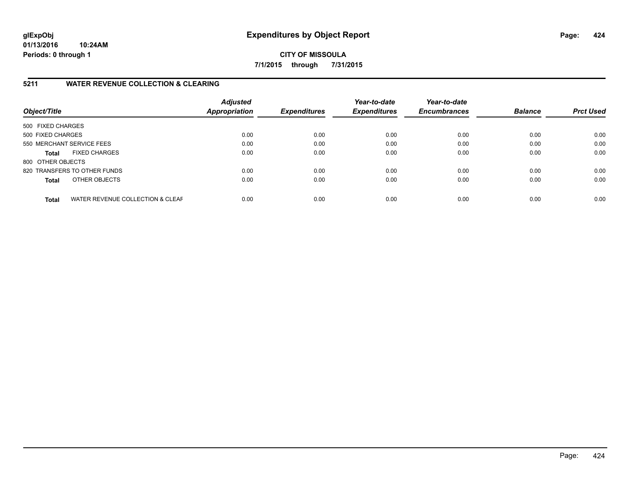**CITY OF MISSOULA 7/1/2015 through 7/31/2015**

# **5211 WATER REVENUE COLLECTION & CLEARING**

| Object/Title              |                                  | <b>Adjusted</b><br><b>Appropriation</b> | <b>Expenditures</b> | Year-to-date<br><b>Expenditures</b> | Year-to-date<br><b>Encumbrances</b> | <b>Balance</b> | <b>Prct Used</b> |
|---------------------------|----------------------------------|-----------------------------------------|---------------------|-------------------------------------|-------------------------------------|----------------|------------------|
| 500 FIXED CHARGES         |                                  |                                         |                     |                                     |                                     |                |                  |
| 500 FIXED CHARGES         |                                  | 0.00                                    | 0.00                | 0.00                                | 0.00                                | 0.00           | 0.00             |
| 550 MERCHANT SERVICE FEES |                                  | 0.00                                    | 0.00                | 0.00                                | 0.00                                | 0.00           | 0.00             |
| <b>Total</b>              | <b>FIXED CHARGES</b>             | 0.00                                    | 0.00                | 0.00                                | 0.00                                | 0.00           | 0.00             |
| 800 OTHER OBJECTS         |                                  |                                         |                     |                                     |                                     |                |                  |
|                           | 820 TRANSFERS TO OTHER FUNDS     | 0.00                                    | 0.00                | 0.00                                | 0.00                                | 0.00           | 0.00             |
| <b>Total</b>              | OTHER OBJECTS                    | 0.00                                    | 0.00                | 0.00                                | 0.00                                | 0.00           | 0.00             |
| <b>Total</b>              | WATER REVENUE COLLECTION & CLEAF | 0.00                                    | 0.00                | 0.00                                | 0.00                                | 0.00           | 0.00             |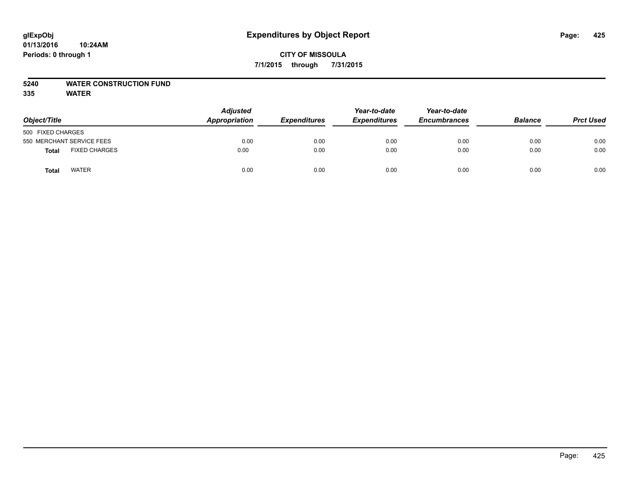#### **5240 WATER CONSTRUCTION FUND**

|                                      | <b>Adjusted</b><br>Appropriation |                     | Year-to-date        | Year-to-date<br><b>Encumbrances</b> | <b>Balance</b> |                  |
|--------------------------------------|----------------------------------|---------------------|---------------------|-------------------------------------|----------------|------------------|
| Object/Title                         |                                  | <b>Expenditures</b> | <b>Expenditures</b> |                                     |                | <b>Prct Used</b> |
| 500 FIXED CHARGES                    |                                  |                     |                     |                                     |                |                  |
| 550 MERCHANT SERVICE FEES            | 0.00                             | 0.00                | 0.00                | 0.00                                | 0.00           | 0.00             |
| <b>FIXED CHARGES</b><br><b>Total</b> | 0.00                             | 0.00                | 0.00                | 0.00                                | 0.00           | 0.00             |
| <b>WATER</b><br>Total                | 0.00                             | 0.00                | 0.00                | 0.00                                | 0.00           | 0.00             |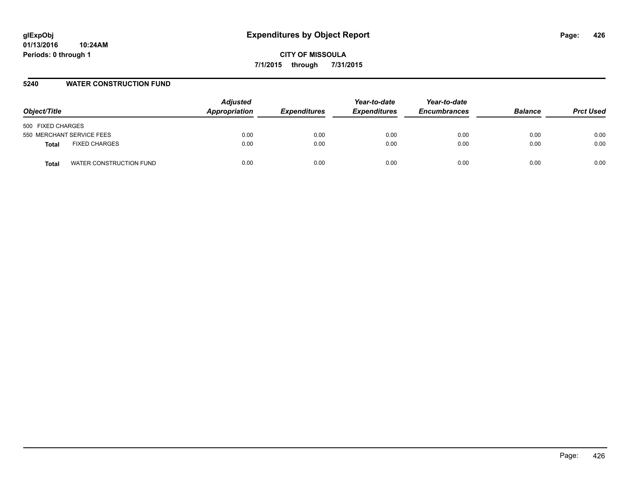#### **5240 WATER CONSTRUCTION FUND**

| Object/Title                         | <b>Adjusted</b><br>Appropriation | <b>Expenditures</b> | Year-to-date<br><b>Expenditures</b> | Year-to-date<br><b>Encumbrances</b> | <b>Balance</b> | <b>Prct Used</b> |
|--------------------------------------|----------------------------------|---------------------|-------------------------------------|-------------------------------------|----------------|------------------|
| 500 FIXED CHARGES                    |                                  |                     |                                     |                                     |                |                  |
| 550 MERCHANT SERVICE FEES            | 0.00                             | 0.00                | 0.00                                | 0.00                                | 0.00           | 0.00             |
| <b>FIXED CHARGES</b><br><b>Total</b> | 0.00                             | 0.00                | 0.00                                | 0.00                                | 0.00           | 0.00             |
| WATER CONSTRUCTION FUND<br>Total     | 0.00                             | 0.00                | 0.00                                | 0.00                                | 0.00           | 0.00             |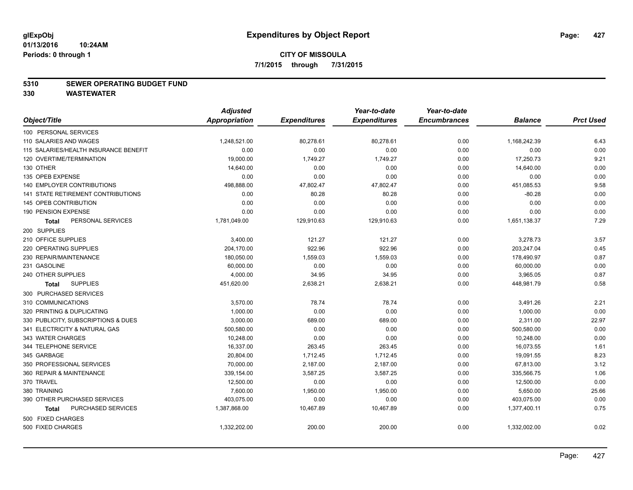#### **5310 SEWER OPERATING BUDGET FUND**

**330 WASTEWATER**

|                                           | <b>Adjusted</b> |                     | Year-to-date        | Year-to-date        |                |                  |
|-------------------------------------------|-----------------|---------------------|---------------------|---------------------|----------------|------------------|
| Object/Title                              | Appropriation   | <b>Expenditures</b> | <b>Expenditures</b> | <b>Encumbrances</b> | <b>Balance</b> | <b>Prct Used</b> |
| 100 PERSONAL SERVICES                     |                 |                     |                     |                     |                |                  |
| 110 SALARIES AND WAGES                    | 1,248,521.00    | 80,278.61           | 80,278.61           | 0.00                | 1,168,242.39   | 6.43             |
| 115 SALARIES/HEALTH INSURANCE BENEFIT     | 0.00            | 0.00                | 0.00                | 0.00                | 0.00           | 0.00             |
| 120 OVERTIME/TERMINATION                  | 19,000.00       | 1,749.27            | 1,749.27            | 0.00                | 17,250.73      | 9.21             |
| 130 OTHER                                 | 14,640.00       | 0.00                | 0.00                | 0.00                | 14,640.00      | 0.00             |
| 135 OPEB EXPENSE                          | 0.00            | 0.00                | 0.00                | 0.00                | 0.00           | 0.00             |
| 140 EMPLOYER CONTRIBUTIONS                | 498,888.00      | 47,802.47           | 47,802.47           | 0.00                | 451,085.53     | 9.58             |
| <b>141 STATE RETIREMENT CONTRIBUTIONS</b> | 0.00            | 80.28               | 80.28               | 0.00                | $-80.28$       | 0.00             |
| 145 OPEB CONTRIBUTION                     | 0.00            | 0.00                | 0.00                | 0.00                | 0.00           | 0.00             |
| 190 PENSION EXPENSE                       | 0.00            | 0.00                | 0.00                | 0.00                | 0.00           | 0.00             |
| PERSONAL SERVICES<br><b>Total</b>         | 1,781,049.00    | 129,910.63          | 129,910.63          | 0.00                | 1,651,138.37   | 7.29             |
| 200 SUPPLIES                              |                 |                     |                     |                     |                |                  |
| 210 OFFICE SUPPLIES                       | 3,400.00        | 121.27              | 121.27              | 0.00                | 3,278.73       | 3.57             |
| 220 OPERATING SUPPLIES                    | 204,170.00      | 922.96              | 922.96              | 0.00                | 203,247.04     | 0.45             |
| 230 REPAIR/MAINTENANCE                    | 180,050.00      | 1,559.03            | 1,559.03            | 0.00                | 178,490.97     | 0.87             |
| 231 GASOLINE                              | 60,000.00       | 0.00                | 0.00                | 0.00                | 60,000.00      | 0.00             |
| 240 OTHER SUPPLIES                        | 4,000.00        | 34.95               | 34.95               | 0.00                | 3,965.05       | 0.87             |
| <b>SUPPLIES</b><br>Total                  | 451,620.00      | 2,638.21            | 2,638.21            | 0.00                | 448,981.79     | 0.58             |
| 300 PURCHASED SERVICES                    |                 |                     |                     |                     |                |                  |
| 310 COMMUNICATIONS                        | 3,570.00        | 78.74               | 78.74               | 0.00                | 3,491.26       | 2.21             |
| 320 PRINTING & DUPLICATING                | 1,000.00        | 0.00                | 0.00                | 0.00                | 1,000.00       | 0.00             |
| 330 PUBLICITY, SUBSCRIPTIONS & DUES       | 3,000.00        | 689.00              | 689.00              | 0.00                | 2,311.00       | 22.97            |
| 341 ELECTRICITY & NATURAL GAS             | 500,580.00      | 0.00                | 0.00                | 0.00                | 500,580.00     | 0.00             |
| 343 WATER CHARGES                         | 10,248.00       | 0.00                | 0.00                | 0.00                | 10,248.00      | 0.00             |
| 344 TELEPHONE SERVICE                     | 16,337.00       | 263.45              | 263.45              | 0.00                | 16,073.55      | 1.61             |
| 345 GARBAGE                               | 20,804.00       | 1,712.45            | 1,712.45            | 0.00                | 19,091.55      | 8.23             |
| 350 PROFESSIONAL SERVICES                 | 70,000.00       | 2,187.00            | 2,187.00            | 0.00                | 67,813.00      | 3.12             |
| 360 REPAIR & MAINTENANCE                  | 339,154.00      | 3,587.25            | 3,587.25            | 0.00                | 335,566.75     | 1.06             |
| 370 TRAVEL                                | 12,500.00       | 0.00                | 0.00                | 0.00                | 12,500.00      | 0.00             |
| 380 TRAINING                              | 7,600.00        | 1,950.00            | 1,950.00            | 0.00                | 5,650.00       | 25.66            |
| 390 OTHER PURCHASED SERVICES              | 403,075.00      | 0.00                | 0.00                | 0.00                | 403,075.00     | 0.00             |
| PURCHASED SERVICES<br><b>Total</b>        | 1,387,868.00    | 10,467.89           | 10,467.89           | 0.00                | 1,377,400.11   | 0.75             |
| 500 FIXED CHARGES                         |                 |                     |                     |                     |                |                  |
| 500 FIXED CHARGES                         | 1,332,202.00    | 200.00              | 200.00              | 0.00                | 1,332,002.00   | 0.02             |
|                                           |                 |                     |                     |                     |                |                  |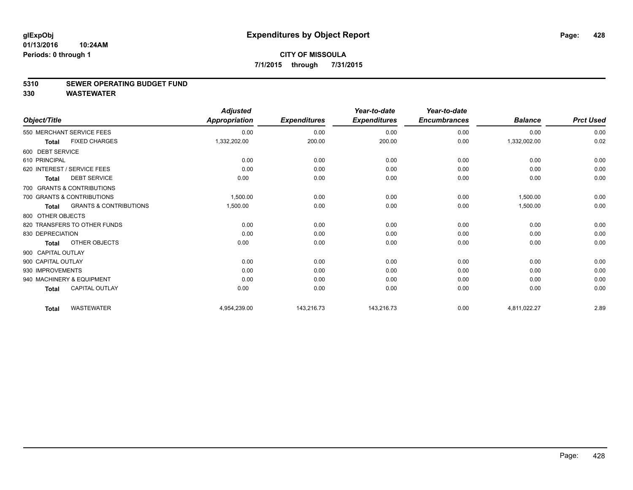#### **5310 SEWER OPERATING BUDGET FUND**

**330 WASTEWATER**

| Object/Title       |                                   | <b>Adjusted</b><br><b>Appropriation</b> | <b>Expenditures</b> | Year-to-date<br><b>Expenditures</b> | Year-to-date<br><b>Encumbrances</b> | <b>Balance</b> | <b>Prct Used</b> |
|--------------------|-----------------------------------|-----------------------------------------|---------------------|-------------------------------------|-------------------------------------|----------------|------------------|
|                    | 550 MERCHANT SERVICE FEES         | 0.00                                    | 0.00                | 0.00                                | 0.00                                | 0.00           | 0.00             |
| <b>Total</b>       | <b>FIXED CHARGES</b>              | 1,332,202.00                            | 200.00              | 200.00                              | 0.00                                | 1,332,002.00   | 0.02             |
| 600 DEBT SERVICE   |                                   |                                         |                     |                                     |                                     |                |                  |
| 610 PRINCIPAL      |                                   | 0.00                                    | 0.00                | 0.00                                | 0.00                                | 0.00           | 0.00             |
|                    | 620 INTEREST / SERVICE FEES       | 0.00                                    | 0.00                | 0.00                                | 0.00                                | 0.00           | 0.00             |
| Total              | <b>DEBT SERVICE</b>               | 0.00                                    | 0.00                | 0.00                                | 0.00                                | 0.00           | 0.00             |
|                    | 700 GRANTS & CONTRIBUTIONS        |                                         |                     |                                     |                                     |                |                  |
|                    | 700 GRANTS & CONTRIBUTIONS        | 1,500.00                                | 0.00                | 0.00                                | 0.00                                | 1.500.00       | 0.00             |
| Total              | <b>GRANTS &amp; CONTRIBUTIONS</b> | 1,500.00                                | 0.00                | 0.00                                | 0.00                                | 1,500.00       | 0.00             |
| 800 OTHER OBJECTS  |                                   |                                         |                     |                                     |                                     |                |                  |
|                    | 820 TRANSFERS TO OTHER FUNDS      | 0.00                                    | 0.00                | 0.00                                | 0.00                                | 0.00           | 0.00             |
| 830 DEPRECIATION   |                                   | 0.00                                    | 0.00                | 0.00                                | 0.00                                | 0.00           | 0.00             |
| Total              | OTHER OBJECTS                     | 0.00                                    | 0.00                | 0.00                                | 0.00                                | 0.00           | 0.00             |
| 900 CAPITAL OUTLAY |                                   |                                         |                     |                                     |                                     |                |                  |
| 900 CAPITAL OUTLAY |                                   | 0.00                                    | 0.00                | 0.00                                | 0.00                                | 0.00           | 0.00             |
| 930 IMPROVEMENTS   |                                   | 0.00                                    | 0.00                | 0.00                                | 0.00                                | 0.00           | 0.00             |
|                    | 940 MACHINERY & EQUIPMENT         | 0.00                                    | 0.00                | 0.00                                | 0.00                                | 0.00           | 0.00             |
| <b>Total</b>       | <b>CAPITAL OUTLAY</b>             | 0.00                                    | 0.00                | 0.00                                | 0.00                                | 0.00           | 0.00             |
| <b>Total</b>       | <b>WASTEWATER</b>                 | 4,954,239.00                            | 143,216.73          | 143,216.73                          | 0.00                                | 4,811,022.27   | 2.89             |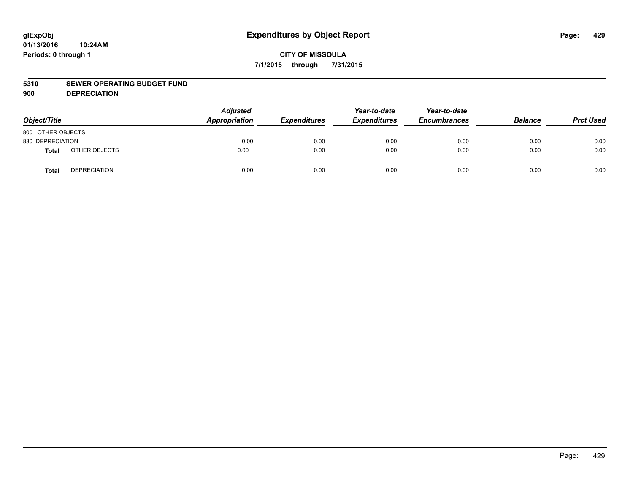#### **5310 SEWER OPERATING BUDGET FUND**

**900 DEPRECIATION**

| Object/Title      |                     | <b>Adjusted</b><br>Appropriation | <b>Expenditures</b> | Year-to-date<br><b>Expenditures</b> | Year-to-date<br><b>Encumbrances</b> | <b>Balance</b> | <b>Prct Used</b> |
|-------------------|---------------------|----------------------------------|---------------------|-------------------------------------|-------------------------------------|----------------|------------------|
| 800 OTHER OBJECTS |                     |                                  |                     |                                     |                                     |                |                  |
| 830 DEPRECIATION  |                     | 0.00                             | 0.00                | 0.00                                | 0.00                                | 0.00           | 0.00             |
| Total             | OTHER OBJECTS       | 0.00                             | 0.00                | 0.00                                | 0.00                                | 0.00           | 0.00             |
| Total             | <b>DEPRECIATION</b> | 0.00                             | 0.00                | 0.00                                | 0.00                                | 0.00           | 0.00             |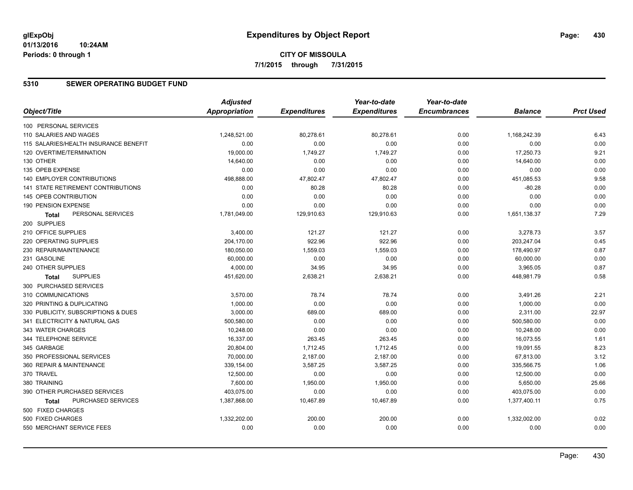# **CITY OF MISSOULA 7/1/2015 through 7/31/2015**

### **5310 SEWER OPERATING BUDGET FUND**

|                                       | <b>Adjusted</b>      |                     | Year-to-date        | Year-to-date        |                |                  |
|---------------------------------------|----------------------|---------------------|---------------------|---------------------|----------------|------------------|
| Object/Title                          | <b>Appropriation</b> | <b>Expenditures</b> | <b>Expenditures</b> | <b>Encumbrances</b> | <b>Balance</b> | <b>Prct Used</b> |
| 100 PERSONAL SERVICES                 |                      |                     |                     |                     |                |                  |
| 110 SALARIES AND WAGES                | 1,248,521.00         | 80,278.61           | 80,278.61           | 0.00                | 1,168,242.39   | 6.43             |
| 115 SALARIES/HEALTH INSURANCE BENEFIT | 0.00                 | 0.00                | 0.00                | 0.00                | 0.00           | 0.00             |
| 120 OVERTIME/TERMINATION              | 19,000.00            | 1,749.27            | 1,749.27            | 0.00                | 17,250.73      | 9.21             |
| 130 OTHER                             | 14,640.00            | 0.00                | 0.00                | 0.00                | 14,640.00      | 0.00             |
| 135 OPEB EXPENSE                      | 0.00                 | 0.00                | 0.00                | 0.00                | 0.00           | 0.00             |
| 140 EMPLOYER CONTRIBUTIONS            | 498,888.00           | 47,802.47           | 47,802.47           | 0.00                | 451,085.53     | 9.58             |
| 141 STATE RETIREMENT CONTRIBUTIONS    | 0.00                 | 80.28               | 80.28               | 0.00                | $-80.28$       | 0.00             |
| 145 OPEB CONTRIBUTION                 | 0.00                 | 0.00                | 0.00                | 0.00                | 0.00           | 0.00             |
| 190 PENSION EXPENSE                   | 0.00                 | 0.00                | 0.00                | 0.00                | 0.00           | 0.00             |
| PERSONAL SERVICES<br><b>Total</b>     | 1,781,049.00         | 129,910.63          | 129,910.63          | 0.00                | 1,651,138.37   | 7.29             |
| 200 SUPPLIES                          |                      |                     |                     |                     |                |                  |
| 210 OFFICE SUPPLIES                   | 3,400.00             | 121.27              | 121.27              | 0.00                | 3,278.73       | 3.57             |
| 220 OPERATING SUPPLIES                | 204,170.00           | 922.96              | 922.96              | 0.00                | 203,247.04     | 0.45             |
| 230 REPAIR/MAINTENANCE                | 180,050.00           | 1,559.03            | 1,559.03            | 0.00                | 178,490.97     | 0.87             |
| 231 GASOLINE                          | 60,000.00            | 0.00                | 0.00                | 0.00                | 60,000.00      | 0.00             |
| 240 OTHER SUPPLIES                    | 4,000.00             | 34.95               | 34.95               | 0.00                | 3,965.05       | 0.87             |
| <b>SUPPLIES</b><br>Total              | 451,620.00           | 2,638.21            | 2,638.21            | 0.00                | 448,981.79     | 0.58             |
| 300 PURCHASED SERVICES                |                      |                     |                     |                     |                |                  |
| 310 COMMUNICATIONS                    | 3,570.00             | 78.74               | 78.74               | 0.00                | 3,491.26       | 2.21             |
| 320 PRINTING & DUPLICATING            | 1,000.00             | 0.00                | 0.00                | 0.00                | 1,000.00       | 0.00             |
| 330 PUBLICITY, SUBSCRIPTIONS & DUES   | 3,000.00             | 689.00              | 689.00              | 0.00                | 2,311.00       | 22.97            |
| 341 ELECTRICITY & NATURAL GAS         | 500,580.00           | 0.00                | 0.00                | 0.00                | 500,580.00     | 0.00             |
| 343 WATER CHARGES                     | 10.248.00            | 0.00                | 0.00                | 0.00                | 10,248.00      | 0.00             |
| 344 TELEPHONE SERVICE                 | 16,337.00            | 263.45              | 263.45              | 0.00                | 16,073.55      | 1.61             |
| 345 GARBAGE                           | 20,804.00            | 1,712.45            | 1,712.45            | 0.00                | 19,091.55      | 8.23             |
| 350 PROFESSIONAL SERVICES             | 70,000.00            | 2,187.00            | 2,187.00            | 0.00                | 67,813.00      | 3.12             |
| 360 REPAIR & MAINTENANCE              | 339,154.00           | 3,587.25            | 3,587.25            | 0.00                | 335,566.75     | 1.06             |
| 370 TRAVEL                            | 12,500.00            | 0.00                | 0.00                | 0.00                | 12,500.00      | 0.00             |
| 380 TRAINING                          | 7,600.00             | 1,950.00            | 1,950.00            | 0.00                | 5,650.00       | 25.66            |
| 390 OTHER PURCHASED SERVICES          | 403,075.00           | 0.00                | 0.00                | 0.00                | 403,075.00     | 0.00             |
| PURCHASED SERVICES<br>Total           | 1,387,868.00         | 10,467.89           | 10,467.89           | 0.00                | 1,377,400.11   | 0.75             |
| 500 FIXED CHARGES                     |                      |                     |                     |                     |                |                  |
| 500 FIXED CHARGES                     | 1,332,202.00         | 200.00              | 200.00              | 0.00                | 1,332,002.00   | 0.02             |
| 550 MERCHANT SERVICE FEES             | 0.00                 | 0.00                | 0.00                | 0.00                | 0.00           | 0.00             |
|                                       |                      |                     |                     |                     |                |                  |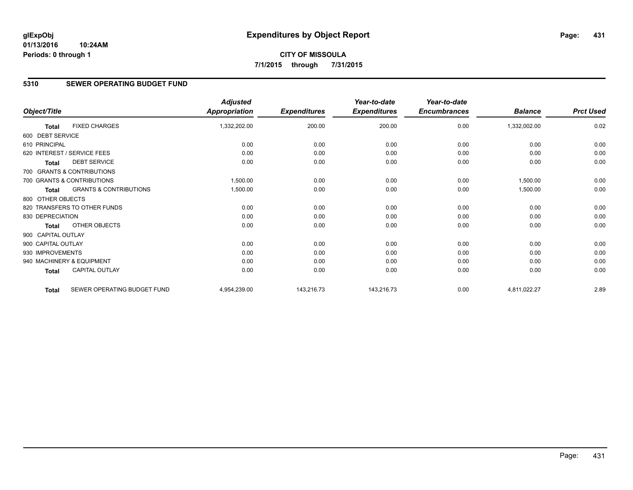# **CITY OF MISSOULA 7/1/2015 through 7/31/2015**

### **5310 SEWER OPERATING BUDGET FUND**

|                    |                                   | <b>Adjusted</b>      |                     | Year-to-date        | Year-to-date        |                |                  |
|--------------------|-----------------------------------|----------------------|---------------------|---------------------|---------------------|----------------|------------------|
| Object/Title       |                                   | <b>Appropriation</b> | <b>Expenditures</b> | <b>Expenditures</b> | <b>Encumbrances</b> | <b>Balance</b> | <b>Prct Used</b> |
| <b>Total</b>       | <b>FIXED CHARGES</b>              | 1,332,202.00         | 200.00              | 200.00              | 0.00                | 1,332,002.00   | 0.02             |
| 600 DEBT SERVICE   |                                   |                      |                     |                     |                     |                |                  |
| 610 PRINCIPAL      |                                   | 0.00                 | 0.00                | 0.00                | 0.00                | 0.00           | 0.00             |
|                    | 620 INTEREST / SERVICE FEES       | 0.00                 | 0.00                | 0.00                | 0.00                | 0.00           | 0.00             |
| <b>Total</b>       | <b>DEBT SERVICE</b>               | 0.00                 | 0.00                | 0.00                | 0.00                | 0.00           | 0.00             |
|                    | 700 GRANTS & CONTRIBUTIONS        |                      |                     |                     |                     |                |                  |
|                    | 700 GRANTS & CONTRIBUTIONS        | 1,500.00             | 0.00                | 0.00                | 0.00                | 1,500.00       | 0.00             |
| <b>Total</b>       | <b>GRANTS &amp; CONTRIBUTIONS</b> | 1,500.00             | 0.00                | 0.00                | 0.00                | 1,500.00       | 0.00             |
| 800 OTHER OBJECTS  |                                   |                      |                     |                     |                     |                |                  |
|                    | 820 TRANSFERS TO OTHER FUNDS      | 0.00                 | 0.00                | 0.00                | 0.00                | 0.00           | 0.00             |
| 830 DEPRECIATION   |                                   | 0.00                 | 0.00                | 0.00                | 0.00                | 0.00           | 0.00             |
| <b>Total</b>       | OTHER OBJECTS                     | 0.00                 | 0.00                | 0.00                | 0.00                | 0.00           | 0.00             |
| 900 CAPITAL OUTLAY |                                   |                      |                     |                     |                     |                |                  |
| 900 CAPITAL OUTLAY |                                   | 0.00                 | 0.00                | 0.00                | 0.00                | 0.00           | 0.00             |
| 930 IMPROVEMENTS   |                                   | 0.00                 | 0.00                | 0.00                | 0.00                | 0.00           | 0.00             |
|                    | 940 MACHINERY & EQUIPMENT         | 0.00                 | 0.00                | 0.00                | 0.00                | 0.00           | 0.00             |
| Total              | CAPITAL OUTLAY                    | 0.00                 | 0.00                | 0.00                | 0.00                | 0.00           | 0.00             |
| <b>Total</b>       | SEWER OPERATING BUDGET FUND       | 4,954,239.00         | 143,216.73          | 143,216.73          | 0.00                | 4,811,022.27   | 2.89             |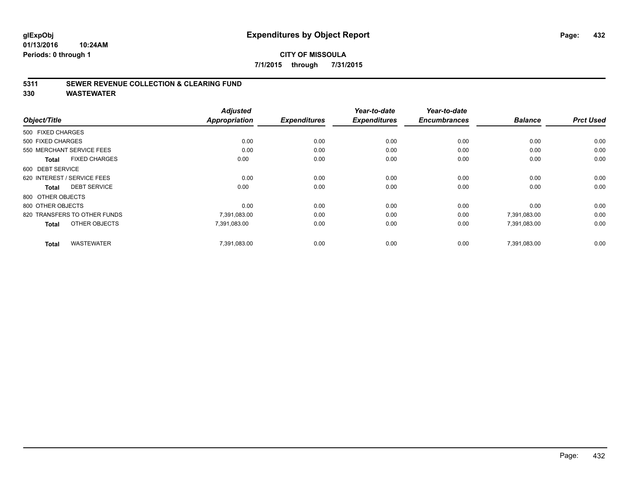### **5311 SEWER REVENUE COLLECTION & CLEARING FUND**

**330 WASTEWATER**

|                                      | <b>Adjusted</b>      |                     | Year-to-date        | Year-to-date        |                |                  |
|--------------------------------------|----------------------|---------------------|---------------------|---------------------|----------------|------------------|
| Object/Title                         | <b>Appropriation</b> | <b>Expenditures</b> | <b>Expenditures</b> | <b>Encumbrances</b> | <b>Balance</b> | <b>Prct Used</b> |
| 500 FIXED CHARGES                    |                      |                     |                     |                     |                |                  |
| 500 FIXED CHARGES                    | 0.00                 | 0.00                | 0.00                | 0.00                | 0.00           | 0.00             |
| 550 MERCHANT SERVICE FEES            | 0.00                 | 0.00                | 0.00                | 0.00                | 0.00           | 0.00             |
| <b>FIXED CHARGES</b><br><b>Total</b> | 0.00                 | 0.00                | 0.00                | 0.00                | 0.00           | 0.00             |
| 600 DEBT SERVICE                     |                      |                     |                     |                     |                |                  |
| 620 INTEREST / SERVICE FEES          | 0.00                 | 0.00                | 0.00                | 0.00                | 0.00           | 0.00             |
| <b>DEBT SERVICE</b><br><b>Total</b>  | 0.00                 | 0.00                | 0.00                | 0.00                | 0.00           | 0.00             |
| 800 OTHER OBJECTS                    |                      |                     |                     |                     |                |                  |
| 800 OTHER OBJECTS                    | 0.00                 | 0.00                | 0.00                | 0.00                | 0.00           | 0.00             |
| 820 TRANSFERS TO OTHER FUNDS         | 7,391,083.00         | 0.00                | 0.00                | 0.00                | 7,391,083.00   | 0.00             |
| OTHER OBJECTS<br><b>Total</b>        | 7,391,083.00         | 0.00                | 0.00                | 0.00                | 7,391,083.00   | 0.00             |
| <b>WASTEWATER</b><br><b>Total</b>    | 7,391,083.00         | 0.00                | 0.00                | 0.00                | 7.391.083.00   | 0.00             |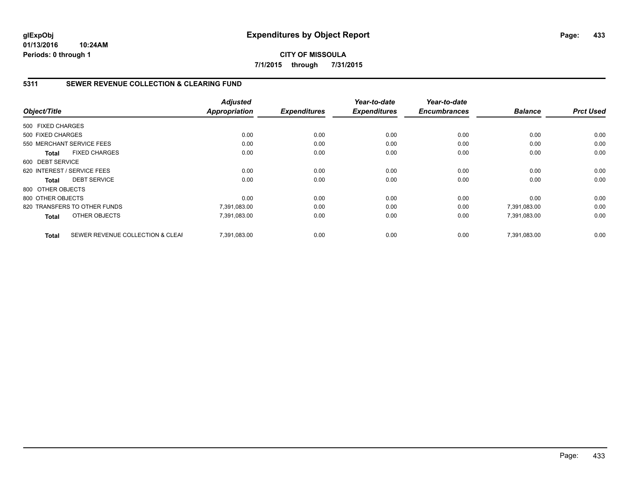**CITY OF MISSOULA 7/1/2015 through 7/31/2015**

## **5311 SEWER REVENUE COLLECTION & CLEARING FUND**

| Object/Title      |                                  | <b>Adjusted</b><br><b>Appropriation</b> | <b>Expenditures</b> | Year-to-date<br><b>Expenditures</b> | Year-to-date<br><b>Encumbrances</b> | <b>Balance</b> | <b>Prct Used</b> |
|-------------------|----------------------------------|-----------------------------------------|---------------------|-------------------------------------|-------------------------------------|----------------|------------------|
|                   |                                  |                                         |                     |                                     |                                     |                |                  |
| 500 FIXED CHARGES |                                  |                                         |                     |                                     |                                     |                |                  |
| 500 FIXED CHARGES |                                  | 0.00                                    | 0.00                | 0.00                                | 0.00                                | 0.00           | 0.00             |
|                   | 550 MERCHANT SERVICE FEES        | 0.00                                    | 0.00                | 0.00                                | 0.00                                | 0.00           | 0.00             |
| <b>Total</b>      | <b>FIXED CHARGES</b>             | 0.00                                    | 0.00                | 0.00                                | 0.00                                | 0.00           | 0.00             |
| 600 DEBT SERVICE  |                                  |                                         |                     |                                     |                                     |                |                  |
|                   | 620 INTEREST / SERVICE FEES      | 0.00                                    | 0.00                | 0.00                                | 0.00                                | 0.00           | 0.00             |
| Total             | <b>DEBT SERVICE</b>              | 0.00                                    | 0.00                | 0.00                                | 0.00                                | 0.00           | 0.00             |
| 800 OTHER OBJECTS |                                  |                                         |                     |                                     |                                     |                |                  |
| 800 OTHER OBJECTS |                                  | 0.00                                    | 0.00                | 0.00                                | 0.00                                | 0.00           | 0.00             |
|                   | 820 TRANSFERS TO OTHER FUNDS     | 7,391,083.00                            | 0.00                | 0.00                                | 0.00                                | 7,391,083.00   | 0.00             |
| <b>Total</b>      | OTHER OBJECTS                    | 7,391,083.00                            | 0.00                | 0.00                                | 0.00                                | 7,391,083.00   | 0.00             |
| <b>Total</b>      | SEWER REVENUE COLLECTION & CLEAF | 7.391.083.00                            | 0.00                | 0.00                                | 0.00                                | 7.391.083.00   | 0.00             |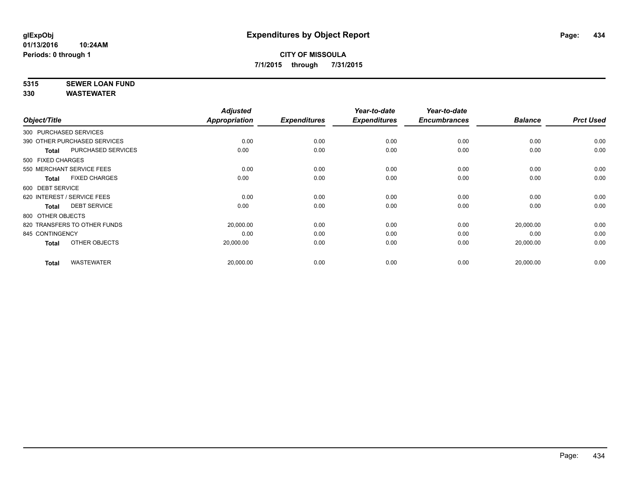# **5315 SEWER LOAN FUND**

|                                     | <b>Adjusted</b> |                     | Year-to-date        | Year-to-date        |                |                  |
|-------------------------------------|-----------------|---------------------|---------------------|---------------------|----------------|------------------|
| Object/Title                        | Appropriation   | <b>Expenditures</b> | <b>Expenditures</b> | <b>Encumbrances</b> | <b>Balance</b> | <b>Prct Used</b> |
| 300 PURCHASED SERVICES              |                 |                     |                     |                     |                |                  |
| 390 OTHER PURCHASED SERVICES        | 0.00            | 0.00                | 0.00                | 0.00                | 0.00           | 0.00             |
| PURCHASED SERVICES<br><b>Total</b>  | 0.00            | 0.00                | 0.00                | 0.00                | 0.00           | 0.00             |
| 500 FIXED CHARGES                   |                 |                     |                     |                     |                |                  |
| 550 MERCHANT SERVICE FEES           | 0.00            | 0.00                | 0.00                | 0.00                | 0.00           | 0.00             |
| <b>FIXED CHARGES</b><br>Total       | 0.00            | 0.00                | 0.00                | 0.00                | 0.00           | 0.00             |
| 600 DEBT SERVICE                    |                 |                     |                     |                     |                |                  |
| 620 INTEREST / SERVICE FEES         | 0.00            | 0.00                | 0.00                | 0.00                | 0.00           | 0.00             |
| <b>DEBT SERVICE</b><br><b>Total</b> | 0.00            | 0.00                | 0.00                | 0.00                | 0.00           | 0.00             |
| 800 OTHER OBJECTS                   |                 |                     |                     |                     |                |                  |
| 820 TRANSFERS TO OTHER FUNDS        | 20,000.00       | 0.00                | 0.00                | 0.00                | 20,000.00      | 0.00             |
| 845 CONTINGENCY                     | 0.00            | 0.00                | 0.00                | 0.00                | 0.00           | 0.00             |
| OTHER OBJECTS<br>Total              | 20,000.00       | 0.00                | 0.00                | 0.00                | 20,000.00      | 0.00             |
| <b>WASTEWATER</b><br><b>Total</b>   | 20,000.00       | 0.00                | 0.00                | 0.00                | 20,000.00      | 0.00             |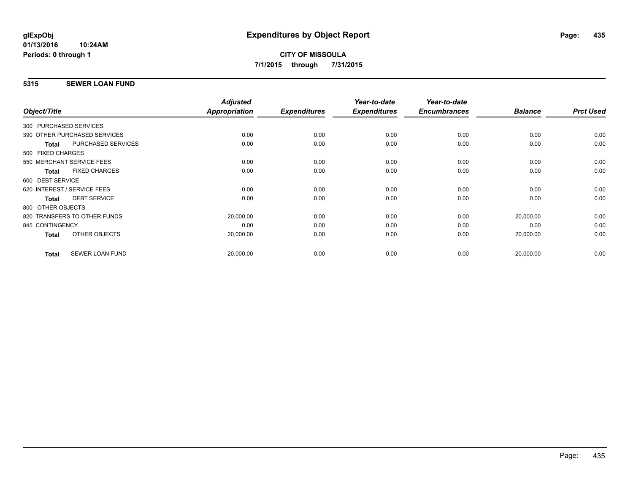## **5315 SEWER LOAN FUND**

| <b>Prct Used</b> |
|------------------|
|                  |
| 0.00             |
| 0.00             |
|                  |
| 0.00             |
| 0.00             |
|                  |
| 0.00             |
| 0.00             |
|                  |
| 0.00             |
| 0.00             |
| 0.00             |
| 0.00             |
|                  |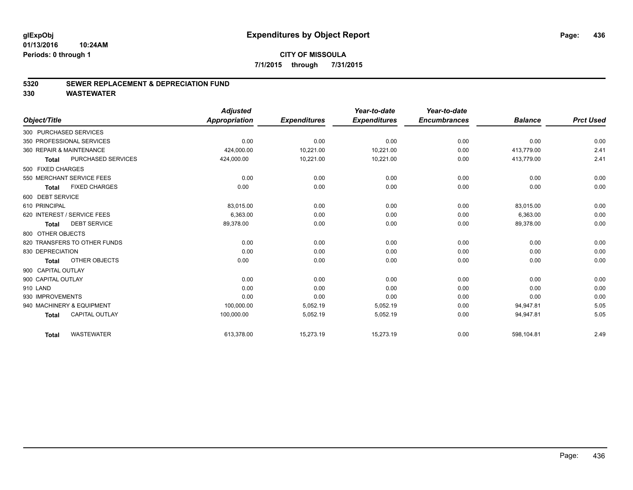#### **5320 SEWER REPLACEMENT & DEPRECIATION FUND**

|                              |                       | <b>Adjusted</b> |                     | Year-to-date        | Year-to-date        |                |                  |
|------------------------------|-----------------------|-----------------|---------------------|---------------------|---------------------|----------------|------------------|
| Object/Title                 |                       | Appropriation   | <b>Expenditures</b> | <b>Expenditures</b> | <b>Encumbrances</b> | <b>Balance</b> | <b>Prct Used</b> |
| 300 PURCHASED SERVICES       |                       |                 |                     |                     |                     |                |                  |
| 350 PROFESSIONAL SERVICES    |                       | 0.00            | 0.00                | 0.00                | 0.00                | 0.00           | 0.00             |
| 360 REPAIR & MAINTENANCE     |                       | 424,000.00      | 10,221.00           | 10,221.00           | 0.00                | 413,779.00     | 2.41             |
| <b>Total</b>                 | PURCHASED SERVICES    | 424,000.00      | 10,221.00           | 10,221.00           | 0.00                | 413,779.00     | 2.41             |
| 500 FIXED CHARGES            |                       |                 |                     |                     |                     |                |                  |
| 550 MERCHANT SERVICE FEES    |                       | 0.00            | 0.00                | 0.00                | 0.00                | 0.00           | 0.00             |
| <b>Total</b>                 | <b>FIXED CHARGES</b>  | 0.00            | 0.00                | 0.00                | 0.00                | 0.00           | 0.00             |
| 600 DEBT SERVICE             |                       |                 |                     |                     |                     |                |                  |
| 610 PRINCIPAL                |                       | 83,015.00       | 0.00                | 0.00                | 0.00                | 83,015.00      | 0.00             |
| 620 INTEREST / SERVICE FEES  |                       | 6,363.00        | 0.00                | 0.00                | 0.00                | 6,363.00       | 0.00             |
| <b>Total</b>                 | <b>DEBT SERVICE</b>   | 89,378.00       | 0.00                | 0.00                | 0.00                | 89,378.00      | 0.00             |
| 800 OTHER OBJECTS            |                       |                 |                     |                     |                     |                |                  |
| 820 TRANSFERS TO OTHER FUNDS |                       | 0.00            | 0.00                | 0.00                | 0.00                | 0.00           | 0.00             |
| 830 DEPRECIATION             |                       | 0.00            | 0.00                | 0.00                | 0.00                | 0.00           | 0.00             |
| <b>Total</b>                 | OTHER OBJECTS         | 0.00            | 0.00                | 0.00                | 0.00                | 0.00           | 0.00             |
| 900 CAPITAL OUTLAY           |                       |                 |                     |                     |                     |                |                  |
| 900 CAPITAL OUTLAY           |                       | 0.00            | 0.00                | 0.00                | 0.00                | 0.00           | 0.00             |
| 910 LAND                     |                       | 0.00            | 0.00                | 0.00                | 0.00                | 0.00           | 0.00             |
| 930 IMPROVEMENTS             |                       | 0.00            | 0.00                | 0.00                | 0.00                | 0.00           | 0.00             |
| 940 MACHINERY & EQUIPMENT    |                       | 100,000.00      | 5,052.19            | 5,052.19            | 0.00                | 94,947.81      | 5.05             |
| <b>Total</b>                 | <b>CAPITAL OUTLAY</b> | 100,000.00      | 5,052.19            | 5,052.19            | 0.00                | 94,947.81      | 5.05             |
| <b>Total</b>                 | <b>WASTEWATER</b>     | 613,378.00      | 15,273.19           | 15,273.19           | 0.00                | 598,104.81     | 2.49             |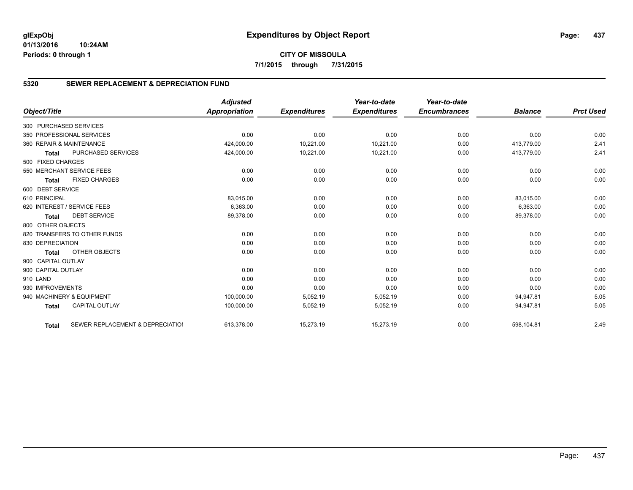# **CITY OF MISSOULA 7/1/2015 through 7/31/2015**

## **5320 SEWER REPLACEMENT & DEPRECIATION FUND**

|                        |                                  | <b>Adjusted</b> |                     | Year-to-date        | Year-to-date        |                |                  |
|------------------------|----------------------------------|-----------------|---------------------|---------------------|---------------------|----------------|------------------|
| Object/Title           |                                  | Appropriation   | <b>Expenditures</b> | <b>Expenditures</b> | <b>Encumbrances</b> | <b>Balance</b> | <b>Prct Used</b> |
| 300 PURCHASED SERVICES |                                  |                 |                     |                     |                     |                |                  |
|                        | 350 PROFESSIONAL SERVICES        | 0.00            | 0.00                | 0.00                | 0.00                | 0.00           | 0.00             |
|                        | 360 REPAIR & MAINTENANCE         | 424,000.00      | 10,221.00           | 10,221.00           | 0.00                | 413.779.00     | 2.41             |
| <b>Total</b>           | PURCHASED SERVICES               | 424,000.00      | 10,221.00           | 10,221.00           | 0.00                | 413,779.00     | 2.41             |
| 500 FIXED CHARGES      |                                  |                 |                     |                     |                     |                |                  |
|                        | 550 MERCHANT SERVICE FEES        | 0.00            | 0.00                | 0.00                | 0.00                | 0.00           | 0.00             |
| <b>Total</b>           | <b>FIXED CHARGES</b>             | 0.00            | 0.00                | 0.00                | 0.00                | 0.00           | 0.00             |
| 600 DEBT SERVICE       |                                  |                 |                     |                     |                     |                |                  |
| 610 PRINCIPAL          |                                  | 83,015.00       | 0.00                | 0.00                | 0.00                | 83,015.00      | 0.00             |
|                        | 620 INTEREST / SERVICE FEES      | 6,363.00        | 0.00                | 0.00                | 0.00                | 6,363.00       | 0.00             |
| <b>Total</b>           | <b>DEBT SERVICE</b>              | 89,378.00       | 0.00                | 0.00                | 0.00                | 89,378.00      | 0.00             |
| 800 OTHER OBJECTS      |                                  |                 |                     |                     |                     |                |                  |
|                        | 820 TRANSFERS TO OTHER FUNDS     | 0.00            | 0.00                | 0.00                | 0.00                | 0.00           | 0.00             |
| 830 DEPRECIATION       |                                  | 0.00            | 0.00                | 0.00                | 0.00                | 0.00           | 0.00             |
| <b>Total</b>           | OTHER OBJECTS                    | 0.00            | 0.00                | 0.00                | 0.00                | 0.00           | 0.00             |
| 900 CAPITAL OUTLAY     |                                  |                 |                     |                     |                     |                |                  |
| 900 CAPITAL OUTLAY     |                                  | 0.00            | 0.00                | 0.00                | 0.00                | 0.00           | 0.00             |
| 910 LAND               |                                  | 0.00            | 0.00                | 0.00                | 0.00                | 0.00           | 0.00             |
| 930 IMPROVEMENTS       |                                  | 0.00            | 0.00                | 0.00                | 0.00                | 0.00           | 0.00             |
|                        | 940 MACHINERY & EQUIPMENT        | 100,000.00      | 5,052.19            | 5,052.19            | 0.00                | 94,947.81      | 5.05             |
| <b>Total</b>           | <b>CAPITAL OUTLAY</b>            | 100,000.00      | 5,052.19            | 5,052.19            | 0.00                | 94,947.81      | 5.05             |
| <b>Total</b>           | SEWER REPLACEMENT & DEPRECIATION | 613,378.00      | 15,273.19           | 15,273.19           | 0.00                | 598,104.81     | 2.49             |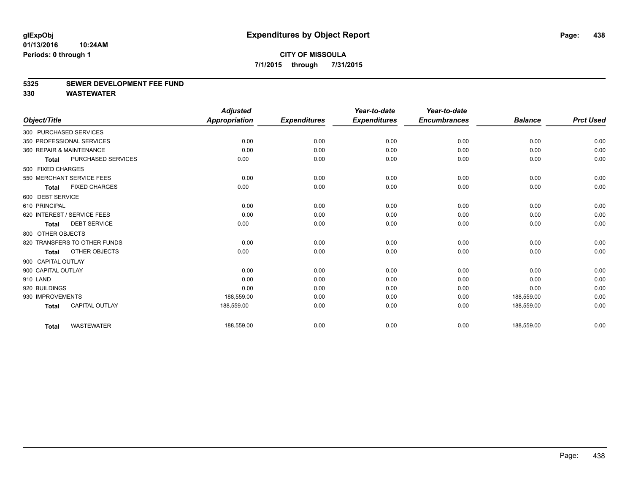#### **5325 SEWER DEVELOPMENT FEE FUND**

|                    |                              | <b>Adjusted</b>      |                     | Year-to-date        | Year-to-date        |                |                  |
|--------------------|------------------------------|----------------------|---------------------|---------------------|---------------------|----------------|------------------|
| Object/Title       |                              | <b>Appropriation</b> | <b>Expenditures</b> | <b>Expenditures</b> | <b>Encumbrances</b> | <b>Balance</b> | <b>Prct Used</b> |
|                    | 300 PURCHASED SERVICES       |                      |                     |                     |                     |                |                  |
|                    | 350 PROFESSIONAL SERVICES    | 0.00                 | 0.00                | 0.00                | 0.00                | 0.00           | 0.00             |
|                    | 360 REPAIR & MAINTENANCE     | 0.00                 | 0.00                | 0.00                | 0.00                | 0.00           | 0.00             |
| <b>Total</b>       | PURCHASED SERVICES           | 0.00                 | 0.00                | 0.00                | 0.00                | 0.00           | 0.00             |
| 500 FIXED CHARGES  |                              |                      |                     |                     |                     |                |                  |
|                    | 550 MERCHANT SERVICE FEES    | 0.00                 | 0.00                | 0.00                | 0.00                | 0.00           | 0.00             |
| <b>Total</b>       | <b>FIXED CHARGES</b>         | 0.00                 | 0.00                | 0.00                | 0.00                | 0.00           | 0.00             |
| 600 DEBT SERVICE   |                              |                      |                     |                     |                     |                |                  |
| 610 PRINCIPAL      |                              | 0.00                 | 0.00                | 0.00                | 0.00                | 0.00           | 0.00             |
|                    | 620 INTEREST / SERVICE FEES  | 0.00                 | 0.00                | 0.00                | 0.00                | 0.00           | 0.00             |
| <b>Total</b>       | <b>DEBT SERVICE</b>          | 0.00                 | 0.00                | 0.00                | 0.00                | 0.00           | 0.00             |
| 800 OTHER OBJECTS  |                              |                      |                     |                     |                     |                |                  |
|                    | 820 TRANSFERS TO OTHER FUNDS | 0.00                 | 0.00                | 0.00                | 0.00                | 0.00           | 0.00             |
| <b>Total</b>       | OTHER OBJECTS                | 0.00                 | 0.00                | 0.00                | 0.00                | 0.00           | 0.00             |
| 900 CAPITAL OUTLAY |                              |                      |                     |                     |                     |                |                  |
| 900 CAPITAL OUTLAY |                              | 0.00                 | 0.00                | 0.00                | 0.00                | 0.00           | 0.00             |
| 910 LAND           |                              | 0.00                 | 0.00                | 0.00                | 0.00                | 0.00           | 0.00             |
| 920 BUILDINGS      |                              | 0.00                 | 0.00                | 0.00                | 0.00                | 0.00           | 0.00             |
| 930 IMPROVEMENTS   |                              | 188,559.00           | 0.00                | 0.00                | 0.00                | 188,559.00     | 0.00             |
| <b>Total</b>       | <b>CAPITAL OUTLAY</b>        | 188,559.00           | 0.00                | 0.00                | 0.00                | 188,559.00     | 0.00             |
| <b>Total</b>       | <b>WASTEWATER</b>            | 188,559.00           | 0.00                | 0.00                | 0.00                | 188,559.00     | 0.00             |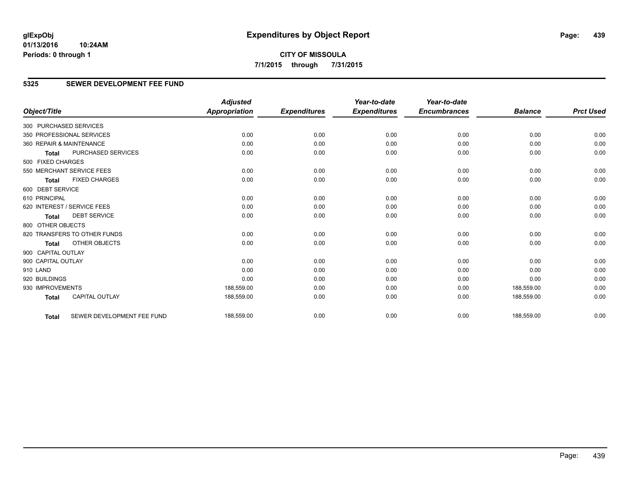**CITY OF MISSOULA 7/1/2015 through 7/31/2015**

## **5325 SEWER DEVELOPMENT FEE FUND**

|                        |                              | <b>Adjusted</b>      |                     | Year-to-date        | Year-to-date        |                |                  |
|------------------------|------------------------------|----------------------|---------------------|---------------------|---------------------|----------------|------------------|
| Object/Title           |                              | <b>Appropriation</b> | <b>Expenditures</b> | <b>Expenditures</b> | <b>Encumbrances</b> | <b>Balance</b> | <b>Prct Used</b> |
| 300 PURCHASED SERVICES |                              |                      |                     |                     |                     |                |                  |
|                        | 350 PROFESSIONAL SERVICES    | 0.00                 | 0.00                | 0.00                | 0.00                | 0.00           | 0.00             |
|                        | 360 REPAIR & MAINTENANCE     | 0.00                 | 0.00                | 0.00                | 0.00                | 0.00           | 0.00             |
| <b>Total</b>           | PURCHASED SERVICES           | 0.00                 | 0.00                | 0.00                | 0.00                | 0.00           | 0.00             |
| 500 FIXED CHARGES      |                              |                      |                     |                     |                     |                |                  |
|                        | 550 MERCHANT SERVICE FEES    | 0.00                 | 0.00                | 0.00                | 0.00                | 0.00           | 0.00             |
| <b>Total</b>           | <b>FIXED CHARGES</b>         | 0.00                 | 0.00                | 0.00                | 0.00                | 0.00           | 0.00             |
| 600 DEBT SERVICE       |                              |                      |                     |                     |                     |                |                  |
| 610 PRINCIPAL          |                              | 0.00                 | 0.00                | 0.00                | 0.00                | 0.00           | 0.00             |
|                        | 620 INTEREST / SERVICE FEES  | 0.00                 | 0.00                | 0.00                | 0.00                | 0.00           | 0.00             |
| <b>Total</b>           | <b>DEBT SERVICE</b>          | 0.00                 | 0.00                | 0.00                | 0.00                | 0.00           | 0.00             |
| 800 OTHER OBJECTS      |                              |                      |                     |                     |                     |                |                  |
|                        | 820 TRANSFERS TO OTHER FUNDS | 0.00                 | 0.00                | 0.00                | 0.00                | 0.00           | 0.00             |
| <b>Total</b>           | OTHER OBJECTS                | 0.00                 | 0.00                | 0.00                | 0.00                | 0.00           | 0.00             |
| 900 CAPITAL OUTLAY     |                              |                      |                     |                     |                     |                |                  |
| 900 CAPITAL OUTLAY     |                              | 0.00                 | 0.00                | 0.00                | 0.00                | 0.00           | 0.00             |
| 910 LAND               |                              | 0.00                 | 0.00                | 0.00                | 0.00                | 0.00           | 0.00             |
| 920 BUILDINGS          |                              | 0.00                 | 0.00                | 0.00                | 0.00                | 0.00           | 0.00             |
| 930 IMPROVEMENTS       |                              | 188,559.00           | 0.00                | 0.00                | 0.00                | 188,559.00     | 0.00             |
| <b>Total</b>           | <b>CAPITAL OUTLAY</b>        | 188,559.00           | 0.00                | 0.00                | 0.00                | 188,559.00     | 0.00             |
| <b>Total</b>           | SEWER DEVELOPMENT FEE FUND   | 188,559.00           | 0.00                | 0.00                | 0.00                | 188,559.00     | 0.00             |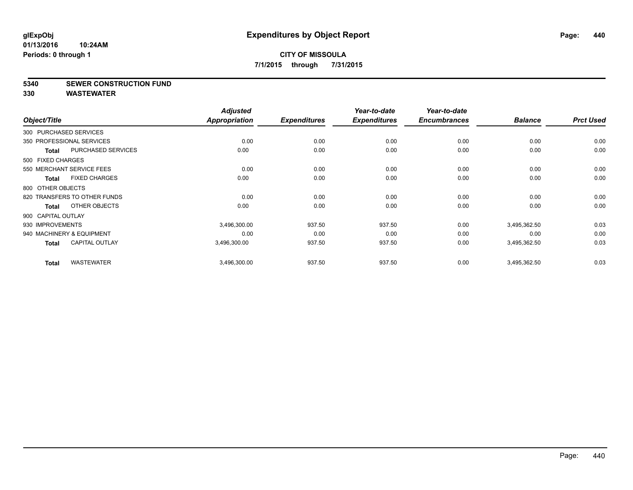#### **5340 SEWER CONSTRUCTION FUND**

| Object/Title           |                              | <b>Adjusted</b><br>Appropriation | <b>Expenditures</b> | Year-to-date<br><b>Expenditures</b> | Year-to-date<br><b>Encumbrances</b> | <b>Balance</b> | <b>Prct Used</b> |
|------------------------|------------------------------|----------------------------------|---------------------|-------------------------------------|-------------------------------------|----------------|------------------|
|                        |                              |                                  |                     |                                     |                                     |                |                  |
| 300 PURCHASED SERVICES |                              |                                  |                     |                                     |                                     |                |                  |
|                        | 350 PROFESSIONAL SERVICES    | 0.00                             | 0.00                | 0.00                                | 0.00                                | 0.00           | 0.00             |
| <b>Total</b>           | PURCHASED SERVICES           | 0.00                             | 0.00                | 0.00                                | 0.00                                | 0.00           | 0.00             |
| 500 FIXED CHARGES      |                              |                                  |                     |                                     |                                     |                |                  |
|                        | 550 MERCHANT SERVICE FEES    | 0.00                             | 0.00                | 0.00                                | 0.00                                | 0.00           | 0.00             |
| <b>Total</b>           | <b>FIXED CHARGES</b>         | 0.00                             | 0.00                | 0.00                                | 0.00                                | 0.00           | 0.00             |
| 800 OTHER OBJECTS      |                              |                                  |                     |                                     |                                     |                |                  |
|                        | 820 TRANSFERS TO OTHER FUNDS | 0.00                             | 0.00                | 0.00                                | 0.00                                | 0.00           | 0.00             |
| <b>Total</b>           | OTHER OBJECTS                | 0.00                             | 0.00                | 0.00                                | 0.00                                | 0.00           | 0.00             |
| 900 CAPITAL OUTLAY     |                              |                                  |                     |                                     |                                     |                |                  |
| 930 IMPROVEMENTS       |                              | 3,496,300.00                     | 937.50              | 937.50                              | 0.00                                | 3,495,362.50   | 0.03             |
|                        | 940 MACHINERY & EQUIPMENT    | 0.00                             | 0.00                | 0.00                                | 0.00                                | 0.00           | 0.00             |
| <b>Total</b>           | <b>CAPITAL OUTLAY</b>        | 3,496,300.00                     | 937.50              | 937.50                              | 0.00                                | 3,495,362.50   | 0.03             |
| <b>Total</b>           | <b>WASTEWATER</b>            | 3,496,300.00                     | 937.50              | 937.50                              | 0.00                                | 3,495,362.50   | 0.03             |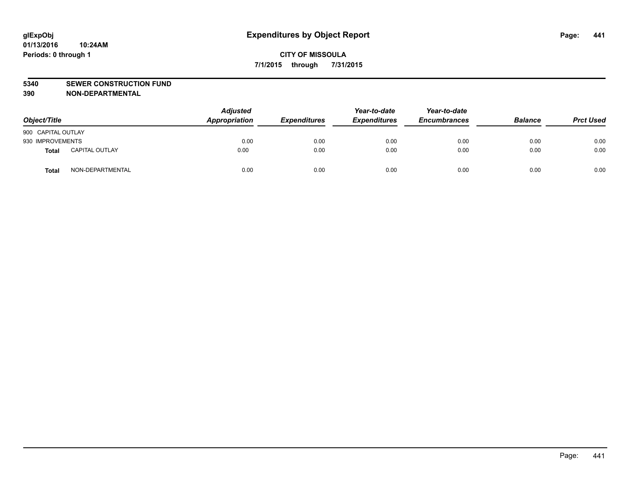#### **5340 SEWER CONSTRUCTION FUND**

**390 NON-DEPARTMENTAL**

| Object/Title       |                       | <b>Adjusted</b><br>Appropriation | <b>Expenditures</b> | Year-to-date<br><b>Expenditures</b> | Year-to-date<br><b>Encumbrances</b> | <b>Balance</b> | <b>Prct Used</b> |
|--------------------|-----------------------|----------------------------------|---------------------|-------------------------------------|-------------------------------------|----------------|------------------|
| 900 CAPITAL OUTLAY |                       |                                  |                     |                                     |                                     |                |                  |
| 930 IMPROVEMENTS   |                       | 0.00                             | 0.00                | 0.00                                | 0.00                                | 0.00           | 0.00             |
| Total              | <b>CAPITAL OUTLAY</b> | 0.00                             | 0.00                | 0.00                                | 0.00                                | 0.00           | 0.00             |
| <b>Total</b>       | NON-DEPARTMENTAL      | 0.00                             | 0.00                | 0.00                                | 0.00                                | 0.00           | 0.00             |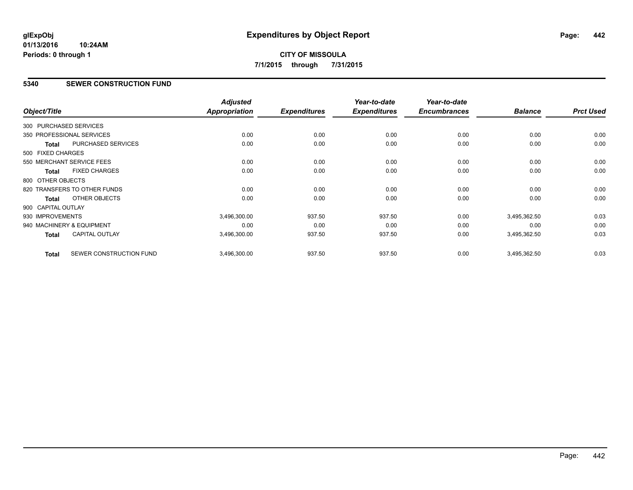# **CITY OF MISSOULA 7/1/2015 through 7/31/2015**

## **5340 SEWER CONSTRUCTION FUND**

| Object/Title           |                              | <b>Adjusted</b><br>Appropriation | <b>Expenditures</b> | Year-to-date<br><b>Expenditures</b> | Year-to-date<br><b>Encumbrances</b> | <b>Balance</b> | <b>Prct Used</b> |
|------------------------|------------------------------|----------------------------------|---------------------|-------------------------------------|-------------------------------------|----------------|------------------|
| 300 PURCHASED SERVICES |                              |                                  |                     |                                     |                                     |                |                  |
|                        |                              |                                  |                     |                                     |                                     |                |                  |
|                        | 350 PROFESSIONAL SERVICES    | 0.00                             | 0.00                | 0.00                                | 0.00                                | 0.00           | 0.00             |
| <b>Total</b>           | PURCHASED SERVICES           | 0.00                             | 0.00                | 0.00                                | 0.00                                | 0.00           | 0.00             |
| 500 FIXED CHARGES      |                              |                                  |                     |                                     |                                     |                |                  |
|                        | 550 MERCHANT SERVICE FEES    | 0.00                             | 0.00                | 0.00                                | 0.00                                | 0.00           | 0.00             |
| <b>Total</b>           | <b>FIXED CHARGES</b>         | 0.00                             | 0.00                | 0.00                                | 0.00                                | 0.00           | 0.00             |
| 800 OTHER OBJECTS      |                              |                                  |                     |                                     |                                     |                |                  |
|                        | 820 TRANSFERS TO OTHER FUNDS | 0.00                             | 0.00                | 0.00                                | 0.00                                | 0.00           | 0.00             |
| <b>Total</b>           | OTHER OBJECTS                | 0.00                             | 0.00                | 0.00                                | 0.00                                | 0.00           | 0.00             |
| 900 CAPITAL OUTLAY     |                              |                                  |                     |                                     |                                     |                |                  |
| 930 IMPROVEMENTS       |                              | 3,496,300.00                     | 937.50              | 937.50                              | 0.00                                | 3,495,362.50   | 0.03             |
|                        | 940 MACHINERY & EQUIPMENT    | 0.00                             | 0.00                | 0.00                                | 0.00                                | 0.00           | 0.00             |
| <b>Total</b>           | <b>CAPITAL OUTLAY</b>        | 3,496,300.00                     | 937.50              | 937.50                              | 0.00                                | 3,495,362.50   | 0.03             |
| <b>Total</b>           | SEWER CONSTRUCTION FUND      | 3,496,300.00                     | 937.50              | 937.50                              | 0.00                                | 3,495,362.50   | 0.03             |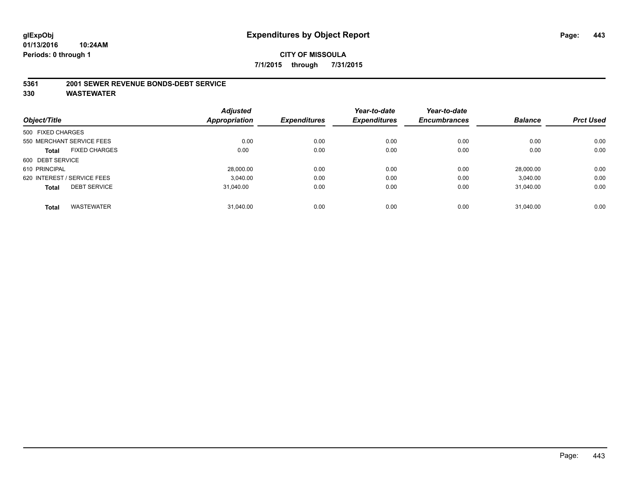#### **5361 2001 SEWER REVENUE BONDS-DEBT SERVICE**

|                   |                             | <b>Adjusted</b> |                     | Year-to-date        | Year-to-date        |                |                  |
|-------------------|-----------------------------|-----------------|---------------------|---------------------|---------------------|----------------|------------------|
| Object/Title      |                             | Appropriation   | <b>Expenditures</b> | <b>Expenditures</b> | <b>Encumbrances</b> | <b>Balance</b> | <b>Prct Used</b> |
| 500 FIXED CHARGES |                             |                 |                     |                     |                     |                |                  |
|                   | 550 MERCHANT SERVICE FEES   | 0.00            | 0.00                | 0.00                | 0.00                | 0.00           | 0.00             |
| Total             | <b>FIXED CHARGES</b>        | 0.00            | 0.00                | 0.00                | 0.00                | 0.00           | 0.00             |
| 600 DEBT SERVICE  |                             |                 |                     |                     |                     |                |                  |
| 610 PRINCIPAL     |                             | 28.000.00       | 0.00                | 0.00                | 0.00                | 28.000.00      | 0.00             |
|                   | 620 INTEREST / SERVICE FEES | 3.040.00        | 0.00                | 0.00                | 0.00                | 3.040.00       | 0.00             |
| <b>Total</b>      | <b>DEBT SERVICE</b>         | 31.040.00       | 0.00                | 0.00                | 0.00                | 31.040.00      | 0.00             |
|                   |                             |                 |                     |                     |                     |                |                  |
| <b>Total</b>      | <b>WASTEWATER</b>           | 31.040.00       | 0.00                | 0.00                | 0.00                | 31.040.00      | 0.00             |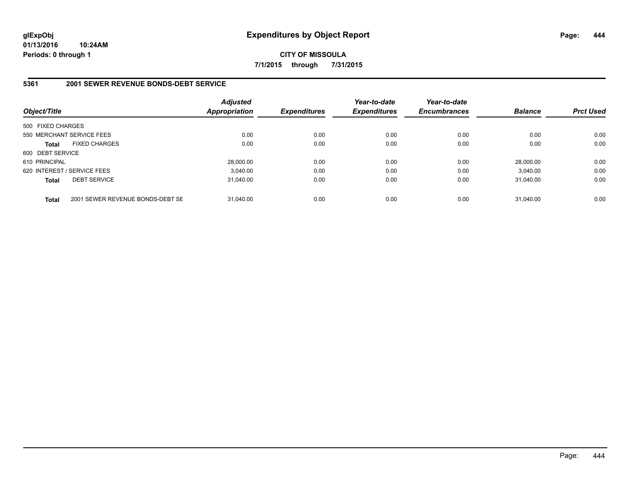**CITY OF MISSOULA 7/1/2015 through 7/31/2015**

#### **5361 2001 SEWER REVENUE BONDS-DEBT SERVICE**

| Object/Title      |                                  | <b>Adjusted</b><br><b>Appropriation</b> | <b>Expenditures</b> | Year-to-date<br><b>Expenditures</b> | Year-to-date<br><b>Encumbrances</b> | <b>Balance</b> | <b>Prct Used</b> |
|-------------------|----------------------------------|-----------------------------------------|---------------------|-------------------------------------|-------------------------------------|----------------|------------------|
| 500 FIXED CHARGES |                                  |                                         |                     |                                     |                                     |                |                  |
|                   | 550 MERCHANT SERVICE FEES        | 0.00                                    | 0.00                | 0.00                                | 0.00                                | 0.00           | 0.00             |
| <b>Total</b>      | <b>FIXED CHARGES</b>             | 0.00                                    | 0.00                | 0.00                                | 0.00                                | 0.00           | 0.00             |
| 600 DEBT SERVICE  |                                  |                                         |                     |                                     |                                     |                |                  |
| 610 PRINCIPAL     |                                  | 28.000.00                               | 0.00                | 0.00                                | 0.00                                | 28.000.00      | 0.00             |
|                   | 620 INTEREST / SERVICE FEES      | 3.040.00                                | 0.00                | 0.00                                | 0.00                                | 3.040.00       | 0.00             |
| <b>Total</b>      | <b>DEBT SERVICE</b>              | 31.040.00                               | 0.00                | 0.00                                | 0.00                                | 31.040.00      | 0.00             |
| <b>Total</b>      | 2001 SEWER REVENUE BONDS-DEBT SE | 31.040.00                               | 0.00                | 0.00                                | 0.00                                | 31.040.00      | 0.00             |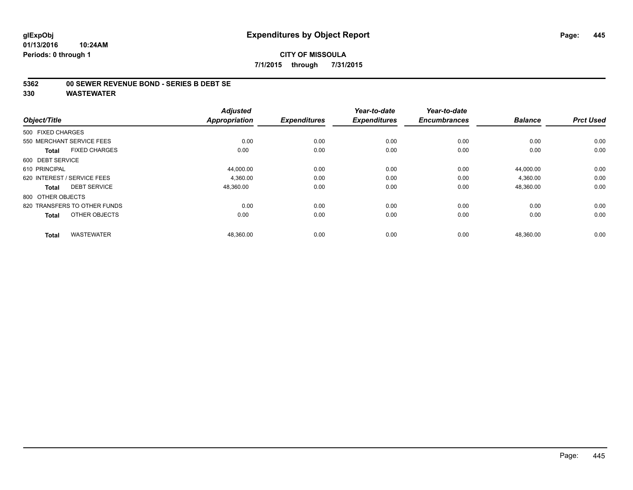#### **5362 00 SEWER REVENUE BOND - SERIES B DEBT SE**

| Object/Title                         | <b>Adjusted</b><br>Appropriation | <b>Expenditures</b> | Year-to-date<br><b>Expenditures</b> | Year-to-date<br><b>Encumbrances</b> | <b>Balance</b> | <b>Prct Used</b> |
|--------------------------------------|----------------------------------|---------------------|-------------------------------------|-------------------------------------|----------------|------------------|
| 500 FIXED CHARGES                    |                                  |                     |                                     |                                     |                |                  |
| 550 MERCHANT SERVICE FEES            | 0.00                             | 0.00                | 0.00                                | 0.00                                | 0.00           | 0.00             |
| <b>FIXED CHARGES</b><br><b>Total</b> | 0.00                             | 0.00                | 0.00                                | 0.00                                | 0.00           | 0.00             |
| 600 DEBT SERVICE                     |                                  |                     |                                     |                                     |                |                  |
| 610 PRINCIPAL                        | 44,000.00                        | 0.00                | 0.00                                | 0.00                                | 44,000.00      | 0.00             |
| 620 INTEREST / SERVICE FEES          | 4,360.00                         | 0.00                | 0.00                                | 0.00                                | 4,360.00       | 0.00             |
| <b>DEBT SERVICE</b><br><b>Total</b>  | 48,360.00                        | 0.00                | 0.00                                | 0.00                                | 48,360.00      | 0.00             |
| 800 OTHER OBJECTS                    |                                  |                     |                                     |                                     |                |                  |
| 820 TRANSFERS TO OTHER FUNDS         | 0.00                             | 0.00                | 0.00                                | 0.00                                | 0.00           | 0.00             |
| OTHER OBJECTS<br><b>Total</b>        | 0.00                             | 0.00                | 0.00                                | 0.00                                | 0.00           | 0.00             |
|                                      |                                  |                     |                                     |                                     |                |                  |
| <b>WASTEWATER</b><br><b>Total</b>    | 48,360.00                        | 0.00                | 0.00                                | 0.00                                | 48,360.00      | 0.00             |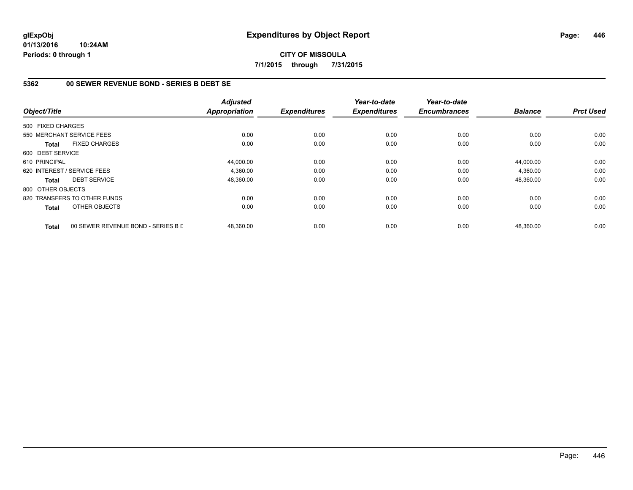**CITY OF MISSOULA 7/1/2015 through 7/31/2015**

## **5362 00 SEWER REVENUE BOND - SERIES B DEBT SE**

| Object/Title      |                                    | <b>Adjusted</b><br><b>Appropriation</b> | <b>Expenditures</b> | Year-to-date<br><b>Expenditures</b> | Year-to-date<br><b>Encumbrances</b> | <b>Balance</b> | <b>Prct Used</b> |
|-------------------|------------------------------------|-----------------------------------------|---------------------|-------------------------------------|-------------------------------------|----------------|------------------|
| 500 FIXED CHARGES |                                    |                                         |                     |                                     |                                     |                |                  |
|                   | 550 MERCHANT SERVICE FEES          | 0.00                                    | 0.00                | 0.00                                | 0.00                                | 0.00           | 0.00             |
| <b>Total</b>      | <b>FIXED CHARGES</b>               | 0.00                                    | 0.00                | 0.00                                | 0.00                                | 0.00           | 0.00             |
| 600 DEBT SERVICE  |                                    |                                         |                     |                                     |                                     |                |                  |
| 610 PRINCIPAL     |                                    | 44,000.00                               | 0.00                | 0.00                                | 0.00                                | 44.000.00      | 0.00             |
|                   | 620 INTEREST / SERVICE FEES        | 4,360.00                                | 0.00                | 0.00                                | 0.00                                | 4,360.00       | 0.00             |
| <b>Total</b>      | <b>DEBT SERVICE</b>                | 48,360.00                               | 0.00                | 0.00                                | 0.00                                | 48,360.00      | 0.00             |
| 800 OTHER OBJECTS |                                    |                                         |                     |                                     |                                     |                |                  |
|                   | 820 TRANSFERS TO OTHER FUNDS       | 0.00                                    | 0.00                | 0.00                                | 0.00                                | 0.00           | 0.00             |
| Total             | OTHER OBJECTS                      | 0.00                                    | 0.00                | 0.00                                | 0.00                                | 0.00           | 0.00             |
| <b>Total</b>      | 00 SEWER REVENUE BOND - SERIES B D | 48,360.00                               | 0.00                | 0.00                                | 0.00                                | 48,360.00      | 0.00             |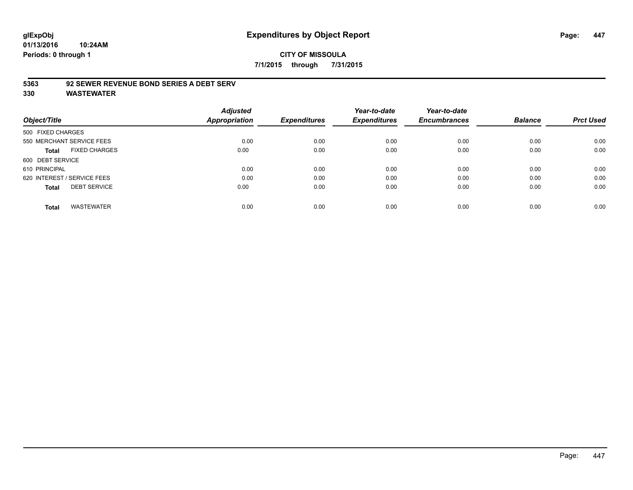## **5363 92 SEWER REVENUE BOND SERIES A DEBT SERV**

| Object/Title                         | <b>Adjusted</b><br>Appropriation | <b>Expenditures</b> | Year-to-date<br><b>Expenditures</b> | Year-to-date<br><b>Encumbrances</b> | <b>Balance</b> | <b>Prct Used</b> |
|--------------------------------------|----------------------------------|---------------------|-------------------------------------|-------------------------------------|----------------|------------------|
|                                      |                                  |                     |                                     |                                     |                |                  |
| 500 FIXED CHARGES                    |                                  |                     |                                     |                                     |                |                  |
| 550 MERCHANT SERVICE FEES            | 0.00                             | 0.00                | 0.00                                | 0.00                                | 0.00           | 0.00             |
| <b>FIXED CHARGES</b><br><b>Total</b> | 0.00                             | 0.00                | 0.00                                | 0.00                                | 0.00           | 0.00             |
| 600 DEBT SERVICE                     |                                  |                     |                                     |                                     |                |                  |
| 610 PRINCIPAL                        | 0.00                             | 0.00                | 0.00                                | 0.00                                | 0.00           | 0.00             |
| 620 INTEREST / SERVICE FEES          | 0.00                             | 0.00                | 0.00                                | 0.00                                | 0.00           | 0.00             |
| <b>DEBT SERVICE</b><br><b>Total</b>  | 0.00                             | 0.00                | 0.00                                | 0.00                                | 0.00           | 0.00             |
| <b>WASTEWATER</b><br><b>Total</b>    | 0.00                             | 0.00                | 0.00                                | 0.00                                | 0.00           | 0.00             |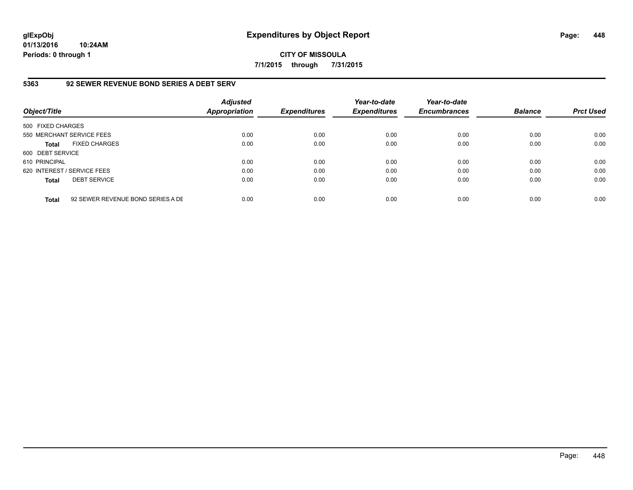**CITY OF MISSOULA 7/1/2015 through 7/31/2015**

## **5363 92 SEWER REVENUE BOND SERIES A DEBT SERV**

| Object/Title                |                                   | <b>Adjusted</b><br>Appropriation | <b>Expenditures</b> | Year-to-date<br><b>Expenditures</b> | Year-to-date<br><b>Encumbrances</b> | <b>Balance</b> | <b>Prct Used</b> |
|-----------------------------|-----------------------------------|----------------------------------|---------------------|-------------------------------------|-------------------------------------|----------------|------------------|
| 500 FIXED CHARGES           |                                   |                                  |                     |                                     |                                     |                |                  |
| 550 MERCHANT SERVICE FEES   |                                   | 0.00                             | 0.00                | 0.00                                | 0.00                                | 0.00           | 0.00             |
| <b>Total</b>                | <b>FIXED CHARGES</b>              | 0.00                             | 0.00                | 0.00                                | 0.00                                | 0.00           | 0.00             |
| 600 DEBT SERVICE            |                                   |                                  |                     |                                     |                                     |                |                  |
| 610 PRINCIPAL               |                                   | 0.00                             | 0.00                | 0.00                                | 0.00                                | 0.00           | 0.00             |
| 620 INTEREST / SERVICE FEES |                                   | 0.00                             | 0.00                | 0.00                                | 0.00                                | 0.00           | 0.00             |
| <b>Total</b>                | <b>DEBT SERVICE</b>               | 0.00                             | 0.00                | 0.00                                | 0.00                                | 0.00           | 0.00             |
| <b>Total</b>                | 92 SEWER REVENUE BOND SERIES A DE | 0.00                             | 0.00                | 0.00                                | 0.00                                | 0.00           | 0.00             |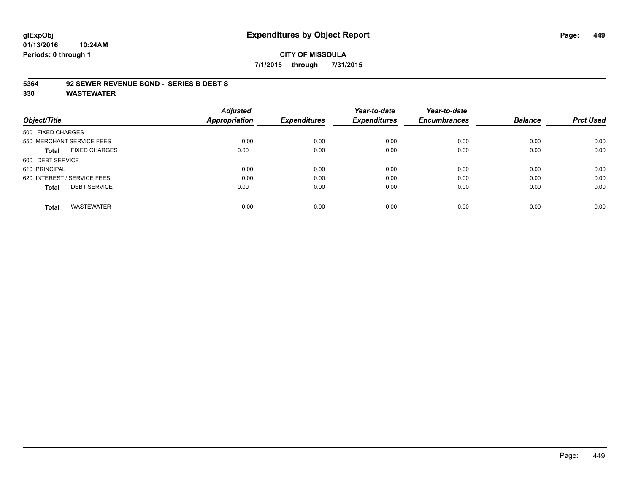# **glExpObj Expenditures by Object Report Page: 449**

**01/13/2016 10:24AM Periods: 0 through 1**

#### **5364 92 SEWER REVENUE BOND - SERIES B DEBT S**

|                                      | <b>Adjusted</b> |                     | Year-to-date        | Year-to-date        |                |                  |
|--------------------------------------|-----------------|---------------------|---------------------|---------------------|----------------|------------------|
| Object/Title                         | Appropriation   | <b>Expenditures</b> | <b>Expenditures</b> | <b>Encumbrances</b> | <b>Balance</b> | <b>Prct Used</b> |
| 500 FIXED CHARGES                    |                 |                     |                     |                     |                |                  |
| 550 MERCHANT SERVICE FEES            | 0.00            | 0.00                | 0.00                | 0.00                | 0.00           | 0.00             |
| <b>FIXED CHARGES</b><br><b>Total</b> | 0.00            | 0.00                | 0.00                | 0.00                | 0.00           | 0.00             |
| 600 DEBT SERVICE                     |                 |                     |                     |                     |                |                  |
| 610 PRINCIPAL                        | 0.00            | 0.00                | 0.00                | 0.00                | 0.00           | 0.00             |
| 620 INTEREST / SERVICE FEES          | 0.00            | 0.00                | 0.00                | 0.00                | 0.00           | 0.00             |
| <b>DEBT SERVICE</b><br><b>Total</b>  | 0.00            | 0.00                | 0.00                | 0.00                | 0.00           | 0.00             |
| <b>WASTEWATER</b><br><b>Total</b>    | 0.00            | 0.00                | 0.00                | 0.00                | 0.00           | 0.00             |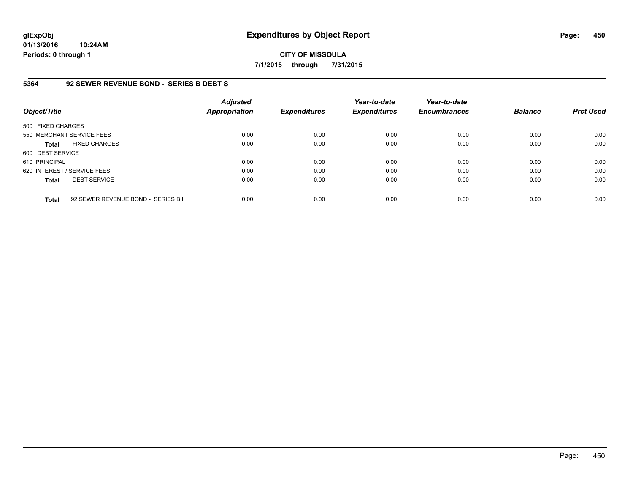**CITY OF MISSOULA 7/1/2015 through 7/31/2015**

#### **5364 92 SEWER REVENUE BOND - SERIES B DEBT S**

| Object/Title                |                                    | <b>Adjusted</b><br><b>Appropriation</b> | <b>Expenditures</b> | Year-to-date<br><b>Expenditures</b> | Year-to-date<br><b>Encumbrances</b> | <b>Balance</b> | <b>Prct Used</b> |
|-----------------------------|------------------------------------|-----------------------------------------|---------------------|-------------------------------------|-------------------------------------|----------------|------------------|
| 500 FIXED CHARGES           |                                    |                                         |                     |                                     |                                     |                |                  |
| 550 MERCHANT SERVICE FEES   |                                    | 0.00                                    | 0.00                | 0.00                                | 0.00                                | 0.00           | 0.00             |
| <b>Total</b>                | <b>FIXED CHARGES</b>               | 0.00                                    | 0.00                | 0.00                                | 0.00                                | 0.00           | 0.00             |
| 600 DEBT SERVICE            |                                    |                                         |                     |                                     |                                     |                |                  |
| 610 PRINCIPAL               |                                    | 0.00                                    | 0.00                | 0.00                                | 0.00                                | 0.00           | 0.00             |
| 620 INTEREST / SERVICE FEES |                                    | 0.00                                    | 0.00                | 0.00                                | 0.00                                | 0.00           | 0.00             |
| <b>Total</b>                | <b>DEBT SERVICE</b>                | 0.00                                    | 0.00                | 0.00                                | 0.00                                | 0.00           | 0.00             |
| <b>Total</b>                | 92 SEWER REVENUE BOND - SERIES B I | 0.00                                    | 0.00                | 0.00                                | 0.00                                | 0.00           | 0.00             |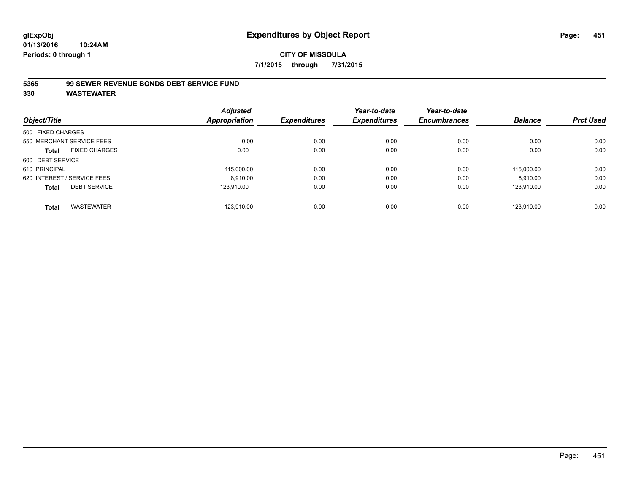# **CITY OF MISSOULA 7/1/2015 through 7/31/2015**

## **5365 99 SEWER REVENUE BONDS DEBT SERVICE FUND**

|                             |                      | <b>Adjusted</b>      |                     | Year-to-date        | Year-to-date        |                |                  |
|-----------------------------|----------------------|----------------------|---------------------|---------------------|---------------------|----------------|------------------|
| Object/Title                |                      | <b>Appropriation</b> | <b>Expenditures</b> | <b>Expenditures</b> | <b>Encumbrances</b> | <b>Balance</b> | <b>Prct Used</b> |
| 500 FIXED CHARGES           |                      |                      |                     |                     |                     |                |                  |
| 550 MERCHANT SERVICE FEES   |                      | 0.00                 | 0.00                | 0.00                | 0.00                | 0.00           | 0.00             |
| <b>Total</b>                | <b>FIXED CHARGES</b> | 0.00                 | 0.00                | 0.00                | 0.00                | 0.00           | 0.00             |
| 600 DEBT SERVICE            |                      |                      |                     |                     |                     |                |                  |
| 610 PRINCIPAL               |                      | 115,000.00           | 0.00                | 0.00                | 0.00                | 115.000.00     | 0.00             |
| 620 INTEREST / SERVICE FEES |                      | 8.910.00             | 0.00                | 0.00                | 0.00                | 8,910.00       | 0.00             |
| <b>Total</b>                | <b>DEBT SERVICE</b>  | 123.910.00           | 0.00                | 0.00                | 0.00                | 123.910.00     | 0.00             |
| Total                       | <b>WASTEWATER</b>    | 123.910.00           | 0.00                | 0.00                | 0.00                | 123.910.00     | 0.00             |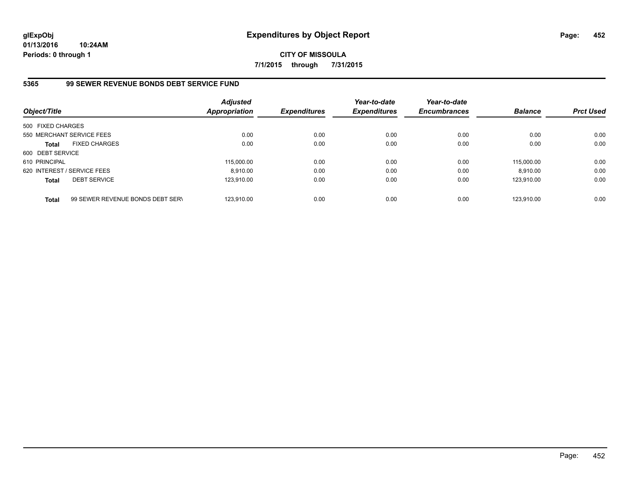**CITY OF MISSOULA 7/1/2015 through 7/31/2015**

## **5365 99 SEWER REVENUE BONDS DEBT SERVICE FUND**

| Object/Title      |                                  | <b>Adjusted</b><br><b>Appropriation</b> | <b>Expenditures</b> | Year-to-date<br><b>Expenditures</b> | Year-to-date<br><b>Encumbrances</b> | <b>Balance</b> | <b>Prct Used</b> |
|-------------------|----------------------------------|-----------------------------------------|---------------------|-------------------------------------|-------------------------------------|----------------|------------------|
| 500 FIXED CHARGES |                                  |                                         |                     |                                     |                                     |                |                  |
|                   | 550 MERCHANT SERVICE FEES        | 0.00                                    | 0.00                | 0.00                                | 0.00                                | 0.00           | 0.00             |
| <b>Total</b>      | <b>FIXED CHARGES</b>             | 0.00                                    | 0.00                | 0.00                                | 0.00                                | 0.00           | 0.00             |
| 600 DEBT SERVICE  |                                  |                                         |                     |                                     |                                     |                |                  |
| 610 PRINCIPAL     |                                  | 115,000.00                              | 0.00                | 0.00                                | 0.00                                | 115.000.00     | 0.00             |
|                   | 620 INTEREST / SERVICE FEES      | 8.910.00                                | 0.00                | 0.00                                | 0.00                                | 8.910.00       | 0.00             |
| <b>Total</b>      | <b>DEBT SERVICE</b>              | 123.910.00                              | 0.00                | 0.00                                | 0.00                                | 123.910.00     | 0.00             |
| <b>Total</b>      | 99 SEWER REVENUE BONDS DEBT SERV | 123.910.00                              | 0.00                | 0.00                                | 0.00                                | 123.910.00     | 0.00             |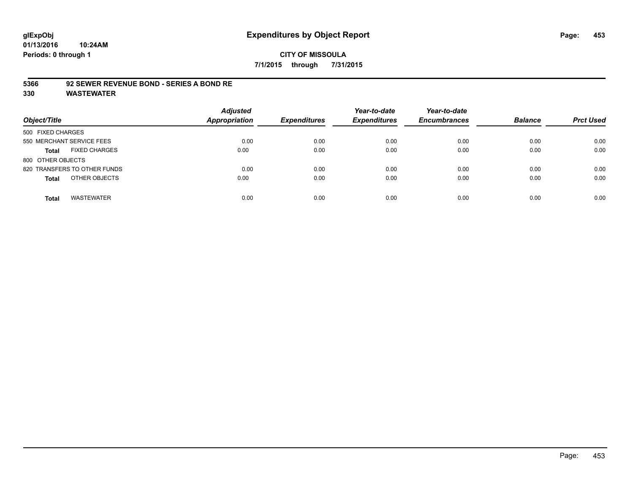#### **5366 92 SEWER REVENUE BOND - SERIES A BOND RE**

| Object/Title                         | <b>Adjusted</b><br><b>Appropriation</b> | <b>Expenditures</b> | Year-to-date<br><b>Expenditures</b> | Year-to-date<br><b>Encumbrances</b> | <b>Balance</b> | <b>Prct Used</b> |
|--------------------------------------|-----------------------------------------|---------------------|-------------------------------------|-------------------------------------|----------------|------------------|
| 500 FIXED CHARGES                    |                                         |                     |                                     |                                     |                |                  |
| 550 MERCHANT SERVICE FEES            | 0.00                                    | 0.00                | 0.00                                | 0.00                                | 0.00           | 0.00             |
| <b>FIXED CHARGES</b><br><b>Total</b> | 0.00                                    | 0.00                | 0.00                                | 0.00                                | 0.00           | 0.00             |
| 800 OTHER OBJECTS                    |                                         |                     |                                     |                                     |                |                  |
| 820 TRANSFERS TO OTHER FUNDS         | 0.00                                    | 0.00                | 0.00                                | 0.00                                | 0.00           | 0.00             |
| OTHER OBJECTS<br><b>Total</b>        | 0.00                                    | 0.00                | 0.00                                | 0.00                                | 0.00           | 0.00             |
| <b>WASTEWATER</b><br><b>Total</b>    | 0.00                                    | 0.00                | 0.00                                | 0.00                                | 0.00           | 0.00             |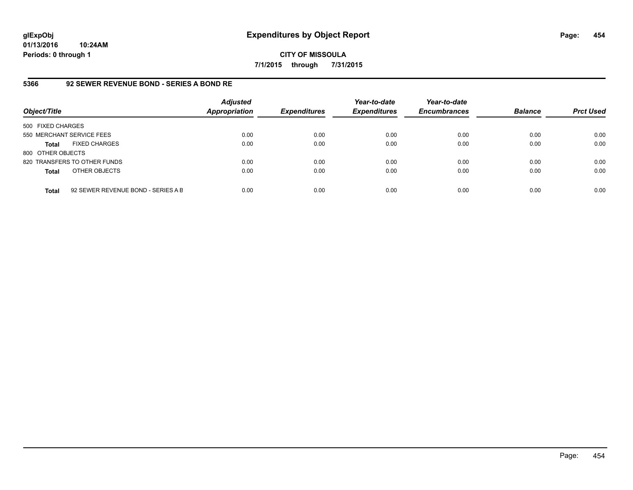**CITY OF MISSOULA 7/1/2015 through 7/31/2015**

## **5366 92 SEWER REVENUE BOND - SERIES A BOND RE**

| Object/Title              |                                    | <b>Adjusted</b><br><b>Appropriation</b> | <b>Expenditures</b> | Year-to-date<br><b>Expenditures</b> | Year-to-date<br><b>Encumbrances</b> | <b>Balance</b> | <b>Prct Used</b> |
|---------------------------|------------------------------------|-----------------------------------------|---------------------|-------------------------------------|-------------------------------------|----------------|------------------|
| 500 FIXED CHARGES         |                                    |                                         |                     |                                     |                                     |                |                  |
| 550 MERCHANT SERVICE FEES |                                    | 0.00                                    | 0.00                | 0.00                                | 0.00                                | 0.00           | 0.00             |
| <b>Total</b>              | <b>FIXED CHARGES</b>               | 0.00                                    | 0.00                | 0.00                                | 0.00                                | 0.00           | 0.00             |
| 800 OTHER OBJECTS         |                                    |                                         |                     |                                     |                                     |                |                  |
|                           | 820 TRANSFERS TO OTHER FUNDS       | 0.00                                    | 0.00                | 0.00                                | 0.00                                | 0.00           | 0.00             |
| <b>Total</b>              | OTHER OBJECTS                      | 0.00                                    | 0.00                | 0.00                                | 0.00                                | 0.00           | 0.00             |
| <b>Total</b>              | 92 SEWER REVENUE BOND - SERIES A B | 0.00                                    | 0.00                | 0.00                                | 0.00                                | 0.00           | 0.00             |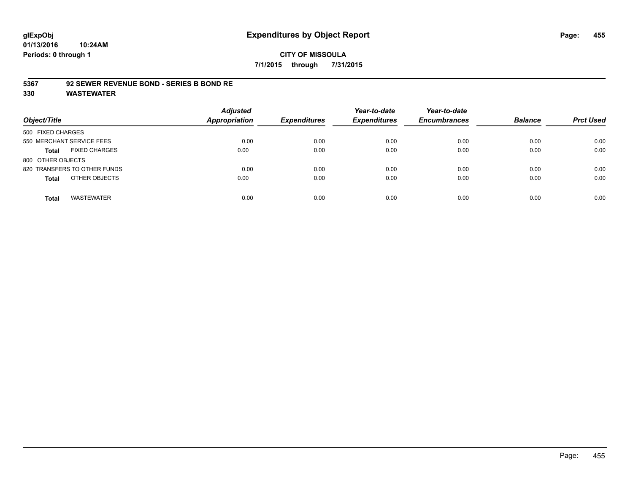#### **5367 92 SEWER REVENUE BOND - SERIES B BOND RE**

| Object/Title                         | <b>Adjusted</b><br><b>Appropriation</b> | <b>Expenditures</b> | Year-to-date<br><b>Expenditures</b> | Year-to-date<br><b>Encumbrances</b> | <b>Balance</b> | <b>Prct Used</b> |
|--------------------------------------|-----------------------------------------|---------------------|-------------------------------------|-------------------------------------|----------------|------------------|
| 500 FIXED CHARGES                    |                                         |                     |                                     |                                     |                |                  |
| 550 MERCHANT SERVICE FEES            | 0.00                                    | 0.00                | 0.00                                | 0.00                                | 0.00           | 0.00             |
| <b>FIXED CHARGES</b><br><b>Total</b> | 0.00                                    | 0.00                | 0.00                                | 0.00                                | 0.00           | 0.00             |
| 800 OTHER OBJECTS                    |                                         |                     |                                     |                                     |                |                  |
| 820 TRANSFERS TO OTHER FUNDS         | 0.00                                    | 0.00                | 0.00                                | 0.00                                | 0.00           | 0.00             |
| OTHER OBJECTS<br><b>Total</b>        | 0.00                                    | 0.00                | 0.00                                | 0.00                                | 0.00           | 0.00             |
| <b>WASTEWATER</b><br><b>Total</b>    | 0.00                                    | 0.00                | 0.00                                | 0.00                                | 0.00           | 0.00             |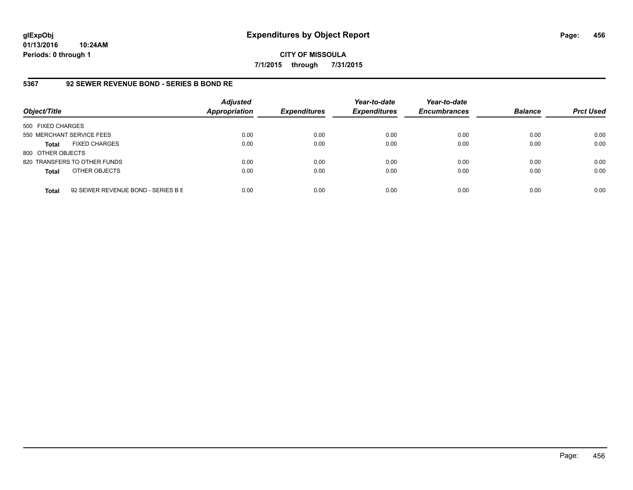**CITY OF MISSOULA 7/1/2015 through 7/31/2015**

## **5367 92 SEWER REVENUE BOND - SERIES B BOND RE**

| Object/Title              |                                    | <b>Adjusted</b><br>Appropriation | <b>Expenditures</b> | Year-to-date<br><b>Expenditures</b> | Year-to-date<br><b>Encumbrances</b> | <b>Balance</b> | <b>Prct Used</b> |
|---------------------------|------------------------------------|----------------------------------|---------------------|-------------------------------------|-------------------------------------|----------------|------------------|
| 500 FIXED CHARGES         |                                    |                                  |                     |                                     |                                     |                |                  |
| 550 MERCHANT SERVICE FEES |                                    | 0.00                             | 0.00                | 0.00                                | 0.00                                | 0.00           | 0.00             |
| <b>Total</b>              | <b>FIXED CHARGES</b>               | 0.00                             | 0.00                | 0.00                                | 0.00                                | 0.00           | 0.00             |
| 800 OTHER OBJECTS         |                                    |                                  |                     |                                     |                                     |                |                  |
|                           | 820 TRANSFERS TO OTHER FUNDS       | 0.00                             | 0.00                | 0.00                                | 0.00                                | 0.00           | 0.00             |
| <b>Total</b>              | OTHER OBJECTS                      | 0.00                             | 0.00                | 0.00                                | 0.00                                | 0.00           | 0.00             |
| <b>Total</b>              | 92 SEWER REVENUE BOND - SERIES B E | 0.00                             | 0.00                | 0.00                                | 0.00                                | 0.00           | 0.00             |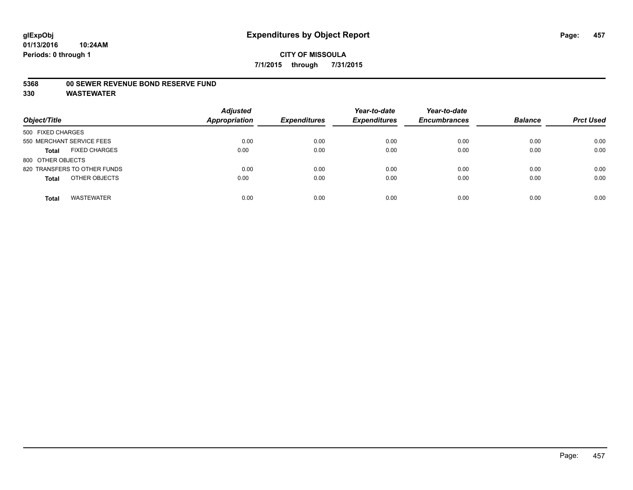#### **5368 00 SEWER REVENUE BOND RESERVE FUND**

| Object/Title                         | <b>Adjusted</b><br>Appropriation | <b>Expenditures</b> | Year-to-date<br><b>Expenditures</b> | Year-to-date<br><b>Encumbrances</b> | <b>Balance</b> | <b>Prct Used</b> |
|--------------------------------------|----------------------------------|---------------------|-------------------------------------|-------------------------------------|----------------|------------------|
| 500 FIXED CHARGES                    |                                  |                     |                                     |                                     |                |                  |
| 550 MERCHANT SERVICE FEES            | 0.00                             | 0.00                | 0.00                                | 0.00                                | 0.00           | 0.00             |
| <b>FIXED CHARGES</b><br><b>Total</b> | 0.00                             | 0.00                | 0.00                                | 0.00                                | 0.00           | 0.00             |
| 800 OTHER OBJECTS                    |                                  |                     |                                     |                                     |                |                  |
| 820 TRANSFERS TO OTHER FUNDS         | 0.00                             | 0.00                | 0.00                                | 0.00                                | 0.00           | 0.00             |
| OTHER OBJECTS<br><b>Total</b>        | 0.00                             | 0.00                | 0.00                                | 0.00                                | 0.00           | 0.00             |
| <b>WASTEWATER</b><br><b>Total</b>    | 0.00                             | 0.00                | 0.00                                | 0.00                                | 0.00           | 0.00             |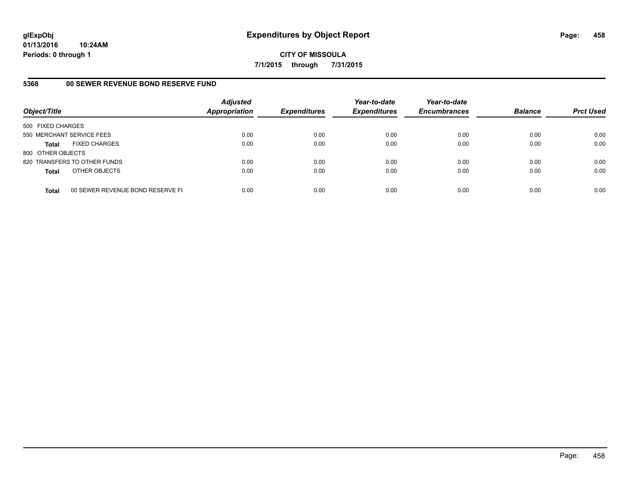**CITY OF MISSOULA 7/1/2015 through 7/31/2015**

## **5368 00 SEWER REVENUE BOND RESERVE FUND**

| Object/Title              |                                  | <b>Adjusted</b><br>Appropriation | <b>Expenditures</b> | Year-to-date<br><b>Expenditures</b> | Year-to-date<br><b>Encumbrances</b> | <b>Balance</b> | <b>Prct Used</b> |
|---------------------------|----------------------------------|----------------------------------|---------------------|-------------------------------------|-------------------------------------|----------------|------------------|
| 500 FIXED CHARGES         |                                  |                                  |                     |                                     |                                     |                |                  |
| 550 MERCHANT SERVICE FEES |                                  | 0.00                             | 0.00                | 0.00                                | 0.00                                | 0.00           | 0.00             |
| Total                     | <b>FIXED CHARGES</b>             | 0.00                             | 0.00                | 0.00                                | 0.00                                | 0.00           | 0.00             |
| 800 OTHER OBJECTS         |                                  |                                  |                     |                                     |                                     |                |                  |
|                           | 820 TRANSFERS TO OTHER FUNDS     | 0.00                             | 0.00                | 0.00                                | 0.00                                | 0.00           | 0.00             |
| <b>Total</b>              | OTHER OBJECTS                    | 0.00                             | 0.00                | 0.00                                | 0.00                                | 0.00           | 0.00             |
| <b>Total</b>              | 00 SEWER REVENUE BOND RESERVE FL | 0.00                             | 0.00                | 0.00                                | 0.00                                | 0.00           | 0.00             |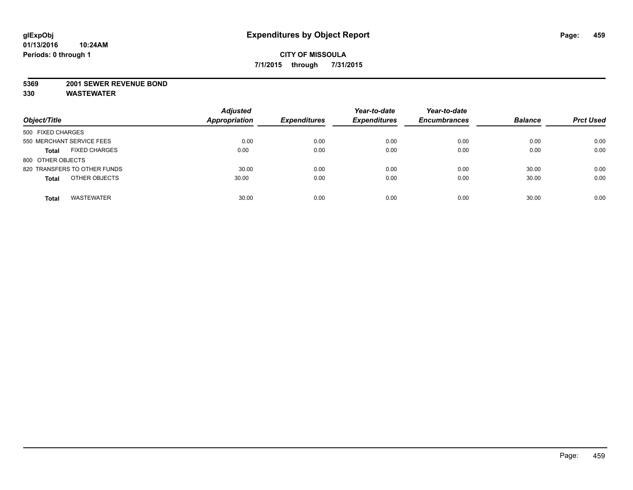#### **5369 2001 SEWER REVENUE BOND**

| Object/Title                         | <b>Adjusted</b><br><b>Appropriation</b> | <b>Expenditures</b> | Year-to-date<br><b>Expenditures</b> | Year-to-date<br><b>Encumbrances</b> | <b>Balance</b> | <b>Prct Used</b> |
|--------------------------------------|-----------------------------------------|---------------------|-------------------------------------|-------------------------------------|----------------|------------------|
| 500 FIXED CHARGES                    |                                         |                     |                                     |                                     |                |                  |
| 550 MERCHANT SERVICE FEES            | 0.00                                    | 0.00                | 0.00                                | 0.00                                | 0.00           | 0.00             |
| <b>FIXED CHARGES</b><br><b>Total</b> | 0.00                                    | 0.00                | 0.00                                | 0.00                                | 0.00           | 0.00             |
| 800 OTHER OBJECTS                    |                                         |                     |                                     |                                     |                |                  |
| 820 TRANSFERS TO OTHER FUNDS         | 30.00                                   | 0.00                | 0.00                                | 0.00                                | 30.00          | 0.00             |
| OTHER OBJECTS<br><b>Total</b>        | 30.00                                   | 0.00                | 0.00                                | 0.00                                | 30.00          | 0.00             |
| <b>WASTEWATER</b><br><b>Total</b>    | 30.00                                   | 0.00                | 0.00                                | 0.00                                | 30.00          | 0.00             |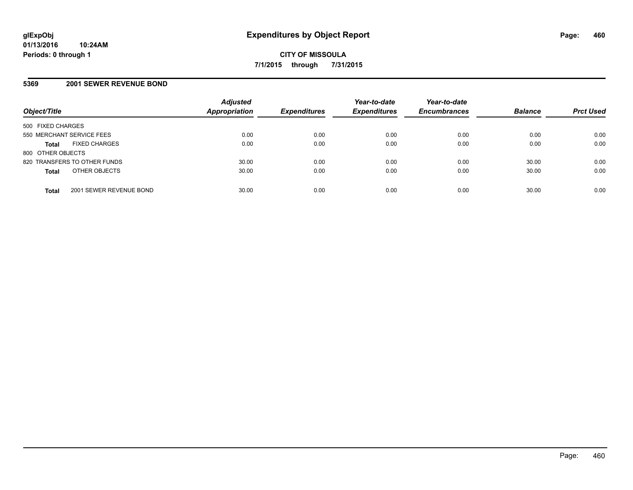## **5369 2001 SEWER REVENUE BOND**

| Object/Title                            | <b>Adjusted</b><br>Appropriation | <b>Expenditures</b> | Year-to-date<br><b>Expenditures</b> | Year-to-date<br><b>Encumbrances</b> | <b>Balance</b> | <b>Prct Used</b> |
|-----------------------------------------|----------------------------------|---------------------|-------------------------------------|-------------------------------------|----------------|------------------|
| 500 FIXED CHARGES                       |                                  |                     |                                     |                                     |                |                  |
| 550 MERCHANT SERVICE FEES               | 0.00                             | 0.00                | 0.00                                | 0.00                                | 0.00           | 0.00             |
| <b>FIXED CHARGES</b><br><b>Total</b>    | 0.00                             | 0.00                | 0.00                                | 0.00                                | 0.00           | 0.00             |
| 800 OTHER OBJECTS                       |                                  |                     |                                     |                                     |                |                  |
| 820 TRANSFERS TO OTHER FUNDS            | 30.00                            | 0.00                | 0.00                                | 0.00                                | 30.00          | 0.00             |
| OTHER OBJECTS<br><b>Total</b>           | 30.00                            | 0.00                | 0.00                                | 0.00                                | 30.00          | 0.00             |
| 2001 SEWER REVENUE BOND<br><b>Total</b> | 30.00                            | 0.00                | 0.00                                | 0.00                                | 30.00          | 0.00             |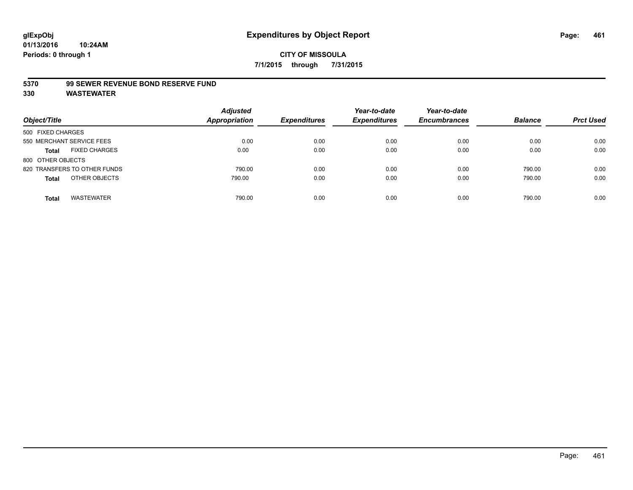#### **5370 99 SEWER REVENUE BOND RESERVE FUND**

| Object/Title                         | <b>Adjusted</b><br>Appropriation | <b>Expenditures</b> | Year-to-date<br><b>Expenditures</b> | Year-to-date<br><b>Encumbrances</b> | <b>Balance</b> | <b>Prct Used</b> |
|--------------------------------------|----------------------------------|---------------------|-------------------------------------|-------------------------------------|----------------|------------------|
| 500 FIXED CHARGES                    |                                  |                     |                                     |                                     |                |                  |
| 550 MERCHANT SERVICE FEES            | 0.00                             | 0.00                | 0.00                                | 0.00                                | 0.00           | 0.00             |
| <b>FIXED CHARGES</b><br><b>Total</b> | 0.00                             | 0.00                | 0.00                                | 0.00                                | 0.00           | 0.00             |
| 800 OTHER OBJECTS                    |                                  |                     |                                     |                                     |                |                  |
| 820 TRANSFERS TO OTHER FUNDS         | 790.00                           | 0.00                | 0.00                                | 0.00                                | 790.00         | 0.00             |
| OTHER OBJECTS<br><b>Total</b>        | 790.00                           | 0.00                | 0.00                                | 0.00                                | 790.00         | 0.00             |
| <b>WASTEWATER</b><br><b>Total</b>    | 790.00                           | 0.00                | 0.00                                | 0.00                                | 790.00         | 0.00             |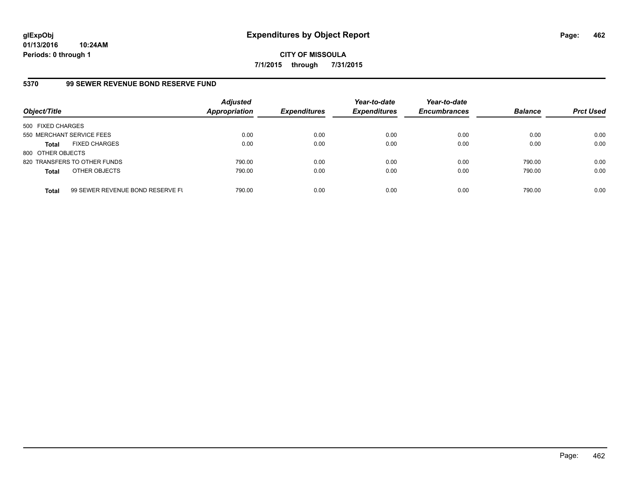**CITY OF MISSOULA 7/1/2015 through 7/31/2015**

## **5370 99 SEWER REVENUE BOND RESERVE FUND**

| Object/Title              |                                  | <b>Adjusted</b><br>Appropriation | <b>Expenditures</b> | Year-to-date<br><b>Expenditures</b> | Year-to-date<br><b>Encumbrances</b> | <b>Balance</b> | <b>Prct Used</b> |
|---------------------------|----------------------------------|----------------------------------|---------------------|-------------------------------------|-------------------------------------|----------------|------------------|
| 500 FIXED CHARGES         |                                  |                                  |                     |                                     |                                     |                |                  |
| 550 MERCHANT SERVICE FEES |                                  | 0.00                             | 0.00                | 0.00                                | 0.00                                | 0.00           | 0.00             |
| <b>Total</b>              | <b>FIXED CHARGES</b>             | 0.00                             | 0.00                | 0.00                                | 0.00                                | 0.00           | 0.00             |
| 800 OTHER OBJECTS         |                                  |                                  |                     |                                     |                                     |                |                  |
|                           | 820 TRANSFERS TO OTHER FUNDS     | 790.00                           | 0.00                | 0.00                                | 0.00                                | 790.00         | 0.00             |
| <b>Total</b>              | OTHER OBJECTS                    | 790.00                           | 0.00                | 0.00                                | 0.00                                | 790.00         | 0.00             |
| <b>Total</b>              | 99 SEWER REVENUE BOND RESERVE FL | 790.00                           | 0.00                | 0.00                                | 0.00                                | 790.00         | 0.00             |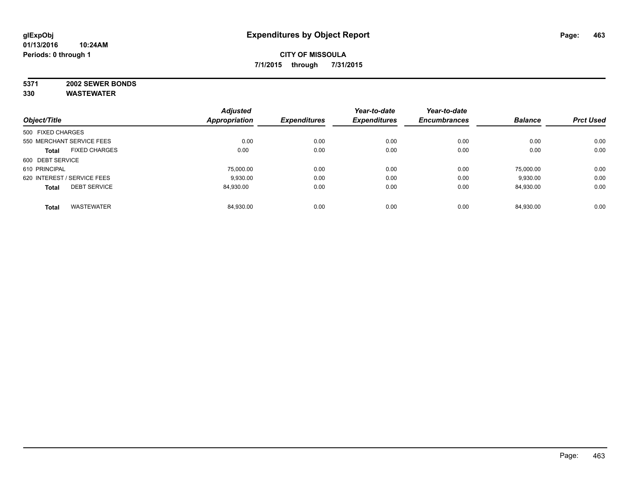# **5371 2002 SEWER BONDS**

|                                      | <b>Adjusted</b>      | <b>Expenditures</b> | Year-to-date<br><b>Expenditures</b> | Year-to-date        | <b>Balance</b> |                  |
|--------------------------------------|----------------------|---------------------|-------------------------------------|---------------------|----------------|------------------|
| Object/Title                         | <b>Appropriation</b> |                     |                                     | <b>Encumbrances</b> |                | <b>Prct Used</b> |
| 500 FIXED CHARGES                    |                      |                     |                                     |                     |                |                  |
| 550 MERCHANT SERVICE FEES            | 0.00                 | 0.00                | 0.00                                | 0.00                | 0.00           | 0.00             |
| <b>FIXED CHARGES</b><br><b>Total</b> | 0.00                 | 0.00                | 0.00                                | 0.00                | 0.00           | 0.00             |
| 600 DEBT SERVICE                     |                      |                     |                                     |                     |                |                  |
| 610 PRINCIPAL                        | 75.000.00            | 0.00                | 0.00                                | 0.00                | 75.000.00      | 0.00             |
| 620 INTEREST / SERVICE FEES          | 9.930.00             | 0.00                | 0.00                                | 0.00                | 9,930.00       | 0.00             |
| <b>DEBT SERVICE</b><br><b>Total</b>  | 84.930.00            | 0.00                | 0.00                                | 0.00                | 84,930.00      | 0.00             |
| <b>WASTEWATER</b><br><b>Total</b>    | 84,930.00            | 0.00                | 0.00                                | 0.00                | 84.930.00      | 0.00             |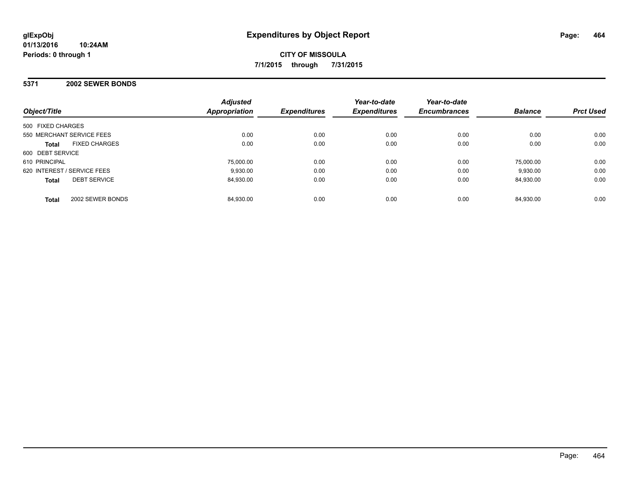#### **5371 2002 SEWER BONDS**

| Object/Title                         | <b>Adjusted</b><br>Appropriation | <b>Expenditures</b> | Year-to-date<br><b>Expenditures</b> | Year-to-date<br><b>Encumbrances</b> | <b>Balance</b> | <b>Prct Used</b> |
|--------------------------------------|----------------------------------|---------------------|-------------------------------------|-------------------------------------|----------------|------------------|
| 500 FIXED CHARGES                    |                                  |                     |                                     |                                     |                |                  |
| 550 MERCHANT SERVICE FEES            | 0.00                             | 0.00                | 0.00                                | 0.00                                | 0.00           | 0.00             |
| <b>FIXED CHARGES</b><br><b>Total</b> | 0.00                             | 0.00                | 0.00                                | 0.00                                | 0.00           | 0.00             |
| 600 DEBT SERVICE                     |                                  |                     |                                     |                                     |                |                  |
| 610 PRINCIPAL                        | 75.000.00                        | 0.00                | 0.00                                | 0.00                                | 75.000.00      | 0.00             |
| 620 INTEREST / SERVICE FEES          | 9.930.00                         | 0.00                | 0.00                                | 0.00                                | 9.930.00       | 0.00             |
| <b>DEBT SERVICE</b><br><b>Total</b>  | 84,930.00                        | 0.00                | 0.00                                | 0.00                                | 84.930.00      | 0.00             |
| 2002 SEWER BONDS<br><b>Total</b>     | 84.930.00                        | 0.00                | 0.00                                | 0.00                                | 84.930.00      | 0.00             |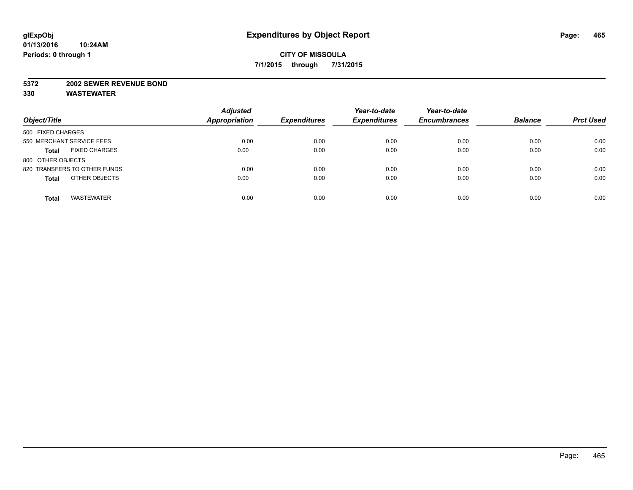#### **5372 2002 SEWER REVENUE BOND**

| Object/Title                         | <b>Adjusted</b><br><b>Appropriation</b> | <b>Expenditures</b> | Year-to-date<br><b>Expenditures</b> | Year-to-date<br><b>Encumbrances</b> | <b>Balance</b> | <b>Prct Used</b> |
|--------------------------------------|-----------------------------------------|---------------------|-------------------------------------|-------------------------------------|----------------|------------------|
| 500 FIXED CHARGES                    |                                         |                     |                                     |                                     |                |                  |
| 550 MERCHANT SERVICE FEES            | 0.00                                    | 0.00                | 0.00                                | 0.00                                | 0.00           | 0.00             |
| <b>FIXED CHARGES</b><br><b>Total</b> | 0.00                                    | 0.00                | 0.00                                | 0.00                                | 0.00           | 0.00             |
| 800 OTHER OBJECTS                    |                                         |                     |                                     |                                     |                |                  |
| 820 TRANSFERS TO OTHER FUNDS         | 0.00                                    | 0.00                | 0.00                                | 0.00                                | 0.00           | 0.00             |
| OTHER OBJECTS<br><b>Total</b>        | 0.00                                    | 0.00                | 0.00                                | 0.00                                | 0.00           | 0.00             |
| <b>WASTEWATER</b><br><b>Total</b>    | 0.00                                    | 0.00                | 0.00                                | 0.00                                | 0.00           | 0.00             |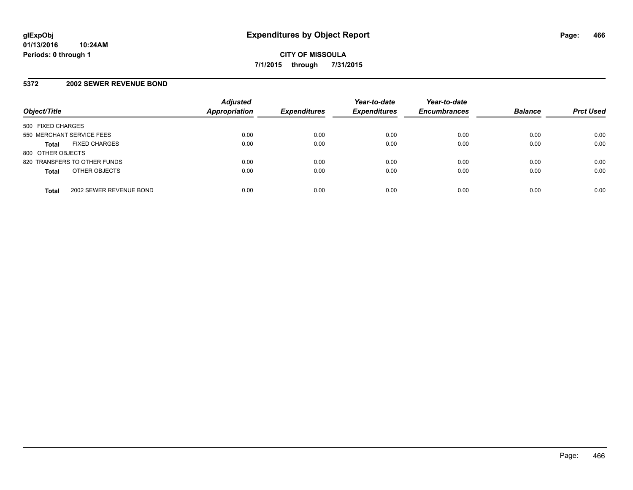## **5372 2002 SEWER REVENUE BOND**

| Object/Title                            | <b>Adjusted</b><br><b>Appropriation</b> | <b>Expenditures</b> | Year-to-date<br><b>Expenditures</b> | Year-to-date<br><b>Encumbrances</b> | <b>Balance</b> | <b>Prct Used</b> |
|-----------------------------------------|-----------------------------------------|---------------------|-------------------------------------|-------------------------------------|----------------|------------------|
| 500 FIXED CHARGES                       |                                         |                     |                                     |                                     |                |                  |
| 550 MERCHANT SERVICE FEES               | 0.00                                    | 0.00                | 0.00                                | 0.00                                | 0.00           | 0.00             |
| <b>FIXED CHARGES</b><br><b>Total</b>    | 0.00                                    | 0.00                | 0.00                                | 0.00                                | 0.00           | 0.00             |
| 800 OTHER OBJECTS                       |                                         |                     |                                     |                                     |                |                  |
| 820 TRANSFERS TO OTHER FUNDS            | 0.00                                    | 0.00                | 0.00                                | 0.00                                | 0.00           | 0.00             |
| OTHER OBJECTS<br><b>Total</b>           | 0.00                                    | 0.00                | 0.00                                | 0.00                                | 0.00           | 0.00             |
| 2002 SEWER REVENUE BOND<br><b>Total</b> | 0.00                                    | 0.00                | 0.00                                | 0.00                                | 0.00           | 0.00             |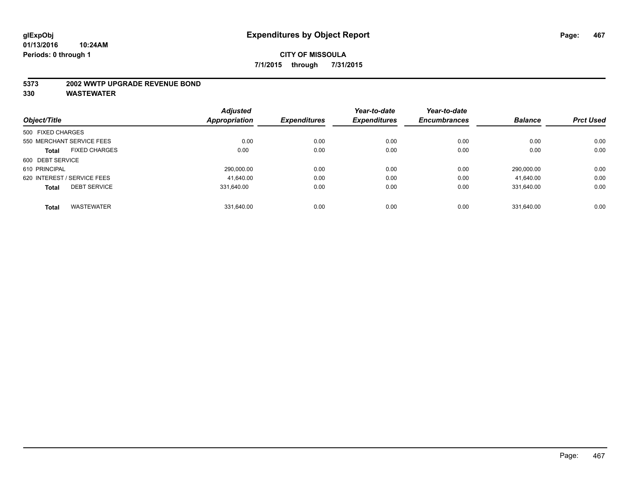#### **5373 2002 WWTP UPGRADE REVENUE BOND**

| Object/Title      |                             | <b>Adjusted</b> | <b>Expenditures</b> | Year-to-date<br><b>Expenditures</b> | Year-to-date        | <b>Balance</b> | <b>Prct Used</b> |
|-------------------|-----------------------------|-----------------|---------------------|-------------------------------------|---------------------|----------------|------------------|
|                   |                             | Appropriation   |                     |                                     | <b>Encumbrances</b> |                |                  |
| 500 FIXED CHARGES |                             |                 |                     |                                     |                     |                |                  |
|                   | 550 MERCHANT SERVICE FEES   | 0.00            | 0.00                | 0.00                                | 0.00                | 0.00           | 0.00             |
| <b>Total</b>      | <b>FIXED CHARGES</b>        | 0.00            | 0.00                | 0.00                                | 0.00                | 0.00           | 0.00             |
| 600 DEBT SERVICE  |                             |                 |                     |                                     |                     |                |                  |
| 610 PRINCIPAL     |                             | 290,000.00      | 0.00                | 0.00                                | 0.00                | 290.000.00     | 0.00             |
|                   | 620 INTEREST / SERVICE FEES | 41.640.00       | 0.00                | 0.00                                | 0.00                | 41,640.00      | 0.00             |
| <b>Total</b>      | <b>DEBT SERVICE</b>         | 331.640.00      | 0.00                | 0.00                                | 0.00                | 331.640.00     | 0.00             |
| <b>Total</b>      | <b>WASTEWATER</b>           | 331.640.00      | 0.00                | 0.00                                | 0.00                | 331.640.00     | 0.00             |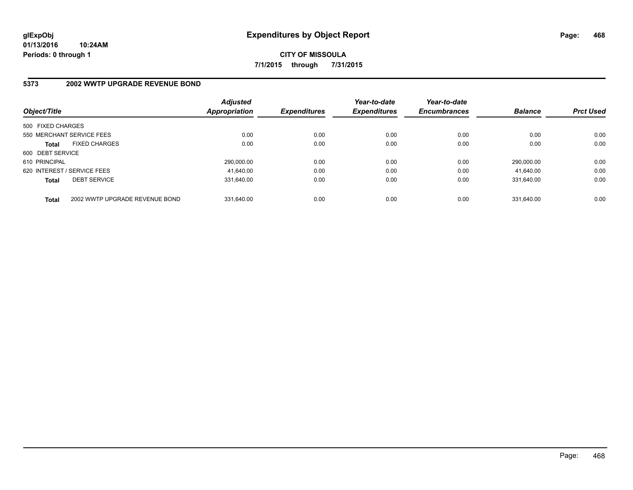## **5373 2002 WWTP UPGRADE REVENUE BOND**

| Object/Title      |                                | <b>Adjusted</b><br>Appropriation | <b>Expenditures</b> | Year-to-date<br><b>Expenditures</b> | Year-to-date<br><b>Encumbrances</b> | <b>Balance</b> | <b>Prct Used</b> |
|-------------------|--------------------------------|----------------------------------|---------------------|-------------------------------------|-------------------------------------|----------------|------------------|
| 500 FIXED CHARGES |                                |                                  |                     |                                     |                                     |                |                  |
|                   | 550 MERCHANT SERVICE FEES      | 0.00                             | 0.00                | 0.00                                | 0.00                                | 0.00           | 0.00             |
| <b>Total</b>      | <b>FIXED CHARGES</b>           | 0.00                             | 0.00                | 0.00                                | 0.00                                | 0.00           | 0.00             |
| 600 DEBT SERVICE  |                                |                                  |                     |                                     |                                     |                |                  |
| 610 PRINCIPAL     |                                | 290.000.00                       | 0.00                | 0.00                                | 0.00                                | 290.000.00     | 0.00             |
|                   | 620 INTEREST / SERVICE FEES    | 41.640.00                        | 0.00                | 0.00                                | 0.00                                | 41.640.00      | 0.00             |
| <b>Total</b>      | <b>DEBT SERVICE</b>            | 331.640.00                       | 0.00                | 0.00                                | 0.00                                | 331.640.00     | 0.00             |
| <b>Total</b>      | 2002 WWTP UPGRADE REVENUE BOND | 331.640.00                       | 0.00                | 0.00                                | 0.00                                | 331.640.00     | 0.00             |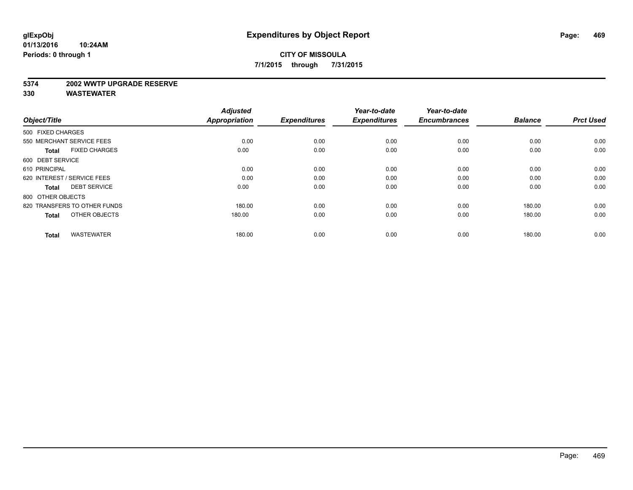#### **5374 2002 WWTP UPGRADE RESERVE**

| Object/Title                         | <b>Adjusted</b><br>Appropriation | <b>Expenditures</b> | Year-to-date<br><b>Expenditures</b> | Year-to-date<br><b>Encumbrances</b> | <b>Balance</b> | <b>Prct Used</b> |
|--------------------------------------|----------------------------------|---------------------|-------------------------------------|-------------------------------------|----------------|------------------|
| 500 FIXED CHARGES                    |                                  |                     |                                     |                                     |                |                  |
| 550 MERCHANT SERVICE FEES            | 0.00                             | 0.00                | 0.00                                | 0.00                                | 0.00           | 0.00             |
| <b>FIXED CHARGES</b><br><b>Total</b> | 0.00                             | 0.00                | 0.00                                | 0.00                                | 0.00           | 0.00             |
| 600 DEBT SERVICE                     |                                  |                     |                                     |                                     |                |                  |
| 610 PRINCIPAL                        | 0.00                             | 0.00                | 0.00                                | 0.00                                | 0.00           | 0.00             |
| 620 INTEREST / SERVICE FEES          | 0.00                             | 0.00                | 0.00                                | 0.00                                | 0.00           | 0.00             |
| <b>DEBT SERVICE</b><br><b>Total</b>  | 0.00                             | 0.00                | 0.00                                | 0.00                                | 0.00           | 0.00             |
| 800 OTHER OBJECTS                    |                                  |                     |                                     |                                     |                |                  |
| 820 TRANSFERS TO OTHER FUNDS         | 180.00                           | 0.00                | 0.00                                | 0.00                                | 180.00         | 0.00             |
| OTHER OBJECTS<br><b>Total</b>        | 180.00                           | 0.00                | 0.00                                | 0.00                                | 180.00         | 0.00             |
|                                      |                                  |                     |                                     |                                     |                |                  |
| <b>WASTEWATER</b><br><b>Total</b>    | 180.00                           | 0.00                | 0.00                                | 0.00                                | 180.00         | 0.00             |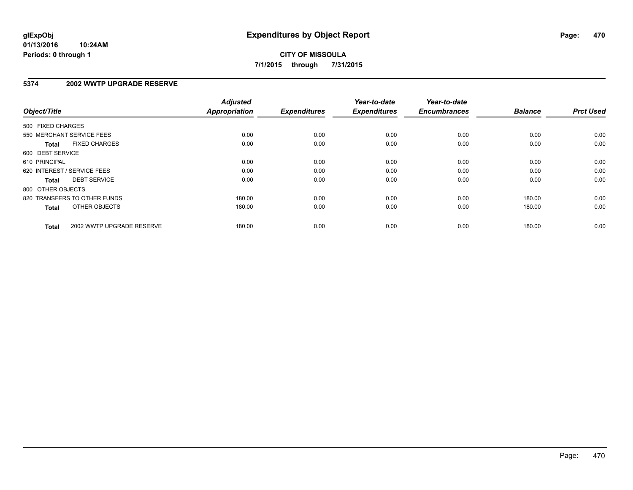### **5374 2002 WWTP UPGRADE RESERVE**

| Object/Title                              | <b>Adjusted</b><br>Appropriation | <b>Expenditures</b> | Year-to-date<br><b>Expenditures</b> | Year-to-date<br><b>Encumbrances</b> | <b>Balance</b> | <b>Prct Used</b> |
|-------------------------------------------|----------------------------------|---------------------|-------------------------------------|-------------------------------------|----------------|------------------|
| 500 FIXED CHARGES                         |                                  |                     |                                     |                                     |                |                  |
| 550 MERCHANT SERVICE FEES                 | 0.00                             | 0.00                | 0.00                                | 0.00                                | 0.00           | 0.00             |
| <b>FIXED CHARGES</b><br><b>Total</b>      | 0.00                             | 0.00                | 0.00                                | 0.00                                | 0.00           | 0.00             |
| 600 DEBT SERVICE                          |                                  |                     |                                     |                                     |                |                  |
| 610 PRINCIPAL                             | 0.00                             | 0.00                | 0.00                                | 0.00                                | 0.00           | 0.00             |
| 620 INTEREST / SERVICE FEES               | 0.00                             | 0.00                | 0.00                                | 0.00                                | 0.00           | 0.00             |
| <b>DEBT SERVICE</b><br><b>Total</b>       | 0.00                             | 0.00                | 0.00                                | 0.00                                | 0.00           | 0.00             |
| 800 OTHER OBJECTS                         |                                  |                     |                                     |                                     |                |                  |
| 820 TRANSFERS TO OTHER FUNDS              | 180.00                           | 0.00                | 0.00                                | 0.00                                | 180.00         | 0.00             |
| OTHER OBJECTS<br><b>Total</b>             | 180.00                           | 0.00                | 0.00                                | 0.00                                | 180.00         | 0.00             |
| 2002 WWTP UPGRADE RESERVE<br><b>Total</b> | 180.00                           | 0.00                | 0.00                                | 0.00                                | 180.00         | 0.00             |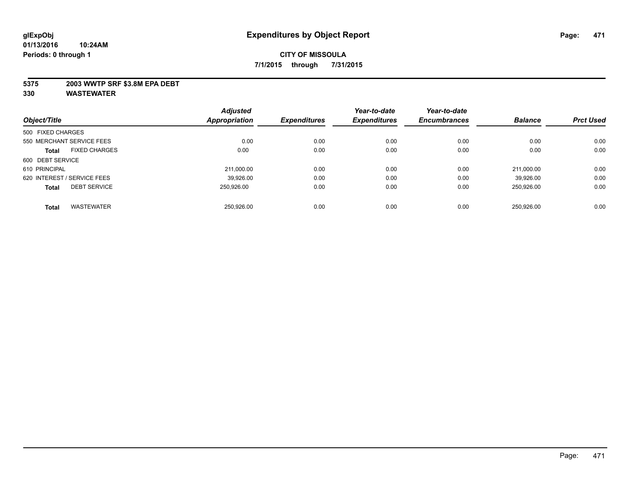### **5375 2003 WWTP SRF \$3.8M EPA DEBT**

| Object/Title      |                             | <b>Adjusted</b> | <b>Expenditures</b> | Year-to-date        | Year-to-date        | <b>Balance</b> | <b>Prct Used</b> |
|-------------------|-----------------------------|-----------------|---------------------|---------------------|---------------------|----------------|------------------|
|                   |                             | Appropriation   |                     | <b>Expenditures</b> | <b>Encumbrances</b> |                |                  |
| 500 FIXED CHARGES |                             |                 |                     |                     |                     |                |                  |
|                   | 550 MERCHANT SERVICE FEES   | 0.00            | 0.00                | 0.00                | 0.00                | 0.00           | 0.00             |
| <b>Total</b>      | <b>FIXED CHARGES</b>        | 0.00            | 0.00                | 0.00                | 0.00                | 0.00           | 0.00             |
| 600 DEBT SERVICE  |                             |                 |                     |                     |                     |                |                  |
| 610 PRINCIPAL     |                             | 211,000.00      | 0.00                | 0.00                | 0.00                | 211.000.00     | 0.00             |
|                   | 620 INTEREST / SERVICE FEES | 39.926.00       | 0.00                | 0.00                | 0.00                | 39.926.00      | 0.00             |
| <b>Total</b>      | <b>DEBT SERVICE</b>         | 250.926.00      | 0.00                | 0.00                | 0.00                | 250.926.00     | 0.00             |
| <b>Total</b>      | <b>WASTEWATER</b>           | 250.926.00      | 0.00                | 0.00                | 0.00                | 250.926.00     | 0.00             |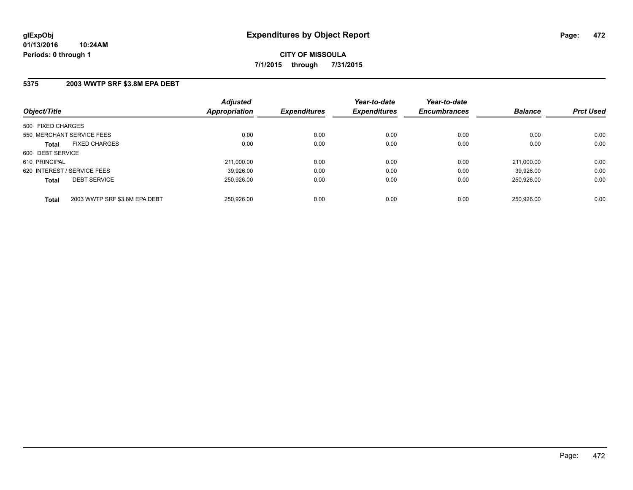### **5375 2003 WWTP SRF \$3.8M EPA DEBT**

| Object/Title                |                               | <b>Adjusted</b><br>Appropriation | <b>Expenditures</b> | Year-to-date<br><b>Expenditures</b> | Year-to-date<br><b>Encumbrances</b> | <b>Balance</b> | <b>Prct Used</b> |
|-----------------------------|-------------------------------|----------------------------------|---------------------|-------------------------------------|-------------------------------------|----------------|------------------|
| 500 FIXED CHARGES           |                               |                                  |                     |                                     |                                     |                |                  |
| 550 MERCHANT SERVICE FEES   |                               | 0.00                             | 0.00                | 0.00                                | 0.00                                | 0.00           | 0.00             |
| <b>Total</b>                | <b>FIXED CHARGES</b>          | 0.00                             | 0.00                | 0.00                                | 0.00                                | 0.00           | 0.00             |
| 600 DEBT SERVICE            |                               |                                  |                     |                                     |                                     |                |                  |
| 610 PRINCIPAL               |                               | 211.000.00                       | 0.00                | 0.00                                | 0.00                                | 211.000.00     | 0.00             |
| 620 INTEREST / SERVICE FEES |                               | 39.926.00                        | 0.00                | 0.00                                | 0.00                                | 39.926.00      | 0.00             |
| <b>Total</b>                | <b>DEBT SERVICE</b>           | 250.926.00                       | 0.00                | 0.00                                | 0.00                                | 250.926.00     | 0.00             |
| <b>Total</b>                | 2003 WWTP SRF \$3.8M EPA DEBT | 250.926.00                       | 0.00                | 0.00                                | 0.00                                | 250.926.00     | 0.00             |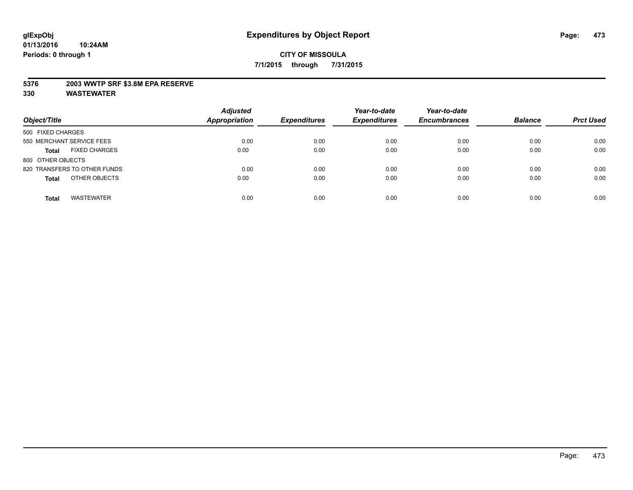### **5376 2003 WWTP SRF \$3.8M EPA RESERVE**

| Object/Title                         | <b>Adjusted</b><br><b>Appropriation</b> | <b>Expenditures</b> | Year-to-date<br><b>Expenditures</b> | Year-to-date<br><b>Encumbrances</b> | <b>Balance</b> | <b>Prct Used</b> |
|--------------------------------------|-----------------------------------------|---------------------|-------------------------------------|-------------------------------------|----------------|------------------|
| 500 FIXED CHARGES                    |                                         |                     |                                     |                                     |                |                  |
| 550 MERCHANT SERVICE FEES            | 0.00                                    | 0.00                | 0.00                                | 0.00                                | 0.00           | 0.00             |
| <b>FIXED CHARGES</b><br><b>Total</b> | 0.00                                    | 0.00                | 0.00                                | 0.00                                | 0.00           | 0.00             |
| 800 OTHER OBJECTS                    |                                         |                     |                                     |                                     |                |                  |
| 820 TRANSFERS TO OTHER FUNDS         | 0.00                                    | 0.00                | 0.00                                | 0.00                                | 0.00           | 0.00             |
| OTHER OBJECTS<br><b>Total</b>        | 0.00                                    | 0.00                | 0.00                                | 0.00                                | 0.00           | 0.00             |
| <b>WASTEWATER</b><br><b>Total</b>    | 0.00                                    | 0.00                | 0.00                                | 0.00                                | 0.00           | 0.00             |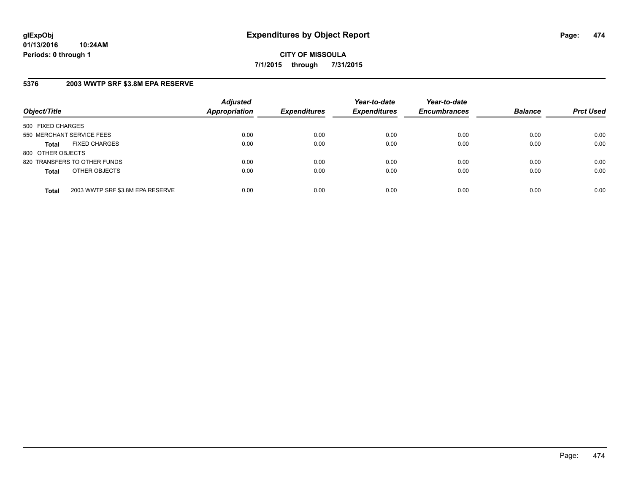## **5376 2003 WWTP SRF \$3.8M EPA RESERVE**

| Object/Title              |                                  | <b>Adjusted</b><br><b>Appropriation</b> | <b>Expenditures</b> | Year-to-date<br><b>Expenditures</b> | Year-to-date<br><b>Encumbrances</b> | <b>Balance</b> | <b>Prct Used</b> |
|---------------------------|----------------------------------|-----------------------------------------|---------------------|-------------------------------------|-------------------------------------|----------------|------------------|
| 500 FIXED CHARGES         |                                  |                                         |                     |                                     |                                     |                |                  |
| 550 MERCHANT SERVICE FEES |                                  | 0.00                                    | 0.00                | 0.00                                | 0.00                                | 0.00           | 0.00             |
| Total                     | <b>FIXED CHARGES</b>             | 0.00                                    | 0.00                | 0.00                                | 0.00                                | 0.00           | 0.00             |
| 800 OTHER OBJECTS         |                                  |                                         |                     |                                     |                                     |                |                  |
|                           | 820 TRANSFERS TO OTHER FUNDS     | 0.00                                    | 0.00                | 0.00                                | 0.00                                | 0.00           | 0.00             |
| <b>Total</b>              | OTHER OBJECTS                    | 0.00                                    | 0.00                | 0.00                                | 0.00                                | 0.00           | 0.00             |
| <b>Total</b>              | 2003 WWTP SRF \$3.8M EPA RESERVE | 0.00                                    | 0.00                | 0.00                                | 0.00                                | 0.00           | 0.00             |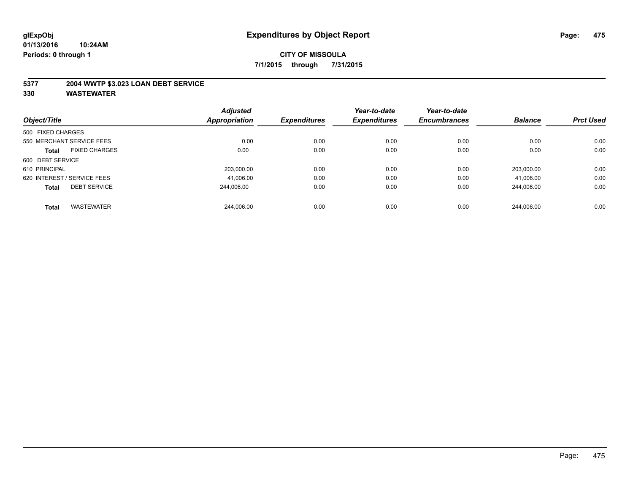### **5377 2004 WWTP \$3.023 LOAN DEBT SERVICE**

| Object/Title      |                             | <b>Adjusted</b>      | <b>Expenditures</b> | Year-to-date<br><b>Expenditures</b> | Year-to-date<br><b>Encumbrances</b> | <b>Balance</b> | <b>Prct Used</b> |
|-------------------|-----------------------------|----------------------|---------------------|-------------------------------------|-------------------------------------|----------------|------------------|
|                   |                             | <b>Appropriation</b> |                     |                                     |                                     |                |                  |
| 500 FIXED CHARGES |                             |                      |                     |                                     |                                     |                |                  |
|                   | 550 MERCHANT SERVICE FEES   | 0.00                 | 0.00                | 0.00                                | 0.00                                | 0.00           | 0.00             |
| <b>Total</b>      | <b>FIXED CHARGES</b>        | 0.00                 | 0.00                | 0.00                                | 0.00                                | 0.00           | 0.00             |
| 600 DEBT SERVICE  |                             |                      |                     |                                     |                                     |                |                  |
| 610 PRINCIPAL     |                             | 203.000.00           | 0.00                | 0.00                                | 0.00                                | 203.000.00     | 0.00             |
|                   | 620 INTEREST / SERVICE FEES | 41,006.00            | 0.00                | 0.00                                | 0.00                                | 41,006.00      | 0.00             |
| <b>Total</b>      | <b>DEBT SERVICE</b>         | 244.006.00           | 0.00                | 0.00                                | 0.00                                | 244.006.00     | 0.00             |
| <b>Total</b>      | <b>WASTEWATER</b>           | 244.006.00           | 0.00                | 0.00                                | 0.00                                | 244.006.00     | 0.00             |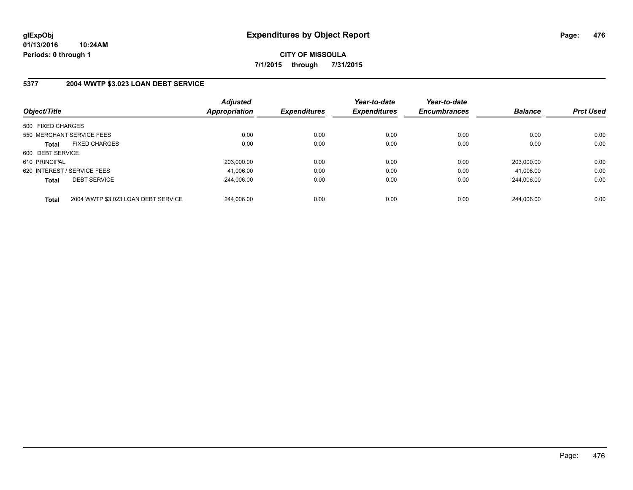## **5377 2004 WWTP \$3.023 LOAN DEBT SERVICE**

| Object/Title                |                                     | <b>Adjusted</b><br><b>Appropriation</b> | <b>Expenditures</b> | Year-to-date<br><b>Expenditures</b> | Year-to-date<br><b>Encumbrances</b> | <b>Balance</b> | <b>Prct Used</b> |
|-----------------------------|-------------------------------------|-----------------------------------------|---------------------|-------------------------------------|-------------------------------------|----------------|------------------|
| 500 FIXED CHARGES           |                                     |                                         |                     |                                     |                                     |                |                  |
| 550 MERCHANT SERVICE FEES   |                                     | 0.00                                    | 0.00                | 0.00                                | 0.00                                | 0.00           | 0.00             |
| <b>Total</b>                | <b>FIXED CHARGES</b>                | 0.00                                    | 0.00                | 0.00                                | 0.00                                | 0.00           | 0.00             |
| 600 DEBT SERVICE            |                                     |                                         |                     |                                     |                                     |                |                  |
| 610 PRINCIPAL               |                                     | 203.000.00                              | 0.00                | 0.00                                | 0.00                                | 203.000.00     | 0.00             |
| 620 INTEREST / SERVICE FEES |                                     | 41,006.00                               | 0.00                | 0.00                                | 0.00                                | 41.006.00      | 0.00             |
| <b>Total</b>                | <b>DEBT SERVICE</b>                 | 244.006.00                              | 0.00                | 0.00                                | 0.00                                | 244.006.00     | 0.00             |
| <b>Total</b>                | 2004 WWTP \$3.023 LOAN DEBT SERVICE | 244.006.00                              | 0.00                | 0.00                                | 0.00                                | 244.006.00     | 0.00             |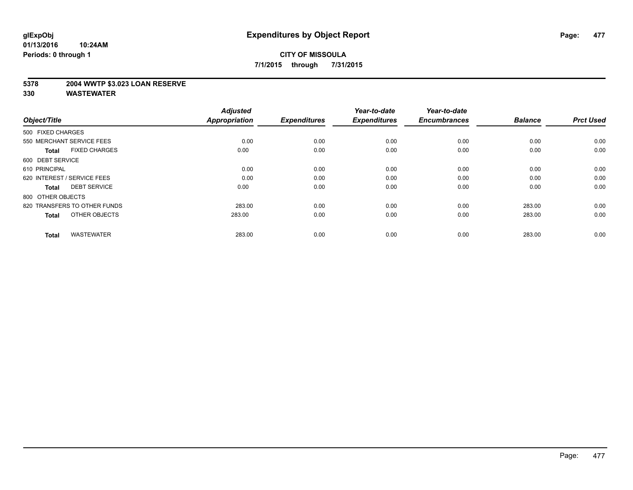### **5378 2004 WWTP \$3.023 LOAN RESERVE**

| Object/Title                         | <b>Adjusted</b><br><b>Appropriation</b> | <b>Expenditures</b> | Year-to-date<br><b>Expenditures</b> | Year-to-date<br><b>Encumbrances</b> | <b>Balance</b> | <b>Prct Used</b> |
|--------------------------------------|-----------------------------------------|---------------------|-------------------------------------|-------------------------------------|----------------|------------------|
| 500 FIXED CHARGES                    |                                         |                     |                                     |                                     |                |                  |
| 550 MERCHANT SERVICE FEES            | 0.00                                    | 0.00                | 0.00                                | 0.00                                | 0.00           | 0.00             |
| <b>FIXED CHARGES</b><br><b>Total</b> | 0.00                                    | 0.00                | 0.00                                | 0.00                                | 0.00           | 0.00             |
| 600 DEBT SERVICE                     |                                         |                     |                                     |                                     |                |                  |
| 610 PRINCIPAL                        | 0.00                                    | 0.00                | 0.00                                | 0.00                                | 0.00           | 0.00             |
| 620 INTEREST / SERVICE FEES          | 0.00                                    | 0.00                | 0.00                                | 0.00                                | 0.00           | 0.00             |
| <b>DEBT SERVICE</b><br><b>Total</b>  | 0.00                                    | 0.00                | 0.00                                | 0.00                                | 0.00           | 0.00             |
| 800 OTHER OBJECTS                    |                                         |                     |                                     |                                     |                |                  |
| 820 TRANSFERS TO OTHER FUNDS         | 283.00                                  | 0.00                | 0.00                                | 0.00                                | 283.00         | 0.00             |
| OTHER OBJECTS<br><b>Total</b>        | 283.00                                  | 0.00                | 0.00                                | 0.00                                | 283.00         | 0.00             |
|                                      |                                         |                     |                                     |                                     |                |                  |
| <b>WASTEWATER</b><br><b>Total</b>    | 283.00                                  | 0.00                | 0.00                                | 0.00                                | 283.00         | 0.00             |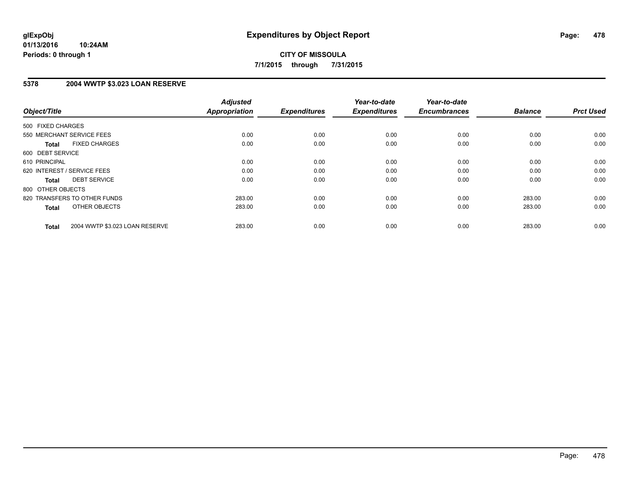## **5378 2004 WWTP \$3.023 LOAN RESERVE**

| Object/Title                                   | <b>Adjusted</b><br><b>Appropriation</b> | <b>Expenditures</b> | Year-to-date<br><b>Expenditures</b> | Year-to-date<br><b>Encumbrances</b> | <b>Balance</b> | <b>Prct Used</b> |
|------------------------------------------------|-----------------------------------------|---------------------|-------------------------------------|-------------------------------------|----------------|------------------|
|                                                |                                         |                     |                                     |                                     |                |                  |
| 500 FIXED CHARGES                              |                                         |                     |                                     |                                     |                |                  |
| 550 MERCHANT SERVICE FEES                      | 0.00                                    | 0.00                | 0.00                                | 0.00                                | 0.00           | 0.00             |
| <b>FIXED CHARGES</b><br>Total                  | 0.00                                    | 0.00                | 0.00                                | 0.00                                | 0.00           | 0.00             |
| 600 DEBT SERVICE                               |                                         |                     |                                     |                                     |                |                  |
| 610 PRINCIPAL                                  | 0.00                                    | 0.00                | 0.00                                | 0.00                                | 0.00           | 0.00             |
| 620 INTEREST / SERVICE FEES                    | 0.00                                    | 0.00                | 0.00                                | 0.00                                | 0.00           | 0.00             |
| <b>DEBT SERVICE</b><br><b>Total</b>            | 0.00                                    | 0.00                | 0.00                                | 0.00                                | 0.00           | 0.00             |
| 800 OTHER OBJECTS                              |                                         |                     |                                     |                                     |                |                  |
| 820 TRANSFERS TO OTHER FUNDS                   | 283.00                                  | 0.00                | 0.00                                | 0.00                                | 283.00         | 0.00             |
| OTHER OBJECTS<br><b>Total</b>                  | 283.00                                  | 0.00                | 0.00                                | 0.00                                | 283.00         | 0.00             |
|                                                |                                         |                     |                                     |                                     |                |                  |
| 2004 WWTP \$3.023 LOAN RESERVE<br><b>Total</b> | 283.00                                  | 0.00                | 0.00                                | 0.00                                | 283.00         | 0.00             |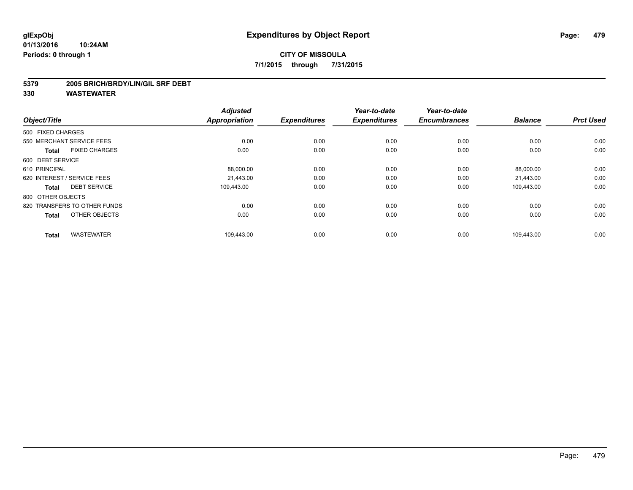#### **5379 2005 BRICH/BRDY/LIN/GIL SRF DEBT**

| Object/Title                         | <b>Adjusted</b><br><b>Appropriation</b> | <b>Expenditures</b> | Year-to-date<br><b>Expenditures</b> | Year-to-date<br><b>Encumbrances</b> | <b>Balance</b> | <b>Prct Used</b> |
|--------------------------------------|-----------------------------------------|---------------------|-------------------------------------|-------------------------------------|----------------|------------------|
| 500 FIXED CHARGES                    |                                         |                     |                                     |                                     |                |                  |
| 550 MERCHANT SERVICE FEES            | 0.00                                    | 0.00                | 0.00                                | 0.00                                | 0.00           | 0.00             |
| <b>FIXED CHARGES</b><br><b>Total</b> | 0.00                                    | 0.00                | 0.00                                | 0.00                                | 0.00           | 0.00             |
| 600 DEBT SERVICE                     |                                         |                     |                                     |                                     |                |                  |
| 610 PRINCIPAL                        | 88,000.00                               | 0.00                | 0.00                                | 0.00                                | 88,000.00      | 0.00             |
| 620 INTEREST / SERVICE FEES          | 21.443.00                               | 0.00                | 0.00                                | 0.00                                | 21,443.00      | 0.00             |
| <b>DEBT SERVICE</b><br><b>Total</b>  | 109.443.00                              | 0.00                | 0.00                                | 0.00                                | 109,443.00     | 0.00             |
| 800 OTHER OBJECTS                    |                                         |                     |                                     |                                     |                |                  |
| 820 TRANSFERS TO OTHER FUNDS         | 0.00                                    | 0.00                | 0.00                                | 0.00                                | 0.00           | 0.00             |
| OTHER OBJECTS<br><b>Total</b>        | 0.00                                    | 0.00                | 0.00                                | 0.00                                | 0.00           | 0.00             |
| <b>WASTEWATER</b><br><b>Total</b>    | 109,443.00                              | 0.00                | 0.00                                | 0.00                                | 109,443.00     | 0.00             |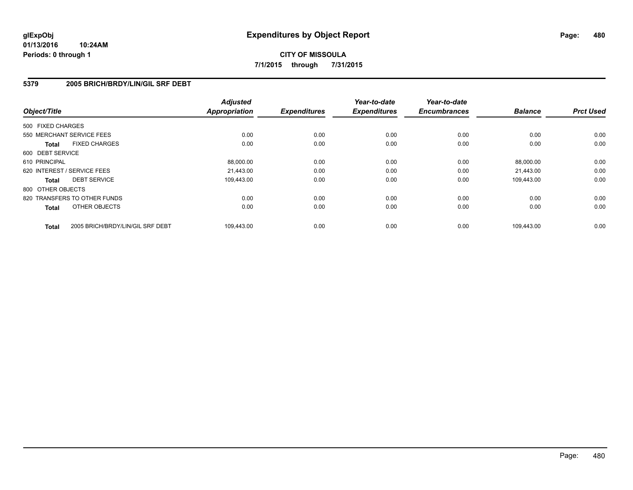### **5379 2005 BRICH/BRDY/LIN/GIL SRF DEBT**

| Object/Title                 |                                  | <b>Adjusted</b><br><b>Appropriation</b> | <b>Expenditures</b> | Year-to-date<br><b>Expenditures</b> | Year-to-date<br><b>Encumbrances</b> | <b>Balance</b> | <b>Prct Used</b> |
|------------------------------|----------------------------------|-----------------------------------------|---------------------|-------------------------------------|-------------------------------------|----------------|------------------|
| 500 FIXED CHARGES            |                                  |                                         |                     |                                     |                                     |                |                  |
| 550 MERCHANT SERVICE FEES    |                                  | 0.00                                    | 0.00                | 0.00                                | 0.00                                | 0.00           | 0.00             |
| <b>Total</b>                 | <b>FIXED CHARGES</b>             | 0.00                                    | 0.00                | 0.00                                | 0.00                                | 0.00           | 0.00             |
| 600 DEBT SERVICE             |                                  |                                         |                     |                                     |                                     |                |                  |
| 610 PRINCIPAL                |                                  | 88,000.00                               | 0.00                | 0.00                                | 0.00                                | 88,000.00      | 0.00             |
| 620 INTEREST / SERVICE FEES  |                                  | 21.443.00                               | 0.00                | 0.00                                | 0.00                                | 21,443.00      | 0.00             |
| <b>Total</b>                 | <b>DEBT SERVICE</b>              | 109.443.00                              | 0.00                | 0.00                                | 0.00                                | 109,443.00     | 0.00             |
| 800 OTHER OBJECTS            |                                  |                                         |                     |                                     |                                     |                |                  |
| 820 TRANSFERS TO OTHER FUNDS |                                  | 0.00                                    | 0.00                | 0.00                                | 0.00                                | 0.00           | 0.00             |
| <b>Total</b>                 | OTHER OBJECTS                    | 0.00                                    | 0.00                | 0.00                                | 0.00                                | 0.00           | 0.00             |
| <b>Total</b>                 | 2005 BRICH/BRDY/LIN/GIL SRF DEBT | 109,443.00                              | 0.00                | 0.00                                | 0.00                                | 109.443.00     | 0.00             |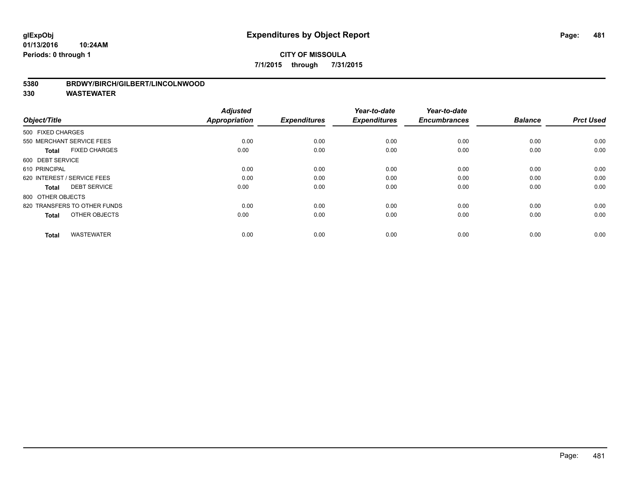#### **01/13/2016 10:24AM Periods: 0 through 1**

## **CITY OF MISSOULA 7/1/2015 through 7/31/2015**

### **5380 BRDWY/BIRCH/GILBERT/LINCOLNWOOD**

| Object/Title                         | <b>Adjusted</b><br><b>Appropriation</b> | <b>Expenditures</b> | Year-to-date<br><b>Expenditures</b> | Year-to-date<br><b>Encumbrances</b> | <b>Balance</b> | <b>Prct Used</b> |
|--------------------------------------|-----------------------------------------|---------------------|-------------------------------------|-------------------------------------|----------------|------------------|
| 500 FIXED CHARGES                    |                                         |                     |                                     |                                     |                |                  |
| 550 MERCHANT SERVICE FEES            | 0.00                                    | 0.00                | 0.00                                | 0.00                                | 0.00           | 0.00             |
| <b>FIXED CHARGES</b><br><b>Total</b> | 0.00                                    | 0.00                | 0.00                                | 0.00                                | 0.00           | 0.00             |
| 600 DEBT SERVICE                     |                                         |                     |                                     |                                     |                |                  |
| 610 PRINCIPAL                        | 0.00                                    | 0.00                | 0.00                                | 0.00                                | 0.00           | 0.00             |
| 620 INTEREST / SERVICE FEES          | 0.00                                    | 0.00                | 0.00                                | 0.00                                | 0.00           | 0.00             |
| <b>DEBT SERVICE</b><br><b>Total</b>  | 0.00                                    | 0.00                | 0.00                                | 0.00                                | 0.00           | 0.00             |
| 800 OTHER OBJECTS                    |                                         |                     |                                     |                                     |                |                  |
| 820 TRANSFERS TO OTHER FUNDS         | 0.00                                    | 0.00                | 0.00                                | 0.00                                | 0.00           | 0.00             |
| OTHER OBJECTS<br><b>Total</b>        | 0.00                                    | 0.00                | 0.00                                | 0.00                                | 0.00           | 0.00             |
|                                      |                                         |                     |                                     |                                     |                |                  |
| <b>WASTEWATER</b><br><b>Total</b>    | 0.00                                    | 0.00                | 0.00                                | 0.00                                | 0.00           | 0.00             |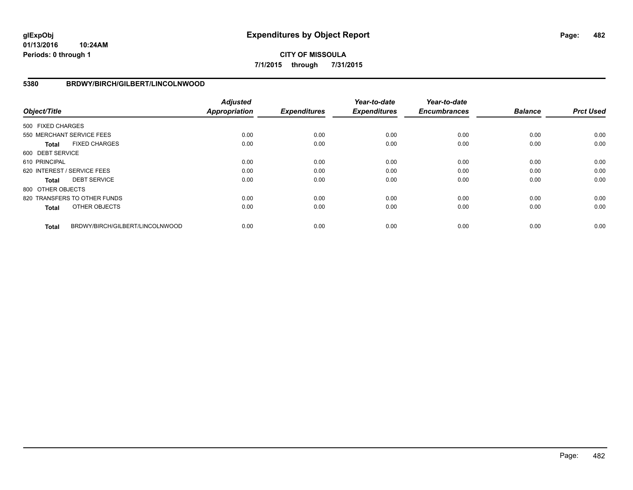**01/13/2016 10:24AM Periods: 0 through 1**

# **CITY OF MISSOULA 7/1/2015 through 7/31/2015**

## **5380 BRDWY/BIRCH/GILBERT/LINCOLNWOOD**

| Object/Title      |                                 | <b>Adjusted</b><br><b>Appropriation</b> | <b>Expenditures</b> | Year-to-date<br><b>Expenditures</b> | Year-to-date<br><b>Encumbrances</b> | <b>Balance</b> | <b>Prct Used</b> |
|-------------------|---------------------------------|-----------------------------------------|---------------------|-------------------------------------|-------------------------------------|----------------|------------------|
| 500 FIXED CHARGES |                                 |                                         |                     |                                     |                                     |                |                  |
|                   | 550 MERCHANT SERVICE FEES       | 0.00                                    | 0.00                | 0.00                                | 0.00                                | 0.00           | 0.00             |
| Total             | <b>FIXED CHARGES</b>            | 0.00                                    | 0.00                | 0.00                                | 0.00                                | 0.00           | 0.00             |
| 600 DEBT SERVICE  |                                 |                                         |                     |                                     |                                     |                |                  |
| 610 PRINCIPAL     |                                 | 0.00                                    | 0.00                | 0.00                                | 0.00                                | 0.00           | 0.00             |
|                   | 620 INTEREST / SERVICE FEES     | 0.00                                    | 0.00                | 0.00                                | 0.00                                | 0.00           | 0.00             |
| Total             | <b>DEBT SERVICE</b>             | 0.00                                    | 0.00                | 0.00                                | 0.00                                | 0.00           | 0.00             |
| 800 OTHER OBJECTS |                                 |                                         |                     |                                     |                                     |                |                  |
|                   | 820 TRANSFERS TO OTHER FUNDS    | 0.00                                    | 0.00                | 0.00                                | 0.00                                | 0.00           | 0.00             |
| <b>Total</b>      | OTHER OBJECTS                   | 0.00                                    | 0.00                | 0.00                                | 0.00                                | 0.00           | 0.00             |
| <b>Total</b>      | BRDWY/BIRCH/GILBERT/LINCOLNWOOD | 0.00                                    | 0.00                | 0.00                                | 0.00                                | 0.00           | 0.00             |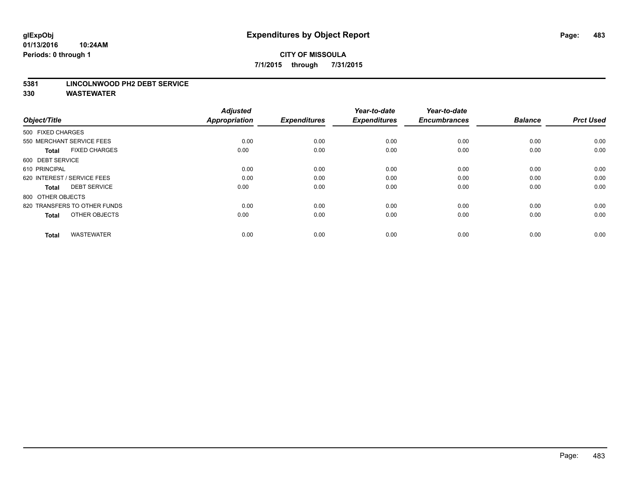#### **5381 LINCOLNWOOD PH2 DEBT SERVICE**

| Object/Title                         | <b>Adjusted</b><br><b>Appropriation</b> | <b>Expenditures</b> | Year-to-date<br><b>Expenditures</b> | Year-to-date<br><b>Encumbrances</b> | <b>Balance</b> | <b>Prct Used</b> |
|--------------------------------------|-----------------------------------------|---------------------|-------------------------------------|-------------------------------------|----------------|------------------|
| 500 FIXED CHARGES                    |                                         |                     |                                     |                                     |                |                  |
| 550 MERCHANT SERVICE FEES            | 0.00                                    | 0.00                | 0.00                                | 0.00                                | 0.00           | 0.00             |
| <b>FIXED CHARGES</b><br><b>Total</b> | 0.00                                    | 0.00                | 0.00                                | 0.00                                | 0.00           | 0.00             |
| 600 DEBT SERVICE                     |                                         |                     |                                     |                                     |                |                  |
| 610 PRINCIPAL                        | 0.00                                    | 0.00                | 0.00                                | 0.00                                | 0.00           | 0.00             |
| 620 INTEREST / SERVICE FEES          | 0.00                                    | 0.00                | 0.00                                | 0.00                                | 0.00           | 0.00             |
| <b>DEBT SERVICE</b><br><b>Total</b>  | 0.00                                    | 0.00                | 0.00                                | 0.00                                | 0.00           | 0.00             |
| 800 OTHER OBJECTS                    |                                         |                     |                                     |                                     |                |                  |
| 820 TRANSFERS TO OTHER FUNDS         | 0.00                                    | 0.00                | 0.00                                | 0.00                                | 0.00           | 0.00             |
| OTHER OBJECTS<br><b>Total</b>        | 0.00                                    | 0.00                | 0.00                                | 0.00                                | 0.00           | 0.00             |
|                                      |                                         |                     |                                     |                                     |                |                  |
| <b>WASTEWATER</b><br><b>Total</b>    | 0.00                                    | 0.00                | 0.00                                | 0.00                                | 0.00           | 0.00             |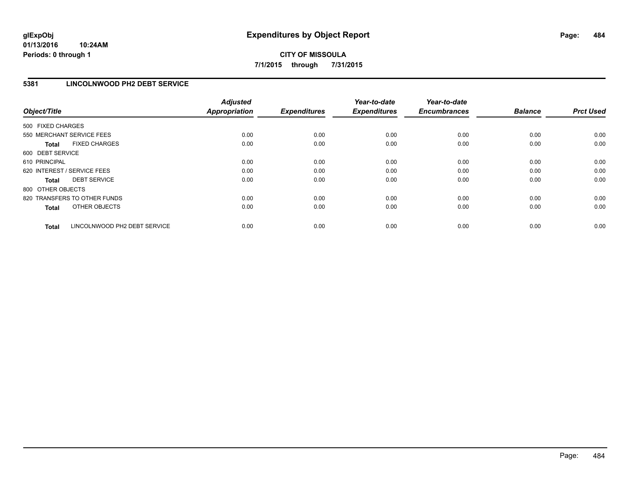## **5381 LINCOLNWOOD PH2 DEBT SERVICE**

| Object/Title                 |                              | <b>Adjusted</b><br><b>Appropriation</b> | <b>Expenditures</b> | Year-to-date<br><b>Expenditures</b> | Year-to-date<br><b>Encumbrances</b> | <b>Balance</b> | <b>Prct Used</b> |
|------------------------------|------------------------------|-----------------------------------------|---------------------|-------------------------------------|-------------------------------------|----------------|------------------|
| 500 FIXED CHARGES            |                              |                                         |                     |                                     |                                     |                |                  |
| 550 MERCHANT SERVICE FEES    |                              | 0.00                                    | 0.00                | 0.00                                | 0.00                                | 0.00           | 0.00             |
| <b>Total</b>                 | <b>FIXED CHARGES</b>         | 0.00                                    | 0.00                | 0.00                                | 0.00                                | 0.00           | 0.00             |
| 600 DEBT SERVICE             |                              |                                         |                     |                                     |                                     |                |                  |
| 610 PRINCIPAL                |                              | 0.00                                    | 0.00                | 0.00                                | 0.00                                | 0.00           | 0.00             |
| 620 INTEREST / SERVICE FEES  |                              | 0.00                                    | 0.00                | 0.00                                | 0.00                                | 0.00           | 0.00             |
| Total                        | <b>DEBT SERVICE</b>          | 0.00                                    | 0.00                | 0.00                                | 0.00                                | 0.00           | 0.00             |
| 800 OTHER OBJECTS            |                              |                                         |                     |                                     |                                     |                |                  |
| 820 TRANSFERS TO OTHER FUNDS |                              | 0.00                                    | 0.00                | 0.00                                | 0.00                                | 0.00           | 0.00             |
| <b>Total</b>                 | OTHER OBJECTS                | 0.00                                    | 0.00                | 0.00                                | 0.00                                | 0.00           | 0.00             |
| <b>Total</b>                 | LINCOLNWOOD PH2 DEBT SERVICE | 0.00                                    | 0.00                | 0.00                                | 0.00                                | 0.00           | 0.00             |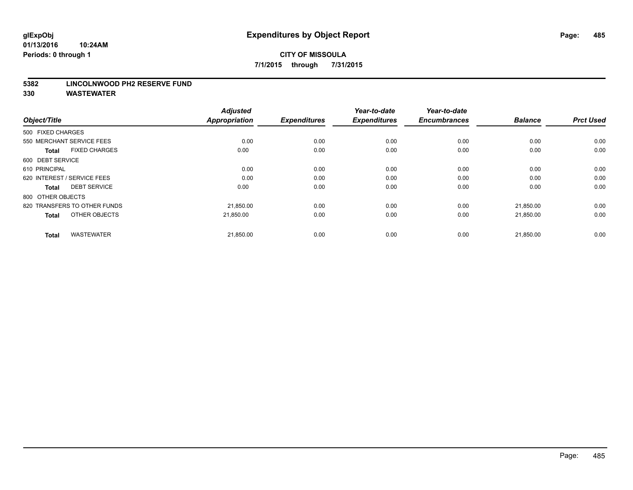#### **5382 LINCOLNWOOD PH2 RESERVE FUND**

| Object/Title                         | <b>Adjusted</b><br><b>Appropriation</b> | <b>Expenditures</b> | Year-to-date<br><b>Expenditures</b> | Year-to-date<br><b>Encumbrances</b> | <b>Balance</b> | <b>Prct Used</b> |
|--------------------------------------|-----------------------------------------|---------------------|-------------------------------------|-------------------------------------|----------------|------------------|
| 500 FIXED CHARGES                    |                                         |                     |                                     |                                     |                |                  |
| 550 MERCHANT SERVICE FEES            | 0.00                                    | 0.00                | 0.00                                | 0.00                                | 0.00           | 0.00             |
| <b>FIXED CHARGES</b><br><b>Total</b> | 0.00                                    | 0.00                | 0.00                                | 0.00                                | 0.00           | 0.00             |
| 600 DEBT SERVICE                     |                                         |                     |                                     |                                     |                |                  |
| 610 PRINCIPAL                        | 0.00                                    | 0.00                | 0.00                                | 0.00                                | 0.00           | 0.00             |
| 620 INTEREST / SERVICE FEES          | 0.00                                    | 0.00                | 0.00                                | 0.00                                | 0.00           | 0.00             |
| <b>DEBT SERVICE</b><br><b>Total</b>  | 0.00                                    | 0.00                | 0.00                                | 0.00                                | 0.00           | 0.00             |
| 800 OTHER OBJECTS                    |                                         |                     |                                     |                                     |                |                  |
| 820 TRANSFERS TO OTHER FUNDS         | 21,850.00                               | 0.00                | 0.00                                | 0.00                                | 21,850.00      | 0.00             |
| OTHER OBJECTS<br><b>Total</b>        | 21.850.00                               | 0.00                | 0.00                                | 0.00                                | 21,850.00      | 0.00             |
|                                      |                                         |                     |                                     |                                     |                |                  |
| <b>WASTEWATER</b><br><b>Total</b>    | 21,850.00                               | 0.00                | 0.00                                | 0.00                                | 21,850.00      | 0.00             |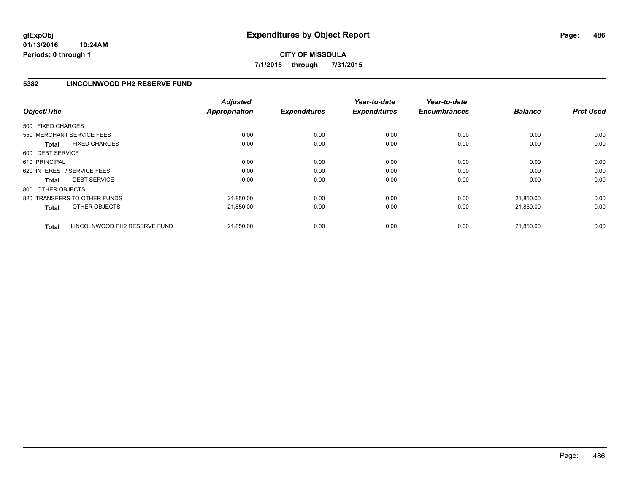## **5382 LINCOLNWOOD PH2 RESERVE FUND**

| Object/Title                                 | <b>Adjusted</b><br><b>Appropriation</b> | <b>Expenditures</b> | Year-to-date<br><b>Expenditures</b> | Year-to-date<br><b>Encumbrances</b> | <b>Balance</b> | <b>Prct Used</b> |
|----------------------------------------------|-----------------------------------------|---------------------|-------------------------------------|-------------------------------------|----------------|------------------|
| 500 FIXED CHARGES                            |                                         |                     |                                     |                                     |                |                  |
| 550 MERCHANT SERVICE FEES                    | 0.00                                    | 0.00                | 0.00                                | 0.00                                | 0.00           | 0.00             |
| <b>FIXED CHARGES</b><br><b>Total</b>         | 0.00                                    | 0.00                | 0.00                                | 0.00                                | 0.00           | 0.00             |
| 600 DEBT SERVICE                             |                                         |                     |                                     |                                     |                |                  |
| 610 PRINCIPAL                                | 0.00                                    | 0.00                | 0.00                                | 0.00                                | 0.00           | 0.00             |
| 620 INTEREST / SERVICE FEES                  | 0.00                                    | 0.00                | 0.00                                | 0.00                                | 0.00           | 0.00             |
| <b>DEBT SERVICE</b><br><b>Total</b>          | 0.00                                    | 0.00                | 0.00                                | 0.00                                | 0.00           | 0.00             |
| 800 OTHER OBJECTS                            |                                         |                     |                                     |                                     |                |                  |
| 820 TRANSFERS TO OTHER FUNDS                 | 21,850.00                               | 0.00                | 0.00                                | 0.00                                | 21.850.00      | 0.00             |
| OTHER OBJECTS<br><b>Total</b>                | 21,850.00                               | 0.00                | 0.00                                | 0.00                                | 21,850.00      | 0.00             |
| LINCOLNWOOD PH2 RESERVE FUND<br><b>Total</b> | 21,850.00                               | 0.00                | 0.00                                | 0.00                                | 21.850.00      | 0.00             |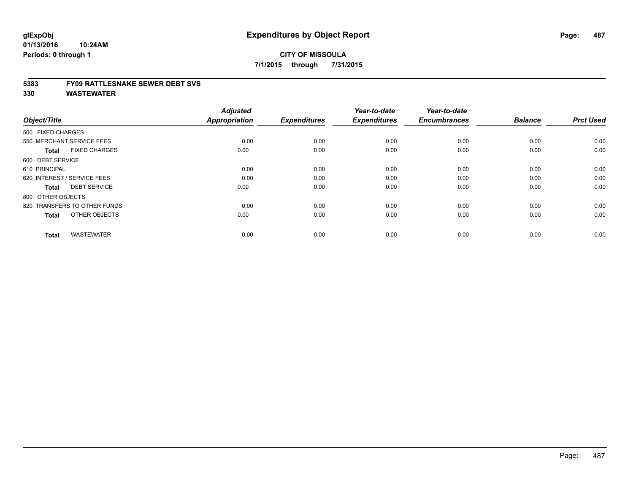#### **5383 FY09 RATTLESNAKE SEWER DEBT SVS**

| Object/Title                         | <b>Adjusted</b><br><b>Appropriation</b> | <b>Expenditures</b> | Year-to-date<br><b>Expenditures</b> | Year-to-date<br><b>Encumbrances</b> | <b>Balance</b> | <b>Prct Used</b> |
|--------------------------------------|-----------------------------------------|---------------------|-------------------------------------|-------------------------------------|----------------|------------------|
| 500 FIXED CHARGES                    |                                         |                     |                                     |                                     |                |                  |
| 550 MERCHANT SERVICE FEES            | 0.00                                    | 0.00                | 0.00                                | 0.00                                | 0.00           | 0.00             |
| <b>FIXED CHARGES</b><br><b>Total</b> | 0.00                                    | 0.00                | 0.00                                | 0.00                                | 0.00           | 0.00             |
| 600 DEBT SERVICE                     |                                         |                     |                                     |                                     |                |                  |
| 610 PRINCIPAL                        | 0.00                                    | 0.00                | 0.00                                | 0.00                                | 0.00           | 0.00             |
| 620 INTEREST / SERVICE FEES          | 0.00                                    | 0.00                | 0.00                                | 0.00                                | 0.00           | 0.00             |
| <b>DEBT SERVICE</b><br><b>Total</b>  | 0.00                                    | 0.00                | 0.00                                | 0.00                                | 0.00           | 0.00             |
| 800 OTHER OBJECTS                    |                                         |                     |                                     |                                     |                |                  |
| 820 TRANSFERS TO OTHER FUNDS         | 0.00                                    | 0.00                | 0.00                                | 0.00                                | 0.00           | 0.00             |
| OTHER OBJECTS<br><b>Total</b>        | 0.00                                    | 0.00                | 0.00                                | 0.00                                | 0.00           | 0.00             |
|                                      |                                         |                     |                                     |                                     |                |                  |
| <b>WASTEWATER</b><br><b>Total</b>    | 0.00                                    | 0.00                | 0.00                                | 0.00                                | 0.00           | 0.00             |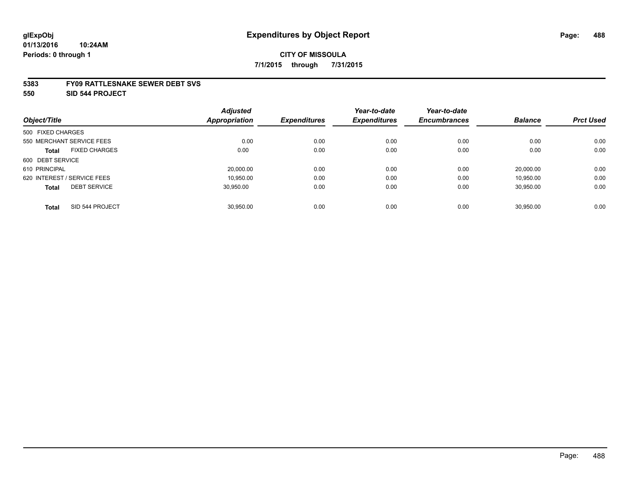#### **5383 FY09 RATTLESNAKE SEWER DEBT SVS**

**550 SID 544 PROJECT**

|                                      | <b>Adjusted</b> |                     | Year-to-date        | Year-to-date        |                |                  |
|--------------------------------------|-----------------|---------------------|---------------------|---------------------|----------------|------------------|
| Object/Title                         | Appropriation   | <b>Expenditures</b> | <b>Expenditures</b> | <b>Encumbrances</b> | <b>Balance</b> | <b>Prct Used</b> |
| 500 FIXED CHARGES                    |                 |                     |                     |                     |                |                  |
| 550 MERCHANT SERVICE FEES            | 0.00            | 0.00                | 0.00                | 0.00                | 0.00           | 0.00             |
| <b>FIXED CHARGES</b><br><b>Total</b> | 0.00            | 0.00                | 0.00                | 0.00                | 0.00           | 0.00             |
| 600 DEBT SERVICE                     |                 |                     |                     |                     |                |                  |
| 610 PRINCIPAL                        | 20,000.00       | 0.00                | 0.00                | 0.00                | 20.000.00      | 0.00             |
| 620 INTEREST / SERVICE FEES          | 10.950.00       | 0.00                | 0.00                | 0.00                | 10.950.00      | 0.00             |
| <b>DEBT SERVICE</b><br><b>Total</b>  | 30.950.00       | 0.00                | 0.00                | 0.00                | 30,950.00      | 0.00             |
| SID 544 PROJECT<br><b>Total</b>      | 30.950.00       | 0.00                | 0.00                | 0.00                | 30.950.00      | 0.00             |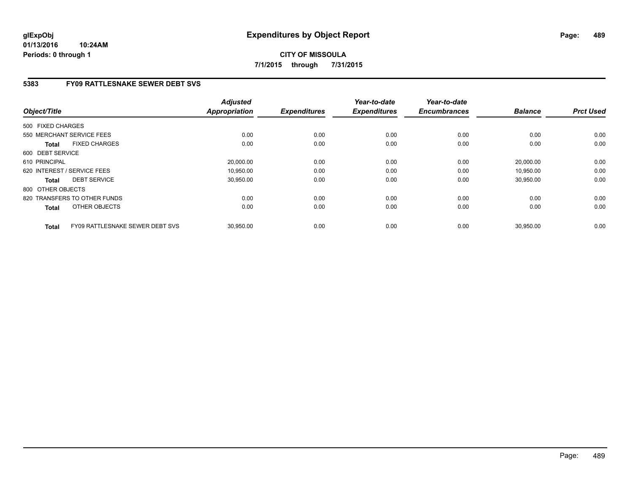**01/13/2016 10:24AM Periods: 0 through 1**

# **CITY OF MISSOULA 7/1/2015 through 7/31/2015**

## **5383 FY09 RATTLESNAKE SEWER DEBT SVS**

| Object/Title                                    | <b>Adjusted</b><br><b>Appropriation</b> | <b>Expenditures</b> | Year-to-date<br><b>Expenditures</b> | Year-to-date<br><b>Encumbrances</b> | <b>Balance</b> | <b>Prct Used</b> |
|-------------------------------------------------|-----------------------------------------|---------------------|-------------------------------------|-------------------------------------|----------------|------------------|
| 500 FIXED CHARGES                               |                                         |                     |                                     |                                     |                |                  |
| 550 MERCHANT SERVICE FEES                       | 0.00                                    | 0.00                | 0.00                                | 0.00                                | 0.00           | 0.00             |
| <b>FIXED CHARGES</b><br><b>Total</b>            | 0.00                                    | 0.00                | 0.00                                | 0.00                                | 0.00           | 0.00             |
| 600 DEBT SERVICE                                |                                         |                     |                                     |                                     |                |                  |
| 610 PRINCIPAL                                   | 20,000.00                               | 0.00                | 0.00                                | 0.00                                | 20,000.00      | 0.00             |
| 620 INTEREST / SERVICE FEES                     | 10,950.00                               | 0.00                | 0.00                                | 0.00                                | 10,950.00      | 0.00             |
| <b>DEBT SERVICE</b><br><b>Total</b>             | 30,950.00                               | 0.00                | 0.00                                | 0.00                                | 30,950.00      | 0.00             |
| 800 OTHER OBJECTS                               |                                         |                     |                                     |                                     |                |                  |
| 820 TRANSFERS TO OTHER FUNDS                    | 0.00                                    | 0.00                | 0.00                                | 0.00                                | 0.00           | 0.00             |
| OTHER OBJECTS<br><b>Total</b>                   | 0.00                                    | 0.00                | 0.00                                | 0.00                                | 0.00           | 0.00             |
| FY09 RATTLESNAKE SEWER DEBT SVS<br><b>Total</b> | 30,950.00                               | 0.00                | 0.00                                | 0.00                                | 30,950.00      | 0.00             |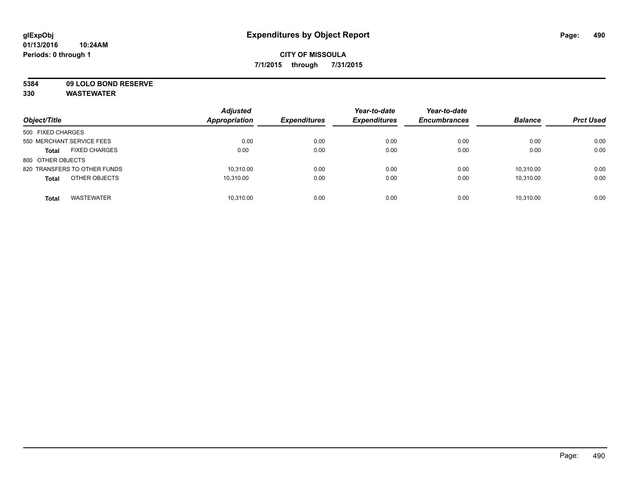**5384 09 LOLO BOND RESERVE**

| Object/Title                         | <b>Adjusted</b><br><b>Appropriation</b> | <b>Expenditures</b> | Year-to-date<br><b>Expenditures</b> | Year-to-date<br><b>Encumbrances</b> | <b>Balance</b> | <b>Prct Used</b> |
|--------------------------------------|-----------------------------------------|---------------------|-------------------------------------|-------------------------------------|----------------|------------------|
| 500 FIXED CHARGES                    |                                         |                     |                                     |                                     |                |                  |
| 550 MERCHANT SERVICE FEES            | 0.00                                    | 0.00                | 0.00                                | 0.00                                | 0.00           | 0.00             |
| <b>FIXED CHARGES</b><br><b>Total</b> | 0.00                                    | 0.00                | 0.00                                | 0.00                                | 0.00           | 0.00             |
| 800 OTHER OBJECTS                    |                                         |                     |                                     |                                     |                |                  |
| 820 TRANSFERS TO OTHER FUNDS         | 10.310.00                               | 0.00                | 0.00                                | 0.00                                | 10.310.00      | 0.00             |
| OTHER OBJECTS<br><b>Total</b>        | 10.310.00                               | 0.00                | 0.00                                | 0.00                                | 10.310.00      | 0.00             |
| <b>WASTEWATER</b><br><b>Total</b>    | 10.310.00                               | 0.00                | 0.00                                | 0.00                                | 10.310.00      | 0.00             |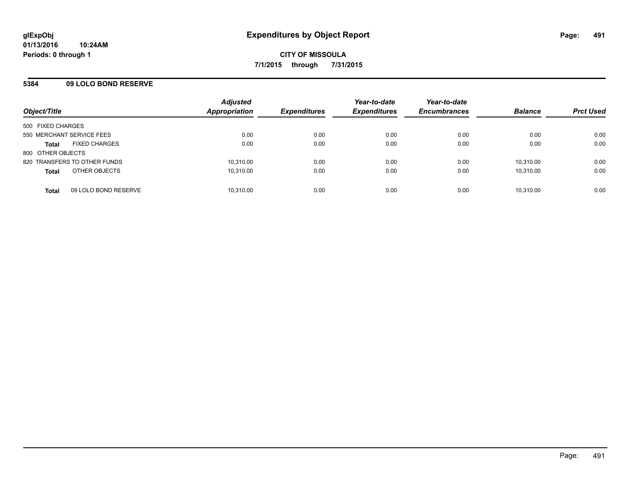## **5384 09 LOLO BOND RESERVE**

| Object/Title                         | <b>Adjusted</b><br>Appropriation | <b>Expenditures</b> | Year-to-date<br><b>Expenditures</b> | Year-to-date<br><b>Encumbrances</b> | <b>Balance</b> | <b>Prct Used</b> |
|--------------------------------------|----------------------------------|---------------------|-------------------------------------|-------------------------------------|----------------|------------------|
| 500 FIXED CHARGES                    |                                  |                     |                                     |                                     |                |                  |
| 550 MERCHANT SERVICE FEES            | 0.00                             | 0.00                | 0.00                                | 0.00                                | 0.00           | 0.00             |
| <b>FIXED CHARGES</b><br><b>Total</b> | 0.00                             | 0.00                | 0.00                                | 0.00                                | 0.00           | 0.00             |
| 800 OTHER OBJECTS                    |                                  |                     |                                     |                                     |                |                  |
| 820 TRANSFERS TO OTHER FUNDS         | 10,310.00                        | 0.00                | 0.00                                | 0.00                                | 10,310.00      | 0.00             |
| OTHER OBJECTS<br><b>Total</b>        | 10.310.00                        | 0.00                | 0.00                                | 0.00                                | 10.310.00      | 0.00             |
| 09 LOLO BOND RESERVE<br><b>Total</b> | 10,310.00                        | 0.00                | 0.00                                | 0.00                                | 10,310.00      | 0.00             |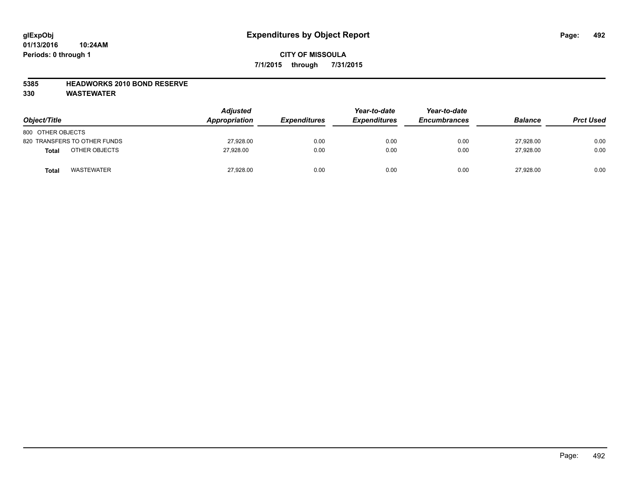### **5385 HEADWORKS 2010 BOND RESERVE**

| Object/Title                      | <b>Adjusted</b><br>Appropriation | <b>Expenditures</b> | Year-to-date<br><b>Expenditures</b> | Year-to-date<br><b>Encumbrances</b> | <b>Balance</b> | <b>Prct Used</b> |
|-----------------------------------|----------------------------------|---------------------|-------------------------------------|-------------------------------------|----------------|------------------|
| 800 OTHER OBJECTS                 |                                  |                     |                                     |                                     |                |                  |
| 820 TRANSFERS TO OTHER FUNDS      | 27,928.00                        | 0.00                | 0.00                                | 0.00                                | 27.928.00      | 0.00             |
| OTHER OBJECTS<br><b>Total</b>     | 27.928.00                        | 0.00                | 0.00                                | 0.00                                | 27.928.00      | 0.00             |
| <b>WASTEWATER</b><br><b>Total</b> | 27,928.00                        | 0.00                | 0.00                                | 0.00                                | 27,928.00      | 0.00             |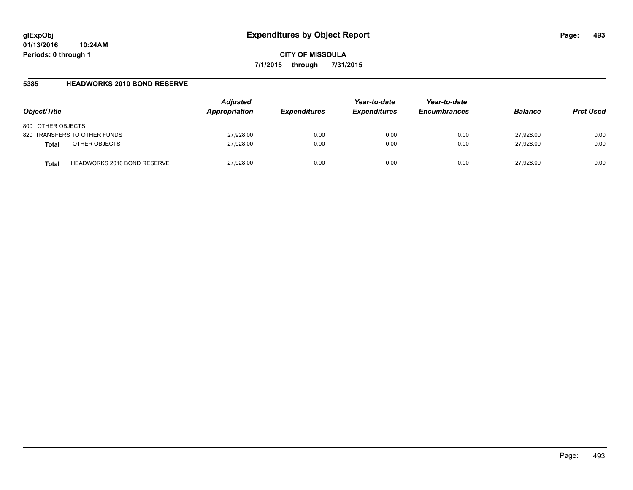### **5385 HEADWORKS 2010 BOND RESERVE**

| Object/Title                                | <b>Adjusted</b><br>Appropriation | <i><b>Expenditures</b></i> | Year-to-date<br><b>Expenditures</b> | Year-to-date<br><b>Encumbrances</b> | <b>Balance</b> | <b>Prct Used</b> |
|---------------------------------------------|----------------------------------|----------------------------|-------------------------------------|-------------------------------------|----------------|------------------|
| 800 OTHER OBJECTS                           |                                  |                            |                                     |                                     |                |                  |
| 820 TRANSFERS TO OTHER FUNDS                | 27,928.00                        | 0.00                       | 0.00                                | 0.00                                | 27,928.00      | 0.00             |
| OTHER OBJECTS<br><b>Total</b>               | 27,928.00                        | 0.00                       | 0.00                                | 0.00                                | 27,928.00      | 0.00             |
| <b>HEADWORKS 2010 BOND RESERVE</b><br>Total | 27,928.00                        | 0.00                       | 0.00                                | 0.00                                | 27.928.00      | 0.00             |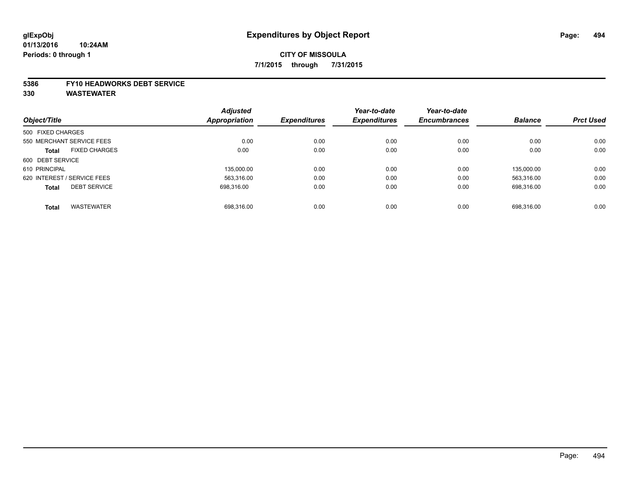#### **5386 FY10 HEADWORKS DEBT SERVICE**

|                                      | <b>Adjusted</b> |                     | Year-to-date        | Year-to-date        |                |                  |
|--------------------------------------|-----------------|---------------------|---------------------|---------------------|----------------|------------------|
| Object/Title                         | Appropriation   | <b>Expenditures</b> | <b>Expenditures</b> | <b>Encumbrances</b> | <b>Balance</b> | <b>Prct Used</b> |
| 500 FIXED CHARGES                    |                 |                     |                     |                     |                |                  |
| 550 MERCHANT SERVICE FEES            | 0.00            | 0.00                | 0.00                | 0.00                | 0.00           | 0.00             |
| <b>FIXED CHARGES</b><br><b>Total</b> | 0.00            | 0.00                | 0.00                | 0.00                | 0.00           | 0.00             |
| 600 DEBT SERVICE                     |                 |                     |                     |                     |                |                  |
| 610 PRINCIPAL                        | 135,000.00      | 0.00                | 0.00                | 0.00                | 135.000.00     | 0.00             |
| 620 INTEREST / SERVICE FEES          | 563.316.00      | 0.00                | 0.00                | 0.00                | 563.316.00     | 0.00             |
| <b>DEBT SERVICE</b><br><b>Total</b>  | 698.316.00      | 0.00                | 0.00                | 0.00                | 698.316.00     | 0.00             |
| <b>WASTEWATER</b><br><b>Total</b>    | 698.316.00      | 0.00                | 0.00                | 0.00                | 698.316.00     | 0.00             |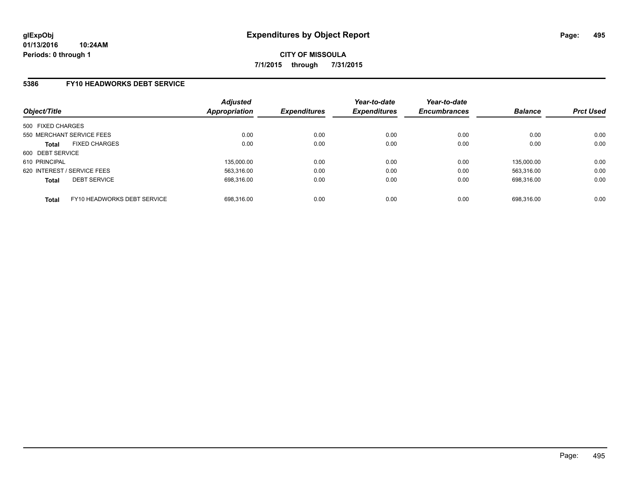### **5386 FY10 HEADWORKS DEBT SERVICE**

| Object/Title                                | <b>Adjusted</b><br><b>Appropriation</b> | <b>Expenditures</b> | Year-to-date<br><b>Expenditures</b> | Year-to-date<br><b>Encumbrances</b> | <b>Balance</b> | <b>Prct Used</b> |
|---------------------------------------------|-----------------------------------------|---------------------|-------------------------------------|-------------------------------------|----------------|------------------|
| 500 FIXED CHARGES                           |                                         |                     |                                     |                                     |                |                  |
| 550 MERCHANT SERVICE FEES                   | 0.00                                    | 0.00                | 0.00                                | 0.00                                | 0.00           | 0.00             |
| <b>FIXED CHARGES</b><br><b>Total</b>        | 0.00                                    | 0.00                | 0.00                                | 0.00                                | 0.00           | 0.00             |
| 600 DEBT SERVICE                            |                                         |                     |                                     |                                     |                |                  |
| 610 PRINCIPAL                               | 135.000.00                              | 0.00                | 0.00                                | 0.00                                | 135.000.00     | 0.00             |
| 620 INTEREST / SERVICE FEES                 | 563.316.00                              | 0.00                | 0.00                                | 0.00                                | 563.316.00     | 0.00             |
| <b>DEBT SERVICE</b><br><b>Total</b>         | 698.316.00                              | 0.00                | 0.00                                | 0.00                                | 698.316.00     | 0.00             |
| FY10 HEADWORKS DEBT SERVICE<br><b>Total</b> | 698.316.00                              | 0.00                | 0.00                                | 0.00                                | 698.316.00     | 0.00             |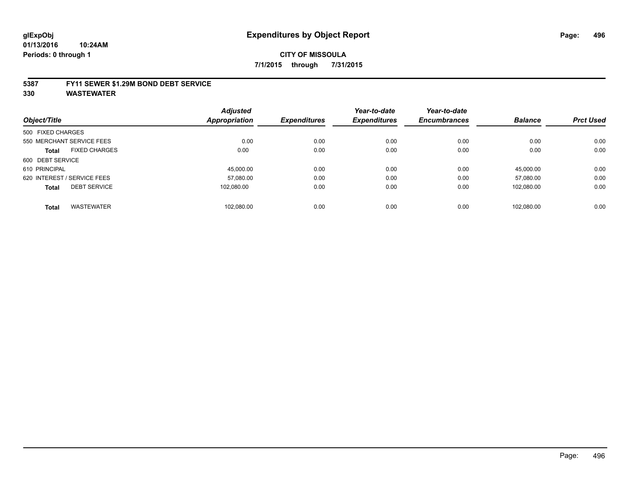#### **5387 FY11 SEWER \$1.29M BOND DEBT SERVICE**

|                   |                             | <b>Adjusted</b> |                     | Year-to-date        | Year-to-date        |                |                  |
|-------------------|-----------------------------|-----------------|---------------------|---------------------|---------------------|----------------|------------------|
| Object/Title      |                             | Appropriation   | <b>Expenditures</b> | <b>Expenditures</b> | <b>Encumbrances</b> | <b>Balance</b> | <b>Prct Used</b> |
| 500 FIXED CHARGES |                             |                 |                     |                     |                     |                |                  |
|                   | 550 MERCHANT SERVICE FEES   | 0.00            | 0.00                | 0.00                | 0.00                | 0.00           | 0.00             |
| Total             | <b>FIXED CHARGES</b>        | 0.00            | 0.00                | 0.00                | 0.00                | 0.00           | 0.00             |
| 600 DEBT SERVICE  |                             |                 |                     |                     |                     |                |                  |
| 610 PRINCIPAL     |                             | 45.000.00       | 0.00                | 0.00                | 0.00                | 45.000.00      | 0.00             |
|                   | 620 INTEREST / SERVICE FEES | 57.080.00       | 0.00                | 0.00                | 0.00                | 57.080.00      | 0.00             |
| <b>Total</b>      | <b>DEBT SERVICE</b>         | 102.080.00      | 0.00                | 0.00                | 0.00                | 102.080.00     | 0.00             |
|                   |                             |                 |                     |                     |                     |                |                  |
| <b>Total</b>      | <b>WASTEWATER</b>           | 102.080.00      | 0.00                | 0.00                | 0.00                | 102.080.00     | 0.00             |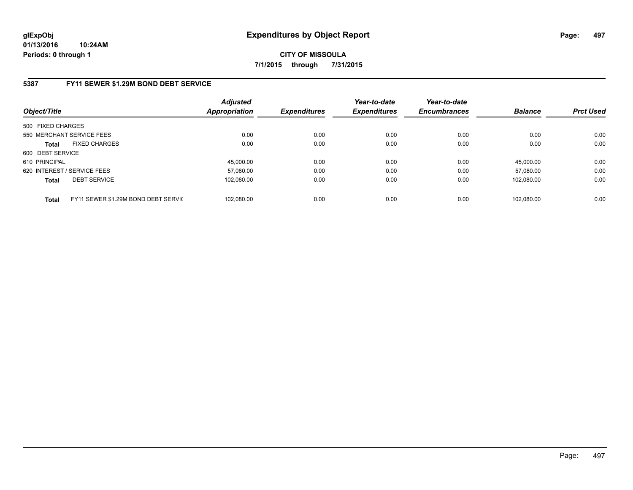## **5387 FY11 SEWER \$1.29M BOND DEBT SERVICE**

| Object/Title                |                                     | <b>Adjusted</b><br><b>Appropriation</b> | <b>Expenditures</b> | Year-to-date<br><b>Expenditures</b> | Year-to-date<br><b>Encumbrances</b> | <b>Balance</b> | <b>Prct Used</b> |
|-----------------------------|-------------------------------------|-----------------------------------------|---------------------|-------------------------------------|-------------------------------------|----------------|------------------|
| 500 FIXED CHARGES           |                                     |                                         |                     |                                     |                                     |                |                  |
|                             | 550 MERCHANT SERVICE FEES           | 0.00                                    | 0.00                | 0.00                                | 0.00                                | 0.00           | 0.00             |
| <b>Total</b>                | <b>FIXED CHARGES</b>                | 0.00                                    | 0.00                | 0.00                                | 0.00                                | 0.00           | 0.00             |
| 600 DEBT SERVICE            |                                     |                                         |                     |                                     |                                     |                |                  |
| 610 PRINCIPAL               |                                     | 45.000.00                               | 0.00                | 0.00                                | 0.00                                | 45.000.00      | 0.00             |
| 620 INTEREST / SERVICE FEES |                                     | 57.080.00                               | 0.00                | 0.00                                | 0.00                                | 57.080.00      | 0.00             |
| <b>Total</b>                | <b>DEBT SERVICE</b>                 | 102.080.00                              | 0.00                | 0.00                                | 0.00                                | 102.080.00     | 0.00             |
| <b>Total</b>                | FY11 SEWER \$1.29M BOND DEBT SERVIC | 102.080.00                              | 0.00                | 0.00                                | 0.00                                | 102.080.00     | 0.00             |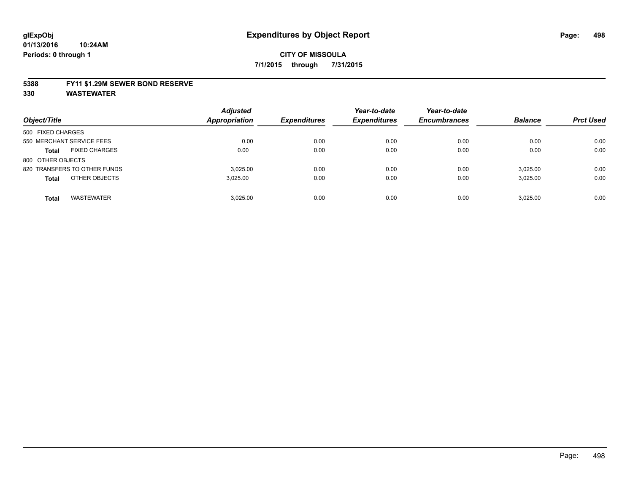#### **5388 FY11 \$1.29M SEWER BOND RESERVE**

| Object/Title                         | <b>Adjusted</b><br><b>Appropriation</b> | <b>Expenditures</b> | Year-to-date<br><b>Expenditures</b> | Year-to-date<br><b>Encumbrances</b> | <b>Balance</b> | <b>Prct Used</b> |
|--------------------------------------|-----------------------------------------|---------------------|-------------------------------------|-------------------------------------|----------------|------------------|
| 500 FIXED CHARGES                    |                                         |                     |                                     |                                     |                |                  |
| 550 MERCHANT SERVICE FEES            | 0.00                                    | 0.00                | 0.00                                | 0.00                                | 0.00           | 0.00             |
| <b>FIXED CHARGES</b><br><b>Total</b> | 0.00                                    | 0.00                | 0.00                                | 0.00                                | 0.00           | 0.00             |
| 800 OTHER OBJECTS                    |                                         |                     |                                     |                                     |                |                  |
| 820 TRANSFERS TO OTHER FUNDS         | 3.025.00                                | 0.00                | 0.00                                | 0.00                                | 3,025.00       | 0.00             |
| OTHER OBJECTS<br><b>Total</b>        | 3.025.00                                | 0.00                | 0.00                                | 0.00                                | 3,025.00       | 0.00             |
| <b>WASTEWATER</b><br><b>Total</b>    | 3.025.00                                | 0.00                | 0.00                                | 0.00                                | 3.025.00       | 0.00             |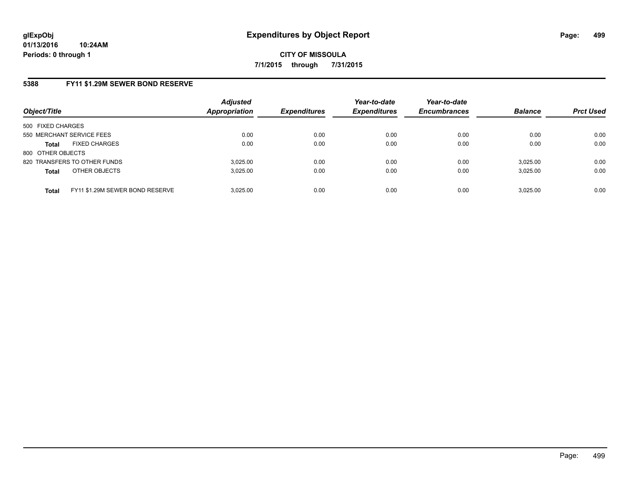# **5388 FY11 \$1.29M SEWER BOND RESERVE**

| Object/Title              |                                 | <b>Adjusted</b><br>Appropriation | <b>Expenditures</b> | Year-to-date<br><b>Expenditures</b> | Year-to-date<br><b>Encumbrances</b> | <b>Balance</b> | <b>Prct Used</b> |
|---------------------------|---------------------------------|----------------------------------|---------------------|-------------------------------------|-------------------------------------|----------------|------------------|
| 500 FIXED CHARGES         |                                 |                                  |                     |                                     |                                     |                |                  |
| 550 MERCHANT SERVICE FEES |                                 | 0.00                             | 0.00                | 0.00                                | 0.00                                | 0.00           | 0.00             |
| <b>Total</b>              | <b>FIXED CHARGES</b>            | 0.00                             | 0.00                | 0.00                                | 0.00                                | 0.00           | 0.00             |
| 800 OTHER OBJECTS         |                                 |                                  |                     |                                     |                                     |                |                  |
|                           | 820 TRANSFERS TO OTHER FUNDS    | 3.025.00                         | 0.00                | 0.00                                | 0.00                                | 3.025.00       | 0.00             |
| <b>Total</b>              | OTHER OBJECTS                   | 3.025.00                         | 0.00                | 0.00                                | 0.00                                | 3,025.00       | 0.00             |
| <b>Total</b>              | FY11 \$1.29M SEWER BOND RESERVE | 3.025.00                         | 0.00                | 0.00                                | 0.00                                | 3.025.00       | 0.00             |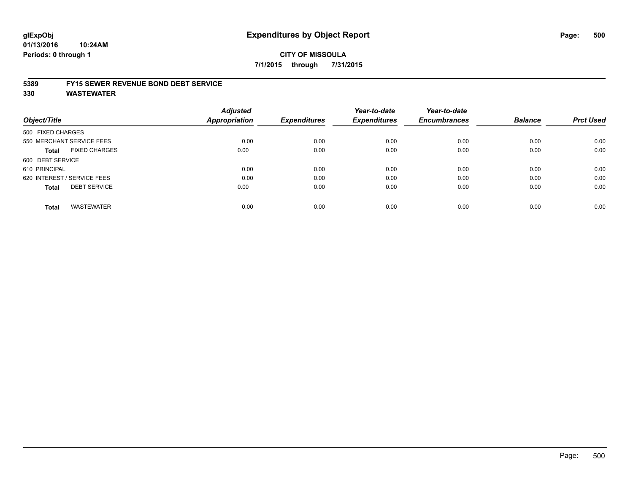#### **01/13/2016 10:24AM Periods: 0 through 1**

### **CITY OF MISSOULA 7/1/2015 through 7/31/2015**

#### **5389 FY15 SEWER REVENUE BOND DEBT SERVICE**

| Object/Title      |                             | <b>Adjusted</b><br><b>Appropriation</b> | <b>Expenditures</b> | Year-to-date<br><b>Expenditures</b> | Year-to-date<br><b>Encumbrances</b> | <b>Balance</b> | <b>Prct Used</b> |
|-------------------|-----------------------------|-----------------------------------------|---------------------|-------------------------------------|-------------------------------------|----------------|------------------|
| 500 FIXED CHARGES |                             |                                         |                     |                                     |                                     |                |                  |
|                   | 550 MERCHANT SERVICE FEES   | 0.00                                    | 0.00                | 0.00                                | 0.00                                | 0.00           | 0.00             |
| <b>Total</b>      | <b>FIXED CHARGES</b>        | 0.00                                    | 0.00                | 0.00                                | 0.00                                | 0.00           | 0.00             |
| 600 DEBT SERVICE  |                             |                                         |                     |                                     |                                     |                |                  |
| 610 PRINCIPAL     |                             | 0.00                                    | 0.00                | 0.00                                | 0.00                                | 0.00           | 0.00             |
|                   | 620 INTEREST / SERVICE FEES | 0.00                                    | 0.00                | 0.00                                | 0.00                                | 0.00           | 0.00             |
| <b>Total</b>      | <b>DEBT SERVICE</b>         | 0.00                                    | 0.00                | 0.00                                | 0.00                                | 0.00           | 0.00             |
| <b>Total</b>      | <b>WASTEWATER</b>           | 0.00                                    | 0.00                | 0.00                                | 0.00                                | 0.00           | 0.00             |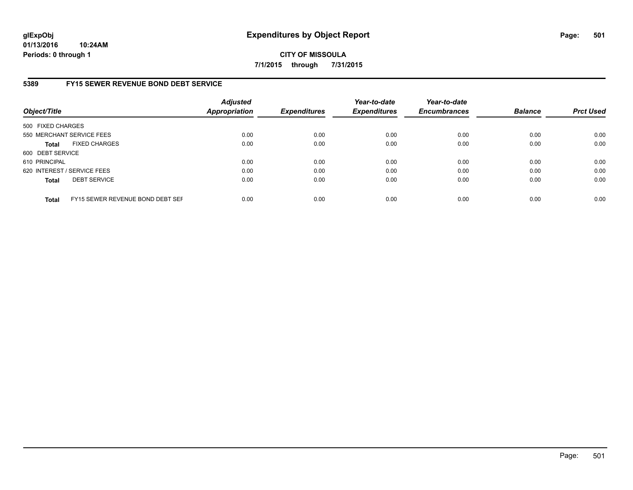**01/13/2016 10:24AM Periods: 0 through 1**

**CITY OF MISSOULA 7/1/2015 through 7/31/2015**

## **5389 FY15 SEWER REVENUE BOND DEBT SERVICE**

| Object/Title                |                                  | <b>Adjusted</b><br><b>Appropriation</b> | <b>Expenditures</b> | Year-to-date<br><b>Expenditures</b> | Year-to-date<br><b>Encumbrances</b> | <b>Balance</b> | <b>Prct Used</b> |
|-----------------------------|----------------------------------|-----------------------------------------|---------------------|-------------------------------------|-------------------------------------|----------------|------------------|
| 500 FIXED CHARGES           |                                  |                                         |                     |                                     |                                     |                |                  |
|                             | 550 MERCHANT SERVICE FEES        | 0.00                                    | 0.00                | 0.00                                | 0.00                                | 0.00           | 0.00             |
| <b>Total</b>                | <b>FIXED CHARGES</b>             | 0.00                                    | 0.00                | 0.00                                | 0.00                                | 0.00           | 0.00             |
| 600 DEBT SERVICE            |                                  |                                         |                     |                                     |                                     |                |                  |
| 610 PRINCIPAL               |                                  | 0.00                                    | 0.00                | 0.00                                | 0.00                                | 0.00           | 0.00             |
| 620 INTEREST / SERVICE FEES |                                  | 0.00                                    | 0.00                | 0.00                                | 0.00                                | 0.00           | 0.00             |
| <b>Total</b>                | <b>DEBT SERVICE</b>              | 0.00                                    | 0.00                | 0.00                                | 0.00                                | 0.00           | 0.00             |
| <b>Total</b>                | FY15 SEWER REVENUE BOND DEBT SEF | 0.00                                    | 0.00                | 0.00                                | 0.00                                | 0.00           | 0.00             |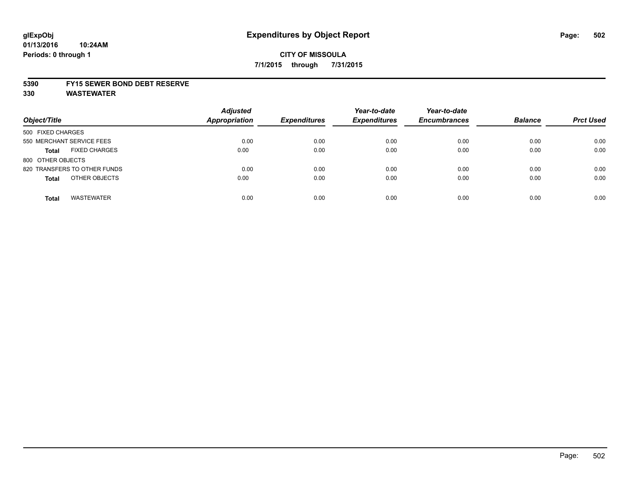#### **5390 FY15 SEWER BOND DEBT RESERVE**

| Object/Title                         | <b>Adjusted</b><br><b>Appropriation</b> | <b>Expenditures</b> | Year-to-date<br><b>Expenditures</b> | Year-to-date<br><b>Encumbrances</b> | <b>Balance</b> | <b>Prct Used</b> |
|--------------------------------------|-----------------------------------------|---------------------|-------------------------------------|-------------------------------------|----------------|------------------|
| 500 FIXED CHARGES                    |                                         |                     |                                     |                                     |                |                  |
| 550 MERCHANT SERVICE FEES            | 0.00                                    | 0.00                | 0.00                                | 0.00                                | 0.00           | 0.00             |
| <b>FIXED CHARGES</b><br><b>Total</b> | 0.00                                    | 0.00                | 0.00                                | 0.00                                | 0.00           | 0.00             |
| 800 OTHER OBJECTS                    |                                         |                     |                                     |                                     |                |                  |
| 820 TRANSFERS TO OTHER FUNDS         | 0.00                                    | 0.00                | 0.00                                | 0.00                                | 0.00           | 0.00             |
| OTHER OBJECTS<br><b>Total</b>        | 0.00                                    | 0.00                | 0.00                                | 0.00                                | 0.00           | 0.00             |
| <b>WASTEWATER</b><br><b>Total</b>    | 0.00                                    | 0.00                | 0.00                                | 0.00                                | 0.00           | 0.00             |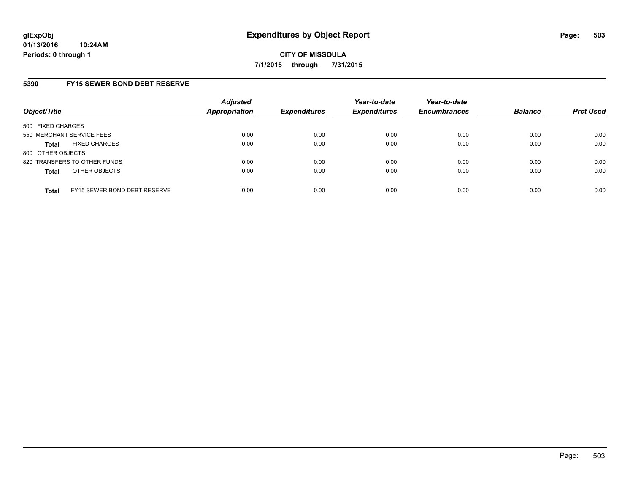## **5390 FY15 SEWER BOND DEBT RESERVE**

| Object/Title              |                              | <b>Adjusted</b><br><b>Appropriation</b> | <b>Expenditures</b> | Year-to-date<br><b>Expenditures</b> | Year-to-date<br><b>Encumbrances</b> | <b>Balance</b> | <b>Prct Used</b> |
|---------------------------|------------------------------|-----------------------------------------|---------------------|-------------------------------------|-------------------------------------|----------------|------------------|
| 500 FIXED CHARGES         |                              |                                         |                     |                                     |                                     |                |                  |
| 550 MERCHANT SERVICE FEES |                              | 0.00                                    | 0.00                | 0.00                                | 0.00                                | 0.00           | 0.00             |
| Total                     | <b>FIXED CHARGES</b>         | 0.00                                    | 0.00                | 0.00                                | 0.00                                | 0.00           | 0.00             |
| 800 OTHER OBJECTS         |                              |                                         |                     |                                     |                                     |                |                  |
|                           | 820 TRANSFERS TO OTHER FUNDS | 0.00                                    | 0.00                | 0.00                                | 0.00                                | 0.00           | 0.00             |
| <b>Total</b>              | OTHER OBJECTS                | 0.00                                    | 0.00                | 0.00                                | 0.00                                | 0.00           | 0.00             |
| <b>Total</b>              | FY15 SEWER BOND DEBT RESERVE | 0.00                                    | 0.00                | 0.00                                | 0.00                                | 0.00           | 0.00             |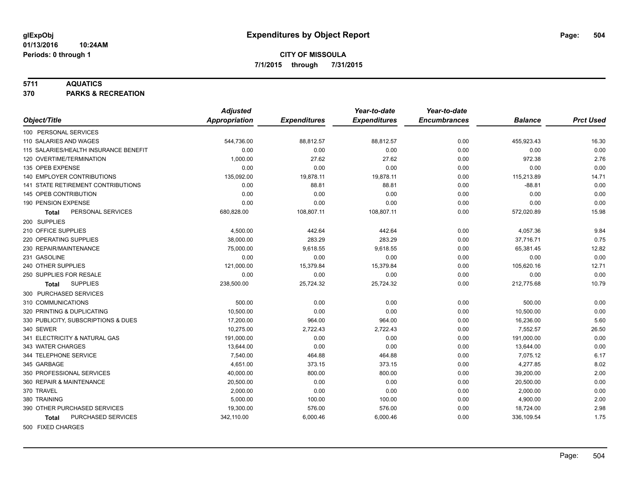#### **5711 AQUATICS**

**370 PARKS & RECREATION**

|                                       | <b>Adjusted</b>      |                     | Year-to-date        | Year-to-date        |                |                  |
|---------------------------------------|----------------------|---------------------|---------------------|---------------------|----------------|------------------|
| Object/Title                          | <b>Appropriation</b> | <b>Expenditures</b> | <b>Expenditures</b> | <b>Encumbrances</b> | <b>Balance</b> | <b>Prct Used</b> |
| 100 PERSONAL SERVICES                 |                      |                     |                     |                     |                |                  |
| 110 SALARIES AND WAGES                | 544,736.00           | 88,812.57           | 88,812.57           | 0.00                | 455,923.43     | 16.30            |
| 115 SALARIES/HEALTH INSURANCE BENEFIT | 0.00                 | 0.00                | 0.00                | 0.00                | 0.00           | 0.00             |
| 120 OVERTIME/TERMINATION              | 1,000.00             | 27.62               | 27.62               | 0.00                | 972.38         | 2.76             |
| 135 OPEB EXPENSE                      | 0.00                 | 0.00                | 0.00                | 0.00                | 0.00           | 0.00             |
| 140 EMPLOYER CONTRIBUTIONS            | 135,092.00           | 19,878.11           | 19,878.11           | 0.00                | 115,213.89     | 14.71            |
| 141 STATE RETIREMENT CONTRIBUTIONS    | 0.00                 | 88.81               | 88.81               | 0.00                | $-88.81$       | 0.00             |
| 145 OPEB CONTRIBUTION                 | 0.00                 | 0.00                | 0.00                | 0.00                | 0.00           | 0.00             |
| 190 PENSION EXPENSE                   | 0.00                 | 0.00                | 0.00                | 0.00                | 0.00           | 0.00             |
| PERSONAL SERVICES<br><b>Total</b>     | 680,828.00           | 108,807.11          | 108,807.11          | 0.00                | 572,020.89     | 15.98            |
| 200 SUPPLIES                          |                      |                     |                     |                     |                |                  |
| 210 OFFICE SUPPLIES                   | 4,500.00             | 442.64              | 442.64              | 0.00                | 4,057.36       | 9.84             |
| 220 OPERATING SUPPLIES                | 38,000.00            | 283.29              | 283.29              | 0.00                | 37,716.71      | 0.75             |
| 230 REPAIR/MAINTENANCE                | 75,000.00            | 9,618.55            | 9,618.55            | 0.00                | 65,381.45      | 12.82            |
| 231 GASOLINE                          | 0.00                 | 0.00                | 0.00                | 0.00                | 0.00           | 0.00             |
| 240 OTHER SUPPLIES                    | 121,000.00           | 15,379.84           | 15,379.84           | 0.00                | 105,620.16     | 12.71            |
| 250 SUPPLIES FOR RESALE               | 0.00                 | 0.00                | 0.00                | 0.00                | 0.00           | 0.00             |
| <b>SUPPLIES</b><br><b>Total</b>       | 238,500.00           | 25,724.32           | 25,724.32           | 0.00                | 212,775.68     | 10.79            |
| 300 PURCHASED SERVICES                |                      |                     |                     |                     |                |                  |
| 310 COMMUNICATIONS                    | 500.00               | 0.00                | 0.00                | 0.00                | 500.00         | 0.00             |
| 320 PRINTING & DUPLICATING            | 10,500.00            | 0.00                | 0.00                | 0.00                | 10,500.00      | 0.00             |
| 330 PUBLICITY, SUBSCRIPTIONS & DUES   | 17,200.00            | 964.00              | 964.00              | 0.00                | 16,236.00      | 5.60             |
| 340 SEWER                             | 10.275.00            | 2,722.43            | 2,722.43            | 0.00                | 7.552.57       | 26.50            |
| 341 ELECTRICITY & NATURAL GAS         | 191,000.00           | 0.00                | 0.00                | 0.00                | 191,000.00     | 0.00             |
| 343 WATER CHARGES                     | 13,644.00            | 0.00                | 0.00                | 0.00                | 13,644.00      | 0.00             |
| 344 TELEPHONE SERVICE                 | 7,540.00             | 464.88              | 464.88              | 0.00                | 7,075.12       | 6.17             |
| 345 GARBAGE                           | 4,651.00             | 373.15              | 373.15              | 0.00                | 4,277.85       | 8.02             |
| 350 PROFESSIONAL SERVICES             | 40,000.00            | 800.00              | 800.00              | 0.00                | 39,200.00      | 2.00             |
| 360 REPAIR & MAINTENANCE              | 20,500.00            | 0.00                | 0.00                | 0.00                | 20,500.00      | 0.00             |
| 370 TRAVEL                            | 2,000.00             | 0.00                | 0.00                | 0.00                | 2,000.00       | 0.00             |
| 380 TRAINING                          | 5,000.00             | 100.00              | 100.00              | 0.00                | 4,900.00       | 2.00             |
| 390 OTHER PURCHASED SERVICES          | 19,300.00            | 576.00              | 576.00              | 0.00                | 18,724.00      | 2.98             |
| PURCHASED SERVICES<br><b>Total</b>    | 342,110.00           | 6,000.46            | 6,000.46            | 0.00                | 336,109.54     | 1.75             |
| 500 FIXED CHARGES                     |                      |                     |                     |                     |                |                  |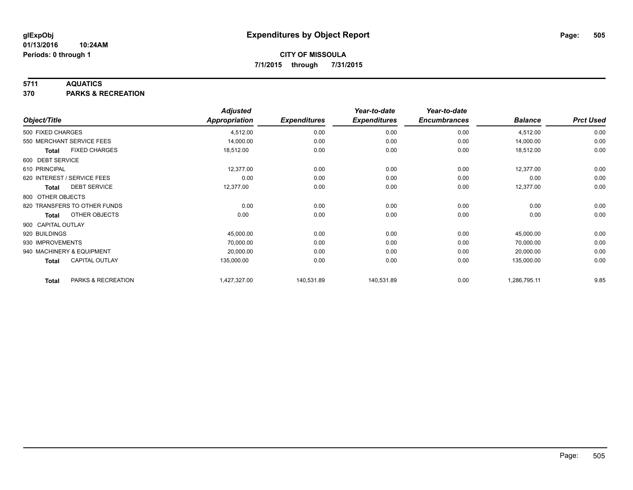### **5711 AQUATICS**

**370 PARKS & RECREATION**

|                    |                              | <b>Adjusted</b> |                     | Year-to-date        | Year-to-date        |                |                  |
|--------------------|------------------------------|-----------------|---------------------|---------------------|---------------------|----------------|------------------|
| Object/Title       |                              | Appropriation   | <b>Expenditures</b> | <b>Expenditures</b> | <b>Encumbrances</b> | <b>Balance</b> | <b>Prct Used</b> |
| 500 FIXED CHARGES  |                              | 4,512.00        | 0.00                | 0.00                | 0.00                | 4,512.00       | 0.00             |
|                    | 550 MERCHANT SERVICE FEES    | 14,000.00       | 0.00                | 0.00                | 0.00                | 14,000.00      | 0.00             |
| <b>Total</b>       | <b>FIXED CHARGES</b>         | 18,512.00       | 0.00                | 0.00                | 0.00                | 18,512.00      | 0.00             |
| 600 DEBT SERVICE   |                              |                 |                     |                     |                     |                |                  |
| 610 PRINCIPAL      |                              | 12,377.00       | 0.00                | 0.00                | 0.00                | 12,377.00      | 0.00             |
|                    | 620 INTEREST / SERVICE FEES  | 0.00            | 0.00                | 0.00                | 0.00                | 0.00           | 0.00             |
| Total              | <b>DEBT SERVICE</b>          | 12,377.00       | 0.00                | 0.00                | 0.00                | 12,377.00      | 0.00             |
| 800 OTHER OBJECTS  |                              |                 |                     |                     |                     |                |                  |
|                    | 820 TRANSFERS TO OTHER FUNDS | 0.00            | 0.00                | 0.00                | 0.00                | 0.00           | 0.00             |
| Total              | OTHER OBJECTS                | 0.00            | 0.00                | 0.00                | 0.00                | 0.00           | 0.00             |
| 900 CAPITAL OUTLAY |                              |                 |                     |                     |                     |                |                  |
| 920 BUILDINGS      |                              | 45,000.00       | 0.00                | 0.00                | 0.00                | 45,000.00      | 0.00             |
| 930 IMPROVEMENTS   |                              | 70,000.00       | 0.00                | 0.00                | 0.00                | 70,000.00      | 0.00             |
|                    | 940 MACHINERY & EQUIPMENT    | 20,000.00       | 0.00                | 0.00                | 0.00                | 20,000.00      | 0.00             |
| <b>Total</b>       | <b>CAPITAL OUTLAY</b>        | 135,000.00      | 0.00                | 0.00                | 0.00                | 135,000.00     | 0.00             |
| <b>Total</b>       | PARKS & RECREATION           | 1,427,327.00    | 140,531.89          | 140,531.89          | 0.00                | 1,286,795.11   | 9.85             |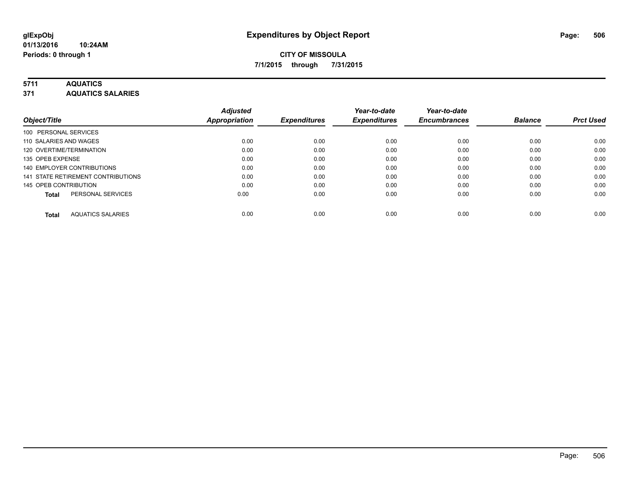### **5711 AQUATICS**

**371 AQUATICS SALARIES**

| Object/Title                             | <b>Adjusted</b><br><b>Appropriation</b> | <b>Expenditures</b> | Year-to-date<br><b>Expenditures</b> | Year-to-date<br><b>Encumbrances</b> | <b>Balance</b> | <b>Prct Used</b> |
|------------------------------------------|-----------------------------------------|---------------------|-------------------------------------|-------------------------------------|----------------|------------------|
| 100 PERSONAL SERVICES                    |                                         |                     |                                     |                                     |                |                  |
| 110 SALARIES AND WAGES                   | 0.00                                    | 0.00                | 0.00                                | 0.00                                | 0.00           | 0.00             |
| 120 OVERTIME/TERMINATION                 | 0.00                                    | 0.00                | 0.00                                | 0.00                                | 0.00           | 0.00             |
| 135 OPEB EXPENSE                         | 0.00                                    | 0.00                | 0.00                                | 0.00                                | 0.00           | 0.00             |
| 140 EMPLOYER CONTRIBUTIONS               | 0.00                                    | 0.00                | 0.00                                | 0.00                                | 0.00           | 0.00             |
| 141 STATE RETIREMENT CONTRIBUTIONS       | 0.00                                    | 0.00                | 0.00                                | 0.00                                | 0.00           | 0.00             |
| 145 OPEB CONTRIBUTION                    | 0.00                                    | 0.00                | 0.00                                | 0.00                                | 0.00           | 0.00             |
| PERSONAL SERVICES<br><b>Total</b>        | 0.00                                    | 0.00                | 0.00                                | 0.00                                | 0.00           | 0.00             |
| <b>AQUATICS SALARIES</b><br><b>Total</b> | 0.00                                    | 0.00                | 0.00                                | 0.00                                | 0.00           | 0.00             |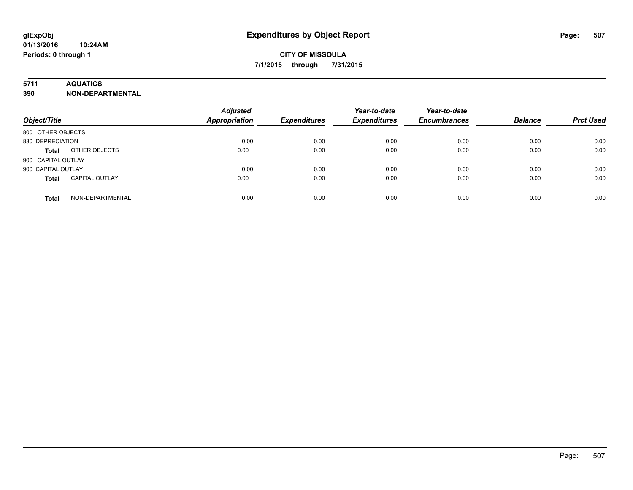### **5711 AQUATICS**

**390 NON-DEPARTMENTAL**

| Object/Title                          | <b>Adjusted</b><br>Appropriation | <b>Expenditures</b> | Year-to-date<br><b>Expenditures</b> | Year-to-date<br><b>Encumbrances</b> | <b>Balance</b> | <b>Prct Used</b> |
|---------------------------------------|----------------------------------|---------------------|-------------------------------------|-------------------------------------|----------------|------------------|
| 800 OTHER OBJECTS                     |                                  |                     |                                     |                                     |                |                  |
| 830 DEPRECIATION                      | 0.00                             | 0.00                | 0.00                                | 0.00                                | 0.00           | 0.00             |
| OTHER OBJECTS<br><b>Total</b>         | 0.00                             | 0.00                | 0.00                                | 0.00                                | 0.00           | 0.00             |
| 900 CAPITAL OUTLAY                    |                                  |                     |                                     |                                     |                |                  |
| 900 CAPITAL OUTLAY                    | 0.00                             | 0.00                | 0.00                                | 0.00                                | 0.00           | 0.00             |
| <b>CAPITAL OUTLAY</b><br><b>Total</b> | 0.00                             | 0.00                | 0.00                                | 0.00                                | 0.00           | 0.00             |
| NON-DEPARTMENTAL<br><b>Total</b>      | 0.00                             | 0.00                | 0.00                                | 0.00                                | 0.00           | 0.00             |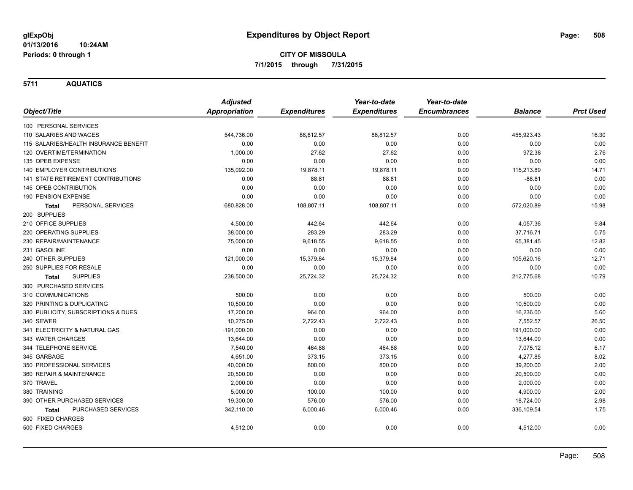**5711 AQUATICS**

|                                           | <b>Adjusted</b>      |                     | Year-to-date        | Year-to-date        |                |                  |
|-------------------------------------------|----------------------|---------------------|---------------------|---------------------|----------------|------------------|
| Object/Title                              | <b>Appropriation</b> | <b>Expenditures</b> | <b>Expenditures</b> | <b>Encumbrances</b> | <b>Balance</b> | <b>Prct Used</b> |
| 100 PERSONAL SERVICES                     |                      |                     |                     |                     |                |                  |
| 110 SALARIES AND WAGES                    | 544,736.00           | 88,812.57           | 88,812.57           | 0.00                | 455,923.43     | 16.30            |
| 115 SALARIES/HEALTH INSURANCE BENEFIT     | 0.00                 | 0.00                | 0.00                | 0.00                | 0.00           | 0.00             |
| 120 OVERTIME/TERMINATION                  | 1,000.00             | 27.62               | 27.62               | 0.00                | 972.38         | 2.76             |
| 135 OPEB EXPENSE                          | 0.00                 | 0.00                | 0.00                | 0.00                | 0.00           | 0.00             |
| 140 EMPLOYER CONTRIBUTIONS                | 135,092.00           | 19,878.11           | 19,878.11           | 0.00                | 115,213.89     | 14.71            |
| <b>141 STATE RETIREMENT CONTRIBUTIONS</b> | 0.00                 | 88.81               | 88.81               | 0.00                | $-88.81$       | 0.00             |
| 145 OPEB CONTRIBUTION                     | 0.00                 | 0.00                | 0.00                | 0.00                | 0.00           | 0.00             |
| 190 PENSION EXPENSE                       | 0.00                 | 0.00                | 0.00                | 0.00                | 0.00           | 0.00             |
| PERSONAL SERVICES<br><b>Total</b>         | 680,828.00           | 108,807.11          | 108,807.11          | 0.00                | 572,020.89     | 15.98            |
| 200 SUPPLIES                              |                      |                     |                     |                     |                |                  |
| 210 OFFICE SUPPLIES                       | 4,500.00             | 442.64              | 442.64              | 0.00                | 4,057.36       | 9.84             |
| 220 OPERATING SUPPLIES                    | 38,000.00            | 283.29              | 283.29              | 0.00                | 37,716.71      | 0.75             |
| 230 REPAIR/MAINTENANCE                    | 75,000.00            | 9,618.55            | 9,618.55            | 0.00                | 65,381.45      | 12.82            |
| 231 GASOLINE                              | 0.00                 | 0.00                | 0.00                | 0.00                | 0.00           | 0.00             |
| 240 OTHER SUPPLIES                        | 121,000.00           | 15,379.84           | 15,379.84           | 0.00                | 105,620.16     | 12.71            |
| 250 SUPPLIES FOR RESALE                   | 0.00                 | 0.00                | 0.00                | 0.00                | 0.00           | 0.00             |
| <b>SUPPLIES</b><br><b>Total</b>           | 238,500.00           | 25,724.32           | 25,724.32           | 0.00                | 212,775.68     | 10.79            |
| 300 PURCHASED SERVICES                    |                      |                     |                     |                     |                |                  |
| 310 COMMUNICATIONS                        | 500.00               | 0.00                | 0.00                | 0.00                | 500.00         | 0.00             |
| 320 PRINTING & DUPLICATING                | 10,500.00            | 0.00                | 0.00                | 0.00                | 10,500.00      | 0.00             |
| 330 PUBLICITY, SUBSCRIPTIONS & DUES       | 17,200.00            | 964.00              | 964.00              | 0.00                | 16,236.00      | 5.60             |
| 340 SEWER                                 | 10,275.00            | 2,722.43            | 2,722.43            | 0.00                | 7,552.57       | 26.50            |
| 341 ELECTRICITY & NATURAL GAS             | 191,000.00           | 0.00                | 0.00                | 0.00                | 191,000.00     | 0.00             |
| 343 WATER CHARGES                         | 13,644.00            | 0.00                | 0.00                | 0.00                | 13,644.00      | 0.00             |
| 344 TELEPHONE SERVICE                     | 7,540.00             | 464.88              | 464.88              | 0.00                | 7,075.12       | 6.17             |
| 345 GARBAGE                               | 4,651.00             | 373.15              | 373.15              | 0.00                | 4,277.85       | 8.02             |
| 350 PROFESSIONAL SERVICES                 | 40,000.00            | 800.00              | 800.00              | 0.00                | 39,200.00      | 2.00             |
| 360 REPAIR & MAINTENANCE                  | 20,500.00            | 0.00                | 0.00                | 0.00                | 20,500.00      | 0.00             |
| 370 TRAVEL                                | 2,000.00             | 0.00                | 0.00                | 0.00                | 2,000.00       | 0.00             |
| 380 TRAINING                              | 5,000.00             | 100.00              | 100.00              | 0.00                | 4,900.00       | 2.00             |
| 390 OTHER PURCHASED SERVICES              | 19,300.00            | 576.00              | 576.00              | 0.00                | 18,724.00      | 2.98             |
| <b>PURCHASED SERVICES</b><br><b>Total</b> | 342,110.00           | 6,000.46            | 6,000.46            | 0.00                | 336,109.54     | 1.75             |
| 500 FIXED CHARGES                         |                      |                     |                     |                     |                |                  |
| 500 FIXED CHARGES                         | 4,512.00             | 0.00                | 0.00                | 0.00                | 4,512.00       | 0.00             |
|                                           |                      |                     |                     |                     |                |                  |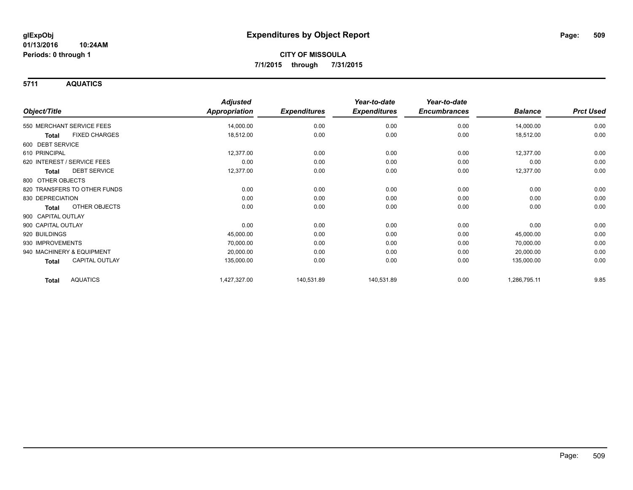**5711 AQUATICS**

|                                 | <b>Adjusted</b>      |                     | Year-to-date        | Year-to-date        |                |                  |
|---------------------------------|----------------------|---------------------|---------------------|---------------------|----------------|------------------|
| Object/Title                    | <b>Appropriation</b> | <b>Expenditures</b> | <b>Expenditures</b> | <b>Encumbrances</b> | <b>Balance</b> | <b>Prct Used</b> |
| 550 MERCHANT SERVICE FEES       | 14,000.00            | 0.00                | 0.00                | 0.00                | 14,000.00      | 0.00             |
| <b>FIXED CHARGES</b><br>Total   | 18,512.00            | 0.00                | 0.00                | 0.00                | 18,512.00      | 0.00             |
| 600 DEBT SERVICE                |                      |                     |                     |                     |                |                  |
| 610 PRINCIPAL                   | 12,377.00            | 0.00                | 0.00                | 0.00                | 12,377.00      | 0.00             |
| 620 INTEREST / SERVICE FEES     | 0.00                 | 0.00                | 0.00                | 0.00                | 0.00           | 0.00             |
| <b>DEBT SERVICE</b><br>Total    | 12,377.00            | 0.00                | 0.00                | 0.00                | 12,377.00      | 0.00             |
| 800 OTHER OBJECTS               |                      |                     |                     |                     |                |                  |
| 820 TRANSFERS TO OTHER FUNDS    | 0.00                 | 0.00                | 0.00                | 0.00                | 0.00           | 0.00             |
| 830 DEPRECIATION                | 0.00                 | 0.00                | 0.00                | 0.00                | 0.00           | 0.00             |
| OTHER OBJECTS<br>Total          | 0.00                 | 0.00                | 0.00                | 0.00                | 0.00           | 0.00             |
| 900 CAPITAL OUTLAY              |                      |                     |                     |                     |                |                  |
| 900 CAPITAL OUTLAY              | 0.00                 | 0.00                | 0.00                | 0.00                | 0.00           | 0.00             |
| 920 BUILDINGS                   | 45,000.00            | 0.00                | 0.00                | 0.00                | 45,000.00      | 0.00             |
| 930 IMPROVEMENTS                | 70,000.00            | 0.00                | 0.00                | 0.00                | 70,000.00      | 0.00             |
| 940 MACHINERY & EQUIPMENT       | 20,000.00            | 0.00                | 0.00                | 0.00                | 20,000.00      | 0.00             |
| <b>CAPITAL OUTLAY</b><br>Total  | 135,000.00           | 0.00                | 0.00                | 0.00                | 135,000.00     | 0.00             |
| <b>AQUATICS</b><br><b>Total</b> | 1,427,327.00         | 140,531.89          | 140,531.89          | 0.00                | 1,286,795.11   | 9.85             |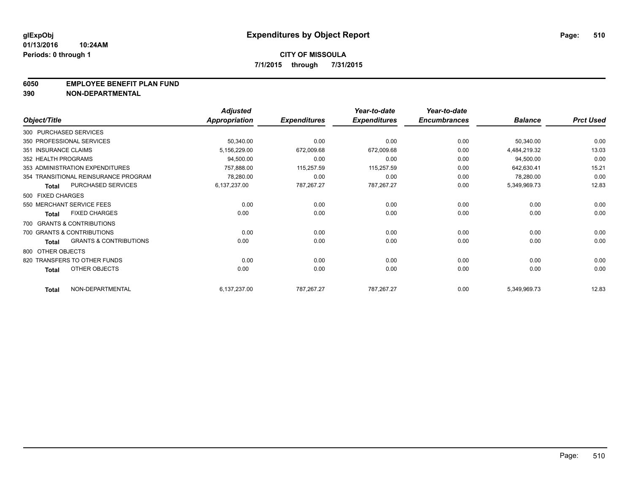#### **6050 EMPLOYEE BENEFIT PLAN FUND**

**390 NON-DEPARTMENTAL**

|                      |                                      | <b>Adjusted</b> |                     | Year-to-date        | Year-to-date        |                |                  |
|----------------------|--------------------------------------|-----------------|---------------------|---------------------|---------------------|----------------|------------------|
| Object/Title         |                                      | Appropriation   | <b>Expenditures</b> | <b>Expenditures</b> | <b>Encumbrances</b> | <b>Balance</b> | <b>Prct Used</b> |
|                      | 300 PURCHASED SERVICES               |                 |                     |                     |                     |                |                  |
|                      | 350 PROFESSIONAL SERVICES            | 50,340.00       | 0.00                | 0.00                | 0.00                | 50,340.00      | 0.00             |
| 351 INSURANCE CLAIMS |                                      | 5,156,229.00    | 672,009.68          | 672,009.68          | 0.00                | 4,484,219.32   | 13.03            |
| 352 HEALTH PROGRAMS  |                                      | 94,500.00       | 0.00                | 0.00                | 0.00                | 94,500.00      | 0.00             |
|                      | 353 ADMINISTRATION EXPENDITURES      | 757,888.00      | 115,257.59          | 115,257.59          | 0.00                | 642,630.41     | 15.21            |
|                      | 354 TRANSITIONAL REINSURANCE PROGRAM | 78,280.00       | 0.00                | 0.00                | 0.00                | 78,280.00      | 0.00             |
| <b>Total</b>         | PURCHASED SERVICES                   | 6,137,237.00    | 787,267.27          | 787,267.27          | 0.00                | 5,349,969.73   | 12.83            |
| 500 FIXED CHARGES    |                                      |                 |                     |                     |                     |                |                  |
|                      | 550 MERCHANT SERVICE FEES            | 0.00            | 0.00                | 0.00                | 0.00                | 0.00           | 0.00             |
| <b>Total</b>         | <b>FIXED CHARGES</b>                 | 0.00            | 0.00                | 0.00                | 0.00                | 0.00           | 0.00             |
|                      | 700 GRANTS & CONTRIBUTIONS           |                 |                     |                     |                     |                |                  |
|                      | 700 GRANTS & CONTRIBUTIONS           | 0.00            | 0.00                | 0.00                | 0.00                | 0.00           | 0.00             |
| <b>Total</b>         | <b>GRANTS &amp; CONTRIBUTIONS</b>    | 0.00            | 0.00                | 0.00                | 0.00                | 0.00           | 0.00             |
| 800 OTHER OBJECTS    |                                      |                 |                     |                     |                     |                |                  |
|                      | 820 TRANSFERS TO OTHER FUNDS         | 0.00            | 0.00                | 0.00                | 0.00                | 0.00           | 0.00             |
| <b>Total</b>         | OTHER OBJECTS                        | 0.00            | 0.00                | 0.00                | 0.00                | 0.00           | 0.00             |
| <b>Total</b>         | NON-DEPARTMENTAL                     | 6,137,237.00    | 787,267.27          | 787,267.27          | 0.00                | 5,349,969.73   | 12.83            |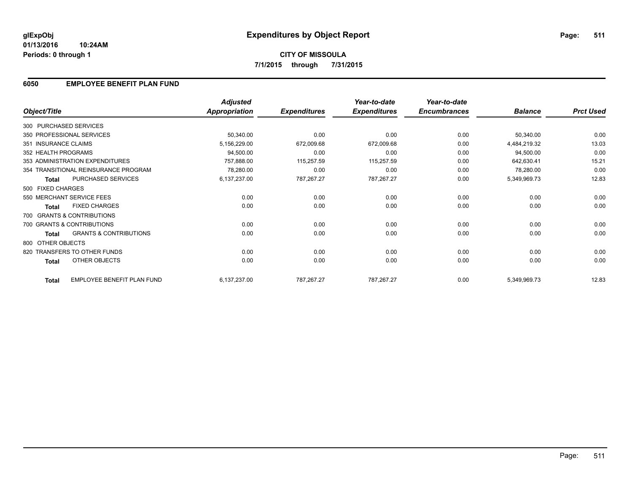## **6050 EMPLOYEE BENEFIT PLAN FUND**

|                      |                                      | <b>Adjusted</b>      |                     | Year-to-date        | Year-to-date        |                |                  |
|----------------------|--------------------------------------|----------------------|---------------------|---------------------|---------------------|----------------|------------------|
| Object/Title         |                                      | <b>Appropriation</b> | <b>Expenditures</b> | <b>Expenditures</b> | <b>Encumbrances</b> | <b>Balance</b> | <b>Prct Used</b> |
|                      | 300 PURCHASED SERVICES               |                      |                     |                     |                     |                |                  |
|                      | 350 PROFESSIONAL SERVICES            | 50,340.00            | 0.00                | 0.00                | 0.00                | 50,340.00      | 0.00             |
| 351 INSURANCE CLAIMS |                                      | 5,156,229.00         | 672,009.68          | 672,009.68          | 0.00                | 4,484,219.32   | 13.03            |
| 352 HEALTH PROGRAMS  |                                      | 94,500.00            | 0.00                | 0.00                | 0.00                | 94,500.00      | 0.00             |
|                      | 353 ADMINISTRATION EXPENDITURES      | 757,888.00           | 115,257.59          | 115,257.59          | 0.00                | 642,630.41     | 15.21            |
|                      | 354 TRANSITIONAL REINSURANCE PROGRAM | 78,280.00            | 0.00                | 0.00                | 0.00                | 78,280.00      | 0.00             |
| <b>Total</b>         | PURCHASED SERVICES                   | 6,137,237.00         | 787,267.27          | 787,267.27          | 0.00                | 5,349,969.73   | 12.83            |
| 500 FIXED CHARGES    |                                      |                      |                     |                     |                     |                |                  |
|                      | 550 MERCHANT SERVICE FEES            | 0.00                 | 0.00                | 0.00                | 0.00                | 0.00           | 0.00             |
| <b>Total</b>         | <b>FIXED CHARGES</b>                 | 0.00                 | 0.00                | 0.00                | 0.00                | 0.00           | 0.00             |
|                      | 700 GRANTS & CONTRIBUTIONS           |                      |                     |                     |                     |                |                  |
|                      | 700 GRANTS & CONTRIBUTIONS           | 0.00                 | 0.00                | 0.00                | 0.00                | 0.00           | 0.00             |
| <b>Total</b>         | <b>GRANTS &amp; CONTRIBUTIONS</b>    | 0.00                 | 0.00                | 0.00                | 0.00                | 0.00           | 0.00             |
| 800 OTHER OBJECTS    |                                      |                      |                     |                     |                     |                |                  |
|                      | 820 TRANSFERS TO OTHER FUNDS         | 0.00                 | 0.00                | 0.00                | 0.00                | 0.00           | 0.00             |
| <b>Total</b>         | OTHER OBJECTS                        | 0.00                 | 0.00                | 0.00                | 0.00                | 0.00           | 0.00             |
| <b>Total</b>         | <b>EMPLOYEE BENEFIT PLAN FUND</b>    | 6,137,237.00         | 787,267.27          | 787,267.27          | 0.00                | 5,349,969.73   | 12.83            |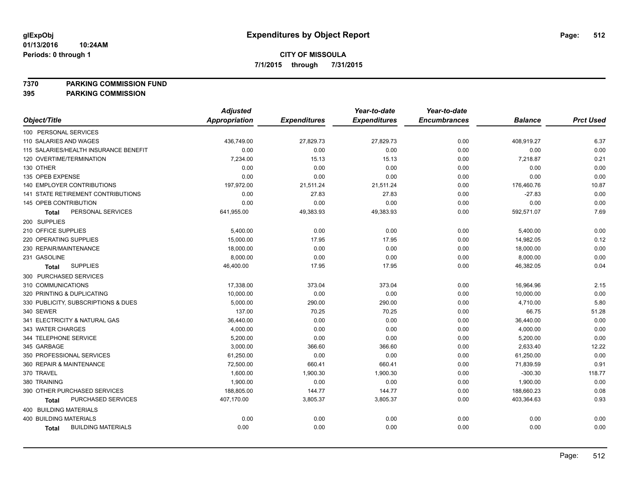**7370 PARKING COMMISSION FUND**

|                                           | <b>Adjusted</b> |                     | Year-to-date        | Year-to-date        |                |                  |
|-------------------------------------------|-----------------|---------------------|---------------------|---------------------|----------------|------------------|
| Object/Title                              | Appropriation   | <b>Expenditures</b> | <b>Expenditures</b> | <b>Encumbrances</b> | <b>Balance</b> | <b>Prct Used</b> |
| 100 PERSONAL SERVICES                     |                 |                     |                     |                     |                |                  |
| 110 SALARIES AND WAGES                    | 436,749.00      | 27,829.73           | 27,829.73           | 0.00                | 408,919.27     | 6.37             |
| 115 SALARIES/HEALTH INSURANCE BENEFIT     | 0.00            | 0.00                | 0.00                | 0.00                | 0.00           | 0.00             |
| 120 OVERTIME/TERMINATION                  | 7,234.00        | 15.13               | 15.13               | 0.00                | 7,218.87       | 0.21             |
| 130 OTHER                                 | 0.00            | 0.00                | 0.00                | 0.00                | 0.00           | 0.00             |
| 135 OPEB EXPENSE                          | 0.00            | 0.00                | 0.00                | 0.00                | 0.00           | 0.00             |
| 140 EMPLOYER CONTRIBUTIONS                | 197,972.00      | 21,511.24           | 21,511.24           | 0.00                | 176,460.76     | 10.87            |
| 141 STATE RETIREMENT CONTRIBUTIONS        | 0.00            | 27.83               | 27.83               | 0.00                | $-27.83$       | 0.00             |
| 145 OPEB CONTRIBUTION                     | 0.00            | 0.00                | 0.00                | 0.00                | 0.00           | 0.00             |
| PERSONAL SERVICES<br><b>Total</b>         | 641,955.00      | 49,383.93           | 49,383.93           | 0.00                | 592,571.07     | 7.69             |
| 200 SUPPLIES                              |                 |                     |                     |                     |                |                  |
| 210 OFFICE SUPPLIES                       | 5,400.00        | 0.00                | 0.00                | 0.00                | 5,400.00       | 0.00             |
| 220 OPERATING SUPPLIES                    | 15,000.00       | 17.95               | 17.95               | 0.00                | 14,982.05      | 0.12             |
| 230 REPAIR/MAINTENANCE                    | 18,000.00       | 0.00                | 0.00                | 0.00                | 18,000.00      | 0.00             |
| 231 GASOLINE                              | 8,000.00        | 0.00                | 0.00                | 0.00                | 8,000.00       | 0.00             |
| <b>SUPPLIES</b><br><b>Total</b>           | 46,400.00       | 17.95               | 17.95               | 0.00                | 46,382.05      | 0.04             |
| 300 PURCHASED SERVICES                    |                 |                     |                     |                     |                |                  |
| 310 COMMUNICATIONS                        | 17,338.00       | 373.04              | 373.04              | 0.00                | 16,964.96      | 2.15             |
| 320 PRINTING & DUPLICATING                | 10,000.00       | 0.00                | 0.00                | 0.00                | 10,000.00      | 0.00             |
| 330 PUBLICITY, SUBSCRIPTIONS & DUES       | 5,000.00        | 290.00              | 290.00              | 0.00                | 4,710.00       | 5.80             |
| 340 SEWER                                 | 137.00          | 70.25               | 70.25               | 0.00                | 66.75          | 51.28            |
| 341 ELECTRICITY & NATURAL GAS             | 36,440.00       | 0.00                | 0.00                | 0.00                | 36,440.00      | 0.00             |
| 343 WATER CHARGES                         | 4,000.00        | 0.00                | 0.00                | 0.00                | 4,000.00       | 0.00             |
| 344 TELEPHONE SERVICE                     | 5,200.00        | 0.00                | 0.00                | 0.00                | 5,200.00       | 0.00             |
| 345 GARBAGE                               | 3,000.00        | 366.60              | 366.60              | 0.00                | 2,633.40       | 12.22            |
| 350 PROFESSIONAL SERVICES                 | 61,250.00       | 0.00                | 0.00                | 0.00                | 61,250.00      | 0.00             |
| 360 REPAIR & MAINTENANCE                  | 72,500.00       | 660.41              | 660.41              | 0.00                | 71,839.59      | 0.91             |
| 370 TRAVEL                                | 1,600.00        | 1,900.30            | 1,900.30            | 0.00                | $-300.30$      | 118.77           |
| 380 TRAINING                              | 1,900.00        | 0.00                | 0.00                | 0.00                | 1,900.00       | 0.00             |
| 390 OTHER PURCHASED SERVICES              | 188,805.00      | 144.77              | 144.77              | 0.00                | 188,660.23     | 0.08             |
| PURCHASED SERVICES<br><b>Total</b>        | 407,170.00      | 3,805.37            | 3,805.37            | 0.00                | 403,364.63     | 0.93             |
| 400 BUILDING MATERIALS                    |                 |                     |                     |                     |                |                  |
| <b>400 BUILDING MATERIALS</b>             | 0.00            | 0.00                | 0.00                | 0.00                | 0.00           | 0.00             |
| <b>BUILDING MATERIALS</b><br><b>Total</b> | 0.00            | 0.00                | 0.00                | 0.00                | 0.00           | 0.00             |
|                                           |                 |                     |                     |                     |                |                  |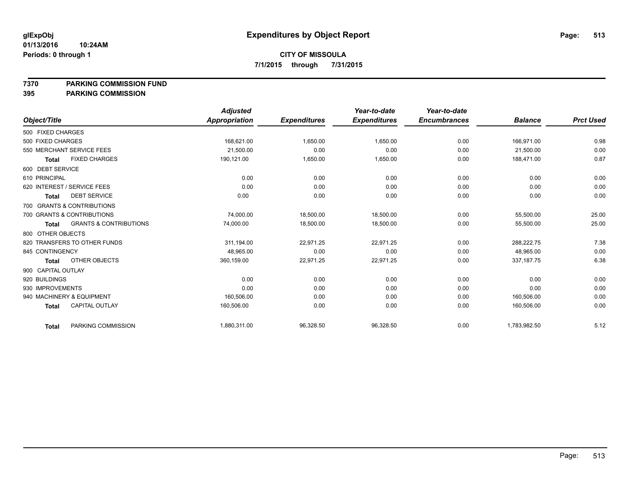**7370 PARKING COMMISSION FUND**

|                    |                                   | <b>Adjusted</b> |                     | Year-to-date        | Year-to-date        |                |                  |
|--------------------|-----------------------------------|-----------------|---------------------|---------------------|---------------------|----------------|------------------|
| Object/Title       |                                   | Appropriation   | <b>Expenditures</b> | <b>Expenditures</b> | <b>Encumbrances</b> | <b>Balance</b> | <b>Prct Used</b> |
| 500 FIXED CHARGES  |                                   |                 |                     |                     |                     |                |                  |
| 500 FIXED CHARGES  |                                   | 168,621.00      | 1,650.00            | 1,650.00            | 0.00                | 166,971.00     | 0.98             |
|                    | 550 MERCHANT SERVICE FEES         | 21,500.00       | 0.00                | 0.00                | 0.00                | 21,500.00      | 0.00             |
| <b>Total</b>       | <b>FIXED CHARGES</b>              | 190,121.00      | 1,650.00            | 1,650.00            | 0.00                | 188,471.00     | 0.87             |
| 600 DEBT SERVICE   |                                   |                 |                     |                     |                     |                |                  |
| 610 PRINCIPAL      |                                   | 0.00            | 0.00                | 0.00                | 0.00                | 0.00           | 0.00             |
|                    | 620 INTEREST / SERVICE FEES       | 0.00            | 0.00                | 0.00                | 0.00                | 0.00           | 0.00             |
| <b>Total</b>       | <b>DEBT SERVICE</b>               | 0.00            | 0.00                | 0.00                | 0.00                | 0.00           | 0.00             |
|                    | 700 GRANTS & CONTRIBUTIONS        |                 |                     |                     |                     |                |                  |
|                    | 700 GRANTS & CONTRIBUTIONS        | 74,000.00       | 18,500.00           | 18,500.00           | 0.00                | 55,500.00      | 25.00            |
| Total              | <b>GRANTS &amp; CONTRIBUTIONS</b> | 74,000.00       | 18,500.00           | 18,500.00           | 0.00                | 55,500.00      | 25.00            |
| 800 OTHER OBJECTS  |                                   |                 |                     |                     |                     |                |                  |
|                    | 820 TRANSFERS TO OTHER FUNDS      | 311,194.00      | 22,971.25           | 22,971.25           | 0.00                | 288.222.75     | 7.38             |
| 845 CONTINGENCY    |                                   | 48.965.00       | 0.00                | 0.00                | 0.00                | 48.965.00      | 0.00             |
| <b>Total</b>       | OTHER OBJECTS                     | 360,159.00      | 22,971.25           | 22,971.25           | 0.00                | 337, 187. 75   | 6.38             |
| 900 CAPITAL OUTLAY |                                   |                 |                     |                     |                     |                |                  |
| 920 BUILDINGS      |                                   | 0.00            | 0.00                | 0.00                | 0.00                | 0.00           | 0.00             |
| 930 IMPROVEMENTS   |                                   | 0.00            | 0.00                | 0.00                | 0.00                | 0.00           | 0.00             |
|                    | 940 MACHINERY & EQUIPMENT         | 160,506.00      | 0.00                | 0.00                | 0.00                | 160,506.00     | 0.00             |
| <b>Total</b>       | <b>CAPITAL OUTLAY</b>             | 160,506.00      | 0.00                | 0.00                | 0.00                | 160,506.00     | 0.00             |
| <b>Total</b>       | PARKING COMMISSION                | 1,880,311.00    | 96,328.50           | 96,328.50           | 0.00                | 1,783,982.50   | 5.12             |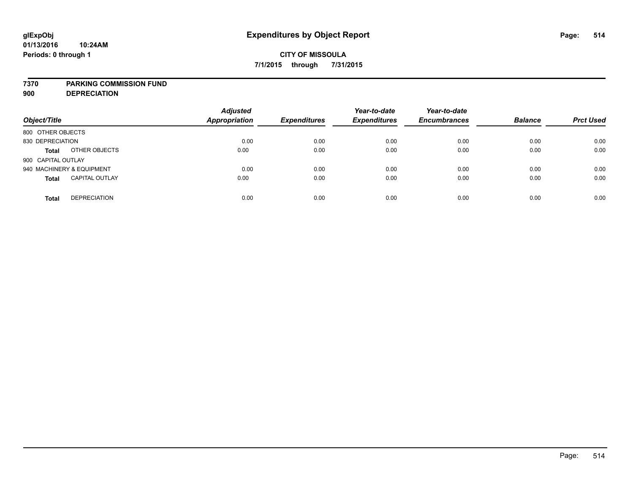#### **7370 PARKING COMMISSION FUND**

**900 DEPRECIATION**

| Object/Title                          | <b>Adjusted</b><br><b>Appropriation</b> | <b>Expenditures</b> | Year-to-date<br><b>Expenditures</b> | Year-to-date<br><b>Encumbrances</b> | <b>Balance</b> | <b>Prct Used</b> |
|---------------------------------------|-----------------------------------------|---------------------|-------------------------------------|-------------------------------------|----------------|------------------|
| 800 OTHER OBJECTS                     |                                         |                     |                                     |                                     |                |                  |
| 830 DEPRECIATION                      | 0.00                                    | 0.00                | 0.00                                | 0.00                                | 0.00           | 0.00             |
| OTHER OBJECTS<br><b>Total</b>         | 0.00                                    | 0.00                | 0.00                                | 0.00                                | 0.00           | 0.00             |
| 900 CAPITAL OUTLAY                    |                                         |                     |                                     |                                     |                |                  |
| 940 MACHINERY & EQUIPMENT             | 0.00                                    | 0.00                | 0.00                                | 0.00                                | 0.00           | 0.00             |
| <b>CAPITAL OUTLAY</b><br><b>Total</b> | 0.00                                    | 0.00                | 0.00                                | 0.00                                | 0.00           | 0.00             |
| <b>DEPRECIATION</b><br><b>Total</b>   | 0.00                                    | 0.00                | 0.00                                | 0.00                                | 0.00           | 0.00             |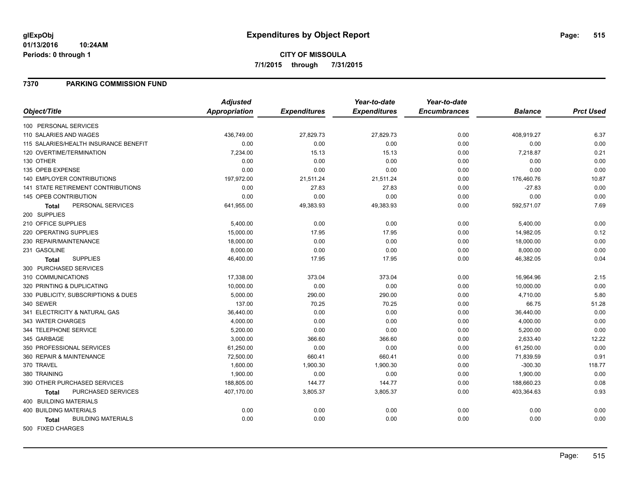#### **01/13/2016 10:24AM Periods: 0 through 1**

### **7370 PARKING COMMISSION FUND**

|                                           | <b>Adjusted</b>      |                     | Year-to-date        | Year-to-date        |                |                  |
|-------------------------------------------|----------------------|---------------------|---------------------|---------------------|----------------|------------------|
| Object/Title                              | <b>Appropriation</b> | <b>Expenditures</b> | <b>Expenditures</b> | <b>Encumbrances</b> | <b>Balance</b> | <b>Prct Used</b> |
| 100 PERSONAL SERVICES                     |                      |                     |                     |                     |                |                  |
| 110 SALARIES AND WAGES                    | 436,749.00           | 27,829.73           | 27,829.73           | 0.00                | 408,919.27     | 6.37             |
| 115 SALARIES/HEALTH INSURANCE BENEFIT     | 0.00                 | 0.00                | 0.00                | 0.00                | 0.00           | 0.00             |
| 120 OVERTIME/TERMINATION                  | 7,234.00             | 15.13               | 15.13               | 0.00                | 7,218.87       | 0.21             |
| 130 OTHER                                 | 0.00                 | 0.00                | 0.00                | 0.00                | 0.00           | 0.00             |
| 135 OPEB EXPENSE                          | 0.00                 | 0.00                | 0.00                | 0.00                | 0.00           | 0.00             |
| <b>140 EMPLOYER CONTRIBUTIONS</b>         | 197,972.00           | 21,511.24           | 21,511.24           | 0.00                | 176,460.76     | 10.87            |
| <b>141 STATE RETIREMENT CONTRIBUTIONS</b> | 0.00                 | 27.83               | 27.83               | 0.00                | $-27.83$       | 0.00             |
| <b>145 OPEB CONTRIBUTION</b>              | 0.00                 | 0.00                | 0.00                | 0.00                | 0.00           | 0.00             |
| PERSONAL SERVICES<br><b>Total</b>         | 641,955.00           | 49,383.93           | 49,383.93           | 0.00                | 592,571.07     | 7.69             |
| 200 SUPPLIES                              |                      |                     |                     |                     |                |                  |
| 210 OFFICE SUPPLIES                       | 5,400.00             | 0.00                | 0.00                | 0.00                | 5,400.00       | 0.00             |
| 220 OPERATING SUPPLIES                    | 15,000.00            | 17.95               | 17.95               | 0.00                | 14,982.05      | 0.12             |
| 230 REPAIR/MAINTENANCE                    | 18,000.00            | 0.00                | 0.00                | 0.00                | 18,000.00      | 0.00             |
| 231 GASOLINE                              | 8,000.00             | 0.00                | 0.00                | 0.00                | 8,000.00       | 0.00             |
| <b>SUPPLIES</b><br><b>Total</b>           | 46,400.00            | 17.95               | 17.95               | 0.00                | 46,382.05      | 0.04             |
| 300 PURCHASED SERVICES                    |                      |                     |                     |                     |                |                  |
| 310 COMMUNICATIONS                        | 17,338.00            | 373.04              | 373.04              | 0.00                | 16,964.96      | 2.15             |
| 320 PRINTING & DUPLICATING                | 10,000.00            | 0.00                | 0.00                | 0.00                | 10,000.00      | 0.00             |
| 330 PUBLICITY, SUBSCRIPTIONS & DUES       | 5,000.00             | 290.00              | 290.00              | 0.00                | 4,710.00       | 5.80             |
| 340 SEWER                                 | 137.00               | 70.25               | 70.25               | 0.00                | 66.75          | 51.28            |
| 341 ELECTRICITY & NATURAL GAS             | 36,440.00            | 0.00                | 0.00                | 0.00                | 36,440.00      | 0.00             |
| 343 WATER CHARGES                         | 4,000.00             | 0.00                | 0.00                | 0.00                | 4,000.00       | 0.00             |
| 344 TELEPHONE SERVICE                     | 5,200.00             | 0.00                | 0.00                | 0.00                | 5,200.00       | 0.00             |
| 345 GARBAGE                               | 3,000.00             | 366.60              | 366.60              | 0.00                | 2,633.40       | 12.22            |
| 350 PROFESSIONAL SERVICES                 | 61,250.00            | 0.00                | 0.00                | 0.00                | 61,250.00      | 0.00             |
| 360 REPAIR & MAINTENANCE                  | 72,500.00            | 660.41              | 660.41              | 0.00                | 71,839.59      | 0.91             |
| 370 TRAVEL                                | 1,600.00             | 1,900.30            | 1,900.30            | 0.00                | $-300.30$      | 118.77           |
| 380 TRAINING                              | 1,900.00             | 0.00                | 0.00                | 0.00                | 1,900.00       | 0.00             |
| 390 OTHER PURCHASED SERVICES              | 188,805.00           | 144.77              | 144.77              | 0.00                | 188,660.23     | 0.08             |
| PURCHASED SERVICES<br><b>Total</b>        | 407,170.00           | 3,805.37            | 3,805.37            | 0.00                | 403,364.63     | 0.93             |
| 400 BUILDING MATERIALS                    |                      |                     |                     |                     |                |                  |
| <b>400 BUILDING MATERIALS</b>             | 0.00                 | 0.00                | 0.00                | 0.00                | 0.00           | 0.00             |
| <b>BUILDING MATERIALS</b><br><b>Total</b> | 0.00                 | 0.00                | 0.00                | 0.00                | 0.00           | 0.00             |
| 500 FIXED CHARGES                         |                      |                     |                     |                     |                |                  |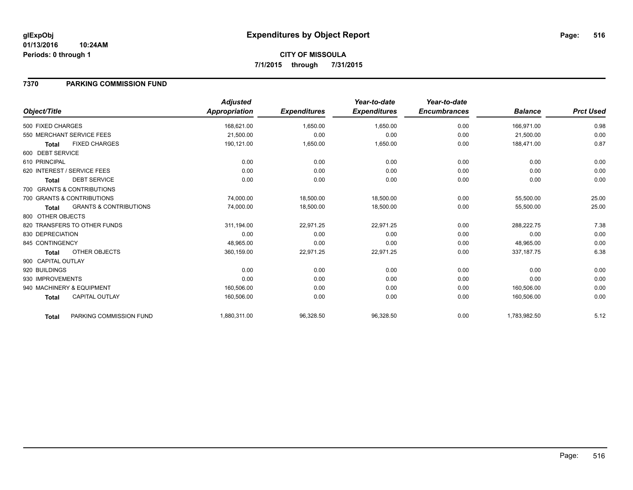### **7370 PARKING COMMISSION FUND**

|                                                   | <b>Adjusted</b>      |                     | Year-to-date        | Year-to-date        |                |                  |
|---------------------------------------------------|----------------------|---------------------|---------------------|---------------------|----------------|------------------|
| Object/Title                                      | <b>Appropriation</b> | <b>Expenditures</b> | <b>Expenditures</b> | <b>Encumbrances</b> | <b>Balance</b> | <b>Prct Used</b> |
| 500 FIXED CHARGES                                 | 168,621.00           | 1,650.00            | 1,650.00            | 0.00                | 166,971.00     | 0.98             |
| 550 MERCHANT SERVICE FEES                         | 21,500.00            | 0.00                | 0.00                | 0.00                | 21,500.00      | 0.00             |
| <b>FIXED CHARGES</b><br><b>Total</b>              | 190,121.00           | 1,650.00            | 1,650.00            | 0.00                | 188,471.00     | 0.87             |
| 600 DEBT SERVICE                                  |                      |                     |                     |                     |                |                  |
| 610 PRINCIPAL                                     | 0.00                 | 0.00                | 0.00                | 0.00                | 0.00           | 0.00             |
| 620 INTEREST / SERVICE FEES                       | 0.00                 | 0.00                | 0.00                | 0.00                | 0.00           | 0.00             |
| <b>DEBT SERVICE</b><br><b>Total</b>               | 0.00                 | 0.00                | 0.00                | 0.00                | 0.00           | 0.00             |
| 700 GRANTS & CONTRIBUTIONS                        |                      |                     |                     |                     |                |                  |
| 700 GRANTS & CONTRIBUTIONS                        | 74,000.00            | 18,500.00           | 18,500.00           | 0.00                | 55,500.00      | 25.00            |
| <b>GRANTS &amp; CONTRIBUTIONS</b><br><b>Total</b> | 74,000.00            | 18,500.00           | 18,500.00           | 0.00                | 55,500.00      | 25.00            |
| 800 OTHER OBJECTS                                 |                      |                     |                     |                     |                |                  |
| 820 TRANSFERS TO OTHER FUNDS                      | 311,194.00           | 22,971.25           | 22,971.25           | 0.00                | 288,222.75     | 7.38             |
| 830 DEPRECIATION                                  | 0.00                 | 0.00                | 0.00                | 0.00                | 0.00           | 0.00             |
| 845 CONTINGENCY                                   | 48,965.00            | 0.00                | 0.00                | 0.00                | 48,965.00      | 0.00             |
| OTHER OBJECTS<br><b>Total</b>                     | 360,159.00           | 22,971.25           | 22,971.25           | 0.00                | 337, 187. 75   | 6.38             |
| 900 CAPITAL OUTLAY                                |                      |                     |                     |                     |                |                  |
| 920 BUILDINGS                                     | 0.00                 | 0.00                | 0.00                | 0.00                | 0.00           | 0.00             |
| 930 IMPROVEMENTS                                  | 0.00                 | 0.00                | 0.00                | 0.00                | 0.00           | 0.00             |
| 940 MACHINERY & EQUIPMENT                         | 160,506.00           | 0.00                | 0.00                | 0.00                | 160,506.00     | 0.00             |
| <b>CAPITAL OUTLAY</b><br><b>Total</b>             | 160,506.00           | 0.00                | 0.00                | 0.00                | 160,506.00     | 0.00             |
| PARKING COMMISSION FUND<br>Total                  | 1,880,311.00         | 96,328.50           | 96,328.50           | 0.00                | 1,783,982.50   | 5.12             |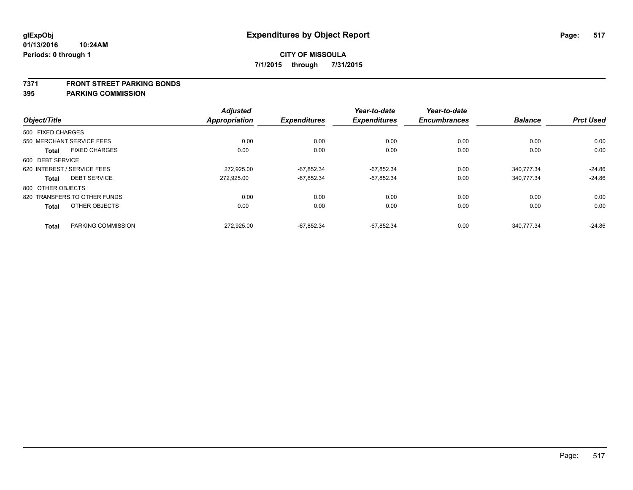#### **7371 FRONT STREET PARKING BONDS**

|                   |                              | <b>Adjusted</b> |                     | Year-to-date        | Year-to-date        |                |                  |
|-------------------|------------------------------|-----------------|---------------------|---------------------|---------------------|----------------|------------------|
| Object/Title      |                              | Appropriation   | <b>Expenditures</b> | <b>Expenditures</b> | <b>Encumbrances</b> | <b>Balance</b> | <b>Prct Used</b> |
| 500 FIXED CHARGES |                              |                 |                     |                     |                     |                |                  |
|                   | 550 MERCHANT SERVICE FEES    | 0.00            | 0.00                | 0.00                | 0.00                | 0.00           | 0.00             |
| <b>Total</b>      | <b>FIXED CHARGES</b>         | 0.00            | 0.00                | 0.00                | 0.00                | 0.00           | 0.00             |
| 600 DEBT SERVICE  |                              |                 |                     |                     |                     |                |                  |
|                   | 620 INTEREST / SERVICE FEES  | 272.925.00      | -67.852.34          | -67.852.34          | 0.00                | 340.777.34     | $-24.86$         |
| Total             | <b>DEBT SERVICE</b>          | 272.925.00      | $-67,852.34$        | $-67,852.34$        | 0.00                | 340,777.34     | $-24.86$         |
| 800 OTHER OBJECTS |                              |                 |                     |                     |                     |                |                  |
|                   | 820 TRANSFERS TO OTHER FUNDS | 0.00            | 0.00                | 0.00                | 0.00                | 0.00           | 0.00             |
| <b>Total</b>      | OTHER OBJECTS                | 0.00            | 0.00                | 0.00                | 0.00                | 0.00           | 0.00             |
| <b>Total</b>      | PARKING COMMISSION           | 272,925.00      | $-67,852.34$        | $-67,852.34$        | 0.00                | 340,777.34     | $-24.86$         |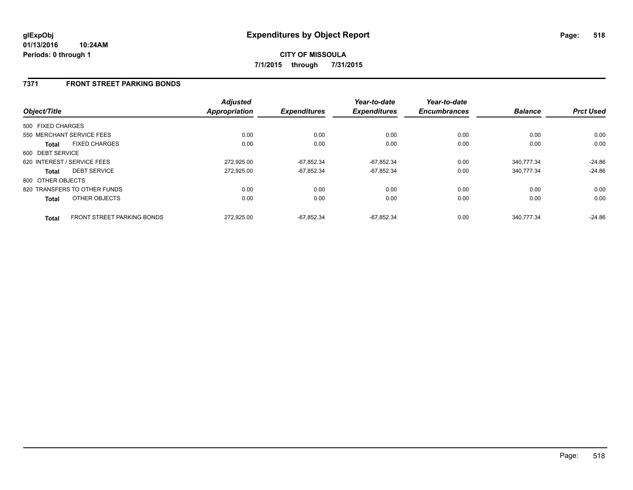### **7371 FRONT STREET PARKING BONDS**

| Object/Title      |                                   | <b>Adjusted</b><br><b>Appropriation</b> | <b>Expenditures</b> | Year-to-date<br><b>Expenditures</b> | Year-to-date<br><b>Encumbrances</b> | <b>Balance</b> | <b>Prct Used</b> |
|-------------------|-----------------------------------|-----------------------------------------|---------------------|-------------------------------------|-------------------------------------|----------------|------------------|
| 500 FIXED CHARGES |                                   |                                         |                     |                                     |                                     |                |                  |
|                   | 550 MERCHANT SERVICE FEES         | 0.00                                    | 0.00                | 0.00                                | 0.00                                | 0.00           | 0.00             |
| <b>Total</b>      | <b>FIXED CHARGES</b>              | 0.00                                    | 0.00                | 0.00                                | 0.00                                | 0.00           | 0.00             |
| 600 DEBT SERVICE  |                                   |                                         |                     |                                     |                                     |                |                  |
|                   | 620 INTEREST / SERVICE FEES       | 272,925.00                              | $-67,852.34$        | $-67,852.34$                        | 0.00                                | 340,777.34     | $-24.86$         |
| <b>Total</b>      | <b>DEBT SERVICE</b>               | 272.925.00                              | $-67,852.34$        | $-67,852.34$                        | 0.00                                | 340.777.34     | $-24.86$         |
| 800 OTHER OBJECTS |                                   |                                         |                     |                                     |                                     |                |                  |
|                   | 820 TRANSFERS TO OTHER FUNDS      | 0.00                                    | 0.00                | 0.00                                | 0.00                                | 0.00           | 0.00             |
| <b>Total</b>      | OTHER OBJECTS                     | 0.00                                    | 0.00                | 0.00                                | 0.00                                | 0.00           | 0.00             |
| <b>Total</b>      | <b>FRONT STREET PARKING BONDS</b> | 272.925.00                              | $-67.852.34$        | $-67.852.34$                        | 0.00                                | 340.777.34     | $-24.86$         |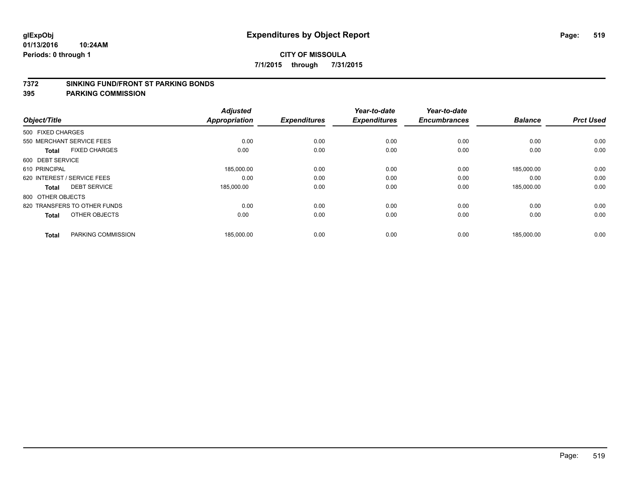#### **7372 SINKING FUND/FRONT ST PARKING BONDS**

| Object/Title                |                              | <b>Adjusted</b><br><b>Appropriation</b> | <b>Expenditures</b> | Year-to-date<br><b>Expenditures</b> | Year-to-date<br><b>Encumbrances</b> | <b>Balance</b> | <b>Prct Used</b> |
|-----------------------------|------------------------------|-----------------------------------------|---------------------|-------------------------------------|-------------------------------------|----------------|------------------|
| 500 FIXED CHARGES           |                              |                                         |                     |                                     |                                     |                |                  |
| 550 MERCHANT SERVICE FEES   |                              | 0.00                                    | 0.00                | 0.00                                | 0.00                                | 0.00           | 0.00             |
| <b>Total</b>                | <b>FIXED CHARGES</b>         | 0.00                                    | 0.00                | 0.00                                | 0.00                                | 0.00           | 0.00             |
| 600 DEBT SERVICE            |                              |                                         |                     |                                     |                                     |                |                  |
| 610 PRINCIPAL               |                              | 185,000.00                              | 0.00                | 0.00                                | 0.00                                | 185,000.00     | 0.00             |
| 620 INTEREST / SERVICE FEES |                              | 0.00                                    | 0.00                | 0.00                                | 0.00                                | 0.00           | 0.00             |
| <b>Total</b>                | <b>DEBT SERVICE</b>          | 185,000.00                              | 0.00                | 0.00                                | 0.00                                | 185,000.00     | 0.00             |
| 800 OTHER OBJECTS           |                              |                                         |                     |                                     |                                     |                |                  |
|                             | 820 TRANSFERS TO OTHER FUNDS | 0.00                                    | 0.00                | 0.00                                | 0.00                                | 0.00           | 0.00             |
| <b>Total</b>                | OTHER OBJECTS                | 0.00                                    | 0.00                | 0.00                                | 0.00                                | 0.00           | 0.00             |
|                             |                              |                                         |                     |                                     |                                     |                |                  |
| <b>Total</b>                | PARKING COMMISSION           | 185,000.00                              | 0.00                | 0.00                                | 0.00                                | 185,000.00     | 0.00             |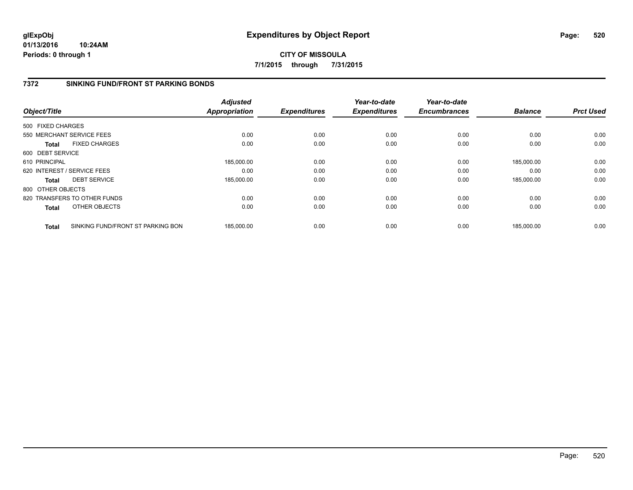**01/13/2016 10:24AM Periods: 0 through 1**

## **CITY OF MISSOULA 7/1/2015 through 7/31/2015**

## **7372 SINKING FUND/FRONT ST PARKING BONDS**

| Object/Title      |                                   | <b>Adjusted</b><br><b>Appropriation</b> | <b>Expenditures</b> | Year-to-date<br><b>Expenditures</b> | Year-to-date<br><b>Encumbrances</b> | <b>Balance</b> | <b>Prct Used</b> |
|-------------------|-----------------------------------|-----------------------------------------|---------------------|-------------------------------------|-------------------------------------|----------------|------------------|
| 500 FIXED CHARGES |                                   |                                         |                     |                                     |                                     |                |                  |
|                   | 550 MERCHANT SERVICE FEES         | 0.00                                    | 0.00                | 0.00                                | 0.00                                | 0.00           | 0.00             |
| Total             | <b>FIXED CHARGES</b>              | 0.00                                    | 0.00                | 0.00                                | 0.00                                | 0.00           | 0.00             |
| 600 DEBT SERVICE  |                                   |                                         |                     |                                     |                                     |                |                  |
| 610 PRINCIPAL     |                                   | 185.000.00                              | 0.00                | 0.00                                | 0.00                                | 185,000.00     | 0.00             |
|                   | 620 INTEREST / SERVICE FEES       | 0.00                                    | 0.00                | 0.00                                | 0.00                                | 0.00           | 0.00             |
| Total             | <b>DEBT SERVICE</b>               | 185,000.00                              | 0.00                | 0.00                                | 0.00                                | 185.000.00     | 0.00             |
| 800 OTHER OBJECTS |                                   |                                         |                     |                                     |                                     |                |                  |
|                   | 820 TRANSFERS TO OTHER FUNDS      | 0.00                                    | 0.00                | 0.00                                | 0.00                                | 0.00           | 0.00             |
| Total             | OTHER OBJECTS                     | 0.00                                    | 0.00                | 0.00                                | 0.00                                | 0.00           | 0.00             |
| <b>Total</b>      | SINKING FUND/FRONT ST PARKING BON | 185,000.00                              | 0.00                | 0.00                                | 0.00                                | 185,000.00     | 0.00             |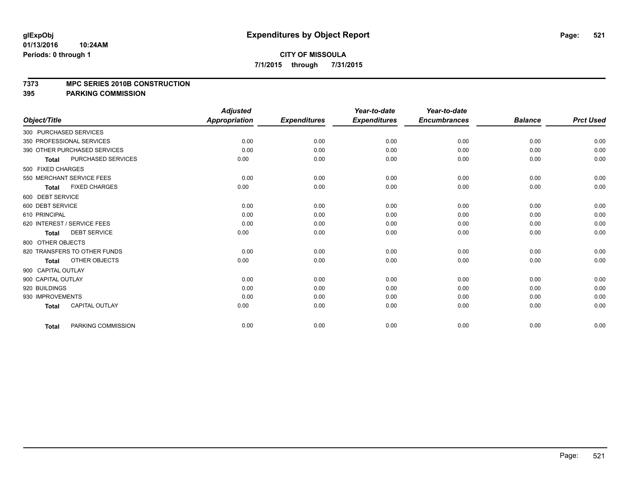#### **7373 MPC SERIES 2010B CONSTRUCTION**

|                              |                       | <b>Adjusted</b> |                     | Year-to-date        | Year-to-date        |                |                  |
|------------------------------|-----------------------|-----------------|---------------------|---------------------|---------------------|----------------|------------------|
| Object/Title                 |                       | Appropriation   | <b>Expenditures</b> | <b>Expenditures</b> | <b>Encumbrances</b> | <b>Balance</b> | <b>Prct Used</b> |
| 300 PURCHASED SERVICES       |                       |                 |                     |                     |                     |                |                  |
| 350 PROFESSIONAL SERVICES    |                       | 0.00            | 0.00                | 0.00                | 0.00                | 0.00           | 0.00             |
| 390 OTHER PURCHASED SERVICES |                       | 0.00            | 0.00                | 0.00                | 0.00                | 0.00           | 0.00             |
| <b>Total</b>                 | PURCHASED SERVICES    | 0.00            | 0.00                | 0.00                | 0.00                | 0.00           | 0.00             |
| 500 FIXED CHARGES            |                       |                 |                     |                     |                     |                |                  |
| 550 MERCHANT SERVICE FEES    |                       | 0.00            | 0.00                | 0.00                | 0.00                | 0.00           | 0.00             |
| Total                        | <b>FIXED CHARGES</b>  | 0.00            | 0.00                | 0.00                | 0.00                | 0.00           | 0.00             |
| 600 DEBT SERVICE             |                       |                 |                     |                     |                     |                |                  |
| 600 DEBT SERVICE             |                       | 0.00            | 0.00                | 0.00                | 0.00                | 0.00           | 0.00             |
| 610 PRINCIPAL                |                       | 0.00            | 0.00                | 0.00                | 0.00                | 0.00           | 0.00             |
| 620 INTEREST / SERVICE FEES  |                       | 0.00            | 0.00                | 0.00                | 0.00                | 0.00           | 0.00             |
| <b>Total</b>                 | <b>DEBT SERVICE</b>   | 0.00            | 0.00                | 0.00                | 0.00                | 0.00           | 0.00             |
| 800 OTHER OBJECTS            |                       |                 |                     |                     |                     |                |                  |
| 820 TRANSFERS TO OTHER FUNDS |                       | 0.00            | 0.00                | 0.00                | 0.00                | 0.00           | 0.00             |
| <b>Total</b>                 | OTHER OBJECTS         | 0.00            | 0.00                | 0.00                | 0.00                | 0.00           | 0.00             |
| 900 CAPITAL OUTLAY           |                       |                 |                     |                     |                     |                |                  |
| 900 CAPITAL OUTLAY           |                       | 0.00            | 0.00                | 0.00                | 0.00                | 0.00           | 0.00             |
| 920 BUILDINGS                |                       | 0.00            | 0.00                | 0.00                | 0.00                | 0.00           | 0.00             |
| 930 IMPROVEMENTS             |                       | 0.00            | 0.00                | 0.00                | 0.00                | 0.00           | 0.00             |
| Total                        | <b>CAPITAL OUTLAY</b> | 0.00            | 0.00                | 0.00                | 0.00                | 0.00           | 0.00             |
| <b>Total</b>                 | PARKING COMMISSION    | 0.00            | 0.00                | 0.00                | 0.00                | 0.00           | 0.00             |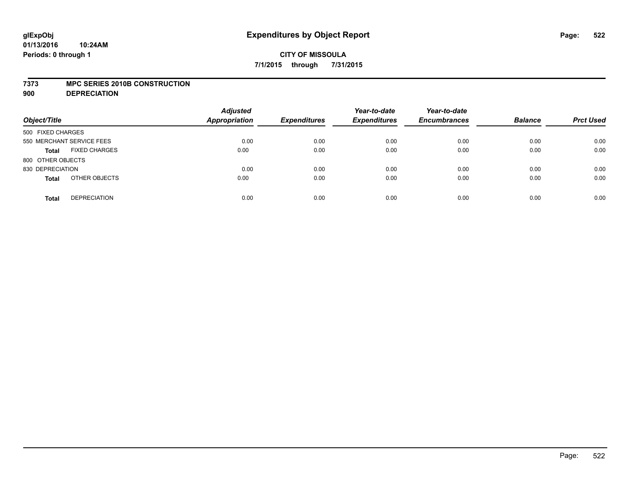#### **7373 MPC SERIES 2010B CONSTRUCTION**

**900 DEPRECIATION**

| Object/Title                         | <b>Adjusted</b><br><b>Appropriation</b> | <b>Expenditures</b> | Year-to-date<br><b>Expenditures</b> | Year-to-date<br><b>Encumbrances</b> | <b>Balance</b> | <b>Prct Used</b> |
|--------------------------------------|-----------------------------------------|---------------------|-------------------------------------|-------------------------------------|----------------|------------------|
| 500 FIXED CHARGES                    |                                         |                     |                                     |                                     |                |                  |
| 550 MERCHANT SERVICE FEES            | 0.00                                    | 0.00                | 0.00                                | 0.00                                | 0.00           | 0.00             |
| <b>FIXED CHARGES</b><br><b>Total</b> | 0.00                                    | 0.00                | 0.00                                | 0.00                                | 0.00           | 0.00             |
| 800 OTHER OBJECTS                    |                                         |                     |                                     |                                     |                |                  |
| 830 DEPRECIATION                     | 0.00                                    | 0.00                | 0.00                                | 0.00                                | 0.00           | 0.00             |
| OTHER OBJECTS<br><b>Total</b>        | 0.00                                    | 0.00                | 0.00                                | 0.00                                | 0.00           | 0.00             |
| <b>DEPRECIATION</b><br><b>Total</b>  | 0.00                                    | 0.00                | 0.00                                | 0.00                                | 0.00           | 0.00             |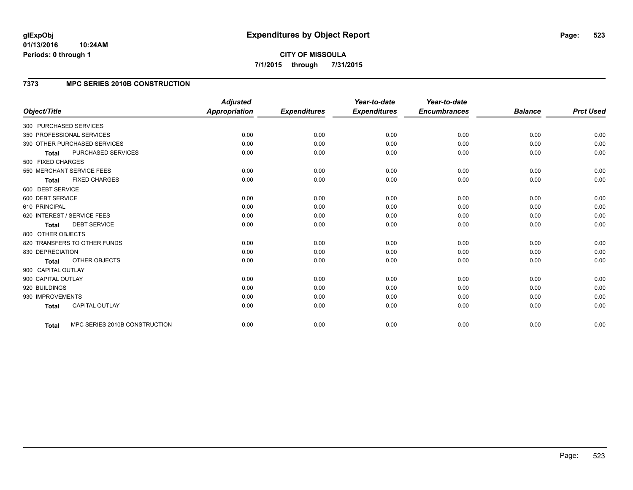#### **01/13/2016 10:24AM Periods: 0 through 1**

**CITY OF MISSOULA 7/1/2015 through 7/31/2015**

## **7373 MPC SERIES 2010B CONSTRUCTION**

|                                               | <b>Adjusted</b> |                     | Year-to-date        | Year-to-date        |                |                  |
|-----------------------------------------------|-----------------|---------------------|---------------------|---------------------|----------------|------------------|
| Object/Title                                  | Appropriation   | <b>Expenditures</b> | <b>Expenditures</b> | <b>Encumbrances</b> | <b>Balance</b> | <b>Prct Used</b> |
| 300 PURCHASED SERVICES                        |                 |                     |                     |                     |                |                  |
| 350 PROFESSIONAL SERVICES                     | 0.00            | 0.00                | 0.00                | 0.00                | 0.00           | 0.00             |
| 390 OTHER PURCHASED SERVICES                  | 0.00            | 0.00                | 0.00                | 0.00                | 0.00           | 0.00             |
| PURCHASED SERVICES<br><b>Total</b>            | 0.00            | 0.00                | 0.00                | 0.00                | 0.00           | 0.00             |
| 500 FIXED CHARGES                             |                 |                     |                     |                     |                |                  |
| 550 MERCHANT SERVICE FEES                     | 0.00            | 0.00                | 0.00                | 0.00                | 0.00           | 0.00             |
| <b>FIXED CHARGES</b><br><b>Total</b>          | 0.00            | 0.00                | 0.00                | 0.00                | 0.00           | 0.00             |
| 600 DEBT SERVICE                              |                 |                     |                     |                     |                |                  |
| 600 DEBT SERVICE                              | 0.00            | 0.00                | 0.00                | 0.00                | 0.00           | 0.00             |
| 610 PRINCIPAL                                 | 0.00            | 0.00                | 0.00                | 0.00                | 0.00           | 0.00             |
| 620 INTEREST / SERVICE FEES                   | 0.00            | 0.00                | 0.00                | 0.00                | 0.00           | 0.00             |
| <b>DEBT SERVICE</b><br><b>Total</b>           | 0.00            | 0.00                | 0.00                | 0.00                | 0.00           | 0.00             |
| 800 OTHER OBJECTS                             |                 |                     |                     |                     |                |                  |
| 820 TRANSFERS TO OTHER FUNDS                  | 0.00            | 0.00                | 0.00                | 0.00                | 0.00           | 0.00             |
| 830 DEPRECIATION                              | 0.00            | 0.00                | 0.00                | 0.00                | 0.00           | 0.00             |
| OTHER OBJECTS<br>Total                        | 0.00            | 0.00                | 0.00                | 0.00                | 0.00           | 0.00             |
| 900 CAPITAL OUTLAY                            |                 |                     |                     |                     |                |                  |
| 900 CAPITAL OUTLAY                            | 0.00            | 0.00                | 0.00                | 0.00                | 0.00           | 0.00             |
| 920 BUILDINGS                                 | 0.00            | 0.00                | 0.00                | 0.00                | 0.00           | 0.00             |
| 930 IMPROVEMENTS                              | 0.00            | 0.00                | 0.00                | 0.00                | 0.00           | 0.00             |
| <b>CAPITAL OUTLAY</b><br><b>Total</b>         | 0.00            | 0.00                | 0.00                | 0.00                | 0.00           | 0.00             |
| MPC SERIES 2010B CONSTRUCTION<br><b>Total</b> | 0.00            | 0.00                | 0.00                | 0.00                | 0.00           | 0.00             |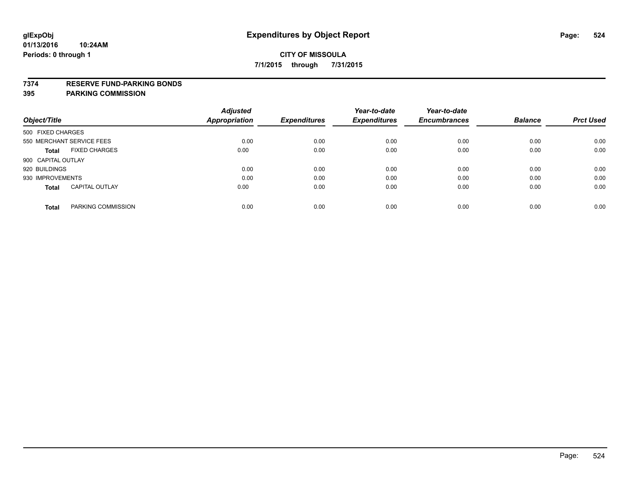#### **7374 RESERVE FUND-PARKING BONDS**

|                                       | <b>Adjusted</b>      |                     | Year-to-date        | Year-to-date        |                |                  |
|---------------------------------------|----------------------|---------------------|---------------------|---------------------|----------------|------------------|
| Object/Title                          | <b>Appropriation</b> | <b>Expenditures</b> | <b>Expenditures</b> | <b>Encumbrances</b> | <b>Balance</b> | <b>Prct Used</b> |
| 500 FIXED CHARGES                     |                      |                     |                     |                     |                |                  |
| 550 MERCHANT SERVICE FEES             | 0.00                 | 0.00                | 0.00                | 0.00                | 0.00           | 0.00             |
| <b>FIXED CHARGES</b><br><b>Total</b>  | 0.00                 | 0.00                | 0.00                | 0.00                | 0.00           | 0.00             |
| 900 CAPITAL OUTLAY                    |                      |                     |                     |                     |                |                  |
| 920 BUILDINGS                         | 0.00                 | 0.00                | 0.00                | 0.00                | 0.00           | 0.00             |
| 930 IMPROVEMENTS                      | 0.00                 | 0.00                | 0.00                | 0.00                | 0.00           | 0.00             |
| <b>CAPITAL OUTLAY</b><br><b>Total</b> | 0.00                 | 0.00                | 0.00                | 0.00                | 0.00           | 0.00             |
| PARKING COMMISSION<br><b>Total</b>    | 0.00                 | 0.00                | 0.00                | 0.00                | 0.00           | 0.00             |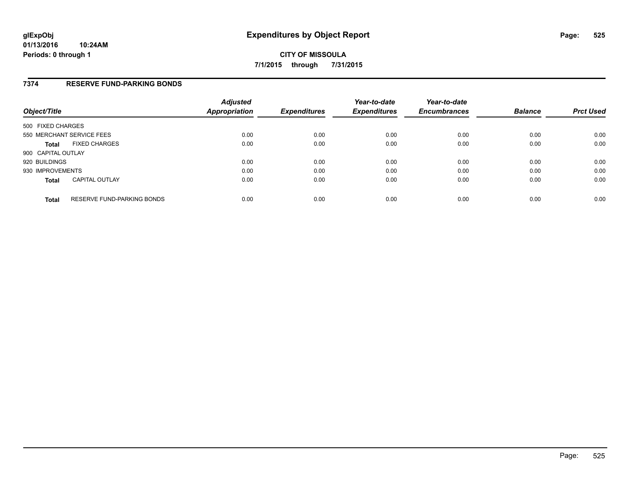### **7374 RESERVE FUND-PARKING BONDS**

| Object/Title              |                            | <b>Adjusted</b><br>Appropriation | <b>Expenditures</b> | Year-to-date<br><b>Expenditures</b> | Year-to-date<br><b>Encumbrances</b> | <b>Balance</b> | <b>Prct Used</b> |
|---------------------------|----------------------------|----------------------------------|---------------------|-------------------------------------|-------------------------------------|----------------|------------------|
| 500 FIXED CHARGES         |                            |                                  |                     |                                     |                                     |                |                  |
| 550 MERCHANT SERVICE FEES |                            | 0.00                             | 0.00                | 0.00                                | 0.00                                | 0.00           | 0.00             |
| <b>Total</b>              | <b>FIXED CHARGES</b>       | 0.00                             | 0.00                | 0.00                                | 0.00                                | 0.00           | 0.00             |
| 900 CAPITAL OUTLAY        |                            |                                  |                     |                                     |                                     |                |                  |
| 920 BUILDINGS             |                            | 0.00                             | 0.00                | 0.00                                | 0.00                                | 0.00           | 0.00             |
| 930 IMPROVEMENTS          |                            | 0.00                             | 0.00                | 0.00                                | 0.00                                | 0.00           | 0.00             |
| <b>Total</b>              | <b>CAPITAL OUTLAY</b>      | 0.00                             | 0.00                | 0.00                                | 0.00                                | 0.00           | 0.00             |
| <b>Total</b>              | RESERVE FUND-PARKING BONDS | 0.00                             | 0.00                | 0.00                                | 0.00                                | 0.00           | 0.00             |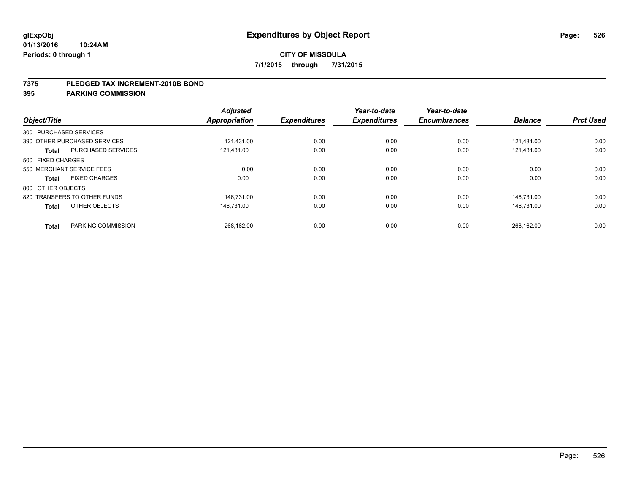#### **7375 PLEDGED TAX INCREMENT-2010B BOND**

| Object/Title           |                              | <b>Adjusted</b><br>Appropriation | <b>Expenditures</b> | Year-to-date<br><b>Expenditures</b> | Year-to-date<br><b>Encumbrances</b> | <b>Balance</b> | <b>Prct Used</b> |
|------------------------|------------------------------|----------------------------------|---------------------|-------------------------------------|-------------------------------------|----------------|------------------|
| 300 PURCHASED SERVICES |                              |                                  |                     |                                     |                                     |                |                  |
|                        | 390 OTHER PURCHASED SERVICES | 121.431.00                       | 0.00                | 0.00                                | 0.00                                | 121.431.00     | 0.00             |
| <b>Total</b>           | <b>PURCHASED SERVICES</b>    | 121,431.00                       | 0.00                | 0.00                                | 0.00                                | 121,431.00     | 0.00             |
| 500 FIXED CHARGES      |                              |                                  |                     |                                     |                                     |                |                  |
|                        | 550 MERCHANT SERVICE FEES    | 0.00                             | 0.00                | 0.00                                | 0.00                                | 0.00           | 0.00             |
| <b>Total</b>           | <b>FIXED CHARGES</b>         | 0.00                             | 0.00                | 0.00                                | 0.00                                | 0.00           | 0.00             |
| 800 OTHER OBJECTS      |                              |                                  |                     |                                     |                                     |                |                  |
|                        | 820 TRANSFERS TO OTHER FUNDS | 146.731.00                       | 0.00                | 0.00                                | 0.00                                | 146.731.00     | 0.00             |
| <b>Total</b>           | OTHER OBJECTS                | 146.731.00                       | 0.00                | 0.00                                | 0.00                                | 146.731.00     | 0.00             |
|                        |                              |                                  |                     |                                     |                                     |                |                  |
| <b>Total</b>           | PARKING COMMISSION           | 268,162.00                       | 0.00                | 0.00                                | 0.00                                | 268,162.00     | 0.00             |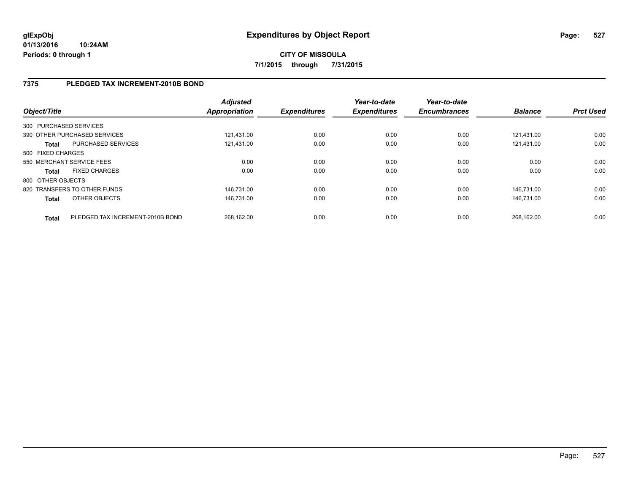## **7375 PLEDGED TAX INCREMENT-2010B BOND**

| Object/Title           |                                  | <b>Adjusted</b><br><b>Appropriation</b> | <b>Expenditures</b> | Year-to-date<br><b>Expenditures</b> | Year-to-date<br><b>Encumbrances</b> | <b>Balance</b> | <b>Prct Used</b> |
|------------------------|----------------------------------|-----------------------------------------|---------------------|-------------------------------------|-------------------------------------|----------------|------------------|
| 300 PURCHASED SERVICES |                                  |                                         |                     |                                     |                                     |                |                  |
|                        | 390 OTHER PURCHASED SERVICES     | 121.431.00                              | 0.00                | 0.00                                | 0.00                                | 121.431.00     | 0.00             |
| <b>Total</b>           | PURCHASED SERVICES               | 121,431.00                              | 0.00                | 0.00                                | 0.00                                | 121.431.00     | 0.00             |
| 500 FIXED CHARGES      |                                  |                                         |                     |                                     |                                     |                |                  |
|                        | 550 MERCHANT SERVICE FEES        | 0.00                                    | 0.00                | 0.00                                | 0.00                                | 0.00           | 0.00             |
| <b>Total</b>           | <b>FIXED CHARGES</b>             | 0.00                                    | 0.00                | 0.00                                | 0.00                                | 0.00           | 0.00             |
| 800 OTHER OBJECTS      |                                  |                                         |                     |                                     |                                     |                |                  |
|                        | 820 TRANSFERS TO OTHER FUNDS     | 146,731.00                              | 0.00                | 0.00                                | 0.00                                | 146.731.00     | 0.00             |
| <b>Total</b>           | OTHER OBJECTS                    | 146.731.00                              | 0.00                | 0.00                                | 0.00                                | 146.731.00     | 0.00             |
| <b>Total</b>           | PLEDGED TAX INCREMENT-2010B BOND | 268.162.00                              | 0.00                | 0.00                                | 0.00                                | 268.162.00     | 0.00             |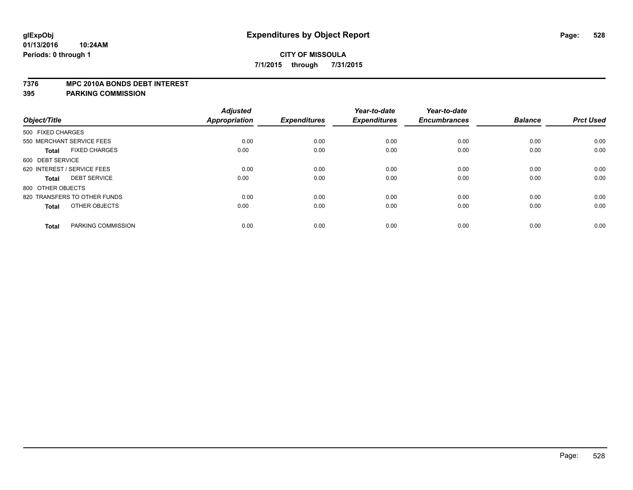#### **7376 MPC 2010A BONDS DEBT INTEREST**

| Object/Title                         | <b>Adjusted</b><br>Appropriation | <b>Expenditures</b> | Year-to-date<br><b>Expenditures</b> | Year-to-date<br><b>Encumbrances</b> | <b>Balance</b> | <b>Prct Used</b> |
|--------------------------------------|----------------------------------|---------------------|-------------------------------------|-------------------------------------|----------------|------------------|
|                                      |                                  |                     |                                     |                                     |                |                  |
| 500 FIXED CHARGES                    |                                  |                     |                                     |                                     |                |                  |
| 550 MERCHANT SERVICE FEES            | 0.00                             | 0.00                | 0.00                                | 0.00                                | 0.00           | 0.00             |
| <b>FIXED CHARGES</b><br><b>Total</b> | 0.00                             | 0.00                | 0.00                                | 0.00                                | 0.00           | 0.00             |
| 600 DEBT SERVICE                     |                                  |                     |                                     |                                     |                |                  |
| 620 INTEREST / SERVICE FEES          | 0.00                             | 0.00                | 0.00                                | 0.00                                | 0.00           | 0.00             |
| <b>DEBT SERVICE</b><br><b>Total</b>  | 0.00                             | 0.00                | 0.00                                | 0.00                                | 0.00           | 0.00             |
| 800 OTHER OBJECTS                    |                                  |                     |                                     |                                     |                |                  |
| 820 TRANSFERS TO OTHER FUNDS         | 0.00                             | 0.00                | 0.00                                | 0.00                                | 0.00           | 0.00             |
| OTHER OBJECTS<br><b>Total</b>        | 0.00                             | 0.00                | 0.00                                | 0.00                                | 0.00           | 0.00             |
| PARKING COMMISSION<br><b>Total</b>   | 0.00                             | 0.00                | 0.00                                | 0.00                                | 0.00           | 0.00             |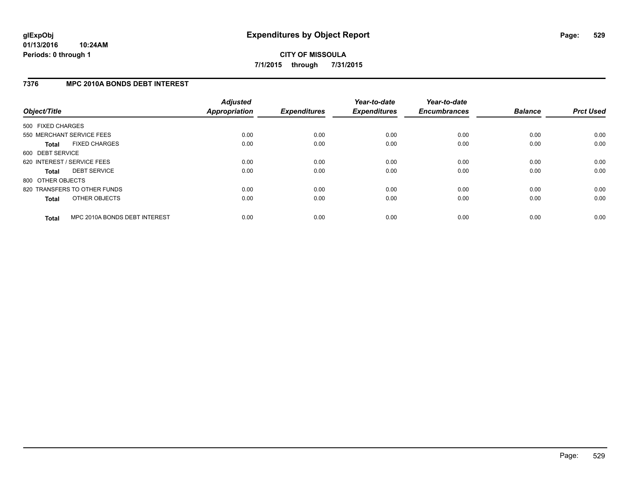## **7376 MPC 2010A BONDS DEBT INTEREST**

| Object/Title      |                               | <b>Adjusted</b><br><b>Appropriation</b> | <b>Expenditures</b> | Year-to-date<br><b>Expenditures</b> | Year-to-date<br><b>Encumbrances</b> | <b>Balance</b> | <b>Prct Used</b> |
|-------------------|-------------------------------|-----------------------------------------|---------------------|-------------------------------------|-------------------------------------|----------------|------------------|
| 500 FIXED CHARGES |                               |                                         |                     |                                     |                                     |                |                  |
|                   | 550 MERCHANT SERVICE FEES     | 0.00                                    | 0.00                | 0.00                                | 0.00                                | 0.00           | 0.00             |
| <b>Total</b>      | <b>FIXED CHARGES</b>          | 0.00                                    | 0.00                | 0.00                                | 0.00                                | 0.00           | 0.00             |
| 600 DEBT SERVICE  |                               |                                         |                     |                                     |                                     |                |                  |
|                   | 620 INTEREST / SERVICE FEES   | 0.00                                    | 0.00                | 0.00                                | 0.00                                | 0.00           | 0.00             |
| <b>Total</b>      | <b>DEBT SERVICE</b>           | 0.00                                    | 0.00                | 0.00                                | 0.00                                | 0.00           | 0.00             |
| 800 OTHER OBJECTS |                               |                                         |                     |                                     |                                     |                |                  |
|                   | 820 TRANSFERS TO OTHER FUNDS  | 0.00                                    | 0.00                | 0.00                                | 0.00                                | 0.00           | 0.00             |
| <b>Total</b>      | OTHER OBJECTS                 | 0.00                                    | 0.00                | 0.00                                | 0.00                                | 0.00           | 0.00             |
| <b>Total</b>      | MPC 2010A BONDS DEBT INTEREST | 0.00                                    | 0.00                | 0.00                                | 0.00                                | 0.00           | 0.00             |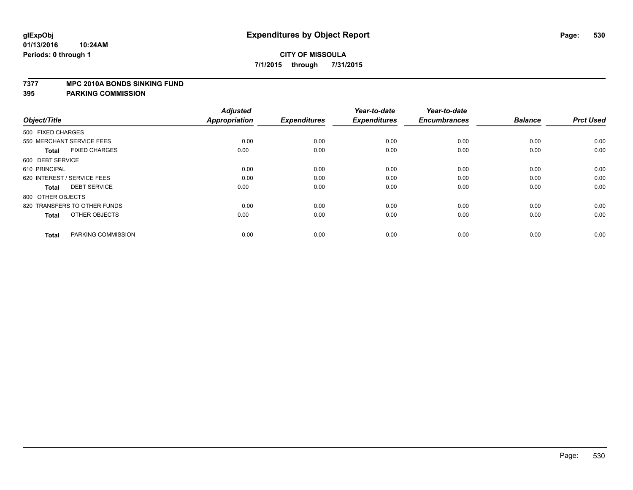#### **7377 MPC 2010A BONDS SINKING FUND**

| Object/Title                         | <b>Adjusted</b><br><b>Appropriation</b> | <b>Expenditures</b> | Year-to-date<br><b>Expenditures</b> | Year-to-date<br><b>Encumbrances</b> | <b>Balance</b> | <b>Prct Used</b> |
|--------------------------------------|-----------------------------------------|---------------------|-------------------------------------|-------------------------------------|----------------|------------------|
| 500 FIXED CHARGES                    |                                         |                     |                                     |                                     |                |                  |
| 550 MERCHANT SERVICE FEES            | 0.00                                    | 0.00                | 0.00                                | 0.00                                | 0.00           | 0.00             |
| <b>FIXED CHARGES</b><br><b>Total</b> | 0.00                                    | 0.00                | 0.00                                | 0.00                                | 0.00           | 0.00             |
| 600 DEBT SERVICE                     |                                         |                     |                                     |                                     |                |                  |
| 610 PRINCIPAL                        | 0.00                                    | 0.00                | 0.00                                | 0.00                                | 0.00           | 0.00             |
| 620 INTEREST / SERVICE FEES          | 0.00                                    | 0.00                | 0.00                                | 0.00                                | 0.00           | 0.00             |
| <b>DEBT SERVICE</b><br><b>Total</b>  | 0.00                                    | 0.00                | 0.00                                | 0.00                                | 0.00           | 0.00             |
| 800 OTHER OBJECTS                    |                                         |                     |                                     |                                     |                |                  |
| 820 TRANSFERS TO OTHER FUNDS         | 0.00                                    | 0.00                | 0.00                                | 0.00                                | 0.00           | 0.00             |
| OTHER OBJECTS<br><b>Total</b>        | 0.00                                    | 0.00                | 0.00                                | 0.00                                | 0.00           | 0.00             |
|                                      |                                         |                     |                                     |                                     |                |                  |
| PARKING COMMISSION<br><b>Total</b>   | 0.00                                    | 0.00                | 0.00                                | 0.00                                | 0.00           | 0.00             |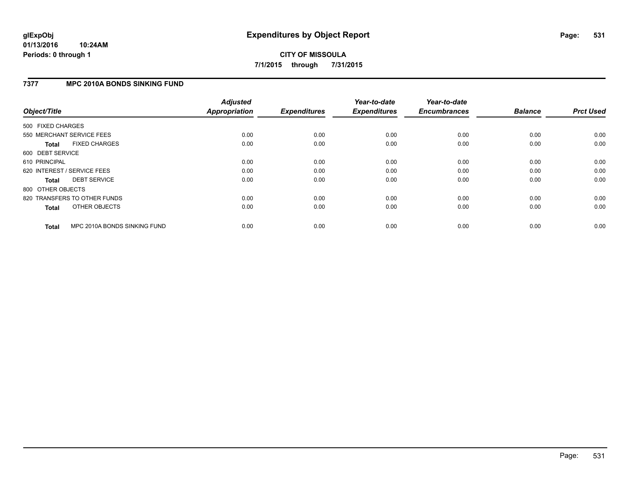## **7377 MPC 2010A BONDS SINKING FUND**

| Object/Title      |                              | <b>Adjusted</b><br><b>Appropriation</b> | <b>Expenditures</b> | Year-to-date<br><b>Expenditures</b> | Year-to-date<br><b>Encumbrances</b> | <b>Balance</b> | <b>Prct Used</b> |
|-------------------|------------------------------|-----------------------------------------|---------------------|-------------------------------------|-------------------------------------|----------------|------------------|
| 500 FIXED CHARGES |                              |                                         |                     |                                     |                                     |                |                  |
|                   | 550 MERCHANT SERVICE FEES    | 0.00                                    | 0.00                | 0.00                                | 0.00                                | 0.00           | 0.00             |
| <b>Total</b>      | <b>FIXED CHARGES</b>         | 0.00                                    | 0.00                | 0.00                                | 0.00                                | 0.00           | 0.00             |
| 600 DEBT SERVICE  |                              |                                         |                     |                                     |                                     |                |                  |
| 610 PRINCIPAL     |                              | 0.00                                    | 0.00                | 0.00                                | 0.00                                | 0.00           | 0.00             |
|                   | 620 INTEREST / SERVICE FEES  | 0.00                                    | 0.00                | 0.00                                | 0.00                                | 0.00           | 0.00             |
| <b>Total</b>      | <b>DEBT SERVICE</b>          | 0.00                                    | 0.00                | 0.00                                | 0.00                                | 0.00           | 0.00             |
| 800 OTHER OBJECTS |                              |                                         |                     |                                     |                                     |                |                  |
|                   | 820 TRANSFERS TO OTHER FUNDS | 0.00                                    | 0.00                | 0.00                                | 0.00                                | 0.00           | 0.00             |
| <b>Total</b>      | OTHER OBJECTS                | 0.00                                    | 0.00                | 0.00                                | 0.00                                | 0.00           | 0.00             |
| <b>Total</b>      | MPC 2010A BONDS SINKING FUND | 0.00                                    | 0.00                | 0.00                                | 0.00                                | 0.00           | 0.00             |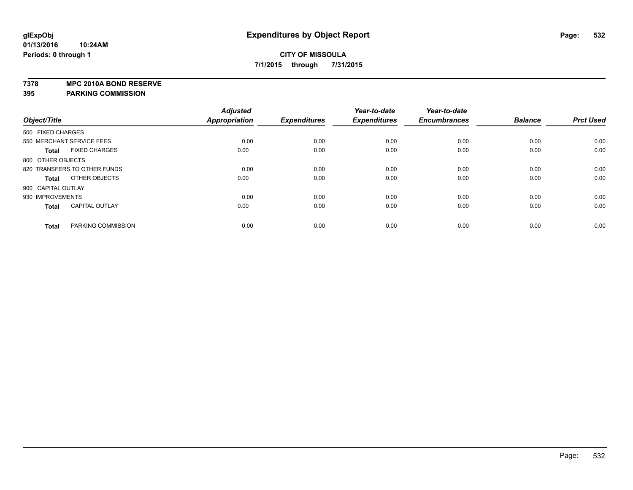**7378 MPC 2010A BOND RESERVE**

|                    |                              | <b>Adjusted</b> |                     | Year-to-date        | Year-to-date        |                |                  |
|--------------------|------------------------------|-----------------|---------------------|---------------------|---------------------|----------------|------------------|
| Object/Title       |                              | Appropriation   | <b>Expenditures</b> | <b>Expenditures</b> | <b>Encumbrances</b> | <b>Balance</b> | <b>Prct Used</b> |
| 500 FIXED CHARGES  |                              |                 |                     |                     |                     |                |                  |
|                    | 550 MERCHANT SERVICE FEES    | 0.00            | 0.00                | 0.00                | 0.00                | 0.00           | 0.00             |
| Total              | <b>FIXED CHARGES</b>         | 0.00            | 0.00                | 0.00                | 0.00                | 0.00           | 0.00             |
| 800 OTHER OBJECTS  |                              |                 |                     |                     |                     |                |                  |
|                    | 820 TRANSFERS TO OTHER FUNDS | 0.00            | 0.00                | 0.00                | 0.00                | 0.00           | 0.00             |
| <b>Total</b>       | OTHER OBJECTS                | 0.00            | 0.00                | 0.00                | 0.00                | 0.00           | 0.00             |
| 900 CAPITAL OUTLAY |                              |                 |                     |                     |                     |                |                  |
| 930 IMPROVEMENTS   |                              | 0.00            | 0.00                | 0.00                | 0.00                | 0.00           | 0.00             |
| <b>Total</b>       | <b>CAPITAL OUTLAY</b>        | 0.00            | 0.00                | 0.00                | 0.00                | 0.00           | 0.00             |
| <b>Total</b>       | PARKING COMMISSION           | 0.00            | 0.00                | 0.00                | 0.00                | 0.00           | 0.00             |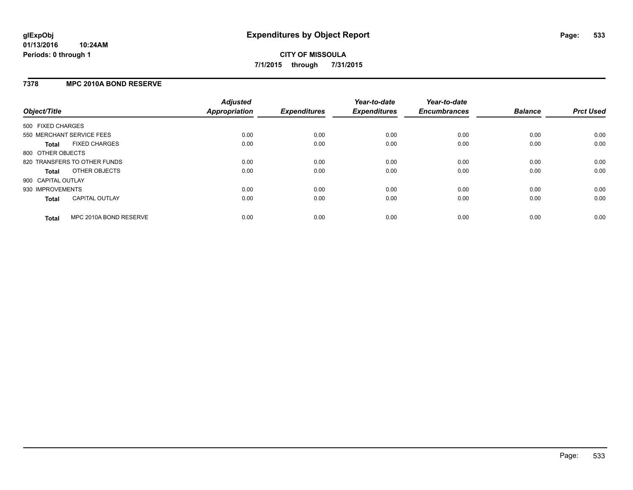### **7378 MPC 2010A BOND RESERVE**

| Object/Title       |                              | <b>Adjusted</b><br><b>Appropriation</b> | <b>Expenditures</b> | Year-to-date<br><b>Expenditures</b> | Year-to-date<br><b>Encumbrances</b> | <b>Balance</b> | <b>Prct Used</b> |
|--------------------|------------------------------|-----------------------------------------|---------------------|-------------------------------------|-------------------------------------|----------------|------------------|
| 500 FIXED CHARGES  |                              |                                         |                     |                                     |                                     |                |                  |
|                    | 550 MERCHANT SERVICE FEES    | 0.00                                    | 0.00                | 0.00                                | 0.00                                | 0.00           | 0.00             |
| <b>Total</b>       | <b>FIXED CHARGES</b>         | 0.00                                    | 0.00                | 0.00                                | 0.00                                | 0.00           | 0.00             |
| 800 OTHER OBJECTS  |                              |                                         |                     |                                     |                                     |                |                  |
|                    | 820 TRANSFERS TO OTHER FUNDS | 0.00                                    | 0.00                | 0.00                                | 0.00                                | 0.00           | 0.00             |
| <b>Total</b>       | OTHER OBJECTS                | 0.00                                    | 0.00                | 0.00                                | 0.00                                | 0.00           | 0.00             |
| 900 CAPITAL OUTLAY |                              |                                         |                     |                                     |                                     |                |                  |
| 930 IMPROVEMENTS   |                              | 0.00                                    | 0.00                | 0.00                                | 0.00                                | 0.00           | 0.00             |
| Total              | <b>CAPITAL OUTLAY</b>        | 0.00                                    | 0.00                | 0.00                                | 0.00                                | 0.00           | 0.00             |
| <b>Total</b>       | MPC 2010A BOND RESERVE       | 0.00                                    | 0.00                | 0.00                                | 0.00                                | 0.00           | 0.00             |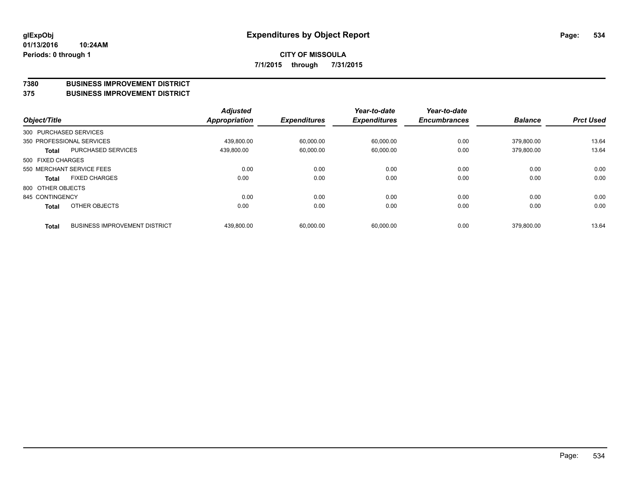#### **7380 BUSINESS IMPROVEMENT DISTRICT**

**375 BUSINESS IMPROVEMENT DISTRICT**

| Object/Title      |                                      | <b>Adjusted</b><br><b>Appropriation</b> | <b>Expenditures</b> | Year-to-date<br><b>Expenditures</b> | Year-to-date<br><b>Encumbrances</b> | <b>Balance</b> | <b>Prct Used</b> |
|-------------------|--------------------------------------|-----------------------------------------|---------------------|-------------------------------------|-------------------------------------|----------------|------------------|
|                   | 300 PURCHASED SERVICES               |                                         |                     |                                     |                                     |                |                  |
|                   | 350 PROFESSIONAL SERVICES            | 439.800.00                              | 60.000.00           | 60.000.00                           | 0.00                                | 379.800.00     | 13.64            |
| <b>Total</b>      | <b>PURCHASED SERVICES</b>            | 439.800.00                              | 60,000.00           | 60,000.00                           | 0.00                                | 379.800.00     | 13.64            |
| 500 FIXED CHARGES |                                      |                                         |                     |                                     |                                     |                |                  |
|                   | 550 MERCHANT SERVICE FEES            | 0.00                                    | 0.00                | 0.00                                | 0.00                                | 0.00           | 0.00             |
| <b>Total</b>      | <b>FIXED CHARGES</b>                 | 0.00                                    | 0.00                | 0.00                                | 0.00                                | 0.00           | 0.00             |
| 800 OTHER OBJECTS |                                      |                                         |                     |                                     |                                     |                |                  |
| 845 CONTINGENCY   |                                      | 0.00                                    | 0.00                | 0.00                                | 0.00                                | 0.00           | 0.00             |
| <b>Total</b>      | OTHER OBJECTS                        | 0.00                                    | 0.00                | 0.00                                | 0.00                                | 0.00           | 0.00             |
| <b>Total</b>      | <b>BUSINESS IMPROVEMENT DISTRICT</b> | 439,800.00                              | 60,000.00           | 60.000.00                           | 0.00                                | 379,800.00     | 13.64            |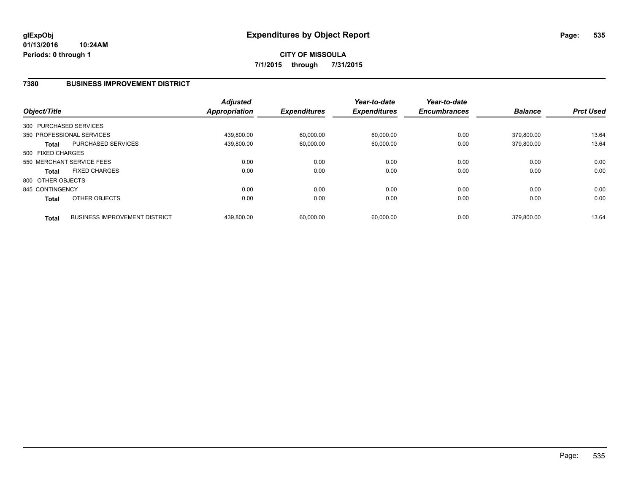## **7380 BUSINESS IMPROVEMENT DISTRICT**

| Object/Title      |                                      | <b>Adjusted</b><br><b>Appropriation</b> | <b>Expenditures</b> | Year-to-date<br><b>Expenditures</b> | Year-to-date<br><b>Encumbrances</b> | <b>Balance</b> | <b>Prct Used</b> |
|-------------------|--------------------------------------|-----------------------------------------|---------------------|-------------------------------------|-------------------------------------|----------------|------------------|
|                   | 300 PURCHASED SERVICES               |                                         |                     |                                     |                                     |                |                  |
|                   | 350 PROFESSIONAL SERVICES            | 439.800.00                              | 60,000.00           | 60,000.00                           | 0.00                                | 379.800.00     | 13.64            |
| <b>Total</b>      | <b>PURCHASED SERVICES</b>            | 439,800.00                              | 60,000.00           | 60,000.00                           | 0.00                                | 379,800.00     | 13.64            |
| 500 FIXED CHARGES |                                      |                                         |                     |                                     |                                     |                |                  |
|                   | 550 MERCHANT SERVICE FEES            | 0.00                                    | 0.00                | 0.00                                | 0.00                                | 0.00           | 0.00             |
| <b>Total</b>      | <b>FIXED CHARGES</b>                 | 0.00                                    | 0.00                | 0.00                                | 0.00                                | 0.00           | 0.00             |
| 800 OTHER OBJECTS |                                      |                                         |                     |                                     |                                     |                |                  |
| 845 CONTINGENCY   |                                      | 0.00                                    | 0.00                | 0.00                                | 0.00                                | 0.00           | 0.00             |
| <b>Total</b>      | OTHER OBJECTS                        | 0.00                                    | 0.00                | 0.00                                | 0.00                                | 0.00           | 0.00             |
| <b>Total</b>      | <b>BUSINESS IMPROVEMENT DISTRICT</b> | 439.800.00                              | 60.000.00           | 60.000.00                           | 0.00                                | 379.800.00     | 13.64            |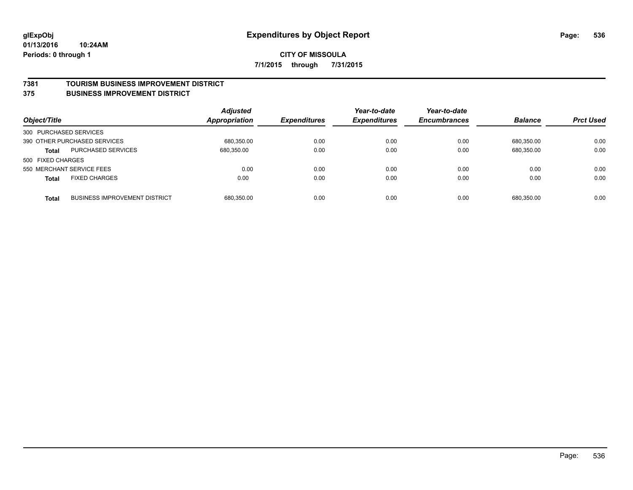#### **7381 TOURISM BUSINESS IMPROVEMENT DISTRICT**

#### **375 BUSINESS IMPROVEMENT DISTRICT**

| Object/Title           |                                      | <b>Adjusted</b><br><b>Appropriation</b> | <b>Expenditures</b> | Year-to-date<br><b>Expenditures</b> | Year-to-date<br><b>Encumbrances</b> | <b>Balance</b> | <b>Prct Used</b> |
|------------------------|--------------------------------------|-----------------------------------------|---------------------|-------------------------------------|-------------------------------------|----------------|------------------|
| 300 PURCHASED SERVICES |                                      |                                         |                     |                                     |                                     |                |                  |
|                        | 390 OTHER PURCHASED SERVICES         | 680,350.00                              | 0.00                | 0.00                                | 0.00                                | 680.350.00     | 0.00             |
| <b>Total</b>           | <b>PURCHASED SERVICES</b>            | 680.350.00                              | 0.00                | 0.00                                | 0.00                                | 680,350.00     | 0.00             |
| 500 FIXED CHARGES      |                                      |                                         |                     |                                     |                                     |                |                  |
|                        | 550 MERCHANT SERVICE FEES            | 0.00                                    | 0.00                | 0.00                                | 0.00                                | 0.00           | 0.00             |
| <b>Total</b>           | <b>FIXED CHARGES</b>                 | 0.00                                    | 0.00                | 0.00                                | 0.00                                | 0.00           | 0.00             |
| <b>Total</b>           | <b>BUSINESS IMPROVEMENT DISTRICT</b> | 680,350.00                              | 0.00                | 0.00                                | 0.00                                | 680.350.00     | 0.00             |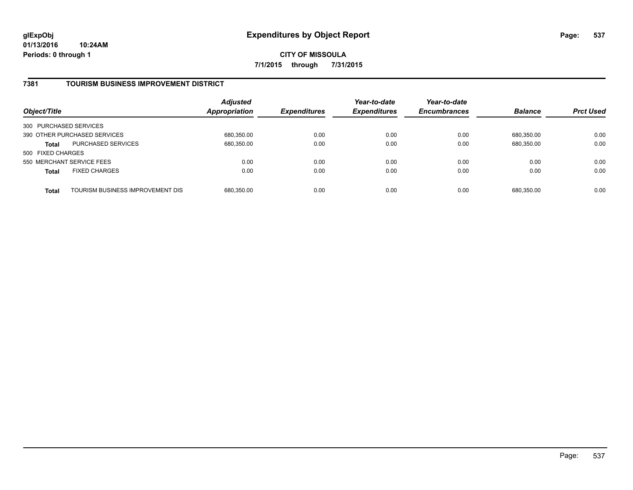## **7381 TOURISM BUSINESS IMPROVEMENT DISTRICT**

| Object/Title              |                                  | <b>Adjusted</b><br>Appropriation | <b>Expenditures</b> | Year-to-date<br><b>Expenditures</b> | Year-to-date<br><b>Encumbrances</b> | <b>Balance</b> | <b>Prct Used</b> |
|---------------------------|----------------------------------|----------------------------------|---------------------|-------------------------------------|-------------------------------------|----------------|------------------|
| 300 PURCHASED SERVICES    |                                  |                                  |                     |                                     |                                     |                |                  |
|                           | 390 OTHER PURCHASED SERVICES     | 680,350.00                       | 0.00                | 0.00                                | 0.00                                | 680.350.00     | 0.00             |
| <b>Total</b>              | <b>PURCHASED SERVICES</b>        | 680,350.00                       | 0.00                | 0.00                                | 0.00                                | 680,350.00     | 0.00             |
| 500 FIXED CHARGES         |                                  |                                  |                     |                                     |                                     |                |                  |
| 550 MERCHANT SERVICE FEES |                                  | 0.00                             | 0.00                | 0.00                                | 0.00                                | 0.00           | 0.00             |
| <b>Total</b>              | <b>FIXED CHARGES</b>             | 0.00                             | 0.00                | 0.00                                | 0.00                                | 0.00           | 0.00             |
| <b>Total</b>              | TOURISM BUSINESS IMPROVEMENT DIS | 680,350.00                       | 0.00                | 0.00                                | 0.00                                | 680,350.00     | 0.00             |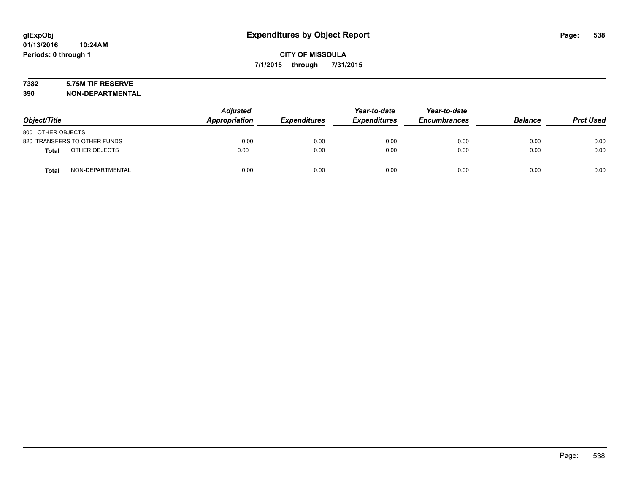# **7382 5.75M TIF RESERVE**

**390 NON-DEPARTMENTAL**

| Object/Title      |                              | <b>Adjusted</b><br>Appropriation | <b>Expenditures</b> | Year-to-date<br><b>Expenditures</b> | Year-to-date<br><b>Encumbrances</b> | <b>Balance</b> | <b>Prct Used</b> |
|-------------------|------------------------------|----------------------------------|---------------------|-------------------------------------|-------------------------------------|----------------|------------------|
| 800 OTHER OBJECTS |                              |                                  |                     |                                     |                                     |                |                  |
|                   | 820 TRANSFERS TO OTHER FUNDS | 0.00                             | 0.00                | 0.00                                | 0.00                                | 0.00           | 0.00             |
| <b>Total</b>      | OTHER OBJECTS                | 0.00                             | 0.00                | 0.00                                | 0.00                                | 0.00           | 0.00             |
| <b>Total</b>      | NON-DEPARTMENTAL             | 0.00                             | 0.00                | 0.00                                | 0.00                                | 0.00           | 0.00             |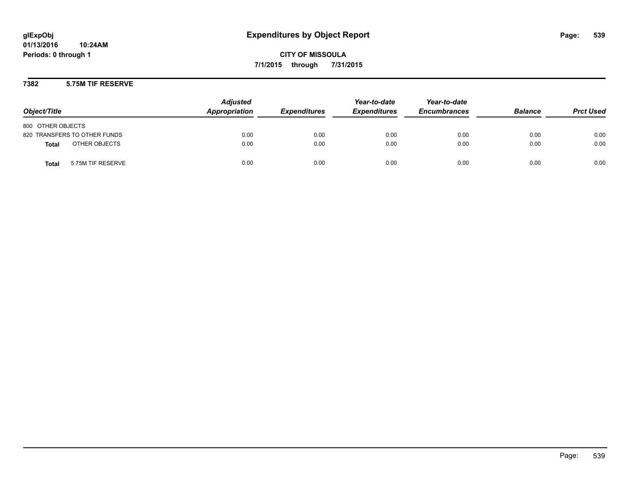### **7382 5.75M TIF RESERVE**

| Object/Title                      | <b>Adjusted</b><br>Appropriation | <b>Expenditures</b> | Year-to-date<br><b>Expenditures</b> | Year-to-date<br><b>Encumbrances</b> | <b>Balance</b> | <b>Prct Used</b> |
|-----------------------------------|----------------------------------|---------------------|-------------------------------------|-------------------------------------|----------------|------------------|
| 800 OTHER OBJECTS                 |                                  |                     |                                     |                                     |                |                  |
| 820 TRANSFERS TO OTHER FUNDS      | 0.00                             | 0.00                | 0.00                                | 0.00                                | 0.00           | 0.00             |
| OTHER OBJECTS<br><b>Total</b>     | 0.00                             | 0.00                | 0.00                                | 0.00                                | 0.00           | 0.00             |
| 5.75M TIF RESERVE<br><b>Total</b> | 0.00                             | 0.00                | 0.00                                | 0.00                                | 0.00           | 0.00             |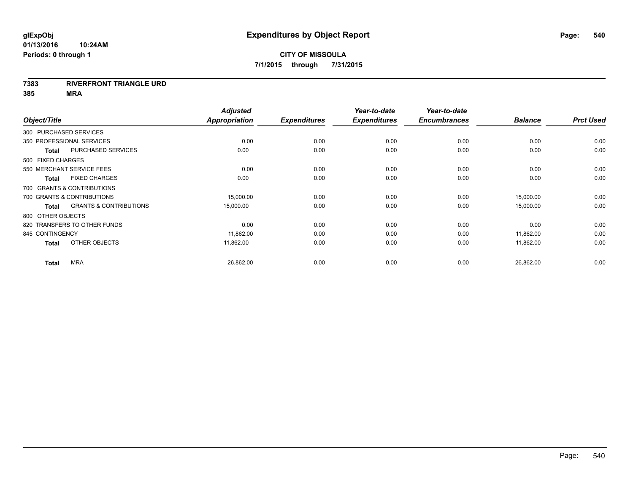#### **7383 RIVERFRONT TRIANGLE URD**

**385 MRA**

|                   |                                   | <b>Adjusted</b>      |                     | Year-to-date        | Year-to-date        |                |                  |
|-------------------|-----------------------------------|----------------------|---------------------|---------------------|---------------------|----------------|------------------|
| Object/Title      |                                   | <b>Appropriation</b> | <b>Expenditures</b> | <b>Expenditures</b> | <b>Encumbrances</b> | <b>Balance</b> | <b>Prct Used</b> |
|                   | 300 PURCHASED SERVICES            |                      |                     |                     |                     |                |                  |
|                   | 350 PROFESSIONAL SERVICES         | 0.00                 | 0.00                | 0.00                | 0.00                | 0.00           | 0.00             |
| <b>Total</b>      | <b>PURCHASED SERVICES</b>         | 0.00                 | 0.00                | 0.00                | 0.00                | 0.00           | 0.00             |
| 500 FIXED CHARGES |                                   |                      |                     |                     |                     |                |                  |
|                   | 550 MERCHANT SERVICE FEES         | 0.00                 | 0.00                | 0.00                | 0.00                | 0.00           | 0.00             |
| <b>Total</b>      | <b>FIXED CHARGES</b>              | 0.00                 | 0.00                | 0.00                | 0.00                | 0.00           | 0.00             |
|                   | 700 GRANTS & CONTRIBUTIONS        |                      |                     |                     |                     |                |                  |
|                   | 700 GRANTS & CONTRIBUTIONS        | 15,000.00            | 0.00                | 0.00                | 0.00                | 15,000.00      | 0.00             |
| <b>Total</b>      | <b>GRANTS &amp; CONTRIBUTIONS</b> | 15,000.00            | 0.00                | 0.00                | 0.00                | 15,000.00      | 0.00             |
| 800 OTHER OBJECTS |                                   |                      |                     |                     |                     |                |                  |
|                   | 820 TRANSFERS TO OTHER FUNDS      | 0.00                 | 0.00                | 0.00                | 0.00                | 0.00           | 0.00             |
| 845 CONTINGENCY   |                                   | 11,862.00            | 0.00                | 0.00                | 0.00                | 11,862.00      | 0.00             |
| <b>Total</b>      | OTHER OBJECTS                     | 11,862.00            | 0.00                | 0.00                | 0.00                | 11,862.00      | 0.00             |
| <b>Total</b>      | <b>MRA</b>                        | 26,862.00            | 0.00                | 0.00                | 0.00                | 26,862.00      | 0.00             |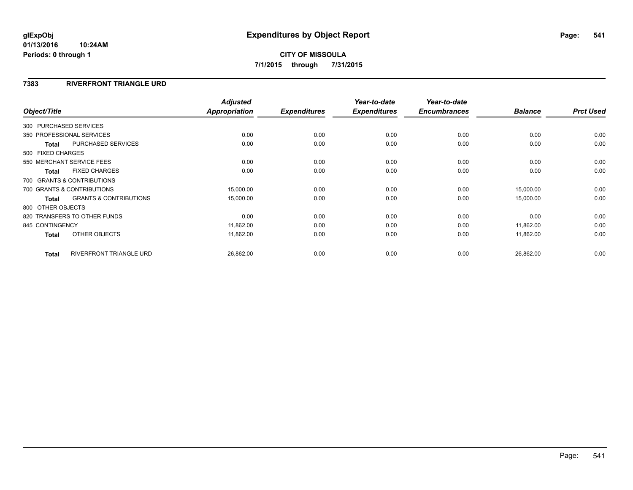#### **7383 RIVERFRONT TRIANGLE URD**

| Object/Title           |                                   | <b>Adjusted</b><br><b>Appropriation</b> | <b>Expenditures</b> | Year-to-date<br><b>Expenditures</b> | Year-to-date<br><b>Encumbrances</b> | <b>Balance</b> | <b>Prct Used</b> |
|------------------------|-----------------------------------|-----------------------------------------|---------------------|-------------------------------------|-------------------------------------|----------------|------------------|
|                        |                                   |                                         |                     |                                     |                                     |                |                  |
| 300 PURCHASED SERVICES |                                   |                                         |                     |                                     |                                     |                |                  |
|                        | 350 PROFESSIONAL SERVICES         | 0.00                                    | 0.00                | 0.00                                | 0.00                                | 0.00           | 0.00             |
| <b>Total</b>           | <b>PURCHASED SERVICES</b>         | 0.00                                    | 0.00                | 0.00                                | 0.00                                | 0.00           | 0.00             |
| 500 FIXED CHARGES      |                                   |                                         |                     |                                     |                                     |                |                  |
|                        | 550 MERCHANT SERVICE FEES         | 0.00                                    | 0.00                | 0.00                                | 0.00                                | 0.00           | 0.00             |
| <b>Total</b>           | <b>FIXED CHARGES</b>              | 0.00                                    | 0.00                | 0.00                                | 0.00                                | 0.00           | 0.00             |
|                        | 700 GRANTS & CONTRIBUTIONS        |                                         |                     |                                     |                                     |                |                  |
|                        | 700 GRANTS & CONTRIBUTIONS        | 15,000.00                               | 0.00                | 0.00                                | 0.00                                | 15,000.00      | 0.00             |
| Total                  | <b>GRANTS &amp; CONTRIBUTIONS</b> | 15,000.00                               | 0.00                | 0.00                                | 0.00                                | 15,000.00      | 0.00             |
| 800 OTHER OBJECTS      |                                   |                                         |                     |                                     |                                     |                |                  |
|                        | 820 TRANSFERS TO OTHER FUNDS      | 0.00                                    | 0.00                | 0.00                                | 0.00                                | 0.00           | 0.00             |
| 845 CONTINGENCY        |                                   | 11,862.00                               | 0.00                | 0.00                                | 0.00                                | 11,862.00      | 0.00             |
| Total                  | OTHER OBJECTS                     | 11,862.00                               | 0.00                | 0.00                                | 0.00                                | 11,862.00      | 0.00             |
| <b>Total</b>           | <b>RIVERFRONT TRIANGLE URD</b>    | 26,862.00                               | 0.00                | 0.00                                | 0.00                                | 26,862.00      | 0.00             |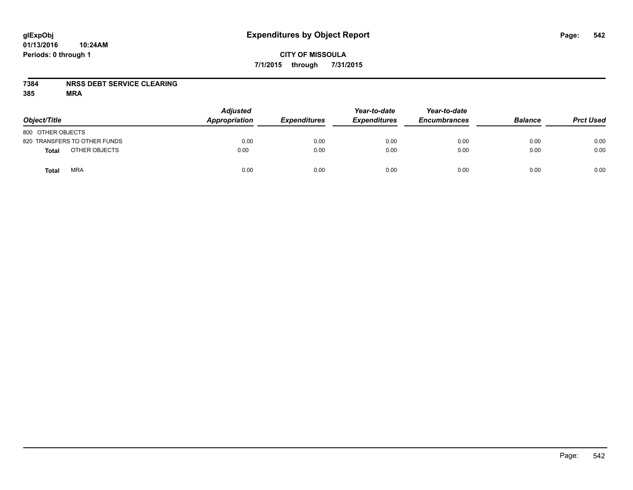#### **7384 NRSS DEBT SERVICE CLEARING**

| Object/Title                 | <b>Adjusted</b><br>Appropriation | <b>Expenditures</b> | Year-to-date<br><b>Expenditures</b> | Year-to-date<br><b>Encumbrances</b> | <b>Balance</b> | <b>Prct Used</b> |
|------------------------------|----------------------------------|---------------------|-------------------------------------|-------------------------------------|----------------|------------------|
| 800 OTHER OBJECTS            |                                  |                     |                                     |                                     |                |                  |
| 820 TRANSFERS TO OTHER FUNDS | 0.00                             | 0.00                | 0.00                                | 0.00                                | 0.00           | 0.00             |
| OTHER OBJECTS<br>Total       | 0.00                             | 0.00                | 0.00                                | 0.00                                | 0.00           | 0.00             |
| <b>MRA</b><br>Total          | 0.00                             | 0.00                | 0.00                                | 0.00                                | 0.00           | 0.00             |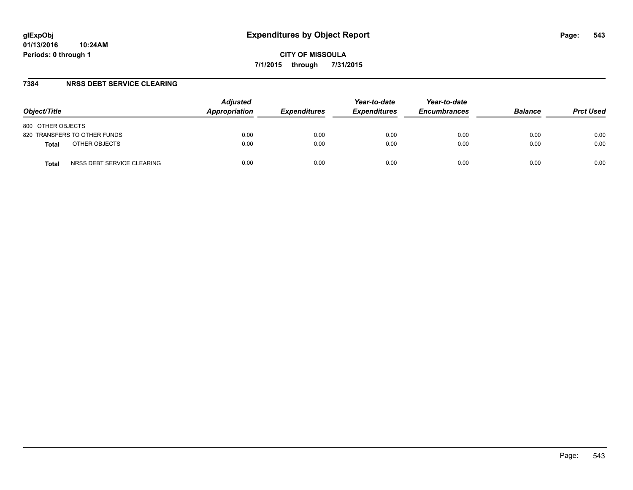#### **7384 NRSS DEBT SERVICE CLEARING**

| Object/Title                               | <b>Adjusted</b><br>Appropriation | <b>Expenditures</b> | Year-to-date<br><b>Expenditures</b> | Year-to-date<br><b>Encumbrances</b> | <b>Balance</b> | <b>Prct Used</b> |
|--------------------------------------------|----------------------------------|---------------------|-------------------------------------|-------------------------------------|----------------|------------------|
| 800 OTHER OBJECTS                          |                                  |                     |                                     |                                     |                |                  |
| 820 TRANSFERS TO OTHER FUNDS               | 0.00                             | 0.00                | 0.00                                | 0.00                                | 0.00           | 0.00             |
| OTHER OBJECTS<br><b>Total</b>              | 0.00                             | 0.00                | 0.00                                | 0.00                                | 0.00           | 0.00             |
| NRSS DEBT SERVICE CLEARING<br><b>Total</b> | 0.00                             | 0.00                | 0.00                                | 0.00                                | 0.00           | 0.00             |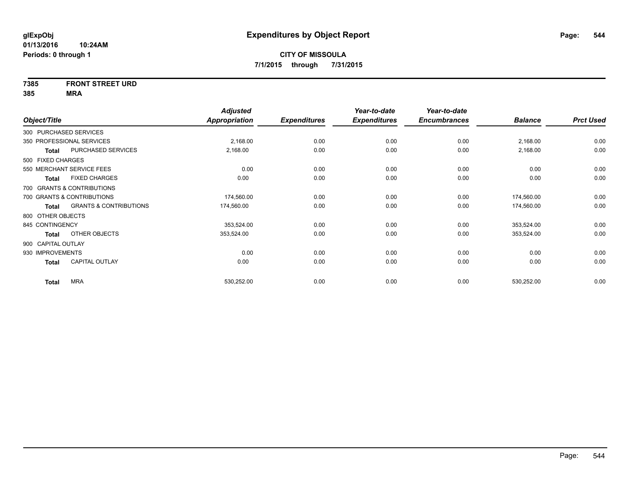## **7385 FRONT STREET URD**

|                    |                                   | <b>Adjusted</b> |                     | Year-to-date        | Year-to-date        |                |                  |
|--------------------|-----------------------------------|-----------------|---------------------|---------------------|---------------------|----------------|------------------|
| Object/Title       |                                   | Appropriation   | <b>Expenditures</b> | <b>Expenditures</b> | <b>Encumbrances</b> | <b>Balance</b> | <b>Prct Used</b> |
|                    | 300 PURCHASED SERVICES            |                 |                     |                     |                     |                |                  |
|                    | 350 PROFESSIONAL SERVICES         | 2,168.00        | 0.00                | 0.00                | 0.00                | 2,168.00       | 0.00             |
| Total              | PURCHASED SERVICES                | 2,168.00        | 0.00                | 0.00                | 0.00                | 2,168.00       | 0.00             |
| 500 FIXED CHARGES  |                                   |                 |                     |                     |                     |                |                  |
|                    | 550 MERCHANT SERVICE FEES         | 0.00            | 0.00                | 0.00                | 0.00                | 0.00           | 0.00             |
| Total              | <b>FIXED CHARGES</b>              | 0.00            | 0.00                | 0.00                | 0.00                | 0.00           | 0.00             |
|                    | 700 GRANTS & CONTRIBUTIONS        |                 |                     |                     |                     |                |                  |
|                    | 700 GRANTS & CONTRIBUTIONS        | 174,560.00      | 0.00                | 0.00                | 0.00                | 174,560.00     | 0.00             |
| Total              | <b>GRANTS &amp; CONTRIBUTIONS</b> | 174,560.00      | 0.00                | 0.00                | 0.00                | 174,560.00     | 0.00             |
| 800 OTHER OBJECTS  |                                   |                 |                     |                     |                     |                |                  |
| 845 CONTINGENCY    |                                   | 353,524.00      | 0.00                | 0.00                | 0.00                | 353,524.00     | 0.00             |
| Total              | OTHER OBJECTS                     | 353,524.00      | 0.00                | 0.00                | 0.00                | 353,524.00     | 0.00             |
| 900 CAPITAL OUTLAY |                                   |                 |                     |                     |                     |                |                  |
| 930 IMPROVEMENTS   |                                   | 0.00            | 0.00                | 0.00                | 0.00                | 0.00           | 0.00             |
| <b>Total</b>       | <b>CAPITAL OUTLAY</b>             | 0.00            | 0.00                | 0.00                | 0.00                | 0.00           | 0.00             |
| <b>Total</b>       | <b>MRA</b>                        | 530,252.00      | 0.00                | 0.00                | 0.00                | 530,252.00     | 0.00             |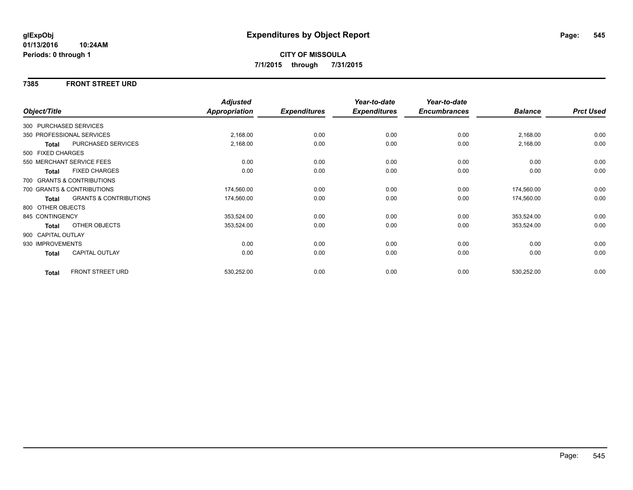#### **7385 FRONT STREET URD**

|                    |                                   | <b>Adjusted</b> |                     | Year-to-date        | Year-to-date        |                |                  |
|--------------------|-----------------------------------|-----------------|---------------------|---------------------|---------------------|----------------|------------------|
| Object/Title       |                                   | Appropriation   | <b>Expenditures</b> | <b>Expenditures</b> | <b>Encumbrances</b> | <b>Balance</b> | <b>Prct Used</b> |
|                    | 300 PURCHASED SERVICES            |                 |                     |                     |                     |                |                  |
|                    | 350 PROFESSIONAL SERVICES         | 2,168.00        | 0.00                | 0.00                | 0.00                | 2,168.00       | 0.00             |
| Total              | PURCHASED SERVICES                | 2,168.00        | 0.00                | 0.00                | 0.00                | 2,168.00       | 0.00             |
| 500 FIXED CHARGES  |                                   |                 |                     |                     |                     |                |                  |
|                    | 550 MERCHANT SERVICE FEES         | 0.00            | 0.00                | 0.00                | 0.00                | 0.00           | 0.00             |
| <b>Total</b>       | <b>FIXED CHARGES</b>              | 0.00            | 0.00                | 0.00                | 0.00                | 0.00           | 0.00             |
|                    | 700 GRANTS & CONTRIBUTIONS        |                 |                     |                     |                     |                |                  |
|                    | 700 GRANTS & CONTRIBUTIONS        | 174,560.00      | 0.00                | 0.00                | 0.00                | 174,560.00     | 0.00             |
| Total              | <b>GRANTS &amp; CONTRIBUTIONS</b> | 174,560.00      | 0.00                | 0.00                | 0.00                | 174,560.00     | 0.00             |
| 800 OTHER OBJECTS  |                                   |                 |                     |                     |                     |                |                  |
| 845 CONTINGENCY    |                                   | 353,524.00      | 0.00                | 0.00                | 0.00                | 353,524.00     | 0.00             |
| Total              | OTHER OBJECTS                     | 353,524.00      | 0.00                | 0.00                | 0.00                | 353,524.00     | 0.00             |
| 900 CAPITAL OUTLAY |                                   |                 |                     |                     |                     |                |                  |
| 930 IMPROVEMENTS   |                                   | 0.00            | 0.00                | 0.00                | 0.00                | 0.00           | 0.00             |
| <b>Total</b>       | CAPITAL OUTLAY                    | 0.00            | 0.00                | 0.00                | 0.00                | 0.00           | 0.00             |
| <b>Total</b>       | <b>FRONT STREET URD</b>           | 530,252.00      | 0.00                | 0.00                | 0.00                | 530,252.00     | 0.00             |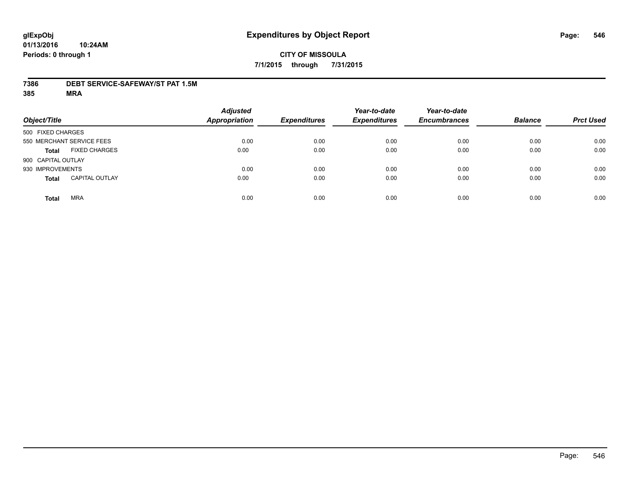#### **7386 DEBT SERVICE-SAFEWAY/ST PAT 1.5M**

| Object/Title       |                           | <b>Adjusted</b><br><b>Appropriation</b> | <b>Expenditures</b> | Year-to-date<br><b>Expenditures</b> | Year-to-date<br><b>Encumbrances</b> | <b>Balance</b> | <b>Prct Used</b> |
|--------------------|---------------------------|-----------------------------------------|---------------------|-------------------------------------|-------------------------------------|----------------|------------------|
| 500 FIXED CHARGES  |                           |                                         |                     |                                     |                                     |                |                  |
|                    | 550 MERCHANT SERVICE FEES | 0.00                                    | 0.00                | 0.00                                | 0.00                                | 0.00           | 0.00             |
| <b>Total</b>       | <b>FIXED CHARGES</b>      | 0.00                                    | 0.00                | 0.00                                | 0.00                                | 0.00           | 0.00             |
| 900 CAPITAL OUTLAY |                           |                                         |                     |                                     |                                     |                |                  |
| 930 IMPROVEMENTS   |                           | 0.00                                    | 0.00                | 0.00                                | 0.00                                | 0.00           | 0.00             |
| <b>Total</b>       | <b>CAPITAL OUTLAY</b>     | 0.00                                    | 0.00                | 0.00                                | 0.00                                | 0.00           | 0.00             |
| <b>Total</b>       | <b>MRA</b>                | 0.00                                    | 0.00                | 0.00                                | 0.00                                | 0.00           | 0.00             |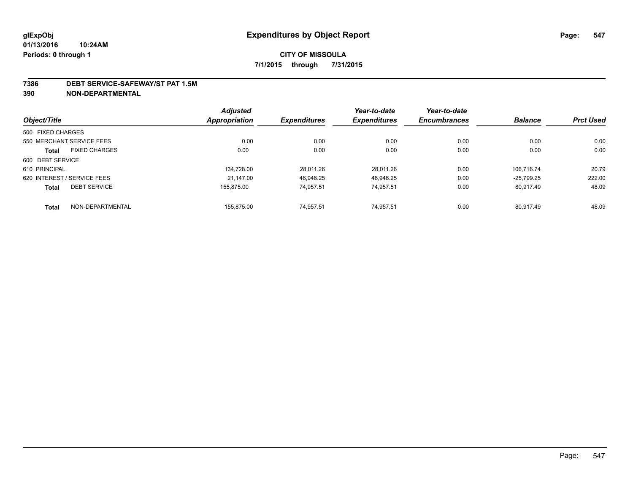#### **7386 DEBT SERVICE-SAFEWAY/ST PAT 1.5M**

**390 NON-DEPARTMENTAL**

|                   |                             | <b>Adjusted</b> |                     | Year-to-date        | Year-to-date        |                |                  |
|-------------------|-----------------------------|-----------------|---------------------|---------------------|---------------------|----------------|------------------|
| Object/Title      |                             | Appropriation   | <b>Expenditures</b> | <b>Expenditures</b> | <b>Encumbrances</b> | <b>Balance</b> | <b>Prct Used</b> |
| 500 FIXED CHARGES |                             |                 |                     |                     |                     |                |                  |
|                   | 550 MERCHANT SERVICE FEES   | 0.00            | 0.00                | 0.00                | 0.00                | 0.00           | 0.00             |
| <b>Total</b>      | <b>FIXED CHARGES</b>        | 0.00            | 0.00                | 0.00                | 0.00                | 0.00           | 0.00             |
| 600 DEBT SERVICE  |                             |                 |                     |                     |                     |                |                  |
| 610 PRINCIPAL     |                             | 134.728.00      | 28.011.26           | 28.011.26           | 0.00                | 106.716.74     | 20.79            |
|                   | 620 INTEREST / SERVICE FEES | 21.147.00       | 46.946.25           | 46.946.25           | 0.00                | $-25.799.25$   | 222.00           |
| <b>Total</b>      | <b>DEBT SERVICE</b>         | 155.875.00      | 74.957.51           | 74.957.51           | 0.00                | 80.917.49      | 48.09            |
| <b>Total</b>      | NON-DEPARTMENTAL            | 155.875.00      | 74.957.51           | 74.957.51           | 0.00                | 80.917.49      | 48.09            |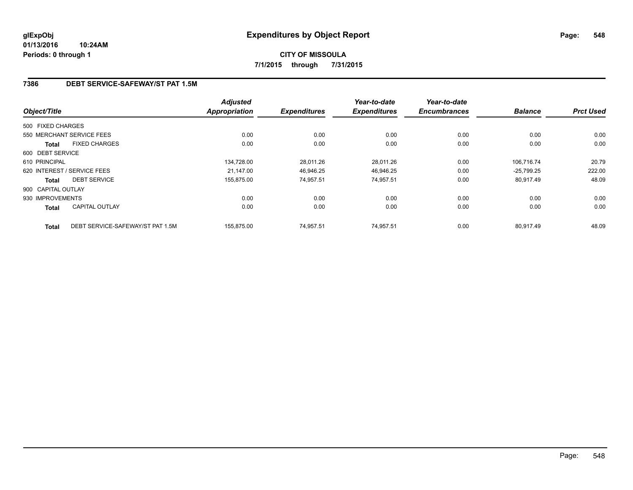## **7386 DEBT SERVICE-SAFEWAY/ST PAT 1.5M**

| Object/Title       |                                  | <b>Adjusted</b><br><b>Appropriation</b> | <b>Expenditures</b> | Year-to-date<br><b>Expenditures</b> | Year-to-date<br><b>Encumbrances</b> | <b>Balance</b> | <b>Prct Used</b> |
|--------------------|----------------------------------|-----------------------------------------|---------------------|-------------------------------------|-------------------------------------|----------------|------------------|
|                    |                                  |                                         |                     |                                     |                                     |                |                  |
| 500 FIXED CHARGES  |                                  |                                         |                     |                                     |                                     |                |                  |
|                    | 550 MERCHANT SERVICE FEES        | 0.00                                    | 0.00                | 0.00                                | 0.00                                | 0.00           | 0.00             |
| <b>Total</b>       | <b>FIXED CHARGES</b>             | 0.00                                    | 0.00                | 0.00                                | 0.00                                | 0.00           | 0.00             |
| 600 DEBT SERVICE   |                                  |                                         |                     |                                     |                                     |                |                  |
| 610 PRINCIPAL      |                                  | 134.728.00                              | 28.011.26           | 28.011.26                           | 0.00                                | 106.716.74     | 20.79            |
|                    | 620 INTEREST / SERVICE FEES      | 21,147.00                               | 46,946.25           | 46,946.25                           | 0.00                                | $-25,799.25$   | 222.00           |
| <b>Total</b>       | <b>DEBT SERVICE</b>              | 155,875.00                              | 74,957.51           | 74,957.51                           | 0.00                                | 80,917.49      | 48.09            |
| 900 CAPITAL OUTLAY |                                  |                                         |                     |                                     |                                     |                |                  |
| 930 IMPROVEMENTS   |                                  | 0.00                                    | 0.00                | 0.00                                | 0.00                                | 0.00           | 0.00             |
| Total              | <b>CAPITAL OUTLAY</b>            | 0.00                                    | 0.00                | 0.00                                | 0.00                                | 0.00           | 0.00             |
| <b>Total</b>       | DEBT SERVICE-SAFEWAY/ST PAT 1.5M | 155.875.00                              | 74,957.51           | 74.957.51                           | 0.00                                | 80.917.49      | 48.09            |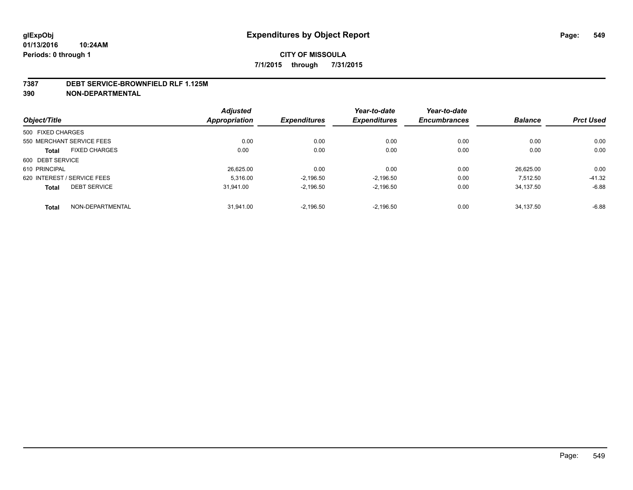#### **7387 DEBT SERVICE-BROWNFIELD RLF 1.125M**

**390 NON-DEPARTMENTAL**

|                   |                             | <b>Adjusted</b> |                     | Year-to-date        | Year-to-date        |                |                  |
|-------------------|-----------------------------|-----------------|---------------------|---------------------|---------------------|----------------|------------------|
| Object/Title      |                             | Appropriation   | <b>Expenditures</b> | <b>Expenditures</b> | <b>Encumbrances</b> | <b>Balance</b> | <b>Prct Used</b> |
| 500 FIXED CHARGES |                             |                 |                     |                     |                     |                |                  |
|                   | 550 MERCHANT SERVICE FEES   | 0.00            | 0.00                | 0.00                | 0.00                | 0.00           | 0.00             |
| <b>Total</b>      | <b>FIXED CHARGES</b>        | 0.00            | 0.00                | 0.00                | 0.00                | 0.00           | 0.00             |
| 600 DEBT SERVICE  |                             |                 |                     |                     |                     |                |                  |
| 610 PRINCIPAL     |                             | 26,625.00       | 0.00                | 0.00                | 0.00                | 26.625.00      | 0.00             |
|                   | 620 INTEREST / SERVICE FEES | 5.316.00        | $-2,196.50$         | $-2.196.50$         | 0.00                | 7.512.50       | $-41.32$         |
| <b>Total</b>      | <b>DEBT SERVICE</b>         | 31,941.00       | $-2.196.50$         | $-2.196.50$         | 0.00                | 34.137.50      | $-6.88$          |
| <b>Total</b>      | NON-DEPARTMENTAL            | 31.941.00       | $-2.196.50$         | $-2.196.50$         | 0.00                | 34.137.50      | $-6.88$          |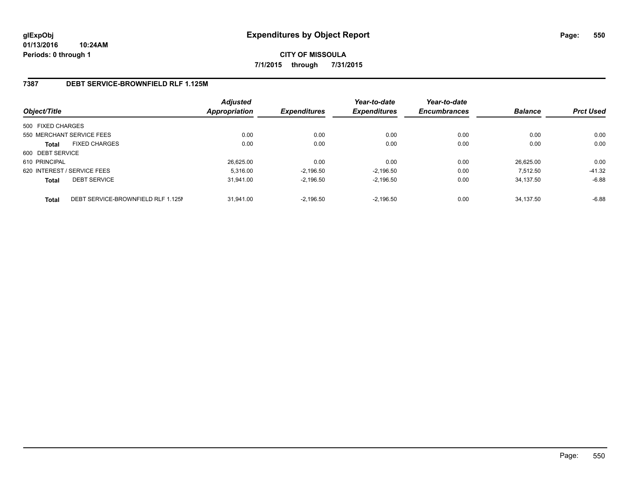## **7387 DEBT SERVICE-BROWNFIELD RLF 1.125M**

| Object/Title      |                                    | <b>Adjusted</b><br><b>Appropriation</b> | <b>Expenditures</b> | Year-to-date<br><b>Expenditures</b> | Year-to-date<br><b>Encumbrances</b> | <b>Balance</b> | <b>Prct Used</b> |
|-------------------|------------------------------------|-----------------------------------------|---------------------|-------------------------------------|-------------------------------------|----------------|------------------|
| 500 FIXED CHARGES |                                    |                                         |                     |                                     |                                     |                |                  |
|                   | 550 MERCHANT SERVICE FEES          | 0.00                                    | 0.00                | 0.00                                | 0.00                                | 0.00           | 0.00             |
| <b>Total</b>      | <b>FIXED CHARGES</b>               | 0.00                                    | 0.00                | 0.00                                | 0.00                                | 0.00           | 0.00             |
| 600 DEBT SERVICE  |                                    |                                         |                     |                                     |                                     |                |                  |
| 610 PRINCIPAL     |                                    | 26.625.00                               | 0.00                | 0.00                                | 0.00                                | 26.625.00      | 0.00             |
|                   | 620 INTEREST / SERVICE FEES        | 5.316.00                                | $-2.196.50$         | $-2.196.50$                         | 0.00                                | 7.512.50       | $-41.32$         |
| <b>Total</b>      | <b>DEBT SERVICE</b>                | 31.941.00                               | $-2.196.50$         | $-2.196.50$                         | 0.00                                | 34.137.50      | $-6.88$          |
| <b>Total</b>      | DEBT SERVICE-BROWNFIELD RLF 1.125M | 31.941.00                               | $-2.196.50$         | $-2.196.50$                         | 0.00                                | 34.137.50      | $-6.88$          |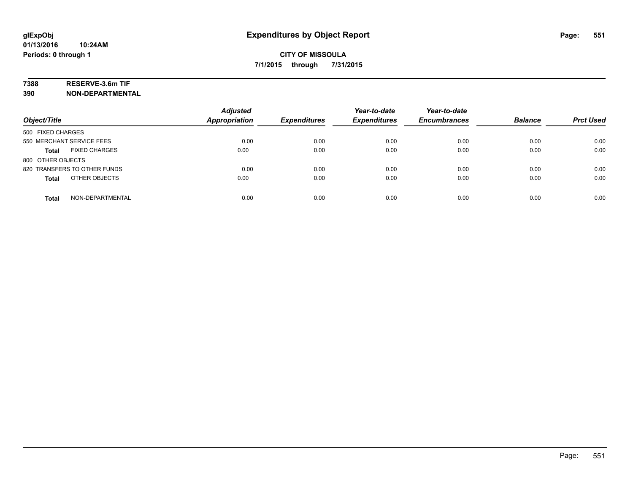## **7388 RESERVE-3.6m TIF**

**390 NON-DEPARTMENTAL**

| Object/Title                     | <b>Adjusted</b><br><b>Appropriation</b> | <b>Expenditures</b> | Year-to-date<br><b>Expenditures</b> | Year-to-date<br><b>Encumbrances</b> | <b>Balance</b> | <b>Prct Used</b> |
|----------------------------------|-----------------------------------------|---------------------|-------------------------------------|-------------------------------------|----------------|------------------|
| 500 FIXED CHARGES                |                                         |                     |                                     |                                     |                |                  |
| 550 MERCHANT SERVICE FEES        | 0.00                                    | 0.00                | 0.00                                | 0.00                                | 0.00           | 0.00             |
| <b>FIXED CHARGES</b><br>Total    | 0.00                                    | 0.00                | 0.00                                | 0.00                                | 0.00           | 0.00             |
| 800 OTHER OBJECTS                |                                         |                     |                                     |                                     |                |                  |
| 820 TRANSFERS TO OTHER FUNDS     | 0.00                                    | 0.00                | 0.00                                | 0.00                                | 0.00           | 0.00             |
| OTHER OBJECTS<br><b>Total</b>    | 0.00                                    | 0.00                | 0.00                                | 0.00                                | 0.00           | 0.00             |
| NON-DEPARTMENTAL<br><b>Total</b> | 0.00                                    | 0.00                | 0.00                                | 0.00                                | 0.00           | 0.00             |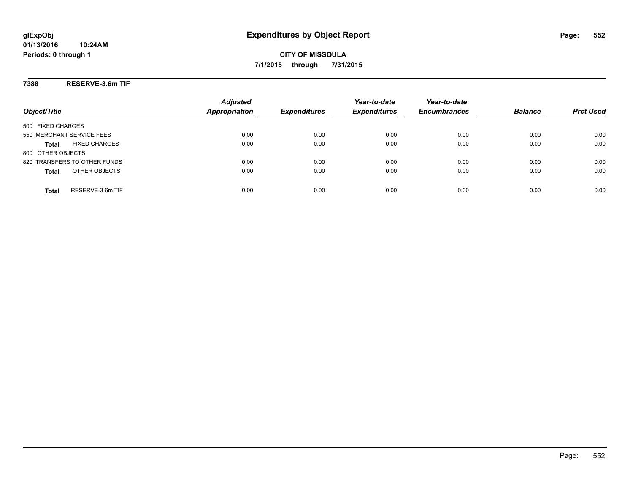## **7388 RESERVE-3.6m TIF**

|                                      | <b>Adjusted</b>      |                     | Year-to-date        | Year-to-date        |                |                  |
|--------------------------------------|----------------------|---------------------|---------------------|---------------------|----------------|------------------|
| Object/Title                         | <b>Appropriation</b> | <b>Expenditures</b> | <b>Expenditures</b> | <b>Encumbrances</b> | <b>Balance</b> | <b>Prct Used</b> |
| 500 FIXED CHARGES                    |                      |                     |                     |                     |                |                  |
| 550 MERCHANT SERVICE FEES            | 0.00                 | 0.00                | 0.00                | 0.00                | 0.00           | 0.00             |
| <b>FIXED CHARGES</b><br><b>Total</b> | 0.00                 | 0.00                | 0.00                | 0.00                | 0.00           | 0.00             |
| 800 OTHER OBJECTS                    |                      |                     |                     |                     |                |                  |
| 820 TRANSFERS TO OTHER FUNDS         | 0.00                 | 0.00                | 0.00                | 0.00                | 0.00           | 0.00             |
| OTHER OBJECTS<br><b>Total</b>        | 0.00                 | 0.00                | 0.00                | 0.00                | 0.00           | 0.00             |
| RESERVE-3.6m TIF<br>Total            | 0.00                 | 0.00                | 0.00                | 0.00                | 0.00           | 0.00             |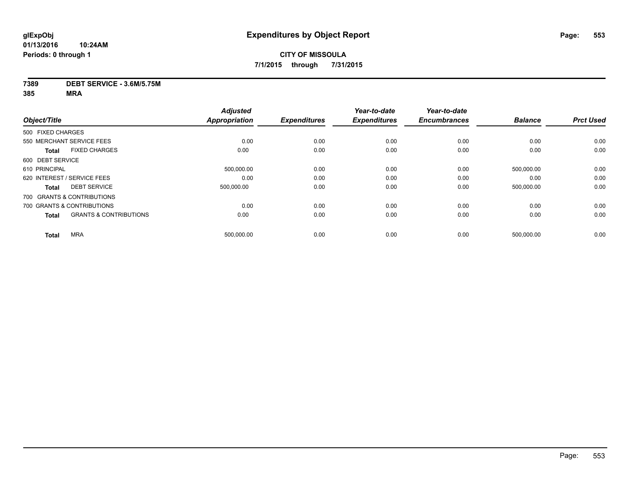#### **7389 DEBT SERVICE - 3.6M/5.75M**

|                             |                                   | <b>Adjusted</b>      |                     | Year-to-date        | Year-to-date        |                |                  |
|-----------------------------|-----------------------------------|----------------------|---------------------|---------------------|---------------------|----------------|------------------|
| Object/Title                |                                   | <b>Appropriation</b> | <b>Expenditures</b> | <b>Expenditures</b> | <b>Encumbrances</b> | <b>Balance</b> | <b>Prct Used</b> |
| 500 FIXED CHARGES           |                                   |                      |                     |                     |                     |                |                  |
| 550 MERCHANT SERVICE FEES   |                                   | 0.00                 | 0.00                | 0.00                | 0.00                | 0.00           | 0.00             |
| <b>Total</b>                | <b>FIXED CHARGES</b>              | 0.00                 | 0.00                | 0.00                | 0.00                | 0.00           | 0.00             |
| 600 DEBT SERVICE            |                                   |                      |                     |                     |                     |                |                  |
| 610 PRINCIPAL               |                                   | 500,000.00           | 0.00                | 0.00                | 0.00                | 500,000.00     | 0.00             |
| 620 INTEREST / SERVICE FEES |                                   | 0.00                 | 0.00                | 0.00                | 0.00                | 0.00           | 0.00             |
| <b>Total</b>                | <b>DEBT SERVICE</b>               | 500,000.00           | 0.00                | 0.00                | 0.00                | 500,000.00     | 0.00             |
| 700 GRANTS & CONTRIBUTIONS  |                                   |                      |                     |                     |                     |                |                  |
| 700 GRANTS & CONTRIBUTIONS  |                                   | 0.00                 | 0.00                | 0.00                | 0.00                | 0.00           | 0.00             |
| <b>Total</b>                | <b>GRANTS &amp; CONTRIBUTIONS</b> | 0.00                 | 0.00                | 0.00                | 0.00                | 0.00           | 0.00             |
| <b>MRA</b><br><b>Total</b>  |                                   | 500,000.00           | 0.00                | 0.00                | 0.00                | 500,000.00     | 0.00             |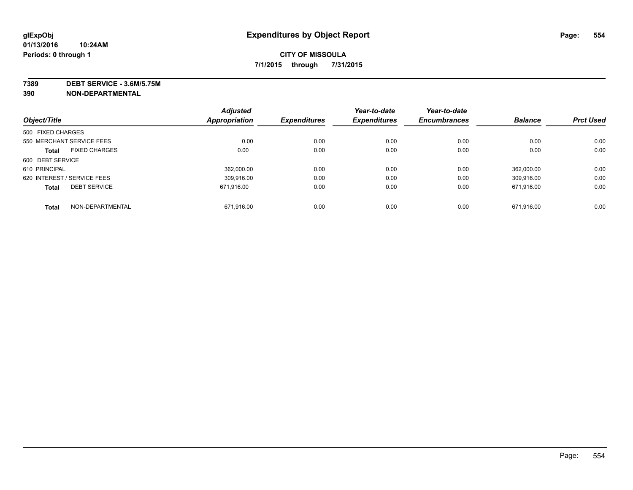**7389 DEBT SERVICE - 3.6M/5.75M**

**390 NON-DEPARTMENTAL**

| Object/Title      |                             | <b>Adjusted</b> | <b>Expenditures</b> | Year-to-date<br><b>Expenditures</b> | Year-to-date<br><b>Encumbrances</b> | <b>Balance</b> | <b>Prct Used</b> |
|-------------------|-----------------------------|-----------------|---------------------|-------------------------------------|-------------------------------------|----------------|------------------|
|                   |                             | Appropriation   |                     |                                     |                                     |                |                  |
| 500 FIXED CHARGES |                             |                 |                     |                                     |                                     |                |                  |
|                   | 550 MERCHANT SERVICE FEES   | 0.00            | 0.00                | 0.00                                | 0.00                                | 0.00           | 0.00             |
| <b>Total</b>      | <b>FIXED CHARGES</b>        | 0.00            | 0.00                | 0.00                                | 0.00                                | 0.00           | 0.00             |
| 600 DEBT SERVICE  |                             |                 |                     |                                     |                                     |                |                  |
| 610 PRINCIPAL     |                             | 362.000.00      | 0.00                | 0.00                                | 0.00                                | 362.000.00     | 0.00             |
|                   | 620 INTEREST / SERVICE FEES | 309.916.00      | 0.00                | 0.00                                | 0.00                                | 309.916.00     | 0.00             |
| <b>Total</b>      | <b>DEBT SERVICE</b>         | 671.916.00      | 0.00                | 0.00                                | 0.00                                | 671.916.00     | 0.00             |
| <b>Total</b>      | NON-DEPARTMENTAL            | 671,916.00      | 0.00                | 0.00                                | 0.00                                | 671,916.00     | 0.00             |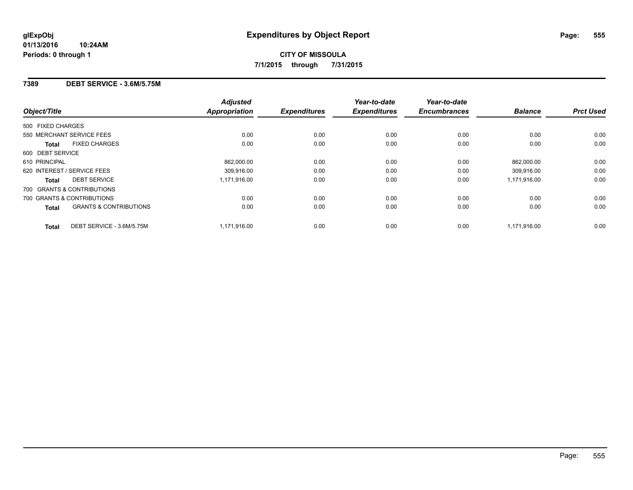#### **7389 DEBT SERVICE - 3.6M/5.75M**

| Object/Title                                      | <b>Adjusted</b><br><b>Appropriation</b> | <b>Expenditures</b> | Year-to-date<br><b>Expenditures</b> | Year-to-date<br><b>Encumbrances</b> | <b>Balance</b> | <b>Prct Used</b> |
|---------------------------------------------------|-----------------------------------------|---------------------|-------------------------------------|-------------------------------------|----------------|------------------|
| 500 FIXED CHARGES                                 |                                         |                     |                                     |                                     |                |                  |
| 550 MERCHANT SERVICE FEES                         | 0.00                                    | 0.00                | 0.00                                | 0.00                                | 0.00           | 0.00             |
| <b>FIXED CHARGES</b><br><b>Total</b>              | 0.00                                    | 0.00                | 0.00                                | 0.00                                | 0.00           | 0.00             |
| 600 DEBT SERVICE                                  |                                         |                     |                                     |                                     |                |                  |
| 610 PRINCIPAL                                     | 862,000.00                              | 0.00                | 0.00                                | 0.00                                | 862,000.00     | 0.00             |
| 620 INTEREST / SERVICE FEES                       | 309.916.00                              | 0.00                | 0.00                                | 0.00                                | 309,916.00     | 0.00             |
| <b>DEBT SERVICE</b><br><b>Total</b>               | 1,171,916.00                            | 0.00                | 0.00                                | 0.00                                | 1,171,916.00   | 0.00             |
| 700 GRANTS & CONTRIBUTIONS                        |                                         |                     |                                     |                                     |                |                  |
| 700 GRANTS & CONTRIBUTIONS                        | 0.00                                    | 0.00                | 0.00                                | 0.00                                | 0.00           | 0.00             |
| <b>GRANTS &amp; CONTRIBUTIONS</b><br><b>Total</b> | 0.00                                    | 0.00                | 0.00                                | 0.00                                | 0.00           | 0.00             |
| DEBT SERVICE - 3.6M/5.75M<br><b>Total</b>         | 1,171,916.00                            | 0.00                | 0.00                                | 0.00                                | 1,171,916.00   | 0.00             |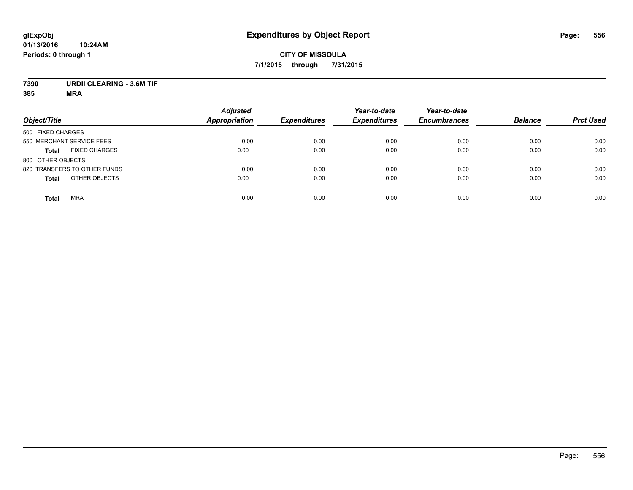## **7390 URDII CLEARING - 3.6M TIF**

| Object/Title                         | <b>Adjusted</b><br>Appropriation | <b>Expenditures</b> | Year-to-date<br><b>Expenditures</b> | Year-to-date<br><b>Encumbrances</b> | <b>Balance</b> | <b>Prct Used</b> |
|--------------------------------------|----------------------------------|---------------------|-------------------------------------|-------------------------------------|----------------|------------------|
| 500 FIXED CHARGES                    |                                  |                     |                                     |                                     |                |                  |
| 550 MERCHANT SERVICE FEES            | 0.00                             | 0.00                | 0.00                                | 0.00                                | 0.00           | 0.00             |
| <b>FIXED CHARGES</b><br><b>Total</b> | 0.00                             | 0.00                | 0.00                                | 0.00                                | 0.00           | 0.00             |
| 800 OTHER OBJECTS                    |                                  |                     |                                     |                                     |                |                  |
| 820 TRANSFERS TO OTHER FUNDS         | 0.00                             | 0.00                | 0.00                                | 0.00                                | 0.00           | 0.00             |
| OTHER OBJECTS<br><b>Total</b>        | 0.00                             | 0.00                | 0.00                                | 0.00                                | 0.00           | 0.00             |
| <b>MRA</b><br><b>Total</b>           | 0.00                             | 0.00                | 0.00                                | 0.00                                | 0.00           | 0.00             |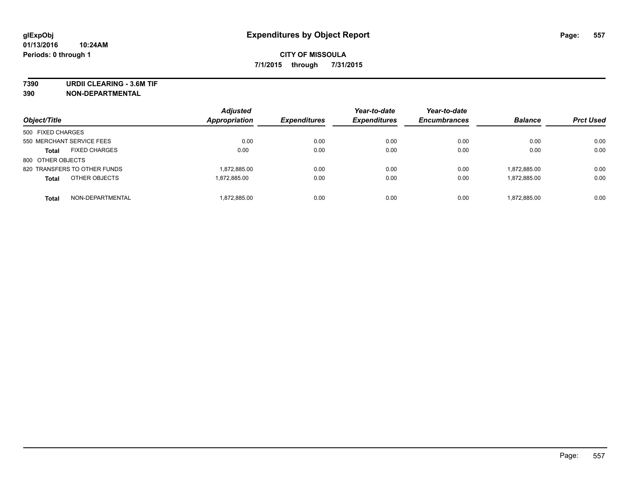**7390 URDII CLEARING - 3.6M TIF**

**390 NON-DEPARTMENTAL**

| Object/Title                         | <b>Adjusted</b><br>Appropriation | <b>Expenditures</b> | Year-to-date<br><b>Expenditures</b> | Year-to-date<br><b>Encumbrances</b> | <b>Balance</b> | <b>Prct Used</b> |
|--------------------------------------|----------------------------------|---------------------|-------------------------------------|-------------------------------------|----------------|------------------|
| 500 FIXED CHARGES                    |                                  |                     |                                     |                                     |                |                  |
| 550 MERCHANT SERVICE FEES            | 0.00                             | 0.00                | 0.00                                | 0.00                                | 0.00           | 0.00             |
| <b>FIXED CHARGES</b><br><b>Total</b> | 0.00                             | 0.00                | 0.00                                | 0.00                                | 0.00           | 0.00             |
| 800 OTHER OBJECTS                    |                                  |                     |                                     |                                     |                |                  |
| 820 TRANSFERS TO OTHER FUNDS         | 1,872,885.00                     | 0.00                | 0.00                                | 0.00                                | 1,872,885.00   | 0.00             |
| OTHER OBJECTS<br><b>Total</b>        | 1.872.885.00                     | 0.00                | 0.00                                | 0.00                                | 1,872,885.00   | 0.00             |
| NON-DEPARTMENTAL<br><b>Total</b>     | 1,872,885.00                     | 0.00                | 0.00                                | 0.00                                | 1.872.885.00   | 0.00             |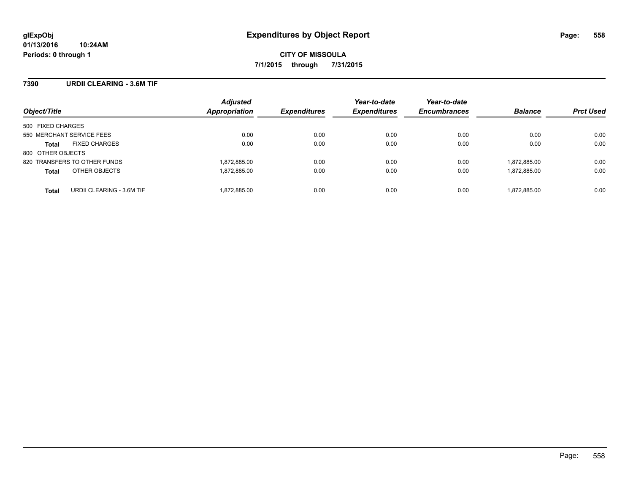## **7390 URDII CLEARING - 3.6M TIF**

| Object/Title                              | <b>Adjusted</b><br>Appropriation | <b>Expenditures</b> | Year-to-date<br><b>Expenditures</b> | Year-to-date<br><b>Encumbrances</b> | <b>Balance</b> | <b>Prct Used</b> |
|-------------------------------------------|----------------------------------|---------------------|-------------------------------------|-------------------------------------|----------------|------------------|
| 500 FIXED CHARGES                         |                                  |                     |                                     |                                     |                |                  |
| 550 MERCHANT SERVICE FEES                 | 0.00                             | 0.00                | 0.00                                | 0.00                                | 0.00           | 0.00             |
| <b>FIXED CHARGES</b><br><b>Total</b>      | 0.00                             | 0.00                | 0.00                                | 0.00                                | 0.00           | 0.00             |
| 800 OTHER OBJECTS                         |                                  |                     |                                     |                                     |                |                  |
| 820 TRANSFERS TO OTHER FUNDS              | 1,872,885.00                     | 0.00                | 0.00                                | 0.00                                | 1,872,885.00   | 0.00             |
| OTHER OBJECTS<br><b>Total</b>             | 1,872,885.00                     | 0.00                | 0.00                                | 0.00                                | 1,872,885.00   | 0.00             |
| URDII CLEARING - 3.6M TIF<br><b>Total</b> | 1,872,885.00                     | 0.00                | 0.00                                | 0.00                                | 1,872,885.00   | 0.00             |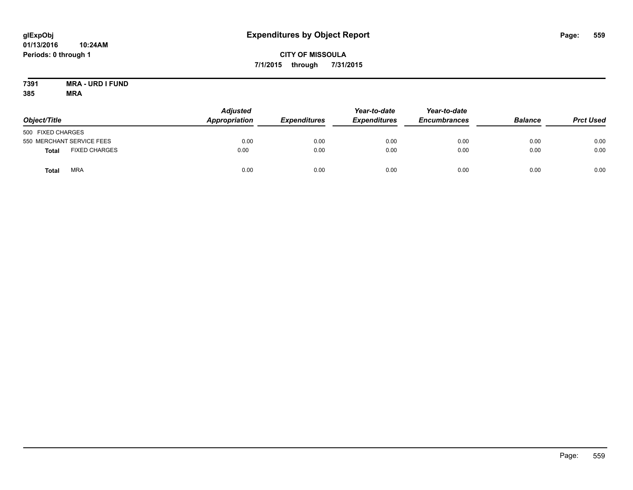## **CITY OF MISSOULA 7/1/2015 through 7/31/2015**

#### **7391 MRA - URD I FUND 385 MRA**

| Object/Title      |                           | <b>Adjusted</b><br>Appropriation | <b>Expenditures</b> | Year-to-date<br><b>Expenditures</b> | Year-to-date<br><b>Encumbrances</b> | <b>Balance</b> | <b>Prct Used</b> |
|-------------------|---------------------------|----------------------------------|---------------------|-------------------------------------|-------------------------------------|----------------|------------------|
| 500 FIXED CHARGES |                           |                                  |                     |                                     |                                     |                |                  |
|                   | 550 MERCHANT SERVICE FEES | 0.00                             | 0.00                | 0.00                                | 0.00                                | 0.00           | 0.00             |
| Total             | <b>FIXED CHARGES</b>      | 0.00                             | 0.00                | 0.00                                | 0.00                                | 0.00           | 0.00             |
| Total             | <b>MRA</b>                | 0.00                             | 0.00                | 0.00                                | 0.00                                | 0.00           | 0.00             |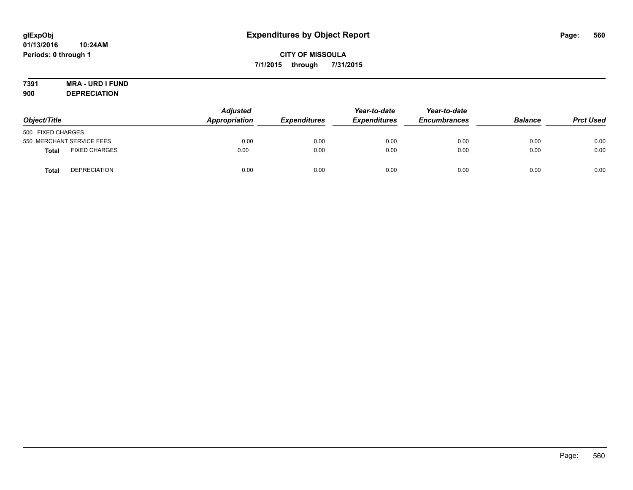# **7391 MRA - URD I FUND**

**900 DEPRECIATION**

| Object/Title              |                      | <b>Adjusted</b><br>Appropriation | <b>Expenditures</b> | Year-to-date<br><b>Expenditures</b> | Year-to-date<br><b>Encumbrances</b> | <b>Balance</b> | <b>Prct Used</b> |
|---------------------------|----------------------|----------------------------------|---------------------|-------------------------------------|-------------------------------------|----------------|------------------|
| 500 FIXED CHARGES         |                      |                                  |                     |                                     |                                     |                |                  |
| 550 MERCHANT SERVICE FEES |                      | 0.00                             | 0.00                | 0.00                                | 0.00                                | 0.00           | 0.00             |
| <b>Total</b>              | <b>FIXED CHARGES</b> | 0.00                             | 0.00                | 0.00                                | 0.00                                | 0.00           | 0.00             |
| <b>Total</b>              | <b>DEPRECIATION</b>  | 0.00                             | 0.00                | 0.00                                | 0.00                                | 0.00           | 0.00             |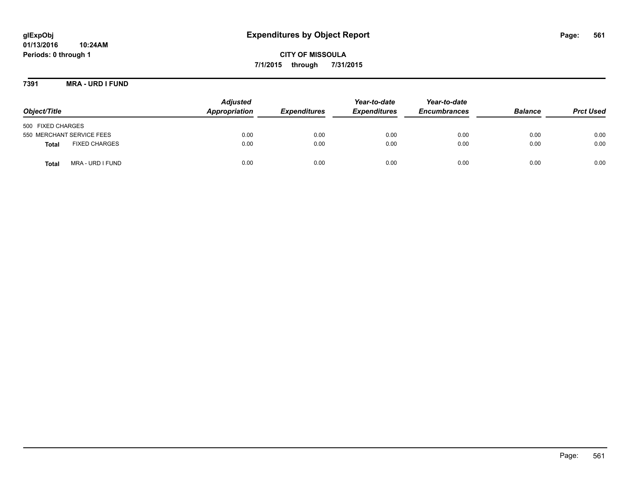**CITY OF MISSOULA 7/1/2015 through 7/31/2015**

**7391 MRA - URD I FUND**

| Object/Title                         | <b>Adjusted</b><br>Appropriation | <b>Expenditures</b> | Year-to-date<br><b>Expenditures</b> | Year-to-date<br><b>Encumbrances</b> | <b>Balance</b> | <b>Prct Used</b> |
|--------------------------------------|----------------------------------|---------------------|-------------------------------------|-------------------------------------|----------------|------------------|
| 500 FIXED CHARGES                    |                                  |                     |                                     |                                     |                |                  |
| 550 MERCHANT SERVICE FEES            | 0.00                             | 0.00                | 0.00                                | 0.00                                | 0.00           | 0.00             |
| <b>FIXED CHARGES</b><br><b>Total</b> | 0.00                             | 0.00                | 0.00                                | 0.00                                | 0.00           | 0.00             |
| MRA - URD I FUND<br>Total            | 0.00                             | 0.00                | 0.00                                | 0.00                                | 0.00           | 0.00             |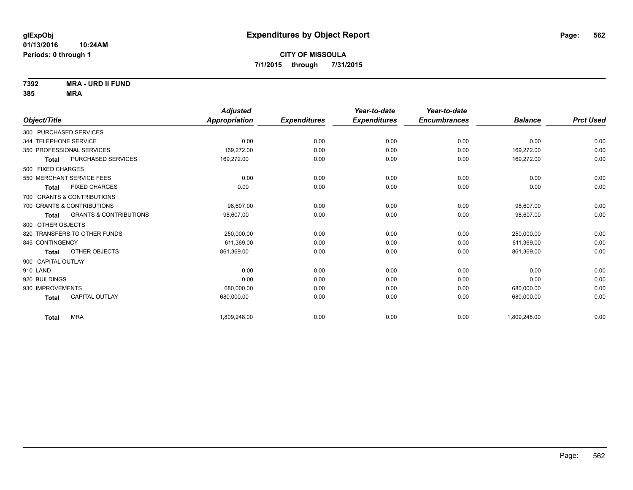**7392 MRA - URD II FUND**

|                                                   | <b>Adjusted</b> |                     | Year-to-date        | Year-to-date        |                |                  |
|---------------------------------------------------|-----------------|---------------------|---------------------|---------------------|----------------|------------------|
| Object/Title                                      | Appropriation   | <b>Expenditures</b> | <b>Expenditures</b> | <b>Encumbrances</b> | <b>Balance</b> | <b>Prct Used</b> |
| 300 PURCHASED SERVICES                            |                 |                     |                     |                     |                |                  |
| 344 TELEPHONE SERVICE                             | 0.00            | 0.00                | 0.00                | 0.00                | 0.00           | 0.00             |
| 350 PROFESSIONAL SERVICES                         | 169,272.00      | 0.00                | 0.00                | 0.00                | 169,272.00     | 0.00             |
| <b>PURCHASED SERVICES</b><br><b>Total</b>         | 169,272.00      | 0.00                | 0.00                | 0.00                | 169,272.00     | 0.00             |
| 500 FIXED CHARGES                                 |                 |                     |                     |                     |                |                  |
| 550 MERCHANT SERVICE FEES                         | 0.00            | 0.00                | 0.00                | 0.00                | 0.00           | 0.00             |
| <b>FIXED CHARGES</b><br>Total                     | 0.00            | 0.00                | 0.00                | 0.00                | 0.00           | 0.00             |
| 700 GRANTS & CONTRIBUTIONS                        |                 |                     |                     |                     |                |                  |
| 700 GRANTS & CONTRIBUTIONS                        | 98,607.00       | 0.00                | 0.00                | 0.00                | 98,607.00      | 0.00             |
| <b>GRANTS &amp; CONTRIBUTIONS</b><br><b>Total</b> | 98,607.00       | 0.00                | 0.00                | 0.00                | 98,607.00      | 0.00             |
| 800 OTHER OBJECTS                                 |                 |                     |                     |                     |                |                  |
| 820 TRANSFERS TO OTHER FUNDS                      | 250,000.00      | 0.00                | 0.00                | 0.00                | 250,000.00     | 0.00             |
| 845 CONTINGENCY                                   | 611,369.00      | 0.00                | 0.00                | 0.00                | 611,369.00     | 0.00             |
| OTHER OBJECTS<br><b>Total</b>                     | 861,369.00      | 0.00                | 0.00                | 0.00                | 861,369.00     | 0.00             |
| 900 CAPITAL OUTLAY                                |                 |                     |                     |                     |                |                  |
| 910 LAND                                          | 0.00            | 0.00                | 0.00                | 0.00                | 0.00           | 0.00             |
| 920 BUILDINGS                                     | 0.00            | 0.00                | 0.00                | 0.00                | 0.00           | 0.00             |
| 930 IMPROVEMENTS                                  | 680,000.00      | 0.00                | 0.00                | 0.00                | 680,000.00     | 0.00             |
| <b>CAPITAL OUTLAY</b><br><b>Total</b>             | 680,000.00      | 0.00                | 0.00                | 0.00                | 680,000.00     | 0.00             |
| <b>MRA</b><br><b>Total</b>                        | 1,809,248.00    | 0.00                | 0.00                | 0.00                | 1,809,248.00   | 0.00             |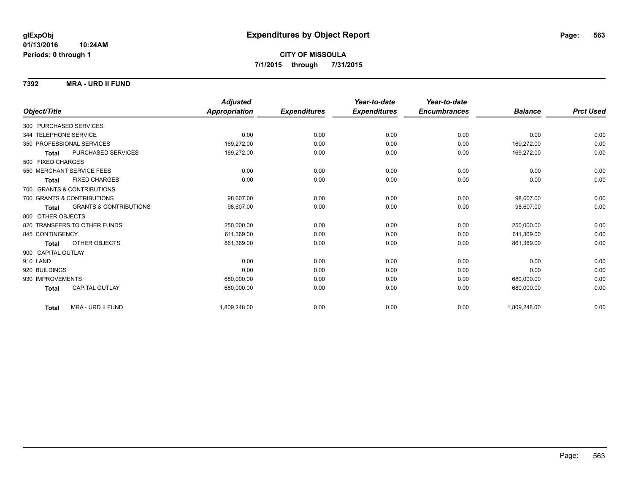#### **7392 MRA - URD II FUND**

|                                                   | <b>Adjusted</b> |                     | Year-to-date        | Year-to-date        |                |                  |
|---------------------------------------------------|-----------------|---------------------|---------------------|---------------------|----------------|------------------|
| Object/Title                                      | Appropriation   | <b>Expenditures</b> | <b>Expenditures</b> | <b>Encumbrances</b> | <b>Balance</b> | <b>Prct Used</b> |
| 300 PURCHASED SERVICES                            |                 |                     |                     |                     |                |                  |
| 344 TELEPHONE SERVICE                             | 0.00            | 0.00                | 0.00                | 0.00                | 0.00           | 0.00             |
| 350 PROFESSIONAL SERVICES                         | 169,272.00      | 0.00                | 0.00                | 0.00                | 169,272.00     | 0.00             |
| PURCHASED SERVICES<br><b>Total</b>                | 169,272.00      | 0.00                | 0.00                | 0.00                | 169,272.00     | 0.00             |
| 500 FIXED CHARGES                                 |                 |                     |                     |                     |                |                  |
| 550 MERCHANT SERVICE FEES                         | 0.00            | 0.00                | 0.00                | 0.00                | 0.00           | 0.00             |
| <b>FIXED CHARGES</b><br><b>Total</b>              | 0.00            | 0.00                | 0.00                | 0.00                | 0.00           | 0.00             |
| 700 GRANTS & CONTRIBUTIONS                        |                 |                     |                     |                     |                |                  |
| 700 GRANTS & CONTRIBUTIONS                        | 98.607.00       | 0.00                | 0.00                | 0.00                | 98.607.00      | 0.00             |
| <b>GRANTS &amp; CONTRIBUTIONS</b><br><b>Total</b> | 98,607.00       | 0.00                | 0.00                | 0.00                | 98,607.00      | 0.00             |
| 800 OTHER OBJECTS                                 |                 |                     |                     |                     |                |                  |
| 820 TRANSFERS TO OTHER FUNDS                      | 250,000.00      | 0.00                | 0.00                | 0.00                | 250,000.00     | 0.00             |
| 845 CONTINGENCY                                   | 611,369.00      | 0.00                | 0.00                | 0.00                | 611.369.00     | 0.00             |
| OTHER OBJECTS<br><b>Total</b>                     | 861,369.00      | 0.00                | 0.00                | 0.00                | 861,369.00     | 0.00             |
| 900 CAPITAL OUTLAY                                |                 |                     |                     |                     |                |                  |
| 910 LAND                                          | 0.00            | 0.00                | 0.00                | 0.00                | 0.00           | 0.00             |
| 920 BUILDINGS                                     | 0.00            | 0.00                | 0.00                | 0.00                | 0.00           | 0.00             |
| 930 IMPROVEMENTS                                  | 680,000.00      | 0.00                | 0.00                | 0.00                | 680,000.00     | 0.00             |
| <b>CAPITAL OUTLAY</b><br><b>Total</b>             | 680,000.00      | 0.00                | 0.00                | 0.00                | 680,000.00     | 0.00             |
| MRA - URD II FUND<br><b>Total</b>                 | 1,809,248.00    | 0.00                | 0.00                | 0.00                | 1,809,248.00   | 0.00             |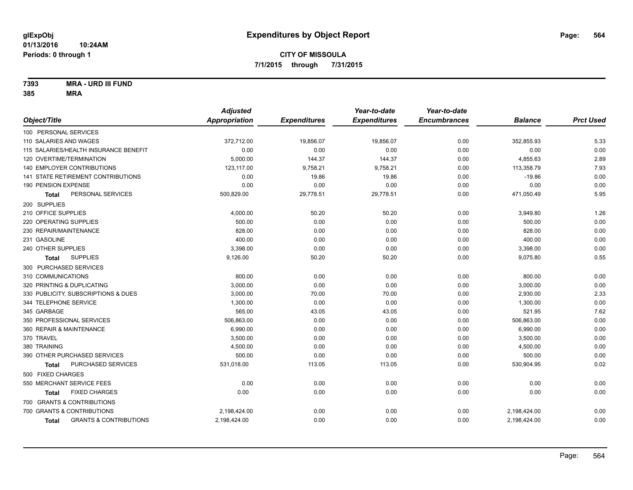**7393 MRA - URD III FUND**

|                                            | <b>Adjusted</b>      |                     | Year-to-date        | Year-to-date        |                |                  |
|--------------------------------------------|----------------------|---------------------|---------------------|---------------------|----------------|------------------|
| Object/Title                               | <b>Appropriation</b> | <b>Expenditures</b> | <b>Expenditures</b> | <b>Encumbrances</b> | <b>Balance</b> | <b>Prct Used</b> |
| 100 PERSONAL SERVICES                      |                      |                     |                     |                     |                |                  |
| 110 SALARIES AND WAGES                     | 372,712.00           | 19,856.07           | 19,856.07           | 0.00                | 352,855.93     | 5.33             |
| 115 SALARIES/HEALTH INSURANCE BENEFIT      | 0.00                 | 0.00                | 0.00                | 0.00                | 0.00           | 0.00             |
| 120 OVERTIME/TERMINATION                   | 5,000.00             | 144.37              | 144.37              | 0.00                | 4,855.63       | 2.89             |
| <b>140 EMPLOYER CONTRIBUTIONS</b>          | 123,117.00           | 9,758.21            | 9,758.21            | 0.00                | 113,358.79     | 7.93             |
| 141 STATE RETIREMENT CONTRIBUTIONS         | 0.00                 | 19.86               | 19.86               | 0.00                | $-19.86$       | 0.00             |
| 190 PENSION EXPENSE                        | 0.00                 | 0.00                | 0.00                | 0.00                | 0.00           | 0.00             |
| PERSONAL SERVICES<br>Total                 | 500,829.00           | 29,778.51           | 29,778.51           | 0.00                | 471,050.49     | 5.95             |
| 200 SUPPLIES                               |                      |                     |                     |                     |                |                  |
| 210 OFFICE SUPPLIES                        | 4,000.00             | 50.20               | 50.20               | 0.00                | 3,949.80       | 1.26             |
| 220 OPERATING SUPPLIES                     | 500.00               | 0.00                | 0.00                | 0.00                | 500.00         | 0.00             |
| 230 REPAIR/MAINTENANCE                     | 828.00               | 0.00                | 0.00                | 0.00                | 828.00         | 0.00             |
| 231 GASOLINE                               | 400.00               | 0.00                | 0.00                | 0.00                | 400.00         | 0.00             |
| 240 OTHER SUPPLIES                         | 3,398.00             | 0.00                | 0.00                | 0.00                | 3,398.00       | 0.00             |
| <b>SUPPLIES</b><br>Total                   | 9,126.00             | 50.20               | 50.20               | 0.00                | 9,075.80       | 0.55             |
| 300 PURCHASED SERVICES                     |                      |                     |                     |                     |                |                  |
| 310 COMMUNICATIONS                         | 800.00               | 0.00                | 0.00                | 0.00                | 800.00         | 0.00             |
| 320 PRINTING & DUPLICATING                 | 3,000.00             | 0.00                | 0.00                | 0.00                | 3,000.00       | 0.00             |
| 330 PUBLICITY, SUBSCRIPTIONS & DUES        | 3,000.00             | 70.00               | 70.00               | 0.00                | 2,930.00       | 2.33             |
| 344 TELEPHONE SERVICE                      | 1,300.00             | 0.00                | 0.00                | 0.00                | 1,300.00       | 0.00             |
| 345 GARBAGE                                | 565.00               | 43.05               | 43.05               | 0.00                | 521.95         | 7.62             |
| 350 PROFESSIONAL SERVICES                  | 506,863.00           | 0.00                | 0.00                | 0.00                | 506,863.00     | 0.00             |
| 360 REPAIR & MAINTENANCE                   | 6,990.00             | 0.00                | 0.00                | 0.00                | 6,990.00       | 0.00             |
| 370 TRAVEL                                 | 3,500.00             | 0.00                | 0.00                | 0.00                | 3,500.00       | 0.00             |
| 380 TRAINING                               | 4,500.00             | 0.00                | 0.00                | 0.00                | 4,500.00       | 0.00             |
| 390 OTHER PURCHASED SERVICES               | 500.00               | 0.00                | 0.00                | 0.00                | 500.00         | 0.00             |
| PURCHASED SERVICES<br><b>Total</b>         | 531,018.00           | 113.05              | 113.05              | 0.00                | 530,904.95     | 0.02             |
| 500 FIXED CHARGES                          |                      |                     |                     |                     |                |                  |
| 550 MERCHANT SERVICE FEES                  | 0.00                 | 0.00                | 0.00                | 0.00                | 0.00           | 0.00             |
| <b>FIXED CHARGES</b><br><b>Total</b>       | 0.00                 | 0.00                | 0.00                | 0.00                | 0.00           | 0.00             |
| 700 GRANTS & CONTRIBUTIONS                 |                      |                     |                     |                     |                |                  |
| 700 GRANTS & CONTRIBUTIONS                 | 2,198,424.00         | 0.00                | 0.00                | 0.00                | 2,198,424.00   | 0.00             |
| <b>GRANTS &amp; CONTRIBUTIONS</b><br>Total | 2,198,424.00         | 0.00                | 0.00                | 0.00                | 2,198,424.00   | 0.00             |
|                                            |                      |                     |                     |                     |                |                  |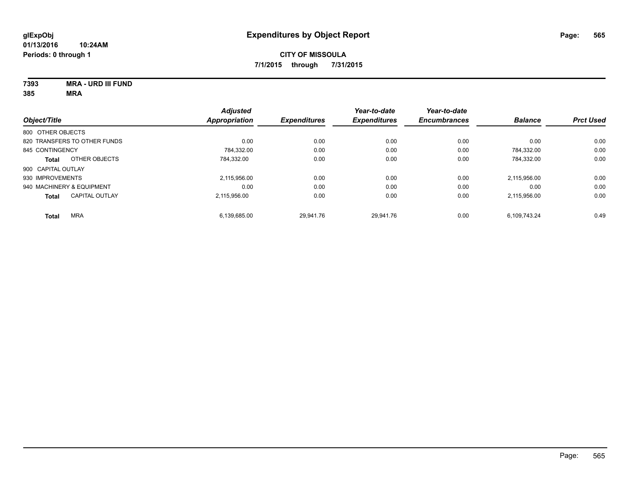**7393 MRA - URD III FUND 385 MRA**

| Object/Title              |                              | <b>Adjusted</b><br><b>Appropriation</b> | <b>Expenditures</b> | Year-to-date<br><b>Expenditures</b> | Year-to-date<br><b>Encumbrances</b> | <b>Balance</b> | <b>Prct Used</b> |
|---------------------------|------------------------------|-----------------------------------------|---------------------|-------------------------------------|-------------------------------------|----------------|------------------|
| 800 OTHER OBJECTS         |                              |                                         |                     |                                     |                                     |                |                  |
|                           | 820 TRANSFERS TO OTHER FUNDS | 0.00                                    | 0.00                | 0.00                                | 0.00                                | 0.00           | 0.00             |
| 845 CONTINGENCY           |                              | 784.332.00                              | 0.00                | 0.00                                | 0.00                                | 784.332.00     | 0.00             |
| <b>Total</b>              | OTHER OBJECTS                | 784.332.00                              | 0.00                | 0.00                                | 0.00                                | 784.332.00     | 0.00             |
| 900 CAPITAL OUTLAY        |                              |                                         |                     |                                     |                                     |                |                  |
| 930 IMPROVEMENTS          |                              | 2.115.956.00                            | 0.00                | 0.00                                | 0.00                                | 2.115.956.00   | 0.00             |
| 940 MACHINERY & EQUIPMENT |                              | 0.00                                    | 0.00                | 0.00                                | 0.00                                | 0.00           | 0.00             |
| <b>Total</b>              | <b>CAPITAL OUTLAY</b>        | 2.115.956.00                            | 0.00                | 0.00                                | 0.00                                | 2,115,956.00   | 0.00             |
| <b>Total</b>              | <b>MRA</b>                   | 6,139,685.00                            | 29.941.76           | 29.941.76                           | 0.00                                | 6,109,743.24   | 0.49             |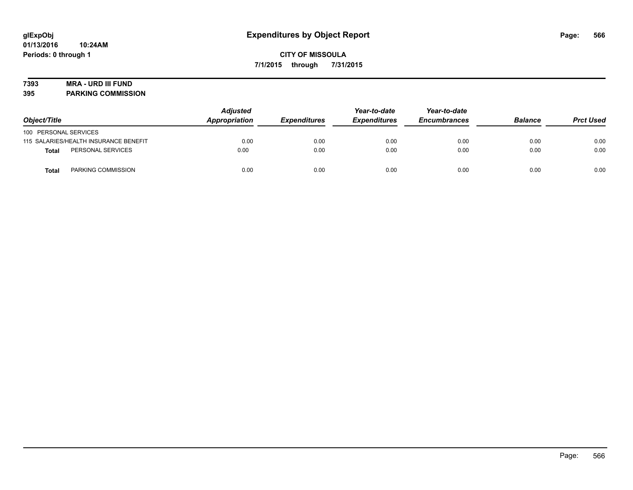## **7393 MRA - URD III FUND**

**395 PARKING COMMISSION**

| Object/Title          |                                       | <b>Adjusted</b><br>Appropriation<br><b>Expenditures</b> | Year-to-date<br><b>Expenditures</b> | Year-to-date<br><b>Encumbrances</b> | <b>Balance</b> | <b>Prct Used</b> |      |
|-----------------------|---------------------------------------|---------------------------------------------------------|-------------------------------------|-------------------------------------|----------------|------------------|------|
| 100 PERSONAL SERVICES |                                       |                                                         |                                     |                                     |                |                  |      |
|                       | 115 SALARIES/HEALTH INSURANCE BENEFIT | 0.00                                                    | 0.00                                | 0.00                                | 0.00           | 0.00             | 0.00 |
| Total                 | PERSONAL SERVICES                     | 0.00                                                    | 0.00                                | 0.00                                | 0.00           | 0.00             | 0.00 |
| <b>Total</b>          | PARKING COMMISSION                    | 0.00                                                    | 0.00                                | 0.00                                | 0.00           | 0.00             | 0.00 |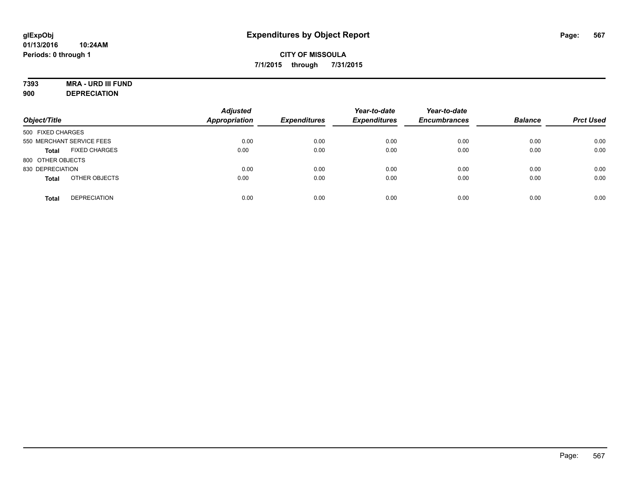## **7393 MRA - URD III FUND**

**900 DEPRECIATION**

| Object/Title                         | <b>Adjusted</b><br><b>Appropriation</b> | <b>Expenditures</b> | Year-to-date<br><b>Expenditures</b> | Year-to-date<br><b>Encumbrances</b> | <b>Balance</b> | <b>Prct Used</b> |
|--------------------------------------|-----------------------------------------|---------------------|-------------------------------------|-------------------------------------|----------------|------------------|
| 500 FIXED CHARGES                    |                                         |                     |                                     |                                     |                |                  |
| 550 MERCHANT SERVICE FEES            | 0.00                                    | 0.00                | 0.00                                | 0.00                                | 0.00           | 0.00             |
| <b>FIXED CHARGES</b><br><b>Total</b> | 0.00                                    | 0.00                | 0.00                                | 0.00                                | 0.00           | 0.00             |
| 800 OTHER OBJECTS                    |                                         |                     |                                     |                                     |                |                  |
| 830 DEPRECIATION                     | 0.00                                    | 0.00                | 0.00                                | 0.00                                | 0.00           | 0.00             |
| OTHER OBJECTS<br><b>Total</b>        | 0.00                                    | 0.00                | 0.00                                | 0.00                                | 0.00           | 0.00             |
| <b>DEPRECIATION</b><br><b>Total</b>  | 0.00                                    | 0.00                | 0.00                                | 0.00                                | 0.00           | 0.00             |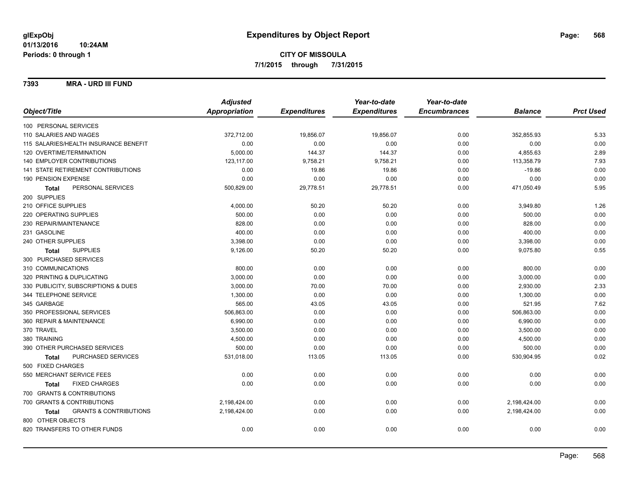#### **7393 MRA - URD III FUND**

|                                            | <b>Adjusted</b> |                     | Year-to-date        | Year-to-date        |                |                  |
|--------------------------------------------|-----------------|---------------------|---------------------|---------------------|----------------|------------------|
| Object/Title                               | Appropriation   | <b>Expenditures</b> | <b>Expenditures</b> | <b>Encumbrances</b> | <b>Balance</b> | <b>Prct Used</b> |
| 100 PERSONAL SERVICES                      |                 |                     |                     |                     |                |                  |
| 110 SALARIES AND WAGES                     | 372,712.00      | 19,856.07           | 19,856.07           | 0.00                | 352,855.93     | 5.33             |
| 115 SALARIES/HEALTH INSURANCE BENEFIT      | 0.00            | 0.00                | 0.00                | 0.00                | 0.00           | 0.00             |
| 120 OVERTIME/TERMINATION                   | 5,000.00        | 144.37              | 144.37              | 0.00                | 4,855.63       | 2.89             |
| 140 EMPLOYER CONTRIBUTIONS                 | 123,117.00      | 9,758.21            | 9,758.21            | 0.00                | 113,358.79     | 7.93             |
| <b>141 STATE RETIREMENT CONTRIBUTIONS</b>  | 0.00            | 19.86               | 19.86               | 0.00                | $-19.86$       | 0.00             |
| 190 PENSION EXPENSE                        | 0.00            | 0.00                | 0.00                | 0.00                | 0.00           | 0.00             |
| PERSONAL SERVICES<br><b>Total</b>          | 500,829.00      | 29,778.51           | 29,778.51           | 0.00                | 471,050.49     | 5.95             |
| 200 SUPPLIES                               |                 |                     |                     |                     |                |                  |
| 210 OFFICE SUPPLIES                        | 4,000.00        | 50.20               | 50.20               | 0.00                | 3,949.80       | 1.26             |
| 220 OPERATING SUPPLIES                     | 500.00          | 0.00                | 0.00                | 0.00                | 500.00         | 0.00             |
| 230 REPAIR/MAINTENANCE                     | 828.00          | 0.00                | 0.00                | 0.00                | 828.00         | 0.00             |
| 231 GASOLINE                               | 400.00          | 0.00                | 0.00                | 0.00                | 400.00         | 0.00             |
| 240 OTHER SUPPLIES                         | 3,398.00        | 0.00                | 0.00                | 0.00                | 3,398.00       | 0.00             |
| <b>SUPPLIES</b><br>Total                   | 9,126.00        | 50.20               | 50.20               | 0.00                | 9,075.80       | 0.55             |
| 300 PURCHASED SERVICES                     |                 |                     |                     |                     |                |                  |
| 310 COMMUNICATIONS                         | 800.00          | 0.00                | 0.00                | 0.00                | 800.00         | 0.00             |
| 320 PRINTING & DUPLICATING                 | 3,000.00        | 0.00                | 0.00                | 0.00                | 3,000.00       | 0.00             |
| 330 PUBLICITY, SUBSCRIPTIONS & DUES        | 3,000.00        | 70.00               | 70.00               | 0.00                | 2,930.00       | 2.33             |
| 344 TELEPHONE SERVICE                      | 1,300.00        | 0.00                | 0.00                | 0.00                | 1,300.00       | 0.00             |
| 345 GARBAGE                                | 565.00          | 43.05               | 43.05               | 0.00                | 521.95         | 7.62             |
| 350 PROFESSIONAL SERVICES                  | 506,863.00      | 0.00                | 0.00                | 0.00                | 506,863.00     | 0.00             |
| 360 REPAIR & MAINTENANCE                   | 6,990.00        | 0.00                | 0.00                | 0.00                | 6,990.00       | 0.00             |
| 370 TRAVEL                                 | 3,500.00        | 0.00                | 0.00                | 0.00                | 3,500.00       | 0.00             |
| 380 TRAINING                               | 4,500.00        | 0.00                | 0.00                | 0.00                | 4,500.00       | 0.00             |
| 390 OTHER PURCHASED SERVICES               | 500.00          | 0.00                | 0.00                | 0.00                | 500.00         | 0.00             |
| PURCHASED SERVICES<br><b>Total</b>         | 531,018.00      | 113.05              | 113.05              | 0.00                | 530,904.95     | 0.02             |
| 500 FIXED CHARGES                          |                 |                     |                     |                     |                |                  |
| 550 MERCHANT SERVICE FEES                  | 0.00            | 0.00                | 0.00                | 0.00                | 0.00           | 0.00             |
| <b>FIXED CHARGES</b><br><b>Total</b>       | 0.00            | 0.00                | 0.00                | 0.00                | 0.00           | 0.00             |
| 700 GRANTS & CONTRIBUTIONS                 |                 |                     |                     |                     |                |                  |
| 700 GRANTS & CONTRIBUTIONS                 | 2,198,424.00    | 0.00                | 0.00                | 0.00                | 2,198,424.00   | 0.00             |
| <b>GRANTS &amp; CONTRIBUTIONS</b><br>Total | 2,198,424.00    | 0.00                | 0.00                | 0.00                | 2,198,424.00   | 0.00             |
| 800 OTHER OBJECTS                          |                 |                     |                     |                     |                |                  |
| 820 TRANSFERS TO OTHER FUNDS               | 0.00            | 0.00                | 0.00                | 0.00                | 0.00           | 0.00             |
|                                            |                 |                     |                     |                     |                |                  |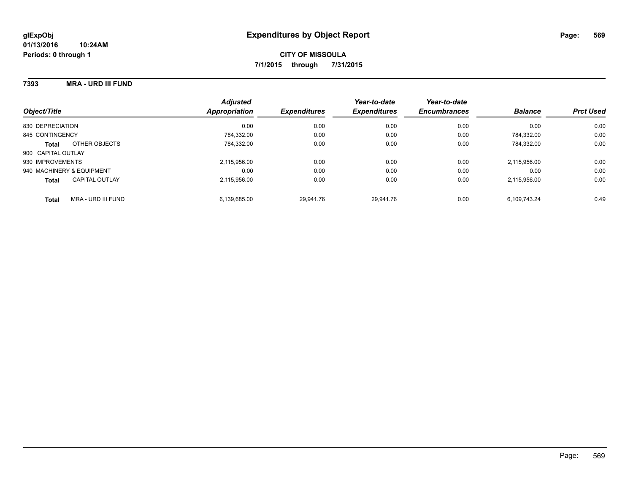#### **7393 MRA - URD III FUND**

| Object/Title                       | <b>Adjusted</b><br>Appropriation | <b>Expenditures</b> | Year-to-date<br><b>Expenditures</b> | Year-to-date<br><b>Encumbrances</b> | <b>Balance</b> | <b>Prct Used</b> |
|------------------------------------|----------------------------------|---------------------|-------------------------------------|-------------------------------------|----------------|------------------|
| 830 DEPRECIATION                   | 0.00                             | 0.00                | 0.00                                | 0.00                                | 0.00           | 0.00             |
| 845 CONTINGENCY                    | 784.332.00                       | 0.00                | 0.00                                | 0.00                                | 784.332.00     | 0.00             |
| OTHER OBJECTS<br><b>Total</b>      | 784.332.00                       | 0.00                | 0.00                                | 0.00                                | 784.332.00     | 0.00             |
| 900 CAPITAL OUTLAY                 |                                  |                     |                                     |                                     |                |                  |
| 930 IMPROVEMENTS                   | 2,115,956.00                     | 0.00                | 0.00                                | 0.00                                | 2,115,956.00   | 0.00             |
| 940 MACHINERY & EQUIPMENT          | 0.00                             | 0.00                | 0.00                                | 0.00                                | 0.00           | 0.00             |
| CAPITAL OUTLAY<br><b>Total</b>     | 2.115.956.00                     | 0.00                | 0.00                                | 0.00                                | 2,115,956.00   | 0.00             |
| MRA - URD III FUND<br><b>Total</b> | 6.139.685.00                     | 29.941.76           | 29.941.76                           | 0.00                                | 6.109.743.24   | 0.49             |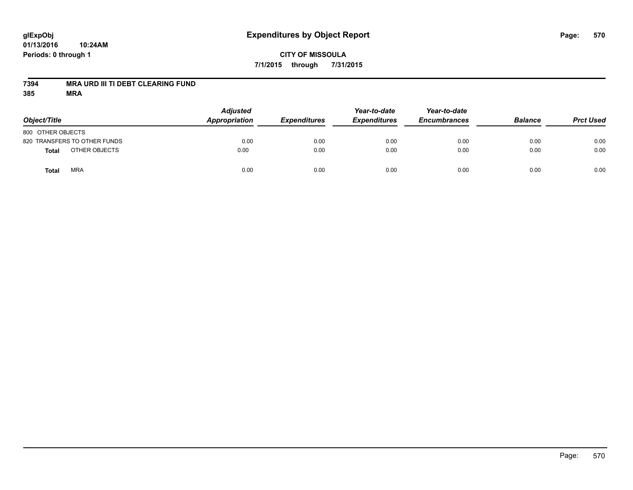# **glExpObj Expenditures by Object Report Page: 570**

**01/13/2016 10:24AM Periods: 0 through 1**

## **7394 MRA URD III TI DEBT CLEARING FUND**

| Object/Title                  | <b>Adjusted</b><br>Appropriation<br><b>Expenditures</b> | Year-to-date<br><b>Expenditures</b> | Year-to-date<br><b>Encumbrances</b> | <b>Balance</b> | <b>Prct Used</b> |      |
|-------------------------------|---------------------------------------------------------|-------------------------------------|-------------------------------------|----------------|------------------|------|
| 800 OTHER OBJECTS             |                                                         |                                     |                                     |                |                  |      |
| 820 TRANSFERS TO OTHER FUNDS  | 0.00                                                    | 0.00                                | 0.00                                | 0.00           | 0.00             | 0.00 |
| OTHER OBJECTS<br><b>Total</b> | 0.00                                                    | 0.00                                | 0.00                                | 0.00           | 0.00             | 0.00 |
| <b>MRA</b><br><b>Total</b>    | 0.00                                                    | 0.00                                | 0.00                                | 0.00           | 0.00             | 0.00 |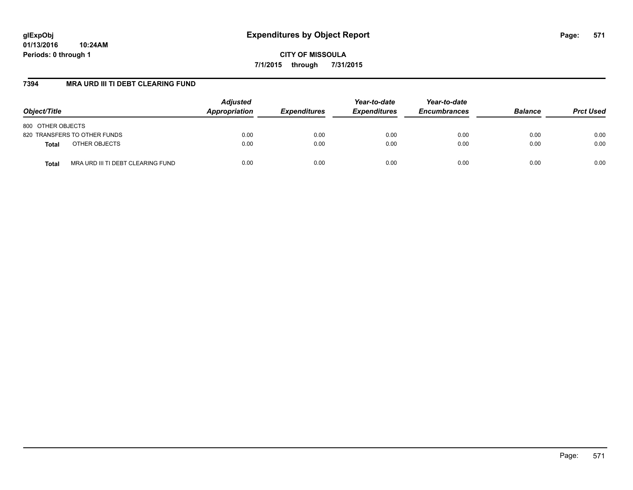**CITY OF MISSOULA 7/1/2015 through 7/31/2015**

## **7394 MRA URD III TI DEBT CLEARING FUND**

| Object/Title                                      | <b>Adjusted</b><br>Appropriation | <b>Expenditures</b> | Year-to-date<br><b>Expenditures</b> | Year-to-date<br><b>Encumbrances</b> | <b>Balance</b> | <b>Prct Used</b> |
|---------------------------------------------------|----------------------------------|---------------------|-------------------------------------|-------------------------------------|----------------|------------------|
| 800 OTHER OBJECTS                                 |                                  |                     |                                     |                                     |                |                  |
| 820 TRANSFERS TO OTHER FUNDS                      | 0.00                             | 0.00                | 0.00                                | 0.00                                | 0.00           | 0.00             |
| OTHER OBJECTS<br><b>Total</b>                     | 0.00                             | 0.00                | 0.00                                | 0.00                                | 0.00           | 0.00             |
| MRA URD III TI DEBT CLEARING FUND<br><b>Total</b> | 0.00                             | 0.00                | 0.00                                | 0.00                                | 0.00           | 0.00             |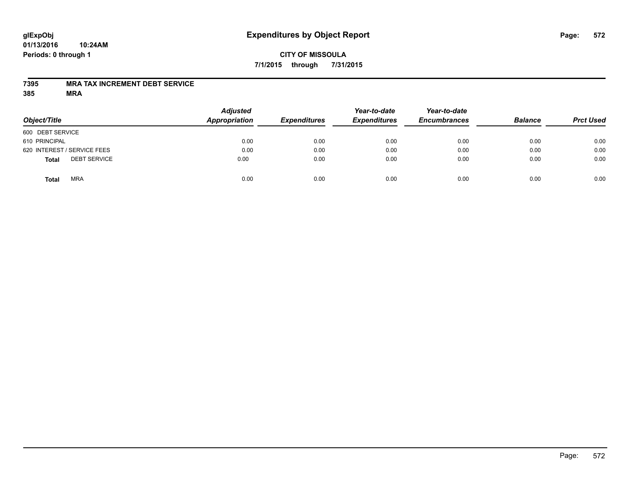## **CITY OF MISSOULA 7/1/2015 through 7/31/2015**

#### **7395 MRA TAX INCREMENT DEBT SERVICE**

| Object/Title                        | <b>Adjusted</b><br>Appropriation | <b>Expenditures</b> | Year-to-date<br><b>Expenditures</b> | Year-to-date<br><b>Encumbrances</b> | <b>Balance</b> | <b>Prct Used</b> |
|-------------------------------------|----------------------------------|---------------------|-------------------------------------|-------------------------------------|----------------|------------------|
| 600 DEBT SERVICE                    |                                  |                     |                                     |                                     |                |                  |
| 610 PRINCIPAL                       | 0.00                             | 0.00                | 0.00                                | 0.00                                | 0.00           | 0.00             |
| 620 INTEREST / SERVICE FEES         | 0.00                             | 0.00                | 0.00                                | 0.00                                | 0.00           | 0.00             |
| <b>DEBT SERVICE</b><br><b>Total</b> | 0.00                             | 0.00                | 0.00                                | 0.00                                | 0.00           | 0.00             |
| <b>MRA</b><br><b>Total</b>          | 0.00                             | 0.00                | 0.00                                | 0.00                                | 0.00           | 0.00             |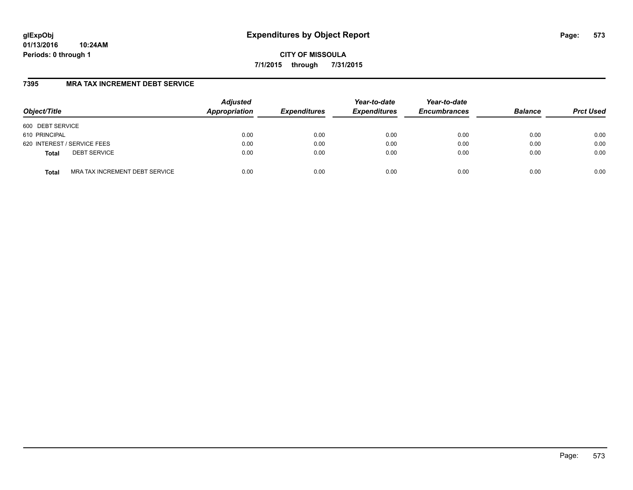**CITY OF MISSOULA 7/1/2015 through 7/31/2015**

## **7395 MRA TAX INCREMENT DEBT SERVICE**

| Object/Title     |                                | <b>Adjusted</b><br>Appropriation | <b>Expenditures</b> | Year-to-date<br><b>Expenditures</b> | Year-to-date<br><b>Encumbrances</b> | <b>Balance</b> | <b>Prct Used</b> |
|------------------|--------------------------------|----------------------------------|---------------------|-------------------------------------|-------------------------------------|----------------|------------------|
| 600 DEBT SERVICE |                                |                                  |                     |                                     |                                     |                |                  |
| 610 PRINCIPAL    |                                | 0.00                             | 0.00                | 0.00                                | 0.00                                | 0.00           | 0.00             |
|                  | 620 INTEREST / SERVICE FEES    | 0.00                             | 0.00                | 0.00                                | 0.00                                | 0.00           | 0.00             |
| <b>Total</b>     | <b>DEBT SERVICE</b>            | 0.00                             | 0.00                | 0.00                                | 0.00                                | 0.00           | 0.00             |
| <b>Total</b>     | MRA TAX INCREMENT DEBT SERVICE | 0.00                             | 0.00                | 0.00                                | 0.00                                | 0.00           | 0.00             |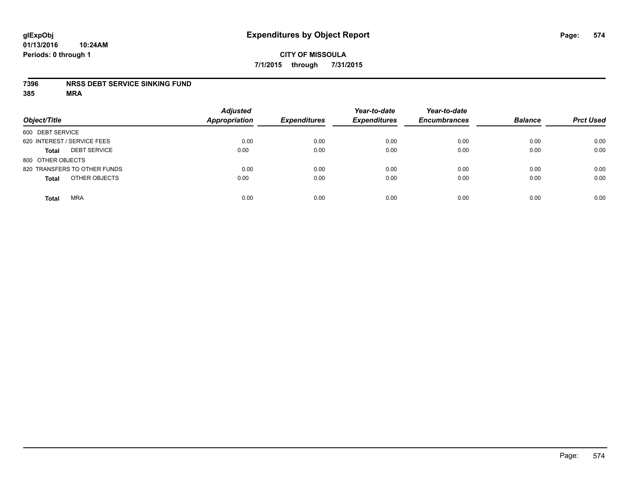#### **7396 NRSS DEBT SERVICE SINKING FUND**

| Object/Title                        | <b>Adjusted</b><br><b>Appropriation</b> | <b>Expenditures</b> | Year-to-date<br><b>Expenditures</b> | Year-to-date<br><b>Encumbrances</b> | <b>Balance</b> | <b>Prct Used</b> |
|-------------------------------------|-----------------------------------------|---------------------|-------------------------------------|-------------------------------------|----------------|------------------|
| 600 DEBT SERVICE                    |                                         |                     |                                     |                                     |                |                  |
| 620 INTEREST / SERVICE FEES         | 0.00                                    | 0.00                | 0.00                                | 0.00                                | 0.00           | 0.00             |
| <b>DEBT SERVICE</b><br><b>Total</b> | 0.00                                    | 0.00                | 0.00                                | 0.00                                | 0.00           | 0.00             |
| 800 OTHER OBJECTS                   |                                         |                     |                                     |                                     |                |                  |
| 820 TRANSFERS TO OTHER FUNDS        | 0.00                                    | 0.00                | 0.00                                | 0.00                                | 0.00           | 0.00             |
| OTHER OBJECTS<br><b>Total</b>       | 0.00                                    | 0.00                | 0.00                                | 0.00                                | 0.00           | 0.00             |
| <b>MRA</b><br><b>Total</b>          | 0.00                                    | 0.00                | 0.00                                | 0.00                                | 0.00           | 0.00             |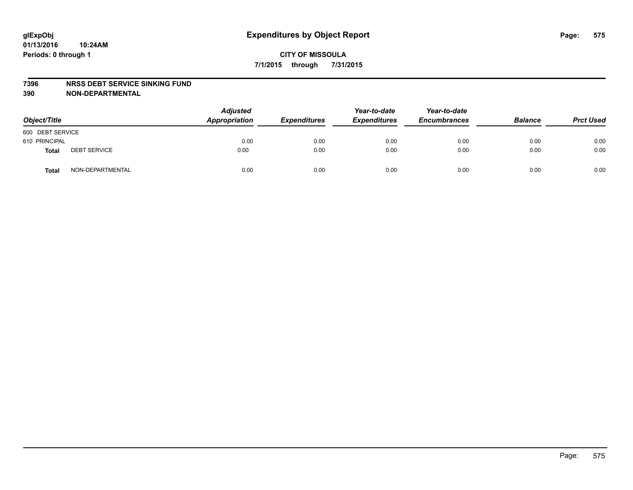#### **7396 NRSS DEBT SERVICE SINKING FUND**

**390 NON-DEPARTMENTAL**

| Object/Title     |                     | <b>Adjusted</b><br>Appropriation<br><b>Expenditures</b> | Year-to-date<br><b>Expenditures</b> | Year-to-date<br><b>Encumbrances</b> | <b>Balance</b> | <b>Prct Used</b> |      |
|------------------|---------------------|---------------------------------------------------------|-------------------------------------|-------------------------------------|----------------|------------------|------|
| 600 DEBT SERVICE |                     |                                                         |                                     |                                     |                |                  |      |
| 610 PRINCIPAL    |                     | 0.00                                                    | 0.00                                | 0.00                                | 0.00           | 0.00             | 0.00 |
| <b>Total</b>     | <b>DEBT SERVICE</b> | 0.00                                                    | 0.00                                | 0.00                                | 0.00           | 0.00             | 0.00 |
| <b>Total</b>     | NON-DEPARTMENTAL    | 0.00                                                    | 0.00                                | 0.00                                | 0.00           | 0.00             | 0.00 |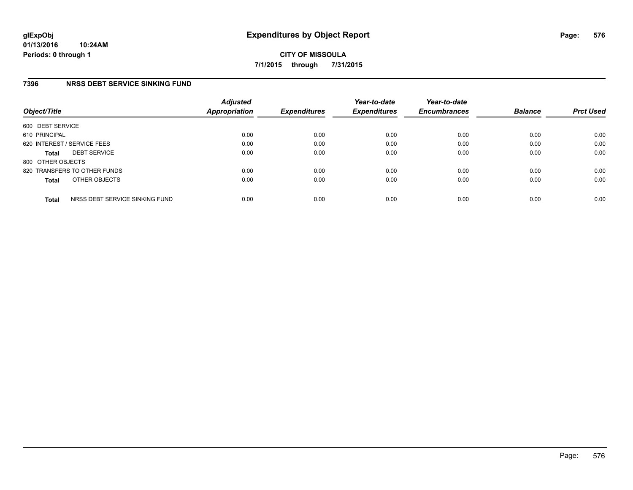## **7396 NRSS DEBT SERVICE SINKING FUND**

| Object/Title      |                                | <b>Adjusted</b><br>Appropriation | <b>Expenditures</b> | Year-to-date<br><b>Expenditures</b> | Year-to-date<br><b>Encumbrances</b> | <b>Balance</b> | <b>Prct Used</b> |
|-------------------|--------------------------------|----------------------------------|---------------------|-------------------------------------|-------------------------------------|----------------|------------------|
| 600 DEBT SERVICE  |                                |                                  |                     |                                     |                                     |                |                  |
| 610 PRINCIPAL     |                                | 0.00                             | 0.00                | 0.00                                | 0.00                                | 0.00           | 0.00             |
|                   | 620 INTEREST / SERVICE FEES    | 0.00                             | 0.00                | 0.00                                | 0.00                                | 0.00           | 0.00             |
| <b>Total</b>      | <b>DEBT SERVICE</b>            | 0.00                             | 0.00                | 0.00                                | 0.00                                | 0.00           | 0.00             |
| 800 OTHER OBJECTS |                                |                                  |                     |                                     |                                     |                |                  |
|                   | 820 TRANSFERS TO OTHER FUNDS   | 0.00                             | 0.00                | 0.00                                | 0.00                                | 0.00           | 0.00             |
| <b>Total</b>      | OTHER OBJECTS                  | 0.00                             | 0.00                | 0.00                                | 0.00                                | 0.00           | 0.00             |
| <b>Total</b>      | NRSS DEBT SERVICE SINKING FUND | 0.00                             | 0.00                | 0.00                                | 0.00                                | 0.00           | 0.00             |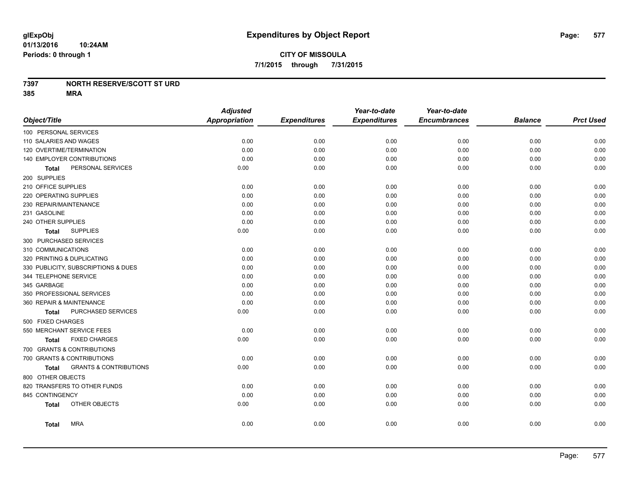### **7397 NORTH RESERVE/SCOTT ST URD**

**385 MRA**

|                                            | <b>Adjusted</b>      |                     | Year-to-date        | Year-to-date        |                |                  |
|--------------------------------------------|----------------------|---------------------|---------------------|---------------------|----------------|------------------|
| Object/Title                               | <b>Appropriation</b> | <b>Expenditures</b> | <b>Expenditures</b> | <b>Encumbrances</b> | <b>Balance</b> | <b>Prct Used</b> |
| 100 PERSONAL SERVICES                      |                      |                     |                     |                     |                |                  |
| 110 SALARIES AND WAGES                     | 0.00                 | 0.00                | 0.00                | 0.00                | 0.00           | 0.00             |
| 120 OVERTIME/TERMINATION                   | 0.00                 | 0.00                | 0.00                | 0.00                | 0.00           | 0.00             |
| 140 EMPLOYER CONTRIBUTIONS                 | 0.00                 | 0.00                | 0.00                | 0.00                | 0.00           | 0.00             |
| PERSONAL SERVICES<br><b>Total</b>          | 0.00                 | 0.00                | 0.00                | 0.00                | 0.00           | 0.00             |
| 200 SUPPLIES                               |                      |                     |                     |                     |                |                  |
| 210 OFFICE SUPPLIES                        | 0.00                 | 0.00                | 0.00                | 0.00                | 0.00           | 0.00             |
| 220 OPERATING SUPPLIES                     | 0.00                 | 0.00                | 0.00                | 0.00                | 0.00           | 0.00             |
| 230 REPAIR/MAINTENANCE                     | 0.00                 | 0.00                | 0.00                | 0.00                | 0.00           | 0.00             |
| 231 GASOLINE                               | 0.00                 | 0.00                | 0.00                | 0.00                | 0.00           | 0.00             |
| 240 OTHER SUPPLIES                         | 0.00                 | 0.00                | 0.00                | 0.00                | 0.00           | 0.00             |
| <b>SUPPLIES</b><br>Total                   | 0.00                 | 0.00                | 0.00                | 0.00                | 0.00           | 0.00             |
| 300 PURCHASED SERVICES                     |                      |                     |                     |                     |                |                  |
| 310 COMMUNICATIONS                         | 0.00                 | 0.00                | 0.00                | 0.00                | 0.00           | 0.00             |
| 320 PRINTING & DUPLICATING                 | 0.00                 | 0.00                | 0.00                | 0.00                | 0.00           | 0.00             |
| 330 PUBLICITY, SUBSCRIPTIONS & DUES        | 0.00                 | 0.00                | 0.00                | 0.00                | 0.00           | 0.00             |
| 344 TELEPHONE SERVICE                      | 0.00                 | 0.00                | 0.00                | 0.00                | 0.00           | 0.00             |
| 345 GARBAGE                                | 0.00                 | 0.00                | 0.00                | 0.00                | 0.00           | 0.00             |
| 350 PROFESSIONAL SERVICES                  | 0.00                 | 0.00                | 0.00                | 0.00                | 0.00           | 0.00             |
| 360 REPAIR & MAINTENANCE                   | 0.00                 | 0.00                | 0.00                | 0.00                | 0.00           | 0.00             |
| PURCHASED SERVICES<br><b>Total</b>         | 0.00                 | 0.00                | 0.00                | 0.00                | 0.00           | 0.00             |
| 500 FIXED CHARGES                          |                      |                     |                     |                     |                |                  |
| 550 MERCHANT SERVICE FEES                  | 0.00                 | 0.00                | 0.00                | 0.00                | 0.00           | 0.00             |
| <b>FIXED CHARGES</b><br><b>Total</b>       | 0.00                 | 0.00                | 0.00                | 0.00                | 0.00           | 0.00             |
| 700 GRANTS & CONTRIBUTIONS                 |                      |                     |                     |                     |                |                  |
| 700 GRANTS & CONTRIBUTIONS                 | 0.00                 | 0.00                | 0.00                | 0.00                | 0.00           | 0.00             |
| <b>GRANTS &amp; CONTRIBUTIONS</b><br>Total | 0.00                 | 0.00                | 0.00                | 0.00                | 0.00           | 0.00             |
| 800 OTHER OBJECTS                          |                      |                     |                     |                     |                |                  |
| 820 TRANSFERS TO OTHER FUNDS               | 0.00                 | 0.00                | 0.00                | 0.00                | 0.00           | 0.00             |
| 845 CONTINGENCY                            | 0.00                 | 0.00                | 0.00                | 0.00                | 0.00           | 0.00             |
| OTHER OBJECTS<br><b>Total</b>              | 0.00                 | 0.00                | 0.00                | 0.00                | 0.00           | 0.00             |
| <b>MRA</b><br><b>Total</b>                 | 0.00                 | 0.00                | 0.00                | 0.00                | 0.00           | 0.00             |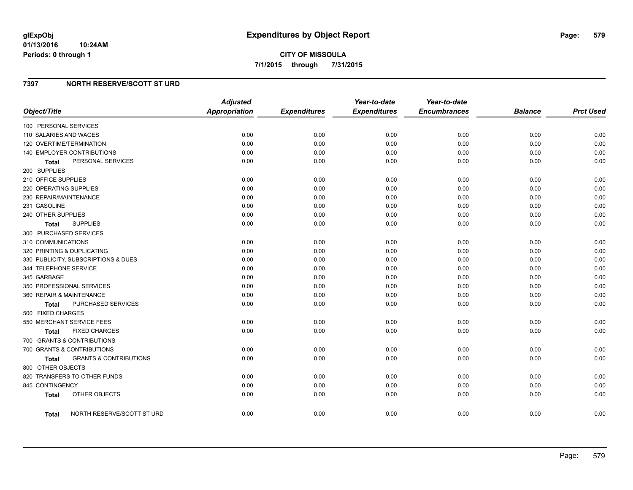#### **01/13/2016 10:24AM Periods: 0 through 1**

### **7397 NORTH RESERVE/SCOTT ST URD**

| Object/Title                                    | <b>Adjusted</b><br><b>Appropriation</b> | <b>Expenditures</b> | Year-to-date<br><b>Expenditures</b> | Year-to-date<br><b>Encumbrances</b> | <b>Balance</b> | <b>Prct Used</b> |
|-------------------------------------------------|-----------------------------------------|---------------------|-------------------------------------|-------------------------------------|----------------|------------------|
|                                                 |                                         |                     |                                     |                                     |                |                  |
| 100 PERSONAL SERVICES<br>110 SALARIES AND WAGES | 0.00                                    | 0.00                |                                     | 0.00                                | 0.00           |                  |
|                                                 |                                         |                     | 0.00                                |                                     |                | 0.00             |
| 120 OVERTIME/TERMINATION                        | 0.00                                    | 0.00                | 0.00                                | 0.00                                | 0.00           | 0.00<br>0.00     |
| 140 EMPLOYER CONTRIBUTIONS                      | 0.00                                    | 0.00                | 0.00                                | 0.00                                | 0.00           |                  |
| PERSONAL SERVICES<br><b>Total</b>               | 0.00                                    | 0.00                | 0.00                                | 0.00                                | 0.00           | 0.00             |
| 200 SUPPLIES                                    |                                         |                     |                                     |                                     |                |                  |
| 210 OFFICE SUPPLIES                             | 0.00                                    | 0.00                | 0.00                                | 0.00                                | 0.00           | 0.00             |
| 220 OPERATING SUPPLIES                          | 0.00                                    | 0.00                | 0.00                                | 0.00                                | 0.00           | 0.00             |
| 230 REPAIR/MAINTENANCE                          | 0.00                                    | 0.00                | 0.00                                | 0.00                                | 0.00           | 0.00             |
| 231 GASOLINE                                    | 0.00                                    | 0.00                | 0.00                                | 0.00                                | 0.00           | 0.00             |
| 240 OTHER SUPPLIES                              | 0.00                                    | 0.00                | 0.00                                | 0.00                                | 0.00           | 0.00             |
| <b>SUPPLIES</b><br>Total                        | 0.00                                    | 0.00                | 0.00                                | 0.00                                | 0.00           | 0.00             |
| 300 PURCHASED SERVICES                          |                                         |                     |                                     |                                     |                |                  |
| 310 COMMUNICATIONS                              | 0.00                                    | 0.00                | 0.00                                | 0.00                                | 0.00           | 0.00             |
| 320 PRINTING & DUPLICATING                      | 0.00                                    | 0.00                | 0.00                                | 0.00                                | 0.00           | 0.00             |
| 330 PUBLICITY, SUBSCRIPTIONS & DUES             | 0.00                                    | 0.00                | 0.00                                | 0.00                                | 0.00           | 0.00             |
| 344 TELEPHONE SERVICE                           | 0.00                                    | 0.00                | 0.00                                | 0.00                                | 0.00           | 0.00             |
| 345 GARBAGE                                     | 0.00                                    | 0.00                | 0.00                                | 0.00                                | 0.00           | 0.00             |
| 350 PROFESSIONAL SERVICES                       | 0.00                                    | 0.00                | 0.00                                | 0.00                                | 0.00           | 0.00             |
| 360 REPAIR & MAINTENANCE                        | 0.00                                    | 0.00                | 0.00                                | 0.00                                | 0.00           | 0.00             |
| PURCHASED SERVICES<br>Total                     | 0.00                                    | 0.00                | 0.00                                | 0.00                                | 0.00           | 0.00             |
| 500 FIXED CHARGES                               |                                         |                     |                                     |                                     |                |                  |
| 550 MERCHANT SERVICE FEES                       | 0.00                                    | 0.00                | 0.00                                | 0.00                                | 0.00           | 0.00             |
| <b>FIXED CHARGES</b><br>Total                   | 0.00                                    | 0.00                | 0.00                                | 0.00                                | 0.00           | 0.00             |
| 700 GRANTS & CONTRIBUTIONS                      |                                         |                     |                                     |                                     |                |                  |
| 700 GRANTS & CONTRIBUTIONS                      | 0.00                                    | 0.00                | 0.00                                | 0.00                                | 0.00           | 0.00             |
| <b>GRANTS &amp; CONTRIBUTIONS</b><br>Total      | 0.00                                    | 0.00                | 0.00                                | 0.00                                | 0.00           | 0.00             |
| 800 OTHER OBJECTS                               |                                         |                     |                                     |                                     |                |                  |
| 820 TRANSFERS TO OTHER FUNDS                    | 0.00                                    | 0.00                | 0.00                                | 0.00                                | 0.00           | 0.00             |
| 845 CONTINGENCY                                 | 0.00                                    | 0.00                | 0.00                                | 0.00                                | 0.00           | 0.00             |
| OTHER OBJECTS<br><b>Total</b>                   | 0.00                                    | 0.00                | 0.00                                | 0.00                                | 0.00           | 0.00             |
| NORTH RESERVE/SCOTT ST URD<br>Total             | 0.00                                    | 0.00                | 0.00                                | 0.00                                | 0.00           | 0.00             |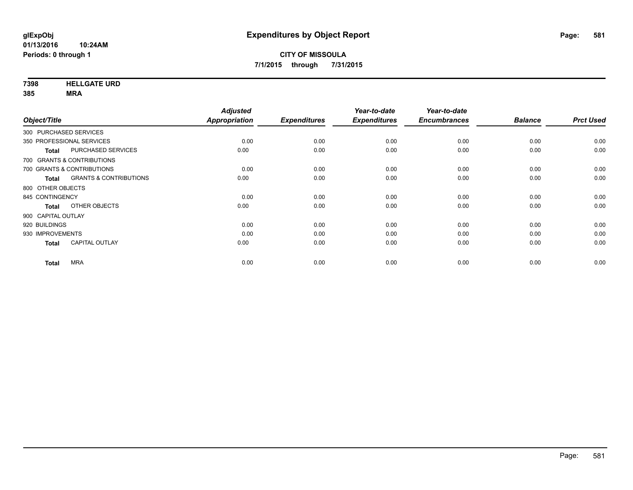**7398 HELLGATE URD**

**385 MRA**

|                                   | <b>Adjusted</b>      |                     | Year-to-date        | Year-to-date        |                |                  |
|-----------------------------------|----------------------|---------------------|---------------------|---------------------|----------------|------------------|
|                                   | <b>Appropriation</b> | <b>Expenditures</b> | <b>Expenditures</b> | <b>Encumbrances</b> | <b>Balance</b> | <b>Prct Used</b> |
| 300 PURCHASED SERVICES            |                      |                     |                     |                     |                |                  |
| 350 PROFESSIONAL SERVICES         | 0.00                 | 0.00                | 0.00                | 0.00                | 0.00           | 0.00             |
| PURCHASED SERVICES                | 0.00                 | 0.00                | 0.00                | 0.00                | 0.00           | 0.00             |
| 700 GRANTS & CONTRIBUTIONS        |                      |                     |                     |                     |                |                  |
| 700 GRANTS & CONTRIBUTIONS        | 0.00                 | 0.00                | 0.00                | 0.00                | 0.00           | 0.00             |
| <b>GRANTS &amp; CONTRIBUTIONS</b> | 0.00                 | 0.00                | 0.00                | 0.00                | 0.00           | 0.00             |
| 800 OTHER OBJECTS                 |                      |                     |                     |                     |                |                  |
| 845 CONTINGENCY                   | 0.00                 | 0.00                | 0.00                | 0.00                | 0.00           | 0.00             |
| OTHER OBJECTS                     | 0.00                 | 0.00                | 0.00                | 0.00                | 0.00           | 0.00             |
| 900 CAPITAL OUTLAY                |                      |                     |                     |                     |                |                  |
| 920 BUILDINGS                     | 0.00                 | 0.00                | 0.00                | 0.00                | 0.00           | 0.00             |
| 930 IMPROVEMENTS                  | 0.00                 | 0.00                | 0.00                | 0.00                | 0.00           | 0.00             |
| <b>CAPITAL OUTLAY</b>             | 0.00                 | 0.00                | 0.00                | 0.00                | 0.00           | 0.00             |
| <b>MRA</b>                        | 0.00                 | 0.00                | 0.00                | 0.00                | 0.00           | 0.00             |
|                                   |                      |                     |                     |                     |                |                  |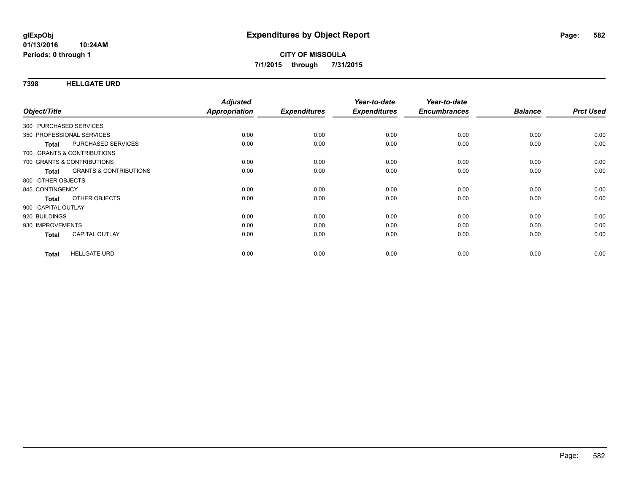### **7398 HELLGATE URD**

| Object/Title           |                                   | <b>Adjusted</b><br>Appropriation | <b>Expenditures</b> | Year-to-date<br><b>Expenditures</b> | Year-to-date<br><b>Encumbrances</b> | <b>Balance</b> | <b>Prct Used</b> |
|------------------------|-----------------------------------|----------------------------------|---------------------|-------------------------------------|-------------------------------------|----------------|------------------|
|                        |                                   |                                  |                     |                                     |                                     |                |                  |
| 300 PURCHASED SERVICES |                                   |                                  |                     |                                     |                                     |                |                  |
|                        | 350 PROFESSIONAL SERVICES         | 0.00                             | 0.00                | 0.00                                | 0.00                                | 0.00           | 0.00             |
| <b>Total</b>           | PURCHASED SERVICES                | 0.00                             | 0.00                | 0.00                                | 0.00                                | 0.00           | 0.00             |
|                        | 700 GRANTS & CONTRIBUTIONS        |                                  |                     |                                     |                                     |                |                  |
|                        | 700 GRANTS & CONTRIBUTIONS        | 0.00                             | 0.00                | 0.00                                | 0.00                                | 0.00           | 0.00             |
| Total                  | <b>GRANTS &amp; CONTRIBUTIONS</b> | 0.00                             | 0.00                | 0.00                                | 0.00                                | 0.00           | 0.00             |
| 800 OTHER OBJECTS      |                                   |                                  |                     |                                     |                                     |                |                  |
| 845 CONTINGENCY        |                                   | 0.00                             | 0.00                | 0.00                                | 0.00                                | 0.00           | 0.00             |
| <b>Total</b>           | OTHER OBJECTS                     | 0.00                             | 0.00                | 0.00                                | 0.00                                | 0.00           | 0.00             |
| 900 CAPITAL OUTLAY     |                                   |                                  |                     |                                     |                                     |                |                  |
| 920 BUILDINGS          |                                   | 0.00                             | 0.00                | 0.00                                | 0.00                                | 0.00           | 0.00             |
| 930 IMPROVEMENTS       |                                   | 0.00                             | 0.00                | 0.00                                | 0.00                                | 0.00           | 0.00             |
| <b>Total</b>           | <b>CAPITAL OUTLAY</b>             | 0.00                             | 0.00                | 0.00                                | 0.00                                | 0.00           | 0.00             |
|                        |                                   |                                  |                     |                                     |                                     |                |                  |
| <b>Total</b>           | <b>HELLGATE URD</b>               | 0.00                             | 0.00                | 0.00                                | 0.00                                | 0.00           | 0.00             |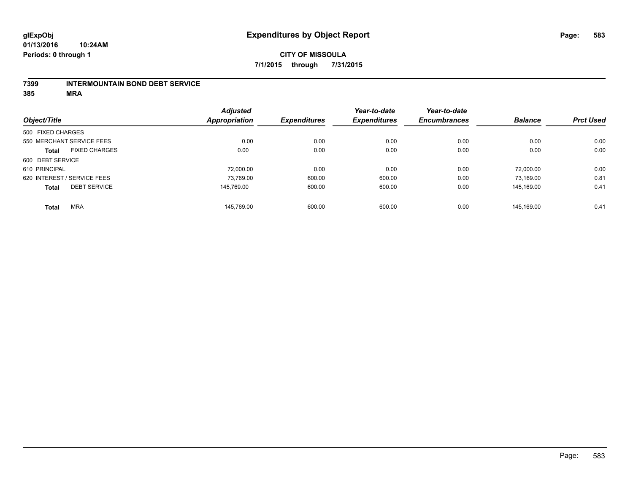#### **7399 INTERMOUNTAIN BOND DEBT SERVICE**

**385 MRA**

|                   |                             | <b>Adjusted</b>      |                     | Year-to-date        | Year-to-date        |                |                  |
|-------------------|-----------------------------|----------------------|---------------------|---------------------|---------------------|----------------|------------------|
| Object/Title      |                             | <b>Appropriation</b> | <b>Expenditures</b> | <b>Expenditures</b> | <b>Encumbrances</b> | <b>Balance</b> | <b>Prct Used</b> |
| 500 FIXED CHARGES |                             |                      |                     |                     |                     |                |                  |
|                   | 550 MERCHANT SERVICE FEES   | 0.00                 | 0.00                | 0.00                | 0.00                | 0.00           | 0.00             |
| <b>Total</b>      | <b>FIXED CHARGES</b>        | 0.00                 | 0.00                | 0.00                | 0.00                | 0.00           | 0.00             |
| 600 DEBT SERVICE  |                             |                      |                     |                     |                     |                |                  |
| 610 PRINCIPAL     |                             | 72.000.00            | 0.00                | 0.00                | 0.00                | 72.000.00      | 0.00             |
|                   | 620 INTEREST / SERVICE FEES | 73,769.00            | 600.00              | 600.00              | 0.00                | 73,169.00      | 0.81             |
| <b>Total</b>      | <b>DEBT SERVICE</b>         | 145.769.00           | 600.00              | 600.00              | 0.00                | 145.169.00     | 0.41             |
| <b>Total</b>      | <b>MRA</b>                  | 145.769.00           | 600.00              | 600.00              | 0.00                | 145.169.00     | 0.41             |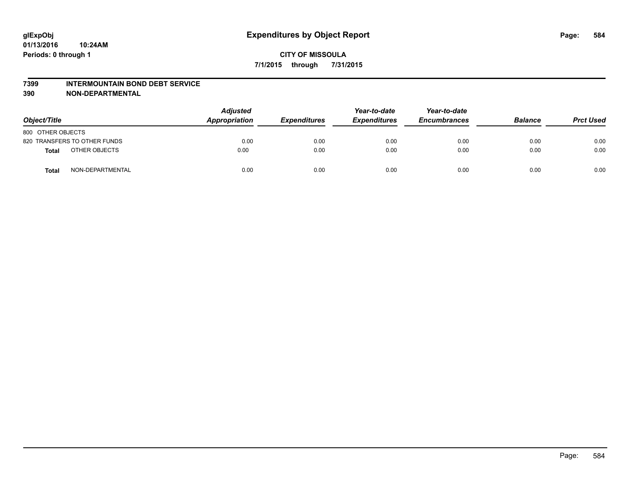#### **7399 INTERMOUNTAIN BOND DEBT SERVICE**

**390 NON-DEPARTMENTAL**

| Object/Title                     | <b>Adjusted</b><br>Appropriation | <b>Expenditures</b> | Year-to-date<br><b>Expenditures</b> | Year-to-date<br><b>Encumbrances</b> | <b>Balance</b> | <b>Prct Used</b> |
|----------------------------------|----------------------------------|---------------------|-------------------------------------|-------------------------------------|----------------|------------------|
| 800 OTHER OBJECTS                |                                  |                     |                                     |                                     |                |                  |
| 820 TRANSFERS TO OTHER FUNDS     | 0.00                             | 0.00                | 0.00                                | 0.00                                | 0.00           | 0.00             |
| OTHER OBJECTS<br><b>Total</b>    | 0.00                             | 0.00                | 0.00                                | 0.00                                | 0.00           | 0.00             |
| NON-DEPARTMENTAL<br><b>Total</b> | 0.00                             | 0.00                | 0.00                                | 0.00                                | 0.00           | 0.00             |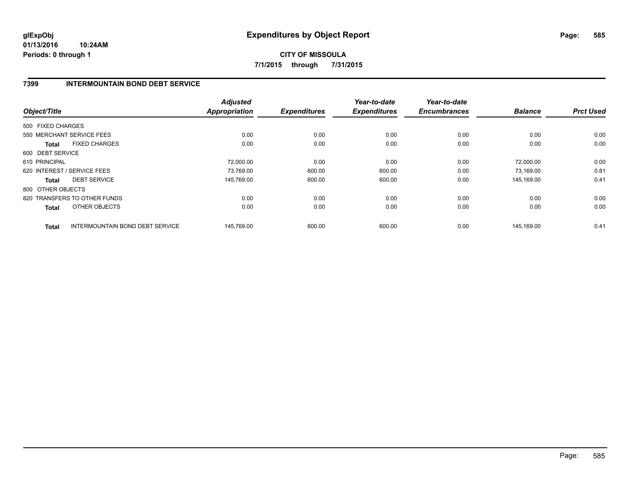**01/13/2016 10:24AM Periods: 0 through 1**

**CITY OF MISSOULA 7/1/2015 through 7/31/2015**

### **7399 INTERMOUNTAIN BOND DEBT SERVICE**

| Object/Title      |                                        | <b>Adjusted</b><br><b>Appropriation</b> | <b>Expenditures</b> | Year-to-date<br><b>Expenditures</b> | Year-to-date<br><b>Encumbrances</b> | <b>Balance</b> | <b>Prct Used</b> |
|-------------------|----------------------------------------|-----------------------------------------|---------------------|-------------------------------------|-------------------------------------|----------------|------------------|
| 500 FIXED CHARGES |                                        |                                         |                     |                                     |                                     |                |                  |
|                   | 550 MERCHANT SERVICE FEES              | 0.00                                    | 0.00                | 0.00                                | 0.00                                | 0.00           | 0.00             |
| <b>Total</b>      | <b>FIXED CHARGES</b>                   | 0.00                                    | 0.00                | 0.00                                | 0.00                                | 0.00           | 0.00             |
| 600 DEBT SERVICE  |                                        |                                         |                     |                                     |                                     |                |                  |
| 610 PRINCIPAL     |                                        | 72.000.00                               | 0.00                | 0.00                                | 0.00                                | 72.000.00      | 0.00             |
|                   | 620 INTEREST / SERVICE FEES            | 73,769.00                               | 600.00              | 600.00                              | 0.00                                | 73,169.00      | 0.81             |
| <b>Total</b>      | <b>DEBT SERVICE</b>                    | 145,769.00                              | 600.00              | 600.00                              | 0.00                                | 145,169.00     | 0.41             |
| 800 OTHER OBJECTS |                                        |                                         |                     |                                     |                                     |                |                  |
|                   | 820 TRANSFERS TO OTHER FUNDS           | 0.00                                    | 0.00                | 0.00                                | 0.00                                | 0.00           | 0.00             |
| Total             | OTHER OBJECTS                          | 0.00                                    | 0.00                | 0.00                                | 0.00                                | 0.00           | 0.00             |
| <b>Total</b>      | <b>INTERMOUNTAIN BOND DEBT SERVICE</b> | 145.769.00                              | 600.00              | 600.00                              | 0.00                                | 145.169.00     | 0.41             |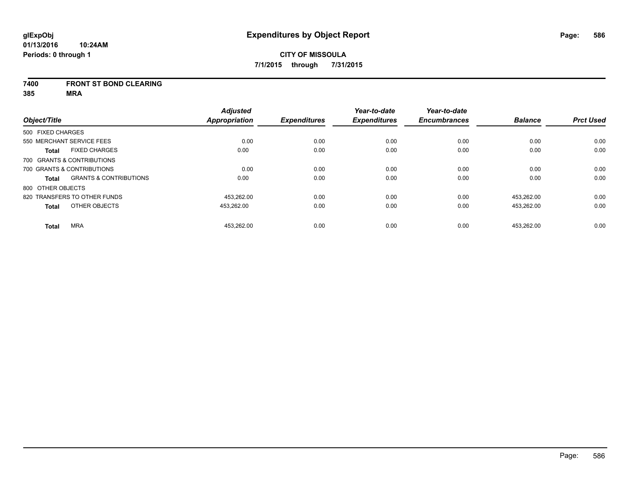#### **7400 FRONT ST BOND CLEARING**

**385 MRA**

|                   |                                   | <b>Adjusted</b>      |                     | Year-to-date        | Year-to-date        |                |                  |
|-------------------|-----------------------------------|----------------------|---------------------|---------------------|---------------------|----------------|------------------|
| Object/Title      |                                   | <b>Appropriation</b> | <b>Expenditures</b> | <b>Expenditures</b> | <b>Encumbrances</b> | <b>Balance</b> | <b>Prct Used</b> |
| 500 FIXED CHARGES |                                   |                      |                     |                     |                     |                |                  |
|                   | 550 MERCHANT SERVICE FEES         | 0.00                 | 0.00                | 0.00                | 0.00                | 0.00           | 0.00             |
| <b>Total</b>      | <b>FIXED CHARGES</b>              | 0.00                 | 0.00                | 0.00                | 0.00                | 0.00           | 0.00             |
|                   | 700 GRANTS & CONTRIBUTIONS        |                      |                     |                     |                     |                |                  |
|                   | 700 GRANTS & CONTRIBUTIONS        | 0.00                 | 0.00                | 0.00                | 0.00                | 0.00           | 0.00             |
| Total             | <b>GRANTS &amp; CONTRIBUTIONS</b> | 0.00                 | 0.00                | 0.00                | 0.00                | 0.00           | 0.00             |
| 800 OTHER OBJECTS |                                   |                      |                     |                     |                     |                |                  |
|                   | 820 TRANSFERS TO OTHER FUNDS      | 453.262.00           | 0.00                | 0.00                | 0.00                | 453.262.00     | 0.00             |
| <b>Total</b>      | OTHER OBJECTS                     | 453,262.00           | 0.00                | 0.00                | 0.00                | 453,262.00     | 0.00             |
| <b>Total</b>      | <b>MRA</b>                        | 453.262.00           | 0.00                | 0.00                | 0.00                | 453.262.00     | 0.00             |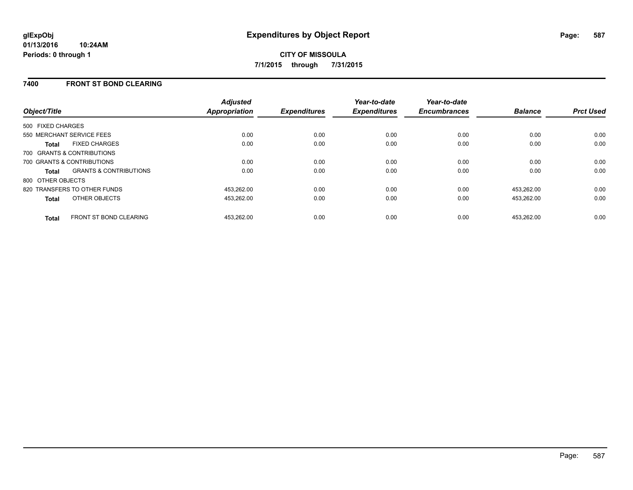### **7400 FRONT ST BOND CLEARING**

| Object/Title                                      | <b>Adjusted</b><br><b>Appropriation</b> | <b>Expenditures</b> | Year-to-date<br><b>Expenditures</b> | Year-to-date<br><b>Encumbrances</b> | <b>Balance</b> | <b>Prct Used</b> |
|---------------------------------------------------|-----------------------------------------|---------------------|-------------------------------------|-------------------------------------|----------------|------------------|
| 500 FIXED CHARGES                                 |                                         |                     |                                     |                                     |                |                  |
| 550 MERCHANT SERVICE FEES                         | 0.00                                    | 0.00                | 0.00                                | 0.00                                | 0.00           | 0.00             |
| <b>FIXED CHARGES</b><br><b>Total</b>              | 0.00                                    | 0.00                | 0.00                                | 0.00                                | 0.00           | 0.00             |
| 700 GRANTS & CONTRIBUTIONS                        |                                         |                     |                                     |                                     |                |                  |
| 700 GRANTS & CONTRIBUTIONS                        | 0.00                                    | 0.00                | 0.00                                | 0.00                                | 0.00           | 0.00             |
| <b>GRANTS &amp; CONTRIBUTIONS</b><br><b>Total</b> | 0.00                                    | 0.00                | 0.00                                | 0.00                                | 0.00           | 0.00             |
| 800 OTHER OBJECTS                                 |                                         |                     |                                     |                                     |                |                  |
| 820 TRANSFERS TO OTHER FUNDS                      | 453,262.00                              | 0.00                | 0.00                                | 0.00                                | 453,262.00     | 0.00             |
| <b>OTHER OBJECTS</b><br><b>Total</b>              | 453,262.00                              | 0.00                | 0.00                                | 0.00                                | 453,262.00     | 0.00             |
| <b>FRONT ST BOND CLEARING</b><br><b>Total</b>     | 453.262.00                              | 0.00                | 0.00                                | 0.00                                | 453.262.00     | 0.00             |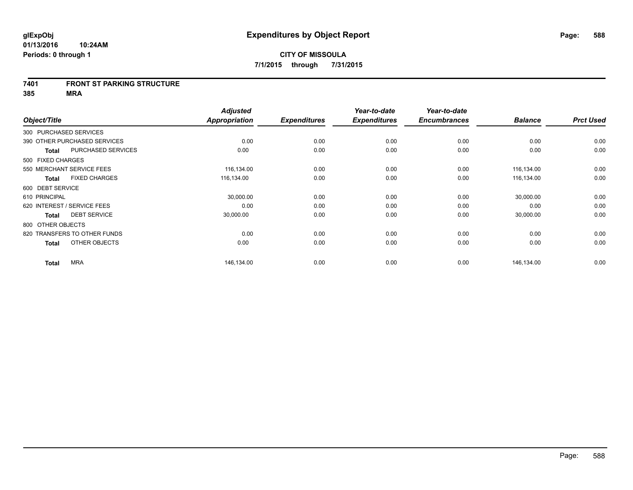#### **7401 FRONT ST PARKING STRUCTURE**

**385 MRA**

| Object/Title                |                              | <b>Adjusted</b><br><b>Appropriation</b> | <b>Expenditures</b> | Year-to-date<br><b>Expenditures</b> | Year-to-date<br><b>Encumbrances</b> | <b>Balance</b> | <b>Prct Used</b> |
|-----------------------------|------------------------------|-----------------------------------------|---------------------|-------------------------------------|-------------------------------------|----------------|------------------|
| 300 PURCHASED SERVICES      |                              |                                         |                     |                                     |                                     |                |                  |
|                             | 390 OTHER PURCHASED SERVICES | 0.00                                    | 0.00                | 0.00                                | 0.00                                | 0.00           | 0.00             |
| <b>Total</b>                | PURCHASED SERVICES           | 0.00                                    | 0.00                | 0.00                                | 0.00                                | 0.00           | 0.00             |
| 500 FIXED CHARGES           |                              |                                         |                     |                                     |                                     |                |                  |
|                             | 550 MERCHANT SERVICE FEES    | 116,134.00                              | 0.00                | 0.00                                | 0.00                                | 116,134.00     | 0.00             |
| <b>Total</b>                | <b>FIXED CHARGES</b>         | 116,134.00                              | 0.00                | 0.00                                | 0.00                                | 116,134.00     | 0.00             |
| 600 DEBT SERVICE            |                              |                                         |                     |                                     |                                     |                |                  |
| 610 PRINCIPAL               |                              | 30,000.00                               | 0.00                | 0.00                                | 0.00                                | 30,000.00      | 0.00             |
| 620 INTEREST / SERVICE FEES |                              | 0.00                                    | 0.00                | 0.00                                | 0.00                                | 0.00           | 0.00             |
| <b>Total</b>                | <b>DEBT SERVICE</b>          | 30,000.00                               | 0.00                | 0.00                                | 0.00                                | 30,000.00      | 0.00             |
| 800 OTHER OBJECTS           |                              |                                         |                     |                                     |                                     |                |                  |
|                             | 820 TRANSFERS TO OTHER FUNDS | 0.00                                    | 0.00                | 0.00                                | 0.00                                | 0.00           | 0.00             |
| <b>Total</b>                | OTHER OBJECTS                | 0.00                                    | 0.00                | 0.00                                | 0.00                                | 0.00           | 0.00             |
| <b>Total</b>                | <b>MRA</b>                   | 146,134.00                              | 0.00                | 0.00                                | 0.00                                | 146,134.00     | 0.00             |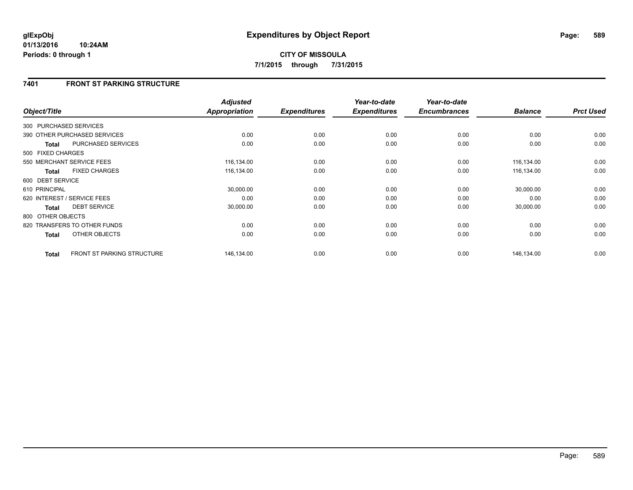#### **01/13/2016 10:24AM Periods: 0 through 1**

# **CITY OF MISSOULA 7/1/2015 through 7/31/2015**

## **7401 FRONT ST PARKING STRUCTURE**

| Object/Title      |                                   | <b>Adjusted</b><br><b>Appropriation</b> | <b>Expenditures</b> | Year-to-date<br><b>Expenditures</b> | Year-to-date<br><b>Encumbrances</b> | <b>Balance</b> | <b>Prct Used</b> |
|-------------------|-----------------------------------|-----------------------------------------|---------------------|-------------------------------------|-------------------------------------|----------------|------------------|
|                   | 300 PURCHASED SERVICES            |                                         |                     |                                     |                                     |                |                  |
|                   | 390 OTHER PURCHASED SERVICES      | 0.00                                    | 0.00                | 0.00                                | 0.00                                | 0.00           | 0.00             |
| <b>Total</b>      | PURCHASED SERVICES                | 0.00                                    | 0.00                | 0.00                                | 0.00                                | 0.00           | 0.00             |
| 500 FIXED CHARGES |                                   |                                         |                     |                                     |                                     |                |                  |
|                   | 550 MERCHANT SERVICE FEES         | 116,134.00                              | 0.00                | 0.00                                | 0.00                                | 116,134.00     | 0.00             |
| <b>Total</b>      | <b>FIXED CHARGES</b>              | 116,134.00                              | 0.00                | 0.00                                | 0.00                                | 116,134.00     | 0.00             |
| 600 DEBT SERVICE  |                                   |                                         |                     |                                     |                                     |                |                  |
| 610 PRINCIPAL     |                                   | 30,000.00                               | 0.00                | 0.00                                | 0.00                                | 30,000.00      | 0.00             |
|                   | 620 INTEREST / SERVICE FEES       | 0.00                                    | 0.00                | 0.00                                | 0.00                                | 0.00           | 0.00             |
| <b>Total</b>      | <b>DEBT SERVICE</b>               | 30,000.00                               | 0.00                | 0.00                                | 0.00                                | 30,000.00      | 0.00             |
| 800 OTHER OBJECTS |                                   |                                         |                     |                                     |                                     |                |                  |
|                   | 820 TRANSFERS TO OTHER FUNDS      | 0.00                                    | 0.00                | 0.00                                | 0.00                                | 0.00           | 0.00             |
| <b>Total</b>      | OTHER OBJECTS                     | 0.00                                    | 0.00                | 0.00                                | 0.00                                | 0.00           | 0.00             |
| <b>Total</b>      | <b>FRONT ST PARKING STRUCTURE</b> | 146,134.00                              | 0.00                | 0.00                                | 0.00                                | 146,134.00     | 0.00             |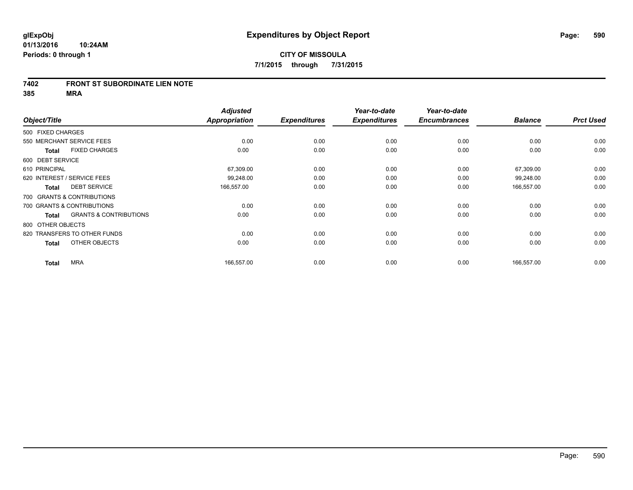#### **7402 FRONT ST SUBORDINATE LIEN NOTE**

**385 MRA**

| Object/Title      |                                   | <b>Adjusted</b><br>Appropriation | <b>Expenditures</b> | Year-to-date<br><b>Expenditures</b> | Year-to-date<br><b>Encumbrances</b> | <b>Balance</b> | <b>Prct Used</b> |
|-------------------|-----------------------------------|----------------------------------|---------------------|-------------------------------------|-------------------------------------|----------------|------------------|
| 500 FIXED CHARGES |                                   |                                  |                     |                                     |                                     |                |                  |
|                   |                                   |                                  |                     |                                     |                                     |                |                  |
|                   | 550 MERCHANT SERVICE FEES         | 0.00                             | 0.00                | 0.00                                | 0.00                                | 0.00           | 0.00             |
| <b>Total</b>      | <b>FIXED CHARGES</b>              | 0.00                             | 0.00                | 0.00                                | 0.00                                | 0.00           | 0.00             |
| 600 DEBT SERVICE  |                                   |                                  |                     |                                     |                                     |                |                  |
| 610 PRINCIPAL     |                                   | 67,309.00                        | 0.00                | 0.00                                | 0.00                                | 67,309.00      | 0.00             |
|                   | 620 INTEREST / SERVICE FEES       | 99,248.00                        | 0.00                | 0.00                                | 0.00                                | 99,248.00      | 0.00             |
| <b>Total</b>      | <b>DEBT SERVICE</b>               | 166,557.00                       | 0.00                | 0.00                                | 0.00                                | 166,557.00     | 0.00             |
|                   | 700 GRANTS & CONTRIBUTIONS        |                                  |                     |                                     |                                     |                |                  |
|                   | 700 GRANTS & CONTRIBUTIONS        | 0.00                             | 0.00                | 0.00                                | 0.00                                | 0.00           | 0.00             |
| <b>Total</b>      | <b>GRANTS &amp; CONTRIBUTIONS</b> | 0.00                             | 0.00                | 0.00                                | 0.00                                | 0.00           | 0.00             |
| 800 OTHER OBJECTS |                                   |                                  |                     |                                     |                                     |                |                  |
|                   | 820 TRANSFERS TO OTHER FUNDS      | 0.00                             | 0.00                | 0.00                                | 0.00                                | 0.00           | 0.00             |
| <b>Total</b>      | OTHER OBJECTS                     | 0.00                             | 0.00                | 0.00                                | 0.00                                | 0.00           | 0.00             |
| <b>Total</b>      | <b>MRA</b>                        | 166,557.00                       | 0.00                | 0.00                                | 0.00                                | 166,557.00     | 0.00             |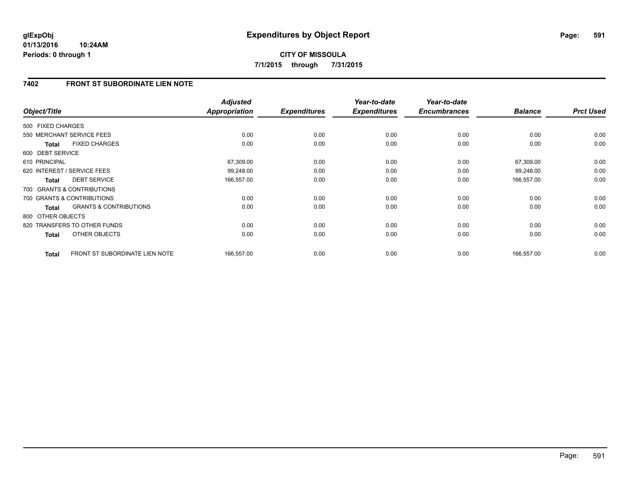## **7402 FRONT ST SUBORDINATE LIEN NOTE**

| Object/Title      |                                   | <b>Adjusted</b><br><b>Appropriation</b> | <b>Expenditures</b> | Year-to-date<br><b>Expenditures</b> | Year-to-date<br><b>Encumbrances</b> | <b>Balance</b> | <b>Prct Used</b> |
|-------------------|-----------------------------------|-----------------------------------------|---------------------|-------------------------------------|-------------------------------------|----------------|------------------|
| 500 FIXED CHARGES |                                   |                                         |                     |                                     |                                     |                |                  |
|                   | 550 MERCHANT SERVICE FEES         | 0.00                                    | 0.00                | 0.00                                | 0.00                                | 0.00           | 0.00             |
| <b>Total</b>      | <b>FIXED CHARGES</b>              | 0.00                                    | 0.00                | 0.00                                | 0.00                                | 0.00           | 0.00             |
| 600 DEBT SERVICE  |                                   |                                         |                     |                                     |                                     |                |                  |
| 610 PRINCIPAL     |                                   | 67,309.00                               | 0.00                | 0.00                                | 0.00                                | 67,309.00      | 0.00             |
|                   | 620 INTEREST / SERVICE FEES       | 99,248.00                               | 0.00                | 0.00                                | 0.00                                | 99,248.00      | 0.00             |
| <b>Total</b>      | <b>DEBT SERVICE</b>               | 166,557.00                              | 0.00                | 0.00                                | 0.00                                | 166,557.00     | 0.00             |
|                   | 700 GRANTS & CONTRIBUTIONS        |                                         |                     |                                     |                                     |                |                  |
|                   | 700 GRANTS & CONTRIBUTIONS        | 0.00                                    | 0.00                | 0.00                                | 0.00                                | 0.00           | 0.00             |
| Total             | <b>GRANTS &amp; CONTRIBUTIONS</b> | 0.00                                    | 0.00                | 0.00                                | 0.00                                | 0.00           | 0.00             |
| 800 OTHER OBJECTS |                                   |                                         |                     |                                     |                                     |                |                  |
|                   | 820 TRANSFERS TO OTHER FUNDS      | 0.00                                    | 0.00                | 0.00                                | 0.00                                | 0.00           | 0.00             |
| <b>Total</b>      | <b>OTHER OBJECTS</b>              | 0.00                                    | 0.00                | 0.00                                | 0.00                                | 0.00           | 0.00             |
| <b>Total</b>      | FRONT ST SUBORDINATE LIEN NOTE    | 166,557.00                              | 0.00                | 0.00                                | 0.00                                | 166,557.00     | 0.00             |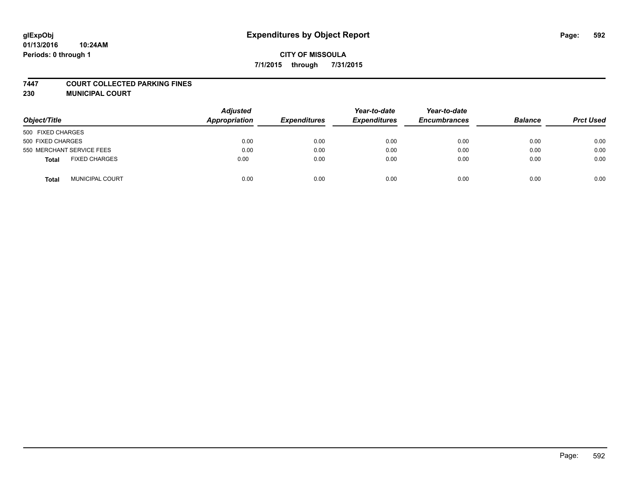### **7447 COURT COLLECTED PARKING FINES**

**230 MUNICIPAL COURT**

| Object/Title                         | <b>Adjusted</b><br>Appropriation | <b>Expenditures</b> | Year-to-date<br><b>Expenditures</b> | Year-to-date<br><b>Encumbrances</b> | <b>Balance</b> | <b>Prct Used</b> |
|--------------------------------------|----------------------------------|---------------------|-------------------------------------|-------------------------------------|----------------|------------------|
| 500 FIXED CHARGES                    |                                  |                     |                                     |                                     |                |                  |
| 500 FIXED CHARGES                    | 0.00                             | 0.00                | 0.00                                | 0.00                                | 0.00           | 0.00             |
| 550 MERCHANT SERVICE FEES            | 0.00                             | 0.00                | 0.00                                | 0.00                                | 0.00           | 0.00             |
| <b>FIXED CHARGES</b><br><b>Total</b> | 0.00                             | 0.00                | 0.00                                | 0.00                                | 0.00           | 0.00             |
| <b>MUNICIPAL COURT</b><br>Total      | 0.00                             | 0.00                | 0.00                                | 0.00                                | 0.00           | 0.00             |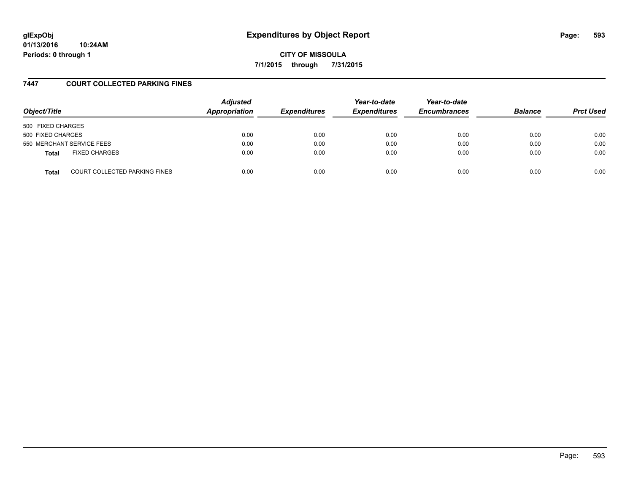**01/13/2016 10:24AM Periods: 0 through 1**

**CITY OF MISSOULA 7/1/2015 through 7/31/2015**

### **7447 COURT COLLECTED PARKING FINES**

| Object/Title              |                                      | <b>Adjusted</b><br>Appropriation | <b>Expenditures</b> | Year-to-date<br><b>Expenditures</b> | Year-to-date<br><b>Encumbrances</b> | <b>Balance</b> | <b>Prct Used</b> |
|---------------------------|--------------------------------------|----------------------------------|---------------------|-------------------------------------|-------------------------------------|----------------|------------------|
| 500 FIXED CHARGES         |                                      |                                  |                     |                                     |                                     |                |                  |
| 500 FIXED CHARGES         |                                      | 0.00                             | 0.00                | 0.00                                | 0.00                                | 0.00           | 0.00             |
| 550 MERCHANT SERVICE FEES |                                      | 0.00                             | 0.00                | 0.00                                | 0.00                                | 0.00           | 0.00             |
| <b>Total</b>              | <b>FIXED CHARGES</b>                 | 0.00                             | 0.00                | 0.00                                | 0.00                                | 0.00           | 0.00             |
| <b>Total</b>              | <b>COURT COLLECTED PARKING FINES</b> | 0.00                             | 0.00                | 0.00                                | 0.00                                | 0.00           | 0.00             |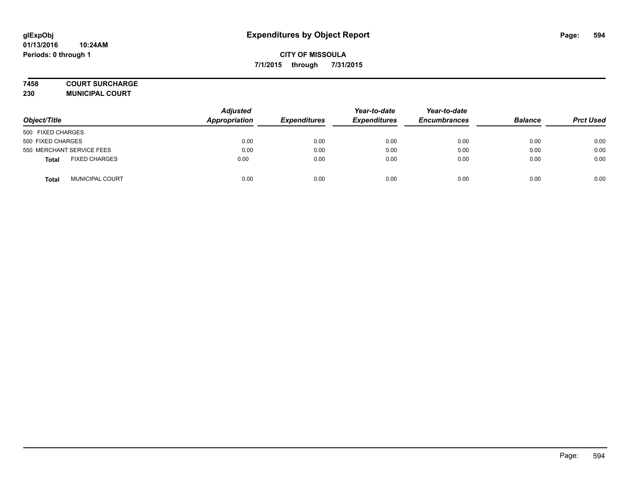### **7458 COURT SURCHARGE**

**230 MUNICIPAL COURT**

| Object/Title                         | <b>Adjusted</b><br>Appropriation | <b>Expenditures</b> | Year-to-date<br><b>Expenditures</b> | Year-to-date<br><b>Encumbrances</b> | <b>Balance</b> | <b>Prct Used</b> |
|--------------------------------------|----------------------------------|---------------------|-------------------------------------|-------------------------------------|----------------|------------------|
| 500 FIXED CHARGES                    |                                  |                     |                                     |                                     |                |                  |
| 500 FIXED CHARGES                    | 0.00                             | 0.00                | 0.00                                | 0.00                                | 0.00           | 0.00             |
| 550 MERCHANT SERVICE FEES            | 0.00                             | 0.00                | 0.00                                | 0.00                                | 0.00           | 0.00             |
| <b>FIXED CHARGES</b><br><b>Total</b> | 0.00                             | 0.00                | 0.00                                | 0.00                                | 0.00           | 0.00             |
| <b>MUNICIPAL COURT</b><br>Total      | 0.00                             | 0.00                | 0.00                                | 0.00                                | 0.00           | 0.00             |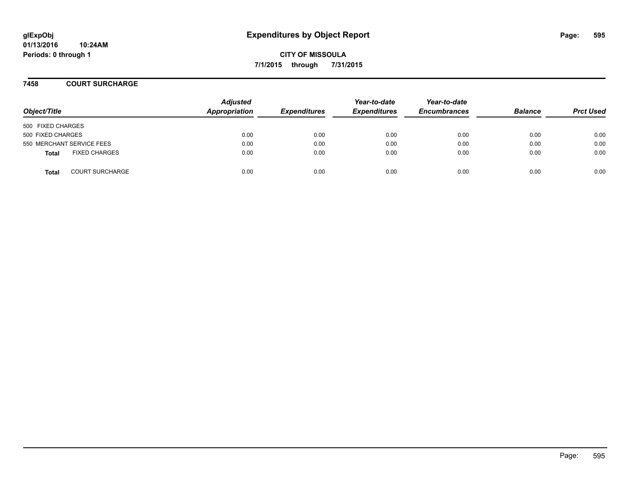**7458 COURT SURCHARGE**

| Object/Title                           | <b>Adjusted</b><br>Appropriation | <b>Expenditures</b> | Year-to-date<br><b>Expenditures</b> | Year-to-date<br><b>Encumbrances</b> | <b>Balance</b> | <b>Prct Used</b> |
|----------------------------------------|----------------------------------|---------------------|-------------------------------------|-------------------------------------|----------------|------------------|
| 500 FIXED CHARGES                      |                                  |                     |                                     |                                     |                |                  |
| 500 FIXED CHARGES                      | 0.00                             | 0.00                | 0.00                                | 0.00                                | 0.00           | 0.00             |
| 550 MERCHANT SERVICE FEES              | 0.00                             | 0.00                | 0.00                                | 0.00                                | 0.00           | 0.00             |
| <b>FIXED CHARGES</b><br><b>Total</b>   | 0.00                             | 0.00                | 0.00                                | 0.00                                | 0.00           | 0.00             |
| <b>COURT SURCHARGE</b><br><b>Total</b> | 0.00                             | 0.00                | 0.00                                | 0.00                                | 0.00           | 0.00             |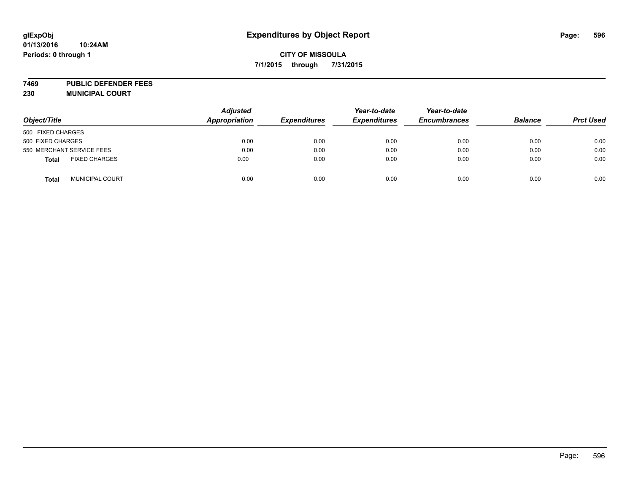**7469 PUBLIC DEFENDER FEES 230 MUNICIPAL COURT**

| Object/Title                         | <b>Adjusted</b><br><b>Appropriation</b> | <b>Expenditures</b> | Year-to-date<br><b>Expenditures</b> | Year-to-date<br><b>Encumbrances</b> | <b>Balance</b> | <b>Prct Used</b> |
|--------------------------------------|-----------------------------------------|---------------------|-------------------------------------|-------------------------------------|----------------|------------------|
| 500 FIXED CHARGES                    |                                         |                     |                                     |                                     |                |                  |
| 500 FIXED CHARGES                    | 0.00                                    | 0.00                | 0.00                                | 0.00                                | 0.00           | 0.00             |
| 550 MERCHANT SERVICE FEES            | 0.00                                    | 0.00                | 0.00                                | 0.00                                | 0.00           | 0.00             |
| <b>FIXED CHARGES</b><br><b>Total</b> | 0.00                                    | 0.00                | 0.00                                | 0.00                                | 0.00           | 0.00             |
| MUNICIPAL COURT<br><b>Total</b>      | 0.00                                    | 0.00                | 0.00                                | 0.00                                | 0.00           | 0.00             |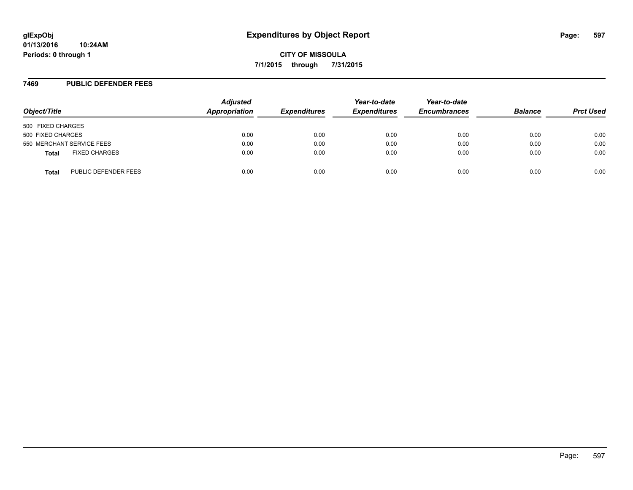#### **7469 PUBLIC DEFENDER FEES**

| Object/Title                         | <b>Adjusted</b><br>Appropriation | <b>Expenditures</b> | Year-to-date<br><b>Expenditures</b> | Year-to-date<br><b>Encumbrances</b> | <b>Balance</b> | <b>Prct Used</b> |
|--------------------------------------|----------------------------------|---------------------|-------------------------------------|-------------------------------------|----------------|------------------|
| 500 FIXED CHARGES                    |                                  |                     |                                     |                                     |                |                  |
| 500 FIXED CHARGES                    | 0.00                             | 0.00                | 0.00                                | 0.00                                | 0.00           | 0.00             |
| 550 MERCHANT SERVICE FEES            | 0.00                             | 0.00                | 0.00                                | 0.00                                | 0.00           | 0.00             |
| <b>FIXED CHARGES</b><br><b>Total</b> | 0.00                             | 0.00                | 0.00                                | 0.00                                | 0.00           | 0.00             |
| PUBLIC DEFENDER FEES<br>Total        | 0.00                             | 0.00                | 0.00                                | 0.00                                | 0.00           | 0.00             |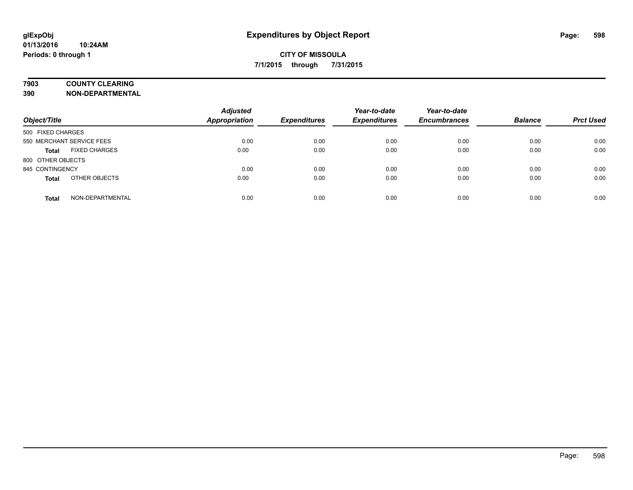## **7903 COUNTY CLEARING**

**390 NON-DEPARTMENTAL**

| Object/Title                         | <b>Adjusted</b><br><b>Appropriation</b> | <b>Expenditures</b> | Year-to-date<br><b>Expenditures</b> | Year-to-date<br><b>Encumbrances</b> | <b>Balance</b> | <b>Prct Used</b> |
|--------------------------------------|-----------------------------------------|---------------------|-------------------------------------|-------------------------------------|----------------|------------------|
| 500 FIXED CHARGES                    |                                         |                     |                                     |                                     |                |                  |
| 550 MERCHANT SERVICE FEES            | 0.00                                    | 0.00                | 0.00                                | 0.00                                | 0.00           | 0.00             |
| <b>FIXED CHARGES</b><br><b>Total</b> | 0.00                                    | 0.00                | 0.00                                | 0.00                                | 0.00           | 0.00             |
| 800 OTHER OBJECTS                    |                                         |                     |                                     |                                     |                |                  |
| 845 CONTINGENCY                      | 0.00                                    | 0.00                | 0.00                                | 0.00                                | 0.00           | 0.00             |
| OTHER OBJECTS<br><b>Total</b>        | 0.00                                    | 0.00                | 0.00                                | 0.00                                | 0.00           | 0.00             |
| NON-DEPARTMENTAL<br><b>Total</b>     | 0.00                                    | 0.00                | 0.00                                | 0.00                                | 0.00           | 0.00             |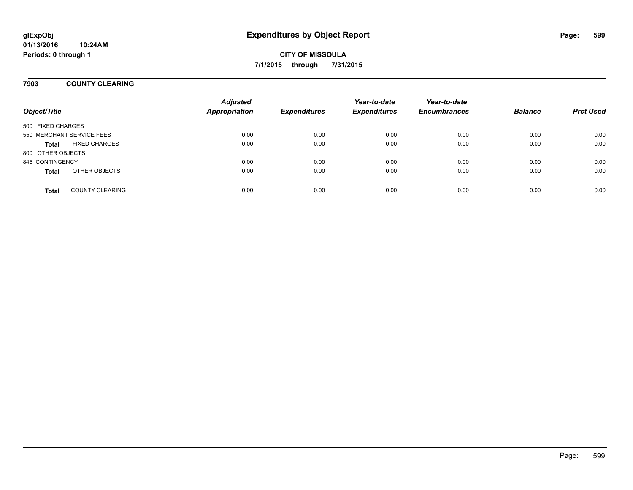### **7903 COUNTY CLEARING**

| Object/Title      |                           | <b>Adjusted</b><br><b>Appropriation</b> | <b>Expenditures</b> | Year-to-date<br><b>Expenditures</b> | Year-to-date<br><b>Encumbrances</b> | <b>Balance</b> | <b>Prct Used</b> |
|-------------------|---------------------------|-----------------------------------------|---------------------|-------------------------------------|-------------------------------------|----------------|------------------|
| 500 FIXED CHARGES |                           |                                         |                     |                                     |                                     |                |                  |
|                   | 550 MERCHANT SERVICE FEES | 0.00                                    | 0.00                | 0.00                                | 0.00                                | 0.00           | 0.00             |
| <b>Total</b>      | <b>FIXED CHARGES</b>      | 0.00                                    | 0.00                | 0.00                                | 0.00                                | 0.00           | 0.00             |
| 800 OTHER OBJECTS |                           |                                         |                     |                                     |                                     |                |                  |
| 845 CONTINGENCY   |                           | 0.00                                    | 0.00                | 0.00                                | 0.00                                | 0.00           | 0.00             |
| <b>Total</b>      | OTHER OBJECTS             | 0.00                                    | 0.00                | 0.00                                | 0.00                                | 0.00           | 0.00             |
| <b>Total</b>      | <b>COUNTY CLEARING</b>    | 0.00                                    | 0.00                | 0.00                                | 0.00                                | 0.00           | 0.00             |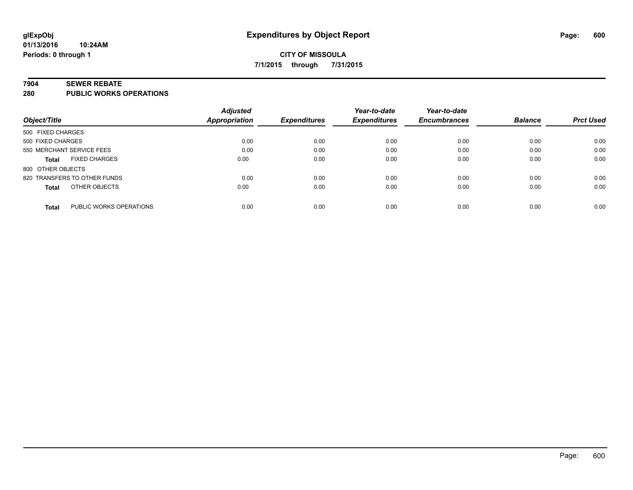#### **7904 SEWER REBATE**

**280 PUBLIC WORKS OPERATIONS**

|                                         | <b>Adjusted</b> |                     | Year-to-date        | Year-to-date        |                |                  |
|-----------------------------------------|-----------------|---------------------|---------------------|---------------------|----------------|------------------|
| Object/Title                            | Appropriation   | <b>Expenditures</b> | <b>Expenditures</b> | <b>Encumbrances</b> | <b>Balance</b> | <b>Prct Used</b> |
| 500 FIXED CHARGES                       |                 |                     |                     |                     |                |                  |
| 500 FIXED CHARGES                       | 0.00            | 0.00                | 0.00                | 0.00                | 0.00           | 0.00             |
| 550 MERCHANT SERVICE FEES               | 0.00            | 0.00                | 0.00                | 0.00                | 0.00           | 0.00             |
| <b>FIXED CHARGES</b><br><b>Total</b>    | 0.00            | 0.00                | 0.00                | 0.00                | 0.00           | 0.00             |
| 800 OTHER OBJECTS                       |                 |                     |                     |                     |                |                  |
| 820 TRANSFERS TO OTHER FUNDS            | 0.00            | 0.00                | 0.00                | 0.00                | 0.00           | 0.00             |
| OTHER OBJECTS<br><b>Total</b>           | 0.00            | 0.00                | 0.00                | 0.00                | 0.00           | 0.00             |
| PUBLIC WORKS OPERATIONS<br><b>Total</b> | 0.00            | 0.00                | 0.00                | 0.00                | 0.00           | 0.00             |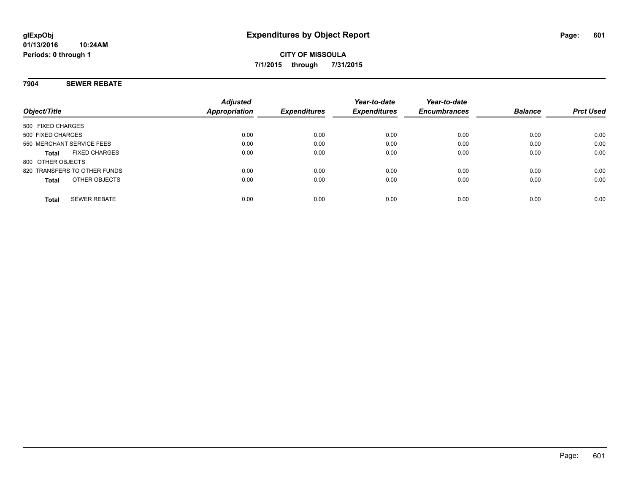### **7904 SEWER REBATE**

| Object/Title                         | <b>Adjusted</b><br>Appropriation | <b>Expenditures</b> | Year-to-date<br><b>Expenditures</b> | Year-to-date<br><b>Encumbrances</b> | <b>Balance</b> | <b>Prct Used</b> |
|--------------------------------------|----------------------------------|---------------------|-------------------------------------|-------------------------------------|----------------|------------------|
| 500 FIXED CHARGES                    |                                  |                     |                                     |                                     |                |                  |
| 500 FIXED CHARGES                    | 0.00                             | 0.00                | 0.00                                | 0.00                                | 0.00           | 0.00             |
| 550 MERCHANT SERVICE FEES            | 0.00                             | 0.00                | 0.00                                | 0.00                                | 0.00           | 0.00             |
| <b>FIXED CHARGES</b><br><b>Total</b> | 0.00                             | 0.00                | 0.00                                | 0.00                                | 0.00           | 0.00             |
| 800 OTHER OBJECTS                    |                                  |                     |                                     |                                     |                |                  |
| 820 TRANSFERS TO OTHER FUNDS         | 0.00                             | 0.00                | 0.00                                | 0.00                                | 0.00           | 0.00             |
| OTHER OBJECTS<br><b>Total</b>        | 0.00                             | 0.00                | 0.00                                | 0.00                                | 0.00           | 0.00             |
| <b>SEWER REBATE</b><br><b>Total</b>  | 0.00                             | 0.00                | 0.00                                | 0.00                                | 0.00           | 0.00             |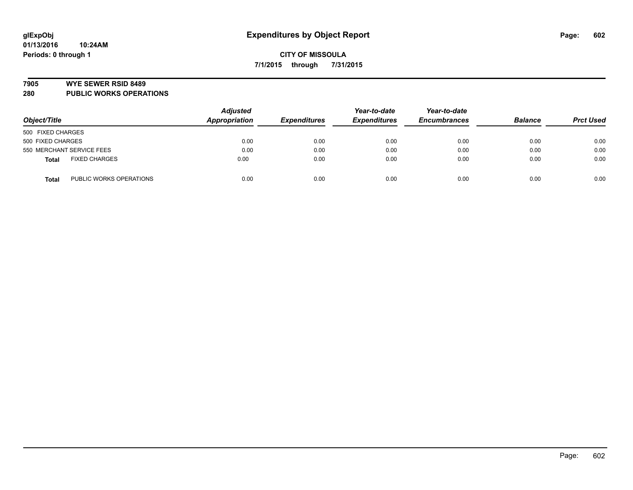#### **7905 WYE SEWER RSID 8489**

**280 PUBLIC WORKS OPERATIONS**

| Object/Title                            | <b>Adjusted</b><br>Appropriation | <b>Expenditures</b> | Year-to-date<br><b>Expenditures</b> | Year-to-date<br><b>Encumbrances</b> | <b>Balance</b> | <b>Prct Used</b> |
|-----------------------------------------|----------------------------------|---------------------|-------------------------------------|-------------------------------------|----------------|------------------|
| 500 FIXED CHARGES                       |                                  |                     |                                     |                                     |                |                  |
| 500 FIXED CHARGES                       | 0.00                             | 0.00                | 0.00                                | 0.00                                | 0.00           | 0.00             |
| 550 MERCHANT SERVICE FEES               | 0.00                             | 0.00                | 0.00                                | 0.00                                | 0.00           | 0.00             |
| <b>FIXED CHARGES</b><br><b>Total</b>    | 0.00                             | 0.00                | 0.00                                | 0.00                                | 0.00           | 0.00             |
| PUBLIC WORKS OPERATIONS<br><b>Total</b> | 0.00                             | 0.00                | 0.00                                | 0.00                                | 0.00           | 0.00             |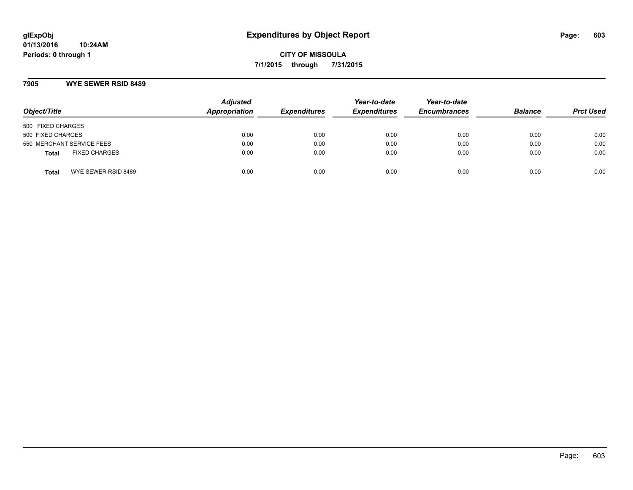### **7905 WYE SEWER RSID 8489**

| Object/Title              |                      | <b>Adjusted</b><br>Appropriation | <b>Expenditures</b> | Year-to-date<br><b>Expenditures</b> | Year-to-date<br><b>Encumbrances</b> | <b>Balance</b> | <b>Prct Used</b> |
|---------------------------|----------------------|----------------------------------|---------------------|-------------------------------------|-------------------------------------|----------------|------------------|
| 500 FIXED CHARGES         |                      |                                  |                     |                                     |                                     |                |                  |
| 500 FIXED CHARGES         |                      | 0.00                             | 0.00                | 0.00                                | 0.00                                | 0.00           | 0.00             |
| 550 MERCHANT SERVICE FEES |                      | 0.00                             | 0.00                | 0.00                                | 0.00                                | 0.00           | 0.00             |
| <b>Total</b>              | <b>FIXED CHARGES</b> | 0.00                             | 0.00                | 0.00                                | 0.00                                | 0.00           | 0.00             |
| <b>Total</b>              | WYE SEWER RSID 8489  | 0.00                             | 0.00                | 0.00                                | 0.00                                | 0.00           | 0.00             |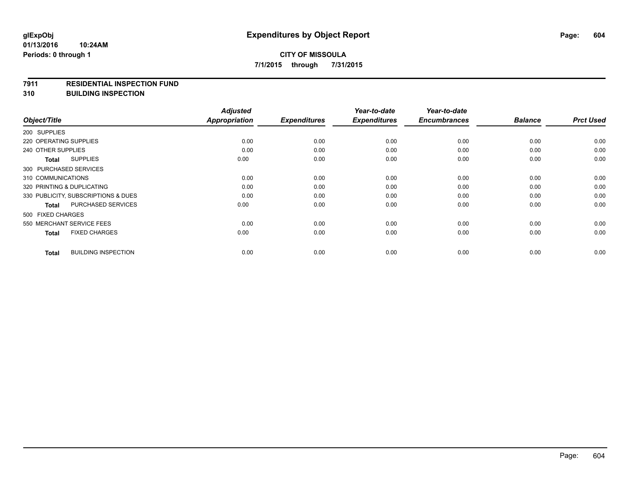#### **7911 RESIDENTIAL INSPECTION FUND**

**310 BUILDING INSPECTION**

| Object/Title                               | <b>Adjusted</b><br><b>Appropriation</b> | <b>Expenditures</b> | Year-to-date<br><b>Expenditures</b> | Year-to-date<br><b>Encumbrances</b> | <b>Balance</b> | <b>Prct Used</b> |
|--------------------------------------------|-----------------------------------------|---------------------|-------------------------------------|-------------------------------------|----------------|------------------|
| 200 SUPPLIES                               |                                         |                     |                                     |                                     |                |                  |
| 220 OPERATING SUPPLIES                     | 0.00                                    | 0.00                | 0.00                                | 0.00                                | 0.00           | 0.00             |
|                                            |                                         |                     |                                     |                                     |                |                  |
| 240 OTHER SUPPLIES                         | 0.00                                    | 0.00                | 0.00                                | 0.00                                | 0.00           | 0.00             |
| <b>SUPPLIES</b><br><b>Total</b>            | 0.00                                    | 0.00                | 0.00                                | 0.00                                | 0.00           | 0.00             |
| 300 PURCHASED SERVICES                     |                                         |                     |                                     |                                     |                |                  |
| 310 COMMUNICATIONS                         | 0.00                                    | 0.00                | 0.00                                | 0.00                                | 0.00           | 0.00             |
| 320 PRINTING & DUPLICATING                 | 0.00                                    | 0.00                | 0.00                                | 0.00                                | 0.00           | 0.00             |
| 330 PUBLICITY, SUBSCRIPTIONS & DUES        | 0.00                                    | 0.00                | 0.00                                | 0.00                                | 0.00           | 0.00             |
| <b>PURCHASED SERVICES</b><br><b>Total</b>  | 0.00                                    | 0.00                | 0.00                                | 0.00                                | 0.00           | 0.00             |
| 500 FIXED CHARGES                          |                                         |                     |                                     |                                     |                |                  |
| 550 MERCHANT SERVICE FEES                  | 0.00                                    | 0.00                | 0.00                                | 0.00                                | 0.00           | 0.00             |
| <b>FIXED CHARGES</b><br><b>Total</b>       | 0.00                                    | 0.00                | 0.00                                | 0.00                                | 0.00           | 0.00             |
| <b>BUILDING INSPECTION</b><br><b>Total</b> | 0.00                                    | 0.00                | 0.00                                | 0.00                                | 0.00           | 0.00             |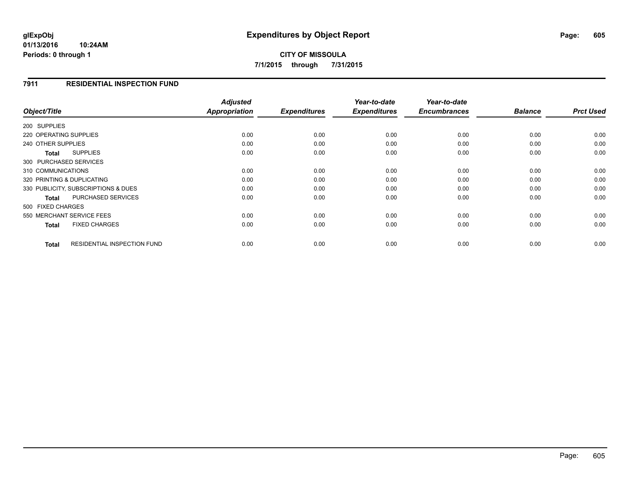### **7911 RESIDENTIAL INSPECTION FUND**

| Object/Title                                | <b>Adjusted</b><br>Appropriation | <b>Expenditures</b> | Year-to-date<br><b>Expenditures</b> | Year-to-date<br><b>Encumbrances</b> | <b>Balance</b> | <b>Prct Used</b> |
|---------------------------------------------|----------------------------------|---------------------|-------------------------------------|-------------------------------------|----------------|------------------|
|                                             |                                  |                     |                                     |                                     |                |                  |
| 200 SUPPLIES                                |                                  |                     |                                     |                                     |                |                  |
| 220 OPERATING SUPPLIES                      | 0.00                             | 0.00                | 0.00                                | 0.00                                | 0.00           | 0.00             |
| 240 OTHER SUPPLIES                          | 0.00                             | 0.00                | 0.00                                | 0.00                                | 0.00           | 0.00             |
| <b>SUPPLIES</b><br>Total                    | 0.00                             | 0.00                | 0.00                                | 0.00                                | 0.00           | 0.00             |
| 300 PURCHASED SERVICES                      |                                  |                     |                                     |                                     |                |                  |
| 310 COMMUNICATIONS                          | 0.00                             | 0.00                | 0.00                                | 0.00                                | 0.00           | 0.00             |
| 320 PRINTING & DUPLICATING                  | 0.00                             | 0.00                | 0.00                                | 0.00                                | 0.00           | 0.00             |
| 330 PUBLICITY, SUBSCRIPTIONS & DUES         | 0.00                             | 0.00                | 0.00                                | 0.00                                | 0.00           | 0.00             |
| PURCHASED SERVICES<br>Total                 | 0.00                             | 0.00                | 0.00                                | 0.00                                | 0.00           | 0.00             |
| 500 FIXED CHARGES                           |                                  |                     |                                     |                                     |                |                  |
| 550 MERCHANT SERVICE FEES                   | 0.00                             | 0.00                | 0.00                                | 0.00                                | 0.00           | 0.00             |
| <b>FIXED CHARGES</b><br><b>Total</b>        | 0.00                             | 0.00                | 0.00                                | 0.00                                | 0.00           | 0.00             |
| <b>RESIDENTIAL INSPECTION FUND</b><br>Total | 0.00                             | 0.00                | 0.00                                | 0.00                                | 0.00           | 0.00             |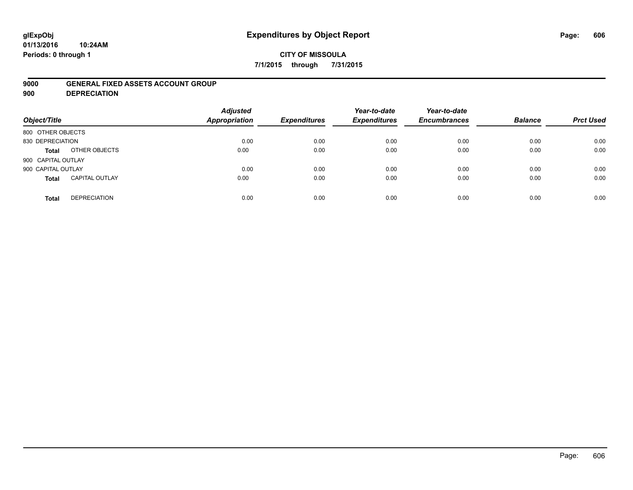#### **01/13/2016 10:24AM Periods: 0 through 1**

### **CITY OF MISSOULA 7/1/2015 through 7/31/2015**

### **9000 GENERAL FIXED ASSETS ACCOUNT GROUP**

**900 DEPRECIATION**

| Object/Title                          | <b>Adjusted</b><br><b>Appropriation</b> | <b>Expenditures</b> | Year-to-date<br><b>Expenditures</b> | Year-to-date<br><b>Encumbrances</b> | <b>Balance</b> | <b>Prct Used</b> |
|---------------------------------------|-----------------------------------------|---------------------|-------------------------------------|-------------------------------------|----------------|------------------|
| 800 OTHER OBJECTS                     |                                         |                     |                                     |                                     |                |                  |
| 830 DEPRECIATION                      | 0.00                                    | 0.00                | 0.00                                | 0.00                                | 0.00           | 0.00             |
| OTHER OBJECTS<br>Total                | 0.00                                    | 0.00                | 0.00                                | 0.00                                | 0.00           | 0.00             |
| 900 CAPITAL OUTLAY                    |                                         |                     |                                     |                                     |                |                  |
| 900 CAPITAL OUTLAY                    | 0.00                                    | 0.00                | 0.00                                | 0.00                                | 0.00           | 0.00             |
| <b>CAPITAL OUTLAY</b><br><b>Total</b> | 0.00                                    | 0.00                | 0.00                                | 0.00                                | 0.00           | 0.00             |
| <b>DEPRECIATION</b><br><b>Total</b>   | 0.00                                    | 0.00                | 0.00                                | 0.00                                | 0.00           | 0.00             |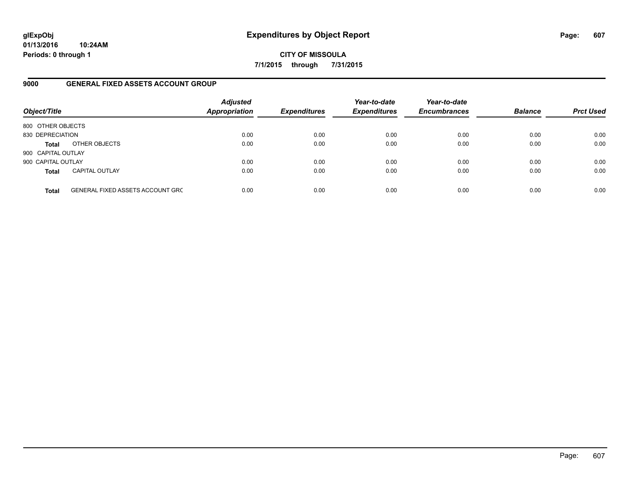**01/13/2016 10:24AM Periods: 0 through 1**

**CITY OF MISSOULA 7/1/2015 through 7/31/2015**

### **9000 GENERAL FIXED ASSETS ACCOUNT GROUP**

| Object/Title       |                                         | <b>Adjusted</b><br>Appropriation | <b>Expenditures</b> | Year-to-date<br><b>Expenditures</b> | Year-to-date<br><b>Encumbrances</b> | <b>Balance</b> | <b>Prct Used</b> |
|--------------------|-----------------------------------------|----------------------------------|---------------------|-------------------------------------|-------------------------------------|----------------|------------------|
| 800 OTHER OBJECTS  |                                         |                                  |                     |                                     |                                     |                |                  |
| 830 DEPRECIATION   |                                         | 0.00                             | 0.00                | 0.00                                | 0.00                                | 0.00           | 0.00             |
| <b>Total</b>       | OTHER OBJECTS                           | 0.00                             | 0.00                | 0.00                                | 0.00                                | 0.00           | 0.00             |
| 900 CAPITAL OUTLAY |                                         |                                  |                     |                                     |                                     |                |                  |
| 900 CAPITAL OUTLAY |                                         | 0.00                             | 0.00                | 0.00                                | 0.00                                | 0.00           | 0.00             |
| <b>Total</b>       | <b>CAPITAL OUTLAY</b>                   | 0.00                             | 0.00                | 0.00                                | 0.00                                | 0.00           | 0.00             |
| <b>Total</b>       | <b>GENERAL FIXED ASSETS ACCOUNT GRC</b> | 0.00                             | 0.00                | 0.00                                | 0.00                                | 0.00           | 0.00             |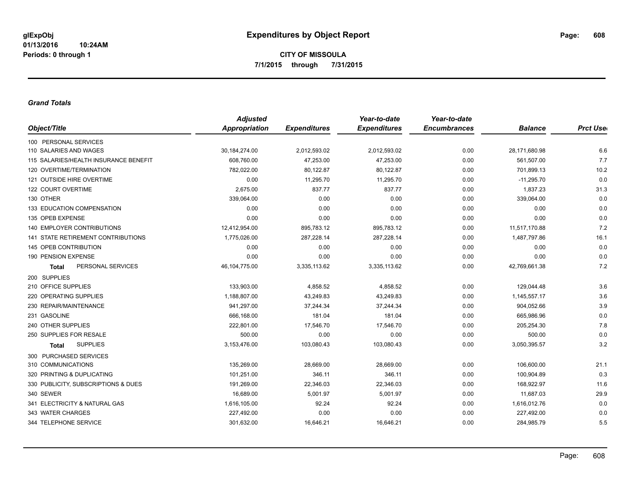#### *Grand Totals*

| <b>Adjusted</b> |                     | Year-to-date        | Year-to-date        |                |                  |
|-----------------|---------------------|---------------------|---------------------|----------------|------------------|
| Appropriation   | <b>Expenditures</b> | <b>Expenditures</b> | <b>Encumbrances</b> | <b>Balance</b> | <b>Prct User</b> |
|                 |                     |                     |                     |                |                  |
| 30,184,274.00   | 2,012,593.02        | 2,012,593.02        | 0.00                | 28,171,680.98  | 6.6              |
| 608,760.00      | 47,253.00           | 47,253.00           | 0.00                | 561,507.00     | 7.7              |
| 782,022.00      | 80,122.87           | 80,122.87           | 0.00                | 701,899.13     | 10.2             |
| 0.00            | 11,295.70           | 11,295.70           | 0.00                | $-11,295.70$   | 0.0              |
| 2,675.00        | 837.77              | 837.77              | 0.00                | 1,837.23       | 31.3             |
| 339,064.00      | 0.00                | 0.00                | 0.00                | 339,064.00     | 0.0              |
| 0.00            | 0.00                | 0.00                | 0.00                | 0.00           | 0.0              |
| 0.00            | 0.00                | 0.00                | 0.00                | 0.00           | 0.0              |
| 12,412,954.00   | 895,783.12          | 895,783.12          | 0.00                | 11,517,170.88  | 7.2              |
| 1,775,026.00    | 287,228.14          | 287,228.14          | 0.00                | 1,487,797.86   | 16.1             |
| 0.00            | 0.00                | 0.00                | 0.00                | 0.00           | 0.0              |
| 0.00            | 0.00                | 0.00                | 0.00                | 0.00           | 0.0              |
| 46, 104, 775.00 | 3,335,113.62        | 3,335,113.62        | 0.00                | 42,769,661.38  | 7.2              |
|                 |                     |                     |                     |                |                  |
| 133,903.00      | 4,858.52            | 4,858.52            | 0.00                | 129,044.48     | 3.6              |
| 1,188,807.00    | 43,249.83           | 43,249.83           | 0.00                | 1,145,557.17   | 3.6              |
| 941,297.00      | 37,244.34           | 37,244.34           | 0.00                | 904,052.66     | 3.9              |
| 666,168.00      | 181.04              | 181.04              | 0.00                | 665,986.96     | 0.0              |
| 222,801.00      | 17,546.70           | 17,546.70           | 0.00                | 205,254.30     | 7.8              |
| 500.00          | 0.00                | 0.00                | 0.00                | 500.00         | 0.0              |
| 3,153,476.00    | 103,080.43          | 103,080.43          | 0.00                | 3,050,395.57   | 3.2              |
|                 |                     |                     |                     |                |                  |
| 135.269.00      | 28,669.00           | 28,669.00           | 0.00                | 106,600.00     | 21.1             |
| 101,251.00      | 346.11              | 346.11              | 0.00                | 100,904.89     | 0.3              |
| 191,269.00      | 22,346.03           | 22,346.03           | 0.00                | 168,922.97     | 11.6             |
| 16,689.00       | 5,001.97            | 5,001.97            | 0.00                | 11,687.03      | 29.9             |
| 1,616,105.00    | 92.24               | 92.24               | 0.00                | 1,616,012.76   | 0.0              |
| 227,492.00      | 0.00                | 0.00                | 0.00                | 227,492.00     | 0.0              |
| 301,632.00      | 16,646.21           | 16,646.21           | 0.00                | 284,985.79     | 5.5              |
|                 |                     |                     |                     |                |                  |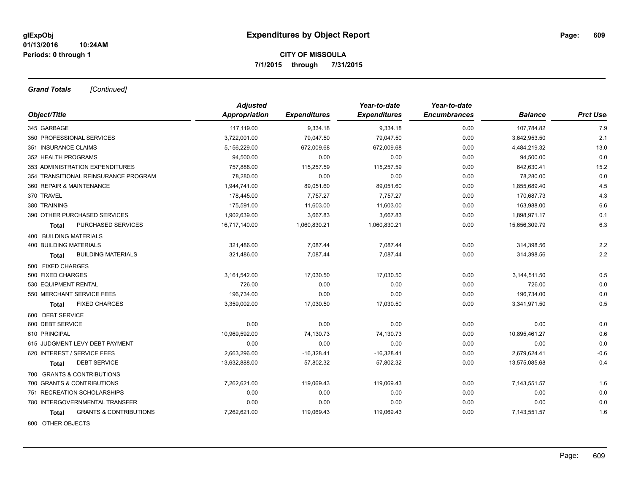*Grand Totals [Continued]*

|                                            | <b>Adjusted</b> |                     | Year-to-date        | Year-to-date        |                |                  |
|--------------------------------------------|-----------------|---------------------|---------------------|---------------------|----------------|------------------|
| Object/Title                               | Appropriation   | <b>Expenditures</b> | <b>Expenditures</b> | <b>Encumbrances</b> | <b>Balance</b> | <b>Prct Uset</b> |
| 345 GARBAGE                                | 117.119.00      | 9,334.18            | 9,334.18            | 0.00                | 107,784.82     | 7.9              |
| 350 PROFESSIONAL SERVICES                  | 3,722,001.00    | 79,047.50           | 79,047.50           | 0.00                | 3,642,953.50   | 2.1              |
| 351 INSURANCE CLAIMS                       | 5,156,229.00    | 672,009.68          | 672,009.68          | 0.00                | 4,484,219.32   | 13.0             |
| 352 HEALTH PROGRAMS                        | 94,500.00       | 0.00                | 0.00                | 0.00                | 94,500.00      | 0.0              |
| 353 ADMINISTRATION EXPENDITURES            | 757,888.00      | 115,257.59          | 115,257.59          | 0.00                | 642,630.41     | 15.2             |
| 354 TRANSITIONAL REINSURANCE PROGRAM       | 78,280.00       | 0.00                | 0.00                | 0.00                | 78,280.00      | 0.0              |
| 360 REPAIR & MAINTENANCE                   | 1,944,741.00    | 89,051.60           | 89,051.60           | 0.00                | 1,855,689.40   | 4.5              |
| 370 TRAVEL                                 | 178,445.00      | 7,757.27            | 7,757.27            | 0.00                | 170,687.73     | 4.3              |
| 380 TRAINING                               | 175,591.00      | 11,603.00           | 11,603.00           | 0.00                | 163,988.00     | 6.6              |
| 390 OTHER PURCHASED SERVICES               | 1,902,639.00    | 3,667.83            | 3,667.83            | 0.00                | 1,898,971.17   | 0.1              |
| PURCHASED SERVICES<br>Total                | 16,717,140.00   | 1,060,830.21        | 1,060,830.21        | 0.00                | 15,656,309.79  | 6.3              |
| 400 BUILDING MATERIALS                     |                 |                     |                     |                     |                |                  |
| <b>400 BUILDING MATERIALS</b>              | 321,486.00      | 7,087.44            | 7,087.44            | 0.00                | 314,398.56     | 2.2              |
| <b>BUILDING MATERIALS</b><br><b>Total</b>  | 321,486.00      | 7,087.44            | 7,087.44            | 0.00                | 314,398.56     | 2.2              |
| 500 FIXED CHARGES                          |                 |                     |                     |                     |                |                  |
| 500 FIXED CHARGES                          | 3,161,542.00    | 17,030.50           | 17,030.50           | 0.00                | 3,144,511.50   | 0.5              |
| 530 EQUIPMENT RENTAL                       | 726.00          | 0.00                | 0.00                | 0.00                | 726.00         | 0.0              |
| 550 MERCHANT SERVICE FEES                  | 196,734.00      | 0.00                | 0.00                | 0.00                | 196,734.00     | 0.0              |
| <b>FIXED CHARGES</b><br><b>Total</b>       | 3,359,002.00    | 17,030.50           | 17,030.50           | 0.00                | 3,341,971.50   | 0.5              |
| 600 DEBT SERVICE                           |                 |                     |                     |                     |                |                  |
| 600 DEBT SERVICE                           | 0.00            | 0.00                | 0.00                | 0.00                | 0.00           | 0.0              |
| 610 PRINCIPAL                              | 10,969,592.00   | 74,130.73           | 74,130.73           | 0.00                | 10,895,461.27  | 0.6              |
| 615 JUDGMENT LEVY DEBT PAYMENT             | 0.00            | 0.00                | 0.00                | 0.00                | 0.00           | 0.0              |
| 620 INTEREST / SERVICE FEES                | 2,663,296.00    | $-16,328.41$        | $-16,328.41$        | 0.00                | 2,679,624.41   | $-0.6$           |
| <b>DEBT SERVICE</b><br>Total               | 13,632,888.00   | 57,802.32           | 57,802.32           | 0.00                | 13,575,085.68  | 0.4              |
| 700 GRANTS & CONTRIBUTIONS                 |                 |                     |                     |                     |                |                  |
| 700 GRANTS & CONTRIBUTIONS                 | 7,262,621.00    | 119,069.43          | 119,069.43          | 0.00                | 7,143,551.57   | 1.6              |
| 751 RECREATION SCHOLARSHIPS                | 0.00            | 0.00                | 0.00                | 0.00                | 0.00           | 0.0              |
| 780 INTERGOVERNMENTAL TRANSFER             | 0.00            | 0.00                | 0.00                | 0.00                | 0.00           | 0.0              |
| <b>GRANTS &amp; CONTRIBUTIONS</b><br>Total | 7,262,621.00    | 119,069.43          | 119,069.43          | 0.00                | 7,143,551.57   | 1.6              |
| 800 OTHER OBJECTS                          |                 |                     |                     |                     |                |                  |